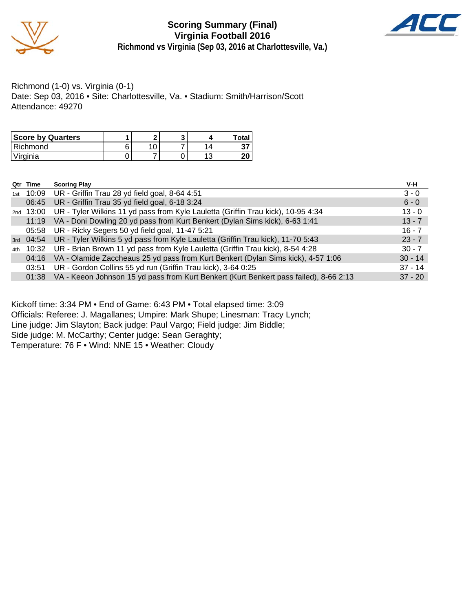

**Scoring Summary (Final) Virginia Football 2016 Richmond vs Virginia (Sep 03, 2016 at Charlottesville, Va.)**



Richmond (1-0) vs. Virginia (0-1) Date: Sep 03, 2016 • Site: Charlottesville, Va. • Stadium: Smith/Harrison/Scott Attendance: 49270

| <b>Score by Quarters</b> | e |  | Total    |
|--------------------------|---|--|----------|
| l Richmond               |   |  | J.       |
| Virginia                 |   |  | חר<br>Ζu |

| Qtr Time | <b>Scoring Play</b>                                                                         | V-H       |
|----------|---------------------------------------------------------------------------------------------|-----------|
|          | 1st 10:09 UR - Griffin Trau 28 yd field goal, 8-64 4:51                                     | $3 - 0$   |
|          | 06:45 UR - Griffin Trau 35 yd field goal, 6-18 3:24                                         | $6 - 0$   |
|          | 2nd 13:00 UR - Tyler Wilkins 11 yd pass from Kyle Lauletta (Griffin Trau kick), 10-95 4:34  | $13 - 0$  |
|          | 11:19 VA - Doni Dowling 20 yd pass from Kurt Benkert (Dylan Sims kick), 6-63 1:41           | $13 - 7$  |
|          | 05:58 UR - Ricky Segers 50 yd field goal, 11-47 5:21                                        | $16 - 7$  |
|          | 3rd 04:54 UR - Tyler Wilkins 5 yd pass from Kyle Lauletta (Griffin Trau kick), 11-70 5:43   | $23 - 7$  |
|          | 4th 10:32 UR - Brian Brown 11 yd pass from Kyle Lauletta (Griffin Trau kick), 8-54 4:28     | $30 - 7$  |
| 04:16    | VA - Olamide Zaccheaus 25 yd pass from Kurt Benkert (Dylan Sims kick), 4-57 1:06            | $30 - 14$ |
| 03:51    | UR - Gordon Collins 55 yd run (Griffin Trau kick), 3-64 0:25                                | $37 - 14$ |
|          | 01:38 VA - Keeon Johnson 15 yd pass from Kurt Benkert (Kurt Benkert pass failed), 8-66 2:13 | $37 - 20$ |

Kickoff time: 3:34 PM • End of Game: 6:43 PM • Total elapsed time: 3:09

Officials: Referee: J. Magallanes; Umpire: Mark Shupe; Linesman: Tracy Lynch;

Line judge: Jim Slayton; Back judge: Paul Vargo; Field judge: Jim Biddle;

Side judge: M. McCarthy; Center judge: Sean Geraghty;

Temperature: 76 F • Wind: NNE 15 • Weather: Cloudy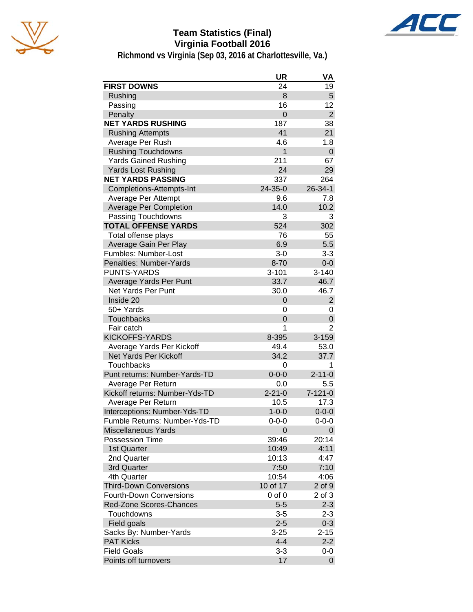

# **Team Statistics (Final) Virginia Football 2016**



|                                | <b>UR</b>      | VA             |
|--------------------------------|----------------|----------------|
| <b>FIRST DOWNS</b>             | 24             | 19             |
| Rushing                        | 8              | 5              |
| Passing                        | 16             | 12             |
| Penalty                        | $\overline{0}$ | $\overline{2}$ |
| <b>NET YARDS RUSHING</b>       | 187            | 38             |
| <b>Rushing Attempts</b>        | 41             | 21             |
| Average Per Rush               | 4.6            | 1.8            |
| <b>Rushing Touchdowns</b>      | 1              | 0              |
| <b>Yards Gained Rushing</b>    | 211            | 67             |
| <b>Yards Lost Rushing</b>      | 24             | 29             |
| <b>NET YARDS PASSING</b>       | 337            | 264            |
| Completions-Attempts-Int       | 24-35-0        | 26-34-1        |
| Average Per Attempt            | 9.6            | 7.8            |
| <b>Average Per Completion</b>  | 14.0           | 10.2           |
| Passing Touchdowns             | 3              | 3              |
| <b>TOTAL OFFENSE YARDS</b>     | 524            | 302            |
| Total offense plays            | 76             | 55             |
| Average Gain Per Play          | 6.9            | 5.5            |
| Fumbles: Number-Lost           | $3 - 0$        | $3 - 3$        |
| Penalties: Number-Yards        | $8 - 70$       | $0-0$          |
| <b>PUNTS-YARDS</b>             | $3 - 101$      | $3 - 140$      |
| Average Yards Per Punt         | 33.7           | 46.7           |
| <b>Net Yards Per Punt</b>      | 30.0           | 46.7           |
| Inside 20                      | 0              | $\overline{2}$ |
| 50+ Yards                      | 0              | 0              |
| Touchbacks                     | $\overline{0}$ | 0              |
| Fair catch                     | 1              | 2              |
| <b>KICKOFFS-YARDS</b>          | 8-395          | $3 - 159$      |
| Average Yards Per Kickoff      | 49.4           | 53.0           |
| Net Yards Per Kickoff          | 34.2           | 37.7           |
| Touchbacks                     | 0              | 1              |
| Punt returns: Number-Yards-TD  | $0 - 0 - 0$    | $2 - 11 - 0$   |
| Average Per Return             | 0.0            | 5.5            |
| Kickoff returns: Number-Yds-TD | $2 - 21 - 0$   | $7 - 121 - 0$  |
| Average Per Return             | 10.5           | 17.3           |
| Interceptions: Number-Yds-TD   | $1 - 0 - 0$    | $0 - 0 - 0$    |
| Fumble Returns: Number-Yds-TD  | $0 - 0 - 0$    | $0 - 0 - 0$    |
| <b>Miscellaneous Yards</b>     | 0              | 0              |
| Possession Time                | 39:46          | 20:14          |
| 1st Quarter                    | 10:49          | 4:11           |
| 2nd Quarter                    | 10:13          | 4:47           |
| 3rd Quarter                    | 7:50           | 7:10           |
| 4th Quarter                    | 10:54          | 4:06           |
| <b>Third-Down Conversions</b>  | 10 of 17       | $2$ of $9$     |
| <b>Fourth-Down Conversions</b> | $0$ of $0$     | 2 of 3         |
| Red-Zone Scores-Chances        | $5 - 5$        | $2 - 3$        |
| Touchdowns                     | $3 - 5$        | $2 - 3$        |
| Field goals                    | $2 - 5$        | $0 - 3$        |
| Sacks By: Number-Yards         | $3 - 25$       | $2 - 15$       |
| <b>PAT Kicks</b>               | $4 - 4$        | $2 - 2$        |
| <b>Field Goals</b>             | 3-3            | 0-0            |
| Points off turnovers           | 17             | 0              |

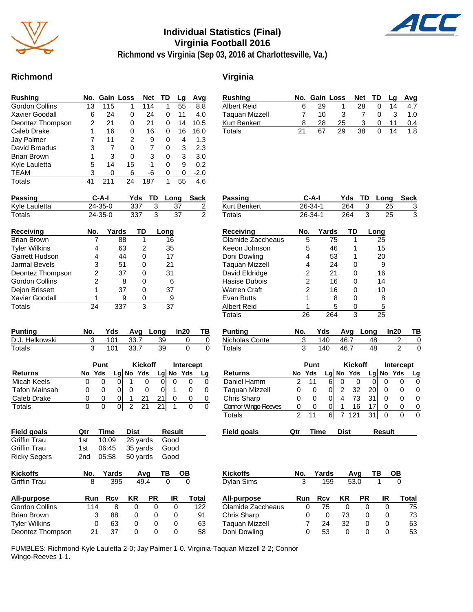

## **Individual Statistics (Final) Virginia Football 2016**



**Richmond vs Virginia (Sep 03, 2016 at Charlottesville, Va.)**

#### **Richmond Virginia**

| Rushing               |    | No. Gain Loss |    | <b>Net</b> | ТD | Lg | Avg    |
|-----------------------|----|---------------|----|------------|----|----|--------|
| Gordon Collins        | 13 | 115           | 1  | 114        | 1  | 55 | 8.8    |
| <b>Xavier Goodall</b> | 6  | 24            | 0  | 24         | 0  | 11 | 4.0    |
| Deontez Thompson      | 2  | 21            | 0  | 21         | 0  | 14 | 10.5   |
| Caleb Drake           |    | 16            | 0  | 16         | 0  | 16 | 16.0   |
| Jay Palmer            |    | 11            | 2  | 9          | 0  | 4  | 1.3    |
| David Broadus         | 3  | 7             | 0  | 7          | 0  | 3  | 2.3    |
| <b>Brian Brown</b>    | 1  | 3             | 0  | 3          | 0  | 3  | 3.0    |
| Kyle Lauletta         | 5  | 14            | 15 | -1         | 0  | 9  | $-0.2$ |
| TEAM                  | 3  | 0             | 6  | -6         | 0  | 0  | $-2.0$ |
| Totals                | 41 |               | 24 | 187        | 1  | 55 | 4.6    |

| Rushing        |    |    | No. Gain Loss |    |          |    | Net TD Lg Avg |
|----------------|----|----|---------------|----|----------|----|---------------|
| Albert Reid    |    | 29 |               | 28 |          | 14 | 4.7           |
| Taguan Mizzell |    | 10 | 3             |    |          | 3  | 1. $\Omega$   |
| Kurt Benkert   |    | 28 | 25            | 3  | $\Omega$ |    | 0.4           |
| Totals         | 21 | 67 | 29            | 38 |          | 14 | 1.8           |

| <b>Passing</b>     |     | C-A-I<br>- TD<br>Long<br>Yds |     |  |      | Sack          |
|--------------------|-----|------------------------------|-----|--|------|---------------|
| Kyle Lauletta      |     | 24-35-0<br>337               |     |  | 37   |               |
| Totals             |     | 337<br>$24 - 35 - 0$         |     |  | 37   | $\mathcal{P}$ |
| <b>Receiving</b>   | No. | Yards                        | TD. |  | Long |               |
| <b>Brian Brown</b> |     | 88                           |     |  | 16   |               |
| Tuler William      |     | ຂາ                           | ◠   |  | っこ   |               |

| <b>Tyler Wilkins</b>  |   | 63 |   | 35 |
|-----------------------|---|----|---|----|
| Garrett Hudson        |   | 44 |   | 17 |
| <b>Jarmal Bevels</b>  | з | 51 |   | 21 |
| Deontez Thompson      | 2 | 37 |   | 31 |
| <b>Gordon Collins</b> |   | 8  |   | 6  |
| Dejon Brissett        |   | 37 |   | 37 |
| <b>Xavier Goodall</b> |   | я  |   | 9  |
| Totals                |   |    | વ | 37 |

| <b>Punting</b> |     |        | Yds Avg Long In20 |  |
|----------------|-----|--------|-------------------|--|
| D.J. Helkowski | 101 | 33.7   | 39                |  |
| Totals         | 101 | - 33.7 | 39                |  |

|                      | Punt |     |     |    | <b>Kickoff</b> |    |    | Intercept |  |  |
|----------------------|------|-----|-----|----|----------------|----|----|-----------|--|--|
| <b>Returns</b>       | No   | Yds | Lal | No | Yds            | Lg | No | Yds       |  |  |
| Micah Keels          |      |     |     |    |                |    |    |           |  |  |
| <b>Tafon Mainsah</b> |      |     |     |    |                |    |    |           |  |  |
| Caleb Drake          |      |     |     |    |                |    |    |           |  |  |
| Totals               | 0    | O   |     | າ  |                |    |    |           |  |  |

| Field goals         | Qtr   | Time | Dist                    | Result |
|---------------------|-------|------|-------------------------|--------|
| <b>Griffin Trau</b> | 1st l |      | 10:09 28 yards Good     |        |
| <b>Griffin Trau</b> | 1st l |      | 06:45 35 yards Good     |        |
| <b>Ricky Segers</b> |       |      | 2nd 05:58 50 yards Good |        |

| <b>Kickoffs</b>       | No. | Yards | Avq |      | ΤВ | OВ    |
|-----------------------|-----|-------|-----|------|----|-------|
| <b>Griffin Trau</b>   | 8   | 395   |     | 49.4 |    |       |
| All-purpose           | Run | Rcv   | KR  | РR   | IR | Total |
| <b>Gordon Collins</b> | 114 | 8     | 0   | 0    | 0  | 122   |
| Brian Brown           | 3   | 88    | 0   | 0    | O  | 91    |
| <b>Tyler Wilkins</b>  | 0   | 63    | Ω   | 0    | Ω  | 63    |
| Deontez Thompson      | 21  | 37    | O   | 0    | O  | 58    |

| Passing                    | $C-A-I$        |                                            |             |                | Yds            | TD                        | Long          |                | <b>Sack</b>   |
|----------------------------|----------------|--------------------------------------------|-------------|----------------|----------------|---------------------------|---------------|----------------|---------------|
| Kurt Benkert               | 26-34-1        |                                            |             |                | 264            | 3                         | 25            |                | $\frac{3}{3}$ |
| <b>Totals</b>              |                | 26-34-1                                    |             |                | 264            | $\overline{\overline{3}}$ | 25            |                |               |
| Receiving                  |                | No.                                        | Yards       |                | TD             |                           | Long          |                |               |
| Olamide Zaccheaus          |                | 5                                          | 75          |                | 1              |                           | 25            |                |               |
| Keeon Johnson              |                | 5                                          | 46          |                | 1              |                           | 15            |                |               |
| Doni Dowling               |                | 4                                          | 53          |                | 1              |                           | 20            |                |               |
| <b>Taquan Mizzell</b>      |                | 4                                          | 24          |                | 0              |                           | 9             |                |               |
| David Eldridge             |                |                                            | 21          |                | 0              |                           | 16            |                |               |
| Hasise Dubois              |                | $\begin{array}{c} 2 \\ 2 \\ 2 \end{array}$ | 16          |                | 0              |                           | 14            |                |               |
| <b>Warren Craft</b>        |                |                                            | 16          |                | 0              |                           | 10            |                |               |
| <b>Evan Butts</b>          |                | $\overline{1}$                             |             | 8              | 0              |                           | 8             |                |               |
| <b>Albert Reid</b>         |                | 1                                          |             | 5              | $\Omega$       |                           | 5             |                |               |
| <b>Totals</b>              |                | 26                                         | 264         |                | 3              |                           | 25            |                |               |
| <b>Punting</b>             | No.            |                                            | Yds         |                | Avg            | Long                      |               | In20           | ΤВ            |
| Nicholas Conte             |                | 3                                          | 140         |                | 46.7           | 48                        |               | 2              | 0             |
| Totals                     |                | $\overline{\overline{3}}$                  | 140         |                | 46.7           | 48                        |               | $\overline{2}$ | 0             |
|                            |                |                                            |             |                |                |                           |               |                |               |
|                            |                | Punt                                       |             |                | <b>Kickoff</b> |                           |               | Intercept      |               |
| <b>Returns</b>             | No             | Yds                                        |             | Lg No          | Yds            | Lg                        | <b>No</b>     | Yds            | Lg            |
| Daniel Hamm                | 2              | 11                                         | 6           | 0              | 0              | 0                         | 0             | 0              | 0             |
| Taquan Mizzell             | 0              | 0                                          | 0           | $\overline{c}$ | 32             | 20 <sub>l</sub>           | 0             | 0              | 0             |
| Chris Sharp                | 0              | 0                                          | 0           | 4              | 73             | 31                        | 0             | 0              | 0             |
| <b>Connor Wingo-Reeves</b> | 0              | 0                                          | 0           | 1              | 16             | 17                        | 0             | 0              | 0             |
| <b>Totals</b>              | $\overline{2}$ | 11                                         | 6           | 7              | 121            | 31                        | 0             | $\Omega$       | $\Omega$      |
| <b>Field goals</b>         | Qtr            |                                            | <b>Time</b> | <b>Dist</b>    |                |                           | <b>Result</b> |                |               |
|                            |                |                                            |             |                |                |                           |               |                |               |
|                            |                |                                            |             |                |                |                           |               |                |               |
|                            |                |                                            |             |                |                |                           |               |                |               |
| <b>Kickoffs</b>            | No.            |                                            | Yards       |                | Avg            |                           | TВ            | OВ             |               |
| Dylan Sims                 |                | 3                                          | 159         |                | 53.0           |                           | 1             | 0              |               |
|                            |                |                                            |             |                |                |                           |               |                |               |
| All-purpose                | Run            |                                            | Rcv         | KR             |                | PR                        | IR            |                | <b>Total</b>  |
| Olamide Zaccheaus          |                | 0                                          | 75          |                | 0              | 0                         | 0             |                | 75            |
| Chris Sharp                |                | 0                                          | 0           |                | 73             | 0                         | 0             |                | 73            |

Chris Sharp 0 0 73 0 0 73

Taquan Mizzell 7 24 32 0 0 63 Doni Dowling 0 53 0 0 0 53

FUMBLES: Richmond-Kyle Lauletta 2-0; Jay Palmer 1-0. Virginia-Taquan Mizzell 2-2; Connor Wingo-Reeves 1-1.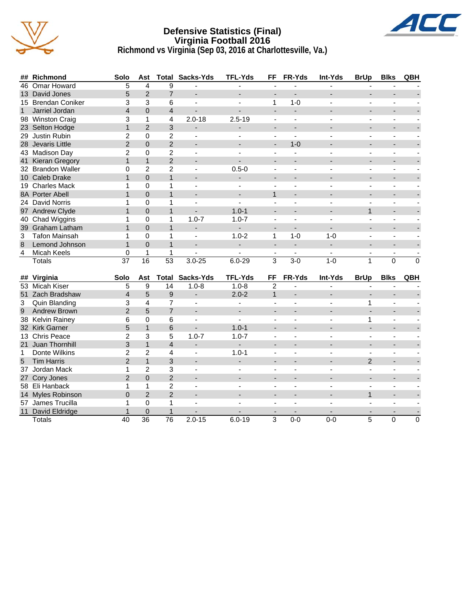

#### **Defensive Statistics (Final) Virginia Football 2016 Richmond vs Virginia (Sep 03, 2016 at Charlottesville, Va.)**



|                | ## Richmond          | Solo            | Ast            |                  | <b>Total Sacks-Yds</b>       | <b>TFL-Yds</b>           | FF                       | FR-Yds                   | <b>Int-Yds</b> | <b>BrUp</b>              | <b>Blks</b>              | QBH         |
|----------------|----------------------|-----------------|----------------|------------------|------------------------------|--------------------------|--------------------------|--------------------------|----------------|--------------------------|--------------------------|-------------|
|                | 46 Omar Howard       | 5               | 4              | 9                |                              |                          | $\overline{\phantom{a}}$ |                          |                | $\overline{\phantom{a}}$ |                          |             |
|                | 13 David Jones       | 5               | $\overline{2}$ | $\overline{7}$   |                              | $\overline{a}$           | $\overline{a}$           |                          |                | $\overline{a}$           |                          |             |
|                | 15 Brendan Coniker   | 3               | 3              | 6                | $\blacksquare$               | $\overline{a}$           | 1                        | $1 - 0$                  | $\overline{a}$ | $\blacksquare$           | $\sim$                   |             |
| $\mathbf{1}$   | Jarriel Jordan       | $\overline{4}$  | $\Omega$       | $\overline{4}$   | $\overline{\phantom{0}}$     |                          | $\blacksquare$           | $\blacksquare$           |                | $\overline{\phantom{0}}$ | $\overline{\phantom{a}}$ |             |
|                | 98 Winston Craig     | 3               | 1              | 4                | $2.0 - 18$                   | $2.5 - 19$               | ÷,                       | ÷,                       | $\blacksquare$ | ä,                       | $\blacksquare$           |             |
|                | 23 Selton Hodge      | $\mathbf{1}$    | $\overline{2}$ | 3                |                              |                          | $\overline{a}$           |                          |                |                          |                          |             |
|                | 29 Justin Rubin      | 2               | $\pmb{0}$      | $\overline{c}$   | $\blacksquare$               | $\sim$                   | $\blacksquare$           | $\overline{a}$           |                | $\blacksquare$           | $\mathbf{r}$             |             |
|                | 28 Jevaris Little    | $\overline{2}$  | $\overline{0}$ | $\overline{2}$   | $\overline{\phantom{a}}$     |                          | $\overline{\phantom{a}}$ | $1 - 0$                  |                | $\blacksquare$           |                          |             |
|                | 43 Madison Day       | $\overline{2}$  | $\mathbf 0$    | $\overline{c}$   |                              |                          |                          |                          |                |                          |                          |             |
|                | 41 Kieran Gregory    | $\mathbf{1}$    | $\mathbf{1}$   | $\overline{2}$   |                              |                          | $\overline{a}$           |                          |                |                          |                          |             |
|                | 32 Brandon Waller    | 0               | $\overline{2}$ | $\overline{2}$   | $\qquad \qquad \blacksquare$ | $0.5 - 0$                | ÷,                       |                          |                | L,                       |                          |             |
|                | 10 Caleb Drake       | $\mathbf{1}$    | $\mathbf 0$    | $\mathbf{1}$     | $\overline{\phantom{a}}$     |                          | $\overline{\phantom{a}}$ | $\overline{\phantom{a}}$ |                | $\overline{a}$           | $\overline{a}$           |             |
|                | 19 Charles Mack      | 1               | $\mathbf 0$    | 1                | $\overline{\phantom{a}}$     |                          |                          |                          |                | $\overline{\phantom{a}}$ | $\blacksquare$           |             |
|                | 8A Porter Abell      | $\mathbf{1}$    | $\Omega$       | $\mathbf{1}$     |                              |                          | $\mathbf{1}$             |                          |                |                          |                          |             |
|                | 24 David Norris      | 1               | $\mathbf 0$    | 1                | $\blacksquare$               |                          | $\overline{\phantom{a}}$ | $\blacksquare$           | $\blacksquare$ | $\overline{\phantom{a}}$ | $\blacksquare$           |             |
|                | 97 Andrew Clyde      | $\mathbf{1}$    | $\overline{0}$ | $\mathbf{1}$     |                              | $1.0 - 1$                | $\overline{a}$           |                          |                | $\mathbf{1}$             | $\overline{a}$           |             |
|                | 40 Chad Wiggins      | 1               | $\mathbf 0$    | 1                | $1.0 - 7$                    | $1.0 - 7$                | $\blacksquare$           | $\blacksquare$           | $\overline{a}$ | $\blacksquare$           | $\blacksquare$           |             |
|                | 39 Graham Latham     | $\mathbf{1}$    | $\Omega$       | $\mathbf{1}$     | $\overline{\phantom{0}}$     | $\overline{a}$           | $\overline{\phantom{a}}$ | ۰                        |                |                          |                          |             |
| 3              | <b>Tafon Mainsah</b> | 1               | $\mathbf 0$    | 1                | $\blacksquare$               | $1.0 - 2$                | $\mathbf{1}$             | $1 - 0$                  | $1 - 0$        | $\blacksquare$           | $\blacksquare$           |             |
| 8              | Lemond Johnson       | $\mathbf{1}$    | $\Omega$       | $\mathbf{1}$     |                              | $\overline{\phantom{a}}$ | $\overline{\phantom{a}}$ | $\overline{\phantom{a}}$ |                |                          |                          |             |
| 4              | <b>Micah Keels</b>   | 0               | 1              | 1                |                              |                          |                          |                          |                | $\blacksquare$           |                          |             |
|                | Totals               | $\overline{37}$ | 16             | $\overline{53}$  | $3.0 - 25$                   | $6.0 - 29$               | $\overline{\mathbf{3}}$  | $3 - 0$                  | $1-0$          | $\mathbf{1}$             | $\overline{0}$           | $\mathbf 0$ |
|                |                      |                 |                |                  |                              |                          |                          |                          |                |                          |                          |             |
|                | ## Virginia          | Solo            | Ast            | Total            | Sacks-Yds                    | <b>TFL-Yds</b>           | FF                       | FR-Yds                   | Int-Yds        | <b>BrUp</b>              | <b>Blks</b>              | QBH         |
|                | 53 Micah Kiser       | 5               | 9              | 14               | $1.0 - 8$                    | $1.0 - 8$                | $\overline{2}$           |                          |                |                          |                          |             |
|                | 51 Zach Bradshaw     | $\overline{4}$  | 5              | $\boldsymbol{9}$ |                              | $2.0 - 2$                | $\mathbf{1}$             | ÷                        |                |                          |                          |             |
| 3              | Quin Blanding        | 3               | 4              | $\overline{7}$   |                              |                          |                          |                          |                | 1                        |                          |             |
| 9 <sup>1</sup> | <b>Andrew Brown</b>  | $\overline{2}$  | 5              | $\overline{7}$   |                              |                          |                          |                          |                |                          |                          |             |
|                | 38 Kelvin Rainey     | 6               | $\Omega$       | 6                | $\overline{\phantom{a}}$     |                          | $\blacksquare$           | $\overline{\phantom{a}}$ |                | 1                        | $\blacksquare$           |             |
|                | 32 Kirk Garner       | 5               | $\mathbf{1}$   | 6                |                              | $1.0 - 1$                | ÷,                       |                          |                | L.                       | $\overline{a}$           |             |
|                | 13 Chris Peace       | $\overline{2}$  | 3              | 5                | $1.0 - 7$                    | $1.0 - 7$                | $\overline{\phantom{a}}$ | $\blacksquare$           |                | $\overline{\phantom{a}}$ | $\blacksquare$           |             |
|                | 21 Juan Thornhill    | 3               | $\mathbf{1}$   | $\overline{4}$   | ÷.                           | $\mathbf{r}$             | $\overline{\phantom{a}}$ |                          |                | ÷.                       | $\blacksquare$           |             |
| $\mathbf{1}$   | Donte Wilkins        | $\overline{2}$  | $\overline{2}$ | 4                | $\blacksquare$               | $1.0 - 1$                | $\blacksquare$           | $\blacksquare$           | $\sim$         | $\blacksquare$           | $\sim$                   |             |
| 5              | <b>Tim Harris</b>    | $\overline{2}$  | $\mathbf{1}$   | 3                |                              | $\overline{\phantom{a}}$ | $\overline{\phantom{a}}$ |                          |                | $\overline{2}$           | $\overline{\phantom{0}}$ |             |
|                | 37 Jordan Mack       | $\mathbf{1}$    | $\overline{2}$ | 3                | $\overline{\phantom{a}}$     | $\sim$                   | $\blacksquare$           | ÷,                       | ÷,             | ä,                       | $\blacksquare$           |             |
|                | 27 Cory Jones        | $\overline{2}$  | $\Omega$       | $\overline{2}$   |                              |                          |                          |                          |                | ÷.                       |                          |             |
|                | 58 Eli Hanback       | 1               | $\mathbf 1$    | $\overline{2}$   |                              |                          |                          |                          |                | ä,                       | $\blacksquare$           |             |
|                | 14 Myles Robinson    | $\overline{0}$  | $\overline{2}$ | $\overline{2}$   |                              |                          | $\overline{\phantom{a}}$ |                          |                | $\mathbf{1}$             | $\blacksquare$           |             |
|                | 57 James Trucilla    | 1               | 0              | 1                |                              |                          | $\overline{a}$           |                          |                |                          | $\sim$                   |             |
|                | 11 David Eldridge    | $\mathbf{1}$    | $\mathbf{0}$   | $\mathbf{1}$     |                              |                          | $\blacksquare$           | $\overline{\phantom{a}}$ |                | $\blacksquare$           |                          |             |
|                | Totals               | 40              | 36             | $\overline{76}$  | $2.0 - 15$                   | $6.0 - 19$               | 3                        | $0 - 0$                  | $0 - 0$        | 5                        | $\mathbf{0}$             | $\mathbf 0$ |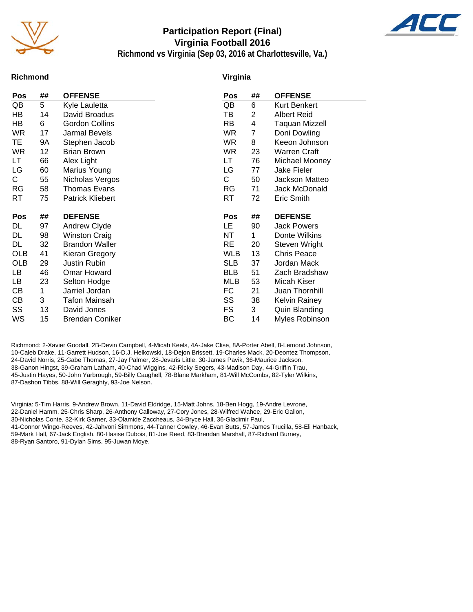

## **Participation Report (Final) Virginia Football 2016**



**Richmond vs Virginia (Sep 03, 2016 at Charlottesville, Va.)**

#### **Richmond**

#### **Virginia**

| Pos        | ## | <b>OFFENSE</b>          | Pos        | ## | <b>OFFENSE</b>      |
|------------|----|-------------------------|------------|----|---------------------|
| QB         | 5  | Kyle Lauletta           | QB         | 6  | <b>Kurt Benkert</b> |
| HB.        | 14 | David Broadus           | TB         | 2  | <b>Albert Reid</b>  |
| HВ         | 6  | <b>Gordon Collins</b>   | <b>RB</b>  | 4  | Taquan Mizzell      |
| <b>WR</b>  | 17 | Jarmal Bevels           | <b>WR</b>  | 7  | Doni Dowling        |
| TE.        | 9Α | Stephen Jacob           | WR.        | 8  | Keeon Johnson       |
| <b>WR</b>  | 12 | <b>Brian Brown</b>      | <b>WR</b>  | 23 | <b>Warren Craft</b> |
| LT.        | 66 | Alex Light              | LT.        | 76 | Michael Mooney      |
| LG         | 60 | Marius Young            | LG         | 77 | Jake Fieler         |
| C.         | 55 | Nicholas Vergos         | C.         | 50 | Jackson Matteo      |
| <b>RG</b>  | 58 | Thomas Evans            | <b>RG</b>  | 71 | Jack McDonald       |
| RT         | 75 | <b>Patrick Kliebert</b> | <b>RT</b>  | 72 | Eric Smith          |
|            |    |                         |            |    |                     |
|            |    |                         |            |    |                     |
| Pos        | ## | <b>DEFENSE</b>          | Pos        | ## | <b>DEFENSE</b>      |
| DL         | 97 | Andrew Clyde            | LE.        | 90 | <b>Jack Powers</b>  |
| DL         | 98 | <b>Winston Craig</b>    | <b>NT</b>  | 1  | Donte Wilkins       |
| DL         | 32 | <b>Brandon Waller</b>   | <b>RE</b>  | 20 | Steven Wright       |
| <b>OLB</b> | 41 | Kieran Gregory          | <b>WLB</b> | 13 | <b>Chris Peace</b>  |
| <b>OLB</b> | 29 | <b>Justin Rubin</b>     | <b>SLB</b> | 37 | Jordan Mack         |
| LB         | 46 | Omar Howard             | <b>BLB</b> | 51 | Zach Bradshaw       |
| LB         | 23 | Selton Hodge            | MLB        | 53 | Micah Kiser         |
| CВ         | 1  | Jarriel Jordan          | FC         | 21 | Juan Thornhill      |
| CВ         | 3  | <b>Tafon Mainsah</b>    | SS         | 38 | Kelvin Rainey       |
| SS         | 13 | David Jones             | FS.        | 3  | Quin Blanding       |

Richmond: 2-Xavier Goodall, 2B-Devin Campbell, 4-Micah Keels, 4A-Jake Clise, 8A-Porter Abell, 8-Lemond Johnson, 10-Caleb Drake, 11-Garrett Hudson, 16-D.J. Helkowski, 18-Dejon Brissett, 19-Charles Mack, 20-Deontez Thompson, 24-David Norris, 25-Gabe Thomas, 27-Jay Palmer, 28-Jevaris Little, 30-James Pavik, 36-Maurice Jackson, 38-Ganon Hingst, 39-Graham Latham, 40-Chad Wiggins, 42-Ricky Segers, 43-Madison Day, 44-Griffin Trau, 45-Justin Hayes, 50-John Yarbrough, 59-Billy Caughell, 78-Blane Markham, 81-Will McCombs, 82-Tyler Wilkins, 87-Dashon Tibbs, 88-Will Geraghty, 93-Joe Nelson.

Virginia: 5-Tim Harris, 9-Andrew Brown, 11-David Eldridge, 15-Matt Johns, 18-Ben Hogg, 19-Andre Levrone, 22-Daniel Hamm, 25-Chris Sharp, 26-Anthony Calloway, 27-Cory Jones, 28-Wilfred Wahee, 29-Eric Gallon, 30-Nicholas Conte, 32-Kirk Garner, 33-Olamide Zaccheaus, 34-Bryce Hall, 36-Gladimir Paul, 41-Connor Wingo-Reeves, 42-Jahvoni Simmons, 44-Tanner Cowley, 46-Evan Butts, 57-James Trucilla, 58-Eli Hanback, 59-Mark Hall, 67-Jack English, 80-Hasise Dubois, 81-Joe Reed, 83-Brendan Marshall, 87-Richard Burney, 88-Ryan Santoro, 91-Dylan Sims, 95-Juwan Moye.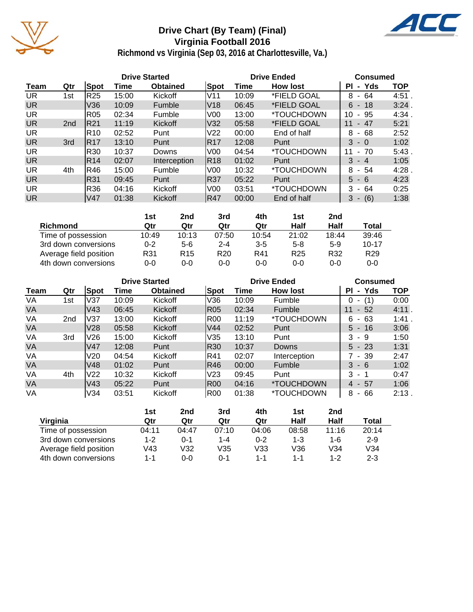

# **Drive Chart (By Team) (Final) Virginia Football 2016**



**Richmond vs Virginia (Sep 03, 2016 at Charlottesville, Va.)**

|           |                 |                 |       | <b>Drive Started</b> |                 |       | <b>Drive Ended</b>       | <b>Consumed</b>    |            |
|-----------|-----------------|-----------------|-------|----------------------|-----------------|-------|--------------------------|--------------------|------------|
| Team      | Qtr             | Spot            | Time  | <b>Obtained</b>      | Spot            | Time  | <b>How lost</b>          | - Yds<br>ΡI        | <b>TOP</b> |
| UR.       | 1st             | R25             | 15:00 | Kickoff              | IV11            | 10:09 | *FIELD GOAL              | 8<br>- 64          | 4:51.      |
| <b>UR</b> |                 | V36             | 10:09 | Fumble               | IV18            | 06:45 | *FIELD GOAL              | $6 - 18$           | 3:24       |
| <b>UR</b> |                 | R05             | 02:34 | Fumble               | V <sub>00</sub> | 13:00 | <i><b>*TOUCHDOWN</b></i> | 95<br>10<br>$\sim$ | 4:34       |
| <b>UR</b> | 2 <sub>nd</sub> | R21             | 11:19 | Kickoff              | V32             | 05:58 | *FIELD GOAL              | 47<br>11<br>$\sim$ | 5:21       |
| <b>UR</b> |                 | R10             | 02:52 | Punt                 | V <sub>22</sub> | 00:00 | End of half              | - 68<br>8          | 2:52       |
| <b>UR</b> | 3rd             | IR17            | 13:10 | Punt                 | R17             | 12:08 | Punt                     | $3 - 0$            | 1:02       |
| UR.       |                 | R30             | 10:37 | Downs                | V <sub>00</sub> | 04:54 | <i><b>*TOUCHDOWN</b></i> | $-70$<br>11        | 5:43       |
| <b>UR</b> |                 | R14             | 02:07 | Interception         | R18             | 01:02 | Punt                     | 3<br>- 4           | 1:05       |
| UR        | 4th             | R46             | 15:00 | Fumble               | V <sub>00</sub> | 10:32 | *TOUCHDOWN               | 8<br>- 54          | 4:28       |
| <b>UR</b> |                 | R31             | 09:45 | Punt                 | R37             | 05:22 | Punt                     | $5 - 6$            | 4:23       |
| UR.       |                 | R36             | 04:16 | Kickoff              | V <sub>00</sub> | 03:51 | *TOUCHDOWN               | 3<br>- 64          | 0:25       |
| <b>UR</b> |                 | V <sub>47</sub> | 01:38 | Kickoff              | R47             | 00:00 | End of half              | (6)<br>3           | 1:38       |

|                        | 1st     | 2nd             | 3rd             | 4th     | 1st             | 2nd   |                 |
|------------------------|---------|-----------------|-----------------|---------|-----------------|-------|-----------------|
| Richmond               | Qtr     | Qtr             | Qtr             | Qtr     | Half            | Half  | Total           |
| Time of possession     | 10:49   | 10:13           | 07:50           | 10:54   | 21:02           | 18:44 | 39:46           |
| 3rd down conversions   | $0 - 2$ | 5-6             | $2 - 4$         | $3 - 5$ | $5-8$           | $5-9$ | $10 - 17$       |
| Average field position | R31     | R <sub>15</sub> | R <sub>20</sub> | R41     | R <sub>25</sub> | R32   | R <sub>29</sub> |
| 4th down conversions   | $0 - 0$ | 0-0             | $0 - 0$         | $0 - 0$ | $0 - 0$         | 0-0   | $0 - 0$         |

|           |                 |                 |       | <b>Drive Started</b> |                 |       | <b>Drive Ended</b>       | <b>Consumed</b>    |            |
|-----------|-----------------|-----------------|-------|----------------------|-----------------|-------|--------------------------|--------------------|------------|
| Team      | Qtr             | <b>Spot</b>     | Time  | <b>Obtained</b>      | Spot            | Time  | <b>How lost</b>          | - Yds<br>ΡI        | <b>TOP</b> |
| VA        | 1st             | V37             | 10:09 | Kickoff              | V36             | 10:09 | Fumble                   | (1)<br>0<br>۰      | 0:00       |
| <b>VA</b> |                 | V <sub>43</sub> | 06:45 | <b>Kickoff</b>       | IR05            | 02:34 | Fumble                   | $-52$<br>11        | 4:11.      |
| VA        | 2 <sub>nd</sub> | V37             | 13:00 | Kickoff              | R00             | 11:19 | *TOUCHDOWN               | -63<br>6<br>$\sim$ | 1:41       |
| <b>VA</b> |                 | V28             | 05:58 | Kickoff              | V44             | 02:52 | Punt                     | $5 - 16$           | 3:06       |
| VA        | 3rd             | V <sub>26</sub> | 15:00 | Kickoff              | V35             | 13:10 | Punt                     | 3<br>-9            | 1:50       |
| <b>VA</b> |                 | V47             | 12:08 | Punt                 | R30             | 10:37 | Downs                    | $5 - 23$           | 1:31       |
| VA        |                 | V20             | 04:54 | Kickoff              | IR41            | 02:07 | Interception             | - 39               | 2:47       |
| <b>VA</b> |                 | V48             | 01:02 | Punt                 | R46             | 00:00 | Fumble                   | 3<br>- 6           | 1:02       |
| VA        | 4th             | V <sub>22</sub> | 10:32 | Kickoff              | V <sub>23</sub> | 09:45 | Punt                     | 3<br>- 1           | 0:47       |
| VA        |                 | V <sub>43</sub> | 05:22 | Punt                 | IR00            | 04:16 | <i><b>*TOUCHDOWN</b></i> | $4 - 57$           | 1:06       |
| VA        |                 | V34             | 03:51 | Kickoff              | R00             | 01:38 | *TOUCHDOWN               | 66<br>8<br>$\sim$  | 2:13.      |

|                        | 1st   | 2nd   | 3rd     | 4th     | 1st   | 2nd     |         |
|------------------------|-------|-------|---------|---------|-------|---------|---------|
| Virginia               | Qtr   | Qtr   | Qtr     | Qtr     | Half  | Half    | Total   |
| Time of possession     | 04:11 | 04:47 | 07:10   | 04:06   | 08:58 | 11:16   | 20:14   |
| 3rd down conversions   | 1-2   | 0-1   | $1 - 4$ | $0 - 2$ | 1-3   | 1-6     | $2 - 9$ |
| Average field position | V43   | V32   | V35     | V33     | V36   | V34     | V34     |
| 4th down conversions   | 1-1   | 0-0   | ი-1     | 1-1     | 1-1   | $1 - 2$ | $2 - 3$ |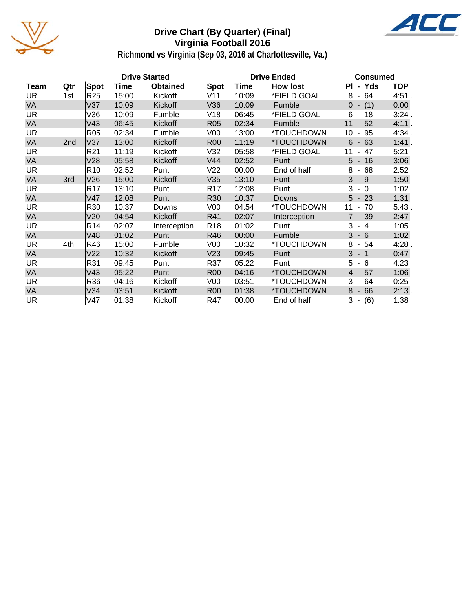

## **Drive Chart (By Quarter) (Final) Virginia Football 2016**



**Richmond vs Virginia (Sep 03, 2016 at Charlottesville, Va.)**

|           |     |                 |       | <b>Drive Started</b> |                 | <b>Drive Ended</b> | <b>Consumed</b> |                                   |            |
|-----------|-----|-----------------|-------|----------------------|-----------------|--------------------|-----------------|-----------------------------------|------------|
| Team      | Qtr | <b>Spot</b>     | Time  | <b>Obtained</b>      | Spot            | Time               | <b>How lost</b> | PI - Yds                          | <b>TOP</b> |
| <b>UR</b> | 1st | R <sub>25</sub> | 15:00 | Kickoff              | V11             | 10:09              | *FIELD GOAL     | $8 - 64$                          | 4:51.      |
| VA        |     | V37             | 10:09 | Kickoff              | V36             | 10:09              | Fumble          | (1)<br>$\Omega$<br>$\blacksquare$ | 0:00       |
| UR.       |     | V36             | 10:09 | Fumble               | V18             | 06:45              | *FIELD GOAL     | 6<br>18<br>$\sim$                 | 3:24.      |
| VA        |     | V43             | 06:45 | Kickoff              | <b>R05</b>      | 02:34              | Fumble          | 52<br>11<br>$\mathbf{L}$          | 4:11.      |
| UR.       |     | <b>R05</b>      | 02:34 | Fumble               | V00             | 13:00              | *TOUCHDOWN      | 95<br>10                          | 4:34.      |
| VA        | 2nd | V37             | 13:00 | Kickoff              | <b>R00</b>      | 11:19              | *TOUCHDOWN      | 6<br>$-63$                        | 1:41.      |
| UR.       |     | R <sub>21</sub> | 11:19 | Kickoff              | V32             | 05:58              | *FIELD GOAL     | 47<br>11                          | 5:21       |
| VA        |     | V28             | 05:58 | Kickoff              | V44             | 02:52              | Punt            | $5 - 16$                          | 3:06       |
| UR.       |     | R <sub>10</sub> | 02:52 | Punt                 | V <sub>22</sub> | 00:00              | End of half     | 68<br>8<br>$\blacksquare$         | 2:52       |
| VA        | 3rd | V26             | 15:00 | Kickoff              | V35             | 13:10              | Punt            | 3<br>$-9$                         | 1:50       |
| UR.       |     | R <sub>17</sub> | 13:10 | Punt                 | R <sub>17</sub> | 12:08              | Punt            | 3<br>$-0$                         | 1:02       |
| VA        |     | V47             | 12:08 | Punt                 | <b>R30</b>      | 10:37              | <b>Downs</b>    | $5 - 23$                          | 1:31       |
| UR.       |     | R30             | 10:37 | Downs                | V <sub>00</sub> | 04:54              | *TOUCHDOWN      | $-70$<br>11                       | 5:43.      |
| <b>VA</b> |     | V20             | 04:54 | Kickoff              | R41             | 02:07              | Interception    | $7 - 39$                          | 2:47       |
| UR.       |     | R <sub>14</sub> | 02:07 | Interception         | R <sub>18</sub> | 01:02              | Punt            | 3<br>$-4$                         | 1:05       |
| VA        |     | V48             | 01:02 | Punt                 | R46             | 00:00              | Fumble          | $3 - 6$                           | 1:02       |
| UR.       | 4th | R46             | 15:00 | Fumble               | V00             | 10:32              | *TOUCHDOWN      | 8<br>$-54$                        | 4:28.      |
| <b>VA</b> |     | V <sub>22</sub> | 10:32 | Kickoff              | V <sub>23</sub> | 09:45              | Punt            | $3 - 1$                           | 0:47       |
| <b>UR</b> |     | R31             | 09:45 | Punt                 | R37             | 05:22              | Punt            | 5<br>$-6$                         | 4:23       |
| VA        |     | V43             | 05:22 | Punt                 | <b>R00</b>      | 04:16              | *TOUCHDOWN      | $4 - 57$                          | 1:06       |
| UR.       |     | R36             | 04:16 | Kickoff              | V <sub>00</sub> | 03:51              | *TOUCHDOWN      | 3<br>64<br>$\blacksquare$         | 0:25       |
| VA        |     | V34             | 03:51 | Kickoff              | <b>R00</b>      | 01:38              | *TOUCHDOWN      | 8<br>66<br>$\sim$                 | 2:13.      |
| UR.       |     | V47             | 01:38 | Kickoff              | R47             | 00:00              | End of half     | 3<br>(6)<br>$\blacksquare$        | 1:38       |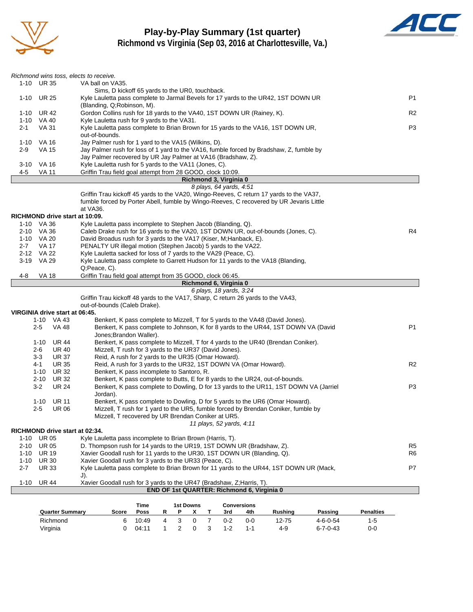

# **Play-by-Play Summary (1st quarter)**



**Richmond vs Virginia (Sep 03, 2016 at Charlottesville, Va.)**

|                                |                     |                                | Richmond wins toss, elects to receive.                                                                                           |       |                |   |              |                |                          |                                            |                                                                                       |                  |                  |                |
|--------------------------------|---------------------|--------------------------------|----------------------------------------------------------------------------------------------------------------------------------|-------|----------------|---|--------------|----------------|--------------------------|--------------------------------------------|---------------------------------------------------------------------------------------|------------------|------------------|----------------|
| 1-10 UR 35<br>VA ball on VA35. |                     |                                |                                                                                                                                  |       |                |   |              |                |                          |                                            |                                                                                       |                  |                  |                |
|                                |                     |                                | Sims, D kickoff 65 yards to the UR0, touchback.                                                                                  |       |                |   |              |                |                          |                                            |                                                                                       |                  |                  |                |
| $1 - 10$                       | UR 25               |                                | Kyle Lauletta pass complete to Jarmal Bevels for 17 yards to the UR42, 1ST DOWN UR                                               |       |                |   |              |                |                          |                                            |                                                                                       |                  |                  | P1             |
|                                |                     |                                | (Blanding, Q; Robinson, M).                                                                                                      |       |                |   |              |                |                          |                                            |                                                                                       |                  |                  |                |
| 1-10                           | <b>UR 42</b>        |                                | Gordon Collins rush for 18 yards to the VA40, 1ST DOWN UR (Rainey, K).                                                           |       |                |   |              |                |                          |                                            |                                                                                       |                  |                  | R2             |
| $2 - 1$                        | 1-10 VA 40<br>VA 31 |                                | Kyle Lauletta rush for 9 yards to the VA31.<br>Kyle Lauletta pass complete to Brian Brown for 15 yards to the VA16, 1ST DOWN UR, |       |                |   |              |                |                          |                                            |                                                                                       |                  |                  | P3             |
|                                |                     |                                | out-of-bounds.                                                                                                                   |       |                |   |              |                |                          |                                            |                                                                                       |                  |                  |                |
|                                | 1-10 VA 16          |                                | Jay Palmer rush for 1 yard to the VA15 (Wilkins, D).                                                                             |       |                |   |              |                |                          |                                            |                                                                                       |                  |                  |                |
| $2-9$                          | <b>VA 15</b>        |                                | Jay Palmer rush for loss of 1 yard to the VA16, fumble forced by Bradshaw, Z, fumble by                                          |       |                |   |              |                |                          |                                            |                                                                                       |                  |                  |                |
|                                |                     |                                | Jay Palmer recovered by UR Jay Palmer at VA16 (Bradshaw, Z).                                                                     |       |                |   |              |                |                          |                                            |                                                                                       |                  |                  |                |
|                                | 3-10 VA 16          |                                | Kyle Lauletta rush for 5 yards to the VA11 (Jones, C).                                                                           |       |                |   |              |                |                          |                                            |                                                                                       |                  |                  |                |
| 4-5                            | VA 11               |                                | Griffin Trau field goal attempt from 28 GOOD, clock 10:09.                                                                       |       |                |   |              |                |                          |                                            |                                                                                       |                  |                  |                |
|                                |                     |                                |                                                                                                                                  |       |                |   |              |                | Richmond 3, Virginia 0   |                                            |                                                                                       |                  |                  |                |
|                                |                     |                                |                                                                                                                                  |       |                |   |              |                | 8 plays, 64 yards, 4:51  |                                            |                                                                                       |                  |                  |                |
|                                |                     |                                | Griffin Trau kickoff 45 yards to the VA20, Wingo-Reeves, C return 17 yards to the VA37,                                          |       |                |   |              |                |                          |                                            |                                                                                       |                  |                  |                |
|                                |                     |                                | fumble forced by Porter Abell, fumble by Wingo-Reeves, C recovered by UR Jevaris Little<br>at VA36.                              |       |                |   |              |                |                          |                                            |                                                                                       |                  |                  |                |
|                                |                     |                                | RICHMOND drive start at 10:09.                                                                                                   |       |                |   |              |                |                          |                                            |                                                                                       |                  |                  |                |
|                                | 1-10 VA 36          |                                | Kyle Lauletta pass incomplete to Stephen Jacob (Blanding, Q).                                                                    |       |                |   |              |                |                          |                                            |                                                                                       |                  |                  |                |
|                                | 2-10 VA 36          |                                | Caleb Drake rush for 16 yards to the VA20, 1ST DOWN UR, out-of-bounds (Jones, C).                                                |       |                |   |              |                |                          |                                            |                                                                                       |                  |                  | R4             |
|                                | 1-10 VA 20          |                                | David Broadus rush for 3 yards to the VA17 (Kiser, M; Hanback, E).                                                               |       |                |   |              |                |                          |                                            |                                                                                       |                  |                  |                |
| $2 - 7$                        | VA 17               |                                | PENALTY UR illegal motion (Stephen Jacob) 5 yards to the VA22.                                                                   |       |                |   |              |                |                          |                                            |                                                                                       |                  |                  |                |
|                                | 2-12 VA 22          |                                | Kyle Lauletta sacked for loss of 7 yards to the VA29 (Peace, C).                                                                 |       |                |   |              |                |                          |                                            |                                                                                       |                  |                  |                |
|                                | 3-19 VA 29          |                                | Kyle Lauletta pass complete to Garrett Hudson for 11 yards to the VA18 (Blanding,                                                |       |                |   |              |                |                          |                                            |                                                                                       |                  |                  |                |
|                                |                     |                                | Q;Peace, C).                                                                                                                     |       |                |   |              |                |                          |                                            |                                                                                       |                  |                  |                |
| 4-8                            | VA 18               |                                | Griffin Trau field goal attempt from 35 GOOD, clock 06:45.                                                                       |       |                |   |              |                |                          |                                            |                                                                                       |                  |                  |                |
|                                |                     |                                |                                                                                                                                  |       |                |   |              |                | Richmond 6, Virginia 0   |                                            |                                                                                       |                  |                  |                |
|                                |                     |                                | Griffin Trau kickoff 48 yards to the VA17, Sharp, C return 26 yards to the VA43,                                                 |       |                |   |              |                | 6 plays, 18 yards, 3:24  |                                            |                                                                                       |                  |                  |                |
|                                |                     |                                | out-of-bounds (Caleb Drake).                                                                                                     |       |                |   |              |                |                          |                                            |                                                                                       |                  |                  |                |
|                                |                     | VIRGINIA drive start at 06:45. |                                                                                                                                  |       |                |   |              |                |                          |                                            |                                                                                       |                  |                  |                |
|                                |                     | 1-10 VA 43                     |                                                                                                                                  |       |                |   |              |                |                          |                                            | Benkert, K pass complete to Mizzell, T for 5 yards to the VA48 (David Jones).         |                  |                  |                |
|                                | $2 - 5$             | VA 48                          |                                                                                                                                  |       |                |   |              |                |                          |                                            | Benkert, K pass complete to Johnson, K for 8 yards to the UR44, 1ST DOWN VA (David    |                  |                  | P1             |
|                                |                     |                                | Jones; Brandon Waller).                                                                                                          |       |                |   |              |                |                          |                                            |                                                                                       |                  |                  |                |
|                                | 1-10                | UR 44                          |                                                                                                                                  |       |                |   |              |                |                          |                                            | Benkert, K pass complete to Mizzell, T for 4 yards to the UR40 (Brendan Coniker).     |                  |                  |                |
|                                | 2-6                 | UR 40                          | Mizzell, T rush for 3 yards to the UR37 (David Jones).                                                                           |       |                |   |              |                |                          |                                            |                                                                                       |                  |                  |                |
|                                | $3 - 3$             | <b>UR 37</b>                   | Reid, A rush for 2 yards to the UR35 (Omar Howard).                                                                              |       |                |   |              |                |                          |                                            |                                                                                       |                  |                  |                |
|                                | 4-1                 | <b>UR 35</b>                   | Reid, A rush for 3 yards to the UR32, 1ST DOWN VA (Omar Howard).                                                                 |       |                |   |              |                |                          |                                            |                                                                                       |                  |                  | R <sub>2</sub> |
|                                | $1 - 10$            | <b>UR 32</b><br>2-10 UR 32     | Benkert, K pass incomplete to Santoro, R.                                                                                        |       |                |   |              |                |                          |                                            | Benkert, K pass complete to Butts, E for 8 yards to the UR24, out-of-bounds.          |                  |                  |                |
|                                | $3-2$               | <b>UR 24</b>                   |                                                                                                                                  |       |                |   |              |                |                          |                                            | Benkert, K pass complete to Dowling, D for 13 yards to the UR11, 1ST DOWN VA (Jarriel |                  |                  | P3             |
|                                |                     |                                | Jordan).                                                                                                                         |       |                |   |              |                |                          |                                            |                                                                                       |                  |                  |                |
|                                | $1 - 10$            | <b>UR 11</b>                   |                                                                                                                                  |       |                |   |              |                |                          |                                            | Benkert, K pass complete to Dowling, D for 5 yards to the UR6 (Omar Howard).          |                  |                  |                |
|                                | $2 - 5$             | <b>UR 06</b>                   |                                                                                                                                  |       |                |   |              |                |                          |                                            | Mizzell, T rush for 1 yard to the UR5, fumble forced by Brendan Coniker, fumble by    |                  |                  |                |
|                                |                     |                                | Mizzell, T recovered by UR Brendan Coniker at UR5.                                                                               |       |                |   |              |                |                          |                                            |                                                                                       |                  |                  |                |
|                                |                     |                                |                                                                                                                                  |       |                |   |              |                | 11 plays, 52 yards, 4:11 |                                            |                                                                                       |                  |                  |                |
|                                |                     |                                | RICHMOND drive start at 02:34.                                                                                                   |       |                |   |              |                |                          |                                            |                                                                                       |                  |                  |                |
| $1 - 10$                       | <b>UR 05</b>        |                                | Kyle Lauletta pass incomplete to Brian Brown (Harris, T).                                                                        |       |                |   |              |                |                          |                                            |                                                                                       |                  |                  |                |
| $2 - 10$                       | <b>UR 05</b>        |                                | D. Thompson rush for 14 yards to the UR19, 1ST DOWN UR (Bradshaw, Z).                                                            |       |                |   |              |                |                          |                                            |                                                                                       |                  |                  | R <sub>5</sub> |
| $1 - 10$                       | <b>UR 19</b>        |                                | Xavier Goodall rush for 11 yards to the UR30, 1ST DOWN UR (Blanding, Q).                                                         |       |                |   |              |                |                          |                                            |                                                                                       |                  |                  | R <sub>6</sub> |
| $1 - 10$                       | <b>UR 30</b>        |                                | Xavier Goodall rush for 3 yards to the UR33 (Peace, C).                                                                          |       |                |   |              |                |                          |                                            |                                                                                       |                  |                  |                |
| $2 - 7$                        | <b>UR33</b>         |                                | Kyle Lauletta pass complete to Brian Brown for 11 yards to the UR44, 1ST DOWN UR (Mack,<br>$J$ ).                                |       |                |   |              |                |                          |                                            |                                                                                       |                  |                  | P7             |
| $1 - 10$                       | <b>UR 44</b>        |                                | Xavier Goodall rush for 3 yards to the UR47 (Bradshaw, Z; Harris, T).                                                            |       |                |   |              |                |                          |                                            |                                                                                       |                  |                  |                |
|                                |                     |                                |                                                                                                                                  |       |                |   |              |                |                          | END OF 1st QUARTER: Richmond 6, Virginia 0 |                                                                                       |                  |                  |                |
|                                |                     |                                |                                                                                                                                  |       |                |   |              |                |                          |                                            |                                                                                       |                  |                  |                |
|                                |                     |                                |                                                                                                                                  | Time  |                |   | 1st Downs    |                |                          | <b>Conversions</b>                         |                                                                                       |                  |                  |                |
|                                |                     | <b>Quarter Summary</b>         | Score                                                                                                                            | Poss  | R              | Ρ | x            | т              | 3rd                      | 4th                                        | Rushing                                                                               | Passing          | <b>Penalties</b> |                |
|                                |                     | Richmond                       | 6                                                                                                                                | 10:49 | $\overline{4}$ | 3 | $\mathbf{0}$ | $\overline{7}$ | $0 - 2$                  | $0-0$                                      | 12-75                                                                                 | $4 - 6 - 0 - 54$ | $1 - 5$          |                |

Virginia 0 04:11 1 2 0 3 1-2 1-1 4-9 6-7-0-43 0-0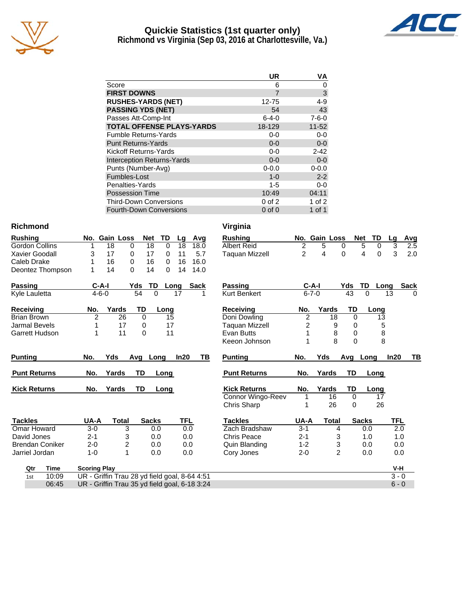

## **Quickie Statistics (1st quarter only) Richmond vs Virginia (Sep 03, 2016 at Charlottesville, Va.)**



|                                   | UR          | VA          |
|-----------------------------------|-------------|-------------|
| Score                             | 6           | 0           |
| <b>FIRST DOWNS</b>                | 7           | $\mathsf 3$ |
| <b>RUSHES-YARDS (NET)</b>         | 12-75       | $4 - 9$     |
| <b>PASSING YDS (NET)</b>          | 54          | 43          |
| Passes Att-Comp-Int               | $6 - 4 - 0$ | $7 - 6 - 0$ |
| <b>TOTAL OFFENSE PLAYS-YARDS</b>  | 18-129      | $11 - 52$   |
| <b>Fumble Returns-Yards</b>       | $0-0$       | $0-0$       |
| <b>Punt Returns-Yards</b>         | $0 - 0$     | $0-0$       |
| <b>Kickoff Returns-Yards</b>      | $0-0$       | $2 - 42$    |
| <b>Interception Returns-Yards</b> | $0 - 0$     | $0-0$       |
| Punts (Number-Avg)                | $0 - 0.0$   | $0 - 0.0$   |
| Fumbles-Lost                      | $1 - 0$     | $2 - 2$     |
| Penalties-Yards                   | $1 - 5$     | $0-0$       |
| <b>Possession Time</b>            | 10:49       | 04:11       |
| <b>Third-Down Conversions</b>     | $0$ of $2$  | 1 of $2$    |
| <b>Fourth-Down Conversions</b>    | $0$ of $0$  | 1 of 1      |

06:45 UR - Griffin Trau 35 yd field goal, 6-18 3:24 6 - 0 6 - 0 6 - 0 6 - 0 6 - 0 6 - 0 6 - 0 6 - 0 6 - 0 6 - 0

#### **Richmond Virginia**

| Rushing               |    |    | No. Gain Loss Net TD Lg Avg |    |          |              |             |
|-----------------------|----|----|-----------------------------|----|----------|--------------|-------------|
| <b>Gordon Collins</b> |    | 18 | 0                           | 18 | 0        |              | 18 18.0     |
| Xavier Goodall        | 3. | 17 | $\Omega$                    | 17 |          | $0 \quad 11$ | 5.7         |
| Caleb Drake           |    | 16 | 0                           | 16 | $\Omega$ |              | 16 16.0     |
| Deontez Thompson      |    | 14 | 0                           | 14 |          |              | $0.14$ 14.0 |

| <b>Passing</b> | $C-A-I$ |     | Yds TD Long Sack |  |
|----------------|---------|-----|------------------|--|
| Kyle Lauletta  | 4-6-0   | -54 |                  |  |

| <b>Receiving</b>   | No. | Yards | TD. | Lona |
|--------------------|-----|-------|-----|------|
| <b>Brian Brown</b> |     | 26    |     | 15   |
| Jarmal Bevels      |     |       |     | 17   |
| Garrett Hudson     |     | 11    |     |      |

| <b>Punting</b>      | No. | Yds   |    | Ava Lona | <b>In20</b> | ΤВ | Puntina             | No. | Yds   | Ava | Lona |
|---------------------|-----|-------|----|----------|-------------|----|---------------------|-----|-------|-----|------|
| <b>Punt Returns</b> | No. | Yards | TD | Lona     |             |    | <b>Punt Returns</b> | No. | Yards | TD. | Lona |
| <b>Kick Returns</b> | No. | Yards | TD | Lona     |             |    | <b>Kick Returns</b> | No. | Yards | TD. | Long |

| <b>Tackles</b>  | UA-A    | Total | <b>Sacks</b> | <b>TFL</b> |
|-----------------|---------|-------|--------------|------------|
| Omar Howard     | 3-0     | З     | 0.0          | 0.0        |
| David Jones     | $2 - 1$ | 3     | 0.O          | 0.0        |
| Brendan Coniker | $2-0$   | 2     | 0.O          | 0.O        |
| Jarriel Jordan  | $1 - 0$ |       | 0.O          | 0.0        |

| <b>Rushing</b>         |                     | No. Gain Loss  | <b>Net</b>   | TD             | Avg<br>Lg                                     | <b>Rushing</b>      |                | No. Gain Loss  | <b>Net</b>  | <b>TD</b>     | <b>Avg</b><br>Lg    |          |
|------------------------|---------------------|----------------|--------------|----------------|-----------------------------------------------|---------------------|----------------|----------------|-------------|---------------|---------------------|----------|
| Gordon Collins         |                     | 18<br>0        | 18           | $\Omega$       | 18<br>18.0                                    | <b>Albert Reid</b>  | 2              | 5              | 0           | 5<br>0        | 3                   | 2.5      |
| Xavier Goodall         | 3                   | 17<br>0        | 17           | 0              | 5.7<br>11                                     | Taquan Mizzell      | $\overline{2}$ | 4              | 0           | 4<br>$\Omega$ | 3                   | 2.0      |
| Caleb Drake            |                     | 16<br>0        | 16           | 0              | 16.0<br>16                                    |                     |                |                |             |               |                     |          |
| Deontez Thompson       | 1                   | 14<br>$\Omega$ | 14           | $\Omega$       | 14<br>14.0                                    |                     |                |                |             |               |                     |          |
| Passing                | $C-A-I$             |                | Yds<br>TD    | Long           | <b>Sack</b>                                   | <b>Passing</b>      |                | $C-A-I$        | Yds         | TD            | <b>Sack</b><br>Long |          |
| <b>Kyle Lauletta</b>   | $4 - 6 - 0$         |                | 54           | $\Omega$<br>17 | 1                                             | <b>Kurt Benkert</b> | $6 - 7 - 0$    |                | 43          | $\Omega$      | 13                  | $\Omega$ |
| Receiving              | No.                 | Yards          | TD           | Long           |                                               | Receiving           | No.            | Yards          | TD          | Long          |                     |          |
| Brian Brown            | $\overline{2}$      | 26             | 0            | 15             |                                               | Doni Dowling        | 2              | 18             | 0           | 13            |                     |          |
| <b>Jarmal Bevels</b>   |                     | 17             | 0            | 17             |                                               | Taguan Mizzell      | 2              | 9              | 0           | 5             |                     |          |
| Garrett Hudson         |                     | 11             | $\Omega$     | 11             |                                               | Evan Butts          |                | 8              | 0           | 8             |                     |          |
|                        |                     |                |              |                |                                               | Keeon Johnson       |                | 8              | $\Omega$    | 8             |                     |          |
| <b>Punting</b>         | No.                 | Yds            | Avg Long     |                | In20<br>TВ                                    | <b>Punting</b>      | No.            | Yds            | Avg         | Long          | In20                | TВ       |
| <b>Punt Returns</b>    | No.                 | Yards          | <b>TD</b>    | Long           |                                               | <b>Punt Returns</b> | No.            | Yards          | <b>TD</b>   | Long          |                     |          |
| <b>Kick Returns</b>    | No.                 | Yards          | TD           | Long           |                                               | <b>Kick Returns</b> | No.            | Yards          | TD          | Long          |                     |          |
|                        |                     |                |              |                |                                               | Connor Wingo-Reev   |                | 16             | $\mathbf 0$ | 17            |                     |          |
|                        |                     |                |              |                |                                               | Chris Sharp         |                | 26             | $\Omega$    | 26            |                     |          |
| <b>Tackles</b>         | UA-A                | <b>Total</b>   | <b>Sacks</b> |                | TFL                                           | <b>Tackles</b>      | UA-A           | <b>Total</b>   |             | <b>Sacks</b>  | <b>TFL</b>          |          |
| Omar Howard            | $3-0$               | 3              |              | 0.0            | 0.0                                           | Zach Bradshaw       | $3 - 1$        | 4              |             | 0.0           | $\overline{2.0}$    |          |
| David Jones            | $2 - 1$             | 3              |              | 0.0            | 0.0                                           | <b>Chris Peace</b>  | $2 - 1$        | 3              |             | 1.0           | 1.0                 |          |
| <b>Brendan Coniker</b> | $2 - 0$             | 2              |              | 0.0            | 0.0                                           | Quin Blanding       | $1 - 2$        | 3              |             | 0.0           | 0.0                 |          |
| Jarriel Jordan         | $1 - 0$             | 1              |              | 0.0            | 0.0                                           | Cory Jones          | $2 - 0$        | $\overline{2}$ |             | 0.0           | 0.0                 |          |
| Time<br>Qtr            | <b>Scoring Play</b> |                |              |                |                                               |                     |                |                |             |               | V-H                 |          |
| 10:09<br>1st           |                     |                |              |                | UR - Griffin Trau 28 yd field goal, 8-64 4:51 |                     |                |                |             |               | $3 - 0$             |          |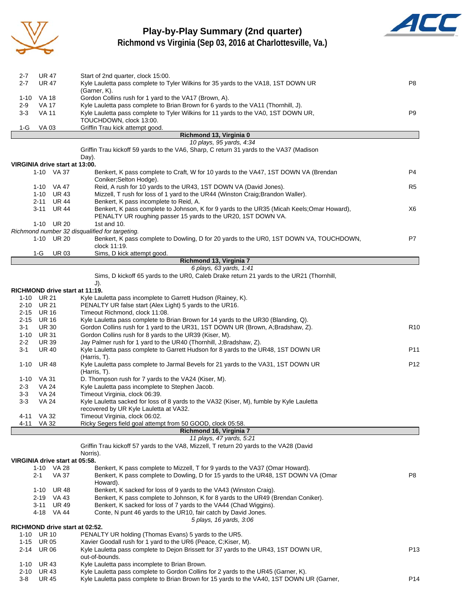

# **Play-by-Play Summary (2nd quarter)**



**Richmond vs Virginia (Sep 03, 2016 at Charlottesville, Va.)**

| 2-7      | <b>UR 47</b>                   | Start of 2nd quarter, clock 15:00.                                                                     |                 |
|----------|--------------------------------|--------------------------------------------------------------------------------------------------------|-----------------|
| $2 - 7$  | <b>UR 47</b>                   | Kyle Lauletta pass complete to Tyler Wilkins for 35 yards to the VA18, 1ST DOWN UR                     | P8              |
|          |                                | (Garner, K).                                                                                           |                 |
| 1-10     | VA 18                          | Gordon Collins rush for 1 yard to the VA17 (Brown, A).                                                 |                 |
| 2-9      | VA 17                          | Kyle Lauletta pass complete to Brian Brown for 6 yards to the VA11 (Thornhill, J).                     |                 |
| 3-3      | <b>VA 11</b>                   | Kyle Lauletta pass complete to Tyler Wilkins for 11 yards to the VA0, 1ST DOWN UR,                     | P9              |
|          |                                | TOUCHDOWN, clock 13:00.                                                                                |                 |
| 1-G      | VA 03                          | Griffin Trau kick attempt good.                                                                        |                 |
|          |                                | Richmond 13, Virginia 0<br>10 plays, 95 yards, 4:34                                                    |                 |
|          |                                | Griffin Trau kickoff 59 yards to the VA6, Sharp, C return 31 yards to the VA37 (Madison                |                 |
|          |                                | Day).                                                                                                  |                 |
|          | VIRGINIA drive start at 13:00. |                                                                                                        |                 |
|          | 1-10 VA 37                     | Benkert, K pass complete to Craft, W for 10 yards to the VA47, 1ST DOWN VA (Brendan                    | P4              |
|          |                                | Coniker;Selton Hodge).                                                                                 |                 |
|          | 1-10 VA 47                     | Reid, A rush for 10 yards to the UR43, 1ST DOWN VA (David Jones).                                      | R5              |
|          | 1-10 UR 43                     | Mizzell, T rush for loss of 1 yard to the UR44 (Winston Craig; Brandon Waller).                        |                 |
|          | 2-11 UR 44                     | Benkert, K pass incomplete to Reid, A.                                                                 |                 |
|          | 3-11 UR 44                     | Benkert, K pass complete to Johnson, K for 9 yards to the UR35 (Micah Keels;Omar Howard),              | X6              |
|          |                                | PENALTY UR roughing passer 15 yards to the UR20, 1ST DOWN VA.                                          |                 |
|          | 1-10 UR 20                     | 1st and 10.                                                                                            |                 |
|          |                                | Richmond number 32 disqualified for targeting.                                                         |                 |
|          | 1-10 UR 20                     | Benkert, K pass complete to Dowling, D for 20 yards to the UR0, 1ST DOWN VA, TOUCHDOWN,                | P7              |
|          |                                | clock 11:19.                                                                                           |                 |
|          | 1-G<br>UR 03                   | Sims, D kick attempt good.                                                                             |                 |
|          |                                | Richmond 13, Virginia 7                                                                                |                 |
|          |                                | 6 plays, 63 yards, 1:41                                                                                |                 |
|          |                                | Sims, D kickoff 65 yards to the UR0, Caleb Drake return 21 yards to the UR21 (Thornhill,               |                 |
|          | RICHMOND drive start at 11:19. | $J$ ).                                                                                                 |                 |
|          | 1-10 UR 21                     | Kyle Lauletta pass incomplete to Garrett Hudson (Rainey, K).                                           |                 |
| 2-10     | <b>UR 21</b>                   | PENALTY UR false start (Alex Light) 5 yards to the UR16.                                               |                 |
| 2-15     | <b>UR 16</b>                   | Timeout Richmond, clock 11:08.                                                                         |                 |
| $2 - 15$ | <b>UR 16</b>                   | Kyle Lauletta pass complete to Brian Brown for 14 yards to the UR30 (Blanding, Q).                     |                 |
| 3-1      | <b>UR 30</b>                   | Gordon Collins rush for 1 yard to the UR31, 1ST DOWN UR (Brown, A;Bradshaw, Z).                        | R <sub>10</sub> |
| 1-10     | <b>UR 31</b>                   | Gordon Collins rush for 8 yards to the UR39 (Kiser, M).                                                |                 |
| $2 - 2$  | <b>UR 39</b>                   | Jay Palmer rush for 1 yard to the UR40 (Thornhill, J;Bradshaw, Z).                                     |                 |
| 3-1      | <b>UR 40</b>                   | Kyle Lauletta pass complete to Garrett Hudson for 8 yards to the UR48, 1ST DOWN UR                     | P11             |
|          |                                | (Harris, T).                                                                                           |                 |
| 1-10     | <b>UR 48</b>                   | Kyle Lauletta pass complete to Jarmal Bevels for 21 yards to the VA31, 1ST DOWN UR                     | P <sub>12</sub> |
|          |                                | (Harris, T).                                                                                           |                 |
| 1-10     | VA 31                          | D. Thompson rush for 7 yards to the VA24 (Kiser, M).                                                   |                 |
| 2-3      | VA 24                          | Kyle Lauletta pass incomplete to Stephen Jacob.                                                        |                 |
| 3-3      | VA 24                          | Timeout Virginia, clock 06:39.                                                                         |                 |
| 3-3      | <b>VA 24</b>                   | Kyle Lauletta sacked for loss of 8 yards to the VA32 (Kiser, M), fumble by Kyle Lauletta               |                 |
|          |                                | recovered by UR Kyle Lauletta at VA32.                                                                 |                 |
|          | 4-11 VA 32                     | Timeout Virginia, clock 06:02.                                                                         |                 |
| 4-11     | VA 32                          | Ricky Segers field goal attempt from 50 GOOD, clock 05:58.<br>Richmond 16, Virginia 7                  |                 |
|          |                                | 11 plays, 47 yards, 5:21                                                                               |                 |
|          |                                | Griffin Trau kickoff 57 yards to the VA8, Mizzell, T return 20 yards to the VA28 (David                |                 |
|          |                                | Norris).                                                                                               |                 |
|          | VIRGINIA drive start at 05:58. |                                                                                                        |                 |
|          | 1-10 VA 28                     | Benkert, K pass complete to Mizzell, T for 9 yards to the VA37 (Omar Howard).                          |                 |
|          | <b>VA 37</b><br>2-1            | Benkert, K pass complete to Dowling, D for 15 yards to the UR48, 1ST DOWN VA (Omar                     | P8              |
|          |                                | Howard).                                                                                               |                 |
|          | <b>UR 48</b><br>1-10           | Benkert, K sacked for loss of 9 yards to the VA43 (Winston Craig).                                     |                 |
|          | 2-19 VA 43                     | Benkert, K pass complete to Johnson, K for 8 yards to the UR49 (Brendan Coniker).                      |                 |
|          | 3-11 UR 49                     | Benkert, K sacked for loss of 7 yards to the VA44 (Chad Wiggins).                                      |                 |
|          | 4-18 VA 44                     | Conte, N punt 46 yards to the UR10, fair catch by David Jones.                                         |                 |
|          |                                | 5 plays, 16 yards, 3:06                                                                                |                 |
|          | RICHMOND drive start at 02:52. |                                                                                                        |                 |
|          | 1-10 UR 10                     | PENALTY UR holding (Thomas Evans) 5 yards to the UR5.                                                  |                 |
| 1-15     | <b>UR 05</b>                   | Xavier Goodall rush for 1 yard to the UR6 (Peace, C;Kiser, M).                                         |                 |
| 2-14     | <b>UR 06</b>                   | Kyle Lauletta pass complete to Dejon Brissett for 37 yards to the UR43, 1ST DOWN UR,<br>out-of-bounds. | P <sub>13</sub> |
| 1-10     | <b>UR43</b>                    | Kyle Lauletta pass incomplete to Brian Brown.                                                          |                 |
| 2-10     | <b>UR43</b>                    | Kyle Lauletta pass complete to Gordon Collins for 2 yards to the UR45 (Garner, K).                     |                 |
| $3 - 8$  | <b>UR 45</b>                   | Kyle Lauletta pass complete to Brian Brown for 15 yards to the VA40, 1ST DOWN UR (Garner,              | P <sub>14</sub> |
|          |                                |                                                                                                        |                 |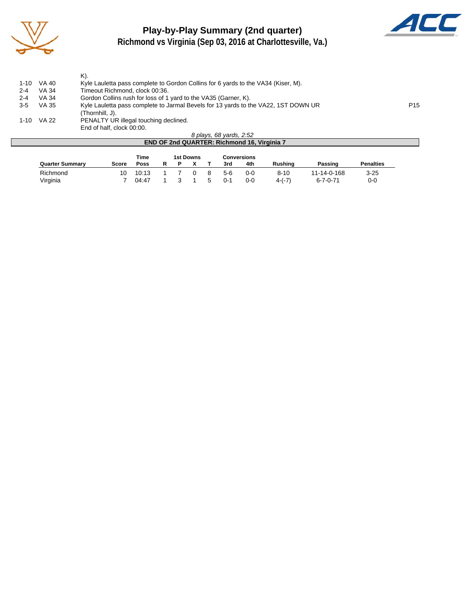

# **Play-by-Play Summary (2nd quarter)**



**Richmond vs Virginia (Sep 03, 2016 at Charlottesville, Va.)**

|         |       | K).                                                                                                   |  |  |  |  |  |  |
|---------|-------|-------------------------------------------------------------------------------------------------------|--|--|--|--|--|--|
| 1-10    | VA 40 | Kyle Lauletta pass complete to Gordon Collins for 6 yards to the VA34 (Kiser, M).                     |  |  |  |  |  |  |
| $2 - 4$ | VA 34 | Timeout Richmond, clock 00:36.                                                                        |  |  |  |  |  |  |
| $2 - 4$ | VA 34 | Gordon Collins rush for loss of 1 yard to the VA35 (Garner, K).                                       |  |  |  |  |  |  |
| $3-5$   | VA 35 | P <sub>15</sub><br>Kyle Lauletta pass complete to Jarmal Bevels for 13 yards to the VA22, 1ST DOWN UR |  |  |  |  |  |  |
|         |       | (Thornhill, J).                                                                                       |  |  |  |  |  |  |
| 1-10    | VA 22 | PENALTY UR illegal touching declined.                                                                 |  |  |  |  |  |  |
|         |       | End of half, clock 00:00.                                                                             |  |  |  |  |  |  |
|         |       | 8 plays, 68 yards, 2:52                                                                               |  |  |  |  |  |  |

|                        | $O$ $P1$ $O2$ , $O3$ , $O4$ , $O5$ , $O6$ , $O7$ , $O8$ , $O9$ , $O9$ |       |  |  |  |  |     |     |          |             |                  |  |  |  |
|------------------------|-----------------------------------------------------------------------|-------|--|--|--|--|-----|-----|----------|-------------|------------------|--|--|--|
|                        | <b>END OF 2nd QUARTER: Richmond 16, Virginia 7</b>                    |       |  |  |  |  |     |     |          |             |                  |  |  |  |
|                        | Time<br>1st Downs<br>Conversions                                      |       |  |  |  |  |     |     |          |             |                  |  |  |  |
|                        |                                                                       |       |  |  |  |  |     |     |          |             |                  |  |  |  |
| <b>Quarter Summary</b> | Score                                                                 | Poss  |  |  |  |  | 3rd | 4th | Rushina  | Passing     | <b>Penalties</b> |  |  |  |
| Richmond               | 10                                                                    | 10:13 |  |  |  |  | 5-6 | 0-0 | $8 - 10$ | 11-14-0-168 | $3 - 25$         |  |  |  |

Virginia 7 04:47 1 3 1 5 0-1 0-0 4-(-7) 6-7-0-71 0-0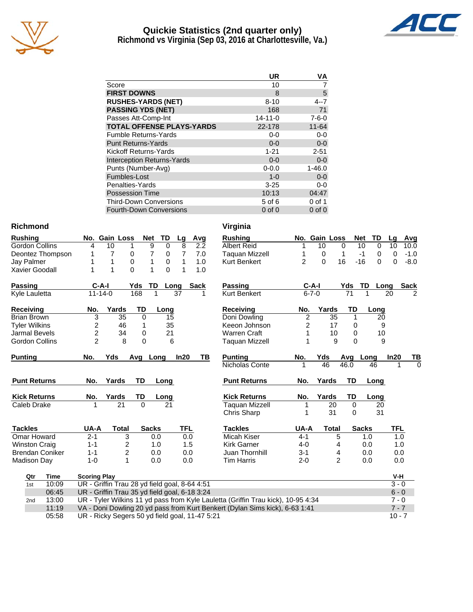

## **Quickie Statistics (2nd quarter only) Richmond vs Virginia (Sep 03, 2016 at Charlottesville, Va.)**



|                                   | UR            | ٧A          |
|-----------------------------------|---------------|-------------|
| Score                             | 10            |             |
| <b>FIRST DOWNS</b>                | 8             | 5           |
| <b>RUSHES-YARDS (NET)</b>         | $8 - 10$      | 4--7        |
| <b>PASSING YDS (NET)</b>          | 168           | 71          |
| Passes Att-Comp-Int               | $14 - 11 - 0$ | $7 - 6 - 0$ |
| <b>TOTAL OFFENSE PLAYS-YARDS</b>  | 22-178        | $11 - 64$   |
| <b>Fumble Returns-Yards</b>       | $0 - 0$       | $0-0$       |
| <b>Punt Returns-Yards</b>         | $0 - 0$       | $0-0$       |
| Kickoff Returns-Yards             | $1 - 21$      | $2 - 51$    |
| <b>Interception Returns-Yards</b> | $0 - 0$       | $0-0$       |
| Punts (Number-Avg)                | $0 - 0.0$     | $1 - 46.0$  |
| Fumbles-Lost                      | $1 - 0$       | $0-0$       |
| Penalties-Yards                   | $3 - 25$      | $0-0$       |
| <b>Possession Time</b>            | 10:13         | 04:47       |
| <b>Third-Down Conversions</b>     | 5 of 6        | $0$ of 1    |
| <b>Fourth-Down Conversions</b>    | $0$ of $0$    | $0$ of $0$  |

#### **Richmond Virginia**

| <b>Rushing</b>         |                                                | No. Gain Loss  |                 | <b>Net</b>     | <b>TD</b>       | Lg         | Avg         |    | <b>Rushing</b>                                                                   |                | No. Gain Loss |                 | <b>Net</b>      | TD                | Lg         | Avg         |
|------------------------|------------------------------------------------|----------------|-----------------|----------------|-----------------|------------|-------------|----|----------------------------------------------------------------------------------|----------------|---------------|-----------------|-----------------|-------------------|------------|-------------|
| <b>Gordon Collins</b>  | 4                                              | 10             | 1               | 9              | 0               | 8          | 2.2         |    | <b>Albert Reid</b>                                                               | 1              | 10            |                 | 0               | 10<br>0           | 10         | 10.0        |
| Deontez Thompson       | 1                                              | $\overline{7}$ | 0               | 7              | 0               | 7          | 7.0         |    | <b>Taquan Mizzell</b>                                                            | 1              | 0             |                 | 1               | $-1$<br>0         | 0          | $-1.0$      |
| Jay Palmer             | 1                                              | 1              | $\Omega$        | 1              | 0               | 1          | 1.0         |    | <b>Kurt Benkert</b>                                                              | $\overline{2}$ | 0             | 16              |                 | $-16$<br>$\Omega$ | 0          | $-8.0$      |
| <b>Xavier Goodall</b>  | 1                                              | 1              | $\Omega$        | 1              | $\Omega$        | 1          | 1.0         |    |                                                                                  |                |               |                 |                 |                   |            |             |
| <b>Passing</b>         |                                                | $C-A-I$        | Yds             | TD             |                 | Long       | <b>Sack</b> |    | <b>Passing</b>                                                                   |                | $C-A-I$       |                 | Yds             | <b>TD</b>         | Long       | <b>Sack</b> |
| Kyle Lauletta          |                                                | $11 - 14 - 0$  | 168             | 1              |                 | 37         |             |    | <b>Kurt Benkert</b>                                                              |                | $6 - 7 - 0$   |                 | $\overline{71}$ | 1                 | 20         | 2           |
| Receiving              | No.                                            | Yards          |                 | TD             | Long            |            |             |    | <b>Receiving</b>                                                                 | No.            |               | Yards           | TD              | Long              |            |             |
| <b>Brian Brown</b>     | 3                                              |                | $\overline{35}$ | 0              | 15              |            |             |    | Doni Dowling                                                                     | $\overline{2}$ |               | 35              | 1               | 20                |            |             |
| <b>Tyler Wilkins</b>   | $\overline{c}$                                 |                | 46              | 1              | 35              |            |             |    | Keeon Johnson                                                                    | 2              |               | 17              | $\mathbf 0$     |                   | 9          |             |
| <b>Jarmal Bevels</b>   | $\overline{c}$                                 |                | 34              | 0              | 21              |            |             |    | <b>Warren Craft</b>                                                              |                |               | 10              | 0               | 10                |            |             |
| <b>Gordon Collins</b>  | $\overline{2}$                                 |                | 8               | 0              | 6               |            |             |    | <b>Taquan Mizzell</b>                                                            |                |               | 9               | $\Omega$        |                   | 9          |             |
| <b>Punting</b>         | No.                                            | Yds            | Avg             | Long           |                 | In20       |             | TВ | <b>Punting</b>                                                                   | No.            | Yds           |                 | Avg             | Long              | In20       | TB          |
|                        |                                                |                |                 |                |                 |            |             |    | Nicholas Conte                                                                   | 1              | 46            |                 | 46.0            | 46                |            | $\Omega$    |
| <b>Punt Returns</b>    | No.                                            | Yards          | <b>TD</b>       |                | Long            |            |             |    | <b>Punt Returns</b>                                                              | No.            | Yards         |                 | <b>TD</b>       | Long              |            |             |
| <b>Kick Returns</b>    | No.                                            | Yards          | TD              |                | Long            |            |             |    | <b>Kick Returns</b>                                                              | No.            | Yards         |                 | TD              | Long              |            |             |
| Caleb Drake            | 1                                              |                | $\overline{21}$ | $\overline{0}$ | $\overline{21}$ |            |             |    | <b>Taquan Mizzell</b>                                                            | 1              |               | $\overline{20}$ | $\Omega$        | 20                |            |             |
|                        |                                                |                |                 |                |                 |            |             |    | Chris Sharp                                                                      | 1              |               | 31              | $\Omega$        | 31                |            |             |
| <b>Tackles</b>         | UA-A                                           |                | <b>Total</b>    | <b>Sacks</b>   |                 | <b>TFL</b> |             |    | <b>Tackles</b>                                                                   | UA-A           |               | <b>Total</b>    |                 | <b>Sacks</b>      | <b>TFL</b> |             |
| Omar Howard            | $2 - 1$                                        |                | 3               | 0.0            |                 | 0.0        |             |    | Micah Kiser                                                                      | $4 - 1$        |               | 5               |                 | 1.0               |            | 1.0         |
| <b>Winston Craig</b>   | $1 - 1$                                        |                | 2               | 1.0            |                 | 1.5        |             |    | <b>Kirk Garner</b>                                                               | $4 - 0$        |               | 4               |                 | 0.0               |            | 1.0         |
| <b>Brendan Coniker</b> | $1 - 1$                                        |                | $\overline{2}$  | 0.0            |                 | 0.0        |             |    | Juan Thornhill                                                                   | $3 - 1$        |               | 4               |                 | 0.0               |            | 0.0         |
| Madison Day            | $1 - 0$                                        |                | $\mathbf{1}$    | 0.0            |                 | 0.0        |             |    | <b>Tim Harris</b>                                                                | $2 - 0$        |               | 2               |                 | 0.0               |            | 0.0         |
| Qtr<br>Time            | <b>Scoring Play</b>                            |                |                 |                |                 |            |             |    |                                                                                  |                |               |                 |                 |                   | $V-H$      |             |
| 10:09<br>1st           | UR - Griffin Trau 28 yd field goal, 8-64 4:51  |                |                 |                |                 |            |             |    |                                                                                  |                |               |                 |                 |                   | $3 - 0$    |             |
| 06:45                  | UR - Griffin Trau 35 yd field goal, 6-18 3:24  |                |                 |                |                 |            |             |    |                                                                                  |                |               |                 |                 |                   | $6 - 0$    |             |
| 13:00<br>2nd           |                                                |                |                 |                |                 |            |             |    | UR - Tyler Wilkins 11 yd pass from Kyle Lauletta (Griffin Trau kick), 10-95 4:34 |                |               |                 |                 |                   | $7 - 0$    |             |
| 11:19                  |                                                |                |                 |                |                 |            |             |    | VA - Doni Dowling 20 yd pass from Kurt Benkert (Dylan Sims kick), 6-63 1:41      |                |               |                 |                 |                   | $7 - 7$    |             |
| 05:58                  | UR - Ricky Segers 50 yd field goal, 11-47 5:21 |                |                 |                |                 |            |             |    |                                                                                  |                |               |                 |                 |                   | $10 - 7$   |             |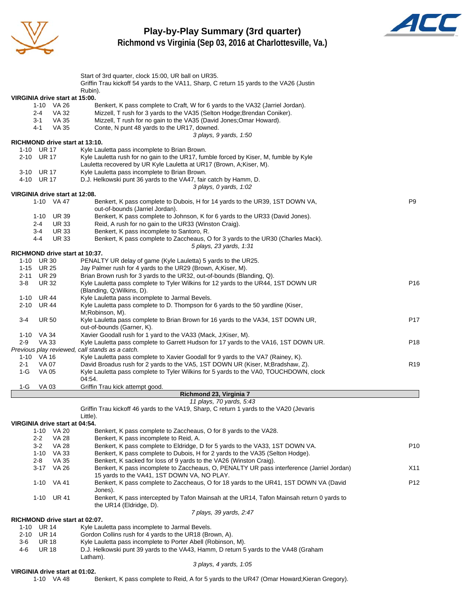

### **Play-by-Play Summary (3rd quarter) Richmond vs Virginia (Sep 03, 2016 at Charlottesville, Va.)**



|                                                 | Start of 3rd quarter, clock 15:00, UR ball on UR35.                                                                                    |                 |
|-------------------------------------------------|----------------------------------------------------------------------------------------------------------------------------------------|-----------------|
|                                                 | Griffin Trau kickoff 54 yards to the VA11, Sharp, C return 15 yards to the VA26 (Justin                                                |                 |
|                                                 | Rubin).                                                                                                                                |                 |
| VIRGINIA drive start at 15:00.                  |                                                                                                                                        |                 |
| $1 - 10$<br>VA 26                               | Benkert, K pass complete to Craft, W for 6 yards to the VA32 (Jarriel Jordan).                                                         |                 |
| <b>VA 32</b><br>2-4                             | Mizzell, T rush for 3 yards to the VA35 (Selton Hodge; Brendan Coniker).                                                               |                 |
| VA 35<br>3-1<br>VA 35                           | Mizzell, T rush for no gain to the VA35 (David Jones; Omar Howard).<br>Conte, N punt 48 yards to the UR17, downed.                     |                 |
| 4-1                                             |                                                                                                                                        |                 |
| RICHMOND drive start at 13:10.                  | 3 plays, 9 yards, 1:50                                                                                                                 |                 |
| 1-10 UR 17                                      | Kyle Lauletta pass incomplete to Brian Brown.                                                                                          |                 |
| 2-10 UR 17                                      | Kyle Lauletta rush for no gain to the UR17, fumble forced by Kiser, M, fumble by Kyle                                                  |                 |
|                                                 | Lauletta recovered by UR Kyle Lauletta at UR17 (Brown, A; Kiser, M).                                                                   |                 |
| 3-10 UR 17                                      | Kyle Lauletta pass incomplete to Brian Brown.                                                                                          |                 |
| 4-10 UR 17                                      | D.J. Helkowski punt 36 yards to the VA47, fair catch by Hamm, D.                                                                       |                 |
|                                                 | 3 plays, 0 yards, 1:02                                                                                                                 |                 |
| VIRGINIA drive start at 12:08.                  |                                                                                                                                        |                 |
| 1-10 VA 47                                      | Benkert, K pass complete to Dubois, H for 14 yards to the UR39, 1ST DOWN VA,<br>out-of-bounds (Jarriel Jordan).                        | P9              |
| 1-10<br><b>UR 39</b>                            | Benkert, K pass complete to Johnson, K for 6 yards to the UR33 (David Jones).                                                          |                 |
| 2-4<br><b>UR 33</b>                             | Reid, A rush for no gain to the UR33 (Winston Craig).                                                                                  |                 |
| <b>UR33</b><br>3-4                              | Benkert, K pass incomplete to Santoro, R.                                                                                              |                 |
| 4-4<br><b>UR33</b>                              | Benkert, K pass complete to Zaccheaus, O for 3 yards to the UR30 (Charles Mack).                                                       |                 |
|                                                 | 5 plays, 23 yards, 1:31                                                                                                                |                 |
| RICHMOND drive start at 10:37.                  |                                                                                                                                        |                 |
| 1-10 UR 30                                      | PENALTY UR delay of game (Kyle Lauletta) 5 yards to the UR25.                                                                          |                 |
| 1-15 UR 25<br>2-11 UR 29                        | Jay Palmer rush for 4 yards to the UR29 (Brown, A;Kiser, M).<br>Brian Brown rush for 3 yards to the UR32, out-of-bounds (Blanding, Q). |                 |
| <b>UR 32</b><br>3-8                             | Kyle Lauletta pass complete to Tyler Wilkins for 12 yards to the UR44, 1ST DOWN UR                                                     | P16             |
|                                                 | (Blanding, Q; Wilkins, D).                                                                                                             |                 |
| 1-10 UR 44                                      | Kyle Lauletta pass incomplete to Jarmal Bevels.                                                                                        |                 |
| 2-10 UR 44                                      | Kyle Lauletta pass complete to D. Thompson for 6 yards to the 50 yardline (Kiser,                                                      |                 |
|                                                 | M;Robinson, M).                                                                                                                        |                 |
| 3-4<br><b>UR 50</b>                             | Kyle Lauletta pass complete to Brian Brown for 16 yards to the VA34, 1ST DOWN UR,                                                      | P17             |
|                                                 | out-of-bounds (Garner, K).                                                                                                             |                 |
| 1-10 VA 34                                      | Xavier Goodall rush for 1 yard to the VA33 (Mack, J;Kiser, M).                                                                         |                 |
| $2-9$<br><b>VA 33</b>                           | Kyle Lauletta pass complete to Garrett Hudson for 17 yards to the VA16, 1ST DOWN UR.                                                   | P18             |
| Previous play reviewed, call stands as a catch. |                                                                                                                                        |                 |
| 1-10 VA 16                                      | Kyle Lauletta pass complete to Xavier Goodall for 9 yards to the VA7 (Rainey, K).                                                      |                 |
| <b>VA 07</b><br>2-1                             | David Broadus rush for 2 yards to the VA5, 1ST DOWN UR (Kiser, M;Bradshaw, Z).                                                         | R <sub>19</sub> |
| 1-G<br>VA 05                                    | Kyle Lauletta pass complete to Tyler Wilkins for 5 yards to the VA0, TOUCHDOWN, clock<br>04:54.                                        |                 |
| 1-G<br>VA 03                                    | Griffin Trau kick attempt good.                                                                                                        |                 |
|                                                 | Richmond 23, Virginia 7                                                                                                                |                 |
|                                                 | 11 plays, 70 yards, 5:43                                                                                                               |                 |
|                                                 | Griffin Trau kickoff 46 yards to the VA19, Sharp, C return 1 yards to the VA20 (Jevaris                                                |                 |
|                                                 | Little).                                                                                                                               |                 |
| VIRGINIA drive start at 04:54.                  |                                                                                                                                        |                 |
| 1-10 VA 20                                      | Benkert, K pass complete to Zaccheaus, O for 8 yards to the VA28.                                                                      |                 |
| $2 - 2$<br><b>VA 28</b>                         | Benkert, K pass incomplete to Reid, A.                                                                                                 |                 |
| $3 - 2$<br><b>VA 28</b>                         | Benkert, K pass complete to Eldridge, D for 5 yards to the VA33, 1ST DOWN VA.                                                          | P <sub>10</sub> |
| 1-10 VA 33                                      | Benkert, K pass complete to Dubois, H for 2 yards to the VA35 (Selton Hodge).                                                          |                 |
| 2-8<br><b>VA 35</b>                             | Benkert, K sacked for loss of 9 yards to the VA26 (Winston Craig).                                                                     |                 |
| 3-17 VA 26                                      | Benkert, K pass incomplete to Zaccheaus, O, PENALTY UR pass interference (Jarriel Jordan)                                              | X11             |
|                                                 | 15 yards to the VA41, 1ST DOWN VA, NO PLAY.<br>Benkert, K pass complete to Zaccheaus, O for 18 yards to the UR41, 1ST DOWN VA (David   |                 |
| $1 - 10$<br>VA 41                               | Jones).                                                                                                                                | P <sub>12</sub> |
| 1-10 UR 41                                      | Benkert, K pass intercepted by Tafon Mainsah at the UR14, Tafon Mainsah return 0 yards to                                              |                 |
|                                                 | the UR14 (Eldridge, D).                                                                                                                |                 |
|                                                 | 7 plays, 39 yards, 2:47                                                                                                                |                 |
| RICHMOND drive start at 02:07.                  |                                                                                                                                        |                 |
| <b>UR 14</b><br>1-10                            | Kyle Lauletta pass incomplete to Jarmal Bevels.                                                                                        |                 |
| 2-10 UR 14                                      | Gordon Collins rush for 4 yards to the UR18 (Brown, A).                                                                                |                 |
| <b>UR 18</b><br>3-6                             | Kyle Lauletta pass incomplete to Porter Abell (Robinson, M).                                                                           |                 |
| <b>UR 18</b><br>4-6                             | D.J. Helkowski punt 39 yards to the VA43, Hamm, D return 5 yards to the VA48 (Graham                                                   |                 |
|                                                 | Latham).                                                                                                                               |                 |
|                                                 | 3 plays, 4 yards, 1:05                                                                                                                 |                 |
| VIRGINIA drive start at 01:02.                  |                                                                                                                                        |                 |

1-10 VA 48 Benkert, K pass complete to Reid, A for 5 yards to the UR47 (Omar Howard;Kieran Gregory).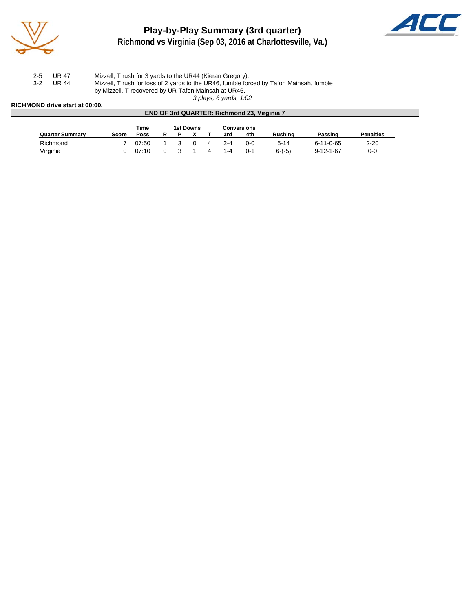

## **Play-by-Play Summary (3rd quarter) Richmond vs Virginia (Sep 03, 2016 at Charlottesville, Va.)**



| $2 - 5$ | UR 47 | Mizzell, T rush for 3 yards to the UR44 (Kieran Gregory).                               |
|---------|-------|-----------------------------------------------------------------------------------------|
| $3-2$   | UR 44 | Mizzell, T rush for loss of 2 yards to the UR46, fumble forced by Tafon Mainsah, fumble |
|         |       | by Mizzell, T recovered by UR Tafon Mainsah at UR46.                                    |
|         |       |                                                                                         |

*3 plays, 6 yards, 1:02*

#### **RICHMOND drive start at 00:00.**

|                        |              |             |   |   |           |     | <b>END OF 3rd QUARTER: Richmond 23, Virginia 7</b> |          |                   |                  |  |
|------------------------|--------------|-------------|---|---|-----------|-----|----------------------------------------------------|----------|-------------------|------------------|--|
|                        |              | Time        |   |   | 1st Downs |     | <b>Conversions</b>                                 |          |                   |                  |  |
| <b>Quarter Summary</b> | <b>Score</b> | <b>Poss</b> | R | D |           | 3rd | 4th                                                | Rushina  | Passing           | <b>Penalties</b> |  |
| Richmond               |              | 07:50       |   |   |           | 2-4 | $0 - 0$                                            | $6 - 14$ | $6 - 11 - 0 - 65$ | $2 - 20$         |  |
| Virginia               |              | 07:10       |   |   |           | 1-4 | $0 - 1$                                            | $6-(-5)$ | $9 - 12 - 1 - 67$ | $0 - 0$          |  |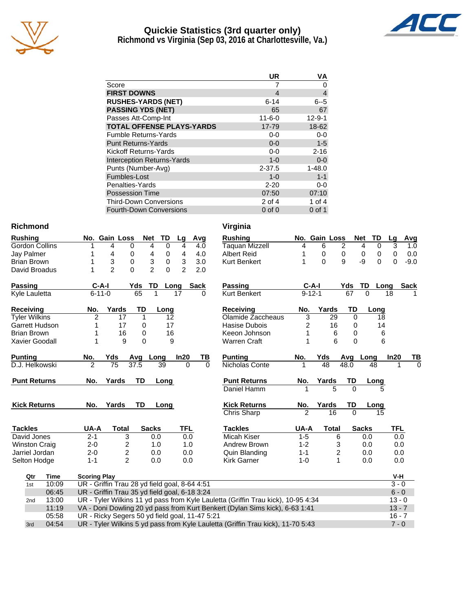

## **Quickie Statistics (3rd quarter only) Richmond vs Virginia (Sep 03, 2016 at Charlottesville, Va.)**



|                                   | UR           | ٧A             |
|-----------------------------------|--------------|----------------|
| Score                             |              | O              |
| <b>FIRST DOWNS</b>                | 4            | $\overline{4}$ |
| <b>RUSHES-YARDS (NET)</b>         | $6 - 14$     | $6 - 5$        |
| <b>PASSING YDS (NET)</b>          | 65           | 67             |
| Passes Att-Comp-Int               | $11 - 6 - 0$ | $12 - 9 - 1$   |
| <b>TOTAL OFFENSE PLAYS-YARDS</b>  | 17-79        | 18-62          |
| <b>Fumble Returns-Yards</b>       | $0-0$        | $0-0$          |
| <b>Punt Returns-Yards</b>         | $0 - 0$      | $1-5$          |
| Kickoff Returns-Yards             | $0-0$        | $2 - 16$       |
| <b>Interception Returns-Yards</b> | $1 - 0$      | $0 - 0$        |
| Punts (Number-Avg)                | 2-37.5       | $1 - 48.0$     |
| Fumbles-Lost                      | $1 - 0$      | $1 - 1$        |
| Penalties-Yards                   | $2 - 20$     | $0-0$          |
| <b>Possession Time</b>            | 07:50        | 07:10          |
| <b>Third-Down Conversions</b>     | $2$ of 4     | 1 of 4         |
| <b>Fourth-Down Conversions</b>    | $0$ of $0$   | $0$ of 1       |

#### **Richmond Virginia**

| <b>Rushing</b>       | <b>TD</b><br><b>Net</b><br>No. Gain Loss<br>Lg                                   | Avg<br><b>Rushing</b>           |              | No. Gain Loss |          | <b>Net</b><br><b>TD</b> | <b>Avg</b><br>Lg   |
|----------------------|----------------------------------------------------------------------------------|---------------------------------|--------------|---------------|----------|-------------------------|--------------------|
| Gordon Collins       | $\mathbf 0$<br>0<br>4<br>4<br>4                                                  | <b>Taquan Mizzell</b><br>4.0    | 4            | 6             | 2        | 0<br>4                  | 3<br>1.0           |
| Jay Palmer           | 0<br>4<br>4<br>4<br>0                                                            | <b>Albert Reid</b><br>4.0       |              | 0             | 0        | 0<br>0                  | $\mathbf 0$<br>0.0 |
| <b>Brian Brown</b>   | 3<br>3<br>0<br>3<br>0                                                            | 3.0<br><b>Kurt Benkert</b>      |              | $\Omega$      | 9        | -9<br>$\Omega$          | $-9.0$<br>$\Omega$ |
| David Broadus        | $\overline{2}$<br>$\mathfrak{p}$<br>$\Omega$<br>$\mathfrak{p}$<br>$\Omega$       | 2.0                             |              |               |          |                         |                    |
| Passing              | $C-A-I$<br>Yds<br>TD<br>Sack<br>Long                                             | Passing                         |              | $C-A-I$       | Yds      | TD<br>Long              | <b>Sack</b>        |
| Kyle Lauletta        | 65<br>$6 - 11 - 0$<br>17                                                         | <b>Kurt Benkert</b><br>$\Omega$ | $9 - 12 - 1$ |               | 67       | $\Omega$                | 18                 |
| Receiving            | Yards<br>TD<br>No.<br>Long                                                       | Receiving                       | No.          | Yards         | TD       | Long                    |                    |
| <b>Tyler Wilkins</b> | $\overline{2}$<br>17<br>1<br>12                                                  | Olamide Zaccheaus               | 3            | 29            | 0        | 18                      |                    |
| Garrett Hudson       | 17<br>17<br>0                                                                    | Hasise Dubois                   | 2            | 16            | 0        | 14                      |                    |
| <b>Brian Brown</b>   | 16<br>16<br>0                                                                    | Keeon Johnson                   | 1            | 6             | $\Omega$ | 6                       |                    |
| Xavier Goodall       | $\Omega$<br>9<br>9                                                               | <b>Warren Craft</b>             | 1            | 6             | $\Omega$ | 6                       |                    |
| <b>Punting</b>       | In20<br>No.<br>Yds<br>Avg Long                                                   | TB<br><b>Punting</b>            | No.          | Yds           | Avg      | Long                    | In20<br>ΤВ         |
| D.J. Helkowski       | $\mathfrak{p}$<br>75<br>37.5<br>39<br>$\Omega$                                   | Nicholas Conte<br>$\Omega$      | 1            | 48            | 48.0     | 48                      | $\Omega$           |
| <b>Punt Returns</b>  | Yards<br>TD<br>No.<br>Long                                                       | <b>Punt Returns</b>             | No.          | Yards         | TD       | Long                    |                    |
|                      |                                                                                  | Daniel Hamm                     |              | 5             | $\Omega$ | 5                       |                    |
| <b>Kick Returns</b>  | <b>TD</b><br>Yards<br>No.<br>Long                                                | <b>Kick Returns</b>             | No.          | Yards         | TD       | Long                    |                    |
|                      |                                                                                  | <b>Chris Sharp</b>              | 2            | 16            | $\Omega$ | 15                      |                    |
| <b>Tackles</b>       | <b>TFL</b><br>UA-A<br><b>Total</b><br><b>Sacks</b>                               | <b>Tackles</b>                  | UA-A         | <b>Total</b>  |          | <b>Sacks</b>            | <b>TFL</b>         |
| David Jones          | 3<br>$2 - 1$<br>0.0<br>0.0                                                       | <b>Micah Kiser</b>              | $1 - 5$      | 6             |          | 0.0                     | 0.0                |
| <b>Winston Craig</b> | 2<br>$2 - 0$<br>1.0<br>1.0                                                       | Andrew Brown                    | $1 - 2$      | 3             |          | 0.0                     | 0.0                |
| Jarriel Jordan       | $\overline{c}$<br>$2 - 0$<br>0.0<br>0.0                                          | Quin Blanding                   | $1 - 1$      | 2             |          | 0.0                     | 0.0                |
| Selton Hodge         | $\mathfrak{p}$<br>$1 - 1$<br>0.0<br>0.0                                          | <b>Kirk Garner</b>              | $1 - 0$      | $\mathbf{1}$  |          | 0.0                     | 0.0                |
| Qtr<br>Time          | <b>Scoring Play</b>                                                              |                                 |              |               |          |                         | V-H                |
| 10:09<br>1st         | UR - Griffin Trau 28 yd field goal, 8-64 4:51                                    |                                 |              |               |          |                         | $3 - 0$            |
| 06:45                | UR - Griffin Trau 35 yd field goal, 6-18 3:24                                    |                                 |              |               |          |                         | $6 - 0$            |
| 13:00<br>2nd         | UR - Tyler Wilkins 11 yd pass from Kyle Lauletta (Griffin Trau kick), 10-95 4:34 |                                 |              |               |          |                         | $13 - 0$           |
| 11:19                | VA - Doni Dowling 20 yd pass from Kurt Benkert (Dylan Sims kick), 6-63 1:41      |                                 |              |               |          |                         | $13 - 7$           |
| 05:58                | UR - Ricky Segers 50 yd field goal, 11-47 5:21                                   |                                 |              |               |          |                         | $16 - 7$           |
| 04:54<br>3rd         | UR - Tyler Wilkins 5 yd pass from Kyle Lauletta (Griffin Trau kick), 11-70 5:43  |                                 |              |               |          |                         | $7 - 0$            |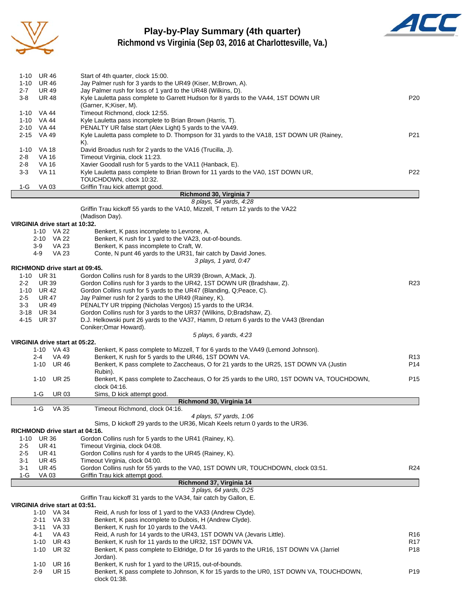

# **Play-by-Play Summary (4th quarter)**



**Richmond vs Virginia (Sep 03, 2016 at Charlottesville, Va.)**

| 1-10            | UR 46                                        | Start of 4th quarter, clock 15:00.                                                                                           |                 |
|-----------------|----------------------------------------------|------------------------------------------------------------------------------------------------------------------------------|-----------------|
| 1-10<br>$2 - 7$ | <b>UR 46</b><br><b>UR 49</b>                 | Jay Palmer rush for 3 yards to the UR49 (Kiser, M;Brown, A).<br>Jay Palmer rush for loss of 1 yard to the UR48 (Wilkins, D). |                 |
| 3-8             | <b>UR 48</b>                                 | Kyle Lauletta pass complete to Garrett Hudson for 8 yards to the VA44, 1ST DOWN UR                                           | P <sub>20</sub> |
|                 |                                              | (Garner, K;Kiser, M).<br>Timeout Richmond, clock 12:55.                                                                      |                 |
|                 | 1-10 VA 44<br>1-10 VA 44                     | Kyle Lauletta pass incomplete to Brian Brown (Harris, T).                                                                    |                 |
|                 | 2-10 VA 44                                   | PENALTY UR false start (Alex Light) 5 yards to the VA49.                                                                     |                 |
|                 | 2-15 VA 49                                   | Kyle Lauletta pass complete to D. Thompson for 31 yards to the VA18, 1ST DOWN UR (Rainey,                                    | P21             |
|                 |                                              | K).                                                                                                                          |                 |
| $1 - 10$        | VA 18                                        | David Broadus rush for 2 yards to the VA16 (Trucilla, J).                                                                    |                 |
| 2-8             | VA 16                                        | Timeout Virginia, clock 11:23.                                                                                               |                 |
| $2 - 8$         | <b>VA 16</b>                                 | Xavier Goodall rush for 5 yards to the VA11 (Hanback, E).                                                                    |                 |
| 3-3             | <b>VA 11</b>                                 | Kyle Lauletta pass complete to Brian Brown for 11 yards to the VA0, 1ST DOWN UR,                                             | P22             |
|                 |                                              | TOUCHDOWN, clock 10:32.                                                                                                      |                 |
| 1-G             | VA 03                                        | Griffin Trau kick attempt good.                                                                                              |                 |
|                 |                                              | Richmond 30, Virginia 7<br>8 plays, 54 yards, 4:28                                                                           |                 |
|                 |                                              | Griffin Trau kickoff 55 yards to the VA10, Mizzell, T return 12 yards to the VA22                                            |                 |
|                 |                                              | (Madison Day).                                                                                                               |                 |
|                 | VIRGINIA drive start at 10:32.               |                                                                                                                              |                 |
|                 | 1-10 VA 22                                   | Benkert, K pass incomplete to Levrone, A.                                                                                    |                 |
|                 | 2-10 VA 22                                   | Benkert, K rush for 1 yard to the VA23, out-of-bounds.                                                                       |                 |
|                 | 3-9<br><b>VA 23</b>                          | Benkert, K pass incomplete to Craft, W.                                                                                      |                 |
|                 | <b>VA 23</b><br>4-9                          | Conte, N punt 46 yards to the UR31, fair catch by David Jones.                                                               |                 |
|                 |                                              | 3 plays, 1 yard, 0:47                                                                                                        |                 |
|                 | RICHMOND drive start at 09:45.               |                                                                                                                              |                 |
|                 | 1-10 UR 31                                   | Gordon Collins rush for 8 yards to the UR39 (Brown, A; Mack, J).                                                             |                 |
| $2 - 2$         | <b>UR 39</b>                                 | Gordon Collins rush for 3 yards to the UR42, 1ST DOWN UR (Bradshaw, Z).                                                      | R <sub>23</sub> |
|                 | 1-10 UR 42                                   | Gordon Collins rush for 5 yards to the UR47 (Blanding, Q;Peace, C).                                                          |                 |
| $2 - 5$         | <b>UR 47</b>                                 | Jay Palmer rush for 2 yards to the UR49 (Rainey, K).                                                                         |                 |
| 3-3             | UR 49                                        | PENALTY UR tripping (Nicholas Vergos) 15 yards to the UR34.                                                                  |                 |
| $3 - 18$        | <b>UR 34</b>                                 | Gordon Collins rush for 3 yards to the UR37 (Wilkins, D;Bradshaw, Z).                                                        |                 |
| 4-15            | UR 37                                        | D.J. Helkowski punt 26 yards to the VA37, Hamm, D return 6 yards to the VA43 (Brendan<br>Coniker; Omar Howard).              |                 |
|                 |                                              | 5 plays, 6 yards, 4:23                                                                                                       |                 |
|                 | VIRGINIA drive start at 05:22.               |                                                                                                                              |                 |
|                 | 1-10 VA 43                                   | Benkert, K pass complete to Mizzell, T for 6 yards to the VA49 (Lemond Johnson).                                             |                 |
|                 | $2 - 4$<br>VA 49                             | Benkert, K rush for 5 yards to the UR46, 1ST DOWN VA.                                                                        | R13             |
|                 | 1-10<br>UR 46                                | Benkert, K pass complete to Zaccheaus, O for 21 yards to the UR25, 1ST DOWN VA (Justin                                       | P14             |
|                 |                                              | Rubin).                                                                                                                      |                 |
|                 | UR 25<br>1-10                                | Benkert, K pass complete to Zaccheaus, O for 25 yards to the UR0, 1ST DOWN VA, TOUCHDOWN,                                    | P15             |
|                 |                                              | clock 04:16.                                                                                                                 |                 |
|                 | <b>UR03</b><br>1-G                           | Sims, D kick attempt good.                                                                                                   |                 |
|                 |                                              | Richmond 30, Virginia 14                                                                                                     |                 |
|                 | $1-G$<br>VA 35                               | Timeout Richmond, clock 04:16.<br>4 plays, 57 yards, 1:06                                                                    |                 |
|                 |                                              | Sims, D kickoff 29 yards to the UR36, Micah Keels return 0 yards to the UR36.                                                |                 |
|                 | RICHMOND drive start at 04:16.               |                                                                                                                              |                 |
| $1 - 10$        | <b>UR 36</b>                                 | Gordon Collins rush for 5 yards to the UR41 (Rainey, K).                                                                     |                 |
| $2 - 5$         | UR 41                                        | Timeout Virginia, clock 04:08.                                                                                               |                 |
| $2 - 5$         | <b>UR 41</b>                                 | Gordon Collins rush for 4 yards to the UR45 (Rainey, K).                                                                     |                 |
| $3 - 1$         | UR 45                                        | Timeout Virginia, clock 04:00.                                                                                               |                 |
| $3 - 1$         | <b>UR 45</b>                                 | Gordon Collins rush for 55 yards to the VA0, 1ST DOWN UR, TOUCHDOWN, clock 03:51.                                            | R <sub>24</sub> |
| $1-G$           | VA 03                                        | Griffin Trau kick attempt good.                                                                                              |                 |
|                 |                                              | Richmond 37, Virginia 14                                                                                                     |                 |
|                 |                                              | 3 plays, 64 yards, 0:25                                                                                                      |                 |
|                 |                                              | Griffin Trau kickoff 31 yards to the VA34, fair catch by Gallon, E.                                                          |                 |
|                 | VIRGINIA drive start at 03:51.<br>1-10 VA 34 | Reid, A rush for loss of 1 yard to the VA33 (Andrew Clyde).                                                                  |                 |
|                 |                                              |                                                                                                                              |                 |
|                 |                                              |                                                                                                                              |                 |
|                 | 2-11<br>VA 33                                | Benkert, K pass incomplete to Dubois, H (Andrew Clyde).                                                                      |                 |
|                 | VA 33<br>3-11                                | Benkert, K rush for 10 yards to the VA43.                                                                                    |                 |
|                 | 4-1<br>VA 43                                 | Reid, A rush for 14 yards to the UR43, 1ST DOWN VA (Jevaris Little).                                                         | R <sub>16</sub> |
|                 | 1-10<br>UR 43                                | Benkert, K rush for 11 yards to the UR32, 1ST DOWN VA.                                                                       | R <sub>17</sub> |
|                 | <b>UR 32</b><br>$1 - 10$                     | Benkert, K pass complete to Eldridge, D for 16 yards to the UR16, 1ST DOWN VA (Jarriel<br>Jordan).                           | P <sub>18</sub> |
|                 | $1 - 10$<br><b>UR 16</b>                     | Benkert, K rush for 1 yard to the UR15, out-of-bounds.                                                                       |                 |
|                 | <b>UR 15</b><br>$2-9$                        | Benkert, K pass complete to Johnson, K for 15 yards to the UR0, 1ST DOWN VA, TOUCHDOWN,<br>clock 01:38.                      | P <sub>19</sub> |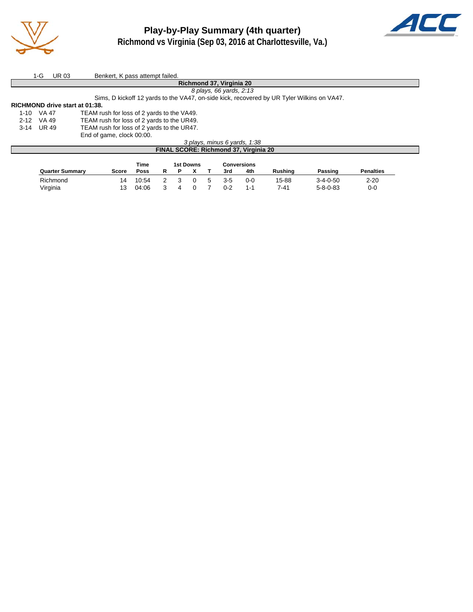



|                                | 1-G                                                                                        | <b>UR03</b> | Benkert, K pass attempt failed.              |  |  |  |  |  |  |
|--------------------------------|--------------------------------------------------------------------------------------------|-------------|----------------------------------------------|--|--|--|--|--|--|
|                                | Richmond 37, Virginia 20                                                                   |             |                                              |  |  |  |  |  |  |
| 8 plays, 66 yards, 2:13        |                                                                                            |             |                                              |  |  |  |  |  |  |
|                                | Sims, D kickoff 12 yards to the VA47, on-side kick, recovered by UR Tyler Wilkins on VA47. |             |                                              |  |  |  |  |  |  |
| RICHMOND drive start at 01:38. |                                                                                            |             |                                              |  |  |  |  |  |  |
| 1-10 VA 47                     |                                                                                            |             | TEAM rush for loss of 2 yards to the VA49.   |  |  |  |  |  |  |
| $2 - 12$                       | VA 49                                                                                      |             | TEAM rush for loss of 2 yards to the UR49.   |  |  |  |  |  |  |
| 3-14 UR 49                     |                                                                                            |             | TEAM rush for loss of 2 yards to the UR47.   |  |  |  |  |  |  |
|                                |                                                                                            |             | End of game, clock 00:00.                    |  |  |  |  |  |  |
|                                | 3 plays, minus 6 yards, 1:38                                                               |             |                                              |  |  |  |  |  |  |
|                                |                                                                                            |             | <b>FINAL SCORE: Richmond 37, Virginia 20</b> |  |  |  |  |  |  |

|                        |       | <b>Time</b> |  | 1st Downs |         | Conversions |                |                  |                  |
|------------------------|-------|-------------|--|-----------|---------|-------------|----------------|------------------|------------------|
| <b>Quarter Summary</b> | Score | <b>Poss</b> |  |           | 3rd     | 4th         | <b>Rushing</b> | Passing          | <b>Penalties</b> |
| Richmond               | 14    | 10:54       |  |           | 3-5     | 0-0         | 15-88          | $3 - 4 - 0 - 50$ | $2 - 20$         |
| Virginia               | 13    | 04:06       |  |           | $0 - 2$ | 1-1         | 7-41           | $5 - 8 - 0 - 83$ | 0-0              |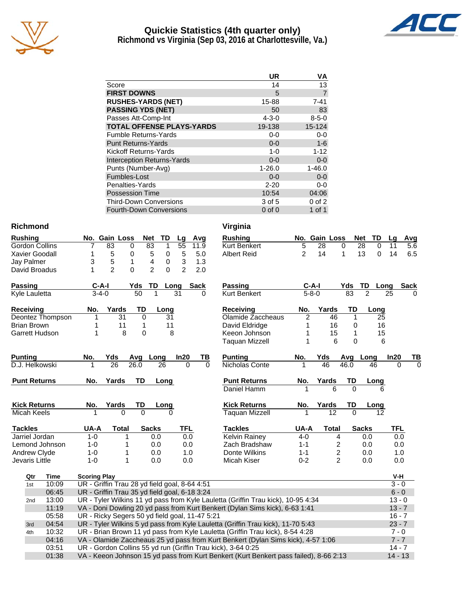

## **Quickie Statistics (4th quarter only) Richmond vs Virginia (Sep 03, 2016 at Charlottesville, Va.)**



|                                   | UR          | ٧Α             |
|-----------------------------------|-------------|----------------|
| Score                             | 14          | 13             |
| <b>FIRST DOWNS</b>                | 5           | $\overline{7}$ |
| <b>RUSHES-YARDS (NET)</b>         | 15-88       | $7 - 41$       |
| <b>PASSING YDS (NET)</b>          | 50          | 83             |
| Passes Att-Comp-Int               | $4 - 3 - 0$ | $8 - 5 - 0$    |
| <b>TOTAL OFFENSE PLAYS-YARDS</b>  | 19-138      | 15-124         |
| <b>Fumble Returns-Yards</b>       | $0-0$       | $0-0$          |
| <b>Punt Returns-Yards</b>         | $0 - 0$     | $1 - 6$        |
| <b>Kickoff Returns-Yards</b>      | $1 - 0$     | $1 - 12$       |
| <b>Interception Returns-Yards</b> | $0 - 0$     | $0-0$          |
| Punts (Number-Avg)                | $1 - 26.0$  | $1 - 46.0$     |
| Fumbles-Lost                      | $0 - 0$     | $0-0$          |
| Penalties-Yards                   | $2 - 20$    | $0-0$          |
| <b>Possession Time</b>            | 10:54       | 04:06          |
| <b>Third-Down Conversions</b>     | 3 of 5      | $0$ of $2$     |
| Fourth-Down Conversions           | $0$ of $0$  | 1 of 1         |

#### **Richmond Virginia**

| <b>Rushing</b>        |                     | No. Gain Loss                                                                                  | Net                 | TD           | Lg             | Avg      | <b>Rushing</b>                                                                                                                                   |                | No. Gain Loss   |                         | <b>Net</b><br>TD | Lg         | Avg      |
|-----------------------|---------------------|------------------------------------------------------------------------------------------------|---------------------|--------------|----------------|----------|--------------------------------------------------------------------------------------------------------------------------------------------------|----------------|-----------------|-------------------------|------------------|------------|----------|
| <b>Gordon Collins</b> | $\overline{7}$      | 83                                                                                             | 83<br>$\Omega$      | $\mathbf{1}$ | 55             | 11.9     | <b>Kurt Benkert</b>                                                                                                                              | 5              | 28              | $\Omega$                | 28<br>$\Omega$   | 11         | 5.6      |
| Xavier Goodall        | 1                   | 5                                                                                              | 0<br>5              | 0            | 5              | 5.0      | <b>Albert Reid</b>                                                                                                                               | $\overline{2}$ | 14              | 1                       | 13<br>$\Omega$   | 14         | 6.5      |
| Jay Palmer            | 3                   | 5                                                                                              | 4<br>$\mathbf{1}$   | 0            | 3              | 1.3      |                                                                                                                                                  |                |                 |                         |                  |            |          |
| David Broadus         | 1                   | $\overline{2}$                                                                                 | $\overline{2}$<br>0 | $\Omega$     | $\overline{2}$ | 2.0      |                                                                                                                                                  |                |                 |                         |                  |            |          |
| <b>Passing</b>        | C-A-I               |                                                                                                | Yds<br>TD           |              | Long           | Sack     | <b>Passing</b>                                                                                                                                   |                | $C-A-I$         | Yds                     | TD               | Long       | Sack     |
| <b>Kyle Lauletta</b>  | $3-4-0$             |                                                                                                | $\overline{50}$     |              | 31             |          | <b>Kurt Benkert</b>                                                                                                                              |                | $5 - 8 - 0$     | 83                      | $\overline{2}$   | 25         |          |
| <b>Receiving</b>      | No.                 | Yards                                                                                          | <b>TD</b>           | Long         |                |          | <b>Receiving</b>                                                                                                                                 | No.            | Yards           | <b>TD</b>               | Long             |            |          |
| Deontez Thompson      | 1                   | 31                                                                                             | $\Omega$            | 31           |                |          | Olamide Zaccheaus                                                                                                                                | $\overline{2}$ | 46              | 1                       | 25               |            |          |
| <b>Brian Brown</b>    | 1                   | 11                                                                                             | $\mathbf{1}$        | 11           |                |          | David Eldridge                                                                                                                                   | 1              | 16              | 0                       | 16               |            |          |
| Garrett Hudson        | 1                   | 8                                                                                              | 0                   | 8            |                |          | Keeon Johnson                                                                                                                                    | 1              | 15              | 1                       | 15               |            |          |
|                       |                     |                                                                                                |                     |              |                |          | Taquan Mizzell                                                                                                                                   | 1              | 6               | $\Omega$                |                  | 6          |          |
| <b>Punting</b>        | No.                 | Yds                                                                                            | Avg Long            |              | In20           | ΤВ       | <b>Punting</b>                                                                                                                                   | No.            | Yds             | Avg                     | Long             | In20       | ΤВ       |
| D.J. Helkowski        |                     | $\overline{26}$                                                                                | 26.0                | 26           | $\Omega$       | $\Omega$ | Nicholas Conte                                                                                                                                   |                | $\overline{46}$ | 46.0                    | 46               |            | $\Omega$ |
| <b>Punt Returns</b>   | No.                 | Yards                                                                                          | TD                  | Long         |                |          | <b>Punt Returns</b>                                                                                                                              | No.            | Yards           | TD                      | Long             |            |          |
|                       |                     |                                                                                                |                     |              |                |          | Daniel Hamm                                                                                                                                      |                |                 | $\Omega$                |                  |            |          |
| <b>Kick Returns</b>   | No.                 | Yards                                                                                          | TD                  | Long         |                |          | <b>Kick Returns</b>                                                                                                                              | No.            | Yards           | TD                      | <b>Long</b>      |            |          |
| Micah Keels           |                     | $\Omega$                                                                                       | $\Omega$            |              |                |          | <b>Taquan Mizzell</b>                                                                                                                            |                | $\overline{12}$ |                         | $\overline{12}$  |            |          |
| <b>Tackles</b>        | UA-A                | <b>Total</b>                                                                                   | <b>Sacks</b>        |              | TFL            |          | <b>Tackles</b>                                                                                                                                   | UA-A           | <b>Total</b>    |                         | <b>Sacks</b>     | <b>TFL</b> |          |
|                       |                     |                                                                                                |                     |              |                |          |                                                                                                                                                  |                |                 |                         | 0.0              | 0.0        |          |
| Jarriel Jordan        | $1 - 0$             | 1                                                                                              |                     | 0.0          | 0.0            |          | <b>Kelvin Rainey</b>                                                                                                                             | $4 - 0$        |                 | 4                       |                  |            |          |
| Lemond Johnson        | $1 - 0$             | 1                                                                                              |                     | 0.0          | 0.0            |          | Zach Bradshaw                                                                                                                                    | $1 - 1$        |                 | 2                       | 0.0              | 0.0        |          |
| Andrew Clyde          | $1 - 0$             | 1                                                                                              |                     | 0.0          | 1.0            |          | Donte Wilkins                                                                                                                                    | $1 - 1$        |                 | $\overline{\mathbf{c}}$ | 0.0              | 1.0        |          |
| Jevaris Little        | $1 - 0$             | 1                                                                                              |                     | 0.0          | 0.0            |          | Micah Kiser                                                                                                                                      | $0 - 2$        |                 | $\overline{c}$          | 0.0              | 0.0        |          |
| Qtr<br>Time           | <b>Scoring Play</b> |                                                                                                |                     |              |                |          |                                                                                                                                                  |                |                 |                         |                  | V-H        |          |
| 10:09<br>1st          |                     |                                                                                                |                     |              |                |          |                                                                                                                                                  |                |                 |                         |                  | $3 - 0$    |          |
| 06:45                 |                     | UR - Griffin Trau 28 yd field goal, 8-64 4:51<br>UR - Griffin Trau 35 yd field goal, 6-18 3:24 |                     |              |                |          |                                                                                                                                                  |                |                 |                         |                  | $6 - 0$    |          |
| 13:00<br>2nd          |                     |                                                                                                |                     |              |                |          | UR - Tyler Wilkins 11 yd pass from Kyle Lauletta (Griffin Trau kick), 10-95 4:34                                                                 |                |                 |                         |                  | $13 - 0$   |          |
| 11:19                 |                     |                                                                                                |                     |              |                |          | VA - Doni Dowling 20 yd pass from Kurt Benkert (Dylan Sims kick), 6-63 1:41                                                                      |                |                 |                         |                  | $13 - 7$   |          |
| 05:58                 |                     |                                                                                                |                     |              |                |          |                                                                                                                                                  |                |                 |                         |                  | $16 - 7$   |          |
| 04:54<br>3rd          |                     | UR - Ricky Segers 50 yd field goal, 11-47 5:21                                                 |                     |              |                |          |                                                                                                                                                  |                |                 |                         |                  | $23 - 7$   |          |
| 10:32<br>4th          |                     |                                                                                                |                     |              |                |          | UR - Tyler Wilkins 5 yd pass from Kyle Lauletta (Griffin Trau kick), 11-70 5:43                                                                  |                |                 |                         |                  | $7 - 0$    |          |
|                       |                     |                                                                                                |                     |              |                |          | UR - Brian Brown 11 yd pass from Kyle Lauletta (Griffin Trau kick), 8-54 4:28                                                                    |                |                 |                         |                  | $7 - 7$    |          |
| 04:16<br>03:51        |                     |                                                                                                |                     |              |                |          | VA - Olamide Zaccheaus 25 yd pass from Kurt Benkert (Dylan Sims kick), 4-57 1:06<br>UR - Gordon Collins 55 yd run (Griffin Trau kick), 3-64 0:25 |                |                 |                         |                  | $14 - 7$   |          |

| Rushing      |  | No. Gain Loss Net TD Lg Avg |  |  |
|--------------|--|-----------------------------|--|--|
| Kurt Benkert |  | 5 28 0 28 0 11 5.6          |  |  |
| Albert Reid  |  | 2 14 1 13 0 14 6.5          |  |  |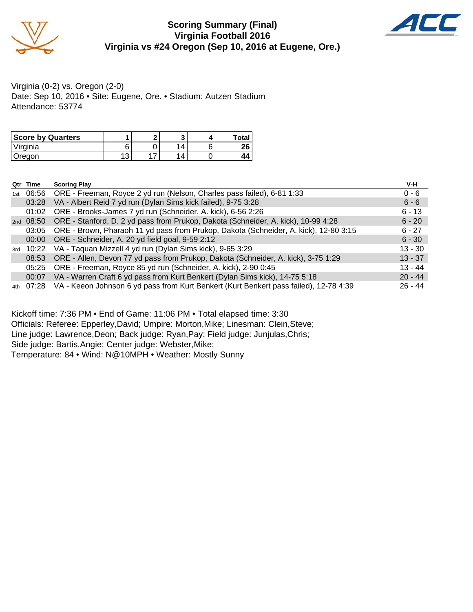

#### **Scoring Summary (Final) Virginia Football 2016 Virginia vs #24 Oregon (Sep 10, 2016 at Eugene, Ore.)**



Virginia (0-2) vs. Oregon (2-0) Date: Sep 10, 2016 • Site: Eugene, Ore. • Stadium: Autzen Stadium Attendance: 53774

| <b>Score by Quarters</b> |   |     |   | Total |
|--------------------------|---|-----|---|-------|
| Virginia                 | ⌒ |     |   | ሳሮ    |
| Jreaon                   | ັ | . . | Δ |       |

| Qtr | Time  | <b>Scoring Play</b>                                                                             | V-H       |
|-----|-------|-------------------------------------------------------------------------------------------------|-----------|
| 1st |       | 06:56 ORE - Freeman, Royce 2 yd run (Nelson, Charles pass failed), 6-81 1:33                    | $0 - 6$   |
|     | 03:28 | VA - Albert Reid 7 yd run (Dylan Sims kick failed), 9-75 3:28                                   | $6 - 6$   |
|     | 01:02 | ORE - Brooks-James 7 yd run (Schneider, A. kick), 6-56 2:26                                     | $6 - 13$  |
|     |       | 2nd 08:50 ORE - Stanford, D. 2 yd pass from Prukop, Dakota (Schneider, A. kick), 10-99 4:28     | $6 - 20$  |
|     | 03:05 | ORE - Brown, Pharaoh 11 yd pass from Prukop, Dakota (Schneider, A. kick), 12-80 3:15            | $6 - 27$  |
|     |       | 00:00 ORE - Schneider, A. 20 yd field goal, 9-59 2:12                                           | $6 - 30$  |
|     |       | 3rd 10:22 VA - Taquan Mizzell 4 yd run (Dylan Sims kick), 9-65 3:29                             | $13 - 30$ |
|     |       | 08:53 ORE - Allen, Devon 77 yd pass from Prukop, Dakota (Schneider, A. kick), 3-75 1:29         | $13 - 37$ |
|     |       | 05:25 ORE - Freeman, Royce 85 yd run (Schneider, A. kick), 2-90 0:45                            | $13 - 44$ |
|     | 00:07 | VA - Warren Craft 6 yd pass from Kurt Benkert (Dylan Sims kick), 14-75 5:18                     | $20 - 44$ |
|     |       | 4th 07:28 VA - Keeon Johnson 6 yd pass from Kurt Benkert (Kurt Benkert pass failed), 12-78 4:39 | $26 - 44$ |

Kickoff time: 7:36 PM • End of Game: 11:06 PM • Total elapsed time: 3:30 Officials: Referee: Epperley,David; Umpire: Morton,Mike; Linesman: Clein,Steve; Line judge: Lawrence,Deon; Back judge: Ryan,Pay; Field judge: Junjulas,Chris; Side judge: Bartis,Angie; Center judge: Webster,Mike; Temperature: 84 • Wind: N@10MPH • Weather: Mostly Sunny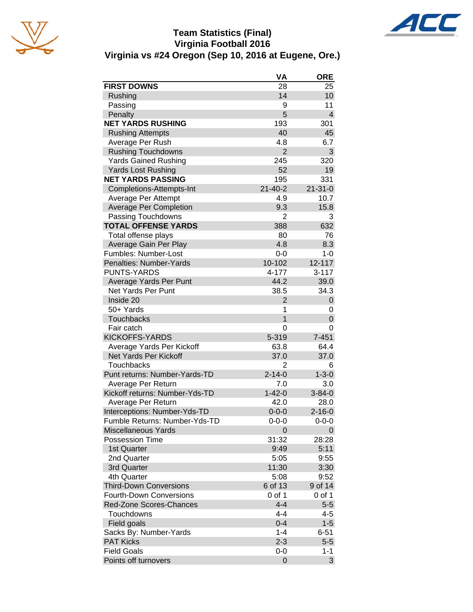

## **Team Statistics (Final) Virginia Football 2016 Virginia vs #24 Oregon (Sep 10, 2016 at Eugene, Ore.)**



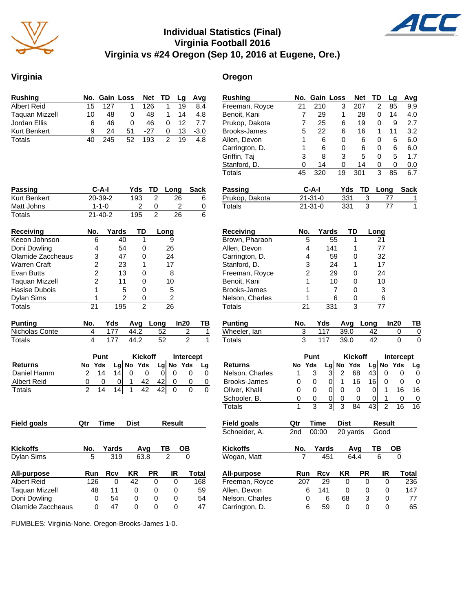

### **Individual Statistics (Final) Virginia Football 2016 Virginia vs #24 Oregon (Sep 10, 2016 at Eugene, Ore.)**

#### **Virginia Oregon**

| <b>Rushing</b>        |    |     | No. Gain Loss Net TD |     |   | <b>Lg</b> | Avg    |
|-----------------------|----|-----|----------------------|-----|---|-----------|--------|
| <b>Albert Reid</b>    | 15 | 127 |                      | 126 |   | 19        | 8.4    |
| <b>Taquan Mizzell</b> | 10 | 48  | O                    | 48  |   | 14        | 4.8    |
| Jordan Ellis          | 6  | 46  | O                    | 46  |   | 12        | 7.7    |
| <b>Kurt Benkert</b>   | q  | 24  | 51                   | -27 | 0 | 13        | $-3.0$ |
| Totals                |    | 245 | 52                   | 193 | 2 | 19        | 4 R    |

| Passing           | $C-A-I$        |       | Yds            | TD             | Long | Sack |
|-------------------|----------------|-------|----------------|----------------|------|------|
| Kurt Benkert      | 20-39-2        |       | 193            | 2              | 26   | 6    |
| Matt Johns        | $1 - 1 - 0$    |       | 2              | 0              | 2    | 0    |
| Totals            | $21 - 40 - 2$  |       | 195            | $\overline{2}$ | 26   | 6    |
| Receiving         | No.            | Yards | TD             |                | Long |      |
| Keeon Johnson     | 6              | 40    |                |                | 9    |      |
| Doni Dowling      | 4              | 54    | 0              |                | 26   |      |
| Olamide Zaccheaus | 3              | 47    | 0              |                | 24   |      |
| Warren Craft      | $\overline{2}$ | 23    |                |                | 17   |      |
| Evan Butts        | $\overline{2}$ | 13    | O              |                | 8    |      |
| Taquan Mizzell    | 2              | 11    | 0              |                | 10   |      |
| Hasise Dubois     | 1              | 5     | O              |                | 5    |      |
| Dylan Sims        |                | 2     | 0              |                | 2    |      |
| Totals            | 21             | 195   | $\overline{2}$ |                | 26   |      |

| <b>Punting</b> |  |      | Yds Avg Long In20 | — ТВ |
|----------------|--|------|-------------------|------|
| Nicholas Conte |  | 44.2 | - 52              |      |
| Totals         |  | 44.2 | 52                |      |

|                    | <b>Punt</b> |     |    |  | <b>Kickoff</b> |    | Intercept |     |    |
|--------------------|-------------|-----|----|--|----------------|----|-----------|-----|----|
| <b>Returns</b>     | No          | Yds |    |  | $Lg$ No Yds    |    | Lg  No    | Yds | La |
| Daniel Hamm        |             | 14  | 14 |  |                |    |           |     |    |
| <b>Albert Reid</b> |             |     |    |  | 42             | 42 |           |     |    |
| Totals             |             | 14  | 14 |  | 42             |    |           |     |    |

| <b>Field goals</b> | Qtr | Time  | <b>Dist</b> |           | <b>Result</b> |       |  |
|--------------------|-----|-------|-------------|-----------|---------------|-------|--|
|                    |     |       |             |           |               |       |  |
| <b>Kickoffs</b>    | No. | Yards |             | Avq       | ΤВ            | ОВ    |  |
| <b>Dylan Sims</b>  | 5   | 319   |             | 63.8      | 2             | 0     |  |
| All-purpose        | Run | Rcv   | ΚR          | <b>PR</b> | IR            | Total |  |
| Albert Reid        | 126 | 0     | 42          | 0         | 0             | 168   |  |
| Taquan Mizzell     | 48  | 11    | 0           | 0         | 0             | 59    |  |
| Doni Dowling       | 0   | 54    | 0           | 0         | 0             | 54    |  |
| Olamide Zaccheaus  | 0   | 47    | 0           | 0         | O             | 47    |  |

**Rushing No. Gain Loss Net TD Lg Avg** Freeman, Royce 21 210 3 207 2 85 9.9 Benoit, Kani 7 29 1 28 0 14 4.0 Prukop, Dakota 7 25 6 19 0 9 2.7 Brooks-James 5 22 6 16 1 11 3.2 Allen, Devon 1 6 0 6 0 6 6.0 Carrington, D. 1 6 0 6 0 6 6.0 Griffin, Taj 3 8 3 5 0 5 1.7 Stanford, D. 0 14 0 14 0 0 0.0 Totals 45 320 19 301 3 85 6.7 **Passing C-A-I Yds TD Long Sack** Prukop, Dakota 21-31-0 331 3 77 1 Totals 21-31-0 331 3 77 1 **Receiving No. Yards TD Long** Brown, Pharaoh 5 55 1 21<br>Allen. Devon 4 141 1 77 Allen, Devon 4 141 1 Carrington, D. 4 59 0 32 Stanford, D. 3 24 1 17 Freeman, Royce 2 29 0 24 Benoit, Kani 1 10 0 10 Brooks-James 1 7 0 3 Nelson, Charles 1 6 0 6 Totals 21 331 3 77 **Punting No. Yds Avg Long In20 TB** Wheeler, Ian 3 117 39.0 42 0 0 Totals 3 117 39.0 42 0 0 **Punt Kickoff Intercept Returns No Yds Lg No Yds Lg No Yds Lg** Nelson, Charles 1 3 3 2 68 43 0 0 0 Brooks-James 0 0 0 1 16 16 0 0 0 Oliver, Khalil 0 0 0 0 0 0 1 16 16 Schooler, B. 0 0 0 0 0 0 1 0 0 Totals 1 3 3 3 84 43 2 16 16 **Field goals Qtr Time Dist Result Field goals Qtr Time Dist Result** Schneider, A. 2nd 00:00 20 yards Good **Kickoffs No. Yards Avg TB OB** Wogan, Matt 7 451 64.4 6 0 **All-purpose Run Rcv KR PR IR Total** Freeman, Royce 207 29 0 0 0 236 Allen, Devon 6 141 0 0 0 147<br>Nelson Charles 0 6 68 3 0 77 Nelson, Charles 0 6 68 3 0 77 Carrington, D. 6 59 0 0 0 65

FUMBLES: Virginia-None. Oregon-Brooks-James 1-0.

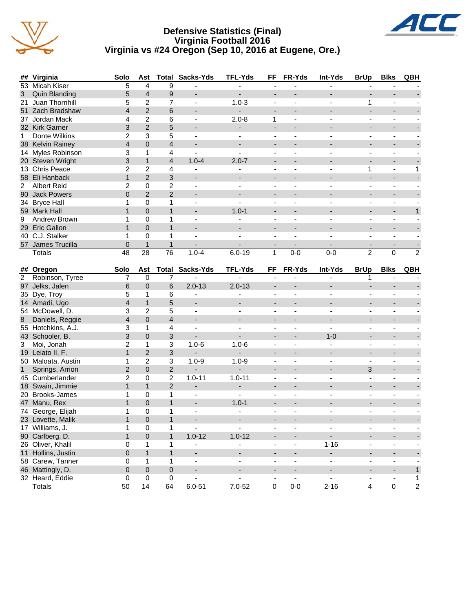





|                | ## Virginia          | Solo            | Ast             |                           | <b>Total Sacks-Yds</b>   | <b>TFL-Yds</b> | FF                       | FR-Yds         | Int-Yds                  | <b>BrUp</b>              | <b>Blks</b>              | QBH            |
|----------------|----------------------|-----------------|-----------------|---------------------------|--------------------------|----------------|--------------------------|----------------|--------------------------|--------------------------|--------------------------|----------------|
|                | 53 Micah Kiser       | 5               | $\overline{4}$  | 9                         |                          |                |                          |                |                          |                          |                          |                |
| 3              | <b>Quin Blanding</b> | 5               | $\overline{4}$  | $\boldsymbol{9}$          |                          |                | ÷,                       |                |                          | ÷.                       |                          |                |
| 21             | Juan Thornhill       | 5               | $\overline{c}$  | $\overline{7}$            | $\blacksquare$           | $1.0 - 3$      | $\overline{\phantom{a}}$ | ä,             | $\overline{a}$           | 1                        | $\blacksquare$           |                |
|                | 51 Zach Bradshaw     | $\overline{4}$  | $\overline{2}$  | $6\phantom{1}$            |                          | ÷.             | ÷,                       |                |                          | $\overline{a}$           |                          |                |
|                | 37 Jordan Mack       | 4               | $\overline{c}$  | 6                         | ä,                       | $2.0 - 8$      | $\mathbf{1}$             |                |                          | ä,                       | $\overline{\phantom{a}}$ |                |
|                | 32 Kirk Garner       | 3               | $\overline{c}$  | 5                         |                          | ÷,             | $\blacksquare$           |                |                          |                          |                          |                |
| $\mathbf{1}$   | Donte Wilkins        | $\overline{2}$  | 3               | 5                         | ÷,                       | $\blacksquare$ | $\blacksquare$           |                | $\overline{a}$           | $\overline{a}$           | $\overline{a}$           |                |
|                | 38 Kelvin Rainey     | $\overline{4}$  | 0               | $\overline{4}$            | $\overline{a}$           | $\blacksquare$ | $\blacksquare$           |                |                          | $\overline{\phantom{0}}$ | $\overline{\phantom{a}}$ |                |
|                | 14 Myles Robinson    | 3               | $\mathbf{1}$    | 4                         | $\mathbf{r}$             | ä,             | $\blacksquare$           | $\blacksquare$ | $\overline{a}$           | $\overline{\phantom{a}}$ | $\blacksquare$           |                |
|                | 20 Steven Wright     | 3               | $\mathbf{1}$    | $\overline{4}$            | $1.0 - 4$                | $2.0 - 7$      | ÷,                       |                |                          | ÷,                       | $\overline{a}$           |                |
|                | 13 Chris Peace       | $\overline{2}$  | $\overline{2}$  | 4                         |                          | ä,             | ÷,                       |                |                          | 1                        | $\Box$                   | $\mathbf{1}$   |
|                | 58 Eli Hanback       | $\mathbf{1}$    | $\overline{2}$  | $\mathbf{3}$              |                          |                | ÷,                       |                |                          | ÷.                       | $\blacksquare$           |                |
| $\overline{2}$ | <b>Albert Reid</b>   | $\overline{2}$  | $\mathbf 0$     | $\overline{c}$            | $\mathbf{r}$             | $\blacksquare$ | $\blacksquare$           | $\blacksquare$ | $\blacksquare$           | $\blacksquare$           | $\sim$                   |                |
|                | 90 Jack Powers       | $\overline{0}$  | $\overline{2}$  | 2                         |                          |                |                          |                |                          |                          |                          |                |
|                | 34 Bryce Hall        | 1               | $\mathbf 0$     | $\mathbf{1}$              | ä,                       | $\overline{a}$ | $\overline{a}$           |                |                          | $\overline{a}$           | ä,                       |                |
|                | 59 Mark Hall         | $\mathbf{1}$    | $\mathbf 0$     | $\mathbf{1}$              | $\overline{\phantom{a}}$ | $1.0 - 1$      | $\overline{\phantom{a}}$ |                |                          | ÷.                       | $\overline{a}$           | $\mathbf{1}$   |
| 9              | Andrew Brown         | $\mathbf{1}$    | $\mathbf 0$     | $\mathbf{1}$              | ä,                       |                | $\blacksquare$           |                | $\blacksquare$           | $\blacksquare$           | $\blacksquare$           |                |
|                | 29 Eric Gallon       | $\mathbf{1}$    | 0               | $\mathbf{1}$              | ÷,                       |                | ÷,                       |                |                          | L.                       | $\overline{a}$           |                |
|                | 40 C.J. Stalker      | $\mathbf{1}$    | $\mathbf 0$     | $\mathbf{1}$              | $\overline{\phantom{a}}$ | ÷,             | $\blacksquare$           | $\overline{a}$ | $\overline{\phantom{a}}$ | $\blacksquare$           | $\blacksquare$           |                |
|                | 57 James Trucilla    | $\mathbf 0$     | $\mathbf{1}$    | $\mathbf{1}$              | $\overline{a}$           |                | ÷,                       |                |                          | $\blacksquare$           |                          |                |
|                | <b>Totals</b>        | $\overline{48}$ | $\overline{28}$ | $\overline{76}$           | $1.0 - 4$                | $6.0 - 19$     | $\mathbf{1}$             | $0-0$          | $0-0$                    | $\overline{2}$           | $\overline{0}$           | $\overline{2}$ |
|                |                      |                 |                 |                           |                          |                |                          |                |                          |                          |                          |                |
|                | ## Oregon            | Solo            | Ast             |                           | <b>Total Sacks-Yds</b>   | TFL-Yds        | FF                       | FR-Yds         | Int-Yds                  | <b>BrUp</b>              | <b>Blks</b>              | QBH            |
| 2              | Robinson, Tyree      | 7               | $\Omega$        | $\overline{7}$            |                          |                |                          |                |                          | 1                        |                          |                |
|                |                      |                 |                 |                           |                          |                |                          |                |                          |                          |                          |                |
|                | 97 Jelks, Jalen      | 6               | $\pmb{0}$       | $\,6$                     | $2.0 - 13$               | $2.0 - 13$     |                          |                |                          |                          |                          |                |
|                | 35 Dye, Troy         | 5               | 1               | 6                         | ä,                       | ÷,             | $\overline{a}$           |                |                          | $\overline{a}$           |                          |                |
|                | 14 Amadi, Ugo        | $\overline{4}$  | $\mathbf{1}$    | $\overline{5}$            | $\frac{1}{2}$            | $\blacksquare$ | $\frac{1}{2}$            |                |                          |                          |                          |                |
|                | 54 McDowell, D.      | 3               | $\overline{c}$  | 5                         | $\blacksquare$           | $\blacksquare$ | $\blacksquare$           | ä,             | $\overline{a}$           | $\blacksquare$           | $\blacksquare$           |                |
| 8              | Daniels, Reggie      | $\overline{4}$  | $\mathbf 0$     | $\overline{4}$            | ÷                        | $\overline{a}$ | $\overline{a}$           |                |                          | L.                       |                          |                |
|                | 55 Hotchkins, A.J.   | 3               | $\mathbf{1}$    | $\overline{\mathbf{4}}$   | ÷.                       | ÷.             | ä,                       | $\overline{a}$ | L.                       | ä,                       | $\blacksquare$           |                |
|                | 43 Schooler, B.      | 3               | $\mathbf 0$     | $\mathbf{3}$              |                          |                | ÷,                       |                | $1 - 0$                  | $\overline{a}$           | $\overline{a}$           |                |
| 3              | Moi, Jonah           | $\overline{2}$  | $\mathbf{1}$    | $\ensuremath{\mathsf{3}}$ | $1.0 - 6$                | $1.0 - 6$      | ä,                       |                | $\blacksquare$           | $\overline{\phantom{a}}$ | $\blacksquare$           |                |
|                | 19 Leiato II, F.     | $\mathbf{1}$    | $\overline{c}$  | 3                         |                          |                |                          |                |                          |                          |                          |                |
|                | 50 Maloata, Austin   | 1               | $\overline{c}$  | $\sqrt{3}$                | $1.0 - 9$                | $1.0 - 9$      | $\blacksquare$           | $\overline{a}$ | $\sim$                   | $\blacksquare$           | $\sim$                   |                |
| $\mathbf{1}$   | Springs, Arrion      | $\overline{2}$  | $\pmb{0}$       | $\overline{2}$            |                          |                |                          |                |                          | 3                        |                          |                |
|                | 45 Cumberlander      | $\overline{c}$  | $\pmb{0}$       | $\overline{c}$            | $1.0 - 11$               | $1.0 - 11$     | ä,                       |                |                          | ä,                       | $\sim$                   |                |
|                | 18 Swain, Jimmie     | $\mathbf{1}$    | $\mathbf{1}$    | $\overline{2}$            | $\blacksquare$           | ÷,             | $\overline{\phantom{a}}$ | $\overline{a}$ | $\overline{a}$           | $\overline{a}$           | $\blacksquare$           |                |
|                | 20 Brooks-James      | $\mathbf{1}$    | $\mathbf 0$     | $\mathbf{1}$              | $\blacksquare$           | ÷,             | $\blacksquare$           | ÷,             | $\blacksquare$           | ÷,                       | $\sim$                   |                |
| 47             | Manu, Rex            | $\mathbf{1}$    | $\mathbf 0$     | $\mathbf{1}$              | $\overline{a}$           | $1.0 - 1$      | $\overline{a}$           |                |                          | L.                       |                          |                |
|                | 74 George, Elijah    | $\mathbf{1}$    | $\mathbf 0$     | $\mathbf{1}$              | $\blacksquare$           | ä,             | ä,                       | ÷,             | ä,                       | ÷.                       | $\blacksquare$           |                |
|                | 23 Lovette, Malik    | $\mathbf{1}$    | 0               | $\mathbf{1}$              | L.                       |                | $\overline{a}$           |                |                          |                          |                          |                |
|                | 17 Williams, J.      | $\mathbf{1}$    | $\mathbf 0$     | $\mathbf{1}$              | $\overline{a}$           |                | $\blacksquare$           | $\overline{a}$ | $\overline{a}$           | $\overline{a}$           | $\overline{a}$           |                |
|                | 90 Carlberg, D.      | $\mathbf{1}$    | $\overline{0}$  | $\mathbf{1}$              | $1.0 - 12$               | $1.0 - 12$     |                          |                |                          |                          |                          |                |
|                | 26 Oliver, Khalil    | 0               | $\mathbf{1}$    | $\mathbf{1}$              | $\overline{\phantom{a}}$ |                | $\blacksquare$           | $\overline{a}$ | $1 - 16$                 | $\blacksquare$           | $\blacksquare$           |                |
| 11             | Hollins, Justin      | $\overline{0}$  | $\mathbf{1}$    | $\mathbf{1}$              |                          |                |                          |                |                          |                          |                          |                |

46 Mattingly, D. 0 0 0 - - - - - - - 1 32 Heard, Eddie 0 0 0 - - - - - - - 1 Totals 50 14 64 6.0-51 7.0-52 0 0-0 2-16 4 0 2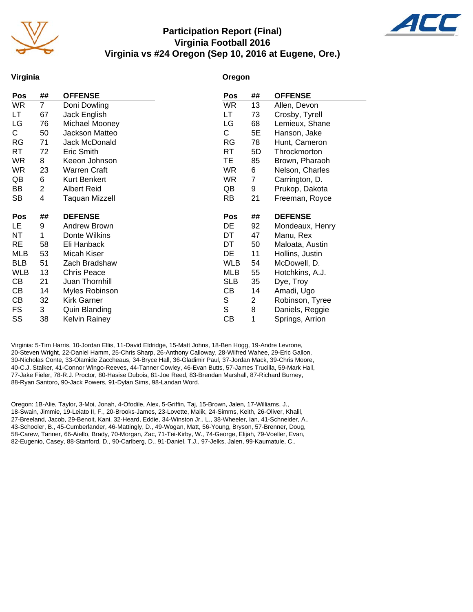

### **Participation Report (Final) Virginia Football 2016 Virginia vs #24 Oregon (Sep 10, 2016 at Eugene, Ore.)**



#### **Virginia**

#### **Oregon**

| Pos        | ##             | <b>OFFENSE</b>      | Pos        | ##             | <b>OFFENSE</b>  |
|------------|----------------|---------------------|------------|----------------|-----------------|
| <b>WR</b>  | $\overline{7}$ | Doni Dowling        | <b>WR</b>  | 13             | Allen, Devon    |
| LT         | 67             | Jack English        | LT.        | 73             | Crosby, Tyrell  |
| LG         | 76             | Michael Mooney      | LG         | 68             | Lemieux, Shane  |
| C          | 50             | Jackson Matteo      | С          | 5E             | Hanson, Jake    |
| <b>RG</b>  | 71             | Jack McDonald       | RG         | 78             | Hunt, Cameron   |
| <b>RT</b>  | 72             | Eric Smith          | <b>RT</b>  | 5D             | Throckmorton    |
| <b>WR</b>  | 8              | Keeon Johnson       | TE.        | 85             | Brown, Pharaoh  |
| <b>WR</b>  | 23             | <b>Warren Craft</b> | <b>WR</b>  | 6              | Nelson, Charles |
| QB         | 6              | <b>Kurt Benkert</b> | <b>WR</b>  | $\overline{7}$ | Carrington, D.  |
| BB         | $\overline{c}$ | <b>Albert Reid</b>  | QB         | 9              | Prukop, Dakota  |
| <b>SB</b>  | 4              | Taquan Mizzell      | <b>RB</b>  | 21             | Freeman, Royce  |
|            |                |                     |            |                |                 |
|            |                |                     |            |                |                 |
| Pos        | ##             | <b>DEFENSE</b>      | Pos        | ##             | <b>DEFENSE</b>  |
| LE.        | 9              | Andrew Brown        | DE         | 92             | Mondeaux, Henry |
| NT         | 1              | Donte Wilkins       | DT         | 47             | Manu, Rex       |
| <b>RE</b>  | 58             | Eli Hanback         | DT         | 50             | Maloata, Austin |
| <b>MLB</b> | 53             | Micah Kiser         | DE         | 11             | Hollins, Justin |
| <b>BLB</b> | 51             | Zach Bradshaw       | <b>WLB</b> | 54             | McDowell, D.    |
| <b>WLB</b> | 13             | <b>Chris Peace</b>  | <b>MLB</b> | 55             | Hotchkins, A.J. |
| CВ         | 21             | Juan Thornhill      | <b>SLB</b> | 35             | Dye, Troy       |
| CВ         | 14             | Myles Robinson      | CВ         | 14             | Amadi, Ugo      |
| СB         | 32             | <b>Kirk Garner</b>  | S          | $\overline{c}$ | Robinson, Tyree |
| <b>FS</b>  | 3              | Quin Blanding       | S          | 8              | Daniels, Reggie |
| SS         | 38             | Kelvin Rainey       | СB         | 1              | Springs, Arrion |

Virginia: 5-Tim Harris, 10-Jordan Ellis, 11-David Eldridge, 15-Matt Johns, 18-Ben Hogg, 19-Andre Levrone, 20-Steven Wright, 22-Daniel Hamm, 25-Chris Sharp, 26-Anthony Calloway, 28-Wilfred Wahee, 29-Eric Gallon, 30-Nicholas Conte, 33-Olamide Zaccheaus, 34-Bryce Hall, 36-Gladimir Paul, 37-Jordan Mack, 39-Chris Moore, 40-C.J. Stalker, 41-Connor Wingo-Reeves, 44-Tanner Cowley, 46-Evan Butts, 57-James Trucilla, 59-Mark Hall, 77-Jake Fieler, 78-R.J. Proctor, 80-Hasise Dubois, 81-Joe Reed, 83-Brendan Marshall, 87-Richard Burney, 88-Ryan Santoro, 90-Jack Powers, 91-Dylan Sims, 98-Landan Word.

Oregon: 1B-Alie, Taylor, 3-Moi, Jonah, 4-Ofodile, Alex, 5-Griffin, Taj, 15-Brown, Jalen, 17-Williams, J., 18-Swain, Jimmie, 19-Leiato II, F., 20-Brooks-James, 23-Lovette, Malik, 24-Simms, Keith, 26-Oliver, Khalil, 27-Breeland, Jacob, 29-Benoit, Kani, 32-Heard, Eddie, 34-Winston Jr., L., 38-Wheeler, Ian, 41-Schneider, A., 43-Schooler, B., 45-Cumberlander, 46-Mattingly, D., 49-Wogan, Matt, 56-Young, Bryson, 57-Brenner, Doug, 58-Carew, Tanner, 66-Aiello, Brady, 70-Morgan, Zac, 71-Tei-Kirby, W., 74-George, Elijah, 79-Voeller, Evan, 82-Eugenio, Casey, 88-Stanford, D., 90-Carlberg, D., 91-Daniel, T.J., 97-Jelks, Jalen, 99-Kaumatule, C..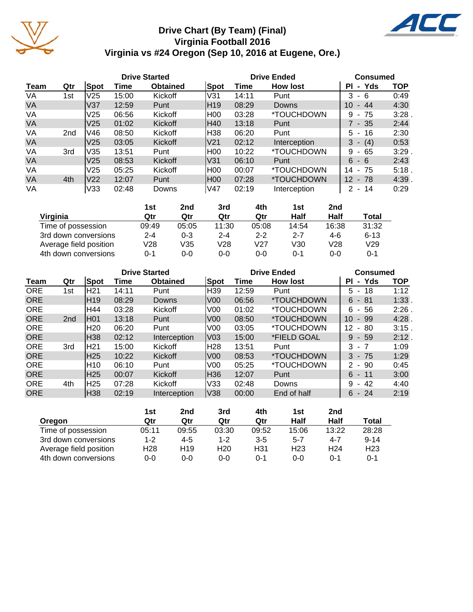

## **Drive Chart (By Team) (Final) Virginia Football 2016 Virginia vs #24 Oregon (Sep 10, 2016 at Eugene, Ore.)**

ACC

|           |     |                 |       | <b>Drive Started</b> |                 | <b>Drive Ended</b> | <b>Consumed</b>          |                             |            |
|-----------|-----|-----------------|-------|----------------------|-----------------|--------------------|--------------------------|-----------------------------|------------|
| Team      | Qtr | Spot            | Time  | <b>Obtained</b>      | Spot            | Time               | <b>How lost</b>          | ΡI<br>- Yds                 | <b>TOP</b> |
| VA        | 1st | V <sub>25</sub> | 15:00 | Kickoff              | V31             | 14:11              | Punt                     | 3<br>- 6                    | 0:49       |
| <b>VA</b> |     | V37             | 12:59 | Punt                 | IH19            | 08:29              | Downs                    | 10<br>$-44$                 | 4:30       |
| VA        |     | V <sub>25</sub> | 06:56 | Kickoff              | H00             | 03:28              | *TOUCHDOWN               | - 75<br>9                   | 3:28       |
| <b>VA</b> |     | V <sub>25</sub> | 01:02 | Kickoff              | H40             | 13:18              | Punt                     | 7 - 35                      | 2:44       |
| VA        | 2nd | V46             | 08:50 | Kickoff              | H38             | 06:20              | Punt                     | $5 - 16$                    | 2:30       |
| <b>VA</b> |     | V <sub>25</sub> | 03:05 | Kickoff              | V <sub>21</sub> | 02:12              | Interception             | $3 - (4)$                   | 0:53       |
| VA        | 3rd | V35             | 13:51 | Punt                 | H00             | 10:22              | *TOUCHDOWN               | 9<br>65<br>$\sim$           | 3:29       |
| <b>VA</b> |     | V <sub>25</sub> | 08:53 | Kickoff              | V31             | 06:10              | Punt                     | 6<br>- 6                    | 2:43       |
| VA        |     | V25             | 05:25 | Kickoff              | H00             | 00:07              | *TOUCHDOWN               | -75<br>14<br>$\blacksquare$ | 5:18       |
| <b>VA</b> | 4th | V <sub>22</sub> | 12:07 | Punt                 | H00             | 07:28              | <i><b>*TOUCHDOWN</b></i> | $12 - 78$                   | 4:39       |
| VA        |     | V33             | 02:48 | Downs                | V47             | 02:19              | Interception             | $2 - 14$                    | 0:29       |

|                        | 1st     | 2nd     | 3rd     | 4th     | 1st     | 2 <sub>nd</sub> |          |
|------------------------|---------|---------|---------|---------|---------|-----------------|----------|
| Virginia               | Qtr     | Qtr     | Qtr     | Qtr     | Half    | Half            | Total    |
| Time of possession     | 09:49   | 05:05   | 11:30   | 05:08   | 14:54   | 16:38           | 31:32    |
| 3rd down conversions   | $2 - 4$ | $0 - 3$ | $2 - 4$ | $2 - 2$ | $2 - 7$ | 4-6             | $6 - 13$ |
| Average field position | V28     | V35     | V28     | V27     | V30     | V28             | V29      |
| 4th down conversions   | $0 - 1$ | $0 - 0$ | 0-0     | 0-0     | 0-1     | $0 - 0$         | 0-1      |

|            |                 |                 |       | <b>Drive Started</b> |                 | <b>Drive Ended</b> | <b>Consumed</b>          |                                     |            |
|------------|-----------------|-----------------|-------|----------------------|-----------------|--------------------|--------------------------|-------------------------------------|------------|
| Team       | Qtr             | Spot            | Time  | <b>Obtained</b>      | Spot            | Time               | <b>How lost</b>          | Yds<br>ΡI<br>$\blacksquare$         | <b>TOP</b> |
| <b>ORE</b> | 1st             | H21             | 14:11 | Punt                 | H39             | 12:59              | Punt                     | 18<br>5<br>$\blacksquare$           | 1:12       |
| <b>ORE</b> |                 | H19             | 08:29 | Downs                | V <sub>00</sub> | 06:56              | <i><b>*TOUCHDOWN</b></i> | 6<br>- 81                           | 1:33       |
| <b>ORE</b> |                 | H44             | 03:28 | Kickoff              | V00             | 01:02              | <i><b>*TOUCHDOWN</b></i> | 6<br>56<br>$\blacksquare$           | 2:26       |
| <b>ORE</b> | 2 <sub>nd</sub> | H01             | 13:18 | Punt                 | V <sub>00</sub> | 08:50              | <i><b>*TOUCHDOWN</b></i> | 10<br>- 99                          | $4:28$ .   |
| <b>ORE</b> |                 | H <sub>20</sub> | 06:20 | Punt                 | V <sub>00</sub> | 03:05              | <i><b>*TOUCHDOWN</b></i> | 12<br>80<br>۰.                      | 3:15.      |
| <b>ORE</b> |                 | H38             | 02:12 | Interception         | V <sub>03</sub> | 15:00              | *FIELD GOAL              | 9<br>-59<br>$\sim$                  | 2:12.      |
| <b>ORE</b> | 3rd             | H21             | 15:00 | Kickoff              | H28             | 13:51              | Punt                     | 3<br>$-7$                           | 1:09       |
| <b>ORE</b> |                 | H <sub>25</sub> | 10:22 | Kickoff              | V <sub>00</sub> | 08:53              | <i><b>*TOUCHDOWN</b></i> | 3<br>- 75                           | 1:29       |
| <b>ORE</b> |                 | H10             | 06:10 | Punt                 | V <sub>00</sub> | 05:25              | <i><b>*TOUCHDOWN</b></i> | -90<br>2<br>$\sim$                  | 0:45       |
| <b>ORE</b> |                 | H <sub>25</sub> | 00:07 | Kickoff              | H36             | 12:07              | Punt                     | 6<br>- 11                           | 3:00       |
| <b>ORE</b> | 4th             | H25             | 07:28 | Kickoff              | V33             | 02:48              | Downs                    | 9<br>42<br>$\overline{\phantom{a}}$ | 4:40       |
| <b>ORE</b> |                 | H38             | 02:19 | Interception         | V38             | 00:00              | End of half              | 6<br>$-24$                          | 2:19       |

|                        | 1st             | 2nd             | 3rd             | 4th     | 1st             | 2nd             |                 |
|------------------------|-----------------|-----------------|-----------------|---------|-----------------|-----------------|-----------------|
| Oregon                 | Qtr             | Qtr             | Qtr             | Qtr     | Half            | Half            | Total           |
| Time of possession     | 05:11           | 09:55           | 03:30           | 09:52   | 15:06           | 13:22           | 28:28           |
| 3rd down conversions   | 1-2             | $4 - 5$         | $1 - 2$         | $3 - 5$ | $5 - 7$         | $4 - 7$         | $9 - 14$        |
| Average field position | H <sub>28</sub> | H <sub>19</sub> | H <sub>20</sub> | H31     | H <sub>23</sub> | H <sub>24</sub> | H <sub>23</sub> |
| 4th down conversions   | 0-0             | 0-0             | 0-0             | $0 - 1$ | ი-ი             | 0-1             | 0-1             |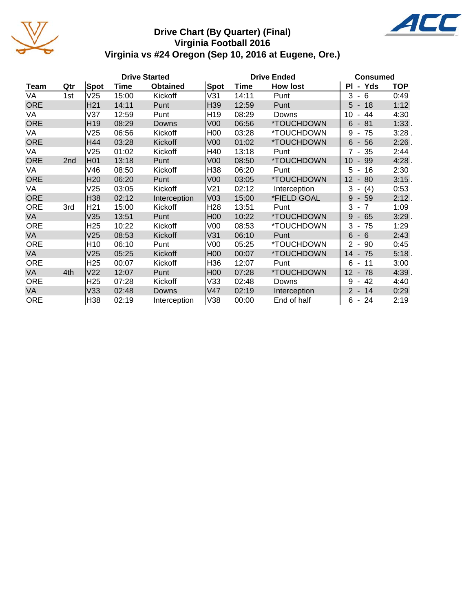

## **Drive Chart (By Quarter) (Final) Virginia Football 2016 Virginia vs #24 Oregon (Sep 10, 2016 at Eugene, Ore.)**



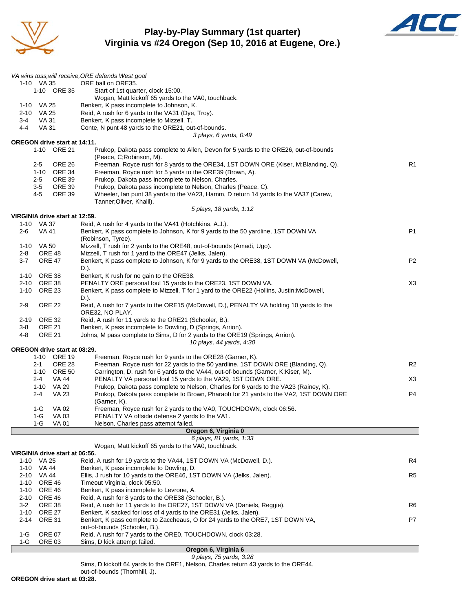

### **Play-by-Play Summary (1st quarter) Virginia vs #24 Oregon (Sep 10, 2016 at Eugene, Ore.)**



|                    |                                |                                     | VA wins toss, will receive, ORE defends West goal                                                                                                                    |                |
|--------------------|--------------------------------|-------------------------------------|----------------------------------------------------------------------------------------------------------------------------------------------------------------------|----------------|
|                    | 1-10 VA 35                     |                                     | ORE ball on ORE35.                                                                                                                                                   |                |
|                    |                                | 1-10 ORE 35                         | Start of 1st quarter, clock 15:00.<br>Wogan, Matt kickoff 65 yards to the VA0, touchback.                                                                            |                |
|                    | 1-10 VA 25                     |                                     | Benkert, K pass incomplete to Johnson, K.                                                                                                                            |                |
|                    | 2-10 VA 25                     |                                     | Reid, A rush for 6 yards to the VA31 (Dye, Troy).                                                                                                                    |                |
| $3 - 4$<br>$4 - 4$ | VA 31<br>VA 31                 |                                     | Benkert, K pass incomplete to Mizzell, T.<br>Conte, N punt 48 yards to the ORE21, out-of-bounds.                                                                     |                |
|                    |                                |                                     | 3 plays, 6 yards, 0:49                                                                                                                                               |                |
|                    |                                | <b>OREGON drive start at 14:11.</b> |                                                                                                                                                                      |                |
|                    |                                | 1-10 ORE 21                         | Prukop, Dakota pass complete to Allen, Devon for 5 yards to the ORE26, out-of-bounds<br>(Peace, C;Robinson, M).                                                      |                |
|                    | $2 - 5$                        | <b>ORE 26</b>                       | Freeman, Royce rush for 8 yards to the ORE34, 1ST DOWN ORE (Kiser, M;Blanding, Q).                                                                                   | R1             |
|                    | $2 - 5$                        | 1-10 ORE 34<br><b>ORE 39</b>        | Freeman, Royce rush for 5 yards to the ORE39 (Brown, A).<br>Prukop, Dakota pass incomplete to Nelson, Charles.                                                       |                |
|                    | 3-5                            | <b>ORE 39</b>                       | Prukop, Dakota pass incomplete to Nelson, Charles (Peace, C).                                                                                                        |                |
|                    | 4-5                            | <b>ORE 39</b>                       | Wheeler, Ian punt 38 yards to the VA23, Hamm, D return 14 yards to the VA37 (Carew,<br>Tanner; Oliver, Khalil).                                                      |                |
|                    |                                |                                     | 5 plays, 18 yards, 1:12                                                                                                                                              |                |
|                    | 1-10 VA 37                     | VIRGINIA drive start at 12:59.      |                                                                                                                                                                      |                |
| 2-6                | VA 41                          |                                     | Reid, A rush for 4 yards to the VA41 (Hotchkins, A.J.).<br>Benkert, K pass complete to Johnson, K for 9 yards to the 50 yardline, 1ST DOWN VA                        | P <sub>1</sub> |
|                    |                                |                                     | (Robinson, Tyree).                                                                                                                                                   |                |
|                    | 1-10 VA 50                     |                                     | Mizzell, T rush for 2 yards to the ORE48, out-of-bounds (Amadi, Ugo).                                                                                                |                |
| 2-8<br>$3 - 7$     | ORE 48<br><b>ORE 47</b>        |                                     | Mizzell, T rush for 1 yard to the ORE47 (Jelks, Jalen).<br>Benkert, K pass complete to Johnson, K for 9 yards to the ORE38, 1ST DOWN VA (McDowell,                   | P <sub>2</sub> |
|                    |                                |                                     | D.).                                                                                                                                                                 |                |
| 1-10               | ORE 38                         |                                     | Benkert, K rush for no gain to the ORE38.                                                                                                                            |                |
| $2 - 10$           | ORE 38                         |                                     | PENALTY ORE personal foul 15 yards to the ORE23, 1ST DOWN VA.                                                                                                        | X3             |
| $1 - 10$           | <b>ORE 23</b>                  |                                     | Benkert, K pass complete to Mizzell, T for 1 yard to the ORE22 (Hollins, Justin; McDowell,<br>D.).                                                                   |                |
| $2-9$              | <b>ORE 22</b>                  |                                     | Reid, A rush for 7 yards to the ORE15 (McDowell, D.), PENALTY VA holding 10 yards to the<br>ORE32, NO PLAY.                                                          |                |
| 2-19               | <b>ORE 32</b>                  |                                     | Reid, A rush for 11 yards to the ORE21 (Schooler, B.).                                                                                                               |                |
| 3-8<br>4-8         | <b>ORE 21</b><br><b>ORE 21</b> |                                     | Benkert, K pass incomplete to Dowling, D (Springs, Arrion).                                                                                                          |                |
|                    |                                |                                     | Johns, M pass complete to Sims, D for 2 yards to the ORE19 (Springs, Arrion).<br>10 plays, 44 yards, 4:30                                                            |                |
|                    |                                | <b>OREGON drive start at 08:29.</b> |                                                                                                                                                                      |                |
|                    |                                | 1-10 ORE 19                         | Freeman, Royce rush for 9 yards to the ORE28 (Garner, K).                                                                                                            |                |
|                    | $2 - 1$                        | <b>ORE 28</b><br>1-10 ORE 50        | Freeman, Royce rush for 22 yards to the 50 yardline, 1ST DOWN ORE (Blanding, Q).<br>Carrington, D. rush for 6 yards to the VA44, out-of-bounds (Garner, K;Kiser, M). | R <sub>2</sub> |
|                    | $2 - 4$                        | VA 44                               | PENALTY VA personal foul 15 yards to the VA29, 1ST DOWN ORE.                                                                                                         | X <sub>3</sub> |
|                    | 1-10 VA 29                     |                                     | Prukop, Dakota pass complete to Nelson, Charles for 6 yards to the VA23 (Rainey, K).                                                                                 |                |
|                    | 2-4                            | <b>VA 23</b>                        | Prukop, Dakota pass complete to Brown, Pharaoh for 21 yards to the VA2, 1ST DOWN ORE                                                                                 | P4             |
|                    | 1-G                            | <b>VA 02</b>                        | (Garner, K).<br>Freeman, Royce rush for 2 yards to the VA0, TOUCHDOWN, clock 06:56.                                                                                  |                |
|                    | $1-G$                          | VA 03                               | PENALTY VA offside defense 2 yards to the VA1.                                                                                                                       |                |
|                    | $1-G$                          | <b>VA 01</b>                        | Nelson, Charles pass attempt failed.                                                                                                                                 |                |
|                    |                                |                                     | Oregon 6, Virginia 0                                                                                                                                                 |                |
|                    |                                |                                     | 6 plays, 81 yards, 1:33<br>Wogan, Matt kickoff 65 yards to the VA0, touchback.                                                                                       |                |
|                    |                                | VIRGINIA drive start at 06:56.      |                                                                                                                                                                      |                |
|                    | 1-10 VA 25                     |                                     | Reid, A rush for 19 yards to the VA44, 1ST DOWN VA (McDowell, D.).                                                                                                   | R4             |
| 2-10               | 1-10 VA 44<br><b>VA 44</b>     |                                     | Benkert, K pass incomplete to Dowling, D.<br>Ellis, J rush for 10 yards to the ORE46, 1ST DOWN VA (Jelks, Jalen).                                                    | R <sub>5</sub> |
| $1 - 10$           | <b>ORE 46</b>                  |                                     | Timeout Virginia, clock 05:50.                                                                                                                                       |                |
| $1 - 10$           | <b>ORE 46</b>                  |                                     | Benkert, K pass incomplete to Levrone, A.                                                                                                                            |                |
| 2-10               | <b>ORE 46</b>                  |                                     | Reid, A rush for 8 yards to the ORE38 (Schooler, B.).                                                                                                                |                |
| $3-2$<br>$1 - 10$  | ORE 38<br><b>ORE 27</b>        |                                     | Reid, A rush for 11 yards to the ORE27, 1ST DOWN VA (Daniels, Reggie).<br>Benkert, K sacked for loss of 4 yards to the ORE31 (Jelks, Jalen).                         | R6             |
| $2 - 14$           | <b>ORE 31</b>                  |                                     | Benkert, K pass complete to Zaccheaus, O for 24 yards to the ORE7, 1ST DOWN VA,                                                                                      | P7             |
| 1-G                | <b>ORE 07</b>                  |                                     | out-of-bounds (Schooler, B.).<br>Reid, A rush for 7 yards to the ORE0, TOUCHDOWN, clock 03:28.                                                                       |                |
| 1-G                | ORE 03                         |                                     | Sims, D kick attempt failed.                                                                                                                                         |                |

**Oregon 6, Virginia 6** *9 plays, 75 yards, 3:28*

Sims, D kickoff 64 yards to the ORE1, Nelson, Charles return 43 yards to the ORE44,

out-of-bounds (Thornhill, J).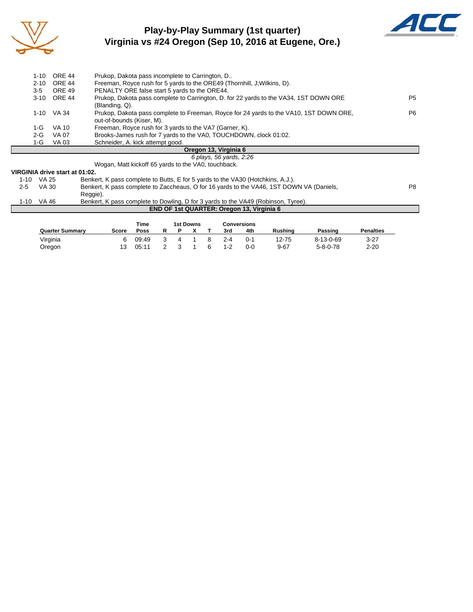

## **Play-by-Play Summary (1st quarter) Virginia vs #24 Oregon (Sep 10, 2016 at Eugene, Ore.)**



| $1 - 10$ | ORE 44      | Prukop, Dakota pass incomplete to Carrington, D                                                                     |                |
|----------|-------------|---------------------------------------------------------------------------------------------------------------------|----------------|
| $2 - 10$ | ORE 44      | Freeman, Royce rush for 5 yards to the ORE49 (Thornhill, J; Wilkins, D).                                            |                |
| $3 - 5$  | ORE 49      | PENALTY ORE false start 5 yards to the ORE44.                                                                       |                |
|          | 3-10 ORE 44 | Prukop, Dakota pass complete to Carrington, D. for 22 yards to the VA34, 1ST DOWN ORE                               | P <sub>5</sub> |
|          |             | (Blanding, Q).                                                                                                      |                |
|          | 1-10 VA 34  | Prukop, Dakota pass complete to Freeman, Royce for 24 yards to the VA10, 1ST DOWN ORE,<br>out-of-bounds (Kiser, M). | P6.            |
| 1-G      | VA 10       | Freeman, Royce rush for 3 yards to the VA7 (Garner, K).                                                             |                |
| $2-G$    | VA 07       | Brooks-James rush for 7 yards to the VA0, TOUCHDOWN, clock 01:02.                                                   |                |
| 1-G      | VA 03       | Schneider, A. kick attempt good.                                                                                    |                |
|          |             | Oregon 13, Virginia 6                                                                                               |                |
|          |             | 6 plays, 56 yards, 2:26                                                                                             |                |

Wogan, Matt kickoff 65 yards to the VA0, touchback.

#### **VIRGINIA drive start at 01:02.**

|      |       | THROIT ON THE STAIL ALOT OF THE T                                                        |    |
|------|-------|------------------------------------------------------------------------------------------|----|
| 1-10 | VA 25 | Benkert, K pass complete to Butts, E for 5 yards to the VA30 (Hotchkins, A.J.).          |    |
| 2-5  | VA 30 | Benkert, K pass complete to Zaccheaus, O for 16 yards to the VA46, 1ST DOWN VA (Daniels, | P8 |
|      |       | Reggie).                                                                                 |    |
| 1-10 | VA 46 | Benkert, K pass complete to Dowling, D for 3 yards to the VA49 (Robinson, Tyree).        |    |
|      |       | <b>END OF 1st QUARTER: Oregon 13, Virginia 6</b>                                         |    |

|                        |       | Time  | 1st Downs |  |  |   |         | <b>Conversions</b> |                |                   |                  |  |  |
|------------------------|-------|-------|-----------|--|--|---|---------|--------------------|----------------|-------------------|------------------|--|--|
| <b>Quarter Summary</b> | Score | Poss  |           |  |  |   | 3rd     | 4th                | <b>Rushing</b> | Passing           | <b>Penalties</b> |  |  |
| Virginia               | 6     | 09:49 |           |  |  |   | $2 - 4$ | በ-1                | 12-75          | $8 - 13 - 0 - 69$ | 3-27             |  |  |
| Oregon                 |       | 05:11 |           |  |  | 6 | $1 - 2$ | 0-0                | $9 - 67$       | $5 - 8 - 0 - 78$  | $2 - 20$         |  |  |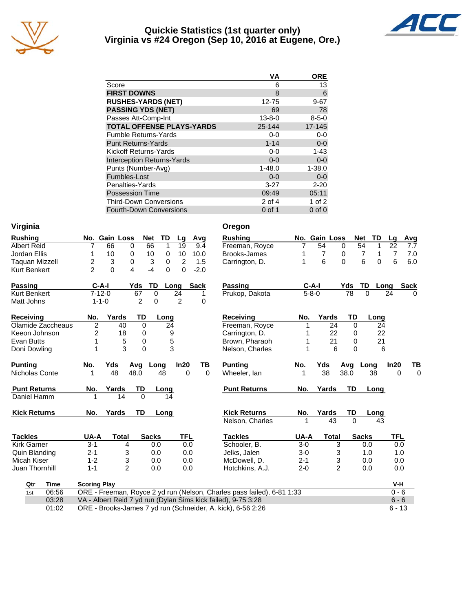

#### **Quickie Statistics (1st quarter only) Virginia vs #24 Oregon (Sep 10, 2016 at Eugene, Ore.)**



|                                   | VA           | <b>ORE</b>  |
|-----------------------------------|--------------|-------------|
| Score                             | 6            | 13          |
| <b>FIRST DOWNS</b>                | 8            | 6           |
| <b>RUSHES-YARDS (NET)</b>         | 12-75        | $9 - 67$    |
| <b>PASSING YDS (NET)</b>          | 69           | 78          |
| Passes Att-Comp-Int               | $13 - 8 - 0$ | $8 - 5 - 0$ |
| <b>TOTAL OFFENSE PLAYS-YARDS</b>  | 25-144       | 17-145      |
| <b>Fumble Returns-Yards</b>       | $0 - 0$      | $0-0$       |
| <b>Punt Returns-Yards</b>         | $1 - 14$     | $0-0$       |
| Kickoff Returns-Yards             | $0-0$        | $1 - 43$    |
| <b>Interception Returns-Yards</b> | $0 - 0$      | $0-0$       |
| Punts (Number-Avg)                | $1 - 48.0$   | $1 - 38.0$  |
| Fumbles-Lost                      | $0 - 0$      | $0-0$       |
| Penalties-Yards                   | $3 - 27$     | $2 - 20$    |
| <b>Possession Time</b>            | 09:49        | 05:11       |
| <b>Third-Down Conversions</b>     | 2 of 4       | 1 of $2$    |
| Fourth-Down Conversions           | $0$ of 1     | $0$ of $0$  |

| Virginia              |                               |                                                               | Oregon                                                                 |             |                |                  |          |                |           |
|-----------------------|-------------------------------|---------------------------------------------------------------|------------------------------------------------------------------------|-------------|----------------|------------------|----------|----------------|-----------|
| <b>Rushing</b>        | No. Gain Loss                 | TD<br><b>Net</b><br>Lg<br>Avg                                 | <b>Rushing</b>                                                         |             | No. Gain Loss  | <b>Net</b>       | TD       | Lg             | Avg       |
| <b>Albert Reid</b>    | 66<br>0<br>7                  | 66<br>1<br>19<br>9.4                                          | Freeman, Royce                                                         |             | 54             | 54<br>$\Omega$   | 1        | 22             | 7.7       |
| Jordan Ellis          | 10<br>0<br>1                  | 10<br>0<br>10<br>10.0                                         | <b>Brooks-James</b>                                                    |             | 7              | 7<br>0           | 1        | $\overline{7}$ | 7.0       |
| <b>Taquan Mizzell</b> | 2<br>3<br>$\Omega$            | 3<br>2<br>1.5<br>0                                            | Carrington, D.                                                         | 1           | 6              | 6<br>$\Omega$    | $\Omega$ | 6              | 6.0       |
| Kurt Benkert          | $\overline{2}$<br>0<br>4      | $-4$<br>$\Omega$<br>0<br>$-2.0$                               |                                                                        |             |                |                  |          |                |           |
| <b>Passing</b>        | $C-A-I$<br>Yds                | TD<br><b>Sack</b><br>Long                                     | <b>Passing</b>                                                         | $C-A-I$     |                | Yds<br><b>TD</b> | Long     | <b>Sack</b>    |           |
| Kurt Benkert          | $7 - 12 - 0$<br>67            | $\mathbf 0$<br>24<br>1                                        | Prukop, Dakota                                                         | $5 - 8 - 0$ |                | 78<br>$\Omega$   |          | 24             | $\Omega$  |
| Matt Johns            | $1 - 1 - 0$                   | 2<br>2<br>0<br>0                                              |                                                                        |             |                |                  |          |                |           |
| <b>Receiving</b>      | Yards<br>No.                  | TD<br>Long                                                    | <b>Receiving</b>                                                       | No.         | Yards          | TD               | Long     |                |           |
| Olamide Zaccheaus     | $\overline{2}$<br>40          | 24<br>$\Omega$                                                | Freeman, Royce                                                         |             | 24             | $\Omega$         | 24       |                |           |
| Keeon Johnson         | $\overline{\mathbf{c}}$<br>18 | 9<br>0                                                        | Carrington, D.                                                         |             | 22             | 0                | 22       |                |           |
| <b>Evan Butts</b>     | 1<br>5                        | 5<br>0                                                        | Brown, Pharaoh                                                         |             | 21             | 0                | 21       |                |           |
| Doni Dowling          | 3<br>1                        | 3<br>$\mathbf 0$                                              | Nelson, Charles                                                        |             | 6              | $\mathbf{0}$     | 6        |                |           |
| <b>Punting</b>        | Yds<br>No.<br>Avg             | In20<br>Long<br>TВ                                            | <b>Punting</b>                                                         | No.         | Yds            | Avg              | Long     | In20           | <u>ТВ</u> |
| Nicholas Conte        | 48<br>48.0<br>1               | 48<br>$\Omega$<br>$\Omega$                                    | Wheeler, lan                                                           | 1           | 38             | 38.0             | 38       | $\Omega$       | $\Omega$  |
| <b>Punt Returns</b>   | No.<br>Yards                  | TD<br>Long                                                    | <b>Punt Returns</b>                                                    | No.         | Yards          | TD               | Long     |                |           |
| Daniel Hamm           | 14                            | $\Omega$<br>14                                                |                                                                        |             |                |                  |          |                |           |
| <b>Kick Returns</b>   | Yards<br>No.                  | <b>TD</b><br>Long                                             | <b>Kick Returns</b>                                                    | No.         | Yards          | TD               | Long     |                |           |
|                       |                               |                                                               | Nelson, Charles                                                        |             | 43             | $\Omega$         | 43       |                |           |
| <b>Tackles</b>        | UA-A<br><b>Total</b>          | <b>Sacks</b><br><b>TFL</b>                                    | <b>Tackles</b>                                                         | UA-A        | <b>Total</b>   | <b>Sacks</b>     |          | <b>TFL</b>     |           |
| <b>Kirk Garner</b>    | $3 - 1$<br>4                  | 0.0<br>0.0                                                    | Schooler, B.                                                           | $3-0$       | 3              | 0.0              |          | 0.0            |           |
| Quin Blanding         | $2 - 1$<br>3                  | 0.0<br>0.0                                                    | Jelks, Jalen                                                           | $3-0$       | 3              | 1.0              |          | 1.0            |           |
| Micah Kiser           | 3<br>$1 - 2$                  | 0.0<br>0.0                                                    | McDowell, D.                                                           | $2 - 1$     | 3              | 0.0              |          | 0.0            |           |
| Juan Thornhill        | $\overline{2}$<br>$1 - 1$     | 0.0<br>0.0                                                    | Hotchkins, A.J.                                                        | $2 - 0$     | $\overline{2}$ | 0.0              |          | 0.0            |           |
| Qtr<br>Time           | <b>Scoring Play</b>           |                                                               |                                                                        |             |                |                  |          | V-H            |           |
| 06:56<br>1st          |                               |                                                               | ORE - Freeman, Royce 2 yd run (Nelson, Charles pass failed), 6-81 1:33 |             |                |                  |          | $0 - 6$        |           |
| 03:28                 |                               | VA - Albert Reid 7 yd run (Dylan Sims kick failed), 9-75 3:28 |                                                                        |             |                |                  |          | $6 - 6$        |           |
| 01:02                 |                               | ORE - Brooks-James 7 yd run (Schneider, A. kick), 6-56 2:26   |                                                                        |             |                |                  |          | $6 - 13$       |           |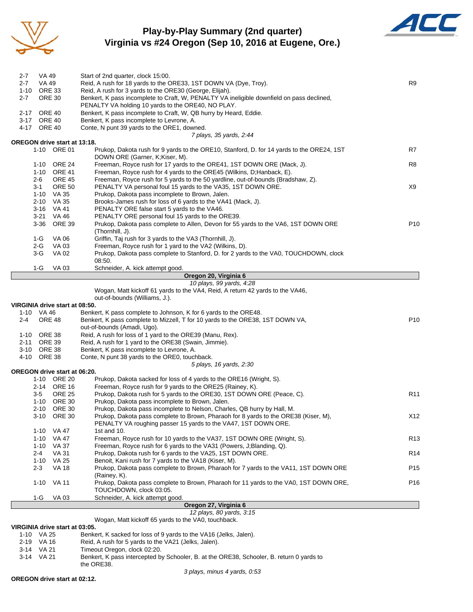

### **Play-by-Play Summary (2nd quarter) Virginia vs #24 Oregon (Sep 10, 2016 at Eugene, Ore.)**



| $2 - 7$<br>$2 - 7$ | VA 49<br>VA 49             |                                             | Start of 2nd quarter, clock 15:00.<br>Reid, A rush for 18 yards to the ORE33, 1ST DOWN VA (Dye, Troy).                                                    | R9              |
|--------------------|----------------------------|---------------------------------------------|-----------------------------------------------------------------------------------------------------------------------------------------------------------|-----------------|
| 1-10               | <b>ORE 33</b>              |                                             | Reid, A rush for 3 yards to the ORE30 (George, Elijah).                                                                                                   |                 |
| $2 - 7$            | <b>ORE 30</b>              |                                             | Benkert, K pass incomplete to Craft, W, PENALTY VA ineligible downfield on pass declined,                                                                 |                 |
|                    |                            |                                             | PENALTY VA holding 10 yards to the ORE40, NO PLAY.                                                                                                        |                 |
| 2-17               | <b>ORE 40</b>              |                                             | Benkert, K pass incomplete to Craft, W, QB hurry by Heard, Eddie.                                                                                         |                 |
|                    | 3-17 ORE 40<br>4-17 ORE 40 |                                             | Benkert, K pass incomplete to Levrone, A.<br>Conte, N punt 39 yards to the ORE1, downed.                                                                  |                 |
|                    |                            |                                             | 7 plays, 35 yards, 2:44                                                                                                                                   |                 |
|                    |                            | OREGON drive start at 13:18.                |                                                                                                                                                           |                 |
|                    |                            | 1-10 ORE 01                                 | Prukop, Dakota rush for 9 yards to the ORE10, Stanford, D. for 14 yards to the ORE24, 1ST<br>DOWN ORE (Garner, K;Kiser, M).                               | R7              |
|                    | 1-10                       | ORE 24                                      | Freeman, Royce rush for 17 yards to the ORE41, 1ST DOWN ORE (Mack, J).                                                                                    | R8              |
|                    | 2-6                        | 1-10 ORE 41<br><b>ORE 45</b>                | Freeman, Royce rush for 4 yards to the ORE45 (Wilkins, D;Hanback, E).<br>Freeman, Royce rush for 5 yards to the 50 yardline, out-of-bounds (Bradshaw, Z). |                 |
|                    | 3-1                        | <b>ORE 50</b>                               | PENALTY VA personal foul 15 yards to the VA35, 1ST DOWN ORE.                                                                                              | X9              |
|                    |                            | 1-10 VA 35                                  | Prukop, Dakota pass incomplete to Brown, Jalen.                                                                                                           |                 |
|                    | $2 - 10$                   | VA 35                                       | Brooks-James rush for loss of 6 yards to the VA41 (Mack, J).                                                                                              |                 |
|                    |                            | 3-16 VA 41                                  | PENALTY ORE false start 5 yards to the VA46.                                                                                                              |                 |
|                    | 3-21                       | <b>VA 46</b>                                | PENALTY ORE personal foul 15 yards to the ORE39.                                                                                                          |                 |
|                    | 3-36                       | ORE 39                                      | Prukop, Dakota pass complete to Allen, Devon for 55 yards to the VA6, 1ST DOWN ORE<br>(Thornhill, J).                                                     | P <sub>10</sub> |
|                    | 1-G                        | VA 06                                       | Griffin, Taj rush for 3 yards to the VA3 (Thornhill, J).                                                                                                  |                 |
|                    | 2-G                        | <b>VA 03</b>                                | Freeman, Royce rush for 1 yard to the VA2 (Wilkins, D).                                                                                                   |                 |
|                    | $3-G$                      | VA 02                                       | Prukop, Dakota pass complete to Stanford, D. for 2 yards to the VA0, TOUCHDOWN, clock                                                                     |                 |
|                    |                            |                                             | 08:50.                                                                                                                                                    |                 |
|                    | 1-G                        | <b>VA 03</b>                                | Schneider, A. kick attempt good.<br>Oregon 20, Virginia 6                                                                                                 |                 |
|                    |                            |                                             | 10 plays, 99 yards, 4:28                                                                                                                                  |                 |
|                    |                            |                                             | Wogan, Matt kickoff 61 yards to the VA4, Reid, A return 42 yards to the VA46,                                                                             |                 |
|                    |                            |                                             | out-of-bounds (Williams, J.).                                                                                                                             |                 |
|                    |                            | VIRGINIA drive start at 08:50.              |                                                                                                                                                           |                 |
|                    | 1-10 VA 46                 |                                             | Benkert, K pass complete to Johnson, K for 6 yards to the ORE48.                                                                                          |                 |
| 2-4                | <b>ORE 48</b>              |                                             | Benkert, K pass complete to Mizzell, T for 10 yards to the ORE38, 1ST DOWN VA,<br>out-of-bounds (Amadi, Ugo).                                             | P <sub>10</sub> |
|                    | 1-10 ORE 38                |                                             | Reid, A rush for loss of 1 yard to the ORE39 (Manu, Rex).                                                                                                 |                 |
| 2-11               | <b>ORE 39</b>              |                                             | Reid, A rush for 1 yard to the ORE38 (Swain, Jimmie).                                                                                                     |                 |
|                    | 3-10 ORE 38                |                                             | Benkert, K pass incomplete to Levrone, A.                                                                                                                 |                 |
|                    | 4-10 ORE 38                |                                             | Conte, N punt 38 yards to the ORE0, touchback.                                                                                                            |                 |
|                    |                            |                                             | 5 plays, 16 yards, 2:30                                                                                                                                   |                 |
|                    |                            | OREGON drive start at 06:20.<br>1-10 ORE 20 | Prukop, Dakota sacked for loss of 4 yards to the ORE16 (Wright, S).                                                                                       |                 |
|                    | $2 - 14$                   | <b>ORE 16</b>                               | Freeman, Royce rush for 9 yards to the ORE25 (Rainey, K).                                                                                                 |                 |
|                    | $3 - 5$                    | <b>ORE 25</b>                               | Prukop, Dakota rush for 5 yards to the ORE30, 1ST DOWN ORE (Peace, C).                                                                                    | R <sub>11</sub> |
|                    |                            | 1-10 ORE 30                                 | Prukop, Dakota pass incomplete to Brown, Jalen.                                                                                                           |                 |
|                    | 2-10                       | <b>ORE 30</b>                               | Prukop, Dakota pass incomplete to Nelson, Charles, QB hurry by Hall, M.                                                                                   |                 |
|                    |                            | 3-10 ORE 30                                 | Prukop, Dakota pass complete to Brown, Pharaoh for 8 yards to the ORE38 (Kiser, M),<br>PENALTY VA roughing passer 15 yards to the VA47, 1ST DOWN ORE.     | X12             |
|                    |                            | 1-10 VA 47<br>1-10 VA 47                    | 1st and 10.<br>Freeman, Royce rush for 10 yards to the VA37, 1ST DOWN ORE (Wright, S).                                                                    | R <sub>13</sub> |
|                    |                            | 1-10 VA 37                                  | Freeman, Royce rush for 6 yards to the VA31 (Powers, J;Blanding, Q).                                                                                      |                 |
|                    | 2-4                        | <b>VA 31</b>                                | Prukop, Dakota rush for 6 yards to the VA25, 1ST DOWN ORE.                                                                                                | R <sub>14</sub> |
|                    |                            | 1-10 VA 25                                  | Benoit, Kani rush for 7 yards to the VA18 (Kiser, M).                                                                                                     |                 |
|                    | $2 - 3$                    | <b>VA 18</b>                                | Prukop, Dakota pass complete to Brown, Pharaoh for 7 yards to the VA11, 1ST DOWN ORE                                                                      | P <sub>15</sub> |
|                    |                            | 1-10 VA 11                                  | (Rainey, K).<br>Prukop, Dakota pass complete to Brown, Pharaoh for 11 yards to the VA0, 1ST DOWN ORE,                                                     | P <sub>16</sub> |
|                    | 1-G                        | VA 03                                       | TOUCHDOWN, clock 03:05.<br>Schneider, A. kick attempt good.                                                                                               |                 |
|                    |                            |                                             | Oregon 27, Virginia 6                                                                                                                                     |                 |
|                    |                            |                                             | 12 plays, 80 yards, 3:15                                                                                                                                  |                 |
|                    |                            |                                             | Wogan, Matt kickoff 65 yards to the VA0, touchback.                                                                                                       |                 |
|                    |                            | VIRGINIA drive start at 03:05.              |                                                                                                                                                           |                 |
|                    | 1-10 VA 25<br>$2-19$ VA 16 |                                             | Benkert, K sacked for loss of 9 yards to the VA16 (Jelks, Jalen).<br>Reid A rush for 5 vards to the VA21 (Jelks, Jalen)                                   |                 |

- 2-19 VA 16 Reid, A rush for 5 yards to the VA21 (Jelks, Jalen).<br>3-14 VA 21 Timeout Oregon, clock 02:20.
- 
- 3-14 VA 21 Timeout Oregon, clock 02:20.<br>3-14 VA 21 Benkert, K pass intercepted by Benkert, K pass intercepted by Schooler, B. at the ORE38, Schooler, B. return 0 yards to the ORE38.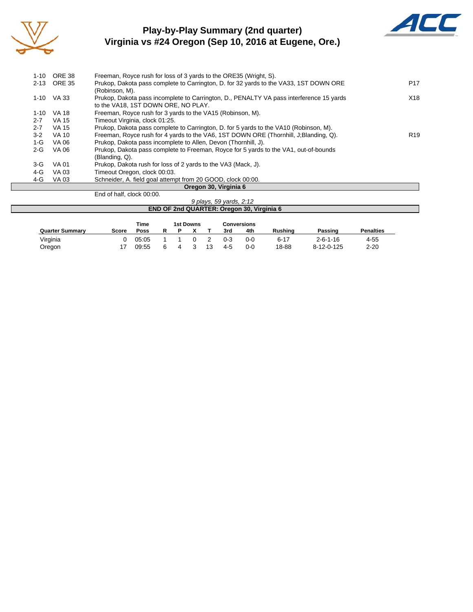

## **Play-by-Play Summary (2nd quarter) Virginia vs #24 Oregon (Sep 10, 2016 at Eugene, Ore.)**



| $1-10$   | ORE 38       | Freeman, Royce rush for loss of 3 yards to the ORE35 (Wright, S).                                                              |                 |
|----------|--------------|--------------------------------------------------------------------------------------------------------------------------------|-----------------|
| $2 - 13$ | ORE 35       | Prukop, Dakota pass complete to Carrington, D. for 32 yards to the VA33, 1ST DOWN ORE<br>(Robinson, M).                        | P <sub>17</sub> |
|          | $1-10$ VA 33 | Prukop, Dakota pass incomplete to Carrington, D., PENALTY VA pass interference 15 yards<br>to the VA18, 1ST DOWN ORE, NO PLAY. | X18             |
| $1 - 10$ | <b>VA 18</b> | Freeman, Royce rush for 3 yards to the VA15 (Robinson, M).                                                                     |                 |
| $2 - 7$  | VA 15        | Timeout Virginia, clock 01:25.                                                                                                 |                 |
| $2 - 7$  | VA 15        | Prukop, Dakota pass complete to Carrington, D. for 5 yards to the VA10 (Robinson, M).                                          |                 |
| $3-2$    | VA 10        | Freeman, Royce rush for 4 yards to the VA6, 1ST DOWN ORE (Thornhill, J.Blanding, Q).                                           | R <sub>19</sub> |
| 1-G      | VA 06        | Prukop, Dakota pass incomplete to Allen, Devon (Thornhill, J).                                                                 |                 |
| $2 - G$  | VA 06        | Prukop, Dakota pass complete to Freeman, Royce for 5 yards to the VA1, out-of-bounds<br>(Blanding, Q).                         |                 |
| $3-G$    | <b>VA 01</b> | Prukop, Dakota rush for loss of 2 yards to the VA3 (Mack, J).                                                                  |                 |
| 4-G      | VA 03        | Timeout Oregon, clock 00:03.                                                                                                   |                 |
| 4-G      | VA 03        | Schneider, A. field goal attempt from 20 GOOD, clock 00:00.                                                                    |                 |
|          |              | Oregon 30, Virginia 6                                                                                                          |                 |

End of half, clock 00:00.

| .                                                |                  | 9 plays, 59 yards, 2:12 |  |  |  |  |  |
|--------------------------------------------------|------------------|-------------------------|--|--|--|--|--|
| <b>END OF 2nd QUARTER: Oregon 30, Virginia 6</b> |                  |                         |  |  |  |  |  |
|                                                  |                  |                         |  |  |  |  |  |
| Time                                             | <b>1st Downs</b> | <b>Conversions</b>      |  |  |  |  |  |

| <b>Quarter Summary</b> | Score | Poss           | R | P. |     |           | 3rd                | 4th        | Rushina           | Passing                        | Penalties            |
|------------------------|-------|----------------|---|----|-----|-----------|--------------------|------------|-------------------|--------------------------------|----------------------|
| Virginia<br>Oregon     |       | 05:05<br>09:55 | 6 | 4  | - 3 | 2<br>- 13 | $0 - 3$<br>$4 - 5$ | 0-0<br>0-0 | $6 - 17$<br>18-88 | $2 - 6 - 1 - 16$<br>8-12-0-125 | $4 - 55$<br>$2 - 20$ |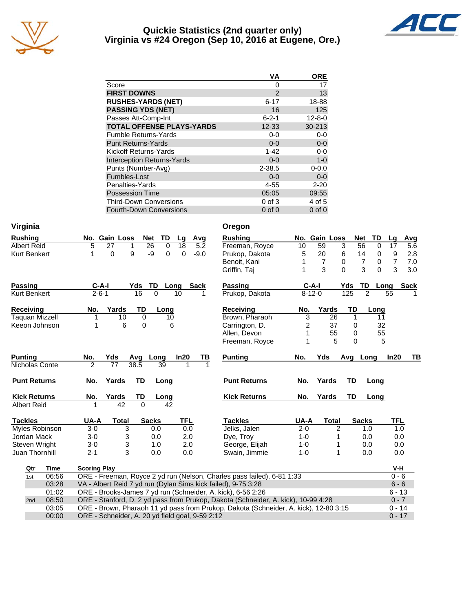

#### **Quickie Statistics (2nd quarter only) Virginia vs #24 Oregon (Sep 10, 2016 at Eugene, Ore.)**



| VА            | <b>ORE</b>   |
|---------------|--------------|
| 0             | 17           |
| $\mathcal{P}$ | 13           |
| $6 - 17$      | 18-88        |
| 16            | 125          |
| $6 - 2 - 1$   | $12 - 8 - 0$ |
| $12 - 33$     | $30 - 213$   |
| 0-0           | $0 - 0$      |
| $0 - 0$       | $0-0$        |
| $1 - 42$      | $0 - 0$      |
| $0 - 0$       | $1 - 0$      |
| $2 - 38.5$    | $0 - 0.0$    |
| $0 - 0$       | $0 - 0$      |
| 4-55          | $2 - 20$     |
| 05:05         | 09:55        |
| $0$ of $3$    | 4 of 5       |
| $0$ of $0$    | $0$ of $0$   |
|               |              |

| Virginia              |             |                     |                 |                                                 |                     | Oregon                                                                               |                 |                |                            |                |                |             |
|-----------------------|-------------|---------------------|-----------------|-------------------------------------------------|---------------------|--------------------------------------------------------------------------------------|-----------------|----------------|----------------------------|----------------|----------------|-------------|
| <b>Rushing</b>        |             |                     | No. Gain Loss   | Net<br>TD                                       | Lg<br>Avg           | <b>Rushing</b>                                                                       |                 | No. Gain Loss  | <b>Net</b>                 | TD             | Lg             | Avg         |
| <b>Albert Reid</b>    |             | 5                   | 27<br>1         | 26<br>$\overline{0}$                            | 18<br>5.2           | Freeman, Royce                                                                       | $\overline{10}$ | 59             | 3<br>56                    | 0              | 17             | 5.6         |
| <b>Kurt Benkert</b>   |             | 1                   | 9<br>0          | -9<br>$\mathbf 0$                               | 0<br>$-9.0$         | Prukop, Dakota                                                                       | 5               | 20             | 6<br>14                    | 0              | 9              | 2.8         |
|                       |             |                     |                 |                                                 |                     | Benoit, Kani                                                                         |                 | $\overline{7}$ | $\overline{7}$<br>$\Omega$ | 0              | $\overline{7}$ | 7.0         |
|                       |             |                     |                 |                                                 |                     | Griffin, Taj                                                                         |                 | 3              | 3<br>$\Omega$              | $\Omega$       | 3              | 3.0         |
| <b>Passing</b>        |             | $C-A-I$             |                 | TD<br>Yds                                       | Long<br><b>Sack</b> | <b>Passing</b>                                                                       | $C-A-I$         |                | TD<br>Yds                  | Long           |                | <b>Sack</b> |
| <b>Kurt Benkert</b>   |             | $2 - 6 - 1$         |                 | 16<br>0                                         | 10<br>1             | Prukop, Dakota                                                                       | $8 - 12 - 0$    |                | 125                        | $\overline{2}$ | 55             |             |
| <b>Receiving</b>      |             | No.                 | Yards           | TD<br>Long                                      |                     | Receiving                                                                            | No.             | Yards          | TD                         | Long           |                |             |
| <b>Taquan Mizzell</b> |             | 1                   | 10              | 0<br>10                                         |                     | Brown, Pharaoh                                                                       | 3               | 26             | 1                          | 11             |                |             |
| Keeon Johnson         |             | 1                   | 6               | 0                                               | 6                   | Carrington, D.                                                                       | $\overline{c}$  | 37             | 0                          | 32             |                |             |
|                       |             |                     |                 |                                                 |                     | Allen, Devon                                                                         |                 | 55             | 0                          | 55             |                |             |
|                       |             |                     |                 |                                                 |                     | Freeman, Royce                                                                       |                 | 5              | $\Omega$                   | 5              |                |             |
| <b>Punting</b>        |             | No.                 | Yds             | Long<br>Avg                                     | In20<br>ТВ          | <b>Punting</b>                                                                       | No.             | Yds            | Avg Long                   |                | In20           | TВ          |
| Nicholas Conte        |             | $\overline{2}$      | $\overline{77}$ | 38.5<br>39                                      |                     |                                                                                      |                 |                |                            |                |                |             |
| <b>Punt Returns</b>   |             | No.                 | Yards           | TD<br>Long                                      |                     | <b>Punt Returns</b>                                                                  | No.             | Yards          | TD                         | Long           |                |             |
| <b>Kick Returns</b>   |             | No.                 | Yards           | TD<br>Long                                      |                     | <b>Kick Returns</b>                                                                  | No.             | Yards          | TD                         | Long           |                |             |
| <b>Albert Reid</b>    |             |                     | $\overline{42}$ | $\overline{0}$<br>42                            |                     |                                                                                      |                 |                |                            |                |                |             |
| <b>Tackles</b>        |             | UA-A                | <b>Total</b>    | <b>Sacks</b>                                    | <b>TFL</b>          | <b>Tackles</b>                                                                       | UA-A            | <b>Total</b>   | <b>Sacks</b>               |                | <b>TFL</b>     |             |
| Myles Robinson        |             | $3-0$               | 3               | 0.0                                             | 0.0                 | Jelks, Jalen                                                                         | $2 - 0$         | 2              |                            | 1.0            | 1.0            |             |
| Jordan Mack           |             | $3-0$               | 3               | 0.0                                             | 2.0                 | Dye, Troy                                                                            | $1 - 0$         | 1              |                            | 0.0            | 0.0            |             |
| Steven Wright         |             | $3-0$               | 3               | 1.0                                             | 2.0                 | George, Elijah                                                                       | $1 - 0$         |                |                            | 0.0            | 0.0            |             |
| Juan Thornhill        |             | $2 - 1$             | 3               | 0.0                                             | 0.0                 | Swain, Jimmie                                                                        | $1 - 0$         | 1              |                            | 0.0            | 0.0            |             |
| Qtr                   | <b>Time</b> | <b>Scoring Play</b> |                 |                                                 |                     |                                                                                      |                 |                |                            |                | V-H            |             |
| 1st                   | 06:56       |                     |                 |                                                 |                     | ORE - Freeman, Royce 2 yd run (Nelson, Charles pass failed), 6-81 1:33               |                 |                |                            |                | $0 - 6$        |             |
|                       | 03:28       |                     |                 |                                                 |                     | VA - Albert Reid 7 yd run (Dylan Sims kick failed), 9-75 3:28                        |                 |                |                            |                | $6 - 6$        |             |
|                       | 01:02       |                     |                 |                                                 |                     | ORE - Brooks-James 7 yd run (Schneider, A. kick), 6-56 2:26                          |                 |                |                            |                | $6 - 13$       |             |
| 2nd                   | 08:50       |                     |                 |                                                 |                     | ORE - Stanford, D. 2 yd pass from Prukop, Dakota (Schneider, A. kick), 10-99 4:28    |                 |                |                            |                | $0 - 7$        |             |
|                       | 03:05       |                     |                 |                                                 |                     | ORE - Brown, Pharaoh 11 yd pass from Prukop, Dakota (Schneider, A. kick), 12-80 3:15 |                 |                |                            |                | $0 - 14$       |             |
|                       | 00:00       |                     |                 | ORE - Schneider, A. 20 yd field goal, 9-59 2:12 |                     |                                                                                      |                 |                |                            |                | $0 - 17$       |             |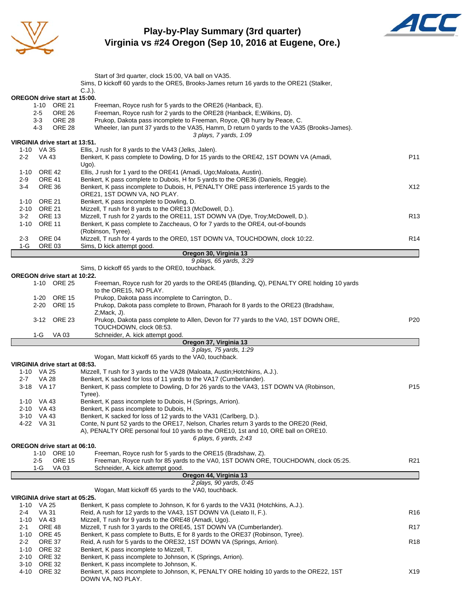

**Play-by-Play Summary (3rd quarter) Virginia vs #24 Oregon (Sep 10, 2016 at Eugene, Ore.)**



|                          |                                | Start of 3rd quarter, clock 15:00, VA ball on VA35.                                                                                                                   |                 |
|--------------------------|--------------------------------|-----------------------------------------------------------------------------------------------------------------------------------------------------------------------|-----------------|
|                          |                                | Sims, D kickoff 60 yards to the ORE5, Brooks-James return 16 yards to the ORE21 (Stalker,                                                                             |                 |
|                          |                                | $C.J.$ ).<br><b>OREGON drive start at 15:00.</b>                                                                                                                      |                 |
|                          | 1-10 ORE 21                    | Freeman, Royce rush for 5 yards to the ORE26 (Hanback, E).                                                                                                            |                 |
| 2-5                      | <b>ORE 26</b>                  | Freeman, Royce rush for 2 yards to the ORE28 (Hanback, E; Wilkins, D).                                                                                                |                 |
| $3 - 3$<br>4-3           | <b>ORE 28</b><br><b>ORE 28</b> | Prukop, Dakota pass incomplete to Freeman, Royce, QB hurry by Peace, C.<br>Wheeler, Ian punt 37 yards to the VA35, Hamm, D return 0 yards to the VA35 (Brooks-James). |                 |
|                          |                                | 3 plays, 7 yards, 1:09                                                                                                                                                |                 |
|                          |                                | VIRGINIA drive start at 13:51.                                                                                                                                        |                 |
| 1-10 VA 35<br>$2 - 2$    | VA 43                          | Ellis, J rush for 8 yards to the VA43 (Jelks, Jalen).<br>Benkert, K pass complete to Dowling, D for 15 yards to the ORE42, 1ST DOWN VA (Amadi,                        | P11             |
|                          |                                | Ugo).                                                                                                                                                                 |                 |
| 1-10                     | <b>ORE 42</b>                  | Ellis, J rush for 1 yard to the ORE41 (Amadi, Ugo; Maloata, Austin).                                                                                                  |                 |
| 2-9                      | <b>ORE 41</b>                  | Benkert, K pass complete to Dubois, H for 5 yards to the ORE36 (Daniels, Reggie).                                                                                     |                 |
| 3-4                      | <b>ORE 36</b>                  | Benkert, K pass incomplete to Dubois, H, PENALTY ORE pass interference 15 yards to the<br>ORE21, 1ST DOWN VA, NO PLAY.                                                | X12             |
| 1-10                     | <b>ORE 21</b>                  | Benkert, K pass incomplete to Dowling, D.                                                                                                                             |                 |
|                          | 2-10 ORE 21                    | Mizzell, T rush for 8 yards to the ORE13 (McDowell, D.).                                                                                                              |                 |
| 3-2                      | <b>ORE 13</b>                  | Mizzell, T rush for 2 yards to the ORE11, 1ST DOWN VA (Dye, Troy; McDowell, D.).                                                                                      | R <sub>13</sub> |
| 1-10                     | <b>ORE 11</b>                  | Benkert, K pass complete to Zaccheaus, O for 7 yards to the ORE4, out-of-bounds<br>(Robinson, Tyree).                                                                 |                 |
| $2 - 3$                  | ORE 04                         | Mizzell, T rush for 4 yards to the ORE0, 1ST DOWN VA, TOUCHDOWN, clock 10:22.                                                                                         | R14             |
| 1-G                      | <b>ORE 03</b>                  | Sims, D kick attempt good.                                                                                                                                            |                 |
|                          |                                | Oregon 30, Virginia 13                                                                                                                                                |                 |
|                          |                                | 9 plays, 65 yards, 3:29<br>Sims, D kickoff 65 yards to the ORE0, touchback.                                                                                           |                 |
|                          |                                | <b>OREGON drive start at 10:22.</b>                                                                                                                                   |                 |
|                          | 1-10 ORE 25                    | Freeman, Royce rush for 20 yards to the ORE45 (Blanding, Q), PENALTY ORE holding 10 yards                                                                             |                 |
|                          | 1-20 ORE 15                    | to the ORE15, NO PLAY.<br>Prukop, Dakota pass incomplete to Carrington, D                                                                                             |                 |
|                          | 2-20 ORE 15                    | Prukop, Dakota pass complete to Brown, Pharaoh for 8 yards to the ORE23 (Bradshaw,                                                                                    |                 |
|                          |                                | Z; Mack, J).                                                                                                                                                          |                 |
|                          | 3-12 ORE 23                    | Prukop, Dakota pass complete to Allen, Devon for 77 yards to the VA0, 1ST DOWN ORE,                                                                                   | P <sub>20</sub> |
|                          |                                |                                                                                                                                                                       |                 |
|                          |                                | TOUCHDOWN, clock 08:53.                                                                                                                                               |                 |
| $1-G$                    | <b>VA 03</b>                   | Schneider, A. kick attempt good.<br>Oregon 37, Virginia 13                                                                                                            |                 |
|                          |                                | 3 plays, 75 yards, 1:29                                                                                                                                               |                 |
|                          |                                | Wogan, Matt kickoff 65 yards to the VA0, touchback.                                                                                                                   |                 |
| 1-10 VA 25               |                                | VIRGINIA drive start at 08:53.                                                                                                                                        |                 |
| $2 - 7$                  | <b>VA 28</b>                   | Mizzell, T rush for 3 yards to the VA28 (Maloata, Austin; Hotchkins, A.J.).<br>Benkert, K sacked for loss of 11 yards to the VA17 (Cumberlander).                     |                 |
| 3-18 VA 17               |                                | Benkert, K pass complete to Dowling, D for 26 yards to the VA43, 1ST DOWN VA (Robinson,                                                                               | P <sub>15</sub> |
|                          |                                | Tyree).                                                                                                                                                               |                 |
| 1-10 VA 43               |                                | Benkert, K pass incomplete to Dubois, H (Springs, Arrion).                                                                                                            |                 |
| 2-10 VA 43<br>3-10 VA 43 |                                | Benkert, K pass incomplete to Dubois, H.<br>Benkert, K sacked for loss of 12 yards to the VA31 (Carlberg, D.).                                                        |                 |
| 4-22 VA 31               |                                | Conte, N punt 52 yards to the ORE17, Nelson, Charles return 3 yards to the ORE20 (Reid,                                                                               |                 |
|                          |                                | A), PENALTY ORE personal foul 10 yards to the ORE10, 1st and 10, ORE ball on ORE10.                                                                                   |                 |
|                          |                                | 6 plays, 6 yards, 2:43<br>OREGON drive start at 06:10.                                                                                                                |                 |
|                          | 1-10 ORE 10                    | Freeman, Royce rush for 5 yards to the ORE15 (Bradshaw, Z).                                                                                                           |                 |
| 2-5                      | <b>ORE 15</b>                  | Freeman, Royce rush for 85 yards to the VA0, 1ST DOWN ORE, TOUCHDOWN, clock 05:25.                                                                                    | R21             |
| 1-G                      | VA 03                          | Schneider, A. kick attempt good.                                                                                                                                      |                 |
|                          |                                | Oregon 44, Virginia 13<br>2 plays, 90 yards, 0:45                                                                                                                     |                 |
|                          |                                | Wogan, Matt kickoff 65 yards to the VA0, touchback.                                                                                                                   |                 |
|                          |                                | VIRGINIA drive start at 05:25.                                                                                                                                        |                 |
| 1-10 VA 25<br>2-4        | <b>VA 31</b>                   | Benkert, K pass complete to Johnson, K for 6 yards to the VA31 (Hotchkins, A.J.).<br>Reid, A rush for 12 yards to the VA43, 1ST DOWN VA (Leiato II, F.).              | R <sub>16</sub> |
| 1-10 VA 43               |                                | Mizzell, T rush for 9 yards to the ORE48 (Amadi, Ugo).                                                                                                                |                 |
| 2-1                      | ORE 48                         | Mizzell, T rush for 3 yards to the ORE45, 1ST DOWN VA (Cumberlander).                                                                                                 | R17             |
|                          | 1-10 ORE 45                    | Benkert, K pass complete to Butts, E for 8 yards to the ORE37 (Robinson, Tyree).                                                                                      |                 |
| $2 - 2$                  | <b>ORE 37</b><br>1-10 ORE 32   | Reid, A rush for 5 yards to the ORE32, 1ST DOWN VA (Springs, Arrion).<br>Benkert, K pass incomplete to Mizzell, T.                                                    | R <sub>18</sub> |
| 2-10                     | <b>ORE 32</b>                  | Benkert, K pass incomplete to Johnson, K (Springs, Arrion).                                                                                                           |                 |
| 3-10<br>4-10             | <b>ORE 32</b><br><b>ORE 32</b> | Benkert, K pass incomplete to Johnson, K.<br>Benkert, K pass incomplete to Johnson, K, PENALTY ORE holding 10 yards to the ORE22, 1ST                                 | X19             |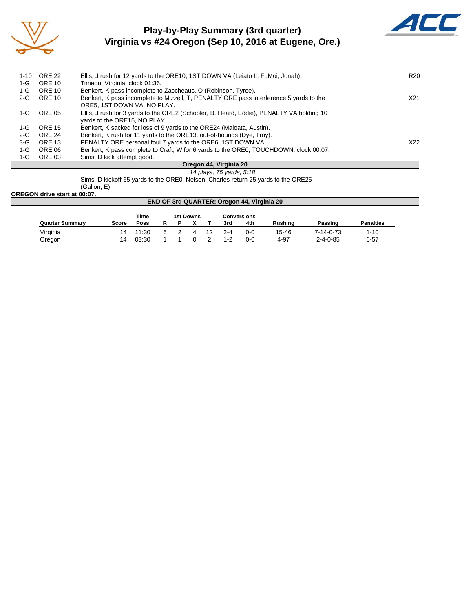

## **Play-by-Play Summary (3rd quarter) Virginia vs #24 Oregon (Sep 10, 2016 at Eugene, Ore.)**



| $1 - 10$ | <b>ORE 22</b> | Ellis, J rush for 12 yards to the ORE10, 1ST DOWN VA (Leiato II, F.; Moi, Jonah).         | R20 |
|----------|---------------|-------------------------------------------------------------------------------------------|-----|
| 1-G      | <b>ORE 10</b> | Timeout Virginia, clock 01:36.                                                            |     |
| 1-G      | <b>ORE 10</b> | Benkert, K pass incomplete to Zaccheaus, O (Robinson, Tyree).                             |     |
| 2-G      | <b>ORE 10</b> | Benkert, K pass incomplete to Mizzell, T, PENALTY ORE pass interference 5 yards to the    | X21 |
|          |               | ORE5, 1ST DOWN VA, NO PLAY.                                                               |     |
| 1-G      | ORE 05        | Ellis, J rush for 3 yards to the ORE2 (Schooler, B.; Heard, Eddie), PENALTY VA holding 10 |     |
|          |               | yards to the ORE15, NO PLAY.                                                              |     |
| 1-G      | <b>ORE 15</b> | Benkert, K sacked for loss of 9 yards to the ORE24 (Maloata, Austin).                     |     |
| 2-G      | <b>ORE 24</b> | Benkert, K rush for 11 yards to the ORE13, out-of-bounds (Dye, Troy).                     |     |
| 3-G      | <b>ORE 13</b> | PENALTY ORE personal foul 7 yards to the ORE6, 1ST DOWN VA.                               | X22 |
| $1-G$    | ORE 06        | Benkert, K pass complete to Craft, W for 6 yards to the ORE0, TOUCHDOWN, clock 00:07.     |     |
| 1-G      | ORE 03        | Sims, D kick attempt good.                                                                |     |
|          |               | Oregon AA Virginia 20                                                                     |     |

#### **Oregon 44, Virginia 20** *14 plays, 75 yards, 5:18*

Sims, D kickoff 65 yards to the ORE0, Nelson, Charles return 25 yards to the ORE25 (Gallon, E).

#### **OREGON drive start at 00:07.**

| <b>END OF 3rd QUARTER: Oregon 44, Virginia 20</b> |       |             |   |  |                  |    |         |             |         |                  |                  |  |
|---------------------------------------------------|-------|-------------|---|--|------------------|----|---------|-------------|---------|------------------|------------------|--|
|                                                   |       | <b>Time</b> |   |  | <b>1st Downs</b> |    |         | Conversions |         |                  |                  |  |
| <b>Quarter Summary</b>                            | Score | <b>Poss</b> |   |  |                  |    | 3rd     | 4th         | Rushina | Passing          | <b>Penalties</b> |  |
| Virginia                                          | 14    | 11:30       | 6 |  |                  | 12 | $2 - 4$ | 0-0         | 15-46   | 7-14-0-73        | $1 - 10$         |  |
| Oregon                                            | 14    | 03:30       |   |  |                  |    | $1 - 2$ | 0-0         | 4-97    | $2 - 4 - 0 - 85$ | $6 - 57$         |  |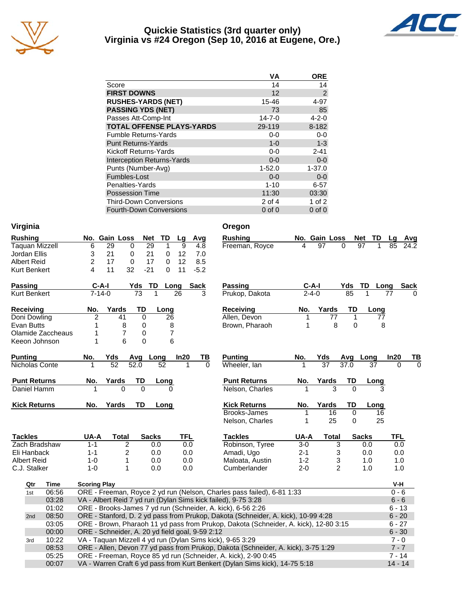

#### **Quickie Statistics (3rd quarter only) Virginia vs #24 Oregon (Sep 10, 2016 at Eugene, Ore.)**



|                                   | VA           | <b>ORE</b>  |
|-----------------------------------|--------------|-------------|
| Score                             | 14           | 14          |
| <b>FIRST DOWNS</b>                | 12           | 2           |
| <b>RUSHES-YARDS (NET)</b>         | 15-46        | 4-97        |
| <b>PASSING YDS (NET)</b>          | 73           | 85          |
| Passes Att-Comp-Int               | $14 - 7 - 0$ | $4 - 2 - 0$ |
| <b>TOTAL OFFENSE PLAYS-YARDS</b>  | 29-119       | 8-182       |
| <b>Fumble Returns-Yards</b>       | $0-0$        | $0 - 0$     |
| <b>Punt Returns-Yards</b>         | $1 - 0$      | $1 - 3$     |
| Kickoff Returns-Yards             | $0-0$        | $2 - 41$    |
| <b>Interception Returns-Yards</b> | $0 - 0$      | $0-0$       |
| Punts (Number-Avg)                | $1 - 52.0$   | $1 - 37.0$  |
| Fumbles-Lost                      | $0 - 0$      | $0-0$       |
| Penalties-Yards                   | $1 - 10$     | $6 - 57$    |
| <b>Possession Time</b>            | 11:30        | 03:30       |
| <b>Third-Down Conversions</b>     | 2 of 4       | $1$ of $2$  |
| <b>Fourth-Down Conversions</b>    | $0$ of $0$   | $0$ of $0$  |

| Virginia              |                                                                        | Oregon                                                                                                    |
|-----------------------|------------------------------------------------------------------------|-----------------------------------------------------------------------------------------------------------|
| <b>Rushing</b>        | No. Gain Loss<br>Net<br>TD<br>Lg<br>Avg                                | <b>Rushing</b><br>No. Gain Loss<br>Net<br>TD<br>Lq<br>Avg                                                 |
| <b>Taquan Mizzell</b> | 6<br>29<br>29<br>9<br>0<br>1<br>4.8                                    | Freeman, Royce<br>97<br>$\Omega$<br>97<br>24.2<br>85                                                      |
| Jordan Ellis          | 3<br>21<br>21<br>12<br>0<br>0<br>7.0                                   |                                                                                                           |
| <b>Albert Reid</b>    | $\overline{2}$<br>12<br>8.5<br>17<br>0<br>17<br>0                      |                                                                                                           |
| <b>Kurt Benkert</b>   | 4<br>11<br>32<br>$-21$<br>$\Omega$<br>11<br>$-5.2$                     |                                                                                                           |
| <b>Passing</b>        | $C-A-I$<br>TD<br>Yds<br>Long<br><b>Sack</b>                            | Passing<br>$C-A-I$<br>Yds<br>TD<br>Long<br><b>Sack</b>                                                    |
| <b>Kurt Benkert</b>   | $7 - 14 - 0$<br>$\overline{73}$<br>$\overline{1}$<br>26                | $7 - 4 - 0$<br>$\overline{85}$<br>Prukop, Dakota                                                          |
| <b>Receiving</b>      | Yards<br>TD<br>No.<br>Long                                             | Receiving<br>Yards<br>No.<br>TD<br>Long                                                                   |
| Doni Dowling          | $\overline{c}$<br>41<br>$\mathbf 0$<br>26                              | Allen, Devon<br>77<br>1<br>77<br>1                                                                        |
| <b>Evan Butts</b>     | 8<br>0<br>8<br>1                                                       | 8<br>$\mathbf 0$<br>Brown, Pharaoh<br>8<br>1                                                              |
| Olamide Zaccheaus     | 7<br>7<br>0                                                            |                                                                                                           |
| Keeon Johnson         | $\Omega$<br>6<br>6<br>1                                                |                                                                                                           |
| <b>Punting</b>        | No.<br>Yds<br>Avg<br>Long<br>In20                                      | <b>Punting</b><br>In20<br>ΤВ<br>No.<br>Yds<br>Avg<br>Long<br>ΤВ                                           |
| Nicholas Conte        | $\overline{52}$<br>$\frac{1}{52.0}$<br>52<br>1<br>1                    | $\overline{37}$<br>37.0<br>Wheeler, lan<br>37<br>$\Omega$<br>$\Omega$<br>0                                |
| <b>Punt Returns</b>   | TD<br>Yards<br>No.<br>Long                                             | <b>Punt Returns</b><br>TD<br>Yards<br>No.<br>Long                                                         |
| Daniel Hamm           | $\overline{0}$<br>$\Omega$<br>$\Omega$                                 | $\overline{3}$<br>$\overline{0}$<br>Nelson, Charles                                                       |
| <b>Kick Returns</b>   | Yards<br>TD<br>No.<br>Long                                             | <b>Kick Returns</b><br>Yards<br>No.<br>TD<br>Long                                                         |
|                       |                                                                        | Brooks-James<br>16<br>$\mathbf 0$<br>16<br>1                                                              |
|                       |                                                                        | 25<br>25<br>Nelson, Charles<br>1<br>0                                                                     |
| <b>Tackles</b>        | UA-A<br><b>TFL</b><br>Total<br><b>Sacks</b>                            | <b>Tackles</b><br>UA-A<br><b>Sacks</b><br>Total<br>TFL                                                    |
| Zach Bradshaw         | 2<br>$1 - 1$<br>0.0<br>0.0                                             | Robinson, Tyree<br>$3-0$<br>3<br>0.0<br>0.0                                                               |
| Eli Hanback           | $\overline{c}$<br>$1 - 1$<br>0.0<br>0.0                                | Amadi, Ugo<br>3<br>$2 - 1$<br>0.0<br>0.0                                                                  |
| <b>Albert Reid</b>    | $1 - 0$<br>1<br>0.0<br>0.0                                             | Maloata, Austin<br>$1 - 2$<br>3<br>1.0<br>1.0                                                             |
| C.J. Stalker          | 0.0<br>$1 - 0$<br>1<br>0.0                                             | $\overline{c}$<br>$2 - 0$<br>1.0<br>1.0<br>Cumberlander                                                   |
| <b>Time</b><br>Qtr    | <b>Scoring Play</b>                                                    | V-H                                                                                                       |
| 06:56<br>1st          | ORE - Freeman, Royce 2 yd run (Nelson, Charles pass failed), 6-81 1:33 | $0 - 6$                                                                                                   |
|                       |                                                                        |                                                                                                           |
|                       |                                                                        |                                                                                                           |
| 03:28                 | VA - Albert Reid 7 yd run (Dylan Sims kick failed), 9-75 3:28          | $6 - 6$<br>$6 - 13$                                                                                       |
| 01:02<br>2nd          | ORE - Brooks-James 7 yd run (Schneider, A. kick), 6-56 2:26            |                                                                                                           |
| 08:50                 |                                                                        | ORE - Stanford, D. 2 yd pass from Prukop, Dakota (Schneider, A. kick), 10-99 4:28<br>$6 - 20$<br>$6 - 27$ |
| 03:05                 |                                                                        | ORE - Brown, Pharaoh 11 yd pass from Prukop, Dakota (Schneider, A. kick), 12-80 3:15                      |
| 00:00<br>3rd          | ORE - Schneider, A. 20 yd field goal, 9-59 2:12                        | $6 - 30$<br>$7 - 0$                                                                                       |
| 10:22<br>08:53        | VA - Taquan Mizzell 4 yd run (Dylan Sims kick), 9-65 3:29              | $7 - 7$                                                                                                   |
| 05:25                 | ORE - Freeman, Royce 85 yd run (Schneider, A. kick), 2-90 0:45         | ORE - Allen, Devon 77 yd pass from Prukop, Dakota (Schneider, A. kick), 3-75 1:29<br>$7 - 14$             |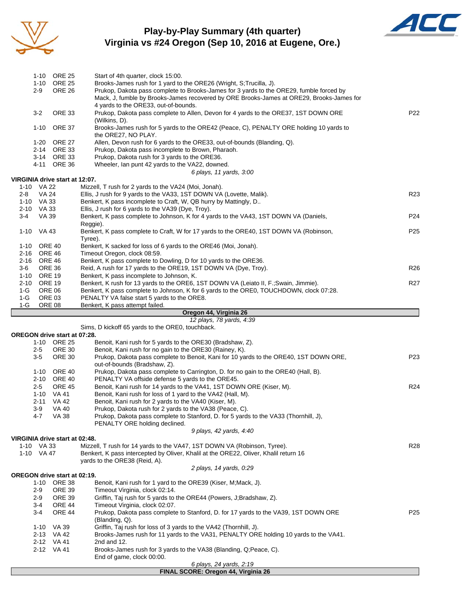

### **Play-by-Play Summary (4th quarter) Virginia vs #24 Oregon (Sep 10, 2016 at Eugene, Ore.)**



|       |             | 1-10 ORE 25                         | Start of 4th quarter, clock 15:00.                                                                                                                                               |                 |  |  |  |  |  |
|-------|-------------|-------------------------------------|----------------------------------------------------------------------------------------------------------------------------------------------------------------------------------|-----------------|--|--|--|--|--|
|       |             | 1-10 ORE 25                         | Brooks-James rush for 1 yard to the ORE26 (Wright, S;Trucilla, J).                                                                                                               |                 |  |  |  |  |  |
|       | 2-9         | <b>ORE 26</b>                       | Prukop, Dakota pass complete to Brooks-James for 3 yards to the ORE29, fumble forced by                                                                                          |                 |  |  |  |  |  |
|       |             |                                     | Mack, J, fumble by Brooks-James recovered by ORE Brooks-James at ORE29, Brooks-James for                                                                                         |                 |  |  |  |  |  |
|       |             |                                     | 4 yards to the ORE33, out-of-bounds.                                                                                                                                             | P <sub>22</sub> |  |  |  |  |  |
|       | 3-2         | <b>ORE 33</b>                       | Prukop, Dakota pass complete to Allen, Devon for 4 yards to the ORE37, 1ST DOWN ORE                                                                                              |                 |  |  |  |  |  |
|       |             |                                     | (Wilkins, D).                                                                                                                                                                    |                 |  |  |  |  |  |
|       |             | 1-10 ORE 37                         | Brooks-James rush for 5 yards to the ORE42 (Peace, C), PENALTY ORE holding 10 yards to                                                                                           |                 |  |  |  |  |  |
|       |             |                                     | the ORE27, NO PLAY.                                                                                                                                                              |                 |  |  |  |  |  |
|       |             | 1-20 ORE 27                         | Allen, Devon rush for 6 yards to the ORE33, out-of-bounds (Blanding, Q).                                                                                                         |                 |  |  |  |  |  |
|       |             | 2-14 ORE 33<br>3-14 ORE 33          | Prukop, Dakota pass incomplete to Brown, Pharaoh.                                                                                                                                |                 |  |  |  |  |  |
|       |             | 4-11 ORE 36                         | Prukop, Dakota rush for 3 yards to the ORE36.<br>Wheeler, Ian punt 42 yards to the VA22, downed.                                                                                 |                 |  |  |  |  |  |
|       |             |                                     | 6 plays, 11 yards, 3:00                                                                                                                                                          |                 |  |  |  |  |  |
|       |             | VIRGINIA drive start at 12:07.      |                                                                                                                                                                                  |                 |  |  |  |  |  |
|       | 1-10 VA 22  |                                     | Mizzell, T rush for 2 yards to the VA24 (Moi, Jonah).                                                                                                                            |                 |  |  |  |  |  |
| 2-8   | VA 24       |                                     | Ellis, J rush for 9 yards to the VA33, 1ST DOWN VA (Lovette, Malik).                                                                                                             | R23             |  |  |  |  |  |
|       | 1-10 VA 33  |                                     | Benkert, K pass incomplete to Craft, W, QB hurry by Mattingly, D                                                                                                                 |                 |  |  |  |  |  |
|       | 2-10 VA 33  |                                     | Ellis, J rush for 6 yards to the VA39 (Dye, Troy).                                                                                                                               |                 |  |  |  |  |  |
| 3-4   | VA 39       |                                     | Benkert, K pass complete to Johnson, K for 4 yards to the VA43, 1ST DOWN VA (Daniels,                                                                                            | P <sub>24</sub> |  |  |  |  |  |
|       |             |                                     | Reggie).                                                                                                                                                                         |                 |  |  |  |  |  |
|       | 1-10 VA 43  |                                     | Benkert, K pass complete to Craft, W for 17 yards to the ORE40, 1ST DOWN VA (Robinson,                                                                                           | P <sub>25</sub> |  |  |  |  |  |
|       |             |                                     | Tyree).                                                                                                                                                                          |                 |  |  |  |  |  |
|       | 1-10 ORE 40 |                                     | Benkert, K sacked for loss of 6 yards to the ORE46 (Moi, Jonah).                                                                                                                 |                 |  |  |  |  |  |
|       | 2-16 ORE 46 |                                     | Timeout Oregon, clock 08:59.                                                                                                                                                     |                 |  |  |  |  |  |
|       | 2-16 ORE 46 |                                     | Benkert, K pass complete to Dowling, D for 10 yards to the ORE36.                                                                                                                |                 |  |  |  |  |  |
| 3-6   |             | ORE 36                              | Reid, A rush for 17 yards to the ORE19, 1ST DOWN VA (Dye, Troy).                                                                                                                 | R <sub>26</sub> |  |  |  |  |  |
|       | 1-10 ORE 19 |                                     | Benkert, K pass incomplete to Johnson, K.                                                                                                                                        |                 |  |  |  |  |  |
| 1-G   | 2-10 ORE 19 | <b>ORE 06</b>                       | Benkert, K rush for 13 yards to the ORE6, 1ST DOWN VA (Leiato II, F.; Swain, Jimmie).<br>Benkert, K pass complete to Johnson, K for 6 yards to the ORE0, TOUCHDOWN, clock 07:28. | R <sub>27</sub> |  |  |  |  |  |
| $1-G$ |             | ORE 03                              | PENALTY VA false start 5 yards to the ORE8.                                                                                                                                      |                 |  |  |  |  |  |
| $1-G$ |             | ORE 08                              | Benkert, K pass attempt failed.                                                                                                                                                  |                 |  |  |  |  |  |
|       |             |                                     | Oregon 44, Virginia 26                                                                                                                                                           |                 |  |  |  |  |  |
|       |             |                                     | 12 plays, 78 yards, 4:39                                                                                                                                                         |                 |  |  |  |  |  |
|       |             |                                     |                                                                                                                                                                                  |                 |  |  |  |  |  |
|       |             |                                     | Sims, D kickoff 65 yards to the ORE0, touchback.                                                                                                                                 |                 |  |  |  |  |  |
|       |             | OREGON drive start at 07:28.        |                                                                                                                                                                                  |                 |  |  |  |  |  |
|       |             | 1-10 ORE 25                         | Benoit, Kani rush for 5 yards to the ORE30 (Bradshaw, Z).                                                                                                                        |                 |  |  |  |  |  |
|       | $2 - 5$     | ORE 30                              | Benoit, Kani rush for no gain to the ORE30 (Rainey, K).                                                                                                                          |                 |  |  |  |  |  |
|       | 3-5         | <b>ORE 30</b>                       | Prukop, Dakota pass complete to Benoit, Kani for 10 yards to the ORE40, 1ST DOWN ORE,                                                                                            | P <sub>23</sub> |  |  |  |  |  |
|       |             |                                     | out-of-bounds (Bradshaw, Z).                                                                                                                                                     |                 |  |  |  |  |  |
|       |             | 1-10 ORE 40                         | Prukop, Dakota pass complete to Carrington, D. for no gain to the ORE40 (Hall, B).                                                                                               |                 |  |  |  |  |  |
|       |             | 2-10 ORE 40                         | PENALTY VA offside defense 5 yards to the ORE45.                                                                                                                                 |                 |  |  |  |  |  |
|       | 2-5         | <b>ORE 45</b>                       | Benoit, Kani rush for 14 yards to the VA41, 1ST DOWN ORE (Kiser, M).                                                                                                             | R24             |  |  |  |  |  |
|       |             | 1-10 VA 41                          | Benoit, Kani rush for loss of 1 yard to the VA42 (Hall, M).                                                                                                                      |                 |  |  |  |  |  |
|       | $2 - 11$    | VA 42                               | Benoit, Kani rush for 2 yards to the VA40 (Kiser, M).                                                                                                                            |                 |  |  |  |  |  |
|       | 3-9         | VA 40                               | Prukop, Dakota rush for 2 yards to the VA38 (Peace, C).                                                                                                                          |                 |  |  |  |  |  |
|       | 4-7         | VA 38                               | Prukop, Dakota pass complete to Stanford, D. for 5 yards to the VA33 (Thornhill, J),                                                                                             |                 |  |  |  |  |  |
|       |             |                                     | PENALTY ORE holding declined.                                                                                                                                                    |                 |  |  |  |  |  |
|       |             |                                     | 9 plays, 42 yards, 4:40                                                                                                                                                          |                 |  |  |  |  |  |
|       | 1-10 VA 33  | VIRGINIA drive start at 02:48.      |                                                                                                                                                                                  | R28             |  |  |  |  |  |
|       | 1-10 VA 47  |                                     | Mizzell, T rush for 14 yards to the VA47, 1ST DOWN VA (Robinson, Tyree).<br>Benkert, K pass intercepted by Oliver, Khalil at the ORE22, Oliver, Khalil return 16                 |                 |  |  |  |  |  |
|       |             |                                     | yards to the ORE38 (Reid, A).                                                                                                                                                    |                 |  |  |  |  |  |
|       |             |                                     | 2 plays, 14 yards, 0:29                                                                                                                                                          |                 |  |  |  |  |  |
|       |             | <b>OREGON drive start at 02:19.</b> |                                                                                                                                                                                  |                 |  |  |  |  |  |
|       | 1-10        | <b>ORE 38</b>                       | Benoit, Kani rush for 1 yard to the ORE39 (Kiser, M; Mack, J).                                                                                                                   |                 |  |  |  |  |  |
|       | 2-9         | <b>ORE 39</b>                       | Timeout Virginia, clock 02:14.                                                                                                                                                   |                 |  |  |  |  |  |
|       | 2-9         | <b>ORE 39</b>                       | Griffin, Taj rush for 5 yards to the ORE44 (Powers, J;Bradshaw, Z).                                                                                                              |                 |  |  |  |  |  |
|       | $3 - 4$     | <b>ORE 44</b>                       | Timeout Virginia, clock 02:07.                                                                                                                                                   |                 |  |  |  |  |  |
|       | $3 - 4$     | <b>ORE 44</b>                       | Prukop, Dakota pass complete to Stanford, D. for 17 yards to the VA39, 1ST DOWN ORE                                                                                              | P <sub>25</sub> |  |  |  |  |  |
|       |             |                                     | (Blanding, Q).                                                                                                                                                                   |                 |  |  |  |  |  |
|       | 1-10        | VA 39                               | Griffin, Taj rush for loss of 3 yards to the VA42 (Thornhill, J).                                                                                                                |                 |  |  |  |  |  |
|       |             | 2-13 VA 42<br>2-12 VA 41            | Brooks-James rush for 11 yards to the VA31, PENALTY ORE holding 10 yards to the VA41.<br>2nd and 12.                                                                             |                 |  |  |  |  |  |
|       |             | 2-12 VA 41                          |                                                                                                                                                                                  |                 |  |  |  |  |  |
|       |             |                                     | Brooks-James rush for 3 yards to the VA38 (Blanding, Q;Peace, C).<br>End of game, clock 00:00.                                                                                   |                 |  |  |  |  |  |

#### **FINAL SCORE: Oregon 44, Virginia 26**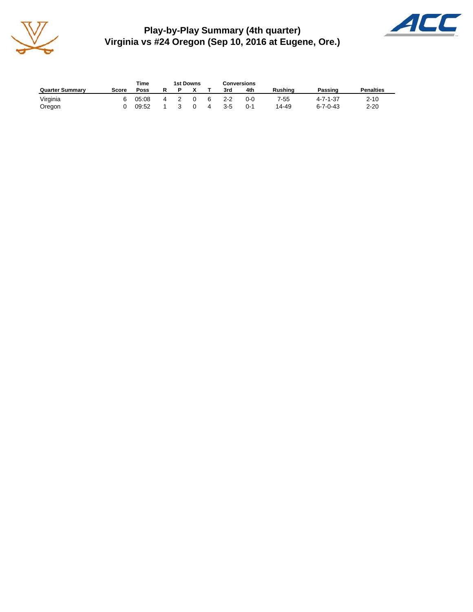

**Play-by-Play Summary (4th quarter) Virginia vs #24 Oregon (Sep 10, 2016 at Eugene, Ore.)**



|                        |       | Time  |   | 1st Downs |  |   | <b>Conversions</b> |     |         |                  |                  |
|------------------------|-------|-------|---|-----------|--|---|--------------------|-----|---------|------------------|------------------|
| <b>Quarter Summary</b> | Score | Poss  |   |           |  |   | 3rd                | 4th | Rushina | Passing          | <b>Penalties</b> |
| Virginia               |       | 05:08 | 4 |           |  | 6 | $2 - 2$            | 0-0 | 7-55    | $4 - 7 - 1 - 37$ | $2 - 10$         |
| Oregon                 |       | 09:52 |   |           |  |   | 3-5                | 0-1 | 14-49   | $6 - 7 - 0 - 43$ | $2 - 20$         |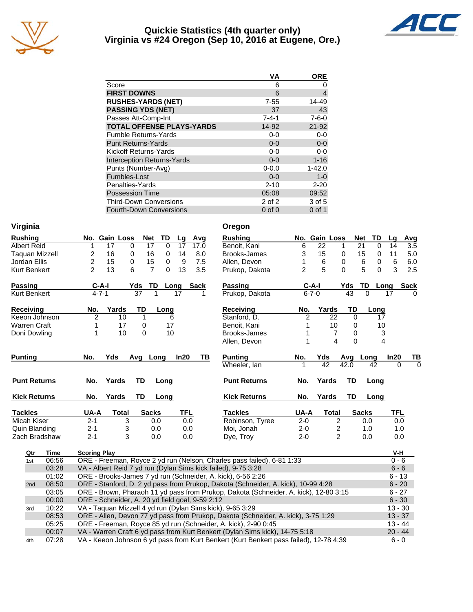

#### **Quickie Statistics (4th quarter only) Virginia vs #24 Oregon (Sep 10, 2016 at Eugene, Ore.)**



|                                   | VA          | <b>ORE</b>  |
|-----------------------------------|-------------|-------------|
| Score                             | 6           | Ω           |
| <b>FIRST DOWNS</b>                | 6           | 4           |
| <b>RUSHES-YARDS (NET)</b>         | $7 - 55$    | 14-49       |
| <b>PASSING YDS (NET)</b>          | 37          | 43          |
| Passes Att-Comp-Int               | $7 - 4 - 1$ | $7 - 6 - 0$ |
| <b>TOTAL OFFENSE PLAYS-YARDS</b>  | 14-92       | $21 - 92$   |
| <b>Fumble Returns-Yards</b>       | $0 - 0$     | $0-0$       |
| <b>Punt Returns-Yards</b>         | $0 - 0$     | $0-0$       |
| Kickoff Returns-Yards             | $0-0$       | $0-0$       |
| <b>Interception Returns-Yards</b> | $0 - 0$     | $1 - 16$    |
| Punts (Number-Avg)                | $0 - 0.0$   | $1 - 42.0$  |
| Fumbles-Lost                      | $0 - 0$     | $1 - 0$     |
| Penalties-Yards                   | $2 - 10$    | $2 - 20$    |
| <b>Possession Time</b>            | 05:08       | 09:52       |
| <b>Third-Down Conversions</b>     | 2 of 2      | 3 of 5      |
| <b>Fourth-Down Conversions</b>    | $0$ of $0$  | $0$ of 1    |

| Virginia | Oregon |
|----------|--------|
|          |        |

| <b>Rushing</b>      |                |             | No. Gain Loss | Net            | TD       | Lg   | Avg         | <b>Rushing</b>      |                | No. Gain Loss  |                |           | <b>Net</b><br>TD      |
|---------------------|----------------|-------------|---------------|----------------|----------|------|-------------|---------------------|----------------|----------------|----------------|-----------|-----------------------|
| <b>Albert Reid</b>  | 1              | 17          | 0             | 17             | $\Omega$ | 17   | 17.0        | Benoit, Kani        | 6              | 22             |                |           | 21<br>$\Omega$        |
| Taguan Mizzell      | 2              | 16          | 0             | 16             | $\Omega$ | 14   | 8.0         | Brooks-James        | 3              | 15             |                | 0         | 15<br>0               |
| Jordan Ellis        | 2              | 15          | 0             | 15             | 0        | 9    | 7.5         | Allen, Devon        |                | 6              |                | 0         | 6<br>$\boldsymbol{0}$ |
| Kurt Benkert        | $\overline{2}$ | 13          | 6             | $\overline{7}$ | $\Omega$ | 13   | 3.5         | Prukop, Dakota      | $\overline{2}$ | 5              |                | $\Omega$  | 5<br>$\Omega$         |
| <b>Passing</b>      |                | $C-A-I$     |               | Yds<br>TD      |          | Long | <b>Sack</b> | <b>Passing</b>      |                | $C-A-I$        |                | Yds       | <b>TD</b><br>Lo       |
| Kurt Benkert        |                | $4 - 7 - 1$ |               | 37             |          | 17   |             | Prukop, Dakota      |                | $6 - 7 - 0$    |                | 43        | 0                     |
| <b>Receiving</b>    | No.            |             | Yards         | TD             | Long     |      |             | <b>Receiving</b>    | No.            |                | Yards          | TD        | Long                  |
| Keeon Johnson       | $\overline{2}$ |             | 10            | 1              | 6        |      |             | Stanford, D.        |                | $\overline{2}$ | 22             | $\Omega$  | 17                    |
| <b>Warren Craft</b> |                |             | 17            | 0              | 17       |      |             | Benoit, Kani        |                |                | 10             | 0         | 10                    |
| Doni Dowling        | 1              |             | 10            | $\Omega$       | 10       |      |             | Brooks-James        |                |                | 7              | 0         | G                     |
|                     |                |             |               |                |          |      |             | Allen, Devon        |                |                | 4              | $\Omega$  |                       |
| <b>Punting</b>      | No.            | Yds         |               | Avg Long       |          | In20 | TВ          | <b>Punting</b>      | No.            | Yds            |                | Avg       | Long                  |
|                     |                |             |               |                |          |      |             | Wheeler, lan        | 1              | 42             |                | 42.0      | 42                    |
| <b>Punt Returns</b> | No.            |             | Yards         | TD             | Long     |      |             | <b>Punt Returns</b> | No.            |                | Yards          | <b>TD</b> | Long                  |
| <b>Kick Returns</b> | No.            |             | Yards         | TD             | Long     |      |             | <b>Kick Returns</b> | No.            |                | Yards          | TD        | Long                  |
| <b>Tackles</b>      | UA-A           |             | <b>Total</b>  | <b>Sacks</b>   |          | TFL  |             | <b>Tackles</b>      | UA-A           |                | Total          |           | <b>Sacks</b>          |
| Micah Kiser         | $2 - 1$        |             | 3             | 0.0            |          |      | 0.0         | Robinson, Tyree     | $2 - 0$        |                | $\overline{2}$ |           | 0.0                   |
| Quin Blanding       | $2 - 1$        |             | 3             | 0.0            |          |      | 0.0         | Moi, Jonah          | $2 - 0$        |                | $\overline{c}$ |           | 1.0                   |
| Zach Bradshaw       | $2 - 1$        |             | 3             | 0.0            |          |      | 0.0         | Dye, Troy           | $2 - 0$        |                | $\overline{2}$ |           | 0.0                   |

| Virginia            |                     |               |                 |           |            |             | Oregon                                                                 |                |               |                |                  |           |               |             |
|---------------------|---------------------|---------------|-----------------|-----------|------------|-------------|------------------------------------------------------------------------|----------------|---------------|----------------|------------------|-----------|---------------|-------------|
| <b>Rushing</b>      |                     | No. Gain Loss | <b>Net</b>      | <b>TD</b> | Lg         | Avg         | <b>Rushing</b>                                                         |                | No. Gain Loss |                | <b>Net</b>       | <b>TD</b> | Lq            | <b>Avg</b>  |
| <b>Albert Reid</b>  |                     | 17<br>0       | 17              | 0         | 17         | 17.0        | Benoit, Kani                                                           | 6              | 22            | 1              | 21               | 0         | 14            | 3.5         |
| Taquan Mizzell      | 2                   | 16<br>0       | 16              | 0         | 14         | 8.0         | Brooks-James                                                           | 3              | 15            | $\mathbf 0$    | 15               | 0         | 11            | 5.0         |
| Jordan Ellis        | 2                   | 15<br>0       | 15              | 0         | 9          | 7.5         | Allen, Devon                                                           |                | 6             | 0              | 6                | 0         | 6             | 6.0         |
| Kurt Benkert        | $\overline{2}$      | 13<br>6       | $\overline{7}$  | $\Omega$  | 13         | 3.5         | Prukop, Dakota                                                         | 2              | 5             | $\Omega$       | 5                | $\Omega$  | 3             | 2.5         |
| Passing             | $C-A-I$             |               | Yds<br>TD       | Long      |            | <b>Sack</b> | <b>Passing</b>                                                         |                | $C-A-I$       |                | <b>TD</b><br>Yds | Long      |               | <b>Sack</b> |
| Kurt Benkert        | $4 - 7 - 1$         |               | $\overline{37}$ |           | 17         |             | Prukop, Dakota                                                         |                | $6 - 7 - 0$   |                | 43<br>$\Omega$   |           | 17            | $\Omega$    |
| Receiving           | No.                 | Yards         | TD              | Long      |            |             | <b>Receiving</b>                                                       | No.            | Yards         |                | TD               | Long      |               |             |
| Keeon Johnson       | $\overline{2}$      | 10            | 1               | 6         |            |             | Stanford, D.                                                           | $\overline{2}$ |               | 22             | $\Omega$         | 17        |               |             |
| Warren Craft        |                     | 17            | 0               | 17        |            |             | Benoit, Kani                                                           |                |               | 10             | 0                | 10        |               |             |
| Doni Dowling        |                     | 10            | $\Omega$        | 10        |            |             | Brooks-James                                                           |                |               | 7              | 0                | 3         |               |             |
|                     |                     |               |                 |           |            |             | Allen, Devon                                                           |                |               | $\overline{A}$ | $\Omega$         | 4         |               |             |
| Puntina             | No.                 | Yds           | Avg Long        |           | In20       | TВ          | <b>Punting</b>                                                         | No.            | Yds           |                | Avg              | Long      | In20          | TB          |
|                     |                     |               |                 |           |            |             | Wheeler, lan                                                           |                | 42            |                | 42.0             | 42        | $\Omega$      | $\Omega$    |
| <b>Punt Returns</b> | No.                 | Yards         | <b>TD</b>       | Long      |            |             | <b>Punt Returns</b>                                                    | No.            | Yards         |                | <b>TD</b>        | Long      |               |             |
| <b>Kick Returns</b> | No.                 | Yards         | TD              | Long      |            |             | <b>Kick Returns</b>                                                    | No.            | Yards         |                | TD               | Long      |               |             |
| <b>Tackles</b>      | UA-A                | Total         | <b>Sacks</b>    |           | <b>TFL</b> |             | <b>Tackles</b>                                                         | UA-A           |               | <b>Total</b>   | <b>Sacks</b>     |           | <b>TFL</b>    |             |
| Micah Kiser         | $2 - 1$             | 3             | 0.0             |           | 0.0        |             | Robinson, Tyree                                                        | $2 - 0$        |               | $\overline{2}$ | 0.0              |           | 0.0           |             |
| Quin Blanding       | $2 - 1$             | 3             | 0.0             |           | 0.0        |             | Moi, Jonah                                                             | $2 - 0$        |               | 2              | 1.0              |           | 1.0           |             |
| Zach Bradshaw       | $2 - 1$             | 3             | 0.0             |           | 0.0        |             | Dye, Troy                                                              | $2 - 0$        |               | $\overline{2}$ | 0.0              |           | 0.0           |             |
| <b>Time</b><br>Qtr  | <b>Scoring Play</b> |               |                 |           |            |             |                                                                        |                |               |                |                  |           | V-H           |             |
| 06:56<br>1st        |                     |               |                 |           |            |             | ORE - Freeman, Royce 2 yd run (Nelson, Charles pass failed), 6-81 1:33 |                |               |                |                  |           | $0 - 6$       |             |
| 03:28               |                     |               |                 |           |            |             | VA - Albert Reid 7 yd run (Dylan Sims kick failed), 9-75 3:28          |                |               |                |                  |           | $6 - 6$       |             |
| 0.102               |                     |               |                 |           |            |             | $\overline{O}$                                                         |                |               |                |                  |           | $\sim$ $\sim$ |             |

| 06:56 | ORE - Freeman, Royce 2 yd run (Nelson, Charles pass failed), 6-81 1:33                | $0 - 6$   |
|-------|---------------------------------------------------------------------------------------|-----------|
| 03:28 | VA - Albert Reid 7 yd run (Dylan Sims kick failed), 9-75 3:28                         | $6 - 6$   |
| 01:02 | ORE - Brooks-James 7 yd run (Schneider, A. kick), 6-56 2:26                           | $6 - 13$  |
| 08:50 | ORE - Stanford, D. 2 yd pass from Prukop, Dakota (Schneider, A. kick), 10-99 4:28     | $6 - 20$  |
| 03:05 | ORE - Brown, Pharaoh 11 yd pass from Prukop, Dakota (Schneider, A. kick), 12-80 3:15  | $6 - 27$  |
| 00:00 | ORE - Schneider, A. 20 yd field goal, 9-59 2:12                                       | $6 - 30$  |
| 10:22 | VA - Taquan Mizzell 4 yd run (Dylan Sims kick), 9-65 3:29                             | $13 - 30$ |
| 08:53 | ORE - Allen, Devon 77 yd pass from Prukop, Dakota (Schneider, A. kick), 3-75 1:29     | $13 - 37$ |
| 05:25 | ORE - Freeman, Royce 85 yd run (Schneider, A. kick), 2-90 0:45                        | $13 - 44$ |
| 00:07 | VA - Warren Craft 6 yd pass from Kurt Benkert (Dylan Sims kick), 14-75 5:18           | $20 - 44$ |
| 07:28 | VA - Keeon Johnson 6 yd pass from Kurt Benkert (Kurt Benkert pass failed), 12-78 4:39 | $6 - 0$   |
|       |                                                                                       |           |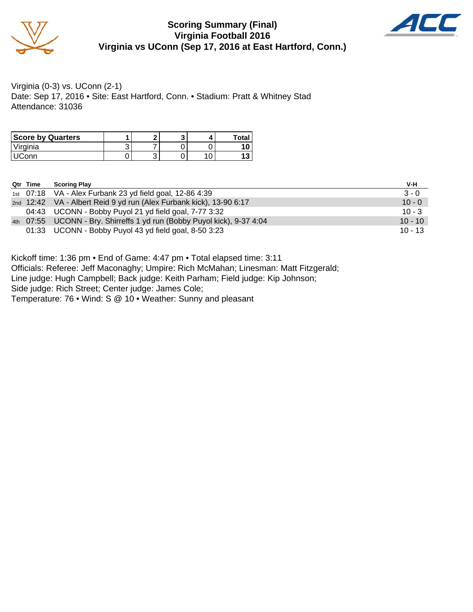

#### **Scoring Summary (Final) Virginia Football 2016 Virginia vs UConn (Sep 17, 2016 at East Hartford, Conn.)**



Virginia (0-3) vs. UConn (2-1) Date: Sep 17, 2016 • Site: East Hartford, Conn. • Stadium: Pratt & Whitney Stad Attendance: 31036

| <b>Score by Quarters</b> |   |   | ີ | Total |
|--------------------------|---|---|---|-------|
| Virginia                 | ັ |   |   |       |
| : $\cap$ nn              | ັ | u |   |       |

| Qtr Time | <b>Scoring Play</b>                                                     | V-H       |
|----------|-------------------------------------------------------------------------|-----------|
|          | 1st 07:18 VA - Alex Furbank 23 yd field goal, 12-86 4:39                | $3 - 0$   |
|          | 2nd 12:42 VA - Albert Reid 9 yd run (Alex Furbank kick), 13-90 6:17     | $10 - 0$  |
|          | 04:43 UCONN - Bobby Puyol 21 yd field goal, 7-77 3:32                   | $10 - 3$  |
|          | 4th 07:55 UCONN - Bry. Shirreffs 1 yd run (Bobby Puyol kick), 9-37 4:04 | $10 - 10$ |
|          | 01:33 UCONN - Bobby Puyol 43 yd field goal, 8-50 3:23                   | $10 - 13$ |

Kickoff time: 1:36 pm • End of Game: 4:47 pm • Total elapsed time: 3:11

Officials: Referee: Jeff Maconaghy; Umpire: Rich McMahan; Linesman: Matt Fitzgerald;

Line judge: Hugh Campbell; Back judge: Keith Parham; Field judge: Kip Johnson;

Side judge: Rich Street; Center judge: James Cole;

Temperature: 76 • Wind: S @ 10 • Weather: Sunny and pleasant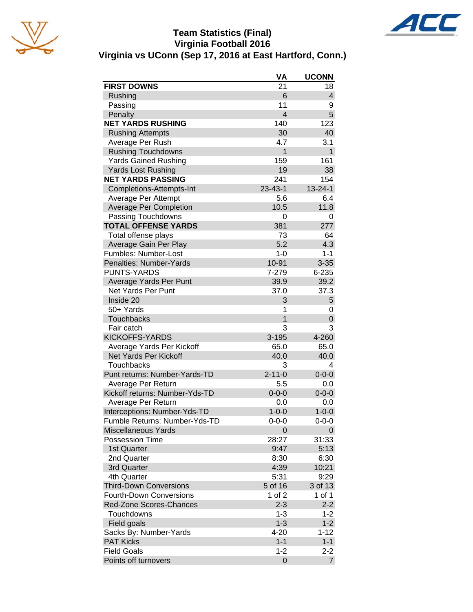

### **Team Statistics (Final) Virginia Football 2016 Virginia vs UConn (Sep 17, 2016 at East Hartford, Conn.)**



|                                | VA             | <b>UCONN</b>  |
|--------------------------------|----------------|---------------|
| <b>FIRST DOWNS</b>             | 21             | 18            |
| Rushing                        | 6              | 4             |
| Passing                        | 11             | 9             |
| Penalty                        | $\overline{4}$ | 5             |
| <b>NET YARDS RUSHING</b>       | 140            | 123           |
| <b>Rushing Attempts</b>        | 30             | 40            |
| Average Per Rush               | 4.7            | 3.1           |
| <b>Rushing Touchdowns</b>      | 1              | 1             |
| <b>Yards Gained Rushing</b>    | 159            | 161           |
| <b>Yards Lost Rushing</b>      | 19             | 38            |
| <b>NET YARDS PASSING</b>       | 241            | 154           |
| Completions-Attempts-Int       | $23 - 43 - 1$  | $13 - 24 - 1$ |
| Average Per Attempt            | 5.6            | 6.4           |
| <b>Average Per Completion</b>  | 10.5           | 11.8          |
| Passing Touchdowns             | 0              | 0             |
| <b>TOTAL OFFENSE YARDS</b>     | 381            | 277           |
| Total offense plays            | 73             | 64            |
| Average Gain Per Play          | 5.2            | 4.3           |
| Fumbles: Number-Lost           | $1 - 0$        | $1 - 1$       |
| Penalties: Number-Yards        | 10-91          | $3 - 35$      |
| <b>PUNTS-YARDS</b>             | 7-279          | 6-235         |
| Average Yards Per Punt         | 39.9           | 39.2          |
| <b>Net Yards Per Punt</b>      | 37.0           | 37.3          |
| Inside 20                      | 3              | 5             |
| 50+ Yards                      | 1              | 0             |
| Touchbacks                     | 1              | 0             |
| Fair catch                     | 3              | 3             |
| <b>KICKOFFS-YARDS</b>          | 3-195          | 4-260         |
| Average Yards Per Kickoff      | 65.0           | 65.0          |
| Net Yards Per Kickoff          | 40.0           | 40.0          |
| Touchbacks                     | 3              | 4             |
| Punt returns: Number-Yards-TD  | $2 - 11 - 0$   | $0 - 0 - 0$   |
| Average Per Return             | 5.5            | 0.0           |
| Kickoff returns: Number-Yds-TD | $0 - 0 - 0$    | $0 - 0 - 0$   |
| Average Per Return             | 0.0            | 0.0           |
| Interceptions: Number-Yds-TD   | $1 - 0 - 0$    | $1 - 0 - 0$   |
| Fumble Returns: Number-Yds-TD  | $0 - 0 - 0$    | $0 - 0 - 0$   |
| <b>Miscellaneous Yards</b>     | 0              | 0             |
| <b>Possession Time</b>         | 28:27          | 31:33         |
| 1st Quarter                    | 9:47           | 5:13          |
| 2nd Quarter                    | 8:30           | 6:30          |
| 3rd Quarter                    | 4:39           | 10:21         |
| 4th Quarter                    | 5:31           | 9:29          |
| <b>Third-Down Conversions</b>  | 5 of 16        | 3 of 13       |
| <b>Fourth-Down Conversions</b> | 1 of $2$       | 1 of 1        |
| <b>Red-Zone Scores-Chances</b> | $2 - 3$        | $2 - 2$       |
| Touchdowns                     | $1 - 3$        | $1 - 2$       |
| Field goals                    | $1 - 3$        | $1 - 2$       |
| Sacks By: Number-Yards         | $4 - 20$       | $1 - 12$      |
| <b>PAT Kicks</b>               | $1 - 1$        | $1 - 1$       |
| <b>Field Goals</b>             | $1 - 2$        | $2 - 2$       |
| Points off turnovers           | 0              | 7             |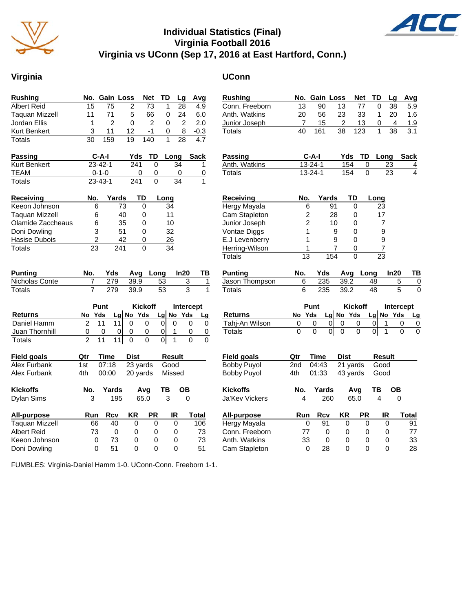

#### **Individual Statistics (Final) Virginia Football 2016 Virginia vs UConn (Sep 17, 2016 at East Hartford, Conn.)**

#### **Virginia UConn**

AL

| <b>Rushing</b>        | No. Gain Loss       |                       |                          | Net            | TD                            | Lg                        | Avg                              | <b>Rushing</b>                  |                         |               | No. Gain Loss                              | <b>Net</b>             | TD              | Lg                             | Avg                        |
|-----------------------|---------------------|-----------------------|--------------------------|----------------|-------------------------------|---------------------------|----------------------------------|---------------------------------|-------------------------|---------------|--------------------------------------------|------------------------|-----------------|--------------------------------|----------------------------|
| <b>Albert Reid</b>    | 15                  | 75                    | 2                        | 73             | 1                             | 28                        | 4.9                              | Conn. Freeborn                  | 13                      | 90            | 13                                         | 77                     | $\Omega$        | 38                             | 5.9                        |
| <b>Taquan Mizzell</b> | 11                  | 71                    | 5                        | 66             | 0                             | 24                        | 6.0                              | Anth. Watkins                   | 20                      | 56            | 23                                         | 33                     | $\mathbf{1}$    | 20                             | 1.6                        |
| Jordan Ellis          | $\mathbf{1}$        | $\overline{2}$        | $\Omega$                 | $\overline{2}$ | $\Omega$                      | $\overline{2}$            | 2.0                              | Junior Joseph                   | 7                       | 15            | $\overline{c}$                             | 13                     | $\mathbf 0$     | 4                              | 1.9                        |
| Kurt Benkert          | 3                   | 11                    | 12                       | $-1$           | 0                             | 8                         | $-0.3$                           | Totals                          | $\overline{40}$         | 161           | $\overline{38}$                            | 123                    | $\mathbf{1}$    | $\overline{38}$                | $\overline{3.1}$           |
| <b>Totals</b>         | $\overline{30}$     | 159                   | $\overline{19}$          | 140            | $\mathbf{1}$                  | $\overline{28}$           | $\overline{4.7}$                 |                                 |                         |               |                                            |                        |                 |                                |                            |
| <b>Passing</b>        | $C-A-I$             |                       | Yds                      | TD             | Long                          |                           | <b>Sack</b>                      | <b>Passing</b>                  |                         | $C-A-I$       | Yds                                        | TD                     |                 | Long                           | <b>Sack</b>                |
| Kurt Benkert          | $23 - 42 - 1$       |                       | 241                      | $\Omega$       |                               | 34                        | 1                                | Anth. Watkins                   |                         | $13 - 24 - 1$ | 154                                        |                        | $\pmb{0}$       | 23                             | $\frac{4}{4}$              |
| <b>TEAM</b>           | $0 - 1 - 0$         |                       | $\mathbf 0$              | 0              |                               | $\mathbf 0$               | $\overline{0}$                   | <b>Totals</b>                   |                         | $13 - 24 - 1$ | 154                                        |                        | $\Omega$        | $\overline{23}$                |                            |
| <b>Totals</b>         | $23 - 43 - 1$       |                       | 241                      | $\mathbf 0$    |                               | $\overline{34}$           | $\mathbf{1}$                     |                                 |                         |               |                                            |                        |                 |                                |                            |
| Receiving             | No.                 | Yards                 | TD                       |                | Long                          |                           |                                  | <b>Receiving</b>                | No.                     |               | Yards                                      | TD                     | Long            |                                |                            |
| Keeon Johnson         | 6                   | 73                    | $\Omega$                 |                | 34                            |                           |                                  | Hergy Mayala                    | 6                       |               | 91                                         | $\mathbf 0$            | 23              |                                |                            |
| <b>Taquan Mizzell</b> | 6                   | 40                    | 0                        |                | 11                            |                           |                                  | Cam Stapleton                   | $\overline{\mathbf{c}}$ |               | 28                                         | $\mathbf 0$            | 17              |                                |                            |
| Olamide Zaccheaus     | 6                   | 35                    | $\Omega$                 |                | 10                            |                           |                                  | Junior Joseph                   | $\overline{c}$          |               | 10                                         | $\mathbf{0}$           |                 | $\overline{7}$                 |                            |
| Doni Dowling          | 3                   | 51                    | $\Omega$                 |                | 32                            |                           |                                  | Vontae Diggs                    | 1                       |               | 9                                          | $\mathbf{0}$           |                 | $\mathsf g$                    |                            |
| Hasise Dubois         | $\overline{2}$      | 42                    | 0                        |                | 26                            |                           |                                  | E.J Levenberry                  | $\mathbf{1}$            |               | 9                                          | $\Omega$               |                 | 9                              |                            |
| <b>Totals</b>         | $\overline{23}$     | $\overline{241}$      | 0                        |                | $\overline{34}$               |                           |                                  | Herring-Wilson                  | 1                       |               | $\overline{7}$                             | 0                      |                 | $\overline{7}$                 |                            |
|                       |                     |                       |                          |                |                               |                           |                                  | <b>Totals</b>                   | $\overline{13}$         |               | 154                                        | $\Omega$               | $\overline{23}$ |                                |                            |
|                       |                     |                       |                          |                |                               |                           |                                  |                                 |                         |               |                                            |                        |                 |                                |                            |
| <b>Punting</b>        | No.                 | Yds                   | Avg                      | Long           |                               | In20                      | TB                               | <b>Punting</b>                  | No.                     | Yds           |                                            | Avg Long               |                 | In20                           | TB                         |
| Nicholas Conte        | $\overline{7}$      | 279                   | 39.9                     |                | 53                            |                           | $\overline{3}$<br>$\mathbf{1}$   | Jason Thompson                  | 6                       | 235           | 39.2                                       |                        | 48              | 5                              |                            |
| Totals                | $\overline{7}$      | 279                   | 39.9                     |                | 53                            |                           | $\overline{3}$<br>$\mathbf{1}$   | <b>Totals</b>                   | 6                       | 235           | 39.2                                       |                        | 48              | $\overline{5}$                 | 0<br>$\overline{0}$        |
|                       | Punt                |                       | <b>Kickoff</b>           |                |                               |                           | Intercept                        |                                 |                         | Punt          |                                            | <b>Kickoff</b>         |                 | Intercept                      |                            |
| <b>Returns</b>        | No Yds              |                       |                          |                |                               |                           |                                  | <b>Returns</b>                  | No Yds                  |               |                                            |                        |                 |                                | Lg                         |
| Daniel Hamm           | $\overline{2}$      | $\overline{11}$<br>11 | Lg No Yds<br>$\mathbf 0$ | $\mathbf 0$    | $Lg$ No Yds<br>$\overline{0}$ | $\mathbf 0$               | Lg<br>$\mathbf 0$<br>$\mathbf 0$ |                                 | $\,0\,$                 | $\pmb{0}$     | $Lg$ No Yds<br>$\overline{0}$<br>$\pmb{0}$ | 0                      | 0               | $Lg$ No Yds<br>1               | 0<br>$\pmb{0}$             |
| Juan Thornhill        |                     | $\mathbf 0$<br> 0     | 0                        | 0              | $\overline{0}$                | $\mathbf{1}$              | 0<br>$\pmb{0}$                   | Tahj-An Wilson<br><b>Totals</b> | $\overline{0}$          | $\mathbf 0$   | 하<br>$\overline{0}$                        | 0                      | $\overline{0}$  | $\mathbf{1}$                   | $\overline{0}$<br>$\Omega$ |
| Totals                | 0<br>$\overline{2}$ | 11<br>11              | $\overline{0}$           | $\Omega$       | $\overline{0}$                | $\mathbf{1}$              | $\Omega$<br>$\Omega$             |                                 |                         |               |                                            |                        |                 |                                |                            |
| <b>Field goals</b>    | Qtr                 | <b>Time</b>           | <b>Dist</b>              |                | Result                        |                           |                                  | <b>Field goals</b>              | Qtr                     | Time          | <b>Dist</b>                                |                        |                 | <b>Result</b>                  |                            |
| <b>Alex Furbank</b>   | 1st                 | 07:18                 |                          |                | Good                          |                           |                                  | <b>Bobby Puyol</b>              | 2nd                     | 04:43         |                                            |                        | Good            |                                |                            |
| Alex Furbank          | 4th                 | 00:00                 | 23 yards<br>20 yards     |                | Missed                        |                           |                                  | <b>Bobby Puyol</b>              | 4th                     | 01:33         |                                            | $21$ yards<br>43 yards | Good            |                                |                            |
| <b>Kickoffs</b>       | No.                 | Yards                 | Avg                      |                | TB                            | <b>OB</b>                 |                                  | <b>Kickoffs</b>                 | No.                     |               |                                            | Avg                    | TВ              |                                |                            |
| Dylan Sims            | 3                   | 195                   | 65.0                     |                | $\overline{3}$                | $\overline{\mathfrak{o}}$ |                                  | <b>Ja'Kev Vickers</b>           | $\overline{4}$          | Yards<br>260  |                                            | 65.0                   | $\overline{A}$  | $\overline{OB}$<br>$\mathbf 0$ |                            |
| All-purpose           | Run                 | <b>Rcv</b>            | <b>KR</b>                | <b>PR</b>      |                               | IR.                       | Total                            | All-purpose                     | Run                     | <b>Rcv</b>    | KR                                         | <b>PR</b>              |                 | IR                             | <b>Total</b>               |
| <b>Taquan Mizzell</b> | 66                  | 40                    | $\mathbf 0$              | 0              |                               | $\mathbf 0$               | 106                              | Hergy Mayala                    | $\mathbf 0$             | 91            | $\mathbf 0$                                |                        | 0               | $\mathbf 0$                    | 91                         |
| <b>Albert Reid</b>    | 73                  | $\mathbf 0$           | 0                        | 0              |                               | 0                         | 73                               | Conn. Freeborn                  | 77                      | $\mathbf 0$   | 0                                          |                        | $\Omega$        | $\mathbf 0$                    | 77                         |
| Keeon Johnson         | $\mathbf 0$         | 73                    | 0                        | 0              |                               | $\mathbf 0$               | 73                               | Anth. Watkins                   | 33                      | 0             | 0                                          |                        | 0               | $\mathbf 0$                    | 33                         |

FUMBLES: Virginia-Daniel Hamm 1-0. UConn-Conn. Freeborn 1-1.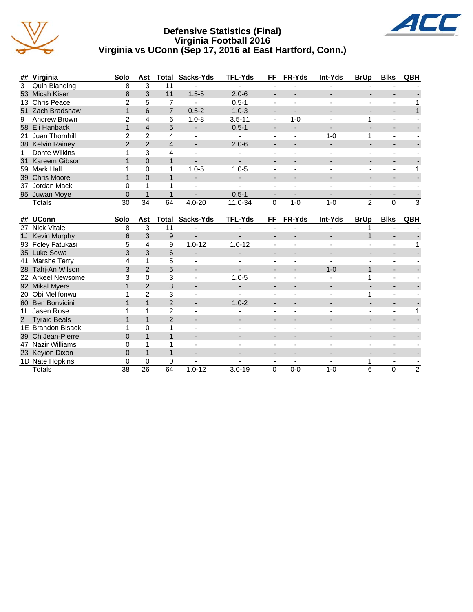

#### **Defensive Statistics (Final) Virginia Football 2016 Virginia vs UConn (Sep 17, 2016 at East Hartford, Conn.)**



| ## | Virginia              | Solo           | Ast            |                | <b>Total Sacks-Yds</b>   | <b>TFL-Yds</b> | <b>FF</b>                | FR-Yds                   | Int-Yds                  | <b>BrUp</b>              | <b>Blks</b>              | QBH            |
|----|-----------------------|----------------|----------------|----------------|--------------------------|----------------|--------------------------|--------------------------|--------------------------|--------------------------|--------------------------|----------------|
| 3  | Quin Blanding         | 8              | 3              | 11             |                          |                | $\overline{\phantom{a}}$ |                          |                          |                          |                          |                |
| 53 | <b>Micah Kiser</b>    | 8              | 3              | 11             | $1.5 - 5$                | $2.0 - 6$      | $\overline{a}$           |                          |                          |                          | $\overline{\phantom{0}}$ |                |
| 13 | <b>Chris Peace</b>    | 2              | 5              | $\overline{7}$ | ٠                        | $0.5 - 1$      | $\blacksquare$           |                          |                          | $\blacksquare$           | $\overline{\phantom{m}}$ | 1              |
| 51 | Zach Bradshaw         | $\mathbf{1}$   | 6              | $\overline{7}$ | $0.5 - 2$                | $1.0 - 3$      | $\overline{\phantom{a}}$ | $\blacksquare$           |                          |                          | ÷,                       | $\mathbf{1}$   |
| 9  | Andrew Brown          | 2              | $\overline{4}$ | 6              | $1.0 - 8$                | $3.5 - 11$     | $\blacksquare$           | $1 - 0$                  |                          | 1                        | L.                       |                |
| 58 | Eli Hanback           | $\mathbf{1}$   | $\overline{4}$ | 5              |                          | $0.5 - 1$      |                          |                          |                          |                          | ٠                        |                |
| 21 | Juan Thornhill        | 2              | $\overline{2}$ | 4              |                          |                | $\blacksquare$           |                          | $1 - 0$                  | 1                        | $\overline{\phantom{m}}$ |                |
|    | 38 Kelvin Rainey      | $\overline{2}$ | $\overline{2}$ | 4              | $\overline{\phantom{a}}$ | $2.0 - 6$      | $\overline{\phantom{a}}$ |                          | $\overline{\phantom{a}}$ |                          | -                        |                |
| 1  | Donte Wilkins         | 1              | 3              | 4              | ÷.                       |                | $\blacksquare$           | $\blacksquare$           |                          | $\blacksquare$           | $\blacksquare$           |                |
| 31 | Kareem Gibson         | $\mathbf{1}$   | $\Omega$       | $\mathbf{1}$   | ÷.                       | $\blacksquare$ | $\overline{\phantom{a}}$ |                          |                          | $\overline{\phantom{a}}$ | ÷,                       |                |
| 59 | <b>Mark Hall</b>      | 1              | $\mathbf 0$    | 1              | $1.0 - 5$                | $1.0 - 5$      |                          |                          |                          |                          | ÷,                       | 1              |
| 39 | <b>Chris Moore</b>    | $\mathbf{1}$   | $\overline{0}$ | $\mathbf{1}$   | $\overline{\phantom{0}}$ |                | $\overline{\phantom{a}}$ |                          |                          |                          | $\overline{a}$           |                |
| 37 | Jordan Mack           | 0              | 1              | 1              |                          |                |                          |                          |                          |                          | ٠                        |                |
|    | 95 Juwan Moye         | $\Omega$       | $\mathbf{1}$   | $\mathbf{1}$   |                          | $0.5 - 1$      | $\overline{\phantom{a}}$ | $\overline{\phantom{0}}$ |                          | $\overline{\phantom{a}}$ | $\overline{\phantom{0}}$ |                |
|    | Totals                | 30             | 34             | 64             | $4.0 - 20$               | 11.0-34        | $\mathbf 0$              | $1-0$                    | $1 - 0$                  | $\overline{2}$           | $\mathbf 0$              | 3              |
|    |                       |                |                |                |                          |                |                          |                          |                          |                          |                          |                |
| ## | <b>UConn</b>          | Solo           | Ast            | <b>Total</b>   | Sacks-Yds                | <b>TFL-Yds</b> | FF                       | FR-Yds                   | Int-Yds                  | <b>BrUp</b>              | <b>Blks</b>              | QBH            |
|    |                       |                |                |                |                          |                |                          |                          |                          |                          |                          |                |
| 27 | <b>Nick Vitale</b>    | 8              | 3              | 11             |                          |                | $\overline{\phantom{a}}$ |                          |                          |                          |                          |                |
| 1J | <b>Kevin Murphy</b>   | 6              | 3              | 9              |                          |                |                          |                          |                          | 1                        |                          |                |
| 93 | Foley Fatukasi        | 5              | 4              | 9              | $1.0 - 12$               | $1.0 - 12$     | $\blacksquare$           | $\blacksquare$           |                          |                          | $\overline{\phantom{m}}$ |                |
|    | 35 Luke Sowa          | 3              | 3              | 6              | $\overline{\phantom{a}}$ |                | -                        |                          |                          |                          |                          |                |
| 41 | Marshe Terry          | 4              | 1              | 5              |                          |                | ä,                       |                          |                          |                          | ä,                       |                |
|    | 28 Tahj-An Wilson     | 3              | $\overline{2}$ | 5              | $\overline{\phantom{a}}$ |                | $\blacksquare$           |                          | $1 - 0$                  | $\mathbf{1}$             | $\blacksquare$           |                |
| 22 | <b>Arkeel Newsome</b> | 3              | $\Omega$       | 3              |                          | $1.0 - 5$      |                          |                          |                          | 1                        |                          |                |
|    | 92 Mikal Myers        | $\mathbf{1}$   | $\overline{2}$ | 3              |                          |                |                          |                          |                          |                          |                          |                |
|    | 20 Obi Melifonwu      | 1              | $\overline{2}$ | 3              | $\overline{\phantom{a}}$ |                | $\blacksquare$           | ÷,                       |                          | 1                        | $\overline{\phantom{m}}$ |                |
| 60 | <b>Ben Bonvicini</b>  | $\mathbf{1}$   | $\overline{1}$ | $\overline{2}$ | $\overline{\phantom{a}}$ | $1.0 - 2$      | $\blacksquare$           |                          |                          | $\overline{a}$           | $\blacksquare$           |                |
| 11 | Jasen Rose            | 1              | 1              | $\overline{2}$ |                          |                | $\blacksquare$           |                          |                          | $\overline{\phantom{a}}$ | $\overline{\phantom{m}}$ | 1              |
| 2  | <b>Tyraiq Beals</b>   | $\mathbf{1}$   | $\mathbf{1}$   | $\overline{2}$ |                          |                | $\overline{\phantom{a}}$ |                          |                          |                          | ÷,                       |                |
|    | 1E Brandon Bisack     | 1              | $\Omega$       | $\mathbf{1}$   |                          |                | $\overline{\phantom{a}}$ |                          |                          |                          |                          |                |
| 39 | Ch Jean-Pierre        | $\overline{0}$ | $\mathbf{1}$   | $\mathbf{1}$   |                          |                |                          |                          |                          |                          | -                        |                |
| 47 | <b>Nazir Williams</b> | 0              | 1              | 1              | $\overline{\phantom{a}}$ |                | $\blacksquare$           | $\blacksquare$           |                          | $\overline{\phantom{a}}$ | $\overline{\phantom{a}}$ |                |
| 23 | <b>Keyion Dixon</b>   | 0              | $\mathbf{1}$   | $\mathbf{1}$   | $\overline{\phantom{0}}$ | $\blacksquare$ | $\blacksquare$           | $\overline{\phantom{a}}$ |                          |                          | $\overline{\phantom{a}}$ |                |
|    | 1D Nate Hopkins       | 0<br>38        | $\Omega$<br>26 | 0<br>64        | $1.0 - 12$               |                | $\overline{\phantom{a}}$ | $\overline{\phantom{a}}$ | $1-0$                    |                          | $\overline{\phantom{a}}$ | $\overline{2}$ |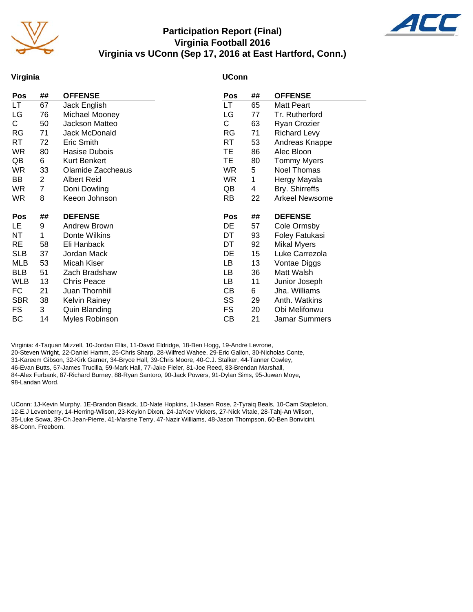

#### **Participation Report (Final) Virginia Football 2016 Virginia vs UConn (Sep 17, 2016 at East Hartford, Conn.)**



#### **Virginia**

#### **UConn**

| Pos        | ##             | <b>OFFENSE</b>    | Pos       | ## | <b>OFFENSE</b>        |
|------------|----------------|-------------------|-----------|----|-----------------------|
| LT         | 67             | Jack English      | LT.       | 65 | Matt Peart            |
| LG         | 76             | Michael Mooney    | LG        | 77 | Tr. Rutherford        |
| C.         | 50             | Jackson Matteo    | С         | 63 | Ryan Crozier          |
| <b>RG</b>  | 71             | Jack McDonald     | RG        | 71 | <b>Richard Levy</b>   |
| RT         | 72             | Eric Smith        | <b>RT</b> | 53 | Andreas Knappe        |
| <b>WR</b>  | 80             | Hasise Dubois     | TE.       | 86 | Alec Bloon            |
| QB         | 6              | Kurt Benkert      | TE        | 80 | <b>Tommy Myers</b>    |
| <b>WR</b>  | 33             | Olamide Zaccheaus | <b>WR</b> | 5  | Noel Thomas           |
| BB         | $\overline{2}$ | Albert Reid       | <b>WR</b> | 1  | Hergy Mayala          |
| <b>WR</b>  | 7              | Doni Dowling      | QB        | 4  | Bry. Shirreffs        |
| <b>WR</b>  | 8              | Keeon Johnson     | <b>RB</b> | 22 | <b>Arkeel Newsome</b> |
|            |                |                   |           |    |                       |
| Pos        | ##             | <b>DEFENSE</b>    | Pos       | ## | <b>DEFENSE</b>        |
| LE.        | 9              |                   |           |    | Cole Ormsby           |
|            |                | Andrew Brown      | DE        | 57 |                       |
| NT         | 1              | Donte Wilkins     | DT        | 93 | Foley Fatukasi        |
| <b>RE</b>  | 58             | Eli Hanback       | DT        | 92 | <b>Mikal Myers</b>    |
| <b>SLB</b> | 37             | Jordan Mack       | DE        | 15 | Luke Carrezola        |
| <b>MLB</b> | 53             | Micah Kiser       | LB        | 13 | Vontae Diggs          |
| <b>BLB</b> | 51             | Zach Bradshaw     | LB        | 36 | Matt Walsh            |
| <b>WLB</b> | 13             | Chris Peace       | LB        | 11 | Junior Joseph         |
| FC         | 21             | Juan Thornhill    | CВ        | 6  | Jha. Williams         |
| <b>SBR</b> | 38             | Kelvin Rainey     | SS        | 29 | Anth. Watkins         |
| FS.        | 3              | Quin Blanding     | FS.       | 20 | Obi Melifonwu         |

Virginia: 4-Taquan Mizzell, 10-Jordan Ellis, 11-David Eldridge, 18-Ben Hogg, 19-Andre Levrone, 20-Steven Wright, 22-Daniel Hamm, 25-Chris Sharp, 28-Wilfred Wahee, 29-Eric Gallon, 30-Nicholas Conte, 31-Kareem Gibson, 32-Kirk Garner, 34-Bryce Hall, 39-Chris Moore, 40-C.J. Stalker, 44-Tanner Cowley, 46-Evan Butts, 57-James Trucilla, 59-Mark Hall, 77-Jake Fieler, 81-Joe Reed, 83-Brendan Marshall, 84-Alex Furbank, 87-Richard Burney, 88-Ryan Santoro, 90-Jack Powers, 91-Dylan Sims, 95-Juwan Moye, 98-Landan Word.

UConn: 1J-Kevin Murphy, 1E-Brandon Bisack, 1D-Nate Hopkins, 1I-Jasen Rose, 2-Tyraiq Beals, 10-Cam Stapleton, 12-E.J Levenberry, 14-Herring-Wilson, 23-Keyion Dixon, 24-Ja'Kev Vickers, 27-Nick Vitale, 28-Tahj-An Wilson, 35-Luke Sowa, 39-Ch Jean-Pierre, 41-Marshe Terry, 47-Nazir Williams, 48-Jason Thompson, 60-Ben Bonvicini, 88-Conn. Freeborn.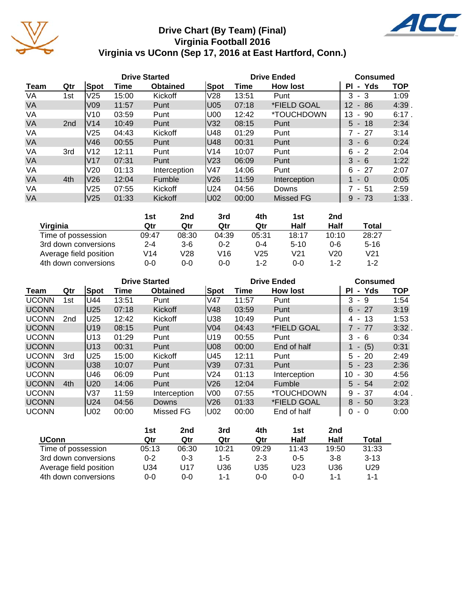

# **Drive Chart (By Team) (Final) Virginia Football 2016 Virginia vs UConn (Sep 17, 2016 at East Hartford, Conn.)**



|           |                 |                 |       | <b>Drive Started</b> |                 | <b>Drive Ended</b> | <b>Consumed</b>  |                             |            |
|-----------|-----------------|-----------------|-------|----------------------|-----------------|--------------------|------------------|-----------------------------|------------|
| Team      | Qtr             | Spot            | Time  | <b>Obtained</b>      | Spot            | Time               | <b>How lost</b>  | Yds<br>ΡI<br>$\blacksquare$ | <b>TOP</b> |
| VA        | 1st             | V <sub>25</sub> | 15:00 | Kickoff              | V28             | 13:51              | Punt             | 3<br>- 3                    | 1:09       |
| <b>VA</b> |                 | V <sub>09</sub> | 11:57 | Punt                 | U05             | 07:18              | *FIELD GOAL      | 12<br>86<br>$\sim$          | 4:39.      |
| VA        |                 | V10             | 03:59 | Punt                 | U00             | 12:42              | *TOUCHDOWN       | 13<br>90<br>$\blacksquare$  | $6:17$ .   |
| <b>VA</b> | 2 <sub>nd</sub> | V14             | 10:49 | Punt                 | V32             | 08:15              | Punt             | $5 - 18$                    | 2:34       |
| VA        |                 | V25             | 04:43 | Kickoff              | U48             | 01:29              | Punt             | - 27                        | 3:14       |
| <b>VA</b> |                 | V46             | 00:55 | Punt                 | U48             | 00:31              | Punt             | 3<br>$-6$                   | 0:24       |
| VA        | 3rd             | V12             | 12:11 | Punt                 | V <sub>14</sub> | 10:07              | Punt             | 6<br>$-2$                   | 2:04       |
| <b>VA</b> |                 | V17             | 07:31 | Punt                 | V <sub>23</sub> | 06:09              | Punt             | 3<br>$-6$                   | 1:22       |
| VA        |                 | V20             | 01:13 | Interception         | lV47            | 14:06              | Punt             | 6<br>- 27                   | 2:07       |
| <b>VA</b> | 4th             | V <sub>26</sub> | 12:04 | Fumble               | V <sub>26</sub> | 11:59              | Interception     | $-0$                        | 0:05       |
| VA        |                 | V <sub>25</sub> | 07:55 | Kickoff              | U24             | 04:56              | Downs            | - 51                        | 2:59       |
| <b>VA</b> |                 | V <sub>25</sub> | 01:33 | Kickoff              | U02             | 00:00              | <b>Missed FG</b> | 9<br>- 73                   | 1:33.      |

|                        | 1st     | 2nd   | 3rd     | 4th     | 1st      | 2nd     |                 |
|------------------------|---------|-------|---------|---------|----------|---------|-----------------|
| Virginia               | Qtr     | Qtr   | Qtr     | Qtr     | Half     | Half    | Total           |
| Time of possession     | 09:47   | 08:30 | 04:39   | 05:31   | 18:17    | 10:10   | 28:27           |
| 3rd down conversions   | $2 - 4$ | $3-6$ | $0 - 2$ | $0 - 4$ | $5 - 10$ | $0 - 6$ | $5 - 16$        |
| Average field position | V14     | V28   | V16     | V25     | V21      | V20     | V <sub>21</sub> |
| 4th down conversions   | 0-0     | 0-0   | 0-0     | $1 - 2$ | 0-0      | $1 - 2$ | $1 - 2$         |

|              |                 |      | <b>Drive Started</b> |                 |                 |       | <b>Drive Ended</b>       | <b>Consumed</b> |            |  |
|--------------|-----------------|------|----------------------|-----------------|-----------------|-------|--------------------------|-----------------|------------|--|
| Team         | Qtr             | Spot | Time                 | <b>Obtained</b> | Spot            | Time  | <b>How lost</b>          | - Yds<br>ΡI     | <b>TOP</b> |  |
| <b>UCONN</b> | 1st             | U44  | 13:51                | Punt            | V47             | 11:57 | Punt                     | 3<br>-9         | 1:54       |  |
| <b>UCONN</b> |                 | U25  | 07:18                | Kickoff         | V48             | 03:59 | Punt                     | $6 - 27$        | 3:19       |  |
| <b>UCONN</b> | 2 <sub>nd</sub> | U25  | 12:42                | Kickoff         | U38             | 10:49 | Punt                     | 4 - 13          | 1:53       |  |
| <b>UCONN</b> |                 | U19  | 08:15                | Punt            | V <sub>04</sub> | 04:43 | *FIELD GOAL              | 7 - 77          | 3:32.      |  |
| <b>UCONN</b> |                 | U13  | 01:29                | Punt            | IU19            | 00:55 | Punt                     | 3<br>- 6        | 0:34       |  |
| <b>UCONN</b> |                 | U13  | 00:31                | Punt            | U08             | 00:00 | End of half              | (5)<br>$\sim$   | 0:31       |  |
| <b>UCONN</b> | 3rd             | U25  | 15:00                | Kickoff         | lU45            | 12:11 | Punt                     | $5 - 20$        | 2:49       |  |
| <b>UCONN</b> |                 | U38  | 10:07                | Punt            | V39             | 07:31 | Punt                     | $5 - 23$        | 2:36       |  |
| <b>UCONN</b> |                 | U46  | 06:09                | Punt            | V24             | 01:13 | Interception             | 10<br>$-30$     | 4:56       |  |
| <b>UCONN</b> | 4th             | U20  | 14:06                | Punt            | V <sub>26</sub> | 12:04 | Fumble                   | $5 - 54$        | 2:02       |  |
| <b>UCONN</b> |                 | V37  | 11:59                | Interception    | V00             | 07:55 | <i><b>*TOUCHDOWN</b></i> | 9<br>- 37       | 4:04       |  |
| <b>UCONN</b> |                 | U24  | 04:56                | Downs           | V26             | 01:33 | *FIELD GOAL              | $8 - 50$        | 3:23       |  |
| <b>UCONN</b> |                 | U02  | 00:00                | Missed FG       | U02             | 00:00 | End of half              | 0<br>$-0$       | 0:00       |  |

|                        | 1st   | 2nd     | 3rd     | 4th     | 1st     | 2nd     |          |
|------------------------|-------|---------|---------|---------|---------|---------|----------|
| <b>UConn</b>           | Qtr   | Qtr     | Qtr     | Qtr     | Half    | Half    | Total    |
| Time of possession     | 05:13 | 06:30   | 10:21   | 09:29   | 11:43   | 19:50   | 31:33    |
| 3rd down conversions   | 0-2   | $0 - 3$ | $1 - 5$ | $2 - 3$ | $0 - 5$ | $3 - 8$ | $3 - 13$ |
| Average field position | J34   | U17     | U36     | U35     | U23     | U36     | U29      |
| 4th down conversions   | 0-0   | $0-0$   | $1 - 1$ | $0 - 0$ | $0 - 0$ | 1-1     | $1 - 1$  |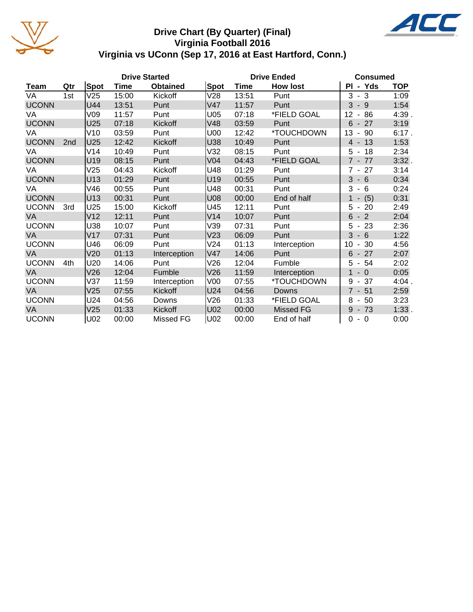

### **Drive Chart (By Quarter) (Final) Virginia Football 2016 Virginia vs UConn (Sep 17, 2016 at East Hartford, Conn.)**



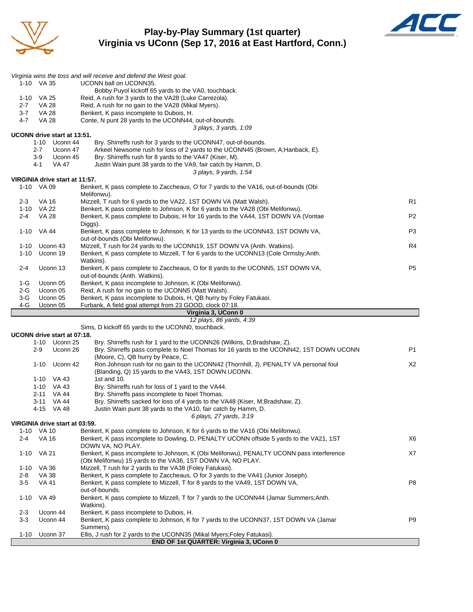

#### **Play-by-Play Summary (1st quarter) Virginia vs UConn (Sep 17, 2016 at East Hartford, Conn.)**



|                |                       |                                | Virginia wins the toss and will receive and defend the West goal.                                                                              |                |
|----------------|-----------------------|--------------------------------|------------------------------------------------------------------------------------------------------------------------------------------------|----------------|
|                | 1-10 VA 35            |                                | UCONN ball on UCONN35.                                                                                                                         |                |
|                |                       |                                | Bobby Puyol kickoff 65 yards to the VA0, touchback.                                                                                            |                |
|                | 1-10 VA 25            |                                | Reid, A rush for 3 yards to the VA28 (Luke Carrezola).<br>Reid, A rush for no gain to the VA28 (Mikal Myers).                                  |                |
| $2 - 7$<br>3-7 | VA 28<br>VA 28        |                                | Benkert, K pass incomplete to Dubois, H.                                                                                                       |                |
| 4-7            | <b>VA 28</b>          |                                | Conte, N punt 28 yards to the UCONN44, out-of-bounds.                                                                                          |                |
|                |                       |                                | 3 plays, 3 yards, 1:09                                                                                                                         |                |
|                |                       | UCONN drive start at 13:51.    |                                                                                                                                                |                |
|                | 1-10                  | Uconn 44                       | Bry. Shirreffs rush for 3 yards to the UCONN47, out-of-bounds.                                                                                 |                |
|                | $2 - 7$               | Uconn 47                       | Arkeel Newsome rush for loss of 2 yards to the UCONN45 (Brown, A; Hanback, E).                                                                 |                |
|                | 3-9                   | Uconn 45                       | Bry. Shirreffs rush for 8 yards to the VA47 (Kiser, M).                                                                                        |                |
|                | 4-1                   | <b>VA 47</b>                   | Justin Wain punt 38 yards to the VA9, fair catch by Hamm, D.                                                                                   |                |
|                |                       |                                | 3 plays, 9 yards, 1:54                                                                                                                         |                |
|                | 1-10 VA 09            | VIRGINIA drive start at 11:57. | Benkert, K pass complete to Zaccheaus, O for 7 yards to the VA16, out-of-bounds (Obi                                                           |                |
|                |                       |                                | Melifonwu).                                                                                                                                    |                |
| 2-3            | VA 16                 |                                | Mizzell, T rush for 6 yards to the VA22, 1ST DOWN VA (Matt Walsh).                                                                             | R <sub>1</sub> |
| 1-10           | VA 22                 |                                | Benkert, K pass complete to Johnson, K for 6 yards to the VA28 (Obi Melifonwu).                                                                |                |
| $2 - 4$        | <b>VA 28</b>          |                                | Benkert, K pass complete to Dubois, H for 16 yards to the VA44, 1ST DOWN VA (Vontae                                                            | P <sub>2</sub> |
|                |                       |                                | Diggs).                                                                                                                                        |                |
| 1-10           | VA 44                 |                                | Benkert, K pass complete to Johnson, K for 13 yards to the UCONN43, 1ST DOWN VA,                                                               | P3             |
|                |                       |                                | out-of-bounds (Obi Melifonwu).                                                                                                                 |                |
| 1-10           |                       | Uconn 43                       | Mizzell, T rush for 24 yards to the UCONN19, 1ST DOWN VA (Anth. Watkins).                                                                      | R4             |
| $1 - 10$       |                       | Uconn 19                       | Benkert, K pass complete to Mizzell, T for 6 yards to the UCONN13 (Cole Ormsby; Anth.                                                          |                |
| 2-4            |                       | Uconn 13                       | Watkins).<br>Benkert, K pass complete to Zaccheaus, O for 8 yards to the UCONN5, 1ST DOWN VA,                                                  | P <sub>5</sub> |
|                |                       |                                | out-of-bounds (Anth. Watkins).                                                                                                                 |                |
| 1-G            |                       | Uconn 05                       | Benkert, K pass incomplete to Johnson, K (Obi Melifonwu).                                                                                      |                |
| $2-G$          |                       | Uconn 05                       | Reid, A rush for no gain to the UCONN5 (Matt Walsh).                                                                                           |                |
| $3-G$          |                       | Uconn 05                       | Benkert, K pass incomplete to Dubois, H, QB hurry by Foley Fatukasi.                                                                           |                |
| 4-G            |                       | Uconn 05                       | Furbank, A field goal attempt from 23 GOOD, clock 07:18.                                                                                       |                |
|                |                       |                                |                                                                                                                                                |                |
|                |                       |                                | Virginia 3, UConn 0                                                                                                                            |                |
|                |                       |                                | 12 plays, 86 yards, 4:39                                                                                                                       |                |
|                |                       |                                | Sims, D kickoff 65 yards to the UCONN0, touchback.                                                                                             |                |
|                |                       | UCONN drive start at 07:18.    |                                                                                                                                                |                |
|                |                       | 1-10 Uconn 25                  | Bry. Shirreffs rush for 1 yard to the UCONN26 (Wilkins, D;Bradshaw, Z).                                                                        | <b>P1</b>      |
|                | $2-9$                 | Uconn 26                       | Bry. Shirreffs pass complete to Noel Thomas for 16 yards to the UCONN42, 1ST DOWN UCONN<br>(Moore, C), QB hurry by Peace, C.                   |                |
|                | 1-10                  | Uconn 42                       | Ron Johnson rush for no gain to the UCONN42 (Thornhill, J), PENALTY VA personal foul                                                           | X2             |
|                |                       |                                | (Blanding, Q) 15 yards to the VA43, 1ST DOWN UCONN.                                                                                            |                |
|                |                       | 1-10 VA 43                     | 1st and 10.                                                                                                                                    |                |
|                |                       | 1-10 VA 43                     | Bry. Shirreffs rush for loss of 1 yard to the VA44.                                                                                            |                |
|                | $2 - 11$              | VA 44                          | Bry. Shirreffs pass incomplete to Noel Thomas.                                                                                                 |                |
|                | 3-11                  | VA 44                          | Bry. Shirreffs sacked for loss of 4 yards to the VA48 (Kiser, M;Bradshaw, Z).                                                                  |                |
|                | 4-15                  | VA 48                          | Justin Wain punt 38 yards to the VA10, fair catch by Hamm, D.                                                                                  |                |
|                |                       |                                | 6 plays, 27 yards, 3:19                                                                                                                        |                |
|                | 1-10 VA 10            | VIRGINIA drive start at 03:59. | Benkert, K pass complete to Johnson, K for 6 yards to the VA16 (Obi Melifonwu).                                                                |                |
| 2-4            | <b>VA 16</b>          |                                | Benkert, K pass incomplete to Dowling, D, PENALTY UCONN offside 5 yards to the VA21, 1ST                                                       | X6             |
|                |                       |                                | DOWN VA, NO PLAY.                                                                                                                              |                |
| $1 - 10$       | VA 21                 |                                | Benkert, K pass incomplete to Johnson, K (Obi Melifonwu), PENALTY UCONN pass interference                                                      | X7             |
|                |                       |                                | (Obi Melifonwu) 15 yards to the VA36, 1ST DOWN VA, NO PLAY.                                                                                    |                |
| 1-10<br>2-8    | VA 36<br><b>VA 38</b> |                                | Mizzell, T rush for 2 yards to the VA38 (Foley Fatukasi).<br>Benkert, K pass complete to Zaccheaus, O for 3 yards to the VA41 (Junior Joseph). |                |
| $3-5$          | <b>VA 41</b>          |                                | Benkert, K pass complete to Mizzell, T for 8 yards to the VA49, 1ST DOWN VA,                                                                   | P8             |
|                |                       |                                | out-of-bounds.                                                                                                                                 |                |
| $1 - 10$       | VA 49                 |                                | Benkert, K pass complete to Mizzell, T for 7 yards to the UCONN44 (Jamar Summers; Anth.                                                        |                |
|                |                       |                                | Watkins).                                                                                                                                      |                |
| $2 - 3$        |                       | Uconn 44                       | Benkert, K pass incomplete to Dubois, H.                                                                                                       | P9             |
| $3-3$          |                       | Uconn 44                       | Benkert, K pass complete to Johnson, K for 7 yards to the UCONN37, 1ST DOWN VA (Jamar<br>Summers).                                             |                |
| $1 - 10$       |                       | Uconn 37                       | Ellis, J rush for 2 yards to the UCONN35 (Mikal Myers; Foley Fatukasi).<br>END OF 1st QUARTER: Virginia 3, UConn 0                             |                |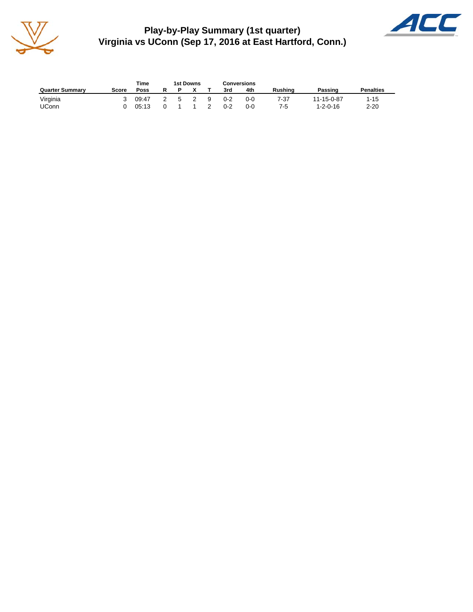

**Play-by-Play Summary (1st quarter) Virginia vs UConn (Sep 17, 2016 at East Hartford, Conn.)**



|                        |       | Time  |   |    | 1st Downs      |               | Conversions |     |         |                  |                  |
|------------------------|-------|-------|---|----|----------------|---------------|-------------|-----|---------|------------------|------------------|
| <b>Quarter Summary</b> | Score | Poss  | R |    |                |               | 3rd         | 4th | Rushina | Passing          | <b>Penalties</b> |
| Virginia               |       | 09:47 |   | -5 | $\overline{2}$ | - 9           | $0 - 2$     | 0-0 | 7-37    | 11-15-0-87       | $1 - 15$         |
| <b>UConn</b>           |       | 05:13 |   |    |                | $\mathcal{P}$ | $0 - 2$     | 0-0 | 7-5     | $1 - 2 - 0 - 16$ | $2 - 20$         |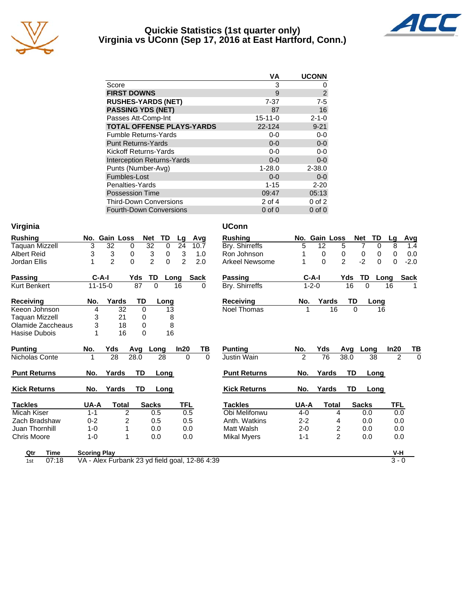

#### **Quickie Statistics (1st quarter only) Virginia vs UConn (Sep 17, 2016 at East Hartford, Conn.)**



|                                   | VA            | <b>UCONN</b>   |
|-----------------------------------|---------------|----------------|
| Score                             | 3             | 0              |
| <b>FIRST DOWNS</b>                | 9             | $\overline{2}$ |
| <b>RUSHES-YARDS (NET)</b>         | $7 - 37$      | $7 - 5$        |
| <b>PASSING YDS (NET)</b>          | 87            | 16             |
| Passes Att-Comp-Int               | $15 - 11 - 0$ | $2 - 1 - 0$    |
| <b>TOTAL OFFENSE PLAYS-YARDS</b>  | 22-124        | $9 - 21$       |
| <b>Fumble Returns-Yards</b>       | $0 - 0$       | $0-0$          |
| <b>Punt Returns-Yards</b>         | $0 - 0$       | $0-0$          |
| Kickoff Returns-Yards             | $0-0$         | $0-0$          |
| <b>Interception Returns-Yards</b> | $0 - 0$       | $0 - 0$        |
| Punts (Number-Avg)                | $1 - 28.0$    | $2 - 38.0$     |
| Fumbles-Lost                      | $0 - 0$       | $0 - 0$        |
| Penalties-Yards                   | $1 - 15$      | $2 - 20$       |
| <b>Possession Time</b>            | 09:47         | 05:13          |
| <b>Third-Down Conversions</b>     | 2 of 4        | $0$ of $2$     |
| <b>Fourth-Down Conversions</b>    | $0$ of $0$    | $0$ of $0$     |

|  | Virginia |  |
|--|----------|--|

| Rushing             |         | No. Gain Loss  |           | <b>Net</b>     | TD       | Lg       | Avg         |          | <b>Rushing</b>        | No.            | <b>Gain Loss</b> |                |                | <b>Net</b>     | TD          |
|---------------------|---------|----------------|-----------|----------------|----------|----------|-------------|----------|-----------------------|----------------|------------------|----------------|----------------|----------------|-------------|
| Taquan Mizzell      | 3       | 32             | 0         | 32             | $\Omega$ | 24       | 10.7        |          | Bry. Shirreffs        | 5              | 12               |                | 5              | $\overline{7}$ | $\mathbf 0$ |
| <b>Albert Reid</b>  | 3       | 3              | 0         | 3              | 0        | 3        | 1.0         |          | Ron Johnson           |                | $\Omega$         |                | 0              | 0              | $\mathbf 0$ |
| Jordan Ellis        | 1       | $\overline{2}$ | $\Omega$  | $\overline{2}$ | $\Omega$ | 2        | 2.0         |          | <b>Arkeel Newsome</b> |                | $\Omega$         |                | $\overline{2}$ | $-2$           | $\Omega$    |
| <b>Passing</b>      |         | $C-A-I$        | Yds       | TD             |          | Long     | <b>Sack</b> |          | <b>Passing</b>        |                | C-A-I            |                | Yds            | TD             | Lo          |
| Kurt Benkert        |         | $11 - 15 - 0$  | 87        | $\Omega$       |          | 16       | $\Omega$    |          | Bry. Shirreffs        |                | $1 - 2 - 0$      |                | 16             | $\Omega$       |             |
| <b>Receiving</b>    | No.     | Yards          | TD        |                | Long     |          |             |          | <b>Receiving</b>      | No.            |                  | Yards          | TD             |                | Lonc        |
| Keeon Johnson       | 4       | 32             |           | $\mathbf 0$    | 13       |          |             |          | <b>Noel Thomas</b>    |                |                  | 16             | 0              |                | 16          |
| Taguan Mizzell      | 3       | 21             |           | 0              | 8        |          |             |          |                       |                |                  |                |                |                |             |
| Olamide Zaccheaus   | 3       | 18             |           | 0              | 8        |          |             |          |                       |                |                  |                |                |                |             |
| Hasise Dubois       |         | 16             |           | 0              | 16       |          |             |          |                       |                |                  |                |                |                |             |
| <b>Punting</b>      | No.     | Yds            | Avg       | Long           |          | In20     |             | TВ       | <b>Punting</b>        | No.            | Yds              |                | Avg            | Long           |             |
| Nicholas Conte      | 1       | 28             | 28.0      |                | 28       | $\Omega$ |             | $\Omega$ | Justin Wain           | $\overline{2}$ | 76               |                | 38.0           |                | 38          |
| <b>Punt Returns</b> | No.     | Yards          | <b>TD</b> |                | Long     |          |             |          | <b>Punt Returns</b>   | No.            |                  | Yards          | <b>TD</b>      |                | Long        |
| <b>Kick Returns</b> | No.     | Yards          | TD        |                | Long     |          |             |          | <b>Kick Returns</b>   | No.            |                  | Yards          | TD             |                | Long        |
| <b>Tackles</b>      | UA-A    | Total          |           | <b>Sacks</b>   |          | TFL      |             |          | <b>Tackles</b>        | UA-A           |                  | <b>Total</b>   |                | <b>Sacks</b>   |             |
| Micah Kiser         | $1 - 1$ |                | 2         | 0.5            |          | 0.5      |             |          | Obi Melifonwu         | $4 - 0$        |                  | 4              |                | 0.0            |             |
| Zach Bradshaw       | $0 - 2$ |                | 2         | 0.5            |          | 0.5      |             |          | Anth. Watkins         | $2 - 2$        |                  | 4              |                | 0.0            |             |
| Juan Thornhill      | $1 - 0$ |                |           | 0.0            |          | 0.0      |             |          | Matt Walsh            | $2 - 0$        |                  | 2              |                | 0.0            |             |
| <b>Chris Moore</b>  | $1 - 0$ |                | 1         | 0.0            |          | 0.0      |             |          | <b>Mikal Myers</b>    | $1 - 1$        |                  | $\overline{2}$ |                | 0.0            |             |

| Virginia            |                     |                |                            |             |                |             | <b>UConn</b>          |                |               |                |              |               |                            |
|---------------------|---------------------|----------------|----------------------------|-------------|----------------|-------------|-----------------------|----------------|---------------|----------------|--------------|---------------|----------------------------|
| <b>Rushing</b>      |                     | No. Gain Loss  | Net                        | TD          | Lg             | Avg         | <b>Rushing</b>        |                | No. Gain Loss |                | <b>Net</b>   | TD<br>Lg      | <b>Avg</b>                 |
| Taquan Mizzell      | 3                   | 32             | 32<br>0                    | 0           | 24             | 10.7        | Bry. Shirreffs        | 5              | 12            | 5              | 7            | 8<br>0        | 1.4                        |
| Albert Reid         | 3                   | 3              | 3<br>0                     | 0           | 3              | 1.0         | Ron Johnson           |                | 0             | 0              | 0            | 0<br>0        | 0.0                        |
| Jordan Ellis        |                     | $\overline{2}$ | $\overline{2}$<br>$\Omega$ | $\mathbf 0$ | $\overline{2}$ | 2.0         | <b>Arkeel Newsome</b> |                | $\Omega$      | $\overline{2}$ | $-2$         | $\Omega$<br>0 | $-2.0$                     |
| Passing             | $C-A-I$             |                | TD<br>Yds                  |             | Long           | <b>Sack</b> | Passing               |                | $C-A-I$       | Yds            | TD           | Long          | <b>Sack</b>                |
| Kurt Benkert        | $11 - 15 - 0$       |                | 87                         | $\Omega$    | 16             | 0           | Bry. Shirreffs        |                | $1 - 2 - 0$   | 16             | 0            | 16            |                            |
| Receiving           | No.                 | Yards          | TD                         | Long        |                |             | <b>Receiving</b>      | No.            | Yards         | TD             |              | Long          |                            |
| Keeon Johnson       | 4                   | 32             | 0                          | 13          |                |             | <b>Noel Thomas</b>    |                | 16            |                | $\Omega$     | 16            |                            |
| Taquan Mizzell      | 3                   | 21             | 0                          | 8           |                |             |                       |                |               |                |              |               |                            |
| Olamide Zaccheaus   | 3                   | 18             | 0                          | 8           |                |             |                       |                |               |                |              |               |                            |
| Hasise Dubois       |                     | 16             | $\Omega$                   | 16          |                |             |                       |                |               |                |              |               |                            |
| <b>Punting</b>      | No.                 | Yds            | Avg                        | Long        | In20           | TВ          | <b>Punting</b>        | No.            | Yds           | Avg            | Long         | In20          | TB                         |
| Nicholas Conte      |                     | 28             | 28.0                       | 28          | $\Omega$       | $\Omega$    | Justin Wain           | $\mathfrak{p}$ | 76            | 38.0           | 38           |               | $\overline{2}$<br>$\Omega$ |
| <b>Punt Returns</b> | No.                 | Yards          | TD                         | Long        |                |             | <b>Punt Returns</b>   | No.            | Yards         | TD             |              | Long          |                            |
| <b>Kick Returns</b> | No.                 | Yards          | TD                         | Long        |                |             | <b>Kick Returns</b>   | No.            | Yards         | TD             |              | Long          |                            |
| <b>Tackles</b>      | UA-A                | <b>Total</b>   | <b>Sacks</b>               |             | <b>TFL</b>     |             | <b>Tackles</b>        | UA-A           | <b>Total</b>  |                | <b>Sacks</b> |               | <b>TFL</b>                 |
| Micah Kiser         | $1 - 1$             | 2              |                            | 0.5         | 0.5            |             | Obi Melifonwu         | $4 - 0$        |               | 4              | 0.0          |               | 0.0                        |
| Zach Bradshaw       | $0 - 2$             | 2              |                            | 0.5         | 0.5            |             | Anth. Watkins         | $2 - 2$        |               | 4              | 0.0          |               | 0.0                        |
| Juan Thornhill      | $1 - 0$             |                |                            | 0.0         | 0.0            |             | Matt Walsh            | $2 - 0$        |               | 2              | 0.0          |               | 0.0                        |
| Chris Moore         | $1 - 0$             | 1              |                            | 0.0         | 0.0            |             | <b>Mikal Myers</b>    | $1 - 1$        |               | $\overline{2}$ | 0.0          |               | 0.0                        |
| Qtr<br>Time         | <b>Scoring Play</b> |                |                            |             |                |             |                       |                |               |                |              |               | $V-H$                      |

| . |
|---|
|   |

1st 07:18 VA - Alex Furbank 23 yd field goal, 12-86 4:39 3 - 0 3 - 0 3 - 0 3 - 0 3 - 0 3 - 0 3 - 0 3 - 0 3 - 0

—<br>—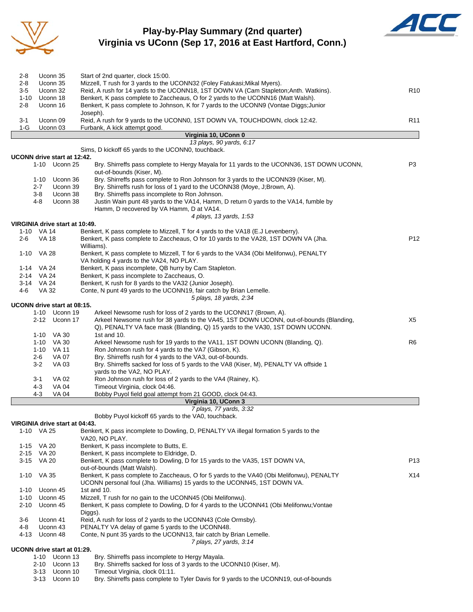

### **Play-by-Play Summary (2nd quarter) Virginia vs UConn (Sep 17, 2016 at East Hartford, Conn.)**



| $2 - 8$              | Uconn 35                                        | Start of 2nd quarter, clock 15:00.                                                                                                                                         |                 |
|----------------------|-------------------------------------------------|----------------------------------------------------------------------------------------------------------------------------------------------------------------------------|-----------------|
| $2 - 8$<br>3-5       | Uconn 35<br>Uconn 32                            | Mizzell, T rush for 3 yards to the UCONN32 (Foley Fatukasi; Mikal Myers).                                                                                                  | R <sub>10</sub> |
| $1 - 10$             | Uconn 18                                        | Reid, A rush for 14 yards to the UCONN18, 1ST DOWN VA (Cam Stapleton; Anth. Watkins).<br>Benkert, K pass complete to Zaccheaus, O for 2 yards to the UCONN16 (Matt Walsh). |                 |
| $2 - 8$              | Uconn 16                                        | Benkert, K pass complete to Johnson, K for 7 yards to the UCONN9 (Vontae Diggs; Junior                                                                                     |                 |
|                      |                                                 | Joseph).                                                                                                                                                                   |                 |
| 3-1                  | Uconn 09                                        | Reid, A rush for 9 yards to the UCONN0, 1ST DOWN VA, TOUCHDOWN, clock 12:42.                                                                                               | R <sub>11</sub> |
| $1-G$                | Uconn 03                                        | Furbank, A kick attempt good.                                                                                                                                              |                 |
|                      |                                                 | Virginia 10, UConn 0<br>13 plays, 90 yards, 6:17                                                                                                                           |                 |
|                      |                                                 | Sims, D kickoff 65 yards to the UCONN0, touchback.                                                                                                                         |                 |
|                      | UCONN drive start at 12:42.                     |                                                                                                                                                                            |                 |
|                      | 1-10 Uconn 25                                   | Bry. Shirreffs pass complete to Hergy Mayala for 11 yards to the UCONN36, 1ST DOWN UCONN,<br>out-of-bounds (Kiser, M).                                                     | P3              |
|                      | 1-10<br>Uconn 36<br>Uconn 39<br>$2 - 7$         | Bry. Shirreffs pass complete to Ron Johnson for 3 yards to the UCONN39 (Kiser, M).<br>Bry. Shirreffs rush for loss of 1 yard to the UCONN38 (Moye, J;Brown, A).            |                 |
|                      | $3-8$<br>Uconn 38                               | Bry. Shirreffs pass incomplete to Ron Johnson.                                                                                                                             |                 |
|                      | Uconn 38<br>4-8                                 | Justin Wain punt 48 yards to the VA14, Hamm, D return 0 yards to the VA14, fumble by<br>Hamm, D recovered by VA Hamm, D at VA14.                                           |                 |
|                      | VIRGINIA drive start at 10:49.                  | 4 plays, 13 yards, 1:53                                                                                                                                                    |                 |
|                      | 1-10 VA 14                                      | Benkert, K pass complete to Mizzell, T for 4 yards to the VA18 (E.J Levenberry).                                                                                           |                 |
| $2 - 6$              | <b>VA 18</b>                                    | Benkert, K pass complete to Zaccheaus, O for 10 yards to the VA28, 1ST DOWN VA (Jha.<br>Williams).                                                                         | P <sub>12</sub> |
|                      | 1-10 VA 28                                      | Benkert, K pass complete to Mizzell, T for 6 yards to the VA34 (Obi Melifonwu), PENALTY<br>VA holding 4 yards to the VA24, NO PLAY.                                        |                 |
|                      | 1-14 VA 24                                      | Benkert, K pass incomplete, QB hurry by Cam Stapleton.                                                                                                                     |                 |
|                      | 2-14 VA 24                                      | Benkert, K pass incomplete to Zaccheaus, O.                                                                                                                                |                 |
| 4-6                  | 3-14 VA 24<br><b>VA 32</b>                      | Benkert, K rush for 8 yards to the VA32 (Junior Joseph).                                                                                                                   |                 |
|                      |                                                 | Conte, N punt 49 yards to the UCONN19, fair catch by Brian Lemelle.<br>5 plays, 18 yards, 2:34                                                                             |                 |
|                      | UCONN drive start at 08:15.<br>1-10 Uconn 19    | Arkeel Newsome rush for loss of 2 yards to the UCONN17 (Brown, A).                                                                                                         |                 |
|                      | 2-12 Uconn 17                                   | Arkeel Newsome rush for 38 yards to the VA45, 1ST DOWN UCONN, out-of-bounds (Blanding,<br>Q), PENALTY VA face mask (Blanding, Q) 15 yards to the VA30, 1ST DOWN UCONN.     | X5              |
|                      | 1-10 VA 30                                      | 1st and 10.                                                                                                                                                                |                 |
|                      | $1 - 10$<br>VA 30                               | Arkeel Newsome rush for 19 yards to the VA11, 1ST DOWN UCONN (Blanding, Q).                                                                                                | R <sub>6</sub>  |
|                      | <b>VA 11</b><br>1-10                            | Ron Johnson rush for 4 yards to the VA7 (Gibson, K).                                                                                                                       |                 |
|                      | <b>VA 07</b><br>2-6<br>$3-2$<br><b>VA 03</b>    | Bry. Shirreffs rush for 4 yards to the VA3, out-of-bounds.<br>Bry. Shirreffs sacked for loss of 5 yards to the VA8 (Kiser, M), PENALTY VA offside 1                        |                 |
|                      |                                                 | yards to the VA2, NO PLAY.                                                                                                                                                 |                 |
|                      | 3-1<br>VA 02                                    | Ron Johnson rush for loss of 2 yards to the VA4 (Rainey, K).                                                                                                               |                 |
|                      | 4-3<br><b>VA 04</b>                             | Timeout Virginia, clock 04:46.                                                                                                                                             |                 |
|                      | 4-3<br>VA 04                                    | Bobby Puyol field goal attempt from 21 GOOD, clock 04:43.                                                                                                                  |                 |
|                      |                                                 | Virginia 10, UConn 3                                                                                                                                                       |                 |
|                      |                                                 | 7 plays, 77 yards, 3:32<br>Bobby Puyol kickoff 65 yards to the VA0, touchback.                                                                                             |                 |
|                      | VIRGINIA drive start at 04:43.                  |                                                                                                                                                                            |                 |
|                      | 1-10 VA 25                                      | Benkert, K pass incomplete to Dowling, D, PENALTY VA illegal formation 5 yards to the<br>VA20, NO PLAY.                                                                    |                 |
| $1 - 15$             | VA 20                                           | Benkert, K pass incomplete to Butts, E.                                                                                                                                    |                 |
| $2 - 15$             | VA 20                                           | Benkert, K pass incomplete to Eldridge, D.                                                                                                                                 |                 |
| 3-15                 | VA 20                                           | Benkert, K pass complete to Dowling, D for 15 yards to the VA35, 1ST DOWN VA,<br>out-of-bounds (Matt Walsh).                                                               | P <sub>13</sub> |
|                      | 1-10 VA 35                                      | Benkert, K pass complete to Zaccheaus, O for 5 yards to the VA40 (Obi Melifonwu), PENALTY<br>UCONN personal foul (Jha. Williams) 15 yards to the UCONN45, 1ST DOWN VA.     | X14             |
| $1 - 10$<br>$1 - 10$ | Uconn 45<br>Uconn 45                            | 1st and 10.<br>Mizzell, T rush for no gain to the UCONN45 (Obi Melifonwu).                                                                                                 |                 |
| $2 - 10$             | Uconn 45                                        | Benkert, K pass complete to Dowling, D for 4 yards to the UCONN41 (Obi Melifonwu; Vontae<br>Diggs).                                                                        |                 |
| 3-6                  | Uconn 41                                        | Reid, A rush for loss of 2 yards to the UCONN43 (Cole Ormsby).                                                                                                             |                 |
| 4-8                  | Uconn 43                                        | PENALTY VA delay of game 5 yards to the UCONN48.                                                                                                                           |                 |
| 4-13                 | Uconn 48                                        | Conte, N punt 35 yards to the UCONN13, fair catch by Brian Lemelle.                                                                                                        |                 |
|                      |                                                 | 7 plays, 27 yards, 3:14                                                                                                                                                    |                 |
|                      | UCONN drive start at 01:29.<br>1-10<br>Uconn 13 | Bry. Shirreffs pass incomplete to Hergy Mayala.                                                                                                                            |                 |
|                      | 2-10 Uconn 13                                   | Bry. Shirreffs sacked for loss of 3 yards to the UCONN10 (Kiser, M).                                                                                                       |                 |
|                      | Uconn 10<br>3-13                                | Timeout Virginia, clock 01:11.                                                                                                                                             |                 |
|                      | $3 - 13$<br>Uconn 10                            | Bry. Shirreffs pass complete to Tyler Davis for 9 yards to the UCONN19, out-of-bounds                                                                                      |                 |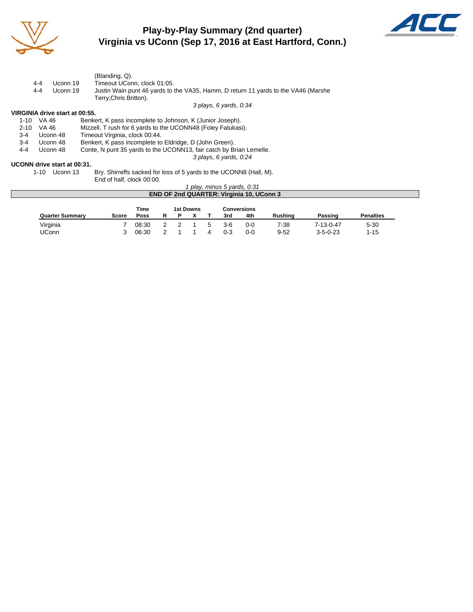

# **Play-by-Play Summary (2nd quarter) Virginia vs UConn (Sep 17, 2016 at East Hartford, Conn.)**



|          |                                | (Blanding, Q).                                                                                               |
|----------|--------------------------------|--------------------------------------------------------------------------------------------------------------|
|          | 4-4<br>Uconn 19                | Timeout UConn, clock 01:05.                                                                                  |
|          | 4-4<br>Uconn 19                | Justin Wain punt 46 yards to the VA35, Hamm, D return 11 yards to the VA46 (Marshe<br>Terry: Chris Britton). |
|          |                                | 3 plays, 6 yards, 0:34                                                                                       |
|          | VIRGINIA drive start at 00:55. |                                                                                                              |
| 1-10     | VA 46                          | Benkert, K pass incomplete to Johnson, K (Junior Joseph).                                                    |
| $2 - 10$ | VA 46                          | Mizzell, T rush for 6 yards to the UCONN48 (Foley Fatukasi).                                                 |
| $3-4$    | Uconn 48                       | Timeout Virginia, clock 00:44.                                                                               |
| 3-4      | Uconn 48                       | Benkert, K pass incomplete to Eldridge, D (John Green).                                                      |
| 4-4      | Uconn 48                       | Conte, N punt 35 yards to the UCONN13, fair catch by Brian Lemelle.                                          |
|          |                                | 3 plays, 6 yards, 0:24                                                                                       |
|          | UCONN drive start at 00:31.    |                                                                                                              |
|          |                                |                                                                                                              |

1-10 Uconn 13 Bry. Shirreffs sacked for loss of 5 yards to the UCONN8 (Hall, M). End of half, clock 00:00.

*1 play, minus 5 yards, 0:31* **END OF 2nd QUARTER: Virginia 10, UConn 3 Time** 1st Downs Conversions<br> **Poss R P X T** 3rd 4th **Quarter Summary Score Poss R P X T 3rd 4th Rushing Passing Penalties**

Virginia 7 08:30 2 2 1 5 3-6 0-0 7-38 7-13-0-47 5-30 UConn 3 06:30 2 1 1 4 0-3 0-0 9-52 3-5-0-23 1-15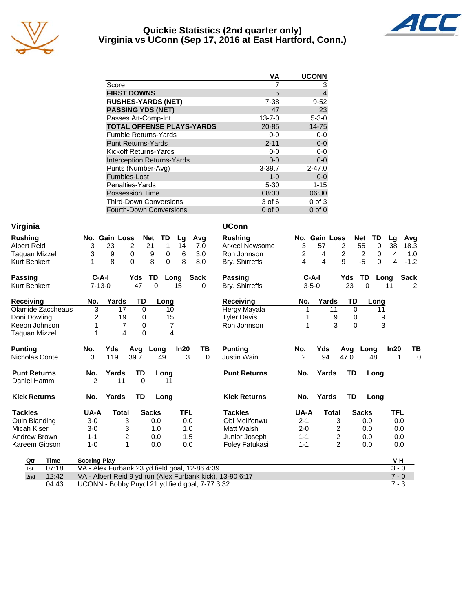

#### **Quickie Statistics (2nd quarter only) Virginia vs UConn (Sep 17, 2016 at East Hartford, Conn.)**



|                                   | VA           | <b>UCONN</b>   |
|-----------------------------------|--------------|----------------|
| Score                             |              | 3              |
| <b>FIRST DOWNS</b>                | 5            | $\overline{4}$ |
| <b>RUSHES-YARDS (NET)</b>         | 7-38         | $9 - 52$       |
| <b>PASSING YDS (NET)</b>          | 47           | 23             |
| Passes Att-Comp-Int               | $13 - 7 - 0$ | $5 - 3 - 0$    |
| <b>TOTAL OFFENSE PLAYS-YARDS</b>  | 20-85        | $14 - 75$      |
| <b>Fumble Returns-Yards</b>       | $0-0$        | $0-0$          |
| <b>Punt Returns-Yards</b>         | $2 - 11$     | $0-0$          |
| Kickoff Returns-Yards             | $0 - 0$      | $0-0$          |
| <b>Interception Returns-Yards</b> | $0 - 0$      | $0 - 0$        |
| Punts (Number-Avg)                | $3 - 39.7$   | $2 - 47.0$     |
| Fumbles-Lost                      | $1 - 0$      | $0-0$          |
| Penalties-Yards                   | $5 - 30$     | $1 - 15$       |
| <b>Possession Time</b>            | 08:30        | 06:30          |
| <b>Third-Down Conversions</b>     | 3 of 6       | $0$ of $3$     |
| <b>Fourth-Down Conversions</b>    | $0$ of $0$   | $0$ of $0$     |

| Virginia              |                     |                                                 |                |                      |            |             | <b>UConn</b>                                              |                         |                         |                    |                                |                 |             |
|-----------------------|---------------------|-------------------------------------------------|----------------|----------------------|------------|-------------|-----------------------------------------------------------|-------------------------|-------------------------|--------------------|--------------------------------|-----------------|-------------|
| <b>Rushing</b>        |                     | No. Gain Loss                                   |                | <b>Net</b><br>TD     | Lg         | Avg         | <b>Rushing</b>                                            |                         | No. Gain Loss           |                    | TD<br><b>Net</b>               | Lq              | Avg         |
| <b>Albert Reid</b>    | 3                   | 23                                              | $\overline{2}$ | $\overline{21}$<br>1 | 14         | 7.0         | Arkeel Newsome                                            | $\overline{3}$          | 57                      | $\overline{2}$     | $\overline{55}$<br>$\mathbf 0$ | $\overline{38}$ | 18.3        |
| <b>Taguan Mizzell</b> | 3                   | 9                                               | 0              | 9<br>$\pmb{0}$       | 6          | 3.0         | Ron Johnson                                               | $\overline{\mathbf{c}}$ | 4                       | $\overline{c}$     | $\frac{2}{-5}$<br>$\mathbf 0$  | 4               | 1.0         |
| <b>Kurt Benkert</b>   | 1                   | 8                                               | $\Omega$       | 8<br>$\Omega$        | 8          | 8.0         | Bry. Shirreffs                                            | 4                       | $\overline{\mathbf{4}}$ | 9                  | $\Omega$                       | 4               | $-1.2$      |
| <b>Passing</b>        | $C-A-I$             |                                                 | Yds            | <b>TD</b>            | Long       | <b>Sack</b> | Passing                                                   |                         | C-A-I                   | Yds                | <b>TD</b>                      | Long            | <b>Sack</b> |
| Kurt Benkert          | $7 - 13 - 0$        |                                                 | 47             | $\Omega$             | 15         | 0           | Bry. Shirreffs                                            | $3 - 5 - 0$             |                         | 23                 | $\Omega$                       | 11              | 2           |
| Receiving             | No.                 | Yards                                           | TD             | Long                 |            |             | <b>Receiving</b>                                          | No.                     | Yards                   | TD                 | Long                           |                 |             |
| Olamide Zaccheaus     | 3                   | 17                                              | $\Omega$       | 10                   |            |             | Hergy Mayala                                              | 1                       | 11                      | $\Omega$           |                                | 11              |             |
| Doni Dowling          | 2                   | 19                                              | 0              | 15                   |            |             | <b>Tyler Davis</b>                                        |                         |                         | 9<br>0             |                                | 9               |             |
| Keeon Johnson         | 1                   | $\overline{7}$                                  | 0              |                      | 7          |             | Ron Johnson                                               | 1                       |                         | 3<br>$\Omega$      |                                | 3               |             |
| <b>Taguan Mizzell</b> | 1                   | 4                                               | $\Omega$       |                      | 4          |             |                                                           |                         |                         |                    |                                |                 |             |
| <b>Punting</b>        | No.                 | Yds                                             | Avq            | Long                 | In20       | TВ          | <b>Punting</b>                                            | No.                     | Yds                     | Avg                | Long                           | In20            | TB          |
| Nicholas Conte        | 3                   | 119                                             | 39.7           | 49                   | 3          | $\Omega$    | <b>Justin Wain</b>                                        | $\overline{2}$          | 94                      | $\overline{47}$ .0 | 48                             |                 | $\Omega$    |
| <b>Punt Returns</b>   | No.                 | Yards                                           | TD             | Long                 |            |             | <b>Punt Returns</b>                                       | No.                     | Yards                   | <b>TD</b>          | Long                           |                 |             |
| Daniel Hamm           | $\overline{2}$      | 11                                              | $\Omega$       | 11                   |            |             |                                                           |                         |                         |                    |                                |                 |             |
| <b>Kick Returns</b>   | No.                 | Yards                                           | TD             | Long                 |            |             | <b>Kick Returns</b>                                       | No.                     | Yards                   | TD                 | Long                           |                 |             |
| <b>Tackles</b>        | UA-A                | <b>Total</b>                                    |                | <b>Sacks</b>         | <b>TFL</b> |             | <b>Tackles</b>                                            | UA-A                    | <b>Total</b>            |                    | <b>Sacks</b>                   | <b>TFL</b>      |             |
| Quin Blanding         | $3-0$               | 3                                               |                | 0.0                  | 0.0        |             | Obi Melifonwu                                             | $2 - 1$                 |                         | 3                  | 0.0                            | 0.0             |             |
| Micah Kiser           | $3-0$               | 3                                               |                | 1.0                  | 1.0        |             | Matt Walsh                                                | $2 - 0$                 |                         | 2                  | 0.0                            | 0.0             |             |
| Andrew Brown          | $1 - 1$             | $\overline{c}$                                  |                | 0.0                  | 1.5        |             | Junior Joseph                                             | $1 - 1$                 |                         | 2                  | 0.0                            | 0.0             |             |
| Kareem Gibson         | $1 - 0$             | $\mathbf{1}$                                    |                | 0.0                  | 0.0        |             | Foley Fatukasi                                            | $1 - 1$                 |                         | $\overline{2}$     | 0.0                            | 0.0             |             |
| Qtr<br>Time           | <b>Scoring Play</b> |                                                 |                |                      |            |             |                                                           |                         |                         |                    |                                | V-H             |             |
| 07:18<br>1st          |                     | VA - Alex Furbank 23 yd field goal, 12-86 4:39  |                |                      |            |             |                                                           |                         |                         |                    |                                | $3 - 0$         |             |
| 12:42<br>2nd          |                     |                                                 |                |                      |            |             | VA - Albert Reid 9 yd run (Alex Furbank kick), 13-90 6:17 |                         |                         |                    |                                | $7 - 0$         |             |
| 04:43                 |                     | UCONN - Bobby Puyol 21 yd field goal, 7-77 3:32 |                |                      |            |             |                                                           |                         |                         |                    |                                | $7 - 3$         |             |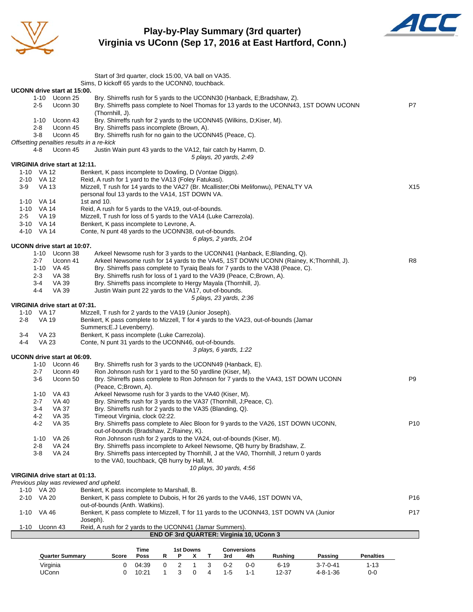

**Play-by-Play Summary (3rd quarter) Virginia vs UConn (Sep 17, 2016 at East Hartford, Conn.)**



|                          |              |                                              | Start of 3rd quarter, clock 15:00, VA ball on VA35.                                                                        |              |             |                |                  |   |                          |                                          |                                                                                         |                                                                                         |                  |                 |
|--------------------------|--------------|----------------------------------------------|----------------------------------------------------------------------------------------------------------------------------|--------------|-------------|----------------|------------------|---|--------------------------|------------------------------------------|-----------------------------------------------------------------------------------------|-----------------------------------------------------------------------------------------|------------------|-----------------|
|                          |              |                                              | Sims, D kickoff 65 yards to the UCONN0, touchback.                                                                         |              |             |                |                  |   |                          |                                          |                                                                                         |                                                                                         |                  |                 |
|                          |              | UCONN drive start at 15:00.                  |                                                                                                                            |              |             |                |                  |   |                          |                                          |                                                                                         |                                                                                         |                  |                 |
|                          |              | 1-10 Uconn 25                                |                                                                                                                            |              |             |                |                  |   |                          |                                          | Bry. Shirreffs rush for 5 yards to the UCONN30 (Hanback, E;Bradshaw, Z).                |                                                                                         |                  |                 |
|                          | $2 - 5$      | Uconn 30                                     |                                                                                                                            |              |             |                |                  |   |                          |                                          |                                                                                         | Bry. Shirreffs pass complete to Noel Thomas for 13 yards to the UCONN43, 1ST DOWN UCONN |                  | P7              |
|                          | 1-10         | Uconn 43                                     | (Thornhill, J).<br>Bry. Shirreffs rush for 2 yards to the UCONN45 (Wilkins, D;Kiser, M).                                   |              |             |                |                  |   |                          |                                          |                                                                                         |                                                                                         |                  |                 |
|                          | $2 - 8$      | Uconn 45                                     | Bry. Shirreffs pass incomplete (Brown, A).                                                                                 |              |             |                |                  |   |                          |                                          |                                                                                         |                                                                                         |                  |                 |
|                          | $3-8$        | Uconn 45                                     | Bry. Shirreffs rush for no gain to the UCONN45 (Peace, C).                                                                 |              |             |                |                  |   |                          |                                          |                                                                                         |                                                                                         |                  |                 |
|                          |              |                                              | Offsetting penalties results in a re-kick                                                                                  |              |             |                |                  |   |                          |                                          |                                                                                         |                                                                                         |                  |                 |
|                          | 4-8          | Uconn 45                                     | Justin Wain punt 43 yards to the VA12, fair catch by Hamm, D.                                                              |              |             |                |                  |   |                          |                                          |                                                                                         |                                                                                         |                  |                 |
|                          |              |                                              |                                                                                                                            |              |             |                |                  |   | 5 plays, 20 yards, 2:49  |                                          |                                                                                         |                                                                                         |                  |                 |
|                          |              | VIRGINIA drive start at 12:11.               |                                                                                                                            |              |             |                |                  |   |                          |                                          |                                                                                         |                                                                                         |                  |                 |
| 1-10 VA 12<br>2-10 VA 12 |              |                                              | Benkert, K pass incomplete to Dowling, D (Vontae Diggs).<br>Reid, A rush for 1 yard to the VA13 (Foley Fatukasi).          |              |             |                |                  |   |                          |                                          |                                                                                         |                                                                                         |                  |                 |
| 3-9                      | VA 13        |                                              | Mizzell, T rush for 14 yards to the VA27 (Br. Mcallister; Obi Melifonwu), PENALTY VA                                       |              |             |                |                  |   |                          |                                          |                                                                                         |                                                                                         |                  | X <sub>15</sub> |
|                          |              |                                              | personal foul 13 yards to the VA14, 1ST DOWN VA.                                                                           |              |             |                |                  |   |                          |                                          |                                                                                         |                                                                                         |                  |                 |
| 1-10                     | VA 14        |                                              | 1st and 10.                                                                                                                |              |             |                |                  |   |                          |                                          |                                                                                         |                                                                                         |                  |                 |
| $1 - 10$                 | VA 14        |                                              | Reid, A rush for 5 yards to the VA19, out-of-bounds.                                                                       |              |             |                |                  |   |                          |                                          |                                                                                         |                                                                                         |                  |                 |
| $2 - 5$                  | VA 19        |                                              | Mizzell, T rush for loss of 5 yards to the VA14 (Luke Carrezola).                                                          |              |             |                |                  |   |                          |                                          |                                                                                         |                                                                                         |                  |                 |
| 3-10 VA 14               |              |                                              | Benkert, K pass incomplete to Levrone, A.                                                                                  |              |             |                |                  |   |                          |                                          |                                                                                         |                                                                                         |                  |                 |
| 4-10 VA 14               |              |                                              | Conte, N punt 48 yards to the UCONN38, out-of-bounds.                                                                      |              |             |                |                  |   | 6 plays, 2 yards, 2:04   |                                          |                                                                                         |                                                                                         |                  |                 |
|                          |              | UCONN drive start at 10:07.                  |                                                                                                                            |              |             |                |                  |   |                          |                                          |                                                                                         |                                                                                         |                  |                 |
|                          |              | 1-10 Uconn 38                                |                                                                                                                            |              |             |                |                  |   |                          |                                          | Arkeel Newsome rush for 3 yards to the UCONN41 (Hanback, E;Blanding, Q).                |                                                                                         |                  |                 |
|                          | $2 - 7$      | Uconn 41                                     |                                                                                                                            |              |             |                |                  |   |                          |                                          |                                                                                         | Arkeel Newsome rush for 14 yards to the VA45, 1ST DOWN UCONN (Rainey, K;Thornhill, J).  |                  | R8              |
|                          | $1 - 10$     | VA 45                                        |                                                                                                                            |              |             |                |                  |   |                          |                                          | Bry. Shirreffs pass complete to Tyraiq Beals for 7 yards to the VA38 (Peace, C).        |                                                                                         |                  |                 |
|                          | $2 - 3$      | VA 38                                        | Bry. Shirreffs rush for loss of 1 yard to the VA39 (Peace, C;Brown, A).                                                    |              |             |                |                  |   |                          |                                          |                                                                                         |                                                                                         |                  |                 |
|                          | 3-4          | VA 39                                        | Bry. Shirreffs pass incomplete to Hergy Mayala (Thornhill, J).                                                             |              |             |                |                  |   |                          |                                          |                                                                                         |                                                                                         |                  |                 |
|                          | $4 - 4$      | VA 39                                        | Justin Wain punt 22 yards to the VA17, out-of-bounds.                                                                      |              |             |                |                  |   |                          |                                          |                                                                                         |                                                                                         |                  |                 |
|                          |              | VIRGINIA drive start at 07:31.               |                                                                                                                            |              |             |                |                  |   | 5 plays, 23 yards, 2:36  |                                          |                                                                                         |                                                                                         |                  |                 |
| 1-10                     | VA 17        |                                              | Mizzell, T rush for 2 yards to the VA19 (Junior Joseph).                                                                   |              |             |                |                  |   |                          |                                          |                                                                                         |                                                                                         |                  |                 |
| 2-8                      | VA 19        |                                              | Benkert, K pass complete to Mizzell, T for 4 yards to the VA23, out-of-bounds (Jamar                                       |              |             |                |                  |   |                          |                                          |                                                                                         |                                                                                         |                  |                 |
|                          |              |                                              | Summers; E.J Levenberry).                                                                                                  |              |             |                |                  |   |                          |                                          |                                                                                         |                                                                                         |                  |                 |
| 3-4                      | VA 23        |                                              | Benkert, K pass incomplete (Luke Carrezola).                                                                               |              |             |                |                  |   |                          |                                          |                                                                                         |                                                                                         |                  |                 |
| $4 - 4$                  | <b>VA 23</b> |                                              | Conte, N punt 31 yards to the UCONN46, out-of-bounds.                                                                      |              |             |                |                  |   |                          |                                          |                                                                                         |                                                                                         |                  |                 |
|                          |              |                                              |                                                                                                                            |              |             |                |                  |   | 3 plays, 6 yards, 1:22   |                                          |                                                                                         |                                                                                         |                  |                 |
|                          |              | UCONN drive start at 06:09.<br>1-10 Uconn 46 | Bry. Shirreffs rush for 3 yards to the UCONN49 (Hanback, E).                                                               |              |             |                |                  |   |                          |                                          |                                                                                         |                                                                                         |                  |                 |
|                          | $2 - 7$      | Uconn 49                                     | Ron Johnson rush for 1 yard to the 50 yardline (Kiser, M).                                                                 |              |             |                |                  |   |                          |                                          |                                                                                         |                                                                                         |                  |                 |
|                          | 3-6          | Uconn 50                                     |                                                                                                                            |              |             |                |                  |   |                          |                                          | Bry. Shirreffs pass complete to Ron Johnson for 7 yards to the VA43, 1ST DOWN UCONN     |                                                                                         |                  | P9              |
|                          |              |                                              | (Peace, C;Brown, A).                                                                                                       |              |             |                |                  |   |                          |                                          |                                                                                         |                                                                                         |                  |                 |
|                          |              | 1-10 VA 43                                   | Arkeel Newsome rush for 3 yards to the VA40 (Kiser, M).                                                                    |              |             |                |                  |   |                          |                                          |                                                                                         |                                                                                         |                  |                 |
|                          | $2 - 7$      | VA 40                                        | Bry. Shirreffs rush for 3 yards to the VA37 (Thornhill, J; Peace, C).                                                      |              |             |                |                  |   |                          |                                          |                                                                                         |                                                                                         |                  |                 |
|                          | 3-4          | <b>VA 37</b>                                 | Bry. Shirreffs rush for 2 yards to the VA35 (Blanding, Q).                                                                 |              |             |                |                  |   |                          |                                          |                                                                                         |                                                                                         |                  |                 |
|                          | $4 - 2$      | VA 35                                        | Timeout Virginia, clock 02:22.                                                                                             |              |             |                |                  |   |                          |                                          |                                                                                         |                                                                                         |                  |                 |
|                          | 4-2          | <b>VA 35</b>                                 | out-of-bounds (Bradshaw, Z;Rainey, K).                                                                                     |              |             |                |                  |   |                          |                                          | Bry. Shirreffs pass complete to Alec Bloon for 9 yards to the VA26, 1ST DOWN UCONN,     |                                                                                         |                  | P <sub>10</sub> |
|                          | $1 - 10$     | VA 26                                        | Ron Johnson rush for 2 yards to the VA24, out-of-bounds (Kiser, M).                                                        |              |             |                |                  |   |                          |                                          |                                                                                         |                                                                                         |                  |                 |
|                          | 2-8          | <b>VA 24</b>                                 |                                                                                                                            |              |             |                |                  |   |                          |                                          | Bry. Shirreffs pass incomplete to Arkeel Newsome, QB hurry by Bradshaw, Z.              |                                                                                         |                  |                 |
|                          | 3-8          | <b>VA 24</b>                                 |                                                                                                                            |              |             |                |                  |   |                          |                                          | Bry. Shirreffs pass intercepted by Thornhill, J at the VA0, Thornhill, J return 0 yards |                                                                                         |                  |                 |
|                          |              |                                              | to the VA0, touchback, QB hurry by Hall, M.                                                                                |              |             |                |                  |   |                          |                                          |                                                                                         |                                                                                         |                  |                 |
|                          |              |                                              |                                                                                                                            |              |             |                |                  |   | 10 plays, 30 yards, 4:56 |                                          |                                                                                         |                                                                                         |                  |                 |
|                          |              | VIRGINIA drive start at 01:13.               |                                                                                                                            |              |             |                |                  |   |                          |                                          |                                                                                         |                                                                                         |                  |                 |
|                          |              |                                              | Previous play was reviewed and upheld.                                                                                     |              |             |                |                  |   |                          |                                          |                                                                                         |                                                                                         |                  |                 |
| 1-10 VA 20<br>$2 - 10$   | VA 20        |                                              | Benkert, K pass incomplete to Marshall, B.<br>Benkert, K pass complete to Dubois, H for 26 yards to the VA46, 1ST DOWN VA, |              |             |                |                  |   |                          |                                          |                                                                                         |                                                                                         |                  | P16             |
|                          |              |                                              | out-of-bounds (Anth. Watkins).                                                                                             |              |             |                |                  |   |                          |                                          |                                                                                         |                                                                                         |                  |                 |
| $1 - 10$                 | VA 46        |                                              | Benkert, K pass complete to Mizzell, T for 11 yards to the UCONN43, 1ST DOWN VA (Junior                                    |              |             |                |                  |   |                          |                                          |                                                                                         |                                                                                         |                  | P <sub>17</sub> |
|                          |              |                                              | Joseph).                                                                                                                   |              |             |                |                  |   |                          |                                          |                                                                                         |                                                                                         |                  |                 |
| $1 - 10$                 |              | Uconn 43                                     | Reid, A rush for 2 yards to the UCONN41 (Jamar Summers).                                                                   |              |             |                |                  |   |                          |                                          |                                                                                         |                                                                                         |                  |                 |
|                          |              |                                              |                                                                                                                            |              |             |                |                  |   |                          | END OF 3rd QUARTER: Virginia 10, UConn 3 |                                                                                         |                                                                                         |                  |                 |
|                          |              |                                              |                                                                                                                            |              |             |                |                  |   |                          |                                          |                                                                                         |                                                                                         |                  |                 |
|                          |              |                                              | Score                                                                                                                      | Time<br>Poss |             | Ρ              | <b>1st Downs</b> |   |                          | <b>Conversions</b>                       |                                                                                         |                                                                                         | <b>Penalties</b> |                 |
|                          |              | <b>Quarter Summary</b>                       |                                                                                                                            |              | R           |                | x                | Τ | 3rd                      | 4th                                      | <b>Rushing</b>                                                                          | Passing                                                                                 |                  |                 |
|                          |              | Virginia                                     | 0                                                                                                                          | 04:39        | $\mathbf 0$ | $\overline{2}$ | $\mathbf{1}$     | 3 | $0 - 2$                  | $0-0$                                    | $6 - 19$                                                                                | $3 - 7 - 0 - 41$                                                                        | $1 - 13$         |                 |

UConn 0 10:21 1 3 0 4 1-5 1-1 12-37 4-8-1-36 0-0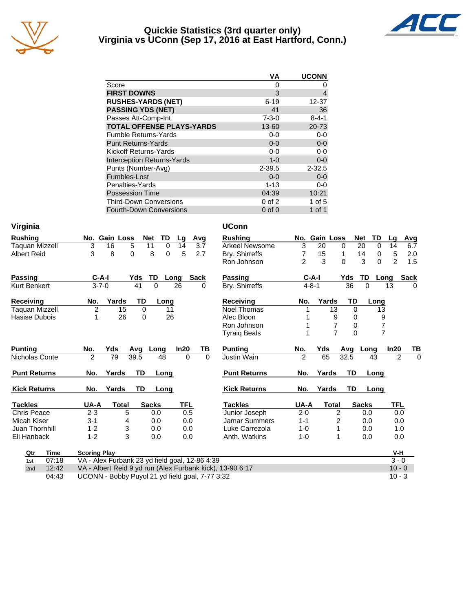

#### **Quickie Statistics (3rd quarter only) Virginia vs UConn (Sep 17, 2016 at East Hartford, Conn.)**



| VA          | <b>UCONN</b> |
|-------------|--------------|
| 0           |              |
| 3           | 4            |
| $6 - 19$    | 12-37        |
| 41          | 36           |
| $7 - 3 - 0$ | $8 - 4 - 1$  |
| 13-60       | 20-73        |
| $0 - 0$     | $0-0$        |
| $0 - 0$     | $0-0$        |
| $0-0$       | $0-0$        |
| $1 - 0$     | $0 - 0$      |
| $2 - 39.5$  | $2 - 32.5$   |
| $0 - 0$     | $0 - 0$      |
| $1 - 13$    | $0-0$        |
| 04:39       | 10:21        |
| $0$ of $2$  | $1$ of $5$   |
| $0$ of $0$  | 1 of 1       |
|             |              |

| Virginia              |                                                |                    |              |                   |                      | <b>UConn</b>                                              |                |               |                |              |                 |                            |
|-----------------------|------------------------------------------------|--------------------|--------------|-------------------|----------------------|-----------------------------------------------------------|----------------|---------------|----------------|--------------|-----------------|----------------------------|
| <b>Rushing</b>        | No. Gain Loss                                  |                    | <b>Net</b>   | TD<br>Lg          | Avg                  | <b>Rushing</b>                                            |                | No. Gain Loss |                | <b>Net</b>   | <b>TD</b><br>Lg | <b>Avg</b>                 |
| <b>Taquan Mizzell</b> | 3<br>16                                        | 5                  | 11           | $\mathbf 0$<br>14 | $\overline{3.7}$     | <b>Arkeel Newsome</b>                                     | $\overline{3}$ | 20            | 0              | 20           | 0<br>14         | 6.7                        |
| <b>Albert Reid</b>    | 3<br>8                                         | $\Omega$           | 8            | 5<br>$\Omega$     | 2.7                  | Bry. Shirreffs                                            | 7              | 15            | 1              | 14           | 0               | 5<br>2.0                   |
|                       |                                                |                    |              |                   |                      | Ron Johnson                                               | $\overline{2}$ | 3             | $\Omega$       | 3            | $\Omega$        | $\overline{2}$<br>1.5      |
| Passing               | $C-A-I$                                        | Yds                | TD           | Long              | <b>Sack</b>          | <b>Passing</b>                                            |                | $C-A-I$       | Yds            | TD           | Long            | <b>Sack</b>                |
| <b>Kurt Benkert</b>   | $3 - 7 - 0$                                    | 41                 | $\Omega$     | 26                | <sup>0</sup>         | Bry. Shirreffs                                            |                | $4 - 8 - 1$   | 36             | $\Omega$     | 13              | $\Omega$                   |
| <b>Receiving</b>      | No.                                            | Yards<br>TD        |              | Long              |                      | <b>Receiving</b>                                          | No.            | Yards         | TD             |              | Long            |                            |
| <b>Taquan Mizzell</b> | $\overline{c}$                                 | $\overline{15}$    | $\mathbf 0$  | 11                |                      | <b>Noel Thomas</b>                                        |                |               | 13             | $\Omega$     | 13              |                            |
| Hasise Dubois         | 1                                              | 26                 | 0            | 26                |                      | Alec Bloon                                                |                |               | 9              | 0            | 9               |                            |
|                       |                                                |                    |              |                   |                      | Ron Johnson                                               |                |               | 7              | 0            | 7               |                            |
|                       |                                                |                    |              |                   |                      | <b>Tyraiq Beals</b>                                       |                |               | $\overline{7}$ | $\Omega$     | $\overline{7}$  |                            |
| <b>Punting</b>        | Yds<br>No.                                     | Avg                | Long         | In20              | TВ                   | <b>Punting</b>                                            | No.            | Yds           | Avg            | Long         | ln20            | ΤВ                         |
| Nicholas Conte        | $\overline{2}$                                 | 79<br>39.5         | 48           |                   | $\Omega$<br>$\Omega$ | Justin Wain                                               | $\overline{2}$ | 65            | 32.5           |              | 43              | $\mathfrak{p}$<br>$\Omega$ |
| <b>Punt Returns</b>   | No.                                            | Yards<br><b>TD</b> |              | Long              |                      | <b>Punt Returns</b>                                       | No.            | Yards         | <b>TD</b>      |              | Long            |                            |
| <b>Kick Returns</b>   | No.                                            | Yards<br>TD        | Long         |                   |                      | <b>Kick Returns</b>                                       | No.            | Yards         | TD             |              | Long            |                            |
| <b>Tackles</b>        | UA-A                                           | <b>Total</b>       | <b>Sacks</b> | <b>TFL</b>        |                      | <b>Tackles</b>                                            | UA-A           | <b>Total</b>  |                | <b>Sacks</b> |                 | <b>TFL</b>                 |
| Chris Peace           | $2 - 3$                                        | 5                  | 0.0          |                   | 0.5                  | Junior Joseph                                             | $2 - 0$        |               | 2              | 0.0          |                 | 0.0                        |
| Micah Kiser           | $3 - 1$                                        | 4                  | 0.0          |                   | 0.0                  | <b>Jamar Summers</b>                                      | $1 - 1$        |               | 2              | 0.0          |                 | 0.0                        |
| Juan Thornhill        | $1 - 2$                                        | 3                  | 0.0          |                   | 0.0                  | Luke Carrezola                                            | $1 - 0$        |               |                | 0.0          |                 | 1.0                        |
| Eli Hanback           | $1 - 2$                                        | 3                  | 0.0          |                   | 0.0                  | Anth. Watkins                                             | $1 - 0$        |               | 1              | 0.0          |                 | 0.0                        |
| Time<br>Qtr           | <b>Scoring Play</b>                            |                    |              |                   |                      |                                                           |                |               |                |              |                 | V-H                        |
| 07:18<br>1st          | VA - Alex Furbank 23 yd field goal, 12-86 4:39 |                    |              |                   |                      |                                                           |                |               |                |              |                 | $3 - 0$                    |
| 12:42<br>2nd          |                                                |                    |              |                   |                      | VA - Albert Reid 9 yd run (Alex Furbank kick), 13-90 6:17 |                |               |                |              |                 | $10 - 0$                   |

04:43 UCONN - Bobby Puyol 21 yd field goal, 7-77 3:32 10 - 3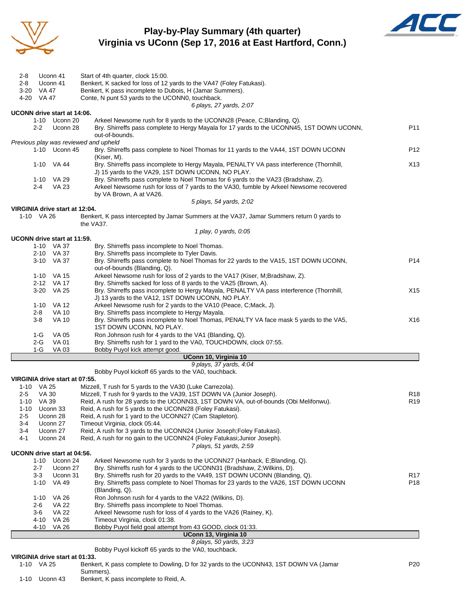

#### **Play-by-Play Summary (4th quarter) Virginia vs UConn (Sep 17, 2016 at East Hartford, Conn.)**



| 2-8                                 | Uconn 41<br>Uconn 41       | Start of 4th quarter, clock 15:00.                                                                                                                                            |                 |
|-------------------------------------|----------------------------|-------------------------------------------------------------------------------------------------------------------------------------------------------------------------------|-----------------|
| 2-8<br>$3 - 20$                     | VA 47                      | Benkert, K sacked for loss of 12 yards to the VA47 (Foley Fatukasi).<br>Benkert, K pass incomplete to Dubois, H (Jamar Summers).                                              |                 |
| 4-20 VA 47                          |                            | Conte, N punt 53 yards to the UCONN0, touchback.                                                                                                                              |                 |
|                                     |                            | 6 plays, 27 yards, 2:07                                                                                                                                                       |                 |
| UCONN drive start at 14:06.         |                            |                                                                                                                                                                               |                 |
|                                     | 1-10 Uconn 20              | Arkeel Newsome rush for 8 yards to the UCONN28 (Peace, C;Blanding, Q).                                                                                                        |                 |
| $2 - 2$                             | Uconn 28                   | Bry. Shirreffs pass complete to Hergy Mayala for 17 yards to the UCONN45, 1ST DOWN UCONN,<br>out-of-bounds.                                                                   | P11             |
|                                     |                            | Previous play was reviewed and upheld                                                                                                                                         |                 |
|                                     | 1-10 Uconn 45              | Bry. Shirreffs pass complete to Noel Thomas for 11 yards to the VA44, 1ST DOWN UCONN                                                                                          | P <sub>12</sub> |
|                                     | 1-10 VA 44                 | (Kiser, M).<br>Bry. Shirreffs pass incomplete to Hergy Mayala, PENALTY VA pass interference (Thornhill,                                                                       | X <sub>13</sub> |
|                                     |                            | J) 15 yards to the VA29, 1ST DOWN UCONN, NO PLAY.                                                                                                                             |                 |
| 2-4                                 | 1-10 VA 29<br><b>VA 23</b> | Bry. Shirreffs pass complete to Noel Thomas for 6 yards to the VA23 (Bradshaw, Z).<br>Arkeel Newsome rush for loss of 7 yards to the VA30, fumble by Arkeel Newsome recovered |                 |
|                                     |                            | by VA Brown, A at VA26.<br>5 plays, 54 yards, 2:02                                                                                                                            |                 |
| VIRGINIA drive start at 12:04.      |                            |                                                                                                                                                                               |                 |
| 1-10 VA 26                          |                            | Benkert, K pass intercepted by Jamar Summers at the VA37, Jamar Summers return 0 yards to<br>the VA37.                                                                        |                 |
|                                     |                            | 1 play, 0 yards, 0:05                                                                                                                                                         |                 |
| UCONN drive start at 11:59.         |                            |                                                                                                                                                                               |                 |
|                                     | 1-10 VA 37                 | Bry. Shirreffs pass incomplete to Noel Thomas.                                                                                                                                |                 |
|                                     | 2-10 VA 37                 | Bry. Shirreffs pass incomplete to Tyler Davis.                                                                                                                                |                 |
|                                     | 3-10 VA 37                 | Bry. Shirreffs pass complete to Noel Thomas for 22 yards to the VA15, 1ST DOWN UCONN,<br>out-of-bounds (Blanding, Q).                                                         | P14             |
|                                     | 1-10 VA 15<br>2-12 VA 17   | Arkeel Newsome rush for loss of 2 yards to the VA17 (Kiser, M;Bradshaw, Z).<br>Bry. Shirreffs sacked for loss of 8 yards to the VA25 (Brown, A).                              |                 |
|                                     | 3-20 VA 25                 | Bry. Shirreffs pass incomplete to Hergy Mayala, PENALTY VA pass interference (Thornhill,                                                                                      | X15             |
|                                     |                            | J) 13 yards to the VA12, 1ST DOWN UCONN, NO PLAY.                                                                                                                             |                 |
| 1-10                                | VA 12                      | Arkeel Newsome rush for 2 yards to the VA10 (Peace, C;Mack, J).                                                                                                               |                 |
| $2 - 8$                             | <b>VA 10</b>               | Bry. Shirreffs pass incomplete to Hergy Mayala.                                                                                                                               |                 |
| $3 - 8$                             | <b>VA 10</b>               | Bry. Shirreffs pass incomplete to Noel Thomas, PENALTY VA face mask 5 yards to the VA5,<br>1ST DOWN UCONN, NO PLAY.                                                           | X16             |
| 1-G                                 | VA 05                      | Ron Johnson rush for 4 yards to the VA1 (Blanding, Q).                                                                                                                        |                 |
| $2-G$                               | <b>VA 01</b>               | Bry. Shirreffs rush for 1 yard to the VA0, TOUCHDOWN, clock 07:55.                                                                                                            |                 |
| 1-G                                 | VA 03                      | Bobby Puyol kick attempt good.                                                                                                                                                |                 |
|                                     |                            | UConn 10, Virginia 10<br>9 plays, 37 yards, 4:04                                                                                                                              |                 |
|                                     |                            | Bobby Puyol kickoff 65 yards to the VA0, touchback.                                                                                                                           |                 |
| VIRGINIA drive start at 07:55.      |                            |                                                                                                                                                                               |                 |
| 1-10 VA 25                          |                            | Mizzell, T rush for 5 yards to the VA30 (Luke Carrezola).                                                                                                                     |                 |
| $2 - 5$                             | VA 30                      | Mizzell, T rush for 9 yards to the VA39, 1ST DOWN VA (Junior Joseph).                                                                                                         | R <sub>18</sub> |
| 1-10 VA 39                          |                            | Reid, A rush for 28 yards to the UCONN33, 1ST DOWN VA, out-of-bounds (Obi Melifonwu).                                                                                         | R <sub>19</sub> |
| $1 - 10$                            | Uconn 33                   | Reid, A rush for 5 yards to the UCONN28 (Foley Fatukasi).                                                                                                                     |                 |
| 2-5                                 | Uconn 28                   | Reid, A rush for 1 yard to the UCONN27 (Cam Stapleton).<br>Timeout Virginia, clock 05:44.                                                                                     |                 |
| 3-4<br>3-4                          | Uconn 27<br>Uconn 27       | Reid, A rush for 3 yards to the UCONN24 (Junior Joseph;Foley Fatukasi).                                                                                                       |                 |
| 4-1                                 | Uconn 24                   | Reid, A rush for no gain to the UCONN24 (Foley Fatukasi; Junior Joseph).                                                                                                      |                 |
|                                     |                            | 7 plays, 51 yards, 2:59                                                                                                                                                       |                 |
| UCONN drive start at 04:56.<br>1-10 | Uconn 24                   | Arkeel Newsome rush for 3 yards to the UCONN27 (Hanback, E;Blanding, Q).                                                                                                      |                 |
| $2 - 7$                             | Uconn 27                   | Bry. Shirreffs rush for 4 yards to the UCONN31 (Bradshaw, Z; Wilkins, D).                                                                                                     |                 |
| $3-3$                               | Uconn 31                   | Bry. Shirreffs rush for 20 yards to the VA49, 1ST DOWN UCONN (Blanding, Q).                                                                                                   | R17             |
| $1 - 10$                            | VA 49                      | Bry. Shirreffs pass complete to Noel Thomas for 23 yards to the VA26, 1ST DOWN UCONN                                                                                          | P18             |
|                                     |                            | (Blanding, Q).                                                                                                                                                                |                 |
| $1 - 10$                            | VA 26                      | Ron Johnson rush for 4 yards to the VA22 (Wilkins, D).                                                                                                                        |                 |
| 2-6                                 | VA 22                      | Bry. Shirreffs pass incomplete to Noel Thomas.                                                                                                                                |                 |
| $3-6$                               | <b>VA 22</b>               | Arkeel Newsome rush for loss of 4 yards to the VA26 (Rainey, K).                                                                                                              |                 |
| $4 - 10$                            | VA 26                      | Timeout Virginia, clock 01:38.                                                                                                                                                |                 |
| 4-10                                | VA 26                      | Bobby Puyol field goal attempt from 43 GOOD, clock 01:33.<br>UConn 13, Virginia 10                                                                                            |                 |
|                                     |                            | 8 plays, 50 yards, 3:23                                                                                                                                                       |                 |
|                                     |                            | Bobby Puyol kickoff 65 yards to the VA0, touchback.                                                                                                                           |                 |

#### **VIRGINIA drive start at 01:33.**

| 1-10 | VA 25    | Benkert, K pass complete to Dowling, D for 32 yards to the UCONN43, 1ST DOWN VA (Jamar<br>Summers). | P20 |
|------|----------|-----------------------------------------------------------------------------------------------------|-----|
| 1-10 | Uconn 43 | Benkert, K pass incomplete to Reid, A.                                                              |     |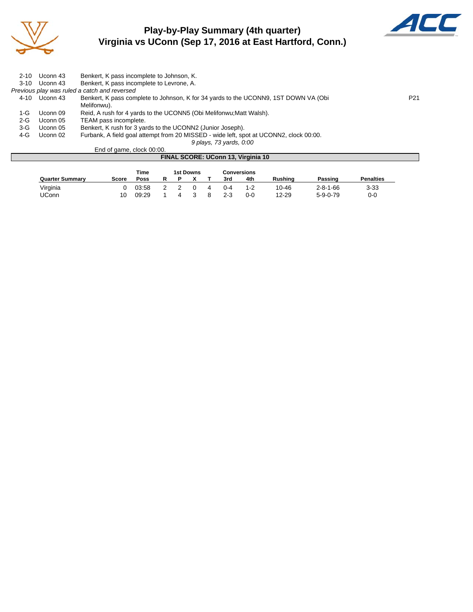

# **Play-by-Play Summary (4th quarter) Virginia vs UConn (Sep 17, 2016 at East Hartford, Conn.)**



| $2 - 10$ | Uconn 43 | Benkert, K pass incomplete to Johnson, K.                                              |                 |
|----------|----------|----------------------------------------------------------------------------------------|-----------------|
| $3-10$   | Uconn 43 | Benkert, K pass incomplete to Levrone, A.                                              |                 |
|          |          | Previous play was ruled a catch and reversed                                           |                 |
| 4-10     | Uconn 43 | Benkert, K pass complete to Johnson, K for 34 yards to the UCONN9, 1ST DOWN VA (Obi    | P <sub>21</sub> |
|          |          | Melifonwu).                                                                            |                 |
| 1-G.     | Uconn 09 | Reid, A rush for 4 yards to the UCONN5 (Obi Melifonwu; Matt Walsh).                    |                 |
| $2 - G$  | Uconn 05 | TEAM pass incomplete.                                                                  |                 |
| 3-G      | Uconn 05 | Benkert, K rush for 3 yards to the UCONN2 (Junior Joseph).                             |                 |
| 4-G      | Uconn 02 | Furbank, A field goal attempt from 20 MISSED - wide left, spot at UCONN2, clock 00:00. |                 |
|          |          | 9 plays, 73 yards, 0:00                                                                |                 |

End of game, clock 00:00. **FINAL SCORE: UConn 13, Virginia 10**

|                        |       | Time  |  | 1st Downs |   |         | <b>Conversions</b> |           |                  |                  |
|------------------------|-------|-------|--|-----------|---|---------|--------------------|-----------|------------------|------------------|
| <b>Quarter Summary</b> | Score | Poss  |  |           |   | 3rd     | 4th                | Rushina   | Passing          | <b>Penalties</b> |
| Virginia               |       | 03:58 |  |           | 4 | $0 - 4$ | $1 - 2$            | $10 - 46$ | $2 - 8 - 1 - 66$ | $3 - 33$         |
| <b>JConn</b>           | 10    | 09:29 |  |           |   | $2 - 3$ | 0-0                | $12 - 29$ | $5 - 9 - 0 - 79$ | $0 - 0$          |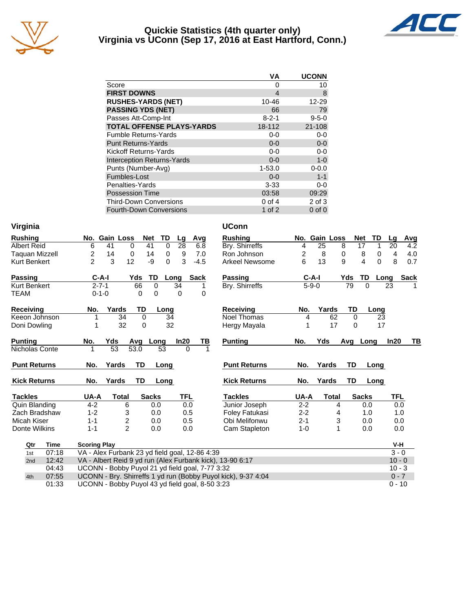

#### **Quickie Statistics (4th quarter only) Virginia vs UConn (Sep 17, 2016 at East Hartford, Conn.)**



|                                   | VA          | <b>UCONN</b> |
|-----------------------------------|-------------|--------------|
| Score                             | 0           | 10           |
| <b>FIRST DOWNS</b>                | 4           | 8            |
| <b>RUSHES-YARDS (NET)</b>         | 10-46       | 12-29        |
| <b>PASSING YDS (NET)</b>          | 66          | 79           |
| Passes Att-Comp-Int               | $8 - 2 - 1$ | $9 - 5 - 0$  |
| <b>TOTAL OFFENSE PLAYS-YARDS</b>  | 18-112      | 21-108       |
| <b>Fumble Returns-Yards</b>       | $0 - 0$     | $0-0$        |
| <b>Punt Returns-Yards</b>         | $0 - 0$     | $0-0$        |
| Kickoff Returns-Yards             | $0-0$       | $0-0$        |
| <b>Interception Returns-Yards</b> | $0 - 0$     | $1 - 0$      |
| Punts (Number-Avg)                | $1 - 53.0$  | $0 - 0.0$    |
| Fumbles-Lost                      | $0 - 0$     | $1 - 1$      |
| Penalties-Yards                   | $3 - 33$    | 0-0          |
| <b>Possession Time</b>            | 03:58       | 09:29        |
| <b>Third-Down Conversions</b>     | $0$ of 4    | 2 of 3       |
| <b>Fourth-Down Conversions</b>    | 1 of $2$    | $0$ of $0$   |

| Virginia            |                                                           |                         |                |                   | <b>UConn</b>                                                  |             |                 |           |                  |                  |             |
|---------------------|-----------------------------------------------------------|-------------------------|----------------|-------------------|---------------------------------------------------------------|-------------|-----------------|-----------|------------------|------------------|-------------|
| <b>Rushing</b>      | No. Gain Loss                                             | <b>Net</b>              | TD             | Avg<br>Lg         | <b>Rushing</b>                                                |             | No. Gain Loss   |           | <b>Net</b><br>TD | Lg               | <u>Avg</u>  |
| <b>Albert Reid</b>  | 6<br>41                                                   | 41<br>0                 | $\mathbf 0$    | 28<br>6.8         | Bry. Shirreffs                                                | 4           | $\overline{25}$ | 8         | 17               | 20<br>1          | 4.2         |
| Taquan Mizzell      | 2<br>14                                                   | 14<br>0                 | 0              | 9<br>7.0          | Ron Johnson                                                   | 2           | 8               | 0         | 8                | 4<br>$\mathbf 0$ | 4.0         |
| <b>Kurt Benkert</b> | $\mathfrak{p}$<br>3                                       | 12<br>-9                | $\Omega$       | 3<br>$-4.5$       | <b>Arkeel Newsome</b>                                         | 6           | 13              | 9         | 4                | $\Omega$<br>8    | 0.7         |
| <b>Passing</b>      | $C-A-I$                                                   | TD<br>Yds               | Long           | <b>Sack</b>       | <b>Passing</b>                                                | $C-A-I$     |                 | Yds       | TD               | Long             | <b>Sack</b> |
| <b>Kurt Benkert</b> | $2 - 7 - 1$                                               | 66                      | $\Omega$<br>34 | 1                 | Bry. Shirreffs                                                | $5 - 9 - 0$ |                 | 79        | $\Omega$         | 23               |             |
| <b>TEAM</b>         | $0 - 1 - 0$                                               | 0                       | 0              | 0<br>0            |                                                               |             |                 |           |                  |                  |             |
| Receiving           | No.<br>Yards                                              | TD                      | Long           |                   | <b>Receiving</b>                                              | No.         | Yards           | TD        | Long             |                  |             |
| Keeon Johnson       | 34<br>1                                                   | $\mathbf 0$             | 34             |                   | <b>Noel Thomas</b>                                            | 4           | 62              | $\Omega$  |                  | 23               |             |
| Doni Dowling        | 32                                                        | 0                       | 32             |                   | Hergy Mayala                                                  |             | 17              | 0         |                  | 17               |             |
| <b>Punting</b>      | Yds<br>No.                                                | Avq                     | Long           | In20<br><u>ТВ</u> | <b>Punting</b>                                                | No.         | Yds             |           | Avg Long         | In20             | TB          |
| Nicholas Conte      | 53<br>$\mathbf{1}$                                        | 53.0                    | 53             | $\Omega$          | 1                                                             |             |                 |           |                  |                  |             |
|                     |                                                           |                         |                |                   |                                                               |             |                 |           |                  |                  |             |
| <b>Punt Returns</b> | No.<br>Yards                                              | TD                      | Long           |                   | <b>Punt Returns</b>                                           | No.         | Yards           | <b>TD</b> | Long             |                  |             |
| <b>Kick Returns</b> | Yards<br>No.                                              | <b>TD</b>               | Long           |                   | <b>Kick Returns</b>                                           | No.         | Yards           | TD        | Long             |                  |             |
| <b>Tackles</b>      | UA-A<br><b>Total</b>                                      | <b>Sacks</b>            |                | <b>TFL</b>        | <b>Tackles</b>                                                | UA-A        | <b>Total</b>    |           | <b>Sacks</b>     | <b>TFL</b>       |             |
| Quin Blanding       | $4 - 2$                                                   | 6                       | 0.0            | 0.0               | Junior Joseph                                                 | $2 - 2$     | 4               |           | 0.0              |                  | 0.0         |
| Zach Bradshaw       | $1 - 2$                                                   | 3                       | 0.0            | 0.5               | Foley Fatukasi                                                | $2 - 2$     | 4               |           | 1.0              |                  | 1.0         |
| Micah Kiser         | $1 - 1$                                                   | $\overline{\mathbf{c}}$ | 0.0            | 0.5               | Obi Melifonwu                                                 | $2 - 1$     | 3               |           | 0.0              |                  | 0.0         |
| Donte Wilkins       | $1 - 1$                                                   | $\overline{2}$          | 0.0            | 0.0               | Cam Stapleton                                                 | $1 - 0$     | 1               |           | 0.0              |                  | 0.0         |
| Qtr<br>Time         | <b>Scoring Play</b>                                       |                         |                |                   |                                                               |             |                 |           |                  | V-H              |             |
| 07:18<br>1st        | VA - Alex Furbank 23 yd field goal, 12-86 4:39            |                         |                |                   |                                                               |             |                 |           |                  | $3 - 0$          |             |
| 12:42<br>2nd        | VA - Albert Reid 9 yd run (Alex Furbank kick), 13-90 6:17 |                         |                |                   |                                                               |             |                 |           |                  | $10 - 0$         |             |
| 04:43               | UCONN - Bobby Puyol 21 yd field goal, 7-77 3:32           |                         |                |                   |                                                               |             |                 |           |                  | $10 - 3$         |             |
| 07:55<br>4th        |                                                           |                         |                |                   | UCONN - Bry. Shirreffs 1 yd run (Bobby Puyol kick), 9-37 4:04 |             |                 |           |                  | $0 - 7$          |             |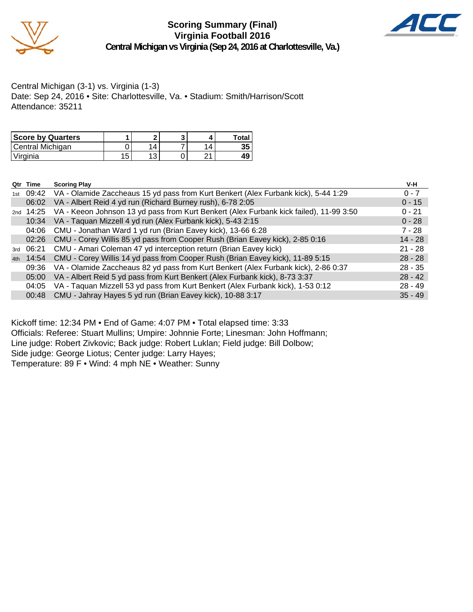

**Scoring Summary (Final) Virginia Football 2016 Central Michigan vs Virginia (Sep 24, 2016 at Charlottesville, Va.)**



Central Michigan (3-1) vs. Virginia (1-3) Date: Sep 24, 2016 • Site: Charlottesville, Va. • Stadium: Smith/Harrison/Scott Attendance: 35211

| <b>Score by Quarters</b> |    |                |                | Total |
|--------------------------|----|----------------|----------------|-------|
| Central Michigan         |    | $\overline{4}$ | $\overline{4}$ | 35    |
| Virginia                 | 15 | 1 ລ<br>J       |                |       |

| Qtr | Time      | <b>Scoring Play</b>                                                                    | V-H       |
|-----|-----------|----------------------------------------------------------------------------------------|-----------|
| 1st | 09:42     | VA - Olamide Zaccheaus 15 yd pass from Kurt Benkert (Alex Furbank kick), 5-44 1:29     | $0 - 7$   |
|     | 06:02     | VA - Albert Reid 4 yd run (Richard Burney rush), 6-78 2:05                             | $0 - 15$  |
|     | 2nd 14:25 | VA - Keeon Johnson 13 yd pass from Kurt Benkert (Alex Furbank kick failed), 11-99 3:50 | $0 - 21$  |
|     | 10:34     | VA - Taquan Mizzell 4 yd run (Alex Furbank kick), 5-43 2:15                            | $0 - 28$  |
|     | 04:06     | CMU - Jonathan Ward 1 yd run (Brian Eavey kick), 13-66 6:28                            | $7 - 28$  |
|     | 02:26     | CMU - Corey Willis 85 yd pass from Cooper Rush (Brian Eavey kick), 2-85 0:16           | $14 - 28$ |
| 3rd | 06:21     | CMU - Amari Coleman 47 yd interception return (Brian Eavey kick)                       | $21 - 28$ |
| 4th | 14:54     | CMU - Corey Willis 14 yd pass from Cooper Rush (Brian Eavey kick), 11-89 5:15          | $28 - 28$ |
|     | 09:36     | VA - Olamide Zaccheaus 82 yd pass from Kurt Benkert (Alex Furbank kick), 2-86 0:37     | $28 - 35$ |
|     | 05:00     | VA - Albert Reid 5 yd pass from Kurt Benkert (Alex Furbank kick), 8-73 3:37            | $28 - 42$ |
|     | 04:05     | VA - Taquan Mizzell 53 yd pass from Kurt Benkert (Alex Furbank kick), 1-53 0:12        | $28 - 49$ |
|     | 00:48     | CMU - Jahray Hayes 5 yd run (Brian Eavey kick), 10-88 3:17                             | $35 - 49$ |

Kickoff time: 12:34 PM • End of Game: 4:07 PM • Total elapsed time: 3:33 Officials: Referee: Stuart Mullins; Umpire: Johnnie Forte; Linesman: John Hoffmann; Line judge: Robert Zivkovic; Back judge: Robert Luklan; Field judge: Bill Dolbow; Side judge: George Liotus; Center judge: Larry Hayes; Temperature: 89 F • Wind: 4 mph NE • Weather: Sunny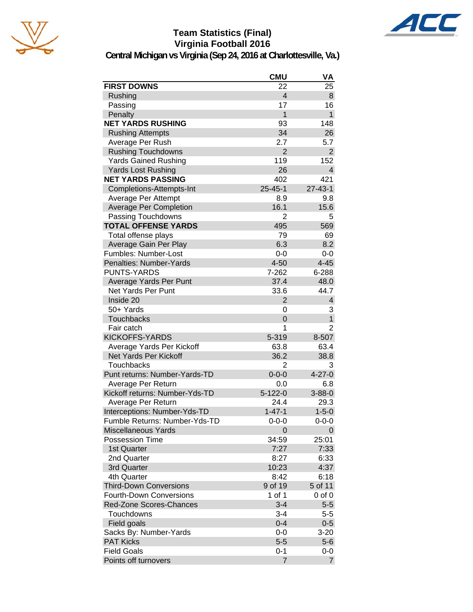

# **Team Statistics (Final) Virginia Football 2016**



|                                | <b>CMU</b>     | VA             |
|--------------------------------|----------------|----------------|
| <b>FIRST DOWNS</b>             | 22             | 25             |
| Rushing                        | $\overline{4}$ | 8              |
| Passing                        | 17             | 16             |
| Penalty                        | $\overline{1}$ | $\mathbf{1}$   |
| <b>NET YARDS RUSHING</b>       | 93             | 148            |
| <b>Rushing Attempts</b>        | 34             | 26             |
| Average Per Rush               | 2.7            | 5.7            |
| <b>Rushing Touchdowns</b>      | $\overline{2}$ | $\overline{2}$ |
| <b>Yards Gained Rushing</b>    | 119            | 152            |
| <b>Yards Lost Rushing</b>      | 26             | $\overline{4}$ |
| <b>NET YARDS PASSING</b>       | 402            | 421            |
| Completions-Attempts-Int       | $25 - 45 - 1$  | $27 - 43 - 1$  |
| Average Per Attempt            | 8.9            | 9.8            |
| <b>Average Per Completion</b>  | 16.1           | 15.6           |
| Passing Touchdowns             | 2              | 5              |
| <b>TOTAL OFFENSE YARDS</b>     | 495            | 569            |
| Total offense plays            | 79             | 69             |
| Average Gain Per Play          | 6.3            | 8.2            |
| Fumbles: Number-Lost           | $0-0$          | $0-0$          |
| Penalties: Number-Yards        | $4 - 50$       | $4 - 45$       |
| <b>PUNTS-YARDS</b>             | 7-262          | 6-288          |
| Average Yards Per Punt         | 37.4           | 48.0           |
| Net Yards Per Punt             | 33.6           | 44.7           |
| Inside 20                      | $\overline{2}$ | 4              |
| 50+ Yards                      | 0              | 3              |
| <b>Touchbacks</b>              | $\overline{0}$ | $\mathbf{1}$   |
| Fair catch                     | 1              | $\overline{2}$ |
| <b>KICKOFFS-YARDS</b>          | 5-319          | 8-507          |
| Average Yards Per Kickoff      | 63.8           | 63.4           |
| Net Yards Per Kickoff          | 36.2           | 38.8           |
| Touchbacks                     | 2              | 3              |
| Punt returns: Number-Yards-TD  | $0 - 0 - 0$    | $4 - 27 - 0$   |
| Average Per Return             | 0.0            | 6.8            |
| Kickoff returns: Number-Yds-TD | $5 - 122 - 0$  | $3 - 88 - 0$   |
| Average Per Return             | 24.4           | 29.3           |
| Interceptions: Number-Yds-TD   | $1 - 47 - 1$   | $1 - 5 - 0$    |
| Fumble Returns: Number-Yds-TD  | $0 - 0 - 0$    | $0 - 0 - 0$    |
| <b>Miscellaneous Yards</b>     | 0              | 0              |
| <b>Possession Time</b>         | 34:59          | 25:01          |
| 1st Quarter                    | 7:27           | 7:33           |
| 2nd Quarter                    | 8:27           | 6:33           |
| 3rd Quarter                    | 10:23          | 4:37           |
| 4th Quarter                    | 8:42           | 6:18           |
| <b>Third-Down Conversions</b>  | 9 of 19        | 5 of 11        |
| <b>Fourth-Down Conversions</b> | 1 of 1         | $0$ of $0$     |
| <b>Red-Zone Scores-Chances</b> | $3 - 4$        | $5-5$          |
| Touchdowns                     | $3 - 4$        | $5 - 5$        |
| Field goals                    | $0 - 4$        | $0 - 5$        |
| Sacks By: Number-Yards         | $0-0$          | $3-20$         |
| <b>PAT Kicks</b>               | $5-5$          | $5-6$          |
| <b>Field Goals</b>             | $0 - 1$        | $0-0$          |
| Points off turnovers           | 7              | $\overline{7}$ |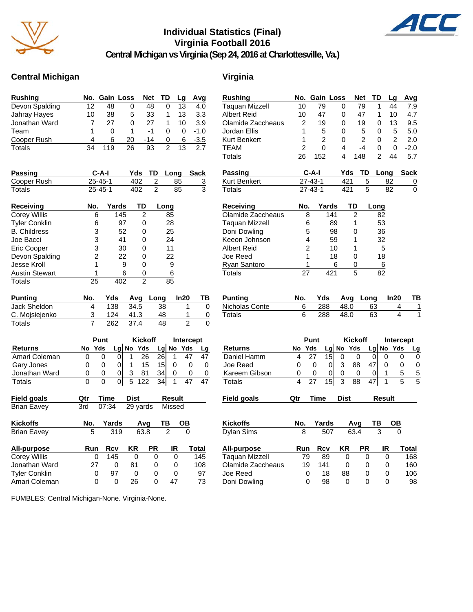

#### **Individual Statistics (Final) Virginia Football 2016**



**Central Michigan vs Virginia (Sep 24, 2016 at Charlottesville, Va.)**

#### **Central Michigan Virginia**

| <b>Rushing</b> |    | No. Gain Loss |    | Net TD |   | La | Avq    |
|----------------|----|---------------|----|--------|---|----|--------|
| Devon Spalding | 12 | 48            | 0  | 48     | 0 | 13 | 4.0    |
| Jahray Hayes   | 10 | 38            | 5  | 33     |   | 13 | 3.3    |
| Jonathan Ward  |    | 27            | O  | 27     |   | 10 | 3.9    |
| Team           |    | O             |    | -1     | Ω | 0  | $-1.0$ |
| Cooper Rush    | Δ  | 6             | 20 | -14    | 0 | 6  | $-3.5$ |
| <b>Totals</b>  | 34 | 119           | 26 | 93     | 2 | 13 | 27     |

| <b>Passing</b> | C-A-I   |     | Yds TD Long Sack |  |
|----------------|---------|-----|------------------|--|
| Cooper Rush    | 25-45-1 | 402 | -85              |  |
| Totals         | 25-45-1 | 402 | 85               |  |

| <b>Receiving</b>      | No. | Yards | TD | Long |
|-----------------------|-----|-------|----|------|
| Corey Willis          | 6   | 145   | 2  | 85   |
| <b>Tyler Conklin</b>  | 6   | 97    | 0  | 28   |
| <b>B.</b> Childress   | 3   | 52    | 0  | 25   |
| Joe Bacci             | 3   | 41    | ი  | 24   |
| <b>Eric Cooper</b>    | 3   | 30    | 0  | 11   |
| Devon Spalding        | 2   | 22    | ი  | 22   |
| Jesse Kroll           | 1   | 9     | ი  | 9    |
| <b>Austin Stewart</b> |     | 6     | 0  | 6    |
| Totals                | 25  |       | 2  | 85   |

| <b>Punting</b> | No. | Yds |      | Avg Long | In20 | ΤВ |
|----------------|-----|-----|------|----------|------|----|
| Jack Sheldon   |     | 138 | 34.5 | 38       |      |    |
| C. Mojsiejenko |     | 124 | 41.3 | 48       |      |    |
| Totals         |     | 262 | 37 4 | 48       |      |    |

|                |   | Punt   |  |  | <b>Kickoff</b> |                 |  | Intercept   |  |  |
|----------------|---|--------|--|--|----------------|-----------------|--|-------------|--|--|
| <b>Returns</b> |   | No Yds |  |  | $Lg$ No Yds    |                 |  | $Lg$ No Yds |  |  |
| Amari Coleman  |   |        |  |  | 26             | <b>261</b>      |  |             |  |  |
| Gary Jones     |   |        |  |  | 15             | 15 <sub>l</sub> |  |             |  |  |
| Jonathan Ward  | O | 0      |  |  | 81             | 34              |  |             |  |  |
| Totals         | O |        |  |  | 5 122          | -34 I           |  |             |  |  |

| <b>Field goals</b>   | Qtr | Time  | <b>Dist</b> |      | <b>Result</b> |       |
|----------------------|-----|-------|-------------|------|---------------|-------|
| <b>Brian Eavey</b>   | 3rd | 07:34 | 29 yards    |      | Missed        |       |
| <b>Kickoffs</b>      | No. | Yards |             | Avq  | ТВ            | ОВ    |
| <b>Brian Eavey</b>   | 5   | 319   |             | 63.8 |               | 0     |
| All-purpose          | Run | Rcv   | ΚR          | РR   | IR            | Total |
| <b>Corey Willis</b>  | 0   | 145   | 0           | 0    | 0             | 145   |
| Jonathan Ward        | 27  | 0     | 81          | 0    | 0             | 108   |
| <b>Tyler Conklin</b> | 0   | 97    | 0           | 0    | 0             | 97    |

Amari Coleman 0 0 26 0 47 73

FUMBLES: Central Michigan-None. Virginia-None.

| Rushing            | No. | Gain Loss      |                 |             | Net            |      | TD     | Lg        | Avg         |
|--------------------|-----|----------------|-----------------|-------------|----------------|------|--------|-----------|-------------|
| Taquan Mizzell     | 10  | 79             |                 | 0           |                | 79   | 1      | 44        | 7.9         |
| Albert Reid        | 10  | 47             |                 | 0           |                | 47   | 1      | 10        | 4.7         |
| Olamide Zaccheaus  | 2   |                | 19              | 0           |                | 19   | 0      | 13        | 9.5         |
| Jordan Ellis       | 1   |                | 5               | 0           |                | 5    | 0      | 5         | 5.0         |
| Kurt Benkert       | 1   |                | 2               | 0           |                | 2    | 0      | 2         | 2.0         |
| <b>TEAM</b>        | 2   |                | 0               | 4           |                | $-4$ | 0      | 0         | $-2.0$      |
| Totals             | 26  | 152            |                 | 4           | 148            |      | 2      | 44        | 5.7         |
| <b>Passing</b>     |     | C-A-I          |                 | Yds         |                | TD   | Long   |           | <b>Sack</b> |
| Kurt Benkert       |     | 27-43-1        |                 | 421         |                | 5    |        | 82        | 0           |
| Totals             |     | $27 - 43 - 1$  |                 | 421         |                | 5    |        | 82        | 0           |
| Receiving          | No. |                | Yards           |             | TD             |      | Long   |           |             |
| Olamide Zaccheaus  |     | 8              | 141             |             | 2              |      | 82     |           |             |
| Taquan Mizzell     |     | 6              | 89              |             | 1              |      | 53     |           |             |
| Doni Dowling       |     | 5              | 98              |             | 0              |      | 36     |           |             |
| Keeon Johnson      |     | 4              | 59              |             | 1              |      | 32     |           |             |
| <b>Albert Reid</b> |     | $\overline{c}$ | 10              |             | 1              |      | 5      |           |             |
| Joe Reed           |     | 1              | 18              |             | 0              |      | 18     |           |             |
| Ryan Santoro       |     | 1              |                 | 6           | 0              |      | 6      |           |             |
| Totals             | 27  |                | 421             |             | 5              |      | 82     |           |             |
|                    |     |                |                 |             |                |      |        |           |             |
| Punting            | No. |                | Yds             | Avg         |                | Long |        | ln20      | ΤВ          |
| Nicholas Conte     | 6   |                | 288             | 48.0        |                | 63   |        | 4         | 1           |
| <b>Totals</b>      | 6   |                | 288             | 48.0        |                | 63   |        | 4         | 1           |
|                    |     |                |                 |             |                |      |        |           |             |
|                    |     | Punt           |                 |             | <b>Kickoff</b> |      |        | Intercept |             |
| <b>Returns</b>     | No  | Yds            |                 | Lg No       | Yds            |      | Lg No  | Yds       | Lg          |
| Daniel Hamm        | 4   | 27             | 15              | 0           | 0              | 0    | 0      | 0         | 0           |
| Joe Reed           | 0   | 0              | 0               | 3           | 88             | 47   | 0      | 0         | 0           |
| Kareem Gibson      | 0   | 0              | 0               | 0           | 0              | 0    | 1      | 5         | 5           |
| Totals             | 4   | 27             | $\overline{1}5$ | 3           | 88             | 47   | 1      | 5         | 5           |
| Field goals        | Qtr | Time           |                 | <b>Dist</b> |                |      | Result |           |             |
|                    |     |                |                 |             |                |      |        |           |             |
| <b>Kickoffs</b>    | No. |                | Yards           |             | Avg            |      | TВ     |           |             |
| Dylan Sims         | 8   |                | 507             |             | 63.4           |      | 3      |           |             |
|                    |     |                |                 |             |                |      |        |           |             |
| All-purpose        | Run |                | Rcv             | ΚR          |                | PR   | IR     |           | Total       |
| Taquan Mizzell     | 79  |                | 89              | 0           |                | 0    | 0      |           | 168         |
| Olamide Zaccheaus  | 19  |                | 141             | 0           |                | 0    | 0      |           | 160         |
| Joe Reed           |     | 0              | 18              | 88          |                | 0    | 0      |           | 106         |
| Doni Dowling       |     | 0              | 98              | 0           |                | 0    | 0      |           | 98          |
|                    |     |                |                 |             |                |      |        |           |             |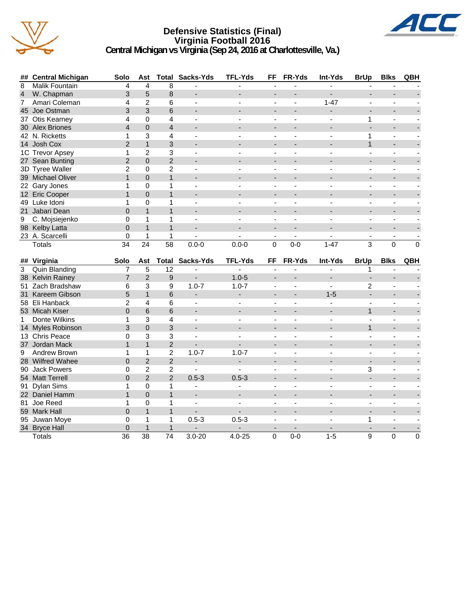

#### **Defensive Statistics (Final) Virginia Football 2016 Central Michigan vs Virginia (Sep 24, 2016 at Charlottesville, Va.)**



|                | ## Central Michigan | Solo                           | Ast                             |                      | <b>Total Sacks-Yds</b>   | <b>TFL-Yds</b>           | FF                       | FR-Yds                   | Int-Yds                  | <b>BrUp</b>              | <b>Blks</b>              | QBH            |
|----------------|---------------------|--------------------------------|---------------------------------|----------------------|--------------------------|--------------------------|--------------------------|--------------------------|--------------------------|--------------------------|--------------------------|----------------|
| 8              | Malik Fountain      | 4                              | 4                               | 8                    | $\blacksquare$           | ä,                       | ä,                       | L,                       | ÷,                       | L.                       | L.                       |                |
| $\overline{4}$ | W. Chapman          | 3                              | 5                               | 8                    | $\overline{\phantom{a}}$ |                          | $\overline{a}$           | $\overline{\phantom{a}}$ |                          | $\overline{\phantom{a}}$ | $\overline{\phantom{a}}$ |                |
| $\overline{7}$ | Amari Coleman       | 4                              | $\overline{2}$                  | 6                    | $\overline{a}$           | $\blacksquare$           | $\overline{a}$           | ä,                       | $1 - 47$                 | $\overline{a}$           | $\sim$                   |                |
|                | 45 Joe Ostman       | 3                              | 3                               | 6                    |                          |                          |                          |                          | $\overline{a}$           | $\overline{a}$           |                          |                |
|                | 37 Otis Kearney     | 4                              | 0                               | 4                    | $\overline{\phantom{a}}$ | $\blacksquare$           | $\overline{\phantom{a}}$ | ä,                       | $\overline{\phantom{a}}$ | 1                        | $\overline{\phantom{a}}$ |                |
|                | 30 Alex Briones     | $\overline{4}$                 | $\mathbf 0$                     | $\overline{4}$       |                          |                          |                          |                          |                          |                          |                          |                |
|                | 42 N. Ricketts      | 1                              | 3                               | 4                    |                          |                          |                          |                          |                          | 1                        |                          |                |
|                | 14 Josh Cox         | $\overline{2}$                 | $\mathbf{1}$                    | 3                    |                          |                          |                          |                          |                          | $\mathbf{1}$             |                          |                |
|                | 1C Trevor Apsey     | 1                              | $\overline{2}$                  | 3                    | $\blacksquare$           |                          | $\blacksquare$           |                          |                          | $\frac{1}{2}$            | ÷,                       |                |
|                | 27 Sean Bunting     | $\overline{2}$                 | $\overline{0}$                  | $\overline{2}$       |                          |                          |                          |                          |                          |                          |                          |                |
|                | 3D Tyree Waller     | $\overline{2}$                 | $\Omega$                        | $\overline{2}$       | $\sim$                   | ÷                        | $\blacksquare$           | $\blacksquare$           | $\overline{a}$           | $\blacksquare$           | $\sim$                   |                |
|                | 39 Michael Oliver   | $\mathbf{1}$                   | $\Omega$                        | $\mathbf{1}$         |                          |                          |                          |                          |                          |                          |                          |                |
|                | 22 Gary Jones       | 1                              | 0                               | 1                    | $\overline{\phantom{a}}$ |                          | $\blacksquare$           |                          |                          | ä,                       | ÷,                       |                |
|                | 12 Eric Cooper      | $\mathbf{1}$                   | $\overline{0}$                  | $\mathbf{1}$         |                          |                          |                          |                          |                          |                          |                          |                |
|                | 49 Luke Idoni       | 1                              | $\mathbf{0}$                    | 1                    |                          |                          |                          |                          |                          |                          |                          |                |
|                | 21 Jabari Dean      | $\Omega$                       | $\overline{1}$                  | $\overline{1}$       | $\overline{\phantom{a}}$ |                          |                          |                          | $\overline{\phantom{a}}$ | $\overline{a}$           | $\overline{a}$           |                |
| 9              | C. Mojsiejenko      | 0                              | 1                               | 1                    | $\blacksquare$           | $\overline{\phantom{0}}$ | $\blacksquare$           | ä,                       |                          | $\frac{1}{2}$            | $\blacksquare$           |                |
|                | 98 Kelby Latta      | $\Omega$                       | $\mathbf{1}$                    | $\mathbf{1}$         |                          |                          | $\overline{\phantom{a}}$ |                          |                          |                          |                          |                |
|                | 23 A. Scarcelli     | $\mathbf 0$                    | $\mathbf{1}$                    | 1                    | $\sim$                   | $\overline{a}$           | $\blacksquare$           | $\blacksquare$           | $\sim$                   | $\blacksquare$           | $\blacksquare$           |                |
|                | <b>Totals</b>       | 34                             | $\overline{24}$                 | $\overline{58}$      | $0.0 - 0$                | $0.0 - 0$                | $\Omega$                 | $0 - 0$                  | $1 - 47$                 | 3                        | $\mathbf{0}$             | $\Omega$       |
|                |                     |                                |                                 |                      |                          |                          |                          |                          |                          |                          |                          |                |
|                | ## Virginia         | Solo                           | Ast                             | Total                | Sacks-Yds                | <b>TFL-Yds</b>           | FF                       | FR-Yds                   | Int-Yds                  | <b>BrUp</b>              | <b>Blks</b>              | QBH            |
| $\overline{3}$ | Quin Blanding       | $\overline{7}$                 | 5                               | $\overline{12}$      |                          |                          |                          |                          |                          | 1                        |                          |                |
|                |                     |                                |                                 |                      |                          |                          |                          |                          |                          |                          |                          |                |
|                | 38 Kelvin Rainey    | $\overline{7}$                 | $\overline{2}$                  | 9                    |                          | $1.0 - 5$                |                          |                          | $\overline{a}$           | $\overline{a}$           |                          |                |
|                | 51 Zach Bradshaw    | 6                              | 3                               | 9                    | $1.0 - 7$                | $1.0 - 7$                | $\blacksquare$           | ä,                       | $\blacksquare$           | $\overline{2}$           | $\blacksquare$           |                |
|                | 31 Kareem Gibson    | 5                              | $\mathbf{1}$                    | 6                    |                          | $\overline{\phantom{0}}$ |                          |                          | $1 - 5$                  |                          |                          |                |
|                | 58 Eli Hanback      | $\overline{2}$                 | 4                               | 6                    | $\blacksquare$           | $\sim$                   | $\blacksquare$           | ÷                        | $\overline{a}$           | $\blacksquare$           | $\sim$                   |                |
|                | 53 Micah Kiser      | $\overline{0}$                 | 6                               | 6                    | $\overline{a}$           |                          | $\overline{a}$           |                          |                          | $\mathbf{1}$             | $\overline{a}$           |                |
| $\mathbf{1}$   | Donte Wilkins       | $\mathbf{1}$                   | 3                               | 4                    | $\blacksquare$           | $\overline{\phantom{a}}$ | $\blacksquare$           | ÷,                       | $\overline{a}$           | ÷,                       | $\blacksquare$           |                |
|                | 14 Myles Robinson   | 3                              | $\overline{0}$                  | 3                    |                          |                          |                          |                          |                          | $\mathbf{1}$             |                          |                |
|                | 13 Chris Peace      | 0                              | 3                               | 3                    | $\overline{\phantom{a}}$ |                          | $\overline{\phantom{a}}$ | ä,                       |                          | -                        | $\blacksquare$           |                |
|                | 37 Jordan Mack      | $\mathbf{1}$                   | $\mathbf{1}$                    | $\overline{2}$       | $\overline{\phantom{a}}$ |                          |                          |                          |                          |                          |                          |                |
| 9              | Andrew Brown        | $\mathbf{1}$                   | $\mathbf{1}$                    | 2                    | $1.0 - 7$                | $1.0 - 7$                | $\blacksquare$           |                          |                          |                          |                          |                |
|                | 28 Wilfred Wahee    | $\overline{0}$                 | $\overline{2}$                  | $\overline{c}$       | $\overline{\phantom{0}}$ | ÷,                       |                          |                          |                          |                          |                          |                |
|                | 90 Jack Powers      | 0                              | $\overline{c}$                  | $\overline{c}$       | $\mathbf{r}$             | ÷.                       | $\blacksquare$           | ä,                       | $\overline{a}$           | 3                        | $\blacksquare$           |                |
|                | 54 Matt Terrell     | $\Omega$                       | $\overline{2}$                  | $\overline{2}$       | $0.5 - 3$                | $0.5 - 3$                | $\overline{a}$           |                          | $\overline{\phantom{a}}$ | L.                       | $\blacksquare$           |                |
| 91             | <b>Dylan Sims</b>   | 1                              | 0                               | 1                    | $\blacksquare$           | $\blacksquare$           | $\blacksquare$           | $\blacksquare$           | $\overline{a}$           | $\frac{1}{2}$            | ÷,                       |                |
|                | 22 Daniel Hamm      | $\mathbf{1}$                   | $\overline{0}$                  | $\mathbf{1}$         | $\blacksquare$           |                          |                          |                          |                          |                          |                          |                |
|                | 81 Joe Reed         | 1                              | 0                               | 1                    | $\blacksquare$           |                          | $\overline{\phantom{a}}$ |                          |                          |                          | ÷,                       |                |
|                | 59 Mark Hall        | $\Omega$                       | $\overline{1}$                  | $\mathbf{1}$         |                          |                          |                          |                          |                          |                          |                          |                |
|                | 95 Juwan Moye       | 0                              | $\mathbf{1}$                    | 1                    | $0.5 - 3$                | $0.5 - 3$                |                          |                          |                          | 1                        | $\overline{a}$           |                |
|                | 34 Bryce Hall       | $\mathbf 0$<br>$\overline{36}$ | $\mathbf{1}$<br>$\overline{38}$ | 1<br>$\overline{74}$ |                          | $\overline{\phantom{a}}$ | $\overline{\phantom{a}}$ |                          | $1-5$                    |                          |                          | $\overline{0}$ |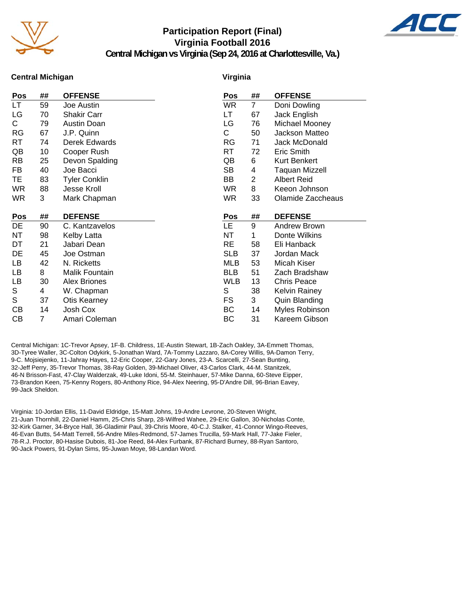

#### **Participation Report (Final) Virginia Football 2016**



**Central Michigan vs Virginia (Sep 24, 2016 at Charlottesville, Va.)**

#### **Central Michigan**

#### **Virginia**

| Pos       | ## | <b>OFFENSE</b>       | Pos        | ##             | <b>OFFENSE</b>       |
|-----------|----|----------------------|------------|----------------|----------------------|
| LT        | 59 | Joe Austin           | <b>WR</b>  | $\overline{7}$ | Doni Dowling         |
| LG        | 70 | <b>Shakir Carr</b>   | LT.        | 67             | Jack English         |
| C.        | 79 | Austin Doan          | LG         | 76             | Michael Mooney       |
| RG        | 67 | J.P. Quinn           | С          | 50             | Jackson Matteo       |
| RT        | 74 | Derek Edwards        | <b>RG</b>  | 71             | Jack McDonald        |
| QB        | 10 | Cooper Rush          | <b>RT</b>  | 72             | Eric Smith           |
| <b>RB</b> | 25 | Devon Spalding       | QB         | 6              | Kurt Benkert         |
| FB        | 40 | Joe Bacci            | <b>SB</b>  | 4              | Taquan Mizzell       |
| TE        | 83 | <b>Tyler Conklin</b> | BB         | $\overline{2}$ | <b>Albert Reid</b>   |
| <b>WR</b> | 88 | Jesse Kroll          | <b>WR</b>  | 8              | Keeon Johnson        |
| <b>WR</b> | 3  | Mark Chapman         | <b>WR</b>  | 33             | Olamide Zaccheaus    |
|           |    |                      |            |                |                      |
|           |    |                      |            |                |                      |
| Pos       | ## | <b>DEFENSE</b>       | Pos        | ##             | <b>DEFENSE</b>       |
| DE        | 90 | C. Kantzavelos       | LE         | 9              | Andrew Brown         |
| ΝT        | 98 | Kelby Latta          | <b>NT</b>  | 1              | Donte Wilkins        |
| DT        | 21 | Jabari Dean          | <b>RE</b>  | 58             | Eli Hanback          |
| DE        | 45 | Joe Ostman           | <b>SLB</b> | 37             | Jordan Mack          |
| LB        | 42 | N. Ricketts          | <b>MLB</b> | 53             | Micah Kiser          |
| LB        | 8  | Malik Fountain       | <b>BLB</b> | 51             | Zach Bradshaw        |
| LB        | 30 | <b>Alex Briones</b>  | <b>WLB</b> | 13             | <b>Chris Peace</b>   |
| S         | 4  | W. Chapman           | S          | 38             | <b>Kelvin Rainey</b> |
| S         | 37 | <b>Otis Kearney</b>  | <b>FS</b>  | 3              | Quin Blanding        |
| СB        | 14 | Josh Cox             | BC         | 14             | Myles Robinson       |
| СB        | 7  | Amari Coleman        | BC         | 31             | Kareem Gibson        |

Central Michigan: 1C-Trevor Apsey, 1F-B. Childress, 1E-Austin Stewart, 1B-Zach Oakley, 3A-Emmett Thomas, 3D-Tyree Waller, 3C-Colton Odykirk, 5-Jonathan Ward, 7A-Tommy Lazzaro, 8A-Corey Willis, 9A-Damon Terry, 9-C. Mojsiejenko, 11-Jahray Hayes, 12-Eric Cooper, 22-Gary Jones, 23-A. Scarcelli, 27-Sean Bunting, 32-Jeff Perry, 35-Trevor Thomas, 38-Ray Golden, 39-Michael Oliver, 43-Carlos Clark, 44-M. Stanitzek, 46-N Brisson-Fast, 47-Clay Walderzak, 49-Luke Idoni, 55-M. Steinhauer, 57-Mike Danna, 60-Steve Eipper, 73-Brandon Keen, 75-Kenny Rogers, 80-Anthony Rice, 94-Alex Neering, 95-D'Andre Dill, 96-Brian Eavey, 99-Jack Sheldon.

Virginia: 10-Jordan Ellis, 11-David Eldridge, 15-Matt Johns, 19-Andre Levrone, 20-Steven Wright, 21-Juan Thornhill, 22-Daniel Hamm, 25-Chris Sharp, 28-Wilfred Wahee, 29-Eric Gallon, 30-Nicholas Conte, 32-Kirk Garner, 34-Bryce Hall, 36-Gladimir Paul, 39-Chris Moore, 40-C.J. Stalker, 41-Connor Wingo-Reeves, 46-Evan Butts, 54-Matt Terrell, 56-Andre Miles-Redmond, 57-James Trucilla, 59-Mark Hall, 77-Jake Fieler, 78-R.J. Proctor, 80-Hasise Dubois, 81-Joe Reed, 84-Alex Furbank, 87-Richard Burney, 88-Ryan Santoro, 90-Jack Powers, 91-Dylan Sims, 95-Juwan Moye, 98-Landan Word.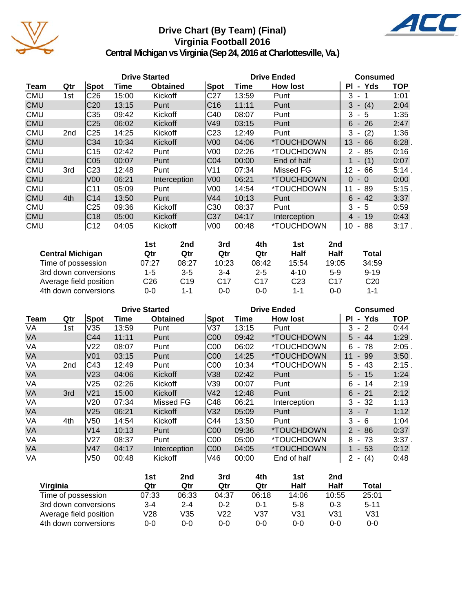

# **Drive Chart (By Team) (Final) Virginia Football 2016**



|            |                 |                 | <b>Drive Started</b> |                 |                 | <b>Drive Ended</b> | <b>Consumed</b>          |                                      |            |
|------------|-----------------|-----------------|----------------------|-----------------|-----------------|--------------------|--------------------------|--------------------------------------|------------|
| Team       | Qtr             | Spot            | Time                 | <b>Obtained</b> | <b>Spot</b>     | Time               | <b>How lost</b>          | - Yds<br>ΡI                          | <b>TOP</b> |
| <b>CMU</b> | 1st             | C <sub>26</sub> | 15:00                | Kickoff         | C <sub>27</sub> | 13:59              | Punt                     | 3<br>$\sim$                          | 1:01       |
| <b>CMU</b> |                 | C <sub>20</sub> | 13:15                | Punt            | C16             | 11:11              | Punt                     | $- (4)$<br>3                         | 2:04       |
| <b>CMU</b> |                 | C35             | 09:42                | Kickoff         | C40             | 08:07              | Punt                     | 3<br>- 5                             | 1:35       |
| <b>CMU</b> |                 | C <sub>25</sub> | 06:02                | Kickoff         | V49             | 03:15              | Punt                     | $6 - 26$                             | 2:47       |
| <b>CMU</b> | 2 <sub>nd</sub> | C <sub>25</sub> | 14:25                | Kickoff         | C <sub>23</sub> | 12:49              | Punt                     | (2)<br>3                             | 1:36       |
| <b>CMU</b> |                 | C <sub>34</sub> | 10:34                | Kickoff         | V <sub>00</sub> | 04:06              | *TOUCHDOWN               | 13<br>66<br>$\blacksquare$           | 6:28       |
| <b>CMU</b> |                 | C15             | 02:42                | Punt            | V <sub>00</sub> | 02:26              | *TOUCHDOWN               | 85<br>2<br>$\sim$                    | 0:16       |
| <b>CMU</b> |                 | C <sub>05</sub> | 00:07                | Punt            | C04             | 00:00              | End of half              | (1)<br>$\blacksquare$                | 0:07       |
| <b>CMU</b> | 3rd             | C <sub>23</sub> | 12:48                | Punt            | V11             | 07:34              | Missed FG                | 12<br>66<br>$\sim$                   | 5:14.      |
| <b>CMU</b> |                 | V <sub>00</sub> | 06:21                | Interception    | IV00            | 06:21              | *TOUCHDOWN               | $\Omega$<br>$-0$                     | 0:00       |
| <b>CMU</b> |                 | C11             | 05:09                | Punt            | V <sub>00</sub> | 14:54              | <i><b>*TOUCHDOWN</b></i> | -89<br>11<br>۰.                      | 5:15       |
| <b>CMU</b> | 4th             | C <sub>14</sub> | 13:50                | Punt            | V44             | 10:13              | Punt                     | 6<br>- 42                            | 3:37       |
| <b>CMU</b> |                 | C25             | 09:36                | Kickoff         | C <sub>30</sub> | 08:37              | Punt                     | 3<br>- 5                             | 0:59       |
| <b>CMU</b> |                 | C18             | 05:00                | Kickoff         | C37             | 04:17              | Interception             | 4 - 19                               | 0:43       |
| <b>CMU</b> |                 | C <sub>12</sub> | 04:05                | Kickoff         | V <sub>00</sub> | 00:48              | *TOUCHDOWN               | 10<br>88<br>$\overline{\phantom{a}}$ | $3:17$ .   |

|                         | 1st   | 2nd     | 3rd             | 4th     | 1st             | 2nd             |                 |
|-------------------------|-------|---------|-----------------|---------|-----------------|-----------------|-----------------|
| <b>Central Michigan</b> | Qtr   | Qtr     | Qtr             | Qtr     | Half            | Half            | Total           |
| Time of possession      | 07:27 | 08:27   | 10:23           | 08:42   | 15:54           | 19:05           | 34:59           |
| 3rd down conversions    | 1-5   | $3 - 5$ | $3 - 4$         | $2 - 5$ | $4 - 10$        | $5-9$           | $9 - 19$        |
| Average field position  | C26   | C19     | C <sub>17</sub> | C17     | C <sub>23</sub> | C <sub>17</sub> | C <sub>20</sub> |
| 4th down conversions    | 0-0   | 1-1     | 0-0             | 0-0     | $1 - 1$         | 0-0             | $1 - 1$         |

|           |                 |                 |       | <b>Drive Started</b> |                 | <b>Drive Ended</b> | <b>Consumed</b> |                     |            |
|-----------|-----------------|-----------------|-------|----------------------|-----------------|--------------------|-----------------|---------------------|------------|
| Team      | Qtr             | Spot            | Time  | <b>Obtained</b>      | Spot            | Time               | <b>How lost</b> | - Yds<br>ΡI         | <b>TOP</b> |
| VA        | 1st             | V35             | 13:59 | Punt                 | V37             | 13:15              | Punt            | 3<br>$-2$           | 0:44       |
| <b>VA</b> |                 | C44             | 11:11 | Punt                 | COO             | 09:42              | *TOUCHDOWN      | 44<br>5<br>$\sim$   | 1:29.      |
| VA        |                 | V22             | 08:07 | Punt                 | C <sub>00</sub> | 06:02              | *TOUCHDOWN      | 6<br>- 78           | $2:05$ .   |
| <b>VA</b> |                 | V <sub>01</sub> | 03:15 | Punt                 | C <sub>00</sub> | 14:25              | *TOUCHDOWN      | - 99<br>11          | 3:50.      |
| VA        | 2 <sub>nd</sub> | C43             | 12:49 | Punt                 | C <sub>00</sub> | 10:34              | *TOUCHDOWN      | 5.<br>-43<br>$\sim$ | 2:15.      |
| <b>VA</b> |                 | V <sub>23</sub> | 04:06 | Kickoff              | V38             | 02:42              | Punt            | $5 - 15$            | 1:24       |
| VA        |                 | V25             | 02:26 | Kickoff              | V39             | 00:07              | Punt            | 6<br>14<br>$\sim$   | 2:19       |
| <b>VA</b> | 3rd             | V21             | 15:00 | Kickoff              | V42             | 12:48              | Punt            | $6 - 21$            | 2:12       |
| VA        |                 | V20             | 07:34 | Missed FG            | C48             | 06:21              | Interception    | 3<br>$-32$          | 1:13       |
| <b>VA</b> |                 | V25             | 06:21 | Kickoff              | V32             | 05:09              | Punt            | 3<br>$-7$           | 1:12       |
| VA        | 4th             | V <sub>50</sub> | 14:54 | Kickoff              | C44             | 13:50              | Punt            | 3<br>- 6            | 1:04       |
| <b>VA</b> |                 | V14             | 10:13 | Punt                 | C <sub>00</sub> | 09:36              | *TOUCHDOWN      | $2 - 86$            | 0:37       |
| VA        |                 | V <sub>27</sub> | 08:37 | Punt                 | C <sub>00</sub> | 05:00              | *TOUCHDOWN      | 8<br>- 73           | $3:37$ .   |
| <b>VA</b> |                 | V47             | 04:17 | Interception         | C <sub>00</sub> | 04:05              | *TOUCHDOWN      | $1 - 53$            | 0:12       |
| VA        |                 | V <sub>50</sub> | 00:48 | Kickoff              | V46             | 00:00              | End of half     | (4)<br>2<br>$\sim$  | 0:48       |

|                        | 1st   | 2 <sub>nd</sub> | 3rd     | 4th     | 1st     | 2nd     |          |
|------------------------|-------|-----------------|---------|---------|---------|---------|----------|
| Virginia               | Qtr   | Qtr             | Qtr     | Qtr     | Half    | Half    | Total    |
| Time of possession     | 07:33 | 06:33           | 04:37   | 06:18   | 14:06   | 10:55   | 25:01    |
| 3rd down conversions   | 3-4   | $2 - 4$         | $0 - 2$ | 0-1     | $5 - 8$ | $0 - 3$ | $5 - 11$ |
| Average field position | V28   | V35             | V22     | V37     | V31     | V31     | V31      |
| 4th down conversions   | 0-0   | 0-0             | ი-ი     | $0 - 0$ | $0 - 0$ | 0-0     | $0 - 0$  |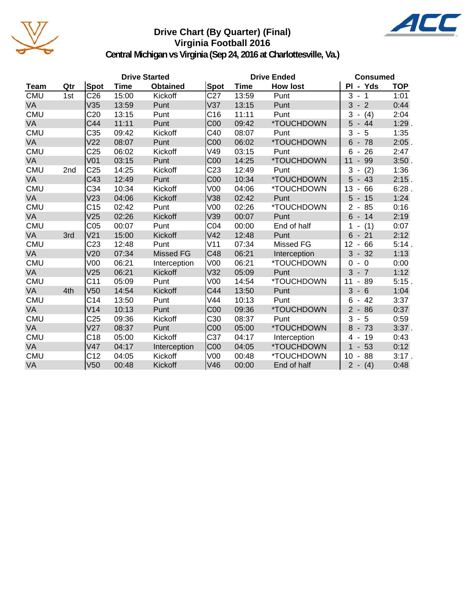

### **Drive Chart (By Quarter) (Final) Virginia Football 2016**



|             |     |                  | <b>Drive Started</b> |                 |                 | <b>Drive Ended</b> | <b>Consumed</b> |                                        |            |
|-------------|-----|------------------|----------------------|-----------------|-----------------|--------------------|-----------------|----------------------------------------|------------|
| <b>Team</b> | Qtr | <b>Spot</b>      | <b>Time</b>          | <b>Obtained</b> | Spot            | <b>Time</b>        | <b>How lost</b> | PI - Yds                               | <b>TOP</b> |
| <b>CMU</b>  | 1st | C <sub>26</sub>  | 15:00                | Kickoff         | C <sub>27</sub> | 13:59              | Punt            | 3<br>$-1$                              | 1:01       |
| <b>VA</b>   |     | V35              | 13:59                | Punt            | V37             | 13:15              | Punt            | 3<br>$-2$                              | 0:44       |
| <b>CMU</b>  |     | C <sub>20</sub>  | 13:15                | Punt            | C <sub>16</sub> | 11:11              | Punt            | 3<br>(4)                               | 2:04       |
| VA          |     | C44              | 11:11                | Punt            | C <sub>00</sub> | 09:42              | *TOUCHDOWN      | 5<br>$-44$                             | $1:29$ .   |
| <b>CMU</b>  |     | C35              | 09:42                | Kickoff         | C40             | 08:07              | Punt            | 3<br>5<br>÷,                           | 1:35       |
| VA          |     | V <sub>22</sub>  | 08:07                | Punt            | C <sub>00</sub> | 06:02              | *TOUCHDOWN      | $6 - 78$                               | $2:05$ .   |
| <b>CMU</b>  |     | C <sub>25</sub>  | 06:02                | Kickoff         | V49             | 03:15              | Punt            | 6<br>26<br>$\blacksquare$              | 2:47       |
| VA          |     | V <sub>01</sub>  | 03:15                | Punt            | C <sub>00</sub> | 14:25              | *TOUCHDOWN      | 11<br>99<br>$\overline{\phantom{a}}$   | 3:50.      |
| <b>CMU</b>  | 2nd | C <sub>25</sub>  | 14:25                | Kickoff         | C <sub>23</sub> | 12:49              | Punt            | (2)<br>3                               | 1:36       |
| <b>VA</b>   |     | C43              | 12:49                | Punt            | COO             | 10:34              | *TOUCHDOWN      | 5<br>$-43$                             | 2:15.      |
| <b>CMU</b>  |     | C34              | 10:34                | Kickoff         | V <sub>00</sub> | 04:06              | *TOUCHDOWN      | 13<br>66<br>$\overline{\phantom{a}}$   | 6:28.      |
| VA          |     | V <sub>23</sub>  | 04:06                | Kickoff         | V38             | 02:42              | Punt            | 5<br>$-15$                             | 1:24       |
| <b>CMU</b>  |     | C <sub>15</sub>  | 02:42                | Punt            | V <sub>00</sub> | 02:26              | *TOUCHDOWN      | $\overline{2}$<br>85<br>$\blacksquare$ | 0:16       |
| VA          |     | V25              | 02:26                | Kickoff         | V39             | 00:07              | Punt            | $6 - 14$                               | 2:19       |
| <b>CMU</b>  |     | C <sub>05</sub>  | 00:07                | Punt            | CO <sub>4</sub> | 00:00              | End of half     | (1)                                    | 0:07       |
| <b>VA</b>   | 3rd | V <sub>21</sub>  | 15:00                | Kickoff         | V <sub>42</sub> | 12:48              | Punt            | 6<br>$-21$                             | 2:12       |
| <b>CMU</b>  |     | C <sub>2</sub> 3 | 12:48                | Punt            | V11             | 07:34              | Missed FG       | 66<br>12<br>$\overline{\phantom{a}}$   | 5:14.      |
| VA          |     | V20              | 07:34                | Missed FG       | C48             | 06:21              | Interception    | 3<br>32<br>$\blacksquare$              | 1:13       |
| <b>CMU</b>  |     | V <sub>00</sub>  | 06:21                | Interception    | V <sub>00</sub> | 06:21              | *TOUCHDOWN      | $-0$<br>$\Omega$                       | 0:00       |
| VA          |     | V25              | 06:21                | Kickoff         | V32             | 05:09              | Punt            | 3<br>$-7$                              | 1:12       |
| <b>CMU</b>  |     | C11              | 05:09                | Punt            | V00             | 14:54              | *TOUCHDOWN      | 11<br>-89<br>$\blacksquare$            | 5:15.      |
| VA          | 4th | V <sub>50</sub>  | 14:54                | Kickoff         | C44             | 13:50              | Punt            | $-6$<br>3                              | 1:04       |
| <b>CMU</b>  |     | C <sub>14</sub>  | 13:50                | Punt            | V44             | 10:13              | Punt            | $-42$<br>6                             | 3:37       |
| VA          |     | V14              | 10:13                | Punt            | C <sub>00</sub> | 09:36              | *TOUCHDOWN      | $2 -$<br>86                            | 0:37       |
| <b>CMU</b>  |     | C <sub>25</sub>  | 09:36                | Kickoff         | C30             | 08:37              | Punt            | 5<br>3<br>$\blacksquare$               | 0:59       |
| VA          |     | V27              | 08:37                | Punt            | COO             | 05:00              | *TOUCHDOWN      | 8<br>73                                | $3:37$ .   |
| <b>CMU</b>  |     | C18              | 05:00                | Kickoff         | C37             | 04:17              | Interception    | 19<br>4                                | 0:43       |
| VA          |     | V47              | 04:17                | Interception    | <b>C00</b>      | 04:05              | *TOUCHDOWN      | 53<br>$\blacksquare$                   | 0:12       |
| <b>CMU</b>  |     | C12              | 04:05                | Kickoff         | V <sub>00</sub> | 00:48              | *TOUCHDOWN      | 88<br>10<br>$\blacksquare$             | 3:17.      |
| VA          |     | V <sub>50</sub>  | 00:48                | Kickoff         | V46             | 00:00              | End of half     | $2 - (4)$                              | 0:48       |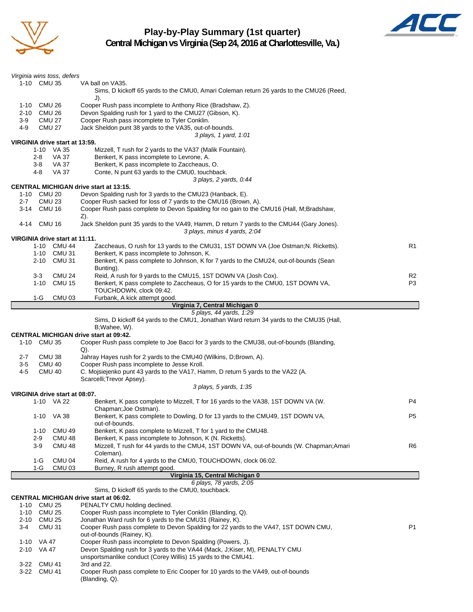

# **Play-by-Play Summary (1st quarter)**



|                | Virginia wins toss, defers                                 |                                                                                                                                                    |                |
|----------------|------------------------------------------------------------|----------------------------------------------------------------------------------------------------------------------------------------------------|----------------|
|                | 1-10 CMU 35                                                | VA ball on VA35.<br>Sims, D kickoff 65 yards to the CMU0, Amari Coleman return 26 yards to the CMU26 (Reed,                                        |                |
| 1-10           | CMU 26                                                     | $J$ ).<br>Cooper Rush pass incomplete to Anthony Rice (Bradshaw, Z).                                                                               |                |
| $2 - 10$       | CMU 26                                                     | Devon Spalding rush for 1 yard to the CMU27 (Gibson, K).                                                                                           |                |
| 3-9<br>4-9     | <b>CMU 27</b><br><b>CMU 27</b>                             | Cooper Rush pass incomplete to Tyler Conklin.<br>Jack Sheldon punt 38 yards to the VA35, out-of-bounds.                                            |                |
|                |                                                            | 3 plays, 1 yard, 1:01                                                                                                                              |                |
|                | VIRGINIA drive start at 13:59.                             |                                                                                                                                                    |                |
|                | 1-10 VA 35<br>2-8<br>VA 37                                 | Mizzell, T rush for 2 yards to the VA37 (Malik Fountain).<br>Benkert, K pass incomplete to Levrone, A.                                             |                |
|                | VA 37<br>3-8                                               | Benkert, K pass incomplete to Zaccheaus, O.                                                                                                        |                |
|                | <b>VA 37</b><br>4-8                                        | Conte, N punt 63 yards to the CMU0, touchback.                                                                                                     |                |
|                |                                                            | 3 plays, 2 yards, 0:44<br><b>CENTRAL MICHIGAN drive start at 13:15.</b>                                                                            |                |
| $1 - 10$       | <b>CMU 20</b>                                              | Devon Spalding rush for 3 yards to the CMU23 (Hanback, E).                                                                                         |                |
| $2 - 7$        | <b>CMU 23</b>                                              | Cooper Rush sacked for loss of 7 yards to the CMU16 (Brown, A).                                                                                    |                |
|                | 3-14 CMU 16                                                | Cooper Rush pass complete to Devon Spalding for no gain to the CMU16 (Hall, M;Bradshaw,<br>Z).                                                     |                |
|                | 4-14 CMU 16                                                | Jack Sheldon punt 35 yards to the VA49, Hamm, D return 7 yards to the CMU44 (Gary Jones).<br>3 plays, minus 4 yards, 2:04                          |                |
|                | VIRGINIA drive start at 11:11.                             |                                                                                                                                                    |                |
|                | 1-10 CMU 44                                                | Zaccheaus, O rush for 13 yards to the CMU31, 1ST DOWN VA (Joe Ostman; N. Ricketts).                                                                | R1             |
|                | 1-10 CMU 31<br>2-10 CMU 31                                 | Benkert, K pass incomplete to Johnson, K.                                                                                                          |                |
|                |                                                            | Benkert, K pass complete to Johnson, K for 7 yards to the CMU24, out-of-bounds (Sean<br>Bunting).                                                  |                |
|                | <b>CMU 24</b><br>$3 - 3$                                   | Reid, A rush for 9 yards to the CMU15, 1ST DOWN VA (Josh Cox).                                                                                     | R <sub>2</sub> |
|                | <b>CMU 15</b><br>1-10                                      | Benkert, K pass complete to Zaccheaus, O for 15 yards to the CMU0, 1ST DOWN VA,                                                                    | P3             |
|                | CMU <sub>03</sub><br>1-G                                   | TOUCHDOWN, clock 09:42.<br>Furbank, A kick attempt good.                                                                                           |                |
|                |                                                            | Virginia 7, Central Michigan 0                                                                                                                     |                |
|                |                                                            | 5 plays, 44 yards, 1:29                                                                                                                            |                |
|                |                                                            | Sims, D kickoff 64 yards to the CMU1, Jonathan Ward return 34 yards to the CMU35 (Hall,<br>B; Wahee, W).                                           |                |
|                |                                                            |                                                                                                                                                    |                |
|                |                                                            | <b>CENTRAL MICHIGAN drive start at 09:42.</b>                                                                                                      |                |
| $1 - 10$       | <b>CMU 35</b>                                              | Cooper Rush pass complete to Joe Bacci for 3 yards to the CMU38, out-of-bounds (Blanding,                                                          |                |
| $2 - 7$        | CMU <sub>38</sub>                                          | Q).                                                                                                                                                |                |
| $3-5$          | <b>CMU 40</b>                                              | Jahray Hayes rush for 2 yards to the CMU40 (Wilkins, D;Brown, A).<br>Cooper Rush pass incomplete to Jesse Kroll.                                   |                |
| $4 - 5$        | <b>CMU 40</b>                                              | C. Mojsiejenko punt 43 yards to the VA17, Hamm, D return 5 yards to the VA22 (A.<br>Scarcelli; Trevor Apsey).                                      |                |
|                |                                                            | 3 plays, 5 yards, 1:35                                                                                                                             |                |
|                | VIRGINIA drive start at 08:07.<br>1-10 VA 22               | Benkert, K pass complete to Mizzell, T for 16 yards to the VA38, 1ST DOWN VA (W.                                                                   | P4             |
|                | 1-10 VA 38                                                 | Chapman; Joe Ostman).<br>Benkert, K pass complete to Dowling, D for 13 yards to the CMU49, 1ST DOWN VA,                                            | P <sub>5</sub> |
|                |                                                            | out-of-bounds.                                                                                                                                     |                |
|                | <b>CMU 49</b><br>$1 - 10$                                  | Benkert, K pass complete to Mizzell, T for 1 yard to the CMU48.                                                                                    |                |
|                | $2 - 9$<br>CMU <sub>48</sub><br>CMU <sub>48</sub><br>$3-9$ | Benkert, K pass incomplete to Johnson, K (N. Ricketts).<br>Mizzell, T rush for 44 yards to the CMU4, 1ST DOWN VA, out-of-bounds (W. Chapman; Amari | R <sub>6</sub> |
|                |                                                            | Coleman).                                                                                                                                          |                |
|                | CMU <sub>04</sub><br>$1-G$                                 | Reid, A rush for 4 yards to the CMU0, TOUCHDOWN, clock 06:02.                                                                                      |                |
|                | $1-G$<br><b>CMU 03</b>                                     | Burney, R rush attempt good.<br>Virginia 15, Central Michigan 0                                                                                    |                |
|                |                                                            | 6 plays, 78 yards, 2:05                                                                                                                            |                |
|                |                                                            | Sims, D kickoff 65 yards to the CMU0, touchback.                                                                                                   |                |
| 1-10           | CMU 25                                                     | <b>CENTRAL MICHIGAN drive start at 06:02.</b><br>PENALTY CMU holding declined.                                                                     |                |
| $1 - 10$       | <b>CMU 25</b>                                              | Cooper Rush pass incomplete to Tyler Conklin (Blanding, Q).                                                                                        |                |
|                | 2-10 CMU 25                                                | Jonathan Ward rush for 6 yards to the CMU31 (Rainey, K).                                                                                           |                |
| 3-4            | CMU <sub>31</sub>                                          | Cooper Rush pass complete to Devon Spalding for 22 yards to the VA47, 1ST DOWN CMU,                                                                | P <sub>1</sub> |
| 1-10 VA 47     |                                                            | out-of-bounds (Rainey, K).<br>Cooper Rush pass incomplete to Devon Spalding (Powers, J).                                                           |                |
| $2 - 10$       | VA 47                                                      | Devon Spalding rush for 3 yards to the VA44 (Mack, J;Kiser, M), PENALTY CMU                                                                        |                |
|                |                                                            | unsportsmanlike conduct (Corey Willis) 15 yards to the CMU41.                                                                                      |                |
| $3-22$<br>3-22 | <b>CMU 41</b><br><b>CMU 41</b>                             | 3rd and 22.<br>Cooper Rush pass complete to Eric Cooper for 10 yards to the VA49, out-of-bounds                                                    |                |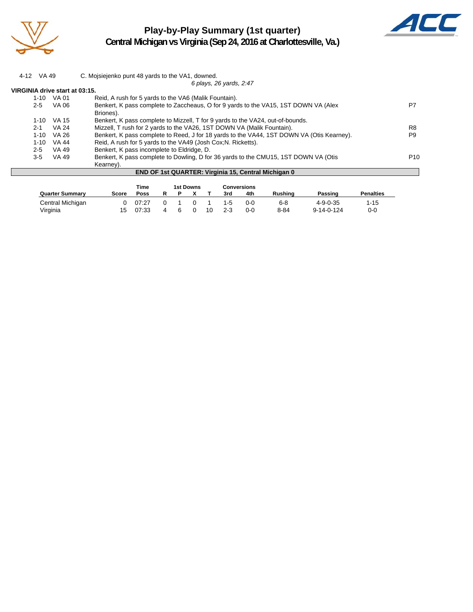

# **Play-by-Play Summary (1st quarter) Central Michigan vs Virginia (Sep 24, 2016 at Charlottesville, Va.)**



| 4-12 VA 49                     |              | C. Mojsiejenko punt 48 yards to the VA1, downed.                                                 |                 |
|--------------------------------|--------------|--------------------------------------------------------------------------------------------------|-----------------|
|                                |              | 6 plays, 26 yards, 2:47                                                                          |                 |
| VIRGINIA drive start at 03:15. |              |                                                                                                  |                 |
| 1-10                           | VA 01        | Reid, A rush for 5 yards to the VA6 (Malik Fountain).                                            |                 |
| $2 - 5$                        | VA 06        | Benkert, K pass complete to Zaccheaus, O for 9 yards to the VA15, 1ST DOWN VA (Alex<br>Briones). | P7              |
| $1 - 10$                       | VA 15        | Benkert, K pass complete to Mizzell, T for 9 yards to the VA24, out-of-bounds.                   |                 |
| $2 - 1$                        | <b>VA 24</b> | Mizzell, T rush for 2 yards to the VA26, 1ST DOWN VA (Malik Fountain).                           | R8              |
| $1 - 10$                       | VA 26        | Benkert, K pass complete to Reed, J for 18 yards to the VA44, 1ST DOWN VA (Otis Kearney).        | P <sub>9</sub>  |
| $1 - 10$                       | VA 44        | Reid, A rush for 5 yards to the VA49 (Josh Cox; N. Ricketts).                                    |                 |
| $2 - 5$                        | VA 49        | Benkert, K pass incomplete to Eldridge, D.                                                       |                 |
| $3-5$                          | VA 49        | Benkert, K pass complete to Dowling, D for 36 yards to the CMU15, 1ST DOWN VA (Otis              | P <sub>10</sub> |
|                                |              | Kearney).                                                                                        |                 |
|                                |              | <b>END OF 1st QUARTER: Virginia 15, Central Michigan 0</b>                                       |                 |

|                        | <b>Time</b> | 1st Downs |   |  |  |    | Conversions |     |                |                    |                  |
|------------------------|-------------|-----------|---|--|--|----|-------------|-----|----------------|--------------------|------------------|
| <b>Quarter Summary</b> | Score       | Poss      | R |  |  |    | 3rd         | 4th | <b>Rushing</b> | Passing            | <b>Penalties</b> |
| Central Michigan       |             | 07:27     |   |  |  |    | $1 - 5$     | 0-0 | 6-8            | $4 - 9 - 0 - 35$   | 1-15             |
| Virginia               | 15          | 07:33     |   |  |  | 10 | 2-3         | 0-0 | $8 - 84$       | $9 - 14 - 0 - 124$ | 0-0              |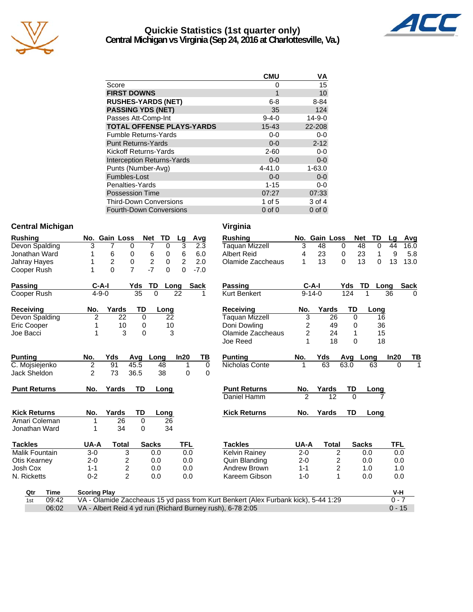

#### **Quickie Statistics (1st quarter only) Central Michigan vs Virginia (Sep 24, 2016 at Charlottesville, Va.)**



|                                   | CMU         | ٧A           |
|-----------------------------------|-------------|--------------|
| Score                             | 0           | 15           |
| <b>FIRST DOWNS</b>                | 1           | 10           |
| <b>RUSHES-YARDS (NET)</b>         | $6 - 8$     | 8-84         |
| <b>PASSING YDS (NET)</b>          | 35          | 124          |
| Passes Att-Comp-Int               | $9 - 4 - 0$ | $14 - 9 - 0$ |
| <b>TOTAL OFFENSE PLAYS-YARDS</b>  | $15 - 43$   | 22-208       |
| <b>Fumble Returns-Yards</b>       | $0 - 0$     | $0 - 0$      |
| <b>Punt Returns-Yards</b>         | $0 - 0$     | $2 - 12$     |
| Kickoff Returns-Yards             | $2 - 60$    | $0 - 0$      |
| <b>Interception Returns-Yards</b> | $0 - 0$     | $0 - 0$      |
| Punts (Number-Avg)                | $4 - 41.0$  | $1 - 63.0$   |
| Fumbles-Lost                      | $0 - 0$     | $0 - 0$      |
| Penalties-Yards                   | $1 - 15$    | $0 - 0$      |
| <b>Possession Time</b>            | 07:27       | 07:33        |
| <b>Third-Down Conversions</b>     | 1 of $5$    | 3 of 4       |
| <b>Fourth-Down Conversions</b>    | 0 of 0      | $0$ of $0$   |

#### **Central Michigan Central Michigan Central Michigan**

| <b>Rushing</b>        |       |                     | No. Gain Loss                                              | <b>Net</b>     | TD             | Lg             | Avg         | <b>Rushing</b>                                                                     |                | No. Gain Loss           |             | TD<br><b>Net</b>   | Lq         | Avg          |
|-----------------------|-------|---------------------|------------------------------------------------------------|----------------|----------------|----------------|-------------|------------------------------------------------------------------------------------|----------------|-------------------------|-------------|--------------------|------------|--------------|
| Devon Spalding        |       | 3                   | 7<br>0                                                     | 7              | $\Omega$       | 3              | 2.3         | <b>Taquan Mizzell</b>                                                              | 3              | 48                      | 0           | 48<br>$\Omega$     | 44         | 16.0         |
| Jonathan Ward         |       | 1                   | 6<br>0                                                     | 6              | 0              | 6              | 6.0         | <b>Albert Reid</b>                                                                 | 4              | 23                      | 0           | 23<br>$\mathbf{1}$ | 9          | 5.8          |
| Jahray Hayes          |       | 1                   | $\overline{c}$<br>0                                        | $\overline{c}$ | $\mathbf 0$    | $\overline{2}$ | 2.0         | Olamide Zaccheaus                                                                  | 1              | 13                      | $\mathbf 0$ | 13<br>0            | 13         | 13.0         |
| Cooper Rush           |       | 1                   | $\overline{7}$<br>$\Omega$                                 | $-7$           | $\Omega$       | $\Omega$       | $-7.0$      |                                                                                    |                |                         |             |                    |            |              |
| Passing               |       | $C-A-I$             |                                                            | TD<br>Yds      | Long           |                | <b>Sack</b> | <b>Passing</b>                                                                     | $C-A-I$        |                         | Yds         | TD<br>Long         |            | <b>Sack</b>  |
| Cooper Rush           |       | $4 - 9 - 0$         |                                                            | 35             | $\overline{0}$ | 22             |             | <b>Kurt Benkert</b>                                                                | $9 - 14 - 0$   |                         | 124         | 1                  | 36         | $\Omega$     |
| Receiving             |       | No.                 | Yards                                                      | TD             | Long           |                |             | <b>Receiving</b>                                                                   | No.            | Yards                   | TD          | Long               |            |              |
| Devon Spalding        |       | 2                   | 22                                                         | 0              | 22             |                |             | <b>Taquan Mizzell</b>                                                              | 3              | 26                      | 0           | 16                 |            |              |
| Eric Cooper           |       |                     | 10                                                         | 0              | 10             |                |             | Doni Dowling                                                                       | $\overline{c}$ | 49                      | 0           | 36                 |            |              |
| Joe Bacci             |       |                     | 3                                                          | 0              | 3              |                |             | Olamide Zaccheaus                                                                  | 2              | 24                      | 1           | 15                 |            |              |
|                       |       |                     |                                                            |                |                |                |             | Joe Reed                                                                           | 1              | 18                      | $\Omega$    | 18                 |            |              |
| <b>Punting</b>        |       | No.                 | Yds                                                        | Avg            | Long           | In20           | ΤВ          | <b>Punting</b>                                                                     | No.            | Yds                     | Avg         | Long               | In20       | TВ           |
| C. Mojsiejenko        |       | $\overline{c}$      | 91                                                         | 45.5           | 48             | 1              | $\mathbf 0$ | Nicholas Conte                                                                     | 1              | 63                      | 63.0        | 63                 | $\Omega$   | $\mathbf{1}$ |
| Jack Sheldon          |       | 2                   | 73                                                         | 36.5           | 38             | 0              | 0           |                                                                                    |                |                         |             |                    |            |              |
| <b>Punt Returns</b>   |       | No.                 | Yards                                                      | TD             | Long           |                |             | <b>Punt Returns</b>                                                                | No.            | <b>Yards</b>            | TD          | Long               |            |              |
|                       |       |                     |                                                            |                |                |                |             | Daniel Hamm                                                                        | $\mathfrak{p}$ | 12                      | $\Omega$    |                    |            |              |
| <b>Kick Returns</b>   |       | No.                 | Yards                                                      | TD             | Long           |                |             | <b>Kick Returns</b>                                                                | No.            | Yards                   | TD          | Long               |            |              |
| Amari Coleman         |       | 1                   | 26                                                         | 0              | 26             |                |             |                                                                                    |                |                         |             |                    |            |              |
| Jonathan Ward         |       |                     | 34                                                         | 0              | 34             |                |             |                                                                                    |                |                         |             |                    |            |              |
| <b>Tackles</b>        |       | UA-A                | <b>Total</b>                                               | <b>Sacks</b>   |                | <b>TFL</b>     |             | <b>Tackles</b>                                                                     | UA-A           | Total                   |             | <b>Sacks</b>       | <b>TFL</b> |              |
| <b>Malik Fountain</b> |       | $3-0$               | 3                                                          |                | 0.0            | 0.0            |             | Kelvin Rainey                                                                      | $2 - 0$        | $\overline{c}$          |             | 0.0                | 0.0        |              |
| Otis Kearney          |       | $2 - 0$             | $\overline{c}$                                             |                | 0.0            | 0.0            |             | Quin Blanding                                                                      | $2 - 0$        | 2                       |             | 0.0                | 0.0        |              |
| Josh Cox              |       | $1 - 1$             | 2                                                          |                | 0.0            | 0.0            |             | Andrew Brown                                                                       | $1 - 1$        | $\overline{\mathbf{c}}$ |             | 1.0                | 1.0        |              |
| N. Ricketts           |       | $0 - 2$             | $\overline{2}$                                             |                | 0.0            | 0.0            |             | Kareem Gibson                                                                      | $1 - 0$        | $\mathbf{1}$            |             | 0.0                | 0.0        |              |
| Qtr                   | Time  | <b>Scoring Play</b> |                                                            |                |                |                |             |                                                                                    |                |                         |             |                    | V-H        |              |
| 1st                   | 09:42 |                     |                                                            |                |                |                |             | VA - Olamide Zaccheaus 15 yd pass from Kurt Benkert (Alex Furbank kick), 5-44 1:29 |                |                         |             |                    | $0 - 7$    |              |
|                       | 06:02 |                     | VA - Albert Reid 4 yd run (Richard Burney rush), 6-78 2:05 |                |                |                |             |                                                                                    |                |                         |             |                    | $0 - 15$   |              |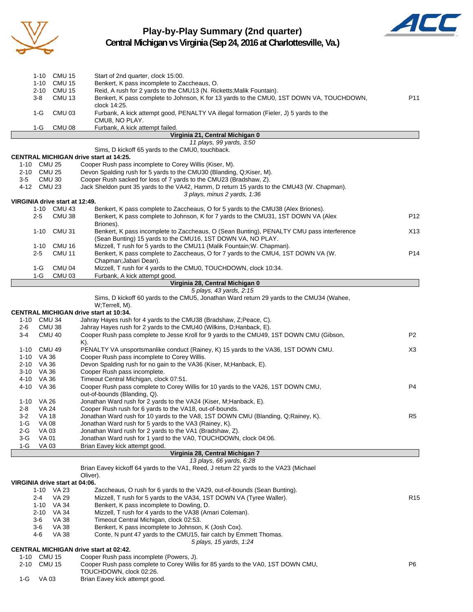

1-G VA 03 Brian Eavey kick attempt good.

# **Play-by-Play Summary (2nd quarter)**



|                          | 1-10          | <b>CMU 15</b>                  | Start of 2nd quarter, clock 15:00.                                                                                  |                 |
|--------------------------|---------------|--------------------------------|---------------------------------------------------------------------------------------------------------------------|-----------------|
|                          | 1-10          | CMU 15                         | Benkert, K pass incomplete to Zaccheaus, O.                                                                         |                 |
|                          | $2 - 10$      | <b>CMU 15</b>                  | Reid, A rush for 2 yards to the CMU13 (N. Ricketts; Malik Fountain).                                                |                 |
|                          | 3-8           | CMU <sub>13</sub>              | Benkert, K pass complete to Johnson, K for 13 yards to the CMU0, 1ST DOWN VA, TOUCHDOWN,                            | P11             |
|                          |               | CMU <sub>03</sub>              | clock 14:25.<br>Furbank, A kick attempt good, PENALTY VA illegal formation (Fieler, J) 5 yards to the               |                 |
|                          | 1-G           |                                | CMU8, NO PLAY.                                                                                                      |                 |
|                          | 1-G           | <b>CMU 08</b>                  | Furbank, A kick attempt failed.                                                                                     |                 |
|                          |               |                                | Virginia 21, Central Michigan 0                                                                                     |                 |
|                          |               |                                | 11 plays, 99 yards, 3:50                                                                                            |                 |
|                          |               |                                | Sims, D kickoff 65 yards to the CMU0, touchback.                                                                    |                 |
| 1-10 CMU 25              |               |                                | CENTRAL MICHIGAN drive start at 14:25.<br>Cooper Rush pass incomplete to Corey Willis (Kiser, M).                   |                 |
| 2-10 CMU 25              |               |                                | Devon Spalding rush for 5 yards to the CMU30 (Blanding, Q;Kiser, M).                                                |                 |
| 3-5                      |               | CMU <sub>30</sub>              | Cooper Rush sacked for loss of 7 yards to the CMU23 (Bradshaw, Z).                                                  |                 |
| 4-12 CMU 23              |               |                                | Jack Sheldon punt 35 yards to the VA42, Hamm, D return 15 yards to the CMU43 (W. Chapman).                          |                 |
|                          |               |                                | 3 plays, minus 2 yards, 1:36                                                                                        |                 |
|                          |               | VIRGINIA drive start at 12:49. |                                                                                                                     |                 |
|                          |               | 1-10 CMU 43                    | Benkert, K pass complete to Zaccheaus, O for 5 yards to the CMU38 (Alex Briones).                                   |                 |
|                          | $2 - 5$       | CMU 38                         | Benkert, K pass complete to Johnson, K for 7 yards to the CMU31, 1ST DOWN VA (Alex                                  | P12             |
|                          |               | 1-10 CMU 31                    | Briones).<br>Benkert, K pass incomplete to Zaccheaus, O (Sean Bunting), PENALTY CMU pass interference               | X13             |
|                          |               |                                | (Sean Bunting) 15 yards to the CMU16, 1ST DOWN VA, NO PLAY.                                                         |                 |
|                          | $1 - 10$      | <b>CMU 16</b>                  | Mizzell, T rush for 5 yards to the CMU11 (Malik Fountain; W. Chapman).                                              |                 |
|                          | 2-5           | <b>CMU 11</b>                  | Benkert, K pass complete to Zaccheaus, O for 7 yards to the CMU4, 1ST DOWN VA (W.                                   | P14             |
|                          |               |                                | Chapman; Jabari Dean).                                                                                              |                 |
|                          | 1-G           | CMU 04                         | Mizzell, T rush for 4 yards to the CMU0, TOUCHDOWN, clock 10:34.                                                    |                 |
|                          | 1-G           | <b>CMU 03</b>                  | Furbank, A kick attempt good.                                                                                       |                 |
|                          |               |                                | Virginia 28, Central Michigan 0                                                                                     |                 |
|                          |               |                                | 5 plays, 43 yards, 2:15<br>Sims, D kickoff 60 yards to the CMU5, Jonathan Ward return 29 yards to the CMU34 (Wahee, |                 |
|                          |               |                                | W;Terrell, M).                                                                                                      |                 |
|                          |               |                                | <b>CENTRAL MICHIGAN drive start at 10:34.</b>                                                                       |                 |
| 1-10 CMU 34              |               |                                | Jahray Hayes rush for 4 yards to the CMU38 (Bradshaw, Z; Peace, C).                                                 |                 |
| 2-6                      |               | CMU 38                         | Jahray Hayes rush for 2 yards to the CMU40 (Wilkins, D; Hanback, E).                                                |                 |
| 3-4                      |               | CMU 40                         | Cooper Rush pass complete to Jesse Kroll for 9 yards to the CMU49, 1ST DOWN CMU (Gibson,                            | P <sub>2</sub>  |
|                          |               |                                | K).                                                                                                                 |                 |
| 1-10 CMU 49              |               |                                | PENALTY VA unsportsmanlike conduct (Rainey, K) 15 yards to the VA36, 1ST DOWN CMU.                                  | X3              |
| 1-10 VA 36<br>2-10 VA 36 |               |                                | Cooper Rush pass incomplete to Corey Willis.                                                                        |                 |
| 3-10 VA 36               |               |                                | Devon Spalding rush for no gain to the VA36 (Kiser, M;Hanback, E).<br>Cooper Rush pass incomplete.                  |                 |
| 4-10 VA 36               |               |                                | Timeout Central Michigan, clock 07:51.                                                                              |                 |
| 4-10 VA 36               |               |                                | Cooper Rush pass complete to Corey Willis for 10 yards to the VA26, 1ST DOWN CMU,                                   | P4              |
|                          |               |                                | out-of-bounds (Blanding, Q).                                                                                        |                 |
| 1-10 VA 26               |               |                                | Jonathan Ward rush for 2 yards to the VA24 (Kiser, M;Hanback, E).                                                   |                 |
| 2-8                      | VA 24         |                                | Cooper Rush rush for 6 yards to the VA18, out-of-bounds.                                                            |                 |
| $3 - 2$                  | VA 18         |                                | Jonathan Ward rush for 10 yards to the VA8, 1ST DOWN CMU (Blanding, Q;Rainey, K).                                   | R <sub>5</sub>  |
| $1-G$                    | <b>VA 08</b>  |                                | Jonathan Ward rush for 5 yards to the VA3 (Rainey, K).                                                              |                 |
| 2-G                      | VA 03         |                                | Jonathan Ward rush for 2 yards to the VA1 (Bradshaw, Z).                                                            |                 |
| $3-G$<br>$1-G$           | <b>VA 01</b>  |                                | Jonathan Ward rush for 1 yard to the VA0, TOUCHDOWN, clock 04:06.                                                   |                 |
|                          | VA 03         |                                | Brian Eavey kick attempt good.<br>Virginia 28, Central Michigan 7                                                   |                 |
|                          |               |                                | 13 plays, 66 yards, 6:28                                                                                            |                 |
|                          |               |                                | Brian Eavey kickoff 64 yards to the VA1, Reed, J return 22 yards to the VA23 (Michael                               |                 |
|                          |               |                                | Oliver).                                                                                                            |                 |
|                          |               | VIRGINIA drive start at 04:06. |                                                                                                                     |                 |
|                          |               | 1-10 VA 23                     | Zaccheaus, O rush for 6 yards to the VA29, out-of-bounds (Sean Bunting).                                            |                 |
|                          | 2-4           | <b>VA 29</b>                   | Mizzell, T rush for 5 yards to the VA34, 1ST DOWN VA (Tyree Waller).<br>Benkert, K pass incomplete to Dowling, D.   | R <sub>15</sub> |
|                          | $2 - 10$      | 1-10 VA 34<br>VA 34            | Mizzell, T rush for 4 yards to the VA38 (Amari Coleman).                                                            |                 |
|                          | 3-6           | VA 38                          | Timeout Central Michigan, clock 02:53.                                                                              |                 |
|                          | 3-6           | VA 38                          | Benkert, K pass incomplete to Johnson, K (Josh Cox).                                                                |                 |
|                          | 4-6           | <b>VA 38</b>                   | Conte, N punt 47 yards to the CMU15, fair catch by Emmett Thomas.                                                   |                 |
|                          |               |                                | 5 plays, 15 yards, 1:24                                                                                             |                 |
|                          |               |                                | <b>CENTRAL MICHIGAN drive start at 02:42.</b>                                                                       |                 |
| 1-10                     | <b>CMU 15</b> |                                | Cooper Rush pass incomplete (Powers, J).                                                                            |                 |
| 2-10                     | CMU 15        |                                | Cooper Rush pass complete to Corey Willis for 85 yards to the VA0, 1ST DOWN CMU,                                    | P6              |
|                          |               |                                | TOUCHDOWN, clock 02:26.                                                                                             |                 |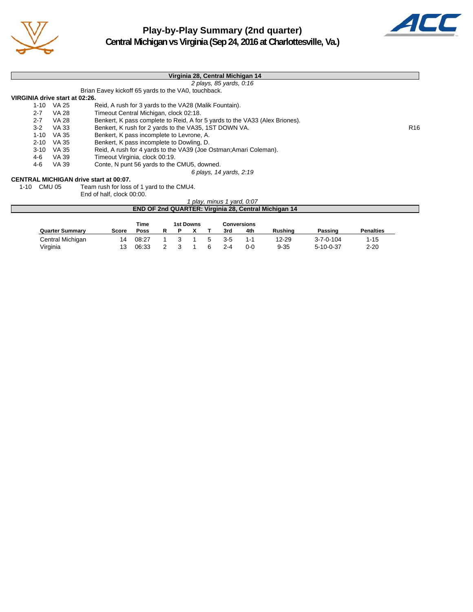

# **Play-by-Play Summary (2nd quarter) Central Michigan vs Virginia (Sep 24, 2016 at Charlottesville, Va.)**



|                                |              | Virginia 28, Central Michigan 14                                            |                 |
|--------------------------------|--------------|-----------------------------------------------------------------------------|-----------------|
|                                |              | 2 plays, 85 yards, 0:16                                                     |                 |
|                                |              | Brian Eavey kickoff 65 yards to the VA0, touchback.                         |                 |
| VIRGINIA drive start at 02:26. |              |                                                                             |                 |
| $1 - 10$                       | VA 25        | Reid, A rush for 3 yards to the VA28 (Malik Fountain).                      |                 |
| $2 - 7$                        | <b>VA 28</b> | Timeout Central Michigan, clock 02:18.                                      |                 |
| $2 - 7$                        | <b>VA 28</b> | Benkert, K pass complete to Reid, A for 5 yards to the VA33 (Alex Briones). |                 |
| $3-2$                          | VA 33        | Benkert, K rush for 2 yards to the VA35, 1ST DOWN VA.                       | R <sub>16</sub> |
| $1 - 10$                       | VA 35        | Benkert, K pass incomplete to Levrone, A.                                   |                 |
| $2 - 10$                       | VA 35        | Benkert, K pass incomplete to Dowling, D.                                   |                 |
| $3 - 10$                       | VA 35        | Reid, A rush for 4 yards to the VA39 (Joe Ostman; Amari Coleman).           |                 |
| 4-6                            | VA 39        | Timeout Virginia, clock 00:19.                                              |                 |
| 4-6                            | VA 39        | Conte, N punt 56 yards to the CMU5, downed.                                 |                 |
|                                |              | 6 plays, 14 yards, 2:19                                                     |                 |
|                                |              | <b>CENTRAL MICHIGAN drive start at 00:07.</b>                               |                 |
| 1-10 CMU 05                    |              | Team rush for loss of 1 yard to the CMU4.                                   |                 |
|                                |              | End of half, clock 00:00.                                                   |                 |
|                                |              | 1 play, minus 1 yard, 0:07                                                  |                 |
|                                |              | <b>END OF 2nd QUARTER: Virginia 28, Central Michigan 14</b>                 |                 |
|                                |              | Time<br><b>1et Downe</b><br>Conversions                                     |                 |

|                        |       | пше   |  | ISL DUWIIS |    |         | <b>CUIVEISIUIIS</b> |                |                   |                  |
|------------------------|-------|-------|--|------------|----|---------|---------------------|----------------|-------------------|------------------|
| <b>Quarter Summary</b> | Score | Poss  |  |            |    | 3rd     | 4th                 | <b>Rushing</b> | Passing           | <b>Penalties</b> |
| Central Michigan       |       | 08:27 |  |            | -5 | $3-5$   |                     | 12-29          | $3 - 7 - 0 - 104$ | $1 - 15$         |
| Virginia               |       | 06:33 |  |            | 6  | $2 - 4$ | 0-0                 | $9 - 35$       | 5-10-0-37         | $2 - 20$         |
|                        |       |       |  |            |    |         |                     |                |                   |                  |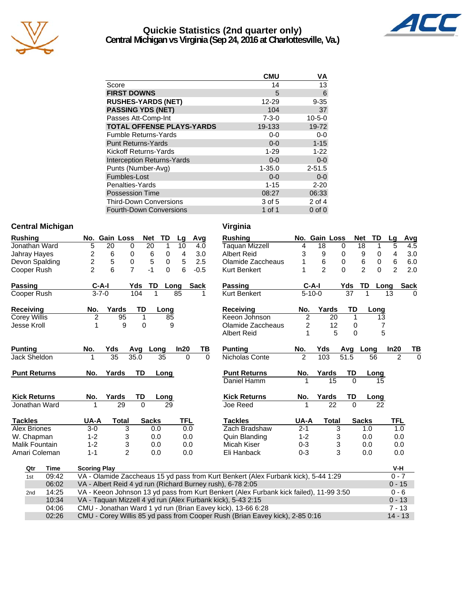

### **Quickie Statistics (2nd quarter only) Central Michigan vs Virginia (Sep 24, 2016 at Charlottesville, Va.)**



|                                   | <b>CMU</b>  | ٧A           |
|-----------------------------------|-------------|--------------|
| Score                             | 14          | 13           |
| <b>FIRST DOWNS</b>                | 5           | 6            |
| <b>RUSHES-YARDS (NET)</b>         | 12-29       | $9 - 35$     |
| <b>PASSING YDS (NET)</b>          | 104         | 37           |
| Passes Att-Comp-Int               | $7 - 3 - 0$ | $10 - 5 - 0$ |
| <b>TOTAL OFFENSE PLAYS-YARDS</b>  | 19-133      | 19-72        |
| <b>Fumble Returns-Yards</b>       | $0-0$       | $0 - 0$      |
| <b>Punt Returns-Yards</b>         | $0 - 0$     | $1 - 15$     |
| Kickoff Returns-Yards             | $1 - 29$    | $1 - 22$     |
| <b>Interception Returns-Yards</b> | $0 - 0$     | $0 - 0$      |
| Punts (Number-Avg)                | $1 - 35.0$  | $2 - 51.5$   |
| Fumbles-Lost                      | $0 - 0$     | $0-0$        |
| Penalties-Yards                   | $1 - 15$    | $2 - 20$     |
| <b>Possession Time</b>            | 08:27       | 06:33        |
| <b>Third-Down Conversions</b>     | 3 of 5      | 2 of 4       |
| <b>Fourth-Down Conversions</b>    | 1 of 1      | $0$ of $0$   |

#### **Central Michigan Virginia**

| <b>Rushing</b>        |       |                         |                 | No. Gain Loss  | <b>Net</b>   | <b>TD</b>   | Lg   | Avg         |          | <b>Rushing</b>                                                                         |                | No. Gain Loss  |                 | <b>Net</b> | TD                  | Lg             | Avg         |
|-----------------------|-------|-------------------------|-----------------|----------------|--------------|-------------|------|-------------|----------|----------------------------------------------------------------------------------------|----------------|----------------|-----------------|------------|---------------------|----------------|-------------|
| Jonathan Ward         |       | 5                       | 20              | 0              | 20           | $\mathbf 1$ | 10   | 4.0         |          | <b>Taquan Mizzell</b>                                                                  | 4              | 18             | $\mathbf 0$     |            | 18<br>1             | 5              | 4.5         |
| Jahray Hayes          |       | 2                       | 6               | 0              | 6            | 0           | 4    |             | 3.0      | <b>Albert Reid</b>                                                                     | 3              | 9              | 0               |            | 9<br>0              | 4              | 3.0         |
| Devon Spalding        |       | $\overline{\mathbf{c}}$ | 5               | 0              | 5            | 0           | 5    |             | 2.5      | Olamide Zaccheaus                                                                      |                | 6              | 0               |            | 6<br>0              | 6              | 6.0         |
| Cooper Rush           |       | $\overline{2}$          | 6               | $\overline{7}$ | $-1$         | $\Omega$    | 6    | $-0.5$      |          | Kurt Benkert                                                                           |                | $\mathfrak{p}$ | $\Omega$        |            | $\overline{2}$<br>0 | $\overline{2}$ | 2.0         |
| Passing               |       |                         | $C-A-I$         | Yds            | <b>TD</b>    |             | Long | <b>Sack</b> |          | <b>Passing</b>                                                                         |                | $C-A-I$        |                 | Yds        | TD                  | Long           | <b>Sack</b> |
| Cooper Rush           |       |                         | $3 - 7 - 0$     | 104            |              |             | 85   |             | 1        | Kurt Benkert                                                                           |                | $5 - 10 - 0$   |                 | 37         |                     | 13             | 0           |
| Receiving             |       | No.                     | Yards           |                | TD           | Long        |      |             |          | Receiving                                                                              | No.            | Yards          |                 | TD         | Long                |                |             |
| Corey Willis          |       | $\overline{2}$          |                 | 95             | 1            | 85          |      |             |          | Keeon Johnson                                                                          | $\overline{2}$ |                | 20              | 1          | 13                  |                |             |
| Jesse Kroll           |       | 1                       |                 | 9              | 0            | 9           |      |             |          | Olamide Zaccheaus                                                                      | 2              |                | 12              | 0          | 7                   |                |             |
|                       |       |                         |                 |                |              |             |      |             |          | <b>Albert Reid</b>                                                                     | 1              |                | 5               | $\Omega$   | 5                   |                |             |
| Punting               |       | No.                     | Yds             | Avg            | Long         |             | In20 |             | TВ       | <b>Punting</b>                                                                         | No.            | Yds            |                 | Avg        | Long                | In20           | TВ          |
| Jack Sheldon          |       | 1                       | $\overline{35}$ | 35.0           |              | 35          |      | $\Omega$    | $\Omega$ | Nicholas Conte                                                                         | $\overline{2}$ | 103            |                 | 51.5       | 56                  | $\overline{2}$ | $\Omega$    |
| <b>Punt Returns</b>   |       | No.                     | Yards           |                | TD           | Long        |      |             |          | <b>Punt Returns</b>                                                                    | No.            | Yards          |                 | TD         | Long                |                |             |
|                       |       |                         |                 |                |              |             |      |             |          | Daniel Hamm                                                                            |                |                | $\overline{15}$ | $\Omega$   | 15                  |                |             |
| <b>Kick Returns</b>   |       | No.                     | Yards           |                | TD           | Long        |      |             |          | <b>Kick Returns</b>                                                                    | No.            | Yards          |                 | TD         | Long                |                |             |
| Jonathan Ward         |       |                         |                 | 29             | $\Omega$     | 29          |      |             |          | Joe Reed                                                                               |                |                | $\overline{22}$ | $\Omega$   | $\overline{22}$     |                |             |
| <b>Tackles</b>        |       | UA-A                    |                 | <b>Total</b>   | <b>Sacks</b> |             | TFL  |             |          | <b>Tackles</b>                                                                         | UA-A           |                | <b>Total</b>    |            | <b>Sacks</b>        | <b>TFL</b>     |             |
| <b>Alex Briones</b>   |       | $3-0$                   |                 | 3              | 0.0          |             |      | 0.0         |          | Zach Bradshaw                                                                          | $2 - 1$        |                | $\overline{3}$  |            | 1.0                 | 1.0            |             |
| W. Chapman            |       | $1 - 2$                 |                 | 3              | 0.0          |             |      | 0.0         |          | Quin Blanding                                                                          | $1 - 2$        |                | 3               |            | 0.0                 | 0.0            |             |
| <b>Malik Fountain</b> |       | $1 - 2$                 |                 | 3              | 0.0          |             |      | 0.0         |          | Micah Kiser                                                                            | $0 - 3$        |                | 3               |            | 0.0                 | 0.0            |             |
| Amari Coleman         |       | $1 - 1$                 |                 | $\overline{2}$ | 0.0          |             |      | 0.0         |          | Eli Hanback                                                                            | $0 - 3$        |                | 3               |            | 0.0                 | 0.0            |             |
| Qtr                   | Time  | <b>Scoring Play</b>     |                 |                |              |             |      |             |          |                                                                                        |                |                |                 |            |                     | V-H            |             |
| 1st                   | 09:42 |                         |                 |                |              |             |      |             |          | VA - Olamide Zaccheaus 15 yd pass from Kurt Benkert (Alex Furbank kick), 5-44 1:29     |                |                |                 |            |                     | $0 - 7$        |             |
|                       | 06:02 |                         |                 |                |              |             |      |             |          | VA - Albert Reid 4 yd run (Richard Burney rush), 6-78 2:05                             |                |                |                 |            |                     | $0 - 15$       |             |
| 2 <sub>nd</sub>       | 14:25 |                         |                 |                |              |             |      |             |          | VA - Keeon Johnson 13 yd pass from Kurt Benkert (Alex Furbank kick failed), 11-99 3:50 |                |                |                 |            |                     | $0 - 6$        |             |
|                       | 10:34 |                         |                 |                |              |             |      |             |          | VA - Taquan Mizzell 4 yd run (Alex Furbank kick), 5-43 2:15                            |                |                |                 |            |                     | $0 - 13$       |             |
|                       | 04:06 |                         |                 |                |              |             |      |             |          | CMU - Jonathan Ward 1 yd run (Brian Eavey kick), 13-66 6:28                            |                |                |                 |            |                     | $7 - 13$       |             |
|                       | 02:26 |                         |                 |                |              |             |      |             |          | CMU - Corey Willis 85 yd pass from Cooper Rush (Brian Eavey kick), 2-85 0:16           |                |                |                 |            |                     | $14 - 13$      |             |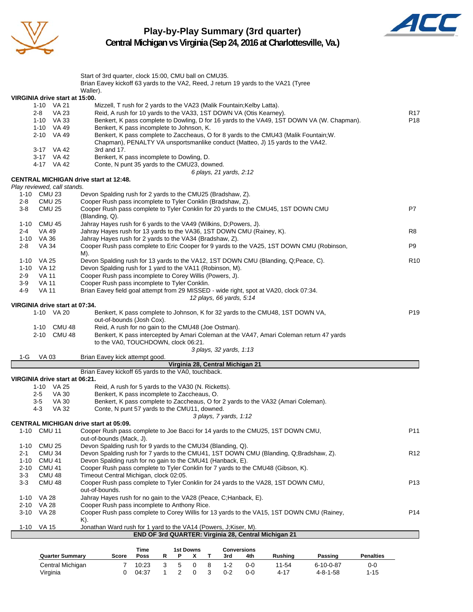

#### **Play-by-Play Summary (3rd quarter) Central Michigan vs Virginia (Sep 24, 2016 at Charlottesville, Va.)**



Start of 3rd quarter, clock 15:00, CMU ball on CMU35. Brian Eavey kickoff 63 yards to the VA2, Reed, J return 19 yards to the VA21 (Tyree Waller). **VIRGINIA drive start at 15:00.** 1-10 VA 21 Mizzell, T rush for 2 yards to the VA23 (Malik Fountain;Kelby Latta). 2-8 VA 23 Reid, A rush for 10 yards to the VA33, 1ST DOWN VA (Otis Kearney). 1-10 VA 33 Benkert, K pass complete to Dowling, D for 16 yards to the VA49, 1ST DOWN VA (W. Chapman). P18 1-10 VA 49 Benkert, K pass incomplete to Johnson, K.<br>2-10 VA 49 Benkert. K pass complete to Zaccheaus. O Benkert, K pass complete to Zaccheaus, O for 8 yards to the CMU43 (Malik Fountain;W. Chapman), PENALTY VA unsportsmanlike conduct (Matteo, J) 15 yards to the VA42. 3-17 VA 42 3rd and 17.<br>3-17 VA 42 Benkert, K 3-17 VA 42 Benkert, K pass incomplete to Dowling, D.<br>4-17 VA 42 Conte, N punt 35 yards to the CMU23, dov Conte, N punt 35 yards to the CMU23, downed. *6 plays, 21 yards, 2:12* **CENTRAL MICHIGAN drive start at 12:48.** *Play reviewed, call stands.* 1-10 CMU 23 Devon Spalding rush for 2 yards to the CMU25 (Bradshaw, Z). 2-8 CMU 25 Cooper Rush pass incomplete to Tyler Conklin (Bradshaw, Z).<br>3-8 CMU 25 Cooper Rush pass complete to Tyler Conklin for 20 vards to th Cooper Rush pass complete to Tyler Conklin for 20 yards to the CMU45, 1ST DOWN CMU P7 (Blanding, Q). 1-10 CMU 45 Jahray Hayes rush for 6 yards to the VA49 (Wilkins, D;Powers, J). 2-4 VA 49 Jahray Hayes rush for 13 yards to the VA36, 1ST DOWN CMU (Rainey, K). R8 1-10 VA 36 Jahray Hayes rush for 2 yards to the VA34 (Bradshaw, Z). 2-8 VA 34 Cooper Rush pass complete to Eric Cooper for 9 yards to the VA25, 1ST DOWN CMU (Robinson, P9 M). 1-10 VA 25 Devon Spalding rush for 13 yards to the VA12, 1ST DOWN CMU (Blanding, Q;Peace, C). R10 1-10 VA 12 Devon Spalding rush for 1 yard to the VA11 (Robinson, M). 2-9 VA 11 Cooper Rush pass incomplete to Corey Willis (Powers, J). 3-9 VA 11 Cooper Rush pass incomplete to Tyler Conklin. 4-9 VA 11 Brian Eavey field goal attempt from 29 MISSED - wide right, spot at VA20, clock 07:34. *12 plays, 66 yards, 5:14* **VIRGINIA drive start at 07:34.** 1-10 VA 20 Benkert, K pass complete to Johnson, K for 32 yards to the CMU48, 1ST DOWN VA, out-of-bounds (Josh Cox). 1-10 CMU 48 Reid, A rush for no gain to the CMU48 (Joe Ostman). 2-10 CMU 48 Benkert, K pass intercepted by Amari Coleman at the VA47, Amari Coleman return 47 yards to the VA0, TOUCHDOWN, clock 06:21. *3 plays, 32 yards, 1:13* 1-G VA 03 Brian Eavey kick attempt good. **Virginia 28, Central Michigan 21** Brian Eavey kickoff 65 yards to the VA0, touchback. **VIRGINIA drive start at 06:21.** 1-10 VA 25 Reid, A rush for 5 yards to the VA30 (N. Ricketts). 2-5 VA 30 Benkert, K pass incomplete to Zaccheaus, O. 3-5 VA 30 Benkert, K pass complete to Zaccheaus, O for 2 yards to the VA32 (Amari Coleman).<br>4-3 VA 32 Conte. N punt 57 vards to the CMU11. downed. 4-3 VA 32 Conte, N punt 57 yards to the CMU11, downed. *3 plays, 7 yards, 1:12* **CENTRAL MICHIGAN drive start at 05:09.** 1-10 CMU 11 Cooper Rush pass complete to Joe Bacci for 14 yards to the CMU25, 1ST DOWN CMU, P11 out-of-bounds (Mack, J). 1-10 CMU 25 Devon Spalding rush for 9 yards to the CMU34 (Blanding, Q). 2-1 CMU 34 Devon Spalding rush for 7 yards to the CMU41, 1ST DOWN CMU (Blanding, Q;Bradshaw, Z). 1-10 CMU 41 Devon Spalding rush for no gain to the CMU41 (Hanback, E). 2-10 CMU 41 Cooper Rush pass complete to Tyler Conklin for 7 yards to the CMU48 (Gibson, K). 3-3 CMU 48 Timeout Central Michigan, clock 02:05. 3-3 CMU 48 Cooper Rush pass complete to Tyler Conklin for 24 yards to the VA28, 1ST DOWN CMU, out-of-bounds. 1-10 VA 28 Jahray Hayes rush for no gain to the VA28 (Peace, C;Hanback, E). 2-10 VA 28 Cooper Rush pass incomplete to Anthony Rice. 3-10 VA 28 Cooper Rush pass complete to Corey Willis for 13 yards to the VA15, 1ST DOWN CMU (Rainey, P14 K). 1-10 VA 15 Jonathan Ward rush for 1 yard to the VA14 (Powers, J;Kiser, M). **END OF 3rd QUARTER: Virginia 28, Central Michigan 21**

|                        |       | Time  |  | 1st Downs | Conversions |         |                |                   |                  |
|------------------------|-------|-------|--|-----------|-------------|---------|----------------|-------------------|------------------|
| <b>Quarter Summary</b> | Score | Poss  |  |           | 3rd         | 4th     | <b>Rushing</b> | Passing           | <b>Penalties</b> |
| Central Michigan       |       | 10:23 |  |           | 1-2         | $0 - 0$ | $11 - 54$      | $6 - 10 - 0 - 87$ | 0-0              |
| Virginia               |       | 04:37 |  |           | $0 - 2$     | $0 - 0$ | 4-17           | $4 - 8 - 1 - 58$  | $1 - 15$         |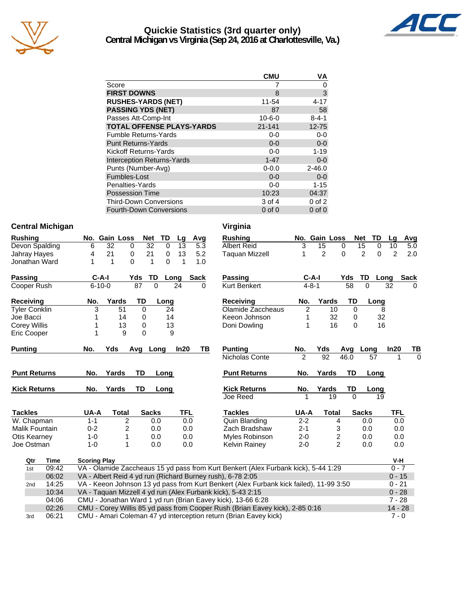

#### **Quickie Statistics (3rd quarter only) Central Michigan vs Virginia (Sep 24, 2016 at Charlottesville, Va.)**



| <u>U CHIM AI MICHIQAH VS VII QIHIA (SEP 24, 2010 AL CHAHOLIESVIIIE, VA.</u> |  |
|-----------------------------------------------------------------------------|--|
|                                                                             |  |
|                                                                             |  |
|                                                                             |  |

|                                   | CMU          | ٧A          |
|-----------------------------------|--------------|-------------|
| Score                             |              | 0           |
| <b>FIRST DOWNS</b>                | 8            | 3           |
| <b>RUSHES-YARDS (NET)</b>         | 11-54        | 4-17        |
| <b>PASSING YDS (NET)</b>          | 87           | 58          |
| Passes Att-Comp-Int               | $10 - 6 - 0$ | $8 - 4 - 1$ |
| <b>TOTAL OFFENSE PLAYS-YARDS</b>  | $21 - 141$   | $12 - 75$   |
| <b>Fumble Returns-Yards</b>       | $0 - 0$      | $0-0$       |
| <b>Punt Returns-Yards</b>         | $0 - 0$      | $0 - 0$     |
| Kickoff Returns-Yards             | $0 - 0$      | $1 - 19$    |
| <b>Interception Returns-Yards</b> | $1 - 47$     | $0-0$       |
| Punts (Number-Avg)                | $0 - 0.0$    | $2 - 46.0$  |
| Fumbles-Lost                      | $0 - 0$      | $0 - 0$     |
| Penalties-Yards                   | 0-0          | $1 - 15$    |
| Possession Time                   | 10:23        | 04:37       |
| <b>Third-Down Conversions</b>     | 3 of 4       | $0$ of $2$  |
| <b>Fourth-Down Conversions</b>    | $0$ of $0$   | $0$ of $0$  |

#### **Central Michigan Virginia**

| <b>Rushing</b> |                          |                     | No. Gain Loss | Net            | TD          | Lg         | Avg         |     | <b>Rushing</b>                                                                         |                | No. Gain Loss   |                | <b>TD</b><br>Net    | La             | Avg         |
|----------------|--------------------------|---------------------|---------------|----------------|-------------|------------|-------------|-----|----------------------------------------------------------------------------------------|----------------|-----------------|----------------|---------------------|----------------|-------------|
|                | Devon Spalding           | 6                   | 32<br>0       | 32             | $\mathbf 0$ | 13         |             | 5.3 | <b>Albert Reid</b>                                                                     | 3              | 15              | 0              | 15<br>0             | 10             | 5.0         |
|                | Jahray Hayes             | 4                   | 21<br>0       | 21             | $\mathbf 0$ | 13         |             | 5.2 | <b>Taguan Mizzell</b>                                                                  | 1              | $\overline{c}$  | $\mathbf 0$    | $\overline{c}$<br>0 | $\overline{2}$ | 2.0         |
|                | Jonathan Ward            | 1                   | 1<br>$\Omega$ | 1              | $\Omega$    | 1          |             | 1.0 |                                                                                        |                |                 |                |                     |                |             |
| Passing        |                          | $C-A-I$             |               | TD<br>Yds      | Long        |            | <b>Sack</b> |     | Passing                                                                                |                | $C-A-I$         | Yds            | TD<br>Long          |                | <b>Sack</b> |
|                | Cooper Rush              | $6 - 10 - 0$        |               | 87<br>$\Omega$ |             | 24         |             | 0   | Kurt Benkert                                                                           | $4 - 8 - 1$    |                 | 58             | $\Omega$            | 32             | 0           |
| Receiving      |                          | No.                 | Yards         | TD             | Long        |            |             |     | <b>Receiving</b>                                                                       | No.            | Yards           | TD             | Long                |                |             |
|                | <b>Tyler Conklin</b>     | 3                   | 51            | $\Omega$       | 24          |            |             |     | Olamide Zaccheaus                                                                      | $\overline{c}$ | 10              | $\Omega$       | 8                   |                |             |
| Joe Bacci      |                          |                     | 14            | 0              | 14          |            |             |     | Keeon Johnson                                                                          | 1              | 32              | 0              | 32                  |                |             |
|                | Corey Willis             |                     | 13            | 0              | 13          |            |             |     | Doni Dowling                                                                           | 1              | 16              | $\Omega$       | 16                  |                |             |
|                | Eric Cooper              |                     | 9             | 0              | 9           |            |             |     |                                                                                        |                |                 |                |                     |                |             |
| <b>Punting</b> |                          | No.                 | Yds           | Avg<br>Long    |             | In20       |             | ΤВ  | <b>Punting</b>                                                                         | No.            | Yds             | Avg            | Long                | In20           | ТВ          |
|                |                          |                     |               |                |             |            |             |     | Nicholas Conte                                                                         | $\mathfrak{p}$ | $\overline{92}$ | 46.0           | 57                  |                | $\Omega$    |
|                | <b>Punt Returns</b>      | No.                 | Yards         | TD             | Long        |            |             |     | <b>Punt Returns</b>                                                                    | No.            | Yards           | TD             | Long                |                |             |
|                | <b>Kick Returns</b>      | No.                 | Yards         | TD             | Long        |            |             |     | <b>Kick Returns</b>                                                                    | No.            | Yards           | TD             | Long                |                |             |
|                |                          |                     |               |                |             |            |             |     | Joe Reed                                                                               |                | 19              | $\Omega$       | 19                  |                |             |
| <b>Tackles</b> |                          | UA-A                | <b>Total</b>  | <b>Sacks</b>   |             | <b>TFL</b> |             |     | <b>Tackles</b>                                                                         | UA-A           | <b>Total</b>    |                | <b>Sacks</b>        | <b>TFL</b>     |             |
|                | $\overline{W}$ . Chapman | $1 - 1$             | 2             | 0.0            |             |            | 0.0         |     | <b>Quin Blanding</b>                                                                   | $2 - 2$        |                 | $\overline{4}$ | 0.0                 | 0.0            |             |
|                | Malik Fountain           | $0 - 2$             | 2             | 0.0            |             |            | 0.0         |     | Zach Bradshaw                                                                          | $2 - 1$        |                 | 3              | 0.0                 | 0.0            |             |
|                | <b>Otis Kearney</b>      | $1 - 0$             | 1             | 0.0            |             |            | 0.0         |     | Myles Robinson                                                                         | $2 - 0$        |                 | 2              | 0.0                 | 0.0            |             |
|                | Joe Ostman               | $1 - 0$             | 1             | 0.0            |             |            | 0.0         |     | <b>Kelvin Rainey</b>                                                                   | $2 - 0$        |                 | 2              | 0.0                 | 0.0            |             |
|                | Time<br>Qtr              | <b>Scoring Play</b> |               |                |             |            |             |     |                                                                                        |                |                 |                |                     | V-H            |             |
|                | 09:42<br>1st             |                     |               |                |             |            |             |     | VA - Olamide Zaccheaus 15 yd pass from Kurt Benkert (Alex Furbank kick), 5-44 1:29     |                |                 |                |                     | $0 - 7$        |             |
|                | 06:02                    |                     |               |                |             |            |             |     | VA - Albert Reid 4 yd run (Richard Burney rush), 6-78 2:05                             |                |                 |                |                     | $0 - 15$       |             |
|                | 14:25<br>2 <sub>nd</sub> |                     |               |                |             |            |             |     | VA - Keeon Johnson 13 yd pass from Kurt Benkert (Alex Furbank kick failed), 11-99 3:50 |                |                 |                |                     | $0 - 21$       |             |
|                | 10:34                    |                     |               |                |             |            |             |     | VA - Taquan Mizzell 4 yd run (Alex Furbank kick), 5-43 2:15                            |                |                 |                |                     | $0 - 28$       |             |
|                | 04:06                    |                     |               |                |             |            |             |     | CMU - Jonathan Ward 1 yd run (Brian Eavey kick), 13-66 6:28                            |                |                 |                |                     | $7 - 28$       |             |
|                | 02:26                    |                     |               |                |             |            |             |     | CMU - Corey Willis 85 yd pass from Cooper Rush (Brian Eavey kick), 2-85 0:16           |                |                 |                |                     | $14 - 28$      |             |
|                | 06:21<br>3rd             |                     |               |                |             |            |             |     | CMU - Amari Coleman 47 yd interception return (Brian Eavey kick)                       |                |                 |                |                     | $7 - 0$        |             |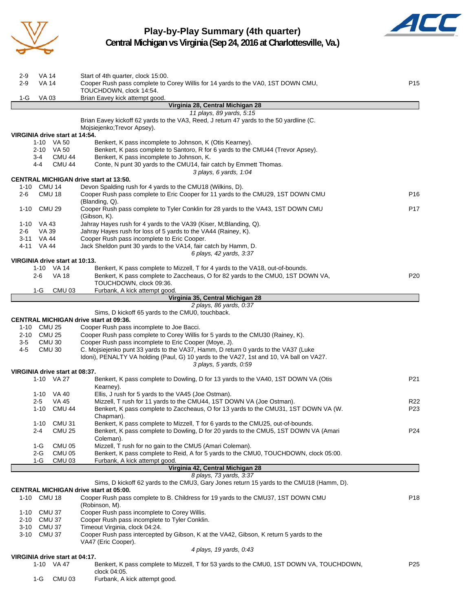

#### **Play-by-Play Summary (4th quarter) Central Michigan vs Virginia (Sep 24, 2016 at Charlottesville, Va.)**



| $2-9$        | VA 14               |                                              | Start of 4th quarter, clock 15:00.                                                                                                                          |                 |
|--------------|---------------------|----------------------------------------------|-------------------------------------------------------------------------------------------------------------------------------------------------------------|-----------------|
| $2-9$        | VA 14               |                                              | Cooper Rush pass complete to Corey Willis for 14 yards to the VA0, 1ST DOWN CMU,<br>TOUCHDOWN, clock 14:54.                                                 | P <sub>15</sub> |
| 1-G          | VA 03               |                                              | Brian Eavey kick attempt good.                                                                                                                              |                 |
|              |                     |                                              | Virginia 28, Central Michigan 28                                                                                                                            |                 |
|              |                     |                                              | 11 plays, 89 yards, 5:15<br>Brian Eavey kickoff 62 yards to the VA3, Reed, J return 47 yards to the 50 yardline (C.                                         |                 |
|              |                     |                                              | Mojsiejenko; Trevor Apsey).                                                                                                                                 |                 |
|              |                     | VIRGINIA drive start at 14:54.<br>1-10 VA 50 |                                                                                                                                                             |                 |
|              |                     | 2-10 VA 50                                   | Benkert, K pass incomplete to Johnson, K (Otis Kearney).<br>Benkert, K pass complete to Santoro, R for 6 yards to the CMU44 (Trevor Apsey).                 |                 |
|              | 3-4                 | <b>CMU 44</b>                                | Benkert, K pass incomplete to Johnson, K.                                                                                                                   |                 |
|              | 4-4                 | <b>CMU 44</b>                                | Conte, N punt 30 yards to the CMU14, fair catch by Emmett Thomas.<br>3 plays, 6 yards, 1:04                                                                 |                 |
|              |                     |                                              | <b>CENTRAL MICHIGAN drive start at 13:50.</b>                                                                                                               |                 |
|              | 1-10 CMU 14         |                                              | Devon Spalding rush for 4 yards to the CMU18 (Wilkins, D).                                                                                                  |                 |
| 2-6          |                     | <b>CMU 18</b>                                | Cooper Rush pass complete to Eric Cooper for 11 yards to the CMU29, 1ST DOWN CMU                                                                            | P16             |
| $1 - 10$     |                     | <b>CMU 29</b>                                | (Blanding, Q).<br>Cooper Rush pass complete to Tyler Conklin for 28 yards to the VA43, 1ST DOWN CMU                                                         | P <sub>17</sub> |
|              |                     |                                              | (Gibson, K).                                                                                                                                                |                 |
|              | 1-10 VA 43          |                                              | Jahray Hayes rush for 4 yards to the VA39 (Kiser, M;Blanding, Q).                                                                                           |                 |
| 2-6          | VA 39<br>3-11 VA 44 |                                              | Jahray Hayes rush for loss of 5 yards to the VA44 (Rainey, K).<br>Cooper Rush pass incomplete to Eric Cooper.                                               |                 |
|              | 4-11 VA 44          |                                              | Jack Sheldon punt 30 yards to the VA14, fair catch by Hamm, D.                                                                                              |                 |
|              |                     |                                              | 6 plays, 42 yards, 3:37                                                                                                                                     |                 |
|              |                     | VIRGINIA drive start at 10:13.               |                                                                                                                                                             |                 |
|              |                     | 1-10 VA 14                                   | Benkert, K pass complete to Mizzell, T for 4 yards to the VA18, out-of-bounds.                                                                              |                 |
|              | 2-6                 | VA 18                                        | Benkert, K pass complete to Zaccheaus, O for 82 yards to the CMU0, 1ST DOWN VA,<br>TOUCHDOWN, clock 09:36.                                                  | P <sub>20</sub> |
|              | 1-G                 | CMU <sub>03</sub>                            | Furbank, A kick attempt good.                                                                                                                               |                 |
|              |                     |                                              | Virginia 35, Central Michigan 28                                                                                                                            |                 |
|              |                     |                                              | 2 plays, 86 yards, 0:37                                                                                                                                     |                 |
|              |                     |                                              | Sims, D kickoff 65 yards to the CMU0, touchback.<br><b>CENTRAL MICHIGAN drive start at 09:36.</b>                                                           |                 |
|              | 1-10 CMU 25         |                                              | Cooper Rush pass incomplete to Joe Bacci.                                                                                                                   |                 |
|              | 2-10 CMU 25         |                                              | Cooper Rush pass complete to Corey Willis for 5 yards to the CMU30 (Rainey, K).                                                                             |                 |
| $3-5$        |                     | <b>CMU 30</b>                                | Cooper Rush pass incomplete to Eric Cooper (Moye, J).                                                                                                       |                 |
| 4-5          |                     | <b>CMU 30</b>                                | C. Mojsiejenko punt 33 yards to the VA37, Hamm, D return 0 yards to the VA37 (Luke                                                                          |                 |
|              |                     |                                              | Idoni), PENALTY VA holding (Paul, G) 10 yards to the VA27, 1st and 10, VA ball on VA27.<br>3 plays, 5 yards, 0:59                                           |                 |
|              |                     | VIRGINIA drive start at 08:37.               |                                                                                                                                                             |                 |
|              |                     | 1-10 VA 27                                   | Benkert, K pass complete to Dowling, D for 13 yards to the VA40, 1ST DOWN VA (Otis                                                                          | P21             |
|              |                     |                                              | Kearney).                                                                                                                                                   |                 |
|              |                     | 1-10 VA 40                                   | Ellis, J rush for 5 yards to the VA45 (Joe Ostman).                                                                                                         |                 |
|              | 2-5                 | <b>VA 45</b><br>1-10 CMU 44                  | Mizzell, T rush for 11 yards to the CMU44, 1ST DOWN VA (Joe Ostman).<br>Benkert, K pass complete to Zaccheaus, O for 13 yards to the CMU31, 1ST DOWN VA (W. | R22<br>P23      |
|              |                     |                                              | Chapman).                                                                                                                                                   |                 |
|              | $1 - 10$            | CMU <sub>31</sub>                            | Benkert, K pass complete to Mizzell, T for 6 yards to the CMU25, out-of-bounds.                                                                             |                 |
|              | $2 - 4$             | <b>CMU 25</b>                                | Benkert, K pass complete to Dowling, D for 20 yards to the CMU5, 1ST DOWN VA (Amari                                                                         | P24             |
|              |                     |                                              | Coleman).                                                                                                                                                   |                 |
|              | 1-G<br>2-G          | <b>CMU 05</b><br><b>CMU 05</b>               | Mizzell, T rush for no gain to the CMU5 (Amari Coleman).<br>Benkert, K pass complete to Reid, A for 5 yards to the CMU0, TOUCHDOWN, clock 05:00.            |                 |
|              | 1-G                 | <b>CMU 03</b>                                | Furbank, A kick attempt good.                                                                                                                               |                 |
|              |                     |                                              | Virginia 42, Central Michigan 28                                                                                                                            |                 |
|              |                     |                                              | 8 plays, 73 yards, 3:37                                                                                                                                     |                 |
|              |                     |                                              | Sims, D kickoff 62 yards to the CMU3, Gary Jones return 15 yards to the CMU18 (Hamm, D).<br><b>CENTRAL MICHIGAN drive start at 05:00.</b>                   |                 |
| 1-10         |                     | CMU <sub>18</sub>                            | Cooper Rush pass complete to B. Childress for 19 yards to the CMU37, 1ST DOWN CMU                                                                           | P <sub>18</sub> |
|              |                     |                                              | (Robinson, M).                                                                                                                                              |                 |
| 1-10         |                     | CMU 37                                       | Cooper Rush pass incomplete to Corey Willis.                                                                                                                |                 |
| 2-10<br>3-10 |                     | CMU 37<br>CMU 37                             | Cooper Rush pass incomplete to Tyler Conklin.<br>Timeout Virginia, clock 04:24.                                                                             |                 |
| $3 - 10$     |                     | CMU 37                                       | Cooper Rush pass intercepted by Gibson, K at the VA42, Gibson, K return 5 yards to the                                                                      |                 |
|              |                     |                                              | VA47 (Eric Cooper).                                                                                                                                         |                 |
|              |                     |                                              | 4 plays, 19 yards, 0:43                                                                                                                                     |                 |
|              |                     | VIRGINIA drive start at 04:17.               |                                                                                                                                                             |                 |
|              |                     | 1-10 VA 47                                   | Benkert, K pass complete to Mizzell, T for 53 yards to the CMU0, 1ST DOWN VA, TOUCHDOWN,<br>clock 04:05.                                                    | P25             |
|              | 1-G                 | CMU <sub>03</sub>                            | Furbank, A kick attempt good.                                                                                                                               |                 |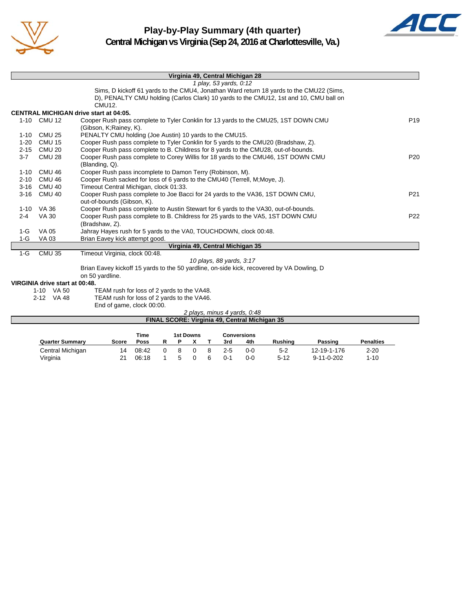



|          |                                | Virginia 49, Central Michigan 28                                                                             |                 |
|----------|--------------------------------|--------------------------------------------------------------------------------------------------------------|-----------------|
|          |                                | 1 play, 53 yards, 0:12                                                                                       |                 |
|          |                                | Sims, D kickoff 61 yards to the CMU4, Jonathan Ward return 18 yards to the CMU22 (Sims,                      |                 |
|          |                                | D), PENALTY CMU holding (Carlos Clark) 10 yards to the CMU12, 1st and 10, CMU ball on                        |                 |
|          |                                | CMU12.                                                                                                       |                 |
|          |                                | <b>CENTRAL MICHIGAN drive start at 04:05.</b>                                                                |                 |
|          | 1-10 CMU 12                    | Cooper Rush pass complete to Tyler Conklin for 13 yards to the CMU25, 1ST DOWN CMU<br>(Gibson, K;Rainey, K). | P <sub>19</sub> |
| $1 - 10$ | <b>CMU 25</b>                  | PENALTY CMU holding (Joe Austin) 10 yards to the CMU15.                                                      |                 |
| $1 - 20$ | <b>CMU 15</b>                  | Cooper Rush pass complete to Tyler Conklin for 5 yards to the CMU20 (Bradshaw, Z).                           |                 |
| $2 - 15$ | CMU 20                         | Cooper Rush pass complete to B. Childress for 8 yards to the CMU28, out-of-bounds.                           |                 |
| $3 - 7$  | <b>CMU 28</b>                  | Cooper Rush pass complete to Corey Willis for 18 yards to the CMU46, 1ST DOWN CMU<br>(Blanding, Q).          | P <sub>20</sub> |
| $1 - 10$ | CMU 46                         | Cooper Rush pass incomplete to Damon Terry (Robinson, M).                                                    |                 |
| $2 - 10$ | CMU 46                         | Cooper Rush sacked for loss of 6 yards to the CMU40 (Terrell, M; Moye, J).                                   |                 |
| $3 - 16$ | <b>CMU 40</b>                  | Timeout Central Michigan, clock 01:33.                                                                       |                 |
| $3 - 16$ | CMU 40                         | Cooper Rush pass complete to Joe Bacci for 24 yards to the VA36, 1ST DOWN CMU,<br>out-of-bounds (Gibson, K). | P <sub>21</sub> |
| 1-10     | VA 36                          | Cooper Rush pass complete to Austin Stewart for 6 yards to the VA30, out-of-bounds.                          |                 |
| $2 - 4$  | <b>VA 30</b>                   | Cooper Rush pass complete to B. Childress for 25 yards to the VA5, 1ST DOWN CMU<br>(Bradshaw, Z).            | P <sub>22</sub> |
| $1-G$    | VA 05                          | Jahray Hayes rush for 5 yards to the VA0, TOUCHDOWN, clock 00:48.                                            |                 |
| $1-G$    | VA 03                          | Brian Eavey kick attempt good.                                                                               |                 |
|          |                                | Virginia 49, Central Michigan 35                                                                             |                 |
| $1-G$    | <b>CMU 35</b>                  | Timeout Virginia, clock 00:48.                                                                               |                 |
|          |                                | 10 plays, 88 yards, 3:17                                                                                     |                 |
|          |                                | Brian Eavey kickoff 15 yards to the 50 yardline, on-side kick, recovered by VA Dowling, D<br>on 50 yardline. |                 |
|          | VIRGINIA drive start at 00:48. |                                                                                                              |                 |
|          |                                | $T T A M = -1$ , $T = -1$ , $T = -1$ , $T = -1$ , $T = 1$ , $T = 1$                                          |                 |

1-10 VA 50 TEAM rush for loss of 2 yards to the VA48.

2-12 VA 48 TEAM rush for loss of 2 yards to the VA46.

End of game, clock 00:00.

| 2 plays, minus 4 yards, 0:48                  |              |             |    |   |                  |  |         |                    |          |                    |                  |  |
|-----------------------------------------------|--------------|-------------|----|---|------------------|--|---------|--------------------|----------|--------------------|------------------|--|
| FINAL SCORE: Virginia 49, Central Michigan 35 |              |             |    |   |                  |  |         |                    |          |                    |                  |  |
|                                               |              | Time        |    |   | <b>1st Downs</b> |  |         | <b>Conversions</b> |          |                    |                  |  |
| <b>Quarter Summary</b>                        | <b>Score</b> | <b>Poss</b> | R  | Р |                  |  | 3rd     | 4th                | Rushina  | Passing            | <b>Penalties</b> |  |
| Central Michigan                              | 14           | 08:42       | O. | 8 |                  |  | $2 - 5$ | $0 - 0$            | $5 - 2$  | 12-19-1-176        | $2 - 20$         |  |
| Virginia                                      |              | 06:18       |    |   |                  |  | 0-1     | 0-0                | $5 - 12$ | $9 - 11 - 0 - 202$ | $1 - 10$         |  |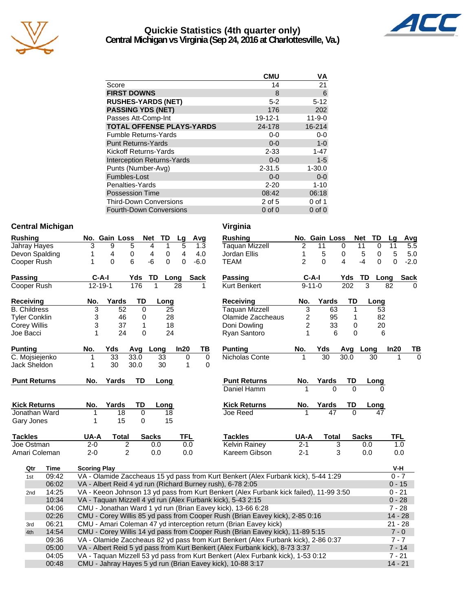

#### **Quickie Statistics (4th quarter only) Central Michigan vs Virginia (Sep 24, 2016 at Charlottesville, Va.)**



| <b>CMU</b>    | VA           |
|---------------|--------------|
| 14            | 21           |
| 8             | 6            |
| $5 - 2$       | $5 - 12$     |
| 176           | 202          |
| $19 - 12 - 1$ | $11 - 9 - 0$ |
| 24-178        | 16-214       |
| $0 - 0$       | $0-0$        |
| $0 - 0$       | $1 - 0$      |
| $2 - 33$      | $1 - 47$     |
| $0 - 0$       | $1 - 5$      |
| $2 - 31.5$    | $1 - 30.0$   |
| $0 - 0$       | $0-0$        |
| $2 - 20$      | $1 - 10$     |
| 08:42         | 06:18        |
| 2 of 5        | $0$ of 1     |
| $0$ of $0$    | $0$ of $0$   |
|               |              |

#### **Central Michigan Central Michigan Central Michigan**

| <b>Rushing</b>       |             |                     | No. Gain Loss   |                         | <b>Net</b>   | TD           | Lg           | Avg         | <b>Rushing</b>                                                                         |                | No. Gain Loss   |          | <b>Net</b>   | TD       | Lg         | <b>Av</b> |
|----------------------|-------------|---------------------|-----------------|-------------------------|--------------|--------------|--------------|-------------|----------------------------------------------------------------------------------------|----------------|-----------------|----------|--------------|----------|------------|-----------|
| Jahray Hayes         |             | 3                   | 9               | 5                       | 4            | $\mathbf{1}$ | 5            | 1.3         | Taquan Mizzell                                                                         | $\overline{2}$ | 11              | $\Omega$ | 11           | $\Omega$ | 11         | 5.5       |
| Devon Spalding       |             | 1                   | 4               | 0                       | 4            | 0            | 4            | 4.0         | Jordan Ellis                                                                           | 1              | 5               | 0        | 5            | 0        | 5          | 5.0       |
| Cooper Rush          |             | 1                   | $\Omega$        | 6                       | $-6$         | $\Omega$     | $\mathbf 0$  | $-6.0$      | <b>TEAM</b>                                                                            | $\overline{2}$ | $\Omega$        | 4        | $-4$         | 0        | 0          | $-2.0$    |
| <b>Passing</b>       |             |                     | $C-A-I$         | Yds                     | TD           | Long         |              | Sack        | <b>Passing</b>                                                                         |                | $C-A-I$         | Yds      | TD           | Long     |            | Sacl      |
| Cooper Rush          |             |                     | $12 - 19 - 1$   | 176                     | 1            |              | 28           |             | Kurt Benkert                                                                           |                | $9 - 11 - 0$    | 202      | 3            |          | 82         |           |
| Receiving            |             | No.                 | Yards           | TD                      |              | Long         |              |             | Receiving                                                                              | No.            | Yards           | TD       |              | Long     |            |           |
| <b>B.</b> Childress  |             | 3                   | 52              | $\Omega$                |              | 25           |              |             | <b>Taquan Mizzell</b>                                                                  | 3              | 63              | 1        |              | 53       |            |           |
| <b>Tyler Conklin</b> |             | 3                   | 46              | 0                       |              | 28           |              |             | Olamide Zaccheaus                                                                      | 2              | 95              | 1        |              | 82       |            |           |
| <b>Corey Willis</b>  |             | 3                   | 37              | 1                       |              | 18           |              |             | Doni Dowling                                                                           | $\overline{2}$ | 33              | 0        |              | 20       |            |           |
| Joe Bacci            |             | 1                   | 24              | 0                       |              | 24           |              |             | Ryan Santoro                                                                           | 1              | 6               | $\Omega$ |              | 6        |            |           |
| <b>Punting</b>       |             | No.                 | Yds             | Avg                     | Long         |              | In20         | TВ          | <b>Punting</b>                                                                         | No.            | Yds             | Avg      | Long         |          | In20       |           |
| C. Mojsiejenko       |             | 1                   | $\overline{33}$ | 33.0                    | 33           |              | 0            | $\mathbf 0$ | Nicholas Conte                                                                         |                | $\overline{30}$ | 30.0     |              | 30       |            |           |
| Jack Sheldon         |             | 1                   | 30              | 30.0                    | 30           |              | $\mathbf{1}$ | $\Omega$    |                                                                                        |                |                 |          |              |          |            |           |
| <b>Punt Returns</b>  |             | No.                 | Yards           | <b>TD</b>               |              | Long         |              |             | <b>Punt Returns</b>                                                                    | No.            | Yards           | TD       |              | Long     |            |           |
|                      |             |                     |                 |                         |              |              |              |             | Daniel Hamm                                                                            |                | 0               | $\Omega$ |              | 0        |            |           |
| <b>Kick Returns</b>  |             | No.                 | Yards           | TD                      | Long         |              |              |             | <b>Kick Returns</b>                                                                    | No.            | Yards           | TD       |              | Long     |            |           |
| Jonathan Ward        |             | 1                   | $\overline{18}$ | $\overline{0}$          |              | 18           |              |             | Joe Reed                                                                               |                | $\overline{47}$ | $\Omega$ |              | 47       |            |           |
| Gary Jones           |             | 1                   | 15              | 0                       |              | 15           |              |             |                                                                                        |                |                 |          |              |          |            |           |
| <b>Tackles</b>       |             | UA-A                | <b>Total</b>    |                         | <b>Sacks</b> |              | <b>TFL</b>   |             | <b>Tackles</b>                                                                         | UA-A           | <b>Total</b>    |          | <b>Sacks</b> |          | <b>TFL</b> |           |
| Joe Ostman           |             | $2 - 0$             |                 | $\overline{\mathbf{c}}$ | 0.0          |              | 0.0          |             | <b>Kelvin Rainey</b>                                                                   | $2 - 1$        |                 | 3        | 0.0          |          | 1.0        |           |
| Amari Coleman        |             | $2 - 0$             |                 | $\overline{2}$          | 0.0          |              | 0.0          |             | Kareem Gibson                                                                          | $2 - 1$        |                 | 3        | 0.0          |          | 0.0        |           |
| Qtr                  | <b>Time</b> | <b>Scoring Play</b> |                 |                         |              |              |              |             |                                                                                        |                |                 |          |              |          | V-H        |           |
| 1st                  | 09:42       |                     |                 |                         |              |              |              |             | VA - Olamide Zaccheaus 15 yd pass from Kurt Benkert (Alex Furbank kick), 5-44 1:29     |                |                 |          |              |          | $0 - 7$    |           |
|                      | 06:02       |                     |                 |                         |              |              |              |             | VA - Albert Reid 4 yd run (Richard Burney rush), 6-78 2:05                             |                |                 |          |              |          | $0 - 15$   |           |
| 2nd                  | 14:25       |                     |                 |                         |              |              |              |             | VA - Keeon Johnson 13 yd pass from Kurt Benkert (Alex Furbank kick failed), 11-99 3:50 |                |                 |          |              |          | $0 - 21$   |           |
|                      | 10:34       |                     |                 |                         |              |              |              |             | VA - Taquan Mizzell 4 yd run (Alex Furbank kick), 5-43 2:15                            |                |                 |          |              |          | $0 - 28$   |           |
|                      | 04:06       |                     |                 |                         |              |              |              |             | CMU - Jonathan Ward 1 yd run (Brian Eavey kick), 13-66 6:28                            |                |                 |          |              |          | $7 - 28$   |           |
|                      | 02:26       |                     |                 |                         |              |              |              |             | CMU - Corey Willis 85 yd pass from Cooper Rush (Brian Eavey kick), 2-85 0:16           |                |                 |          |              |          | $14 - 28$  |           |
| 3rd                  | 06:21       |                     |                 |                         |              |              |              |             | CMU - Amari Coleman 47 yd interception return (Brian Eavey kick)                       |                |                 |          |              |          | $21 - 28$  |           |
| 4th                  | 14:54       |                     |                 |                         |              |              |              |             | CMU - Corey Willis 14 yd pass from Cooper Rush (Brian Eavey kick), 11-89 5:15          |                |                 |          |              |          | $7 - 0$    |           |
|                      | 09:36       |                     |                 |                         |              |              |              |             | VA - Olamide Zaccheaus 82 yd pass from Kurt Benkert (Alex Furbank kick), 2-86 0:37     |                |                 |          |              |          | $7 - 7$    |           |
|                      | 05:00       |                     |                 |                         |              |              |              |             | VA - Albert Reid 5 yd pass from Kurt Benkert (Alex Furbank kick), 8-73 3:37            |                |                 |          |              |          | $7 - 14$   |           |
|                      | 04:05       |                     |                 |                         |              |              |              |             | VA - Taquan Mizzell 53 yd pass from Kurt Benkert (Alex Furbank kick), 1-53 0:12        |                |                 |          |              |          | $7 - 21$   |           |
|                      | 00:48       |                     |                 |                         |              |              |              |             | CMU - Jahray Hayes 5 yd run (Brian Eavey kick), 10-88 3:17                             |                |                 |          |              |          | $14 - 21$  |           |

| <b>Rushing</b>                                                    | No.            | Gain Loss    |                 |          | <b>Net</b>   | TD       | Lg         | Avg         |
|-------------------------------------------------------------------|----------------|--------------|-----------------|----------|--------------|----------|------------|-------------|
| Taquan Mizzell                                                    | 2              | 11           |                 | 0        | 11           | 0        | 11         | 5.5         |
| Jordan Ellis                                                      | 1              | 5            |                 | 0        | 5            | 0        | 5          | 5.0         |
| <b>TEAM</b>                                                       | 2              | $\Omega$     |                 | 4        | $-4$         | $\Omega$ | 0          | $-2.0$      |
| Passing                                                           |                | C-A-I        |                 | Yds      | TD           | Long     |            | <b>Sack</b> |
| <b>Kurt Benkert</b>                                               |                | $9 - 11 - 0$ |                 | 202      | 3            |          | 82         | 0           |
| <b>Receiving</b>                                                  | No.            |              | Yards           | TD       |              | Long     |            |             |
| <b>Taquan Mizzell</b>                                             | 3              |              | 63              | 1        |              | 53       |            |             |
| Olamide Zaccheaus                                                 |                |              | 95              | 1        |              | 82       |            |             |
| Doni Dowling                                                      | $\frac{2}{2}$  |              | 33              | 0        |              | 20       |            |             |
| Ryan Santoro                                                      | $\overline{1}$ |              | 6               | 0        |              | 6        |            |             |
| <b>Punting</b>                                                    | No.            | Yds          |                 | Avg      | Long         |          | In20       | ТВ          |
| Nicholas Conte                                                    | 1              | 30           |                 | 30.0     |              | 30       | 1          | 0           |
|                                                                   |                |              |                 |          |              |          |            |             |
| <b>Punt Returns</b>                                               | No.            | Yards        |                 | TD       |              | Long     |            |             |
| Daniel Hamm                                                       | 1              |              | $\Omega$        | $\Omega$ |              | 0        |            |             |
| <b>Kick Returns</b>                                               | No.            | Yards        |                 | TD       |              | Long     |            |             |
| Joe Reed                                                          |                |              | $\overline{47}$ | $\Omega$ |              |          |            |             |
|                                                                   |                |              |                 |          |              |          |            |             |
| <b>Tackles</b>                                                    | UA-A           |              | <b>Total</b>    |          | <b>Sacks</b> |          | <b>TFL</b> |             |
| Kelvin Rainey                                                     | $2 - 1$        |              | 3               |          | 0.0          |          | 1.0        |             |
| Kareem Gibson                                                     | $2 - 1$        |              | 3               |          | 0.0          |          | 0.0        |             |
|                                                                   |                |              |                 |          |              |          | V-H        |             |
| urt Benkert (Alex Furbank kick), 5-44 1:29                        |                |              |                 |          |              |          | $0 - 7$    |             |
| sh), 6-78 2:05                                                    |                |              |                 |          |              |          | $0 - 15$   |             |
| enkert (Alex Furbank kick failed), 11-99 3:50                     |                |              |                 |          |              |          | $0 - 21$   |             |
| kick), 5-43 2:15                                                  |                |              |                 |          |              |          | $0 - 28$   |             |
| kick), 13-66 6:28                                                 |                |              |                 |          |              |          | $7 - 28$   |             |
| Rush (Brian Eavey kick), 2-85 0:16                                |                |              |                 |          |              |          | $14 - 28$  |             |
| $\mathsf{m} \in \mathsf{D}$ ion $\mathsf{F}$ oundidd $\mathsf{D}$ |                |              |                 |          |              |          | റു ററ      |             |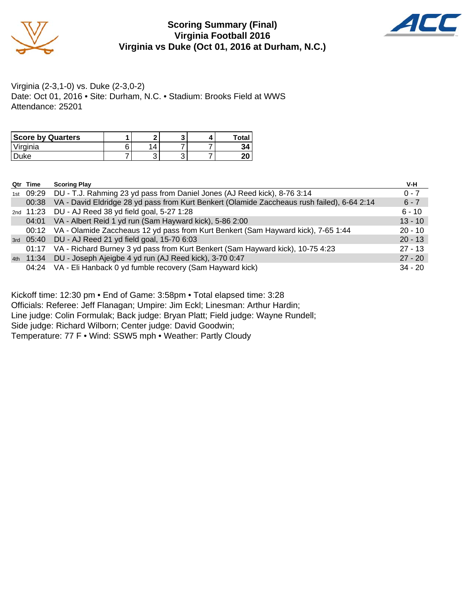

#### **Scoring Summary (Final) Virginia Football 2016 Virginia vs Duke (Oct 01, 2016 at Durham, N.C.)**



Virginia (2-3,1-0) vs. Duke (2-3,0-2) Date: Oct 01, 2016 • Site: Durham, N.C. • Stadium: Brooks Field at WWS Attendance: 25201

| <b>Score by Quarters</b> |   |   |  | Total |
|--------------------------|---|---|--|-------|
| Virginia                 | ⌒ | 4 |  |       |
| uke                      |   | ີ |  | er    |

| Qtr Time | <b>Scoring Play</b>                                                                         | V-H       |
|----------|---------------------------------------------------------------------------------------------|-----------|
|          | 1st 09:29 DU - T.J. Rahming 23 yd pass from Daniel Jones (AJ Reed kick), 8-76 3:14          | $0 - 7$   |
| 00:38    | VA - David Eldridge 28 yd pass from Kurt Benkert (Olamide Zaccheaus rush failed), 6-64 2:14 | $6 - 7$   |
|          | 2nd 11:23 DU - AJ Reed 38 yd field goal, 5-27 1:28                                          | $6 - 10$  |
| 04:01    | VA - Albert Reid 1 yd run (Sam Hayward kick), 5-86 2:00                                     | $13 - 10$ |
|          | 00:12 VA - Olamide Zaccheaus 12 yd pass from Kurt Benkert (Sam Hayward kick), 7-65 1:44     | $20 - 10$ |
|          | 3rd 05:40 DU - AJ Reed 21 yd field goal, 15-70 6:03                                         | $20 - 13$ |
| 01:17    | VA - Richard Burney 3 yd pass from Kurt Benkert (Sam Hayward kick), 10-75 4:23              | $27 - 13$ |
|          | 4th 11:34 DU - Joseph Ajeigbe 4 yd run (AJ Reed kick), 3-70 0:47                            | $27 - 20$ |
|          | 04:24 VA - Eli Hanback 0 yd fumble recovery (Sam Hayward kick)                              | $34 - 20$ |

Kickoff time: 12:30 pm • End of Game: 3:58pm • Total elapsed time: 3:28

Officials: Referee: Jeff Flanagan; Umpire: Jim Eckl; Linesman: Arthur Hardin;

Line judge: Colin Formulak; Back judge: Bryan Platt; Field judge: Wayne Rundell;

Side judge: Richard Wilborn; Center judge: David Goodwin;

Temperature: 77 F • Wind: SSW5 mph • Weather: Partly Cloudy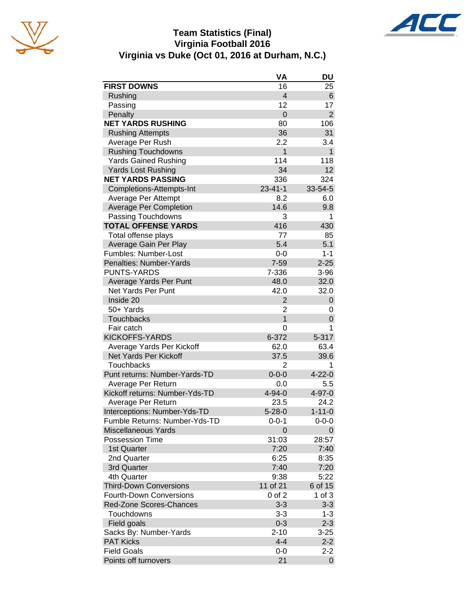

#### **Team Statistics (Final) Virginia Football 2016 Virginia vs Duke (Oct 01, 2016 at Durham, N.C.)**

|                                | VA             | DU             |
|--------------------------------|----------------|----------------|
| <b>FIRST DOWNS</b>             | 16             | 25             |
| Rushing                        | $\overline{4}$ | 6              |
| Passing                        | 12             | 17             |
| Penalty                        | $\overline{0}$ | $\overline{2}$ |
| <b>NET YARDS RUSHING</b>       | 80             | 106            |
| <b>Rushing Attempts</b>        | 36             | 31             |
| Average Per Rush               | 2.2            | 3.4            |
| <b>Rushing Touchdowns</b>      | $\mathbf{1}$   | $\mathbf{1}$   |
| <b>Yards Gained Rushing</b>    | 114            | 118            |
| <b>Yards Lost Rushing</b>      | 34             | 12             |
| <b>NET YARDS PASSING</b>       | 336            | 324            |
| Completions-Attempts-Int       | $23 - 41 - 1$  | 33-54-5        |
| Average Per Attempt            | 8.2            | 6.0            |
| <b>Average Per Completion</b>  | 14.6           | 9.8            |
| Passing Touchdowns             | 3              | 1              |
| <b>TOTAL OFFENSE YARDS</b>     | 416            | 430            |
| Total offense plays            | 77             | 85             |
| Average Gain Per Play          | 5.4            | 5.1            |
| Fumbles: Number-Lost           | $0-0$          | $1 - 1$        |
| Penalties: Number-Yards        | $7 - 59$       | $2 - 25$       |
| <b>PUNTS-YARDS</b>             | 7-336          | $3 - 96$       |
| Average Yards Per Punt         | 48.0           | 32.0           |
| <b>Net Yards Per Punt</b>      | 42.0           | 32.0           |
| Inside 20                      | $\overline{2}$ | 0              |
| 50+ Yards                      | $\overline{2}$ | 0              |
| Touchbacks                     | $\overline{1}$ | 0              |
| Fair catch                     | 0              | 1              |
| <b>KICKOFFS-YARDS</b>          | 6-372          | 5-317          |
| Average Yards Per Kickoff      | 62.0           | 63.4           |
| Net Yards Per Kickoff          | 37.5           | 39.6           |
| <b>Touchbacks</b>              | 2              | 1              |
| Punt returns: Number-Yards-TD  | $0 - 0 - 0$    | $4 - 22 - 0$   |
| Average Per Return             | 0.0            | 5.5            |
| Kickoff returns: Number-Yds-TD | $4 - 94 - 0$   | 4-97-0         |
| Average Per Return             | 23.5           | 24.2           |
| Interceptions: Number-Yds-TD   | $5 - 28 - 0$   | $1 - 11 - 0$   |
| Fumble Returns: Number-Yds-TD  | $0 - 0 - 1$    | $0 - 0 - 0$    |
| <b>Miscellaneous Yards</b>     | 0              | 0              |
| Possession Time                | 31:03          | 28:57          |
| 1st Quarter                    | 7:20           | 7:40           |
| 2nd Quarter                    | 6:25           | 8:35           |
| 3rd Quarter                    | 7:40           | 7:20           |
| 4th Quarter                    | 9:38           | 5:22           |
| <b>Third-Down Conversions</b>  | 11 of 21       | 6 of 15        |
| <b>Fourth-Down Conversions</b> | $0$ of $2$     | $1$ of $3$     |
| Red-Zone Scores-Chances        | $3 - 3$        | $3 - 3$        |
| Touchdowns                     | $3 - 3$        | $1 - 3$        |
| Field goals                    | $0 - 3$        | $2 - 3$        |
| Sacks By: Number-Yards         | $2 - 10$       | $3 - 25$       |
| <b>PAT Kicks</b>               | $4 - 4$        | $2 - 2$        |
| <b>Field Goals</b>             | $0-0$          | $2 - 2$        |
| Points off turnovers           | 21             | 0              |
|                                |                |                |

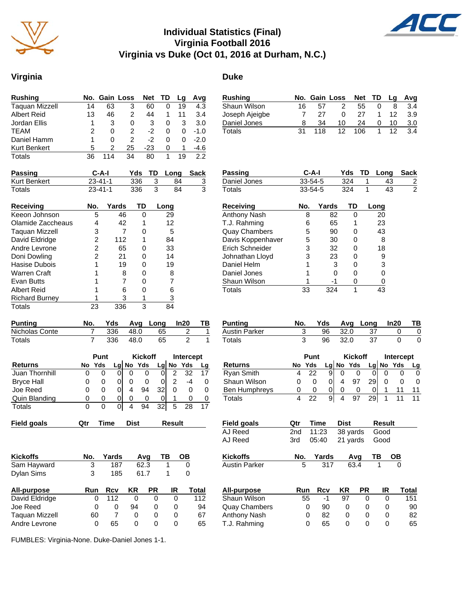

#### **Individual Statistics (Final) Virginia Football 2016 Virginia vs Duke (Oct 01, 2016 at Durham, N.C.)**

## **Virginia Duke**

| <b>Rushing</b>        |    | No. Gain Loss |    | <b>Net</b> | TD | La | Avg    |
|-----------------------|----|---------------|----|------------|----|----|--------|
| <b>Taquan Mizzell</b> | 14 | 63            | 3  | 60         |    | 19 | 4.3    |
| <b>Albert Reid</b>    | 13 | 46            | 2  | 44         |    | 11 | 3.4    |
| Jordan Ellis          |    | 3             | 0  | 3          | 0  | 3  | 3.0    |
| <b>TEAM</b>           | 2  | 0             | 2  | -2         | 0  | 0  | $-1.0$ |
| Daniel Hamm           |    | O             | 2  | -2         | O  | O  | $-2.0$ |
| <b>Kurt Benkert</b>   | 5  | 2             | 25 | $-23$      | 0  | 1  | $-4.6$ |
| Totals                | 36 | 114           | 34 | 80         |    | 19 | 22     |

| <b>Passing</b> | C-A-I         |      | Yds TD Long Sack |  |
|----------------|---------------|------|------------------|--|
| Kurt Benkert   | 23-41-1       | 336  | 84               |  |
| Totals         | $23 - 41 - 1$ | 336. | 84               |  |

| Receiving             | No. | Yards | TD | Long |
|-----------------------|-----|-------|----|------|
| Keeon Johnson         | 5   | 46    | ი  | 29   |
| Olamide Zaccheaus     |     | 42    |    | 12   |
| Taquan Mizzell        | 3   |       |    | 5    |
| David Eldridge        | 2   | 112   | 1  | 84   |
| Andre Levrone         | 2   | 65    |    | 33   |
| Doni Dowling          | 2   | 21    |    | 14   |
| Hasise Dubois         |     | 19    | n  | 19   |
| Warren Craft          |     | 8     | n  | 8    |
| Evan Butts            |     |       |    | 7    |
| Albert Reid           |     | 6     |    | 6    |
| <b>Richard Burney</b> |     | З     |    | 3    |
| Totals                | 23  | 336   | 3  | 84   |

| <b>Punting</b> | No. | Yds |      | Avg Long In20 |  |
|----------------|-----|-----|------|---------------|--|
| Nicholas Conte |     | 336 | 48.0 | 65            |  |
| Totals         |     | 336 | 48.0 | 65            |  |

|                       |    | Punt | <b>Kickoff</b> |    |     |    | Intercept |     |    |
|-----------------------|----|------|----------------|----|-----|----|-----------|-----|----|
| <b>Returns</b>        | No | Yds  | La             | No | Yds | Lq | No        | Yds | Lg |
| <b>Juan Thornhill</b> | 0  | 0    | 0              |    |     |    |           | 32  | 17 |
| <b>Bryce Hall</b>     | O  | 0    | O              |    |     |    |           | -4  |    |
| Joe Reed              | O  | O)   | O              | 4  | 94  | 32 |           |     |    |
| Quin Blanding         | O  | 0    | 0              | 0  | O   |    |           |     |    |
| Totals                | 0  | 0    | 0              | 4  | 94  | 32 | 5         | 28  | 17 |

| <b>Field goals</b><br><b>Dist</b><br>Result<br>Time<br>Qtr | Field goals | Qtr | Time | Dist | <b>Result</b> |
|------------------------------------------------------------|-------------|-----|------|------|---------------|
|------------------------------------------------------------|-------------|-----|------|------|---------------|

| <b>Kickoffs</b> | No. | Yards | Ava  | ΤВ | OВ |
|-----------------|-----|-------|------|----|----|
| Sam Hayward     |     | 187   | 62.3 |    |    |
| Dylan Sims      |     | 185   | 61.7 |    |    |
| - --            |     |       |      |    |    |

| All-purpose    | Run | Rcv | KR | <b>PR</b> | IR | Total |
|----------------|-----|-----|----|-----------|----|-------|
| David Eldridge |     | 112 |    |           |    | 112   |
| Joe Reed       |     |     | 94 |           |    | 94    |
| Taquan Mizzell | 60  |     |    |           |    | 67    |
| Andre Levrone  |     | 65  |    |           |    | 65    |

FUMBLES: Virginia-None. Duke-Daniel Jones 1-1.

| Rushing        |    |     | No. Gain Loss |     | Net TD La |    | Avg |
|----------------|----|-----|---------------|-----|-----------|----|-----|
| Shaun Wilson   | 16 | 57  | 2             | 55  |           |    | 3.4 |
| Joseph Ajeigbe |    | 27  | 0             | 27  |           | 12 | 3.9 |
| Daniel Jones   |    | 34  | 10            | 24  | 0         | 10 | 3.0 |
| Totals         | 31 | 118 | 12            | 106 |           | 12 | 3.4 |

| Passing              | C-A-I         |       | Yds | TD | Lona | Sack           |
|----------------------|---------------|-------|-----|----|------|----------------|
| Daniel Jones         | 33-54-5       |       | 324 | 1  | 43   | 2              |
| Totals               | $33 - 54 - 5$ |       | 324 | 1  | 43   | $\mathfrak{p}$ |
| <b>Receiving</b>     | No.           | Yards | TD  |    | Long |                |
| <b>Anthony Nash</b>  | 8             | 82    | 0   |    | 20   |                |
| T.J. Rahming         | 6             | 65    | 1   |    | 23   |                |
| <b>Quay Chambers</b> | 5             | 90    | 0   |    | 43   |                |
| Davis Koppenhaver    | 5             | 30    | ი   |    | 8    |                |
| Erich Schneider      | 3             | 32    | 0   |    | 18   |                |
| Johnathan Lloyd      | 3             | 23    | O   |    | 9    |                |
| Daniel Helm          |               | 3     | O   |    | 3    |                |
| Daniel Jones         |               | ŋ     | O   |    |      |                |
| Shaun Wilson         |               | -1    | O   |    |      |                |
| Totals               | 33            | 324   | 1   |    | 43   |                |

| Punting       |    |      | Yds Avg Long In20 | TВ |
|---------------|----|------|-------------------|----|
| Austin Parker | 96 | 32.0 | -37               |    |
| Totals        | 96 | 32.0 | 37                |    |

|                      | Punt |     |   |   | <b>Kickoff</b> |      | Intercept |           |  |
|----------------------|------|-----|---|---|----------------|------|-----------|-----------|--|
| <b>Returns</b>       | No.  | Yds |   |   | Lg No Yds      |      |           | Lg No Yds |  |
| <b>Ryan Smith</b>    |      | 22  | 9 |   |                |      |           |           |  |
| Shaun Wilson         | O    |     |   | 4 | 97             | 29   |           |           |  |
| <b>Ben Humphreys</b> | O    |     |   |   |                |      |           |           |  |
| Totals               |      | 22  | 9 |   | 97             | -291 |           |           |  |

| Field goals | Otr | Time | Dist                    | Result |
|-------------|-----|------|-------------------------|--------|
| AJ Reed     |     |      | 2nd 11:23 38 yards Good |        |
| AJ Reed     |     |      | 3rd 05:40 21 yards Good |        |

| Kickoffs      | No. Yards Avg TB OB |        |  |  |
|---------------|---------------------|--------|--|--|
| Austin Parker | 317                 | 63.4 1 |  |  |

| All-purpose          | Run | Rcv | KR | <b>PR</b> | ΙR | Total |
|----------------------|-----|-----|----|-----------|----|-------|
| Shaun Wilson         | 55  | -1  | 97 |           |    | 151   |
| <b>Quay Chambers</b> |     | 90  |    |           |    | 90    |
| Anthony Nash         |     | 82  |    |           |    | 82    |
| T.J. Rahming         |     | 65  |    |           |    | 65    |

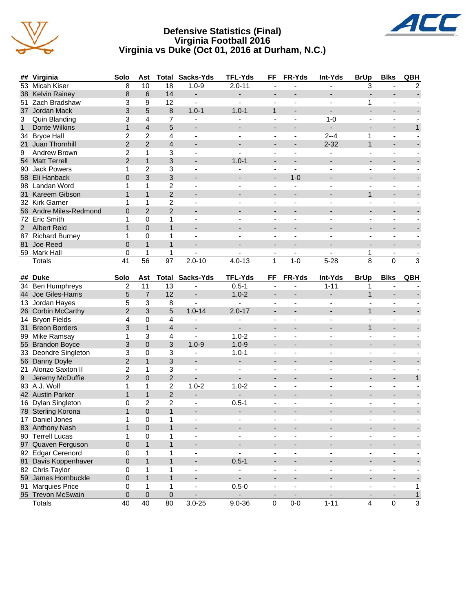

#### **Defensive Statistics (Final) Virginia Football 2016 Virginia vs Duke (Oct 01, 2016 at Durham, N.C.)**



| ##               | Virginia               | Solo                | Ast              | Total           | Sacks-Yds                | <b>TFL-Yds</b>           | FF                       | FR-Yds                   | Int-Yds                  | <b>BrUp</b>              | <b>Blks</b>                  | QBH            |
|------------------|------------------------|---------------------|------------------|-----------------|--------------------------|--------------------------|--------------------------|--------------------------|--------------------------|--------------------------|------------------------------|----------------|
|                  | 53 Micah Kiser         | 8                   | 10               | 18              | $1.0 - 9$                | $2.0 - 11$               | ÷                        |                          |                          | 3                        |                              | $\overline{2}$ |
|                  | 38 Kelvin Rainey       | 8                   | 6                | 14              | $\overline{\phantom{0}}$ |                          | $\overline{a}$           |                          |                          |                          |                              |                |
| 51               | Zach Bradshaw          | 3                   | 9                | 12              | $\blacksquare$           | $\overline{\phantom{a}}$ | $\overline{\phantom{a}}$ | $\overline{\phantom{a}}$ | $\sim$                   | 1                        | $\blacksquare$               |                |
|                  | 37 Jordan Mack         | 3                   | 5                | 8               | $1.0 - 1$                | $1.0 - 1$                | $\mathbf{1}$             |                          |                          | ÷,                       |                              |                |
| 3                | Quin Blanding          | 3                   | 4                | 7               | ÷.                       |                          | L,                       | ÷,                       | $1 - 0$                  | ÷,                       | $\blacksquare$               |                |
| $\mathbf{1}$     | Donte Wilkins          | $\mathbf{1}$        | 4                | 5               | $\blacksquare$           |                          |                          |                          |                          |                          | $\overline{\phantom{a}}$     | $\mathbf{1}$   |
|                  | 34 Bryce Hall          | 2                   | $\overline{c}$   | 4               | $\blacksquare$           |                          | $\blacksquare$           | ÷,                       | $2 - 4$                  | 1                        | $\blacksquare$               |                |
|                  | 21 Juan Thornhill      | $\overline{2}$      | $\overline{2}$   | $\overline{4}$  | ÷                        |                          |                          |                          | $2 - 32$                 | $\mathbf{1}$             | $\blacksquare$               |                |
| 9                | Andrew Brown           | 2                   | 1                | 3               |                          |                          |                          |                          |                          |                          |                              |                |
|                  | 54 Matt Terrell        | $\overline{2}$      | $\mathbf{1}$     | 3               |                          | $1.0 - 1$                |                          |                          |                          |                          |                              |                |
|                  | 90 Jack Powers         | 1                   | $\overline{c}$   | 3               | ٠                        | $\blacksquare$           | $\overline{\phantom{a}}$ | ä,                       | $\blacksquare$           | $\overline{\phantom{0}}$ | $\blacksquare$               |                |
|                  | 58 Eli Hanback         | $\overline{0}$      | 3                | 3               | -                        |                          | $\overline{a}$           | $1 - 0$                  |                          | ÷,                       | $\overline{\phantom{a}}$     |                |
|                  | 98 Landan Word         | 1                   | 1                | $\overline{c}$  | $\blacksquare$           |                          | $\overline{\phantom{a}}$ | $\blacksquare$           | $\sim$                   | $\overline{\phantom{a}}$ | $\sim$                       |                |
|                  | 31 Kareem Gibson       | $\mathbf{1}$        | $\mathbf{1}$     | $\overline{2}$  | ٠                        |                          |                          |                          |                          | $\mathbf{1}$             |                              |                |
|                  | 32 Kirk Garner         | 1                   | 1                | $\overline{c}$  | $\blacksquare$           |                          | ÷,                       | L,                       |                          |                          |                              |                |
|                  | 56 Andre Miles-Redmond | 0                   | $\overline{2}$   | $\overline{2}$  | $\overline{\phantom{0}}$ |                          |                          |                          |                          |                          |                              |                |
|                  | 72 Eric Smith          | 1                   | 0                | 1               | $\overline{\phantom{a}}$ |                          | $\overline{\phantom{a}}$ |                          |                          | $\overline{\phantom{a}}$ |                              |                |
| 2 <sup>7</sup>   | <b>Albert Reid</b>     | $\mathbf{1}$        | $\overline{0}$   | $\mathbf{1}$    | $\overline{\phantom{a}}$ |                          |                          |                          |                          | $\overline{a}$           |                              |                |
|                  | 87 Richard Burney      | 1                   | 0                | $\mathbf{1}$    |                          |                          |                          |                          |                          |                          |                              |                |
| 81               | Joe Reed               | $\overline{0}$      | $\mathbf{1}$     | $\mathbf{1}$    |                          |                          |                          |                          |                          |                          |                              |                |
|                  | 59 Mark Hall           | 0                   | 1                | 1               | $\overline{\phantom{a}}$ |                          | $\overline{\phantom{a}}$ | $\overline{\phantom{a}}$ |                          | 1                        | $\overline{\phantom{a}}$     |                |
|                  | Totals                 | 41                  | $\overline{56}$  | $\overline{97}$ | $2.0 - 10$               | $4.0 - 13$               | $\mathbf{1}$             | $1-0$                    | $5 - 28$                 | $\overline{8}$           | $\mathbf 0$                  | $\overline{3}$ |
|                  |                        |                     |                  |                 |                          |                          |                          |                          |                          |                          |                              |                |
|                  | ## Duke                | Solo                | Ast              | Total           | Sacks-Yds                | <b>TFL-Yds</b>           | FF                       | FR-Yds                   | Int-Yds                  | <b>BrUp</b>              | <b>Blks</b>                  | QBH            |
|                  | 34 Ben Humphreys       | $\overline{c}$      | 11               | 13              | $\overline{\phantom{a}}$ | $0.5 - 1$                |                          |                          | $1 - 11$                 | 1                        |                              |                |
|                  | 44 Joe Giles-Harris    | 5                   | $\overline{7}$   | 12              |                          | $1.0 - 2$                | $\overline{\phantom{a}}$ |                          | $\overline{\phantom{a}}$ | $\mathbf{1}$             | $\blacksquare$               |                |
|                  | 13 Jordan Hayes        | 5                   | 3                | 8               | $\blacksquare$           | $\blacksquare$           |                          |                          |                          | $\overline{\phantom{a}}$ |                              |                |
|                  | 26 Corbin McCarthy     | $\overline{2}$      | 3                | 5               | $1.0 - 14$               | $2.0 - 17$               |                          |                          |                          | $\mathbf{1}$             | $\blacksquare$               |                |
|                  | 14 Bryon Fields        | 4                   | 0                | 4               |                          |                          |                          |                          |                          |                          |                              |                |
|                  | 31 Breon Borders       | 3                   | $\mathbf{1}$     | $\overline{4}$  | ٠                        |                          |                          |                          |                          | $\mathbf{1}$             |                              |                |
|                  | 99 Mike Ramsay         | 1                   | 3                | 4               | $\overline{\phantom{a}}$ | $1.0 - 2$                | $\overline{\phantom{a}}$ | $\overline{\phantom{m}}$ |                          | $\overline{\phantom{0}}$ | $\blacksquare$               |                |
|                  | 55 Brandon Boyce       | 3                   | $\overline{0}$   | 3               | $1.0 - 9$                | $1.0 - 9$                | $\overline{a}$           | $\overline{a}$           |                          | ÷,                       | $\overline{\phantom{a}}$     |                |
|                  | 33 Deondre Singleton   | 3                   | 0                | 3               | $\blacksquare$           | $1.0 - 1$                | $\overline{\phantom{a}}$ |                          | $\sim$                   | $\blacksquare$           | $\blacksquare$               |                |
|                  | 56 Danny Doyle         | $\overline{2}$      | $\mathbf{1}$     | 3               | $\overline{\phantom{a}}$ | $\blacksquare$           | -                        |                          |                          | ٠                        | $\qquad \qquad \blacksquare$ |                |
| 21               | Alonzo Saxton II       | 2                   | 1                | 3               | $\blacksquare$           | $\blacksquare$           | ÷,                       | L,                       |                          |                          | $\blacksquare$               |                |
| $\boldsymbol{9}$ | Jeremy McDuffie        | $\overline{2}$      | 0                | $\overline{2}$  |                          |                          |                          |                          |                          |                          | $\overline{\phantom{a}}$     | $\mathbf{1}$   |
|                  | 93 A.J. Wolf           | 1                   | 1                | 2               | $1.0 - 2$                | $1.0 - 2$                | $\overline{\phantom{a}}$ | ÷,                       |                          | $\blacksquare$           | $\sim$                       |                |
|                  | 42 Austin Parker       | $\mathbf{1}$        | $\mathbf{1}$     | $\overline{2}$  | $\overline{\phantom{0}}$ |                          |                          |                          |                          |                          |                              |                |
|                  | 16 Dylan Singleton     | 0                   | $\overline{c}$   | $\overline{c}$  | $\overline{\phantom{a}}$ | $0.5 - 1$                |                          |                          |                          |                          |                              |                |
|                  | 78 Sterling Korona     | $\mathbf{1}$        | $\overline{0}$   | $\mathbf{1}$    |                          |                          |                          |                          |                          |                          |                              |                |
|                  | 17 Daniel Jones        | 1                   | 0                | 1               | $\overline{\phantom{a}}$ |                          |                          |                          |                          |                          |                              |                |
|                  | 83 Anthony Nash        | 1                   | $\boldsymbol{0}$ | $\mathbf{1}$    |                          |                          |                          |                          | $\blacksquare$           |                          | $\overline{\phantom{a}}$     |                |
|                  | 90 Terrell Lucas       | 1                   | $\pmb{0}$        | 1               | $\overline{\phantom{a}}$ |                          | $\overline{\phantom{a}}$ | $\overline{\phantom{m}}$ | $\blacksquare$           | ۰.                       | $\blacksquare$               |                |
|                  | 97 Quaven Ferguson     | $\pmb{0}$           | $\mathbf{1}$     | $\mathbf{1}$    | $\overline{\phantom{a}}$ | $\overline{\phantom{a}}$ | $\overline{\phantom{a}}$ | $\overline{\phantom{a}}$ | $\overline{\phantom{a}}$ | $\overline{\phantom{0}}$ | $\overline{\phantom{a}}$     |                |
|                  | 92 Edgar Cerenord      | $\pmb{0}$           | 1                | 1               | $\blacksquare$           | $\mathbf{r}$             | $\blacksquare$           | ÷,                       | $\overline{\phantom{a}}$ | ÷,                       | $\blacksquare$               |                |
|                  | 81 Davis Koppenhaver   | $\mathsf 0$         | $\mathbf{1}$     | $\mathbf{1}$    | $\overline{\phantom{a}}$ | $0.5 - 1$                | ٠                        |                          | $\overline{\phantom{a}}$ | $\overline{\phantom{0}}$ | $\overline{\phantom{a}}$     |                |
|                  | 82 Chris Taylor        | $\pmb{0}$           | 1                | 1               | $\blacksquare$           | $\blacksquare$           | $\blacksquare$           | ä,                       | $\blacksquare$           | $\overline{\phantom{a}}$ | $\blacksquare$               |                |
|                  | 59 James Hornbuckle    | $\mathbf 0$         | $\mathbf{1}$     | $\mathbf{1}$    | $\overline{\phantom{a}}$ | $\blacksquare$           | $\overline{\phantom{a}}$ | $\overline{\phantom{a}}$ | $\blacksquare$           | $\overline{\phantom{a}}$ | $\blacksquare$               |                |
|                  | 91 Marquies Price      | 0                   | $\mathbf{1}$     | $\mathbf{1}$    | $\blacksquare$           | $0.5 - 0$                | $\overline{\phantom{a}}$ | ÷,                       | $\overline{\phantom{a}}$ | $\frac{1}{2}$            | $\blacksquare$               | 1              |
|                  | 95 Trevon McSwain      | $\mathsf{O}\xspace$ | $\mathbf 0$      | $\pmb{0}$       | $\overline{\phantom{a}}$ |                          | $\overline{\phantom{a}}$ | $\overline{\phantom{a}}$ | $\overline{\phantom{a}}$ |                          | $\overline{\phantom{a}}$     | $\overline{1}$ |
|                  | Totals                 | 40                  | 40               | 80              | $3.0 - 25$               | $9.0 - 36$               | 0                        | $0-0$                    | $1 - 11$                 | $\overline{4}$           | $\mathbf 0$                  | $\overline{3}$ |
|                  |                        |                     |                  |                 |                          |                          |                          |                          |                          |                          |                              |                |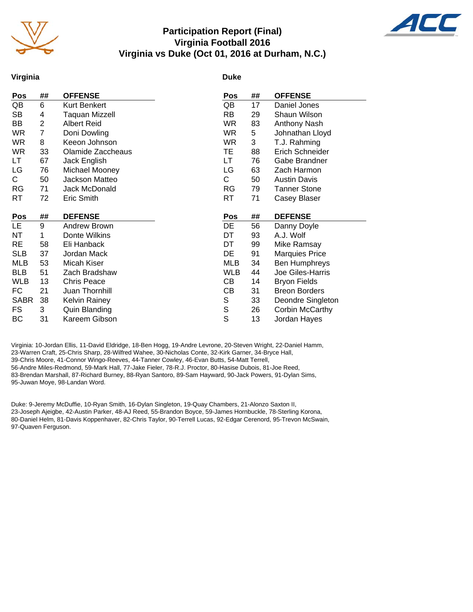

#### **Participation Report (Final) Virginia Football 2016 Virginia vs Duke (Oct 01, 2016 at Durham, N.C.)**



#### **Virginia**

#### **Duke**

| Pos         | ##             | <b>OFFENSE</b>       | Pos              | ## | <b>OFFENSE</b>        |
|-------------|----------------|----------------------|------------------|----|-----------------------|
| QB          | 6              | Kurt Benkert         | QB               | 17 | Daniel Jones          |
| <b>SB</b>   | 4              | Taquan Mizzell       | <b>RB</b>        | 29 | Shaun Wilson          |
| BВ          | $\overline{2}$ | <b>Albert Reid</b>   | WR.              | 83 | Anthony Nash          |
| WR.         | 7              | Doni Dowling         | <b>WR</b>        | 5  | Johnathan Lloyd       |
| WR.         | 8              | Keeon Johnson        | WR.              | 3  | T.J. Rahming          |
| <b>WR</b>   | 33             | Olamide Zaccheaus    | TE               | 88 | Erich Schneider       |
| LT          | 67             | Jack English         | LT               | 76 | Gabe Brandner         |
| LG          | 76             | Michael Mooney       | LG               | 63 | Zach Harmon           |
| C.          | 50             | Jackson Matteo       | C                | 50 | <b>Austin Davis</b>   |
| <b>RG</b>   | 71             | Jack McDonald        | <b>RG</b>        | 79 | <b>Tanner Stone</b>   |
| <b>RT</b>   | 72             | Eric Smith           | RT               | 71 | Casey Blaser          |
|             |                |                      |                  |    |                       |
|             |                |                      |                  |    |                       |
| <u>Pos</u>  | ##             | <b>DEFENSE</b>       | Pos              | ## | <b>DEFENSE</b>        |
| LE.         | 9              | Andrew Brown         | DE               | 56 | Danny Doyle           |
| <b>NT</b>   | 1              | Donte Wilkins        | DT               | 93 | A.J. Wolf             |
| <b>RE</b>   | 58             | Eli Hanback          | DT               | 99 | Mike Ramsay           |
| <b>SLB</b>  | 37             | Jordan Mack          | DE               | 91 | <b>Marquies Price</b> |
| <b>MLB</b>  | 53             | Micah Kiser          | MLB              | 34 | Ben Humphreys         |
| <b>BLB</b>  | 51             | Zach Bradshaw        | <b>WLB</b>       | 44 | Joe Giles-Harris      |
| <b>WLB</b>  | 13             | <b>Chris Peace</b>   | CВ               | 14 | <b>Bryon Fields</b>   |
| FC          | 21             | Juan Thornhill       | СB               | 31 | <b>Breon Borders</b>  |
| <b>SABR</b> | 38             | <b>Kelvin Rainey</b> | S                | 33 | Deondre Singleton     |
| <b>FS</b>   | 3              | Quin Blanding        | $\mathbb S$<br>S | 26 | Corbin McCarthy       |

Virginia: 10-Jordan Ellis, 11-David Eldridge, 18-Ben Hogg, 19-Andre Levrone, 20-Steven Wright, 22-Daniel Hamm, 23-Warren Craft, 25-Chris Sharp, 28-Wilfred Wahee, 30-Nicholas Conte, 32-Kirk Garner, 34-Bryce Hall, 39-Chris Moore, 41-Connor Wingo-Reeves, 44-Tanner Cowley, 46-Evan Butts, 54-Matt Terrell, 56-Andre Miles-Redmond, 59-Mark Hall, 77-Jake Fieler, 78-R.J. Proctor, 80-Hasise Dubois, 81-Joe Reed, 83-Brendan Marshall, 87-Richard Burney, 88-Ryan Santoro, 89-Sam Hayward, 90-Jack Powers, 91-Dylan Sims, 95-Juwan Moye, 98-Landan Word.

Duke: 9-Jeremy McDuffie, 10-Ryan Smith, 16-Dylan Singleton, 19-Quay Chambers, 21-Alonzo Saxton II, 23-Joseph Ajeigbe, 42-Austin Parker, 48-AJ Reed, 55-Brandon Boyce, 59-James Hornbuckle, 78-Sterling Korona, 80-Daniel Helm, 81-Davis Koppenhaver, 82-Chris Taylor, 90-Terrell Lucas, 92-Edgar Cerenord, 95-Trevon McSwain, 97-Quaven Ferguson.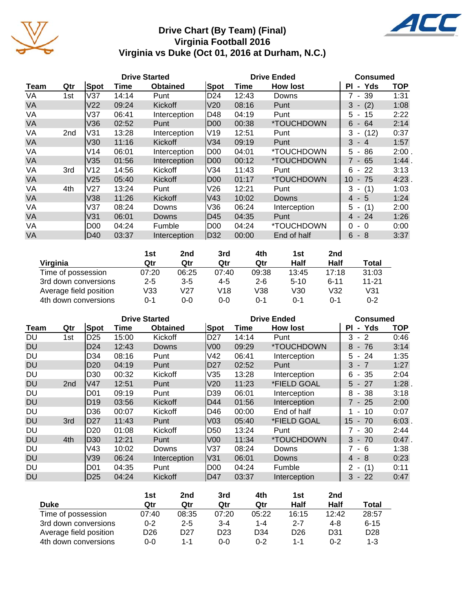

## **Drive Chart (By Team) (Final) Virginia Football 2016 Virginia vs Duke (Oct 01, 2016 at Durham, N.C.)**



|                        | 1st     | 2nd     | 3rd     | 4th     | 1st      | 2 <sub>nd</sub> |           |
|------------------------|---------|---------|---------|---------|----------|-----------------|-----------|
| Virginia               | Qtr     | Qtr     | Qtr     | Qtr     | Half     | Half            | Total     |
| Time of possession     | 07:20   | 06:25   | 07:40   | 09:38   | 13:45    | 17:18           | 31:03     |
| 3rd down conversions   | $2 - 5$ | $3 - 5$ | $4 - 5$ | $2 - 6$ | $5 - 10$ | $6 - 11$        | $11 - 21$ |
| Average field position | V33     | V27     | V18     | V38     | V30      | V32             | V31       |
| 4th down conversions   | 0-1     | 0-0     | 0-0     | 0-1     | $0 - 1$  | $0 - 1$         | $0 - 2$   |

|             |                 |                  |       | <b>Drive Started</b> |                 |       | <b>Drive Ended</b> | <b>Consumed</b>                     |            |
|-------------|-----------------|------------------|-------|----------------------|-----------------|-------|--------------------|-------------------------------------|------------|
| <b>Team</b> | Qtr             | Spot             | Time  | <b>Obtained</b>      | Spot            | Time  | <b>How lost</b>    | - Yds<br>ΡI                         | <b>TOP</b> |
| DU          | 1st             | D <sub>25</sub>  | 15:00 | Kickoff              | D <sub>27</sub> | 14:14 | Punt               | $-2$<br>3                           | 0:46       |
| <b>DU</b>   |                 | D <sub>24</sub>  | 12:43 | Downs                | V <sub>00</sub> | 09:29 | *TOUCHDOWN         | 8<br>76<br>$\overline{\phantom{a}}$ | 3:14       |
| DU          |                 | D34              | 08:16 | Punt                 | V42             | 06:41 | Interception       | 5.<br>-24<br>$\overline{a}$         | 1:35       |
| <b>DU</b>   |                 | D <sub>20</sub>  | 04:19 | Punt                 | D27             | 02:52 | Punt               | $3 - 7$                             | 1:27       |
| DU          |                 | D <sub>30</sub>  | 00:32 | Kickoff              | V35             | 13:28 | Interception       | 35<br>6<br>$\sim$                   | 2:04       |
| <b>DU</b>   | 2 <sub>nd</sub> | V47              | 12:51 | Punt                 | V <sub>20</sub> | 11:23 | *FIELD GOAL        | $5 - 27$                            | 1:28       |
| DU          |                 | <b>D01</b>       | 09:19 | Punt                 | D <sub>39</sub> | 06:01 | Interception       | $-38$<br>8                          | 3:18       |
| <b>DU</b>   |                 | D <sub>19</sub>  | 03:56 | Kickoff              | D44             | 01:56 | Interception       | 7 - 25                              | 2:00       |
| DU          |                 | D36              | 00:07 | Kickoff              | D46             | 00:00 | End of half        | 10<br>$\sim$                        | 0:07       |
| <b>DU</b>   | 3rd             | D27              | 11:43 | Punt                 | V03             | 05:40 | *FIELD GOAL        | 15<br>$-70$                         | 6:03       |
| DU          |                 | D <sub>20</sub>  | 01:08 | Kickoff              | D <sub>50</sub> | 13:24 | Punt               | $7 - 30$                            | 2:44       |
| <b>DU</b>   | 4th             | D30              | 12:21 | Punt                 | V <sub>00</sub> | 11:34 | *TOUCHDOWN         | $3 - 70$                            | $0:47$ .   |
| DU          |                 | V43              | 10:02 | Downs                | V37             | 08:24 | Downs              | 7 - 6                               | 1:38       |
| <b>DU</b>   |                 | V39              | 06:24 | Interception         | V31             | 06:01 | Downs              | $4 - 8$                             | 0:23       |
| DU          |                 | D <sub>0</sub> 1 | 04:35 | Punt                 | ID00            | 04:24 | Fumble             | $2 -$<br>(1)                        | 0:11       |
| <b>DU</b>   |                 | D <sub>25</sub>  | 04:24 | Kickoff              | D47             | 03:37 | Interception       | $-22$<br>3                          | 0:47       |

|                        | 1st     | 2nd             | 3rd             | 4th             | 1st             | 2nd             |                 |
|------------------------|---------|-----------------|-----------------|-----------------|-----------------|-----------------|-----------------|
| <b>Duke</b>            | Qtr     | Qtr             | Qtr             | Qtr             | Half            | Half            | Total           |
| Time of possession     | 07:40   | 08:35           | 07:20           | 05:22           | 16:15           | 12:42           | 28:57           |
| 3rd down conversions   | $0 - 2$ | $2 - 5$         | $3 - 4$         | $1 - 4$         | $2 - 7$         | 4-8             | $6 - 15$        |
| Average field position | D26     | D <sub>27</sub> | D <sub>23</sub> | D <sub>34</sub> | D <sub>26</sub> | D <sub>31</sub> | D <sub>28</sub> |
| 4th down conversions   | $0 - 0$ | 1-1             | ი-ი             | $0 - 2$         | 1-1             | $0 - 2$         | $1 - 3$         |

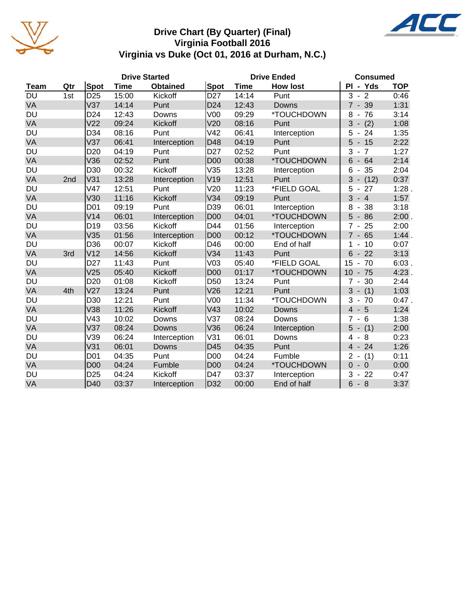

#### **Drive Chart (By Quarter) (Final) Virginia Football 2016 Virginia vs Duke (Oct 01, 2016 at Durham, N.C.)**



|             |     |                 |             | <b>Drive Started</b> |                 |       | <b>Drive Ended</b> | <b>Consumed</b>                                  |            |
|-------------|-----|-----------------|-------------|----------------------|-----------------|-------|--------------------|--------------------------------------------------|------------|
| <b>Team</b> | Qtr | Spot            | <b>Time</b> | <b>Obtained</b>      | <b>Spot</b>     | Time  | <b>How lost</b>    | PI - Yds                                         | <b>TOP</b> |
| DU          | 1st | D <sub>25</sub> | 15:00       | Kickoff              | D <sub>27</sub> | 14:14 | Punt               | 3<br>$\overline{2}$<br>$\blacksquare$            | 0:46       |
| VA          |     | V <sub>37</sub> | 14:14       | Punt                 | D <sub>24</sub> | 12:43 | Downs              | $7 - 39$                                         | 1:31       |
| <b>DU</b>   |     | D <sub>24</sub> | 12:43       | Downs                | V <sub>00</sub> | 09:29 | *TOUCHDOWN         | 8<br>76<br>$\overline{\phantom{a}}$              | 3:14       |
| VA          |     | V <sub>22</sub> | 09:24       | Kickoff              | V20             | 08:16 | Punt               | 3<br>(2)<br>$\overline{\phantom{a}}$             | 1:08       |
| <b>DU</b>   |     | D34             | 08:16       | Punt                 | V42             | 06:41 | Interception       | 5<br>24                                          | 1:35       |
| VA          |     | V <sub>37</sub> | 06:41       | Interception         | D48             | 04:19 | Punt               | 5<br>$-15$                                       | 2:22       |
| <b>DU</b>   |     | D <sub>20</sub> | 04:19       | Punt                 | D <sub>27</sub> | 02:52 | Punt               | 3<br>$\overline{7}$<br>$\overline{\phantom{a}}$  | 1:27       |
| VA          |     | V36             | 02:52       | Punt                 | D <sub>00</sub> | 00:38 | *TOUCHDOWN         | 6<br>64<br>$\overline{\phantom{a}}$              | 2:14       |
| <b>DU</b>   |     | D30             | 00:32       | Kickoff              | V35             | 13:28 | Interception       | 35<br>6<br>$\blacksquare$                        | 2:04       |
| VA          | 2nd | V31             | 13:28       | Interception         | V19             | 12:51 | Punt               | 3<br>(12)<br>$\overline{\phantom{a}}$            | 0:37       |
| DU          |     | V47             | 12:51       | Punt                 | V20             | 11:23 | *FIELD GOAL        | 5<br>27                                          | 1:28       |
| VA          |     | V30             | 11:16       | Kickoff              | V34             | 09:19 | Punt               | 3<br>$\overline{4}$                              | 1:57       |
| <b>DU</b>   |     | D <sub>01</sub> | 09:19       | Punt                 | D39             | 06:01 | Interception       | 8<br>38<br>$\overline{\phantom{a}}$              | 3:18       |
| VA          |     | V14             | 06:01       | Interception         | <b>D00</b>      | 04:01 | *TOUCHDOWN         | $-86$<br>5                                       | 2:00.      |
| DU          |     | D <sub>19</sub> | 03:56       | Kickoff              | D44             | 01:56 | Interception       | 25<br>7<br>$\overline{\phantom{a}}$              | 2:00       |
| VA          |     | V35             | 01:56       | Interception         | D <sub>00</sub> | 00:12 | *TOUCHDOWN         | 65<br>$\overline{7}$<br>$\overline{\phantom{a}}$ | 1:44       |
| <b>DU</b>   |     | D36             | 00:07       | Kickoff              | D46             | 00:00 | End of half        | 10<br>1                                          | 0:07       |
| VA          | 3rd | V <sub>12</sub> | 14:56       | Kickoff              | V34             | 11:43 | Punt               | 6<br>$-22$                                       | 3:13       |
| DU          |     | D <sub>27</sub> | 11:43       | Punt                 | V <sub>03</sub> | 05:40 | *FIELD GOAL        | 70<br>15<br>$\overline{\phantom{0}}$             | 6:03.      |
| VA          |     | V <sub>25</sub> | 05:40       | Kickoff              | <b>D00</b>      | 01:17 | *TOUCHDOWN         | $-75$<br>10                                      | 4:23       |
| <b>DU</b>   |     | D <sub>20</sub> | 01:08       | Kickoff              | D <sub>50</sub> | 13:24 | Punt               | 30<br>7<br>$\blacksquare$                        | 2:44       |
| VA          | 4th | V <sub>27</sub> | 13:24       | Punt                 | V26             | 12:21 | Punt               | 3<br>(1)                                         | 1:03       |
| DU          |     | D <sub>30</sub> | 12:21       | Punt                 | V <sub>00</sub> | 11:34 | *TOUCHDOWN         | 3<br>70                                          | $0:47$ .   |
| VA          |     | V38             | 11:26       | Kickoff              | V43             | 10:02 | Downs              | $\overline{4}$<br>$5\phantom{1}$                 | 1:24       |
| <b>DU</b>   |     | V43             | 10:02       | Downs                | V37             | 08:24 | Downs              | 7<br>6                                           | 1:38       |
| VA          |     | V37             | 08:24       | <b>Downs</b>         | V36             | 06:24 | Interception       | 5<br>(1)<br>$\overline{\phantom{a}}$             | 2:00       |
| DU          |     | V39             | 06:24       | Interception         | V31             | 06:01 | Downs              | 8<br>4<br>$\blacksquare$                         | 0:23       |
| VA          |     | V31             | 06:01       | Downs                | D45             | 04:35 | Punt               | $\overline{4}$<br>24<br>$\overline{\phantom{a}}$ | 1:26       |
| <b>DU</b>   |     | D01             | 04:35       | Punt                 | <b>D00</b>      | 04:24 | Fumble             | 2<br>(1)                                         | 0:11       |
| VA          |     | <b>D00</b>      | 04:24       | Fumble               | D <sub>00</sub> | 04:24 | *TOUCHDOWN         | $\overline{0}$<br>$-0$                           | 0:00       |
| DU          |     | D <sub>25</sub> | 04:24       | Kickoff              | D47             | 03:37 | Interception       | 3<br>22<br>$\overline{\phantom{a}}$              | 0:47       |
| VA          |     | D40             | 03:37       | Interception         | D32             | 00:00 | End of half        | 6<br>$-8$                                        | 3:37       |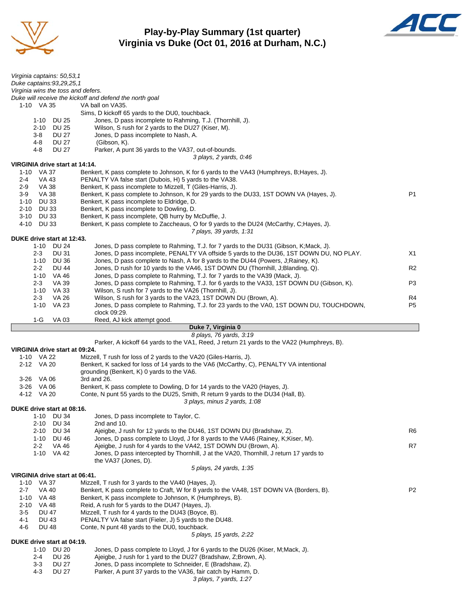

**Play-by-Play Summary (1st quarter) Virginia vs Duke (Oct 01, 2016 at Durham, N.C.)**



| Virginia captains: 50,53,1                       |                                                                                                                                                                         |                |
|--------------------------------------------------|-------------------------------------------------------------------------------------------------------------------------------------------------------------------------|----------------|
| Duke captains: 93, 29, 25, 1                     |                                                                                                                                                                         |                |
| Virginia wins the toss and defers.               |                                                                                                                                                                         |                |
| 1-10 VA 35                                       | Duke will receive the kickoff and defend the north goal<br>VA ball on VA35.                                                                                             |                |
|                                                  | Sims, D kickoff 65 yards to the DU0, touchback.                                                                                                                         |                |
| 1-10 DU 25                                       | Jones, D pass incomplete to Rahming, T.J. (Thornhill, J).                                                                                                               |                |
| <b>DU 25</b><br>2-10                             | Wilson, S rush for 2 yards to the DU27 (Kiser, M).                                                                                                                      |                |
| <b>DU 27</b><br>3-8                              | Jones, D pass incomplete to Nash, A.                                                                                                                                    |                |
| 4-8<br>DU 27<br>4-8<br><b>DU 27</b>              | (Gibson, K).<br>Parker, A punt 36 yards to the VA37, out-of-bounds.                                                                                                     |                |
|                                                  | 3 plays, 2 yards, 0:46                                                                                                                                                  |                |
| VIRGINIA drive start at 14:14.                   |                                                                                                                                                                         |                |
| 1-10 VA 37                                       | Benkert, K pass complete to Johnson, K for 6 yards to the VA43 (Humphreys, B; Hayes, J).                                                                                |                |
| 2-4<br>VA 43<br><b>VA 38</b><br>$2-9$            | PENALTY VA false start (Dubois, H) 5 yards to the VA38.<br>Benkert, K pass incomplete to Mizzell, T (Giles-Harris, J).                                                  |                |
| <b>VA 38</b><br>3-9                              | Benkert, K pass complete to Johnson, K for 29 yards to the DU33, 1ST DOWN VA (Hayes, J).                                                                                | P <sub>1</sub> |
| <b>DU 33</b><br>1-10                             | Benkert, K pass incomplete to Eldridge, D.                                                                                                                              |                |
| <b>DU 33</b><br>2-10                             | Benkert, K pass incomplete to Dowling, D.                                                                                                                               |                |
| 3-10<br>DU 33                                    | Benkert, K pass incomplete, QB hurry by McDuffie, J.                                                                                                                    |                |
| 4-10<br><b>DU 33</b>                             | Benkert, K pass complete to Zaccheaus, O for 9 yards to the DU24 (McCarthy, C;Hayes, J).                                                                                |                |
| DUKE drive start at 12:43.                       | 7 plays, 39 yards, 1:31                                                                                                                                                 |                |
| 1-10 DU 24                                       | Jones, D pass complete to Rahming, T.J. for 7 yards to the DU31 (Gibson, K; Mack, J).                                                                                   |                |
| $2 - 3$<br>DU 31                                 | Jones, D pass incomplete, PENALTY VA offside 5 yards to the DU36, 1ST DOWN DU, NO PLAY.                                                                                 | X1             |
| 1-10 DU 36                                       | Jones, D pass complete to Nash, A for 8 yards to the DU44 (Powers, J;Rainey, K).                                                                                        |                |
| $2 - 2$<br>DU 44                                 | Jones, D rush for 10 yards to the VA46, 1ST DOWN DU (Thornhill, J;Blanding, Q).                                                                                         | R <sub>2</sub> |
| 1-10 VA 46<br>$2 - 3$<br>VA 39                   | Jones, D pass complete to Rahming, T.J. for 7 yards to the VA39 (Mack, J).<br>Jones, D pass complete to Rahming, T.J. for 6 yards to the VA33, 1ST DOWN DU (Gibson, K). | P3             |
| 1-10 VA 33                                       | Wilson, S rush for 7 yards to the VA26 (Thornhill, J).                                                                                                                  |                |
| VA 26<br>$2 - 3$                                 | Wilson, S rush for 3 yards to the VA23, 1ST DOWN DU (Brown, A).                                                                                                         | R4             |
| 1-10 VA 23                                       | Jones, D pass complete to Rahming, T.J. for 23 yards to the VA0, 1ST DOWN DU, TOUCHDOWN,                                                                                | P <sub>5</sub> |
|                                                  | clock 09:29.                                                                                                                                                            |                |
| 1-G<br>VA 03                                     | Reed, AJ kick attempt good.<br>Duke 7, Virginia 0                                                                                                                       |                |
|                                                  |                                                                                                                                                                         |                |
|                                                  | 8 plays, 76 yards, 3:19                                                                                                                                                 |                |
|                                                  | Parker, A kickoff 64 yards to the VA1, Reed, J return 21 yards to the VA22 (Humphreys, B).                                                                              |                |
| VIRGINIA drive start at 09:24.                   |                                                                                                                                                                         |                |
| 1-10 VA 22                                       | Mizzell, T rush for loss of 2 yards to the VA20 (Giles-Harris, J).                                                                                                      |                |
| 2-12 VA 20                                       | Benkert, K sacked for loss of 14 yards to the VA6 (McCarthy, C), PENALTY VA intentional                                                                                 |                |
| 3-26 VA 06                                       | grounding (Benkert, K) 0 yards to the VA6.<br>3rd and 26.                                                                                                               |                |
| 3-26 VA 06                                       | Benkert, K pass complete to Dowling, D for 14 yards to the VA20 (Hayes, J).                                                                                             |                |
| 4-12 VA 20                                       | Conte, N punt 55 yards to the DU25, Smith, R return 9 yards to the DU34 (Hall, B).                                                                                      |                |
|                                                  | 3 plays, minus 2 yards, 1:08                                                                                                                                            |                |
| DUKE drive start at 08:16.                       |                                                                                                                                                                         |                |
| $1 - 10$<br><b>DU 34</b><br><b>DU 34</b><br>2-10 | Jones, D pass incomplete to Taylor, C.<br>2nd and 10.                                                                                                                   |                |
| <b>DU 34</b><br>2-10                             | Ajeigbe, J rush for 12 yards to the DU46, 1ST DOWN DU (Bradshaw, Z).                                                                                                    | R6             |
| $1 - 10$<br><b>DU 46</b>                         | Jones, D pass complete to Lloyd, J for 8 yards to the VA46 (Rainey, K;Kiser, M).                                                                                        |                |
| $2 - 2$<br>VA 46                                 | Ajeigbe, J rush for 4 yards to the VA42, 1ST DOWN DU (Brown, A).                                                                                                        | R7             |
| 1-10 VA 42                                       | Jones, D pass intercepted by Thornhill, J at the VA20, Thornhill, J return 17 yards to                                                                                  |                |
|                                                  | the VA37 (Jones, D).<br>5 plays, 24 yards, 1:35                                                                                                                         |                |
| VIRGINIA drive start at 06:41.                   |                                                                                                                                                                         |                |
| VA 37<br>$1 - 10$                                | Mizzell, T rush for 3 yards to the VA40 (Hayes, J).                                                                                                                     |                |
| $2 - 7$<br><b>VA 40</b>                          | Benkert, K pass complete to Craft, W for 8 yards to the VA48, 1ST DOWN VA (Borders, B).                                                                                 | P <sub>2</sub> |
| VA 48<br>$1 - 10$<br>$2 - 10$                    | Benkert, K pass incomplete to Johnson, K (Humphreys, B).                                                                                                                |                |
| VA 48<br>$3-5$<br><b>DU 47</b>                   | Reid, A rush for 5 yards to the DU47 (Hayes, J).<br>Mizzell, T rush for 4 yards to the DU43 (Boyce, B).                                                                 |                |
| 4-1<br><b>DU 43</b>                              | PENALTY VA false start (Fieler, J) 5 yards to the DU48.                                                                                                                 |                |
| 4-6<br>DU 48                                     | Conte, N punt 48 yards to the DU0, touchback.                                                                                                                           |                |
|                                                  | 5 plays, 15 yards, 2:22                                                                                                                                                 |                |
| DUKE drive start at 04:19.                       |                                                                                                                                                                         |                |
| 1-10<br>DU 20<br>$2 - 4$<br><b>DU 26</b>         | Jones, D pass complete to Lloyd, J for 6 yards to the DU26 (Kiser, M;Mack, J).<br>Ajeigbe, J rush for 1 yard to the DU27 (Bradshaw, Z;Brown, A).                        |                |
| $3-3$<br><b>DU 27</b>                            | Jones, D pass incomplete to Schneider, E (Bradshaw, Z).                                                                                                                 |                |
| $4 - 3$<br><b>DU 27</b>                          | Parker, A punt 37 yards to the VA36, fair catch by Hamm, D.<br>3 plays, 7 yards, 1:27                                                                                   |                |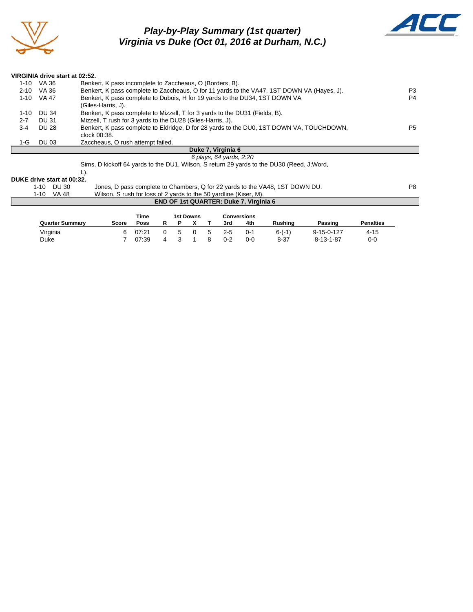

L

## *Play-by-Play Summary (1st quarter) Virginia vs Duke (Oct 01, 2016 at Durham, N.C.)*



|          |              | VIRGINIA drive start at 02:52.                                                             |                |
|----------|--------------|--------------------------------------------------------------------------------------------|----------------|
| 1-10     | VA 36        | Benkert, K pass incomplete to Zaccheaus, O (Borders, B).                                   |                |
| 2-10     | VA 36        | Benkert, K pass complete to Zaccheaus, O for 11 yards to the VA47, 1ST DOWN VA (Hayes, J). | P3             |
| $1 - 10$ | VA 47        | Benkert, K pass complete to Dubois, H for 19 yards to the DU34, 1ST DOWN VA                | P <sub>4</sub> |
|          |              | (Giles-Harris, J).                                                                         |                |
| $1 - 10$ | <b>DU 34</b> | Benkert, K pass complete to Mizzell, T for 3 yards to the DU31 (Fields, B).                |                |
| $2 - 7$  | DU 31        | Mizzell, T rush for 3 yards to the DU28 (Giles-Harris, J).                                 |                |
| $3 - 4$  | <b>DU 28</b> | Benkert, K pass complete to Eldridge, D for 28 yards to the DU0, 1ST DOWN VA, TOUCHDOWN,   | P <sub>5</sub> |
|          |              | clock 00:38.                                                                               |                |
| 1-G      | <b>DU 03</b> | Zaccheaus, O rush attempt failed.                                                          |                |
|          |              | Duke 7, Virginia 6                                                                         |                |
|          |              | 6 plays, 64 yards, 2:20                                                                    |                |
|          |              | Sims, D kickoff 64 yards to the DU1, Wilson, S return 29 yards to the DU30 (Reed, J; Word, |                |
|          |              | L).                                                                                        |                |
|          |              | DUKE drive start at 00:32.                                                                 |                |
|          | $1 - 10$     | Jones, D pass complete to Chambers, Q for 22 yards to the VA48, 1ST DOWN DU.<br>DU 30      | P8             |
|          | $1 - 10$     | Wilson, S rush for loss of 2 yards to the 50 yardline (Kiser, M).<br>VA 48                 |                |

| <b>END OF 1st QUARTER: Duke 7. Virginia 6</b> |              |             |              |              |           |              |         |             |          |                    |                  |
|-----------------------------------------------|--------------|-------------|--------------|--------------|-----------|--------------|---------|-------------|----------|--------------------|------------------|
|                                               |              | Time        |              |              | 1st Downs |              |         | Conversions |          |                    |                  |
| <b>Quarter Summary</b>                        | <b>Score</b> | <b>Poss</b> |              |              |           |              | 3rd     | 4th         | Rushina  | Passing            | <b>Penalties</b> |
| Virginia                                      | 6            | 07:21       | <sup>n</sup> | $\mathbf{b}$ |           | $\mathbf{b}$ | $2 - 5$ | $0 - 1$     | $6-(-1)$ | $9 - 15 - 0 - 127$ | $4 - 15$         |
| Duke                                          |              | 07:39       | Δ            |              |           |              | $0 - 2$ | $0 - 0$     | $8 - 37$ | $8 - 13 - 1 - 87$  | $0-0$            |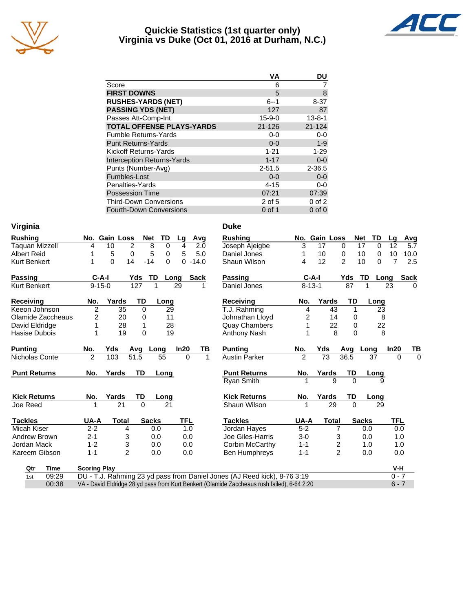

#### **Quickie Statistics (1st quarter only) Virginia vs Duke (Oct 01, 2016 at Durham, N.C.)**



|              | DU           |
|--------------|--------------|
| 6            |              |
| 5            | 8            |
| $6 - 1$      | $8 - 37$     |
| 127          | 87           |
| $15 - 9 - 0$ | $13 - 8 - 1$ |
| $21 - 126$   | $21 - 124$   |
| $0 - 0$      | $0-0$        |
| $0 - 0$      | $1 - 9$      |
| $1 - 21$     | $1 - 29$     |
| $1 - 17$     | $0-0$        |
| $2 - 51.5$   | $2 - 36.5$   |
| $0 - 0$      | $0-0$        |
| $4 - 15$     | $0 - 0$      |
| 07:21        | 07:39        |
| 2 of 5       | $0$ of $2$   |
| $0$ of 1     | $0$ of $0$   |
|              | <b>VA</b>    |

| Virginia | Duke |
|----------|------|
|          |      |

| <b>Rushing</b>        | No.                 | <b>Gain Loss</b> | Net         | TD               | Lg          | Avg          | <b>Rushing</b>       | No.           | <b>Gain Loss</b> |                  | <b>Net</b>   | TD             |
|-----------------------|---------------------|------------------|-------------|------------------|-------------|--------------|----------------------|---------------|------------------|------------------|--------------|----------------|
| <b>Taquan Mizzell</b> | 4                   | 10               | 2           | 8<br>0           | 4           | 2.0          | Joseph Ajeigbe       | 3             | 17               | $\Omega$         | 17           | $\mathbf 0$    |
| <b>Albert Reid</b>    | 1                   | 5                | $\mathbf 0$ | 5<br>$\mathbf 0$ | 5           | 5.0          | Daniel Jones         | 1             | 10               | 0                | 10           | $\mathbf 0$    |
| Kurt Benkert          | 1                   | $\mathbf{0}$     | 14<br>$-14$ | $\Omega$         | $\mathbf 0$ | $-14.0$      | Shaun Wilson         | 4             | 12               | $\mathfrak{p}$   | 10           | $\mathbf 0$    |
| Passing               | $C-A-I$             |                  | Yds         | TD               | Long        | <b>Sack</b>  | Passing              |               | $C-A-I$          | Yds              | TD           | Lo             |
| Kurt Benkert          | $9 - 15 - 0$        |                  | 127         |                  | 29          |              | Daniel Jones         |               | $8 - 13 - 1$     | 87               |              |                |
| <b>Receiving</b>      | No.                 | Yards            | TD          | Long             |             |              | <b>Receiving</b>     | No.           | Yards            | TD               |              | Long           |
| Keeon Johnson         | $\overline{2}$      | 35               | $\Omega$    | 29               |             |              | T.J. Rahming         | 4             | 43               |                  | 1            | 23             |
| Olamide Zaccheaus     | 2                   | 20               | 0           | 11               |             |              | Johnathan Lloyd      | 2             | 14               |                  | 0            |                |
| David Eldridge        | 1                   | 28               | 1           | 28               |             |              | <b>Quay Chambers</b> | 1             | 22               |                  | $\mathbf 0$  | $\overline{2}$ |
| Hasise Dubois         |                     | 19               | 0           | 19               |             |              | Anthony Nash         |               |                  | 8                | $\Omega$     | ٤              |
| <b>Punting</b>        | No.                 | Yds              | <b>Avg</b>  | Long             | In20        | TВ           | <b>Punting</b>       | No.           | Yds              | Avg              |              | Long           |
| Nicholas Conte        | $\overline{2}$      | 103              | 51.5        | 55               | $\Omega$    | $\mathbf{1}$ | <b>Austin Parker</b> | $\mathcal{P}$ | 73               | 36.5             |              | 37             |
| <b>Punt Returns</b>   | No.                 | Yards            | TD          | Long             |             |              | <b>Punt Returns</b>  | No.           | Yards            | TD               |              | Long           |
|                       |                     |                  |             |                  |             |              | <b>Ryan Smith</b>    |               | 9                |                  | $\Omega$     | 9              |
| <b>Kick Returns</b>   | No.                 | Yards            | TD          | Long             |             |              | <b>Kick Returns</b>  | No.           | Yards            | TD               |              | Long           |
| Joe Reed              |                     | 21               | $\Omega$    | $\overline{21}$  |             |              | Shaun Wilson         |               | 29               |                  | $\Omega$     | 29             |
| <b>Tackles</b>        | UA-A                | <b>Total</b>     |             | <b>Sacks</b>     | <b>TFL</b>  |              | <b>Tackles</b>       | UA-A          | <b>Total</b>     |                  | <b>Sacks</b> |                |
| Micah Kiser           | $2 - 2$             | 4                |             | 0.0              | 1.0         |              | Jordan Hayes         | $5-2$         |                  | 7                | 0.0          |                |
| Andrew Brown          | 2-1                 | 3                |             | 0.0              | 0.0         |              | Joe Giles-Harris     | $3-0$         |                  | 3                | 0.0          |                |
| Jordan Mack           | $1 - 2$             | 3                |             | 0.0              | 0.0         |              | Corbin McCarthy      | $1 - 1$       |                  | $\boldsymbol{2}$ | 1.0          |                |
| Kareem Gibson         | $1 - 1$             | $\overline{2}$   |             | 0.0              | 0.0         |              | Ben Humphreys        | $1 - 1$       |                  | $\overline{2}$   | 0.0          |                |
| Qtr<br><b>Time</b>    | <b>Scoring Play</b> |                  |             |                  |             |              |                      |               |                  |                  |              |                |

| Duke                 |                |                  |                |              |      |                 |      |
|----------------------|----------------|------------------|----------------|--------------|------|-----------------|------|
| <b>Rushing</b>       | No.            | <b>Gain Loss</b> |                | <b>Net</b>   | TD   | Lg              | Avg  |
| Joseph Ajeigbe       | 3              | 17               | 0              | 17           | 0    | 12 <sup>2</sup> | 5.7  |
| Daniel Jones         | 1              | 10               | 0              | 10           | 0    | 10              | 10.0 |
| Shaun Wilson         | 4              | 12               | $\mathfrak{p}$ | 10           | 0    | 7               | 2.5  |
| Passing              | C-A-I          |                  | Yds            | TD           | Long |                 | Sack |
| Daniel Jones         | $8 - 13 - 1$   |                  | 87             | 1            |      | 23              | 0    |
| Receiving            | No.            | Yards            | TD             |              | Long |                 |      |
| T.J. Rahming         | 4              | 43               | 1              |              | 23   |                 |      |
| Johnathan Lloyd      | 2              | 14               | 0              |              | 8    |                 |      |
| <b>Quay Chambers</b> | 1              | 22               | 0              |              | 22   |                 |      |
| Anthony Nash         | 1              | 8                | 0              |              | 8    |                 |      |
|                      |                |                  |                |              |      |                 |      |
| <b>Punting</b>       | No.            | Yds              | Avg            | Long         |      | In20            | ΤВ   |
| Austin Parker        | $\mathfrak{p}$ | 73               | 36.5           |              | 37   | 0               | 0    |
| <b>Punt Returns</b>  | No.            | Yards            | TD             |              | Long |                 |      |
| Ryan Smith           |                | 9                | $\Omega$       |              | 9    |                 |      |
| <b>Kick Returns</b>  | No.            | Yards            | TD             |              | Long |                 |      |
| Shaun Wilson         | 1              | 29               | U              |              | 29   |                 |      |
| <b>Tackles</b>       | UA-A           | Total            |                | <b>Sacks</b> |      | TFL             |      |
| Jordan Hayes         | $5 - 2$        | 7                |                | 0.0          |      | 0.0             |      |
| Joe Giles-Harris     | $3-0$          | 3                |                | 0.0          |      | 1.0             |      |
| Corbin McCarthy      | 1-1            | 2                |                | 1.0          |      | 1.0             |      |
| <b>Ben Humphreys</b> | 1-1            | $\overline{2}$   |                | 0.0          |      | 0.0             |      |

| Qtr | Time  | <b>Scoring Play</b>                                                                         | V-H     |
|-----|-------|---------------------------------------------------------------------------------------------|---------|
| 1st | 09:29 | DU - T.J. Rahming 23 yd pass from Daniel Jones (AJ Reed kick), 8-76 3:19                    | በ - 7   |
|     | 00:38 | VA - David Eldridge 28 yd pass from Kurt Benkert (Olamide Zaccheaus rush failed), 6-64 2:20 | $6 - 7$ |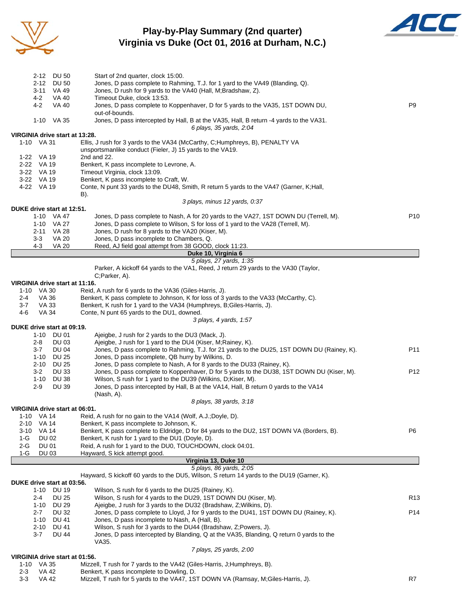

#### **Play-by-Play Summary (2nd quarter) Virginia vs Duke (Oct 01, 2016 at Durham, N.C.)**



|                          | 2-12 DU 50                               | Start of 2nd quarter, clock 15:00.                                                                                                                                        |                 |
|--------------------------|------------------------------------------|---------------------------------------------------------------------------------------------------------------------------------------------------------------------------|-----------------|
| $2 - 12$                 | <b>DU 50</b>                             | Jones, D pass complete to Rahming, T.J. for 1 yard to the VA49 (Blanding, Q).                                                                                             |                 |
| $4 - 2$                  | 3-11 VA 49<br><b>VA 40</b>               | Jones, D rush for 9 yards to the VA40 (Hall, M;Bradshaw, Z).<br>Timeout Duke, clock 13:53.                                                                                |                 |
| 4-2                      | <b>VA 40</b>                             | Jones, D pass complete to Koppenhaver, D for 5 yards to the VA35, 1ST DOWN DU,                                                                                            | P <sub>9</sub>  |
|                          |                                          | out-of-bounds.                                                                                                                                                            |                 |
|                          | 1-10 VA 35                               | Jones, D pass intercepted by Hall, B at the VA35, Hall, B return -4 yards to the VA31.<br>6 plays, 35 yards, 2:04                                                         |                 |
|                          | VIRGINIA drive start at 13:28.           |                                                                                                                                                                           |                 |
| 1-10 VA 31               |                                          | Ellis, J rush for 3 yards to the VA34 (McCarthy, C; Humphreys, B), PENALTY VA<br>unsportsmanlike conduct (Fieler, J) 15 yards to the VA19.                                |                 |
| 1-22 VA 19               |                                          | 2nd and 22.                                                                                                                                                               |                 |
| 2-22 VA 19               |                                          | Benkert, K pass incomplete to Levrone, A.                                                                                                                                 |                 |
| 3-22 VA 19               |                                          | Timeout Virginia, clock 13:09.                                                                                                                                            |                 |
| 3-22 VA 19<br>4-22 VA 19 |                                          | Benkert, K pass incomplete to Craft, W.<br>Conte, N punt 33 yards to the DU48, Smith, R return 5 yards to the VA47 (Garner, K; Hall,                                      |                 |
|                          |                                          | B).                                                                                                                                                                       |                 |
|                          |                                          | 3 plays, minus 12 yards, 0:37                                                                                                                                             |                 |
|                          | DUKE drive start at 12:51.               |                                                                                                                                                                           |                 |
|                          | 1-10 VA 47<br>1-10 VA 27                 | Jones, D pass complete to Nash, A for 20 yards to the VA27, 1ST DOWN DU (Terrell, M).<br>Jones, D pass complete to Wilson, S for loss of 1 yard to the VA28 (Terrell, M). | P <sub>10</sub> |
|                          | 2-11 VA 28                               | Jones, D rush for 8 yards to the VA20 (Kiser, M).                                                                                                                         |                 |
| $3 - 3$                  | <b>VA 20</b>                             | Jones, D pass incomplete to Chambers, Q.                                                                                                                                  |                 |
| $4 - 3$                  | <b>VA 20</b>                             | Reed, AJ field goal attempt from 38 GOOD, clock 11:23.                                                                                                                    |                 |
|                          |                                          | Duke 10, Virginia 6<br>5 plays, 27 yards, 1:35                                                                                                                            |                 |
|                          |                                          | Parker, A kickoff 64 yards to the VA1, Reed, J return 29 yards to the VA30 (Taylor,                                                                                       |                 |
|                          |                                          | C;Parker, A).                                                                                                                                                             |                 |
|                          | VIRGINIA drive start at 11:16.           |                                                                                                                                                                           |                 |
| 1-10 VA 30<br>2-4        | VA 36                                    | Reid, A rush for 6 yards to the VA36 (Giles-Harris, J).<br>Benkert, K pass complete to Johnson, K for loss of 3 yards to the VA33 (McCarthy, C).                          |                 |
| $3 - 7$                  | VA 33                                    | Benkert, K rush for 1 yard to the VA34 (Humphreys, B;Giles-Harris, J).                                                                                                    |                 |
| $4 - 6$                  | VA 34                                    | Conte, N punt 65 yards to the DU1, downed.                                                                                                                                |                 |
|                          |                                          | 3 plays, 4 yards, 1:57                                                                                                                                                    |                 |
|                          | DUKE drive start at 09:19.<br>1-10 DU 01 | Ajeigbe, J rush for 2 yards to the DU3 (Mack, J).                                                                                                                         |                 |
| 2-8                      | DU 03                                    | Ajeigbe, J rush for 1 yard to the DU4 (Kiser, M; Rainey, K).                                                                                                              |                 |
| $3 - 7$                  | <b>DU 04</b>                             | Jones, D pass complete to Rahming, T.J. for 21 yards to the DU25, 1ST DOWN DU (Rainey, K).                                                                                | P11             |
| 1-10                     | <b>DU 25</b>                             | Jones, D pass incomplete, QB hurry by Wilkins, D.                                                                                                                         |                 |
| 2-10<br>$3-2$            | <b>DU 25</b><br><b>DU 33</b>             | Jones, D pass complete to Nash, A for 8 yards to the DU33 (Rainey, K).<br>Jones, D pass complete to Koppenhaver, D for 5 yards to the DU38, 1ST DOWN DU (Kiser, M).       | P12             |
| $1 - 10$                 | <b>DU 38</b>                             | Wilson, S rush for 1 yard to the DU39 (Wilkins, D; Kiser, M).                                                                                                             |                 |
| $2 - 9$                  | <b>DU 39</b>                             | Jones, D pass intercepted by Hall, B at the VA14, Hall, B return 0 yards to the VA14                                                                                      |                 |
|                          |                                          | (Nash, A).                                                                                                                                                                |                 |
|                          | VIRGINIA drive start at 06:01.           | 8 plays, 38 yards, 3:18                                                                                                                                                   |                 |
| $1 - 10$                 | VA 14                                    | Reid, A rush for no gain to the VA14 (Wolf, A.J.; Doyle, D).                                                                                                              |                 |
| $2 - 10$                 | VA 14                                    | Benkert, K pass incomplete to Johnson, K.                                                                                                                                 |                 |
| $3 - 10$                 | <b>VA 14</b>                             | Benkert, K pass complete to Eldridge, D for 84 yards to the DU2, 1ST DOWN VA (Borders, B).                                                                                | P6              |
| $1-G$<br>2-G             | <b>DU 02</b><br><b>DU 01</b>             | Benkert, K rush for 1 yard to the DU1 (Doyle, D).<br>Reid, A rush for 1 yard to the DU0, TOUCHDOWN, clock 04:01.                                                          |                 |
| $1-G$                    | <b>DU 03</b>                             | Hayward, S kick attempt good.                                                                                                                                             |                 |
|                          |                                          | Virginia 13, Duke 10                                                                                                                                                      |                 |
|                          |                                          | 5 plays, 86 yards, 2:05                                                                                                                                                   |                 |
|                          | DUKE drive start at 03:56.               | Hayward, S kickoff 60 yards to the DU5, Wilson, S return 14 yards to the DU19 (Garner, K).                                                                                |                 |
| $1 - 10$                 | <b>DU 19</b>                             | Wilson, S rush for 6 yards to the DU25 (Rainey, K).                                                                                                                       |                 |
| 2-4                      | <b>DU 25</b>                             | Wilson, S rush for 4 yards to the DU29, 1ST DOWN DU (Kiser, M).                                                                                                           | R13             |
| 1-10                     | <b>DU 29</b>                             | Ajeigbe, J rush for 3 yards to the DU32 (Bradshaw, Z; Wilkins, D).                                                                                                        |                 |
| $2 - 7$<br>1-10          | <b>DU 32</b><br>DU 41                    | Jones, D pass complete to Lloyd, J for 9 yards to the DU41, 1ST DOWN DU (Rainey, K).<br>Jones, D pass incomplete to Nash, A (Hall, B).                                    | P14             |
| $2 - 10$                 | <b>DU 41</b>                             | Wilson, S rush for 3 yards to the DU44 (Bradshaw, Z;Powers, J).                                                                                                           |                 |
| $3 - 7$                  | DU 44                                    | Jones, D pass intercepted by Blanding, Q at the VA35, Blanding, Q return 0 yards to the                                                                                   |                 |
|                          |                                          | VA35.                                                                                                                                                                     |                 |
|                          | VIRGINIA drive start at 01:56.           | 7 plays, 25 yards, 2:00                                                                                                                                                   |                 |
| 1-10 VA 35               |                                          | Mizzell, T rush for 7 yards to the VA42 (Giles-Harris, J;Humphreys, B).                                                                                                   |                 |
| $2 - 3$                  | VA 42                                    | Benkert, K pass incomplete to Dowling, D.                                                                                                                                 |                 |

3-3 VA 42 Mizzell, T rush for 5 yards to the VA47, 1ST DOWN VA (Ramsay, M;Giles-Harris, J). R7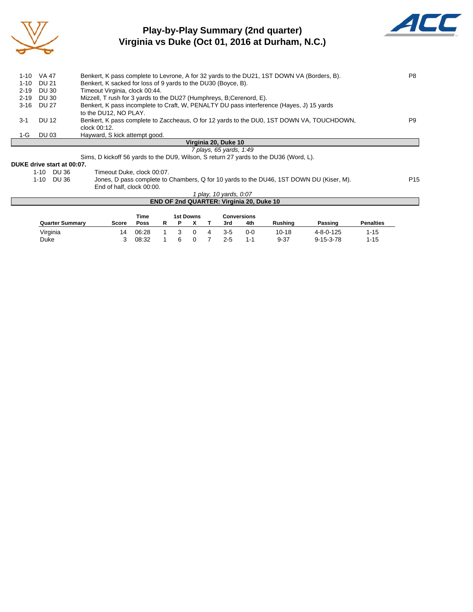

## **Play-by-Play Summary (2nd quarter) Virginia vs Duke (Oct 01, 2016 at Durham, N.C.)**



|          | 1-10 VA 47 | Benkert, K pass complete to Levrone, A for 32 yards to the DU21, 1ST DOWN VA (Borders, B).                        | P8             |
|----------|------------|-------------------------------------------------------------------------------------------------------------------|----------------|
| 1-10     | DU 21      | Benkert, K sacked for loss of 9 yards to the DU30 (Boyce, B).                                                     |                |
| $2 - 19$ | DU 30      | Timeout Virginia, clock 00:44.                                                                                    |                |
| $2 - 19$ | DU 30      | Mizzell, T rush for 3 yards to the DU27 (Humphreys, B;Cerenord, E).                                               |                |
|          | 3-16 DU 27 | Benkert, K pass incomplete to Craft, W, PENALTY DU pass interference (Hayes, J) 15 yards<br>to the DU12, NO PLAY. |                |
| 3-1      | DU 12      | Benkert, K pass complete to Zaccheaus, O for 12 yards to the DU0, 1ST DOWN VA, TOUCHDOWN,<br>clock 00:12.         | P <sub>9</sub> |
| 1-G      | DU 03      | Hayward, S kick attempt good.                                                                                     |                |
|          |            | Virginia 20. Duke 10                                                                                              |                |
|          |            | 7 plays, 65 yards, 1:49                                                                                           |                |
|          |            | Sime D kiekeff ES varde to the DUO Wilson, S return 27 varde to the DUSS (Word U)                                 |                |

Sims, D kickoff 56 yards to the DU9, Wilson, S return 27 yards to the DU36 (Word, L).

# **DUKE drive start at 00:07.**

1-10 DU 36 Timeout Duke, clock 00:07.<br>1-10 DU 36 Jones, D pass complete to 0 Jones, D pass complete to Chambers, Q for 10 yards to the DU46, 1ST DOWN DU (Kiser, M). P15 End of half, clock 00:00. *1 play, 10 yards, 0:07*

|                        |       |       |  |           | play, To yaruo, U.U. | <b>END OF 2nd QUARTER: Virginia 20, Duke 10</b> |                |                   |                  |  |
|------------------------|-------|-------|--|-----------|----------------------|-------------------------------------------------|----------------|-------------------|------------------|--|
|                        |       | Time  |  | 1st Downs |                      | <b>Conversions</b>                              |                |                   |                  |  |
| <b>Quarter Summary</b> | Score | Poss  |  |           | 3rd                  | 4th                                             | <b>Rushing</b> | Passing           | <b>Penalties</b> |  |
| Virginia               | 14    | 06:28 |  |           | 3-5                  | $0 - 0$                                         | $10 - 18$      | $4 - 8 - 0 - 125$ | $1 - 15$         |  |

Duke 3 08:32 1 6 0 7 2-5 1-1 9-37 9-15-3-78 1-15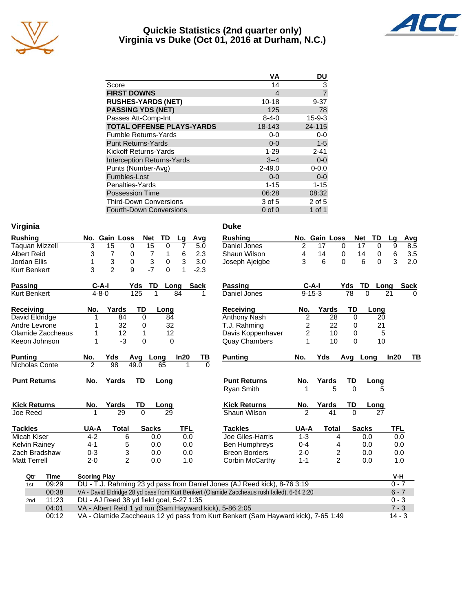

#### **Quickie Statistics (2nd quarter only) Virginia vs Duke (Oct 01, 2016 at Durham, N.C.)**



| VА          | DU             |
|-------------|----------------|
| 14          | 3              |
| 4           | $\overline{7}$ |
| $10 - 18$   | $9 - 37$       |
| 125         | 78             |
| $8 - 4 - 0$ | $15 - 9 - 3$   |
| 18-143      | 24-115         |
| $0 - 0$     | $0-0$          |
| $0 - 0$     | $1 - 5$        |
| $1 - 29$    | $2 - 41$       |
| $3 - 4$     | $0 - 0$        |
| $2 - 49.0$  | $0 - 0.0$      |
| $0 - 0$     | $0 - 0$        |
| $1 - 15$    | $1 - 15$       |
| 06:28       | 08:32          |
| 3 of 5      | $2$ of $5$     |
| $0$ of $0$  | 1 of 1         |
|             |                |

| Virginia | Duke |
|----------|------|
|          |      |

| <b>Rushing</b>        |                                                                                   | No. Gain Loss                            |             | <b>Net</b>                | <b>TD</b>      | Lg             | Avg    | <b>Rushing</b>                                                                              |                | No. Gain Loss |                  | <b>Net</b>   | TD            | Lg      | Avg          |
|-----------------------|-----------------------------------------------------------------------------------|------------------------------------------|-------------|---------------------------|----------------|----------------|--------|---------------------------------------------------------------------------------------------|----------------|---------------|------------------|--------------|---------------|---------|--------------|
| <b>Taquan Mizzell</b> | 3                                                                                 | $\overline{15}$                          | 0           | $\overline{15}$           | $\overline{0}$ | $\overline{7}$ | 5.0    | Daniel Jones                                                                                | $\overline{c}$ | 17            | 0                | 17           | $\mathbf 0$   | 9       | 8.5          |
| <b>Albert Reid</b>    | 3                                                                                 | $\overline{7}$                           | 0           | $\overline{7}$            | 1              | $\,6\,$        | 2.3    | Shaun Wilson                                                                                | 4              | 14            | 0                | 14           | 0             | 6       | 3.5          |
| Jordan Ellis          | 1                                                                                 | 3                                        | 0           | $\ensuremath{\mathsf{3}}$ | $\mathbf 0$    | 3              | 3.0    | Joseph Ajeigbe                                                                              | 3              | 6             | $\Omega$         |              | 6<br>$\Omega$ | 3       | 2.0          |
| Kurt Benkert          | 3                                                                                 | $\overline{2}$                           | 9           | $-7$                      | $\Omega$       | 1              | $-2.3$ |                                                                                             |                |               |                  |              |               |         |              |
| <b>Passing</b>        | $C-A-I$                                                                           |                                          | Yds         | TD                        | Long           |                | Sack   | Passing                                                                                     |                | $C-A-I$       |                  | Yds          | TD            | Long    | Sack         |
| <b>Kurt Benkert</b>   | $4 - 8 - 0$                                                                       |                                          | 125         | 1                         |                | 84             | 1      | Daniel Jones                                                                                |                | $9 - 15 - 3$  |                  | 78           | $\Omega$      | 21      | <sup>0</sup> |
| <b>Receiving</b>      | No.                                                                               | Yards                                    | <b>TD</b>   |                           | Long           |                |        | <b>Receiving</b>                                                                            | No.            |               | Yards            | TD           | Long          |         |              |
| David Eldridge        | 1                                                                                 | 84                                       | $\Omega$    |                           | 84             |                |        | Anthony Nash                                                                                | $\overline{2}$ |               | 28               | $\Omega$     | 20            |         |              |
| Andre Levrone         |                                                                                   | 32                                       | 0           |                           | 32             |                |        | T.J. Rahming                                                                                | 2              |               | 22               | 0            | 21            |         |              |
| Olamide Zaccheaus     | 1                                                                                 | 12                                       | 1           |                           | 12             |                |        | Davis Koppenhaver                                                                           | 2              |               | 10               | 0            | 5             |         |              |
| Keeon Johnson         | 1                                                                                 | $-3$                                     | $\mathbf 0$ |                           | $\Omega$       |                |        | <b>Quay Chambers</b>                                                                        | 1              |               | 10               | $\Omega$     | 10            |         |              |
| <b>Punting</b>        | No.                                                                               | Yds                                      | Avg         | Long                      |                | In20           | ΤВ     | <b>Punting</b>                                                                              | No.            | Yds           |                  | Avg Long     |               | In20    | TВ           |
| Nicholas Conte        | $\overline{2}$                                                                    | 98                                       | 49.0        |                           | 65             |                | 1<br>0 |                                                                                             |                |               |                  |              |               |         |              |
| <b>Punt Returns</b>   | No.                                                                               | Yards                                    | <b>TD</b>   |                           | Long           |                |        | <b>Punt Returns</b>                                                                         | No.            | Yards         |                  | TD           | Long          |         |              |
|                       |                                                                                   |                                          |             |                           |                |                |        | <b>Ryan Smith</b>                                                                           |                |               | 5                | $\Omega$     |               |         |              |
| <b>Kick Returns</b>   | No.                                                                               | Yards                                    | TD          |                           | Long           |                |        | <b>Kick Returns</b>                                                                         | No.            | Yards         |                  | TD           | Long          |         |              |
| Joe Reed              | 1                                                                                 | 29                                       | 0           |                           | 29             |                |        | Shaun Wilson                                                                                | $\overline{2}$ |               | 41               | $\Omega$     | 27            |         |              |
| <b>Tackles</b>        | UA-A                                                                              | <b>Total</b>                             |             | <b>Sacks</b>              |                | <b>TFL</b>     |        | <b>Tackles</b>                                                                              | UA-A           |               | <b>Total</b>     | <b>Sacks</b> |               | TFL     |              |
| Micah Kiser           | $4 - 2$                                                                           | 6                                        |             | 0.0                       |                |                | 0.0    | Joe Giles-Harris                                                                            | $1 - 3$        |               | 4                |              | 0.0           | 0.0     |              |
| Kelvin Rainey         | $4 - 1$                                                                           | 5                                        |             | 0.0                       |                |                | 0.0    | <b>Ben Humphreys</b>                                                                        | $0 - 4$        |               | 4                |              | 0.0           | 0.0     |              |
| Zach Bradshaw         | $0 - 3$                                                                           | 3                                        |             | 0.0                       |                |                | 0.0    | <b>Breon Borders</b>                                                                        | $2 - 0$        |               | $\boldsymbol{2}$ |              | 0.0           | 0.0     |              |
| <b>Matt Terrell</b>   | $2 - 0$                                                                           | $\overline{2}$                           |             | 0.0                       |                |                | 1.0    | Corbin McCarthy                                                                             | $1 - 1$        |               | $\overline{2}$   |              | 0.0           | 1.0     |              |
| Qtr<br><b>Time</b>    | <b>Scoring Play</b>                                                               |                                          |             |                           |                |                |        |                                                                                             |                |               |                  |              |               | V-H     |              |
| 09:29<br>1st          |                                                                                   |                                          |             |                           |                |                |        | DU - T.J. Rahming 23 yd pass from Daniel Jones (AJ Reed kick), 8-76 3:19                    |                |               |                  |              |               | $0 - 7$ |              |
| 00:38                 |                                                                                   |                                          |             |                           |                |                |        | VA - David Eldridge 28 yd pass from Kurt Benkert (Olamide Zaccheaus rush failed), 6-64 2:20 |                |               |                  |              |               | $6 - 7$ |              |
| 11:23<br>2nd          |                                                                                   | DU - AJ Reed 38 yd field goal, 5-27 1:35 |             |                           |                |                |        |                                                                                             |                |               |                  |              |               | $0 - 3$ |              |
| 04:01                 |                                                                                   |                                          |             |                           |                |                |        | VA - Albert Reid 1 yd run (Sam Hayward kick), 5-86 2:05                                     |                |               |                  |              |               | $7 - 3$ |              |
| 00:12                 | VA - Olamide Zaccheaus 12 yd pass from Kurt Benkert (Sam Hayward kick), 7-65 1:49 |                                          |             |                           |                |                |        |                                                                                             |                |               |                  |              |               |         |              |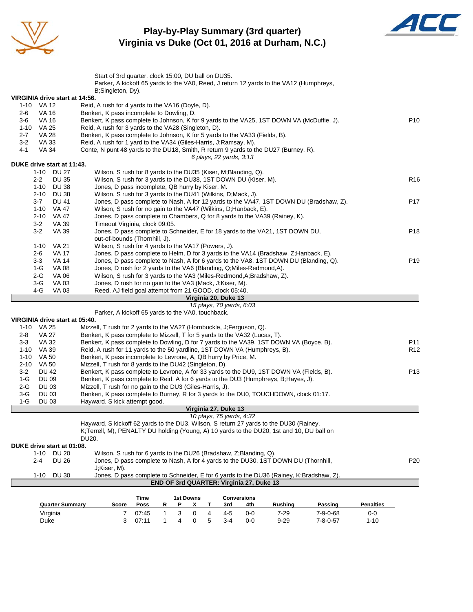

#### **Play-by-Play Summary (3rd quarter) Virginia vs Duke (Oct 01, 2016 at Durham, N.C.)**



|                                              | Start of 3rd quarter, clock 15:00, DU ball on DU35.                                                                                                                                          |                   |                 |
|----------------------------------------------|----------------------------------------------------------------------------------------------------------------------------------------------------------------------------------------------|-------------------|-----------------|
|                                              | Parker, A kickoff 65 yards to the VA0, Reed, J return 12 yards to the VA12 (Humphreys,                                                                                                       |                   |                 |
|                                              | B;Singleton, Dy).                                                                                                                                                                            |                   |                 |
| VIRGINIA drive start at 14:56.               |                                                                                                                                                                                              |                   |                 |
| 1-10 VA 12                                   | Reid, A rush for 4 yards to the VA16 (Doyle, D).                                                                                                                                             |                   |                 |
| <b>VA 16</b><br>2-6                          | Benkert, K pass incomplete to Dowling, D.                                                                                                                                                    |                   |                 |
| 3-6<br>VA 16                                 | Benkert, K pass complete to Johnson, K for 9 yards to the VA25, 1ST DOWN VA (McDuffie, J).                                                                                                   |                   | P <sub>10</sub> |
| 1-10 VA 25                                   | Reid, A rush for 3 yards to the VA28 (Singleton, D).                                                                                                                                         |                   |                 |
| $2 - 7$<br><b>VA 28</b>                      | Benkert, K pass complete to Johnson, K for 5 yards to the VA33 (Fields, B).                                                                                                                  |                   |                 |
| $3-2$<br><b>VA 33</b>                        | Reid, A rush for 1 yard to the VA34 (Giles-Harris, J;Ramsay, M).                                                                                                                             |                   |                 |
| $4 - 1$<br><b>VA 34</b>                      | Conte, N punt 48 yards to the DU18, Smith, R return 9 yards to the DU27 (Burney, R).                                                                                                         |                   |                 |
|                                              | 6 plays, 22 yards, 3:13                                                                                                                                                                      |                   |                 |
| DUKE drive start at 11:43.                   | Wilson, S rush for 8 yards to the DU35 (Kiser, M;Blanding, Q).                                                                                                                               |                   |                 |
| 1-10 DU 27                                   |                                                                                                                                                                                              |                   | R <sub>16</sub> |
| $2 - 2$<br><b>DU 35</b>                      | Wilson, S rush for 3 yards to the DU38, 1ST DOWN DU (Kiser, M).                                                                                                                              |                   |                 |
| 1-10 DU 38                                   | Jones, D pass incomplete, QB hurry by Kiser, M.                                                                                                                                              |                   |                 |
| 2-10 DU 38                                   | Wilson, S rush for 3 yards to the DU41 (Wilkins, D; Mack, J).                                                                                                                                |                   |                 |
| $3 - 7$<br><b>DU 41</b><br>1-10 VA 47        | Jones, D pass complete to Nash, A for 12 yards to the VA47, 1ST DOWN DU (Bradshaw, Z).                                                                                                       |                   | P <sub>17</sub> |
| $2 - 10$<br>VA 47                            | Wilson, S rush for no gain to the VA47 (Wilkins, D; Hanback, E).<br>Jones, D pass complete to Chambers, Q for 8 yards to the VA39 (Rainey, K).                                               |                   |                 |
| $3 - 2$<br>VA 39                             | Timeout Virginia, clock 09:05.                                                                                                                                                               |                   |                 |
| $3 - 2$<br>VA 39                             | Jones, D pass complete to Schneider, E for 18 yards to the VA21, 1ST DOWN DU,                                                                                                                |                   | P <sub>18</sub> |
|                                              | out-of-bounds (Thornhill, J).                                                                                                                                                                |                   |                 |
| $1 - 10$<br>VA 21                            | Wilson, S rush for 4 yards to the VA17 (Powers, J).                                                                                                                                          |                   |                 |
| <b>VA 17</b><br>2-6                          | Jones, D pass complete to Helm, D for 3 yards to the VA14 (Bradshaw, Z; Hanback, E).                                                                                                         |                   |                 |
| $3-3$<br><b>VA 14</b>                        | Jones, D pass complete to Nash, A for 6 yards to the VA8, 1ST DOWN DU (Blanding, Q).                                                                                                         |                   | P <sub>19</sub> |
| <b>VA 08</b><br>1-G                          | Jones, D rush for 2 yards to the VA6 (Blanding, Q; Miles-Redmond, A).                                                                                                                        |                   |                 |
| 2-G<br>VA 06                                 | Wilson, S rush for 3 yards to the VA3 (Miles-Redmond, A; Bradshaw, Z).                                                                                                                       |                   |                 |
| $3-G$<br>VA 03                               | Jones, D rush for no gain to the VA3 (Mack, J;Kiser, M).                                                                                                                                     |                   |                 |
| 4-G<br>VA 03                                 | Reed, AJ field goal attempt from 21 GOOD, clock 05:40.                                                                                                                                       |                   |                 |
|                                              |                                                                                                                                                                                              |                   |                 |
|                                              |                                                                                                                                                                                              |                   |                 |
|                                              | Virginia 20, Duke 13                                                                                                                                                                         |                   |                 |
|                                              | 15 plays, 70 yards, 6:03                                                                                                                                                                     |                   |                 |
|                                              | Parker, A kickoff 65 yards to the VA0, touchback.                                                                                                                                            |                   |                 |
| VIRGINIA drive start at 05:40.<br>1-10 VA 25 | Mizzell, T rush for 2 yards to the VA27 (Hornbuckle, J; Ferguson, Q).                                                                                                                        |                   |                 |
| $2 - 8$<br>VA 27                             | Benkert, K pass complete to Mizzell, T for 5 yards to the VA32 (Lucas, T).                                                                                                                   |                   |                 |
| VA 32<br>$3-3$                               |                                                                                                                                                                                              |                   | P11             |
| 1-10 VA 39                                   | Benkert, K pass complete to Dowling, D for 7 yards to the VA39, 1ST DOWN VA (Boyce, B).<br>Reid, A rush for 11 yards to the 50 yardline, 1ST DOWN VA (Humphreys, B).                         |                   | R <sub>12</sub> |
| 1-10 VA 50                                   | Benkert, K pass incomplete to Levrone, A, QB hurry by Price, M.                                                                                                                              |                   |                 |
| 2-10 VA 50                                   | Mizzell, T rush for 8 yards to the DU42 (Singleton, D).                                                                                                                                      |                   |                 |
| $3 - 2$<br><b>DU 42</b>                      | Benkert, K pass complete to Levrone, A for 33 yards to the DU9, 1ST DOWN VA (Fields, B).                                                                                                     |                   | P <sub>13</sub> |
| <b>DU 09</b><br>1-G                          | Benkert, K pass complete to Reid, A for 6 yards to the DU3 (Humphreys, B; Hayes, J).                                                                                                         |                   |                 |
| $2-G$<br>DU 03                               | Mizzell, T rush for no gain to the DU3 (Giles-Harris, J).                                                                                                                                    |                   |                 |
| $3-G$<br><b>DU 03</b>                        | Benkert, K pass complete to Burney, R for 3 yards to the DU0, TOUCHDOWN, clock 01:17.                                                                                                        |                   |                 |
| $1-G$<br><b>DU 03</b>                        | Hayward, S kick attempt good.                                                                                                                                                                |                   |                 |
|                                              | Virginia 27. Duke 13                                                                                                                                                                         |                   |                 |
|                                              | 10 plays, 75 yards, 4:32                                                                                                                                                                     |                   |                 |
|                                              | Hayward, S kickoff 62 yards to the DU3, Wilson, S return 27 yards to the DU30 (Rainey,                                                                                                       |                   |                 |
|                                              | K;Terrell, M), PENALTY DU holding (Young, A) 10 yards to the DU20, 1st and 10, DU ball on                                                                                                    |                   |                 |
|                                              | DU20.                                                                                                                                                                                        |                   |                 |
| DUKE drive start at 01:08.                   |                                                                                                                                                                                              |                   |                 |
| 1-10 DU 20                                   | Wilson, S rush for 6 yards to the DU26 (Bradshaw, Z; Blanding, Q).                                                                                                                           |                   |                 |
| $2 - 4$<br><b>DU 26</b>                      | Jones, D pass complete to Nash, A for 4 yards to the DU30, 1ST DOWN DU (Thornhill,                                                                                                           |                   | P <sub>20</sub> |
|                                              | J;Kiser, M).                                                                                                                                                                                 |                   |                 |
| $1 - 10$<br><b>DU 30</b>                     | Jones, D pass complete to Schneider, E for 6 yards to the DU36 (Rainey, K;Bradshaw, Z).                                                                                                      |                   |                 |
|                                              | END OF 3rd QUARTER: Virginia 27, Duke 13                                                                                                                                                     |                   |                 |
|                                              |                                                                                                                                                                                              |                   |                 |
|                                              | <b>1st Downs</b><br><b>Conversions</b><br>Time<br>Score<br>R<br>Ρ<br>x<br>Т<br>3rd<br>4th                                                                                                    | <b>Penalties</b>  |                 |
| <b>Quarter Summary</b>                       | Poss<br><b>Rushing</b><br>Passing                                                                                                                                                            |                   |                 |
| Virginia<br>Duke                             | $\mathbf{1}$<br>3<br>0<br>4<br>$4 - 5$<br>7<br>07:45<br>0-0<br>$7 - 29$<br>$7 - 9 - 0 - 68$<br>5<br>3<br>07:11<br>$\mathbf{1}$<br>4<br>0<br>$3 - 4$<br>$0-0$<br>$9 - 29$<br>$7 - 8 - 0 - 57$ | $0-0$<br>$1 - 10$ |                 |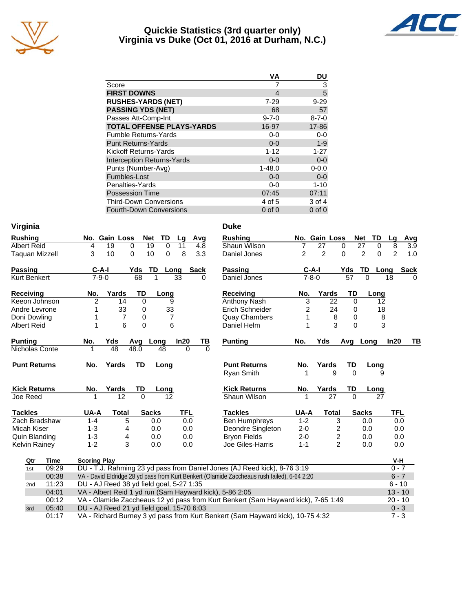

#### **Quickie Statistics (3rd quarter only) Virginia vs Duke (Oct 01, 2016 at Durham, N.C.)**



|                                   | VА          | DU          |
|-----------------------------------|-------------|-------------|
| Score                             | 7           | 3           |
| <b>FIRST DOWNS</b>                | 4           | 5           |
| <b>RUSHES-YARDS (NET)</b>         | $7 - 29$    | $9 - 29$    |
| <b>PASSING YDS (NET)</b>          | 68          | 57          |
| Passes Att-Comp-Int               | $9 - 7 - 0$ | $8 - 7 - 0$ |
| <b>TOTAL OFFENSE PLAYS-YARDS</b>  | 16-97       | 17-86       |
| <b>Fumble Returns-Yards</b>       | $0 - 0$     | $0-0$       |
| <b>Punt Returns-Yards</b>         | $0 - 0$     | $1 - 9$     |
| Kickoff Returns-Yards             | $1 - 12$    | $1 - 27$    |
| <b>Interception Returns-Yards</b> | $0 - 0$     | $0 - 0$     |
| Punts (Number-Avg)                | $1 - 48.0$  | $0 - 0.0$   |
| Fumbles-Lost                      | $0 - 0$     | $0 - 0$     |
| Penalties-Yards                   | $0-0$       | $1 - 10$    |
| <b>Possession Time</b>            | 07:45       | 07:11       |
| <b>Third-Down Conversions</b>     | 4 of 5      | 3 of 4      |
| <b>Fourth-Down Conversions</b>    | $0$ of $0$  | $0$ of $0$  |
|                                   |             |             |

| Virginia              |                                                                                             | <b>Duke</b>                           |                     |                             |                       |
|-----------------------|---------------------------------------------------------------------------------------------|---------------------------------------|---------------------|-----------------------------|-----------------------|
| <b>Rushing</b>        | No. Gain Loss<br>TD<br><b>Net</b><br>Avg<br>Lg                                              | <b>Rushing</b>                        | No. Gain Loss       | <b>Net</b><br>TD            | Avg<br>Lq             |
| <b>Albert Reid</b>    | $\overline{19}$<br>19<br>$\Omega$<br>4<br>$\Omega$<br>11<br>4.8                             | Shaun Wilson<br>7                     | 27<br>0             | $\overline{27}$<br>$\Omega$ | 8<br>3.9              |
| <b>Taquan Mizzell</b> | 3<br>10<br>8<br>3.3<br>10<br>0<br>0                                                         | $\overline{c}$<br>Daniel Jones        | $\overline{2}$<br>0 | 2<br>0                      | $\overline{2}$<br>1.0 |
| <b>Passing</b>        | TD<br>$C-A-I$<br>Yds<br>Sack<br>Long                                                        | <b>Passing</b>                        | $C-A-I$             | Yds<br>TD<br>Long           | <b>Sack</b>           |
| Kurt Benkert          | 68<br>$7 - 9 - 0$<br>1<br>33<br>$\Omega$                                                    | Daniel Jones                          | $7 - 8 - 0$         | $\overline{57}$<br>$\Omega$ | 18<br>$\Omega$        |
| Receiving             | <b>TD</b><br>Yards<br>No.<br>Long                                                           | <b>Receiving</b><br>No.               | Yards               | TD<br>Long                  |                       |
| Keeon Johnson         | $\overline{2}$<br>$\Omega$<br>14<br>9                                                       | $\overline{3}$<br><b>Anthony Nash</b> | 22                  | $\Omega$<br>12              |                       |
| Andre Levrone         | 33<br>33<br>1<br>0                                                                          | 2<br>Erich Schneider                  | 24                  | 18<br>0                     |                       |
| Doni Dowling          | $\overline{7}$<br>$\overline{7}$<br>0<br>1                                                  | <b>Quay Chambers</b><br>1             | 8                   | 8<br>0                      |                       |
| <b>Albert Reid</b>    | 6<br>6<br>0<br>1                                                                            | 1<br>Daniel Helm                      | 3                   | 3<br>$\Omega$               |                       |
| <b>Punting</b>        | In20<br>No.<br>Yds<br>Avg<br>Long<br>TВ                                                     | <b>Punting</b><br>No.                 | Yds                 | Avg<br>Long                 | In20<br>TB            |
| Nicholas Conte        | 48<br>48.0<br>48<br>$\Omega$<br>$\Omega$<br>1                                               |                                       |                     |                             |                       |
| <b>Punt Returns</b>   | <b>TD</b><br>Yards<br>No.<br>Long                                                           | <b>Punt Returns</b><br>No.            | Yards               | TD<br>Long                  |                       |
|                       |                                                                                             | <b>Ryan Smith</b>                     | 9                   | $\Omega$<br>9               |                       |
| <b>Kick Returns</b>   | No.<br>Yards<br>TD<br>Long                                                                  | <b>Kick Returns</b><br>No.            | Yards               | TD<br>Long                  |                       |
| Joe Reed              | 12<br>$\Omega$<br>12                                                                        | Shaun Wilson                          | 27                  | $\Omega$<br>27              |                       |
| <b>Tackles</b>        | UA-A<br><b>TFL</b><br><b>Total</b><br><b>Sacks</b>                                          | <b>Tackles</b><br>UA-A                | <b>Total</b>        | <b>Sacks</b>                | TFL                   |
| Zach Bradshaw         | 5<br>$1 - 4$<br>0.0<br>0.0                                                                  | <b>Ben Humphreys</b><br>$1 - 2$       | 3                   | 0.0                         | 0.0                   |
| Micah Kiser           | $1 - 3$<br>4<br>0.0<br>0.0                                                                  | Deondre Singleton<br>$2 - 0$          | 2                   | 0.0                         | 0.0                   |
| Quin Blanding         | $1 - 3$<br>4<br>0.0<br>0.0                                                                  | <b>Bryon Fields</b><br>$2 - 0$        | 2                   | 0.0                         | 0.0                   |
| Kelvin Rainey         | 3<br>$1 - 2$<br>0.0<br>0.0                                                                  | Joe Giles-Harris<br>$1 - 1$           | $\overline{c}$      | 0.0                         | 0.0                   |
| <b>Time</b><br>Qtr    | <b>Scoring Play</b>                                                                         |                                       |                     |                             | V-H                   |
| 09:29<br>1st          | DU - T.J. Rahming 23 yd pass from Daniel Jones (AJ Reed kick), 8-76 3:19                    |                                       |                     |                             | $0 - 7$               |
| 00:38                 | VA - David Eldridge 28 yd pass from Kurt Benkert (Olamide Zaccheaus rush failed), 6-64 2:20 |                                       |                     |                             | $6 - 7$               |
| 11:23<br>2nd          | DU - AJ Reed 38 yd field goal, 5-27 1:35                                                    |                                       |                     |                             | $6 - 10$              |
| 04:01                 | VA - Albert Reid 1 yd run (Sam Hayward kick), 5-86 2:05                                     |                                       |                     |                             | $13 - 10$             |
| 00:12                 | VA - Olamide Zaccheaus 12 yd pass from Kurt Benkert (Sam Hayward kick), 7-65 1:49           |                                       |                     |                             | $20 - 10$             |
| 05:40<br>3rd          | DU - AJ Reed 21 yd field goal, 15-70 6:03                                                   |                                       |                     |                             | $0 - 3$               |
| 01:17                 | VA - Richard Burney 3 yd pass from Kurt Benkert (Sam Hayward kick), 10-75 4:32              |                                       |                     |                             | $7 - 3$               |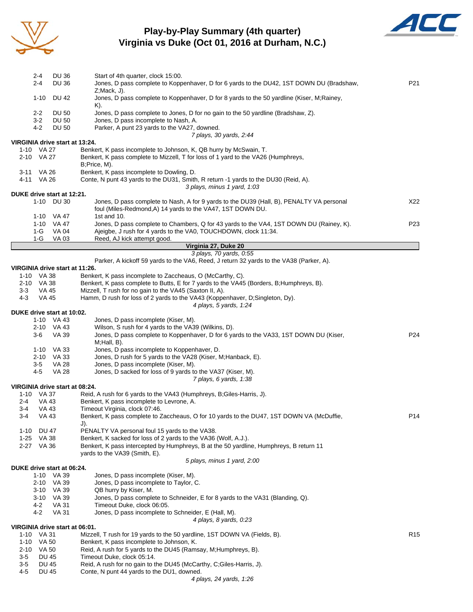

#### **Play-by-Play Summary (4th quarter) Virginia vs Duke (Oct 01, 2016 at Durham, N.C.)**



|                | 2-4            | DU 36                          | Start of 4th quarter, clock 15:00.                                                                                                                                    |                 |
|----------------|----------------|--------------------------------|-----------------------------------------------------------------------------------------------------------------------------------------------------------------------|-----------------|
|                | 2-4            | <b>DU 36</b>                   | Jones, D pass complete to Koppenhaver, D for 6 yards to the DU42, 1ST DOWN DU (Bradshaw,<br>$Z; \text{Mack}, J$ ).                                                    | P21             |
|                | $1 - 10$       | DU 42                          | Jones, D pass complete to Koppenhaver, D for 8 yards to the 50 yardline (Kiser, M;Rainey,<br>K).                                                                      |                 |
|                | $2 - 2$        | <b>DU 50</b>                   | Jones, D pass complete to Jones, D for no gain to the 50 yardline (Bradshaw, Z).                                                                                      |                 |
|                | 3-2            | <b>DU 50</b>                   | Jones, D pass incomplete to Nash, A.                                                                                                                                  |                 |
|                | 4-2            | DU 50                          | Parker, A punt 23 yards to the VA27, downed.                                                                                                                          |                 |
|                |                | VIRGINIA drive start at 13:24. | 7 plays, 30 yards, 2:44                                                                                                                                               |                 |
|                | 1-10 VA 27     |                                | Benkert, K pass incomplete to Johnson, K, QB hurry by McSwain, T.                                                                                                     |                 |
|                | 2-10 VA 27     |                                | Benkert, K pass complete to Mizzell, T for loss of 1 yard to the VA26 (Humphreys,<br>B;Price, M).                                                                     |                 |
|                | 3-11 VA 26     |                                | Benkert, K pass incomplete to Dowling, D.                                                                                                                             |                 |
|                | 4-11 VA 26     |                                | Conte, N punt 43 yards to the DU31, Smith, R return -1 yards to the DU30 (Reid, A).<br>3 plays, minus 1 yard, 1:03                                                    |                 |
|                |                | DUKE drive start at 12:21.     |                                                                                                                                                                       |                 |
|                |                | 1-10 DU 30                     | Jones, D pass complete to Nash, A for 9 yards to the DU39 (Hall, B), PENALTY VA personal<br>foul (Miles-Redmond, A) 14 yards to the VA47, 1ST DOWN DU.<br>1st and 10. | X22             |
|                |                | 1-10 VA 47<br>1-10 VA 47       | Jones, D pass complete to Chambers, Q for 43 yards to the VA4, 1ST DOWN DU (Rainey, K).                                                                               | P <sub>23</sub> |
|                | 1-G            | VA 04                          | Ajeigbe, J rush for 4 yards to the VA0, TOUCHDOWN, clock 11:34.                                                                                                       |                 |
|                | 1-G            | VA 03                          | Reed, AJ kick attempt good.                                                                                                                                           |                 |
|                |                |                                | Virginia 27, Duke 20                                                                                                                                                  |                 |
|                |                |                                | 3 plays, 70 yards, 0:55                                                                                                                                               |                 |
|                |                |                                | Parker, A kickoff 59 yards to the VA6, Reed, J return 32 yards to the VA38 (Parker, A).                                                                               |                 |
|                | 1-10 VA 38     | VIRGINIA drive start at 11:26. | Benkert, K pass incomplete to Zaccheaus, O (McCarthy, C).                                                                                                             |                 |
|                | 2-10 VA 38     |                                | Benkert, K pass complete to Butts, E for 7 yards to the VA45 (Borders, B; Humphreys, B).                                                                              |                 |
| 3-3            | VA 45          |                                | Mizzell, T rush for no gain to the VA45 (Saxton II, A).                                                                                                               |                 |
| 4-3            | <b>VA 45</b>   |                                | Hamm, D rush for loss of 2 yards to the VA43 (Koppenhaver, D;Singleton, Dy).                                                                                          |                 |
|                |                |                                | 4 plays, 5 yards, 1:24                                                                                                                                                |                 |
|                |                | DUKE drive start at 10:02.     |                                                                                                                                                                       |                 |
|                |                | 1-10 VA 43                     | Jones, D pass incomplete (Kiser, M).                                                                                                                                  |                 |
|                |                | 2-10 VA 43                     | Wilson, S rush for 4 yards to the VA39 (Wilkins, D).                                                                                                                  |                 |
|                | 3-6            | VA 39                          | Jones, D pass complete to Koppenhaver, D for 6 yards to the VA33, 1ST DOWN DU (Kiser,<br>$M;$ Hall, $B$ ).                                                            | P24             |
|                |                | 1-10 VA 33                     | Jones, D pass incomplete to Koppenhaver, D.                                                                                                                           |                 |
|                |                | 2-10 VA 33                     | Jones, D rush for 5 yards to the VA28 (Kiser, M;Hanback, E).                                                                                                          |                 |
|                | 3-5            | <b>VA 28</b>                   | Jones, D pass incomplete (Kiser, M).                                                                                                                                  |                 |
|                | 4-5            | <b>VA 28</b>                   | Jones, D sacked for loss of 9 yards to the VA37 (Kiser, M).                                                                                                           |                 |
|                |                |                                | 7 plays, 6 yards, 1:38                                                                                                                                                |                 |
|                |                | VIRGINIA drive start at 08:24. |                                                                                                                                                                       |                 |
|                | 1-10 VA 37     |                                | Reid, A rush for 6 yards to the VA43 (Humphreys, B;Giles-Harris, J).                                                                                                  |                 |
| $2 - 4$<br>3-4 | VA 43<br>VA 43 |                                | Benkert, K pass incomplete to Levrone, A.<br>Timeout Virginia, clock 07:46.                                                                                           |                 |
| 3-4            | <b>VA 43</b>   |                                | Benkert, K pass complete to Zaccheaus, O for 10 yards to the DU47, 1ST DOWN VA (McDuffie,                                                                             | P14             |
|                |                |                                | J).                                                                                                                                                                   |                 |
| 1-10           | <b>DU 47</b>   |                                | PENALTY VA personal foul 15 yards to the VA38.                                                                                                                        |                 |
| $1 - 25$       | VA 38          |                                | Benkert, K sacked for loss of 2 yards to the VA36 (Wolf, A.J.).                                                                                                       |                 |
|                | 2-27 VA 36     |                                | Benkert, K pass intercepted by Humphreys, B at the 50 yardline, Humphreys, B return 11<br>yards to the VA39 (Smith, E).                                               |                 |
|                |                |                                | 5 plays, minus 1 yard, 2:00                                                                                                                                           |                 |
|                |                | DUKE drive start at 06:24.     |                                                                                                                                                                       |                 |
|                |                | 1-10 VA 39                     | Jones, D pass incomplete (Kiser, M).                                                                                                                                  |                 |
|                |                | 2-10 VA 39                     | Jones, D pass incomplete to Taylor, C.                                                                                                                                |                 |
|                |                | 3-10 VA 39                     | QB hurry by Kiser, M.                                                                                                                                                 |                 |
|                |                | 3-10 VA 39                     | Jones, D pass complete to Schneider, E for 8 yards to the VA31 (Blanding, Q).                                                                                         |                 |
|                | 4-2            | VA 31                          | Timeout Duke, clock 06:05.                                                                                                                                            |                 |
|                | 4-2            | <b>VA 31</b>                   | Jones, D pass incomplete to Schneider, E (Hall, M).<br>4 plays, 8 yards, 0:23                                                                                         |                 |
|                |                | VIRGINIA drive start at 06:01. |                                                                                                                                                                       |                 |
|                | 1-10 VA 31     |                                | Mizzell, T rush for 19 yards to the 50 yardline, 1ST DOWN VA (Fields, B).                                                                                             | R <sub>15</sub> |
|                | 1-10 VA 50     |                                | Benkert, K pass incomplete to Johnson, K.                                                                                                                             |                 |
|                | 2-10 VA 50     |                                | Reid, A rush for 5 yards to the DU45 (Ramsay, M;Humphreys, B).                                                                                                        |                 |
| 3-5            | DU 45          |                                | Timeout Duke, clock 05:14.                                                                                                                                            |                 |
| 3-5            | <b>DU 45</b>   |                                | Reid, A rush for no gain to the DU45 (McCarthy, C;Giles-Harris, J).                                                                                                   |                 |
| $4 - 5$        | <b>DU 45</b>   |                                | Conte, N punt 44 yards to the DU1, downed.                                                                                                                            |                 |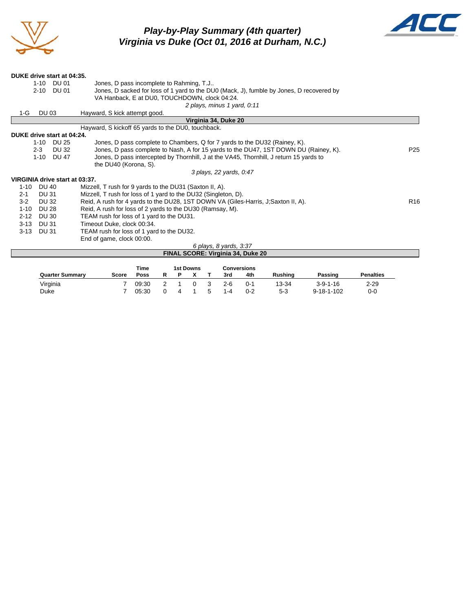

## *Play-by-Play Summary (4th quarter) Virginia vs Duke (Oct 01, 2016 at Durham, N.C.)*



| DUKE drive start at 04:35.     |                                                                                                               |              |                                                                                        |                 |  |  |  |  |
|--------------------------------|---------------------------------------------------------------------------------------------------------------|--------------|----------------------------------------------------------------------------------------|-----------------|--|--|--|--|
|                                |                                                                                                               | 1-10 DU 01   | Jones, D pass incomplete to Rahming, T.J                                               |                 |  |  |  |  |
|                                | Jones, D sacked for loss of 1 yard to the DU0 (Mack, J), fumble by Jones, D recovered by<br>$2 - 10$<br>DU 01 |              |                                                                                        |                 |  |  |  |  |
|                                |                                                                                                               |              | VA Hanback, E at DU0, TOUCHDOWN, clock 04:24.                                          |                 |  |  |  |  |
|                                |                                                                                                               |              | 2 plays, minus 1 yard, 0.11                                                            |                 |  |  |  |  |
| 1-G                            | <b>DU 03</b>                                                                                                  |              | Hayward, S kick attempt good.                                                          |                 |  |  |  |  |
|                                |                                                                                                               |              | Virginia 34, Duke 20                                                                   |                 |  |  |  |  |
|                                |                                                                                                               |              | Hayward, S kickoff 65 yards to the DU0, touchback.                                     |                 |  |  |  |  |
| DUKE drive start at 04:24.     |                                                                                                               |              |                                                                                        |                 |  |  |  |  |
|                                |                                                                                                               | 1-10 DU 25   | Jones, D pass complete to Chambers, Q for 7 yards to the DU32 (Rainey, K).             |                 |  |  |  |  |
|                                | $2 - 3$                                                                                                       | DU 32        | Jones, D pass complete to Nash, A for 15 yards to the DU47, 1ST DOWN DU (Rainey, K).   | P <sub>25</sub> |  |  |  |  |
|                                | $1 - 10$                                                                                                      | <b>DU 47</b> | Jones, D pass intercepted by Thornhill, J at the VA45, Thornhill, J return 15 yards to |                 |  |  |  |  |
|                                |                                                                                                               |              | the DU40 (Korona, S).                                                                  |                 |  |  |  |  |
|                                |                                                                                                               |              | 3 plays, 22 yards, 0:47                                                                |                 |  |  |  |  |
| VIRGINIA drive start at 03:37. |                                                                                                               |              |                                                                                        |                 |  |  |  |  |
| $1 - 10$                       | DU 40                                                                                                         |              | Mizzell, T rush for 9 yards to the DU31 (Saxton II, A).                                |                 |  |  |  |  |
| $2 - 1$                        | DU 31                                                                                                         |              | Mizzell, T rush for loss of 1 yard to the DU32 (Singleton, D).                         |                 |  |  |  |  |
| $3-2$                          | <b>DU 32</b>                                                                                                  |              | Reid, A rush for 4 yards to the DU28, 1ST DOWN VA (Giles-Harris, J. Saxton II, A).     | R <sub>16</sub> |  |  |  |  |
| $1 - 10$                       | <b>DU 28</b>                                                                                                  |              | Reid, A rush for loss of 2 yards to the DU30 (Ramsay, M).                              |                 |  |  |  |  |
| $2 - 12$                       | DU 30                                                                                                         |              | TEAM rush for loss of 1 yard to the DU31.                                              |                 |  |  |  |  |
| $3 - 13$                       | DU 31                                                                                                         |              | Timeout Duke, clock 00:34.                                                             |                 |  |  |  |  |
| $3 - 13$                       | DU 31                                                                                                         |              | TEAM rush for loss of 1 yard to the DU32.                                              |                 |  |  |  |  |
|                                |                                                                                                               |              | End of game, clock 00:00.                                                              |                 |  |  |  |  |
|                                |                                                                                                               |              | 6 plays, 8 yards, 3:37                                                                 |                 |  |  |  |  |
|                                |                                                                                                               |              | FINAL SCORE: Virginia 34, Duke 20                                                      |                 |  |  |  |  |
|                                |                                                                                                               |              |                                                                                        |                 |  |  |  |  |

|                        |       | Time  |   | <b>1st Downs</b> |         | Conversions |         |                    |                  |
|------------------------|-------|-------|---|------------------|---------|-------------|---------|--------------------|------------------|
| <b>Quarter Summary</b> | Score | Poss  |   |                  | 3rd     | 4th         | Rushina | Passing            | <b>Penalties</b> |
| Virginia               |       | 09:30 |   |                  | 2-6     | 0-1         | 13-34   | $3 - 9 - 1 - 16$   | $2 - 29$         |
| Duke                   |       | 05:30 | Δ |                  | $1 - 4$ | $0 - 2$     | 5-3     | $9 - 18 - 1 - 102$ | 0-0              |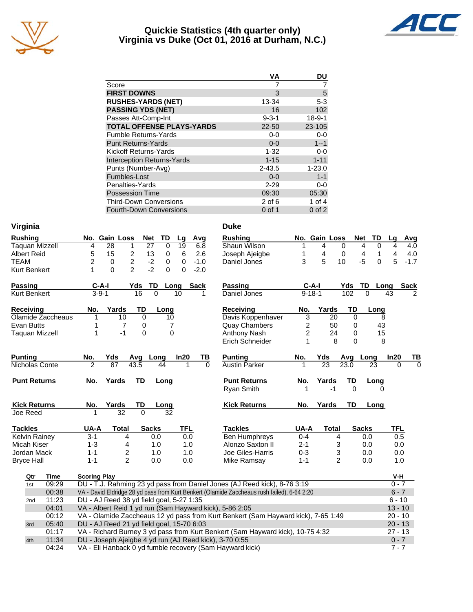

#### **Quickie Statistics (4th quarter only) Virginia vs Duke (Oct 01, 2016 at Durham, N.C.)**



|                                   | <b>VA</b>   | DU           |
|-----------------------------------|-------------|--------------|
| Score                             | 7           |              |
| <b>FIRST DOWNS</b>                | 3           | 5            |
| <b>RUSHES-YARDS (NET)</b>         | 13-34       | $5 - 3$      |
| <b>PASSING YDS (NET)</b>          | 16          | 102          |
| Passes Att-Comp-Int               | $9 - 3 - 1$ | $18 - 9 - 1$ |
| <b>TOTAL OFFENSE PLAYS-YARDS</b>  | $22 - 50$   | 23-105       |
| <b>Fumble Returns-Yards</b>       | $0 - 0$     | $0-0$        |
| <b>Punt Returns-Yards</b>         | $0 - 0$     | $1 - 1$      |
| Kickoff Returns-Yards             | $1 - 32$    | $0-0$        |
| <b>Interception Returns-Yards</b> | $1 - 15$    | $1 - 11$     |
| Punts (Number-Avg)                | $2 - 43.5$  | $1 - 23.0$   |
| Fumbles-Lost                      | $0 - 0$     | $1 - 1$      |
| Penalties-Yards                   | $2 - 29$    | $0-0$        |
| <b>Possession Time</b>            | 09:30       | 05:30        |
| <b>Third-Down Conversions</b>     | $2$ of $6$  | 1 of $4$     |
| <b>Fourth-Down Conversions</b>    | 0 of 1      | $0$ of $2$   |

04:24 VA - Eli Hanback 0 yd fumble recovery (Sam Hayward kick) 7 - 7 7 - 7

| Virginia              |                                                         |                                 |                      |             | <b>Duke</b>                                                                                 |                |                |                            |                                            |
|-----------------------|---------------------------------------------------------|---------------------------------|----------------------|-------------|---------------------------------------------------------------------------------------------|----------------|----------------|----------------------------|--------------------------------------------|
| <b>Rushing</b>        | No. Gain Loss                                           | Net                             | TD<br>Lg             | Avg         | <b>Rushing</b>                                                                              |                | No. Gain Loss  | Net                        | TD<br>Lq<br>Avg                            |
| <b>Taquan Mizzell</b> | 28<br>4                                                 | $\overline{27}$<br>$\mathbf{1}$ | 19<br>$\Omega$       | 6.8         | Shaun Wilson                                                                                | 1              | 4              | $\Omega$<br>$\overline{4}$ | $\overline{\mathbf{A}}$<br>$\Omega$<br>4.0 |
| <b>Albert Reid</b>    | 5<br>15                                                 | $\overline{c}$<br>13            | 0<br>6               | 2.6         | Joseph Ajeigbe                                                                              | 1              | 4              | 0<br>4                     | 4<br>$\mathbf{1}$<br>4.0                   |
| <b>TEAM</b>           | 2<br>0                                                  | $\overline{c}$<br>$-2$          | 0<br>$\Omega$        | $-1.0$      | Daniel Jones                                                                                | 3              | 5              | $-5$<br>10                 | 5<br>$\Omega$<br>$-1.7$                    |
| Kurt Benkert          | $\Omega$<br>1                                           | $-2$<br>$\mathcal{P}$           | $\Omega$<br>$\Omega$ | $-2.0$      |                                                                                             |                |                |                            |                                            |
| <b>Passing</b>        | $C-A-I$                                                 | Yds<br><b>TD</b>                | Long                 | <b>Sack</b> | Passing                                                                                     |                | $C-A-I$        | Yds<br>TD                  | <b>Sack</b><br>Long                        |
| <b>Kurt Benkert</b>   | $3 - 9 - 1$                                             | 16<br>$\overline{0}$            | 10                   | 1           | Daniel Jones                                                                                |                | $9 - 18 - 1$   | 102<br>$\overline{0}$      | 43<br>$\overline{2}$                       |
| Receiving             | Yards<br>No.                                            | TD                              | Long                 |             | Receiving                                                                                   | No.            | Yards          | TD                         | Long                                       |
| Olamide Zaccheaus     | 10<br>1                                                 | $\mathbf 0$                     | 10                   |             | Davis Koppenhaver                                                                           | 3              | 20             | 0                          | 8                                          |
| Evan Butts            | 1                                                       | 7<br>0                          | 7                    |             | <b>Quay Chambers</b>                                                                        | 2              | 50             | 0                          | 43                                         |
| <b>Taquan Mizzell</b> | 1                                                       | $-1$<br>$\boldsymbol{0}$        | $\mathbf 0$          |             | Anthony Nash                                                                                | $\overline{c}$ | 24             | 0                          | 15                                         |
|                       |                                                         |                                 |                      |             | Erich Schneider                                                                             | 1              | 8              | $\Omega$                   | 8                                          |
| <b>Punting</b>        | No.<br>Yds                                              | Long<br>Avg                     | In20                 | ΤВ          | <b>Punting</b>                                                                              | No.            | Yds            | Avg Long                   | In20<br>ΤВ                                 |
| Nicholas Conte        | $\overline{87}$<br>$\mathfrak{p}$                       | 43.5                            | 44                   | 0           | <b>Austin Parker</b>                                                                        |                | 23             | 23.0                       | 23<br>$\Omega$<br>0                        |
| <b>Punt Returns</b>   | Yards<br>No.                                            | TD                              | Long                 |             | <b>Punt Returns</b>                                                                         | No.            | Yards          | TD                         | Long                                       |
|                       |                                                         |                                 |                      |             | Ryan Smith                                                                                  |                | $-1$           | $\overline{0}$             | $\Omega$                                   |
| <b>Kick Returns</b>   | Yards<br>No.                                            | TD                              | Long                 |             | <b>Kick Returns</b>                                                                         | No.            | Yards          | TD                         | Long                                       |
| Joe Reed              | $\overline{32}$                                         | $\overline{0}$                  | 32                   |             |                                                                                             |                |                |                            |                                            |
| <b>Tackles</b>        | UA-A<br><b>Total</b>                                    | <b>Sacks</b>                    | <b>TFL</b>           |             | <b>Tackles</b>                                                                              | UA-A           | <b>Total</b>   | <b>Sacks</b>               | <b>TFL</b>                                 |
| <b>Kelvin Rainey</b>  | $3 - 1$                                                 | 0.0<br>4                        | 0.0                  |             | <b>Ben Humphreys</b>                                                                        | $0 - 4$        | 4              | 0.0                        | 0.5                                        |
| Micah Kiser           | $1 - 3$                                                 | 4<br>1.0                        | 1.0                  |             | Alonzo Saxton II                                                                            | $2 - 1$        | 3              | 0.0                        | 0.0                                        |
| Jordan Mack           | $1 - 1$                                                 | 2<br>1.0                        | 1.0                  |             | Joe Giles-Harris                                                                            | $0 - 3$        | 3              | 0.0                        | 0.0                                        |
| <b>Bryce Hall</b>     | $1 - 1$                                                 | $\overline{2}$<br>0.0           | 0.0                  |             | Mike Ramsay                                                                                 | $1 - 1$        | $\overline{2}$ | 0.0                        | 1.0                                        |
| <b>Time</b><br>Qtr    | <b>Scoring Play</b>                                     |                                 |                      |             |                                                                                             |                |                |                            | V-H                                        |
| 09:29<br>1st          |                                                         |                                 |                      |             | DU - T.J. Rahming 23 yd pass from Daniel Jones (AJ Reed kick), 8-76 3:19                    |                |                |                            | $0 - 7$                                    |
| 00:38                 |                                                         |                                 |                      |             | VA - David Eldridge 28 yd pass from Kurt Benkert (Olamide Zaccheaus rush failed), 6-64 2:20 |                |                |                            | $6 - 7$                                    |
| 11:23<br>2nd          | DU - AJ Reed 38 yd field goal, 5-27 1:35                |                                 |                      |             |                                                                                             |                |                |                            | $6 - 10$                                   |
| 04:01                 | VA - Albert Reid 1 yd run (Sam Hayward kick), 5-86 2:05 |                                 |                      |             |                                                                                             |                |                |                            | $13 - 10$                                  |
| 00:12                 |                                                         |                                 |                      |             | VA - Olamide Zaccheaus 12 yd pass from Kurt Benkert (Sam Hayward kick), 7-65 1:49           |                |                |                            | $20 - 10$                                  |
| 05:40<br>3rd          | DU - AJ Reed 21 yd field goal, 15-70 6:03               |                                 |                      |             |                                                                                             |                |                |                            | $20 - 13$                                  |
| 01:17                 |                                                         |                                 |                      |             | VA - Richard Burney 3 yd pass from Kurt Benkert (Sam Hayward kick), 10-75 4:32              |                |                |                            | $27 - 13$                                  |
| 11:34<br>4th          | DU - Joseph Ajeigbe 4 yd run (AJ Reed kick), 3-70 0:55  |                                 |                      |             |                                                                                             |                |                |                            | $0 - 7$                                    |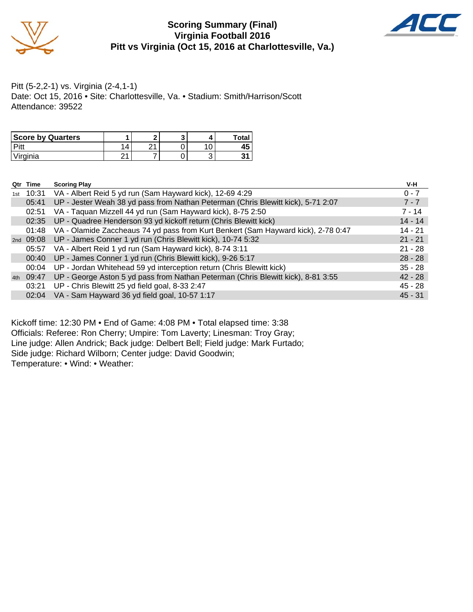

#### **Scoring Summary (Final) Virginia Football 2016 Pitt vs Virginia (Oct 15, 2016 at Charlottesville, Va.)**



Pitt (5-2,2-1) vs. Virginia (2-4,1-1) Date: Oct 15, 2016 • Site: Charlottesville, Va. • Stadium: Smith/Harrison/Scott Attendance: 39522

| <b>Score by Quarters</b> |   |   |   | Total |
|--------------------------|---|---|---|-------|
|                          |   | ິ | ╰ |       |
| Virginia                 | ິ |   | ບ |       |

|     | Qtr Time | <b>Scoring Play</b>                                                               | V-H       |
|-----|----------|-----------------------------------------------------------------------------------|-----------|
| 1st | 10:31    | VA - Albert Reid 5 yd run (Sam Hayward kick), 12-69 4:29                          | $0 - 7$   |
|     | 05:41    | UP - Jester Weah 38 yd pass from Nathan Peterman (Chris Blewitt kick), 5-71 2:07  | $7 - 7$   |
|     | 02:51    | VA - Taquan Mizzell 44 yd run (Sam Hayward kick), 8-75 2:50                       | $7 - 14$  |
|     | 02:35    | UP - Quadree Henderson 93 yd kickoff return (Chris Blewitt kick)                  | $14 - 14$ |
|     | 01:48    | VA - Olamide Zaccheaus 74 yd pass from Kurt Benkert (Sam Hayward kick), 2-78 0:47 | $14 - 21$ |
|     |          | 2nd 09:08 UP - James Conner 1 yd run (Chris Blewitt kick), 10-74 5:32             | $21 - 21$ |
|     | 05:57    | VA - Albert Reid 1 yd run (Sam Hayward kick), 8-74 3:11                           | $21 - 28$ |
|     | 00:40    | UP - James Conner 1 yd run (Chris Blewitt kick), 9-26 5:17                        | $28 - 28$ |
|     | 00:04    | UP - Jordan Whitehead 59 yd interception return (Chris Blewitt kick)              | $35 - 28$ |
| 4th | 09:47    | UP - George Aston 5 yd pass from Nathan Peterman (Chris Blewitt kick), 8-81 3:55  | $42 - 28$ |
|     | 03:21    | UP - Chris Blewitt 25 yd field goal, 8-33 2:47                                    | $45 - 28$ |
|     |          | 02:04 VA - Sam Hayward 36 yd field goal, 10-57 1:17                               | $45 - 31$ |

Kickoff time: 12:30 PM • End of Game: 4:08 PM • Total elapsed time: 3:38 Officials: Referee: Ron Cherry; Umpire: Tom Laverty; Linesman: Troy Gray; Line judge: Allen Andrick; Back judge: Delbert Bell; Field judge: Mark Furtado; Side judge: Richard Wilborn; Center judge: David Goodwin; Temperature: • Wind: • Weather: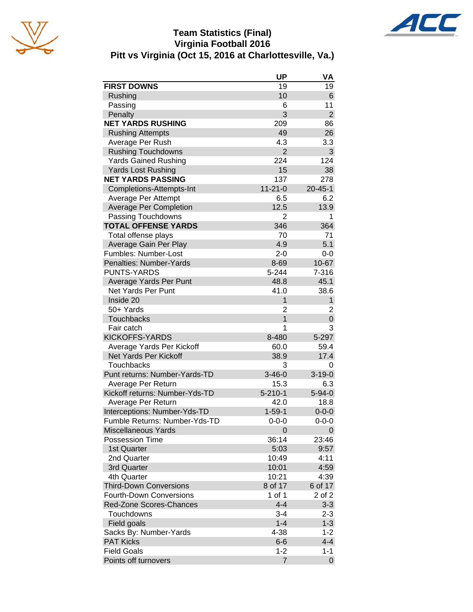

#### **Team Statistics (Final) Virginia Football 2016 Pitt vs Virginia (Oct 15, 2016 at Charlottesville, Va.)**



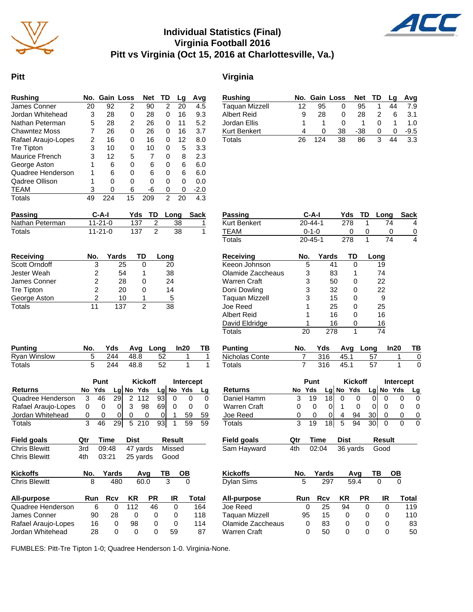

#### **Individual Statistics (Final) Virginia Football 2016 Pitt vs Virginia (Oct 15, 2016 at Charlottesville, Va.)**



#### **Pitt Virginia**

Jordan Ellis

| <b>Rushing</b>                          | No.             |                      | Gain Loss  |                | <b>Net</b>          | TD             |                | Lg               | Avg          |
|-----------------------------------------|-----------------|----------------------|------------|----------------|---------------------|----------------|----------------|------------------|--------------|
| James Conner                            | $\overline{20}$ |                      | 92         | $\overline{2}$ | 90                  |                | 2              | 20               | 4.5          |
| Jordan Whitehead                        | 3               |                      | 28         | 0              | 28                  |                | 0              | 16               | 9.3          |
| Nathan Peterman                         | 5               |                      | 28         | 2              | 26                  |                | 0              | 11               | 5.2          |
| <b>Chawntez Moss</b>                    | 7               |                      | 26         | 0              | 26                  |                | 0              | 16               | 3.7          |
| Rafael Araujo-Lopes                     | $\overline{c}$  |                      | 16         | 0              | 16                  |                | 0              | 12               | 8.0          |
| Tre Tipton                              | 3               |                      | 10         | 0              | 10                  |                | 0              | 5                | 3.3          |
| <b>Maurice Ffrench</b>                  | 3               |                      | 12         | 5              | 7                   |                | 0              | 8                | 2.3          |
| George Aston                            | 1               |                      | 6          | 0              | 6                   |                | 0              | 6                | 6.0          |
| Quadree Henderson                       | 1               |                      | 6          | 0              | 6                   |                | 0              | 6                | 6.0          |
| Qadree Ollison                          | 1               |                      | 0          | 0              | 0                   |                | 0              | 0                | 0.0          |
| TEAM                                    | 3               |                      | 0          | 6              | -6                  |                | 0              | 0                | $-2.0$       |
| <b>Totals</b>                           | 49              |                      | 224        | 15             | 209                 |                | $\overline{2}$ | 20               | 4.3          |
| Passing                                 |                 | C-A-I                |            | Yds            | TD                  |                | Long           |                  | <b>Sack</b>  |
| Nathan Peterman                         |                 | $11 - 21 - 0$        |            |                | 137                 | 2              |                | 38               | 1            |
| Totals                                  |                 | $11 - 21 - 0$        |            |                | 137                 | $\overline{2}$ |                | 38               | 1            |
|                                         |                 |                      |            |                |                     |                |                |                  |              |
| <b>Receiving</b>                        | No.             |                      | Yards      |                | <b>TD</b>           | Long           |                |                  |              |
| Scott Orndoff                           |                 | 3                    | 25         |                | 0                   |                | 20             |                  |              |
| <b>Jester Weah</b>                      |                 | $\overline{c}$       | 54         |                | 1                   |                | 38             |                  |              |
| James Conner                            |                 | $\overline{c}$       | 28         |                | 0                   |                | 24             |                  |              |
| <b>Tre Tipton</b>                       |                 | $\overline{c}$       | 20         |                | 0                   |                | 14             |                  |              |
| George Aston<br>Totals                  |                 | $\overline{2}$<br>11 | 10<br>137  |                | 1<br>$\overline{2}$ |                | 5<br>38        |                  |              |
|                                         |                 |                      |            |                |                     |                |                |                  |              |
| <b>Punting</b>                          | No.             |                      | Yds        | Avg            |                     | Long           |                | ln20             | ΤВ           |
| <b>Ryan Winslow</b>                     | 5               |                      | 244        | 48.8           |                     | 52             |                | 1                | 1            |
| <b>Totals</b>                           | 5               |                      | 244        | 48.8           |                     | 52             |                | 1                | 1            |
|                                         |                 |                      |            |                |                     |                |                |                  |              |
|                                         |                 | Punt                 |            |                | <b>Kickoff</b>      |                |                | Intercept<br>Yds |              |
| <b>Returns</b><br>Quadree Henderson     | No<br>3         | Yds<br>46            | 29         | $Lg$ No<br>2   | Yds<br>112          | 93             | $Lg$ No<br>0   | 0                | Lg           |
| Rafael Araujo-Lopes                     | 0               | 0                    | 0          | 3              | 98                  | 69             | 0              | 0                | 0<br>0       |
| Jordan Whitehead                        | 0               | 0                    | 0          | 0              | 0                   | 0              | 1              | 59               |              |
| Totals                                  | 3               | 46                   | 29         | 5              | 210                 | 93             | 1              | 59               | 59<br>59     |
|                                         |                 |                      |            |                |                     |                |                |                  |              |
| Field goals                             | <u>Qtr</u>      | <b>Time</b>          |            | <u>Dist</u>    |                     |                | <b>Result</b>  |                  |              |
| <b>Chris Blewitt</b>                    | 3rd             | 09:48                |            |                | 47 yards            |                | Missed         |                  |              |
| <b>Chris Blewitt</b>                    | 4th             | 03:21                |            |                | 25 yards            |                | Good           |                  |              |
| <b>Kickoffs</b>                         | No.             |                      | Yards      |                | Avg                 | ΤВ             |                | OВ               |              |
| <b>Chris Blewitt</b>                    | 8               |                      | 480        |                | 60.0                |                | 3              | 0                |              |
| All-purpose                             |                 |                      |            |                | <b>PR</b>           |                | IR             |                  | <b>Total</b> |
| Quadree Henderson                       | Run             |                      | <b>Rcv</b> | KR             |                     |                |                |                  |              |
|                                         |                 | 6                    | 0          | 112            |                     | 46             | 0              |                  | 164          |
| James Conner                            |                 | 90                   | 28         |                | 0                   | 0              | 0              |                  | 118          |
| Rafael Araujo-Lopes<br>Jordan Whitehead |                 | 16<br>28             | 0<br>0     | 98             | 0                   | 0<br>0         | 0<br>59        |                  | 114<br>87    |

| Passing                 |     | C-A-I         |             |                | Yds            | TD   | Long    |                  | Sack           |
|-------------------------|-----|---------------|-------------|----------------|----------------|------|---------|------------------|----------------|
| Kurt Benkert            |     | $20 - 44 - 1$ |             |                | 278            | 1    |         | 74               | 4              |
| <b>TEAM</b>             |     | $0 - 1 - 0$   |             |                | 0              | 0    |         | 0                | $\overline{0}$ |
| Totals                  |     | 20-45-1       |             |                | 278            | 1    |         | 74               | 4              |
| Receiving               | No. |               | Yards       |                | TD             |      | Long    |                  |                |
| Keeon Johnson           |     | 5             | 41          |                | 0              |      | 19      |                  |                |
| Olamide Zaccheaus       |     | 3             | 83          |                | 1              |      | 74      |                  |                |
| Warren Craft            |     | 3             | 50          |                | 0              |      | 22      |                  |                |
| Doni Dowling            |     | 3             | 32          |                | 0              |      | 22      |                  |                |
| Taquan Mizzell          |     | 3             | 15          |                | 0              |      | 9       |                  |                |
| Joe Reed                |     | 1             | 25          |                | 0              |      | 25      |                  |                |
| <b>Albert Reid</b>      |     | 1             | 16          |                | 0              |      | 16      |                  |                |
| David Eldridge          |     | 1             | 16          |                | 0              |      | 16      |                  |                |
| Totals                  |     | 20            | 278         |                | 1              |      | 74      |                  |                |
| <b>Punting</b>          | No. |               | Yds         |                | Avg            | Long |         | In20             | TВ             |
| Nicholas Conte          | 7   |               | 316         |                | 45.1           |      | 57      | 1                | 0              |
| <b>Totals</b>           | 7   |               | 316         |                | 45.1           |      | 57      | 1                | 0              |
|                         |     | Punt          |             |                | <b>Kickoff</b> |      |         | <b>Intercept</b> |                |
| <b>Returns</b>          | No  | Yds           | Lgl         | No             | Yds            |      | Lg No   | Yds              | <u>Lg</u>      |
| Daniel Hamm             | 3   | 19            | 18          | 0              |                | 0    | 0<br>0  |                  | 0<br>0         |
| <b>Warren Craft</b>     | 0   | 0             | 0           | 1              |                | 0    | 0<br>0  |                  | 0<br>0         |
| Joe Reed                | 0   | 0             | 0           | 4              | 94             |      | 30<br>0 |                  | 0<br>0         |
| <b>Totals</b>           | 3   | 19            | 18          | $\overline{5}$ | 94             |      | 30<br>0 |                  | 0<br>0         |
| <b>Field goals</b>      | Qtr |               | <b>Time</b> |                | <b>Dist</b>    |      | Result  |                  |                |
| Sam Hayward             | 4th |               | 02:04       |                | 36 yards       |      | Good    |                  |                |
|                         |     |               |             |                |                |      |         |                  |                |
| Kickoffs                | No. |               | Yards       |                | Avg            |      | ΤВ      | ОВ               |                |
| Dylan Sims              | 5   |               | 297         |                | 59.4           |      | 0       | 0                |                |
|                         | Run |               | Rcv         |                | ΚR             | PR   | IR      |                  | Total          |
| All-purpose<br>Joe Reed |     | 0             | 25          |                | 94             | 0    |         | 0                | 119            |
| Taquan Mizzell          |     | 95            | 15          |                | 0              | 0    |         | 0                | 110            |
| Olamide Zaccheaus       |     | 0             | 83          |                | 0              | 0    |         | 0                | 83             |
| Warren Craft            |     | 0             | 50          |                | 0              | 0    |         | 0                | 50             |
|                         |     |               |             |                |                |      |         |                  |                |

Rushing **No. Gain Loss Net TD Lg Avg** Taquan Mizzell 12 95 0 95 1 44 7.9 Albert Reid 9 28 0 28 2 6 3.1

Kurt Benkert 4 0 38 -38 0 0 -9.5 Totals 26 124 38 86 3 44 3.3

FUMBLES: Pitt-Tre Tipton 1-0; Quadree Henderson 1-0. Virginia-None.

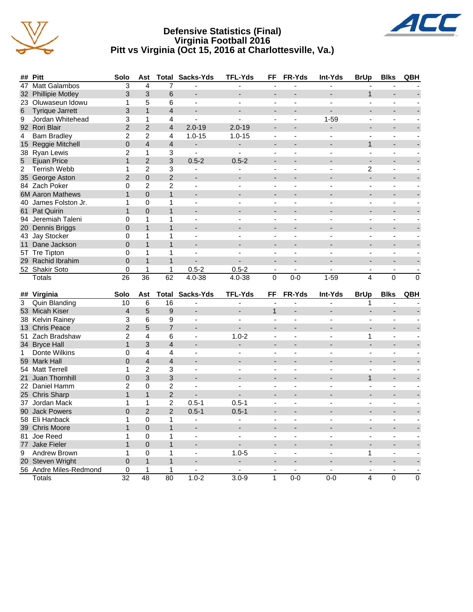

#### **Defensive Statistics (Final) Virginia Football 2016 Pitt vs Virginia (Oct 15, 2016 at Charlottesville, Va.)**



|                | ## Pitt                                 | Solo                         | Ast                      |                | <b>Total Sacks-Yds</b>                | <b>TFL-Yds</b>              | FF                                       | FR-Yds                       | Int-Yds                             | <b>BrUp</b>              | <b>Blks</b>                   | QBH                       |
|----------------|-----------------------------------------|------------------------------|--------------------------|----------------|---------------------------------------|-----------------------------|------------------------------------------|------------------------------|-------------------------------------|--------------------------|-------------------------------|---------------------------|
| 47             | Matt Galambos                           | 3                            | 4                        | 7              |                                       | ä,                          | ÷,                                       |                              |                                     |                          |                               |                           |
|                | 32 Phillipie Motley                     | 3                            | 3                        | 6              | $\overline{\phantom{a}}$              | $\overline{\phantom{a}}$    | $\overline{\phantom{a}}$                 |                              |                                     | $\mathbf{1}$             | $\overline{\phantom{a}}$      |                           |
|                | 23 Oluwaseun Idowu                      | 1                            | 5                        | 6              | $\blacksquare$                        | $\overline{a}$              | $\overline{\phantom{a}}$                 | $\overline{\phantom{a}}$     | $\sim$                              | $\blacksquare$           | $\sim$                        |                           |
| 6              | <b>Tyrique Jarrett</b>                  | 3                            | $\mathbf{1}$             | $\overline{4}$ | ٠                                     |                             | $\overline{\phantom{a}}$                 |                              |                                     |                          |                               |                           |
| 9              | Jordan Whitehead                        | 3                            | 1                        | 4              | $\overline{\phantom{0}}$              |                             | ÷,                                       |                              | $1 - 59$                            |                          | ä,                            |                           |
|                | 92 Rori Blair                           | $\overline{2}$               | $\overline{2}$           | 4              | $2.0 - 19$                            | $2.0 - 19$                  | $\overline{\phantom{a}}$                 |                              | $\overline{\phantom{a}}$            | -                        | $\overline{\phantom{0}}$      |                           |
| 4              | <b>Bam Bradley</b>                      | 2                            | $\overline{2}$           | 4              | $1.0 - 15$                            | $1.0 - 15$                  |                                          |                              |                                     |                          |                               |                           |
|                | 15 Reggie Mitchell                      | $\mathbf{0}$                 | $\overline{\mathcal{L}}$ | $\overline{4}$ | $\overline{\phantom{a}}$              | $\overline{\phantom{a}}$    | $\overline{a}$                           |                              | $\overline{a}$                      | $\mathbf{1}$             | $\overline{a}$                |                           |
|                | 38 Ryan Lewis                           | $\overline{2}$               | 1                        | 3              | $\blacksquare$                        | $\blacksquare$              | ÷,                                       |                              |                                     |                          |                               |                           |
| $\overline{5}$ | <b>Ejuan Price</b>                      | $\mathbf{1}$                 | $\overline{2}$           | 3              | $0.5 - 2$                             | $0.5 - 2$                   |                                          |                              |                                     | ÷,                       |                               |                           |
| $\overline{c}$ | <b>Terrish Webb</b>                     | 1                            | $\overline{c}$           | 3              | $\overline{\phantom{a}}$              | $\blacksquare$              | $\overline{\phantom{a}}$                 | $\overline{\phantom{m}}$     | $\blacksquare$                      | 2                        | $\blacksquare$                |                           |
|                | 35 George Aston                         | $\overline{2}$               | 0                        | $\overline{2}$ | $\overline{\phantom{a}}$              |                             | $\overline{\phantom{a}}$                 |                              |                                     | ÷,                       | $\blacksquare$                |                           |
|                | 84 Zach Poker                           | 0                            | $\overline{2}$           | $\overline{c}$ | $\blacksquare$                        | $\overline{a}$              | $\blacksquare$                           | $\overline{\phantom{a}}$     | $\sim$                              | $\blacksquare$           | $\blacksquare$                |                           |
|                | <b>6M Aaron Mathews</b>                 | $\mathbf{1}$                 | $\Omega$                 | $\mathbf{1}$   | ٠                                     |                             |                                          |                              |                                     | $\overline{\phantom{0}}$ |                               |                           |
|                | 40 James Folston Jr.                    | 1                            | 0                        | 1              | $\overline{\phantom{a}}$              |                             | ÷,                                       |                              |                                     |                          | ä,                            |                           |
|                | 61 Pat Quirin                           | $\mathbf{1}$                 | $\Omega$                 | $\mathbf{1}$   | $\overline{\phantom{0}}$              | $\overline{\phantom{a}}$    | ۰                                        |                              |                                     | -                        |                               |                           |
|                | 94 Jeremiah Taleni                      | 0                            | 1                        | 1              | $\overline{\phantom{a}}$              |                             |                                          |                              |                                     |                          |                               |                           |
|                | 20 Dennis Briggs                        | $\overline{0}$               | $\mathbf{1}$             | $\mathbf{1}$   | $\overline{\phantom{a}}$              | $\overline{\phantom{0}}$    | $\overline{a}$                           |                              | $\overline{\phantom{a}}$            | $\overline{\phantom{0}}$ | $\overline{\phantom{a}}$      |                           |
|                | 43 Jay Stocker                          | 0                            | 1                        | 1              | $\blacksquare$                        |                             |                                          |                              |                                     |                          |                               |                           |
| 11             | Dane Jackson                            | $\Omega$                     | $\mathbf{1}$             | $\mathbf{1}$   |                                       |                             |                                          |                              |                                     |                          |                               |                           |
|                | 5T Tre Tipton                           | 0                            | 1                        | 1              | $\blacksquare$                        | $\blacksquare$              | $\overline{\phantom{a}}$                 | $\overline{\phantom{m}}$     | $\blacksquare$                      | $\overline{\phantom{0}}$ | $\blacksquare$                |                           |
|                | 29 Rachid Ibrahim                       | $\overline{0}$               | $\mathbf{1}$             | $\mathbf{1}$   | ٠                                     |                             | $\overline{a}$                           | $\overline{a}$               |                                     | ÷,                       | $\blacksquare$                |                           |
|                | 52 Shakir Soto                          | 0                            | 1                        | $\mathbf{1}$   | $0.5 - 2$                             | $0.5 - 2$                   | $\blacksquare$                           | $\blacksquare$               | $\sim$                              | $\blacksquare$           | $\blacksquare$                |                           |
|                | <b>Totals</b>                           | 26                           | $\overline{36}$          | 62             | $4.0 - 38$                            | 4.0-38                      | $\Omega$                                 | $0 - 0$                      | $1 - 59$                            | 4                        | $\Omega$                      | $\Omega$                  |
|                |                                         |                              |                          |                |                                       |                             |                                          |                              |                                     |                          |                               |                           |
|                |                                         |                              |                          |                |                                       |                             |                                          |                              |                                     |                          |                               |                           |
|                | ## Virginia                             | Solo                         | Ast                      | <b>Total</b>   | Sacks-Yds                             | <b>TFL-Yds</b>              | FF                                       | FR-Yds                       | Int-Yds                             | <b>BrUp</b>              | <b>Blks</b>                   | QBH                       |
| 3              | Quin Blanding                           | 10                           | 6                        | 16             | $\blacksquare$                        | $\blacksquare$              |                                          |                              |                                     | 1                        |                               |                           |
|                | 53 Micah Kiser                          | $\overline{4}$               | 5                        | 9              | $\overline{\phantom{a}}$              | $\overline{\phantom{a}}$    | $\mathbf{1}$                             | L,                           | $\overline{\phantom{a}}$            | $\overline{\phantom{a}}$ | $\overline{\phantom{a}}$      |                           |
|                | 38 Kelvin Rainey                        | 3                            | 6                        | 9              | $\blacksquare$                        |                             |                                          |                              |                                     |                          |                               |                           |
|                | 13 Chris Peace                          | $\overline{2}$               | 5                        | $\overline{7}$ | ٠                                     |                             |                                          |                              |                                     |                          |                               |                           |
| 51             |                                         | 2                            | 4                        | 6              | $\blacksquare$                        |                             | $\overline{\phantom{a}}$                 | $\overline{\phantom{m}}$     | $\blacksquare$                      | 1                        | $\blacksquare$                |                           |
|                | Zach Bradshaw                           | $\mathbf{1}$                 | 3                        | $\overline{4}$ | ٠                                     | $1.0 - 2$                   | $\overline{\phantom{a}}$                 |                              |                                     | $\overline{a}$           | $\blacksquare$                |                           |
| 1              | 34 Bryce Hall                           | 0                            | 4                        | 4              | $\overline{\phantom{a}}$              | $\overline{a}$              | $\blacksquare$                           | $\overline{\phantom{a}}$     | $\sim$                              | $\overline{\phantom{a}}$ | $\sim$                        |                           |
|                | Donte Wilkins<br>59 Mark Hall           | $\overline{0}$               | $\overline{4}$           | $\overline{4}$ |                                       |                             |                                          |                              |                                     | $\overline{\phantom{a}}$ |                               |                           |
|                |                                         |                              |                          |                | $\overline{\phantom{a}}$              |                             | ÷,                                       |                              |                                     | L,                       | $\blacksquare$                |                           |
|                | 54 Matt Terrell                         | 1                            | $\overline{2}$           | 3              | $\overline{\phantom{0}}$              | $\overline{\phantom{a}}$    |                                          |                              |                                     |                          | $\overline{\phantom{0}}$      |                           |
| 21             | Juan Thornhill                          | 0                            | 3                        | 3              | $\blacksquare$                        |                             |                                          |                              |                                     | 1                        |                               |                           |
|                | 22 Daniel Hamm                          | 2                            | 0                        | $\overline{c}$ | $\overline{\phantom{a}}$              | $\overline{\phantom{0}}$    |                                          |                              | $\overline{\phantom{a}}$            | $\overline{\phantom{0}}$ | $\overline{\phantom{a}}$      |                           |
|                | 25 Chris Sharp                          | $\mathbf{1}$                 | $\mathbf{1}$             | $\overline{2}$ |                                       |                             |                                          |                              |                                     |                          |                               |                           |
|                | 37 Jordan Mack                          | 1                            | 1                        | $\overline{c}$ | $0.5 - 1$                             | $0.5 - 1$                   |                                          |                              |                                     |                          |                               |                           |
|                | 90 Jack Powers                          | $\Omega$                     | $\overline{2}$           | $\overline{2}$ | $0.5 - 1$                             | $0.5 - 1$                   |                                          |                              |                                     |                          |                               |                           |
|                | 58 Eli Hanback                          | 1                            | $\pmb{0}$                | 1              | $\overline{\phantom{a}}$              |                             | $\overline{\phantom{a}}$                 | ۰                            | $\overline{\phantom{a}}$            |                          | $\overline{\phantom{a}}$      |                           |
|                | 39 Chris Moore                          | 1                            | $\overline{0}$           | $\mathbf{1}$   |                                       |                             |                                          |                              | $\blacksquare$                      |                          | $\overline{\phantom{a}}$      |                           |
|                | 81 Joe Reed                             | 1                            | 0                        | 1              | $\overline{\phantom{a}}$              |                             | $\blacksquare$                           | $\blacksquare$               | $\blacksquare$                      | $\blacksquare$           | $\blacksquare$                |                           |
|                | 77 Jake Fieler                          | $\mathbf{1}$                 | $\overline{0}$           | $\mathbf{1}$   |                                       |                             | -                                        | ٠                            | $\overline{\phantom{a}}$            |                          |                               |                           |
| 9              | Andrew Brown                            | 1                            | 0                        | 1              | $\overline{\phantom{a}}$              | $1.0 - 5$                   | $\overline{\phantom{a}}$                 | $\blacksquare$               | $\overline{\phantom{a}}$            | 1                        | ä,                            |                           |
|                | 20 Steven Wright                        | 0                            | $\mathbf{1}$             | $\mathbf{1}$   | $\overline{\phantom{a}}$              |                             | ٠                                        | $\qquad \qquad \blacksquare$ | $\overline{\phantom{a}}$            |                          | $\overline{\phantom{a}}$      |                           |
|                | 56 Andre Miles-Redmond<br><b>Totals</b> | $\pmb{0}$<br>$\overline{32}$ | 1<br>$\overline{48}$     | 1<br>80        | $\overline{\phantom{a}}$<br>$1.0 - 2$ | $\blacksquare$<br>$3.0 - 9$ | $\overline{\phantom{a}}$<br>$\mathbf{1}$ | $\blacksquare$<br>$0-0$      | $\overline{\phantom{a}}$<br>$0 - 0$ | $\overline{4}$           | $\blacksquare$<br>$\mathbf 0$ | $\overline{\mathfrak{o}}$ |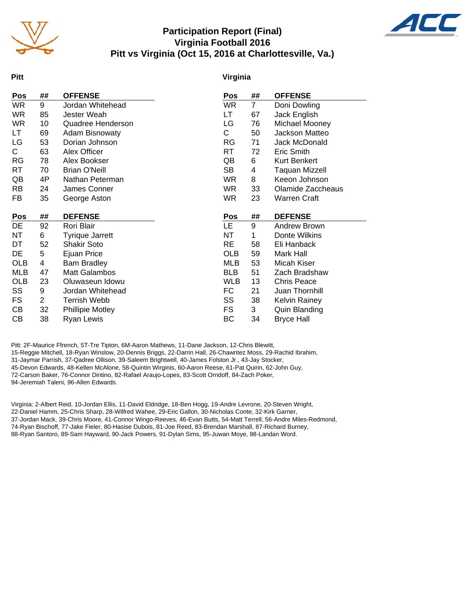

#### **Participation Report (Final) Virginia Football 2016 Pitt vs Virginia (Oct 15, 2016 at Charlottesville, Va.)**



#### **Pitt**

#### **Virginia**

| Pos        | ##             | <b>OFFENSE</b>          | Pos        | ##             | <b>OFFENSE</b>       |
|------------|----------------|-------------------------|------------|----------------|----------------------|
| <b>WR</b>  | 9              | Jordan Whitehead        | <b>WR</b>  | $\overline{7}$ | Doni Dowling         |
| <b>WR</b>  | 85             | Jester Weah             | LT         | 67             | Jack English         |
| <b>WR</b>  | 10             | Quadree Henderson       | LG         | 76             | Michael Mooney       |
| LT         | 69             | <b>Adam Bisnowaty</b>   | C          | 50             | Jackson Matteo       |
| LG         | 53             | Dorian Johnson          | <b>RG</b>  | 71             | Jack McDonald        |
| C.         | 63             | Alex Officer            | <b>RT</b>  | 72             | Eric Smith           |
| <b>RG</b>  | 78             | Alex Bookser            | QB         | 6              | Kurt Benkert         |
| RT         | 70             | <b>Brian O'Neill</b>    | SB         | 4              | Taquan Mizzell       |
| QB         | 4P             | Nathan Peterman         | WR.        | 8              | Keeon Johnson        |
| <b>RB</b>  | 24             | James Conner            | <b>WR</b>  | 33             | Olamide Zaccheaus    |
| FB         | 35             | George Aston            | <b>WR</b>  | 23             | <b>Warren Craft</b>  |
|            |                |                         |            |                |                      |
| Pos        | ##             | <b>DEFENSE</b>          | Pos        | ##             | <b>DEFENSE</b>       |
| DE         | 92             | Rori Blair              | LE         | 9              | Andrew Brown         |
| NT         | 6              | <b>Tyrique Jarrett</b>  | NT         | 1              | Donte Wilkins        |
| DT         | 52             | <b>Shakir Soto</b>      | <b>RE</b>  | 58             | Eli Hanback          |
| <b>DE</b>  | 5              | Ejuan Price             | <b>OLB</b> | 59             | Mark Hall            |
| OLB        | 4              | <b>Bam Bradley</b>      | MLB        | 53             | Micah Kiser          |
| <b>MLB</b> | 47             | <b>Matt Galambos</b>    | <b>BLB</b> | 51             | Zach Bradshaw        |
| <b>OLB</b> | 23             | Oluwaseun Idowu         | <b>WLB</b> | 13             | <b>Chris Peace</b>   |
| SS         | 9              | Jordan Whitehead        | FC         | 21             | Juan Thornhill       |
| FS.        | $\overline{2}$ | Terrish Webb            | SS         | 38             | <b>Kelvin Rainey</b> |
| CВ         | 32             | <b>Phillipie Motley</b> | <b>FS</b>  | 3              | Quin Blanding        |
| СB         | 38             | Ryan Lewis              | BC         | 34             | <b>Bryce Hall</b>    |

Pitt: 2F-Maurice Ffrench, 5T-Tre Tipton, 6M-Aaron Mathews, 11-Dane Jackson, 12-Chris Blewitt, 15-Reggie Mitchell, 18-Ryan Winslow, 20-Dennis Briggs, 22-Darrin Hall, 26-Chawntez Moss, 29-Rachid Ibrahim, 31-Jaymar Parrish, 37-Qadree Ollison, 39-Saleem Brightwell, 40-James Folston Jr., 43-Jay Stocker, 45-Devon Edwards, 48-Kellen McAlone, 58-Quintin Wirginis, 60-Aaron Reese, 61-Pat Quirin, 62-John Guy, 72-Carson Baker, 76-Connor Dintino, 82-Rafael Araujo-Lopes, 83-Scott Orndoff, 84-Zach Poker, 94-Jeremiah Taleni, 96-Allen Edwards.

Virginia: 2-Albert Reid, 10-Jordan Ellis, 11-David Eldridge, 18-Ben Hogg, 19-Andre Levrone, 20-Steven Wright, 22-Daniel Hamm, 25-Chris Sharp, 28-Wilfred Wahee, 29-Eric Gallon, 30-Nicholas Conte, 32-Kirk Garner, 37-Jordan Mack, 39-Chris Moore, 41-Connor Wingo-Reeves, 46-Evan Butts, 54-Matt Terrell, 56-Andre Miles-Redmond, 74-Ryan Bischoff, 77-Jake Fieler, 80-Hasise Dubois, 81-Joe Reed, 83-Brendan Marshall, 87-Richard Burney, 88-Ryan Santoro, 89-Sam Hayward, 90-Jack Powers, 91-Dylan Sims, 95-Juwan Moye, 98-Landan Word.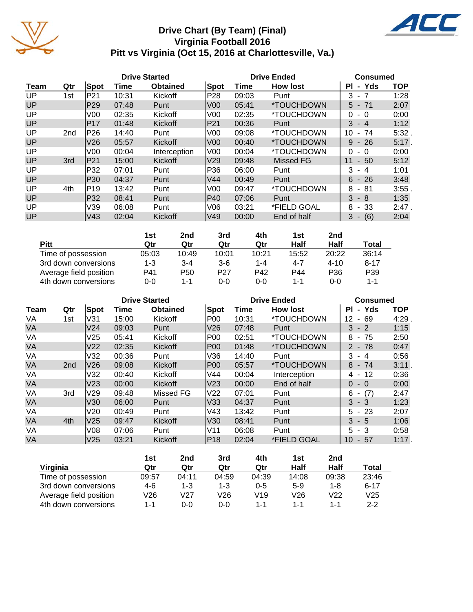

## **Drive Chart (By Team) (Final) Virginia Football 2016 Pitt vs Virginia (Oct 15, 2016 at Charlottesville, Va.)**



|           |                 |                 |       | <b>Drive Started</b> |                 |       | <b>Drive Ended</b>       |                            | <b>Consumed</b> |  |  |
|-----------|-----------------|-----------------|-------|----------------------|-----------------|-------|--------------------------|----------------------------|-----------------|--|--|
| Team      | Qtr             | Spot            | Time  | <b>Obtained</b>      | Spot            | Time  | <b>How lost</b>          | - Yds<br>ΡI                | <b>TOP</b>      |  |  |
| UP.       | 1st             | P21             | 10:31 | Kickoff              | P28             | 09:03 | Punt                     | 3<br>- 7                   | 1:28            |  |  |
| UP        |                 | P29             | 07:48 | Punt                 | V <sub>00</sub> | 05:41 | <i><b>*TOUCHDOWN</b></i> | $5 - 71$                   | 2:07            |  |  |
| <b>UP</b> |                 | V <sub>00</sub> | 02:35 | Kickoff              | V <sub>00</sub> | 02:35 | <i><b>*TOUCHDOWN</b></i> | 0<br>$-0$                  | 0:00            |  |  |
| UP        |                 | IP17            | 01:48 | Kickoff              | P21             | 00:36 | Punt                     | 3<br>$-4$                  | 1:12            |  |  |
| <b>UP</b> | 2 <sub>nd</sub> | P26             | 14:40 | Punt                 | V <sub>00</sub> | 09:08 | <i><b>*TOUCHDOWN</b></i> | 10<br>74<br>$\blacksquare$ | 5:32.           |  |  |
| <b>UP</b> |                 | V <sub>26</sub> | 05:57 | Kickoff              | V <sub>00</sub> | 00:40 | *TOUCHDOWN               | 9<br>$-26$                 | $5:17$ .        |  |  |
| <b>UP</b> |                 | V <sub>00</sub> | 00:04 | Interception         | V00             | 00:04 | *TOUCHDOWN               | 0<br>- 0                   | 0:00            |  |  |
| <b>UP</b> | 3rd             | <b>IP21</b>     | 15:00 | Kickoff              | V <sub>29</sub> | 09:48 | <b>Missed FG</b>         | 11<br>$-50$                | 5:12            |  |  |
| UP.       |                 | P32             | 07:01 | Punt                 | P36             | 06:00 | Punt                     | 3<br>- 4                   | 1:01            |  |  |
| <b>UP</b> |                 | P30             | 04:37 | Punt                 | V44             | 00:49 | Punt                     | $6 - 26$                   | 3:48            |  |  |
| <b>UP</b> | 4th             | P19             | 13:42 | Punt                 | V <sub>00</sub> | 09:47 | *TOUCHDOWN               | 8<br>- 81                  | 3:55.           |  |  |
| <b>UP</b> |                 | P32             | 08:41 | Punt                 | P40             | 07:06 | Punt                     | 3<br>- 8                   | 1:35            |  |  |
| UP.       |                 | V39             | 06:08 | Punt                 | V06             | 03:21 | *FIELD GOAL              | - 33<br>8                  | 2:47.           |  |  |
| UP        |                 | V43             | 02:04 | Kickoff              | V49             | 00:00 | End of half              | 3<br>(6)                   | 2:04            |  |  |

|                        | 1st     | 2nd     | 3rd             | 4th     | 1st   | 2nd             |                 |
|------------------------|---------|---------|-----------------|---------|-------|-----------------|-----------------|
| <b>Pitt</b>            | Qtr     | Qtr     | Qtr             | Qtr     | Half  | Half            | Total           |
| Time of possession     | 05:03   | 10:49   | 10:01           | 10:21   | 15:52 | 20:22           | 36:14           |
| 3rd down conversions   | $1 - 3$ | $3 - 4$ | $3-6$           | 1-4     | 4-7   | $4 - 10$        | $8 - 17$        |
| Average field position | P41     | P50     | P <sub>27</sub> | P42     | P44   | P <sub>36</sub> | P <sub>39</sub> |
| 4th down conversions   | 0-0     | 1-1     | 0-0             | $0 - 0$ | 1-1   | $0 - 0$         | 1-1             |

|           |                 |                 |       | <b>Drive Started</b> |      |       | <b>Drive Ended</b>       | <b>Consumed</b> |            |  |
|-----------|-----------------|-----------------|-------|----------------------|------|-------|--------------------------|-----------------|------------|--|
| Team      | Qtr             | Spot            | Time  | <b>Obtained</b>      | Spot | Time  | <b>How lost</b>          | - Yds<br>ΡI     | <b>TOP</b> |  |
| VA        | 1st             | V31             | 15:00 | Kickoff              | P00  | 10:31 | <i><b>*TOUCHDOWN</b></i> | 12<br>$-69$     | 4:29       |  |
| <b>VA</b> |                 | V24             | 09:03 | Punt                 | V26  | 07:48 | Punt                     | $3 - 2$         | 1:15       |  |
| VA        |                 | V25             | 05:41 | Kickoff              | P00  | 02:51 | *TOUCHDOWN               | 8<br>- 75       | 2:50       |  |
| <b>VA</b> |                 | V <sub>22</sub> | 02:35 | Kickoff              | IP00 | 01:48 | <i><b>*TOUCHDOWN</b></i> | $2 - 78$        | 0:47       |  |
| VA        |                 | V32             | 00:36 | Punt                 | V36  | 14:40 | Punt                     | 3<br>- 4        | 0:56       |  |
| VA        | 2 <sub>nd</sub> | V26             | 09:08 | Kickoff              | P00  | 05:57 | *TOUCHDOWN               | $8 - 74$        | 3:11.      |  |
| VA        |                 | V32             | 00:40 | Kickoff              | V44  | 00:04 | Interception             | -12<br>4 -      | 0:36       |  |
| <b>VA</b> |                 | V <sub>23</sub> | 00:00 | Kickoff              | V23  | 00:00 | End of half              | $0 - 0$         | 0:00       |  |
| VA        | 3rd             | V29             | 09:48 | Missed FG            | V22  | 07:01 | Punt                     | $-(7)$<br>6     | 2:47       |  |
| <b>VA</b> |                 | V30             | 06:00 | Punt                 | V33  | 04:37 | Punt                     | $3 - 3$         | 1:23       |  |
| VA        |                 | V20             | 00:49 | Punt                 | V43  | 13:42 | Punt                     | $5 - 23$        | 2:07       |  |
| <b>VA</b> | 4th             | V <sub>25</sub> | 09:47 | Kickoff              | V30  | 08:41 | Punt                     | $3 - 5$         | 1:06       |  |
| VA        |                 | V08             | 07:06 | Punt                 | V11  | 06:08 | Punt                     | $5 - 3$         | 0:58       |  |
| <b>VA</b> |                 | V <sub>25</sub> | 03:21 | Kickoff              | P18  | 02:04 | *FIELD GOAL              | 10<br>$-57$     | 1:17.      |  |

|                        | 1st   | 2nd   | 3rd     | 4th     | 1st   | 2 <sub>nd</sub> |          |
|------------------------|-------|-------|---------|---------|-------|-----------------|----------|
| Virginia               | Qtr   | Qtr   | Qtr     | Qtr     | Half  | Half            | Total    |
| Time of possession     | 09:57 | 04:11 | 04:59   | 04:39   | 14:08 | 09:38           | 23:46    |
| 3rd down conversions   | 4-6   | 1-3   | $1 - 3$ | $0 - 5$ | $5-9$ | 1-8             | $6 - 17$ |
| Average field position | V26   | V27   | V26     | V19     | V26   | V22             | V25      |
| 4th down conversions   | 1-1   | 0-0   | 0-0     | 1-1     | 1-1   | 1-1             | $2 - 2$  |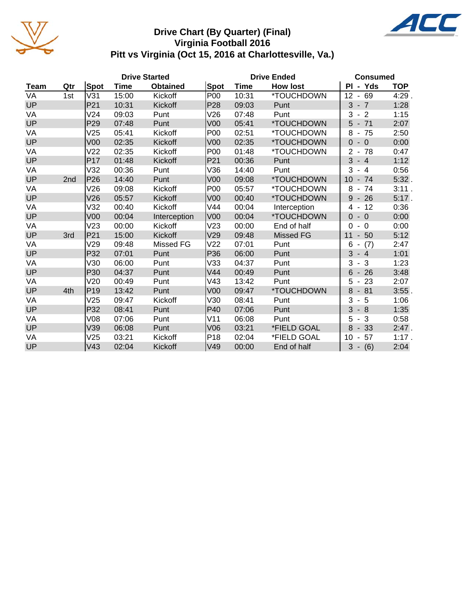

#### **Drive Chart (By Quarter) (Final) Virginia Football 2016 Pitt vs Virginia (Oct 15, 2016 at Charlottesville, Va.)**



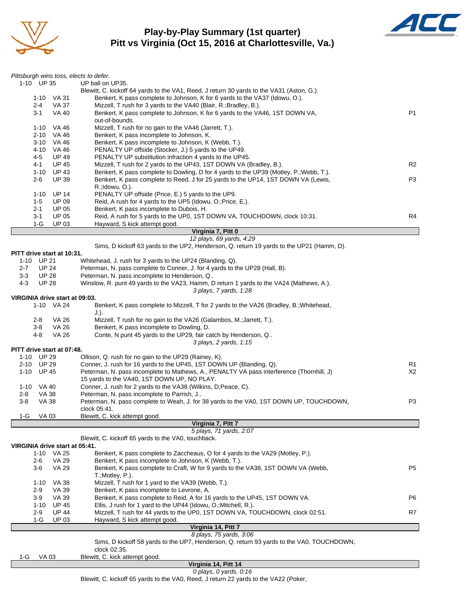

#### **Play-by-Play Summary (1st quarter) Pitt vs Virginia (Oct 15, 2016 at Charlottesville, Va.)**



|                                   | Pittsburgh wins toss, elects to defer.                                                                                                                           |                |
|-----------------------------------|------------------------------------------------------------------------------------------------------------------------------------------------------------------|----------------|
| 1-10 UP 35                        | UP ball on UP35.                                                                                                                                                 |                |
|                                   | Blewitt, C. kickoff 64 yards to the VA1, Reed, J return 30 yards to the VA31 (Aston, G.).                                                                        |                |
| 1-10 VA 31                        | Benkert, K pass complete to Johnson, K for 6 yards to the VA37 (Idowu, O.).                                                                                      |                |
| $2 - 4$                           | VA 37<br>Mizzell, T rush for 3 yards to the VA40 (Blair, R.; Bradley, B.).                                                                                       |                |
| $3 - 1$                           | <b>VA 40</b><br>Benkert, K pass complete to Johnson, K for 6 yards to the VA46, 1ST DOWN VA,                                                                     | P <sub>1</sub> |
|                                   | out-of-bounds.                                                                                                                                                   |                |
| 1-10 VA 46                        | Mizzell, T rush for no gain to the VA46 (Jarrett, T.).                                                                                                           |                |
| 2-10                              | VA 46<br>Benkert, K pass incomplete to Johnson, K.<br>Benkert, K pass incomplete to Johnson, K (Webb, T.).                                                       |                |
| 3-10<br>4-10 VA 46                | VA 46<br>PENALTY UP offside (Stocker, J.) 5 yards to the UP49.                                                                                                   |                |
| 4-5                               | <b>UP 49</b><br>PENALTY UP substitution infraction 4 yards to the UP45.                                                                                          |                |
| 4-1                               | <b>UP 45</b><br>Mizzell, T rush for 2 yards to the UP43, 1ST DOWN VA (Bradley, B.).                                                                              | R <sub>2</sub> |
| 1-10 UP 43                        | Benkert, K pass complete to Dowling, D for 4 yards to the UP39 (Motley, P.; Webb, T.).                                                                           |                |
| $2 - 6$                           | <b>UP 39</b><br>Benkert, K pass complete to Reed, J for 25 yards to the UP14, 1ST DOWN VA (Lewis,                                                                | P <sub>3</sub> |
|                                   | R.; Idowu, O.).                                                                                                                                                  |                |
| 1-10                              | <b>UP 14</b><br>PENALTY UP offside (Price, E.) 5 yards to the UP9.                                                                                               |                |
| $1-5$                             | <b>UP 09</b><br>Reid, A rush for 4 yards to the UP5 (Idowu, O.; Price, E.).                                                                                      |                |
| 2-1                               | Benkert, K pass incomplete to Dubois, H.<br><b>UP 05</b>                                                                                                         |                |
| $3 - 1$                           | <b>UP 05</b><br>Reid, A rush for 5 yards to the UP0, 1ST DOWN VA, TOUCHDOWN, clock 10:31.                                                                        | R4             |
| $1-G$                             | <b>UP 03</b><br>Hayward, S kick attempt good.                                                                                                                    |                |
|                                   | Virginia 7, Pitt 0                                                                                                                                               |                |
|                                   | 12 plays, 69 yards, 4:29                                                                                                                                         |                |
|                                   | Sims, D kickoff 63 yards to the UP2, Henderson, Q. return 19 yards to the UP21 (Hamm, D).                                                                        |                |
| PITT drive start at 10:31.        |                                                                                                                                                                  |                |
| 1-10 UP 21                        | Whitehead, J. rush for 3 yards to the UP24 (Blanding, Q).                                                                                                        |                |
| <b>UP 24</b><br>$2 - 7$           | Peterman, N. pass complete to Conner, J. for 4 yards to the UP28 (Hall, B).                                                                                      |                |
| $3 - 3$<br><b>UP 28</b>           | Peterman, N. pass incomplete to Henderson, Q                                                                                                                     |                |
| $4 - 3$<br><b>UP 28</b>           | Winslow, R. punt 49 yards to the VA23, Hamm, D return 1 yards to the VA24 (Mathews, A.).                                                                         |                |
|                                   | 3 plays, 7 yards, 1:28                                                                                                                                           |                |
| VIRGINIA drive start at 09:03.    |                                                                                                                                                                  |                |
| 1-10 VA 24                        | Benkert, K pass complete to Mizzell, T for 2 yards to the VA26 (Bradley, B.; Whitehead,                                                                          |                |
|                                   | J.).                                                                                                                                                             |                |
| 2-8                               | Mizzell, T rush for no gain to the VA26 (Galambos, M.; Jarrett, T.).<br>VA 26                                                                                    |                |
| $3 - 8$                           | <b>VA 26</b><br>Benkert, K pass incomplete to Dowling, D.                                                                                                        |                |
| 4-8                               | <b>VA 26</b><br>Conte, N punt 45 yards to the UP29, fair catch by Henderson, Q                                                                                   |                |
|                                   | 3 plays, 2 yards, 1:15                                                                                                                                           |                |
| PITT drive start at 07:48.        |                                                                                                                                                                  |                |
| 1-10 UP 29                        | Ollison, Q. rush for no gain to the UP29 (Rainey, K).                                                                                                            |                |
| 2-10 UP 29                        | Conner, J. rush for 16 yards to the UP45, 1ST DOWN UP (Blanding, Q).<br>Peterman, N. pass incomplete to Mathews, A., PENALTY VA pass interference (Thornhill, J) | R1             |
| $1 - 10$<br><b>UP 45</b>          | 15 yards to the VA40, 1ST DOWN UP, NO PLAY.                                                                                                                      | X2             |
|                                   |                                                                                                                                                                  |                |
| 1-10 VA 40<br><b>VA 38</b><br>2-8 | Conner, J. rush for 2 yards to the VA38 (Wilkins, D;Peace, C).<br>Peterman, N. pass incomplete to Parrish, J                                                     |                |
| $3 - 8$<br>VA 38                  | Peterman, N. pass complete to Weah, J. for 38 yards to the VA0, 1ST DOWN UP, TOUCHDOWN,                                                                          | P3             |
|                                   | clock 05:41.                                                                                                                                                     |                |
| $1-G$<br><b>VA 03</b>             | Blewitt, C. kick attempt good.                                                                                                                                   |                |
|                                   | Virginia 7, Pitt 7                                                                                                                                               |                |
|                                   | 5 plays, 71 yards, 2:07                                                                                                                                          |                |
|                                   | Blewitt, C. kickoff 65 yards to the VA0, touchback.                                                                                                              |                |
| VIRGINIA drive start at 05:41.    |                                                                                                                                                                  |                |
| 1-10 VA 25                        | Benkert, K pass complete to Zaccheaus, O for 4 yards to the VA29 (Motley, P.).                                                                                   |                |
| $2 - 6$                           | VA 29<br>Benkert, K pass incomplete to Johnson, K (Webb, T.).                                                                                                    |                |
| $3-6$                             | <b>VA 29</b><br>Benkert, K pass complete to Craft, W for 9 yards to the VA38, 1ST DOWN VA (Webb,                                                                 | P <sub>5</sub> |
|                                   | T.;Motley, P.).                                                                                                                                                  |                |
| $1 - 10$                          | Mizzell, T rush for 1 yard to the VA39 (Webb, T.).<br>VA 38                                                                                                      |                |
| $2-9$                             | Benkert, K pass incomplete to Levrone, A.<br>VA 39                                                                                                               |                |
| 3-9                               | VA 39<br>Benkert, K pass complete to Reid, A for 16 yards to the UP45, 1ST DOWN VA.                                                                              | P6             |
| $1 - 10$                          | <b>UP 45</b><br>Ellis, J rush for 1 yard to the UP44 (Idowu, O.; Mitchell, R.).                                                                                  |                |
| $2-9$                             | Mizzell, T rush for 44 yards to the UP0, 1ST DOWN VA, TOUCHDOWN, clock 02:51.<br><b>UP 44</b>                                                                    | R7             |
| 1-G                               | <b>UP 03</b><br>Hayward, S kick attempt good.                                                                                                                    |                |
|                                   | Virginia 14, Pitt 7                                                                                                                                              |                |
|                                   | 8 plays, 75 yards, 3:06                                                                                                                                          |                |
|                                   | Sims, D kickoff 58 yards to the UP7, Henderson, Q. return 93 yards to the VA0, TOUCHDOWN,                                                                        |                |
|                                   | clock 02:35.                                                                                                                                                     |                |
| VA 03<br>1-G                      | Blewitt, C. kick attempt good.                                                                                                                                   |                |

| Virginia 14, Pitt 14 |  |  |
|----------------------|--|--|

*0 plays, 0 yards, 0:16*

Blewitt, C. kickoff 65 yards to the VA0, Reed, J return 22 yards to the VA22 (Poker,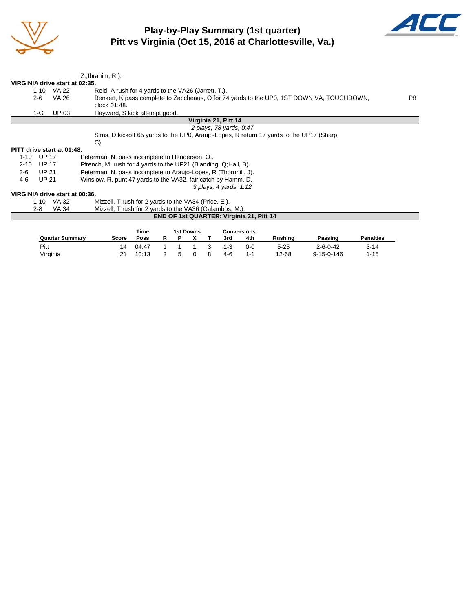

## **Play-by-Play Summary (1st quarter) Pitt vs Virginia (Oct 15, 2016 at Charlottesville, Va.)**



| VIRGINIA drive start at 02:35. |                        | Z.; Ibrahim, R.).                                               |             |   |           |                                          |                                                                                          |                                                                                           |                  |
|--------------------------------|------------------------|-----------------------------------------------------------------|-------------|---|-----------|------------------------------------------|------------------------------------------------------------------------------------------|-------------------------------------------------------------------------------------------|------------------|
| $1 - 10$                       | VA 22                  | Reid, A rush for 4 yards to the VA26 (Jarrett, T.).             |             |   |           |                                          |                                                                                          |                                                                                           |                  |
| $2 - 6$                        | <b>VA 26</b>           |                                                                 |             |   |           |                                          |                                                                                          | Benkert, K pass complete to Zaccheaus, O for 74 yards to the UP0, 1ST DOWN VA, TOUCHDOWN, | P <sub>8</sub>   |
|                                |                        | clock 01:48.                                                    |             |   |           |                                          |                                                                                          |                                                                                           |                  |
| 1-G                            | <b>UP 03</b>           | Hayward, S kick attempt good.                                   |             |   |           |                                          |                                                                                          |                                                                                           |                  |
|                                |                        |                                                                 |             |   |           | Virginia 21, Pitt 14                     |                                                                                          |                                                                                           |                  |
|                                |                        |                                                                 |             |   |           | 2 plays, 78 yards, 0:47                  |                                                                                          |                                                                                           |                  |
|                                |                        |                                                                 |             |   |           |                                          | Sims, D kickoff 65 yards to the UP0, Araujo-Lopes, R return 17 yards to the UP17 (Sharp, |                                                                                           |                  |
|                                |                        | $C$ ).                                                          |             |   |           |                                          |                                                                                          |                                                                                           |                  |
| PITT drive start at 01:48.     |                        |                                                                 |             |   |           |                                          |                                                                                          |                                                                                           |                  |
| <b>UP 17</b><br>$1 - 10$       |                        | Peterman, N. pass incomplete to Henderson, Q                    |             |   |           |                                          |                                                                                          |                                                                                           |                  |
| <b>UP 17</b><br>$2 - 10$       |                        | Ffrench, M. rush for 4 yards to the UP21 (Blanding, Q;Hall, B). |             |   |           |                                          |                                                                                          |                                                                                           |                  |
| <b>UP 21</b><br>3-6            |                        | Peterman, N. pass incomplete to Araujo-Lopes, R (Thornhill, J). |             |   |           |                                          |                                                                                          |                                                                                           |                  |
| <b>UP 21</b><br>4-6            |                        | Winslow, R. punt 47 yards to the VA32, fair catch by Hamm, D.   |             |   |           |                                          |                                                                                          |                                                                                           |                  |
|                                |                        |                                                                 |             |   |           | 3 plays, 4 yards, 1:12                   |                                                                                          |                                                                                           |                  |
| VIRGINIA drive start at 00:36. |                        |                                                                 |             |   |           |                                          |                                                                                          |                                                                                           |                  |
|                                | 1-10 VA 32             | Mizzell, T rush for 2 yards to the VA34 (Price, E.).            |             |   |           |                                          |                                                                                          |                                                                                           |                  |
| $2 - 8$                        | <b>VA 34</b>           | Mizzell, T rush for 2 yards to the VA36 (Galambos, M.).         |             |   |           |                                          |                                                                                          |                                                                                           |                  |
|                                |                        |                                                                 |             |   |           | END OF 1st QUARTER: Virginia 21, Pitt 14 |                                                                                          |                                                                                           |                  |
|                                |                        |                                                                 |             |   |           |                                          |                                                                                          |                                                                                           |                  |
|                                |                        |                                                                 | <b>Time</b> |   | 1st Downs | <b>Conversions</b>                       |                                                                                          |                                                                                           |                  |
|                                | <b>Quarter Summary</b> | <b>Score</b>                                                    | Poss        | R | х         | 4th<br>3rd                               | Rushing                                                                                  | Passing                                                                                   | <b>Penalties</b> |

Pitt 14 04:47 1 1 1 3 1-3 0-0 5-25 2-6-0-42 3-14<br>
Virginia 21 10:13 3 5 0 8 4-6 1-1 12-68 9-15-0-146 1-15

21 10:13 3 5 0 8 4-6 1-1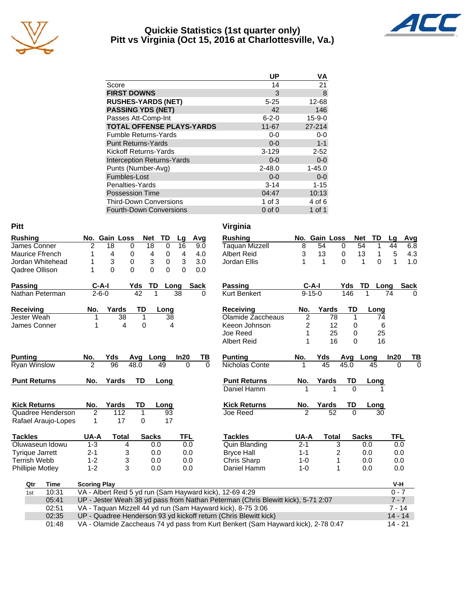

#### **Quickie Statistics (1st quarter only) Pitt vs Virginia (Oct 15, 2016 at Charlottesville, Va.)**



|                                   | UP          | ٧Α           |
|-----------------------------------|-------------|--------------|
| Score                             | 14          | 21           |
| <b>FIRST DOWNS</b>                | 3           | 8            |
| <b>RUSHES-YARDS (NET)</b>         | $5 - 25$    | 12-68        |
| <b>PASSING YDS (NET)</b>          | 42          | 146          |
| Passes Att-Comp-Int               | $6 - 2 - 0$ | $15 - 9 - 0$ |
| <b>TOTAL OFFENSE PLAYS-YARDS</b>  | $11 - 67$   | $27 - 214$   |
| <b>Fumble Returns-Yards</b>       | $0 - 0$     | $0-0$        |
| <b>Punt Returns-Yards</b>         | $0 - 0$     | $1 - 1$      |
| Kickoff Returns-Yards             | $3 - 129$   | $2 - 52$     |
| <b>Interception Returns-Yards</b> | $0 - 0$     | $0-0$        |
| Punts (Number-Avg)                | $2 - 48.0$  | $1 - 45.0$   |
| Fumbles-Lost                      | $0 - 0$     | $0-0$        |
| Penalties-Yards                   | $3 - 14$    | $1 - 15$     |
| <b>Possession Time</b>            | 04:47       | 10:13        |
| <b>Third-Down Conversions</b>     | $1$ of $3$  | 4 of 6       |
| <b>Fourth-Down Conversions</b>    | $0$ of $0$  | 1 of 1       |

| <b>Pitt</b>             |                     |               |              |              |               |            |             |          | Virginia                                                                          |                |               |                         |             |              |          |              |             |
|-------------------------|---------------------|---------------|--------------|--------------|---------------|------------|-------------|----------|-----------------------------------------------------------------------------------|----------------|---------------|-------------------------|-------------|--------------|----------|--------------|-------------|
| <b>Rushing</b>          |                     | No. Gain Loss |              | <b>Net</b>   | TD            | Lg         | Avg         |          | <b>Rushing</b>                                                                    |                | No. Gain Loss |                         |             | <b>Net</b>   | TD       | Lq           | Avg         |
| James Conner            | 2                   | 18            | 0            | 18           | $\mathbf 0$   | 16         |             | 9.0      | <b>Taquan Mizzell</b>                                                             | 8              | 54            |                         | $\Omega$    | 54           | 1        | 44           | 6.8         |
| Maurice Ffrench         | 1                   | 4             | 0            | 4            | 0             | 4          |             | 4.0      | <b>Albert Reid</b>                                                                | 3              | 13            |                         | 0           | 13           | 1        | 5            | 4.3         |
| Jordan Whitehead        | 1                   | 3             | 0            | 3            | 0             | 3          |             | 3.0      | Jordan Ellis                                                                      | 1              | 1             |                         | $\Omega$    | 1            | $\Omega$ | $\mathbf{1}$ | 1.0         |
| Qadree Ollison          | 1                   | 0             | $\Omega$     |              | 0<br>$\Omega$ | 0          |             | 0.0      |                                                                                   |                |               |                         |             |              |          |              |             |
| <b>Passing</b>          |                     | $C-A-I$       | Yds          |              | TD            | Long       | <b>Sack</b> |          | <b>Passing</b>                                                                    |                | $C-A-I$       |                         | Yds         | TD           | Long     |              | <b>Sack</b> |
| Nathan Peterman         |                     | $2 - 6 - 0$   |              | 42           | 1             | 38         |             | 0        | <b>Kurt Benkert</b>                                                               |                | $9 - 15 - 0$  |                         | 146         |              | 74       |              | ∩           |
| <b>Receiving</b>        | No.                 | Yards         |              | TD           | Long          |            |             |          | <b>Receiving</b>                                                                  | No.            | Yards         |                         | <b>TD</b>   |              | Long     |              |             |
| Jester Weah             | 1                   |               | 38           | 1            | 38            |            |             |          | Olamide Zaccheaus                                                                 | $\overline{2}$ |               | 78                      | $\mathbf 1$ |              | 74       |              |             |
| James Conner            | 1                   |               | 4            | 0            | 4             |            |             |          | Keeon Johnson                                                                     | 2              |               | 12                      | 0           |              | 6        |              |             |
|                         |                     |               |              |              |               |            |             |          | Joe Reed                                                                          | 1              |               | 25                      | 0           |              | 25       |              |             |
|                         |                     |               |              |              |               |            |             |          | <b>Albert Reid</b>                                                                | 1              |               | 16                      | $\Omega$    |              | 16       |              |             |
| <b>Punting</b>          | No.                 | Yds           | Avg          |              | Long          | In20       |             | ΤВ       | <b>Punting</b>                                                                    | No.            | Yds           |                         | Avg         | Long         |          | In20         | TВ          |
| <b>Ryan Winslow</b>     | $\overline{2}$      | 96            | 48.0         |              | 49            |            | $\Omega$    | $\Omega$ | Nicholas Conte                                                                    |                | 45            |                         | 45.0        | 45           |          | $\Omega$     | $\Omega$    |
| <b>Punt Returns</b>     | No.                 | Yards         |              | <b>TD</b>    | Long          |            |             |          | <b>Punt Returns</b>                                                               | No.            | Yards         |                         | TD          |              | Long     |              |             |
|                         |                     |               |              |              |               |            |             |          | Daniel Hamm                                                                       | 1              |               | 1                       | $\Omega$    |              | 1        |              |             |
| <b>Kick Returns</b>     | No.                 | Yards         |              | TD           | Long          |            |             |          | <b>Kick Returns</b>                                                               | No.            | Yards         |                         | TD          |              | Long     |              |             |
| Quadree Henderson       | $\overline{2}$      |               | 112          | 1            | 93            |            |             |          | Joe Reed                                                                          | $\mathfrak{p}$ |               | $\overline{52}$         | $\Omega$    |              | 30       |              |             |
| Rafael Araujo-Lopes     | 1                   |               | 17           | 0            | 17            |            |             |          |                                                                                   |                |               |                         |             |              |          |              |             |
| <b>Tackles</b>          | UA-A                |               | <b>Total</b> | <b>Sacks</b> |               | <b>TFL</b> |             |          | <b>Tackles</b>                                                                    | UA-A           |               | <b>Total</b>            |             | <b>Sacks</b> |          | TFL          |             |
| Oluwaseun Idowu         | $1 - 3$             |               | 4            |              | 0.0           |            | 0.0         |          | <b>Quin Blanding</b>                                                              | $2 - 1$        |               | 3                       |             | 0.0          |          | 0.0          |             |
| <b>Tyrique Jarrett</b>  | $2 - 1$             |               | 3            |              | 0.0           |            | 0.0         |          | <b>Bryce Hall</b>                                                                 | $1 - 1$        |               | $\overline{\mathbf{c}}$ |             | 0.0          |          | 0.0          |             |
| <b>Terrish Webb</b>     | $1 - 2$             |               | 3            |              | 0.0           |            | 0.0         |          | Chris Sharp                                                                       | $1 - 0$        |               | 1                       |             | 0.0          |          | 0.0          |             |
| <b>Phillipie Motley</b> | $1 - 2$             |               | 3            |              | 0.0           |            | 0.0         |          | Daniel Hamm                                                                       | $1 - 0$        |               | 1                       |             | 0.0          |          | 0.0          |             |
| Qtr<br>Time             | <b>Scoring Play</b> |               |              |              |               |            |             |          |                                                                                   |                |               |                         |             |              |          | V-H          |             |
| 10:31<br>1st            |                     |               |              |              |               |            |             |          | VA - Albert Reid 5 yd run (Sam Hayward kick), 12-69 4:29                          |                |               |                         |             |              |          | $0 - 7$      |             |
| 05:41                   |                     |               |              |              |               |            |             |          | UP - Jester Weah 38 yd pass from Nathan Peterman (Chris Blewitt kick), 5-71 2:07  |                |               |                         |             |              |          | $7 - 7$      |             |
| 02:51                   |                     |               |              |              |               |            |             |          | VA - Taquan Mizzell 44 yd run (Sam Hayward kick), 8-75 3:06                       |                |               |                         |             |              |          | $7 - 14$     |             |
| 02:35                   |                     |               |              |              |               |            |             |          | UP - Quadree Henderson 93 yd kickoff return (Chris Blewitt kick)                  |                |               |                         |             |              |          | $14 - 14$    |             |
| 01:48                   |                     |               |              |              |               |            |             |          | VA - Olamide Zaccheaus 74 yd pass from Kurt Benkert (Sam Hayward kick), 2-78 0:47 |                |               |                         |             |              |          | $14 - 21$    |             |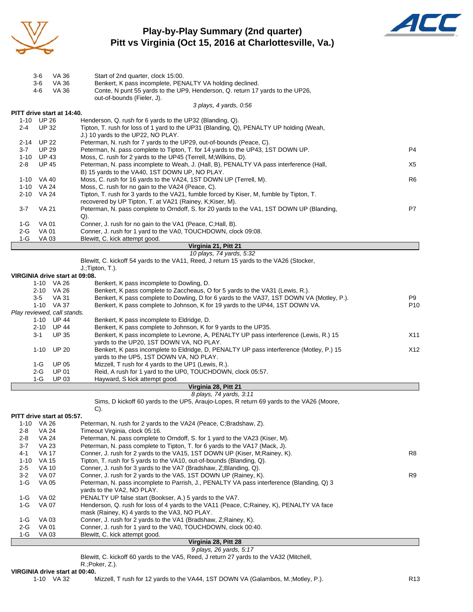

## **Play-by-Play Summary (2nd quarter) Pitt vs Virginia (Oct 15, 2016 at Charlottesville, Va.)**



|                                | 3-6                   | VA 36        | Start of 2nd quarter, clock 15:00.                                                                                                    |                 |
|--------------------------------|-----------------------|--------------|---------------------------------------------------------------------------------------------------------------------------------------|-----------------|
|                                | $3-6$                 | VA 36        | Benkert, K pass incomplete, PENALTY VA holding declined.                                                                              |                 |
|                                | 4-6                   | <b>VA 36</b> | Conte, N punt 55 yards to the UP9, Henderson, Q. return 17 yards to the UP26,                                                         |                 |
|                                |                       |              | out-of-bounds (Fieler, J).                                                                                                            |                 |
|                                |                       |              | 3 plays, 4 yards, 0:56                                                                                                                |                 |
| PITT drive start at 14:40.     | 1-10 UP 26            |              | Henderson, Q. rush for 6 yards to the UP32 (Blanding, Q).                                                                             |                 |
| $2 - 4$                        | <b>UP 32</b>          |              | Tipton, T. rush for loss of 1 yard to the UP31 (Blanding, Q), PENALTY UP holding (Weah,                                               |                 |
|                                |                       |              | J.) 10 yards to the UP22, NO PLAY.                                                                                                    |                 |
| 2-14                           | <b>UP 22</b>          |              | Peterman, N. rush for 7 yards to the UP29, out-of-bounds (Peace, C).                                                                  |                 |
| $3 - 7$                        | <b>UP 29</b>          |              | Peterman, N. pass complete to Tipton, T. for 14 yards to the UP43, 1ST DOWN UP.                                                       | P4              |
| $1 - 10$                       | <b>UP 43</b>          |              | Moss, C. rush for 2 yards to the UP45 (Terrell, M; Wilkins, D).                                                                       |                 |
| $2 - 8$                        | <b>UP 45</b>          |              | Peterman, N. pass incomplete to Weah, J. (Hall, B), PENALTY VA pass interference (Hall,                                               | X5              |
|                                |                       |              | B) 15 yards to the VA40, 1ST DOWN UP, NO PLAY.                                                                                        |                 |
|                                | 1-10 VA 40            |              | Moss, C. rush for 16 yards to the VA24, 1ST DOWN UP (Terrell, M).                                                                     | R6              |
|                                | 1-10 VA 24            |              | Moss, C. rush for no gain to the VA24 (Peace, C).                                                                                     |                 |
| 2-10                           | VA 24                 |              | Tipton, T. rush for 3 yards to the VA21, fumble forced by Kiser, M, fumble by Tipton, T.                                              |                 |
|                                |                       |              | recovered by UP Tipton, T. at VA21 (Rainey, K; Kiser, M).                                                                             |                 |
| $3 - 7$                        | <b>VA 21</b>          |              | Peterman, N. pass complete to Orndoff, S. for 20 yards to the VA1, 1ST DOWN UP (Blanding,                                             | P7              |
|                                |                       |              | $Q$ ).                                                                                                                                |                 |
| $1-G$                          | <b>VA 01</b>          |              | Conner, J. rush for no gain to the VA1 (Peace, C;Hall, B).                                                                            |                 |
| $2-G$                          | <b>VA 01</b>          |              | Conner, J. rush for 1 yard to the VA0, TOUCHDOWN, clock 09:08.                                                                        |                 |
| 1-G                            | VA 03                 |              | Blewitt, C. kick attempt good.                                                                                                        |                 |
|                                |                       |              | Virginia 21, Pitt 21                                                                                                                  |                 |
|                                |                       |              | 10 plays, 74 yards, 5:32                                                                                                              |                 |
|                                |                       |              | Blewitt, C. kickoff 54 yards to the VA11, Reed, J return 15 yards to the VA26 (Stocker,                                               |                 |
|                                |                       |              | J.; Tipton, T.).                                                                                                                      |                 |
| VIRGINIA drive start at 09:08. |                       |              |                                                                                                                                       |                 |
|                                | 1-10 VA 26            |              | Benkert, K pass incomplete to Dowling, D.                                                                                             |                 |
|                                | 2-10 VA 26            |              | Benkert, K pass complete to Zaccheaus, O for 5 yards to the VA31 (Lewis, R.).                                                         |                 |
|                                | $3-5$                 | <b>VA 31</b> | Benkert, K pass complete to Dowling, D for 6 yards to the VA37, 1ST DOWN VA (Motley, P.).                                             | P9              |
|                                | 1-10 VA 37            |              | Benkert, K pass complete to Johnson, K for 19 yards to the UP44, 1ST DOWN VA.                                                         | P <sub>10</sub> |
| Play reviewed, call stands.    |                       |              |                                                                                                                                       |                 |
|                                | 1-10                  | <b>UP 44</b> | Benkert, K pass incomplete to Eldridge, D.                                                                                            |                 |
|                                | 2-10 UP 44            |              | Benkert, K pass complete to Johnson, K for 9 yards to the UP35.                                                                       |                 |
|                                | 3-1                   | <b>UP 35</b> | Benkert, K pass incomplete to Levrone, A, PENALTY UP pass interference (Lewis, R.) 15                                                 | X11             |
|                                |                       |              | yards to the UP20, 1ST DOWN VA, NO PLAY.                                                                                              |                 |
|                                | 1-10                  | <b>UP 20</b> | Benkert, K pass incomplete to Eldridge, D, PENALTY UP pass interference (Motley, P.) 15                                               | X12             |
|                                |                       |              | yards to the UP5, 1ST DOWN VA, NO PLAY.                                                                                               |                 |
|                                | $1-G$                 | UP 05        | Mizzell, T rush for 4 yards to the UP1 (Lewis, R.).                                                                                   |                 |
|                                | $2-G$                 | <b>UP 01</b> | Reid, A rush for 1 yard to the UP0, TOUCHDOWN, clock 05:57.                                                                           |                 |
|                                | $1-G$                 | <b>UP 03</b> | Hayward, S kick attempt good.                                                                                                         |                 |
|                                |                       |              | Virginia 28, Pitt 21                                                                                                                  |                 |
|                                |                       |              | 8 plays, 74 yards, 3:11                                                                                                               |                 |
|                                |                       |              | Sims, D kickoff 60 yards to the UP5, Araujo-Lopes, R return 69 yards to the VA26 (Moore,                                              |                 |
|                                |                       |              | $C$ ).                                                                                                                                |                 |
| PITT drive start at 05:57.     |                       |              |                                                                                                                                       |                 |
| $1 - 10$                       | VA 26                 |              | Peterman, N. rush for 2 yards to the VA24 (Peace, C;Bradshaw, Z).                                                                     |                 |
| 2-8                            | <b>VA 24</b>          |              | Timeout Virginia, clock 05:16.                                                                                                        |                 |
| $2 - 8$                        | <b>VA 24</b>          |              | Peterman, N. pass complete to Orndoff, S. for 1 yard to the VA23 (Kiser, M).                                                          |                 |
| $3 - 7$                        | <b>VA 23</b>          |              | Peterman, N. pass complete to Tipton, T. for 6 yards to the VA17 (Mack, J).                                                           |                 |
| 4-1                            | <b>VA 17</b>          |              | Conner, J. rush for 2 yards to the VA15, 1ST DOWN UP (Kiser, M; Rainey, K).                                                           | R8              |
| $1 - 10$                       | VA 15<br><b>VA 10</b> |              | Tipton, T. rush for 5 yards to the VA10, out-of-bounds (Blanding, Q).                                                                 |                 |
| $2 - 5$<br>$3 - 2$             |                       |              | Conner, J. rush for 3 yards to the VA7 (Bradshaw, Z;Blanding, Q).<br>Conner, J. rush for 2 yards to the VA5, 1ST DOWN UP (Rainey, K). | R9              |
|                                | VA 07                 |              | Peterman, N. pass incomplete to Parrish, J., PENALTY VA pass interference (Blanding, Q) 3                                             |                 |
| $1-G$                          | VA 05                 |              |                                                                                                                                       |                 |
|                                |                       |              | yards to the VA2, NO PLAY.<br>PENALTY UP false start (Bookser, A.) 5 yards to the VA7.                                                |                 |
| $1-G$                          | VA 02                 |              |                                                                                                                                       |                 |
| 1-G                            | VA 07                 |              | Henderson, Q. rush for loss of 4 yards to the VA11 (Peace, C;Rainey, K), PENALTY VA face                                              |                 |
|                                |                       |              | mask (Rainey, K) 4 yards to the VA3, NO PLAY.                                                                                         |                 |
| $1-G$                          | VA 03                 |              | Conner, J. rush for 2 yards to the VA1 (Bradshaw, Z; Rainey, K).                                                                      |                 |
| $2 - G$                        | <b>VA 01</b>          |              | Conner, J. rush for 1 yard to the VA0, TOUCHDOWN, clock 00:40.                                                                        |                 |
| 1-G                            | VA 03                 |              | Blewitt, C. kick attempt good.                                                                                                        |                 |

#### **Virginia 28, Pitt 28**

*9 plays, 26 yards, 5:17* Blewitt, C. kickoff 60 yards to the VA5, Reed, J return 27 yards to the VA32 (Mitchell,

R.;Poker, Z.).

# **VIRGINIA drive start at 00:40.**<br>1-10 VA 32 M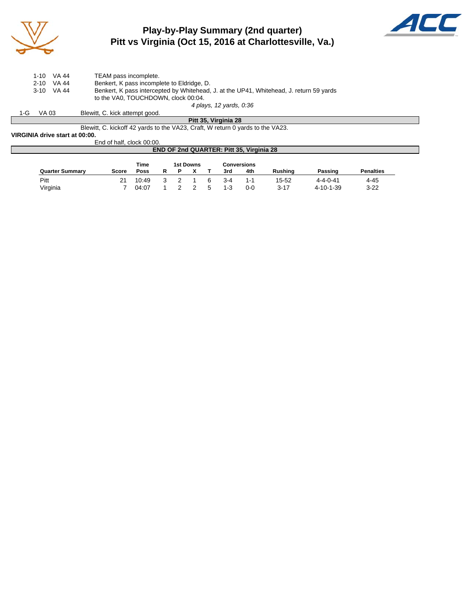

### **Play-by-Play Summary (2nd quarter) Pitt vs Virginia (Oct 15, 2016 at Charlottesville, Va.)**



|     | 1-10     | VA 44 | TEAM pass incomplete.                                                                   |
|-----|----------|-------|-----------------------------------------------------------------------------------------|
|     | $2 - 10$ | VA 44 | Benkert, K pass incomplete to Eldridge, D.                                              |
|     | 3-10     | VA 44 | Benkert, K pass intercepted by Whitehead, J. at the UP41, Whitehead, J. return 59 yards |
|     |          |       | to the VA0. TOUCHDOWN, clock 00:04.                                                     |
|     |          |       | 4 plays, 12 yards, 0:36                                                                 |
| 1-G | VA 03    |       | Blewitt, C. kick attempt good.                                                          |

**Pitt 35, Virginia 28** Blewitt, C. kickoff 42 yards to the VA23, Craft, W return 0 yards to the VA23.

**VIRGINIA drive start at 00:00.**

End of half, clock 00:00.

#### **END OF 2nd QUARTER: Pitt 35, Virginia 28**

|                        |              | Time  |  | 1st Downs |   |         | <b>Conversions</b> |                |                  |                  |
|------------------------|--------------|-------|--|-----------|---|---------|--------------------|----------------|------------------|------------------|
| <b>Quarter Summary</b> | <b>Score</b> | Poss  |  |           |   | 3rd     | 4th                | <b>Rushing</b> | Passing          | <b>Penalties</b> |
| Pitt                   | 21           | 10:49 |  |           | 6 | $3 - 4$ | 1-1                | 15-52          | $4 - 4 - 0 - 41$ | 4-45             |
| Virginia               |              | 04:07 |  |           | 5 | $1 - 3$ | 0-0                | $3 - 17$       | 4-10-1-39        | $3 - 22$         |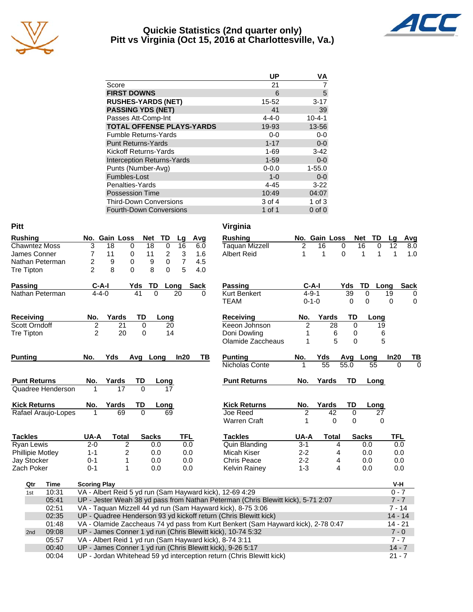

#### **Quickie Statistics (2nd quarter only) Pitt vs Virginia (Oct 15, 2016 at Charlottesville, Va.)**



|                                   | <b>UP</b>   | ٧A           |
|-----------------------------------|-------------|--------------|
| Score                             | 21          |              |
| <b>FIRST DOWNS</b>                | 6           | 5            |
| <b>RUSHES-YARDS (NET)</b>         | 15-52       | $3 - 17$     |
| <b>PASSING YDS (NET)</b>          | 41          | 39           |
| Passes Att-Comp-Int               | $4 - 4 - 0$ | $10 - 4 - 1$ |
| <b>TOTAL OFFENSE PLAYS-YARDS</b>  | 19-93       | 13-56        |
| <b>Fumble Returns-Yards</b>       | $0 - 0$     | $0 - 0$      |
| <b>Punt Returns-Yards</b>         | $1 - 17$    | $0-0$        |
| <b>Kickoff Returns-Yards</b>      | $1 - 69$    | $3 - 42$     |
| <b>Interception Returns-Yards</b> | $1 - 59$    | $0 - 0$      |
| Punts (Number-Avg)                | $0 - 0.0$   | $1 - 55.0$   |
| Fumbles-Lost                      | $1 - 0$     | $0 - 0$      |
| Penalties-Yards                   | $4 - 45$    | $3 - 22$     |
| <b>Possession Time</b>            | 10:49       | 04:07        |
| <b>Third-Down Conversions</b>     | 3 of 4      | $1$ of $3$   |
| <b>Fourth-Down Conversions</b>    | 1 of 1      | $0$ of $0$   |

| <b>Pitt</b>             |                     |                |                    |                   |                                                         | Virginia                                                                                                                           |                |                 |             |                      |                      |             |
|-------------------------|---------------------|----------------|--------------------|-------------------|---------------------------------------------------------|------------------------------------------------------------------------------------------------------------------------------------|----------------|-----------------|-------------|----------------------|----------------------|-------------|
| <b>Rushing</b>          |                     | No. Gain Loss  | Net                | TD<br>Lg          | Avg                                                     | <b>Rushing</b>                                                                                                                     |                | No. Gain Loss   |             | Net<br>TD            | Lg                   | Avg         |
| <b>Chawntez Moss</b>    | 3                   | 18             | 18<br>0            | 0<br>16           | 6.0                                                     | <b>Taquan Mizzell</b>                                                                                                              | 2              | 16              | 0           | $\overline{16}$<br>0 | 12                   | 8.0         |
| James Conner            | 7                   | 11             | 11<br>0            | $\mathbf{3}$<br>2 | 1.6                                                     | <b>Albert Reid</b>                                                                                                                 | 1              | 1               | $\Omega$    | 1<br>1               | $\mathbf 1$          | 1.0         |
| Nathan Peterman         | 2                   | 9              | 0<br>9             | 0                 | 7<br>4.5                                                |                                                                                                                                    |                |                 |             |                      |                      |             |
| <b>Tre Tipton</b>       | $\overline{2}$      | 8              | 0<br>8             | $\Omega$          | 5<br>4.0                                                |                                                                                                                                    |                |                 |             |                      |                      |             |
| <b>Passing</b>          | $C-A-I$             |                | TD<br>Yds          | Long              | <b>Sack</b>                                             | <b>Passing</b>                                                                                                                     | $C-A-I$        |                 | Yds         | TD<br>Long           |                      | Sack        |
| Nathan Peterman         | $4 - 4 - 0$         |                | 41<br>$\mathbf{0}$ | 20                | 0                                                       | <b>Kurt Benkert</b>                                                                                                                | $4 - 9 - 1$    |                 | 39          | 0                    | $\overline{19}$      | 0           |
|                         |                     |                |                    |                   |                                                         | TEAM                                                                                                                               | $0 - 1 - 0$    |                 | $\Omega$    | 0                    | $\Omega$             | $\mathbf 0$ |
| Receiving               | No.                 | Yards          | TD                 | Long              |                                                         | <b>Receiving</b>                                                                                                                   | No.            | Yards           | TD          | Long                 |                      |             |
| Scott Orndoff           | $\overline{c}$      | 21             | $\mathbf 0$        | 20                |                                                         | Keeon Johnson                                                                                                                      | 2              | 28              | 0           | 19                   |                      |             |
| <b>Tre Tipton</b>       | $\overline{2}$      | 20             | $\mathbf 0$        | 14                |                                                         | Doni Dowling                                                                                                                       | 1              | 6               | 0           | 6                    |                      |             |
|                         |                     |                |                    |                   |                                                         | Olamide Zaccheaus                                                                                                                  | 1              | 5               | $\mathbf 0$ | 5                    |                      |             |
| <b>Punting</b>          | No.                 | Yds            | Avg Long           | In20              | TВ                                                      | <b>Punting</b>                                                                                                                     | No.            | Yds             |             | Avg Long             | In20                 | TВ          |
|                         |                     |                |                    |                   |                                                         | Nicholas Conte                                                                                                                     | 1              | $\overline{55}$ | 55.0        | 55                   | 0                    | $\Omega$    |
| <b>Punt Returns</b>     | No.                 | Yards          | TD                 | Long              |                                                         | <b>Punt Returns</b>                                                                                                                | No.            | Yards           | TD          | Long                 |                      |             |
| Quadree Henderson       | 1                   | 17             | $\Omega$           | 17                |                                                         |                                                                                                                                    |                |                 |             |                      |                      |             |
| <b>Kick Returns</b>     | No.                 | Yards          | TD                 | Long              |                                                         | <b>Kick Returns</b>                                                                                                                | No.            | Yards           | TD          | Long                 |                      |             |
| Rafael Araujo-Lopes     | $\mathbf 1$         | 69             | 0                  | 69                |                                                         | Joe Reed                                                                                                                           | $\overline{2}$ | $\overline{42}$ | $\mathbf 0$ | $\overline{27}$      |                      |             |
|                         |                     |                |                    |                   |                                                         | <b>Warren Craft</b>                                                                                                                | 1              | 0               | 0           | 0                    |                      |             |
| <b>Tackles</b>          | UA-A                | <b>Total</b>   | <b>Sacks</b>       |                   | <b>TFL</b>                                              | <b>Tackles</b>                                                                                                                     | UA-A           | <b>Total</b>    |             | <b>Sacks</b>         | <b>TFL</b>           |             |
| Ryan Lewis              | $2 - 0$             | $\overline{c}$ |                    |                   |                                                         |                                                                                                                                    |                |                 |             |                      |                      |             |
| <b>Phillipie Motley</b> |                     |                |                    | 0.0               | 0.0                                                     | <b>Quin Blanding</b>                                                                                                               | $3 - 1$        | $\overline{4}$  |             | 0.0                  | 0.0                  |             |
|                         | $1 - 1$             | $\overline{2}$ | 0.0                |                   | 0.0                                                     | Micah Kiser                                                                                                                        | $2 - 2$        | 4               |             | 0.0                  | 0.0                  |             |
| Jay Stocker             | $0 - 1$             | 1              | 0.0                |                   | 0.0                                                     | <b>Chris Peace</b>                                                                                                                 | $2 - 2$        | 4               |             | 0.0                  | 0.0                  |             |
| Zach Poker              | $0 - 1$             | 1              | 0.0                |                   | 0.0                                                     | Kelvin Rainey                                                                                                                      | $1 - 3$        | 4               |             | 0.0                  | 0.0                  |             |
| Qtr<br>Time             | <b>Scoring Play</b> |                |                    |                   |                                                         |                                                                                                                                    |                |                 |             |                      | V-H                  |             |
| 10:31<br>1st            |                     |                |                    |                   |                                                         | VA - Albert Reid 5 yd run (Sam Hayward kick), 12-69 4:29                                                                           |                |                 |             |                      | $0 - 7$              |             |
| 05:41                   |                     |                |                    |                   |                                                         | UP - Jester Weah 38 yd pass from Nathan Peterman (Chris Blewitt kick), 5-71 2:07                                                   |                |                 |             |                      | $7 - 7$              |             |
| 02:51                   |                     |                |                    |                   |                                                         | VA - Taquan Mizzell 44 yd run (Sam Hayward kick), 8-75 3:06                                                                        |                |                 |             |                      | $7 - 14$             |             |
| 02:35                   |                     |                |                    |                   |                                                         | UP - Quadree Henderson 93 yd kickoff return (Chris Blewitt kick)                                                                   |                |                 |             |                      | $14 - 14$            |             |
| 01:48                   |                     |                |                    |                   |                                                         | VA - Olamide Zaccheaus 74 yd pass from Kurt Benkert (Sam Hayward kick), 2-78 0:47                                                  |                |                 |             |                      | $14 - 21$            |             |
| 09:08<br>2nd            |                     |                |                    |                   |                                                         | UP - James Conner 1 yd run (Chris Blewitt kick), 10-74 5:32                                                                        |                |                 |             |                      | $7 - 0$              |             |
| 05:57                   |                     |                |                    |                   | VA - Albert Reid 1 yd run (Sam Hayward kick), 8-74 3:11 |                                                                                                                                    |                |                 |             |                      | $7 - 7$              |             |
| 00:40<br>00:04          |                     |                |                    |                   |                                                         | UP - James Conner 1 yd run (Chris Blewitt kick), 9-26 5:17<br>UP - Jordan Whitehead 59 yd interception return (Chris Blewitt kick) |                |                 |             |                      | $14 - 7$<br>$21 - 7$ |             |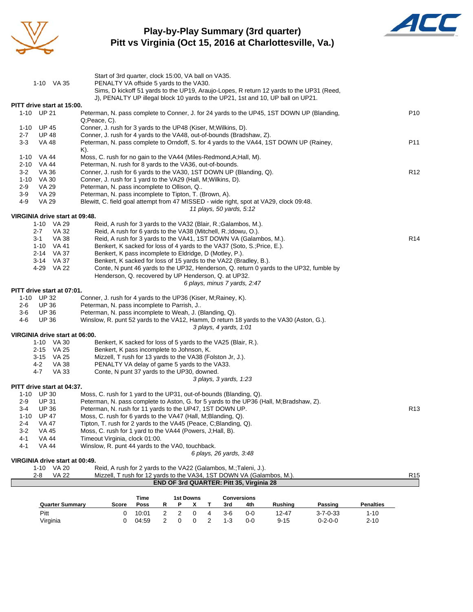

#### **Play-by-Play Summary (3rd quarter) Pitt vs Virginia (Oct 15, 2016 at Charlottesville, Va.)**



|                 |                              | <b>Quarter Summary</b>         | Time<br><b>1st Downs</b><br><b>Conversions</b><br>R<br>Score<br>Poss<br>3rd<br><b>Rushing</b><br>Passing<br><b>Penalties</b><br>P<br>x<br>Т<br>4th |                 |
|-----------------|------------------------------|--------------------------------|----------------------------------------------------------------------------------------------------------------------------------------------------|-----------------|
|                 |                              |                                |                                                                                                                                                    |                 |
|                 | 2-8                          | <b>VA 22</b>                   | Mizzell, T rush for 12 yards to the VA34, 1ST DOWN VA (Galambos, M.).<br>END OF 3rd QUARTER: Pitt 35, Virginia 28                                  | R <sub>15</sub> |
|                 | $1 - 10$                     | VA 20                          | Reid, A rush for 2 yards to the VA22 (Galambos, M.;Taleni, J.).                                                                                    |                 |
|                 |                              | VIRGINIA drive start at 00:49. | 6 plays, 26 yards, 3:48                                                                                                                            |                 |
| 4-1             | <b>VA 44</b>                 |                                | Winslow, R. punt 44 yards to the VA0, touchback.                                                                                                   |                 |
| 4-1             | <b>VA 44</b>                 |                                | Timeout Virginia, clock 01:00.                                                                                                                     |                 |
| $3 - 2$         | <b>VA 45</b>                 |                                | Moss, C. rush for 1 yard to the VA44 (Powers, J;Hall, B).                                                                                          |                 |
| $1 - 10$<br>2-4 | <b>VA 47</b>                 |                                | Tipton, T. rush for 2 yards to the VA45 (Peace, C;Blanding, Q).                                                                                    |                 |
| $3 - 4$         | <b>UP 36</b><br><b>UP 47</b> |                                | Peterman, N. rush for 11 yards to the UP47, 1ST DOWN UP.<br>Moss, C. rush for 6 yards to the VA47 (Hall, M; Blanding, Q).                          | R <sub>13</sub> |
| 2-9             | UP 31                        |                                | Peterman, N. pass complete to Aston, G. for 5 yards to the UP36 (Hall, M;Bradshaw, Z).                                                             |                 |
|                 | 1-10 UP 30                   |                                | Moss, C. rush for 1 yard to the UP31, out-of-bounds (Blanding, Q).                                                                                 |                 |
|                 |                              | PITT drive start at 04:37.     |                                                                                                                                                    |                 |
|                 |                              |                                | 3 plays, 3 yards, 1:23                                                                                                                             |                 |
|                 | 4-7                          | VA 33                          | Conte, N punt 37 yards to the UP30, downed.                                                                                                        |                 |
|                 | 4-2                          | <b>VA 38</b>                   | PENALTY VA delay of game 5 yards to the VA33.                                                                                                      |                 |
|                 | 3-15 VA 25                   |                                | Mizzell, T rush for 13 yards to the VA38 (Folston Jr, J.).                                                                                         |                 |
|                 | 2-15 VA 25                   |                                | Benkert, K pass incomplete to Johnson, K.                                                                                                          |                 |
|                 |                              | 1-10 VA 30                     | Benkert, K sacked for loss of 5 yards to the VA25 (Blair, R.).                                                                                     |                 |
|                 |                              | VIRGINIA drive start at 06:00. |                                                                                                                                                    |                 |
|                 |                              |                                | 3 plays, 4 yards, 1:01                                                                                                                             |                 |
| 4-6             | <b>UP 36</b>                 |                                | Winslow, R. punt 52 yards to the VA12, Hamm, D return 18 yards to the VA30 (Aston, G.).                                                            |                 |
| $3-6$           | <b>UP 36</b>                 |                                | Peterman, N. pass incomplete to Weah, J. (Blanding, Q).                                                                                            |                 |
| 2-6             | UP 36                        |                                | Peterman, N. pass incomplete to Parrish, J                                                                                                         |                 |
|                 | 1-10 UP 32                   |                                | Conner, J. rush for 4 yards to the UP36 (Kiser, M;Rainey, K).                                                                                      |                 |
|                 |                              | PITT drive start at 07:01.     |                                                                                                                                                    |                 |
|                 |                              |                                | 6 plays, minus 7 yards, 2:47                                                                                                                       |                 |
|                 |                              |                                | Henderson, Q. recovered by UP Henderson, Q. at UP32.                                                                                               |                 |
|                 | 4-29 VA 22                   |                                | Conte, N punt 46 yards to the UP32, Henderson, Q. return 0 yards to the UP32, fumble by                                                            |                 |
|                 |                              | 3-14 VA 37                     | Benkert, K sacked for loss of 15 yards to the VA22 (Bradley, B.).                                                                                  |                 |
|                 |                              | 2-14 VA 37                     | Benkert, K sacked for loss of 4 yards to the VA37 (Soto, S.; Price, E.).<br>Benkert, K pass incomplete to Eldridge, D (Motley, P.).                |                 |
|                 | $3 - 1$<br>1-10 VA 41        | VA 38                          | Reid, A rush for 3 yards to the VA41, 1ST DOWN VA (Galambos, M.).                                                                                  | R <sub>14</sub> |
|                 | 2-7                          | VA 32                          | Reid, A rush for 6 yards to the VA38 (Mitchell, R.; Idowu, O.).                                                                                    |                 |
|                 | 1-10 VA 29                   |                                | Reid, A rush for 3 yards to the VA32 (Blair, R.; Galambos, M.).                                                                                    |                 |
|                 |                              | VIRGINIA drive start at 09:48. |                                                                                                                                                    |                 |
|                 |                              |                                | 11 plays, 50 yards, 5:12                                                                                                                           |                 |
| 4-9             | VA 29                        |                                | Blewitt, C. field goal attempt from 47 MISSED - wide right, spot at VA29, clock 09:48.                                                             |                 |
| $3-9$           | VA 29                        |                                | Peterman, N. pass incomplete to Tipton, T. (Brown, A).                                                                                             |                 |
| 2-9             | VA 29                        |                                | Peterman, N. pass incomplete to Ollison, Q                                                                                                         |                 |
|                 | 1-10 VA 30                   |                                | Conner, J. rush for 1 yard to the VA29 (Hall, M; Wilkins, D).                                                                                      |                 |
| $3 - 2$         | VA 36                        |                                | Conner, J. rush for 6 yards to the VA30, 1ST DOWN UP (Blanding, Q).                                                                                | R <sub>12</sub> |
|                 | 2-10 VA 44                   |                                | Peterman, N. rush for 8 yards to the VA36, out-of-bounds.                                                                                          |                 |
|                 | 1-10 VA 44                   |                                | Moss, C. rush for no gain to the VA44 (Miles-Redmond, A; Hall, M).                                                                                 |                 |
|                 |                              |                                | K).                                                                                                                                                |                 |
| $3 - 3$         | VA 48                        |                                | Peterman, N. pass complete to Orndoff, S. for 4 yards to the VA44, 1ST DOWN UP (Rainey,                                                            | P <sub>11</sub> |
| $2 - 7$         | <b>UP 48</b>                 |                                | Conner, J. rush for 4 yards to the VA48, out-of-bounds (Bradshaw, Z).                                                                              |                 |
|                 | 1-10 UP 45                   |                                | Conner, J. rush for 3 yards to the UP48 (Kiser, M; Wilkins, D).                                                                                    |                 |
|                 | 1-10 UP 21                   |                                | Peterman, N. pass complete to Conner, J. for 24 yards to the UP45, 1ST DOWN UP (Blanding,<br>Q;Peace, C).                                          |                 |
|                 |                              | PITT drive start at 15:00.     |                                                                                                                                                    | P <sub>10</sub> |
|                 |                              |                                | J), PENALTY UP illegal block 10 yards to the UP21, 1st and 10, UP ball on UP21.                                                                    |                 |
|                 |                              |                                | Sims, D kickoff 51 yards to the UP19, Araujo-Lopes, R return 12 yards to the UP31 (Reed,                                                           |                 |
|                 | 1-10 VA 35                   |                                | PENALTY VA offside 5 yards to the VA30.                                                                                                            |                 |
|                 |                              |                                | Start of 3rd quarter, clock 15:00, VA ball on VA35.                                                                                                |                 |
|                 |                              |                                |                                                                                                                                                    |                 |

Pitt 0 10:01 2 2 0 4 3-6 0-0 12-47 3-7-0-33 1-10 Virginia 0 04:59 2 0 0 2 1-3 0-0 9-15 0-2-0-0 2-10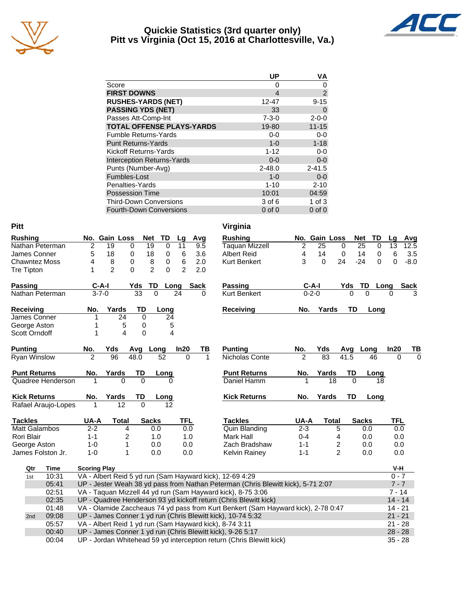

#### **Quickie Statistics (3rd quarter only) Pitt vs Virginia (Oct 15, 2016 at Charlottesville, Va.)**



|                                   | UP          | VA          |
|-----------------------------------|-------------|-------------|
| Score                             | 0           | 0           |
| <b>FIRST DOWNS</b>                | 4           | 2           |
| <b>RUSHES-YARDS (NET)</b>         | $12 - 47$   | $9 - 15$    |
| <b>PASSING YDS (NET)</b>          | 33          | 0           |
| Passes Att-Comp-Int               | $7 - 3 - 0$ | $2 - 0 - 0$ |
| <b>TOTAL OFFENSE PLAYS-YARDS</b>  | 19-80       | $11 - 15$   |
| <b>Fumble Returns-Yards</b>       | $0-0$       | $0-0$       |
| <b>Punt Returns-Yards</b>         | $1 - 0$     | $1 - 18$    |
| <b>Kickoff Returns-Yards</b>      | $1 - 12$    | $0-0$       |
| <b>Interception Returns-Yards</b> | $0 - 0$     | $0-0$       |
| Punts (Number-Avg)                | $2 - 48.0$  | $2 - 41.5$  |
| Fumbles-Lost                      | $1 - 0$     | $0-0$       |
| Penalties-Yards                   | $1 - 10$    | $2 - 10$    |
| <b>Possession Time</b>            | 10:01       | 04:59       |
| <b>Third-Down Conversions</b>     | 3 of 6      | 1 of $3$    |
| <b>Fourth-Down Conversions</b>    | $0$ of $0$  | $0$ of $0$  |

| <b>Pitt</b>         |                     |                                                                               |                     |                 |                 |                 |                 |              |                 |     |          |                                                         | Virginia                                                                          |                |                 |                |          |                 |           |                 |             |
|---------------------|---------------------|-------------------------------------------------------------------------------|---------------------|-----------------|-----------------|-----------------|-----------------|--------------|-----------------|-----|----------|---------------------------------------------------------|-----------------------------------------------------------------------------------|----------------|-----------------|----------------|----------|-----------------|-----------|-----------------|-------------|
|                     | <b>Rushing</b>      |                                                                               |                     | No. Gain Loss   |                 |                 | Net             | TD           | Lg              |     | Avg      |                                                         | <b>Rushing</b>                                                                    |                | No. Gain Loss   |                |          | Net             | TD        | Lg              | Avg         |
|                     |                     | Nathan Peterman                                                               | $\overline{2}$      | $\overline{19}$ |                 | 0               | $\overline{19}$ | $\mathbf 0$  | 11              |     | 9.5      |                                                         | <b>Taquan Mizzell</b>                                                             | $\overline{2}$ | $\overline{25}$ |                | 0        | $\overline{25}$ | 0         | $\overline{13}$ | 12.5        |
|                     | James Conner        |                                                                               | 5                   | 18              |                 | 0               | 18              | 0            | 6               |     | 3.6      |                                                         | <b>Albert Reid</b>                                                                | 4              | 14              |                | 0        | 14              | 0         | 6               | 3.5         |
|                     |                     | <b>Chawntez Moss</b>                                                          | 4                   | 8               |                 | 0               | 8               | 0            | 6               |     | 2.0      |                                                         | <b>Kurt Benkert</b>                                                               | 3              | $\Omega$        |                | 24       | $-24$           | 0         | $\Omega$        | $-8.0$      |
|                     | Tre Tipton          |                                                                               | 1                   | $\overline{2}$  |                 | $\Omega$        | $\overline{2}$  | $\Omega$     | $\overline{2}$  |     | 2.0      |                                                         |                                                                                   |                |                 |                |          |                 |           |                 |             |
|                     | <b>Passing</b>      |                                                                               |                     | $C-A-I$         |                 | Yds             | TD              |              | Long            |     | Sack     |                                                         | Passing                                                                           |                | $C-A-I$         |                | Yds      | <u>TD</u>       | Long      |                 | <b>Sack</b> |
|                     |                     | Nathan Peterman                                                               |                     | $3 - 7 - 0$     |                 | $\overline{33}$ | $\overline{0}$  |              | $\overline{24}$ |     | $\Omega$ |                                                         | Kurt Benkert                                                                      |                | $0 - 2 - 0$     |                | $\Omega$ | $\overline{0}$  |           | $\Omega$        |             |
|                     | <b>Receiving</b>    |                                                                               | No.                 | Yards           |                 | TD              |                 | Long         |                 |     |          |                                                         | Receiving                                                                         | No.            |                 | Yards          | TD       |                 | Long      |                 |             |
|                     | James Conner        |                                                                               | 1                   |                 | 24              | $\mathbf 0$     |                 | 24           |                 |     |          |                                                         |                                                                                   |                |                 |                |          |                 |           |                 |             |
|                     | George Aston        |                                                                               | 1                   |                 | 5               | 0               |                 | 5            |                 |     |          |                                                         |                                                                                   |                |                 |                |          |                 |           |                 |             |
|                     | Scott Orndoff       |                                                                               | 1                   |                 | 4               | 0               |                 | 4            |                 |     |          |                                                         |                                                                                   |                |                 |                |          |                 |           |                 |             |
| <b>Punting</b>      |                     |                                                                               | No.                 | Yds             |                 | Avg             | Long            |              | In20            |     | ΤВ       |                                                         | <b>Punting</b>                                                                    | No.            | Yds             |                | Avg      | Long            |           | In20            | TВ          |
|                     | <b>Ryan Winslow</b> |                                                                               | $\mathcal{P}$       | 96              |                 | 48.0            |                 | 52           |                 | 0   | 1        |                                                         | Nicholas Conte                                                                    | $\mathfrak{p}$ | 83              |                | 41.5     | 46              |           | $\Omega$        | $\Omega$    |
| <b>Punt Returns</b> |                     |                                                                               | No.                 | Yards           |                 | TD              |                 | Long         |                 |     |          |                                                         | <b>Punt Returns</b>                                                               | No.            |                 | Yards          | TD       |                 | Long      |                 |             |
| Quadree Henderson   |                     |                                                                               |                     |                 | $\Omega$        | $\Omega$        |                 | <sup>0</sup> |                 |     |          |                                                         | Daniel Hamm                                                                       |                |                 | 18             | $\Omega$ |                 | 18        |                 |             |
|                     | <b>Kick Returns</b> |                                                                               | No.                 | Yards           |                 | TD              |                 | Long         |                 |     |          |                                                         | <b>Kick Returns</b>                                                               | No.            |                 | Yards          | TD       |                 | Long      |                 |             |
|                     |                     | Rafael Araujo-Lopes                                                           | 1                   |                 | $\overline{12}$ | $\overline{0}$  |                 | 12           |                 |     |          |                                                         |                                                                                   |                |                 |                |          |                 |           |                 |             |
|                     | <b>Tackles</b>      |                                                                               | UA-A                |                 | <b>Total</b>    |                 | <b>Sacks</b>    |              | <b>TFL</b>      |     |          |                                                         | <b>Tackles</b>                                                                    | UA-A           |                 | <b>Total</b>   |          | <b>Sacks</b>    |           | <b>TFL</b>      |             |
|                     |                     | <b>Matt Galambos</b>                                                          | $2 - 2$             |                 | 4               |                 | 0.0             |              |                 | 0.0 |          |                                                         | Quin Blanding                                                                     | $2 - 3$        |                 | 5              |          | 0.0             |           | 0.0             |             |
|                     | Rori Blair          |                                                                               | $1 - 1$             |                 | 2               |                 | 1.0             |              |                 | 1.0 |          |                                                         | Mark Hall                                                                         | $0 - 4$        |                 | 4              |          | 0.0             |           | 0.0             |             |
|                     | George Aston        |                                                                               | $1 - 0$             |                 | 1               |                 | 0.0             |              |                 | 0.0 |          |                                                         | Zach Bradshaw                                                                     | $1 - 1$        |                 | 2              |          | 0.0             |           | 0.0             |             |
|                     |                     | James Folston Jr.                                                             | $1 - 0$             |                 | 1               |                 | 0.0             |              |                 | 0.0 |          |                                                         | <b>Kelvin Rainey</b>                                                              | $1 - 1$        |                 | $\overline{2}$ |          | 0.0             |           | 0.0             |             |
|                     | Qtr                 | Time                                                                          | <b>Scoring Play</b> |                 |                 |                 |                 |              |                 |     |          |                                                         |                                                                                   |                |                 |                |          |                 |           | V-H             |             |
|                     | 1st                 | 10:31                                                                         |                     |                 |                 |                 |                 |              |                 |     |          |                                                         | VA - Albert Reid 5 yd run (Sam Hayward kick), 12-69 4:29                          |                |                 |                |          |                 |           | $0 - 7$         |             |
|                     |                     | 05:41                                                                         |                     |                 |                 |                 |                 |              |                 |     |          |                                                         | UP - Jester Weah 38 yd pass from Nathan Peterman (Chris Blewitt kick), 5-71 2:07  |                |                 |                |          |                 |           | $7 - 7$         |             |
|                     |                     | 02:51                                                                         |                     |                 |                 |                 |                 |              |                 |     |          |                                                         | VA - Taquan Mizzell 44 yd run (Sam Hayward kick), 8-75 3:06                       |                |                 |                |          |                 |           | $7 - 14$        |             |
|                     |                     | 02:35                                                                         |                     |                 |                 |                 |                 |              |                 |     |          |                                                         | UP - Quadree Henderson 93 yd kickoff return (Chris Blewitt kick)                  |                |                 |                |          |                 |           | $14 - 14$       |             |
|                     |                     | 01:48                                                                         |                     |                 |                 |                 |                 |              |                 |     |          |                                                         | VA - Olamide Zaccheaus 74 yd pass from Kurt Benkert (Sam Hayward kick), 2-78 0:47 |                |                 |                |          |                 |           | $14 - 21$       |             |
|                     | 2nd                 | 09:08                                                                         |                     |                 |                 |                 |                 |              |                 |     |          |                                                         | UP - James Conner 1 yd run (Chris Blewitt kick), 10-74 5:32                       |                |                 |                |          |                 |           | $21 - 21$       |             |
|                     |                     | 05:57                                                                         |                     |                 |                 |                 |                 |              |                 |     |          | VA - Albert Reid 1 yd run (Sam Hayward kick), 8-74 3:11 |                                                                                   |                |                 |                |          |                 | $21 - 28$ |                 |             |
|                     |                     | 00:40                                                                         |                     |                 |                 |                 |                 |              |                 |     |          |                                                         | UP - James Conner 1 yd run (Chris Blewitt kick), 9-26 5:17                        |                |                 |                |          |                 |           | $28 - 28$       |             |
|                     |                     | UP - Jordan Whitehead 59 yd interception return (Chris Blewitt kick)<br>00:04 |                     |                 |                 |                 |                 |              |                 |     |          |                                                         |                                                                                   | $35 - 28$      |                 |                |          |                 |           |                 |             |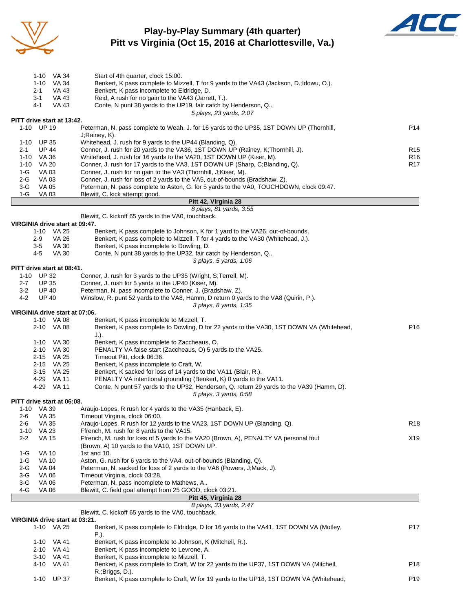

#### **Play-by-Play Summary (4th quarter) Pitt vs Virginia (Oct 15, 2016 at Charlottesville, Va.)**



|                                | 1-10 VA 34                   |              | Start of 4th quarter, clock 15:00.                                                                                                              |                 |  |  |  |  |  |  |
|--------------------------------|------------------------------|--------------|-------------------------------------------------------------------------------------------------------------------------------------------------|-----------------|--|--|--|--|--|--|
|                                | 1-10 VA 34                   |              | Benkert, K pass complete to Mizzell, T for 9 yards to the VA43 (Jackson, D.; Idowu, O.).                                                        |                 |  |  |  |  |  |  |
|                                | 2-1                          | VA 43        | Benkert, K pass incomplete to Eldridge, D.                                                                                                      |                 |  |  |  |  |  |  |
|                                | 3-1                          | VA 43        | Reid, A rush for no gain to the VA43 (Jarrett, T.).                                                                                             |                 |  |  |  |  |  |  |
|                                | 4-1                          | VA 43        | Conte, N punt 38 yards to the UP19, fair catch by Henderson, Q<br>5 plays, 23 yards, 2:07                                                       |                 |  |  |  |  |  |  |
| PITT drive start at 13:42.     |                              |              |                                                                                                                                                 |                 |  |  |  |  |  |  |
|                                | 1-10 UP 19                   |              | Peterman, N. pass complete to Weah, J. for 16 yards to the UP35, 1ST DOWN UP (Thornhill,                                                        |                 |  |  |  |  |  |  |
|                                |                              |              | J;Rainey, K).                                                                                                                                   | P <sub>14</sub> |  |  |  |  |  |  |
|                                | 1-10 UP 35                   |              | Whitehead, J. rush for 9 yards to the UP44 (Blanding, Q).                                                                                       |                 |  |  |  |  |  |  |
| $2 - 1$                        | <b>UP 44</b>                 |              | Conner, J. rush for 20 yards to the VA36, 1ST DOWN UP (Rainey, K:Thornhill, J).                                                                 | R <sub>15</sub> |  |  |  |  |  |  |
|                                | 1-10 VA 36                   |              | Whitehead, J. rush for 16 yards to the VA20, 1ST DOWN UP (Kiser, M).                                                                            | R <sub>16</sub> |  |  |  |  |  |  |
|                                | 1-10 VA 20                   |              | Conner, J. rush for 17 yards to the VA3, 1ST DOWN UP (Sharp, C;Blanding, Q).                                                                    | R <sub>17</sub> |  |  |  |  |  |  |
| 1-G<br>$2-G$                   | VA 03<br>VA 03               |              | Conner, J. rush for no gain to the VA3 (Thornhill, J;Kiser, M).<br>Conner, J. rush for loss of 2 yards to the VA5, out-of-bounds (Bradshaw, Z). |                 |  |  |  |  |  |  |
| $3-G$                          | VA 05                        |              | Peterman, N. pass complete to Aston, G. for 5 yards to the VA0, TOUCHDOWN, clock 09:47.                                                         |                 |  |  |  |  |  |  |
| $1-G$                          | VA 03                        |              | Blewitt, C. kick attempt good.                                                                                                                  |                 |  |  |  |  |  |  |
|                                |                              |              | Pitt 42, Virginia 28                                                                                                                            |                 |  |  |  |  |  |  |
|                                |                              |              | 8 plays, 81 yards, 3:55                                                                                                                         |                 |  |  |  |  |  |  |
|                                |                              |              | Blewitt, C. kickoff 65 yards to the VA0, touchback.                                                                                             |                 |  |  |  |  |  |  |
| VIRGINIA drive start at 09:47. | 1-10 VA 25                   |              | Benkert, K pass complete to Johnson, K for 1 yard to the VA26, out-of-bounds.                                                                   |                 |  |  |  |  |  |  |
|                                | 2-9                          | VA 26        | Benkert, K pass complete to Mizzell, T for 4 yards to the VA30 (Whitehead, J.).                                                                 |                 |  |  |  |  |  |  |
|                                | 3-5                          | VA 30        | Benkert, K pass incomplete to Dowling, D.                                                                                                       |                 |  |  |  |  |  |  |
|                                | 4-5                          | <b>VA 30</b> | Conte, N punt 38 yards to the UP32, fair catch by Henderson, Q                                                                                  |                 |  |  |  |  |  |  |
|                                |                              |              | 3 plays, 5 yards, 1:06                                                                                                                          |                 |  |  |  |  |  |  |
| PITT drive start at 08:41.     |                              |              |                                                                                                                                                 |                 |  |  |  |  |  |  |
| $2 - 7$                        | 1-10 UP 32                   |              | Conner, J. rush for 3 yards to the UP35 (Wright, S; Terrell, M).                                                                                |                 |  |  |  |  |  |  |
| $3 - 2$                        | <b>UP 35</b><br><b>UP 40</b> |              | Conner, J. rush for 5 yards to the UP40 (Kiser, M).<br>Peterman, N. pass incomplete to Conner, J. (Bradshaw, Z).                                |                 |  |  |  |  |  |  |
| 4-2                            | <b>UP 40</b>                 |              | Winslow, R. punt 52 yards to the VA8, Hamm, D return 0 yards to the VA8 (Quirin, P.).                                                           |                 |  |  |  |  |  |  |
|                                |                              |              | 3 plays, 8 yards, 1:35                                                                                                                          |                 |  |  |  |  |  |  |
| VIRGINIA drive start at 07:06. |                              |              |                                                                                                                                                 |                 |  |  |  |  |  |  |
|                                | 1-10 VA 08                   |              | Benkert, K pass incomplete to Mizzell, T.                                                                                                       |                 |  |  |  |  |  |  |
|                                | 2-10 VA 08                   |              | Benkert, K pass complete to Dowling, D for 22 yards to the VA30, 1ST DOWN VA (Whitehead,                                                        | P16             |  |  |  |  |  |  |
|                                |                              |              | $J.$ ).                                                                                                                                         |                 |  |  |  |  |  |  |
|                                | 1-10 VA 30<br>2-10 VA 30     |              | Benkert, K pass incomplete to Zaccheaus, O.<br>PENALTY VA false start (Zaccheaus, O) 5 yards to the VA25.                                       |                 |  |  |  |  |  |  |
|                                | 2-15 VA 25                   |              | Timeout Pitt, clock 06:36.                                                                                                                      |                 |  |  |  |  |  |  |
|                                | 2-15 VA 25                   |              | Benkert, K pass incomplete to Craft, W.                                                                                                         |                 |  |  |  |  |  |  |
|                                | 3-15 VA 25                   |              | Benkert, K sacked for loss of 14 yards to the VA11 (Blair, R.).                                                                                 |                 |  |  |  |  |  |  |
|                                | 4-29 VA 11                   |              | PENALTY VA intentional grounding (Benkert, K) 0 yards to the VA11.                                                                              |                 |  |  |  |  |  |  |
|                                | 4-29 VA 11                   |              | Conte, N punt 57 yards to the UP32, Henderson, Q. return 29 yards to the VA39 (Hamm, D).                                                        |                 |  |  |  |  |  |  |
|                                |                              |              | 5 plays, 3 yards, 0:58                                                                                                                          |                 |  |  |  |  |  |  |
| PITT drive start at 06:08.     | 1-10 VA 39                   |              | Araujo-Lopes, R rush for 4 yards to the VA35 (Hanback, E).                                                                                      |                 |  |  |  |  |  |  |
| 2-6                            | VA 35                        |              | Timeout Virginia, clock 06:00.                                                                                                                  |                 |  |  |  |  |  |  |
| $2 - 6$                        | VA 35                        |              | Araujo-Lopes, R rush for 12 yards to the VA23, 1ST DOWN UP (Blanding, Q).                                                                       | R <sub>18</sub> |  |  |  |  |  |  |
| $1 - 10$                       | VA 23                        |              | Ffrench, M. rush for 8 yards to the VA15.                                                                                                       |                 |  |  |  |  |  |  |
| $2 - 2$                        | <b>VA 15</b>                 |              | Ffrench, M. rush for loss of 5 yards to the VA20 (Brown, A), PENALTY VA personal foul                                                           | X19             |  |  |  |  |  |  |
|                                |                              |              | (Brown, A) 10 yards to the VA10, 1ST DOWN UP.                                                                                                   |                 |  |  |  |  |  |  |
| 1-G<br>$1-G$                   | VA 10<br><b>VA 10</b>        |              | 1st and 10.                                                                                                                                     |                 |  |  |  |  |  |  |
| $2-G$                          | VA 04                        |              | Aston, G. rush for 6 yards to the VA4, out-of-bounds (Blanding, Q).<br>Peterman, N. sacked for loss of 2 yards to the VA6 (Powers, J;Mack, J).  |                 |  |  |  |  |  |  |
| $3-G$                          | VA 06                        |              | Timeout Virginia, clock 03:28.                                                                                                                  |                 |  |  |  |  |  |  |
| 3-G                            | VA 06                        |              | Peterman, N. pass incomplete to Mathews, A                                                                                                      |                 |  |  |  |  |  |  |
| 4-G                            | VA 06                        |              | Blewitt, C. field goal attempt from 25 GOOD, clock 03:21.                                                                                       |                 |  |  |  |  |  |  |
|                                |                              |              | Pitt 45, Virginia 28                                                                                                                            |                 |  |  |  |  |  |  |
|                                |                              |              | 8 plays, 33 yards, 2:47                                                                                                                         |                 |  |  |  |  |  |  |
| VIRGINIA drive start at 03:21. |                              |              | Blewitt, C. kickoff 65 yards to the VA0, touchback.                                                                                             |                 |  |  |  |  |  |  |
|                                | 1-10 VA 25                   |              | Benkert, K pass complete to Eldridge, D for 16 yards to the VA41, 1ST DOWN VA (Motley,                                                          | P17             |  |  |  |  |  |  |
|                                |                              |              | P.).                                                                                                                                            |                 |  |  |  |  |  |  |
|                                | 1-10 VA 41                   |              | Benkert, K pass incomplete to Johnson, K (Mitchell, R.).                                                                                        |                 |  |  |  |  |  |  |
|                                | 2-10 VA 41                   |              | Benkert, K pass incomplete to Levrone, A.                                                                                                       |                 |  |  |  |  |  |  |
|                                | 3-10 VA 41                   |              | Benkert, K pass incomplete to Mizzell, T.                                                                                                       |                 |  |  |  |  |  |  |
|                                | 4-10 VA 41                   |              | Benkert, K pass complete to Craft, W for 22 yards to the UP37, 1ST DOWN VA (Mitchell,                                                           | P18             |  |  |  |  |  |  |
|                                | 1-10 UP 37                   |              | R.; Briggs, D.).<br>Benkert, K pass complete to Craft, W for 19 yards to the UP18, 1ST DOWN VA (Whitehead,                                      | P19             |  |  |  |  |  |  |
|                                |                              |              |                                                                                                                                                 |                 |  |  |  |  |  |  |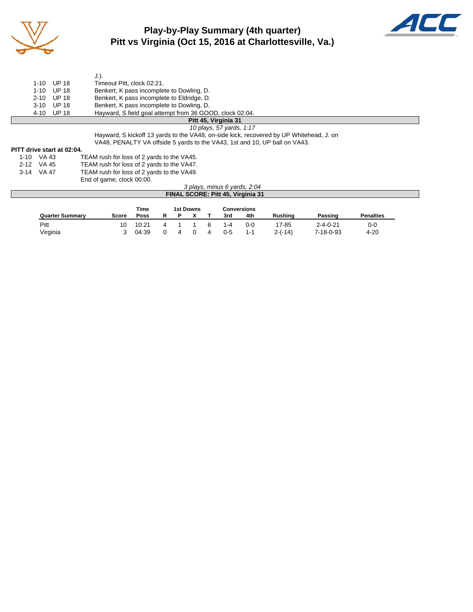

## **Play-by-Play Summary (4th quarter) Pitt vs Virginia (Oct 15, 2016 at Charlottesville, Va.)**



|                      |          |                            | $J.$ ).                                                                                 |  |  |  |  |  |
|----------------------|----------|----------------------------|-----------------------------------------------------------------------------------------|--|--|--|--|--|
|                      | $1 - 10$ | UP 18                      | Timeout Pitt, clock 02:21.                                                              |  |  |  |  |  |
|                      | $1 - 10$ | UP 18                      | Benkert, K pass incomplete to Dowling, D.                                               |  |  |  |  |  |
|                      | $2 - 10$ | UP 18                      | Benkert, K pass incomplete to Eldridge, D.                                              |  |  |  |  |  |
|                      | $3-10$   | UP 18                      | Benkert, K pass incomplete to Dowling, D.                                               |  |  |  |  |  |
|                      |          | 4-10 UP 18                 | Hayward, S field goal attempt from 36 GOOD, clock 02:04.                                |  |  |  |  |  |
| Pitt 45, Virginia 31 |          |                            |                                                                                         |  |  |  |  |  |
|                      |          |                            | 10 plays, 57 yards, 1:17                                                                |  |  |  |  |  |
|                      |          |                            | Hayward, S kickoff 13 yards to the VA48, on-side kick, recovered by UP Whitehead, J. on |  |  |  |  |  |
|                      |          |                            | VA48, PENALTY VA offside 5 yards to the VA43, 1st and 10, UP ball on VA43.              |  |  |  |  |  |
|                      |          | PITT drive start at 02:04. |                                                                                         |  |  |  |  |  |
| 1-10 VA 43           |          |                            | TEAM rush for loss of 2 yards to the VA45.                                              |  |  |  |  |  |
| $2-12$ $1/4$ $45$    |          |                            | TEAM ruch for loss of 2 vards to the VAAZ                                               |  |  |  |  |  |

2-12 VA 45 TEAM rush for loss of 2 yards to the VA47.<br>3-14 VA 47 TEAM rush for loss of 2 yards to the VA49. TEAM rush for loss of 2 yards to the VA49. End of game, clock 00:00.

#### *3 plays, minus 6 yards, 2:04* **FINAL SCORE: Pitt 45, Virginia 31**

|                        |       | Time  | 1st Downs |   |  |   | <b>Conversions</b> |         |                |                  |                  |
|------------------------|-------|-------|-----------|---|--|---|--------------------|---------|----------------|------------------|------------------|
| <b>Quarter Summary</b> | Score | Poss  |           |   |  |   | 3rd                | 4th     | <b>Rushing</b> | Passing          | <b>Penalties</b> |
| Pitt                   | 10    | 10:21 |           |   |  | ĥ | $1 - 4$            | $0 - 0$ | 17-85          | $2 - 4 - 0 - 21$ | 0-0              |
| Virginia               |       | 04:39 |           | 4 |  | 4 | $0 - 5$            | $1 - 1$ | $2-(-14)$      | 7-18-0-93        | 4-20             |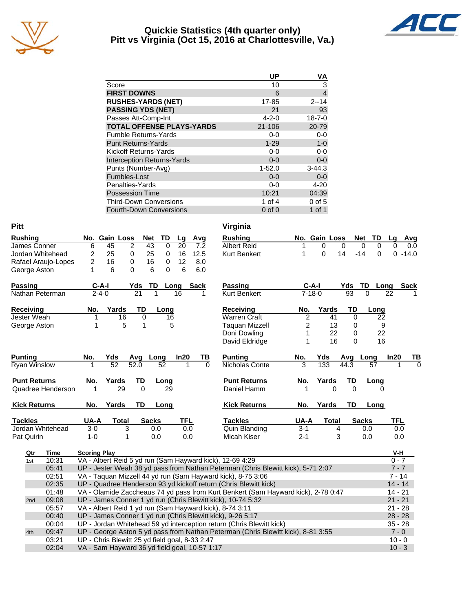

## **Quickie Statistics (4th quarter only) Pitt vs Virginia (Oct 15, 2016 at Charlottesville, Va.)**



|                                   | <b>UP</b>   | VA             |
|-----------------------------------|-------------|----------------|
| Score                             | 10          | 3              |
| <b>FIRST DOWNS</b>                | 6           | $\overline{4}$ |
| <b>RUSHES-YARDS (NET)</b>         | 17-85       | $2 - 14$       |
| <b>PASSING YDS (NET)</b>          | 21          | 93             |
| Passes Att-Comp-Int               | $4 - 2 - 0$ | $18 - 7 - 0$   |
| <b>TOTAL OFFENSE PLAYS-YARDS</b>  | 21-106      | 20-79          |
| <b>Fumble Returns-Yards</b>       | $0-0$       | $0-0$          |
| <b>Punt Returns-Yards</b>         | $1 - 29$    | $1 - 0$        |
| Kickoff Returns-Yards             | $0 - 0$     | $0-0$          |
| <b>Interception Returns-Yards</b> | $0 - 0$     | $0-0$          |
| Punts (Number-Avg)                | $1 - 52.0$  | $3 - 44.3$     |
| Fumbles-Lost                      | $0 - 0$     | $0 - 0$        |
| Penalties-Yards                   | $0-0$       | $4 - 20$       |
| <b>Possession Time</b>            | 10:21       | 04:39          |
| <b>Third-Down Conversions</b>     | 1 of 4      | $0$ of 5       |
| <b>Fourth-Down Conversions</b>    | $0$ of $0$  | 1 of 1         |

| <b>Pitt</b>         |       |                     |                                                |                 |               |      |             |          | Virginia                                                                          |                |               |             |                  |            |             |
|---------------------|-------|---------------------|------------------------------------------------|-----------------|---------------|------|-------------|----------|-----------------------------------------------------------------------------------|----------------|---------------|-------------|------------------|------------|-------------|
| <b>Rushing</b>      |       |                     | No. Gain Loss                                  | <b>Net</b>      | TD            | Lg   | Avg         |          | <b>Rushing</b>                                                                    |                | No. Gain Loss |             | <b>Net</b><br>TD | Lq         | Avg         |
| James Conner        |       | 6                   | 45                                             | 2               | 43<br>0       | 20   | 7.2         |          | <b>Albert Reid</b>                                                                | 1              | 0             | 0           | 0<br>0           | 0          | 0.0         |
| Jordan Whitehead    |       | 2                   | 25                                             | 0               | 25<br>0       | 16   | 12.5        |          | <b>Kurt Benkert</b>                                                               | 1              | $\Omega$      | 14          | $-14$<br>0       | $0 - 14.0$ |             |
| Rafael Araujo-Lopes |       | $\overline{c}$      | 16                                             | 0               | 16<br>0       | 12   | 8.0         |          |                                                                                   |                |               |             |                  |            |             |
| George Aston        |       | 1                   | 6                                              | 0               | 6<br>$\Omega$ | 6    | 6.0         |          |                                                                                   |                |               |             |                  |            |             |
| <b>Passing</b>      |       | $C-A-I$             |                                                | Yds             | TD            | Long | <b>Sack</b> |          | <b>Passing</b>                                                                    | $C-A-I$        |               | Yds         | TD<br>Long       |            | <b>Sack</b> |
| Nathan Peterman     |       | $2 - 4 - 0$         |                                                | $\overline{21}$ | 1             | 16   |             | 1        | <b>Kurt Benkert</b>                                                               | $7 - 18 - 0$   |               | 93          | $\Omega$         | 22         |             |
| <b>Receiving</b>    |       | No.                 | Yards                                          | TD              | Long          |      |             |          | <b>Receiving</b>                                                                  | No.            | Yards         | TD          | Long             |            |             |
| Jester Weah         |       | 1                   | 16                                             | 0               | 16            |      |             |          | <b>Warren Craft</b>                                                               | $\overline{c}$ | 41            | $\mathbf 0$ | 22               |            |             |
| George Aston        |       | 1                   | 5                                              | $\mathbf{1}$    |               | 5    |             |          | <b>Taquan Mizzell</b>                                                             | 2              | 13            | 0           | 9                |            |             |
|                     |       |                     |                                                |                 |               |      |             |          | Doni Dowling                                                                      | 1              | 22            | 0           | 22               |            |             |
|                     |       |                     |                                                |                 |               |      |             |          | David Eldridge                                                                    | 1              | 16            | 0           | 16               |            |             |
| <b>Punting</b>      |       | No.                 | Yds                                            | Avg             | Long          | In20 |             | ΤВ       | <b>Punting</b>                                                                    | No.            | Yds           | Avg         | Long             | In20       | TВ          |
| <b>Ryan Winslow</b> |       | 1                   | $\overline{52}$                                | 52.0            | 52            |      | 1           | $\Omega$ | Nicholas Conte                                                                    | 3              | 133           | 44.3        | 57               | 1          | $\Omega$    |
| <b>Punt Returns</b> |       | No.                 | Yards                                          | <b>TD</b>       | Long          |      |             |          | <b>Punt Returns</b>                                                               | No.            | Yards         | TD          | Long             |            |             |
| Quadree Henderson   |       | 1                   | 29                                             | $\mathbf{0}$    | 29            |      |             |          | Daniel Hamm                                                                       | 1              | $\Omega$      | $\Omega$    | O                |            |             |
| <b>Kick Returns</b> |       | No.                 | Yards                                          | TD              | Long          |      |             |          | <b>Kick Returns</b>                                                               | No.            | Yards         | TD          | Long             |            |             |
| <b>Tackles</b>      |       | UA-A                | Total                                          |                 | <b>Sacks</b>  | TFL  |             |          | <b>Tackles</b>                                                                    | UA-A           | <b>Total</b>  |             | <b>Sacks</b>     | <b>TFL</b> |             |
| Jordan Whitehead    |       | $3-0$               | 3                                              |                 | 0.0           |      | 0.0         |          | <b>Quin Blanding</b>                                                              | $3 - 1$        |               | 4           | 0.0              | 0.0        |             |
| Pat Quirin          |       | $1 - 0$             | 1                                              |                 | 0.0           |      | 0.0         |          | Micah Kiser                                                                       | $2 - 1$        |               | 3           | 0.0              | 0.0        |             |
| Qtr                 | Time  | <b>Scoring Play</b> |                                                |                 |               |      |             |          |                                                                                   |                |               |             |                  | V-H        |             |
| 1st                 | 10:31 |                     |                                                |                 |               |      |             |          | VA - Albert Reid 5 yd run (Sam Hayward kick), 12-69 4:29                          |                |               |             |                  | $0 - 7$    |             |
|                     | 05:41 |                     |                                                |                 |               |      |             |          | UP - Jester Weah 38 yd pass from Nathan Peterman (Chris Blewitt kick), 5-71 2:07  |                |               |             |                  | $7 - 7$    |             |
|                     | 02:51 |                     |                                                |                 |               |      |             |          | VA - Taquan Mizzell 44 yd run (Sam Hayward kick), 8-75 3:06                       |                |               |             |                  | $7 - 14$   |             |
|                     | 02:35 |                     |                                                |                 |               |      |             |          | UP - Quadree Henderson 93 yd kickoff return (Chris Blewitt kick)                  |                |               |             |                  | $14 - 14$  |             |
|                     | 01:48 |                     |                                                |                 |               |      |             |          | VA - Olamide Zaccheaus 74 yd pass from Kurt Benkert (Sam Hayward kick), 2-78 0:47 |                |               |             |                  | $14 - 21$  |             |
| 2nd                 | 09:08 |                     |                                                |                 |               |      |             |          | UP - James Conner 1 yd run (Chris Blewitt kick), 10-74 5:32                       |                |               |             |                  | $21 - 21$  |             |
|                     | 05:57 |                     |                                                |                 |               |      |             |          | VA - Albert Reid 1 yd run (Sam Hayward kick), 8-74 3:11                           |                |               |             |                  | $21 - 28$  |             |
|                     | 00:40 |                     |                                                |                 |               |      |             |          | UP - James Conner 1 yd run (Chris Blewitt kick), 9-26 5:17                        |                |               |             |                  | $28 - 28$  |             |
|                     | 00:04 |                     |                                                |                 |               |      |             |          | UP - Jordan Whitehead 59 yd interception return (Chris Blewitt kick)              |                |               |             |                  | $35 - 28$  |             |
| 4th                 | 09:47 |                     |                                                |                 |               |      |             |          | UP - George Aston 5 yd pass from Nathan Peterman (Chris Blewitt kick), 8-81 3:55  |                |               |             |                  | $7 - 0$    |             |
|                     | 03:21 |                     | UP - Chris Blewitt 25 yd field goal, 8-33 2:47 |                 |               |      |             |          |                                                                                   |                |               |             |                  | $10 - 0$   |             |
|                     | 02:04 |                     | VA - Sam Hayward 36 yd field goal, 10-57 1:17  |                 |               |      |             |          |                                                                                   |                |               |             |                  | $10 - 3$   |             |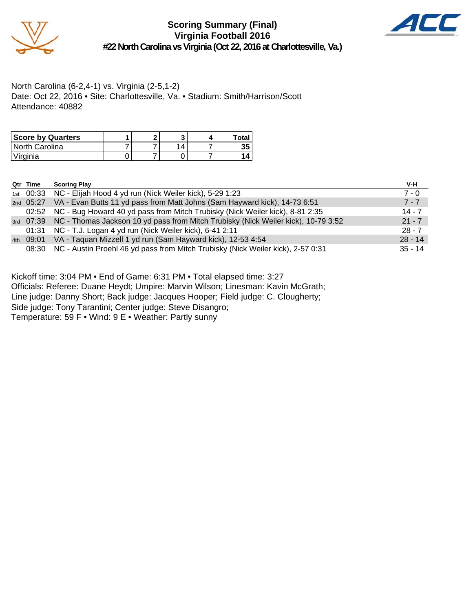

**Scoring Summary (Final) Virginia Football 2016 #22 North Carolina vs Virginia (Oct 22, 2016 at Charlottesville, Va.)**



North Carolina (6-2,4-1) vs. Virginia (2-5,1-2) Date: Oct 22, 2016 • Site: Charlottesville, Va. • Stadium: Smith/Harrison/Scott Attendance: 40882

| <b>Score by Quarters</b> |  |  | Total |
|--------------------------|--|--|-------|
| North Carolina           |  |  |       |
| Virginia                 |  |  |       |

| Qtr Time | <b>Scoring Play</b>                                                                         | V-H       |
|----------|---------------------------------------------------------------------------------------------|-----------|
|          | 1st 00:33 NC - Elijah Hood 4 yd run (Nick Weiler kick), 5-29 1:23                           | $7 - 0$   |
|          | 2nd 05:27 VA - Evan Butts 11 yd pass from Matt Johns (Sam Hayward kick), 14-73 6:51         | $7 - 7$   |
|          | 02:52 NC - Bug Howard 40 yd pass from Mitch Trubisky (Nick Weiler kick), 8-81 2:35          | $14 - 7$  |
|          | 3rd 07:39 NC - Thomas Jackson 10 yd pass from Mitch Trubisky (Nick Weiler kick), 10-79 3:52 | $21 - 7$  |
|          | 01:31 NC - T.J. Logan 4 yd run (Nick Weiler kick), 6-41 2:11                                | $28 - 7$  |
|          | 4th 09:01 VA - Taquan Mizzell 1 yd run (Sam Hayward kick), 12-53 4:54                       | $28 - 14$ |
|          | 08:30 NC - Austin Proehl 46 yd pass from Mitch Trubisky (Nick Weiler kick), 2-57 0:31       | $35 - 14$ |

Kickoff time: 3:04 PM • End of Game: 6:31 PM • Total elapsed time: 3:27

Officials: Referee: Duane Heydt; Umpire: Marvin Wilson; Linesman: Kavin McGrath;

Line judge: Danny Short; Back judge: Jacques Hooper; Field judge: C. Clougherty;

Side judge: Tony Tarantini; Center judge: Steve Disangro;

Temperature: 59 F • Wind: 9 E • Weather: Partly sunny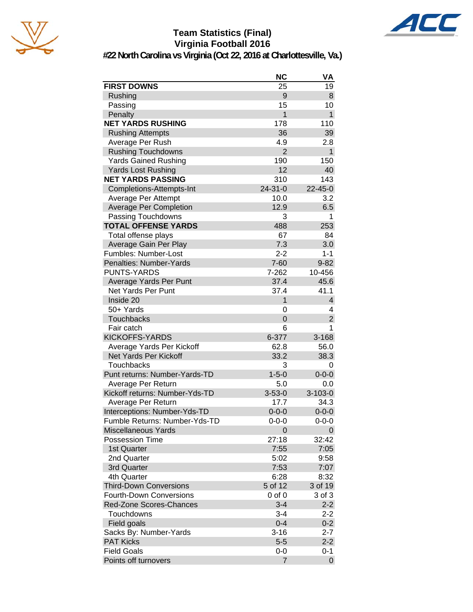

## **Team Statistics (Final) Virginia Football 2016**



**#22 North Carolina vs Virginia (Oct 22, 2016 at Charlottesville, Va.)**

|                                            | <b>NC</b>                 | VA                      |
|--------------------------------------------|---------------------------|-------------------------|
| <b>FIRST DOWNS</b>                         | 25                        | 19                      |
| Rushing                                    | 9                         | 8                       |
| Passing                                    | 15                        | 10                      |
| Penalty                                    | 1                         | $\mathbf{1}$            |
| <b>NET YARDS RUSHING</b>                   | 178                       | 110                     |
| <b>Rushing Attempts</b>                    | 36                        | 39                      |
| Average Per Rush                           | 4.9                       | 2.8                     |
| <b>Rushing Touchdowns</b>                  | $\overline{2}$            | $\mathbf{1}$            |
| <b>Yards Gained Rushing</b>                | 190                       | 150                     |
| Yards Lost Rushing                         | 12                        | 40                      |
| <b>NET YARDS PASSING</b>                   | 310                       | 143                     |
| Completions-Attempts-Int                   | $24 - 31 - 0$             | $22 - 45 - 0$           |
| Average Per Attempt                        | 10.0                      | 3.2                     |
| <b>Average Per Completion</b>              | 12.9                      | 6.5                     |
| Passing Touchdowns                         | 3                         | 1                       |
| <b>TOTAL OFFENSE YARDS</b>                 | 488                       | 253                     |
| Total offense plays                        | 67                        | 84                      |
| Average Gain Per Play                      | 7.3                       | 3.0                     |
| Fumbles: Number-Lost                       | $2 - 2$                   | $1 - 1$                 |
| Penalties: Number-Yards                    | $7 - 60$                  | $9 - 82$                |
| <b>PUNTS-YARDS</b>                         | 7-262                     | 10-456                  |
| Average Yards Per Punt                     | 37.4                      | 45.6                    |
| Net Yards Per Punt                         | 37.4                      | 41.1                    |
| Inside 20                                  | 1                         | $\overline{\mathbf{4}}$ |
| 50+ Yards                                  | 0                         | 4                       |
| Touchbacks                                 | $\overline{0}$            | $\overline{2}$          |
| Fair catch                                 | 6                         | 1                       |
| <b>KICKOFFS-YARDS</b>                      | 6-377                     | 3-168                   |
| Average Yards Per Kickoff                  | 62.8                      | 56.0                    |
| Net Yards Per Kickoff                      | 33.2                      | 38.3                    |
| Touchbacks                                 | 3                         | 0                       |
| Punt returns: Number-Yards-TD              | $1 - 5 - 0$               | $0 - 0 - 0$             |
| Average Per Return                         | 5.0                       | 0.0                     |
| Kickoff returns: Number-Yds-TD             | $3 - 53 - 0$              | $3 - 103 - 0$           |
| Average Per Return                         | 17.7                      | 34.3                    |
| Interceptions: Number-Yds-TD               | $0 - 0 - 0$               | $0 - 0 - 0$             |
| Fumble Returns: Number-Yds-TD              | $0 - 0 - 0$               | $0 - 0 - 0$             |
| <b>Miscellaneous Yards</b>                 | 0                         | 0                       |
| Possession Time                            | 27:18                     | 32:42                   |
| 1st Quarter                                | 7:55                      | 7:05                    |
| 2nd Quarter                                | 5:02                      | 9:58                    |
| 3rd Quarter                                | 7:53                      | 7:07                    |
| 4th Quarter                                | 6:28                      | 8:32                    |
| <b>Third-Down Conversions</b>              | 5 of 12                   | 3 of 19                 |
| <b>Fourth-Down Conversions</b>             | $0$ of $0$                |                         |
| <b>Red-Zone Scores-Chances</b>             | $3 - 4$                   | 3 of 3<br>$2 - 2$       |
| Touchdowns                                 |                           | $2 - 2$                 |
|                                            | $3 - 4$                   |                         |
| Field goals                                | $0 - 4$                   | $0 - 2$                 |
| Sacks By: Number-Yards<br><b>PAT Kicks</b> | $3 - 16$<br>$5-5$         | $2 - 7$                 |
| <b>Field Goals</b>                         |                           | $2 - 2$                 |
|                                            | $0 - 0$<br>$\overline{7}$ | $0 - 1$                 |
| Points off turnovers                       |                           | 0                       |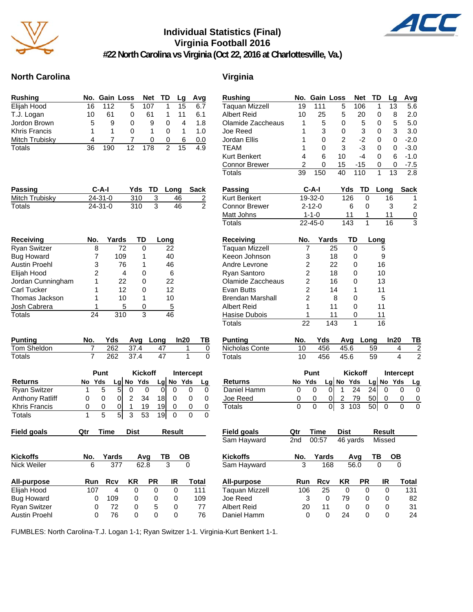

## **Individual Statistics (Final) Virginia Football 2016**



**#22 North Carolina vs Virginia (Oct 22, 2016 at Charlottesville, Va.)**

## **North Carolina Virginia**

| <b>Rushing</b>       |    | No. Gain Loss |    |          | Net TD       | Lq | Avg         |
|----------------------|----|---------------|----|----------|--------------|----|-------------|
| Elijah Hood          | 16 | 112           | 5  | 107      |              | 15 | 6.7         |
| T.J. Logan           | 10 | 61            | 0  | 61       |              |    | 6.1         |
| Jordon Brown         | 5  | 9             | 0  | 9        | $\Omega$     | 4  | 1.8         |
| <b>Khris Francis</b> |    |               | O  |          | $\mathbf{0}$ |    | 1. $\Omega$ |
| Mitch Trubisky       | Δ  |               |    | $\Omega$ | $\Omega$     | 6  | 0.0         |
| Totals               | 36 |               | 12 | 178      | 2            | 15 | 4.9         |

| Passing        | C-A-I         |     | Yds TD Long Sack |  |
|----------------|---------------|-----|------------------|--|
| Mitch Trubisky | $24 - 31 - 0$ | 310 | 46               |  |
| Totals         | $24 - 31 - 0$ | 310 | 46               |  |

| Receiving            | No. | Yards | TD | Long |
|----------------------|-----|-------|----|------|
| <b>Ryan Switzer</b>  |     | 72    | 0  | 22   |
| <b>Bug Howard</b>    |     | 109   |    | 40   |
| <b>Austin Proehl</b> | 3   | 76    | 1  | 46   |
| Elijah Hood          | 2   | 4     | 0  | 6    |
| Jordan Cunningham    |     | 22    | 0  | 22   |
| <b>Carl Tucker</b>   |     | 12    | 0  | 12   |
| Thomas Jackson       |     | 10    | 1  | 10   |
| Josh Cabrera         |     | 5     | 0  | 5    |
| Totals               | 24  | 310   | 3  | 46   |

| <b>Punting</b> |     |          | Yds Avg Long In20     | TB |
|----------------|-----|----------|-----------------------|----|
| Tom Sheldon    |     | 262 37.4 | $\Delta$ <sup>7</sup> |    |
| Totals         | 262 | 374      |                       |    |

|                        |    | <b>Kickoff</b><br>Punt |   |   | Intercept   |    |         |     |  |
|------------------------|----|------------------------|---|---|-------------|----|---------|-----|--|
| <b>Returns</b>         | No | Yds                    |   |   | $Lg$ No Yds |    | $Lg$ No | Yds |  |
| <b>Ryan Switzer</b>    |    | 5                      | 5 |   |             |    |         |     |  |
| <b>Anthony Ratliff</b> | O) |                        |   |   | 34          | 18 |         |     |  |
| Khris Francis          | O  | O                      |   |   | 19          | 19 |         |     |  |
| Totals                 |    | 5                      | 5 | 3 | 53          | 19 |         |     |  |

| ield goals | Qtr Time Dist | Result |
|------------|---------------|--------|
|            |               |        |

| <b>Kickoffs</b><br><b>Nick Weiler</b> | No.<br>6 | Yards<br>377 |    | Avq<br>62.8 | ΤВ<br>3 | ОВ<br>0 |
|---------------------------------------|----------|--------------|----|-------------|---------|---------|
| <b>All-purpose</b>                    | Run      | Rcv          | ΚR | <b>PR</b>   | IR      | Total   |
| Elijah Hood                           | 107      | 4            | 0  | 0           | 0       | 111     |
| <b>Bug Howard</b>                     | 0        | 109          | 0  | 0           | 0       | 109     |
| <b>Ryan Switzer</b>                   | 0        | 72           | 0  | 5           | 0       | 77      |
| <b>Austin Proehl</b>                  | 0        | 76           | 0  | 0           | O       | 76      |

| <b>Rushing</b>       |                | No. Gain Loss          |                      | Net            | TD              | Lg        | Avg            |          | <b>Rushing</b>          | No.                     | <b>Gain Loss</b> |                         | Net            | TD               | Lg                        | Avg                      |
|----------------------|----------------|------------------------|----------------------|----------------|-----------------|-----------|----------------|----------|-------------------------|-------------------------|------------------|-------------------------|----------------|------------------|---------------------------|--------------------------|
| Elijah Hood          | 16             | 112                    | 5                    | 107            | 1               | 15        | 6.7            |          | <b>Taquan Mizzell</b>   | 19                      | 111              | 5                       | 106            | 1                | 13                        | 5.6                      |
| T.J. Logan           | 10             | 61                     | 0                    | 61             | 1               | 11        | 6.1            |          | <b>Albert Reid</b>      | 10                      | 25               | 5                       | 20             | 0                | 8                         | 2.0                      |
| Jordon Brown         | 5              | 9                      | 0                    | 9              | 0               | 4         | 1.8            |          | Olamide Zaccheaus       | 1                       | 5                | 0                       |                | 5<br>0           | 5                         | 5.0                      |
| Khris Francis        | 1              | 1                      | 0                    | 1              | 0               | 1         | 1.0            |          | Joe Reed                | 1                       | 3                | 0                       |                | 3<br>0           | 3                         | 3.0                      |
| Mitch Trubisky       | 4              | 7                      | 7                    | 0              | 0               | 6         | 0.0            |          | Jordan Ellis            |                         | 0                | $\overline{\mathbf{c}}$ |                | $-2$<br>0        | 0                         | $-2.0$                   |
| <b>Totals</b>        | 36             | 190                    | 12                   | 178            | $\overline{2}$  | 15        | 4.9            |          | <b>TEAM</b>             | 1                       | 0                | 3                       |                | $-3$<br>0        | 0                         | $-3.0$                   |
|                      |                |                        |                      |                |                 |           |                |          | Kurt Benkert            | 4                       | 6                | 10                      |                | $-4$<br>$\Omega$ | 6                         | $-1.0$                   |
|                      |                |                        |                      |                |                 |           |                |          | <b>Connor Brewer</b>    | 2                       | 0                | 15                      | $-15$          | 0                | 0                         | $-7.5$                   |
|                      |                |                        |                      |                |                 |           |                |          | <b>Totals</b>           | 39                      | 150              | 40                      | 110            | 1                | 13                        | 2.8                      |
| Passing              |                | $C-A-I$                | Yds                  | TD             | Long            |           | <b>Sack</b>    |          | <b>Passing</b>          |                         | $C-A-I$          |                         | Yds            | TD               | Long                      | <b>Sack</b>              |
| Mitch Trubisky       |                | 24-31-0                | 310                  | 3              |                 | 46        | $\overline{2}$ |          | <b>Kurt Benkert</b>     |                         | 19-32-0          |                         | 126            | 0                | 16                        | 1                        |
| Totals               |                | 24-31-0                | 310                  | $\overline{3}$ |                 | 46        | $\overline{2}$ |          | <b>Connor Brewer</b>    |                         | $2 - 12 - 0$     |                         | 6              | 0                | 3                         | $\overline{2}$           |
|                      |                |                        |                      |                |                 |           |                |          | Matt Johns              |                         | $1 - 1 - 0$      |                         | 11             | 1                | 11                        | $\overline{0}$           |
|                      |                |                        |                      |                |                 |           |                |          | <b>Totals</b>           |                         | 22-45-0          |                         | 143            | 1                | 16                        | $\overline{3}$           |
| Receiving            | No.            | Yards                  |                      | TD             | Long            |           |                |          | <b>Receiving</b>        | No.                     | Yards            |                         | TD             | Long             |                           |                          |
| Ryan Switzer         | 8              |                        | 72                   | 0              | 22              |           |                |          | <b>Taquan Mizzell</b>   | 7                       |                  | 25                      | 0              |                  | 5                         |                          |
| Bug Howard           | 7              |                        | 109                  | 1              | 40              |           |                |          | Keeon Johnson           | 3                       |                  | 18                      | 0              |                  | 9                         |                          |
| <b>Austin Proehl</b> | 3              |                        | 76                   | 1              | 46              |           |                |          | Andre Levrone           | $\overline{\mathbf{c}}$ |                  | 22                      | 0              |                  | 16                        |                          |
| Elijah Hood          | 2              |                        | 4                    | 0              | 6               |           |                |          | Ryan Santoro            | 2                       |                  | 18                      | 0              |                  | 10                        |                          |
| Jordan Cunningham    | 1              |                        | 22                   | 0              | 22              |           |                |          | Olamide Zaccheaus       | 2                       |                  | 16                      | 0              |                  | 13                        |                          |
| Carl Tucker          |                |                        | 12                   | 0              | 12              |           |                |          | Evan Butts              | 2                       |                  | 14                      | 1              | 11               |                           |                          |
| Thomas Jackson       | 1              |                        | 10                   | 1              | 10              |           |                |          | <b>Brendan Marshall</b> | $\overline{c}$          |                  | 8                       | 0              |                  | 5                         |                          |
| Josh Cabrera         |                |                        | 5                    | 0              | 5               |           |                |          | <b>Albert Reid</b>      | 1                       |                  | 11                      | 0              | 11               |                           |                          |
| Totals               | 24             |                        | 310                  | 3              | 46              |           |                |          | Hasise Dubois           | 1                       |                  | 11                      | 0              | 11               |                           |                          |
|                      |                |                        |                      |                |                 |           |                |          | <b>Totals</b>           | $\overline{22}$         |                  | 143                     | 1              |                  | 16                        |                          |
| <b>Punting</b>       | No.            | Yds                    | Avg                  | Long           |                 | In20      | TВ             |          | <b>Punting</b>          | No.                     | Yds              |                         | Avg            | Long             | In20                      | TВ                       |
| Tom Sheldon          | 7              | 262                    | 37.4                 |                | 47              |           | 1              | 0        | Nicholas Conte          | 10                      | 456              |                         | 45.6           | 59               |                           | $\overline{2}$<br>4      |
| Totals               | $\overline{7}$ | 262                    | 37.4                 |                | $\overline{47}$ |           | $\mathbf{1}$   | $\Omega$ | <b>Totals</b>           | 10                      | 456              |                         | 45.6           | 59               |                           | $\overline{c}$<br>4      |
|                      |                | Punt                   |                      | <b>Kickoff</b> |                 |           | Intercept      |          |                         |                         | Punt             |                         | <b>Kickoff</b> |                  |                           | Intercept                |
| Returns              | No             | Yds<br>$\overline{Lg}$ | No                   | Yds            | No<br>Lg        | Yds       |                | Lg       | <b>Returns</b>          | No                      | Yds              |                         | Lg No Yds      | Lg               | No Yds                    | $lg$                     |
| <b>Ryan Switzer</b>  | 1              | 5                      | $\overline{5}$<br>0  | $\mathbf 0$    | 0               | 0         | 0              | 0        | Daniel Hamm             | 0                       | 0                | $\overline{0}$<br>1     | 24             | 24               | $\mathbf 0$               | 0<br>0                   |
| Anthony Ratliff      | 0              | 0                      | $\overline{2}$<br> 0 | 34             | 18              | 0         | 0              | 0        | Joe Reed                | 0                       | 0                | 2<br>0                  | 79             | 50               | 0                         | $\pmb{0}$<br>0           |
| Khris Francis        | 0              | 0                      | $\Omega$<br>-1       | 19             | 19              | 0         | 0              | 0        | Totals                  | 0                       | 0                | $\overline{0}$<br>3     | 103            | 50               | $\pmb{0}$                 | $\pmb{0}$<br>$\mathbf 0$ |
| <b>Totals</b>        | 1              | 5                      | $\overline{5}$<br>3  | 53             | 19              | 0         | $\Omega$       | $\Omega$ |                         |                         |                  |                         |                |                  |                           |                          |
| Field goals          | Qtr            | <b>Time</b>            | <b>Dist</b>          |                | <b>Result</b>   |           |                |          | <b>Field goals</b>      | <u>Qtr</u>              | <b>Time</b>      |                         | <u>Dist</u>    |                  | <b>Result</b>             |                          |
|                      |                |                        |                      |                |                 |           |                |          | Sam Hayward             | 2nd                     | 00:57            |                         | 46 yards       |                  | Missed                    |                          |
| Kickoffs             | No.            | Yards                  |                      | Avg            | TВ              | <u>OB</u> |                |          | <b>Kickoffs</b>         | No.                     | Yards            |                         | Avg            | TB               | $\underline{\mathsf{OB}}$ |                          |
| Nick Weiler          | 6              | 377                    |                      | 62.8           | 3               |           | $\Omega$       |          | Sam Hayward             | 3                       | 168              |                         | 56.0           | $\Omega$         |                           | $\Omega$                 |
| All-purpose          | Run            | <b>Rcv</b>             | <b>KR</b>            | <b>PR</b>      |                 | IR        | <b>Total</b>   |          | All-purpose             | Run                     | <b>Rcv</b>       |                         | <b>KR</b>      | <b>PR</b>        | IR                        | <b>Total</b>             |
| Elijah Hood          | 107            | 4                      | $\mathbf 0$          | 0              |                 | 0         | 111            |          | <b>Taquan Mizzell</b>   | 106                     | 25               |                         | 0              | 0                | $\mathbf 0$               | 131                      |
| <b>Bug Howard</b>    | 0              | 109                    | 0                    | 0              |                 | 0         | 109            |          | Joe Reed                | 3                       | 0                |                         | 79             | 0                | 0                         | 82                       |
| <b>Ryan Switzer</b>  | 0              | 72                     | 0                    | 5              |                 | 0         | 77             |          | <b>Albert Reid</b>      | 20                      | 11               |                         | 0              | 0                | 0                         | 31                       |
| Austin Proehl        | 0              | 76                     | $\mathbf 0$          | $\pmb{0}$      |                 | 0         | 76             |          | Daniel Hamm             | 0                       | 0                |                         | 24             | 0                | 0                         | 24                       |

FUMBLES: North Carolina-T.J. Logan 1-1; Ryan Switzer 1-1. Virginia-Kurt Benkert 1-1.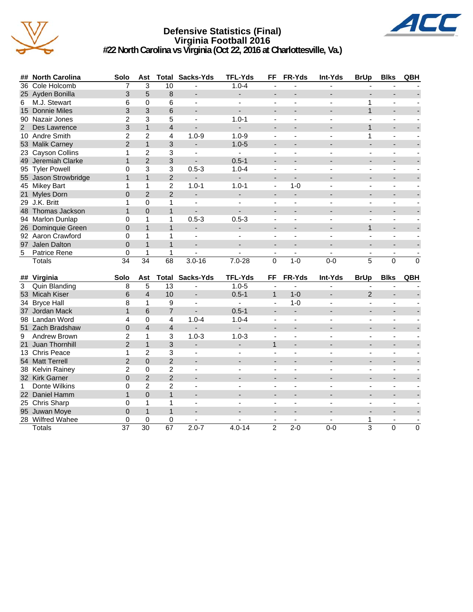

## **Defensive Statistics (Final) Virginia Football 2016 #22 North Carolina vs Virginia (Oct 22, 2016 at Charlottesville, Va.)**



|             | ## North Carolina    | Solo           | Ast                     | Total          | Sacks-Yds                | <b>TFL-Yds</b>           | FF                       | FR-Yds                   | Int-Yds        | <b>BrUp</b>              | <b>Blks</b>              | QBH      |
|-------------|----------------------|----------------|-------------------------|----------------|--------------------------|--------------------------|--------------------------|--------------------------|----------------|--------------------------|--------------------------|----------|
|             | 36 Cole Holcomb      | 7              | 3                       | 10             |                          | $1.0 - 4$                |                          |                          |                |                          |                          |          |
|             | 25 Ayden Bonilla     | 3              | 5                       | 8              | $\overline{\phantom{a}}$ |                          |                          |                          |                |                          | $\overline{\phantom{a}}$ |          |
| 6           | M.J. Stewart         | 6              | $\Omega$                | 6              | $\overline{\phantom{a}}$ |                          |                          |                          |                | 1                        |                          |          |
|             | 15 Donnie Miles      | 3              | 3                       | 6              | $\overline{\phantom{a}}$ |                          |                          |                          |                | $\mathbf{1}$             |                          |          |
|             | 90 Nazair Jones      | $\overline{2}$ | 3                       | 5              | $\overline{a}$           | $1.0 - 1$                | $\overline{a}$           |                          |                |                          | $\overline{a}$           |          |
| $2^{\circ}$ | Des Lawrence         | 3              | $\mathbf{1}$            | $\overline{4}$ |                          | ÷.                       |                          |                          |                | $\mathbf{1}$             | $\overline{a}$           |          |
|             | 10 Andre Smith       | $\overline{2}$ | $\overline{2}$          | 4              | $1.0 - 9$                | $1.0 - 9$                | $\blacksquare$           | $\blacksquare$           | $\overline{a}$ | 1                        | ä,                       |          |
|             | 53 Malik Carney      | $\overline{2}$ | $\mathbf{1}$            | 3              | $\blacksquare$           | $1.0 - 5$                | $\blacksquare$           |                          |                | ۰                        | $\overline{\phantom{a}}$ |          |
|             | 23 Cayson Collins    | $\mathbf{1}$   | $\overline{2}$          | 3              | $\sim$                   | $\sim$                   | $\overline{\phantom{a}}$ | $\overline{\phantom{a}}$ | $\overline{a}$ | $\overline{a}$           | $\blacksquare$           |          |
|             | 49 Jeremiah Clarke   | $\mathbf{1}$   | $\overline{2}$          | 3              | $\overline{a}$           | $0.5 - 1$                |                          |                          |                | ۰                        |                          |          |
|             | 95 Tyler Powell      | $\Omega$       | 3                       | 3              | $0.5 - 3$                | $1.0 - 4$                | $\blacksquare$           | $\overline{a}$           |                | $\overline{a}$           | $\overline{a}$           |          |
|             | 55 Jason Strowbridge | $\mathbf{1}$   | $\mathbf{1}$            | 2              | $\overline{\phantom{a}}$ | $\overline{\phantom{0}}$ |                          | $\overline{\phantom{a}}$ |                |                          |                          |          |
|             | 45 Mikey Bart        | 1              | 1                       | $\overline{2}$ | $1.0 - 1$                | $1.0 - 1$                | $\blacksquare$           | $1 - 0$                  |                | L,                       | $\overline{a}$           |          |
| 21          | <b>Myles Dorn</b>    | $\Omega$       | $\mathfrak{p}$          | $\overline{2}$ | $\overline{a}$           |                          | $\overline{\phantom{a}}$ | ÷                        |                |                          |                          |          |
|             | 29 J.K. Britt        | 1              | 0                       | 1              | $\mathbf{r}$             | $\blacksquare$           | $\overline{\phantom{a}}$ | $\overline{a}$           |                | $\overline{a}$           | $\blacksquare$           |          |
|             | 48 Thomas Jackson    | $\mathbf{1}$   | $\overline{0}$          | $\mathbf{1}$   | $\blacksquare$           | $\overline{a}$           |                          |                          |                |                          |                          |          |
|             | 94 Marlon Dunlap     | 0              | 1                       | 1              | $0.5 - 3$                | $0.5 - 3$                | $\blacksquare$           |                          |                | L,                       |                          |          |
|             | 26 Dominquie Green   | $\Omega$       | $\mathbf{1}$            | $\mathbf{1}$   | $\overline{\phantom{a}}$ | $\overline{\phantom{0}}$ |                          |                          |                | $\mathbf 1$              |                          |          |
|             | 92 Aaron Crawford    | 0              | 1                       | 1              | $\mathbf{r}$             | $\blacksquare$           | $\overline{a}$           | $\overline{a}$           | $\overline{a}$ | $\blacksquare$           | $\overline{a}$           |          |
|             | 97 Jalen Dalton      | $\Omega$       | $\mathbf{1}$            | $\overline{1}$ | ÷.                       | $\overline{a}$           | $\overline{\phantom{a}}$ | $\overline{\phantom{a}}$ |                | $\overline{a}$           | $\overline{a}$           |          |
| 5           | Patrice Rene         | 0              | 1                       | 1              | $\blacksquare$           | $\overline{\phantom{a}}$ | $\overline{\phantom{a}}$ | $\overline{\phantom{a}}$ | $\blacksquare$ | $\blacksquare$           | $\overline{\phantom{a}}$ |          |
|             | <b>Totals</b>        | 34             | 34                      | 68             | $3.0 - 16$               | $7.0 - 28$               | $\Omega$                 | $1 - 0$                  | $0 - 0$        | 5                        | $\Omega$                 | $\Omega$ |
|             | ## Virginia          | Solo           | Ast                     | Total          | Sacks-Yds                | <b>TFL-Yds</b>           | FF                       | FR-Yds                   | Int-Yds        | <b>BrUp</b>              | <b>Blks</b>              | QBH      |
| 3           | <b>Quin Blanding</b> | 8              | 5                       | 13             | $\overline{\phantom{a}}$ | $1.0 - 5$                | $\blacksquare$           | $\blacksquare$           |                | $\overline{\phantom{a}}$ |                          |          |
|             | 53 Micah Kiser       | 6              | $\overline{\mathbf{4}}$ | 10             | $\sim$                   | $0.5 - 1$                | $\mathbf{1}$             | $1 - 0$                  |                | $\mathfrak{p}$           | ÷                        |          |
| 34          | <b>Bryce Hall</b>    | 8              | 1                       | 9              | $\blacksquare$           | ä.                       |                          | $1 - 0$                  |                |                          |                          |          |
| 37          | Jordan Mack          | $\mathbf{1}$   | 6                       | $\overline{7}$ |                          | $0.5 - 1$                |                          | $\overline{a}$           |                |                          |                          |          |
|             | 98 Landan Word       | 4              | 0                       | $\overline{4}$ | $1.0 - 4$                | $1.0 - 4$                | $\blacksquare$           | $\blacksquare$           | $\overline{a}$ | $\blacksquare$           | $\blacksquare$           |          |
|             | 51 Zach Bradshaw     | $\overline{0}$ | $\overline{\mathbf{4}}$ | $\overline{4}$ | $\overline{\phantom{0}}$ | ÷.                       |                          |                          |                |                          |                          |          |
| 9           | Andrew Brown         | $\overline{2}$ | 1                       | 3              | $1.0 - 3$                | $1.0 - 3$                | $\blacksquare$           | $\blacksquare$           | $\overline{a}$ | ä,                       | $\overline{\phantom{a}}$ |          |
|             | 21 Juan Thornhill    | 2              | $\mathbf{1}$            | 3              | $\overline{a}$           | $\overline{a}$           | $\mathbf{1}$             | $\overline{a}$           |                | $\overline{\phantom{a}}$ |                          |          |
|             | 13 Chris Peace       | $\mathbf{1}$   | $\overline{2}$          | 3              | $\blacksquare$           | $\overline{a}$           | $\blacksquare$           | $\overline{\phantom{a}}$ | ÷,             | $\overline{\phantom{a}}$ | $\blacksquare$           |          |
|             | 54 Matt Terrell      | $\overline{2}$ | $\Omega$                | $\overline{2}$ | $\overline{a}$           |                          |                          |                          |                |                          |                          |          |
|             | 38 Kelvin Rainey     | $\overline{2}$ | $\Omega$                | 2              | $\overline{\phantom{a}}$ | ä,                       | $\blacksquare$           | $\blacksquare$           |                | $\overline{\phantom{a}}$ | $\blacksquare$           |          |
|             | 32 Kirk Garner       | $\overline{0}$ | $\overline{2}$          | $\overline{2}$ |                          |                          |                          |                          |                |                          |                          |          |
| 1           | Donte Wilkins        | 0              | $\overline{2}$          | $\overline{2}$ | $\overline{a}$           |                          |                          |                          |                |                          |                          |          |
|             | 22 Daniel Hamm       | $\mathbf{1}$   | $\Omega$                | $\mathbf{1}$   |                          |                          |                          |                          |                |                          |                          |          |
|             | 25 Chris Sharp       | 0              | 1                       | 1              | $\overline{a}$           |                          | $\overline{a}$           |                          |                | ÷,                       | $\overline{a}$           |          |
|             | 95 Juwan Moye        | $\Omega$       | $\mathbf{1}$            | $\mathbf{1}$   |                          |                          |                          |                          |                |                          | $\overline{\phantom{a}}$ |          |
|             |                      |                |                         |                |                          |                          |                          |                          |                |                          |                          |          |
|             | 28 Wilfred Wahee     | 0              | $\mathbf 0$             | 0              |                          |                          |                          |                          |                | 1                        |                          |          |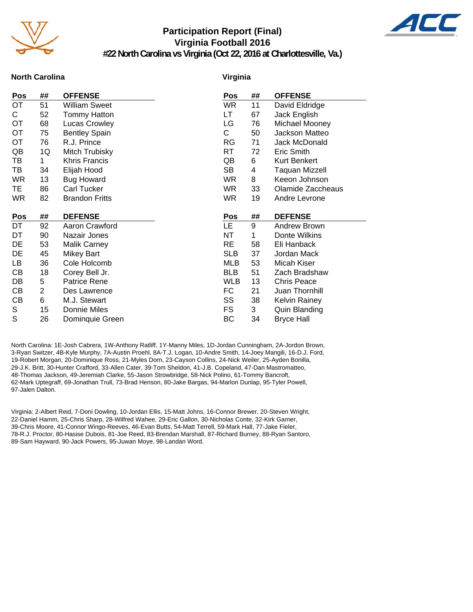

## **Participation Report (Final) Virginia Football 2016**

**#22 North Carolina vs Virginia (Oct 22, 2016 at Charlottesville, Va.)**



## **North Carolina**

### **Virginia**

| Pos       | ##             | <b>OFFENSE</b>        | Pos        | ## | <b>OFFENSE</b>       |
|-----------|----------------|-----------------------|------------|----|----------------------|
| OT        | 51             | William Sweet         | WR.        | 11 | David Eldridge       |
| C.        | 52             | <b>Tommy Hatton</b>   | LT.        | 67 | Jack English         |
| OT        | 68             | Lucas Crowley         | LG         | 76 | Michael Mooney       |
| ОT        | 75             | <b>Bentley Spain</b>  | C          | 50 | Jackson Matteo       |
| <b>OT</b> | 76             | R.J. Prince           | RG         | 71 | Jack McDonald        |
| QB        | 1Q             | Mitch Trubisky        | <b>RT</b>  | 72 | Eric Smith           |
| TB        | 1              | <b>Khris Francis</b>  | QB         | 6  | Kurt Benkert         |
| TB        | 34             | Elijah Hood           | SB         | 4  | Taquan Mizzell       |
| <b>WR</b> | 13             | <b>Bug Howard</b>     | <b>WR</b>  | 8  | Keeon Johnson        |
| TE.       | 86             | <b>Carl Tucker</b>    | <b>WR</b>  | 33 | Olamide Zaccheaus    |
| <b>WR</b> | 82             | <b>Brandon Fritts</b> | <b>WR</b>  | 19 | Andre Levrone        |
|           |                |                       |            |    |                      |
|           |                |                       |            |    |                      |
| Pos       | ##             | <b>DEFENSE</b>        | Pos        | ## | <b>DEFENSE</b>       |
| DT        | 92             | Aaron Crawford        | LE.        | 9  | Andrew Brown         |
| DT        | 90             | Nazair Jones          | NT         | 1  | Donte Wilkins        |
| DE        | 53             | <b>Malik Carney</b>   | <b>RE</b>  | 58 | Eli Hanback          |
| DE        | 45             | <b>Mikey Bart</b>     | <b>SLB</b> | 37 | Jordan Mack          |
| LB        | 36             | Cole Holcomb          | <b>MLB</b> | 53 | Micah Kiser          |
| CВ        | 18             | Corey Bell Jr.        | <b>BLB</b> | 51 | Zach Bradshaw        |
| DB        | 5              | Patrice Rene          | <b>WLB</b> | 13 | <b>Chris Peace</b>   |
| СB        | $\overline{2}$ | Des Lawrence          | FC         | 21 | Juan Thornhill       |
| СB        | 6              | M.J. Stewart          | SS         | 38 | <b>Kelvin Rainey</b> |
| S         | 15             | Donnie Miles          | FS.        | 3  | Quin Blanding        |
| S         | 26             | Dominquie Green       | ВC         | 34 | <b>Bryce Hall</b>    |

North Carolina: 1E-Josh Cabrera, 1W-Anthony Ratliff, 1Y-Manny Miles, 1D-Jordan Cunningham, 2A-Jordon Brown, 3-Ryan Switzer, 4B-Kyle Murphy, 7A-Austin Proehl, 8A-T.J. Logan, 10-Andre Smith, 14-Joey Mangili, 16-D.J. Ford, 19-Robert Morgan, 20-Dominique Ross, 21-Myles Dorn, 23-Cayson Collins, 24-Nick Weiler, 25-Ayden Bonilla, 29-J.K. Britt, 30-Hunter Crafford, 33-Allen Cater, 39-Tom Sheldon, 41-J.B. Copeland, 47-Dan Mastromatteo, 48-Thomas Jackson, 49-Jeremiah Clarke, 55-Jason Strowbridge, 58-Nick Polino, 61-Tommy Bancroft, 62-Mark Uptegraff, 69-Jonathan Trull, 73-Brad Henson, 80-Jake Bargas, 94-Marlon Dunlap, 95-Tyler Powell, 97-Jalen Dalton.

Virginia: 2-Albert Reid, 7-Doni Dowling, 10-Jordan Ellis, 15-Matt Johns, 16-Connor Brewer, 20-Steven Wright, 22-Daniel Hamm, 25-Chris Sharp, 28-Wilfred Wahee, 29-Eric Gallon, 30-Nicholas Conte, 32-Kirk Garner, 39-Chris Moore, 41-Connor Wingo-Reeves, 46-Evan Butts, 54-Matt Terrell, 59-Mark Hall, 77-Jake Fieler, 78-R.J. Proctor, 80-Hasise Dubois, 81-Joe Reed, 83-Brendan Marshall, 87-Richard Burney, 88-Ryan Santoro, 89-Sam Hayward, 90-Jack Powers, 95-Juwan Moye, 98-Landan Word.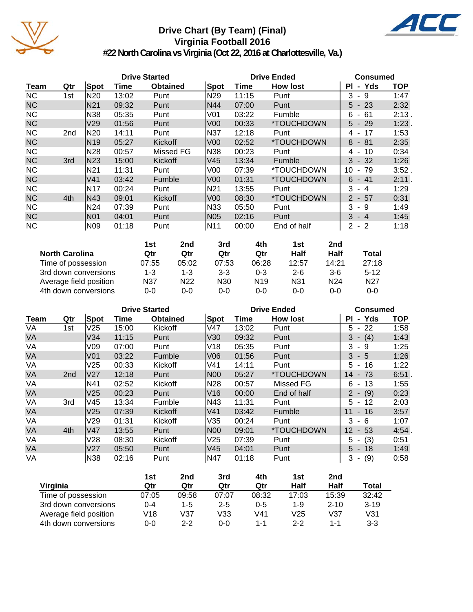

## **Drive Chart (By Team) (Final) Virginia Football 2016**



**#22 North Carolina vs Virginia (Oct 22, 2016 at Charlottesville, Va.)**

|             | <b>Drive Started</b> |                 |       |                 |                 | <b>Drive Ended</b> | <b>Consumed</b>          |                  |            |
|-------------|----------------------|-----------------|-------|-----------------|-----------------|--------------------|--------------------------|------------------|------------|
| <b>Team</b> | Qtr                  | Spot            | Time  | <b>Obtained</b> | Spot            | Time               | <b>How lost</b>          | - Yds<br>ΡI      | <b>TOP</b> |
| <b>NC</b>   | 1st                  | N20             | 13:02 | Punt            | N29             | 11:15              | Punt                     | 3<br>9<br>$\sim$ | 1:47       |
| <b>NC</b>   |                      | N <sub>21</sub> | 09:32 | Punt            | N44             | 07:00              | Punt                     | $5 - 23$         | 2:32       |
| <b>NC</b>   |                      | N38             | 05:35 | Punt            | V01             | 03:22              | Fumble                   | - 61<br>6        | $2:13$ .   |
| <b>NC</b>   |                      | V <sub>29</sub> | 01:56 | Punt            | V <sub>00</sub> | 00:33              | *TOUCHDOWN               | $5 - 29$         | 1:23       |
| <b>NC</b>   | 2 <sub>nd</sub>      | N20             | 14:11 | Punt            | N37             | 12:18              | Punt                     | 4 - 17           | 1:53       |
| <b>NC</b>   |                      | N <sub>19</sub> | 05:27 | Kickoff         | V <sub>00</sub> | 02:52              | *TOUCHDOWN               | $8 - 81$         | 2:35       |
| <b>NC</b>   |                      | N28             | 00:57 | Missed FG       | N38             | 00:23              | Punt                     | 10<br>4 -        | 0:34       |
| <b>NC</b>   | 3rd                  | N23             | 15:00 | Kickoff         | lV45            | 13:34              | Fumble                   | $3 - 32$         | 1:26       |
| <b>NC</b>   |                      | N21             | 11:31 | Punt            | V <sub>00</sub> | 07:39              | *TOUCHDOWN               | 10<br>$-79$      | 3:52.      |
| <b>NC</b>   |                      | V41             | 03:42 | Fumble          | IV00            | 01:31              | <i><b>*TOUCHDOWN</b></i> | $6 - 41$         | 2:11.      |
| <b>NC</b>   |                      | <b>N17</b>      | 00:24 | Punt            | IN21            | 13:55              | Punt                     | 3<br>- 4         | 1:29       |
| <b>NC</b>   | 4th                  | N43             | 09:01 | Kickoff         | lV00            | 08:30              | *TOUCHDOWN               | $2 - 57$         | 0:31       |
| <b>NC</b>   |                      | N24             | 07:39 | Punt            | N33             | 05:50              | Punt                     | 3<br>- 9         | 1:49       |
| <b>NC</b>   |                      | N <sub>01</sub> | 04:01 | Punt            | <b>N05</b>      | 02:16              | Punt                     | $3 - 4$          | 1:45       |
| <b>NC</b>   |                      | N09             | 01:18 | Punt            | IN11            | 00:00              | End of half              | $2 - 2$          | 1:18       |

|                        | 1st   | 2nd             | 3rd             | 4th             | 1st             | 2 <sub>nd</sub> |                 |
|------------------------|-------|-----------------|-----------------|-----------------|-----------------|-----------------|-----------------|
| <b>North Carolina</b>  | Qtr   | Qtr             | Qtr             | Qtr             | Half            | Half            | <b>Total</b>    |
| Time of possession     | 07:55 | 05:02           | 07:53           | 06:28           | 12:57           | 14:21           | 27:18           |
| 3rd down conversions   | 1-3   | 1-3             | $3-3$           | $0 - 3$         | $2 - 6$         | $3-6$           | $5 - 12$        |
| Average field position | N37   | N <sub>22</sub> | N <sub>30</sub> | N <sub>19</sub> | N <sub>31</sub> | N <sub>24</sub> | N <sub>27</sub> |
| 4th down conversions   | 0-0   | 0-0             | 0-0             | 0-0             | 0-0             | $0 - 0$         | $0 - 0$         |

|           | <b>Drive Started</b> |                 |       |                 |                 | <b>Drive Ended</b> | <b>Consumed</b>          |             |            |
|-----------|----------------------|-----------------|-------|-----------------|-----------------|--------------------|--------------------------|-------------|------------|
| Team      | Qtr                  | <b>Spot</b>     | Time  | <b>Obtained</b> | Spot            | Time               | <b>How lost</b>          | - Yds<br>PI | <b>TOP</b> |
| VA        | 1st                  | V25             | 15:00 | Kickoff         | V47             | 13:02              | Punt                     | $5 - 22$    | 1:58       |
| <b>VA</b> |                      | V34             | 11:15 | Punt            | V30             | 09:32              | Punt                     | $3 - (4)$   | 1:43       |
| VA        |                      | V09             | 07:00 | Punt            | V18             | 05:35              | Punt                     | 3<br>-9     | 1:25       |
| VA        |                      | V <sub>01</sub> | 03:22 | Fumble          | V06             | 01:56              | Punt                     | $3 - 5$     | 1:26       |
| VA        |                      | V25             | 00:33 | Kickoff         | V41             | 14:11              | Punt                     | $5 - 16$    | 1:22       |
| VA        | 2 <sub>nd</sub>      | V27             | 12:18 | Punt            | N00             | 05:27              | <i><b>*TOUCHDOWN</b></i> | 14 - 73     | $6:51$ .   |
| VA        |                      | N41             | 02:52 | Kickoff         | N <sub>28</sub> | 00:57              | <b>Missed FG</b>         | 6.<br>- 13  | 1:55       |
| <b>VA</b> |                      | V <sub>25</sub> | 00:23 | Punt            | V16             | 00:00              | End of half              | $2 - (9)$   | 0:23       |
| VA        | 3rd                  | V45             | 13:34 | Fumble          | N43             | 11:31              | Punt                     | $5 - 12$    | 2:03       |
| VA        |                      | V25             | 07:39 | Kickoff         | V41             | 03:42              | Fumble                   | $11 - 16$   | 3:57       |
| VA        |                      | V29             | 01:31 | Kickoff         | V35             | 00:24              | Punt                     | 3<br>- 6    | 1:07       |
| <b>VA</b> | 4th                  | V47             | 13:55 | Punt            | N00             | 09:01              | *TOUCHDOWN               | 12<br>$-53$ | 4:54       |
| VA        |                      | V28             | 08:30 | Kickoff         | V25             | 07:39              | Punt                     | $5 - (3)$   | 0:51       |
| <b>VA</b> |                      | V27             | 05:50 | Punt            | V <sub>45</sub> | 04:01              | Punt                     | $5 - 18$    | 1:49       |
| VA        |                      | N38             | 02:16 | Punt            | N47             | 01:18              | Punt                     | (9)<br>3 -  | 0:58       |

|                        | 1st     | 2nd     | 3rd     | 4th     | 1st     | 2nd      |          |
|------------------------|---------|---------|---------|---------|---------|----------|----------|
| Virginia               | Qtr     | Qtr     | Qtr     | Qtr     | Half    | Half     | Total    |
| Time of possession     | 07:05   | 09:58   | 07:07   | 08:32   | 17:03   | 15:39    | 32:42    |
| 3rd down conversions   | በ-4     | $1 - 5$ | $2 - 5$ | $0 - 5$ | 1-9     | $2 - 10$ | $3 - 19$ |
| Average field position | V18     | V37     | V33     | V41     | V25     | V37      | V31      |
| 4th down conversions   | $0 - 0$ | $2 - 2$ | $0 - 0$ | $1 - 1$ | $2 - 2$ | 1-1      | $3-3$    |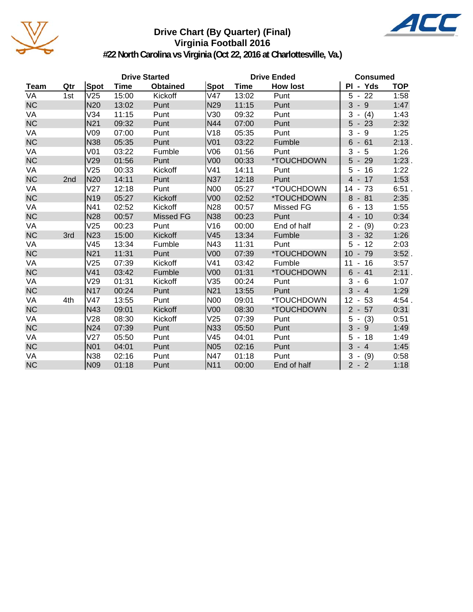

## **Drive Chart (By Quarter) (Final) Virginia Football 2016**



**#22 North Carolina vs Virginia (Oct 22, 2016 at Charlottesville, Va.)**

|             | <b>Drive Started</b> |                 |             |                  |                 |             | <b>Drive Ended</b>       | <b>Consumed</b>                      |            |
|-------------|----------------------|-----------------|-------------|------------------|-----------------|-------------|--------------------------|--------------------------------------|------------|
| <b>Team</b> | Qtr                  | Spot            | <b>Time</b> | <b>Obtained</b>  | Spot            | <b>Time</b> | <b>How lost</b>          | PI - Yds                             | <b>TOP</b> |
| VA          | 1st                  | V25             | 15:00       | Kickoff          | V47             | 13:02       | Punt                     | $5 - 22$                             | 1:58       |
| <b>NC</b>   |                      | <b>N20</b>      | 13:02       | Punt             | N <sub>29</sub> | 11:15       | Punt                     | $3 - 9$                              | 1:47       |
| VA          |                      | V34             | 11:15       | Punt             | V30             | 09:32       | Punt                     | 3<br>(4)<br>$\blacksquare$           | 1:43       |
| <b>NC</b>   |                      | N <sub>21</sub> | 09:32       | Punt             | N44             | 07:00       | Punt                     | $5 - 23$                             | 2:32       |
| VA          |                      | V09             | 07:00       | Punt             | V18             | 05:35       | Punt                     | 3<br>$-9$                            | 1:25       |
| NC          |                      | <b>N38</b>      | 05:35       | Punt             | V <sub>01</sub> | 03:22       | Fumble                   | $6 - 61$                             | 2:13.      |
| VA          |                      | V <sub>01</sub> | 03:22       | Fumble           | V06             | 01:56       | Punt                     | $3 - 5$                              | 1:26       |
| NC          |                      | V29             | 01:56       | Punt             | V <sub>00</sub> | 00:33       | *TOUCHDOWN               | $5 - 29$                             | $1:23$ .   |
| VA          |                      | V25             | 00:33       | Kickoff          | V41             | 14:11       | Punt                     | $5 - 16$                             | 1:22       |
| NC          | 2nd                  | <b>N20</b>      | 14:11       | Punt             | N37             | 12:18       | Punt                     | $4 - 17$                             | 1:53       |
| VA          |                      | V27             | 12:18       | Punt             | <b>N00</b>      | 05:27       | <i><b>*TOUCHDOWN</b></i> | $-73$<br>14                          | $6:51$ .   |
| <b>NC</b>   |                      | N <sub>19</sub> | 05:27       | Kickoff          | V <sub>00</sub> | 02:52       | *TOUCHDOWN               | 8<br>$-81$                           | 2:35       |
| VA          |                      | N41             | 02:52       | Kickoff          | N <sub>28</sub> | 00:57       | Missed FG                | $6 - 13$                             | 1:55       |
| NC          |                      | <b>N28</b>      | 00:57       | <b>Missed FG</b> | <b>N38</b>      | 00:23       | Punt                     | $4 - 10$                             | 0:34       |
| VA          |                      | V25             | 00:23       | Punt             | V16             | 00:00       | End of half              | $2 -$<br>(9)                         | 0:23       |
| NC          | 3rd                  | <b>N23</b>      | 15:00       | Kickoff          | V45             | 13:34       | Fumble                   | $3 - 32$                             | 1:26       |
| VA          |                      | V45             | 13:34       | Fumble           | N43             | 11:31       | Punt                     | 5<br>$-12$                           | 2:03       |
| <b>NC</b>   |                      | N <sub>21</sub> | 11:31       | Punt             | V <sub>00</sub> | 07:39       | *TOUCHDOWN               | $-79$<br>10                          | $3:52$ .   |
| VA          |                      | V25             | 07:39       | Kickoff          | V41             | 03:42       | Fumble                   | $-16$<br>11                          | 3:57       |
| <b>NC</b>   |                      | V <sub>41</sub> | 03:42       | Fumble           | V <sub>00</sub> | 01:31       | *TOUCHDOWN               | 6<br>$-41$                           | 2:11.      |
| VA          |                      | V29             | 01:31       | Kickoff          | V35             | 00:24       | Punt                     | 3<br>- 6                             | 1:07       |
| NC          |                      | <b>N17</b>      | 00:24       | Punt             | N21             | 13:55       | Punt                     | 3<br>$-4$                            | 1:29       |
| VA          | 4th                  | V47             | 13:55       | Punt             | <b>N00</b>      | 09:01       | *TOUCHDOWN               | 53<br>12<br>$\overline{\phantom{a}}$ | 4:54.      |
| <b>NC</b>   |                      | N43             | 09:01       | Kickoff          | V <sub>00</sub> | 08:30       | *TOUCHDOWN               | $2 - 57$                             | 0:31       |
| VA          |                      | V28             | 08:30       | Kickoff          | V25             | 07:39       | Punt                     | (3)<br>$5 -$                         | 0:51       |
| <b>NC</b>   |                      | <b>N24</b>      | 07:39       | Punt             | N33             | 05:50       | Punt                     | 3<br>-9<br>$\blacksquare$            | 1:49       |
| VA          |                      | V27             | 05:50       | Punt             | V45             | 04:01       | Punt                     | 5<br>$-18$                           | 1:49       |
| NC          |                      | <b>N01</b>      | 04:01       | Punt             | <b>N05</b>      | 02:16       | Punt                     | $3 - 4$                              | 1:45       |
| VA          |                      | <b>N38</b>      | 02:16       | Punt             | N47             | 01:18       | Punt                     | (9)<br>3<br>$\blacksquare$           | 0:58       |
| <b>NC</b>   |                      | N <sub>09</sub> | 01:18       | Punt             | N <sub>11</sub> | 00:00       | End of half              | $2 - 2$                              | 1:18       |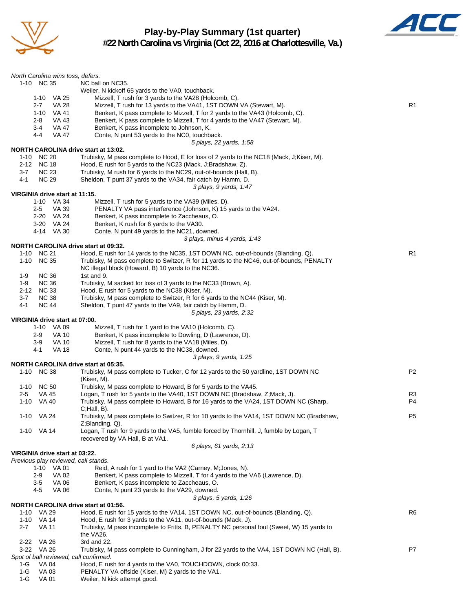

## **Play-by-Play Summary (1st quarter) #22 North Carolina vs Virginia (Oct 22, 2016 at Charlottesville, Va.)**



| North Carolina wins toss, defers.            |                                                                                                                                                                              |                |
|----------------------------------------------|------------------------------------------------------------------------------------------------------------------------------------------------------------------------------|----------------|
| 1-10 NC 35                                   | NC ball on NC35.                                                                                                                                                             |                |
|                                              | Weiler, N kickoff 65 yards to the VA0, touchback.<br>Mizzell, T rush for 3 yards to the VA28 (Holcomb, C).                                                                   |                |
| 1-10 VA 25<br>VA 28<br>2-7                   | Mizzell, T rush for 13 yards to the VA41, 1ST DOWN VA (Stewart, M).                                                                                                          | R <sub>1</sub> |
| 1-10 VA 41                                   | Benkert, K pass complete to Mizzell, T for 2 yards to the VA43 (Holcomb, C).                                                                                                 |                |
| 2-8<br>VA 43                                 | Benkert, K pass complete to Mizzell, T for 4 yards to the VA47 (Stewart, M).                                                                                                 |                |
| VA 47<br>3-4                                 | Benkert, K pass incomplete to Johnson, K.                                                                                                                                    |                |
| VA 47<br>4-4                                 | Conte, N punt 53 yards to the NC0, touchback.                                                                                                                                |                |
| <b>NORTH CAROLINA drive start at 13:02.</b>  | 5 plays, 22 yards, 1:58                                                                                                                                                      |                |
| 1-10 NC 20                                   | Trubisky, M pass complete to Hood, E for loss of 2 yards to the NC18 (Mack, J;Kiser, M).                                                                                     |                |
| 2-12 NC 18                                   | Hood, E rush for 5 yards to the NC23 (Mack, J;Bradshaw, Z).                                                                                                                  |                |
| <b>NC 23</b><br>$3 - 7$                      | Trubisky, M rush for 6 yards to the NC29, out-of-bounds (Hall, B).                                                                                                           |                |
| <b>NC 29</b><br>4-1                          | Sheldon, T punt 37 yards to the VA34, fair catch by Hamm, D.                                                                                                                 |                |
|                                              | 3 plays, 9 yards, 1:47                                                                                                                                                       |                |
| VIRGINIA drive start at 11:15.<br>1-10 VA 34 | Mizzell, T rush for 5 yards to the VA39 (Miles, D).                                                                                                                          |                |
| $2 - 5$<br>VA 39                             | PENALTY VA pass interference (Johnson, K) 15 yards to the VA24.                                                                                                              |                |
| 2-20 VA 24                                   | Benkert, K pass incomplete to Zaccheaus, O.                                                                                                                                  |                |
| 3-20 VA 24                                   | Benkert, K rush for 6 yards to the VA30.                                                                                                                                     |                |
| 4-14 VA 30                                   | Conte, N punt 49 yards to the NC21, downed.                                                                                                                                  |                |
|                                              | 3 plays, minus 4 yards, 1:43                                                                                                                                                 |                |
| <b>NORTH CAROLINA drive start at 09:32.</b>  |                                                                                                                                                                              |                |
| 1-10 NC 21<br>$1 - 10$<br><b>NC 35</b>       | Hood, E rush for 14 yards to the NC35, 1ST DOWN NC, out-of-bounds (Blanding, Q).<br>Trubisky, M pass complete to Switzer, R for 11 yards to the NC46, out-of-bounds, PENALTY | R1             |
|                                              | NC illegal block (Howard, B) 10 yards to the NC36.                                                                                                                           |                |
| 1-9<br><b>NC 36</b>                          | 1st and 9.                                                                                                                                                                   |                |
| <b>NC 36</b><br>1-9                          | Trubisky, M sacked for loss of 3 yards to the NC33 (Brown, A).                                                                                                               |                |
| <b>NC 33</b><br>$2 - 12$                     | Hood, E rush for 5 yards to the NC38 (Kiser, M).                                                                                                                             |                |
| $3 - 7$<br><b>NC 38</b>                      | Trubisky, M pass complete to Switzer, R for 6 yards to the NC44 (Kiser, M).                                                                                                  |                |
| 4-1<br><b>NC 44</b>                          | Sheldon, T punt 47 yards to the VA9, fair catch by Hamm, D.                                                                                                                  |                |
| VIRGINIA drive start at 07:00.               | 5 plays, 23 yards, 2:32                                                                                                                                                      |                |
| 1-10 VA 09                                   | Mizzell, T rush for 1 yard to the VA10 (Holcomb, C).                                                                                                                         |                |
| <b>VA 10</b><br>2-9                          | Benkert, K pass incomplete to Dowling, D (Lawrence, D).                                                                                                                      |                |
| <b>VA 10</b><br>3-9                          | Mizzell, T rush for 8 yards to the VA18 (Miles, D).                                                                                                                          |                |
| 4-1<br><b>VA 18</b>                          | Conte, N punt 44 yards to the NC38, downed.                                                                                                                                  |                |
|                                              | 3 plays, 9 yards, 1:25                                                                                                                                                       |                |
| NORTH CAROLINA drive start at 05:35.         | Trubisky, M pass complete to Tucker, C for 12 yards to the 50 yardline, 1ST DOWN NC                                                                                          | P <sub>2</sub> |
| 1-10 NC 38                                   | (Kiser, M).                                                                                                                                                                  |                |
| <b>NC 50</b><br>1-10                         | Trubisky, M pass complete to Howard, B for 5 yards to the VA45.                                                                                                              |                |
| $2 - 5$<br>VA 45                             | Logan, T rush for 5 yards to the VA40, 1ST DOWN NC (Bradshaw, Z; Mack, J).                                                                                                   | R3             |
| 1-10 VA 40                                   | Trubisky, M pass complete to Howard, B for 16 yards to the VA24, 1ST DOWN NC (Sharp,                                                                                         | P <sub>4</sub> |
|                                              | $C;$ Hall, $B$ ).                                                                                                                                                            |                |
| 1-10 VA 24                                   | Trubisky, M pass complete to Switzer, R for 10 yards to the VA14, 1ST DOWN NC (Bradshaw,                                                                                     | P5             |
| 1-10 VA 14                                   | Z;Blanding, Q).<br>Logan, T rush for 9 yards to the VA5, fumble forced by Thornhill, J, fumble by Logan, T                                                                   |                |
|                                              | recovered by VA Hall, B at VA1.                                                                                                                                              |                |
|                                              | 6 plays, 61 yards, 2:13                                                                                                                                                      |                |
| VIRGINIA drive start at 03:22.               |                                                                                                                                                                              |                |
| Previous play reviewed, call stands.         |                                                                                                                                                                              |                |
| 1-10 VA 01<br><b>VA 02</b>                   | Reid, A rush for 1 yard to the VA2 (Carney, M; Jones, N).                                                                                                                    |                |
| 2-9<br>VA 06<br>3-5                          | Benkert, K pass complete to Mizzell, T for 4 yards to the VA6 (Lawrence, D).<br>Benkert, K pass incomplete to Zaccheaus, O.                                                  |                |
| VA 06<br>4-5                                 | Conte, N punt 23 yards to the VA29, downed.                                                                                                                                  |                |
|                                              | 3 plays, 5 yards, 1:26                                                                                                                                                       |                |
| <b>NORTH CAROLINA drive start at 01:56.</b>  |                                                                                                                                                                              |                |
| 1-10 VA 29                                   | Hood, E rush for 15 yards to the VA14, 1ST DOWN NC, out-of-bounds (Blanding, Q).                                                                                             | R6             |
| 1-10 VA 14<br>$2 - 7$                        | Hood, E rush for 3 yards to the VA11, out-of-bounds (Mack, J).<br>Trubisky, M pass incomplete to Fritts, B, PENALTY NC personal foul (Sweet, W) 15 yards to                  |                |
| VA 11                                        | the VA26.                                                                                                                                                                    |                |
| 2-22 VA 26                                   | 3rd and 22.                                                                                                                                                                  |                |
| 3-22 VA 26                                   | Trubisky, M pass complete to Cunningham, J for 22 yards to the VA4, 1ST DOWN NC (Hall, B).                                                                                   | P7             |
| Spot of ball reviewed, call confirmed.       |                                                                                                                                                                              |                |
| 1-G<br>VA 04                                 | Hood, E rush for 4 yards to the VA0, TOUCHDOWN, clock 00:33.                                                                                                                 |                |
| $1-G$<br>VA 03                               | PENALTY VA offside (Kiser, M) 2 yards to the VA1.                                                                                                                            |                |
| $1-G$<br>VA 01                               | Weiler, N kick attempt good.                                                                                                                                                 |                |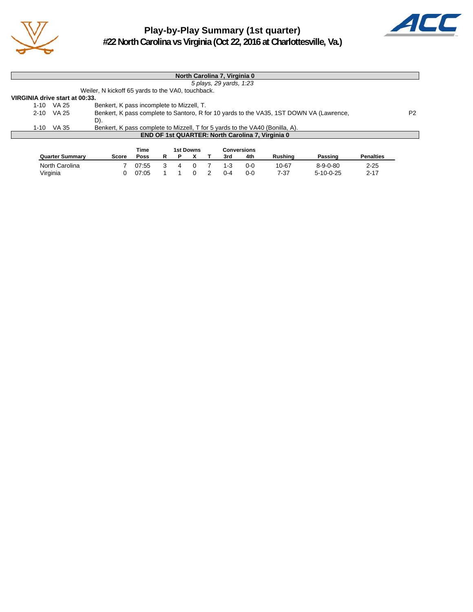

## **Play-by-Play Summary (1st quarter) #22 North Carolina vs Virginia (Oct 22, 2016 at Charlottesville, Va.)**



|                                | North Carolina 7, Virginia 0 |                                                                                         |                |  |  |  |  |  |  |
|--------------------------------|------------------------------|-----------------------------------------------------------------------------------------|----------------|--|--|--|--|--|--|
|                                | 5 plays, 29 yards, 1:23      |                                                                                         |                |  |  |  |  |  |  |
|                                |                              | Weiler, N kickoff 65 yards to the VA0, touchback.                                       |                |  |  |  |  |  |  |
| VIRGINIA drive start at 00:33. |                              |                                                                                         |                |  |  |  |  |  |  |
|                                | 1-10 VA 25                   | Benkert, K pass incomplete to Mizzell, T.                                               |                |  |  |  |  |  |  |
|                                | 2-10 VA 25                   | Benkert, K pass complete to Santoro, R for 10 yards to the VA35, 1ST DOWN VA (Lawrence, | P <sub>2</sub> |  |  |  |  |  |  |
|                                |                              | D).                                                                                     |                |  |  |  |  |  |  |
| $1 - 10$                       | VA 35                        | Benkert, K pass complete to Mizzell, T for 5 yards to the VA40 (Bonilla, A).            |                |  |  |  |  |  |  |
|                                |                              | <b>END OF 1st QUARTER: North Carolina 7, Virginia 0</b>                                 |                |  |  |  |  |  |  |
|                                |                              |                                                                                         |                |  |  |  |  |  |  |
|                                |                              | <b>Time</b><br>$10$ Dougna<br>Canvaraiana                                               |                |  |  |  |  |  |  |

|                        |       | Time  |  | 1st Downs |         | Conversions |         |                  |                  |
|------------------------|-------|-------|--|-----------|---------|-------------|---------|------------------|------------------|
| <b>Quarter Summary</b> | Score | Poss  |  |           | 3rd     | 4th         | Rushina | Passing          | <b>Penalties</b> |
| North Carolina         |       | 07:55 |  |           | $1 - 3$ | በ-ር         | 10-67   | $8 - 9 - 0 - 80$ | $2 - 25$         |
| Virginia               |       | 07:05 |  |           | 0-4     | 0-0         | 7-37    | $5-10-0-25$      | $2 - 17$         |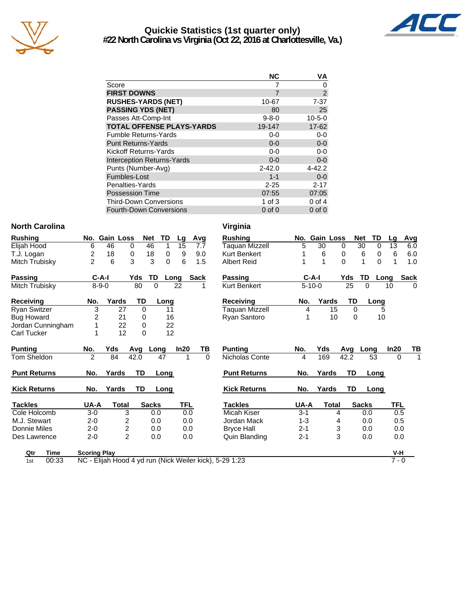

## **Quickie Statistics (1st quarter only) #22 North Carolina vs Virginia (Oct 22, 2016 at Charlottesville, Va.)**



| <b>NC</b>   | VA             |
|-------------|----------------|
|             | 0              |
| 7           | $\overline{2}$ |
| 10-67       | $7 - 37$       |
| 80          | 25             |
| $9 - 8 - 0$ | $10 - 5 - 0$   |
| 19-147      | 17-62          |
| $0-0$       | $0-0$          |
| $0 - 0$     | $0-0$          |
| $0-0$       | $0-0$          |
| $0 - 0$     | $0 - 0$        |
| $2 - 42.0$  | $4 - 42.2$     |
| $1 - 1$     | $0 - 0$        |
| $2 - 25$    | $2 - 17$       |
| 07:55       | 07:05          |
| 1 of $3$    | $0$ of $4$     |
| $0$ of $0$  | $0$ of $0$     |
|             |                |

### **North Carolina** Virginia

| <b>Rushing</b>      | No.            | <b>Gain Loss</b> |                     | <b>Net</b> |              | TD       | Lg   | Avg      | <b>Rushing</b>      | No.     |              | <b>Gain Loss</b> |          | <b>Net</b>   | TD             |
|---------------------|----------------|------------------|---------------------|------------|--------------|----------|------|----------|---------------------|---------|--------------|------------------|----------|--------------|----------------|
| Elijah Hood         | 6              | 46               | $\Omega$            |            | 46           | 1        | 15   | 7.7      | Taquan Mizzell      | 5       | 30           | $\Omega$         |          | 30           | $\mathbf 0$    |
| T.J. Logan          | 2              | 18               | 0                   |            | 18           | 0        | 9    | 9.0      | <b>Kurt Benkert</b> |         | 6            | 0                |          | 6            | 0              |
| Mitch Trubisky      | $\overline{c}$ | 6                | 3                   |            | 3            | $\Omega$ | 6    | 1.5      | <b>Albert Reid</b>  |         | 1            | 0                |          | 1            | $\Omega$       |
| <b>Passing</b>      |                | $C-A-I$          |                     | Yds        | TD           | Long     |      | Sack     | Passing             |         | C-A-I        |                  | Yds      | TD           | Lo             |
| Mitch Trubisky      |                | $8 - 9 - 0$      |                     | 80         | $\Omega$     |          | 22   |          | <b>Kurt Benkert</b> |         | $5 - 10 - 0$ |                  | 25       | $\Omega$     |                |
| <b>Receiving</b>    | No.            |                  | Yards               | TD         |              | Long     |      |          | Receiving           | No.     |              | Yards            | TD       |              | Lonc           |
| <b>Ryan Switzer</b> | 3              |                  | 27                  | $\Omega$   |              | 11       |      |          | Taquan Mizzell      |         | 4            | 15               | $\Omega$ |              |                |
| <b>Bug Howard</b>   | 2              |                  | 21                  | 0          |              | 16       |      |          | Ryan Santoro        |         | 1            | 10               | 0        |              | 1 <sup>1</sup> |
| Jordan Cunningham   |                |                  | 22                  | $\Omega$   |              | 22       |      |          |                     |         |              |                  |          |              |                |
| <b>Carl Tucker</b>  |                |                  | 12                  | 0          |              | 12       |      |          |                     |         |              |                  |          |              |                |
|                     |                |                  |                     |            |              |          |      |          |                     |         |              |                  |          |              |                |
| <b>Punting</b>      | No.            | Yds              |                     | Avg        | Long         |          | ln20 | TВ       | <b>Punting</b>      | No.     | Yds          |                  | Avg      | Long         |                |
| Tom Sheldon         | 2              | 84               |                     | 42.0       |              | 47       | 1    | $\Omega$ | Nicholas Conte      | 4       | 169          |                  | 42.2     |              | 53             |
| <b>Punt Returns</b> | No.            |                  | Yards               | <b>TD</b>  |              | Long     |      |          | <b>Punt Returns</b> | No.     |              | Yards            | TD       |              | Long           |
| <b>Kick Returns</b> | No.            |                  | Yards               | TD         |              | Long     |      |          | <b>Kick Returns</b> | No.     |              | Yards            | TD       |              | Long           |
| <b>Tackles</b>      | UA-A           |                  | <b>Total</b>        |            | <b>Sacks</b> |          | TFL  |          | <b>Tackles</b>      | UA-A    |              | <b>Total</b>     |          | <b>Sacks</b> |                |
| Cole Holcomb        | $3-0$          |                  | 3                   |            | 0.0          |          | 0.0  |          | Micah Kiser         | $3 - 1$ |              | 4                |          | 0.0          |                |
| M.J. Stewart        | $2 - 0$        |                  | 2                   |            | 0.0          |          | 0.0  |          | Jordan Mack         | $1 - 3$ |              | 4                |          | 0.0          |                |
| Donnie Miles        | $2 - 0$        |                  | 2<br>$\overline{2}$ |            | 0.0          |          | 0.0  |          | <b>Bryce Hall</b>   | $2 - 1$ |              | 3<br>3           |          | 0.0          |                |

| hing           |                     | No. Gain Loss |                | <b>Net</b>   | <b>TD</b><br>Lg  |             | Avg      | <b>Rushing</b>        |         | No. Gain Loss |              | <b>Net</b>   | TD         | Lq       | <u>Avg</u>  |
|----------------|---------------------|---------------|----------------|--------------|------------------|-------------|----------|-----------------------|---------|---------------|--------------|--------------|------------|----------|-------------|
| h Hood         | 6                   | 46            | 0              | 46           | 15<br>1          |             | 7.7      | <b>Taquan Mizzell</b> | 5       | 30            | 0            | 30           | 0          | 13       | 6.0         |
| Logan          | 2                   | 18            | 0              | 18           | 9<br>$\mathbf 0$ |             | 9.0      | <b>Kurt Benkert</b>   | 1       | 6             | 0            | 6            | 0          | 6        | 6.0         |
| າ Trubisky     | $\overline{2}$      | 6             | 3              | 3            | $\Omega$<br>6    |             | 1.5      | <b>Albert Reid</b>    | 1       | 1             | $\Omega$     | 1            | $\Omega$   | 1        | 1.0         |
| sing           | $C-A-I$             |               | Yds            | TD           | Long             | <b>Sack</b> |          | Passing               |         | $C-A-I$       |              | Yds          | TD<br>Long |          | <b>Sack</b> |
| Trubisky       | $8 - 9 - 0$         |               | 80             | $\Omega$     | 22               |             |          | Kurt Benkert          |         | $5 - 10 - 0$  |              | 25           | $\Omega$   | 10       | $\mathbf 0$ |
| eiving         | No.                 | Yards         | TD             | Long         |                  |             |          | Receiving             | No.     |               | Yards        | TD           | Long       |          |             |
| Switzer        | 3                   | 27            | $\Omega$       |              | 11               |             |          | Taquan Mizzell        | 4       |               | 15           | $\Omega$     | 5          |          |             |
| Howard         | 2                   | 21            | 0              |              | 16               |             |          | Ryan Santoro          |         |               | 10           | $\mathbf 0$  | 10         |          |             |
| an Cunningham  |                     | 22            | 0              |              | 22               |             |          |                       |         |               |              |              |            |          |             |
| Tucker         |                     | 12            | 0              |              | 12               |             |          |                       |         |               |              |              |            |          |             |
| ing            | No.                 | Yds           | Avg            | Long         | In20             |             | TB       | <b>Punting</b>        | No.     | Yds           |              | Avg          | Long       | In20     | TB          |
| Sheldon        | 2                   | 84            | 42.0           | 47           |                  | 1           | $\Omega$ | Nicholas Conte        | 4       | 169           |              | 42.2         | 53         | $\Omega$ | 1           |
| : Returns      | No.                 | Yards         | TD             | Long         |                  |             |          | <b>Punt Returns</b>   | No.     | Yards         |              | TD           | Long       |          |             |
| <b>Returns</b> | No.                 | Yards         | TD             | Long         |                  |             |          | <b>Kick Returns</b>   | No.     | Yards         |              | TD           | Long       |          |             |
| des.           | UA-A                | Total         |                | <b>Sacks</b> |                  | TFL         |          | <b>Tackles</b>        | UA-A    |               | <b>Total</b> | <b>Sacks</b> |            | TFL      |             |
| Holcomb        | $3-0$               | 3             |                | 0.0          |                  | 0.0         |          | Micah Kiser           | $3 - 1$ |               | 4            |              | 0.0        | 0.5      |             |
| <b>Stewart</b> | $2 - 0$             |               | 2              | 0.0          |                  | 0.0         |          | Jordan Mack           | $1 - 3$ |               | 4            |              | 0.0        | 0.5      |             |
| าie Miles      | $2 - 0$             |               | $\overline{c}$ | 0.0          |                  | 0.0         |          | <b>Bryce Hall</b>     | $2 - 1$ |               | 3            |              | 0.0        | 0.0      |             |
| Lawrence       | $2 - 0$             |               | $\overline{2}$ | 0.0          |                  | 0.0         |          | Quin Blanding         | $2 - 1$ |               | 3            |              | 0.0        | 0.0      |             |
| Qtr<br>Time    | <b>Scoring Play</b> |               |                |              |                  |             |          |                       |         |               |              |              |            | V-H      |             |
|                |                     |               |                |              |                  |             |          |                       |         |               |              |              |            |          |             |

1st 00:33 NC - Elijah Hood 4 yd run (Nick Weiler kick), 5-29 1:23 7 - 0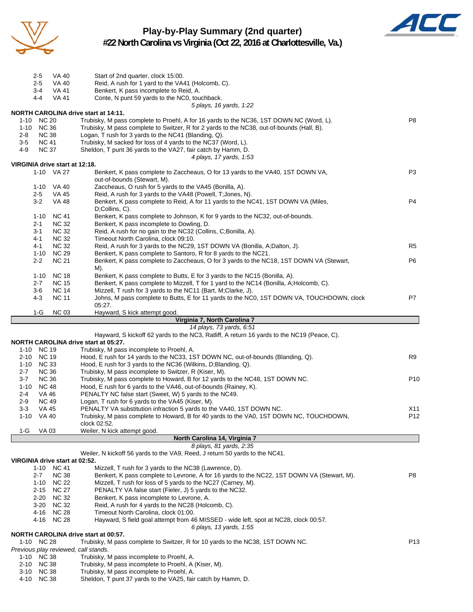

## **Play-by-Play Summary (2nd quarter) #22 North Carolina vs Virginia (Oct 22, 2016 at Charlottesville, Va.)**



| 2-5<br>VA 40<br>$2 - 5$<br><b>VA 40</b>                             | Start of 2nd quarter, clock 15:00.<br>Reid, A rush for 1 yard to the VA41 (Holcomb, C).                                                                    |                 |
|---------------------------------------------------------------------|------------------------------------------------------------------------------------------------------------------------------------------------------------|-----------------|
| $3 - 4$<br><b>VA 41</b>                                             | Benkert, K pass incomplete to Reid, A.                                                                                                                     |                 |
| $4 - 4$<br><b>VA 41</b>                                             | Conte, N punt 59 yards to the NC0, touchback.                                                                                                              |                 |
|                                                                     | 5 plays, 16 yards, 1:22                                                                                                                                    |                 |
| <b>NORTH CAROLINA drive start at 14:11.</b><br><b>NC 20</b><br>1-10 | Trubisky, M pass complete to Proehl, A for 16 yards to the NC36, 1ST DOWN NC (Word, L).                                                                    | P <sub>8</sub>  |
| 1-10 NC 36                                                          | Trubisky, M pass complete to Switzer, R for 2 yards to the NC38, out-of-bounds (Hall, B).                                                                  |                 |
| <b>NC 38</b><br>2-8                                                 | Logan, T rush for 3 yards to the NC41 (Blanding, Q).                                                                                                       |                 |
| $3-5$<br><b>NC 41</b>                                               | Trubisky, M sacked for loss of 4 yards to the NC37 (Word, L).                                                                                              |                 |
| 4-9<br><b>NC 37</b>                                                 | Sheldon, T punt 36 yards to the VA27, fair catch by Hamm, D.                                                                                               |                 |
|                                                                     | 4 plays, 17 yards, 1:53                                                                                                                                    |                 |
| VIRGINIA drive start at 12:18.                                      |                                                                                                                                                            |                 |
| 1-10 VA 27                                                          | Benkert, K pass complete to Zaccheaus, O for 13 yards to the VA40, 1ST DOWN VA,<br>out-of-bounds (Stewart, M).                                             | P <sub>3</sub>  |
| 1-10 VA 40                                                          | Zaccheaus, O rush for 5 yards to the VA45 (Bonilla, A).                                                                                                    |                 |
| $2 - 5$<br><b>VA 45</b>                                             | Reid, A rush for 3 yards to the VA48 (Powell, T; Jones, N).                                                                                                |                 |
| $3 - 2$<br>VA 48                                                    | Benkert, K pass complete to Reid, A for 11 yards to the NC41, 1ST DOWN VA (Miles,                                                                          | P <sub>4</sub>  |
|                                                                     | D;Collins, C).                                                                                                                                             |                 |
| <b>NC 41</b><br>$1 - 10$                                            | Benkert, K pass complete to Johnson, K for 9 yards to the NC32, out-of-bounds.                                                                             |                 |
| <b>NC 32</b><br>2-1                                                 | Benkert, K pass incomplete to Dowling, D.                                                                                                                  |                 |
| $3 - 1$<br><b>NC 32</b>                                             | Reid, A rush for no gain to the NC32 (Collins, C;Bonilla, A).                                                                                              |                 |
| $4 - 1$<br><b>NC 32</b>                                             | Timeout North Carolina, clock 09:10.                                                                                                                       |                 |
| <b>NC 32</b><br>4-1<br>$1 - 10$<br><b>NC 29</b>                     | Reid, A rush for 3 yards to the NC29, 1ST DOWN VA (Bonilla, A;Dalton, J).                                                                                  | R <sub>5</sub>  |
| <b>NC 21</b><br>$2 - 2$                                             | Benkert, K pass complete to Santoro, R for 8 yards to the NC21.<br>Benkert, K pass complete to Zaccheaus, O for 3 yards to the NC18, 1ST DOWN VA (Stewart, | P6              |
|                                                                     | M).                                                                                                                                                        |                 |
| <b>NC 18</b><br>$1 - 10$                                            | Benkert, K pass complete to Butts, E for 3 yards to the NC15 (Bonilla, A).                                                                                 |                 |
| $2 - 7$<br><b>NC 15</b>                                             | Benkert, K pass complete to Mizzell, T for 1 yard to the NC14 (Bonilla, A;Holcomb, C).                                                                     |                 |
| $3-6$<br><b>NC 14</b>                                               | Mizzell, T rush for 3 yards to the NC11 (Bart, M;Clarke, J).                                                                                               |                 |
| <b>NC 11</b><br>4-3                                                 | Johns, M pass complete to Butts, E for 11 yards to the NC0, 1ST DOWN VA, TOUCHDOWN, clock                                                                  | P7              |
|                                                                     | 05:27.                                                                                                                                                     |                 |
| 1-G<br><b>NC 03</b>                                                 | Hayward, S kick attempt good.                                                                                                                              |                 |
|                                                                     | Virginia 7, North Carolina 7<br>14 plays, 73 yards, 6:51                                                                                                   |                 |
|                                                                     | Hayward, S kickoff 62 yards to the NC3, Ratliff, A return 16 yards to the NC19 (Peace, C).                                                                 |                 |
| NORTH CAROLINA drive start at 05:27.                                |                                                                                                                                                            |                 |
| 1-10 NC 19                                                          | Trubisky, M pass incomplete to Proehl, A.                                                                                                                  |                 |
| <b>NC 19</b><br>2-10                                                | Hood, E rush for 14 yards to the NC33, 1ST DOWN NC, out-of-bounds (Blanding, Q).                                                                           | R <sub>9</sub>  |
| 1-10 NC 33                                                          | Hood, E rush for 3 yards to the NC36 (Wilkins, D; Blanding, Q).                                                                                            |                 |
| <b>NC 36</b><br>$2 - 7$                                             | Trubisky, M pass incomplete to Switzer, R (Kiser, M).                                                                                                      |                 |
| $3 - 7$<br><b>NC 36</b><br><b>NC 48</b><br>$1 - 10$                 | Trubisky, M pass complete to Howard, B for 12 yards to the NC48, 1ST DOWN NC.                                                                              | P <sub>10</sub> |
| 2-4<br>VA 46                                                        | Hood, E rush for 6 yards to the VA46, out-of-bounds (Rainey, K).<br>PENALTY NC false start (Sweet, W) 5 yards to the NC49.                                 |                 |
| $2 - 9$<br><b>NC 49</b>                                             | Logan, T rush for 6 yards to the VA45 (Kiser, M).                                                                                                          |                 |
| 3-3<br>VA 45                                                        | PENALTY VA substitution infraction 5 yards to the VA40, 1ST DOWN NC.                                                                                       | X11             |
| <b>VA 40</b><br>$1 - 10$                                            | Trubisky, M pass complete to Howard, B for 40 yards to the VA0, 1ST DOWN NC, TOUCHDOWN                                                                     | P <sub>12</sub> |
|                                                                     | clock 02:52.                                                                                                                                               |                 |
| VA 03<br>1-G                                                        | Weiler, N kick attempt good.                                                                                                                               |                 |
|                                                                     | North Carolina 14, Virginia 7                                                                                                                              |                 |
|                                                                     | 8 plays, 81 yards, 2:35<br>Weiler, N kickoff 56 yards to the VA9, Reed, J return 50 yards to the NC41.                                                     |                 |
| VIRGINIA drive start at 02:52.                                      |                                                                                                                                                            |                 |
| 1-10 NC 41                                                          | Mizzell, T rush for 3 yards to the NC38 (Lawrence, D).                                                                                                     |                 |
| <b>NC 38</b><br>$2 - 7$                                             | Benkert, K pass complete to Levrone, A for 16 yards to the NC22, 1ST DOWN VA (Stewart, M).                                                                 | P8              |
| <b>NC 22</b><br>1-10                                                | Mizzell, T rush for loss of 5 yards to the NC27 (Carney, M).                                                                                               |                 |
| <b>NC 27</b><br>2-15                                                | PENALTY VA false start (Fieler, J) 5 yards to the NC32.                                                                                                    |                 |
| <b>NC 32</b><br>$2 - 20$                                            | Benkert, K pass incomplete to Levrone, A.                                                                                                                  |                 |
| <b>NC 32</b><br>3-20                                                | Reid, A rush for 4 yards to the NC28 (Holcomb, C).                                                                                                         |                 |
| 4-16 NC 28                                                          | Timeout North Carolina, clock 01:00.                                                                                                                       |                 |
| 4-16 NC 28                                                          | Hayward, S field goal attempt from 46 MISSED - wide left, spot at NC28, clock 00:57.<br>6 plays, 13 yards, 1:55                                            |                 |
| NORTH CAROLINA drive start at 00:57.                                |                                                                                                                                                            |                 |
| 1-10 NC 28                                                          | Trubisky, M pass complete to Switzer, R for 10 yards to the NC38, 1ST DOWN NC.                                                                             | P <sub>13</sub> |
| Previous play reviewed, call stands.                                |                                                                                                                                                            |                 |
| 1-10 NC 38                                                          | Trubisky, M pass incomplete to Proehl, A.                                                                                                                  |                 |
| 2-10 NC 38                                                          | Trubisky, M pass incomplete to Proehl, A (Kiser, M).                                                                                                       |                 |
| 3-10 NC 38                                                          | Trubisky, M pass incomplete to Proehl, A.                                                                                                                  |                 |
| 4-10 NC 38                                                          | Sheldon, T punt 37 yards to the VA25, fair catch by Hamm, D.                                                                                               |                 |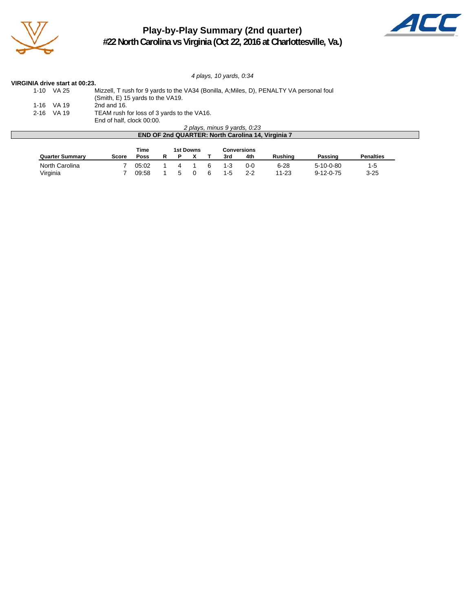

## **Play-by-Play Summary (2nd quarter) #22 North Carolina vs Virginia (Oct 22, 2016 at Charlottesville, Va.)**



*4 plays, 10 yards, 0:34*

### **VIRGINIA drive start at 00:23.**

| 1-10 | VA 25        | Mizzell, T rush for 9 yards to the VA34 (Bonilla, A; Miles, D), PENALTY VA personal foul |
|------|--------------|------------------------------------------------------------------------------------------|
|      |              | (Smith, E) 15 yards to the VA19.                                                         |
|      | 1-16 VA 19   | 2nd and 16.                                                                              |
|      | $2-16$ VA 19 | TEAM rush for loss of 3 yards to the VA16.                                               |
|      |              | End of half, clock 00:00.                                                                |
|      |              | 2 plays, minus 9 yards, 0:23                                                             |

| <b>END OF 2nd QUARTER: North Carolina 14, Virginia 7</b> |       |      |  |  |  |  |     |     |         |         |                  |  |
|----------------------------------------------------------|-------|------|--|--|--|--|-----|-----|---------|---------|------------------|--|
| Time<br>1st Downs<br>Conversions                         |       |      |  |  |  |  |     |     |         |         |                  |  |
|                                                          |       |      |  |  |  |  |     |     |         |         |                  |  |
| <b>Quarter Summarv</b>                                   | Score | Poss |  |  |  |  | 3rd | 4th | Rushina | Passing | <b>Penalties</b> |  |
|                                                          |       |      |  |  |  |  |     |     |         |         |                  |  |

| North Carolina |  |  |  |  | 7 05:02  1  4  1  6  1-3  0-0  6-28  5-10-0-80  1-5 |  |
|----------------|--|--|--|--|-----------------------------------------------------|--|
| Virginia       |  |  |  |  | 7 09:58 1 5 0 6 1-5 2-2 11-23 9-12-0-75 3-25        |  |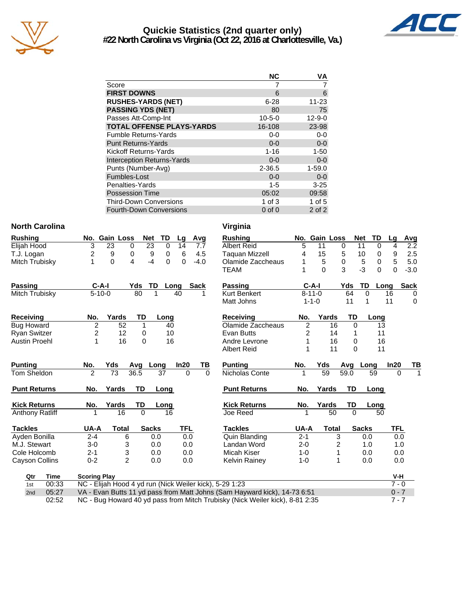

## **Quickie Statistics (2nd quarter only) #22 North Carolina vs Virginia (Oct 22, 2016 at Charlottesville, Va.)**



|                                   | <b>NC</b>    | ٧A           |
|-----------------------------------|--------------|--------------|
| Score                             |              |              |
| <b>FIRST DOWNS</b>                | 6            | 6            |
| <b>RUSHES-YARDS (NET)</b>         | $6 - 28$     | $11 - 23$    |
| <b>PASSING YDS (NET)</b>          | 80           | 75           |
| Passes Att-Comp-Int               | $10 - 5 - 0$ | $12 - 9 - 0$ |
| <b>TOTAL OFFENSE PLAYS-YARDS</b>  | 16-108       | 23-98        |
| <b>Fumble Returns-Yards</b>       | $0-0$        | $0-0$        |
| <b>Punt Returns-Yards</b>         | $0 - 0$      | $0-0$        |
| Kickoff Returns-Yards             | $1 - 16$     | $1 - 50$     |
| <b>Interception Returns-Yards</b> | $0 - 0$      | $0 - 0$      |
| Punts (Number-Avg)                | $2 - 36.5$   | $1 - 59.0$   |
| Fumbles-Lost                      | $0 - 0$      | $0 - 0$      |
| Penalties-Yards                   | $1 - 5$      | $3 - 25$     |
| <b>Possession Time</b>            | 05:02        | 09:58        |
| <b>Third-Down Conversions</b>     | 1 of $3$     | $1$ of $5$   |
| Fourth-Down Conversions           | $0$ of $0$   | $2$ of $2$   |

### **North Carolina Virginia**

| <b>Rushing</b>         |                         | No. Gain Loss  | <b>Net</b>       | TD          | Lg         | Avg         | <b>Rushing</b>        |                | No. Gain Loss |           | <b>Net</b>   | TD           | Lg       | <b>Avg</b>  |
|------------------------|-------------------------|----------------|------------------|-------------|------------|-------------|-----------------------|----------------|---------------|-----------|--------------|--------------|----------|-------------|
| Elijah Hood            | 3                       | 23             | 23<br>$\Omega$   | $\Omega$    | 14         | 7.7         | <b>Albert Reid</b>    | 5              | 11            | 0         | 11           | $\Omega$     | 4        | 2.2         |
| T.J. Logan             | $\overline{\mathbf{c}}$ | 9              | $\mathbf 0$<br>9 | $\mathbf 0$ | 6          | 4.5         | <b>Taguan Mizzell</b> | 4              | 15            | 5         | 10           | 0            | 9        | 2.5         |
| Mitch Trubisky         | 1                       | $\Omega$       | $-4$<br>4        | $\Omega$    | 0          | $-4.0$      | Olamide Zaccheaus     |                | 5             | 0         | 5            | 0            | 5        | 5.0         |
|                        |                         |                |                  |             |            |             | <b>TEAM</b>           |                | $\Omega$      | 3         | $-3$         | $\mathbf{0}$ | 0        | $-3.0$      |
| <b>Passing</b>         | $C-A-I$                 |                | Yds<br>TD        |             | Long       | <b>Sack</b> | <b>Passing</b>        |                | $C-A-I$       | Yds       | TD           | Long         |          | <b>Sack</b> |
| <b>Mitch Trubisky</b>  | $5 - 10 - 0$            |                | 80               | 1           | 40         |             | <b>Kurt Benkert</b>   |                | $8 - 11 - 0$  | 64        | $\Omega$     |              | 16       | $\mathbf 0$ |
|                        |                         |                |                  |             |            |             | Matt Johns            |                | $1 - 1 - 0$   | 11        | 1            |              | 11       | $\mathbf 0$ |
| <b>Receiving</b>       | No.                     | Yards          | TD               | Long        |            |             | <b>Receiving</b>      | No.            | Yards         | <b>TD</b> |              | Long         |          |             |
| <b>Bug Howard</b>      | $\overline{2}$          | 52             |                  | 40          |            |             | Olamide Zaccheaus     | $\overline{2}$ | 16            |           | $\Omega$     | 13           |          |             |
| <b>Ryan Switzer</b>    | $\overline{c}$          | 12             | 0                | 10          |            |             | <b>Evan Butts</b>     | $\overline{2}$ | 14            |           |              | 11           |          |             |
| <b>Austin Proehl</b>   | 1                       | 16             | $\Omega$         | 16          |            |             | Andre Levrone         | 1              | 16            |           | $\Omega$     | 16           |          |             |
|                        |                         |                |                  |             |            |             | <b>Albert Reid</b>    |                | 11            |           | $\Omega$     | 11           |          |             |
|                        |                         |                |                  |             |            |             |                       |                |               |           |              |              |          |             |
| <b>Punting</b>         | No.                     | Yds            | Avg              | Long        | In20       | ΤВ          | <b>Punting</b>        | No.            | Yds           | Avg       | Long         |              | In20     |             |
| Tom Sheldon            | $\overline{2}$          | 73             | 36.5             | 37          | $\Omega$   | $\Omega$    | Nicholas Conte        |                | 59            | 59.0      |              | 59           | $\Omega$ |             |
| <b>Punt Returns</b>    | No.                     | Yards          | TD               | Long        |            |             | <b>Punt Returns</b>   | No.            | Yards         | TD        |              | Long         |          |             |
| <b>Kick Returns</b>    | No.                     | Yards          | TD               |             |            |             | <b>Kick Returns</b>   | No.            | Yards         | TD        |              | Long         |          | TB          |
| <b>Anthony Ratliff</b> | 1                       | 16             | $\Omega$         | Long<br>16  |            |             | Joe Reed              | 1              | 50            | $\Omega$  |              | 50           |          |             |
| <b>Tackles</b>         | UA-A                    | <b>Total</b>   | <b>Sacks</b>     |             | <b>TFL</b> |             | <b>Tackles</b>        | UA-A           | <b>Total</b>  |           | <b>Sacks</b> |              | TFL      |             |
| Ayden Bonilla          | $2 - 4$                 | 6              |                  | 0.0         | 0.0        |             | Quin Blanding         | $2 - 1$        |               | 3         | 0.0          |              | 0.0      |             |
| M.J. Stewart           | $3-0$                   | 3              |                  | 0.0         | 0.0        |             | Landan Word           | $2 - 0$        |               | 2         | 1.0          |              | 1.0      |             |
| Cole Holcomb           | $2 - 1$                 | 3              |                  | 0.0         | 0.0        |             | Micah Kiser           | $1 - 0$        |               | 1         | 0.0          |              | 0.0      |             |
| Cayson Collins         | $0 - 2$                 | $\overline{2}$ |                  | 0.0         | 0.0        |             | <b>Kelvin Rainey</b>  | $1 - 0$        |               | 1         | 0.0          |              | 0.0      |             |
| <b>Time</b><br>Qtr     | <b>Scoring Play</b>     |                |                  |             |            |             |                       |                |               |           |              |              | $V-H$    |             |

2nd 05:27 VA - Evan Butts 11 yd pass from Matt Johns (Sam Hayward kick), 14-73 6:51 0 - 7 02:52 NC - Bug Howard 40 yd pass from Mitch Trubisky (Nick Weiler kick), 8-81 2:35 7 - 7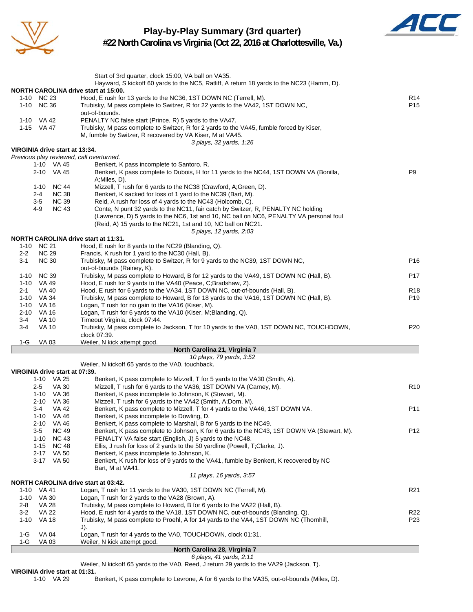

## **Play-by-Play Summary (3rd quarter)**



**#22 North Carolina vs Virginia (Oct 22, 2016 at Charlottesville, Va.)**

|                                             | Start of 3rd quarter, clock 15:00, VA ball on VA35.<br>Hayward, S kickoff 60 yards to the NC5, Ratliff, A return 18 yards to the NC23 (Hamm, D). |                 |
|---------------------------------------------|--------------------------------------------------------------------------------------------------------------------------------------------------|-----------------|
| <b>NORTH CAROLINA drive start at 15:00.</b> |                                                                                                                                                  |                 |
| 1-10 NC 23                                  | Hood, E rush for 13 yards to the NC36, 1ST DOWN NC (Terrell, M).                                                                                 | R <sub>14</sub> |
| 1-10 NC 36                                  | Trubisky, M pass complete to Switzer, R for 22 yards to the VA42, 1ST DOWN NC,                                                                   | P <sub>15</sub> |
|                                             | out-of-bounds.                                                                                                                                   |                 |
| 1-10 VA 42                                  | PENALTY NC false start (Prince, R) 5 yards to the VA47.                                                                                          |                 |
| 1-15 VA 47                                  | Trubisky, M pass complete to Switzer, R for 2 yards to the VA45, fumble forced by Kiser,                                                         |                 |
|                                             | M, fumble by Switzer, R recovered by VA Kiser, M at VA45.                                                                                        |                 |
|                                             | 3 plays, 32 yards, 1:26                                                                                                                          |                 |
| VIRGINIA drive start at 13:34.              |                                                                                                                                                  |                 |
| Previous play reviewed, call overturned.    |                                                                                                                                                  |                 |
| 1-10 VA 45                                  | Benkert, K pass incomplete to Santoro, R.                                                                                                        |                 |
| 2-10 VA 45                                  | Benkert, K pass complete to Dubois, H for 11 yards to the NC44, 1ST DOWN VA (Bonilla,                                                            | P <sub>9</sub>  |
|                                             | A; Miles, D).                                                                                                                                    |                 |
| 1-10<br>NC 44                               | Mizzell, T rush for 6 yards to the NC38 (Crawford, A;Green, D).                                                                                  |                 |
| <b>NC 38</b><br>2-4                         | Benkert, K sacked for loss of 1 yard to the NC39 (Bart, M).                                                                                      |                 |
| $3-5$<br><b>NC 39</b>                       | Reid, A rush for loss of 4 yards to the NC43 (Holcomb, C).                                                                                       |                 |
| <b>NC 43</b><br>4-9                         | Conte, N punt 32 yards to the NC11, fair catch by Switzer, R, PENALTY NC holding                                                                 |                 |
|                                             | (Lawrence, D) 5 yards to the NC6, 1st and 10, NC ball on NC6, PENALTY VA personal foul                                                           |                 |
|                                             | (Reid, A) 15 yards to the NC21, 1st and 10, NC ball on NC21.                                                                                     |                 |
|                                             | 5 plays, 12 yards, 2:03                                                                                                                          |                 |
| <b>NORTH CAROLINA drive start at 11:31.</b> |                                                                                                                                                  |                 |
| 1-10 NC 21                                  | Hood, E rush for 8 yards to the NC29 (Blanding, Q).                                                                                              |                 |
| <b>NC 29</b><br>$2 - 2$                     | Francis, K rush for 1 yard to the NC30 (Hall, B).                                                                                                |                 |
| <b>NC 30</b><br>3-1                         | Trubisky, M pass complete to Switzer, R for 9 yards to the NC39, 1ST DOWN NC,                                                                    | P16             |
|                                             | out-of-bounds (Rainey, K).                                                                                                                       |                 |
| <b>NC 39</b><br>1-10                        | Trubisky, M pass complete to Howard, B for 12 yards to the VA49, 1ST DOWN NC (Hall, B).                                                          | P17             |
| 1-10 VA 49                                  | Hood, E rush for 9 yards to the VA40 (Peace, C;Bradshaw, Z).                                                                                     |                 |
| 2-1<br>VA 40                                | Hood, E rush for 6 yards to the VA34, 1ST DOWN NC, out-of-bounds (Hall, B).                                                                      | R <sub>18</sub> |
| 1-10 VA 34                                  | Trubisky, M pass complete to Howard, B for 18 yards to the VA16, 1ST DOWN NC (Hall, B).                                                          | P19             |
| 1-10<br>VA 16                               | Logan, T rush for no gain to the VA16 (Kiser, M).                                                                                                |                 |
| 2-10<br>VA 16                               |                                                                                                                                                  |                 |
| <b>VA 10</b><br>3-4                         | Logan, T rush for 6 yards to the VA10 (Kiser, M;Blanding, Q).<br>Timeout Virginia, clock 07:44.                                                  |                 |
| <b>VA 10</b><br>3-4                         |                                                                                                                                                  | P <sub>20</sub> |
|                                             | Trubisky, M pass complete to Jackson, T for 10 yards to the VA0, 1ST DOWN NC, TOUCHDOWN,<br>clock 07:39.                                         |                 |
| 1-G                                         |                                                                                                                                                  |                 |
| VA 03                                       | Weiler, N kick attempt good.<br>North Carolina 21, Virginia 7                                                                                    |                 |
|                                             | 10 plays, 79 yards, 3:52                                                                                                                         |                 |
|                                             |                                                                                                                                                  |                 |
|                                             | Weiler, N kickoff 65 yards to the VA0, touchback.                                                                                                |                 |
| VIRGINIA drive start at 07:39.              |                                                                                                                                                  |                 |
| 1-10 VA 25<br><b>VA 30</b>                  | Benkert, K pass complete to Mizzell, T for 5 yards to the VA30 (Smith, A).                                                                       |                 |
| $2 - 5$                                     | Mizzell, T rush for 6 yards to the VA36, 1ST DOWN VA (Carney, M).                                                                                | R <sub>10</sub> |
| 1-10 VA 36                                  | Benkert, K pass incomplete to Johnson, K (Stewart, M).                                                                                           |                 |
| 2-10 VA 36                                  | Mizzell, T rush for 6 yards to the VA42 (Smith, A;Dorn, M).                                                                                      |                 |
| 3-4<br>VA 42                                | Benkert, K pass complete to Mizzell, T for 4 yards to the VA46, 1ST DOWN VA.                                                                     | P11             |
| VA 46<br>$1 - 10$                           | Benkert, K pass incomplete to Dowling, D.                                                                                                        |                 |
| 2-10 VA 46                                  | Benkert, K pass complete to Marshall, B for 5 yards to the NC49.                                                                                 |                 |
| $3-5$<br><b>NC 49</b>                       | Benkert, K pass complete to Johnson, K for 6 yards to the NC43, 1ST DOWN VA (Stewart, M).                                                        | P12             |
| <b>NC 43</b><br>1-10                        | PENALTY VA false start (English, J) 5 yards to the NC48.                                                                                         |                 |
| 1-15<br>NC 48                               | Ellis, J rush for loss of 2 yards to the 50 yardline (Powell, T;Clarke, J).                                                                      |                 |
| 2-17 VA 50                                  | Benkert, K pass incomplete to Johnson, K.                                                                                                        |                 |
| 3-17 VA 50                                  | Benkert, K rush for loss of 9 yards to the VA41, fumble by Benkert, K recovered by NC                                                            |                 |
|                                             | Bart, M at VA41.                                                                                                                                 |                 |
|                                             | 11 plays, 16 yards, 3:57                                                                                                                         |                 |
| <b>NORTH CAROLINA drive start at 03:42.</b> |                                                                                                                                                  |                 |
| 1-10 VA 41                                  | Logan, T rush for 11 yards to the VA30, 1ST DOWN NC (Terrell, M).                                                                                | R21             |
| 1-10 VA 30                                  | Logan, T rush for 2 yards to the VA28 (Brown, A).                                                                                                |                 |
| 2-8<br>VA 28                                | Trubisky, M pass complete to Howard, B for 6 yards to the VA22 (Hall, B).                                                                        |                 |
| $3-2$<br><b>VA 22</b>                       | Hood, E rush for 4 yards to the VA18, 1ST DOWN NC, out-of-bounds (Blanding, Q).                                                                  | R <sub>22</sub> |
| 1-10 VA 18                                  | Trubisky, M pass complete to Proehl, A for 14 yards to the VA4, 1ST DOWN NC (Thornhill,                                                          | P23             |
|                                             | J).                                                                                                                                              |                 |
| $1-G$<br><b>VA 04</b>                       | Logan, T rush for 4 yards to the VA0, TOUCHDOWN, clock 01:31.                                                                                    |                 |
| 1-G<br>VA 03                                | Weiler, N kick attempt good.                                                                                                                     |                 |
|                                             | North Carolina 28, Virginia 7                                                                                                                    |                 |

### *6 plays, 41 yards, 2:11*

Weiler, N kickoff 65 yards to the VA0, Reed, J return 29 yards to the VA29 (Jackson, T).

**VIRGINIA drive start at 01:31.**<br>1-10 VA 29 E

Benkert, K pass complete to Levrone, A for 6 yards to the VA35, out-of-bounds (Miles, D).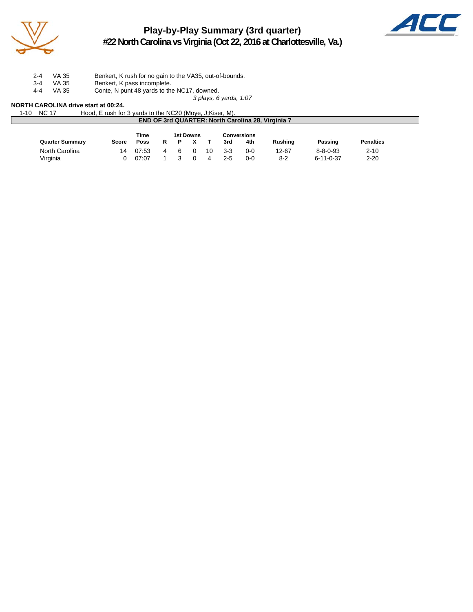

## **Play-by-Play Summary (3rd quarter) #22 North Carolina vs Virginia (Oct 22, 2016 at Charlottesville, Va.)**



2-4 VA 35 Benkert, K rush for no gain to the VA35, out-of-bounds.

- 3-4 VA 35 Benkert, K pass incomplete.
- 4-4 VA 35 Conte, N punt 48 yards to the NC17, downed.

*3 plays, 6 yards, 1:07*

### **NORTH CAROLINA drive start at 00:24.**

| 1-10 | <b>NC 17</b>                                             | Hood, E rush for 3 yards to the NC20 (Moye, J; Kiser, M). |           |                    |  |  |  |  |  |  |
|------|----------------------------------------------------------|-----------------------------------------------------------|-----------|--------------------|--|--|--|--|--|--|
|      | <b>END OF 3rd QUARTER: North Carolina 28, Virginia 7</b> |                                                           |           |                    |  |  |  |  |  |  |
|      |                                                          |                                                           |           |                    |  |  |  |  |  |  |
|      |                                                          | Time                                                      | 1st Downs | <b>Conversions</b> |  |  |  |  |  |  |

|                        |       | .     |  | . |     | ------------ |           |                  |                  |
|------------------------|-------|-------|--|---|-----|--------------|-----------|------------------|------------------|
| <b>Quarter Summary</b> | Score | Poss  |  |   | 3rd | 4th          | Rushina   | Passing          | <b>Penalties</b> |
| North Carolina         |       | 07:53 |  |   | 3-3 | 0-0          | 12-67     | $8 - 8 - 0 - 93$ | 2-10             |
| Virginia               |       | 07:07 |  |   | 2-5 | 0-0          | ດດ<br>י−י | 6-11-0-37        | $2 - 20$         |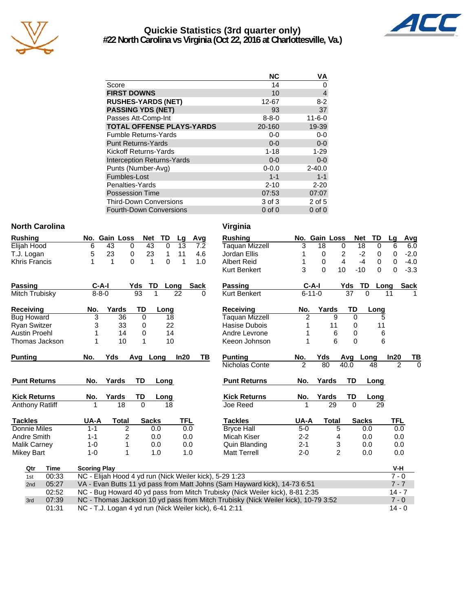

## **Quickie Statistics (3rd quarter only) #22 North Carolina vs Virginia (Oct 22, 2016 at Charlottesville, Va.)**



|                                   | <b>NC</b>   | ٧A           |
|-----------------------------------|-------------|--------------|
| Score                             | 14          | 0            |
| <b>FIRST DOWNS</b>                | 10          | 4            |
| <b>RUSHES-YARDS (NET)</b>         | 12-67       | $8-2$        |
| <b>PASSING YDS (NET)</b>          | 93          | 37           |
| Passes Att-Comp-Int               | $8 - 8 - 0$ | $11 - 6 - 0$ |
| <b>TOTAL OFFENSE PLAYS-YARDS</b>  | 20-160      | 19-39        |
| <b>Fumble Returns-Yards</b>       | $0 - 0$     | $0 - 0$      |
| <b>Punt Returns-Yards</b>         | $0 - 0$     | $0-0$        |
| Kickoff Returns-Yards             | $1 - 18$    | $1 - 29$     |
| <b>Interception Returns-Yards</b> | $0 - 0$     | $0-0$        |
| Punts (Number-Avg)                | $0 - 0.0$   | $2 - 40.0$   |
| Fumbles-Lost                      | $1 - 1$     | $1 - 1$      |
| Penalties-Yards                   | $2 - 10$    | $2 - 20$     |
| <b>Possession Time</b>            | 07:53       | 07:07        |
| <b>Third-Down Conversions</b>     | 3 of 3      | 2 of 5       |
| <b>Fourth-Down Conversions</b>    | $0$ of $0$  | $0$ of $0$   |

### **North Carolina**

| <b>Rushing</b>       |    |     | No. Gain Loss Net TD Lg Avg |     |          |              |             |
|----------------------|----|-----|-----------------------------|-----|----------|--------------|-------------|
| Elijah Hood          |    | 43. | $\Omega$                    | 43. |          | 0 13         | - 7.2       |
| T.J. Logan           | 5. | 23  |                             | 23  |          | $1 \quad 11$ | 4.6         |
| <b>Khris Francis</b> |    |     |                             |     | $\Omega$ |              | 1. $\Omega$ |

| Passing           | C-A-I       |       | Yds | TD Long | Sack |
|-------------------|-------------|-------|-----|---------|------|
| Mitch Trubisky    | $8 - 8 - 0$ |       | 93  | 22      |      |
| <b>Receiving</b>  | No.         | Yards | TD  | Long    |      |
| <b>Bug Howard</b> |             | 36    |     |         |      |

| <b>Punting</b>                  | No. | Yds Avg Long |          | ln20 |  |
|---------------------------------|-----|--------------|----------|------|--|
| Austin Proehl<br>Thomas Jackson |     | 14<br>10     | 14<br>10 |      |  |

| г чил кышты            | IV.     | 1 al us | . . | Lung         |     |
|------------------------|---------|---------|-----|--------------|-----|
| <b>Kick Returns</b>    | No.     | Yards   | TD  | Long         |     |
| <b>Anthony Ratliff</b> | 1       | 18      | 0   | 18           |     |
| <b>Tackles</b>         | UA-A    | Total   |     | <b>Sacks</b> | TFL |
| Donnie Miles           | 1-1     | 2       |     | 0.0          | 0.0 |
| Andre Smith            | 1-1     | 2       |     | 0.0          | 0.0 |
| <b>Malik Carney</b>    | $1 - 0$ | 1       |     | 0.0          | 0.0 |
| <b>Mikey Bart</b>      | 1-0     |         |     | 1.0          | 1.0 |
|                        |         |         |     |              |     |

| Virginia       |  |
|----------------|--|
| <b>Rushing</b> |  |
| Taguan Mizzell |  |

| Rushing                |                                                                                     | No.                 | <b>Gain Loss</b> | <b>Net</b>    | TD       | Lg   | Avg         | <b>Rushing</b>                                                            |                | No. Gain Loss |                | <b>Net</b>      | TD          | Lg             | Avg            |
|------------------------|-------------------------------------------------------------------------------------|---------------------|------------------|---------------|----------|------|-------------|---------------------------------------------------------------------------|----------------|---------------|----------------|-----------------|-------------|----------------|----------------|
| Elijah Hood            |                                                                                     | 6                   | 43               | 43<br>0       | $\Omega$ | 13   | 7.2         | Taquan Mizzell                                                            | 3              | 18            | 0              | 18              | $\mathbf 0$ | 6              | 6.0            |
| T.J. Logan             |                                                                                     | 5                   | 23               | 23<br>0       | 1        | 11   | 4.6         | Jordan Ellis                                                              |                | 0             | 2              | $-2$            | 0           | 0              | $-2.0$         |
| Khris Francis          |                                                                                     | 1                   | 1                | $\Omega$<br>1 | 0        | 1    | 1.0         | <b>Albert Reid</b>                                                        |                | $\pmb{0}$     | $\overline{4}$ | $-4$            | 0           | 0              | $-4.0$         |
|                        |                                                                                     |                     |                  |               |          |      |             | <b>Kurt Benkert</b>                                                       | 3              | $\Omega$      | 10             | $-10$           | 0           | 0              | $-3.3$         |
| Passing                |                                                                                     |                     | $C-A-I$          | TD<br>Yds     | Long     |      | <b>Sack</b> | <b>Passing</b>                                                            |                | $C-A-I$       | Yds            | TD              | Long        |                | <b>Sack</b>    |
| Mitch Trubisky         |                                                                                     |                     | $8 - 8 - 0$      | 93            |          | 22   | $\Omega$    | <b>Kurt Benkert</b>                                                       |                | $6 - 11 - 0$  |                | $\overline{37}$ | $\Omega$    | 11             |                |
| Receiving              |                                                                                     | No.                 | Yards            | <b>TD</b>     | Long     |      |             | <b>Receiving</b>                                                          | No.            | Yards         |                | TD              | Long        |                |                |
| <b>Bug Howard</b>      |                                                                                     | 3                   | 36               | $\Omega$      | 18       |      |             | Taquan Mizzell                                                            | $\overline{c}$ |               | 9              | $\Omega$        | 5           |                |                |
| Ryan Switzer           |                                                                                     | 3                   | 33               | 0             | 22       |      |             | Hasise Dubois                                                             |                |               | 11             | 0               | 11          |                |                |
| <b>Austin Proehl</b>   |                                                                                     |                     | 14               | 0             | 14       |      |             | Andre Levrone                                                             |                |               | 6              | 0               | 6           |                |                |
| Thomas Jackson         |                                                                                     |                     | 10               | 1             | 10       |      |             | Keeon Johnson                                                             |                |               | 6              | $\Omega$        | 6           |                |                |
| <b>Punting</b>         |                                                                                     | No.                 | Yds              | Avg Long      |          | In20 | ΤВ          | <b>Punting</b>                                                            | No.            | Yds           | Avg            |                 | Long        | In20           | <u>тв</u>      |
|                        |                                                                                     |                     |                  |               |          |      |             | Nicholas Conte                                                            | $\overline{2}$ | 80            | 40.0           |                 | 48          | $\overline{2}$ | $\overline{0}$ |
| <b>Punt Returns</b>    |                                                                                     | No.                 | Yards            | TD            | Long     |      |             | <b>Punt Returns</b>                                                       | No.            | Yards         |                | TD              | Long        |                |                |
| <b>Kick Returns</b>    |                                                                                     | No.                 | Yards            | TD            | Long     |      |             | <b>Kick Returns</b>                                                       | No.            | Yards         |                | TD              | Long        |                |                |
| <b>Anthony Ratliff</b> |                                                                                     | 1                   | 18               | $\Omega$      | 18       |      |             | Joe Reed                                                                  | 1              |               | 29             | $\Omega$        | 29          |                |                |
| <b>Tackles</b>         |                                                                                     | UA-A                | <b>Total</b>     | <b>Sacks</b>  |          | TFL  |             | <b>Tackles</b>                                                            | UA-A           |               | Total          | <b>Sacks</b>    |             | TFL            |                |
| Donnie Miles           |                                                                                     | $1 - 1$             | $\overline{2}$   |               | 0.0      | 0.0  |             | <b>Bryce Hall</b>                                                         | $5-0$          |               | 5              |                 | 0.0         | 0.0            |                |
| Andre Smith            |                                                                                     | 1-1                 | 2                |               | 0.0      | 0.0  |             | Micah Kiser                                                               | $2 - 2$        |               | 4              |                 | 0.0         | 0.0            |                |
| <b>Malik Carney</b>    |                                                                                     | $1 - 0$             |                  |               | 0.0      | 0.0  |             | Quin Blanding                                                             | $2 - 1$        |               | 3              |                 | 0.0         | 0.0            |                |
| <b>Mikey Bart</b>      |                                                                                     | $1 - 0$             |                  |               | 1.0      | 1.0  |             | <b>Matt Terrell</b>                                                       | $2 - 0$        |               | $\overline{2}$ |                 | 0.0         | 0.0            |                |
| Qtr                    | Time                                                                                | <b>Scoring Play</b> |                  |               |          |      |             |                                                                           |                |               |                |                 |             | V-H            |                |
| 1st                    | 00:33                                                                               |                     |                  |               |          |      |             | NC - Elijah Hood 4 yd run (Nick Weiler kick), 5-29 1:23                   |                |               |                |                 |             | $7 - 0$        |                |
| 2nd                    | 05:27                                                                               |                     |                  |               |          |      |             | VA - Evan Butts 11 yd pass from Matt Johns (Sam Hayward kick), 14-73 6:51 |                |               |                |                 |             | $7 - 7$        |                |
|                        | NC Bug Howard 40 ud pace from Mitch Trubicky (Nick Wojler kick), 8,84,2:35<br>מ⊾ימ∩ |                     |                  |               |          |      |             |                                                                           |                |               |                |                 |             | 147            |                |

| Qtr | Time  | <b>Scoring Play</b>                                                               | V-H      |
|-----|-------|-----------------------------------------------------------------------------------|----------|
| 1st | 00:33 | NC - Elijah Hood 4 yd run (Nick Weiler kick), 5-29 1:23                           | $7 - 0$  |
| 2nd | 05:27 | VA - Evan Butts 11 yd pass from Matt Johns (Sam Hayward kick), 14-73 6:51         | $7 - 7$  |
|     | 02:52 | NC - Bug Howard 40 yd pass from Mitch Trubisky (Nick Weiler kick), 8-81 2:35      | $14 - 7$ |
| 3rd | 07:39 | NC - Thomas Jackson 10 yd pass from Mitch Trubisky (Nick Weiler kick), 10-79 3:52 | $7 - 0$  |
|     | 01:31 | NC - T.J. Logan 4 yd run (Nick Weiler kick), 6-41 2:11                            | $14 - 0$ |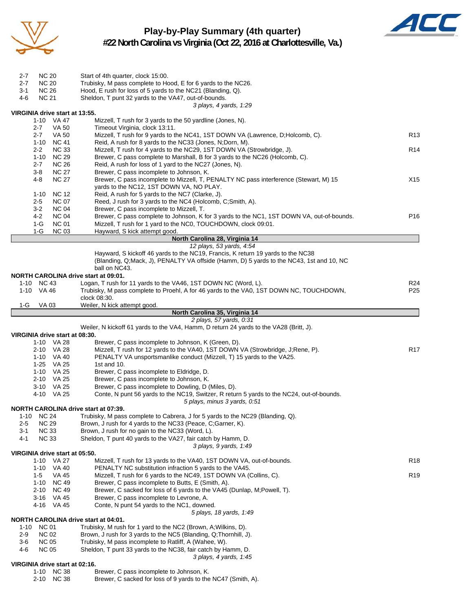

# **Play-by-Play Summary (4th quarter)**



**#22 North Carolina vs Virginia (Oct 22, 2016 at Charlottesville, Va.)**

| $2 - 7$  | <b>NC 20</b>        |                                | Start of 4th quarter, clock 15:00.                                                                  |                 |
|----------|---------------------|--------------------------------|-----------------------------------------------------------------------------------------------------|-----------------|
| 2-7      | <b>NC 20</b>        |                                | Trubisky, M pass complete to Hood, E for 6 yards to the NC26.                                       |                 |
| 3-1      | <b>NC 26</b>        |                                | Hood, E rush for loss of 5 yards to the NC21 (Blanding, Q).                                         |                 |
| 4-6      | <b>NC 21</b>        |                                | Sheldon, T punt 32 yards to the VA47, out-of-bounds.                                                |                 |
|          |                     |                                | 3 plays, 4 yards, 1:29                                                                              |                 |
|          |                     | VIRGINIA drive start at 13:55. |                                                                                                     |                 |
|          |                     | 1-10 VA 47                     | Mizzell, T rush for 3 yards to the 50 yardline (Jones, N).                                          |                 |
|          | $2 - 7$             | VA 50                          | Timeout Virginia, clock 13:11.                                                                      |                 |
|          | $2 - 7$             | <b>VA 50</b>                   | Mizzell, T rush for 9 yards to the NC41, 1ST DOWN VA (Lawrence, D;Holcomb, C).                      | R <sub>13</sub> |
|          |                     | 1-10 NC 41                     | Reid, A rush for 8 yards to the NC33 (Jones, N;Dorn, M).                                            |                 |
|          | $2 - 2$<br>$1 - 10$ | <b>NC 33</b><br><b>NC 29</b>   | Mizzell, T rush for 4 yards to the NC29, 1ST DOWN VA (Strowbridge, J).                              | R <sub>14</sub> |
|          | $2 - 7$             | <b>NC 26</b>                   | Brewer, C pass complete to Marshall, B for 3 yards to the NC26 (Holcomb, C).                        |                 |
|          | $3 - 8$             | <b>NC 27</b>                   | Reid, A rush for loss of 1 yard to the NC27 (Jones, N).<br>Brewer, C pass incomplete to Johnson, K. |                 |
|          | 4-8                 | <b>NC 27</b>                   | Brewer, C pass incomplete to Mizzell, T, PENALTY NC pass interference (Stewart, M) 15               | X15             |
|          |                     |                                | yards to the NC12, 1ST DOWN VA, NO PLAY.                                                            |                 |
|          | 1-10                | <b>NC 12</b>                   | Reid, A rush for 5 yards to the NC7 (Clarke, J).                                                    |                 |
|          | $2 - 5$             | <b>NC 07</b>                   | Reed, J rush for 3 yards to the NC4 (Holcomb, C;Smith, A).                                          |                 |
|          | $3-2$               | <b>NC 04</b>                   | Brewer, C pass incomplete to Mizzell, T.                                                            |                 |
|          | 4-2                 | <b>NC 04</b>                   | Brewer, C pass complete to Johnson, K for 3 yards to the NC1, 1ST DOWN VA, out-of-bounds.           | P <sub>16</sub> |
|          | 1-G                 | <b>NC 01</b>                   | Mizzell, T rush for 1 yard to the NC0, TOUCHDOWN, clock 09:01.                                      |                 |
|          | $1-G$               | <b>NC 03</b>                   | Hayward, S kick attempt good.                                                                       |                 |
|          |                     |                                | North Carolina 28, Virginia 14                                                                      |                 |
|          |                     |                                | 12 plays, 53 yards, 4:54                                                                            |                 |
|          |                     |                                | Hayward, S kickoff 46 yards to the NC19, Francis, K return 19 yards to the NC38                     |                 |
|          |                     |                                | (Blanding, Q;Mack, J), PENALTY VA offside (Hamm, D) 5 yards to the NC43, 1st and 10, NC             |                 |
|          |                     |                                | ball on NC43.                                                                                       |                 |
|          |                     |                                | NORTH CAROLINA drive start at 09:01.                                                                |                 |
|          | 1-10 NC 43          |                                | Logan, T rush for 11 yards to the VA46, 1ST DOWN NC (Word, L).                                      | R24             |
|          | 1-10 VA 46          |                                | Trubisky, M pass complete to Proehl, A for 46 yards to the VA0, 1ST DOWN NC, TOUCHDOWN,             | P <sub>25</sub> |
|          |                     |                                | clock 08:30.                                                                                        |                 |
| 1-G      | <b>VA 03</b>        |                                | Weiler, N kick attempt good.                                                                        |                 |
|          |                     |                                | North Carolina 35, Virginia 14                                                                      |                 |
|          |                     |                                | 2 plays, 57 yards, 0:31                                                                             |                 |
|          |                     |                                | Weiler, N kickoff 61 yards to the VA4, Hamm, D return 24 yards to the VA28 (Britt, J).              |                 |
|          |                     |                                |                                                                                                     |                 |
|          |                     | VIRGINIA drive start at 08:30. |                                                                                                     |                 |
|          |                     | 1-10 VA 28                     | Brewer, C pass incomplete to Johnson, K (Green, D).                                                 |                 |
|          |                     | 2-10 VA 28                     | Mizzell, T rush for 12 yards to the VA40, 1ST DOWN VA (Strowbridge, J;Rene, P).                     | <b>R17</b>      |
|          |                     | 1-10 VA 40                     | PENALTY VA unsportsmanlike conduct (Mizzell, T) 15 yards to the VA25.                               |                 |
|          |                     | 1-25 VA 25                     | 1st and 10.                                                                                         |                 |
|          |                     | 1-10 VA 25                     | Brewer, C pass incomplete to Eldridge, D.                                                           |                 |
|          |                     | 2-10 VA 25                     | Brewer, C pass incomplete to Johnson, K.                                                            |                 |
|          |                     | 3-10 VA 25                     | Brewer, C pass incomplete to Dowling, D (Miles, D).                                                 |                 |
|          |                     | 4-10 VA 25                     | Conte, N punt 56 yards to the NC19, Switzer, R return 5 yards to the NC24, out-of-bounds.           |                 |
|          |                     |                                | 5 plays, minus 3 yards, 0.51                                                                        |                 |
|          |                     |                                | <b>NORTH CAROLINA drive start at 07:39.</b>                                                         |                 |
|          | 1-10 NC 24          |                                | Trubisky, M pass complete to Cabrera, J for 5 yards to the NC29 (Blanding, Q).                      |                 |
| 2-5      | <b>NC 29</b>        |                                | Brown, J rush for 4 yards to the NC33 (Peace, C;Garner, K).                                         |                 |
| $3 - 1$  | <b>NC 33</b>        |                                | Brown, J rush for no gain to the NC33 (Word, L).                                                    |                 |
| 4-1      | <b>NC 33</b>        |                                | Sheldon, T punt 40 yards to the VA27, fair catch by Hamm, D.                                        |                 |
|          |                     |                                | 3 plays, 9 yards, 1:49                                                                              |                 |
|          |                     | VIRGINIA drive start at 05:50. |                                                                                                     |                 |
|          |                     | 1-10 VA 27                     | Mizzell, T rush for 13 yards to the VA40, 1ST DOWN VA, out-of-bounds.                               | R <sub>18</sub> |
|          | $1 - 10$            | VA 40                          | PENALTY NC substitution infraction 5 yards to the VA45.                                             |                 |
|          | $1-5$               | VA 45                          | Mizzell, T rush for 6 yards to the NC49, 1ST DOWN VA (Collins, C).                                  | R <sub>19</sub> |
|          | 1-10                | <b>NC 49</b>                   | Brewer, C pass incomplete to Butts, E (Smith, A).                                                   |                 |
|          | 2-10                | <b>NC 49</b>                   | Brewer, C sacked for loss of 6 yards to the VA45 (Dunlap, M;Powell, T).                             |                 |
|          |                     | 3-16 VA 45                     | Brewer, C pass incomplete to Levrone, A.                                                            |                 |
|          |                     | 4-16 VA 45                     | Conte, N punt 54 yards to the NC1, downed.                                                          |                 |
|          |                     |                                | 5 plays, 18 yards, 1:49                                                                             |                 |
|          |                     |                                | NORTH CAROLINA drive start at 04:01.                                                                |                 |
| $1 - 10$ | <b>NC 01</b>        |                                | Trubisky, M rush for 1 yard to the NC2 (Brown, A; Wilkins, D).                                      |                 |
| $2 - 9$  | <b>NC 02</b>        |                                | Brown, J rush for 3 yards to the NC5 (Blanding, Q;Thornhill, J).                                    |                 |
| 3-6      | <b>NC 05</b>        |                                | Trubisky, M pass incomplete to Ratliff, A (Wahee, W).                                               |                 |
| 4-6      | <b>NC 05</b>        |                                | Sheldon, T punt 33 yards to the NC38, fair catch by Hamm, D.                                        |                 |
|          |                     | VIRGINIA drive start at 02:16. | 3 plays, 4 yards, 1:45                                                                              |                 |
|          |                     | 1-10 NC 38                     | Brewer, C pass incomplete to Johnson, K.                                                            |                 |
|          |                     | 2-10 NC 38                     | Brewer, C sacked for loss of 9 yards to the NC47 (Smith, A).                                        |                 |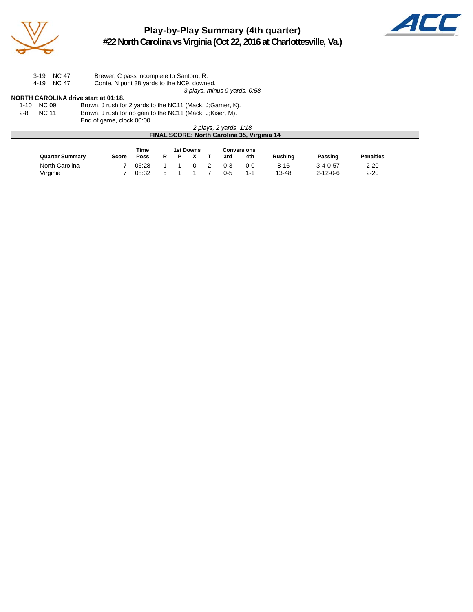

## **Play-by-Play Summary (4th quarter) #22 North Carolina vs Virginia (Oct 22, 2016 at Charlottesville, Va.)**



3-19 NC 47 Brewer, C pass incomplete to Santoro, R.

4-19 NC 47 Conte, N punt 38 yards to the NC9, downed.

*3 plays, minus 9 yards, 0:58*

### **NORTH CAROLINA drive start at 01:18.**

1-10 NC 09 Brown, J rush for 2 yards to the NC11 (Mack, J;Garner, K).

2-8 NC 11 Brown, J rush for no gain to the NC11 (Mack, J;Kiser, M).

End of game, clock 00:00.

|                                                    | 2 plays, 2 yards, 1:18 |  |
|----------------------------------------------------|------------------------|--|
| <b>FINAL SCORE: North Carolina 35, Virginia 14</b> |                        |  |

|                        |       | Time  |   | 1st Downs |         | <b>Conversions</b> |                |                  |                  |
|------------------------|-------|-------|---|-----------|---------|--------------------|----------------|------------------|------------------|
| <b>Quarter Summary</b> | Score | Poss  |   |           | 3rd     | 4th                | <b>Rushing</b> | Passing          | <b>Penalties</b> |
| North Carolina         |       | 06:28 |   |           | $0 - 3$ | $0 - 0$            | $8 - 16$       | $3 - 4 - 0 - 57$ | $2 - 20$         |
| Virginia               |       | 08:32 | 5 |           | በ-5     | $1 - 1$            | 13-48          | $2 - 12 - 0 - 6$ | $2 - 20$         |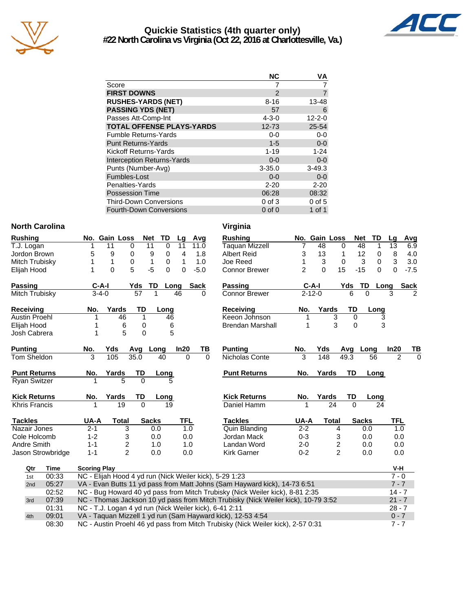

## **Quickie Statistics (4th quarter only) #22 North Carolina vs Virginia (Oct 22, 2016 at Charlottesville, Va.)**



|                                   | <b>NC</b>     | ٧A           |
|-----------------------------------|---------------|--------------|
| Score                             |               |              |
| <b>FIRST DOWNS</b>                | $\mathcal{P}$ |              |
| <b>RUSHES-YARDS (NET)</b>         | $8 - 16$      | 13-48        |
| <b>PASSING YDS (NET)</b>          | 57            | 6            |
| Passes Att-Comp-Int               | $4 - 3 - 0$   | $12 - 2 - 0$ |
| <b>TOTAL OFFENSE PLAYS-YARDS</b>  | $12 - 73$     | 25-54        |
| <b>Fumble Returns-Yards</b>       | $0 - 0$       | $0-0$        |
| <b>Punt Returns-Yards</b>         | $1 - 5$       | $0-0$        |
| Kickoff Returns-Yards             | $1 - 19$      | $1 - 24$     |
| <b>Interception Returns-Yards</b> | $0 - 0$       | $0 - 0$      |
| Punts (Number-Avg)                | $3 - 35.0$    | $3 - 49.3$   |
| Fumbles-Lost                      | $0 - 0$       | $0 - 0$      |
| Penalties-Yards                   | $2 - 20$      | $2 - 20$     |
| <b>Possession Time</b>            | 06:28         | 08:32        |
| <b>Third-Down Conversions</b>     | $0$ of $3$    | $0$ of $5$   |
| <b>Fourth-Down Conversions</b>    | $0$ of $0$    | 1 of 1       |

### **North Carolina Virginia**

| Rushing              |                   |                     | No. Gain Loss                                                                            |              | <b>TD</b><br><b>Net</b> | Lg            |            | Avg         | <b>Rushing</b>                                                                    |                | No. Gain Loss |                | <b>Net</b><br>TD  | Lg         | Avg                        |
|----------------------|-------------------|---------------------|------------------------------------------------------------------------------------------|--------------|-------------------------|---------------|------------|-------------|-----------------------------------------------------------------------------------|----------------|---------------|----------------|-------------------|------------|----------------------------|
| T.J. Logan           |                   |                     | 11                                                                                       | 0            | 11                      | 0<br>11       |            | 11.0        | <b>Taquan Mizzell</b>                                                             | 7              | 48            | 0              | 48<br>1           | 13         | 6.9                        |
| Jordon Brown         |                   | 5                   | 9                                                                                        | 0            | 9                       | 4<br>0        |            | 1.8         | <b>Albert Reid</b>                                                                | 3              | 13            | 1              | 12<br>0           | $\, 8$     | 4.0                        |
| Mitch Trubisky       |                   |                     | 1                                                                                        | 0            | 1                       | 0<br>1        |            | 1.0         | Joe Reed                                                                          | 1              | 3             | $\mathbf 0$    | 0<br>3            | 3          | 3.0                        |
| Elijah Hood          |                   | 1                   | $\mathbf{0}$                                                                             | 5            | $-5$                    | $\Omega$<br>0 |            | $-5.0$      | <b>Connor Brewer</b>                                                              | $\overline{2}$ | $\Omega$      | 15             | $-15$<br>$\Omega$ | $\Omega$   | $-7.5$                     |
| Passing              |                   | $C-A-I$             |                                                                                          | Yds          | TD                      | Long          |            | <b>Sack</b> | Passing                                                                           |                | $C-A-I$       | Yds            | TD                | Long       | <b>Sack</b>                |
| Mitch Trubisky       |                   | $3 - 4 - 0$         |                                                                                          | 57           |                         | 46            |            | 0           | <b>Connor Brewer</b>                                                              |                | $2 - 12 - 0$  | 6              | $\Omega$          | 3          | $\mathcal{P}$              |
| Receiving            |                   | No.                 | Yards                                                                                    | TD           |                         | Long          |            |             | Receiving                                                                         | No.            | Yards         | TD             | Long              |            |                            |
| Austin Proehl        |                   | 1                   | 46                                                                                       | 1            |                         | 46            |            |             | Keeon Johnson                                                                     | 1              |               | 3<br>$\Omega$  |                   | 3          |                            |
| Elijah Hood          |                   |                     | 6                                                                                        | 0            |                         | 6             |            |             | <b>Brendan Marshall</b>                                                           | 1              |               | 3<br>$\Omega$  |                   | 3          |                            |
| Josh Cabrera         |                   |                     | 5                                                                                        | $\Omega$     |                         | 5             |            |             |                                                                                   |                |               |                |                   |            |                            |
| <b>Punting</b>       |                   | No.                 | Yds                                                                                      |              | Avg Long                | In20          |            | TВ          | <b>Punting</b>                                                                    | No.            | Yds           | Avg            | Long              | In20       | ΤВ                         |
| Tom Sheldon          |                   | 3                   | 105                                                                                      | 35.0         | 40                      |               | $\Omega$   | $\Omega$    | Nicholas Conte                                                                    | 3              | 148           | 49.3           | 56                |            | $\overline{2}$<br>$\Omega$ |
| <b>Punt Returns</b>  |                   | No.                 | Yards                                                                                    | TD           | Long                    |               |            |             | <b>Punt Returns</b>                                                               | No.            | Yards         | TD             | Long              |            |                            |
| <b>Ryan Switzer</b>  |                   |                     | 5                                                                                        | $\Omega$     |                         |               |            |             |                                                                                   |                |               |                |                   |            |                            |
| <b>Kick Returns</b>  |                   | No.                 | Yards                                                                                    | TD           | Long                    |               |            |             | <b>Kick Returns</b>                                                               | No.            | Yards         | TD             | Long              |            |                            |
| <b>Khris Francis</b> |                   |                     | 19                                                                                       | $\mathbf{0}$ |                         | 19            |            |             | Daniel Hamm                                                                       |                | 24            | $\Omega$       |                   | 24         |                            |
| <b>Tackles</b>       |                   | UA-A                | <b>Total</b>                                                                             |              | <b>Sacks</b>            |               | <b>TFL</b> |             | <b>Tackles</b>                                                                    | UA-A           | <b>Total</b>  |                | <b>Sacks</b>      | <b>TFL</b> |                            |
| Nazair Jones         |                   | $2 - 1$             | 3                                                                                        |              | 0.0                     |               | 1.0        |             | <b>Quin Blanding</b>                                                              | $2 - 2$        |               | 4              | 0.0               |            | 1.0                        |
| Cole Holcomb         |                   | $1 - 2$             | 3                                                                                        |              | 0.0                     |               | 0.0        |             | Jordan Mack                                                                       | $0 - 3$        |               | 3              | 0.0               |            | 0.0                        |
| Andre Smith          |                   | $1 - 1$             | $\overline{\mathbf{c}}$                                                                  |              | 1.0                     |               | 1.0        |             | Landan Word                                                                       | $2 - 0$        |               | 2              | 0.0               |            | 0.0                        |
|                      | Jason Strowbridge | $1 - 1$             | $\mathfrak{p}$                                                                           |              | 0.0                     |               | 0.0        |             | <b>Kirk Garner</b>                                                                | $0 - 2$        |               | $\overline{2}$ | 0.0               |            | 0.0                        |
| Qtr                  | Time              | <b>Scoring Play</b> |                                                                                          |              |                         |               |            |             |                                                                                   |                |               |                |                   | V-H        |                            |
| 1st                  | 00:33             |                     |                                                                                          |              |                         |               |            |             | NC - Elijah Hood 4 yd run (Nick Weiler kick), 5-29 1:23                           |                |               |                |                   | $7 - 0$    |                            |
| 2nd                  | 05:27             |                     |                                                                                          |              |                         |               |            |             | VA - Evan Butts 11 yd pass from Matt Johns (Sam Hayward kick), 14-73 6:51         |                |               |                |                   |            | $7 - 7$                    |
|                      | 02:52             |                     | NC - Bug Howard 40 yd pass from Mitch Trubisky (Nick Weiler kick), 8-81 2:35<br>$14 - 7$ |              |                         |               |            |             |                                                                                   |                |               |                |                   |            |                            |
| 3rd                  | 07:39             |                     |                                                                                          |              |                         |               |            |             | NC - Thomas Jackson 10 yd pass from Mitch Trubisky (Nick Weiler kick), 10-79 3:52 |                |               |                |                   |            | $21 - 7$                   |
|                      | 01:31             |                     | NC - T.J. Logan 4 yd run (Nick Weiler kick), 6-41 2:11                                   |              |                         |               |            |             |                                                                                   |                |               |                |                   | $28 - 7$   |                            |
| 4th                  | 09:01             |                     |                                                                                          |              |                         |               |            |             | VA - Taquan Mizzell 1 yd run (Sam Hayward kick), 12-53 4:54                       |                |               |                |                   | $0 - 7$    |                            |
|                      | 08:30             |                     |                                                                                          |              |                         |               |            |             | NC - Austin Proehl 46 yd pass from Mitch Trubisky (Nick Weiler kick), 2-57 0:31   |                |               |                |                   | $7 - 7$    |                            |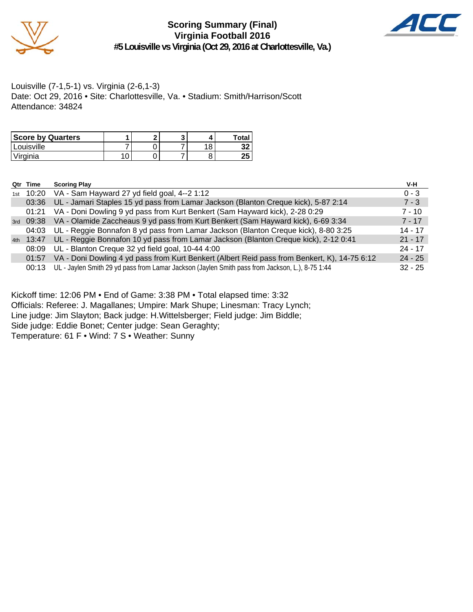

**Scoring Summary (Final) Virginia Football 2016 #5 Louisville vs Virginia (Oct 29, 2016 at Charlottesville, Va.)**



Louisville (7-1,5-1) vs. Virginia (2-6,1-3) Date: Oct 29, 2016 • Site: Charlottesville, Va. • Stadium: Smith/Harrison/Scott Attendance: 34824

| <b>Score by Quarters</b> |  |     | Total     |
|--------------------------|--|-----|-----------|
| 'Louisville              |  | 1 Ω | JZ        |
| 'Virginia                |  |     | OE.<br>دے |

|     | Qtr Time             | <b>Scoring Play</b>                                                                             | V-H       |
|-----|----------------------|-------------------------------------------------------------------------------------------------|-----------|
| 1st |                      | 10:20 VA - Sam Hayward 27 yd field goal, 4--2 1:12                                              | $0 - 3$   |
|     | 03:36                | UL - Jamari Staples 15 yd pass from Lamar Jackson (Blanton Creque kick), 5-87 2:14              | $7 - 3$   |
|     | 01:21                | VA - Doni Dowling 9 yd pass from Kurt Benkert (Sam Hayward kick), 2-28 0:29                     | $7 - 10$  |
|     |                      | 3rd 09:38 VA - Olamide Zaccheaus 9 yd pass from Kurt Benkert (Sam Hayward kick), 6-69 3:34      | $7 - 17$  |
|     | 04:03                | UL - Reggie Bonnafon 8 yd pass from Lamar Jackson (Blanton Creque kick), 8-80 3:25              | $14 - 17$ |
|     | <sub>4th</sub> 13:47 | UL - Reggie Bonnafon 10 yd pass from Lamar Jackson (Blanton Creque kick), 2-12 0:41             | $21 - 17$ |
|     | 08:09                | UL - Blanton Creque 32 yd field goal, 10-44 4:00                                                | $24 - 17$ |
|     | 01:57                | VA - Doni Dowling 4 yd pass from Kurt Benkert (Albert Reid pass from Benkert, K), 14-75 6:12    | $24 - 25$ |
|     | 00:13                | UL - Jaylen Smith 29 yd pass from Lamar Jackson (Jaylen Smith pass from Jackson, L.), 8-75 1:44 | $32 - 25$ |

Kickoff time: 12:06 PM • End of Game: 3:38 PM • Total elapsed time: 3:32 Officials: Referee: J. Magallanes; Umpire: Mark Shupe; Linesman: Tracy Lynch; Line judge: Jim Slayton; Back judge: H.Wittelsberger; Field judge: Jim Biddle; Side judge: Eddie Bonet; Center judge: Sean Geraghty; Temperature: 61 F • Wind: 7 S • Weather: Sunny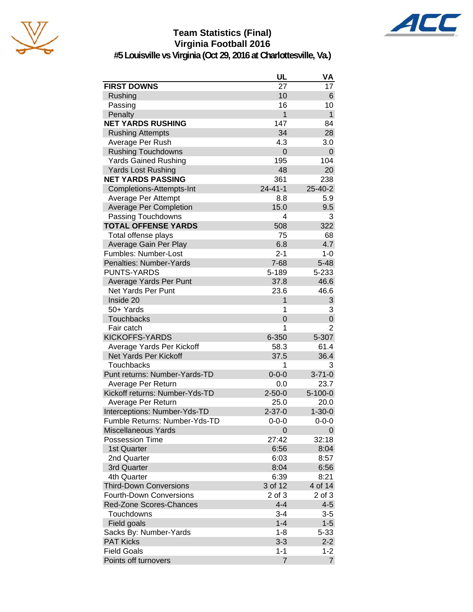

## **Team Statistics (Final) Virginia Football 2016**



**#5 Louisville vs Virginia (Oct 29, 2016 at Charlottesville, Va.)**

| 27<br><b>FIRST DOWNS</b><br>17<br>10<br>Rushing<br>6<br>16<br>Passing<br>10<br>$\mathbf{1}$<br>1<br>Penalty<br><b>NET YARDS RUSHING</b><br>147<br>84<br>34<br>28<br><b>Rushing Attempts</b><br>Average Per Rush<br>4.3<br>3.0<br><b>Rushing Touchdowns</b><br>$\overline{0}$<br>0<br><b>Yards Gained Rushing</b><br>195<br>104<br>48<br><b>Yards Lost Rushing</b><br>20<br><b>NET YARDS PASSING</b><br>361<br>238<br>$24 - 41 - 1$<br>Completions-Attempts-Int<br>25-40-2<br>8.8<br>5.9<br>Average Per Attempt<br>15.0<br>9.5<br><b>Average Per Completion</b><br>Passing Touchdowns<br>3<br>4<br><b>TOTAL OFFENSE YARDS</b><br>508<br>322<br>75<br>Total offense plays<br>68<br>6.8<br>4.7<br>Average Gain Per Play<br>Fumbles: Number-Lost<br>$2 - 1$<br>$1 - 0$<br>Penalties: Number-Yards<br>$7 - 68$<br>$5 - 48$<br><b>PUNTS-YARDS</b><br>5-189<br>5-233<br>37.8<br>Average Yards Per Punt<br>46.6<br>Net Yards Per Punt<br>23.6<br>46.6<br>Inside 20<br>1<br>3<br>50+ Yards<br>3<br>1<br>$\mathbf 0$<br><b>Touchbacks</b><br>$\overline{0}$<br>$\overline{2}$<br>Fair catch<br>1<br><b>KICKOFFS-YARDS</b><br>6-350<br>5-307<br>Average Yards Per Kickoff<br>58.3<br>61.4<br><b>Net Yards Per Kickoff</b><br>37.5<br>36.4<br>Touchbacks<br>3<br>1<br>Punt returns: Number-Yards-TD<br>$0 - 0 - 0$<br>$3 - 71 - 0$<br>Average Per Return<br>0.0<br>23.7<br>Kickoff returns: Number-Yds-TD<br>$2 - 50 - 0$<br>$5 - 100 - 0$<br>25.0<br>20.0<br>Average Per Return<br>$2 - 37 - 0$<br>Interceptions: Number-Yds-TD<br>$1 - 30 - 0$<br>Fumble Returns: Number-Yds-TD<br>$0 - 0 - 0$<br>$0 - 0 - 0$<br><b>Miscellaneous Yards</b><br>0<br>0<br>27:42<br>32:18<br><b>Possession Time</b><br>6:56<br>1st Quarter<br>8:04<br>6:03<br>8:57<br>2nd Quarter<br>6:56<br>3rd Quarter<br>8:04<br>6:39<br>8:21<br>4th Quarter<br>3 of 12<br>4 of 14<br><b>Third-Down Conversions</b><br><b>Fourth-Down Conversions</b><br>2 of 3<br>2 of 3<br>$4 - 4$<br>$4 - 5$<br><b>Red-Zone Scores-Chances</b><br>Touchdowns<br>$3 - 4$<br>$3-5$<br>$1 - 4$<br>$1 - 5$<br>Field goals |                        | UL      | VA       |
|-----------------------------------------------------------------------------------------------------------------------------------------------------------------------------------------------------------------------------------------------------------------------------------------------------------------------------------------------------------------------------------------------------------------------------------------------------------------------------------------------------------------------------------------------------------------------------------------------------------------------------------------------------------------------------------------------------------------------------------------------------------------------------------------------------------------------------------------------------------------------------------------------------------------------------------------------------------------------------------------------------------------------------------------------------------------------------------------------------------------------------------------------------------------------------------------------------------------------------------------------------------------------------------------------------------------------------------------------------------------------------------------------------------------------------------------------------------------------------------------------------------------------------------------------------------------------------------------------------------------------------------------------------------------------------------------------------------------------------------------------------------------------------------------------------------------------------------------------------------------------------------------------------------------------------------------------------------------------------------------------------------------------------------------------------------------|------------------------|---------|----------|
|                                                                                                                                                                                                                                                                                                                                                                                                                                                                                                                                                                                                                                                                                                                                                                                                                                                                                                                                                                                                                                                                                                                                                                                                                                                                                                                                                                                                                                                                                                                                                                                                                                                                                                                                                                                                                                                                                                                                                                                                                                                                 |                        |         |          |
|                                                                                                                                                                                                                                                                                                                                                                                                                                                                                                                                                                                                                                                                                                                                                                                                                                                                                                                                                                                                                                                                                                                                                                                                                                                                                                                                                                                                                                                                                                                                                                                                                                                                                                                                                                                                                                                                                                                                                                                                                                                                 |                        |         |          |
|                                                                                                                                                                                                                                                                                                                                                                                                                                                                                                                                                                                                                                                                                                                                                                                                                                                                                                                                                                                                                                                                                                                                                                                                                                                                                                                                                                                                                                                                                                                                                                                                                                                                                                                                                                                                                                                                                                                                                                                                                                                                 |                        |         |          |
|                                                                                                                                                                                                                                                                                                                                                                                                                                                                                                                                                                                                                                                                                                                                                                                                                                                                                                                                                                                                                                                                                                                                                                                                                                                                                                                                                                                                                                                                                                                                                                                                                                                                                                                                                                                                                                                                                                                                                                                                                                                                 |                        |         |          |
|                                                                                                                                                                                                                                                                                                                                                                                                                                                                                                                                                                                                                                                                                                                                                                                                                                                                                                                                                                                                                                                                                                                                                                                                                                                                                                                                                                                                                                                                                                                                                                                                                                                                                                                                                                                                                                                                                                                                                                                                                                                                 |                        |         |          |
|                                                                                                                                                                                                                                                                                                                                                                                                                                                                                                                                                                                                                                                                                                                                                                                                                                                                                                                                                                                                                                                                                                                                                                                                                                                                                                                                                                                                                                                                                                                                                                                                                                                                                                                                                                                                                                                                                                                                                                                                                                                                 |                        |         |          |
|                                                                                                                                                                                                                                                                                                                                                                                                                                                                                                                                                                                                                                                                                                                                                                                                                                                                                                                                                                                                                                                                                                                                                                                                                                                                                                                                                                                                                                                                                                                                                                                                                                                                                                                                                                                                                                                                                                                                                                                                                                                                 |                        |         |          |
|                                                                                                                                                                                                                                                                                                                                                                                                                                                                                                                                                                                                                                                                                                                                                                                                                                                                                                                                                                                                                                                                                                                                                                                                                                                                                                                                                                                                                                                                                                                                                                                                                                                                                                                                                                                                                                                                                                                                                                                                                                                                 |                        |         |          |
|                                                                                                                                                                                                                                                                                                                                                                                                                                                                                                                                                                                                                                                                                                                                                                                                                                                                                                                                                                                                                                                                                                                                                                                                                                                                                                                                                                                                                                                                                                                                                                                                                                                                                                                                                                                                                                                                                                                                                                                                                                                                 |                        |         |          |
|                                                                                                                                                                                                                                                                                                                                                                                                                                                                                                                                                                                                                                                                                                                                                                                                                                                                                                                                                                                                                                                                                                                                                                                                                                                                                                                                                                                                                                                                                                                                                                                                                                                                                                                                                                                                                                                                                                                                                                                                                                                                 |                        |         |          |
|                                                                                                                                                                                                                                                                                                                                                                                                                                                                                                                                                                                                                                                                                                                                                                                                                                                                                                                                                                                                                                                                                                                                                                                                                                                                                                                                                                                                                                                                                                                                                                                                                                                                                                                                                                                                                                                                                                                                                                                                                                                                 |                        |         |          |
|                                                                                                                                                                                                                                                                                                                                                                                                                                                                                                                                                                                                                                                                                                                                                                                                                                                                                                                                                                                                                                                                                                                                                                                                                                                                                                                                                                                                                                                                                                                                                                                                                                                                                                                                                                                                                                                                                                                                                                                                                                                                 |                        |         |          |
|                                                                                                                                                                                                                                                                                                                                                                                                                                                                                                                                                                                                                                                                                                                                                                                                                                                                                                                                                                                                                                                                                                                                                                                                                                                                                                                                                                                                                                                                                                                                                                                                                                                                                                                                                                                                                                                                                                                                                                                                                                                                 |                        |         |          |
|                                                                                                                                                                                                                                                                                                                                                                                                                                                                                                                                                                                                                                                                                                                                                                                                                                                                                                                                                                                                                                                                                                                                                                                                                                                                                                                                                                                                                                                                                                                                                                                                                                                                                                                                                                                                                                                                                                                                                                                                                                                                 |                        |         |          |
|                                                                                                                                                                                                                                                                                                                                                                                                                                                                                                                                                                                                                                                                                                                                                                                                                                                                                                                                                                                                                                                                                                                                                                                                                                                                                                                                                                                                                                                                                                                                                                                                                                                                                                                                                                                                                                                                                                                                                                                                                                                                 |                        |         |          |
|                                                                                                                                                                                                                                                                                                                                                                                                                                                                                                                                                                                                                                                                                                                                                                                                                                                                                                                                                                                                                                                                                                                                                                                                                                                                                                                                                                                                                                                                                                                                                                                                                                                                                                                                                                                                                                                                                                                                                                                                                                                                 |                        |         |          |
|                                                                                                                                                                                                                                                                                                                                                                                                                                                                                                                                                                                                                                                                                                                                                                                                                                                                                                                                                                                                                                                                                                                                                                                                                                                                                                                                                                                                                                                                                                                                                                                                                                                                                                                                                                                                                                                                                                                                                                                                                                                                 |                        |         |          |
|                                                                                                                                                                                                                                                                                                                                                                                                                                                                                                                                                                                                                                                                                                                                                                                                                                                                                                                                                                                                                                                                                                                                                                                                                                                                                                                                                                                                                                                                                                                                                                                                                                                                                                                                                                                                                                                                                                                                                                                                                                                                 |                        |         |          |
|                                                                                                                                                                                                                                                                                                                                                                                                                                                                                                                                                                                                                                                                                                                                                                                                                                                                                                                                                                                                                                                                                                                                                                                                                                                                                                                                                                                                                                                                                                                                                                                                                                                                                                                                                                                                                                                                                                                                                                                                                                                                 |                        |         |          |
|                                                                                                                                                                                                                                                                                                                                                                                                                                                                                                                                                                                                                                                                                                                                                                                                                                                                                                                                                                                                                                                                                                                                                                                                                                                                                                                                                                                                                                                                                                                                                                                                                                                                                                                                                                                                                                                                                                                                                                                                                                                                 |                        |         |          |
|                                                                                                                                                                                                                                                                                                                                                                                                                                                                                                                                                                                                                                                                                                                                                                                                                                                                                                                                                                                                                                                                                                                                                                                                                                                                                                                                                                                                                                                                                                                                                                                                                                                                                                                                                                                                                                                                                                                                                                                                                                                                 |                        |         |          |
|                                                                                                                                                                                                                                                                                                                                                                                                                                                                                                                                                                                                                                                                                                                                                                                                                                                                                                                                                                                                                                                                                                                                                                                                                                                                                                                                                                                                                                                                                                                                                                                                                                                                                                                                                                                                                                                                                                                                                                                                                                                                 |                        |         |          |
|                                                                                                                                                                                                                                                                                                                                                                                                                                                                                                                                                                                                                                                                                                                                                                                                                                                                                                                                                                                                                                                                                                                                                                                                                                                                                                                                                                                                                                                                                                                                                                                                                                                                                                                                                                                                                                                                                                                                                                                                                                                                 |                        |         |          |
|                                                                                                                                                                                                                                                                                                                                                                                                                                                                                                                                                                                                                                                                                                                                                                                                                                                                                                                                                                                                                                                                                                                                                                                                                                                                                                                                                                                                                                                                                                                                                                                                                                                                                                                                                                                                                                                                                                                                                                                                                                                                 |                        |         |          |
|                                                                                                                                                                                                                                                                                                                                                                                                                                                                                                                                                                                                                                                                                                                                                                                                                                                                                                                                                                                                                                                                                                                                                                                                                                                                                                                                                                                                                                                                                                                                                                                                                                                                                                                                                                                                                                                                                                                                                                                                                                                                 |                        |         |          |
|                                                                                                                                                                                                                                                                                                                                                                                                                                                                                                                                                                                                                                                                                                                                                                                                                                                                                                                                                                                                                                                                                                                                                                                                                                                                                                                                                                                                                                                                                                                                                                                                                                                                                                                                                                                                                                                                                                                                                                                                                                                                 |                        |         |          |
|                                                                                                                                                                                                                                                                                                                                                                                                                                                                                                                                                                                                                                                                                                                                                                                                                                                                                                                                                                                                                                                                                                                                                                                                                                                                                                                                                                                                                                                                                                                                                                                                                                                                                                                                                                                                                                                                                                                                                                                                                                                                 |                        |         |          |
|                                                                                                                                                                                                                                                                                                                                                                                                                                                                                                                                                                                                                                                                                                                                                                                                                                                                                                                                                                                                                                                                                                                                                                                                                                                                                                                                                                                                                                                                                                                                                                                                                                                                                                                                                                                                                                                                                                                                                                                                                                                                 |                        |         |          |
|                                                                                                                                                                                                                                                                                                                                                                                                                                                                                                                                                                                                                                                                                                                                                                                                                                                                                                                                                                                                                                                                                                                                                                                                                                                                                                                                                                                                                                                                                                                                                                                                                                                                                                                                                                                                                                                                                                                                                                                                                                                                 |                        |         |          |
|                                                                                                                                                                                                                                                                                                                                                                                                                                                                                                                                                                                                                                                                                                                                                                                                                                                                                                                                                                                                                                                                                                                                                                                                                                                                                                                                                                                                                                                                                                                                                                                                                                                                                                                                                                                                                                                                                                                                                                                                                                                                 |                        |         |          |
|                                                                                                                                                                                                                                                                                                                                                                                                                                                                                                                                                                                                                                                                                                                                                                                                                                                                                                                                                                                                                                                                                                                                                                                                                                                                                                                                                                                                                                                                                                                                                                                                                                                                                                                                                                                                                                                                                                                                                                                                                                                                 |                        |         |          |
|                                                                                                                                                                                                                                                                                                                                                                                                                                                                                                                                                                                                                                                                                                                                                                                                                                                                                                                                                                                                                                                                                                                                                                                                                                                                                                                                                                                                                                                                                                                                                                                                                                                                                                                                                                                                                                                                                                                                                                                                                                                                 |                        |         |          |
|                                                                                                                                                                                                                                                                                                                                                                                                                                                                                                                                                                                                                                                                                                                                                                                                                                                                                                                                                                                                                                                                                                                                                                                                                                                                                                                                                                                                                                                                                                                                                                                                                                                                                                                                                                                                                                                                                                                                                                                                                                                                 |                        |         |          |
|                                                                                                                                                                                                                                                                                                                                                                                                                                                                                                                                                                                                                                                                                                                                                                                                                                                                                                                                                                                                                                                                                                                                                                                                                                                                                                                                                                                                                                                                                                                                                                                                                                                                                                                                                                                                                                                                                                                                                                                                                                                                 |                        |         |          |
|                                                                                                                                                                                                                                                                                                                                                                                                                                                                                                                                                                                                                                                                                                                                                                                                                                                                                                                                                                                                                                                                                                                                                                                                                                                                                                                                                                                                                                                                                                                                                                                                                                                                                                                                                                                                                                                                                                                                                                                                                                                                 |                        |         |          |
|                                                                                                                                                                                                                                                                                                                                                                                                                                                                                                                                                                                                                                                                                                                                                                                                                                                                                                                                                                                                                                                                                                                                                                                                                                                                                                                                                                                                                                                                                                                                                                                                                                                                                                                                                                                                                                                                                                                                                                                                                                                                 |                        |         |          |
|                                                                                                                                                                                                                                                                                                                                                                                                                                                                                                                                                                                                                                                                                                                                                                                                                                                                                                                                                                                                                                                                                                                                                                                                                                                                                                                                                                                                                                                                                                                                                                                                                                                                                                                                                                                                                                                                                                                                                                                                                                                                 |                        |         |          |
|                                                                                                                                                                                                                                                                                                                                                                                                                                                                                                                                                                                                                                                                                                                                                                                                                                                                                                                                                                                                                                                                                                                                                                                                                                                                                                                                                                                                                                                                                                                                                                                                                                                                                                                                                                                                                                                                                                                                                                                                                                                                 |                        |         |          |
|                                                                                                                                                                                                                                                                                                                                                                                                                                                                                                                                                                                                                                                                                                                                                                                                                                                                                                                                                                                                                                                                                                                                                                                                                                                                                                                                                                                                                                                                                                                                                                                                                                                                                                                                                                                                                                                                                                                                                                                                                                                                 |                        |         |          |
|                                                                                                                                                                                                                                                                                                                                                                                                                                                                                                                                                                                                                                                                                                                                                                                                                                                                                                                                                                                                                                                                                                                                                                                                                                                                                                                                                                                                                                                                                                                                                                                                                                                                                                                                                                                                                                                                                                                                                                                                                                                                 |                        |         |          |
|                                                                                                                                                                                                                                                                                                                                                                                                                                                                                                                                                                                                                                                                                                                                                                                                                                                                                                                                                                                                                                                                                                                                                                                                                                                                                                                                                                                                                                                                                                                                                                                                                                                                                                                                                                                                                                                                                                                                                                                                                                                                 |                        |         |          |
|                                                                                                                                                                                                                                                                                                                                                                                                                                                                                                                                                                                                                                                                                                                                                                                                                                                                                                                                                                                                                                                                                                                                                                                                                                                                                                                                                                                                                                                                                                                                                                                                                                                                                                                                                                                                                                                                                                                                                                                                                                                                 |                        |         |          |
|                                                                                                                                                                                                                                                                                                                                                                                                                                                                                                                                                                                                                                                                                                                                                                                                                                                                                                                                                                                                                                                                                                                                                                                                                                                                                                                                                                                                                                                                                                                                                                                                                                                                                                                                                                                                                                                                                                                                                                                                                                                                 |                        |         |          |
|                                                                                                                                                                                                                                                                                                                                                                                                                                                                                                                                                                                                                                                                                                                                                                                                                                                                                                                                                                                                                                                                                                                                                                                                                                                                                                                                                                                                                                                                                                                                                                                                                                                                                                                                                                                                                                                                                                                                                                                                                                                                 |                        |         |          |
|                                                                                                                                                                                                                                                                                                                                                                                                                                                                                                                                                                                                                                                                                                                                                                                                                                                                                                                                                                                                                                                                                                                                                                                                                                                                                                                                                                                                                                                                                                                                                                                                                                                                                                                                                                                                                                                                                                                                                                                                                                                                 |                        |         |          |
|                                                                                                                                                                                                                                                                                                                                                                                                                                                                                                                                                                                                                                                                                                                                                                                                                                                                                                                                                                                                                                                                                                                                                                                                                                                                                                                                                                                                                                                                                                                                                                                                                                                                                                                                                                                                                                                                                                                                                                                                                                                                 |                        |         |          |
|                                                                                                                                                                                                                                                                                                                                                                                                                                                                                                                                                                                                                                                                                                                                                                                                                                                                                                                                                                                                                                                                                                                                                                                                                                                                                                                                                                                                                                                                                                                                                                                                                                                                                                                                                                                                                                                                                                                                                                                                                                                                 |                        |         |          |
|                                                                                                                                                                                                                                                                                                                                                                                                                                                                                                                                                                                                                                                                                                                                                                                                                                                                                                                                                                                                                                                                                                                                                                                                                                                                                                                                                                                                                                                                                                                                                                                                                                                                                                                                                                                                                                                                                                                                                                                                                                                                 |                        |         |          |
|                                                                                                                                                                                                                                                                                                                                                                                                                                                                                                                                                                                                                                                                                                                                                                                                                                                                                                                                                                                                                                                                                                                                                                                                                                                                                                                                                                                                                                                                                                                                                                                                                                                                                                                                                                                                                                                                                                                                                                                                                                                                 | Sacks By: Number-Yards | $1 - 8$ | $5 - 33$ |
| <b>PAT Kicks</b><br>$3 - 3$<br>$2 - 2$                                                                                                                                                                                                                                                                                                                                                                                                                                                                                                                                                                                                                                                                                                                                                                                                                                                                                                                                                                                                                                                                                                                                                                                                                                                                                                                                                                                                                                                                                                                                                                                                                                                                                                                                                                                                                                                                                                                                                                                                                          |                        |         |          |
| <b>Field Goals</b><br>$1 - 1$<br>$1 - 2$                                                                                                                                                                                                                                                                                                                                                                                                                                                                                                                                                                                                                                                                                                                                                                                                                                                                                                                                                                                                                                                                                                                                                                                                                                                                                                                                                                                                                                                                                                                                                                                                                                                                                                                                                                                                                                                                                                                                                                                                                        |                        |         |          |
| Points off turnovers<br>$\overline{7}$<br>$\overline{7}$                                                                                                                                                                                                                                                                                                                                                                                                                                                                                                                                                                                                                                                                                                                                                                                                                                                                                                                                                                                                                                                                                                                                                                                                                                                                                                                                                                                                                                                                                                                                                                                                                                                                                                                                                                                                                                                                                                                                                                                                        |                        |         |          |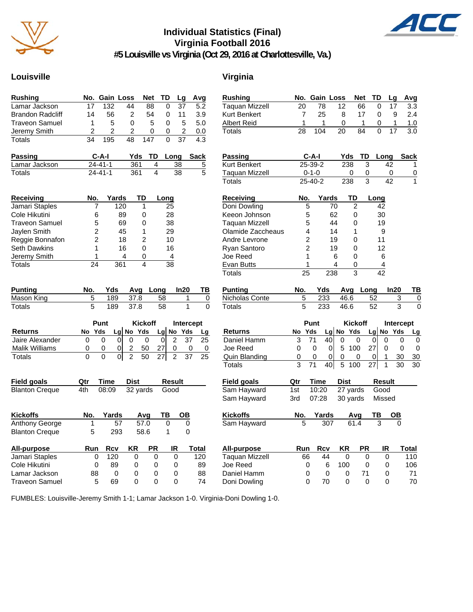

## **Individual Statistics (Final) Virginia Football 2016**



**#5 Louisville vs Virginia (Oct 29, 2016 at Charlottesville, Va.)**

## Louisville **Virginia**

| <b>Rushing</b>          | No.                     | Gain Loss      |                         | Net             | TD                   | Lg                      | Avg      | Rush           |
|-------------------------|-------------------------|----------------|-------------------------|-----------------|----------------------|-------------------------|----------|----------------|
| Lamar Jackson           | 17                      | 132            | 44                      | 88              | 0                    | 37                      | 5.2      | Taqu           |
| <b>Brandon Radcliff</b> | 14                      | 56             | 2                       | 54              | 0                    | 11                      | 3.9      | Kurt I         |
| <b>Traveon Samuel</b>   | 1                       | 5              | 0                       | 5               | 0                    | 5                       | 5.0      | Alber          |
| Jeremy Smith            | $\overline{\mathbf{c}}$ | $\overline{c}$ | $\overline{c}$          | 0               | 0                    | $\overline{\mathbf{c}}$ | 0.0      | Total          |
| Totals                  | 34                      | 195            | 48                      | 147             | 0                    | 37                      | 4.3      |                |
| Passing                 |                         | C-A-I          | Yds                     | TD              | Long                 |                         | Sack     | <b>Pass</b>    |
| Lamar Jackson           |                         | $24 - 41 - 1$  | 361                     | 4               | 38                   |                         | 5        | Kurt E         |
| Totals                  |                         | $24 - 41 - 1$  | 361                     | 4               | 38                   |                         | 5        | Taqua<br>Total |
| Receiving               | No.                     | Yards          | TD                      |                 | Long                 |                         |          | Rece           |
| Jamari Staples          | 7                       | 120            |                         | 1               | 25                   |                         |          | Doni           |
| Cole Hikutini           | 6                       | 89             |                         | 0               | 28                   |                         |          | Keeo           |
| <b>Traveon Samuel</b>   | 5                       | 69             |                         | 0               | 38                   |                         |          | Taqua          |
| Jaylen Smith            | 2                       | 45             |                         | 1               | 29                   |                         |          | Olam           |
| Reggie Bonnafon         | 2                       | 18             |                         | $\overline{c}$  | 10                   |                         |          | Andre          |
| Seth Dawkins            | 1                       | 16             |                         | 0               | 16                   |                         |          | Ryan           |
| Jeremy Smith            | 1                       |                | 4                       | 0               | 4                    |                         |          | Joe R          |
| Totals                  | $\overline{24}$         | 361            |                         | 4               | 38                   |                         |          | Evan           |
|                         |                         |                |                         |                 |                      |                         |          | <b>Totals</b>  |
| <b>Punting</b>          | No.                     | Yds            | Avg                     | Long            |                      | In20                    | TВ       | Punti          |
| Mason King              | 5                       | 189            | 37.8                    |                 | 58                   | 1                       | 0        | Nicho          |
| Totals                  | 5                       | 189            | 37.8                    |                 | 58                   | 1                       | 0        | Total          |
|                         |                         |                |                         |                 |                      |                         |          |                |
| <b>Returns</b>          | No Yds                  | Punt           | Lg No Yds               | <b>Kickoff</b>  | Lg No Yds            | Intercept               |          |                |
| Jaire Alexander         | 0                       | 0<br>0         | 0                       | 0               | 2<br>0               | 37                      | Lg<br>25 | Retu<br>Danie  |
| <b>Malik Williams</b>   | 0                       | 0<br>0         | $\overline{\mathbf{c}}$ | 50              | 27<br>0              | 0                       | 0        | Joe F          |
| Totals                  | 0                       | 0<br> 0        | $\overline{2}$          | $\overline{50}$ | $\overline{2}$<br>27 | 37                      | 25       | Quin           |
|                         |                         |                |                         |                 |                      |                         |          | Total          |
|                         |                         |                |                         |                 |                      |                         |          |                |
| <b>Field goals</b>      | Qtr                     | Time           | Dist                    |                 | <b>Result</b>        |                         |          | <b>Field</b>   |
| <b>Blanton Creque</b>   | 4th                     | 08:09          | 32 yards                |                 | Good                 |                         |          | Sam            |
|                         |                         |                |                         |                 |                      |                         |          | Sam            |
| <b>Kickoffs</b>         | No.                     | Yards          |                         | Avg             | ΤВ                   | OВ                      |          | Kicko          |
| Anthony George          | 1                       | 57             |                         | 57.0            | 0                    | 0                       |          | Sam            |
| <b>Blanton Creque</b>   | 5                       | 293            |                         | 58.6            | 1                    | 0                       |          |                |
| <b>All-purpose</b>      | Run                     | Rcv            | ΚR                      | PR              | IR                   |                         | Total    | All-pi         |
| Jamari Staples          | 0                       | 120            | 0                       | 0               | 0                    |                         | 120      | Taqu           |
| Cole Hikutini           | 0                       | 89             | 0                       | 0               | 0                    |                         | 89       | Joe R          |
| Lamar Jackson           | 88                      | 0              | 0                       | 0               | 0                    |                         | 88       | Danie          |
| <b>Traveon Samuel</b>   | 5                       | 69             | 0                       | 0               | 0                    |                         | 74       | Doni           |

| <b>Rushing</b>       |     | No. Gain Loss           |       |             | <b>Net</b>     | TD   | Lg        | Avg              |
|----------------------|-----|-------------------------|-------|-------------|----------------|------|-----------|------------------|
| Taquan Mizzell       | 20  | 78                      |       | 12          | 66             | 0    | 17        | 3.3              |
| Kurt Benkert         | 7   | 25                      |       | 8           | 17             | 0    | 9         | 2.4              |
| Albert Reid          | 1   | 1                       |       | 0           | 1              | 0    | 1         | 1.0              |
| Totals               | 28  | 104                     |       | 20          | 84             | 0    | 17        | 3.0              |
| <b>Passing</b>       |     | C-A-I                   |       | Yds         | TD             |      | Long      | Sack             |
| Kurt Benkert         |     | 25-39-2                 |       | 238         | 3              |      | 42        | 1                |
| Taquan Mizzell       |     | $0 - 1 - 0$             |       | 0           | 0              |      | 0         | 0                |
| Totals               |     | 25-40-2                 |       | 238         | 3              |      | 42        | 1                |
| Receiving            | No. |                         | Yards | TD          |                | Long |           |                  |
| Doni Dowling         |     | 5                       | 70    |             | 2              | 42   |           |                  |
| Keeon Johnson        |     | 5                       | 62    |             | 0              | 30   |           |                  |
| Taquan Mizzell       |     | 5                       | 44    |             | 0              | 19   |           |                  |
| Olamide Zaccheaus    |     | 4                       | 14    |             | 1              | 9    |           |                  |
| Andre Levrone        |     | $\overline{\mathbf{c}}$ | 19    |             | 0              | 11   |           |                  |
| Ryan Santoro         |     | $\overline{c}$          | 19    |             | 0              | 12   |           |                  |
| Joe Reed             |     | 1                       | 6     |             | 0              | 6    |           |                  |
| Evan Butts           |     | 1                       | 4     |             | 0              | 4    |           |                  |
| Totals               | 25  |                         | 238   |             | 3              | 42   |           |                  |
| <b>Punting</b>       | No. | Yds                     |       | Avg         | Long           |      | In20      | ΤВ               |
| Nicholas Conte       | 5   | 233                     |       | 46.6        |                | 52   |           | 3<br>0           |
| Totals               | 5   | 233                     |       | 46.6        |                | 52   |           | 3<br>0           |
|                      |     | Punt                    |       |             | <b>Kickoff</b> |      |           | <b>Intercept</b> |
| <b>Returns</b>       | No  | Yds                     |       | Lg No Yds   |                |      | Lg No Yds | Lg               |
| Daniel Hamm          | 3   | 71                      | 40    | 0           | 0              | 0    | 0         | 0<br>0           |
| Joe Reed             | 0   | 0                       | 0     | 5<br>100    |                | 27   | 0         | 0<br>0           |
| <b>Quin Blanding</b> | 0   | 0                       | 0     | 0           | 0              | 0    | 1         | 30<br>30         |
| <b>Totals</b>        | 3   | 71                      | 40    | 5<br>100    |                | 27   | 1         | 30<br>30         |
| Field goals          | Qtr | Time                    |       | <b>Dist</b> |                |      | Result    |                  |
| Sam Hayward          | 1st | 10:20                   |       | 27 yards    |                | Good |           |                  |
| Sam Hayward          | 3rd | 07:28                   |       | 30 yards    |                |      | Missed    |                  |
| Kickoffs             | No. | Yards                   |       |             | Avg            | ΤВ   | ОВ        |                  |
| Sam Hayward          | 5   |                         | 307   | 61.4        |                | 3    |           |                  |
| All-purpose          | Run | <b>Rcv</b>              |       | KR          | <b>PR</b>      |      | IR        | Total            |
| Taquan Mizzell       | 66  | 44                      |       | 0           | 0              |      | 0         | 110              |
| Joe Reed             |     | 0                       | 6     | 100         | 0              |      | 0         | 106              |
| Daniel Hamm          |     | 0                       | 0     | 0           | 71             |      | 0         | 71               |
| Doni Dowling         |     | 0<br>70                 |       | 0           | 0              |      | 0         | 70               |

FUMBLES: Louisville-Jeremy Smith 1-1; Lamar Jackson 1-0. Virginia-Doni Dowling 1-0.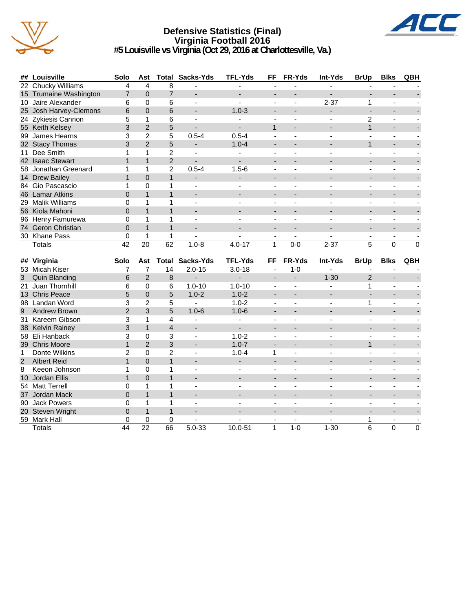

### **Defensive Statistics (Final) Virginia Football 2016 #5 Louisville vs Virginia (Oct 29, 2016 at Charlottesville, Va.)**



|                | ## Louisville          | Solo           | Ast             | Total           | Sacks-Yds                | <b>TFL-Yds</b> | FF                       | FR-Yds                   | <b>Int-Yds</b>           | <b>BrUp</b>              | <b>Blks</b>              | QBH            |
|----------------|------------------------|----------------|-----------------|-----------------|--------------------------|----------------|--------------------------|--------------------------|--------------------------|--------------------------|--------------------------|----------------|
|                | 22 Chucky Williams     | 4              | $\overline{A}$  | 8               |                          |                | ä,                       |                          |                          |                          |                          |                |
|                | 15 Trumaine Washington | $\overline{7}$ | $\Omega$        | $\overline{7}$  |                          |                | ۰                        |                          |                          |                          |                          |                |
|                | 10 Jaire Alexander     | 6              | 0               | 6               | ÷,                       |                |                          |                          | $2 - 37$                 | 1                        |                          |                |
|                | 25 Josh Harvey-Clemons | 6              | $\Omega$        | 6               |                          | $1.0 - 3$      |                          |                          |                          | $\blacksquare$           |                          |                |
|                | 24 Zykiesis Cannon     | 5              | 1               | 6               | $\blacksquare$           |                | $\blacksquare$           | ÷,                       |                          | 2                        | $\blacksquare$           |                |
|                | 55 Keith Kelsey        | 3              | $\overline{2}$  | 5               |                          |                | $\mathbf{1}$             |                          |                          | $\mathbf{1}$             | L,                       |                |
|                | 99 James Hearns        | 3              | $\overline{2}$  | 5               | $0.5 - 4$                | $0.5 - 4$      |                          |                          |                          |                          | ä,                       |                |
|                | 32 Stacy Thomas        | 3              | $\overline{2}$  | 5               | ÷,                       | $1.0 - 4$      |                          |                          |                          | $\mathbf{1}$             |                          |                |
|                | 11 Dee Smith           | 1              | 1               | $\overline{c}$  | $\mathbf{r}$             |                |                          |                          |                          |                          | L.                       |                |
|                | 42 Isaac Stewart       | $\overline{1}$ | $\mathbf{1}$    | $\overline{2}$  | $\overline{a}$           |                | $\blacksquare$           |                          | $\overline{\phantom{a}}$ | $\blacksquare$           | L,                       |                |
|                | 58 Jonathan Greenard   | 1              | 1               | $\overline{c}$  | $0.5 - 4$                | $1.5 - 6$      | $\blacksquare$           |                          |                          |                          | $\blacksquare$           |                |
|                | 14 Drew Bailey         | 1              | $\Omega$        | $\mathbf{1}$    | $\overline{\phantom{0}}$ |                |                          |                          |                          |                          |                          |                |
|                | 84 Gio Pascascio       | 1              | $\Omega$        | 1               | $\blacksquare$           | $\blacksquare$ | $\sim$                   | $\blacksquare$           | $\blacksquare$           | $\blacksquare$           | $\blacksquare$           |                |
|                | 46 Lamar Atkins        | $\Omega$       | $\mathbf{1}$    | $\mathbf{1}$    | $\overline{\phantom{a}}$ |                |                          |                          |                          |                          |                          |                |
|                | 29 Malik Williams      | 0              | 1               | 1               | $\blacksquare$           |                | $\overline{a}$           |                          |                          |                          | L.                       |                |
|                | 56 Kiola Mahoni        | $\Omega$       | $\mathbf{1}$    | $\mathbf{1}$    |                          |                |                          |                          |                          |                          |                          |                |
|                | 96 Henry Famurewa      | 0              | 1               | 1               | $\blacksquare$           |                | $\blacksquare$           | $\overline{a}$           | $\overline{a}$           | $\frac{1}{2}$            | ÷,                       |                |
|                | 74 Geron Christian     | $\Omega$       | $\mathbf{1}$    | $\mathbf{1}$    | $\blacksquare$           | $\blacksquare$ | $\overline{\phantom{a}}$ | $\overline{\phantom{a}}$ | $\overline{a}$           | $\overline{\phantom{a}}$ | $\overline{a}$           |                |
|                | 30 Khane Pass          | 0              | $\mathbf{1}$    | $\mathbf{1}$    | $\blacksquare$           | $\blacksquare$ | $\blacksquare$           | $\blacksquare$           | $\blacksquare$           | $\overline{\phantom{a}}$ | $\blacksquare$           |                |
|                | Totals                 | 42             | 20              | 62              | $1.0 - 8$                | $4.0 - 17$     | $\mathbf{1}$             | $0 - 0$                  | $2 - 37$                 | 5                        | $\Omega$                 | $\Omega$       |
|                |                        |                |                 |                 |                          |                |                          |                          |                          |                          |                          |                |
|                |                        |                |                 |                 |                          |                |                          |                          |                          |                          |                          |                |
|                | ## Virginia            | Solo           | Ast             | <b>Total</b>    | Sacks-Yds                | <b>TFL-Yds</b> | <b>FF</b>                | FR-Yds                   | Int-Yds                  | <b>BrUp</b>              | <b>Blks</b>              | QBH            |
|                | 53 Micah Kiser         | $\overline{7}$ | $\overline{7}$  | $\overline{14}$ | $2.0 - 15$               | $3.0 - 18$     | $\blacksquare$           | $1 - 0$                  | $\overline{a}$           |                          | $\overline{\phantom{a}}$ |                |
| 3              | <b>Quin Blanding</b>   | 6              | $\overline{2}$  | 8               | $\overline{\phantom{0}}$ |                | L.                       | L,                       | $1 - 30$                 | $\overline{2}$           | L,                       |                |
|                | 21 Juan Thornhill      | 6              | $\Omega$        | 6               | $1.0 - 10$               | $1.0 - 10$     | $\blacksquare$           | $\overline{a}$           | $\blacksquare$           | 1                        | $\sim$                   |                |
|                | 13 Chris Peace         | 5              | $\mathbf 0$     | 5               | $1.0 - 2$                | $1.0 - 2$      | $\blacksquare$           | $\overline{a}$           | $\overline{a}$           | ÷.                       | $\overline{\phantom{a}}$ |                |
|                | 98 Landan Word         | 3              | $\overline{c}$  | 5               | $\blacksquare$           | $1.0 - 2$      | $\overline{\phantom{a}}$ | $\blacksquare$           | $\overline{\phantom{a}}$ | 1                        | $\blacksquare$           |                |
| 9              | <b>Andrew Brown</b>    | $\overline{2}$ | 3               | 5               | $1.0 - 6$                | $1.0 - 6$      |                          |                          |                          | ÷.                       |                          |                |
|                | 31 Kareem Gibson       | 3              | 1               | $\overline{4}$  | $\overline{\phantom{a}}$ |                | $\blacksquare$           |                          | $\blacksquare$           |                          | $\blacksquare$           |                |
|                | 38 Kelvin Rainey       | 3              | $\mathbf{1}$    | $\overline{4}$  |                          |                |                          |                          |                          |                          |                          |                |
|                | 58 Eli Hanback         | 3              | $\Omega$        | 3               | $\blacksquare$           | $1.0 - 2$      | ÷,                       |                          |                          |                          | ÷,                       |                |
|                | 39 Chris Moore         | $\mathbf{1}$   | $\overline{2}$  | 3               | $\overline{\phantom{a}}$ | $1.0 - 7$      | $\overline{a}$           | $\overline{\phantom{a}}$ |                          | $\mathbf{1}$             | L.                       |                |
| $\mathbf{1}$   | Donte Wilkins          | $\overline{2}$ | $\overline{0}$  | $\overline{2}$  | ä,                       | $1.0 - 4$      | 1                        |                          |                          |                          | ä,                       |                |
| $\overline{2}$ | <b>Albert Reid</b>     | $\mathbf{1}$   | $\overline{0}$  | $\mathbf{1}$    | $\overline{\phantom{a}}$ |                |                          |                          |                          |                          |                          |                |
| 8              | Keeon Johnson          | 1              | 0               | 1               | $\blacksquare$           | $\blacksquare$ | $\blacksquare$           | $\overline{a}$           | $\blacksquare$           | $\overline{a}$           | ä,                       |                |
|                | 10 Jordan Ellis        | $\mathbf{1}$   | $\Omega$        | $\mathbf{1}$    |                          |                |                          |                          |                          |                          |                          |                |
|                | 54 Matt Terrell        | $\Omega$       | 1               | 1               | $\overline{\phantom{a}}$ |                | $\overline{a}$           |                          |                          |                          |                          |                |
|                |                        | $\Omega$       | $\mathbf{1}$    | $\mathbf{1}$    |                          |                |                          |                          |                          |                          |                          |                |
|                | 37 Jordan Mack         | 0              | 1               | 1               | $\blacksquare$           |                | $\overline{a}$           |                          |                          | ٠                        | $\sim$                   |                |
|                | 90 Jack Powers         | $\overline{0}$ | $\mathbf{1}$    | $\mathbf{1}$    | $\blacksquare$           | $\blacksquare$ |                          | $\overline{\phantom{a}}$ |                          |                          | $\blacksquare$           |                |
|                | 20 Steven Wright       | 0              | 0               | 0               |                          |                | ÷,                       |                          |                          | 1                        | $\blacksquare$           |                |
|                | 59 Mark Hall<br>Totals | 44             | $\overline{22}$ | 66              | $5.0 - 33$               | 10.0-51        | $\mathbf{1}$             | $1-0$                    | $1 - 30$                 | 6                        | $\mathbf{0}$             | $\overline{0}$ |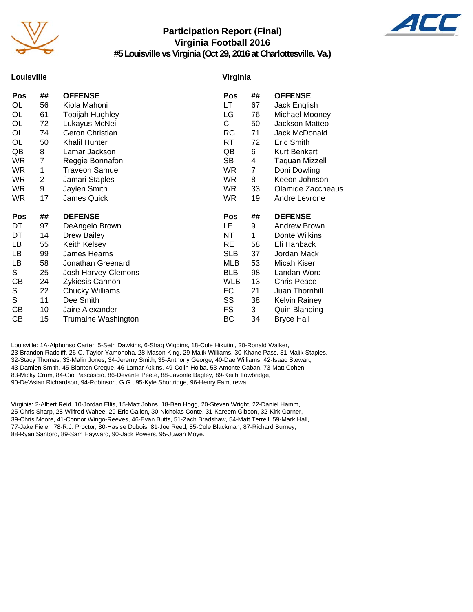

## **Participation Report (Final) Virginia Football 2016 #5 Louisville vs Virginia (Oct 29, 2016 at Charlottesville, Va.)**



**Louisville**

### **Virginia**

| Pos       | ## | <b>OFFENSE</b>         | Pos        | ##             | <b>OFFENSE</b>        |
|-----------|----|------------------------|------------|----------------|-----------------------|
| OL        | 56 | Kiola Mahoni           | LT.        | 67             | Jack English          |
| OL        | 61 | <b>Tobijah Hughley</b> | LG         | 76             | Michael Mooney        |
| OL        | 72 | Lukayus McNeil         | C          | 50             | Jackson Matteo        |
| OL        | 74 | Geron Christian        | <b>RG</b>  | 71             | Jack McDonald         |
| OL        | 50 | Khalil Hunter          | RT         | 72             | Eric Smith            |
| QB        | 8  | Lamar Jackson          | QB         | 6              | Kurt Benkert          |
| <b>WR</b> | 7  | Reggie Bonnafon        | SВ         | 4              | <b>Taquan Mizzell</b> |
| <b>WR</b> | 1  | Traveon Samuel         | <b>WR</b>  | $\overline{7}$ | Doni Dowling          |
| WR.       | 2  | Jamari Staples         | WR.        | 8              | Keeon Johnson         |
| <b>WR</b> | 9  | Jaylen Smith           | <b>WR</b>  | 33             | Olamide Zaccheaus     |
| <b>WR</b> | 17 | James Quick            | <b>WR</b>  | 19             | Andre Levrone         |
|           |    |                        |            |                |                       |
|           |    |                        |            |                |                       |
| Pos       | ## | <b>DEFENSE</b>         | Pos        | ##             | <b>DEFENSE</b>        |
| DT.       | 97 | DeAngelo Brown         | <b>LE</b>  | 9              | Andrew Brown          |
| DT        | 14 | <b>Drew Bailey</b>     | NT         | 1              | Donte Wilkins         |
| LB        | 55 | Keith Kelsey           | <b>RE</b>  | 58             | Eli Hanback           |
| LB        | 99 | James Hearns           | <b>SLB</b> | 37             | Jordan Mack           |
| LB        | 58 | Jonathan Greenard      | <b>MLB</b> | 53             | Micah Kiser           |
| S         | 25 | Josh Harvey-Clemons    | <b>BLB</b> | 98             | Landan Word           |
| СB        | 24 | Zykiesis Cannon        | WLB        | 13             | <b>Chris Peace</b>    |
| S         | 22 | Chucky Williams        | FC         | 21             | Juan Thornhill        |
| S         | 11 | Dee Smith              | SS         | 38             | <b>Kelvin Rainey</b>  |
| CB        | 10 | Jaire Alexander        | FS         | 3              | <b>Quin Blanding</b>  |
| СB        | 15 | Trumaine Washington    | ВC         | 34             | <b>Bryce Hall</b>     |

Louisville: 1A-Alphonso Carter, 5-Seth Dawkins, 6-Shaq Wiggins, 18-Cole Hikutini, 20-Ronald Walker, 23-Brandon Radcliff, 26-C. Taylor-Yamonoha, 28-Mason King, 29-Malik Williams, 30-Khane Pass, 31-Malik Staples, 32-Stacy Thomas, 33-Malin Jones, 34-Jeremy Smith, 35-Anthony George, 40-Dae Williams, 42-Isaac Stewart, 43-Damien Smith, 45-Blanton Creque, 46-Lamar Atkins, 49-Colin Holba, 53-Amonte Caban, 73-Matt Cohen, 83-Micky Crum, 84-Gio Pascascio, 86-Devante Peete, 88-Javonte Bagley, 89-Keith Towbridge, 90-De'Asian Richardson, 94-Robinson, G.G., 95-Kyle Shortridge, 96-Henry Famurewa.

Virginia: 2-Albert Reid, 10-Jordan Ellis, 15-Matt Johns, 18-Ben Hogg, 20-Steven Wright, 22-Daniel Hamm, 25-Chris Sharp, 28-Wilfred Wahee, 29-Eric Gallon, 30-Nicholas Conte, 31-Kareem Gibson, 32-Kirk Garner, 39-Chris Moore, 41-Connor Wingo-Reeves, 46-Evan Butts, 51-Zach Bradshaw, 54-Matt Terrell, 59-Mark Hall, 77-Jake Fieler, 78-R.J. Proctor, 80-Hasise Dubois, 81-Joe Reed, 85-Cole Blackman, 87-Richard Burney, 88-Ryan Santoro, 89-Sam Hayward, 90-Jack Powers, 95-Juwan Moye.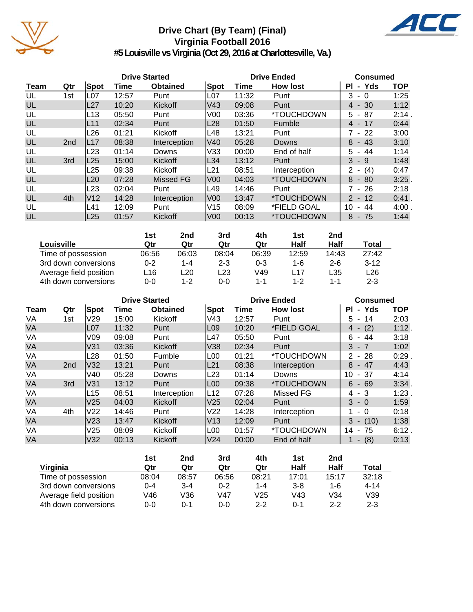

## **Drive Chart (By Team) (Final) Virginia Football 2016**



**#5 Louisville vs Virginia (Oct 29, 2016 at Charlottesville, Va.)**

|           | <b>Drive Started</b> |                 |       |                 |      |       | <b>Drive Ended</b>       |                            |            |  |
|-----------|----------------------|-----------------|-------|-----------------|------|-------|--------------------------|----------------------------|------------|--|
| Team      | Qtr                  | <b>Spot</b>     | Time  | <b>Obtained</b> | Spot | Time  | <b>How lost</b>          | - Yds<br><b>PI</b>         | <b>TOP</b> |  |
| UL        | 1st                  | L07             | 12:57 | Punt            | L07  | 11:32 | Punt                     | 3<br>- 0                   | 1:25       |  |
| UL        |                      | L27             | 10:20 | Kickoff         | lV43 | 09:08 | Punt                     | $4 - 30$                   | 1:12       |  |
| UL        |                      | L13             | 05:50 | Punt            | V00  | 03:36 | *TOUCHDOWN               | 87<br>5.<br>$\sim$         | 2:14.      |  |
| UL        |                      | L <sub>11</sub> | 02:34 | Punt            | L28  | 01:50 | Fumble                   | $4 - 17$                   | 0:44       |  |
| UL        |                      | L26             | 01:21 | Kickoff         | L48  | 13:21 | Punt                     | 7 - 22                     | 3:00       |  |
| UL        | 2 <sub>nd</sub>      | <b>L17</b>      | 08:38 | Interception    | lV40 | 05:28 | Downs                    | 8<br>- 43                  | 3:10       |  |
| UL        |                      | L23             | 01:14 | Downs           | V33  | 00:00 | End of half              | 44<br>5.                   | 1:14       |  |
| UL        | 3rd                  | L25             | 15:00 | Kickoff         | L34  | 13:12 | Punt                     | $3 - 9$                    | 1:48       |  |
| UL        |                      | L25             | 09:38 | Kickoff         | L21  | 08:51 | Interception             | (4)<br>$2 -$               | 0:47       |  |
| <b>UL</b> |                      | L20             | 07:28 | Missed FG       | lV00 | 04:03 | <i><b>*TOUCHDOWN</b></i> | 8<br>- 80                  | $3:25$ .   |  |
| UL        |                      | L23             | 02:04 | Punt            | L49  | 14:46 | Punt                     | 7 - 26                     | 2:18       |  |
| UL        | 4th                  | V12             | 14:28 | Interception    | lV00 | 13:47 | *TOUCHDOWN               | $2 - 12$                   | $0:41$ .   |  |
| UL        |                      | L41             | 12:09 | Punt            | V15  | 08:09 | *FIELD GOAL              | 44<br>10<br>$\blacksquare$ | 4:00.      |  |
| UL        |                      | L <sub>25</sub> | 01:57 | Kickoff         | lV00 | 00:13 | *TOUCHDOWN               | - 75<br>8                  | 1:44       |  |

|                        | 1st     | 2nd   | 3rd     | 4th   | 1st     | 2nd     |         |
|------------------------|---------|-------|---------|-------|---------|---------|---------|
| Louisville             | Qtr     | Qtr   | Qtr     | Qtr   | Half    | Half    | Total   |
| Time of possession     | 06:56   | 06:03 | 08:04   | 06:39 | 12:59   | 14:43   | 27:42   |
| 3rd down conversions   | $0 - 2$ | 1-4   | $2 - 3$ | 0-3   | 1-6     | $2 - 6$ | $3-12$  |
| Average field position | L16     | -20   | ∟23     | V49   | $L$ 17  | L35     | L26     |
| 4th down conversions   | $0 - 0$ | 1-2   | 0-0     | 1-1   | $1 - 2$ | 1-1     | $2 - 3$ |

|             | <b>Drive Started</b> |                 |       |                 |                  |       | <b>Drive Ended</b>       |                            |            |  |
|-------------|----------------------|-----------------|-------|-----------------|------------------|-------|--------------------------|----------------------------|------------|--|
| <b>Team</b> | Qtr                  | <b>Spot</b>     | Time  | <b>Obtained</b> | Spot             | Time  | <b>How lost</b>          | - Yds<br>ΡI                | <b>TOP</b> |  |
| VA          | 1st                  | V <sub>29</sub> | 15:00 | Kickoff         | V43              | 12:57 | Punt                     | $5 - 14$                   | 2:03       |  |
| <b>VA</b>   |                      | L07             | 11:32 | Punt            | L <sub>09</sub>  | 10:20 | *FIELD GOAL              | (2)<br>4 -                 | 1:12.      |  |
| VA          |                      | V09             | 09:08 | Punt            | L47              | 05:50 | Punt                     | 6<br>- 44                  | 3:18       |  |
| <b>VA</b>   |                      | V31             | 03:36 | Kickoff         | V38              | 02:34 | Punt                     | $3 - 7$                    | 1:02       |  |
| VA          |                      | L28             | 01:50 | Fumble          | L <sub>00</sub>  | 01:21 | *TOUCHDOWN               | $2 - 28$                   | 0:29       |  |
| <b>VA</b>   | 2 <sub>nd</sub>      | lV32            | 13:21 | Punt            | L21              | 08:38 | Interception             | - 47<br>8                  | 4:43       |  |
| VA          |                      | V40             | 05:28 | Downs           | L23              | 01:14 | Downs                    | 10<br>-37<br>$\sim$        | 4:14       |  |
| <b>VA</b>   | 3rd                  | V31             | 13:12 | Punt            | L <sub>00</sub>  | 09:38 | <i><b>*TOUCHDOWN</b></i> | $6 - 69$                   | 3:34       |  |
| VA          |                      | L15             | 08:51 | Interception    | L12              | 07:28 | Missed FG                | - 3<br>4                   | 1:23       |  |
| <b>VA</b>   |                      | V <sub>25</sub> | 04:03 | Kickoff         | V <sub>25</sub>  | 02:04 | Punt                     | $3 - 0$                    | 1:59       |  |
| VA          | 4th                  | V22             | 14:46 | Punt            | V22              | 14:28 | Interception             | - 0                        | 0:18       |  |
| <b>VA</b>   |                      | V <sub>23</sub> | 13:47 | Kickoff         | V13              | 12:09 | Punt                     | 3<br>(10)<br>$\sim$        | 1:38       |  |
| VA          |                      | V25             | 08:09 | Kickoff         | L <sub>0</sub> 0 | 01:57 | *TOUCHDOWN               | 14<br>75<br>$\blacksquare$ | 6:12       |  |
| <b>VA</b>   |                      | V32             | 00:13 | Kickoff         | V <sub>24</sub>  | 00:00 | End of half              | (8)<br>۰.                  | 0:13       |  |

|                        | 1st   | 2nd     | 3rd     | 4th     | 1st     | 2nd     |          |
|------------------------|-------|---------|---------|---------|---------|---------|----------|
| Virginia               | Qtr   | Qtr     | Qtr     | Qtr     | Half    | Half    | Total    |
| Time of possession     | 08:04 | 08:57   | 06:56   | 08:21   | 17:01   | 15:17   | 32:18    |
| 3rd down conversions   | 0-4   | $3 - 4$ | $0 - 2$ | $1 - 4$ | $3 - 8$ | $1 - 6$ | $4 - 14$ |
| Average field position | V46   | ∨36     | V47     | V25     | V43     | V34     | V39      |
| 4th down conversions   | 0-0   | ი-1     | $0 - 0$ | $2 - 2$ | 0-1     | $2 - 2$ | $2 - 3$  |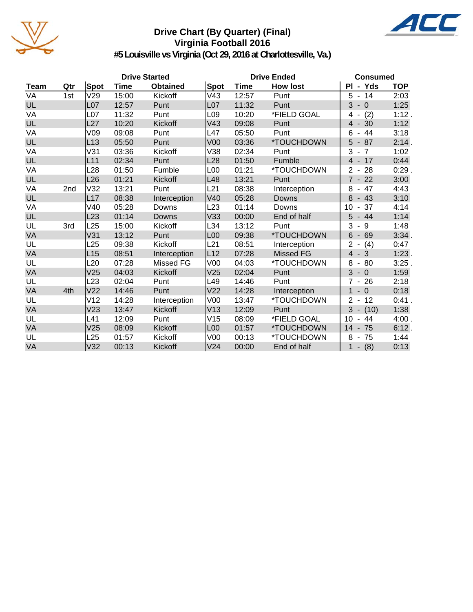

## **Drive Chart (By Quarter) (Final) Virginia Football 2016**



**#5 Louisville vs Virginia (Oct 29, 2016 at Charlottesville, Va.)**

|             | <b>Drive Started</b> |                 |             |                 |                 | <b>Drive Ended</b> | <b>Consumed</b> |                                      |            |
|-------------|----------------------|-----------------|-------------|-----------------|-----------------|--------------------|-----------------|--------------------------------------|------------|
| <b>Team</b> | Qtr                  | Spot            | <b>Time</b> | <b>Obtained</b> | <b>Spot</b>     | <b>Time</b>        | <b>How lost</b> | PI - Yds                             | <b>TOP</b> |
| VA          | 1st                  | V29             | 15:00       | Kickoff         | V43             | 12:57              | Punt            | 5<br>$-14$                           | 2:03       |
| UL          |                      | L <sub>07</sub> | 12:57       | Punt            | L <sub>07</sub> | 11:32              | Punt            | 3<br>$-0$                            | 1:25       |
| VA          |                      | L07             | 11:32       | Punt            | L <sub>09</sub> | 10:20              | *FIELD GOAL     | (2)<br>4                             | 1:12.      |
| UL          |                      | L <sub>27</sub> | 10:20       | Kickoff         | V43             | 09:08              | Punt            | $4 - 30$                             | 1:12       |
| VA          |                      | V09             | 09:08       | Punt            | L47             | 05:50              | Punt            | 6<br>44                              | 3:18       |
| UL          |                      | L13             | 05:50       | Punt            | V <sub>00</sub> | 03:36              | *TOUCHDOWN      | 5<br>$-87$                           | 2:14.      |
| VA          |                      | V31             | 03:36       | Kickoff         | V38             | 02:34              | Punt            | 3<br>$-7$                            | 1:02       |
| <b>UL</b>   |                      | L11             | 02:34       | Punt            | L28             | 01:50              | Fumble          | $4 - 17$                             | 0:44       |
| VA          |                      | L28             | 01:50       | Fumble          | L00             | 01:21              | *TOUCHDOWN      | $2 -$<br>28                          | 0:29       |
| UL          |                      | L <sub>26</sub> | 01:21       | Kickoff         | L48             | 13:21              | Punt            | $7 - 22$                             | 3:00       |
| VA          | 2nd                  | V32             | 13:21       | Punt            | L21             | 08:38              | Interception    | $-47$<br>8                           | 4:43       |
| UL          |                      | L17             | 08:38       | Interception    | V40             | 05:28              | Downs           | 8<br>$-43$                           | 3:10       |
| VA          |                      | V40             | 05:28       | Downs           | L <sub>23</sub> | 01:14              | Downs           | 37<br>10<br>$\blacksquare$           | 4:14       |
| <b>UL</b>   |                      | L <sub>23</sub> | 01:14       | Downs           | V33             | 00:00              | End of half     | 5<br>$-44$                           | 1:14       |
| UL          | 3rd                  | L25             | 15:00       | Kickoff         | L34             | 13:12              | Punt            | 3<br>$-9$                            | 1:48       |
| VA          |                      | V31             | 13:12       | Punt            | L <sub>00</sub> | 09:38              | *TOUCHDOWN      | 6<br>69<br>$\blacksquare$            | 3:34.      |
| UL          |                      | L25             | 09:38       | Kickoff         | L21             | 08:51              | Interception    | $\overline{2}$<br>(4)                | 0:47       |
| VA          |                      | L15             | 08:51       | Interception    | L12             | 07:28              | Missed FG       | $4 - 3$                              | 1:23       |
| UL          |                      | L <sub>20</sub> | 07:28       | Missed FG       | V <sub>00</sub> | 04:03              | *TOUCHDOWN      | 8<br>80                              | 3:25       |
| VA          |                      | V25             | 04:03       | Kickoff         | V25             | 02:04              | Punt            | 3<br>$-0$                            | 1:59       |
| UL          |                      | L <sub>23</sub> | 02:04       | Punt            | L49             | 14:46              | Punt            | $\overline{7}$<br>$-26$              | 2:18       |
| VA          | 4th                  | V <sub>22</sub> | 14:46       | Punt            | V <sub>22</sub> | 14:28              | Interception    | $\mathbf{1}$<br>$-0$                 | 0:18       |
| UL          |                      | V <sub>12</sub> | 14:28       | Interception    | V <sub>00</sub> | 13:47              | *TOUCHDOWN      | 12<br>$\overline{2}$<br>$\omega$     | $0:41$ .   |
| VA          |                      | V23             | 13:47       | Kickoff         | V13             | 12:09              | Punt            | $3 -$<br>(10)                        | 1:38       |
| UL          |                      | L41             | 12:09       | Punt            | V15             | 08:09              | *FIELD GOAL     | 10<br>44<br>$\overline{\phantom{a}}$ | 4:00.      |
| VA          |                      | V25             | 08:09       | Kickoff         | L <sub>00</sub> | 01:57              | *TOUCHDOWN      | 14<br>$-75$                          | 6:12.      |
| UL          |                      | L25             | 01:57       | Kickoff         | V <sub>00</sub> | 00:13              | *TOUCHDOWN      | 8<br>$-75$                           | 1:44       |
| VA          |                      | V32             | 00:13       | Kickoff         | V <sub>24</sub> | 00:00              | End of half     | $1 - (8)$                            | 0:13       |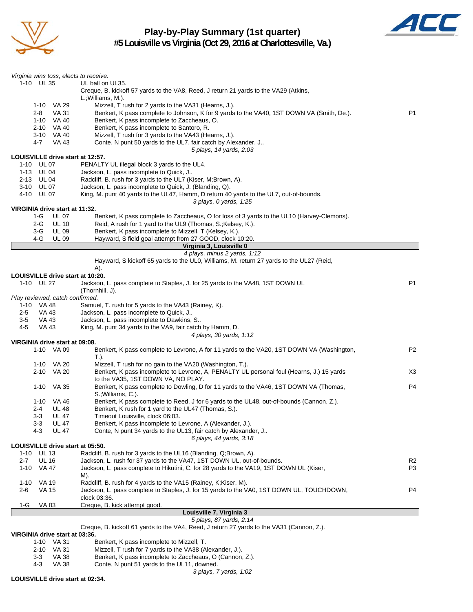

**Play-by-Play Summary (1st quarter) #5 Louisville vs Virginia (Oct 29, 2016 at Charlottesville, Va.)**



| Virginia wins toss, elects to receive.<br>1-10 UL 35 | UL ball on UL35.                                                                                                       |                |
|------------------------------------------------------|------------------------------------------------------------------------------------------------------------------------|----------------|
|                                                      | Creque, B. kickoff 57 yards to the VA8, Reed, J return 21 yards to the VA29 (Atkins,                                   |                |
|                                                      | L.; Williams, M.).                                                                                                     |                |
| 1-10 VA 29                                           | Mizzell, T rush for 2 yards to the VA31 (Hearns, J.).                                                                  |                |
| <b>VA 31</b><br>2-8                                  | Benkert, K pass complete to Johnson, K for 9 yards to the VA40, 1ST DOWN VA (Smith, De.).                              | P <sub>1</sub> |
| 1-10 VA 40<br>2-10 VA 40                             | Benkert, K pass incomplete to Zaccheaus, O.                                                                            |                |
| 3-10 VA 40                                           | Benkert, K pass incomplete to Santoro, R.<br>Mizzell, T rush for 3 yards to the VA43 (Hearns, J.).                     |                |
| 4-7<br>VA 43                                         | Conte, N punt 50 yards to the UL7, fair catch by Alexander, J                                                          |                |
|                                                      | 5 plays, 14 yards, 2:03                                                                                                |                |
| LOUISVILLE drive start at 12:57.                     |                                                                                                                        |                |
| 1-10 UL 07                                           | PENALTY UL illegal block 3 yards to the UL4.                                                                           |                |
| 1-13 UL 04<br>2-13 UL 04                             | Jackson, L. pass incomplete to Quick, J<br>Radcliff, B. rush for 3 yards to the UL7 (Kiser, M;Brown, A).               |                |
| 3-10 UL 07                                           | Jackson, L. pass incomplete to Quick, J. (Blanding, Q).                                                                |                |
| 4-10 UL 07                                           | King, M. punt 40 yards to the UL47, Hamm, D return 40 yards to the UL7, out-of-bounds.                                 |                |
|                                                      | 3 plays, 0 yards, 1:25                                                                                                 |                |
| VIRGINIA drive start at 11:32.                       |                                                                                                                        |                |
| 1-G<br><b>UL 07</b><br>$2-G$                         | Benkert, K pass complete to Zaccheaus, O for loss of 3 yards to the UL10 (Harvey-Clemons).                             |                |
| <b>UL 10</b><br>$3-G$<br><b>UL 09</b>                | Reid, A rush for 1 yard to the UL9 (Thomas, S.; Kelsey, K.).<br>Benkert, K pass incomplete to Mizzell, T (Kelsey, K.). |                |
| 4-G<br><b>UL 09</b>                                  | Hayward, S field goal attempt from 27 GOOD, clock 10:20.                                                               |                |
|                                                      | Virginia 3, Louisville 0                                                                                               |                |
|                                                      | 4 plays, minus 2 yards, 1:12                                                                                           |                |
|                                                      | Hayward, S kickoff 65 yards to the UL0, Williams, M. return 27 yards to the UL27 (Reid,<br>A).                         |                |
| LOUISVILLE drive start at 10:20.                     |                                                                                                                        |                |
| 1-10 UL 27                                           | Jackson, L. pass complete to Staples, J. for 25 yards to the VA48, 1ST DOWN UL                                         | P1             |
|                                                      | (Thornhill, J).                                                                                                        |                |
| Play reviewed, catch confirmed.                      |                                                                                                                        |                |
| 1-10 VA 48                                           | Samuel, T. rush for 5 yards to the VA43 (Rainey, K).                                                                   |                |
| $2 - 5$<br>VA 43<br>VA 43<br>$3-5$                   | Jackson, L. pass incomplete to Quick, J<br>Jackson, L. pass incomplete to Dawkins, S                                   |                |
| 4-5<br>VA 43                                         | King, M. punt 34 yards to the VA9, fair catch by Hamm, D.                                                              |                |
|                                                      | 4 plays, 30 yards, 1:12                                                                                                |                |
| VIRGINIA drive start at 09:08.                       |                                                                                                                        |                |
| 1-10 VA 09                                           | Benkert, K pass complete to Levrone, A for 11 yards to the VA20, 1ST DOWN VA (Washington,                              | P <sub>2</sub> |
| 1-10 VA 20                                           | T.).<br>Mizzell, T rush for no gain to the VA20 (Washington, T.).                                                      |                |
| 2-10 VA 20                                           | Benkert, K pass incomplete to Levrone, A, PENALTY UL personal foul (Hearns, J.) 15 yards                               | X3             |
|                                                      | to the VA35, 1ST DOWN VA, NO PLAY.                                                                                     |                |
| 1-10<br>VA 35                                        | Benkert, K pass complete to Dowling, D for 11 yards to the VA46, 1ST DOWN VA (Thomas,<br>S.; Williams, C.).            | P4             |
| 1-10 VA 46                                           | Benkert, K pass complete to Reed, J for 6 yards to the UL48, out-of-bounds (Cannon, Z.).                               |                |
| 2-4 UL 48                                            | Benkert, K rush for 1 yard to the UL47 (Thomas, S.).                                                                   |                |
| 3-3<br>UL 47                                         | Timeout Louisville, clock 06:03.                                                                                       |                |
| $3 - 3$<br>UL 47                                     | Benkert, K pass incomplete to Levrone, A (Alexander, J.).                                                              |                |
| 4-3<br>UL 47                                         | Conte, N punt 34 yards to the UL13, fair catch by Alexander, J<br>6 plays, 44 yards, 3:18                              |                |
| LOUISVILLE drive start at 05:50.                     |                                                                                                                        |                |
| 1-10<br>UL 13                                        | Radcliff, B. rush for 3 yards to the UL16 (Blanding, Q;Brown, A).                                                      |                |
| <b>UL 16</b><br>$2 - 7$                              | Jackson, L. rush for 37 yards to the VA47, 1ST DOWN UL, out-of-bounds.                                                 | R2             |
| $1 - 10$<br>VA 47                                    | Jackson, L. pass complete to Hikutini, C. for 28 yards to the VA19, 1ST DOWN UL (Kiser,                                | P3             |
| $1 - 10$<br>VA 19                                    | M).<br>Radcliff, B. rush for 4 yards to the VA15 (Rainey, K;Kiser, M).                                                 |                |
| VA 15<br>2-6                                         | Jackson, L. pass complete to Staples, J. for 15 yards to the VA0, 1ST DOWN UL, TOUCHDOWN,                              | P4             |
|                                                      | clock 03:36.                                                                                                           |                |
| VA 03<br>1-G                                         | Creque, B. kick attempt good.                                                                                          |                |
|                                                      | Louisville 7, Virginia 3                                                                                               |                |
|                                                      | 5 plays, 87 yards, 2:14                                                                                                |                |
| VIRGINIA drive start at 03:36.                       | Creque, B. kickoff 61 yards to the VA4, Reed, J return 27 yards to the VA31 (Cannon, Z.).                              |                |
| 1-10 VA 31                                           | Benkert, K pass incomplete to Mizzell, T.                                                                              |                |
| $2-10$ $\sqrt{4}$ 31                                 | Mizzell $\top$ rush for $\frac{7}{2}$ vards to the $\frac{1}{4}$ $\frac{1}{4}$ $\frac{1}{4}$ $\frac{1}{4}$             |                |

- 2-10 VA 31 Mizzell, T rush for 7 yards to the VA38 (Alexander, J.).<br>3-3 VA 38 Benkert, K pass incomplete to Zaccheaus, O (Cannon, 3-3 VA 38 Benkert, K pass incomplete to Zaccheaus, O (Cannon, Z.).
- 4-3 VA 38 Conte, N punt 51 yards to the UL11, downed.

**LOUISVILLE drive start at 02:34.**

*3 plays, 7 yards, 1:02*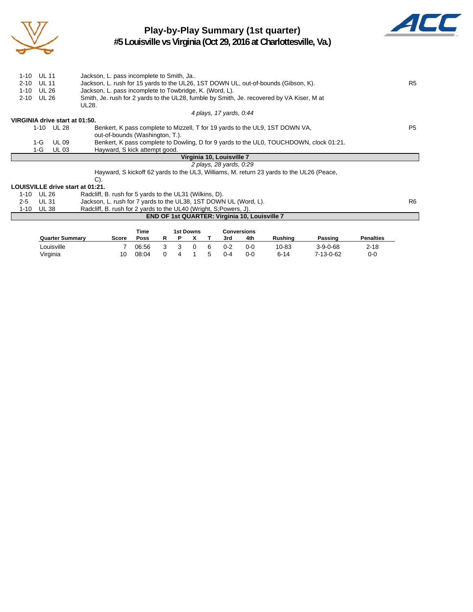

# **Play-by-Play Summary (1st quarter)**



**#5 Louisville vs Virginia (Oct 29, 2016 at Charlottesville, Va.)**

| <b>UL 11</b><br>1-10             | Jackson, L. pass incomplete to Smith, Ja                                                  |                |
|----------------------------------|-------------------------------------------------------------------------------------------|----------------|
| <b>UL 11</b><br>$2 - 10$         | Jackson, L. rush for 15 yards to the UL26, 1ST DOWN UL, out-of-bounds (Gibson, K).        | R <sub>5</sub> |
| UL 26<br>1-10                    | Jackson, L. pass incomplete to Towbridge, K. (Word, L).                                   |                |
| UL 26<br>2-10                    | Smith, Je. rush for 2 yards to the UL28, fumble by Smith, Je. recovered by VA Kiser, M at |                |
|                                  | UL28.                                                                                     |                |
|                                  | 4 plays, 17 yards, 0:44                                                                   |                |
| VIRGINIA drive start at 01:50.   |                                                                                           |                |
| 1-10 UL 28                       | Benkert, K pass complete to Mizzell, T for 19 yards to the UL9, 1ST DOWN VA,              | P5             |
|                                  | out-of-bounds (Washington, T.).                                                           |                |
| $1-G$<br>UL 09                   | Benkert, K pass complete to Dowling, D for 9 yards to the UL0, TOUCHDOWN, clock 01:21.    |                |
| <b>UL 03</b><br>1-G              | Hayward, S kick attempt good.                                                             |                |
|                                  | Virginia 10, Louisville 7                                                                 |                |
|                                  | 2 plays, 28 yards, 0:29                                                                   |                |
|                                  | Hayward, S kickoff 62 yards to the UL3, Williams, M. return 23 yards to the UL26 (Peace,  |                |
|                                  | $C$ ).                                                                                    |                |
| LOUISVILLE drive start at 01:21. |                                                                                           |                |
| UL 26<br>1-10                    | Radcliff, B. rush for 5 yards to the UL31 (Wilkins, D).                                   |                |
| <b>UL 31</b><br>$2 - 5$          | Jackson, L. rush for 7 yards to the UL38, 1ST DOWN UL (Word, L).                          | R <sub>6</sub> |
| 1-10<br>UL 38                    | Radcliff, B. rush for 2 yards to the UL40 (Wright, S; Powers, J).                         |                |
|                                  | END OF 1st QUARTER: Virginia 10, Louisville 7                                             |                |
|                                  |                                                                                           |                |
|                                  | Time<br><b>1st Downs</b><br><b>Conversions</b>                                            |                |
|                                  |                                                                                           |                |

|       | ше    |          |              |          |               |         |     |                       |            |                  |  |
|-------|-------|----------|--------------|----------|---------------|---------|-----|-----------------------|------------|------------------|--|
| Score | Poss  |          |              |          |               | 3rd     | 4th | Rushina               | Passing    | <b>Penalties</b> |  |
|       | 06:56 | - 3      | $\mathbf{R}$ | $\Omega$ | 6             | $0 - 2$ | 0-0 | 10-83                 | $3-9-0-68$ | $2 - 18$         |  |
| 10    | 08:04 | $\Omega$ | 4            |          | $\mathcal{F}$ | $0 - 4$ | 0-0 | 6-14                  | 7-13-0-62  | 0-0              |  |
|       |       |          |              |          | בוואיטע ופו   |         |     | <b>UUIIVEI SIUIIS</b> |            |                  |  |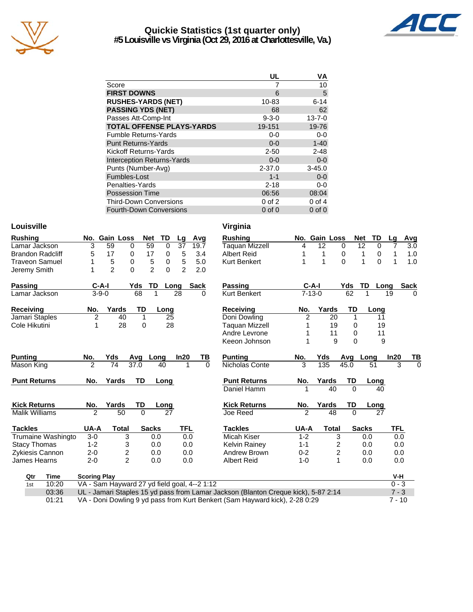

## **Quickie Statistics (1st quarter only) #5 Louisville vs Virginia (Oct 29, 2016 at Charlottesville, Va.)**



|                                   | UL          | ٧A           |
|-----------------------------------|-------------|--------------|
| Score                             |             | 10           |
| <b>FIRST DOWNS</b>                | 6           | 5            |
| <b>RUSHES-YARDS (NET)</b>         | 10-83       | $6 - 14$     |
| <b>PASSING YDS (NET)</b>          | 68          | 62           |
| Passes Att-Comp-Int               | $9 - 3 - 0$ | $13 - 7 - 0$ |
| <b>TOTAL OFFENSE PLAYS-YARDS</b>  | 19-151      | 19-76        |
| <b>Fumble Returns-Yards</b>       | $0-0$       | $0-0$        |
| <b>Punt Returns-Yards</b>         | $0 - 0$     | $1 - 40$     |
| Kickoff Returns-Yards             | $2 - 50$    | $2 - 48$     |
| <b>Interception Returns-Yards</b> | $0 - 0$     | $0-0$        |
| Punts (Number-Avg)                | $2 - 37.0$  | $3 - 45.0$   |
| Fumbles-Lost                      | $1 - 1$     | $0-0$        |
| Penalties-Yards                   | $2 - 18$    | $0-0$        |
| <b>Possession Time</b>            | 06:56       | 08:04        |
| <b>Third-Down Conversions</b>     | $0$ of $2$  | 0 of 4       |
| <b>Fourth-Down Conversions</b>    | $0$ of $0$  | $0$ of $0$   |

## Louisville **Virginia**

| <b>Rushing</b>          |                     | No. Gain Loss                                | <b>Net</b>     | <b>TD</b>           | Lg             | Avg         |          | <b>Rushing</b>                                                                     |                | No. Gain Loss |             | <b>Net</b><br>TD  | Lg         | Avg         |
|-------------------------|---------------------|----------------------------------------------|----------------|---------------------|----------------|-------------|----------|------------------------------------------------------------------------------------|----------------|---------------|-------------|-------------------|------------|-------------|
| Lamar Jackson           | 3                   | 59                                           | 59<br>$\Omega$ | $\Omega$            | 37             | 19.7        |          | <b>Taquan Mizzell</b>                                                              | 4              | 12            | 0           | 12<br>$\Omega$    | 7          | 3.0         |
| <b>Brandon Radcliff</b> | 5                   | 17                                           | 17<br>0        | 0                   | 5              | 3.4         |          | <b>Albert Reid</b>                                                                 |                | 1             | 0           | 1<br>0            | 1          | 1.0         |
| <b>Traveon Samuel</b>   |                     | 5                                            | 0              | 5<br>0              | 5              | 5.0         |          | Kurt Benkert                                                                       |                | 1             | $\mathbf 0$ | $\Omega$<br>1     | 1          | 1.0         |
| Jeremy Smith            | 1                   | $\overline{2}$                               | 0              | $\overline{2}$<br>0 | $\overline{2}$ | 2.0         |          |                                                                                    |                |               |             |                   |            |             |
| <b>Passing</b>          | $C-A-I$             |                                              | Yds            | <b>TD</b>           | Long           | <b>Sack</b> |          | <b>Passing</b>                                                                     |                | $C-A-I$       | Yds         | <b>TD</b><br>Long |            | <b>Sack</b> |
| Lamar Jackson           | $3 - 9 - 0$         |                                              | 68             |                     | 28             |             | 0        | <b>Kurt Benkert</b>                                                                |                | $7 - 13 - 0$  | 62          |                   | 19         | $\Omega$    |
| Receiving               | No.                 | Yards                                        | TD             | Long                |                |             |          | Receiving                                                                          | No.            | Yards         | TD          | Long              |            |             |
| Jamari Staples          | $\overline{c}$      | 40                                           | 1              | 25                  |                |             |          | Doni Dowling                                                                       | $\overline{2}$ | 20            | 1           | 11                |            |             |
| Cole Hikutini           | 1                   | 28                                           | 0              | 28                  |                |             |          | Taquan Mizzell                                                                     |                | 19            | 0           | 19                |            |             |
|                         |                     |                                              |                |                     |                |             |          | Andre Levrone                                                                      |                | 11            | 0           | 11                |            |             |
|                         |                     |                                              |                |                     |                |             |          | Keeon Johnson                                                                      |                | 9             | $\Omega$    | 9                 |            |             |
| <b>Punting</b>          | No.                 | Yds                                          | Avq            | Long                | In20           |             | ΤВ       | <b>Punting</b>                                                                     | No.            | Yds           | Avg         | Long              | In20       | ΤВ          |
| Mason King              | $\overline{2}$      | 74                                           | 37.0           | 40                  | 1              |             | $\Omega$ | Nicholas Conte                                                                     | 3              | 135           | 45.0        | 51                | 3          | $\Omega$    |
| <b>Punt Returns</b>     | No.                 | Yards                                        | <b>TD</b>      | Long                |                |             |          | <b>Punt Returns</b>                                                                | No.            | Yards         | TD          | Long              |            |             |
|                         |                     |                                              |                |                     |                |             |          | Daniel Hamm                                                                        |                | 40            | $\Omega$    | 40                |            |             |
| <b>Kick Returns</b>     | No.                 | Yards                                        | TD             | Long                |                |             |          | <b>Kick Returns</b>                                                                | No.            | Yards         | TD          | Long              |            |             |
| <b>Malik Williams</b>   | $\overline{2}$      | 50                                           | $\Omega$       | 27                  |                |             |          | Joe Reed                                                                           | $\overline{2}$ | 48            | $\Omega$    | 27                |            |             |
| <b>Tackles</b>          | UA-A                | <b>Total</b>                                 | <b>Sacks</b>   |                     | TFL            |             |          | Tackles                                                                            | UA-A           | <b>Total</b>  |             | <b>Sacks</b>      | <b>TFL</b> |             |
| Trumaine Washingto      | $3-0$               | 3                                            |                | 0.0                 | 0.0            |             |          | Micah Kiser                                                                        | $1 - 2$        |               | 3           | 0.0               | 0.0        |             |
| <b>Stacy Thomas</b>     | $1 - 2$             | 3                                            |                | 0.0                 | 0.0            |             |          | <b>Kelvin Rainey</b>                                                               | $1 - 1$        |               | 2           | 0.0               | 0.0        |             |
| Zykiesis Cannon         | $2 - 0$             | $\overline{\mathbf{c}}$                      |                | 0.0                 | 0.0            |             |          | <b>Andrew Brown</b>                                                                | $0 - 2$        |               | 2           | 0.0               | 0.0        |             |
| James Hearns            | $2 - 0$             | $\mathfrak{p}$                               |                | 0.0                 | 0.0            |             |          | <b>Albert Reid</b>                                                                 | $1 - 0$        |               | 1           | 0.0               | 0.0        |             |
| Qtr<br><b>Time</b>      | <b>Scoring Play</b> |                                              |                |                     |                |             |          |                                                                                    |                |               |             |                   | $V-H$      |             |
| 10:20<br>1st            |                     | VA - Sam Hayward 27 yd field goal, 4--2 1:12 |                |                     |                |             |          |                                                                                    |                |               |             |                   | $0 - 3$    |             |
| 03:36                   |                     |                                              |                |                     |                |             |          | UL - Jamari Staples 15 yd pass from Lamar Jackson (Blanton Creque kick), 5-87 2:14 |                |               |             |                   | $7 - 3$    |             |
| 01:21                   |                     |                                              |                |                     |                |             |          | VA - Doni Dowling 9 yd pass from Kurt Benkert (Sam Hayward kick), 2-28 0:29        |                |               |             |                   | $7 - 10$   |             |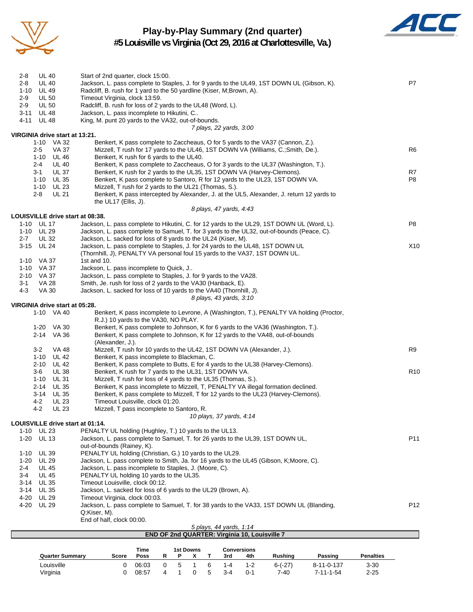

# **Play-by-Play Summary (2nd quarter)**



**#5 Louisville vs Virginia (Oct 29, 2016 at Charlottesville, Va.)**

| 1-10 VA 32<br>Benkert, K pass complete to Zaccheaus, O for 5 yards to the VA37 (Cannon, Z.).<br><b>VA 37</b><br>Mizzell, T rush for 17 yards to the UL46, 1ST DOWN VA (Williams, C.; Smith, De.).<br>R6<br>$2 - 5$<br>1-10 UL 46<br>Benkert, K rush for 6 yards to the UL40.<br>$2 - 4$<br><b>UL 40</b><br>Benkert, K pass complete to Zaccheaus, O for 3 yards to the UL37 (Washington, T.).<br><b>UL 37</b><br>Benkert, K rush for 2 yards to the UL35, 1ST DOWN VA (Harvey-Clemons).<br>R7<br>3-1<br>1-10 UL 35<br>P8<br>Benkert, K pass complete to Santoro, R for 12 yards to the UL23, 1ST DOWN VA.<br>1-10 $UL$ 23<br>Mizzell, T rush for 2 yards to the UL21 (Thomas, S.).<br><b>UL 21</b><br>Benkert, K pass intercepted by Alexander, J. at the UL5, Alexander, J. return 12 yards to<br>2-8<br>the UL17 (Ellis, J).<br>8 plays, 47 yards, 4:43<br>LOUISVILLE drive start at 08:38.<br>P8<br>1-10 UL 17<br>Jackson, L. pass complete to Hikutini, C. for 12 yards to the UL29, 1ST DOWN UL (Word, L).<br>1-10 UL 29<br>Jackson, L. pass complete to Samuel, T. for 3 yards to the UL32, out-of-bounds (Peace, C).<br><b>UL 32</b><br>Jackson, L. sacked for loss of 8 yards to the UL24 (Kiser, M).<br>2-7<br>3-15 UL 24<br>Jackson, L. pass complete to Staples, J. for 24 yards to the UL48, 1ST DOWN UL<br>X10<br>(Thornhill, J), PENALTY VA personal foul 15 yards to the VA37, 1ST DOWN UL.<br>1-10 VA 37<br>1st and $10$ .<br>VA 37<br>1-10<br>Jackson, L. pass incomplete to Quick, J<br>2-10 VA 37<br>Jackson, L. pass complete to Staples, J. for 9 yards to the VA28.<br>3-1<br>VA 28<br>Smith, Je. rush for loss of 2 yards to the VA30 (Hanback, E).<br>$4 - 3$<br>Jackson, L. sacked for loss of 10 yards to the VA40 (Thornhill, J).<br>VA 30<br>8 plays, 43 yards, 3:10<br>VIRGINIA drive start at 05:28.<br>1-10 VA 40<br>Benkert, K pass incomplete to Levrone, A (Washington, T.), PENALTY VA holding (Proctor,<br>R.J.) 10 yards to the VA30, NO PLAY.<br>Benkert, K pass complete to Johnson, K for 6 yards to the VA36 (Washington, T.).<br>1-20 VA 30<br>2-14 VA 36<br>Benkert, K pass complete to Johnson, K for 12 yards to the VA48, out-of-bounds<br>(Alexander, J.).<br>R9<br>3-2<br>VA 48<br>Mizzell, T rush for 10 yards to the UL42, 1ST DOWN VA (Alexander, J.).<br>Benkert, K pass incomplete to Blackman, C.<br>1-10<br>UL 42<br>2-10<br><b>UL 42</b><br>Benkert, K pass complete to Butts, E for 4 yards to the UL38 (Harvey-Clemons).<br>R <sub>10</sub><br>3-6<br><b>UL 38</b><br>Benkert, K rush for 7 yards to the UL31, 1ST DOWN VA.<br><b>UL 31</b><br>1-10<br>Mizzell, T rush for loss of 4 yards to the UL35 (Thomas, S.).<br>Benkert, K pass incomplete to Mizzell, T, PENALTY VA illegal formation declined.<br>2-14<br><b>UL 35</b><br>Benkert, K pass complete to Mizzell, T for 12 yards to the UL23 (Harvey-Clemons).<br>3-14 UL 35<br>4-2<br><b>UL 23</b><br>Timeout Louisville, clock 01:20.<br><b>UL 23</b><br>Mizzell, T pass incomplete to Santoro, R.<br>4-2<br>10 plays, 37 yards, 4:14<br>LOUISVILLE drive start at 01:14.<br><b>UL 23</b><br>PENALTY UL holding (Hughley, T.) 10 yards to the UL13.<br>1-10<br><b>UL 13</b><br>P11<br>$1 - 20$<br>Jackson, L. pass complete to Samuel, T. for 26 yards to the UL39, 1ST DOWN UL,<br>out-of-bounds (Rainey, K).<br>PENALTY UL holding (Christian, G.) 10 yards to the UL29.<br>$1 - 10$<br><b>UL 39</b><br>Jackson, L. pass complete to Smith, Ja. for 16 yards to the UL45 (Gibson, K;Moore, C).<br>$1 - 20$<br>UL 29<br><b>UL 45</b><br>Jackson, L. pass incomplete to Staples, J. (Moore, C).<br>2-4<br>PENALTY UL holding 10 yards to the UL35.<br>$3 - 4$<br><b>UL 45</b><br><b>UL 35</b><br>Timeout Louisville, clock 00:12.<br>3-14<br>Jackson, L. sacked for loss of 6 yards to the UL29 (Brown, A).<br>3-14<br>UL 35<br>4-20<br><b>UL 29</b><br>Timeout Virginia, clock 00:03.<br>P <sub>12</sub><br>4-20<br><b>UL 29</b><br>Jackson, L. pass complete to Samuel, T. for 38 yards to the VA33, 1ST DOWN UL (Blanding,<br>Q;Kiser, M).<br>End of half, clock 00:00.<br>5 plays, 44 yards, 1:14<br>END OF 2nd QUARTER: Virginia 10, Louisville 7<br><b>1st Downs</b><br>Time<br><b>Conversions</b><br><b>Quarter Summary</b><br><b>Rushing</b><br>Passing<br><b>Penalties</b><br>Score<br>Poss<br>R<br>P<br>х<br>3rd<br>4th<br>Τ<br>5<br>$\mathbf{1}$<br>6<br>Louisville<br>0<br>0<br>$1 - 4$<br>$1 - 2$<br>8-11-0-137<br>$3 - 30$<br>06:03<br>$6-(-27)$<br>0<br>5<br>Virginia<br>0<br>08:57<br>4<br>$\mathbf{1}$<br>$3 - 4$<br>$0 - 1$<br>$7 - 40$<br>$7 - 11 - 1 - 54$<br>$2 - 25$ | 2-8<br>$2 - 8$<br>$1 - 10$<br>$2-9$<br>$2 - 9$<br>3-11<br>4-11<br>VIRGINIA drive start at 13:21. | <b>UL 40</b><br><b>UL 40</b><br><b>UL 49</b><br>UL 50<br><b>UL 50</b><br><b>UL 48</b><br><b>UL 48</b> | Start of 2nd quarter, clock 15:00.<br>Jackson, L. pass complete to Staples, J. for 9 yards to the UL49, 1ST DOWN UL (Gibson, K).<br>Radcliff, B. rush for 1 yard to the 50 yardline (Kiser, M;Brown, A).<br>Timeout Virginia, clock 13:59.<br>Radcliff, B. rush for loss of 2 yards to the UL48 (Word, L).<br>Jackson, L. pass incomplete to Hikutini, C<br>King, M. punt 20 yards to the VA32, out-of-bounds. |  |  | 7 plays, 22 yards, 3:00 |  |  | P7 |
|---------------------------------------------------------------------------------------------------------------------------------------------------------------------------------------------------------------------------------------------------------------------------------------------------------------------------------------------------------------------------------------------------------------------------------------------------------------------------------------------------------------------------------------------------------------------------------------------------------------------------------------------------------------------------------------------------------------------------------------------------------------------------------------------------------------------------------------------------------------------------------------------------------------------------------------------------------------------------------------------------------------------------------------------------------------------------------------------------------------------------------------------------------------------------------------------------------------------------------------------------------------------------------------------------------------------------------------------------------------------------------------------------------------------------------------------------------------------------------------------------------------------------------------------------------------------------------------------------------------------------------------------------------------------------------------------------------------------------------------------------------------------------------------------------------------------------------------------------------------------------------------------------------------------------------------------------------------------------------------------------------------------------------------------------------------------------------------------------------------------------------------------------------------------------------------------------------------------------------------------------------------------------------------------------------------------------------------------------------------------------------------------------------------------------------------------------------------------------------------------------------------------------------------------------------------------------------------------------------------------------------------------------------------------------------------------------------------------------------------------------------------------------------------------------------------------------------------------------------------------------------------------------------------------------------------------------------------------------------------------------------------------------------------------------------------------------------------------------------------------------------------------------------------------------------------------------------------------------------------------------------------------------------------------------------------------------------------------------------------------------------------------------------------------------------------------------------------------------------------------------------------------------------------------------------------------------------------------------------------------------------------------------------------------------------------------------------------------------------------------------------------------------------------------------------------------------------------------------------------------------------------------------------------------------------------------------------------------------------------------------------------------------------------------------------------------------------------------------------------------------------------------------------------------------------------------------------------------------------------------------------------------------------------------------------------------------------------------------------------------------------------------------------------------------------------------------------------------------------------------------------------------------------------------------------------------------------------------------------------|--------------------------------------------------------------------------------------------------|-------------------------------------------------------------------------------------------------------|----------------------------------------------------------------------------------------------------------------------------------------------------------------------------------------------------------------------------------------------------------------------------------------------------------------------------------------------------------------------------------------------------------------|--|--|-------------------------|--|--|----|
|                                                                                                                                                                                                                                                                                                                                                                                                                                                                                                                                                                                                                                                                                                                                                                                                                                                                                                                                                                                                                                                                                                                                                                                                                                                                                                                                                                                                                                                                                                                                                                                                                                                                                                                                                                                                                                                                                                                                                                                                                                                                                                                                                                                                                                                                                                                                                                                                                                                                                                                                                                                                                                                                                                                                                                                                                                                                                                                                                                                                                                                                                                                                                                                                                                                                                                                                                                                                                                                                                                                                                                                                                                                                                                                                                                                                                                                                                                                                                                                                                                                                                                                                                                                                                                                                                                                                                                                                                                                                                                                                                                                                               |                                                                                                  |                                                                                                       |                                                                                                                                                                                                                                                                                                                                                                                                                |  |  |                         |  |  |    |
|                                                                                                                                                                                                                                                                                                                                                                                                                                                                                                                                                                                                                                                                                                                                                                                                                                                                                                                                                                                                                                                                                                                                                                                                                                                                                                                                                                                                                                                                                                                                                                                                                                                                                                                                                                                                                                                                                                                                                                                                                                                                                                                                                                                                                                                                                                                                                                                                                                                                                                                                                                                                                                                                                                                                                                                                                                                                                                                                                                                                                                                                                                                                                                                                                                                                                                                                                                                                                                                                                                                                                                                                                                                                                                                                                                                                                                                                                                                                                                                                                                                                                                                                                                                                                                                                                                                                                                                                                                                                                                                                                                                                               |                                                                                                  |                                                                                                       |                                                                                                                                                                                                                                                                                                                                                                                                                |  |  |                         |  |  |    |
|                                                                                                                                                                                                                                                                                                                                                                                                                                                                                                                                                                                                                                                                                                                                                                                                                                                                                                                                                                                                                                                                                                                                                                                                                                                                                                                                                                                                                                                                                                                                                                                                                                                                                                                                                                                                                                                                                                                                                                                                                                                                                                                                                                                                                                                                                                                                                                                                                                                                                                                                                                                                                                                                                                                                                                                                                                                                                                                                                                                                                                                                                                                                                                                                                                                                                                                                                                                                                                                                                                                                                                                                                                                                                                                                                                                                                                                                                                                                                                                                                                                                                                                                                                                                                                                                                                                                                                                                                                                                                                                                                                                                               |                                                                                                  |                                                                                                       |                                                                                                                                                                                                                                                                                                                                                                                                                |  |  |                         |  |  |    |
|                                                                                                                                                                                                                                                                                                                                                                                                                                                                                                                                                                                                                                                                                                                                                                                                                                                                                                                                                                                                                                                                                                                                                                                                                                                                                                                                                                                                                                                                                                                                                                                                                                                                                                                                                                                                                                                                                                                                                                                                                                                                                                                                                                                                                                                                                                                                                                                                                                                                                                                                                                                                                                                                                                                                                                                                                                                                                                                                                                                                                                                                                                                                                                                                                                                                                                                                                                                                                                                                                                                                                                                                                                                                                                                                                                                                                                                                                                                                                                                                                                                                                                                                                                                                                                                                                                                                                                                                                                                                                                                                                                                                               |                                                                                                  |                                                                                                       |                                                                                                                                                                                                                                                                                                                                                                                                                |  |  |                         |  |  |    |
|                                                                                                                                                                                                                                                                                                                                                                                                                                                                                                                                                                                                                                                                                                                                                                                                                                                                                                                                                                                                                                                                                                                                                                                                                                                                                                                                                                                                                                                                                                                                                                                                                                                                                                                                                                                                                                                                                                                                                                                                                                                                                                                                                                                                                                                                                                                                                                                                                                                                                                                                                                                                                                                                                                                                                                                                                                                                                                                                                                                                                                                                                                                                                                                                                                                                                                                                                                                                                                                                                                                                                                                                                                                                                                                                                                                                                                                                                                                                                                                                                                                                                                                                                                                                                                                                                                                                                                                                                                                                                                                                                                                                               |                                                                                                  |                                                                                                       |                                                                                                                                                                                                                                                                                                                                                                                                                |  |  |                         |  |  |    |
|                                                                                                                                                                                                                                                                                                                                                                                                                                                                                                                                                                                                                                                                                                                                                                                                                                                                                                                                                                                                                                                                                                                                                                                                                                                                                                                                                                                                                                                                                                                                                                                                                                                                                                                                                                                                                                                                                                                                                                                                                                                                                                                                                                                                                                                                                                                                                                                                                                                                                                                                                                                                                                                                                                                                                                                                                                                                                                                                                                                                                                                                                                                                                                                                                                                                                                                                                                                                                                                                                                                                                                                                                                                                                                                                                                                                                                                                                                                                                                                                                                                                                                                                                                                                                                                                                                                                                                                                                                                                                                                                                                                                               |                                                                                                  |                                                                                                       |                                                                                                                                                                                                                                                                                                                                                                                                                |  |  |                         |  |  |    |
|                                                                                                                                                                                                                                                                                                                                                                                                                                                                                                                                                                                                                                                                                                                                                                                                                                                                                                                                                                                                                                                                                                                                                                                                                                                                                                                                                                                                                                                                                                                                                                                                                                                                                                                                                                                                                                                                                                                                                                                                                                                                                                                                                                                                                                                                                                                                                                                                                                                                                                                                                                                                                                                                                                                                                                                                                                                                                                                                                                                                                                                                                                                                                                                                                                                                                                                                                                                                                                                                                                                                                                                                                                                                                                                                                                                                                                                                                                                                                                                                                                                                                                                                                                                                                                                                                                                                                                                                                                                                                                                                                                                                               |                                                                                                  |                                                                                                       |                                                                                                                                                                                                                                                                                                                                                                                                                |  |  |                         |  |  |    |
|                                                                                                                                                                                                                                                                                                                                                                                                                                                                                                                                                                                                                                                                                                                                                                                                                                                                                                                                                                                                                                                                                                                                                                                                                                                                                                                                                                                                                                                                                                                                                                                                                                                                                                                                                                                                                                                                                                                                                                                                                                                                                                                                                                                                                                                                                                                                                                                                                                                                                                                                                                                                                                                                                                                                                                                                                                                                                                                                                                                                                                                                                                                                                                                                                                                                                                                                                                                                                                                                                                                                                                                                                                                                                                                                                                                                                                                                                                                                                                                                                                                                                                                                                                                                                                                                                                                                                                                                                                                                                                                                                                                                               |                                                                                                  |                                                                                                       |                                                                                                                                                                                                                                                                                                                                                                                                                |  |  |                         |  |  |    |
|                                                                                                                                                                                                                                                                                                                                                                                                                                                                                                                                                                                                                                                                                                                                                                                                                                                                                                                                                                                                                                                                                                                                                                                                                                                                                                                                                                                                                                                                                                                                                                                                                                                                                                                                                                                                                                                                                                                                                                                                                                                                                                                                                                                                                                                                                                                                                                                                                                                                                                                                                                                                                                                                                                                                                                                                                                                                                                                                                                                                                                                                                                                                                                                                                                                                                                                                                                                                                                                                                                                                                                                                                                                                                                                                                                                                                                                                                                                                                                                                                                                                                                                                                                                                                                                                                                                                                                                                                                                                                                                                                                                                               |                                                                                                  |                                                                                                       |                                                                                                                                                                                                                                                                                                                                                                                                                |  |  |                         |  |  |    |
|                                                                                                                                                                                                                                                                                                                                                                                                                                                                                                                                                                                                                                                                                                                                                                                                                                                                                                                                                                                                                                                                                                                                                                                                                                                                                                                                                                                                                                                                                                                                                                                                                                                                                                                                                                                                                                                                                                                                                                                                                                                                                                                                                                                                                                                                                                                                                                                                                                                                                                                                                                                                                                                                                                                                                                                                                                                                                                                                                                                                                                                                                                                                                                                                                                                                                                                                                                                                                                                                                                                                                                                                                                                                                                                                                                                                                                                                                                                                                                                                                                                                                                                                                                                                                                                                                                                                                                                                                                                                                                                                                                                                               |                                                                                                  |                                                                                                       |                                                                                                                                                                                                                                                                                                                                                                                                                |  |  |                         |  |  |    |
|                                                                                                                                                                                                                                                                                                                                                                                                                                                                                                                                                                                                                                                                                                                                                                                                                                                                                                                                                                                                                                                                                                                                                                                                                                                                                                                                                                                                                                                                                                                                                                                                                                                                                                                                                                                                                                                                                                                                                                                                                                                                                                                                                                                                                                                                                                                                                                                                                                                                                                                                                                                                                                                                                                                                                                                                                                                                                                                                                                                                                                                                                                                                                                                                                                                                                                                                                                                                                                                                                                                                                                                                                                                                                                                                                                                                                                                                                                                                                                                                                                                                                                                                                                                                                                                                                                                                                                                                                                                                                                                                                                                                               |                                                                                                  |                                                                                                       |                                                                                                                                                                                                                                                                                                                                                                                                                |  |  |                         |  |  |    |
|                                                                                                                                                                                                                                                                                                                                                                                                                                                                                                                                                                                                                                                                                                                                                                                                                                                                                                                                                                                                                                                                                                                                                                                                                                                                                                                                                                                                                                                                                                                                                                                                                                                                                                                                                                                                                                                                                                                                                                                                                                                                                                                                                                                                                                                                                                                                                                                                                                                                                                                                                                                                                                                                                                                                                                                                                                                                                                                                                                                                                                                                                                                                                                                                                                                                                                                                                                                                                                                                                                                                                                                                                                                                                                                                                                                                                                                                                                                                                                                                                                                                                                                                                                                                                                                                                                                                                                                                                                                                                                                                                                                                               |                                                                                                  |                                                                                                       |                                                                                                                                                                                                                                                                                                                                                                                                                |  |  |                         |  |  |    |
|                                                                                                                                                                                                                                                                                                                                                                                                                                                                                                                                                                                                                                                                                                                                                                                                                                                                                                                                                                                                                                                                                                                                                                                                                                                                                                                                                                                                                                                                                                                                                                                                                                                                                                                                                                                                                                                                                                                                                                                                                                                                                                                                                                                                                                                                                                                                                                                                                                                                                                                                                                                                                                                                                                                                                                                                                                                                                                                                                                                                                                                                                                                                                                                                                                                                                                                                                                                                                                                                                                                                                                                                                                                                                                                                                                                                                                                                                                                                                                                                                                                                                                                                                                                                                                                                                                                                                                                                                                                                                                                                                                                                               |                                                                                                  |                                                                                                       |                                                                                                                                                                                                                                                                                                                                                                                                                |  |  |                         |  |  |    |
|                                                                                                                                                                                                                                                                                                                                                                                                                                                                                                                                                                                                                                                                                                                                                                                                                                                                                                                                                                                                                                                                                                                                                                                                                                                                                                                                                                                                                                                                                                                                                                                                                                                                                                                                                                                                                                                                                                                                                                                                                                                                                                                                                                                                                                                                                                                                                                                                                                                                                                                                                                                                                                                                                                                                                                                                                                                                                                                                                                                                                                                                                                                                                                                                                                                                                                                                                                                                                                                                                                                                                                                                                                                                                                                                                                                                                                                                                                                                                                                                                                                                                                                                                                                                                                                                                                                                                                                                                                                                                                                                                                                                               |                                                                                                  |                                                                                                       |                                                                                                                                                                                                                                                                                                                                                                                                                |  |  |                         |  |  |    |
|                                                                                                                                                                                                                                                                                                                                                                                                                                                                                                                                                                                                                                                                                                                                                                                                                                                                                                                                                                                                                                                                                                                                                                                                                                                                                                                                                                                                                                                                                                                                                                                                                                                                                                                                                                                                                                                                                                                                                                                                                                                                                                                                                                                                                                                                                                                                                                                                                                                                                                                                                                                                                                                                                                                                                                                                                                                                                                                                                                                                                                                                                                                                                                                                                                                                                                                                                                                                                                                                                                                                                                                                                                                                                                                                                                                                                                                                                                                                                                                                                                                                                                                                                                                                                                                                                                                                                                                                                                                                                                                                                                                                               |                                                                                                  |                                                                                                       |                                                                                                                                                                                                                                                                                                                                                                                                                |  |  |                         |  |  |    |
|                                                                                                                                                                                                                                                                                                                                                                                                                                                                                                                                                                                                                                                                                                                                                                                                                                                                                                                                                                                                                                                                                                                                                                                                                                                                                                                                                                                                                                                                                                                                                                                                                                                                                                                                                                                                                                                                                                                                                                                                                                                                                                                                                                                                                                                                                                                                                                                                                                                                                                                                                                                                                                                                                                                                                                                                                                                                                                                                                                                                                                                                                                                                                                                                                                                                                                                                                                                                                                                                                                                                                                                                                                                                                                                                                                                                                                                                                                                                                                                                                                                                                                                                                                                                                                                                                                                                                                                                                                                                                                                                                                                                               |                                                                                                  |                                                                                                       |                                                                                                                                                                                                                                                                                                                                                                                                                |  |  |                         |  |  |    |
|                                                                                                                                                                                                                                                                                                                                                                                                                                                                                                                                                                                                                                                                                                                                                                                                                                                                                                                                                                                                                                                                                                                                                                                                                                                                                                                                                                                                                                                                                                                                                                                                                                                                                                                                                                                                                                                                                                                                                                                                                                                                                                                                                                                                                                                                                                                                                                                                                                                                                                                                                                                                                                                                                                                                                                                                                                                                                                                                                                                                                                                                                                                                                                                                                                                                                                                                                                                                                                                                                                                                                                                                                                                                                                                                                                                                                                                                                                                                                                                                                                                                                                                                                                                                                                                                                                                                                                                                                                                                                                                                                                                                               |                                                                                                  |                                                                                                       |                                                                                                                                                                                                                                                                                                                                                                                                                |  |  |                         |  |  |    |
|                                                                                                                                                                                                                                                                                                                                                                                                                                                                                                                                                                                                                                                                                                                                                                                                                                                                                                                                                                                                                                                                                                                                                                                                                                                                                                                                                                                                                                                                                                                                                                                                                                                                                                                                                                                                                                                                                                                                                                                                                                                                                                                                                                                                                                                                                                                                                                                                                                                                                                                                                                                                                                                                                                                                                                                                                                                                                                                                                                                                                                                                                                                                                                                                                                                                                                                                                                                                                                                                                                                                                                                                                                                                                                                                                                                                                                                                                                                                                                                                                                                                                                                                                                                                                                                                                                                                                                                                                                                                                                                                                                                                               |                                                                                                  |                                                                                                       |                                                                                                                                                                                                                                                                                                                                                                                                                |  |  |                         |  |  |    |
|                                                                                                                                                                                                                                                                                                                                                                                                                                                                                                                                                                                                                                                                                                                                                                                                                                                                                                                                                                                                                                                                                                                                                                                                                                                                                                                                                                                                                                                                                                                                                                                                                                                                                                                                                                                                                                                                                                                                                                                                                                                                                                                                                                                                                                                                                                                                                                                                                                                                                                                                                                                                                                                                                                                                                                                                                                                                                                                                                                                                                                                                                                                                                                                                                                                                                                                                                                                                                                                                                                                                                                                                                                                                                                                                                                                                                                                                                                                                                                                                                                                                                                                                                                                                                                                                                                                                                                                                                                                                                                                                                                                                               |                                                                                                  |                                                                                                       |                                                                                                                                                                                                                                                                                                                                                                                                                |  |  |                         |  |  |    |
|                                                                                                                                                                                                                                                                                                                                                                                                                                                                                                                                                                                                                                                                                                                                                                                                                                                                                                                                                                                                                                                                                                                                                                                                                                                                                                                                                                                                                                                                                                                                                                                                                                                                                                                                                                                                                                                                                                                                                                                                                                                                                                                                                                                                                                                                                                                                                                                                                                                                                                                                                                                                                                                                                                                                                                                                                                                                                                                                                                                                                                                                                                                                                                                                                                                                                                                                                                                                                                                                                                                                                                                                                                                                                                                                                                                                                                                                                                                                                                                                                                                                                                                                                                                                                                                                                                                                                                                                                                                                                                                                                                                                               |                                                                                                  |                                                                                                       |                                                                                                                                                                                                                                                                                                                                                                                                                |  |  |                         |  |  |    |
|                                                                                                                                                                                                                                                                                                                                                                                                                                                                                                                                                                                                                                                                                                                                                                                                                                                                                                                                                                                                                                                                                                                                                                                                                                                                                                                                                                                                                                                                                                                                                                                                                                                                                                                                                                                                                                                                                                                                                                                                                                                                                                                                                                                                                                                                                                                                                                                                                                                                                                                                                                                                                                                                                                                                                                                                                                                                                                                                                                                                                                                                                                                                                                                                                                                                                                                                                                                                                                                                                                                                                                                                                                                                                                                                                                                                                                                                                                                                                                                                                                                                                                                                                                                                                                                                                                                                                                                                                                                                                                                                                                                                               |                                                                                                  |                                                                                                       |                                                                                                                                                                                                                                                                                                                                                                                                                |  |  |                         |  |  |    |
|                                                                                                                                                                                                                                                                                                                                                                                                                                                                                                                                                                                                                                                                                                                                                                                                                                                                                                                                                                                                                                                                                                                                                                                                                                                                                                                                                                                                                                                                                                                                                                                                                                                                                                                                                                                                                                                                                                                                                                                                                                                                                                                                                                                                                                                                                                                                                                                                                                                                                                                                                                                                                                                                                                                                                                                                                                                                                                                                                                                                                                                                                                                                                                                                                                                                                                                                                                                                                                                                                                                                                                                                                                                                                                                                                                                                                                                                                                                                                                                                                                                                                                                                                                                                                                                                                                                                                                                                                                                                                                                                                                                                               |                                                                                                  |                                                                                                       |                                                                                                                                                                                                                                                                                                                                                                                                                |  |  |                         |  |  |    |
|                                                                                                                                                                                                                                                                                                                                                                                                                                                                                                                                                                                                                                                                                                                                                                                                                                                                                                                                                                                                                                                                                                                                                                                                                                                                                                                                                                                                                                                                                                                                                                                                                                                                                                                                                                                                                                                                                                                                                                                                                                                                                                                                                                                                                                                                                                                                                                                                                                                                                                                                                                                                                                                                                                                                                                                                                                                                                                                                                                                                                                                                                                                                                                                                                                                                                                                                                                                                                                                                                                                                                                                                                                                                                                                                                                                                                                                                                                                                                                                                                                                                                                                                                                                                                                                                                                                                                                                                                                                                                                                                                                                                               |                                                                                                  |                                                                                                       |                                                                                                                                                                                                                                                                                                                                                                                                                |  |  |                         |  |  |    |
|                                                                                                                                                                                                                                                                                                                                                                                                                                                                                                                                                                                                                                                                                                                                                                                                                                                                                                                                                                                                                                                                                                                                                                                                                                                                                                                                                                                                                                                                                                                                                                                                                                                                                                                                                                                                                                                                                                                                                                                                                                                                                                                                                                                                                                                                                                                                                                                                                                                                                                                                                                                                                                                                                                                                                                                                                                                                                                                                                                                                                                                                                                                                                                                                                                                                                                                                                                                                                                                                                                                                                                                                                                                                                                                                                                                                                                                                                                                                                                                                                                                                                                                                                                                                                                                                                                                                                                                                                                                                                                                                                                                                               |                                                                                                  |                                                                                                       |                                                                                                                                                                                                                                                                                                                                                                                                                |  |  |                         |  |  |    |
|                                                                                                                                                                                                                                                                                                                                                                                                                                                                                                                                                                                                                                                                                                                                                                                                                                                                                                                                                                                                                                                                                                                                                                                                                                                                                                                                                                                                                                                                                                                                                                                                                                                                                                                                                                                                                                                                                                                                                                                                                                                                                                                                                                                                                                                                                                                                                                                                                                                                                                                                                                                                                                                                                                                                                                                                                                                                                                                                                                                                                                                                                                                                                                                                                                                                                                                                                                                                                                                                                                                                                                                                                                                                                                                                                                                                                                                                                                                                                                                                                                                                                                                                                                                                                                                                                                                                                                                                                                                                                                                                                                                                               |                                                                                                  |                                                                                                       |                                                                                                                                                                                                                                                                                                                                                                                                                |  |  |                         |  |  |    |
|                                                                                                                                                                                                                                                                                                                                                                                                                                                                                                                                                                                                                                                                                                                                                                                                                                                                                                                                                                                                                                                                                                                                                                                                                                                                                                                                                                                                                                                                                                                                                                                                                                                                                                                                                                                                                                                                                                                                                                                                                                                                                                                                                                                                                                                                                                                                                                                                                                                                                                                                                                                                                                                                                                                                                                                                                                                                                                                                                                                                                                                                                                                                                                                                                                                                                                                                                                                                                                                                                                                                                                                                                                                                                                                                                                                                                                                                                                                                                                                                                                                                                                                                                                                                                                                                                                                                                                                                                                                                                                                                                                                                               |                                                                                                  |                                                                                                       |                                                                                                                                                                                                                                                                                                                                                                                                                |  |  |                         |  |  |    |
|                                                                                                                                                                                                                                                                                                                                                                                                                                                                                                                                                                                                                                                                                                                                                                                                                                                                                                                                                                                                                                                                                                                                                                                                                                                                                                                                                                                                                                                                                                                                                                                                                                                                                                                                                                                                                                                                                                                                                                                                                                                                                                                                                                                                                                                                                                                                                                                                                                                                                                                                                                                                                                                                                                                                                                                                                                                                                                                                                                                                                                                                                                                                                                                                                                                                                                                                                                                                                                                                                                                                                                                                                                                                                                                                                                                                                                                                                                                                                                                                                                                                                                                                                                                                                                                                                                                                                                                                                                                                                                                                                                                                               |                                                                                                  |                                                                                                       |                                                                                                                                                                                                                                                                                                                                                                                                                |  |  |                         |  |  |    |
|                                                                                                                                                                                                                                                                                                                                                                                                                                                                                                                                                                                                                                                                                                                                                                                                                                                                                                                                                                                                                                                                                                                                                                                                                                                                                                                                                                                                                                                                                                                                                                                                                                                                                                                                                                                                                                                                                                                                                                                                                                                                                                                                                                                                                                                                                                                                                                                                                                                                                                                                                                                                                                                                                                                                                                                                                                                                                                                                                                                                                                                                                                                                                                                                                                                                                                                                                                                                                                                                                                                                                                                                                                                                                                                                                                                                                                                                                                                                                                                                                                                                                                                                                                                                                                                                                                                                                                                                                                                                                                                                                                                                               |                                                                                                  |                                                                                                       |                                                                                                                                                                                                                                                                                                                                                                                                                |  |  |                         |  |  |    |
|                                                                                                                                                                                                                                                                                                                                                                                                                                                                                                                                                                                                                                                                                                                                                                                                                                                                                                                                                                                                                                                                                                                                                                                                                                                                                                                                                                                                                                                                                                                                                                                                                                                                                                                                                                                                                                                                                                                                                                                                                                                                                                                                                                                                                                                                                                                                                                                                                                                                                                                                                                                                                                                                                                                                                                                                                                                                                                                                                                                                                                                                                                                                                                                                                                                                                                                                                                                                                                                                                                                                                                                                                                                                                                                                                                                                                                                                                                                                                                                                                                                                                                                                                                                                                                                                                                                                                                                                                                                                                                                                                                                                               |                                                                                                  |                                                                                                       |                                                                                                                                                                                                                                                                                                                                                                                                                |  |  |                         |  |  |    |
|                                                                                                                                                                                                                                                                                                                                                                                                                                                                                                                                                                                                                                                                                                                                                                                                                                                                                                                                                                                                                                                                                                                                                                                                                                                                                                                                                                                                                                                                                                                                                                                                                                                                                                                                                                                                                                                                                                                                                                                                                                                                                                                                                                                                                                                                                                                                                                                                                                                                                                                                                                                                                                                                                                                                                                                                                                                                                                                                                                                                                                                                                                                                                                                                                                                                                                                                                                                                                                                                                                                                                                                                                                                                                                                                                                                                                                                                                                                                                                                                                                                                                                                                                                                                                                                                                                                                                                                                                                                                                                                                                                                                               |                                                                                                  |                                                                                                       |                                                                                                                                                                                                                                                                                                                                                                                                                |  |  |                         |  |  |    |
|                                                                                                                                                                                                                                                                                                                                                                                                                                                                                                                                                                                                                                                                                                                                                                                                                                                                                                                                                                                                                                                                                                                                                                                                                                                                                                                                                                                                                                                                                                                                                                                                                                                                                                                                                                                                                                                                                                                                                                                                                                                                                                                                                                                                                                                                                                                                                                                                                                                                                                                                                                                                                                                                                                                                                                                                                                                                                                                                                                                                                                                                                                                                                                                                                                                                                                                                                                                                                                                                                                                                                                                                                                                                                                                                                                                                                                                                                                                                                                                                                                                                                                                                                                                                                                                                                                                                                                                                                                                                                                                                                                                                               |                                                                                                  |                                                                                                       |                                                                                                                                                                                                                                                                                                                                                                                                                |  |  |                         |  |  |    |
|                                                                                                                                                                                                                                                                                                                                                                                                                                                                                                                                                                                                                                                                                                                                                                                                                                                                                                                                                                                                                                                                                                                                                                                                                                                                                                                                                                                                                                                                                                                                                                                                                                                                                                                                                                                                                                                                                                                                                                                                                                                                                                                                                                                                                                                                                                                                                                                                                                                                                                                                                                                                                                                                                                                                                                                                                                                                                                                                                                                                                                                                                                                                                                                                                                                                                                                                                                                                                                                                                                                                                                                                                                                                                                                                                                                                                                                                                                                                                                                                                                                                                                                                                                                                                                                                                                                                                                                                                                                                                                                                                                                                               |                                                                                                  |                                                                                                       |                                                                                                                                                                                                                                                                                                                                                                                                                |  |  |                         |  |  |    |
|                                                                                                                                                                                                                                                                                                                                                                                                                                                                                                                                                                                                                                                                                                                                                                                                                                                                                                                                                                                                                                                                                                                                                                                                                                                                                                                                                                                                                                                                                                                                                                                                                                                                                                                                                                                                                                                                                                                                                                                                                                                                                                                                                                                                                                                                                                                                                                                                                                                                                                                                                                                                                                                                                                                                                                                                                                                                                                                                                                                                                                                                                                                                                                                                                                                                                                                                                                                                                                                                                                                                                                                                                                                                                                                                                                                                                                                                                                                                                                                                                                                                                                                                                                                                                                                                                                                                                                                                                                                                                                                                                                                                               |                                                                                                  |                                                                                                       |                                                                                                                                                                                                                                                                                                                                                                                                                |  |  |                         |  |  |    |
|                                                                                                                                                                                                                                                                                                                                                                                                                                                                                                                                                                                                                                                                                                                                                                                                                                                                                                                                                                                                                                                                                                                                                                                                                                                                                                                                                                                                                                                                                                                                                                                                                                                                                                                                                                                                                                                                                                                                                                                                                                                                                                                                                                                                                                                                                                                                                                                                                                                                                                                                                                                                                                                                                                                                                                                                                                                                                                                                                                                                                                                                                                                                                                                                                                                                                                                                                                                                                                                                                                                                                                                                                                                                                                                                                                                                                                                                                                                                                                                                                                                                                                                                                                                                                                                                                                                                                                                                                                                                                                                                                                                                               |                                                                                                  |                                                                                                       |                                                                                                                                                                                                                                                                                                                                                                                                                |  |  |                         |  |  |    |
|                                                                                                                                                                                                                                                                                                                                                                                                                                                                                                                                                                                                                                                                                                                                                                                                                                                                                                                                                                                                                                                                                                                                                                                                                                                                                                                                                                                                                                                                                                                                                                                                                                                                                                                                                                                                                                                                                                                                                                                                                                                                                                                                                                                                                                                                                                                                                                                                                                                                                                                                                                                                                                                                                                                                                                                                                                                                                                                                                                                                                                                                                                                                                                                                                                                                                                                                                                                                                                                                                                                                                                                                                                                                                                                                                                                                                                                                                                                                                                                                                                                                                                                                                                                                                                                                                                                                                                                                                                                                                                                                                                                                               |                                                                                                  |                                                                                                       |                                                                                                                                                                                                                                                                                                                                                                                                                |  |  |                         |  |  |    |
|                                                                                                                                                                                                                                                                                                                                                                                                                                                                                                                                                                                                                                                                                                                                                                                                                                                                                                                                                                                                                                                                                                                                                                                                                                                                                                                                                                                                                                                                                                                                                                                                                                                                                                                                                                                                                                                                                                                                                                                                                                                                                                                                                                                                                                                                                                                                                                                                                                                                                                                                                                                                                                                                                                                                                                                                                                                                                                                                                                                                                                                                                                                                                                                                                                                                                                                                                                                                                                                                                                                                                                                                                                                                                                                                                                                                                                                                                                                                                                                                                                                                                                                                                                                                                                                                                                                                                                                                                                                                                                                                                                                                               |                                                                                                  |                                                                                                       |                                                                                                                                                                                                                                                                                                                                                                                                                |  |  |                         |  |  |    |
|                                                                                                                                                                                                                                                                                                                                                                                                                                                                                                                                                                                                                                                                                                                                                                                                                                                                                                                                                                                                                                                                                                                                                                                                                                                                                                                                                                                                                                                                                                                                                                                                                                                                                                                                                                                                                                                                                                                                                                                                                                                                                                                                                                                                                                                                                                                                                                                                                                                                                                                                                                                                                                                                                                                                                                                                                                                                                                                                                                                                                                                                                                                                                                                                                                                                                                                                                                                                                                                                                                                                                                                                                                                                                                                                                                                                                                                                                                                                                                                                                                                                                                                                                                                                                                                                                                                                                                                                                                                                                                                                                                                                               |                                                                                                  |                                                                                                       |                                                                                                                                                                                                                                                                                                                                                                                                                |  |  |                         |  |  |    |
|                                                                                                                                                                                                                                                                                                                                                                                                                                                                                                                                                                                                                                                                                                                                                                                                                                                                                                                                                                                                                                                                                                                                                                                                                                                                                                                                                                                                                                                                                                                                                                                                                                                                                                                                                                                                                                                                                                                                                                                                                                                                                                                                                                                                                                                                                                                                                                                                                                                                                                                                                                                                                                                                                                                                                                                                                                                                                                                                                                                                                                                                                                                                                                                                                                                                                                                                                                                                                                                                                                                                                                                                                                                                                                                                                                                                                                                                                                                                                                                                                                                                                                                                                                                                                                                                                                                                                                                                                                                                                                                                                                                                               |                                                                                                  |                                                                                                       |                                                                                                                                                                                                                                                                                                                                                                                                                |  |  |                         |  |  |    |
|                                                                                                                                                                                                                                                                                                                                                                                                                                                                                                                                                                                                                                                                                                                                                                                                                                                                                                                                                                                                                                                                                                                                                                                                                                                                                                                                                                                                                                                                                                                                                                                                                                                                                                                                                                                                                                                                                                                                                                                                                                                                                                                                                                                                                                                                                                                                                                                                                                                                                                                                                                                                                                                                                                                                                                                                                                                                                                                                                                                                                                                                                                                                                                                                                                                                                                                                                                                                                                                                                                                                                                                                                                                                                                                                                                                                                                                                                                                                                                                                                                                                                                                                                                                                                                                                                                                                                                                                                                                                                                                                                                                                               |                                                                                                  |                                                                                                       |                                                                                                                                                                                                                                                                                                                                                                                                                |  |  |                         |  |  |    |
|                                                                                                                                                                                                                                                                                                                                                                                                                                                                                                                                                                                                                                                                                                                                                                                                                                                                                                                                                                                                                                                                                                                                                                                                                                                                                                                                                                                                                                                                                                                                                                                                                                                                                                                                                                                                                                                                                                                                                                                                                                                                                                                                                                                                                                                                                                                                                                                                                                                                                                                                                                                                                                                                                                                                                                                                                                                                                                                                                                                                                                                                                                                                                                                                                                                                                                                                                                                                                                                                                                                                                                                                                                                                                                                                                                                                                                                                                                                                                                                                                                                                                                                                                                                                                                                                                                                                                                                                                                                                                                                                                                                                               |                                                                                                  |                                                                                                       |                                                                                                                                                                                                                                                                                                                                                                                                                |  |  |                         |  |  |    |
|                                                                                                                                                                                                                                                                                                                                                                                                                                                                                                                                                                                                                                                                                                                                                                                                                                                                                                                                                                                                                                                                                                                                                                                                                                                                                                                                                                                                                                                                                                                                                                                                                                                                                                                                                                                                                                                                                                                                                                                                                                                                                                                                                                                                                                                                                                                                                                                                                                                                                                                                                                                                                                                                                                                                                                                                                                                                                                                                                                                                                                                                                                                                                                                                                                                                                                                                                                                                                                                                                                                                                                                                                                                                                                                                                                                                                                                                                                                                                                                                                                                                                                                                                                                                                                                                                                                                                                                                                                                                                                                                                                                                               |                                                                                                  |                                                                                                       |                                                                                                                                                                                                                                                                                                                                                                                                                |  |  |                         |  |  |    |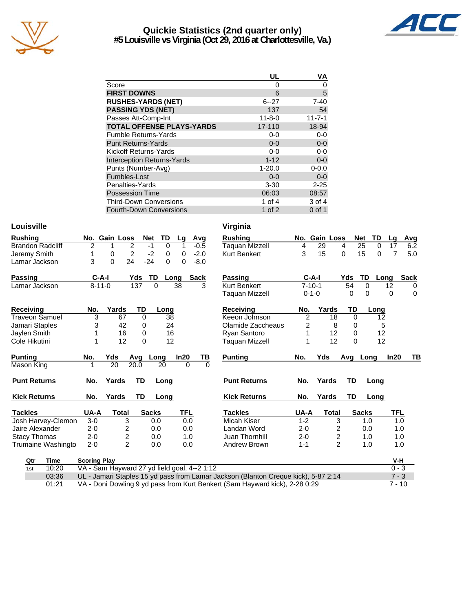

## **Quickie Statistics (2nd quarter only) #5 Louisville vs Virginia (Oct 29, 2016 at Charlottesville, Va.)**



|                                   | UL           | ٧A           |
|-----------------------------------|--------------|--------------|
| Score                             | 0            | 0            |
| <b>FIRST DOWNS</b>                | 6            | 5            |
| <b>RUSHES-YARDS (NET)</b>         | $6 - 27$     | $7 - 40$     |
| <b>PASSING YDS (NET)</b>          | 137          | 54           |
| Passes Att-Comp-Int               | $11 - 8 - 0$ | $11 - 7 - 1$ |
| <b>TOTAL OFFENSE PLAYS-YARDS</b>  | 17-110       | 18-94        |
| <b>Fumble Returns-Yards</b>       | $0 - 0$      | 0-0          |
| <b>Punt Returns-Yards</b>         | $0 - 0$      | $0-0$        |
| Kickoff Returns-Yards             | $0-0$        | $0 - 0$      |
| <b>Interception Returns-Yards</b> | $1 - 12$     | $0-0$        |
| Punts (Number-Avg)                | $1 - 20.0$   | $0 - 0.0$    |
| Fumbles-Lost                      | $0 - 0$      | $0-0$        |
| Penalties-Yards                   | $3 - 30$     | $2 - 25$     |
| <b>Possession Time</b>            | 06:03        | 08:57        |
| <b>Third-Down Conversions</b>     | 1 of 4       | 3 of 4       |
| Fourth-Down Conversions           | 1 of $2$     | $0$ of 1     |

### **Louisville**

| <b>Rushing</b>          |   |              | No. Gain Loss | Net TD |   | La   | Avg         |
|-------------------------|---|--------------|---------------|--------|---|------|-------------|
| <b>Brandon Radcliff</b> |   |              | 2             | -1     |   |      | $-0.5$      |
| Jeremy Smith            |   |              | 2             | -2     | Ω | 0    | $-2.0$      |
| Lamar Jackson           | 3 | $\mathbf{0}$ | 24            | $-24$  | O | 0    | -8.0        |
| Passing                 |   | $C-A-I$      | Yds           | TD.    |   | Long | <b>Sack</b> |
| Lamar Jackson           |   | $8 - 11 - 0$ | 137           | O      |   | 38   | 3           |

| Receivina             | No.     | Yards | TD       | Long         |            |    | <b>Receiving</b>    | No.     | Yards          | TD  | Lonc         |
|-----------------------|---------|-------|----------|--------------|------------|----|---------------------|---------|----------------|-----|--------------|
| <b>Traveon Samuel</b> | 3       | 67    | $\Omega$ | 38           |            |    | Keeon Johnson       | 2       | 18             | 0   | 12           |
| Jamari Staples        | 3       | 42    | 0        | 24           |            |    | Olamide Zaccheaus   | 2       | 8              | 0   |              |
| Jaylen Smith          |         | 16    | 0        | 16           |            |    | Ryan Santoro        |         | 12             | 0   | 12           |
| Cole Hikutini         |         | 12    | 0        | 12           |            |    | Taquan Mizzell      |         | 12             | 0   | 12           |
| <b>Punting</b>        | No.     | Yds   | Avg      | Long         | In20       | ΤВ | <b>Punting</b>      | No.     | Yds            | Avg | Long         |
| Mason King            |         | 20    | 20.0     | 20           | 0          | 0  |                     |         |                |     |              |
| <b>Punt Returns</b>   | No.     | Yards | TD       | Long         |            |    | <b>Punt Returns</b> | No.     | Yards          | TD  | Long         |
| <b>Kick Returns</b>   | No.     | Yards | TD       | Long         |            |    | <b>Kick Returns</b> | No.     | Yards          | TD  | Long         |
| <b>Tackles</b>        | UA-A    | Total |          | <b>Sacks</b> | <b>TFL</b> |    | Tackles             | UA-A    | <b>Total</b>   |     | <b>Sacks</b> |
| Josh Harvey-Clemon    | $3-0$   |       | 3        | 0.0          | 0.0        |    | Micah Kiser         | $1 - 2$ | 3              |     | 1.0          |
| Jaire Alexander       | $2 - 0$ |       | 2        | 0.0          | 0.0        |    | Landan Word         | 2-0     | 2              |     | 0.0          |
| <b>Stacy Thomas</b>   | $2 - 0$ |       | 2        | 0.0          | 1.0        |    | Juan Thornhill      | 2-0     | 2              |     | 1.0          |
| Trumaine Washingto    | $2 - 0$ |       | 2        | 0.0          | 0.0        |    | Andrew Brown        | $1 - 1$ | $\overline{c}$ |     | 1.0          |

| Virginia |  |
|----------|--|
|----------|--|

| hing                 |                                              | No. Gain Loss |                | TD<br><b>Net</b> | Lg               |             | Avg      | <b>Rushing</b>                                                                     |                | No. Gain Loss  | <b>Net</b> | TD             | Lg       | Avg         |
|----------------------|----------------------------------------------|---------------|----------------|------------------|------------------|-------------|----------|------------------------------------------------------------------------------------|----------------|----------------|------------|----------------|----------|-------------|
| don Radcliff         | 2                                            |               | 2              | $-1$             | $\mathbf 0$<br>1 |             | $-0.5$   | Taguan Mizzell                                                                     | 4              | 29             | 4          | 25<br>$\Omega$ | 17       | 6.2         |
| ny Smith             | 1                                            | 0             | $\overline{2}$ | $-2$             | 0<br>0           |             | $-2.0$   | <b>Kurt Benkert</b>                                                                | 3              | 15             | 0          | 15<br>0        | 7        | 5.0         |
| ar Jackson           | 3                                            | $\Omega$      | 24             | $-24$            | $\Omega$<br>0    |             | $-8.0$   |                                                                                    |                |                |            |                |          |             |
| inq                  | $C-A-I$                                      |               | Yds            | TD               | Long             | <b>Sack</b> |          | <b>Passing</b>                                                                     | $C-A-I$        |                | Yds        | TD<br>Long     |          | <b>Sack</b> |
| ar Jackson           | $8 - 11 - 0$                                 |               | 137            | $\Omega$         | 38               |             | 3        | <b>Kurt Benkert</b>                                                                | $7 - 10 - 1$   |                | 54         | 0              | 12       | 0           |
|                      |                                              |               |                |                  |                  |             |          | Taquan Mizzell                                                                     | $0 - 1 - 0$    |                | 0          | $\Omega$       | 0        | 0           |
| eiving               | No.                                          | Yards         | TD             | Long             |                  |             |          | Receiving                                                                          | No.            | Yards          | TD         | Long           |          |             |
| eon Samuel           | 3                                            | 67            | $\Omega$       |                  | 38               |             |          | Keeon Johnson                                                                      | $\overline{2}$ | 18             | $\Omega$   | 12             |          |             |
| ari Staples          | 3                                            | 42            | 0              |                  | 24               |             |          | Olamide Zaccheaus                                                                  | $\overline{c}$ | 8              | 0          | 5              |          |             |
| ፥n Smith             |                                              | 16            | 0              |                  | 16               |             |          | Ryan Santoro                                                                       |                | 12             | 0          | 12             |          |             |
| Hikutini             | 1                                            | 12            | $\Omega$       |                  | 12               |             |          | <b>Taquan Mizzell</b>                                                              |                | 12             | $\Omega$   | 12             |          |             |
| ing                  | No.                                          | Yds           | Avq            | Long             | In20             |             | TВ       | <b>Punting</b>                                                                     | No.            | Yds            | Avg Long   |                | In20     | TВ          |
| งn King              | 1                                            | 20            | 20.0           | 20               |                  | $\Omega$    | $\Omega$ |                                                                                    |                |                |            |                |          |             |
| t Returns            | No.                                          | Yards         | TD             | Long             |                  |             |          | <b>Punt Returns</b>                                                                | No.            | Yards          | TD         | Long           |          |             |
| Returns              | No.                                          | Yards         | <b>TD</b>      | Long             |                  |             |          | <b>Kick Returns</b>                                                                | No.            | Yards          | <b>TD</b>  | Long           |          |             |
| des                  | UA-A                                         | <b>Total</b>  |                | <b>Sacks</b>     | TFL              |             |          | <b>Tackles</b>                                                                     | UA-A           | <b>Total</b>   |            | <b>Sacks</b>   | TFL      |             |
| <b>Harvey-Clemon</b> | $3-0$                                        |               | 3              | 0.0              |                  | 0.0         |          | Micah Kiser                                                                        | $1 - 2$        | 3              |            | 1.0            | 1.0      |             |
| : Alexander          | $2 - 0$                                      |               | 2              | 0.0              |                  | 0.0         |          | Landan Word                                                                        | $2 - 0$        | $\overline{c}$ |            | 0.0            | 1.0      |             |
| y Thomas             | $2 - 0$                                      |               | 2              | 0.0              |                  | 1.0         |          | Juan Thornhill                                                                     | $2 - 0$        | 2              |            | 1.0            | 1.0      |             |
| naine Washingto      | $2 - 0$                                      |               | $\overline{2}$ | 0.0              |                  | 0.0         |          | Andrew Brown                                                                       | $1 - 1$        | $\overline{2}$ |            | 1.0            | 1.0      |             |
| Qtr<br><b>Time</b>   | <b>Scoring Play</b>                          |               |                |                  |                  |             |          |                                                                                    |                |                |            |                | V-H      |             |
| 10:20<br>1st         | VA - Sam Hayward 27 yd field goal, 4--2 1:12 |               |                |                  |                  |             |          |                                                                                    |                |                |            |                | $0 - 3$  |             |
| 03:36                |                                              |               |                |                  |                  |             |          | UL - Jamari Staples 15 yd pass from Lamar Jackson (Blanton Creque kick), 5-87 2:14 |                |                |            |                | $7 - 3$  |             |
| 01:21                |                                              |               |                |                  |                  |             |          | VA - Doni Dowling 9 yd pass from Kurt Benkert (Sam Hayward kick), 2-28 0:29        |                |                |            |                | $7 - 10$ |             |

VA - Doni Dowling 9 yd pass from Kurt Benkert (Sam Hayward kick), 2-28 0:29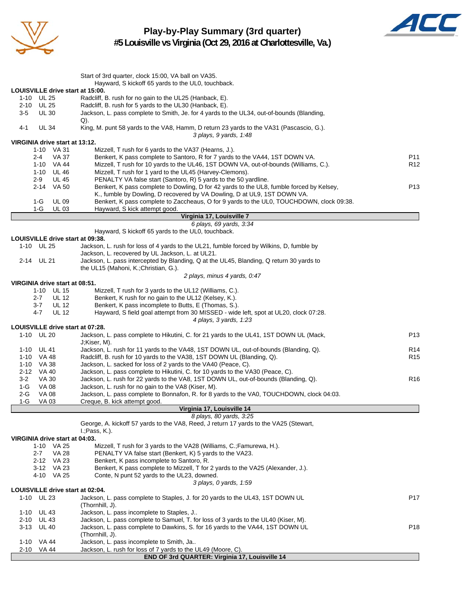

**Play-by-Play Summary (3rd quarter) #5 Louisville vs Virginia (Oct 29, 2016 at Charlottesville, Va.)**



|                                       | Start of 3rd quarter, clock 15:00, VA ball on VA35.<br>Hayward, S kickoff 65 yards to the UL0, touchback.                                    |                 |
|---------------------------------------|----------------------------------------------------------------------------------------------------------------------------------------------|-----------------|
| LOUISVILLE drive start at 15:00.      |                                                                                                                                              |                 |
| 1-10 UL 25                            | Radcliff, B. rush for no gain to the UL25 (Hanback, E).                                                                                      |                 |
| 2-10 UL 25                            | Radcliff, B. rush for 5 yards to the UL30 (Hanback, E).                                                                                      |                 |
| $3-5$<br><b>UL 30</b>                 | Jackson, L. pass complete to Smith, Je. for 4 yards to the UL34, out-of-bounds (Blanding,                                                    |                 |
|                                       | Q).                                                                                                                                          |                 |
| $4 - 1$<br><b>UL 34</b>               | King, M. punt 58 yards to the VA8, Hamm, D return 23 yards to the VA31 (Pascascio, G.).                                                      |                 |
|                                       | 3 plays, 9 yards, 1:48                                                                                                                       |                 |
| VIRGINIA drive start at 13:12.        |                                                                                                                                              |                 |
| 1-10 VA 31<br><b>VA 37</b><br>2-4     | Mizzell, T rush for 6 yards to the VA37 (Hearns, J.).<br>Benkert, K pass complete to Santoro, R for 7 yards to the VA44, 1ST DOWN VA.        | P11             |
| 1-10 VA 44                            | Mizzell, T rush for 10 yards to the UL46, 1ST DOWN VA, out-of-bounds (Williams, C.).                                                         | R <sub>12</sub> |
| 1-10 UL46                             | Mizzell, T rush for 1 yard to the UL45 (Harvey-Clemons).                                                                                     |                 |
| $2 - 9$<br><b>UL 45</b>               | PENALTY VA false start (Santoro, R) 5 yards to the 50 yardline.                                                                              |                 |
| 2-14 VA 50                            | Benkert, K pass complete to Dowling, D for 42 yards to the UL8, fumble forced by Kelsey,                                                     | P <sub>13</sub> |
|                                       | K., fumble by Dowling, D recovered by VA Dowling, D at UL9, 1ST DOWN VA.                                                                     |                 |
| 1-G<br><b>UL 09</b>                   | Benkert, K pass complete to Zaccheaus, O for 9 yards to the UL0, TOUCHDOWN, clock 09:38.                                                     |                 |
| 1-G<br><b>UL 03</b>                   | Hayward, S kick attempt good.                                                                                                                |                 |
|                                       | Virginia 17, Louisville 7                                                                                                                    |                 |
|                                       | 6 plays, 69 yards, 3:34                                                                                                                      |                 |
|                                       | Hayward, S kickoff 65 yards to the UL0, touchback.                                                                                           |                 |
| LOUISVILLE drive start at 09:38.      |                                                                                                                                              |                 |
| 1-10 UL 25                            | Jackson, L. rush for loss of 4 yards to the UL21, fumble forced by Wilkins, D, fumble by<br>Jackson, L. recovered by UL Jackson, L. at UL21. |                 |
| 2-14 UL 21                            | Jackson, L. pass intercepted by Blanding, Q at the UL45, Blanding, Q return 30 yards to                                                      |                 |
|                                       | the UL15 (Mahoni, K.; Christian, G.).                                                                                                        |                 |
|                                       | 2 plays, minus 4 yards, 0:47                                                                                                                 |                 |
| VIRGINIA drive start at 08:51.        |                                                                                                                                              |                 |
| 1-10 UL 15                            | Mizzell, T rush for 3 yards to the UL12 (Williams, C.).                                                                                      |                 |
| $2 - 7$<br><b>UL 12</b>               | Benkert, K rush for no gain to the UL12 (Kelsey, K.).                                                                                        |                 |
| $3 - 7$<br><b>UL 12</b>               | Benkert, K pass incomplete to Butts, E (Thomas, S.).                                                                                         |                 |
| $4 - 7$<br><b>UL 12</b>               | Hayward, S field goal attempt from 30 MISSED - wide left, spot at UL20, clock 07:28.                                                         |                 |
|                                       | 4 plays, 3 yards, 1:23                                                                                                                       |                 |
| LOUISVILLE drive start at 07:28.      |                                                                                                                                              |                 |
| 1-10 UL 20                            | Jackson, L. pass complete to Hikutini, C. for 21 yards to the UL41, 1ST DOWN UL (Mack,                                                       | P <sub>13</sub> |
|                                       | J;Kiser, M).                                                                                                                                 |                 |
| UL 41<br>1-10                         | Jackson, L. rush for 11 yards to the VA48, 1ST DOWN UL, out-of-bounds (Blanding, Q).                                                         | R <sub>14</sub> |
| 1-10 VA 48<br>1-10 VA 38              | Radcliff, B. rush for 10 yards to the VA38, 1ST DOWN UL (Blanding, Q).<br>Jackson, L. sacked for loss of 2 yards to the VA40 (Peace, C).     | R <sub>15</sub> |
| $2 - 12$<br>VA 40                     | Jackson, L. pass complete to Hikutini, C. for 10 yards to the VA30 (Peace, C).                                                               |                 |
| $3 - 2$<br><b>VA 30</b>               | Jackson, L. rush for 22 yards to the VA8, 1ST DOWN UL, out-of-bounds (Blanding, Q).                                                          | R <sub>16</sub> |
| 1-G<br><b>VA 08</b>                   | Jackson, L. rush for no gain to the VA8 (Kiser, M).                                                                                          |                 |
| $2-G$<br><b>VA 08</b>                 | Jackson, L. pass complete to Bonnafon, R. for 8 yards to the VA0, TOUCHDOWN, clock 04:03.                                                    |                 |
| 1-G<br>VA 03                          | Creque, B. kick attempt good.                                                                                                                |                 |
|                                       | Virginia 17, Louisville 14                                                                                                                   |                 |
|                                       | 8 plays, 80 yards, 3:25                                                                                                                      |                 |
|                                       | George, A. kickoff 57 yards to the VA8, Reed, J return 17 yards to the VA25 (Stewart,                                                        |                 |
|                                       | $L$ ; Pass, K.).                                                                                                                             |                 |
| VIRGINIA drive start at 04:03.        |                                                                                                                                              |                 |
| 1-10 VA 25                            | Mizzell, T rush for 3 yards to the VA28 (Williams, C.; Famurewa, H.).                                                                        |                 |
| <b>VA 28</b><br>$2 - 7$<br>2-12 VA 23 | PENALTY VA false start (Benkert, K) 5 yards to the VA23.<br>Benkert, K pass incomplete to Santoro, R.                                        |                 |
| 3-12 VA 23                            | Benkert, K pass complete to Mizzell, T for 2 yards to the VA25 (Alexander, J.).                                                              |                 |
| 4-10 VA 25                            | Conte, N punt 52 yards to the UL23, downed.                                                                                                  |                 |
|                                       | 3 plays, 0 yards, 1:59                                                                                                                       |                 |
| LOUISVILLE drive start at 02:04.      |                                                                                                                                              |                 |
| <b>UL 23</b><br>1-10                  | Jackson, L. pass complete to Staples, J. for 20 yards to the UL43, 1ST DOWN UL                                                               | P <sub>17</sub> |
|                                       | (Thornhill, J).                                                                                                                              |                 |
| <b>UL 43</b><br>1-10                  | Jackson, L. pass incomplete to Staples, J                                                                                                    |                 |
| <b>UL 43</b><br>2-10                  | Jackson, L. pass complete to Samuel, T. for loss of 3 yards to the UL40 (Kiser, M).                                                          |                 |
| 3-13<br><b>UL 40</b>                  | Jackson, L. pass complete to Dawkins, S. for 16 yards to the VA44, 1ST DOWN UL                                                               | P <sub>18</sub> |
|                                       | (Thornhill, J).                                                                                                                              |                 |
| 1-10 VA 44                            | Jackson, L. pass incomplete to Smith, Ja                                                                                                     |                 |
| 2-10 VA 44                            | Jackson, L. rush for loss of 7 yards to the UL49 (Moore, C).                                                                                 |                 |
|                                       | END OF 3rd QUARTER: Virginia 17, Louisville 14                                                                                               |                 |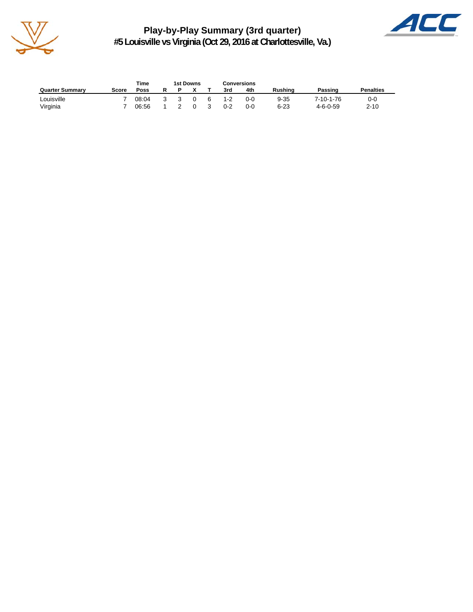

**Play-by-Play Summary (3rd quarter) #5 Louisville vs Virginia (Oct 29, 2016 at Charlottesville, Va.)**



|                        |       | Time  | 1st Downs |          |    | <b>Conversions</b> |       |                |                  |                  |
|------------------------|-------|-------|-----------|----------|----|--------------------|-------|----------------|------------------|------------------|
| <b>Quarter Summary</b> | Score | Poss  |           |          |    | 3rd                | 4th   | <b>Rushing</b> | Passing          | <b>Penalties</b> |
| Louisville             |       | 08:04 | -3        | $\Omega$ | -6 | $1 - 2$            | 0-C   | $9 - 35$       | 7-10-1-76        | 0-0              |
| Virginia               |       | 06:56 |           |          |    | $0 - 2$            | $0-0$ | $6 - 23$       | $4 - 6 - 0 - 59$ | $2 - 10$         |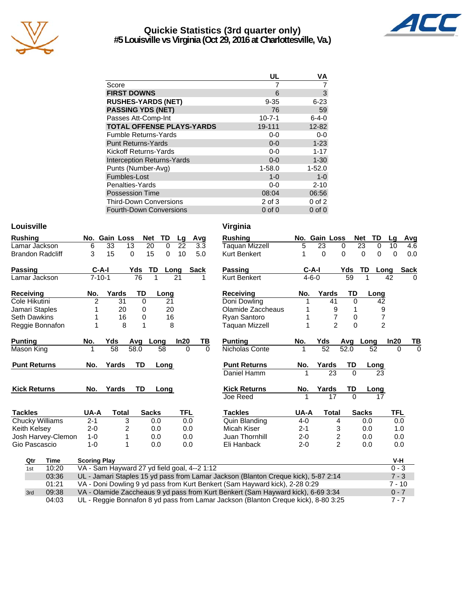

## **Quickie Statistics (3rd quarter only) #5 Louisville vs Virginia (Oct 29, 2016 at Charlottesville, Va.)**



| UL           | ٧A          |
|--------------|-------------|
|              |             |
| 6            | 3           |
| $9 - 35$     | $6 - 23$    |
| 76           | 59          |
| $10 - 7 - 1$ | $6 - 4 - 0$ |
| 19-111       | 12-82       |
| $0-0$        | $0-0$       |
| $0 - 0$      | $1 - 23$    |
| $0-0$        | $1 - 17$    |
| $0 - 0$      | $1 - 30$    |
| $1 - 58.0$   | $1 - 52.0$  |
| $1 - 0$      | $1 - 0$     |
| $0-0$        | $2 - 10$    |
| 08:04        | 06:56       |
| 2 of 3       | $0$ of $2$  |
| $0$ of $0$   | $0$ of $0$  |
|              |             |

## **Louisville Virginia**

| <b>Rushing</b>      |                         |                     | No. Gain Loss                                |           | <b>Net</b><br><b>TD</b> | Lg         | Avg  |          | <b>Rushing</b>                                                                     |         | No. Gain Loss   |                            | TD<br><b>Net</b>     | Lg             | <b>Avg</b>  |
|---------------------|-------------------------|---------------------|----------------------------------------------|-----------|-------------------------|------------|------|----------|------------------------------------------------------------------------------------|---------|-----------------|----------------------------|----------------------|----------------|-------------|
| Lamar Jackson       |                         | 6                   | 33<br>13                                     |           | 20<br>$\Omega$          | 22         |      | 3.3      | <b>Taquan Mizzell</b>                                                              | 5       | 23              | 0                          | 23<br>0              | 10             | 4.6         |
|                     | <b>Brandon Radcliff</b> | 3                   | 15                                           | 0         | 15<br>0                 | 10         |      | 5.0      | <b>Kurt Benkert</b>                                                                | 1       | 0               | $\Omega$                   | $\Omega$<br>$\Omega$ | 0              | 0.0         |
| Passing             |                         | $C-A-I$             |                                              | Yds       | TD                      | Long       | Sack |          | <b>Passing</b>                                                                     |         | $C-A-I$         | Yds                        | TD                   | Long           | <b>Sack</b> |
| Lamar Jackson       |                         | $7 - 10 - 1$        |                                              | 76        | 1                       | 21         |      | 1        | Kurt Benkert                                                                       |         | $4 - 6 - 0$     | 59                         | 1                    | 42             | $\Omega$    |
| Receiving           |                         | No.                 | Yards                                        | TD        | Long                    |            |      |          | Receiving                                                                          | No.     | Yards           | <b>TD</b>                  | Long                 |                |             |
| Cole Hikutini       |                         | $\overline{2}$      | 31                                           | 0         | 21                      |            |      |          | Doni Dowling                                                                       |         | 41              | $\Omega$                   | 42                   |                |             |
| Jamari Staples      |                         |                     | 20                                           | 0         | 20                      |            |      |          | Olamide Zaccheaus                                                                  |         |                 | 9                          |                      | 9              |             |
| <b>Seth Dawkins</b> |                         |                     | 16                                           | 0         | 16                      |            |      |          | Ryan Santoro                                                                       |         |                 | $\overline{7}$<br>0        |                      | $\overline{7}$ |             |
|                     | Reggie Bonnafon         |                     | 8                                            | 1         | 8                       |            |      |          | Taguan Mizzell                                                                     | 1       |                 | $\overline{2}$<br>$\Omega$ |                      | $\overline{2}$ |             |
| <b>Punting</b>      |                         | No.                 | Yds                                          | Avg       | Long                    | In20       |      | ΤВ       | <b>Punting</b>                                                                     | No.     | Yds             | Avg                        | Long                 | In20           | ΤВ          |
| Mason King          |                         |                     | 58                                           | 58.0      | 58                      | $\Omega$   |      | $\Omega$ | Nicholas Conte                                                                     |         | $\overline{52}$ | 52.0                       | 52                   | $\Omega$       | $\Omega$    |
| <b>Punt Returns</b> |                         | No.                 | Yards                                        | <b>TD</b> | Long                    |            |      |          | <b>Punt Returns</b>                                                                | No.     | Yards           | TD                         | Long                 |                |             |
|                     |                         |                     |                                              |           |                         |            |      |          | Daniel Hamm                                                                        |         | 23              | $\Omega$                   | 23                   |                |             |
| <b>Kick Returns</b> |                         | No.                 | Yards                                        | TD        | Long                    |            |      |          | <b>Kick Returns</b>                                                                | No.     | Yards           | TD                         | Long                 |                |             |
|                     |                         |                     |                                              |           |                         |            |      |          | Joe Reed                                                                           |         | 17              | $\Omega$                   | 17                   |                |             |
| <b>Tackles</b>      |                         | UA-A                | Total                                        |           | <b>Sacks</b>            | <b>TFL</b> |      |          | <b>Tackles</b>                                                                     | UA-A    | <b>Total</b>    |                            | <b>Sacks</b>         | <b>TFL</b>     |             |
|                     | <b>Chucky Williams</b>  | $2 - 1$             | 3                                            |           | 0.0                     | 0.0        |      |          | Quin Blanding                                                                      | $4 - 0$ |                 | 4                          | 0.0                  |                | 0.0         |
| Keith Kelsey        |                         | $2 - 0$             | 2                                            |           | 0.0                     | 0.0        |      |          | Micah Kiser                                                                        | $2 - 1$ |                 | 3                          | 0.0                  |                | 1.0         |
|                     | Josh Harvey-Clemon      | $1 - 0$             |                                              |           | 0.0                     | 0.0        |      |          | Juan Thornhill                                                                     | $2 - 0$ |                 | $\overline{\mathbf{c}}$    | 0.0                  |                | 0.0         |
| Gio Pascascio       |                         | $1 - 0$             | 1                                            |           | 0.0                     | 0.0        |      |          | Eli Hanback                                                                        | $2 - 0$ |                 | $\overline{2}$             | 0.0                  |                | 0.0         |
| Qtr                 | <b>Time</b>             | <b>Scoring Play</b> |                                              |           |                         |            |      |          |                                                                                    |         |                 |                            |                      | V-H            |             |
| 1st                 | 10:20                   |                     | VA - Sam Hayward 27 yd field goal, 4--2 1:12 |           |                         |            |      |          |                                                                                    |         |                 |                            |                      | $0 - 3$        |             |
|                     | 03:36                   |                     |                                              |           |                         |            |      |          | UL - Jamari Staples 15 yd pass from Lamar Jackson (Blanton Creque kick), 5-87 2:14 |         |                 |                            |                      | $7 - 3$        |             |
|                     | 01:21                   |                     |                                              |           |                         |            |      |          | VA - Doni Dowling 9 yd pass from Kurt Benkert (Sam Hayward kick), 2-28 0:29        |         |                 |                            |                      | $7 - 10$       |             |
| 3rd                 | 09:38                   |                     |                                              |           |                         |            |      |          | VA - Olamide Zaccheaus 9 yd pass from Kurt Benkert (Sam Hayward kick), 6-69 3:34   |         |                 |                            |                      | $0 - 7$        |             |

04:03 UL - Reggie Bonnafon 8 yd pass from Lamar Jackson (Blanton Creque kick), 8-80 3:25 7 - 7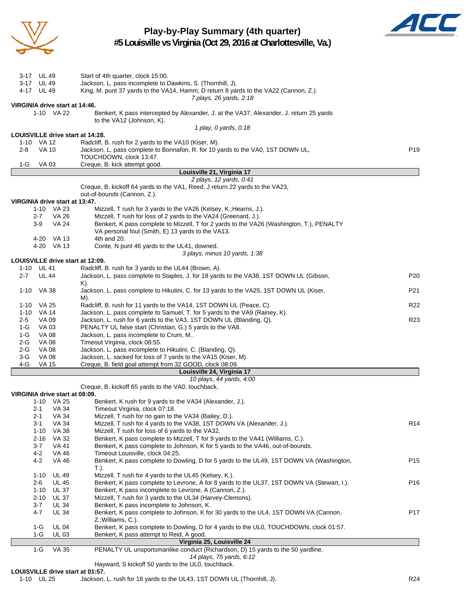

# **Play-by-Play Summary (4th quarter)**



**#5 Louisville vs Virginia (Oct 29, 2016 at Charlottesville, Va.)**

| 3-17 UL 49                                   |              | Start of 4th quarter, clock 15:00.                                                                                   |                 |
|----------------------------------------------|--------------|----------------------------------------------------------------------------------------------------------------------|-----------------|
| 3-17 UL 49                                   |              | Jackson, L. pass incomplete to Dawkins, S. (Thornhill, J).                                                           |                 |
| 4-17 UL 49                                   |              | King, M. punt 37 yards to the VA14, Hamm, D return 8 yards to the VA22 (Cannon, Z.).                                 |                 |
|                                              |              | 7 plays, 26 yards, 2:18                                                                                              |                 |
| VIRGINIA drive start at 14:46.               |              |                                                                                                                      |                 |
| 1-10 VA 22                                   |              | Benkert, K pass intercepted by Alexander, J. at the VA37, Alexander, J. return 25 yards<br>to the VA12 (Johnson, K). |                 |
|                                              |              | 1 play, 0 yards, 0:18                                                                                                |                 |
| LOUISVILLE drive start at 14:28.             |              |                                                                                                                      |                 |
| 1-10 VA 12                                   |              | Radcliff, B. rush for 2 yards to the VA10 (Kiser, M).                                                                |                 |
| $2 - 8$<br><b>VA 10</b>                      |              | Jackson, L. pass complete to Bonnafon, R. for 10 yards to the VA0, 1ST DOWN UL,                                      | P <sub>19</sub> |
|                                              |              | TOUCHDOWN, clock 13:47.                                                                                              |                 |
| 1-G<br>VA 03                                 |              | Creque, B. kick attempt good.                                                                                        |                 |
|                                              |              | Louisville 21, Virginia 17                                                                                           |                 |
|                                              |              | 2 plays, 12 yards, 0:41<br>Creque, B. kickoff 64 yards to the VA1, Reed, J return 22 yards to the VA23,              |                 |
|                                              |              | out-of-bounds (Cannon, Z.).                                                                                          |                 |
|                                              |              |                                                                                                                      |                 |
| VIRGINIA drive start at 13:47.<br>1-10 VA 23 |              | Mizzell, T rush for 3 yards to the VA26 (Kelsey, K.; Hearns, J.).                                                    |                 |
| 2-7                                          | VA 26        | Mizzell, T rush for loss of 2 yards to the VA24 (Greenard, J.).                                                      |                 |
| 3-9                                          | <b>VA 24</b> | Benkert, K pass complete to Mizzell, T for 2 yards to the VA26 (Washington, T.), PENALTY                             |                 |
|                                              |              | VA personal foul (Smith, E) 13 yards to the VA13.                                                                    |                 |
| 4-20 VA 13                                   |              | 4th and 20.                                                                                                          |                 |
| 4-20 VA 13                                   |              | Conte, N punt 46 yards to the UL41, downed.                                                                          |                 |
|                                              |              | 3 plays, minus 10 yards, 1:38                                                                                        |                 |
| LOUISVILLE drive start at 12:09.             |              |                                                                                                                      |                 |
| 1-10 UL 41                                   |              | Radcliff, B. rush for 3 yards to the UL44 (Brown, A).                                                                |                 |
| $2 - 7$<br><b>UL 44</b>                      |              | Jackson, L. pass complete to Staples, J. for 18 yards to the VA38, 1ST DOWN UL (Gibson,                              | P <sub>20</sub> |
|                                              |              | K).                                                                                                                  |                 |
| 1-10 VA 38                                   |              | Jackson, L. pass complete to Hikutini, C. for 13 yards to the VA25, 1ST DOWN UL (Kiser,                              | P <sub>21</sub> |
|                                              |              | M).                                                                                                                  |                 |
| VA 25<br>1-10                                |              | Radcliff, B. rush for 11 yards to the VA14, 1ST DOWN UL (Peace, C).                                                  | R <sub>22</sub> |
| 1-10 VA 14                                   |              | Jackson, L. pass complete to Samuel, T. for 5 yards to the VA9 (Rainey, K).                                          |                 |
| $2 - 5$<br>VA 09                             |              | Jackson, L. rush for 6 yards to the VA3, 1ST DOWN UL (Blanding, Q).                                                  | R <sub>23</sub> |
| 1-G<br>VA 03                                 |              | PENALTY UL false start (Christian, G.) 5 yards to the VA8.                                                           |                 |
| 1-G<br>VA 08                                 |              | Jackson, L. pass incomplete to Crum, M                                                                               |                 |
| 2-G<br><b>VA 08</b>                          |              | Timeout Virginia, clock 08:55.                                                                                       |                 |
| 2-G<br>VA 08                                 |              | Jackson, L. pass incomplete to Hikutini, C. (Blanding, Q).                                                           |                 |
| $3-G$<br><b>VA 08</b>                        |              | Jackson, L. sacked for loss of 7 yards to the VA15 (Kiser, M).                                                       |                 |
| 4-G<br><b>VA 15</b>                          |              | Creque, B. field goal attempt from 32 GOOD, clock 08:09.                                                             |                 |
|                                              |              | Louisville 24, Virginia 17                                                                                           |                 |
|                                              |              | 10 plays, 44 yards, 4:00                                                                                             |                 |
|                                              |              | Creque, B. kickoff 65 yards to the VA0, touchback.                                                                   |                 |
| VIRGINIA drive start at 08:09.               |              |                                                                                                                      |                 |
| 1-10 VA 25                                   |              | Benkert, K rush for 9 yards to the VA34 (Alexander, J.).                                                             |                 |
| 2-1                                          | VA 34        | Timeout Virginia, clock 07:18.                                                                                       |                 |
| 2-1                                          | VA 34        | Mizzell, T rush for no gain to the VA34 (Bailey, D.).                                                                |                 |
| 3-1                                          | VA 34        | Mizzell, T rush for 4 yards to the VA38, 1ST DOWN VA (Alexander, J.).                                                | R <sub>14</sub> |
| 1-10 VA 38                                   |              | Mizzell, T rush for loss of 6 yards to the VA32.                                                                     |                 |
| $2 - 16$                                     | VA 32        | Benkert, K pass complete to Mizzell, T for 9 yards to the VA41 (Williams, C.).                                       |                 |
| 3-7                                          | VA 41        | Benkert, K pass complete to Johnson, K for 5 yards to the VA46, out-of-bounds.                                       |                 |
| 4-2                                          | VA 46        | Timeout Louisville, clock 04:25.                                                                                     |                 |
| 4-2                                          | <b>VA 46</b> | Benkert, K pass complete to Dowling, D for 5 yards to the UL49, 1ST DOWN VA (Washington,                             | P <sub>15</sub> |
|                                              |              | T.).                                                                                                                 |                 |
| $1 - 10$                                     | UL 49        | Mizzell, T rush for 4 yards to the UL45 (Kelsey, K.).                                                                |                 |
| 2-6                                          | UL 45        | Benkert, K pass complete to Levrone, A for 8 yards to the UL37, 1ST DOWN VA (Stewart, I.).                           | P <sub>16</sub> |
| $1 - 10$                                     | UL 37        | Benkert, K pass incomplete to Levrone, A (Cannon, Z.).                                                               |                 |
| 2-10                                         | <b>UL 37</b> | Mizzell, T rush for 3 yards to the UL34 (Harvey-Clemons).                                                            |                 |
| $3 - 7$                                      | <b>UL 34</b> | Benkert, K pass incomplete to Johnson, K.                                                                            |                 |
| 4-7                                          | <b>UL 34</b> | Benkert, K pass complete to Johnson, K for 30 yards to the UL4, 1ST DOWN VA (Cannon,                                 | P <sub>17</sub> |
|                                              |              | Z.; Williams, C.).                                                                                                   |                 |
| 1-G                                          | <b>UL 04</b> | Benkert, K pass complete to Dowling, D for 4 yards to the UL0, TOUCHDOWN, clock 01:57.                               |                 |
| 1-G                                          | <b>UL 03</b> | Benkert, K pass attempt to Reid, A good.                                                                             |                 |
|                                              |              | Virginia 25, Louisville 24                                                                                           |                 |
| $1-G$                                        | VA 35        | PENALTY UL unsportsmanlike conduct (Richardson, D) 15 yards to the 50 yardline.                                      |                 |
|                                              |              | 14 plays, 75 yards, 6:12                                                                                             |                 |
|                                              |              | Hayward, S kickoff 50 yards to the UL0, touchback.                                                                   |                 |
| LOUISVILLE drive start at 01:57.             |              |                                                                                                                      |                 |

1-10 UL 25 Jackson, L. rush for 18 yards to the UL43, 1ST DOWN UL (Thornhill, J). R24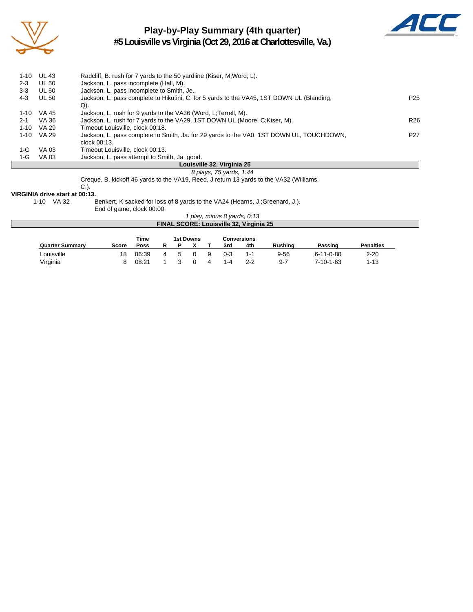

# **Play-by-Play Summary (4th quarter)**



**#5 Louisville vs Virginia (Oct 29, 2016 at Charlottesville, Va.)**

|          |              | Louisville 32, Virginia 25                                                                |                 |
|----------|--------------|-------------------------------------------------------------------------------------------|-----------------|
| 1-G      | VA 03        | Jackson, L. pass attempt to Smith, Ja. good.                                              |                 |
| 1-G      | VA 03        | Timeout Louisville, clock 00:13.                                                          |                 |
|          |              | clock 00:13.                                                                              |                 |
| $1 - 10$ | VA 29        | Jackson, L. pass complete to Smith, Ja. for 29 yards to the VA0, 1ST DOWN UL, TOUCHDOWN,  | P <sub>27</sub> |
| $1 - 10$ | VA 29        | Timeout Louisville, clock 00:18.                                                          |                 |
| $2 - 1$  | VA 36        | Jackson, L. rush for 7 yards to the VA29, 1ST DOWN UL (Moore, C.Kiser, M).                | R <sub>26</sub> |
| $1 - 10$ | VA 45        | Jackson, L. rush for 9 yards to the VA36 (Word, L;Terrell, M).                            |                 |
|          |              | Q).                                                                                       |                 |
| 4-3      | <b>UL 50</b> | Jackson, L. pass complete to Hikutini, C. for 5 yards to the VA45, 1ST DOWN UL (Blanding, | P25             |
| $3 - 3$  | <b>UL 50</b> | Jackson, L. pass incomplete to Smith, Je                                                  |                 |
| $2 - 3$  | <b>UL 50</b> | Jackson, L. pass incomplete (Hall, M).                                                    |                 |
| $1 - 10$ | <b>UL 43</b> | Radcliff, B. rush for 7 yards to the 50 yardline (Kiser, M; Word, L).                     |                 |

### *8 plays, 75 yards, 1:44*

Creque, B. kickoff 46 yards to the VA19, Reed, J return 13 yards to the VA32 (Williams,

C.).

**VIRGINIA drive start at 00:13.**

1-10 VA 32 Benkert, K sacked for loss of 8 yards to the VA24 (Hearns, J.;Greenard, J.).

End of game, clock 00:00.

| 1 play, minus 8 yards, 0:13             |  |
|-----------------------------------------|--|
| FINAL SCORE: Louisville 32, Virginia 25 |  |

|                        |       | Time  |   |    | 1st Downs |   |         | <b>Conversions</b> |                |                   |                  |
|------------------------|-------|-------|---|----|-----------|---|---------|--------------------|----------------|-------------------|------------------|
| <b>Quarter Summary</b> | Score | Poss  | R |    |           |   | 3rd     | 4th                | <b>Rushing</b> | Passing           | <b>Penalties</b> |
| ∟ouisville             | 18    | 06:39 | 4 | Б. |           | 9 | $0 - 3$ | 1-1                | $9 - 56$       | $6 - 11 - 0 - 80$ | $2 - 20$         |
| Virginia               |       | 08:21 |   |    |           |   | 1-4     | $2 - 2$            | $9 - 7$        | 7-10-1-63         | $1 - 13$         |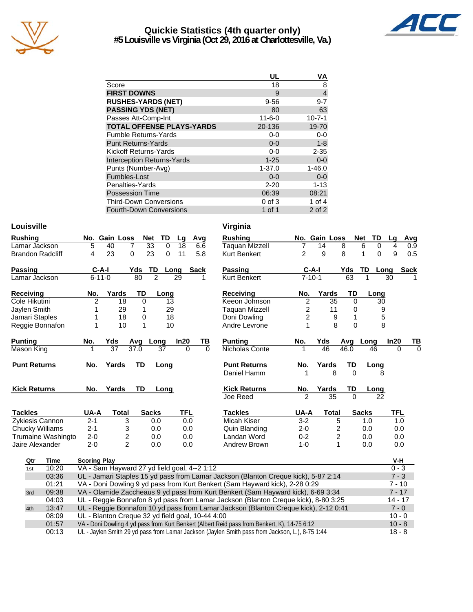

#### **Quickie Statistics (4th quarter only) #5 Louisville vs Virginia (Oct 29, 2016 at Charlottesville, Va.)**



|                                   | UL           | ٧Α             |
|-----------------------------------|--------------|----------------|
| Score                             | 18           | 8              |
| <b>FIRST DOWNS</b>                | 9            | $\overline{4}$ |
| <b>RUSHES-YARDS (NET)</b>         | $9 - 56$     | $9 - 7$        |
| <b>PASSING YDS (NET)</b>          | 80           | 63             |
| Passes Att-Comp-Int               | $11 - 6 - 0$ | $10 - 7 - 1$   |
| <b>TOTAL OFFENSE PLAYS-YARDS</b>  | 20-136       | 19-70          |
| <b>Fumble Returns-Yards</b>       | $0-0$        | $0 - 0$        |
| <b>Punt Returns-Yards</b>         | $0 - 0$      | $1 - 8$        |
| Kickoff Returns-Yards             | $0 - 0$      | $2 - 35$       |
| <b>Interception Returns-Yards</b> | $1 - 25$     | $0 - 0$        |
| Punts (Number-Avg)                | $1 - 37.0$   | $1 - 46.0$     |
| Fumbles-Lost                      | $0 - 0$      | $0 - 0$        |
| Penalties-Yards                   | $2 - 20$     | $1 - 13$       |
| <b>Possession Time</b>            | 06:39        | 08:21          |
| <b>Third-Down Conversions</b>     | $0$ of $3$   | 1 of 4         |
| <b>Fourth-Down Conversions</b>    | 1 of 1       | $2$ of $2$     |

#### Louisville **Virginia**

| <b>Rushing</b>               |                     | No. Gain Loss                                | <b>Net</b>       | TD             | Lg         | Avg         |                | <b>Rushing</b>                                                                      |                         | No. Gain Loss   |                         | <b>Net</b><br>TD | Lg         | Avg            |
|------------------------------|---------------------|----------------------------------------------|------------------|----------------|------------|-------------|----------------|-------------------------------------------------------------------------------------|-------------------------|-----------------|-------------------------|------------------|------------|----------------|
| Lamar Jackson                | 5                   | 40                                           | 7                | 33<br>$\Omega$ | 18         | 6.6         |                | <b>Taquan Mizzell</b>                                                               | 7                       | 14              | 8                       | 6<br>0           | 4          | 0.9            |
| <b>Brandon Radcliff</b>      | 4                   | 23                                           | $\Omega$         | 23<br>$\Omega$ | 11         | 5.8         |                | <b>Kurt Benkert</b>                                                                 | $\overline{2}$          | 9               | 8                       | $\Omega$<br>1    | 9          | 0.5            |
|                              |                     |                                              |                  |                |            |             |                |                                                                                     |                         |                 |                         |                  |            |                |
| Passing                      | $C-A-I$             |                                              | Yds              | TD             | Long       | <b>Sack</b> |                | Passing                                                                             |                         | $C-A-I$         | Yds                     | TD               | Long       | <b>Sack</b>    |
| Lamar Jackson                | $6 - 11 - 0$        |                                              | 80               | $\overline{2}$ | 29         |             |                | <b>Kurt Benkert</b>                                                                 |                         | $7 - 10 - 1$    | 63                      |                  | 30         |                |
| Receiving                    | No.                 | Yards                                        | TD               | Long           |            |             |                | <b>Receiving</b>                                                                    | No.                     | Yards           | TD                      | Long             |            |                |
| Cole Hikutini                | $\overline{2}$      | 18                                           | $\Omega$         |                | 13         |             |                | Keeon Johnson                                                                       | $\overline{\mathbf{c}}$ | 35              | $\Omega$                |                  | 30         |                |
| Jaylen Smith                 |                     | 29                                           | 1                |                | 29         |             |                | <b>Taguan Mizzell</b>                                                               | 2                       | 11              | 0                       |                  | 9          |                |
| Jamari Staples               |                     | 18                                           | 0                |                | 18         |             |                | Doni Dowling                                                                        | 2                       | 9               |                         |                  | 5          |                |
| Reggie Bonnafon              |                     | 10                                           | $\mathbf{1}$     |                | 10         |             |                | Andre Levrone                                                                       |                         | 8               | $\Omega$                |                  | 8          |                |
|                              | No.                 |                                              |                  |                | In20       |             |                | <b>Punting</b>                                                                      |                         |                 |                         |                  | In20       |                |
| <b>Punting</b><br>Mason King |                     | Yds<br>$\overline{37}$                       | Avg Long<br>37.0 | 37             | $\Omega$   |             | TВ<br>$\Omega$ | Nicholas Conte                                                                      | No.<br>1                | Yds<br>46       | Avg<br>46.0             | Long<br>46       | $\Omega$   | ТВ<br>$\Omega$ |
|                              |                     |                                              |                  |                |            |             |                |                                                                                     |                         |                 |                         |                  |            |                |
| <b>Punt Returns</b>          | No.                 | Yards                                        | <b>TD</b>        | Long           |            |             |                | <b>Punt Returns</b>                                                                 | No.                     | Yards           | TD                      | Long             |            |                |
|                              |                     |                                              |                  |                |            |             |                | Daniel Hamm                                                                         | 1                       | 8               | $\Omega$                |                  | 8          |                |
| <b>Kick Returns</b>          | No.                 | Yards                                        | TD               | Long           |            |             |                | <b>Kick Returns</b>                                                                 | No.                     | Yards           | TD                      | Long             |            |                |
|                              |                     |                                              |                  |                |            |             |                | Joe Reed                                                                            | $\overline{2}$          | $\overline{35}$ | $\Omega$                |                  | 22         |                |
|                              |                     |                                              |                  |                |            |             |                |                                                                                     |                         |                 |                         |                  |            |                |
| <b>Tackles</b>               | UA-A                | <b>Total</b>                                 |                  | <b>Sacks</b>   | <b>TFL</b> |             |                | <b>Tackles</b>                                                                      | UA-A                    | <b>Total</b>    |                         | <b>Sacks</b>     | <b>TFL</b> |                |
| Zykiesis Cannon              | $2 - 1$             | 3                                            |                  | 0.0            |            | 0.0         |                | Micah Kiser                                                                         | $3 - 2$                 |                 | 5                       | 1.0              |            | 1.0            |
| Chucky Williams              | $2 - 1$             | 3                                            |                  | 0.0            |            | 0.0         |                | Quin Blanding                                                                       | $2 - 0$                 |                 | 2                       | 0.0              | 0.0        |                |
| Trumaine Washingto           | $2 - 0$             | 2                                            |                  | 0.0            |            | 0.0         |                | Landan Word                                                                         | $0 - 2$                 |                 | $\overline{\mathbf{c}}$ | 0.0              |            | 0.0            |
| Jaire Alexander              | $2 - 0$             | $\overline{2}$                               |                  | 0.0            | 0.0        |             |                | Andrew Brown                                                                        | $1 - 0$                 |                 | $\mathbf{1}$            | 0.0              |            | 0.0            |
| Time<br>Qtr                  | <b>Scoring Play</b> |                                              |                  |                |            |             |                |                                                                                     |                         |                 |                         |                  | V-H        |                |
| 10:20<br>1st                 |                     | VA - Sam Hayward 27 yd field goal, 4--2 1:12 |                  |                |            |             |                |                                                                                     |                         |                 |                         |                  | $0 - 3$    |                |
| 03:36                        |                     |                                              |                  |                |            |             |                | UL - Jamari Staples 15 yd pass from Lamar Jackson (Blanton Creque kick), 5-87 2:14  |                         |                 |                         |                  | $7 - 3$    |                |
| 01:21                        |                     |                                              |                  |                |            |             |                | VA - Doni Dowling 9 yd pass from Kurt Benkert (Sam Hayward kick), 2-28 0:29         |                         |                 |                         |                  | $7 - 10$   |                |
| 09:38<br>3rd                 |                     |                                              |                  |                |            |             |                | VA - Olamide Zaccheaus 9 yd pass from Kurt Benkert (Sam Hayward kick), 6-69 3:34    |                         |                 |                         |                  | $7 - 17$   |                |
| 04:03                        |                     |                                              |                  |                |            |             |                | UL - Reggie Bonnafon 8 yd pass from Lamar Jackson (Blanton Creque kick), 8-80 3:25  |                         |                 |                         |                  | $14 - 17$  |                |
| 13:47<br>4th                 |                     |                                              |                  |                |            |             |                | UL - Reggie Bonnafon 10 yd pass from Lamar Jackson (Blanton Creque kick), 2-12 0:41 |                         |                 |                         |                  | $7 - 0$    |                |

01:57 VA - Doni Dowling 4 yd pass from Kurt Benkert (Albert Reid pass from Benkert, K), 14-75 6:12 10 - 8 00:13 UL - Jaylen Smith 29 yd pass from Lamar Jackson (Jaylen Smith pass from Jackson, L.), 8-75 1:44 18 - 8

08:09 UL - Blanton Creque 32 yd field goal, 10-44 4:00 10 - 0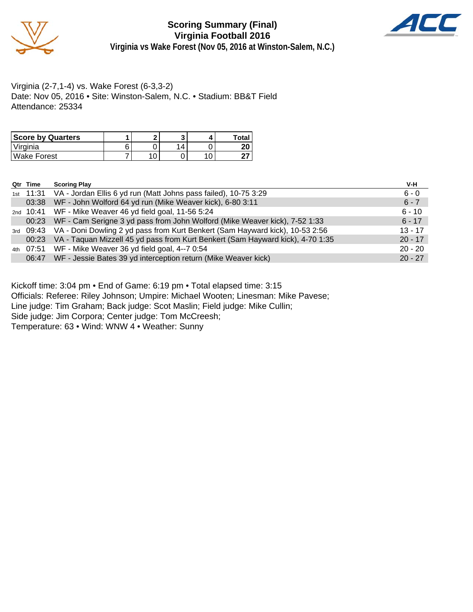

**Scoring Summary (Final) Virginia Football 2016 Virginia vs Wake Forest (Nov 05, 2016 at Winston-Salem, N.C.)**



Virginia (2-7,1-4) vs. Wake Forest (6-3,3-2) Date: Nov 05, 2016 • Site: Winston-Salem, N.C. • Stadium: BB&T Field Attendance: 25334

| <b>Score by Quarters</b> |  |  | Total    |
|--------------------------|--|--|----------|
| 'Virginia                |  |  | חר<br>ΔU |
| Wake Forest              |  |  |          |

| Qtr Time             | <b>Scoring Play</b>                                                                    | V-H       |
|----------------------|----------------------------------------------------------------------------------------|-----------|
| <sub>1st</sub> 11:31 | VA - Jordan Ellis 6 yd run (Matt Johns pass failed), 10-75 3:29                        | $6 - 0$   |
| 03:38                | WF - John Wolford 64 yd run (Mike Weaver kick), 6-80 3:11                              | $6 - 7$   |
|                      | 2nd 10:41 WF - Mike Weaver 46 yd field goal, 11-56 5:24                                | $6 - 10$  |
| 00:23                | WF - Cam Serigne 3 yd pass from John Wolford (Mike Weaver kick), 7-52 1:33             | $6 - 17$  |
|                      | 3rd 09:43 VA - Doni Dowling 2 yd pass from Kurt Benkert (Sam Hayward kick), 10-53 2:56 | $13 - 17$ |
| 00:23                | VA - Taquan Mizzell 45 yd pass from Kurt Benkert (Sam Hayward kick), 4-70 1:35         | $20 - 17$ |
|                      | 4th 07:51 WF - Mike Weaver 36 yd field goal, 4--7 0:54                                 | $20 - 20$ |
| 06:47                | WF - Jessie Bates 39 yd interception return (Mike Weaver kick)                         | $20 - 27$ |

Kickoff time: 3:04 pm • End of Game: 6:19 pm • Total elapsed time: 3:15

Officials: Referee: Riley Johnson; Umpire: Michael Wooten; Linesman: Mike Pavese;

Line judge: Tim Graham; Back judge: Scot Maslin; Field judge: Mike Cullin;

Side judge: Jim Corpora; Center judge: Tom McCreesh;

Temperature: 63 • Wind: WNW 4 • Weather: Sunny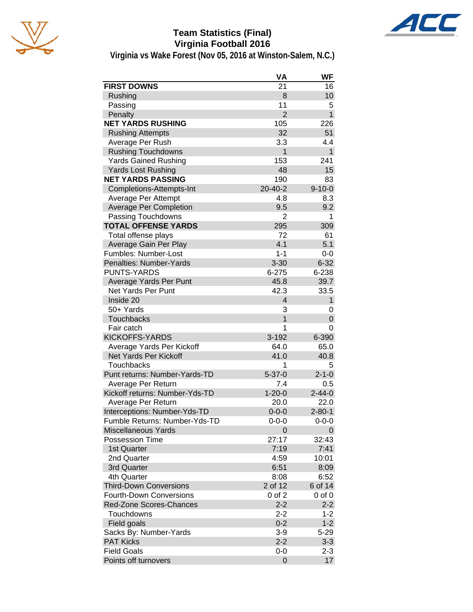





**Virginia vs Wake Forest (Nov 05, 2016 at Winston-Salem, N.C.)**

|                                | VA             | <b>WF</b>    |
|--------------------------------|----------------|--------------|
| <b>FIRST DOWNS</b>             | 21             | 16           |
| Rushing                        | 8              | 10           |
| Passing                        | 11             | 5            |
| Penalty                        | $\overline{2}$ | $\mathbf{1}$ |
| <b>NET YARDS RUSHING</b>       | 105            | 226          |
| <b>Rushing Attempts</b>        | 32             | 51           |
| Average Per Rush               | 3.3            | 4.4          |
| <b>Rushing Touchdowns</b>      | 1              | $\mathbf{1}$ |
| <b>Yards Gained Rushing</b>    | 153            | 241          |
| <b>Yards Lost Rushing</b>      | 48             | 15           |
| <b>NET YARDS PASSING</b>       | 190            | 83           |
| Completions-Attempts-Int       | 20-40-2        | $9 - 10 - 0$ |
| Average Per Attempt            | 4.8            | 8.3          |
| <b>Average Per Completion</b>  | 9.5            | 9.2          |
| Passing Touchdowns             | $\overline{2}$ | 1            |
| <b>TOTAL OFFENSE YARDS</b>     | 295            | 309          |
| Total offense plays            | 72             | 61           |
| Average Gain Per Play          | 4.1            | 5.1          |
| Fumbles: Number-Lost           | $1 - 1$        | $0-0$        |
| Penalties: Number-Yards        | $3 - 30$       | $6 - 32$     |
| <b>PUNTS-YARDS</b>             | $6 - 275$      | 6-238        |
| Average Yards Per Punt         | 45.8           | 39.7         |
| Net Yards Per Punt             | 42.3           | 33.5         |
| Inside 20                      | $\overline{4}$ | $\mathbf{1}$ |
| 50+ Yards                      | 3              | 0            |
| <b>Touchbacks</b>              | $\overline{1}$ | 0            |
| Fair catch                     | 1              | 0            |
| <b>KICKOFFS-YARDS</b>          | 3-192          | 6-390        |
| Average Yards Per Kickoff      | 64.0           | 65.0         |
| <b>Net Yards Per Kickoff</b>   | 41.0           | 40.8         |
| <b>Touchbacks</b>              | 1              | 5            |
| Punt returns: Number-Yards-TD  | $5 - 37 - 0$   | $2 - 1 - 0$  |
| Average Per Return             | 7.4            | 0.5          |
| Kickoff returns: Number-Yds-TD | $1 - 20 - 0$   | $2 - 44 - 0$ |
| Average Per Return             | 20.0           | 22.0         |
| Interceptions: Number-Yds-TD   | $0 - 0 - 0$    | $2 - 80 - 1$ |
| Fumble Returns: Number-Yds-TD  | $0 - 0 - 0$    | $0 - 0 - 0$  |
| <b>Miscellaneous Yards</b>     | 0              | 0            |
| <b>Possession Time</b>         | 27:17          | 32:43        |
| 1st Quarter                    | 7:19           | 7:41         |
| 2nd Quarter                    | 4:59           | 10:01        |
| 3rd Quarter                    | 6:51           | 8:09         |
| 4th Quarter                    | 8:08           | 6:52         |
| <b>Third-Down Conversions</b>  | 2 of 12        | 6 of 14      |
| <b>Fourth-Down Conversions</b> | $0$ of $2$     | $0$ of $0$   |
| <b>Red-Zone Scores-Chances</b> | $2 - 2$        | $2 - 2$      |
| Touchdowns                     | $2 - 2$        | $1 - 2$      |
| Field goals                    | $0 - 2$        | $1 - 2$      |
| Sacks By: Number-Yards         | $3-9$          | $5 - 29$     |
| <b>PAT Kicks</b>               | $2 - 2$        | $3 - 3$      |
| <b>Field Goals</b>             | $0-0$          | $2 - 3$      |
| Points off turnovers           | 0              | 17           |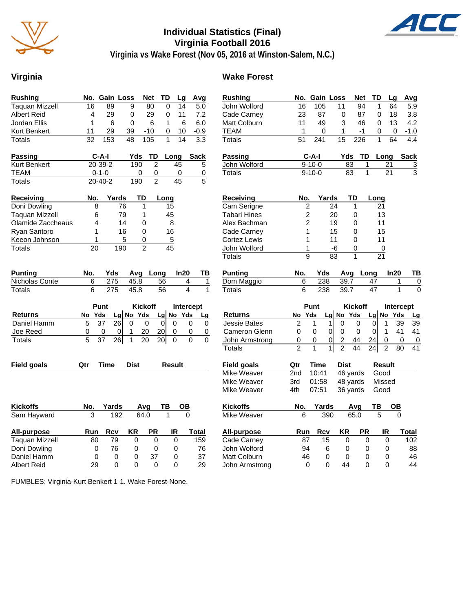

# **Individual Statistics (Final) Virginia Football 2016**



**Virginia vs Wake Forest (Nov 05, 2016 at Winston-Salem, N.C.)**

#### **Virginia Wake Forest**

| <b>Rushing</b>        |                 |                  | No. Gain Loss                   | <b>Net</b>     | TD              | Lg              | Avg                                     | <b>Rushing</b>     |                 | No. Gain Loss    |                                           | Net              | TD              | Lg                   | Avg                       |
|-----------------------|-----------------|------------------|---------------------------------|----------------|-----------------|-----------------|-----------------------------------------|--------------------|-----------------|------------------|-------------------------------------------|------------------|-----------------|----------------------|---------------------------|
| <b>Taquan Mizzell</b> | 16              | 89               | 9                               | 80             | $\Omega$        | 14              | $\overline{5.0}$                        | John Wolford       | 16              | 105              | 11                                        | 94               | $\mathbf{1}$    | 64                   | 5.9                       |
| <b>Albert Reid</b>    | 4               | 29               | 0                               | 29             | 0               | 11              | 7.2                                     | Cade Carney        | 23              | 87               | 0                                         | 87               | 0               | 18                   | 3.8                       |
| Jordan Ellis          | 1               | 6                | $\mathbf 0$                     | 6              | $\mathbf{1}$    | 6               | 6.0                                     | Matt Colburn       | 11              | 49               | 3                                         | 46               | $\Omega$        | 13                   | 4.2                       |
| Kurt Benkert          | 11              | 29               | 39                              | $-10$          | 0               | 10              | $-0.9$                                  | <b>TEAM</b>        | 1               | 0                | 1                                         | $-1$             | 0               | 0                    | $-1.0$                    |
| Totals                | $\overline{32}$ | $\overline{153}$ | $\overline{48}$                 | 105            | $\mathbf{1}$    | $\overline{14}$ | $\overline{3.3}$                        | Totals             | 51              | $\overline{241}$ | $\overline{15}$                           | $\overline{226}$ | 1               | $\overline{64}$      | $\overline{4.4}$          |
| Passing               |                 | $C-A-I$          | Yds                             | TD             |                 | Long            | <b>Sack</b>                             | <b>Passing</b>     |                 | $C-A-I$          |                                           | TD<br>Yds        | Long            |                      | <b>Sack</b>               |
| <b>Kurt Benkert</b>   |                 | 20-39-2          | 190                             |                | $\overline{c}$  | 45              | 5                                       | John Wolford       |                 | $9 - 10 - 0$     |                                           | 83               | 1               | 21                   | $\overline{3}$            |
| TEAM                  |                 | $0 - 1 - 0$      |                                 | 0              | $\mathbf 0$     | 0               | 0                                       | Totals             |                 | $9 - 10 - 0$     |                                           | 83               | 1               | 21                   | 3                         |
| <b>Totals</b>         |                 | $20 - 40 - 2$    | 190                             |                | $\overline{2}$  | $\overline{45}$ | 5                                       |                    |                 |                  |                                           |                  |                 |                      |                           |
| Receiving             | No.             |                  | Yards                           | TD             | Long            |                 |                                         | Receiving          | No.             |                  | Yards                                     | TD               | Long            |                      |                           |
| Doni Dowling          | 8               |                  | 76                              | $\mathbf{1}$   | 15              |                 |                                         | Cam Serigne        |                 | $\overline{c}$   | 24                                        | $\mathbf{1}$     | 21              |                      |                           |
| <b>Taquan Mizzell</b> | 6               |                  | 79                              | 1              | 45              |                 |                                         | Tabari Hines       |                 | $\overline{c}$   | 20                                        | $\mathbf 0$      | 13              |                      |                           |
| Olamide Zaccheaus     | 4               |                  | 14                              | $\Omega$       | 8               |                 |                                         | Alex Bachman       |                 | $\overline{2}$   | 19                                        | 0                | 11              |                      |                           |
| Ryan Santoro          | $\mathbf{1}$    |                  | 16                              | $\Omega$       | 16              |                 |                                         | Cade Carney        |                 | $\mathbf{1}$     | 15                                        | $\Omega$         | 15              |                      |                           |
| Keeon Johnson         | 1               |                  | 5                               | 0              | $\overline{5}$  |                 |                                         | Cortez Lewis       |                 | 1                | 11                                        | $\Omega$         | 11              |                      |                           |
| Totals                | 20              |                  | 190                             | $\overline{2}$ | $\overline{45}$ |                 |                                         | John Wolford       | $\overline{1}$  |                  | $-6$                                      | 0                | $\pmb{0}$       |                      |                           |
|                       |                 |                  |                                 |                |                 |                 |                                         | <b>Totals</b>      |                 | $\overline{9}$   | 83                                        | $\mathbf{1}$     | $\overline{21}$ |                      |                           |
| <b>Punting</b>        | No.             | Yds              |                                 | Avg Long       |                 | In20            | TВ                                      | <b>Punting</b>     | No.             | Yds              |                                           | Avg Long         |                 | In20                 | TB                        |
| Nicholas Conte        | 6               | 275              | 45.8                            |                | 56              |                 | 4<br>$\mathbf{1}$                       | Dom Maggio         | 6               | 238              |                                           | 39.7             | 47              | 1                    | $\overline{0}$            |
| <b>Totals</b>         | 6               | 275              | 45.8                            |                | $\overline{56}$ |                 | $\overline{\mathbf{A}}$<br>$\mathbf{1}$ | <b>Totals</b>      | 6               | 238              |                                           | 39.7             | $\overline{47}$ | 1                    | $\overline{\mathfrak{o}}$ |
|                       |                 | Punt             |                                 | <b>Kickoff</b> |                 |                 | Intercept                               |                    |                 | Punt             |                                           | <b>Kickoff</b>   |                 | <b>Intercept</b>     |                           |
| <b>Returns</b>        | No              | Yds              | Lg No Yds                       |                | Lg              | No Yds          | Lg                                      | <b>Returns</b>     | No              | Yds              | Lg No Yds                                 |                  | Lg No Yds       |                      | Lg                        |
| Daniel Hamm           | 5               | $\overline{37}$  | 26<br>$\Omega$                  | $\Omega$       | $\Omega$        | $\Omega$        | $\Omega$<br>$\Omega$                    | Jessie Bates       | $\overline{2}$  | 1                | $\Omega$<br>1                             | $\Omega$         | $\Omega$        | 39<br>1              | 39                        |
| Joe Reed              | 0               | 0                | 0                               | 20             | 20              | 0               | $\mathbf 0$<br>0                        | Cameron Glenn      | 0               | 0                | $\overline{0}$<br>$\Omega$                | $\mathbf 0$      | $\Omega$        | $\mathbf{1}$<br>41   | 41                        |
| Totals                | 5               | 37               | $\overline{26}$<br>$\mathbf{1}$ | 20             | $\overline{20}$ | $\Omega$        | $\Omega$<br>$\Omega$                    | John Armstrong     | 0               | 0                | $\overline{0}$<br>$\overline{\mathbf{c}}$ | 44               | 24              | 0                    | 0<br>$\boldsymbol{0}$     |
|                       |                 |                  |                                 |                |                 |                 |                                         | <b>Totals</b>      | $\mathfrak{p}$  | $\mathbf{1}$     | $\overline{2}$<br>$\mathbf{1}$            | $\overline{44}$  | 24              | $\overline{2}$<br>80 | 41                        |
| <b>Field goals</b>    | Qtr             | <b>Time</b>      | <b>Dist</b>                     |                |                 | <b>Result</b>   |                                         | <b>Field goals</b> | Qtr             | <b>Time</b>      | <b>Dist</b>                               |                  | <b>Result</b>   |                      |                           |
|                       |                 |                  |                                 |                |                 |                 |                                         | Mike Weaver        | 2 <sub>nd</sub> | 10:41            |                                           | 46 yards         | Good            |                      |                           |
|                       |                 |                  |                                 |                |                 |                 |                                         | Mike Weaver        | 3rd             | 01:58            |                                           | 48 yards         | Missed          |                      |                           |
|                       |                 |                  |                                 |                |                 |                 |                                         | Mike Weaver        | 4th             | 07:51            |                                           | 36 yards         | Good            |                      |                           |
| <b>Kickoffs</b>       | No.             | Yards            |                                 | Avg            | TB              | OB              |                                         | <b>Kickoffs</b>    | No.             | Yards            |                                           | Avg              | TB              | OВ                   |                           |
| Sam Hayward           | 3               |                  | 192                             | 64.0           | $\mathbf{1}$    |                 | $\mathbf 0$                             | Mike Weaver        | 6               |                  | 390                                       | 65.0             | 5               | $\mathbf 0$          |                           |
| All-purpose           | Run             | <b>Rcv</b>       | KR                              | <b>PR</b>      |                 | IR              | <b>Total</b>                            | All-purpose        | Run             | <b>Rcv</b>       | ΚR                                        | <b>PR</b>        |                 | IR                   | <b>Total</b>              |
| <b>Taquan Mizzell</b> | 80              | 79               | 0                               |                | 0               | $\overline{0}$  | 159                                     | Cade Carney        | 87              | 15               |                                           | 0                | 0               | $\pmb{0}$            | 102                       |
| Doni Dowling          | $\mathbf 0$     | 76               | 0                               |                | 0               | 0               | 76                                      | John Wolford       | 94              | -6               |                                           | 0                | 0               | 0                    | 88                        |
| Daniel Hamm           | $\mathbf 0$     |                  | 0<br>0                          | 37             |                 | 0               | 37                                      | Matt Colburn       | 46              |                  | $\mathbf 0$                               | $\Omega$         | 0               | 0                    | 46                        |
| Albert Reid           | 29              |                  | $\Omega$<br>$\Omega$            |                | $\Omega$        | $\Omega$        | 29                                      | John Armstrong     |                 | $\Omega$         | $\Omega$                                  | 44               | $\Omega$        | $\Omega$             | 44                        |

FUMBLES: Virginia-Kurt Benkert 1-1. Wake Forest-None.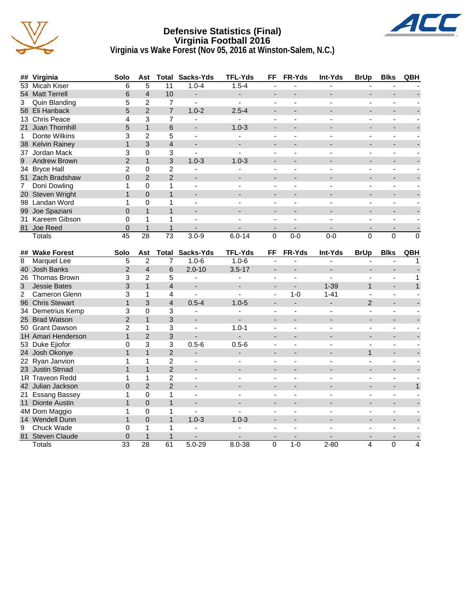

#### **Defensive Statistics (Final) Virginia Football 2016 Virginia vs Wake Forest (Nov 05, 2016 at Winston-Salem, N.C.)**



| ##           | Virginia              | Solo                        | Ast                     | Total           | Sacks-Yds                | <b>TFL-Yds</b>           | FF             | FR-Yds                   | Int-Yds        | <b>BrUp</b>              | <b>Blks</b>              | QBH            |
|--------------|-----------------------|-----------------------------|-------------------------|-----------------|--------------------------|--------------------------|----------------|--------------------------|----------------|--------------------------|--------------------------|----------------|
| 53           | Micah Kiser           | 6                           | 5                       | 11              | $1.0 - 4$                | $1.5 - 4$                |                |                          |                |                          |                          |                |
|              | 54 Matt Terrell       | 6                           | $\overline{4}$          | 10              | ٠                        | $\overline{\phantom{a}}$ | ÷,             |                          |                | ÷,                       |                          |                |
| 3            | Quin Blanding         | 5                           | $\overline{2}$          | $\overline{7}$  | $\blacksquare$           | $\blacksquare$           | $\blacksquare$ | $\blacksquare$           | $\sim$         | $\blacksquare$           | $\blacksquare$           |                |
|              | 58 Eli Hanback        | 5                           | $\overline{2}$          | $\overline{7}$  | $1.0 - 2$                | $2.5 - 4$                |                |                          |                |                          |                          |                |
|              | 13 Chris Peace        | 4                           | 3                       | $\overline{7}$  | $\blacksquare$           | $\blacksquare$           | $\blacksquare$ | $\overline{a}$           | $\overline{a}$ | $\overline{a}$           | ÷,                       |                |
| 21           | <b>Juan Thornhill</b> | 5                           | $\mathbf{1}$            | 6               |                          | $1.0 - 3$                |                |                          |                |                          |                          |                |
| $\mathbf{1}$ | Donte Wilkins         | 3                           | $\overline{2}$          | 5               | $\overline{a}$           |                          |                |                          |                |                          | $\overline{a}$           |                |
|              | 38 Kelvin Rainey      | $\mathbf{1}$                | 3                       | $\overline{4}$  | $\overline{a}$           |                          | $\overline{a}$ |                          |                | L.                       | $\blacksquare$           |                |
|              | 37 Jordan Mack        | 3                           | 0                       | 3               | ä,                       | $\blacksquare$           | $\blacksquare$ | $\overline{\phantom{a}}$ | $\blacksquare$ | L,                       | $\mathbf{r}$             |                |
| 9            | <b>Andrew Brown</b>   | $\overline{2}$              | $\mathbf{1}$            | 3               | $1.0 - 3$                | $1.0 - 3$                | ÷              |                          |                | ۰                        | $\overline{\phantom{a}}$ |                |
|              | 34 Bryce Hall         | $\overline{c}$              | 0                       | $\overline{c}$  | $\overline{\phantom{a}}$ |                          | $\sim$         | $\sim$                   | $\sim$         | $\overline{\phantom{a}}$ | $\sim$                   |                |
|              | 51 Zach Bradshaw      | $\Omega$                    | $\mathcal{P}$           | $\overline{2}$  |                          |                          |                |                          |                |                          |                          |                |
| 7            | Doni Dowling          | 1                           | $\mathbf 0$             | $\mathbf{1}$    | $\sim$                   |                          | $\overline{a}$ |                          |                | ä,                       | $\sim$                   |                |
|              | 20 Steven Wright      | $\mathbf{1}$                | $\mathbf 0$             | $\mathbf{1}$    | $\overline{\phantom{a}}$ |                          | ÷              |                          |                | $\overline{a}$           | ÷                        |                |
| 98           | Landan Word           | $\mathbf{1}$                | 0                       | 1               | $\blacksquare$           |                          | ä,             | $\blacksquare$           | $\blacksquare$ | ÷,                       | $\blacksquare$           |                |
|              | 99 Joe Spaziani       | $\overline{0}$              | $\mathbf{1}$            | $\mathbf{1}$    | $\overline{a}$           |                          | $\overline{a}$ |                          |                |                          |                          |                |
|              | 31 Kareem Gibson      | 0                           | $\mathbf{1}$            | 1               | $\blacksquare$           | $\overline{\phantom{a}}$ | $\blacksquare$ | $\blacksquare$           | $\blacksquare$ | $\overline{\phantom{a}}$ | $\blacksquare$           |                |
|              | 81 Joe Reed           | $\mathbf 0$                 | $\mathbf{1}$            | $\mathbf{1}$    |                          |                          | $\blacksquare$ | $\overline{\phantom{a}}$ |                |                          |                          |                |
|              | <b>Totals</b>         | $\overline{45}$             | $\overline{28}$         | $\overline{73}$ | $3.0 - 9$                | $6.0 - 14$               | $\Omega$       | $0 - 0$                  | $0 - 0$        | $\Omega$                 | $\Omega$                 | $\overline{0}$ |
|              |                       |                             |                         |                 |                          |                          |                |                          |                |                          |                          |                |
|              | ## Wake Forest        | Solo                        | Ast                     | Total           | Sacks-Yds                | <b>TFL-Yds</b>           | FF             | FR-Yds                   | Int-Yds        | <b>BrUp</b>              | <b>Blks</b>              | QBH            |
|              |                       |                             |                         |                 |                          |                          |                |                          |                |                          |                          |                |
| 8            | Marquel Lee           | 5                           | $\overline{2}$          | 7               | $1.0 - 6$                | $1.0 - 6$                |                |                          |                |                          |                          | 1              |
|              | 40 Josh Banks         | $\overline{2}$              | $\overline{\mathbf{4}}$ | 6               | $2.0 - 10$               | $3.5 - 17$               |                |                          |                | $\overline{a}$           | $\overline{a}$           |                |
| 26           | <b>Thomas Brown</b>   | 3                           | $\overline{2}$          | 5               | ÷,                       |                          | ä,             | L,                       | $\overline{a}$ |                          | $\overline{\phantom{a}}$ | 1              |
| 3            | <b>Jessie Bates</b>   | 3                           | $\mathbf{1}$            | 4               | $\overline{a}$           |                          |                |                          | $1 - 39$       | $\mathbf{1}$             |                          | $\mathbf{1}$   |
| 2            | Cameron Glenn         | 3                           | 1                       | 4               | $\blacksquare$           | $\overline{a}$           | $\blacksquare$ | $1 - 0$                  | $1 - 41$       | $\blacksquare$           | $\overline{\phantom{a}}$ |                |
|              | 96 Chris Stewart      | $\mathbf{1}$                | 3                       | 4               | $0.5 - 4$                | $1.0 - 5$                | L,             | L.                       | $\blacksquare$ | $\overline{2}$           | L,                       |                |
|              | 34 Demetrius Kemp     | 3                           | $\Omega$                | 3               | $\blacksquare$           | $\blacksquare$           | $\blacksquare$ | $\blacksquare$           | $\blacksquare$ | $\overline{\phantom{a}}$ | ÷,                       |                |
|              | 25 Brad Watson        | $\overline{2}$              | $\mathbf{1}$            | 3               | $\overline{a}$           |                          |                |                          |                |                          |                          |                |
|              | 50 Grant Dawson       | $\overline{c}$              | $\mathbf{1}$            | 3               | $\blacksquare$           | $1.0 - 1$                |                |                          |                |                          |                          |                |
|              | 1H Amari Henderson    | $\mathbf{1}$                | $\overline{2}$          | 3               |                          |                          |                |                          |                |                          |                          |                |
|              | 53 Duke Ejiofor       | 0                           | 3                       | 3               | $0.5 - 6$                | $0.5 - 6$                | ٠              | $\overline{a}$           | $\sim$         | $\blacksquare$           | $\overline{a}$           |                |
|              | 24 Josh Okonye        | $\mathbf{1}$                | $\mathbf{1}$            | $\overline{2}$  | $\overline{a}$           | $\blacksquare$           | $\overline{a}$ |                          |                | $\mathbf{1}$             | $\overline{a}$           |                |
|              | 22 Ryan Janvion       | 1                           | $\mathbf{1}$            | $\overline{c}$  | $\blacksquare$           | $\overline{\phantom{a}}$ | $\blacksquare$ | $\overline{\phantom{a}}$ |                | $\blacksquare$           | $\overline{\phantom{a}}$ |                |
|              | 23 Justin Strnad      | $\overline{1}$              | $\mathbf{1}$            | $\overline{2}$  | ٠                        |                          |                |                          |                |                          |                          |                |
|              | 1R Traveon Redd       | $\mathbf{1}$                | 1                       | $\overline{2}$  | ÷,                       |                          | ÷.             |                          |                |                          | ä,                       |                |
|              | 42 Julian Jackson     | $\overline{0}$              | $\overline{2}$          | $\overline{2}$  |                          |                          |                |                          |                |                          |                          | $\mathbf{1}$   |
| 21           | <b>Essang Bassey</b>  | 1                           | 0                       | 1               | $\blacksquare$           | ÷                        | $\overline{a}$ | $\overline{a}$           | $\sim$         | ٠                        | $\overline{a}$           |                |
| 11           | <b>Dionte Austin</b>  | $\mathbf{1}$                | $\overline{0}$          | $\overline{1}$  | $\overline{a}$           |                          | $\overline{a}$ |                          |                | $\overline{\phantom{a}}$ | $\overline{a}$           |                |
|              | 4M Dom Maggio         | 1                           | 0                       | 1               | ä,                       |                          | $\blacksquare$ | $\blacksquare$           | $\overline{a}$ | $\overline{\phantom{a}}$ | ÷,                       |                |
|              | 14 Wendell Dunn       | $\mathbf{1}$                | $\overline{0}$          | $\mathbf{1}$    | $1.0 - 3$                | $1.0 - 3$                |                |                          |                |                          |                          |                |
| 9            | <b>Chuck Wade</b>     | 0                           | 1                       | 1               |                          |                          |                |                          |                |                          |                          |                |
|              | 81 Steven Claude      | $\Omega$<br>$\overline{33}$ | $\mathbf 1$             | 1               |                          |                          |                |                          |                |                          |                          |                |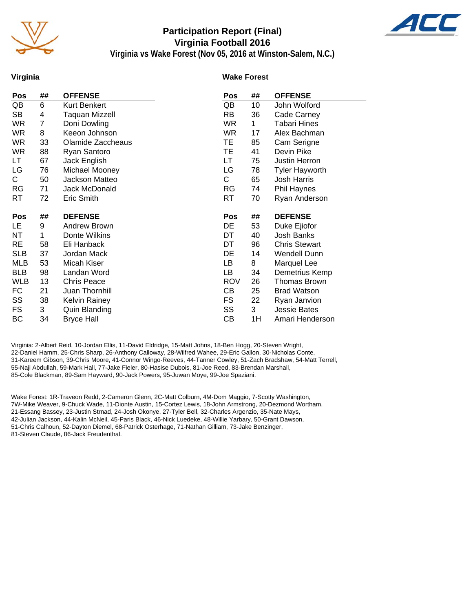

# **Participation Report (Final) Virginia Football 2016**



**Virginia vs Wake Forest (Nov 05, 2016 at Winston-Salem, N.C.)**

#### **Virginia**

#### **Wake Forest**

| Pos        | ##      | <b>OFFENSE</b>                     | Pos        | ## | <b>OFFENSE</b>        |
|------------|---------|------------------------------------|------------|----|-----------------------|
| QB         | 6       | Kurt Benkert                       | QB         | 10 | John Wolford          |
| SB         | 4       | <b>Taquan Mizzell</b>              | <b>RB</b>  | 36 | Cade Carney           |
| <b>WR</b>  | 7       | Doni Dowling                       | WR.        | 1  | <b>Tabari Hines</b>   |
| WR.        | 8       | Keeon Johnson                      | <b>WR</b>  | 17 | Alex Bachman          |
| <b>WR</b>  | 33      | Olamide Zaccheaus                  | TE.        | 85 | Cam Serigne           |
| <b>WR</b>  | 88      | Ryan Santoro                       | TE.        | 41 | Devin Pike            |
| LT         | 67      | Jack English                       | LT.        | 75 | Justin Herron         |
| LG         | 76      | Michael Mooney                     | LG         | 78 | <b>Tyler Hayworth</b> |
| C.         | 50      | Jackson Matteo                     | C          | 65 | Josh Harris           |
| <b>RG</b>  | 71      | Jack McDonald                      | <b>RG</b>  | 74 | <b>Phil Haynes</b>    |
| RT         | 72      | Eric Smith                         | <b>RT</b>  | 70 | Ryan Anderson         |
|            |         |                                    |            |    |                       |
|            |         |                                    |            |    |                       |
| <u>Pos</u> | ##      | <b>DEFENSE</b>                     | Pos        | ## | <b>DEFENSE</b>        |
| LE.        | 9       | Andrew Brown                       | <b>DE</b>  | 53 | Duke Ejiofor          |
| <b>NT</b>  | 1       | Donte Wilkins                      | DT         | 40 | Josh Banks            |
| <b>RE</b>  | 58      | Eli Hanback                        | DT         | 96 | <b>Chris Stewart</b>  |
| <b>SLB</b> | 37      | Jordan Mack                        | DE         | 14 | Wendell Dunn          |
| <b>MLB</b> | 53      | Micah Kiser                        | LB         | 8  | Marquel Lee           |
| <b>BLB</b> | 98      | Landan Word                        | LB         | 34 | Demetrius Kemp        |
| <b>WLB</b> | 13      | <b>Chris Peace</b>                 | <b>ROV</b> | 26 | Thomas Brown          |
| FC         | 21      | Juan Thornhill                     | CВ         | 25 | <b>Brad Watson</b>    |
| SS         | 38      | Kelvin Rainey                      | <b>FS</b>  | 22 | Ryan Janvion          |
| <b>FS</b>  |         |                                    | SS         | 3  | <b>Jessie Bates</b>   |
| ВC         | 3<br>34 | Quin Blanding<br><b>Bryce Hall</b> | СB         | 1H | Amari Henderson       |

Virginia: 2-Albert Reid, 10-Jordan Ellis, 11-David Eldridge, 15-Matt Johns, 18-Ben Hogg, 20-Steven Wright, 22-Daniel Hamm, 25-Chris Sharp, 26-Anthony Calloway, 28-Wilfred Wahee, 29-Eric Gallon, 30-Nicholas Conte, 31-Kareem Gibson, 39-Chris Moore, 41-Connor Wingo-Reeves, 44-Tanner Cowley, 51-Zach Bradshaw, 54-Matt Terrell, 55-Naji Abdullah, 59-Mark Hall, 77-Jake Fieler, 80-Hasise Dubois, 81-Joe Reed, 83-Brendan Marshall, 85-Cole Blackman, 89-Sam Hayward, 90-Jack Powers, 95-Juwan Moye, 99-Joe Spaziani.

Wake Forest: 1R-Traveon Redd, 2-Cameron Glenn, 2C-Matt Colburn, 4M-Dom Maggio, 7-Scotty Washington, 7W-Mike Weaver, 9-Chuck Wade, 11-Dionte Austin, 15-Cortez Lewis, 18-John Armstrong, 20-Dezmond Wortham, 21-Essang Bassey, 23-Justin Strnad, 24-Josh Okonye, 27-Tyler Bell, 32-Charles Argenzio, 35-Nate Mays, 42-Julian Jackson, 44-Kalin McNeil, 45-Paris Black, 46-Nick Luedeke, 48-Willie Yarbary, 50-Grant Dawson, 51-Chris Calhoun, 52-Dayton Diemel, 68-Patrick Osterhage, 71-Nathan Gilliam, 73-Jake Benzinger, 81-Steven Claude, 86-Jack Freudenthal.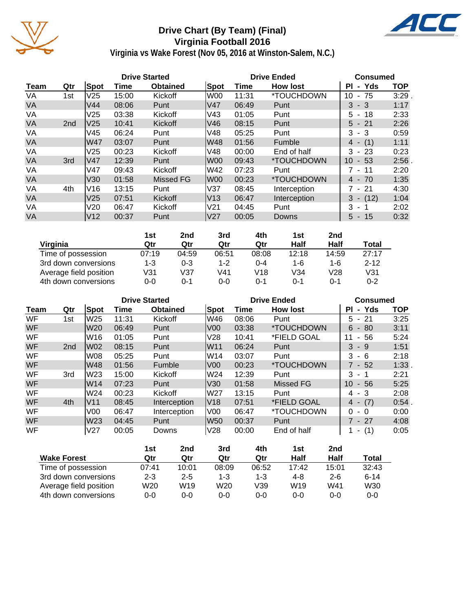

# **Drive Chart (By Team) (Final) Virginia Football 2016**



**Virginia vs Wake Forest (Nov 05, 2016 at Winston-Salem, N.C.)**

|           |                 |                 |       | <b>Drive Started</b> |                 | <b>Drive Ended</b> | <b>Consumed</b>          |             |            |
|-----------|-----------------|-----------------|-------|----------------------|-----------------|--------------------|--------------------------|-------------|------------|
| Team      | Qtr             | Spot            | Time  | <b>Obtained</b>      | Spot            | Time               | <b>How lost</b>          | - Yds<br>ΡI | <b>TOP</b> |
| VA        | 1st             | V25             | 15:00 | Kickoff              | lW00            | 11:31              | *TOUCHDOWN               | 10<br>$-75$ | 3:29       |
| <b>VA</b> |                 | V44             | 08:06 | Punt                 | lV47            | 06:49              | Punt                     | $3 - 3$     | 1:17       |
| VA        |                 | V25             | 03:38 | Kickoff              | V43             | 01:05              | Punt                     | $5 - 18$    | 2:33       |
| <b>VA</b> | 2 <sub>nd</sub> | V <sub>25</sub> | 10:41 | Kickoff              | V46             | 08:15              | Punt                     | $5 - 21$    | 2:26       |
| VA        |                 | V45             | 06:24 | Punt                 | V48             | 05:25              | Punt                     | $3 - 3$     | 0:59       |
| <b>VA</b> |                 | W47             | 03:07 | Punt                 | lW48            | 01:56              | Fumble                   | (1)<br>4 -  | 1:11       |
| VA        |                 | V25             | 00:23 | Kickoff              | V48             | 00:00              | End of half              | 3<br>$-23$  | 0:23       |
| <b>VA</b> | 3rd             | lV47            | 12:39 | Punt                 | lW00            | 09:43              | *TOUCHDOWN               | 10<br>$-53$ | 2:56       |
| VA        |                 | V47             | 09:43 | Kickoff              | lW42            | 07:23              | Punt                     | 7 - 11      | 2:20       |
| <b>VA</b> |                 | V30             | 01:58 | Missed FG            | lW00            | 00:23              | <i><b>*TOUCHDOWN</b></i> | $4 - 70$    | 1:35       |
| VA        | 4th             | V <sub>16</sub> | 13:15 | Punt                 | V <sub>37</sub> | 08:45              | Interception             | $7 - 21$    | 4:30       |
| <b>VA</b> |                 | V25             | 07:51 | Kickoff              | lV13            | 06:47              | Interception             | $3 - (12)$  | 1:04       |
| VA        |                 | V20             | 06:47 | Kickoff              | V <sub>21</sub> | 04:45              | Punt                     | 3<br>$\sim$ | 2:02       |
| <b>VA</b> |                 | V <sub>12</sub> | 00:37 | Punt                 | lV27            | 00:05              | Downs                    | $5 - 15$    | 0:32       |

|                        | 1st   | 2nd     | 3rd     | 4th   | 1st   | 2 <sub>nd</sub> |          |
|------------------------|-------|---------|---------|-------|-------|-----------------|----------|
| Virginia               | Qtr   | Qtr     | Qtr     | Qtr   | Half  | Half            | Total    |
| Time of possession     | 07:19 | 04:59   | 06:51   | 08:08 | 12:18 | 14:59           | 27:17    |
| 3rd down conversions   | 1-3   | $0 - 3$ | $1 - 2$ | 0-4   | 1-6   | 1-6             | $2 - 12$ |
| Average field position | V31   | V37     | V41     | V18   | V34   | V28             | V31      |
| 4th down conversions   | 0-0   | 0-1     | 0-0     | 0-1   | 0-1   | 0-1             | $0 - 2$  |

|             |                 |                 | <b>Drive Started</b> |                 |                 | <b>Drive Ended</b> | <b>Consumed</b>          |              |            |  |
|-------------|-----------------|-----------------|----------------------|-----------------|-----------------|--------------------|--------------------------|--------------|------------|--|
| <b>Team</b> | Qtr             | <b>Spot</b>     | Time                 | <b>Obtained</b> | Spot            | Time               | <b>How lost</b>          | - Yds<br>PI. | <b>TOP</b> |  |
| <b>WF</b>   | 1st             | W25             | 11:31                | Kickoff         | lW46            | 08:06              | Punt                     | $5 - 21$     | 3:25       |  |
| WF          |                 | W20             | 06:49                | Punt            | V <sub>00</sub> | 03:38              | <i><b>*TOUCHDOWN</b></i> | $-80$<br>6   | 3:11       |  |
| WF          |                 | W16             | 01:05                | Punt            | V28             | 10:41              | *FIELD GOAL              | - 56<br>11   | 5:24       |  |
| <b>WF</b>   | 2 <sub>nd</sub> | lW02            | 08:15                | Punt            | W11             | 06:24              | Punt                     | $3 - 9$      | 1:51       |  |
| WF          |                 | W08             | 05:25                | Punt            | lW14            | 03:07              | Punt                     | 3<br>- 6     | 2:18       |  |
| WF          |                 | W48             | 01:56                | Fumble          | V <sub>00</sub> | 00:23              | *TOUCHDOWN               | $7 - 52$     | 1:33       |  |
| WF          | 3rd             | lW23            | 15:00                | Kickoff         | lW24            | 12:39              | Punt                     | $3 - 1$      | 2:21       |  |
| <b>WF</b>   |                 | W14             | 07:23                | Punt            | V30             | 01:58              | Missed FG                | 10<br>$-56$  | 5:25       |  |
| WF          |                 | W24             | 00:23                | Kickoff         | lW27            | 13:15              | Punt                     | $4 - 3$      | 2:08       |  |
| WF          | 4th             | lV11            | 08:45                | Interception    | V18             | 07:51              | *FIELD GOAL              | (7)<br>4 -   | 0:54       |  |
| WF          |                 | V <sub>00</sub> | 06:47                | Interception    | V00             | 06:47              | *TOUCHDOWN               | 0<br>- 0     | 0:00       |  |
| WF          |                 | W23             | 04:45                | Punt            | W50             | 00:37              | Punt                     | $7 - 27$     | 4:08       |  |
| WF          |                 | V <sub>27</sub> | 00:05                | Downs           | V28             | 00:00              | End of half              | (1)<br>۰.    | 0:05       |  |

|                        | 1st     | 2nd     | 3rd   | 4th     | 1st             | 2nd     |          |
|------------------------|---------|---------|-------|---------|-----------------|---------|----------|
| <b>Wake Forest</b>     | Qtr     | Qtr     | Qtr   | Qtr     | Half            | Half    | Total    |
| Time of possession     | 07:41   | 10:01   | 08:09 | 06:52   | 17:42           | 15:01   | 32:43    |
| 3rd down conversions   | $2 - 3$ | $2 - 5$ | 1-3   | $1 - 3$ | 4-8             | $2 - 6$ | $6 - 14$ |
| Average field position | W20     | W19     | W20   | V39     | W <sub>19</sub> | W41     | W30      |
| 4th down conversions   | 0-0     | $0-0$   | 0-0   | $0 - 0$ | $0 - 0$         | $0 - 0$ | 0-0      |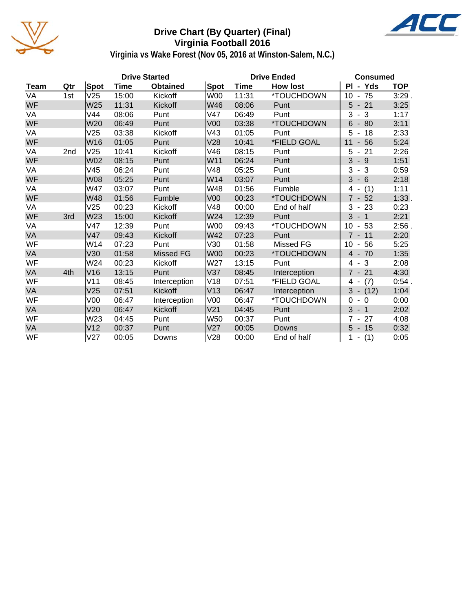

### **Drive Chart (By Quarter) (Final) Virginia Football 2016**



**Virginia vs Wake Forest (Nov 05, 2016 at Winston-Salem, N.C.)**

|           |                 |                 |       | <b>Drive Started</b> |                 | <b>Drive Ended</b> | <b>Consumed</b> |                                        |            |
|-----------|-----------------|-----------------|-------|----------------------|-----------------|--------------------|-----------------|----------------------------------------|------------|
| Team      | Qtr             | Spot            | Time  | <b>Obtained</b>      | Spot            | Time               | <b>How lost</b> | PI - Yds                               | <b>TOP</b> |
| <b>VA</b> | 1st             | V25             | 15:00 | Kickoff              | <b>W00</b>      | 11:31              | *TOUCHDOWN      | $-75$<br>10                            | 3:29.      |
| WF        |                 | W25             | 11:31 | Kickoff              | W46             | 08:06              | Punt            | $5 - 21$                               | 3:25       |
| VA        |                 | V44             | 08:06 | Punt                 | V47             | 06:49              | Punt            | 3<br>- 3                               | 1:17       |
| WF        |                 | W20             | 06:49 | Punt                 | V <sub>00</sub> | 03:38              | *TOUCHDOWN      | $6\phantom{1}$<br>80<br>$\blacksquare$ | 3:11       |
| VA        |                 | V25             | 03:38 | Kickoff              | V43             | 01:05              | Punt            | 5<br>18                                | 2:33       |
| WF        |                 | W16             | 01:05 | Punt                 | V28             | 10:41              | *FIELD GOAL     | 56<br>11<br>$\blacksquare$             | 5:24       |
| VA        | 2 <sub>nd</sub> | V25             | 10:41 | Kickoff              | V46             | 08:15              | Punt            | 5<br>21<br>$\overline{\phantom{a}}$    | 2:26       |
| WF        |                 | W02             | 08:15 | Punt                 | W11             | 06:24              | Punt            | 3<br>$-9$                              | 1:51       |
| VA        |                 | V45             | 06:24 | Punt                 | V48             | 05:25              | Punt            | 3<br>$-3$                              | 0:59       |
| WF        |                 | W08             | 05:25 | Punt                 | W14             | 03:07              | Punt            | 3<br>$-6$                              | 2:18       |
| VA        |                 | W47             | 03:07 | Punt                 | W48             | 01:56              | Fumble          | (1)<br>4                               | 1:11       |
| WF        |                 | W48             | 01:56 | Fumble               | V <sub>00</sub> | 00:23              | *TOUCHDOWN      | $\overline{7}$<br>$-52$                | 1:33.      |
| VA        |                 | V25             | 00:23 | Kickoff              | V48             | 00:00              | End of half     | 3<br>23<br>$\blacksquare$              | 0:23       |
| WF        | 3rd             | W23             | 15:00 | Kickoff              | W24             | 12:39              | Punt            | $\mathbf{3}$<br>$-1$                   | 2:21       |
| VA        |                 | V47             | 12:39 | Punt                 | <b>W00</b>      | 09:43              | *TOUCHDOWN      | 10<br>53<br>$\blacksquare$             | $2:56$ .   |
| VA        |                 | V47             | 09:43 | Kickoff              | W42             | 07:23              | Punt            | $7 - 11$                               | 2:20       |
| WF        |                 | W14             | 07:23 | Punt                 | V30             | 01:58              | Missed FG       | 10<br>56<br>$\overline{\phantom{a}}$   | 5:25       |
| VA        |                 | V30             | 01:58 | <b>Missed FG</b>     | <b>W00</b>      | 00:23              | *TOUCHDOWN      | $4 - 70$                               | 1:35       |
| WF        |                 | W24             | 00:23 | Kickoff              | W27             | 13:15              | Punt            | 3<br>4<br>$\sim$                       | 2:08       |
| VA        | 4th             | V16             | 13:15 | Punt                 | V37             | 08:45              | Interception    | $7 - 21$                               | 4:30       |
| WF        |                 | V11             | 08:45 | Interception         | V18             | 07:51              | *FIELD GOAL     | (7)<br>4 -                             | 0:54.      |
| VA        |                 | V25             | 07:51 | Kickoff              | V13             | 06:47              | Interception    | $3 - (12)$                             | 1:04       |
| WF        |                 | V <sub>00</sub> | 06:47 | Interception         | V <sub>00</sub> | 06:47              | *TOUCHDOWN      | $\Omega$<br>$-0$                       | 0:00       |
| <b>VA</b> |                 | V20             | 06:47 | Kickoff              | V <sub>21</sub> | 04:45              | Punt            | 3<br>$-1$                              | 2:02       |
| WF        |                 | W23             | 04:45 | Punt                 | W50             | 00:37              | Punt            | 27<br>$7 -$                            | 4:08       |
| VA        |                 | V <sub>12</sub> | 00:37 | Punt                 | V <sub>27</sub> | 00:05              | Downs           | 5<br>$-15$                             | 0:32       |
| WF        |                 | V27             | 00:05 | Downs                | V28             | 00:00              | End of half     | (1)<br>$\overline{\phantom{a}}$        | 0:05       |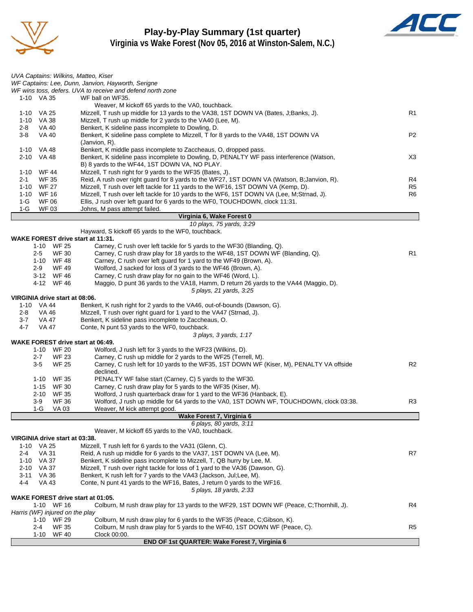

#### **Play-by-Play Summary (1st quarter) Virginia vs Wake Forest (Nov 05, 2016 at Winston-Salem, N.C.)**



|          | UVA Captains: Wilkins, Matteo, Kiser          |                                                                                                                  |                |
|----------|-----------------------------------------------|------------------------------------------------------------------------------------------------------------------|----------------|
|          |                                               | WF Captains: Lee, Dunn, Janvion, Hayworth, Serigne<br>WF wins toss, defers. UVA to receive and defend north zone |                |
|          | 1-10 VA 35                                    | WF ball on WF35.                                                                                                 |                |
|          |                                               | Weaver, M kickoff 65 yards to the VA0, touchback.                                                                |                |
|          | 1-10 VA 25                                    | Mizzell, T rush up middle for 13 yards to the VA38, 1ST DOWN VA (Bates, J;Banks, J).                             | R1             |
|          | 1-10 VA 38                                    | Mizzell, T rush up middle for 2 yards to the VA40 (Lee, M).                                                      |                |
| 2-8      | VA 40                                         | Benkert, K sideline pass incomplete to Dowling, D.                                                               |                |
| $3 - 8$  | <b>VA 40</b>                                  | Benkert, K sideline pass complete to Mizzell, T for 8 yards to the VA48, 1ST DOWN VA                             | P <sub>2</sub> |
|          | 1-10 VA 48                                    | $(Janvion, R)$ .<br>Benkert, K middle pass incomplete to Zaccheaus, O, dropped pass.                             |                |
|          | 2-10 VA 48                                    | Benkert, K sideline pass incomplete to Dowling, D, PENALTY WF pass interference (Watson,                         | X3             |
|          |                                               | B) 8 yards to the WF44, 1ST DOWN VA, NO PLAY.                                                                    |                |
|          | 1-10 WF 44                                    | Mizzell, T rush right for 9 yards to the WF35 (Bates, J).                                                        |                |
| $2 - 1$  | <b>WF 35</b>                                  | Reid, A rush over right guard for 8 yards to the WF27, 1ST DOWN VA (Watson, B; Janvion, R).                      | R4             |
|          | 1-10 WF 27                                    | Mizzell, T rush over left tackle for 11 yards to the WF16, 1ST DOWN VA (Kemp, D).                                | R <sub>5</sub> |
|          | 1-10 WF 16                                    | Mizzell, T rush over left tackle for 10 yards to the WF6, 1ST DOWN VA (Lee, M;Strnad, J).                        | R6             |
| $1-G$    | <b>WF 06</b>                                  | Ellis, J rush over left guard for 6 yards to the WF0, TOUCHDOWN, clock 11:31.                                    |                |
| 1-G      | <b>WF03</b>                                   | Johns, M pass attempt failed.                                                                                    |                |
|          |                                               | Virginia 6, Wake Forest 0<br>10 plays, 75 yards, 3:29                                                            |                |
|          |                                               | Hayward, S kickoff 65 yards to the WF0, touchback.                                                               |                |
|          | WAKE FOREST drive start at 11:31.             |                                                                                                                  |                |
|          | 1-10 WF 25                                    | Carney, C rush over left tackle for 5 yards to the WF30 (Blanding, Q).                                           |                |
|          | <b>WF30</b><br>$2 - 5$                        | Carney, C rush draw play for 18 yards to the WF48, 1ST DOWN WF (Blanding, Q).                                    | R1             |
|          | 1-10 WF 48                                    | Carney, C rush over left quard for 1 yard to the WF49 (Brown, A).                                                |                |
|          | $2-9$<br>WF 49                                | Wolford, J sacked for loss of 3 yards to the WF46 (Brown, A).                                                    |                |
|          | 3-12 WF46                                     | Carney, C rush draw play for no gain to the WF46 (Word, L).                                                      |                |
|          | 4-12 WF46                                     | Maggio, D punt 36 yards to the VA18, Hamm, D return 26 yards to the VA44 (Maggio, D).                            |                |
|          |                                               | 5 plays, 21 yards, 3:25                                                                                          |                |
|          | VIRGINIA drive start at 08:06.<br>1-10 VA 44  | Benkert, K rush right for 2 yards to the VA46, out-of-bounds (Dawson, G).                                        |                |
| 2-8      | VA 46                                         | Mizzell, T rush over right guard for 1 yard to the VA47 (Strnad, J).                                             |                |
| 3-7      | VA 47                                         | Benkert, K sideline pass incomplete to Zaccheaus, O.                                                             |                |
| 4-7      | VA 47                                         | Conte, N punt 53 yards to the WF0, touchback.                                                                    |                |
|          |                                               | 3 plays, 3 yards, 1:17                                                                                           |                |
|          | <b>WAKE FOREST drive start at 06:49.</b>      |                                                                                                                  |                |
|          | 1-10 WF 20                                    | Wolford, J rush left for 3 yards to the WF23 (Wilkins, D).                                                       |                |
|          | $2 - 7$<br><b>WF 23</b>                       | Carney, C rush up middle for 2 yards to the WF25 (Terrell, M).                                                   |                |
|          | $3-5$<br><b>WF 25</b>                         | Carney, C rush left for 10 yards to the WF35, 1ST DOWN WF (Kiser, M), PENALTY VA offside                         | R <sub>2</sub> |
|          | WF 35<br>1-10                                 | declined.<br>PENALTY WF false start (Carney, C) 5 yards to the WF30.                                             |                |
|          | <b>WF30</b><br>1-15                           | Carney, C rush draw play for 5 yards to the WF35 (Kiser, M).                                                     |                |
|          | 2-10 WF 35                                    | Wolford, J rush quarterback draw for 1 yard to the WF36 (Hanback, E).                                            |                |
|          | 3-9<br><b>WF 36</b>                           | Wolford, J rush up middle for 64 yards to the VA0, 1ST DOWN WF, TOUCHDOWN, clock 03:38.                          | R3             |
|          | 1-G<br>VA 03                                  | Weaver, M kick attempt good.                                                                                     |                |
|          |                                               | Wake Forest 7, Virginia 6                                                                                        |                |
|          |                                               | 6 plays, 80 yards, 3:11                                                                                          |                |
|          |                                               | Weaver, M kickoff 65 yards to the VA0, touchback.                                                                |                |
|          | VIRGINIA drive start at 03:38.<br>1-10 VA 25  | Mizzell, T rush left for 6 yards to the VA31 (Glenn, C).                                                         |                |
| $2 - 4$  | <b>VA 31</b>                                  | Reid, A rush up middle for 6 yards to the VA37, 1ST DOWN VA (Lee, M).                                            | R7             |
|          | 1-10 VA 37                                    | Benkert, K sideline pass incomplete to Mizzell, T, QB hurry by Lee, M.                                           |                |
|          | 2-10 VA 37                                    | Mizzell, T rush over right tackle for loss of 1 yard to the VA36 (Dawson, G).                                    |                |
| $3 - 11$ | VA 36                                         | Benkert, K rush left for 7 yards to the VA43 (Jackson, Jul;Lee, M).                                              |                |
| 4-4      | <b>VA 43</b>                                  | Conte, N punt 41 yards to the WF16, Bates, J return 0 yards to the WF16.                                         |                |
|          |                                               | 5 plays, 18 yards, 2:33                                                                                          |                |
|          | <b>WAKE FOREST drive start at 01:05.</b>      |                                                                                                                  |                |
|          | 1-10 WF 16                                    | Colburn, M rush draw play for 13 yards to the WF29, 1ST DOWN WF (Peace, C;Thornhill, J).                         | R4             |
|          | Harris (WF) injured on the play<br>1-10 WF 29 | Colburn, M rush draw play for 6 yards to the WF35 (Peace, C;Gibson, K).                                          |                |
|          | <b>WF 35</b><br>2-4                           | Colburn, M rush draw play for 5 yards to the WF40, 1ST DOWN WF (Peace, C).                                       | R <sub>5</sub> |
|          | <b>WF 40</b><br>1-10                          | Clock 00:00.                                                                                                     |                |
|          |                                               | END OF 1st QUARTER: Wake Forest 7, Virginia 6                                                                    |                |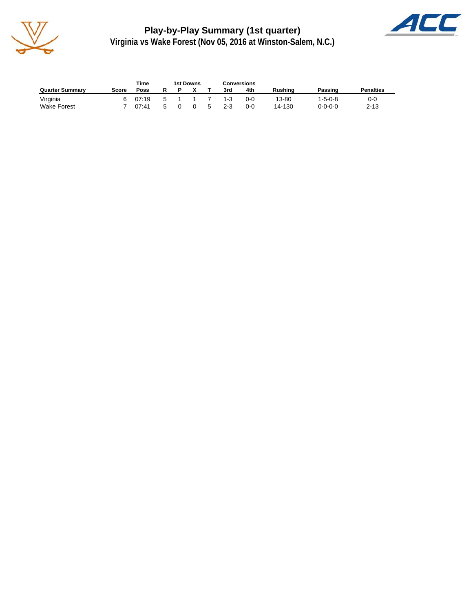

**Play-by-Play Summary (1st quarter) Virginia vs Wake Forest (Nov 05, 2016 at Winston-Salem, N.C.)**



|                        |       | Time  |  | 1st Downs |   | Conversions |         |                |                 |                  |
|------------------------|-------|-------|--|-----------|---|-------------|---------|----------------|-----------------|------------------|
| <b>Quarter Summary</b> | Score | Poss  |  |           |   | 3rd         | 4th     | <b>Rushing</b> | Passing         | <b>Penalties</b> |
| Virginia               |       | 07:19 |  |           |   | $1 - 3$     | $0 - 0$ | 13-80          | $1 - 5 - 0 - 8$ | $0-0$            |
| <b>Wake Forest</b>     |       | 07:41 |  |           | 5 | $2 - 3$     | 0-0     | 14-130         | $0 - 0 - 0 - 0$ | $2 - 13$         |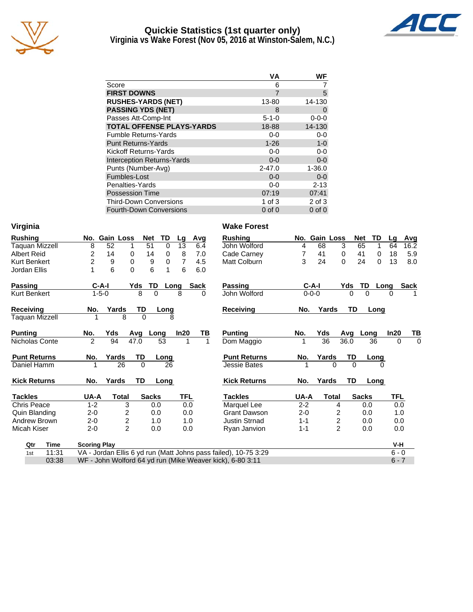

#### **Quickie Statistics (1st quarter only) Virginia vs Wake Forest (Nov 05, 2016 at Winston-Salem, N.C.)**



|                                   | VA             | WF          |
|-----------------------------------|----------------|-------------|
| Score                             | 6              |             |
| <b>FIRST DOWNS</b>                | $\overline{7}$ | 5           |
| <b>RUSHES-YARDS (NET)</b>         | 13-80          | 14-130      |
| <b>PASSING YDS (NET)</b>          | 8              | 0           |
| Passes Att-Comp-Int               | $5 - 1 - 0$    | $0 - 0 - 0$ |
| <b>TOTAL OFFENSE PLAYS-YARDS</b>  | 18-88          | 14-130      |
| <b>Fumble Returns-Yards</b>       | $0 - 0$        | $0-0$       |
| <b>Punt Returns-Yards</b>         | $1 - 26$       | $1 - 0$     |
| Kickoff Returns-Yards             | $0-0$          | $0-0$       |
| <b>Interception Returns-Yards</b> | $0 - 0$        | $0 - 0$     |
| Punts (Number-Avg)                | $2 - 47.0$     | $1 - 36.0$  |
| Fumbles-Lost                      | $0 - 0$        | $0 - 0$     |
| Penalties-Yards                   | $0-0$          | $2 - 13$    |
| <b>Possession Time</b>            | 07:19          | 07:41       |
| <b>Third-Down Conversions</b>     | 1 of $3$       | $2$ of $3$  |
| <b>Fourth-Down Conversions</b>    | $0$ of $0$     | $0$ of $0$  |

| Virginia              |             |                     |             |                |               |          |            |             | <b>Wake Forest</b>                                              |         |             |                |              |          |            |             |
|-----------------------|-------------|---------------------|-------------|----------------|---------------|----------|------------|-------------|-----------------------------------------------------------------|---------|-------------|----------------|--------------|----------|------------|-------------|
| <b>Rushing</b>        |             |                     |             | No. Gain Loss  | Net           | TD       | Lg         | Avg         | <b>Rushing</b>                                                  |         |             | No. Gain Loss  | Net          | TD       | Lq         | <u>Avg</u>  |
| Taquan Mizzell        |             | 8                   | 52          | 1              | 51            | $\Omega$ | 13         | 6.4         | John Wolford                                                    | 4       | 68          | 3              | 65           | 1        | 64         | 16.2        |
| <b>Albert Reid</b>    |             | 2                   | 14          | 0              | 14            | 0        | 8          | 7.0         | Cade Carney                                                     | 7       | 41          | 0              | 41           | 0        | 18         | 5.9         |
| Kurt Benkert          |             | 2                   | 9           | $\Omega$       | 9             | 0        | 7          | 4.5         | Matt Colburn                                                    | 3       | 24          | 0              | 24           | 0        | 13         | 8.0         |
| Jordan Ellis          |             |                     | 6           | $\overline{0}$ | 6             | 1        | 6          | 6.0         |                                                                 |         |             |                |              |          |            |             |
| <b>Passing</b>        |             |                     | $C-A-I$     | Yds            | TD            |          | Long       | <b>Sack</b> | <b>Passing</b>                                                  |         | $C-A-I$     |                | Yds          | TD       | Long       | <b>Sack</b> |
| <b>Kurt Benkert</b>   |             |                     | $1 - 5 - 0$ |                | $\Omega$<br>8 |          | 8          | 0           | John Wolford                                                    |         | $0 - 0 - 0$ |                | 0            | $\Omega$ | 0          |             |
| <b>Receiving</b>      |             | No.                 |             | Yards          | TD            | Long     |            |             | <b>Receiving</b>                                                | No.     |             | Yards          | TD           | Long     |            |             |
| <b>Taquan Mizzell</b> |             | 1                   |             | 8              | $\Omega$      | 8        |            |             |                                                                 |         |             |                |              |          |            |             |
| <b>Puntina</b>        |             | No.                 | Yds         | Avg            |               | Long     | In20       | ΤВ          | <b>Punting</b>                                                  | No.     | Yds         |                | Avg          | Long     | In20       | ТВ          |
| Nicholas Conte        |             | $\mathfrak{p}$      | 94          | 47.0           |               | 53       |            |             | Dom Maggio                                                      |         | 36          |                | 36.0         | 36       | $\Omega$   | $\Omega$    |
| <b>Punt Returns</b>   |             | No.                 | Yards       |                | <b>TD</b>     | Long     |            |             | <b>Punt Returns</b>                                             | No.     | Yards       |                | TD           | Long     |            |             |
| Daniel Hamm           |             |                     |             | 26             | $\Omega$      | 26       |            |             | <b>Jessie Bates</b>                                             |         |             | 0              | $\Omega$     | 0        |            |             |
| <b>Kick Returns</b>   |             | No.                 | Yards       |                | TD            | Long     |            |             | <b>Kick Returns</b>                                             | No.     | Yards       |                | TD           | Long     |            |             |
| Tackles               |             | UA-A                |             | Total          | <b>Sacks</b>  |          | <b>TFL</b> |             | <b>Tackles</b>                                                  | UA-A    |             | Total          | <b>Sacks</b> |          | <b>TFL</b> |             |
| <b>Chris Peace</b>    |             | $1 - 2$             |             | 3              | 0.0           |          | 0.0        |             | Marquel Lee                                                     | $2 - 2$ |             | 4              |              | 0.0      | 0.0        |             |
| Quin Blanding         |             | $2 - 0$             |             | 2              | 0.0           |          | 0.0        |             | <b>Grant Dawson</b>                                             | $2 - 0$ |             | 2              |              | 0.0      | 1.0        |             |
| Andrew Brown          |             | $2 - 0$             |             | $\overline{c}$ | 1.0           |          | 1.0        |             | <b>Justin Strnad</b>                                            | $1 - 1$ |             | $\overline{2}$ |              | 0.0      | 0.0        |             |
| Micah Kiser           |             | $2 - 0$             |             | $\overline{2}$ | 0.0           |          | 0.0        |             | Ryan Janvion                                                    | $1 - 1$ |             | $\overline{c}$ |              | 0.0      | 0.0        |             |
| Qtr                   | <b>Time</b> | <b>Scoring Play</b> |             |                |               |          |            |             |                                                                 |         |             |                |              |          | $V-H$      |             |
| 1st                   | 11:31       |                     |             |                |               |          |            |             | VA - Jordan Ellis 6 yd run (Matt Johns pass failed), 10-75 3:29 |         |             |                |              |          | $6 - 0$    |             |
|                       | 03:38       |                     |             |                |               |          |            |             | WF - John Wolford 64 yd run (Mike Weaver kick), 6-80 3:11       |         |             |                |              |          | $6 - 7$    |             |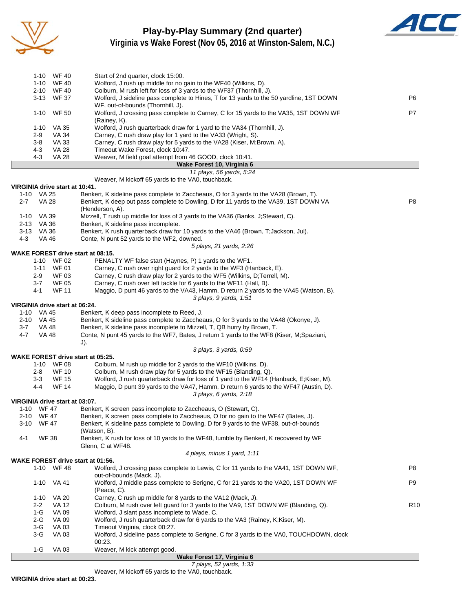

#### **Play-by-Play Summary (2nd quarter) Virginia vs Wake Forest (Nov 05, 2016 at Winston-Salem, N.C.)**



|              |                | 1-10 WF 40                     | Start of 2nd quarter, clock 15:00.                                                                                                                     |                |
|--------------|----------------|--------------------------------|--------------------------------------------------------------------------------------------------------------------------------------------------------|----------------|
|              | 1-10           | <b>WF 40</b>                   | Wolford, J rush up middle for no gain to the WF40 (Wilkins, D).                                                                                        |                |
|              |                | 2-10 WF40                      | Colburn, M rush left for loss of 3 yards to the WF37 (Thornhill, J).                                                                                   |                |
|              |                | 3-13 WF 37                     | Wolford, J sideline pass complete to Hines, T for 13 yards to the 50 yardline, 1ST DOWN                                                                | P6             |
|              |                |                                | WF, out-of-bounds (Thornhill, J).                                                                                                                      |                |
|              |                | 1-10 WF 50                     | Wolford, J crossing pass complete to Carney, C for 15 yards to the VA35, 1ST DOWN WF                                                                   | P7             |
|              |                |                                | (Rainey, K).                                                                                                                                           |                |
|              | 1-10           | VA 35                          | Wolford, J rush quarterback draw for 1 yard to the VA34 (Thornhill, J).                                                                                |                |
|              | 2-9            | VA 34                          | Carney, C rush draw play for 1 yard to the VA33 (Wright, S).                                                                                           |                |
|              | 3-8            | VA 33                          | Carney, C rush draw play for 5 yards to the VA28 (Kiser, M;Brown, A).                                                                                  |                |
|              | 4-3            | <b>VA 28</b>                   | Timeout Wake Forest, clock 10:47.                                                                                                                      |                |
|              | 4-3            | <b>VA 28</b>                   | Weaver, M field goal attempt from 46 GOOD, clock 10:41.                                                                                                |                |
|              |                |                                | Wake Forest 10, Virginia 6<br>11 plays, 56 yards, 5:24                                                                                                 |                |
|              |                |                                | Weaver, M kickoff 65 yards to the VA0, touchback.                                                                                                      |                |
|              |                | VIRGINIA drive start at 10:41. |                                                                                                                                                        |                |
|              | 1-10 VA 25     |                                | Benkert, K sideline pass complete to Zaccheaus, O for 3 yards to the VA28 (Brown, T).                                                                  |                |
| $2 - 7$      | <b>VA 28</b>   |                                | Benkert, K deep out pass complete to Dowling, D for 11 yards to the VA39, 1ST DOWN VA                                                                  | P8             |
|              |                |                                | (Henderson, A).                                                                                                                                        |                |
|              | 1-10 VA 39     |                                | Mizzell, T rush up middle for loss of 3 yards to the VA36 (Banks, J; Stewart, C).                                                                      |                |
|              | 2-13 VA 36     |                                | Benkert, K sideline pass incomplete.                                                                                                                   |                |
|              | 3-13 VA 36     |                                | Benkert, K rush quarterback draw for 10 yards to the VA46 (Brown, T; Jackson, Jul).                                                                    |                |
| $4 - 3$      | VA 46          |                                | Conte, N punt 52 yards to the WF2, downed.                                                                                                             |                |
|              |                |                                | 5 plays, 21 yards, 2:26                                                                                                                                |                |
|              |                |                                | <b>WAKE FOREST drive start at 08:15.</b>                                                                                                               |                |
|              |                | 1-10 WF 02                     | PENALTY WF false start (Haynes, P) 1 yards to the WF1.                                                                                                 |                |
|              | $1 - 11$       | <b>WF 01</b>                   | Carney, C rush over right guard for 2 yards to the WF3 (Hanback, E).                                                                                   |                |
|              | $2-9$          | <b>WF03</b>                    | Carney, C rush draw play for 2 yards to the WF5 (Wilkins, D; Terrell, M).                                                                              |                |
|              | 3-7            | <b>WF 05</b>                   | Carney, C rush over left tackle for 6 yards to the WF11 (Hall, B).                                                                                     |                |
|              | 4-1            | <b>WF 11</b>                   | Maggio, D punt 46 yards to the VA43, Hamm, D return 2 yards to the VA45 (Watson, B).                                                                   |                |
|              |                | VIRGINIA drive start at 06:24. | 3 plays, 9 yards, 1:51                                                                                                                                 |                |
|              | 1-10 VA 45     |                                | Benkert, K deep pass incomplete to Reed, J.                                                                                                            |                |
|              | 2-10 VA 45     |                                | Benkert, K sideline pass complete to Zaccheaus, O for 3 yards to the VA48 (Okonye, J).                                                                 |                |
| 3-7          | VA 48          |                                | Benkert, K sideline pass incomplete to Mizzell, T, QB hurry by Brown, T.                                                                               |                |
| $4 - 7$      | VA 48          |                                | Conte, N punt 45 yards to the WF7, Bates, J return 1 yards to the WF8 (Kiser, M;Spaziani,                                                              |                |
|              |                |                                | $J$ ).                                                                                                                                                 |                |
|              |                |                                | 3 plays, 3 yards, 0:59                                                                                                                                 |                |
|              |                |                                | <b>WAKE FOREST drive start at 05:25.</b>                                                                                                               |                |
|              |                | 1-10 WF 08                     | Colburn, M rush up middle for 2 yards to the WF10 (Wilkins, D).                                                                                        |                |
|              | 2-8            | <b>WF 10</b>                   | Colburn, M rush draw play for 5 yards to the WF15 (Blanding, Q).                                                                                       |                |
|              | 3-3            | <b>WF 15</b>                   | Wolford, J rush quarterback draw for loss of 1 yard to the WF14 (Hanback, E;Kiser, M).                                                                 |                |
|              | 4-4            | <b>WF 14</b>                   | Maggio, D punt 39 yards to the VA47, Hamm, D return 6 yards to the WF47 (Austin, D).                                                                   |                |
|              |                |                                | 3 plays, 6 yards, 2:18                                                                                                                                 |                |
|              |                | VIRGINIA drive start at 03:07. |                                                                                                                                                        |                |
| 1-10<br>2-10 | WF 47<br>WF 47 |                                | Benkert, K screen pass incomplete to Zaccheaus, O (Stewart, C).<br>Benkert, K screen pass complete to Zaccheaus, O for no gain to the WF47 (Bates, J). |                |
| 3-10         | <b>WF 47</b>   |                                | Benkert, K sideline pass complete to Dowling, D for 9 yards to the WF38, out-of-bounds                                                                 |                |
|              |                |                                | (Watson, B).                                                                                                                                           |                |
| 4-1          | <b>WF 38</b>   |                                | Benkert, K rush for loss of 10 yards to the WF48, fumble by Benkert, K recovered by WF                                                                 |                |
|              |                |                                | Glenn, C at WF48.                                                                                                                                      |                |
|              |                |                                | 4 plays, minus 1 yard, 1:11                                                                                                                            |                |
|              |                |                                | <b>WAKE FOREST drive start at 01:56.</b>                                                                                                               |                |
|              |                | 1-10 WF 48                     | Wolford, J crossing pass complete to Lewis, C for 11 yards to the VA41, 1ST DOWN WF,                                                                   | P8             |
|              |                |                                | out-of-bounds (Mack, J).                                                                                                                               |                |
|              |                | 1-10 VA 41                     | Wolford, J middle pass complete to Serigne, C for 21 yards to the VA20, 1ST DOWN WF                                                                    | P <sub>9</sub> |
|              |                | 1.10, 1/1.20                   | (Peace, C).<br>Carnov C rush up middle for 8 yerds to the VA12 (Mask I)                                                                                |                |
|              |                |                                |                                                                                                                                                        |                |

1-10 VA 20 Carney, C rush up middle for 8 yards to the VA12 (Mack, J). 2-2 VA 12 Colburn, M rush over left guard for 3 yards to the VA9, 1ST DOWN WF (Blanding, Q).<br>1-G VA 09 Wolford, J slant pass incomplete to Wade, C. 1-G VA 09 Wolford, J slant pass incomplete to Wade, C. 2-G VA 09 Wolford, J rush quarterback draw for 6 yards to the VA3 (Rainey, K;Kiser, M). 3-G VA 03 Timeout Virginia, clock 00:27.<br>3-G VA 03 Wolford, J sideline pass compl Wolford, J sideline pass complete to Serigne, C for 3 yards to the VA0, TOUCHDOWN, clock 00:23. 1-G VA 03 Weaver, M kick attempt good.

**Wake Forest 17, Virginia 6**

*7 plays, 52 yards, 1:33*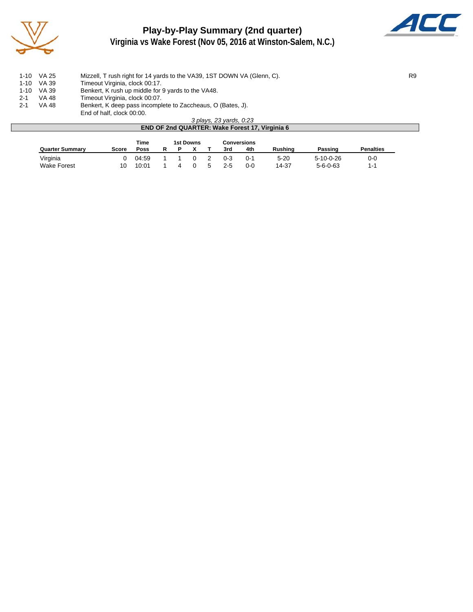

## **Play-by-Play Summary (2nd quarter) Virginia vs Wake Forest (Nov 05, 2016 at Winston-Salem, N.C.)**



|         | 1-10 VA 25 | Mizzell, T rush right for 14 yards to the VA39, 1ST DOWN VA (Glenn, C).                  | R <sub>9</sub> |
|---------|------------|------------------------------------------------------------------------------------------|----------------|
|         | 1-10 VA 39 | Timeout Virginia, clock 00:17.                                                           |                |
|         | 1-10 VA 39 | Benkert, K rush up middle for 9 yards to the VA48.                                       |                |
| $2 - 1$ | VA 48      | Timeout Virginia, clock 00:07.                                                           |                |
| $2 - 1$ | VA 48      | Benkert, K deep pass incomplete to Zaccheaus, O (Bates, J).<br>End of half, clock 00:00. |                |
|         |            |                                                                                          |                |

*3 plays, 23 yards, 0:23* **END OF 2nd QUARTER: Wake Forest 17, Virginia 6** Time 1st Downs Conversions<br>
<u>Poss R P X T 3rd 4th</u> **Quarter Summary Score Poss R P X T 3rd 4th Rushing Passing Penalties** Virginia 0 04:59 1 1 0 2 0-3 0-1 5-20 5-10-0-26 0-0

Wake Forest 10 10:01 1 4 0 5 2-5 0-0 14-37 5-6-0-63 1-1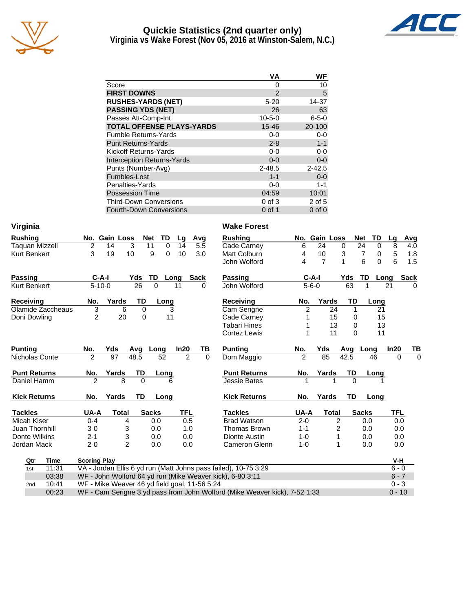

#### **Quickie Statistics (2nd quarter only) Virginia vs Wake Forest (Nov 05, 2016 at Winston-Salem, N.C.)**



|                                   | ٧A            | WF          |
|-----------------------------------|---------------|-------------|
| Score                             | 0             | 10          |
| <b>FIRST DOWNS</b>                | $\mathcal{P}$ | 5           |
| <b>RUSHES-YARDS (NET)</b>         | $5 - 20$      | 14-37       |
| <b>PASSING YDS (NET)</b>          | 26            | 63          |
| Passes Att-Comp-Int               | $10 - 5 - 0$  | $6 - 5 - 0$ |
| <b>TOTAL OFFENSE PLAYS-YARDS</b>  | $15 - 46$     | 20-100      |
| <b>Fumble Returns-Yards</b>       | $0 - 0$       | $0 - 0$     |
| <b>Punt Returns-Yards</b>         | $2 - 8$       | $1 - 1$     |
| Kickoff Returns-Yards             | $0 - 0$       | 0-0         |
| <b>Interception Returns-Yards</b> | $0 - 0$       | $0 - 0$     |
| Punts (Number-Avg)                | $2 - 48.5$    | $2 - 42.5$  |
| Fumbles-Lost                      | $1 - 1$       | $0 - 0$     |
| Penalties-Yards                   | $0-0$         | 1-1         |
| <b>Possession Time</b>            | 04:59         | 10:01       |
| <b>Third-Down Conversions</b>     | $0$ of $3$    | 2 of 5      |
| <b>Fourth-Down Conversions</b>    | 0 of 1        | $0$ of $0$  |

| Virginia              |                     |                                               |              |             |            |      |          | <b>Wake Forest</b>                                                         |               |                |                |             |                  |            |             |
|-----------------------|---------------------|-----------------------------------------------|--------------|-------------|------------|------|----------|----------------------------------------------------------------------------|---------------|----------------|----------------|-------------|------------------|------------|-------------|
| <b>Rushing</b>        |                     | No. Gain Loss                                 | Net          | TD          | Lg         | Avg  |          | <b>Rushing</b>                                                             |               | No. Gain Loss  |                |             | TD<br><b>Net</b> | Lg         | Avg         |
| <b>Taquan Mizzell</b> | $\overline{c}$      | 14                                            | 3<br>11      | $\mathbf 0$ | 14         |      | 5.5      | Cade Carney                                                                | 6             | 24             |                | 0           | 24<br>$\Omega$   | 8          | 4.0         |
| <b>Kurt Benkert</b>   | 3                   | 19                                            | 10           | 9<br>0      | 10         |      | 3.0      | <b>Matt Colburn</b>                                                        | 4             | 10             |                | 3           | 7<br>0           | 5          | 1.8         |
|                       |                     |                                               |              |             |            |      |          | John Wolford                                                               | 4             | $\overline{7}$ |                | 1           | 6<br>0           | 6          | 1.5         |
| <b>Passing</b>        | $C-A-I$             |                                               | Yds          | TD          | Long       | Sack |          | <b>Passing</b>                                                             |               | $C-A-I$        |                | Yds         | TD               | Long       | <b>Sack</b> |
| Kurt Benkert          | $5 - 10 - 0$        |                                               | 26           | $\Omega$    | 11         |      | $\Omega$ | John Wolford                                                               |               | $5 - 6 - 0$    |                | 63          |                  | 21         | $\Omega$    |
| <b>Receiving</b>      | No.                 | Yards                                         | TD           | Long        |            |      |          | <b>Receiving</b>                                                           | No.           |                | Yards          | TD          | Long             |            |             |
| Olamide Zaccheaus     | 3                   | 6                                             | $\Omega$     |             | 3          |      |          | Cam Serigne                                                                | 2             |                | 24             | $\mathbf 1$ |                  | 21         |             |
| Doni Dowling          | 2                   | 20                                            | 0            | 11          |            |      |          | Cade Carney                                                                | 1             |                | 15             | 0           |                  | 15         |             |
|                       |                     |                                               |              |             |            |      |          | <b>Tabari Hines</b>                                                        | 1             |                | 13             | 0           |                  | 13         |             |
|                       |                     |                                               |              |             |            |      |          | Cortez Lewis                                                               | 1             |                | 11             | $\Omega$    |                  | 11         |             |
| <b>Punting</b>        | No.                 | Yds                                           | Avq          | Long        | In20       |      | ΤВ       | <b>Punting</b>                                                             | No.           | Yds            |                | Avg         | Long             | ln20       | TB          |
| Nicholas Conte        | $\overline{2}$      | $\overline{97}$                               | 48.5         | 52          | 2          |      | $\Omega$ | Dom Maggio                                                                 | $\mathcal{P}$ | 85             |                | 42.5        | 46               | $\Omega$   | $\Omega$    |
| <b>Punt Returns</b>   | No.                 | Yards                                         | TD           | Long        |            |      |          | <b>Punt Returns</b>                                                        | No.           | Yards          |                | TD          | Long             |            |             |
| Daniel Hamm           | $\mathfrak{p}$      | 8                                             | $\Omega$     | 6           |            |      |          | <b>Jessie Bates</b>                                                        |               |                |                | $\Omega$    |                  |            |             |
| <b>Kick Returns</b>   | No.                 | Yards                                         | <b>TD</b>    | Long        |            |      |          | <b>Kick Returns</b>                                                        | No.           | Yards          |                | <b>TD</b>   | Long             |            |             |
| <b>Tackles</b>        | UA-A                | <b>Total</b>                                  | <b>Sacks</b> |             | <b>TFL</b> |      |          | <b>Tackles</b>                                                             | UA-A          |                | <b>Total</b>   |             | <b>Sacks</b>     | <b>TFL</b> |             |
| Micah Kiser           | $0 - 4$             | 4                                             |              | 0.0         | 0.5        |      |          | <b>Brad Watson</b>                                                         | $2 - 0$       |                | $\overline{2}$ |             | 0.0              |            | 0.0         |
| Juan Thornhill        | $3-0$               | 3                                             |              | 0.0         | 1.0        |      |          | Thomas Brown                                                               | $1 - 1$       |                | 2              |             | 0.0              |            | 0.0         |
| Donte Wilkins         | $2 - 1$             | 3                                             |              | 0.0         | 0.0        |      |          | Dionte Austin                                                              | $1 - 0$       |                | 1              |             | 0.0              |            | 0.0         |
| Jordan Mack           | $2 - 0$             | $\overline{2}$                                |              | 0.0         | 0.0        |      |          | Cameron Glenn                                                              | $1 - 0$       |                | 1              |             | 0.0              | 0.0        |             |
| <b>Time</b><br>Qtr    | <b>Scoring Play</b> |                                               |              |             |            |      |          |                                                                            |               |                |                |             |                  | V-H        |             |
| 11:31<br>1st          |                     |                                               |              |             |            |      |          | VA - Jordan Ellis 6 yd run (Matt Johns pass failed), 10-75 3:29            |               |                |                |             |                  | $6 - 0$    |             |
| 03:38                 |                     |                                               |              |             |            |      |          | WF - John Wolford 64 yd run (Mike Weaver kick), 6-80 3:11                  |               |                |                |             |                  | $6 - 7$    |             |
| 10:41<br>2nd          |                     | WF - Mike Weaver 46 yd field goal, 11-56 5:24 |              |             |            |      |          |                                                                            |               |                |                |             |                  | $0 - 3$    |             |
| 00:23                 |                     |                                               |              |             |            |      |          | WF - Cam Serigne 3 yd pass from John Wolford (Mike Weaver kick), 7-52 1:33 |               |                |                |             |                  | $0 - 10$   |             |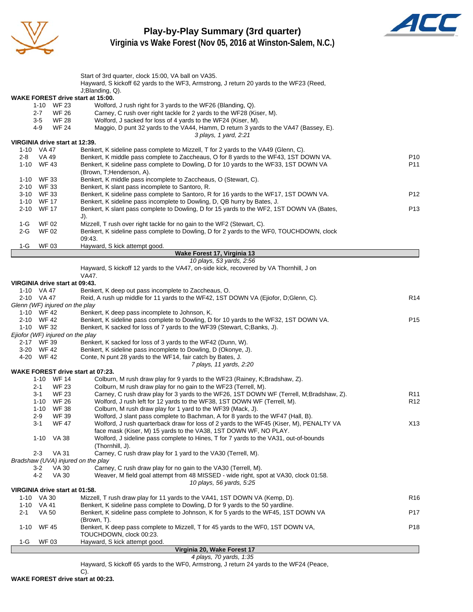

**Play-by-Play Summary (3rd quarter) Virginia vs Wake Forest (Nov 05, 2016 at Winston-Salem, N.C.)**



|             |                                              | Start of 3rd quarter, clock 15:00, VA ball on VA35.<br>Hayward, S kickoff 62 yards to the WF3, Armstrong, J return 20 yards to the WF23 (Reed,                          |                 |
|-------------|----------------------------------------------|-------------------------------------------------------------------------------------------------------------------------------------------------------------------------|-----------------|
|             |                                              | J;Blanding, Q).                                                                                                                                                         |                 |
|             |                                              | WAKE FOREST drive start at 15:00.                                                                                                                                       |                 |
|             | WF 23<br>$1 - 10$                            | Wolford, J rush right for 3 yards to the WF26 (Blanding, Q).                                                                                                            |                 |
|             | <b>WF 26</b><br>$2 - 7$                      | Carney, C rush over right tackle for 2 yards to the WF28 (Kiser, M).                                                                                                    |                 |
|             | <b>WF 28</b><br>$3-5$<br>4-9<br><b>WF 24</b> | Wolford, J sacked for loss of 4 yards to the WF24 (Kiser, M).<br>Maggio, D punt 32 yards to the VA44, Hamm, D return 3 yards to the VA47 (Bassey, E).                   |                 |
|             |                                              | 3 plays, 1 yard, 2:21                                                                                                                                                   |                 |
|             |                                              | VIRGINIA drive start at 12:39.                                                                                                                                          |                 |
|             | 1-10 VA 47                                   | Benkert, K sideline pass complete to Mizzell, T for 2 yards to the VA49 (Glenn, C).                                                                                     |                 |
| 2-8         | VA 49                                        | Benkert, K middle pass complete to Zaccheaus, O for 8 yards to the WF43, 1ST DOWN VA.                                                                                   | P <sub>10</sub> |
|             | 1-10 WF43                                    | Benkert, K sideline pass complete to Dowling, D for 10 yards to the WF33, 1ST DOWN VA<br>(Brown, T; Henderson, A).                                                      | P11             |
| $1 - 10$    | WF 33                                        | Benkert, K middle pass incomplete to Zaccheaus, O (Stewart, C).                                                                                                         |                 |
| 2-10        | WF 33                                        | Benkert, K slant pass incomplete to Santoro, R.                                                                                                                         |                 |
|             | 3-10 WF 33                                   | Benkert, K sideline pass complete to Santoro, R for 16 yards to the WF17, 1ST DOWN VA.                                                                                  | P <sub>12</sub> |
|             | 1-10 WF 17                                   | Benkert, K sideline pass incomplete to Dowling, D, QB hurry by Bates, J.                                                                                                |                 |
| 2-10        | <b>WF 17</b>                                 | Benkert, K slant pass complete to Dowling, D for 15 yards to the WF2, 1ST DOWN VA (Bates,                                                                               | P <sub>13</sub> |
| 1-G         | WF 02                                        | $J$ ).<br>Mizzell, T rush over right tackle for no gain to the WF2 (Stewart, C).                                                                                        |                 |
| 2-G         | <b>WF02</b>                                  | Benkert, K sideline pass complete to Dowling, D for 2 yards to the WF0, TOUCHDOWN, clock                                                                                |                 |
|             |                                              | 09:43.                                                                                                                                                                  |                 |
| 1-G         | <b>WF03</b>                                  | Hayward, S kick attempt good.                                                                                                                                           |                 |
|             |                                              | Wake Forest 17, Virginia 13                                                                                                                                             |                 |
|             |                                              | 10 plays, 53 yards, 2:56<br>Hayward, S kickoff 12 yards to the VA47, on-side kick, recovered by VA Thornhill, J on                                                      |                 |
|             |                                              | VA47.                                                                                                                                                                   |                 |
|             |                                              | VIRGINIA drive start at 09:43.                                                                                                                                          |                 |
|             | 1-10 VA 47                                   | Benkert, K deep out pass incomplete to Zaccheaus, O.                                                                                                                    |                 |
|             | 2-10 VA 47                                   | Reid, A rush up middle for 11 yards to the WF42, 1ST DOWN VA (Ejiofor, D;Glenn, C).                                                                                     | R14             |
|             |                                              | Glenn (WF) injured on the play                                                                                                                                          |                 |
|             | 1-10 WF 42<br>2-10 WF42                      | Benkert, K deep pass incomplete to Johnson, K.<br>Benkert, K sideline pass complete to Dowling, D for 10 yards to the WF32, 1ST DOWN VA.                                | P <sub>15</sub> |
|             | 1-10 WF 32                                   | Benkert, K sacked for loss of 7 yards to the WF39 (Stewart, C;Banks, J).                                                                                                |                 |
|             |                                              | Ejiofor (WF) injured on the play                                                                                                                                        |                 |
|             | 2-17 WF 39                                   | Benkert, K sacked for loss of 3 yards to the WF42 (Dunn, W).                                                                                                            |                 |
|             | 3-20 WF 42                                   | Benkert, K sideline pass incomplete to Dowling, D (Okonye, J).                                                                                                          |                 |
|             | 4-20 WF 42                                   | Conte, N punt 28 yards to the WF14, fair catch by Bates, J.                                                                                                             |                 |
|             |                                              | 7 plays, 11 yards, 2:20<br><b>WAKE FOREST drive start at 07:23.</b>                                                                                                     |                 |
|             | 1-10 WF 14                                   | Colburn, M rush draw play for 9 yards to the WF23 (Rainey, K;Bradshaw, Z).                                                                                              |                 |
|             | <b>WF 23</b><br>2-1                          | Colburn, M rush draw play for no gain to the WF23 (Terrell, M).                                                                                                         |                 |
|             | 3-1<br><b>WF 23</b>                          | Carney, C rush draw play for 3 yards to the WF26, 1ST DOWN WF (Terrell, M;Bradshaw, Z).                                                                                 | R <sub>11</sub> |
|             | 1-10 WF 26                                   | Wolford, J rush left for 12 yards to the WF38, 1ST DOWN WF (Terrell, M).                                                                                                | R <sub>12</sub> |
|             | $1 - 10$<br>WF 38<br><b>WF 39</b>            | Colburn, M rush draw play for 1 yard to the WF39 (Mack, J).<br>Wolford, J slant pass complete to Bachman, A for 8 yards to the WF47 (Hall, B).                          |                 |
|             | $2-9$<br>$3 - 1$<br><b>WF 47</b>             | Wolford, J rush quarterback draw for loss of 2 yards to the WF45 (Kiser, M), PENALTY VA                                                                                 | X13             |
|             |                                              | face mask (Kiser, M) 15 yards to the VA38, 1ST DOWN WF, NO PLAY.                                                                                                        |                 |
|             | $1 - 10$<br><b>VA 38</b>                     | Wolford, J sideline pass complete to Hines, T for 7 yards to the VA31, out-of-bounds                                                                                    |                 |
|             |                                              | (Thornhill, J).                                                                                                                                                         |                 |
|             | $2 - 3$<br><b>VA 31</b>                      | Carney, C rush draw play for 1 yard to the VA30 (Terrell, M).                                                                                                           |                 |
|             | <b>VA 30</b><br>$3-2$                        | Bradshaw (UVA) injured on the play<br>Carney, C rush draw play for no gain to the VA30 (Terrell, M).                                                                    |                 |
|             | $4 - 2$<br><b>VA 30</b>                      | Weaver, M field goal attempt from 48 MISSED - wide right, spot at VA30, clock 01:58.                                                                                    |                 |
|             |                                              | 10 plays, 56 yards, 5:25                                                                                                                                                |                 |
|             |                                              | VIRGINIA drive start at 01:58.                                                                                                                                          |                 |
|             | 1-10 VA 30                                   | Mizzell, T rush draw play for 11 yards to the VA41, 1ST DOWN VA (Kemp, D).                                                                                              | R <sub>16</sub> |
| 1-10<br>2-1 | VA 41                                        | Benkert, K sideline pass complete to Dowling, D for 9 yards to the 50 yardline.<br>Benkert, K sideline pass complete to Johnson, K for 5 yards to the WF45, 1ST DOWN VA | P <sub>17</sub> |
|             | VA 50                                        | (Brown, T).                                                                                                                                                             |                 |
| $1 - 10$    | <b>WF 45</b>                                 | Benkert, K deep pass complete to Mizzell, T for 45 yards to the WF0, 1ST DOWN VA,                                                                                       | P18             |
|             |                                              | TOUCHDOWN, clock 00:23.                                                                                                                                                 |                 |
| 1-G         | WF 03                                        | Hayward, S kick attempt good.<br>Virginia 20 Wake Forest 17                                                                                                             |                 |
|             |                                              |                                                                                                                                                                         |                 |

**Virginia 20, Wake Forest 17** *4 plays, 70 yards, 1:35*

Hayward, S kickoff 65 yards to the WF0, Armstrong, J return 24 yards to the WF24 (Peace,

C). **WAKE FOREST drive start at 00:23.**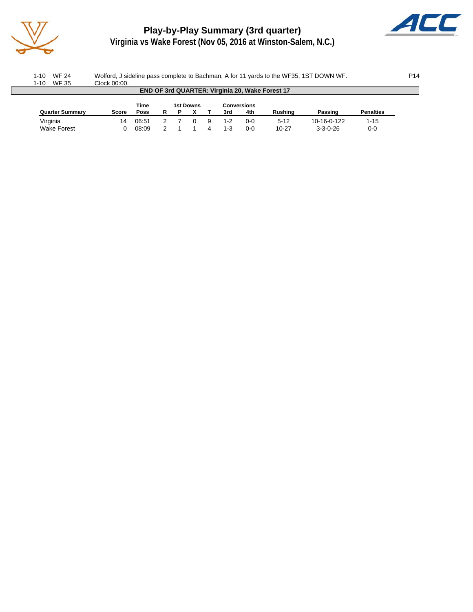

# **Play-by-Play Summary (3rd quarter)**



**Virginia vs Wake Forest (Nov 05, 2016 at Winston-Salem, N.C.)**

| WF 24<br>$1 - 10$      | Wolford, J sideline pass complete to Bachman, A for 11 yards to the WF35, 1ST DOWN WF. |             |   |   |           |  |     |                    |                                                 |                  |                  |  |  |  |
|------------------------|----------------------------------------------------------------------------------------|-------------|---|---|-----------|--|-----|--------------------|-------------------------------------------------|------------------|------------------|--|--|--|
| WF 35<br>$1 - 10$      | Clock 00:00.                                                                           |             |   |   |           |  |     |                    |                                                 |                  |                  |  |  |  |
|                        |                                                                                        |             |   |   |           |  |     |                    | END OF 3rd QUARTER: Virginia 20, Wake Forest 17 |                  |                  |  |  |  |
|                        |                                                                                        |             |   |   |           |  |     |                    |                                                 |                  |                  |  |  |  |
|                        |                                                                                        | Time        |   |   | 1st Downs |  |     | <b>Conversions</b> |                                                 |                  |                  |  |  |  |
| <b>Quarter Summary</b> | Score                                                                                  | <b>Poss</b> | R | P |           |  | 3rd | 4th                | Rushina                                         | Passing          | <b>Penalties</b> |  |  |  |
| Virginia               | 14                                                                                     | 06:51       |   |   |           |  | 1-2 | $0 - 0$            | $5-12$                                          | 10-16-0-122      | $1 - 15$         |  |  |  |
| Wake Forest            |                                                                                        | 08:09       |   |   |           |  | 1-3 | $0 - 0$            | $10 - 27$                                       | $3 - 3 - 0 - 26$ | $0-0$            |  |  |  |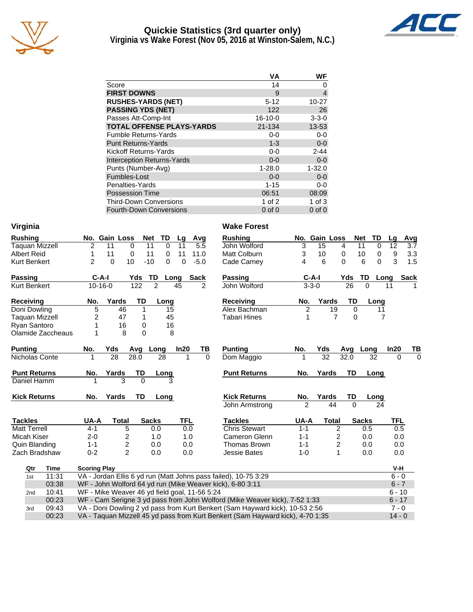

#### **Quickie Statistics (3rd quarter only) Virginia vs Wake Forest (Nov 05, 2016 at Winston-Salem, N.C.)**



|                                   | VA            | WF          |
|-----------------------------------|---------------|-------------|
| Score                             | 14            |             |
| <b>FIRST DOWNS</b>                | 9             | 4           |
| <b>RUSHES-YARDS (NET)</b>         | $5 - 12$      | 10-27       |
| <b>PASSING YDS (NET)</b>          | 122           | 26          |
| Passes Att-Comp-Int               | $16 - 10 - 0$ | $3 - 3 - 0$ |
| <b>TOTAL OFFENSE PLAYS-YARDS</b>  | 21-134        | $13 - 53$   |
| <b>Fumble Returns-Yards</b>       | $0-0$         | $0-0$       |
| <b>Punt Returns-Yards</b>         | $1 - 3$       | $0-0$       |
| Kickoff Returns-Yards             | $0-0$         | $2 - 44$    |
| <b>Interception Returns-Yards</b> | $0 - 0$       | $0 - 0$     |

Punts (Number-Avg) 1-28.0 1-32.0 Fumbles-Lost 0-0 0-0 0-0 Penalties-Yards 6-0 and 1-15 0-0 Possession Time 06:51 08:09

3rd 09:43 VA - Doni Dowling 2 yd pass from Kurt Benkert (Sam Hayward kick), 10-53 2:56 7 - 0

00:23 VA - Taquan Mizzell 45 yd pass from Kurt Benkert (Sam Hayward kick), 4-70 1:35 14 - 0

|                |               |               |               | <b>Third-Down Conversions</b><br><b>Fourth-Down Conversions</b> |      |                |        |                    |   |             |  |  |  |  |  |  |
|----------------|---------------|---------------|---------------|-----------------------------------------------------------------|------|----------------|--------|--------------------|---|-------------|--|--|--|--|--|--|
|                |               |               |               |                                                                 |      |                |        | $0$ of $0$         |   | $0$ of $0$  |  |  |  |  |  |  |
| Virginia       |               |               |               |                                                                 |      |                |        | <b>Wake Forest</b> |   |             |  |  |  |  |  |  |
| <b>Rushing</b> |               |               | No. Gain Loss | Net                                                             | TD.  | La             | Avq    | <b>Rushing</b>     |   | No. Gain    |  |  |  |  |  |  |
| Taquan Mizzell | 2             | 11            | 0             | 11                                                              | 0    | 11             | 5.5    | John Wolford       | 3 | 15          |  |  |  |  |  |  |
| Albert Reid    |               | 11            | 0             | 11                                                              | 0    | 11             | 11.0   | Matt Colburn       | 3 | 10          |  |  |  |  |  |  |
| Kurt Benkert   | $\mathcal{P}$ | $\Omega$      | 10            | $-10$                                                           | 0    | 0              | $-5.0$ | Cade Carney        | 4 | 6           |  |  |  |  |  |  |
| <b>Passing</b> |               | C-A-I         | Yds           | TD                                                              | Long | <b>Passing</b> |        | $C-A-I$            |   |             |  |  |  |  |  |  |
| Kurt Benkert   |               | $10 - 16 - 0$ | 122           | 2                                                               |      | 45             | 2      | John Wolford       |   | $3 - 3 - 0$ |  |  |  |  |  |  |
|                |               |               |               |                                                                 |      |                |        |                    |   |             |  |  |  |  |  |  |

| <b>Receiving</b>      | No. | Yards | TD | Lona |
|-----------------------|-----|-------|----|------|
| Doni Dowling          | 5   | 46    |    | 15   |
| <b>Taquan Mizzell</b> |     | 47    |    | 45   |
| Ryan Santoro          |     | 16    |    | 16   |
| Olamide Zaccheaus     |     |       |    |      |

| <b>Punting</b>      | No. | Yds   |      | Avg Long | In20 | ΤВ |
|---------------------|-----|-------|------|----------|------|----|
| Nicholas Conte      |     | 28.   | 28.0 | 28       |      |    |
| <b>Punt Returns</b> | No. | Yards | - TD | Lona     |      |    |
| Daniel Hamm         |     | з     |      |          |      |    |
| <b>Kick Returns</b> | No. | Yards | -TD  | Lona     |      |    |

| <b>Tackles</b>      | UA-A    | Total | <b>Sacks</b> | <b>TFL</b> |
|---------------------|---------|-------|--------------|------------|
| <b>Matt Terrell</b> | 4-1     | 5     | 0.O          | 0.0        |
| Micah Kiser         | $2 - 0$ | 2     | 1.0          | 1.0        |
| Quin Blanding       | $1 - 1$ | 2     | 0.0          | 0.0        |
| Zach Bradshaw       | $0 - 2$ | 2     | 0.0          | 0.0        |

|                |              |                                                 |                                                                                                                       |                                                                                 | Lg                                                                     |                                           |                                                     | <b>Rushing</b>                                                                                           |                                                                                                                                                                                                                                         |          |                                                                                                                                       |                                                                                    | TD                                                       | Lg                                                                                           | Avg                                                                                  |
|----------------|--------------|-------------------------------------------------|-----------------------------------------------------------------------------------------------------------------------|---------------------------------------------------------------------------------|------------------------------------------------------------------------|-------------------------------------------|-----------------------------------------------------|----------------------------------------------------------------------------------------------------------|-----------------------------------------------------------------------------------------------------------------------------------------------------------------------------------------------------------------------------------------|----------|---------------------------------------------------------------------------------------------------------------------------------------|------------------------------------------------------------------------------------|----------------------------------------------------------|----------------------------------------------------------------------------------------------|--------------------------------------------------------------------------------------|
| $\overline{2}$ | 11           | 0                                               | 11                                                                                                                    | $\Omega$                                                                        | 11                                                                     |                                           |                                                     | John Wolford                                                                                             | 3                                                                                                                                                                                                                                       | 15       |                                                                                                                                       |                                                                                    | $\mathbf 0$                                              |                                                                                              | 3.7                                                                                  |
| 1              | 11           | 0                                               | 11                                                                                                                    | 0                                                                               | 11                                                                     |                                           |                                                     | Matt Colburn                                                                                             | 3                                                                                                                                                                                                                                       | 10       |                                                                                                                                       |                                                                                    | 0                                                        |                                                                                              | 3.3                                                                                  |
| $\overline{c}$ | $\Omega$     | 10                                              | $-10$                                                                                                                 | $\Omega$                                                                        | $\Omega$                                                               |                                           |                                                     | Cade Carney                                                                                              | 4                                                                                                                                                                                                                                       | 6        |                                                                                                                                       |                                                                                    | $\Omega$                                                 | 3                                                                                            | 1.5                                                                                  |
|                |              |                                                 | <b>TD</b>                                                                                                             |                                                                                 |                                                                        |                                           |                                                     | Passing                                                                                                  |                                                                                                                                                                                                                                         |          |                                                                                                                                       |                                                                                    |                                                          |                                                                                              | <b>Sack</b>                                                                          |
|                |              |                                                 | $\overline{2}$                                                                                                        |                                                                                 |                                                                        |                                           |                                                     | John Wolford                                                                                             |                                                                                                                                                                                                                                         |          |                                                                                                                                       |                                                                                    | $\Omega$                                                 | 11                                                                                           |                                                                                      |
| No.            |              |                                                 |                                                                                                                       |                                                                                 |                                                                        |                                           |                                                     | <b>Receiving</b>                                                                                         |                                                                                                                                                                                                                                         |          |                                                                                                                                       | TD                                                                                 |                                                          |                                                                                              |                                                                                      |
|                |              |                                                 | 1                                                                                                                     |                                                                                 |                                                                        |                                           |                                                     |                                                                                                          |                                                                                                                                                                                                                                         |          |                                                                                                                                       | $\Omega$                                                                           |                                                          |                                                                                              |                                                                                      |
| 2              |              |                                                 | 1                                                                                                                     |                                                                                 |                                                                        |                                           |                                                     | <b>Tabari Hines</b>                                                                                      | 1                                                                                                                                                                                                                                       |          | $\overline{7}$                                                                                                                        | 0                                                                                  |                                                          |                                                                                              |                                                                                      |
|                |              |                                                 |                                                                                                                       |                                                                                 |                                                                        |                                           |                                                     |                                                                                                          |                                                                                                                                                                                                                                         |          |                                                                                                                                       |                                                                                    |                                                          |                                                                                              |                                                                                      |
|                |              |                                                 |                                                                                                                       |                                                                                 |                                                                        |                                           |                                                     |                                                                                                          |                                                                                                                                                                                                                                         |          |                                                                                                                                       |                                                                                    |                                                          |                                                                                              |                                                                                      |
| No.            | Yds          |                                                 |                                                                                                                       |                                                                                 |                                                                        |                                           |                                                     | <b>Punting</b>                                                                                           | No.                                                                                                                                                                                                                                     |          |                                                                                                                                       |                                                                                    |                                                          | In20                                                                                         | TВ                                                                                   |
| 1              | 28           |                                                 |                                                                                                                       |                                                                                 |                                                                        |                                           | $\Omega$                                            | Dom Maggio                                                                                               | 1                                                                                                                                                                                                                                       |          |                                                                                                                                       |                                                                                    | 32                                                       | 0                                                                                            | $\mathbf 0$                                                                          |
| No.            |              |                                                 |                                                                                                                       |                                                                                 |                                                                        |                                           |                                                     | <b>Punt Returns</b>                                                                                      | No.                                                                                                                                                                                                                                     |          |                                                                                                                                       | TD                                                                                 |                                                          |                                                                                              |                                                                                      |
|                |              |                                                 |                                                                                                                       |                                                                                 |                                                                        |                                           |                                                     |                                                                                                          |                                                                                                                                                                                                                                         |          |                                                                                                                                       |                                                                                    |                                                          |                                                                                              |                                                                                      |
| No.            |              |                                                 |                                                                                                                       |                                                                                 |                                                                        |                                           |                                                     | <b>Kick Returns</b>                                                                                      | No.                                                                                                                                                                                                                                     |          |                                                                                                                                       | <b>TD</b>                                                                          |                                                          |                                                                                              |                                                                                      |
|                |              |                                                 |                                                                                                                       |                                                                                 |                                                                        |                                           |                                                     |                                                                                                          | 2                                                                                                                                                                                                                                       |          |                                                                                                                                       | $\Omega$                                                                           |                                                          |                                                                                              |                                                                                      |
| UA-A           |              |                                                 |                                                                                                                       |                                                                                 |                                                                        |                                           |                                                     | <b>Tackles</b>                                                                                           |                                                                                                                                                                                                                                         |          |                                                                                                                                       |                                                                                    |                                                          | <b>TFL</b>                                                                                   |                                                                                      |
| $4 - 1$        |              | 5                                               |                                                                                                                       |                                                                                 |                                                                        |                                           |                                                     |                                                                                                          | $1 - 1$                                                                                                                                                                                                                                 |          | 2                                                                                                                                     |                                                                                    |                                                          | 0.5                                                                                          |                                                                                      |
| $2 - 0$        |              |                                                 |                                                                                                                       |                                                                                 |                                                                        |                                           |                                                     | Cameron Glenn                                                                                            | $1 - 1$                                                                                                                                                                                                                                 |          |                                                                                                                                       |                                                                                    |                                                          | 0.0                                                                                          |                                                                                      |
| 1-1            |              |                                                 |                                                                                                                       |                                                                                 |                                                                        |                                           |                                                     | <b>Thomas Brown</b>                                                                                      | $1 - 1$                                                                                                                                                                                                                                 |          | 2                                                                                                                                     |                                                                                    |                                                          | 0.0                                                                                          |                                                                                      |
|                |              |                                                 |                                                                                                                       |                                                                                 |                                                                        |                                           |                                                     | <b>Jessie Bates</b>                                                                                      | $1 - 0$                                                                                                                                                                                                                                 |          | 1                                                                                                                                     |                                                                                    |                                                          | 0.0                                                                                          |                                                                                      |
|                |              |                                                 |                                                                                                                       |                                                                                 |                                                                        |                                           |                                                     |                                                                                                          |                                                                                                                                                                                                                                         |          |                                                                                                                                       |                                                                                    |                                                          | V-H                                                                                          |                                                                                      |
|                |              |                                                 |                                                                                                                       |                                                                                 |                                                                        |                                           |                                                     |                                                                                                          |                                                                                                                                                                                                                                         |          |                                                                                                                                       |                                                                                    |                                                          | $6 - 0$                                                                                      |                                                                                      |
|                |              |                                                 |                                                                                                                       |                                                                                 |                                                                        |                                           |                                                     |                                                                                                          |                                                                                                                                                                                                                                         |          |                                                                                                                                       |                                                                                    |                                                          | $6 - 7$                                                                                      |                                                                                      |
|                |              |                                                 |                                                                                                                       |                                                                                 |                                                                        |                                           |                                                     |                                                                                                          |                                                                                                                                                                                                                                         | $6 - 10$ |                                                                                                                                       |                                                                                    |                                                          |                                                                                              |                                                                                      |
|                |              |                                                 |                                                                                                                       |                                                                                 |                                                                        |                                           |                                                     |                                                                                                          |                                                                                                                                                                                                                                         |          |                                                                                                                                       |                                                                                    |                                                          | $6 - 17$                                                                                     |                                                                                      |
|                | 5<br>$0 - 2$ | $C-A-I$<br>$10 - 16 - 0$<br><b>Scoring Play</b> | Yards<br>46<br>47<br>16<br>8<br>Yards<br>3<br>Yards<br><b>Total</b><br>2<br>$\overline{\mathbf{c}}$<br>$\overline{2}$ | Yds<br>122<br>TD<br>0<br>$\Omega$<br>Avq<br>28.0<br>TD<br>$\Omega$<br><b>TD</b> | Long<br>28<br>Long<br>Long<br><b>Sacks</b><br>0.0<br>1.0<br>0.0<br>0.0 | Long<br>45<br>Long<br>15<br>45<br>16<br>8 | In20<br>1<br><b>TFL</b><br>0.0<br>1.0<br>0.0<br>0.0 | No. Gain Loss<br><b>Net</b><br>TD<br>Avg<br>5.5<br>11.0<br>$-5.0$<br><b>Sack</b><br>$\overline{2}$<br>TВ | Alex Bachman<br>John Armstrong<br><b>Chris Stewart</b><br>VA - Jordan Ellis 6 yd run (Matt Johns pass failed), 10-75 3:29<br>WF - John Wolford 64 yd run (Mike Weaver kick), 6-80 3:11<br>WF - Mike Weaver 46 yd field goal, 11-56 5:24 |          | $C-A-I$<br>$3 - 3 - 0$<br>No.<br>$\overline{2}$<br>UA-A<br>WF - Cam Serigne 3 yd pass from John Wolford (Mike Weaver kick), 7-52 1:33 | Yards<br>19<br>Yds<br>32<br>Yards<br>Yards<br>44<br><b>Total</b><br>$\overline{c}$ | No. Gain Loss<br>4<br>0<br>0<br>Yds<br>26<br>Avg<br>32.0 | <b>Net</b><br>11<br>10<br>6<br><b>TD</b><br>Lona<br><b>Sacks</b><br>0.5<br>0.0<br>0.0<br>0.0 | $\overline{12}$<br>$\boldsymbol{9}$<br>Long<br>Long<br>11<br>7<br>Long<br>Long<br>24 |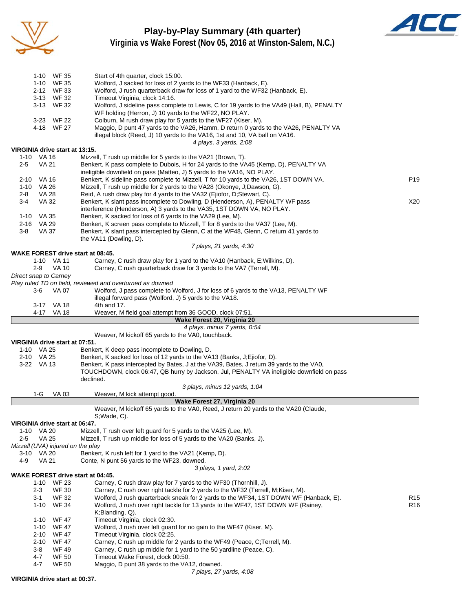

# **Play-by-Play Summary (4th quarter)**



**Virginia vs Wake Forest (Nov 05, 2016 at Winston-Salem, N.C.)**

|         |              | 1-10 WF 35                     | Start of 4th quarter, clock 15:00.                                                                                                                                                     |                 |
|---------|--------------|--------------------------------|----------------------------------------------------------------------------------------------------------------------------------------------------------------------------------------|-----------------|
|         |              | 1-10 WF 35                     | Wolford, J sacked for loss of 2 yards to the WF33 (Hanback, E).                                                                                                                        |                 |
|         |              | 2-12 WF 33                     | Wolford, J rush quarterback draw for loss of 1 yard to the WF32 (Hanback, E).                                                                                                          |                 |
|         |              | 3-13 WF 32                     | Timeout Virginia, clock 14:16.                                                                                                                                                         |                 |
|         |              | 3-13 WF 32                     | Wolford, J sideline pass complete to Lewis, C for 19 yards to the VA49 (Hall, B), PENALTY                                                                                              |                 |
|         |              |                                | WF holding (Herron, J) 10 yards to the WF22, NO PLAY.                                                                                                                                  |                 |
|         |              | 3-23 WF 22                     | Colburn, M rush draw play for 5 yards to the WF27 (Kiser, M).                                                                                                                          |                 |
|         |              | 4-18 WF 27                     | Maggio, D punt 47 yards to the VA26, Hamm, D return 0 yards to the VA26, PENALTY VA                                                                                                    |                 |
|         |              |                                | illegal block (Reed, J) 10 yards to the VA16, 1st and 10, VA ball on VA16.                                                                                                             |                 |
|         |              |                                | 4 plays, 3 yards, 2:08                                                                                                                                                                 |                 |
|         |              | VIRGINIA drive start at 13:15. |                                                                                                                                                                                        |                 |
|         | 1-10 VA 16   |                                | Mizzell, T rush up middle for 5 yards to the VA21 (Brown, T).                                                                                                                          |                 |
| $2 - 5$ | <b>VA 21</b> |                                | Benkert, K pass complete to Dubois, H for 24 yards to the VA45 (Kemp, D), PENALTY VA                                                                                                   |                 |
|         |              |                                | ineligible downfield on pass (Matteo, J) 5 yards to the VA16, NO PLAY.                                                                                                                 |                 |
|         |              |                                | Benkert, K sideline pass complete to Mizzell, T for 10 yards to the VA26, 1ST DOWN VA.                                                                                                 | P <sub>19</sub> |
| 2-10    | VA 16        |                                |                                                                                                                                                                                        |                 |
| 1-10    | VA 26        |                                | Mizzell, T rush up middle for 2 yards to the VA28 (Okonye, J;Dawson, G).                                                                                                               |                 |
| 2-8     | <b>VA 28</b> |                                | Reid, A rush draw play for 4 yards to the VA32 (Ejiofor, D;Stewart, C).                                                                                                                |                 |
| 3-4     | VA 32        |                                | Benkert, K slant pass incomplete to Dowling, D (Henderson, A), PENALTY WF pass                                                                                                         | X20             |
|         |              |                                | interference (Henderson, A) 3 yards to the VA35, 1ST DOWN VA, NO PLAY.                                                                                                                 |                 |
|         | 1-10 VA 35   |                                | Benkert, K sacked for loss of 6 yards to the VA29 (Lee, M).                                                                                                                            |                 |
|         | 2-16 VA 29   |                                | Benkert, K screen pass complete to Mizzell, T for 8 yards to the VA37 (Lee, M).                                                                                                        |                 |
| 3-8     | VA 37        |                                | Benkert, K slant pass intercepted by Glenn, C at the WF48, Glenn, C return 41 yards to                                                                                                 |                 |
|         |              |                                | the VA11 (Dowling, D).                                                                                                                                                                 |                 |
|         |              |                                | 7 plays, 21 yards, 4:30<br>WAKE FOREST drive start at 08:45.                                                                                                                           |                 |
|         |              | 1-10 VA 11                     | Carney, C rush draw play for 1 yard to the VA10 (Hanback, E; Wilkins, D).                                                                                                              |                 |
|         | $2-9$        | VA 10                          | Carney, C rush quarterback draw for 3 yards to the VA7 (Terrell, M).                                                                                                                   |                 |
|         |              | Direct snap to Carney          |                                                                                                                                                                                        |                 |
|         |              |                                | Play ruled TD on field, reviewed and overturned as downed                                                                                                                              |                 |
|         | 3-6          | VA 07                          | Wolford, J pass complete to Wolford, J for loss of 6 yards to the VA13, PENALTY WF                                                                                                     |                 |
|         |              |                                | illegal forward pass (Wolford, J) 5 yards to the VA18.                                                                                                                                 |                 |
|         |              | 3-17 VA 18                     | 4th and 17.                                                                                                                                                                            |                 |
|         |              | 4-17 VA 18                     | Weaver, M field goal attempt from 36 GOOD, clock 07:51.                                                                                                                                |                 |
|         |              |                                | Wake Forest 20, Virginia 20                                                                                                                                                            |                 |
|         |              |                                |                                                                                                                                                                                        |                 |
|         |              |                                |                                                                                                                                                                                        |                 |
|         |              |                                | 4 plays, minus 7 yards, 0:54                                                                                                                                                           |                 |
|         |              |                                | Weaver, M kickoff 65 yards to the VA0, touchback.                                                                                                                                      |                 |
|         |              | VIRGINIA drive start at 07:51. |                                                                                                                                                                                        |                 |
|         | 1-10 VA 25   |                                | Benkert, K deep pass incomplete to Dowling, D.                                                                                                                                         |                 |
|         | 2-10 VA 25   |                                | Benkert, K sacked for loss of 12 yards to the VA13 (Banks, J; Ejiofor, D).                                                                                                             |                 |
|         | 3-22 VA 13   |                                | Benkert, K pass intercepted by Bates, J at the VA39, Bates, J return 39 yards to the VA0,<br>TOUCHDOWN, clock 06:47, QB hurry by Jackson, Jul, PENALTY VA ineligible downfield on pass |                 |
|         |              |                                | declined.                                                                                                                                                                              |                 |
|         |              |                                | 3 plays, minus 12 yards, 1:04                                                                                                                                                          |                 |
|         | 1-G          | VA 03                          | Weaver, M kick attempt good.                                                                                                                                                           |                 |
|         |              |                                | Wake Forest 27, Virginia 20                                                                                                                                                            |                 |
|         |              |                                | Weaver, M kickoff 65 yards to the VA0, Reed, J return 20 yards to the VA20 (Claude,                                                                                                    |                 |
|         |              |                                | S;Wade, C).                                                                                                                                                                            |                 |
|         |              | VIRGINIA drive start at 06:47. |                                                                                                                                                                                        |                 |
|         | 1-10 VA 20   |                                | Mizzell, T rush over left guard for 5 yards to the VA25 (Lee, M).                                                                                                                      |                 |
| $2 - 5$ | VA 25        |                                | Mizzell, T rush up middle for loss of 5 yards to the VA20 (Banks, J).                                                                                                                  |                 |
|         |              |                                | Mizzell (UVA) injured on the play                                                                                                                                                      |                 |
| 3-10    | VA 20        |                                | Benkert, K rush left for 1 yard to the VA21 (Kemp, D).                                                                                                                                 |                 |
| 4-9     | <b>VA 21</b> |                                | Conte, N punt 56 yards to the WF23, downed.                                                                                                                                            |                 |
|         |              |                                | 3 plays, 1 yard, 2:02                                                                                                                                                                  |                 |
|         |              |                                | WAKE FOREST drive start at 04:45.                                                                                                                                                      |                 |
|         | 1-10         | WF 23                          | Carney, C rush draw play for 7 yards to the WF30 (Thornhill, J).                                                                                                                       |                 |
|         | $2 - 3$      | <b>WF 30</b>                   | Carney, C rush over right tackle for 2 yards to the WF32 (Terrell, M; Kiser, M).                                                                                                       |                 |
|         | 3-1          | <b>WF 32</b>                   | Wolford, J rush quarterback sneak for 2 yards to the WF34, 1ST DOWN WF (Hanback, E).                                                                                                   | R <sub>15</sub> |
|         |              | 1-10 WF 34                     | Wolford, J rush over right tackle for 13 yards to the WF47, 1ST DOWN WF (Rainey,                                                                                                       | R <sub>16</sub> |
|         |              |                                | $K;$ Blanding, $Q$ ).                                                                                                                                                                  |                 |
|         | $1 - 10$     | <b>WF 47</b>                   | Timeout Virginia, clock 02:30.                                                                                                                                                         |                 |
|         | $1 - 10$     | WF 47                          | Wolford, J rush over left guard for no gain to the WF47 (Kiser, M).                                                                                                                    |                 |
|         | 2-10         | WF 47                          | Timeout Virginia, clock 02:25.                                                                                                                                                         |                 |
|         | $2 - 10$     | WF 47                          | Carney, C rush up middle for 2 yards to the WF49 (Peace, C;Terrell, M).                                                                                                                |                 |
|         | 3-8          | WF 49                          | Carney, C rush up middle for 1 yard to the 50 yardline (Peace, C).                                                                                                                     |                 |
|         | 4-7<br>4-7   | WF 50<br><b>WF 50</b>          | Timeout Wake Forest, clock 00:50.<br>Maggio, D punt 38 yards to the VA12, downed.                                                                                                      |                 |

*7 plays, 27 yards, 4:08*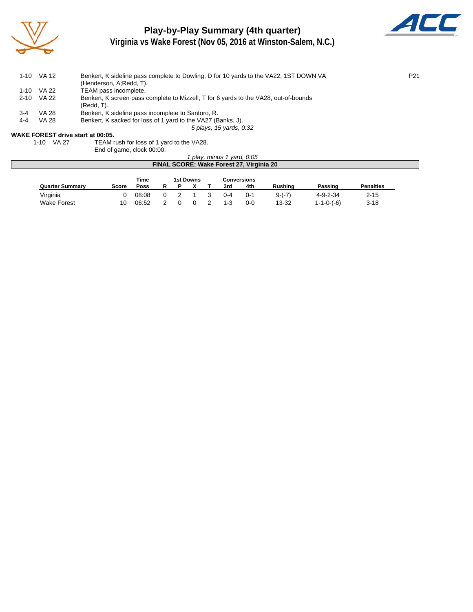

# **Play-by-Play Summary (4th quarter)**



**Virginia vs Wake Forest (Nov 05, 2016 at Winston-Salem, N.C.)**

|     | 1-10 VA 12   | Benkert, K sideline pass complete to Dowling, D for 10 yards to the VA22, 1ST DOWN VA | P <sub>21</sub> |
|-----|--------------|---------------------------------------------------------------------------------------|-----------------|
|     |              | (Henderson, A; Redd, T).                                                              |                 |
|     | 1-10 VA 22   | TEAM pass incomplete.                                                                 |                 |
|     | 2-10 VA 22   | Benkert, K screen pass complete to Mizzell, T for 6 yards to the VA28, out-of-bounds  |                 |
|     |              | $(Redd, T)$ .                                                                         |                 |
| 3-4 | <b>VA 28</b> | Benkert, K sideline pass incomplete to Santoro, R.                                    |                 |
| 4-4 | <b>VA 28</b> | Benkert, K sacked for loss of 1 yard to the VA27 (Banks, J).                          |                 |
|     |              | 5 plays, 15 yards, 0:32                                                               |                 |
|     |              |                                                                                       |                 |

#### **WAKE FOREST drive start at 00:05.**

1-10 VA 27 TEAM rush for loss of 1 yard to the VA28.

End of game, clock 00:00.

|                                          | ' play, minus 1 yard, 0:05 |             |  |  |  |  |         |         |          |                  |                  |  |  |
|------------------------------------------|----------------------------|-------------|--|--|--|--|---------|---------|----------|------------------|------------------|--|--|
| FINAL SCORE: Wake Forest 27, Virginia 20 |                            |             |  |  |  |  |         |         |          |                  |                  |  |  |
| Time<br><b>1st Downs</b><br>Conversions  |                            |             |  |  |  |  |         |         |          |                  |                  |  |  |
| <b>Quarter Summary</b>                   | <b>Score</b>               | <b>Poss</b> |  |  |  |  | 3rd     | 4th     | Rushina  | Passing          | <b>Penalties</b> |  |  |
| Virginia                                 |                            | 08:08       |  |  |  |  | $0 - 4$ | $0 - 1$ | $9-(-7)$ | $4 - 9 - 2 - 34$ | $2 - 15$         |  |  |

Wake Forest 10 06:52 2 0 0 2 1-3 0-0 13-32 1-1-0-(-6) 3-18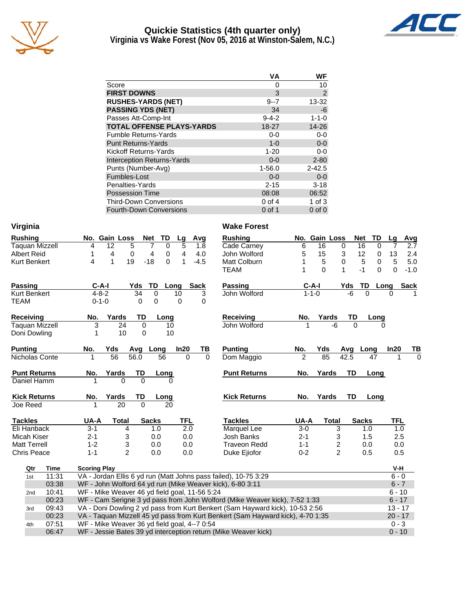

#### **Quickie Statistics (4th quarter only) Virginia vs Wake Forest (Nov 05, 2016 at Winston-Salem, N.C.)**



|                                   | VA          | WF             |
|-----------------------------------|-------------|----------------|
| Score                             | 0           | 10             |
| <b>FIRST DOWNS</b>                | 3           | $\overline{c}$ |
| <b>RUSHES-YARDS (NET)</b>         | $9 - 7$     | 13-32          |
| <b>PASSING YDS (NET)</b>          | 34          | -6             |
| Passes Att-Comp-Int               | $9 - 4 - 2$ | $1 - 1 - 0$    |
| <b>TOTAL OFFENSE PLAYS-YARDS</b>  | 18-27       | 14-26          |
| <b>Fumble Returns-Yards</b>       | $0-0$       | $0 - 0$        |
| <b>Punt Returns-Yards</b>         | $1 - 0$     | $0-0$          |
| Kickoff Returns-Yards             | $1 - 20$    | $0-0$          |
| <b>Interception Returns-Yards</b> | $0 - 0$     | $2 - 80$       |
| Punts (Number-Avg)                | $1 - 56.0$  | $2 - 42.5$     |
| Fumbles-Lost                      | $0 - 0$     | $0 - 0$        |
| Penalties-Yards                   | $2 - 15$    | $3 - 18$       |
| <b>Possession Time</b>            | 08:08       | 06:52          |
| <b>Third-Down Conversions</b>     | $0$ of 4    | $1$ of $3$     |
| <b>Fourth-Down Conversions</b>    | 0 of 1      | $0$ of $0$     |

| Virginia                           |     |                       |                     |                                               |                |                   |            |             | <b>Wake Forest</b>                                                             |                |               |                |                  |          |            |             |
|------------------------------------|-----|-----------------------|---------------------|-----------------------------------------------|----------------|-------------------|------------|-------------|--------------------------------------------------------------------------------|----------------|---------------|----------------|------------------|----------|------------|-------------|
| <b>Rushing</b>                     |     |                       |                     | No. Gain Loss                                 |                | TD<br>Net         | Lg         | Avg         | <b>Rushing</b>                                                                 |                | No. Gain Loss |                | <b>Net</b>       | TD       | Lg         | <b>Avg</b>  |
|                                    |     | <b>Taquan Mizzell</b> | 4                   | 12                                            | 5              | 7<br>0            | 5          | 1.8         | Cade Carney                                                                    | 6              | 16            | 0              | 16               | $\Omega$ | 7          | 2.7         |
| <b>Albert Reid</b>                 |     |                       | 1                   | 4                                             | 0              | 4<br>0            | 4          | 4.0         | John Wolford                                                                   | 5              | 15            | 3              | 12               | 0        | 13         | 2.4         |
| <b>Kurt Benkert</b>                |     |                       | 4                   | 1<br>19                                       |                | $-18$<br>$\Omega$ | 1          | $-4.5$      | Matt Colburn                                                                   | 1              | 5             | 0              | 5                | 0        | 5          | 5.0         |
|                                    |     |                       |                     |                                               |                |                   |            |             | <b>TEAM</b>                                                                    | 1              | $\Omega$      | $\mathbf{1}$   | $-1$             | $\Omega$ | $\Omega$   | $-1.0$      |
| <b>Passing</b>                     |     |                       | $C-A-I$             |                                               | Yds            | TD                | Long       | <b>Sack</b> | <b>Passing</b>                                                                 |                | $C-A-I$       | Yds            | TD               |          | Long       | <b>Sack</b> |
| <b>Kurt Benkert</b>                |     |                       | $4 - 8 - 2$         |                                               | 34             | 0                 | 10         | 3           | John Wolford                                                                   |                | $1 - 1 - 0$   |                | $-6$<br>$\Omega$ |          | $\Omega$   |             |
| <b>TEAM</b>                        |     |                       | $0 - 1 - 0$         |                                               | 0              | 0                 | $\Omega$   | $\Omega$    |                                                                                |                |               |                |                  |          |            |             |
| Receiving                          |     |                       | No.                 | Yards                                         | TD             | Long              |            |             | Receiving                                                                      | No.            | Yards         |                | TD               | Long     |            |             |
|                                    |     | <b>Taquan Mizzell</b> | 3                   | 24                                            | 0              | 10                |            |             | John Wolford                                                                   |                |               | -6             | $\Omega$         |          |            |             |
| Doni Dowling                       |     |                       | 1                   | 10                                            | 0              | 10                |            |             |                                                                                |                |               |                |                  |          |            |             |
| <b>Punting</b>                     |     |                       | No.                 | Yds                                           | Avg            | Long              | In20       | TВ          | <b>Punting</b>                                                                 | No.            | Yds           | Avg            | Long             |          | In20       | TB          |
|                                    |     | Nicholas Conte        | 1                   | 56                                            | 56.0           | 56                | $\Omega$   | $\Omega$    | Dom Maggio                                                                     | $\overline{2}$ | 85            | 42.5           |                  | 47       |            | $\Omega$    |
| <b>Punt Returns</b><br>Daniel Hamm |     |                       | No.                 | Yards<br>$\Omega$                             | TD<br>$\Omega$ | Long              |            |             | <b>Punt Returns</b>                                                            | No.            | Yards         |                | TD               | Long     |            |             |
|                                    |     |                       |                     |                                               |                |                   |            |             |                                                                                |                |               |                |                  |          |            |             |
| <b>Kick Returns</b>                |     |                       | No.                 | Yards                                         | TD             | Long              |            |             | <b>Kick Returns</b>                                                            | No.            | Yards         |                | TD               | Long     |            |             |
| Joe Reed                           |     |                       | 1                   | $\overline{20}$                               | $\Omega$       | 20                |            |             |                                                                                |                |               |                |                  |          |            |             |
| <b>Tackles</b>                     |     |                       | UA-A                | Total                                         |                | <b>Sacks</b>      | <b>TFL</b> |             | <b>Tackles</b>                                                                 | UA-A           |               | <b>Total</b>   | <b>Sacks</b>     |          | <b>TFL</b> |             |
| Eli Hanback                        |     |                       | $3 - 1$             | 4                                             |                | 1.0               | 2.0        |             | Marquel Lee                                                                    | $3-0$          |               | 3              | 1.0              |          | 1.0        |             |
| Micah Kiser                        |     |                       | $2 - 1$             | 3                                             |                | 0.0               | 0.0        |             | Josh Banks                                                                     | $2 - 1$        |               | 3              | 1.5              |          | 2.5        |             |
| <b>Matt Terrell</b>                |     |                       | $1 - 2$             | 3                                             |                | 0.0               | 0.0        |             | <b>Traveon Redd</b>                                                            | $1 - 1$        |               | $\overline{c}$ | 0.0              |          | 0.0        |             |
| <b>Chris Peace</b>                 |     |                       | $1 - 1$             | $\overline{2}$                                |                | 0.0               | 0.0        |             | Duke Ejiofor                                                                   | $0 - 2$        |               | $\overline{2}$ | 0.5              |          | 0.5        |             |
|                                    | Qtr | <b>Time</b>           | <b>Scoring Play</b> |                                               |                |                   |            |             |                                                                                |                |               |                |                  |          | V-H        |             |
|                                    | 1st | 11:31                 |                     |                                               |                |                   |            |             | VA - Jordan Ellis 6 yd run (Matt Johns pass failed), 10-75 3:29                |                |               |                |                  |          | $6 - 0$    |             |
|                                    |     | 03:38                 |                     |                                               |                |                   |            |             | WF - John Wolford 64 yd run (Mike Weaver kick), 6-80 3:11                      |                |               |                |                  |          | $6 - 7$    |             |
|                                    | 2nd | 10:41                 |                     | WF - Mike Weaver 46 yd field goal, 11-56 5:24 |                |                   |            |             |                                                                                |                |               |                |                  |          | $6 - 10$   |             |
|                                    |     | 00:23                 |                     |                                               |                |                   |            |             | WF - Cam Serigne 3 yd pass from John Wolford (Mike Weaver kick), 7-52 1:33     |                |               |                |                  |          | $6 - 17$   |             |
|                                    | 3rd | 09:43                 |                     |                                               |                |                   |            |             | VA - Doni Dowling 2 yd pass from Kurt Benkert (Sam Hayward kick), 10-53 2:56   |                |               |                |                  |          | $13 - 17$  |             |
|                                    |     | 00:23                 |                     |                                               |                |                   |            |             | VA - Taquan Mizzell 45 yd pass from Kurt Benkert (Sam Hayward kick), 4-70 1:35 |                |               |                |                  |          | $20 - 17$  |             |
|                                    | 4th | 07:51                 |                     | WF - Mike Weaver 36 yd field goal, 4--7 0:54  |                |                   |            |             |                                                                                |                |               |                |                  |          | $0 - 3$    |             |
|                                    |     | 06:47                 |                     |                                               |                |                   |            |             | WF - Jessie Bates 39 yd interception return (Mike Weaver kick)                 |                |               |                |                  |          | $0 - 10$   |             |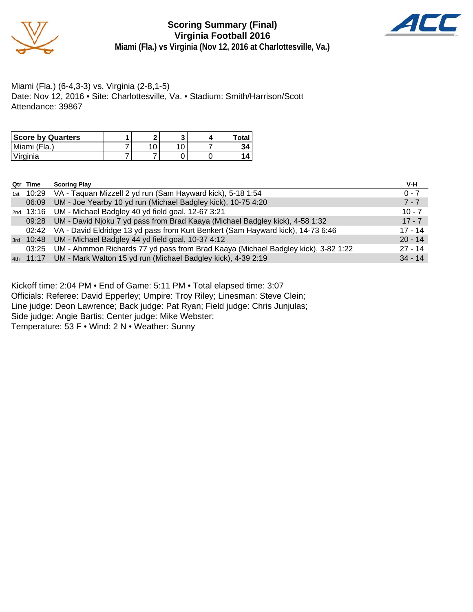

**Scoring Summary (Final) Virginia Football 2016 Miami (Fla.) vs Virginia (Nov 12, 2016 at Charlottesville, Va.)**



Miami (Fla.) (6-4,3-3) vs. Virginia (2-8,1-5) Date: Nov 12, 2016 • Site: Charlottesville, Va. • Stadium: Smith/Harrison/Scott Attendance: 39867

| <b>Score by Quarters</b> |  |  | <b>Total</b> |
|--------------------------|--|--|--------------|
| Miami (Fla.)             |  |  |              |
| Virginia                 |  |  |              |

| Qtr Time | <b>Scoring Play</b>                                                                     | V-H       |
|----------|-----------------------------------------------------------------------------------------|-----------|
|          | 1st 10:29 VA - Taquan Mizzell 2 yd run (Sam Hayward kick), 5-18 1:54                    | $0 - 7$   |
| 06:09    | UM - Joe Yearby 10 yd run (Michael Badgley kick), 10-75 4:20                            | $7 - 7$   |
|          | 2nd 13:16 UM - Michael Badgley 40 yd field goal, 12-67 3:21                             | $10 - 7$  |
|          | 09:28 UM - David Njoku 7 yd pass from Brad Kaaya (Michael Badgley kick), 4-58 1:32      | $17 - 7$  |
|          | 02:42 VA - David Eldridge 13 yd pass from Kurt Benkert (Sam Hayward kick), 14-73 6:46   | $17 - 14$ |
|          | 3rd 10:48 UM - Michael Badgley 44 yd field goal, 10-37 4:12                             | $20 - 14$ |
|          | 03:25 UM - Ahmmon Richards 77 yd pass from Brad Kaaya (Michael Badgley kick), 3-82 1:22 | $27 - 14$ |
|          | 4th 11:17 UM - Mark Walton 15 yd run (Michael Badgley kick), 4-39 2:19                  | $34 - 14$ |

Kickoff time: 2:04 PM • End of Game: 5:11 PM • Total elapsed time: 3:07 Officials: Referee: David Epperley; Umpire: Troy Riley; Linesman: Steve Clein; Line judge: Deon Lawrence; Back judge: Pat Ryan; Field judge: Chris Junjulas; Side judge: Angie Bartis; Center judge: Mike Webster;

Temperature: 53 F • Wind: 2 N • Weather: Sunny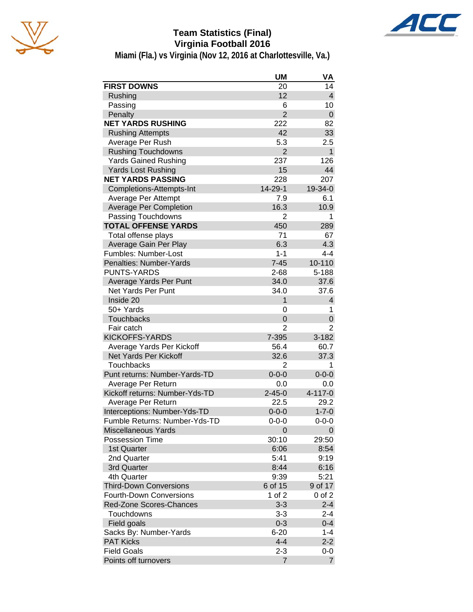

# **Team Statistics (Final) Virginia Football 2016**



**Miami (Fla.) vs Virginia (Nov 12, 2016 at Charlottesville, Va.)**

|                                | <b>UM</b>      | VA             |
|--------------------------------|----------------|----------------|
| <b>FIRST DOWNS</b>             | 20             | 14             |
| Rushing                        | 12             | 4              |
| Passing                        | 6              | 10             |
| Penalty                        | $\overline{2}$ | 0              |
| <b>NET YARDS RUSHING</b>       | 222            | 82             |
| <b>Rushing Attempts</b>        | 42             | 33             |
| Average Per Rush               | 5.3            | 2.5            |
| <b>Rushing Touchdowns</b>      | $\overline{2}$ | $\mathbf{1}$   |
| <b>Yards Gained Rushing</b>    | 237            | 126            |
| <b>Yards Lost Rushing</b>      | 15             | 44             |
| <b>NET YARDS PASSING</b>       | 228            | 207            |
| Completions-Attempts-Int       | 14-29-1        | 19-34-0        |
| Average Per Attempt            | 7.9            | 6.1            |
| <b>Average Per Completion</b>  | 16.3           | 10.9           |
| Passing Touchdowns             | 2              | 1              |
| <b>TOTAL OFFENSE YARDS</b>     | 450            | 289            |
| Total offense plays            | 71             | 67             |
| Average Gain Per Play          | 6.3            | 4.3            |
| Fumbles: Number-Lost           | $1 - 1$        | $4 - 4$        |
| Penalties: Number-Yards        | $7 - 45$       | 10-110         |
| <b>PUNTS-YARDS</b>             | $2 - 68$       | 5-188          |
| Average Yards Per Punt         | 34.0           | 37.6           |
| Net Yards Per Punt             | 34.0           | 37.6           |
| Inside 20                      | 1              | 4              |
| 50+ Yards                      | 0              | 1              |
| <b>Touchbacks</b>              | 0              | 0              |
| Fair catch                     | 2              | 2              |
| <b>KICKOFFS-YARDS</b>          | 7-395          | 3-182          |
| Average Yards Per Kickoff      | 56.4           | 60.7           |
| <b>Net Yards Per Kickoff</b>   | 32.6           | 37.3           |
| Touchbacks                     | 2              | 1              |
| Punt returns: Number-Yards-TD  | $0 - 0 - 0$    | $0 - 0 - 0$    |
| Average Per Return             | 0.0            | 0.0            |
| Kickoff returns: Number-Yds-TD | $2 - 45 - 0$   | 4-117-0        |
| Average Per Return             | 22.5           | 29.2           |
| Interceptions: Number-Yds-TD   | $0 - 0 - 0$    | $1 - 7 - 0$    |
| Fumble Returns: Number-Yds-TD  | $0 - 0 - 0$    | $0 - 0 - 0$    |
| <b>Miscellaneous Yards</b>     | 0              | 0              |
| <b>Possession Time</b>         | 30:10          | 29:50          |
| 1st Quarter                    | 6:06           | 8:54           |
| 2nd Quarter                    | 5:41           | 9:19           |
| 3rd Quarter                    | 8:44           | 6:16           |
| 4th Quarter                    | 9:39           | 5:21           |
| <b>Third-Down Conversions</b>  | 6 of 15        | 9 of 17        |
| <b>Fourth-Down Conversions</b> | 1 of 2         | $0$ of $2$     |
| <b>Red-Zone Scores-Chances</b> | $3 - 3$        | $2 - 4$        |
| Touchdowns                     | $3 - 3$        | $2 - 4$        |
| Field goals                    | $0 - 3$        | $0 - 4$        |
| Sacks By: Number-Yards         | $6 - 20$       | $1 - 4$        |
| <b>PAT Kicks</b>               | $4 - 4$        | $2 - 2$        |
| <b>Field Goals</b>             | $2 - 3$        | 0-0            |
| Points off turnovers           | $\overline{7}$ | $\overline{7}$ |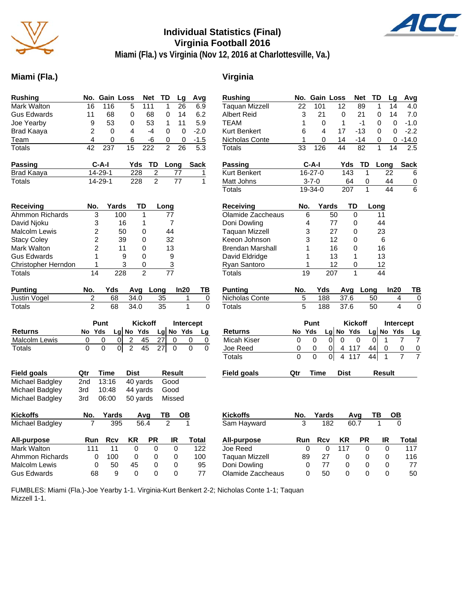

# **Individual Statistics (Final) Virginia Football 2016**



**Miami (Fla.) vs Virginia (Nov 12, 2016 at Charlottesville, Va.)**

### **Miami (Fla.) Virginia**

| <b>Rushing</b>      | No.            | <b>Gain Loss</b> |                | Net            | TD              | Lg        | Avg       | $\overline{\mathsf{R}}$               |
|---------------------|----------------|------------------|----------------|----------------|-----------------|-----------|-----------|---------------------------------------|
| Mark Walton         | 16             | 116              | 5              | 111            | 1               | 26        | 6.9       | Tε                                    |
| <b>Gus Edwards</b>  | 11             | 68               | 0              | 68             | 0               | 14        | 6.2       | Al                                    |
| Joe Yearby          | 9              | 53               | 0              | 53             | 1               | 11        | 5.9       | ТE                                    |
| <b>Brad Kaaya</b>   | $\overline{c}$ | 0                | 4              | $-4$           | 0               | 0         | $-2.0$    | Kι                                    |
| Team                | 4              | 0                | 6              | -6             | 0               | 0         | $-1.5$    | Ni                                    |
| Totals              | 42             | 237              | 15             | 222            | $\overline{2}$  | 26        | 5.3       | Ŧс                                    |
| Passing             |                | C-A-I            | Yds            | TD             | Long            |           | Sack      | <u>Ρε</u>                             |
| <b>Brad Kaaya</b>   |                | 14-29-1          | 228            | 2              |                 | 77        | 1         | Κι                                    |
| <b>Totals</b>       |                | 14-29-1          | 228            | $\overline{2}$ |                 | 77        | 1         | $M$<br>$\overline{\tau}$ c            |
|                     |                |                  |                |                |                 |           |           |                                       |
| Receiving           | No.            | Yards            |                | TD             | Long            |           |           | R٤                                    |
| Ahmmon Richards     | 3              |                  | 100            | 1              | 77              |           |           | Οl                                    |
| David Njoku         | 3              |                  | 16             | 1              | 7               |           |           | D <sub>C</sub>                        |
| Malcolm Lewis       | $\overline{c}$ |                  | 50             | 0              | 44              |           |           | Тε                                    |
| <b>Stacy Coley</b>  | $\overline{2}$ |                  | 39             | 0              | 32              |           |           | Kε                                    |
| Mark Walton         | $\overline{2}$ |                  | 11             | 0              | 13              |           |           | Br                                    |
| <b>Gus Edwards</b>  | 1              |                  | 9              | 0              | 9               |           |           | Dε                                    |
| Christopher Herndon | 1              |                  | 3              | 0              | 3               |           |           | $R_1$                                 |
| Totals              | 14             |                  | 228            | $\overline{2}$ | $\overline{77}$ |           |           | To                                    |
| <b>Punting</b>      | No.            | Yds              | Avg            |                | Long            | In20      | ΤВ        | <u>Ρι</u>                             |
| Justin Vogel        | 2              | 68               | 34.0           |                | 35              | 1         | 0         | Ni                                    |
| <b>Totals</b>       | $\overline{2}$ | 68               | 34.0           |                | 35              | 1         | 0         | $\overline{\mathsf{T}}$ c             |
|                     |                |                  |                |                |                 |           |           |                                       |
|                     |                | Punt             |                | Kickoff        |                 | Intercept |           |                                       |
| Returns             | No             | Yds              | Lg $N$ o Yds   |                | Lg No           | Yds       | <b>Lg</b> | <u>R</u>                              |
| Malcolm Lewis       | 0              | 0<br>0           | $\overline{2}$ | 45             | 27<br>0         |           | 0<br>0    | M                                     |
| Totals              | 0              | 0                | 2<br>01        | 45             | 27<br>0         |           | 0<br>0    | <u>Jc</u>                             |
|                     |                |                  |                |                |                 |           |           | $\overline{\mathsf{T}}$               |
| <b>Field goals</b>  | Qtr            | Time             | <b>Dist</b>    |                | <b>Result</b>   |           |           | <u>Fi</u>                             |
| Michael Badgley     | 2nd            | 13:16            |                | 40 yards       | Good            |           |           |                                       |
| Michael Badgley     | 3rd            | 10:48            |                | 44 yards       | Good            |           |           |                                       |
| Michael Badgley     | 3rd            | 06:00            |                | 50 yards       | Missed          |           |           |                                       |
|                     |                |                  |                |                |                 |           |           |                                       |
| <b>Kickoffs</b>     | No.            | Yards            |                | Avg            | ΤВ              |           |           | <u>Ki</u>                             |
| Michael Badgley     |                | 395              |                | 56.4           | $\overline{2}$  |           |           | $\overline{\mathsf{S}^{\varepsilon}}$ |
| All-purpose         | Run            | Rcv              | ΚR             | PR             | IR              |           | Total     | $\underline{\mathsf{Al}}$             |
| Mark Walton         | 111            | 11               | 0              | 0              |                 | 0         | 122       | Jo                                    |
| Ahmmon Richards     | 0              | 100              | 0              | 0              |                 | 0         | 100       | Tε                                    |
| Malcolm Lewis       | 0              | 50               | 45             | 0              |                 | 0         | 95        | Dς                                    |
| <b>Gus Edwards</b>  | 68             | 9                | 0              | 0              |                 | 0         | 77        | Οl                                    |
|                     |                |                  |                |                |                 |           |           |                                       |

| <b>Rushing</b>            | No.             | Gain Loss     |         |                                                       | Net                 | TD       | Lg               | Avg                 |
|---------------------------|-----------------|---------------|---------|-------------------------------------------------------|---------------------|----------|------------------|---------------------|
| <b>Taquan Mizzell</b>     | 22              | 101           |         | 12                                                    | 89                  | 1        | 14               | 4.0                 |
| <b>Albert Reid</b>        | 3               | 21            |         | 0                                                     | 21                  | 0        | 14               | 7.0                 |
| <b>TEAM</b>               | 1               | 0             |         | 1                                                     | -1                  | 0        | 0                | $-1.0$              |
| <b>Kurt Benkert</b>       | 6               | 4             |         | 17                                                    | $-13$               | 0        | 0                | $-2.2$              |
| Nicholas Conte            | 1               | 0             |         | 14                                                    | -14                 | 0        | 0                | $-14.0$             |
| Totals                    | $\overline{33}$ | 126           |         | 44                                                    | 82                  | 1        | 14               | 2.5                 |
|                           |                 |               |         |                                                       |                     |          |                  |                     |
| Passing                   |                 | C-A-I         |         | Yds                                                   | TD                  |          | Long             | Sack                |
| <b>Kurt Benkert</b>       |                 | 16-27-0       |         | 143                                                   | 1                   |          | 22               | 6                   |
| Matt Johns                |                 | $3 - 7 - 0$   |         | 64                                                    | 0                   |          | 44               | 0                   |
| Totals                    |                 | 19-34-0       |         | 207                                                   | 1                   |          | 44               | 6                   |
| Receiving                 | No.             |               | Yards   | TD                                                    |                     | Long     |                  |                     |
| Olamide Zaccheaus         | 6               |               | 50      |                                                       | 0                   | 11       |                  |                     |
| Doni Dowling              | 4               |               | 77      |                                                       | 0                   | 44       |                  |                     |
| <b>Taquan Mizzell</b>     | 3               |               | 27      |                                                       | 0                   | 23       |                  |                     |
| Keeon Johnson             | 3               |               | 12      |                                                       | 0                   | 6        |                  |                     |
| <b>Brendan Marshall</b>   | 1               |               | 16      |                                                       | 0                   | 16       |                  |                     |
| David Eldridge            | 1               |               | 13      |                                                       | 1                   | 13       |                  |                     |
| Ryan Santoro              | 1               |               | 12      |                                                       | 0                   | 12       |                  |                     |
| <b>Totals</b>             | 19              |               | 207     |                                                       | 1                   | 44       |                  |                     |
|                           |                 |               |         |                                                       |                     |          |                  |                     |
|                           |                 |               |         |                                                       |                     |          |                  |                     |
| Punting                   | No.             | Yds           |         | Avg                                                   | Long                |          | ln20             | ΤВ                  |
| Nicholas Conte            | 5               | 188           |         | 37.6                                                  |                     | 50       | 4                | 0                   |
| Totals                    | 5               | 188           |         | 37.6                                                  |                     | 50       | 4                | 0                   |
|                           |                 |               |         |                                                       |                     |          |                  |                     |
|                           |                 | Punt          |         |                                                       | <b>Kickoff</b>      |          | <b>Intercept</b> |                     |
| <b>Returns</b>            | No Yds          |               |         |                                                       | Lg No Yds Lg No Yds |          | 1                | <u>Lg</u><br>7<br>7 |
| <b>Micah Kiser</b>        | 0               | 0             | 0       | 0                                                     | 0                   | 0        |                  |                     |
| Joe Reed<br><b>Totals</b> | 0<br>$\Omega$   | 0<br>$\Omega$ | 0<br> 0 | 4<br><u>117</u><br>$\overline{4}$<br>$\overline{117}$ |                     | 44<br>44 | 0<br>1           | 0                   |
|                           |                 |               |         |                                                       |                     |          |                  |                     |
| <b>Field goals</b>        | Qtr             | Time          |         | <b>Dist</b>                                           |                     | Result   |                  |                     |
|                           |                 |               |         |                                                       |                     |          |                  |                     |
|                           |                 |               |         |                                                       |                     |          |                  |                     |
|                           |                 |               |         |                                                       |                     |          |                  |                     |
| Kickoffs                  | <u>No.</u>      | Yards         |         |                                                       | Avg                 | TВ       |                  |                     |
| Sam Hayward               | 3               |               | 182     | 60.7                                                  |                     |          |                  |                     |
| <b>All-purpose</b>        | Run             | Rcv           |         | <b>KR</b>                                             | <b>PR</b>           |          | ΙR               | Total               |
| Joe Reed                  | 0               |               | 0       | 117                                                   | 0                   |          | 0                | 117                 |
| <b>Taquan Mizzell</b>     | 89              | 27            |         | 0                                                     | 0                   |          | 0                | 116                 |
| Doni Dowling              | 0               | 77            |         | 0                                                     | 0                   |          | 0                | 77                  |

FUMBLES: Miami (Fla.)-Joe Yearby 1-1. Virginia-Kurt Benkert 2-2; Nicholas Conte 1-1; Taquan Mizzell 1-1.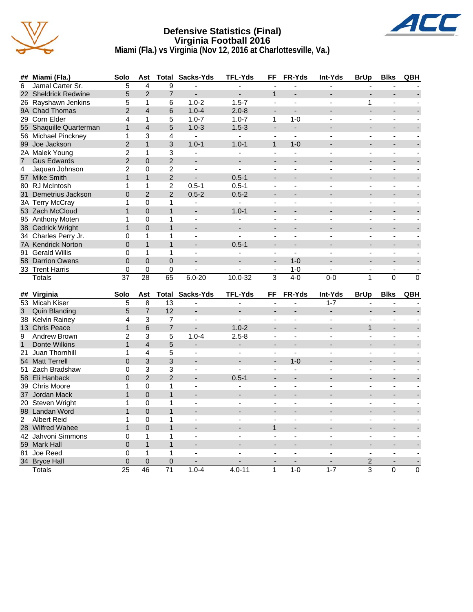

#### **Defensive Statistics (Final) Virginia Football 2016 Miami (Fla.) vs Virginia (Nov 12, 2016 at Charlottesville, Va.)**



|                | ## Miami (Fla.)         | Solo            | Ast            | Total           | Sacks-Yds                    | TFL-Yds                  | FF                                         | FR-Yds                   | <b>Int-Yds</b>     | <b>BrUp</b>                             | <b>Blks</b>                                | QBH            |
|----------------|-------------------------|-----------------|----------------|-----------------|------------------------------|--------------------------|--------------------------------------------|--------------------------|--------------------|-----------------------------------------|--------------------------------------------|----------------|
| 6              | Jamal Carter Sr.        | 5               | $\overline{4}$ | 9               | $\overline{a}$               | $\overline{a}$           |                                            |                          | ÷.                 |                                         |                                            |                |
|                | 22 Sheldrick Redwine    | 5               | $\overline{2}$ | $\overline{7}$  |                              |                          | $\mathbf{1}$                               |                          |                    |                                         |                                            |                |
|                | 26 Rayshawn Jenkins     | 5               | $\mathbf{1}$   | 6               | $1.0 - 2$                    | $1.5 - 7$                | $\overline{a}$                             | $\overline{a}$           |                    | 1                                       |                                            |                |
|                | 9A Chad Thomas          | $\overline{2}$  | $\overline{4}$ | 6               | $1.0 - 4$                    | $2.0 - 8$                | $\overline{a}$                             | $\overline{\phantom{a}}$ | ۰                  | L.                                      | $\overline{a}$                             |                |
|                | 29 Corn Elder           | 4               | $\mathbf{1}$   | 5               | $1.0 - 7$                    | $1.0 - 7$                | $\mathbf{1}$                               | $1 - 0$                  |                    | L,                                      | $\tilde{\phantom{a}}$                      |                |
|                | 55 Shaquille Quarterman | $\mathbf{1}$    | $\overline{4}$ | 5               | $1.0 - 3$                    | $1.5 - 3$                |                                            | $\overline{a}$           |                    |                                         |                                            |                |
|                | 56 Michael Pinckney     | 1               | 3              | 4               | $\blacksquare$               | $\blacksquare$           | $\mathbf{r}$                               | ä,                       | $\overline{a}$     | $\blacksquare$                          | $\overline{a}$                             |                |
|                | 99 Joe Jackson          | $\overline{2}$  | $\mathbf{1}$   | 3               | $1.0 - 1$                    | $1.0 - 1$                | $\mathbf{1}$                               | $1 - 0$                  |                    |                                         |                                            |                |
|                | 2A Malek Young          | $\overline{2}$  | $\mathbf{1}$   | 3               | $\blacksquare$               | ÷,                       | $\blacksquare$                             | L.                       | $\overline{a}$     | ÷,                                      | $\blacksquare$                             |                |
| $\overline{7}$ | <b>Gus Edwards</b>      | $\overline{2}$  | $\Omega$       | $\overline{2}$  |                              |                          |                                            |                          |                    |                                         |                                            |                |
| 4              | Jaquan Johnson          | $\overline{2}$  | $\mathbf 0$    | $\overline{2}$  | $\overline{a}$               | $\overline{a}$           | ÷,                                         | $\overline{a}$           |                    |                                         |                                            |                |
|                | 57 Mike Smith           | $\mathbf{1}$    | $\mathbf{1}$   | $\overline{2}$  | ÷,                           | $0.5 - 1$                |                                            |                          |                    |                                         |                                            |                |
|                | 80 RJ McIntosh          | 1               | $\mathbf{1}$   | $\overline{2}$  | $0.5 - 1$                    | $0.5 - 1$                | $\overline{a}$                             | $\overline{a}$           | $\overline{a}$     | ä,                                      | $\overline{a}$                             |                |
|                | 31 Demetrius Jackson    | $\overline{0}$  | $\overline{2}$ | $\overline{2}$  | $0.5 - 2$                    | $0.5 - 2$                |                                            |                          |                    |                                         |                                            |                |
|                | 3A Terry McCray         | 1               | $\mathbf 0$    | $\mathbf{1}$    | $\blacksquare$               | $\overline{a}$           | $\overline{a}$                             | $\overline{\phantom{a}}$ | $\overline{a}$     | ä,                                      | $\overline{a}$                             |                |
|                | 53 Zach McCloud         | $\mathbf{1}$    | $\Omega$       | $\mathbf{1}$    | $\overline{\phantom{a}}$     | $1.0 - 1$                | $\overline{\phantom{a}}$                   |                          |                    |                                         |                                            |                |
|                | 95 Anthony Moten        | 1               | $\mathbf 0$    | 1               | $\overline{a}$               | $\overline{a}$           | $\overline{a}$                             | $\sim$                   | $\overline{a}$     | ä,                                      | $\overline{a}$                             |                |
|                | 38 Cedrick Wright       | $\mathbf{1}$    | $\Omega$       | $\mathbf{1}$    |                              |                          |                                            |                          |                    |                                         |                                            |                |
|                | 34 Charles Perry Jr.    | 0               | $\mathbf 1$    | 1               | $\overline{a}$               |                          |                                            |                          |                    |                                         |                                            |                |
|                | 7A Kendrick Norton      | 0               | $\mathbf{1}$   | $\mathbf{1}$    |                              | $0.5 - 1$                | $\overline{a}$                             |                          |                    |                                         |                                            |                |
|                | 91 Gerald Willis        | 0               | $\mathbf{1}$   | $\mathbf{1}$    | $\blacksquare$               | $\overline{a}$           | $\blacksquare$                             | $\blacksquare$           |                    | $\blacksquare$                          | $\blacksquare$                             |                |
|                | 58 Darrion Owens        | $\Omega$        | $\Omega$       | $\Omega$        |                              | $\blacksquare$           |                                            | $1 - 0$                  |                    |                                         |                                            |                |
|                |                         | 0               |                | 0               |                              |                          |                                            |                          |                    |                                         |                                            |                |
|                | 33 Trent Harris         | $\overline{37}$ | 0              | 65              |                              |                          | $\overline{\phantom{a}}$<br>$\overline{3}$ | $1 - 0$<br>$4-0$         | $0 - 0$            | $\overline{\phantom{a}}$<br>$\mathbf 1$ | $\overline{\phantom{a}}$<br>$\overline{0}$ | $\overline{0}$ |
|                | <b>Totals</b>           |                 | 28             |                 | $6.0 - 20$                   | $10.0 - 32$              |                                            |                          |                    |                                         |                                            |                |
|                |                         |                 |                |                 |                              |                          |                                            |                          |                    |                                         |                                            |                |
|                | ## Virginia             | Solo<br>5       | Ast<br>8       | $\overline{13}$ | <b>Total Sacks-Yds</b><br>L. | <b>TFL-Yds</b><br>ä,     | FF<br>$\overline{a}$                       | FR-Yds<br>ä,             | Int-Yds<br>$1 - 7$ | <b>BrUp</b><br>L,                       | <b>Blks</b>                                | QBH            |
|                | 53 Micah Kiser          |                 | $\overline{7}$ |                 |                              |                          |                                            |                          |                    |                                         |                                            |                |
| 3              | <b>Quin Blanding</b>    | 5               |                |                 |                              |                          |                                            |                          |                    |                                         |                                            |                |
|                | 38 Kelvin Rainey        |                 |                | 12              |                              |                          |                                            |                          |                    |                                         |                                            |                |
|                |                         | 4               | 3              | $\overline{7}$  | $\blacksquare$               |                          | $\overline{a}$                             | $\overline{a}$           | $\overline{a}$     | ÷,                                      |                                            |                |
|                | 13 Chris Peace          | $\mathbf{1}$    | 6              | $\overline{7}$  |                              | $1.0 - 2$                |                                            |                          |                    | $\mathbf{1}$                            |                                            |                |
| 9              | Andrew Brown            | $\overline{2}$  | 3              | 5               | $1.0 - 4$                    | $2.5 - 8$                | $\overline{a}$                             | $\overline{a}$           | $\overline{a}$     | $\overline{a}$                          | $\overline{a}$                             |                |
| $\mathbf{1}$   | <b>Donte Wilkins</b>    | $\mathbf{1}$    | $\overline{4}$ | 5               | $\overline{a}$               | $\overline{a}$           |                                            |                          |                    |                                         |                                            |                |
| 21             | Juan Thornhill          | 1               | 4              | 5               | $\overline{\phantom{a}}$     | $\overline{\phantom{a}}$ | $\sim$                                     | $\blacksquare$           | ÷                  | $\overline{\phantom{0}}$                | $\overline{\phantom{a}}$                   |                |
|                | 54 Matt Terrell         | $\Omega$        | 3              | 3               |                              |                          | $\blacksquare$                             | $1 - 0$                  |                    |                                         |                                            |                |
|                | 51 Zach Bradshaw        | 0               | 3              | 3               | $\blacksquare$               | $\overline{a}$           | ä,                                         | $\blacksquare$           | ä,                 | L,                                      | ä,                                         |                |
|                | 58 Eli Hanback          | 0               | $\overline{2}$ | $\overline{2}$  |                              | $0.5 - 1$                |                                            |                          |                    |                                         |                                            |                |
|                | 39 Chris Moore          | 1               | $\mathbf 0$    | $\mathbf{1}$    | $\overline{\phantom{a}}$     |                          | $\overline{a}$                             |                          |                    | ä,                                      | $\blacksquare$                             |                |
|                | 37 Jordan Mack          | $\mathbf{1}$    | $\mathbf{0}$   | $\mathbf{1}$    | $\overline{\phantom{a}}$     | $\overline{a}$           | $\overline{\phantom{a}}$                   | $\overline{a}$           |                    |                                         | $\overline{\phantom{a}}$                   |                |
|                | 20 Steven Wright        | 1               | $\Omega$       | $\mathbf{1}$    | $\blacksquare$               | $\blacksquare$           | $\blacksquare$                             | $\blacksquare$           |                    | $\blacksquare$                          | $\blacksquare$                             |                |
|                | 98 Landan Word          | $\mathbf{1}$    | $\Omega$       | $\mathbf{1}$    |                              |                          |                                            |                          |                    |                                         |                                            |                |
| $\mathbf{2}$   | <b>Albert Reid</b>      | 1               | $\mathbf 0$    | $\mathbf{1}$    | $\overline{a}$               | $\overline{a}$           | $\overline{a}$                             | $\overline{a}$           | $\overline{a}$     | $\overline{a}$                          | $\overline{a}$                             |                |
|                | 28 Wilfred Wahee        | $\mathbf{1}$    | $\mathbf 0$    | $\mathbf{1}$    |                              |                          | 1                                          |                          |                    |                                         |                                            |                |
|                | 42 Jahvoni Simmons      | 0               | $\mathbf{1}$   | 1               | $\blacksquare$               | $\overline{a}$           | $\sim$                                     | $\overline{\phantom{a}}$ | $\blacksquare$     | ÷,                                      | $\overline{\phantom{a}}$                   |                |
|                | 59 Mark Hall            | $\overline{0}$  | $\mathbf{1}$   | $\mathbf{1}$    |                              |                          |                                            |                          |                    |                                         |                                            |                |
|                | 81 Joe Reed             | 0               | $\mathbf{1}$   | 1               | L.                           |                          |                                            |                          |                    |                                         |                                            |                |
|                | 34 Bryce Hall           | $\overline{0}$  | $\overline{0}$ | $\overline{0}$  |                              |                          |                                            |                          |                    | 2                                       |                                            |                |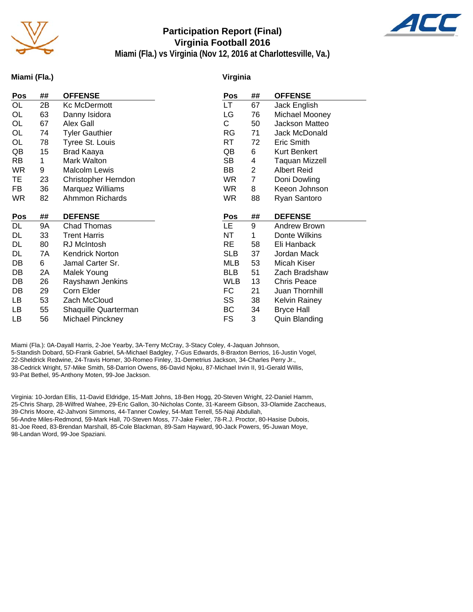

### **Participation Report (Final) Virginia Football 2016**



**Miami (Fla.) vs Virginia (Nov 12, 2016 at Charlottesville, Va.)**

#### **Miami (Fla.)**

#### **Virginia**

| ## | <b>OFFENSE</b>         | Pos        | ##        | <b>OFFENSE</b>       |
|----|------------------------|------------|-----------|----------------------|
| 2B | Kc McDermott           | LT.        | 67        | Jack English         |
| 63 | Danny Isidora          | LG         | 76        | Michael Mooney       |
| 67 | Alex Gall              | С          | 50        | Jackson Matteo       |
| 74 | <b>Tyler Gauthier</b>  | RG         | 71        | Jack McDonald        |
| 78 | Tyree St. Louis        | RT         | 72        | Eric Smith           |
| 15 | Brad Kaaya             | QB         | 6         | <b>Kurt Benkert</b>  |
| 1  | Mark Walton            | SB         | 4         | Taquan Mizzell       |
| 9  | Malcolm Lewis          | BB         | 2         | Albert Reid          |
| 23 | Christopher Herndon    | WR.        | 7         | Doni Dowling         |
| 36 | Marquez Williams       | <b>WR</b>  | 8         | Keeon Johnson        |
| 82 | Ahmmon Richards        | <b>WR</b>  | 88        | Ryan Santoro         |
|    |                        |            |           |                      |
| ## | <b>DEFENSE</b>         | Pos        | ##        | <b>DEFENSE</b>       |
| 9Α | Chad Thomas            |            | 9         | Andrew Brown         |
| 33 |                        |            |           |                      |
|    | <b>Trent Harris</b>    | <b>NT</b>  | 1         | Donte Wilkins        |
| 80 | RJ McIntosh            | <b>RE</b>  | 58        | Eli Hanback          |
| 7A | <b>Kendrick Norton</b> | <b>SLB</b> | 37        | Jordan Mack          |
| 6  | Jamal Carter Sr.       | <b>MLB</b> | 53        | Micah Kiser          |
| 2A | Malek Young            | <b>BLB</b> | 51        | Zach Bradshaw        |
| 26 | Rayshawn Jenkins       | <b>WLB</b> | 13        | <b>Chris Peace</b>   |
| 29 | Corn Elder             | FC         | 21        | Juan Thornhill       |
| 53 | Zach McCloud           | SS         | 38        | <b>Kelvin Rainey</b> |
| 55 | Shaquille Quarterman   | ВC         | 34        | <b>Bryce Hall</b>    |
|    |                        |            | <b>LE</b> |                      |

Miami (Fla.): 0A-Dayall Harris, 2-Joe Yearby, 3A-Terry McCray, 3-Stacy Coley, 4-Jaquan Johnson, 5-Standish Dobard, 5D-Frank Gabriel, 5A-Michael Badgley, 7-Gus Edwards, 8-Braxton Berrios, 16-Justin Vogel, 22-Sheldrick Redwine, 24-Travis Homer, 30-Romeo Finley, 31-Demetrius Jackson, 34-Charles Perry Jr., 38-Cedrick Wright, 57-Mike Smith, 58-Darrion Owens, 86-David Njoku, 87-Michael Irvin II, 91-Gerald Willis, 93-Pat Bethel, 95-Anthony Moten, 99-Joe Jackson.

Virginia: 10-Jordan Ellis, 11-David Eldridge, 15-Matt Johns, 18-Ben Hogg, 20-Steven Wright, 22-Daniel Hamm, 25-Chris Sharp, 28-Wilfred Wahee, 29-Eric Gallon, 30-Nicholas Conte, 31-Kareem Gibson, 33-Olamide Zaccheaus, 39-Chris Moore, 42-Jahvoni Simmons, 44-Tanner Cowley, 54-Matt Terrell, 55-Naji Abdullah, 56-Andre Miles-Redmond, 59-Mark Hall, 70-Steven Moss, 77-Jake Fieler, 78-R.J. Proctor, 80-Hasise Dubois, 81-Joe Reed, 83-Brendan Marshall, 85-Cole Blackman, 89-Sam Hayward, 90-Jack Powers, 95-Juwan Moye, 98-Landan Word, 99-Joe Spaziani.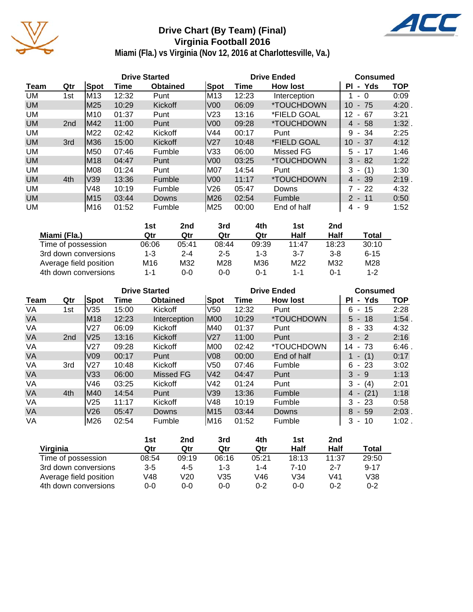

# **Drive Chart (By Team) (Final) Virginia Football 2016**



**Miami (Fla.) vs Virginia (Nov 12, 2016 at Charlottesville, Va.)**

|           | <b>Drive Started</b> |      |       |                 |                 | <b>Drive Ended</b> | <b>Consumed</b>           |             |            |
|-----------|----------------------|------|-------|-----------------|-----------------|--------------------|---------------------------|-------------|------------|
| Team      | Qtr                  | Spot | Time  | <b>Obtained</b> | Spot            | Time               | <b>How lost</b>           | - Yds<br>ΡI | <b>TOP</b> |
| UM        | 1st                  | lM13 | 12:32 | Punt            | M13             | 12:23              | Interception              | - 0         | 0:09       |
| <b>UM</b> |                      | M25  | 10:29 | Kickoff         | V <sub>00</sub> | 06:09              | <i><b>*TOUCHDOWN</b></i>  | $-75$<br>10 | 4:20       |
| UM        |                      | IM10 | 01:37 | Punt            | V <sub>23</sub> | 13:16              | *FIELD GOAL               | 12<br>- 67  | 3:21       |
| <b>UM</b> | 2 <sub>nd</sub>      | lM42 | 11:00 | Punt            | V <sub>00</sub> | 09:28              | <i><b>*TOUCHDOWN</b></i>  | $4 - 58$    | 1:32.      |
| UM        |                      | M22  | 02:42 | Kickoff         | V44             | 00:17              | Punt                      | $9 - 34$    | 2:25       |
| <b>UM</b> | 3rd                  | M36  | 15:00 | Kickoff         | lV27            | 10:48              | <i><b>*FIELD GOAL</b></i> | 10<br>- 37  | 4:12       |
| UM        |                      | M50  | 07:46 | Fumble          | V33             | 06:00              | Missed FG                 | $5 - 17$    | 1:46       |
| <b>UM</b> |                      | M18  | 04:47 | Punt            | V <sub>00</sub> | 03:25              | <i><b>*TOUCHDOWN</b></i>  | $3 - 82$    | 1:22       |
| UM        |                      | M08  | 01:24 | Punt            | M07             | 14:54              | Punt                      | $3 - (1)$   | 1:30       |
| <b>UM</b> | 4th                  | V39  | 13:36 | Fumble          | lV00            | 11:17              | *TOUCHDOWN                | $4 - 39$    | 2:19       |
| UM        |                      | V48  | 10:19 | Fumble          | V26             | 05:47              | Downs                     | 7 - 22      | 4:32       |
| <b>UM</b> |                      | M15  | 03:44 | <b>Downs</b>    | M26             | 02:54              | Fumble                    | $2 - 11$    | 0:50       |
| UM        |                      | M16  | 01:52 | Fumble          | M25             | 00:00              | End of half               | 4-9         | 1:52       |

|                        | 1st   | 2nd     | 3rd     | 4th   | 1st     | 2nd     |          |
|------------------------|-------|---------|---------|-------|---------|---------|----------|
| Miami (Fla.)           | Qtr   | Qtr     | Qtr     | Qtr   | Half    | Half    | Total    |
| Time of possession     | 06:06 | 05:41   | 08:44   | 09:39 | 11:47   | 18:23   | 30:10    |
| 3rd down conversions   | 1-3   | $2 - 4$ | $2 - 5$ | 1-3   | 3-7     | $3 - 8$ | $6 - 15$ |
| Average field position | M16   | M32     | M28     | M36   | M22     | M32     | M28      |
| 4th down conversions   | 1-1   | 0-0     | 0-0     | 0-1   | $1 - 1$ | 0-1     | $1 - 2$  |

|           | <b>Drive Started</b> |                 |       |                 |                 | <b>Drive Ended</b> |                          | <b>Consumed</b>                      |            |  |
|-----------|----------------------|-----------------|-------|-----------------|-----------------|--------------------|--------------------------|--------------------------------------|------------|--|
| Team      | Qtr                  | Spot            | Time  | <b>Obtained</b> | Spot            | Time               | <b>How lost</b>          | - Yds<br>ΡI                          | <b>TOP</b> |  |
| VA        | 1st                  | V35             | 15:00 | Kickoff         | V <sub>50</sub> | 12:32              | Punt                     | $-15$<br>6                           | 2:28       |  |
| <b>VA</b> |                      | M18             | 12:23 | Interception    | M00             | 10:29              | *TOUCHDOWN               | $5 - 18$                             | 1:54       |  |
| VA        |                      | V27             | 06:09 | Kickoff         | M40             | 01:37              | Punt                     | - 33<br>8                            | 4:32       |  |
| <b>VA</b> | 2 <sub>nd</sub>      | V25             | 13:16 | Kickoff         | V27             | 11:00              | Punt                     | $3 - 2$                              | 2:16       |  |
| VA        |                      | V27             | 09:28 | Kickoff         | M00             | 02:42              | <i><b>*TOUCHDOWN</b></i> | - 73<br>14                           | 6:46       |  |
| <b>VA</b> |                      | V <sub>09</sub> | 00:17 | Punt            | V <sub>08</sub> | 00:00              | End of half              | $1 - (1)$                            | 0:17       |  |
| VA        | 3rd                  | V27             | 10:48 | Kickoff         | V <sub>50</sub> | 07:46              | Fumble                   | - 23<br>6                            | 3:02       |  |
| <b>VA</b> |                      | V33             | 06:00 | Missed FG       | V42             | 04:47              | Punt                     | $3 - 9$                              | 1:13       |  |
| VA        |                      | V46             | 03:25 | Kickoff         | <b>V42</b>      | 01:24              | Punt                     | 3<br>(4)<br>$\overline{\phantom{a}}$ | 2:01       |  |
| <b>VA</b> | 4th                  | M40             | 14:54 | Punt            | V39             | 13:36              | Fumble                   | (21)<br>4 -                          | 1:18       |  |
| VA        |                      | V25             | 11:17 | Kickoff         | V48             | 10:19              | Fumble                   | 3<br>- 23                            | 0:58       |  |
| <b>VA</b> |                      | V26             | 05:47 | Downs           | M15             | 03:44              | Downs                    | $8 - 59$                             | 2:03       |  |
| VA        |                      | M26             | 02:54 | Fumble          | IM16            | 01:52              | Fumble                   | 3<br>-10<br>$\sim$                   | $1:02$ .   |  |

|                        | 1st     | 2nd     | 3rd     | 4th     | 1st      | 2nd   |          |
|------------------------|---------|---------|---------|---------|----------|-------|----------|
| Virginia               | Qtr     | Qtr     | Qtr     | Qtr     | Half     | Half  | Total    |
| Time of possession     | 08:54   | 09:19   | 06:16   | 05:21   | 18:13    | 11:37 | 29:50    |
| 3rd down conversions   | $3 - 5$ | $4 - 5$ | $1 - 3$ | $1 - 4$ | $7 - 10$ | 2-7   | $9 - 17$ |
| Average field position | ∨48     | V20     | V35     | V46     | V34      | V41   | V38      |
| 4th down conversions   | 0-0     | 0-0     | $0 - 0$ | $0 - 2$ | $0 - 0$  | 0-2   | $0 - 2$  |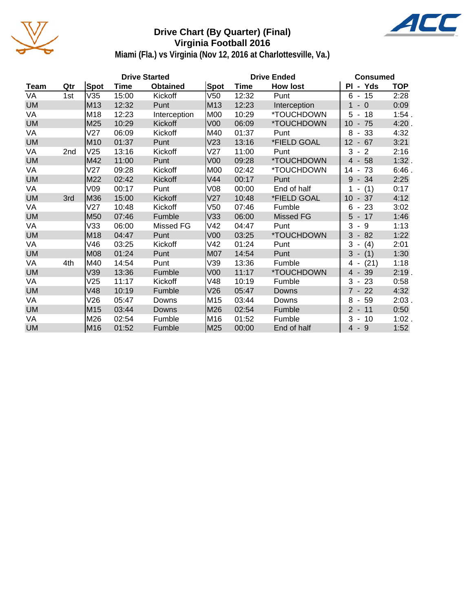

# **Drive Chart (By Quarter) (Final) Virginia Football 2016**



**Miami (Fla.) vs Virginia (Nov 12, 2016 at Charlottesville, Va.)**

|           |     |                 |       | <b>Drive Started</b> |                 | <b>Drive Ended</b> | <b>Consumed</b>          |                            |            |
|-----------|-----|-----------------|-------|----------------------|-----------------|--------------------|--------------------------|----------------------------|------------|
| Team      | Qtr | Spot            | Time  | <b>Obtained</b>      | <b>Spot</b>     | Time               | <b>How lost</b>          | PI - Yds                   | <b>TOP</b> |
| VA        | 1st | V35             | 15:00 | Kickoff              | V50             | 12:32              | Punt                     | $6 - 15$                   | 2:28       |
| <b>UM</b> |     | M13             | 12:32 | Punt                 | M13             | 12:23              | Interception             | $-0$<br>1                  | 0:09       |
| VA        |     | M18             | 12:23 | Interception         | M00             | 10:29              | *TOUCHDOWN               | 5<br>$-18$                 | 1:54.      |
| <b>UM</b> |     | M25             | 10:29 | Kickoff              | V <sub>00</sub> | 06:09              | *TOUCHDOWN               | 10<br>$-75$                | 4:20.      |
| VA        |     | V <sub>27</sub> | 06:09 | Kickoff              | M40             | 01:37              | Punt                     | 8<br>$-33$                 | 4:32       |
| <b>UM</b> |     | M10             | 01:37 | Punt                 | V <sub>23</sub> | 13:16              | *FIELD GOAL              | $12 - 67$                  | 3:21       |
| VA        | 2nd | V25             | 13:16 | Kickoff              | V27             | 11:00              | Punt                     | 3<br>$-2$                  | 2:16       |
| <b>UM</b> |     | M42             | 11:00 | Punt                 | V <sub>00</sub> | 09:28              | *TOUCHDOWN               | $-58$<br>$\overline{4}$    | 1:32.      |
| VA        |     | V27             | 09:28 | Kickoff              | <b>M00</b>      | 02:42              | *TOUCHDOWN               | 14<br>73<br>$\blacksquare$ | 6:46.      |
| <b>UM</b> |     | M22             | 02:42 | Kickoff              | V <sub>44</sub> | 00:17              | Punt                     | $-34$<br>9                 | 2:25       |
| VA        |     | V09             | 00:17 | Punt                 | V08             | 00:00              | End of half              | (1)                        | 0:17       |
| <b>UM</b> | 3rd | M36             | 15:00 | Kickoff              | V <sub>27</sub> | 10:48              | *FIELD GOAL              | $10 - 37$                  | 4:12       |
| VA        |     | V27             | 10:48 | Kickoff              | V50             | 07:46              | Fumble                   | 23<br>6<br>$\blacksquare$  | 3:02       |
| <b>UM</b> |     | M50             | 07:46 | Fumble               | V33             | 06:00              | Missed FG                | $5 - 17$                   | 1:46       |
| VA        |     | V33             | 06:00 | Missed FG            | V42             | 04:47              | Punt                     | $3 - 9$                    | 1:13       |
| <b>UM</b> |     | M <sub>18</sub> | 04:47 | Punt                 | V <sub>00</sub> | 03:25              | *TOUCHDOWN               | $-82$<br>3                 | 1:22       |
| VA        |     | V46             | 03:25 | Kickoff              | V42             | 01:24              | Punt                     | 3<br>(4)<br>$\sim$         | 2:01       |
| <b>UM</b> |     | <b>M08</b>      | 01:24 | Punt                 | M07             | 14:54              | Punt                     | $3 - (1)$                  | 1:30       |
| VA        | 4th | M40             | 14:54 | Punt                 | V39             | 13:36              | Fumble                   | (21)<br>4 -                | 1:18       |
| <b>UM</b> |     | V39             | 13:36 | Fumble               | V <sub>00</sub> | 11:17              | <i><b>*TOUCHDOWN</b></i> | $4 - 39$                   | 2:19.      |
| VA        |     | V25             | 11:17 | Kickoff              | V48             | 10:19              | Fumble                   | $3 - 23$                   | 0:58       |
| <b>UM</b> |     | V48             | 10:19 | Fumble               | V26             | 05:47              | <b>Downs</b>             | $7 - 22$                   | 4:32       |
| VA        |     | V26             | 05:47 | Downs                | M <sub>15</sub> | 03:44              | Downs                    | 8<br>$-59$                 | $2:03$ .   |
| <b>UM</b> |     | M15             | 03:44 | Downs                | M26             | 02:54              | Fumble                   | $2 - 11$                   | 0:50       |
| VA        |     | M26             | 02:54 | Fumble               | M16             | 01:52              | Fumble                   | 3<br>10<br>$\blacksquare$  | $1:02$ .   |
| <b>UM</b> |     | M16             | 01:52 | Fumble               | M25             | 00:00              | End of half              | $4 - 9$                    | 1:52       |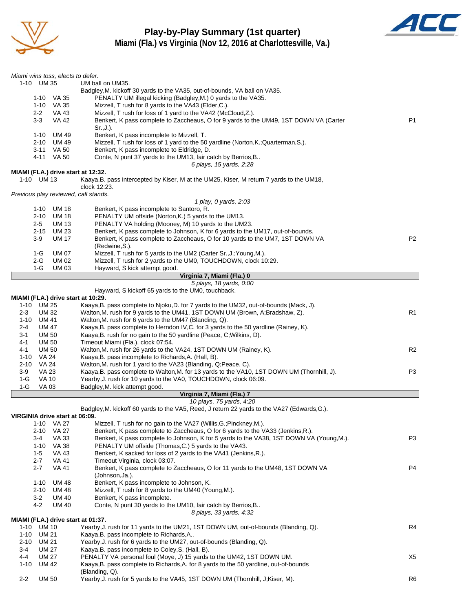

**Play-by-Play Summary (1st quarter) Miami (Fla.) vs Virginia (Nov 12, 2016 at Charlottesville, Va.)**



| Miami wins toss, elects to defer.        |                                                                                                                                                                           |                |
|------------------------------------------|---------------------------------------------------------------------------------------------------------------------------------------------------------------------------|----------------|
| 1-10 UM 35                               | UM ball on UM35.                                                                                                                                                          |                |
|                                          | Badgley, M. kickoff 30 yards to the VA35, out-of-bounds, VA ball on VA35.                                                                                                 |                |
| 1-10 VA 35<br>$1 - 10$                   | PENALTY UM illegal kicking (Badgley, M.) 0 yards to the VA35.<br>VA 35<br>Mizzell, T rush for 8 yards to the VA43 (Elder, C.).                                            |                |
| $2 - 2$                                  | Mizzell, T rush for loss of 1 yard to the VA42 (McCloud, Z.).<br>VA 43                                                                                                    |                |
| $3-3$                                    | <b>VA 42</b><br>Benkert, K pass complete to Zaccheaus, O for 9 yards to the UM49, 1ST DOWN VA (Carter                                                                     | <b>P1</b>      |
|                                          | $Sr.,J.$ ).                                                                                                                                                               |                |
| $1 - 10$                                 | Benkert, K pass incomplete to Mizzell, T.<br>UM 49                                                                                                                        |                |
| $2 - 10$<br>$3 - 11$                     | Mizzell, T rush for loss of 1 yard to the 50 yardline (Norton, K.; Quarterman, S.).<br>UM 49<br>Benkert, K pass incomplete to Eldridge, D.<br>VA 50                       |                |
| 4-11 VA 50                               | Conte, N punt 37 yards to the UM13, fair catch by Berrios, B                                                                                                              |                |
|                                          | 6 plays, 15 yards, 2:28                                                                                                                                                   |                |
|                                          | MIAMI (FLA.) drive start at 12:32.                                                                                                                                        |                |
| 1-10 UM 13                               | Kaaya, B. pass intercepted by Kiser, M at the UM25, Kiser, M return 7 yards to the UM18,<br>clock 12:23.                                                                  |                |
|                                          | Previous play reviewed, call stands.                                                                                                                                      |                |
|                                          | 1 play, 0 yards, 2:03                                                                                                                                                     |                |
| 1-10                                     | UM 18<br>Benkert, K pass incomplete to Santoro, R.                                                                                                                        |                |
| $2 - 10$                                 | <b>UM 18</b><br>PENALTY UM offside (Norton, K.) 5 yards to the UM13.                                                                                                      |                |
| $2 - 5$                                  | PENALTY VA holding (Mooney, M) 10 yards to the UM23.<br><b>UM 13</b>                                                                                                      |                |
| $2 - 15$                                 | <b>UM 23</b><br>Benkert, K pass complete to Johnson, K for 6 yards to the UM17, out-of-bounds.                                                                            | P <sub>2</sub> |
| $3-9$                                    | <b>UM 17</b><br>Benkert, K pass complete to Zaccheaus, O for 10 yards to the UM7, 1ST DOWN VA<br>(Redwine, S.).                                                           |                |
| $1-G$                                    | <b>UM 07</b><br>Mizzell, T rush for 5 yards to the UM2 (Carter Sr., J.; Young, M.).                                                                                       |                |
| $2-G$                                    | <b>UM 02</b><br>Mizzell, T rush for 2 yards to the UM0, TOUCHDOWN, clock 10:29.                                                                                           |                |
| $1-G$                                    | Hayward, S kick attempt good.<br>UM 03                                                                                                                                    |                |
|                                          | Virginia 7, Miami (Fla.) 0                                                                                                                                                |                |
|                                          | 5 plays, 18 yards, 0:00<br>Hayward, S kickoff 65 yards to the UM0, touchback.                                                                                             |                |
|                                          | MIAMI (FLA.) drive start at 10:29.                                                                                                                                        |                |
| 1-10 UM 25                               | Kaaya, B. pass complete to Njoku, D. for 7 yards to the UM32, out-of-bounds (Mack, J).                                                                                    |                |
| $2 - 3$<br><b>UM32</b>                   | Walton, M. rush for 9 yards to the UM41, 1ST DOWN UM (Brown, A; Bradshaw, Z).                                                                                             | R1             |
| <b>UM 41</b><br>1-10                     | Walton, M. rush for 6 yards to the UM47 (Blanding, Q).                                                                                                                    |                |
| <b>UM 47</b><br>$2 - 4$                  | Kaaya, B. pass complete to Herndon IV, C. for 3 yards to the 50 yardline (Rainey, K).                                                                                     |                |
| <b>UM 50</b><br>3-1<br>$4 - 1$<br>UM 50  | Kaaya, B. rush for no gain to the 50 yardline (Peace, C; Wilkins, D).<br>Timeout Miami (Fla.), clock 07:54.                                                               |                |
| 4-1<br><b>UM 50</b>                      | Walton, M. rush for 26 yards to the VA24, 1ST DOWN UM (Rainey, K).                                                                                                        | R <sub>2</sub> |
| <b>VA 24</b><br>$1 - 10$                 | Kaaya, B. pass incomplete to Richards, A. (Hall, B).                                                                                                                      |                |
| <b>VA 24</b><br>$2 - 10$                 | Walton, M. rush for 1 yard to the VA23 (Blanding, Q; Peace, C).                                                                                                           |                |
| 3-9<br><b>VA 23</b>                      | Kaaya, B. pass complete to Walton, M. for 13 yards to the VA10, 1ST DOWN UM (Thornhill, J).                                                                               | P <sub>3</sub> |
| $1-G$<br><b>VA 10</b>                    | Yearby, J. rush for 10 yards to the VA0, TOUCHDOWN, clock 06:09.                                                                                                          |                |
| $1-G$<br><b>VA 03</b>                    | Badgley, M. kick attempt good.<br>Virginia 7, Miami (Fla.) 7                                                                                                              |                |
|                                          | 10 plays, 75 yards, 4:20                                                                                                                                                  |                |
|                                          | Badgley, M. kickoff 60 yards to the VA5, Reed, J return 22 yards to the VA27 (Edwards, G.).                                                                               |                |
| VIRGINIA drive start at 06:09.           |                                                                                                                                                                           |                |
| 1-10 VA 27                               | Mizzell, T rush for no gain to the VA27 (Willis, G.; Pinckney, M.).                                                                                                       |                |
| 2-10 VA 27                               | Benkert, K pass complete to Zaccheaus, O for 6 yards to the VA33 (Jenkins, R.).                                                                                           |                |
| $3-4$<br>$1 - 10$                        | <b>VA 33</b><br>Benkert, K pass complete to Johnson, K for 5 yards to the VA38, 1ST DOWN VA (Young, M.).<br>PENALTY UM offside (Thomas, C.) 5 yards to the VA43.<br>VA 38 | P <sub>3</sub> |
| $1 - 5$                                  | Benkert, K sacked for loss of 2 yards to the VA41 (Jenkins, R.).<br>VA 43                                                                                                 |                |
| $2 - 7$                                  | VA 41<br>Timeout Virginia, clock 03:07.                                                                                                                                   |                |
| $2 - 7$                                  | <b>VA 41</b><br>Benkert, K pass complete to Zaccheaus, O for 11 yards to the UM48, 1ST DOWN VA                                                                            | P <sub>4</sub> |
|                                          | (Johnson, Ja.).                                                                                                                                                           |                |
| $1 - 10$                                 | Benkert, K pass incomplete to Johnson, K.<br><b>UM 48</b>                                                                                                                 |                |
| $2 - 10$<br>$3 - 2$                      | Mizzell, T rush for 8 yards to the UM40 (Young, M.).<br>UM 48<br>Benkert, K pass incomplete.<br>UM 40                                                                     |                |
| 4-2                                      | Conte, N punt 30 yards to the UM10, fair catch by Berrios, B<br>UM 40                                                                                                     |                |
|                                          | 8 plays, 33 yards, 4:32                                                                                                                                                   |                |
|                                          | MIAMI (FLA.) drive start at 01:37.                                                                                                                                        |                |
| <b>UM 10</b><br>1-10                     | Yearby, J. rush for 11 yards to the UM21, 1ST DOWN UM, out-of-bounds (Blanding, Q).                                                                                       | R4             |
| $1 - 10$<br>UM 21                        | Kaaya, B. pass incomplete to Richards, A                                                                                                                                  |                |
| $2 - 10$<br>UM 21<br>3-4<br><b>UM 27</b> | Yearby, J. rush for 6 yards to the UM27, out-of-bounds (Blanding, Q).<br>Kaaya, B. pass incomplete to Coley, S. (Hall, B).                                                |                |
| <b>UM 27</b><br>4-4                      | PENALTY VA personal foul (Moye, J) 15 yards to the UM42, 1ST DOWN UM.                                                                                                     | X5             |
| $1 - 10$<br><b>UM 42</b>                 | Kaaya, B. pass complete to Richards, A. for 8 yards to the 50 yardline, out-of-bounds                                                                                     |                |
|                                          | (Blanding, Q).                                                                                                                                                            |                |
| $2 - 2$<br><b>UM 50</b>                  | Yearby, J. rush for 5 yards to the VA45, 1ST DOWN UM (Thornhill, J; Kiser, M).                                                                                            | R6             |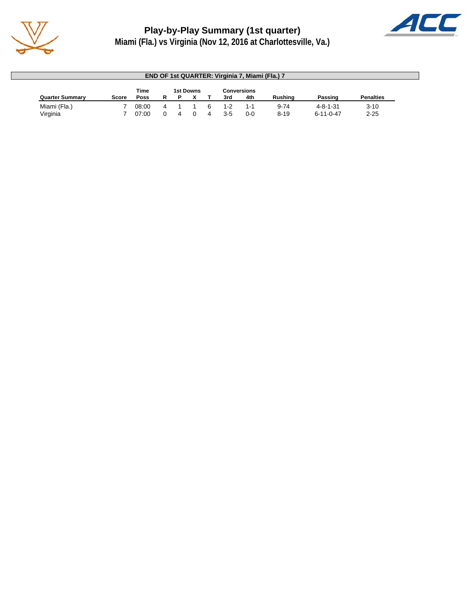



| END OF 1st QUARTER: Virginia 7, Miami (Fla.) 7 |       |             |              |  |           |  |         |                    |          |                   |                  |
|------------------------------------------------|-------|-------------|--------------|--|-----------|--|---------|--------------------|----------|-------------------|------------------|
|                                                |       | Time        |              |  | 1st Downs |  |         | <b>Conversions</b> |          |                   |                  |
| <b>Quarter Summary</b>                         | Score | <b>Poss</b> |              |  |           |  | 3rd     | 4th                | Rushina  | Passing           | <b>Penalties</b> |
| Miami (Fla.)                                   |       | 08:00       | 4            |  |           |  | $1 - 2$ | 1-1                | $9 - 74$ | $4 - 8 - 1 - 31$  | $3 - 10$         |
| Virginia                                       |       | 07:00       | <sup>0</sup> |  |           |  | $3 - 5$ | $0-0$              | $8 - 19$ | $6 - 11 - 0 - 47$ | $2 - 25$         |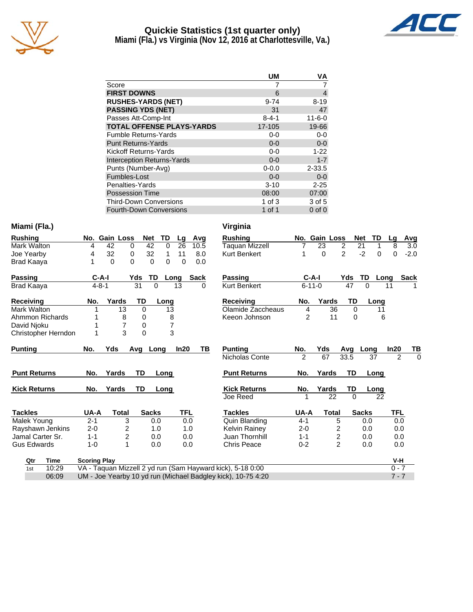

# **Quickie Statistics (1st quarter only)**



**Miami (Fla.) vs Virginia (Nov 12, 2016 at Charlottesville, Va.)**

|                                   | <b>UM</b>   | VA           |
|-----------------------------------|-------------|--------------|
| Score                             | 7           |              |
| <b>FIRST DOWNS</b>                | 6           | 4            |
| <b>RUSHES-YARDS (NET)</b>         | $9 - 74$    | $8 - 19$     |
| <b>PASSING YDS (NET)</b>          | 31          | 47           |
| Passes Att-Comp-Int               | $8 - 4 - 1$ | $11 - 6 - 0$ |
| <b>TOTAL OFFENSE PLAYS-YARDS</b>  | 17-105      | 19-66        |
| <b>Fumble Returns-Yards</b>       | $0-0$       | $0-0$        |
| <b>Punt Returns-Yards</b>         | $0 - 0$     | $0 - 0$      |
| Kickoff Returns-Yards             | $0 - 0$     | $1 - 22$     |
| <b>Interception Returns-Yards</b> | $0 - 0$     | $1 - 7$      |
| Punts (Number-Avg)                | $0 - 0.0$   | $2 - 33.5$   |
| Fumbles-Lost                      | $0 - 0$     | $0 - 0$      |
| Penalties-Yards                   | $3 - 10$    | $2 - 25$     |
| <b>Possession Time</b>            | 08:00       | 07:00        |
| <b>Third-Down Conversions</b>     | 1 of $3$    | 3 of 5       |
| <b>Fourth-Down Conversions</b>    | 1 of 1      | $0$ of $0$   |

### **Miami (Fla.) Virginia**

| <b>Rushing</b>      | No.         | <b>Gain Loss</b> | <b>Net</b>     | TD       | Lg   | Avg         | <b>Rushing</b>      |                | No. Gain Loss |                | <b>Net</b><br>TD | Lg             | <u>Avg</u>  |
|---------------------|-------------|------------------|----------------|----------|------|-------------|---------------------|----------------|---------------|----------------|------------------|----------------|-------------|
| Mark Walton         | 4           | 42               | $\Omega$<br>42 | $\Omega$ | 26   | 10.5        | Taquan Mizzell      |                | 23            | 2              | 21<br>1          | 8              | 3.0         |
| Joe Yearby          | 4           | 32               | 32<br>0        | 1        | 11   | 8.0         | <b>Kurt Benkert</b> | 1              | $\Omega$      | $\overline{2}$ | $-2$<br>$\Omega$ | 0              | $-2.0$      |
| Brad Kaaya          | 1           | $\Omega$         | 0<br>0         | $\Omega$ | 0    | 0.0         |                     |                |               |                |                  |                |             |
| Passing             | $C-A-I$     |                  | Yds<br>TD      | Long     |      | <b>Sack</b> | Passing             |                | $C-A-I$       | Yds            | TD               | Long           | <b>Sack</b> |
| Brad Kaaya          | $4 - 8 - 1$ |                  | 31<br>$\Omega$ | 13       |      | $\Omega$    | <b>Kurt Benkert</b> |                | $6 - 11 - 0$  | 47             | $\Omega$         | 11             |             |
| <b>Receiving</b>    | No.         | Yards            | TD             | Long     |      |             | <b>Receiving</b>    | No.            | Yards         | TD             | Long             |                |             |
| Mark Walton         |             | 13               | 0              | 13       |      |             | Olamide Zaccheaus   | 4              | 36            | $\Omega$       | 11               |                |             |
| Ahmmon Richards     |             | 8                | 0              | 8        |      |             | Keeon Johnson       | $\overline{c}$ | 11            | 0              | 6                |                |             |
| David Njoku         | 1           | 7                | 0              | 7        |      |             |                     |                |               |                |                  |                |             |
| Christopher Herndon | 1           | 3                | $\Omega$       | 3        |      |             |                     |                |               |                |                  |                |             |
| <b>Punting</b>      | No.         | Yds              | $Avg_$<br>Long |          | In20 | TB          | <b>Punting</b>      | No.            | Yds           | Avg            | Long             | In20           | TB          |
|                     |             |                  |                |          |      |             | Nicholas Conte      | $\overline{2}$ | 67            | 33.5           | 37               | $\overline{2}$ | 0           |
| <b>Punt Returns</b> | No.         | Yards            | TD             | Long     |      |             | <b>Punt Returns</b> | No.            | Yards         | TD             | Long             |                |             |
| <b>Kick Returns</b> | No.         | Yards            | TD             | Long     |      |             | <b>Kick Returns</b> | No.            | Yards         | TD             | <b>Long</b>      |                |             |
|                     |             |                  |                |          |      |             | Joe Reed            | 1              | 22            | $\Omega$       | 22               |                |             |
| <b>Tackles</b>      | UA-A        | <b>Total</b>     | <b>Sacks</b>   |          | TFL  |             | <b>Tackles</b>      | <b>UA-A</b>    | <b>Total</b>  |                | <b>Sacks</b>     | TFL            |             |
| Malek Young         | $2 - 1$     | 3                | 0.0            |          | 0.0  |             | Quin Blanding       | $4 - 1$        |               | 5              | 0.0              | 0.0            |             |
| Rayshawn Jenkins    | $2 - 0$     | 2                | 1.0            |          | 1.0  |             | Kelvin Rainey       | $2 - 0$        |               | 2              | 0.0              | 0.0            |             |
| Jamal Carter Sr.    | $1 - 1$     | $\overline{c}$   | 0.0            |          | 0.0  |             | Juan Thornhill      | $1 - 1$        |               | 2              | 0.0              | 0.0            |             |
| <b>Gus Edwards</b>  | $1 - 0$     | 1                | 0.0            |          | 0.0  |             | <b>Chris Peace</b>  | $0 - 2$        |               | $\overline{2}$ | 0.0              | 0.0            |             |
|                     |             |                  |                |          |      |             |                     |                |               |                |                  |                |             |

| Rushing               |                | No. Gain Loss |                | <b>Net</b><br>TD | Lg     | Avg    |
|-----------------------|----------------|---------------|----------------|------------------|--------|--------|
| <b>Taquan Mizzell</b> | 7              | 23            | $\overline{2}$ | 21               | 8<br>1 | 3.0    |
| <b>Kurt Benkert</b>   | 1              | 0             | $\overline{2}$ | $-2$             | 0<br>0 | $-2.0$ |
|                       |                |               |                |                  |        |        |
| Passing               | C-A-I          |               | Yds            | TD               | Long   | Sack   |
| <b>Kurt Benkert</b>   | 6-11-0         |               | 47             | 0                | 11     |        |
| Receiving             | No.            | Yards         | TD             | Long             |        |        |
| Olamide Zaccheaus     | 4              | 36            | 0              |                  | 11     |        |
| Keeon Johnson         | $\overline{2}$ | 11            | 0              |                  | 6      |        |
|                       |                |               |                |                  |        |        |
|                       |                |               |                |                  |        |        |
|                       |                |               |                |                  |        |        |
| Punting               | No.            | Yds           |                | Long             | In20   | ΤВ     |
| Nicholas Conte        | $\mathcal{P}$  | 67            | Avg<br>33.5    | 37               | 2      | 0      |
|                       |                |               |                |                  |        |        |
| <b>Punt Returns</b>   | No.            | Yards         | TD             | Long             |        |        |
| <b>Kick Returns</b>   | No.            | Yards         | TD             |                  |        |        |
| Joe Reed              | 1              | 22            | 0              | Long             | 22     |        |
|                       |                |               |                |                  |        |        |
| <b>Tackles</b>        | UA-A           | Total         |                | <b>Sacks</b>     | TFL    |        |
| Quin Blanding         | 4-1            |               | 5              | 0.0              | 0.0    |        |

| Qtr | Time  | <b>Scoring Play</b>                                          | V-H |
|-----|-------|--------------------------------------------------------------|-----|
| 1st | 10:29 | VA - Taguan Mizzell 2 yd run (Sam Hayward kick), 5-18 0:00   |     |
|     | 06:09 | UM - Joe Yearby 10 yd run (Michael Badgley kick), 10-75 4:20 |     |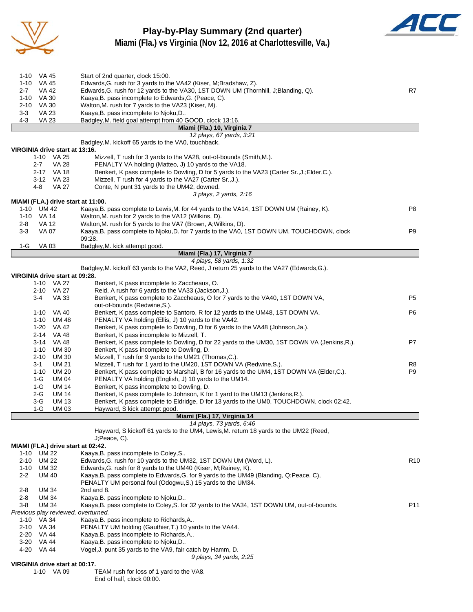

#### **Play-by-Play Summary (2nd quarter) Miami (Fla.) vs Virginia (Nov 12, 2016 at Charlottesville, Va.)**



| 1-10 VA 45                                       | Start of 2nd quarter, clock 15:00.                                                                                                                                       |                 |
|--------------------------------------------------|--------------------------------------------------------------------------------------------------------------------------------------------------------------------------|-----------------|
| 1-10 VA 45                                       | Edwards, G. rush for 3 yards to the VA42 (Kiser, M; Bradshaw, Z).                                                                                                        |                 |
| $2 - 7$<br>VA 42                                 | Edwards, G. rush for 12 yards to the VA30, 1ST DOWN UM (Thornhill, J; Blanding, Q).                                                                                      | R7              |
| 1-10 VA 30<br>$2 - 10$<br>VA 30                  | Kaaya, B. pass incomplete to Edwards, G. (Peace, C).<br>Walton, M. rush for 7 yards to the VA23 (Kiser, M).                                                              |                 |
| $3-3$<br><b>VA 23</b>                            | Kaaya, B. pass incomplete to Njoku, D                                                                                                                                    |                 |
| $4 - 3$<br><b>VA 23</b>                          | Badgley, M. field goal attempt from 40 GOOD, clock 13:16.                                                                                                                |                 |
|                                                  | Miami (Fla.) 10, Virginia 7                                                                                                                                              |                 |
|                                                  | 12 plays, 67 yards, 3:21                                                                                                                                                 |                 |
| VIRGINIA drive start at 13:16.                   | Badgley, M. kickoff 65 yards to the VA0, touchback.                                                                                                                      |                 |
| 1-10 VA 25                                       | Mizzell, T rush for 3 yards to the VA28, out-of-bounds (Smith, M.).                                                                                                      |                 |
| 2-7<br>VA 28                                     | PENALTY VA holding (Matteo, J) 10 yards to the VA18.                                                                                                                     |                 |
| 2-17 VA 18                                       | Benkert, K pass complete to Dowling, D for 5 yards to the VA23 (Carter Sr., J.; Elder, C.).                                                                              |                 |
| 3-12 VA 23                                       | Mizzell, T rush for 4 yards to the VA27 (Carter Sr., J.).                                                                                                                |                 |
| <b>VA 27</b><br>4-8                              | Conte, N punt 31 yards to the UM42, downed.                                                                                                                              |                 |
| MIAMI (FLA.) drive start at 11:00.               | 3 plays, 2 yards, 2:16                                                                                                                                                   |                 |
| 1-10 UM 42                                       | Kaaya, B. pass complete to Lewis, M. for 44 yards to the VA14, 1ST DOWN UM (Rainey, K).                                                                                  | P8              |
| 1-10 VA 14                                       | Walton, M. rush for 2 yards to the VA12 (Wilkins, D).                                                                                                                    |                 |
| <b>VA 12</b><br>2-8                              | Walton, M. rush for 5 yards to the VA7 (Brown, A; Wilkins, D).                                                                                                           |                 |
| $3-3$<br>VA 07                                   | Kaaya, B. pass complete to Njoku, D. for 7 yards to the VA0, 1ST DOWN UM, TOUCHDOWN, clock                                                                               | P9              |
|                                                  | 09:28.                                                                                                                                                                   |                 |
| 1-G<br>VA 03                                     | Badgley, M. kick attempt good.<br>Miami (Fla.) 17, Virginia 7                                                                                                            |                 |
|                                                  | 4 plays, 58 yards, 1:32                                                                                                                                                  |                 |
|                                                  | Badgley, M. kickoff 63 yards to the VA2, Reed, J return 25 yards to the VA27 (Edwards, G.).                                                                              |                 |
| VIRGINIA drive start at 09:28.                   |                                                                                                                                                                          |                 |
| 1-10 VA 27                                       | Benkert, K pass incomplete to Zaccheaus, O.                                                                                                                              |                 |
| 2-10 VA 27<br>$3 - 4$                            | Reid, A rush for 6 yards to the VA33 (Jackson, J.).                                                                                                                      |                 |
| <b>VA 33</b>                                     | Benkert, K pass complete to Zaccheaus, O for 7 yards to the VA40, 1ST DOWN VA,<br>out-of-bounds (Redwine, S.).                                                           | P5              |
| 1-10 VA 40                                       | Benkert, K pass complete to Santoro, R for 12 yards to the UM48, 1ST DOWN VA.                                                                                            | P6              |
| 1-10 UM 48                                       | PENALTY VA holding (Ellis, J) 10 yards to the VA42.                                                                                                                      |                 |
| 1-20 VA 42                                       | Benkert, K pass complete to Dowling, D for 6 yards to the VA48 (Johnson, Ja.).                                                                                           |                 |
| 2-14 VA 48                                       | Benkert, K pass incomplete to Mizzell, T.                                                                                                                                |                 |
| 3-14 VA 48<br>$1 - 10$<br>UM 30                  | Benkert, K pass complete to Dowling, D for 22 yards to the UM30, 1ST DOWN VA (Jenkins, R.).<br>Benkert, K pass incomplete to Dowling, D.                                 | P7              |
| $2 - 10$<br>UM 30                                | Mizzell, T rush for 9 yards to the UM21 (Thomas, C.).                                                                                                                    |                 |
| $3 - 1$<br><b>UM 21</b>                          | Mizzell, T rush for 1 yard to the UM20, 1ST DOWN VA (Redwine, S.).                                                                                                       | R8              |
| $1 - 10$<br><b>UM 20</b>                         | Benkert, K pass complete to Marshall, B for 16 yards to the UM4, 1ST DOWN VA (Elder, C.).                                                                                | P9              |
| 1-G<br>UM 04                                     | PENALTY VA holding (English, J) 10 yards to the UM14.                                                                                                                    |                 |
| 1-G<br>UM 14                                     | Benkert, K pass incomplete to Dowling, D.                                                                                                                                |                 |
| 2-G<br>UM 14<br>$3-G$<br><b>UM 13</b>            | Benkert, K pass complete to Johnson, K for 1 yard to the UM13 (Jenkins, R.).<br>Benkert, K pass complete to Eldridge, D for 13 yards to the UM0, TOUCHDOWN, clock 02:42. |                 |
| 1-G<br>UM 03                                     | Hayward. S kick attempt good.                                                                                                                                            |                 |
|                                                  | Miami (Fla.) 17, Virginia 14                                                                                                                                             |                 |
|                                                  | 14 plays, 73 yards, 6:46                                                                                                                                                 |                 |
|                                                  | Hayward, S kickoff 61 yards to the UM4, Lewis, M. return 18 yards to the UM22 (Reed,                                                                                     |                 |
|                                                  | J;Peace, C).                                                                                                                                                             |                 |
| MIAMI (FLA.) drive start at 02:42.<br>1-10 UM 22 | Kaaya, B. pass incomplete to Coley, S                                                                                                                                    |                 |
| <b>UM 22</b><br>$2 - 10$                         | Edwards, G. rush for 10 yards to the UM32, 1ST DOWN UM (Word, L).                                                                                                        | R <sub>10</sub> |
| 1-10<br>UM 32                                    | Edwards, G. rush for 8 yards to the UM40 (Kiser, M; Rainey, K).                                                                                                          |                 |
| $2 - 2$<br><b>UM 40</b>                          | Kaaya, B. pass complete to Edwards, G. for 9 yards to the UM49 (Blanding, Q; Peace, C),                                                                                  |                 |
|                                                  | PENALTY UM personal foul (Odogwu, S.) 15 yards to the UM34.                                                                                                              |                 |
| 2-8<br>UM 34<br><b>UM 34</b><br>2-8              | 2nd and 8.<br>Kaaya, B. pass incomplete to Nioku, D                                                                                                                      |                 |
| <b>UM 34</b><br>3-8                              | Kaaya, B. pass complete to Coley, S. for 32 yards to the VA34, 1ST DOWN UM, out-of-bounds.                                                                               | P <sub>11</sub> |
| Previous play reviewed, overturned.              |                                                                                                                                                                          |                 |
| 1-10 VA 34                                       | Kaaya, B. pass incomplete to Richards, A                                                                                                                                 |                 |
| 2-10 VA 34                                       | PENALTY UM holding (Gauthier, T.) 10 yards to the VA44.                                                                                                                  |                 |
| $2 - 20$<br>VA 44                                | Kaaya, B. pass incomplete to Richards, A                                                                                                                                 |                 |
| 3-20 VA 44                                       | Kaaya, B. pass incomplete to Njoku, D                                                                                                                                    |                 |
| 4-20 VA 44                                       | Vogel, J. punt 35 yards to the VA9, fair catch by Hamm, D.<br>9 plays, 34 yards, 2:25                                                                                    |                 |
| VIRGINIA drive start at 00:17.                   |                                                                                                                                                                          |                 |
| 1-10 VA 09                                       | TEAM rush for loss of 1 yard to the VA8.                                                                                                                                 |                 |
|                                                  | End of half, clock 00:00.                                                                                                                                                |                 |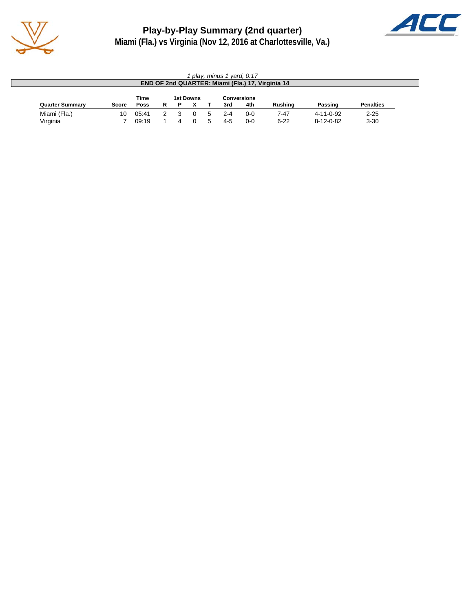

**Play-by-Play Summary (2nd quarter)**



**Miami (Fla.) vs Virginia (Nov 12, 2016 at Charlottesville, Va.)**

| play, minus 1 yard, 0:17<br>END OF 2nd QUARTER: Miami (Fla.) 17, Virginia 14 |       |       |   |   |           |  |     |                    |          |                   |                  |
|------------------------------------------------------------------------------|-------|-------|---|---|-----------|--|-----|--------------------|----------|-------------------|------------------|
|                                                                              |       | Time  |   |   | 1st Downs |  |     | <b>Conversions</b> |          |                   |                  |
| <b>Quarter Summary</b>                                                       | Score | Poss  | R | D |           |  | 3rd | 4th                | Rushina  | Passing           | <b>Penalties</b> |
| Miami (Fla.)                                                                 | 10    | 05:41 |   |   |           |  | 2-4 | $0 - 0$            | 7-47     | $4 - 11 - 0 - 92$ | $2 - 25$         |
| Virginia                                                                     |       | 09:19 |   |   |           |  | 4-5 | $0 - 0$            | $6 - 22$ | $8 - 12 - 0 - 82$ | $3 - 30$         |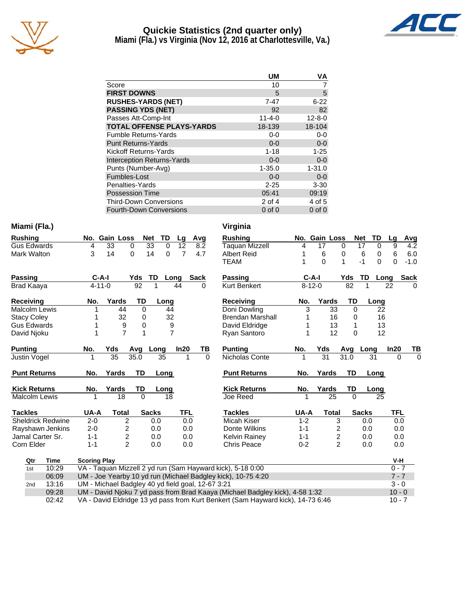

#### **Quickie Statistics (2nd quarter only) Miami (Fla.) vs Virginia (Nov 12, 2016 at Charlottesville, Va.)**



|                                   | <b>UM</b>    | VA           |
|-----------------------------------|--------------|--------------|
| Score                             | 10           |              |
| <b>FIRST DOWNS</b>                | 5            | 5            |
| <b>RUSHES-YARDS (NET)</b>         | $7 - 47$     | $6 - 22$     |
| <b>PASSING YDS (NET)</b>          | 92           | 82           |
| Passes Att-Comp-Int               | $11 - 4 - 0$ | $12 - 8 - 0$ |
| <b>TOTAL OFFENSE PLAYS-YARDS</b>  | 18-139       | 18-104       |
| <b>Fumble Returns-Yards</b>       | $0-0$        | $0-0$        |
| <b>Punt Returns-Yards</b>         | $0 - 0$      | $0-0$        |
| Kickoff Returns-Yards             | $1 - 18$     | $1 - 25$     |
| <b>Interception Returns-Yards</b> | $0 - 0$      | $0-0$        |
| Punts (Number-Avg)                | $1 - 35.0$   | $1 - 31.0$   |
| Fumbles-Lost                      | $0 - 0$      | $0-0$        |
| Penalties-Yards                   | $2 - 25$     | $3 - 30$     |
| <b>Possession Time</b>            | 05:41        | 09:19        |
| <b>Third-Down Conversions</b>     | 2 of 4       | 4 of 5       |
| <b>Fourth-Down Conversions</b>    | $0$ of $0$   | $0$ of $0$   |

#### **Miami (Fla.)**

| <b>Rushing</b>           |                     | No. Gain Loss   | TD<br><b>Net</b>  | Avg<br>Lg                                         | <b>Rushing</b>                                               | No.          | Gain Loss       | <b>Net</b>     | TD       | Lg               |
|--------------------------|---------------------|-----------------|-------------------|---------------------------------------------------|--------------------------------------------------------------|--------------|-----------------|----------------|----------|------------------|
| <b>Gus Edwards</b>       | 4                   | 33<br>$\Omega$  | 33<br>$\Omega$    | 12<br>8.2                                         | Taquan Mizzell                                               | 4            | 17              | 17<br>$\Omega$ | $\Omega$ | 9                |
| Mark Walton              | 3                   | 14<br>$\Omega$  | 14<br>$\Omega$    | $\overline{7}$<br>4.7                             | <b>Albert Reid</b>                                           |              | 6               | 6<br>0         | 0        | 6                |
|                          |                     |                 |                   |                                                   | <b>TEAM</b>                                                  |              | 0               | $-1$           | $\Omega$ | $\Omega$         |
| <b>Passing</b>           | $C-A-I$             | Yds             | TD                | <b>Sack</b><br>Long                               | <b>Passing</b>                                               |              | $C-A-I$         | Yds            | TD       | <b>S</b><br>Long |
| <b>Brad Kaaya</b>        | $4 - 11 - 0$        | $\overline{92}$ |                   | 44<br>0                                           | Kurt Benkert                                                 | $8 - 12 - 0$ |                 | 82             |          | 22               |
| <b>Receiving</b>         | No.                 | Yards           | <b>TD</b><br>Long |                                                   | <b>Receiving</b>                                             | No.          | Yards           | <b>TD</b>      | Long     |                  |
| <b>Malcolm Lewis</b>     |                     | 44              | $\Omega$<br>44    |                                                   | Doni Dowling                                                 | 3            | 33              | $\Omega$       | 22       |                  |
| <b>Stacy Coley</b>       |                     | 32              | 32<br>0           |                                                   | <b>Brendan Marshall</b>                                      |              | 16              | 0              | 16       |                  |
| <b>Gus Edwards</b>       |                     | 9               | 0                 | 9                                                 | David Eldridge                                               |              | 13              | 1              | 13       |                  |
| David Njoku              |                     | $\overline{7}$  | 1                 | $\overline{7}$                                    | Ryan Santoro                                                 |              | 12              | 0              | 12       |                  |
| <b>Punting</b>           | No.                 | Yds<br>Avq      | Long              | In20<br>TВ                                        | <b>Punting</b>                                               | No.          | Yds             | Avg Long       |          | ln20             |
| Justin Vogel             |                     | 35<br>35.0      | 35                | $\Omega$<br>1                                     | Nicholas Conte                                               |              | $\overline{31}$ | 31.0           | 31       | $\Omega$         |
| <b>Punt Returns</b>      | No.                 | Yards           | <b>TD</b><br>Long |                                                   | <b>Punt Returns</b>                                          | No.          | Yards           | TD             | Long     |                  |
| <b>Kick Returns</b>      | No.                 | Yards           | TD<br>Long        |                                                   | <b>Kick Returns</b>                                          | No.          | Yards           | TD             | Long     |                  |
| <b>Malcolm Lewis</b>     |                     | 18              | $\Omega$<br>18    |                                                   | Joe Reed                                                     |              | 25              | $\Omega$       | 25       |                  |
| <b>Tackles</b>           | UA-A                | <b>Total</b>    | <b>Sacks</b>      | <b>TFL</b>                                        | <b>Tackles</b>                                               | UA-A         | <b>Total</b>    | <b>Sacks</b>   |          | TFL              |
| <b>Sheldrick Redwine</b> | $2 - 0$             | $\overline{2}$  | 0.0               | 0.0                                               | Micah Kiser                                                  | $1 - 2$      | 3               |                | 0.0      | 0.0              |
| Rayshawn Jenkins         | $2 - 0$             | $\overline{c}$  | 0.0               | 0.0                                               | Donte Wilkins                                                | $1 - 1$      | 2               |                | 0.0      | 0.0              |
| Jamal Carter Sr.         | $1 - 1$             | $\overline{c}$  | 0.0               | 0.0                                               | Kelvin Rainey                                                | $1 - 1$      | 2               |                | 0.0      | 0.0              |
| Corn Elder               | $1 - 1$             | $\overline{2}$  | 0.0               | 0.0                                               | <b>Chris Peace</b>                                           | $0 - 2$      | $\overline{2}$  |                | 0.0      | 0.0              |
| <b>Time</b><br>Qtr       | <b>Scoring Play</b> |                 |                   |                                                   |                                                              |              |                 |                |          | V-H              |
| 10:29<br>1st             |                     |                 |                   |                                                   | VA - Taquan Mizzell 2 yd run (Sam Hayward kick), 5-18 0:00   |              |                 |                |          | $0 - 7$          |
| 06:09                    |                     |                 |                   |                                                   | UM - Joe Yearby 10 yd run (Michael Badgley kick), 10-75 4:20 |              |                 |                |          | $7 - 7$          |
| 13:16<br>2 <sub>nd</sub> |                     |                 |                   | UM - Michael Badgley 40 yd field goal, 12-67 3:21 |                                                              |              |                 |                |          | $3 - 0$          |

| Virginia                |         |              |                |                  |            |        |
|-------------------------|---------|--------------|----------------|------------------|------------|--------|
| <b>Rushing</b>          | No.     | Gain Loss    |                | <b>Net</b><br>TD | Lg         | Avg    |
| <b>Taquan Mizzell</b>   | 4       | 17           | 0              | 17               | 9<br>0     | 4.2    |
| <b>Albert Reid</b>      | 1       | 6            | 0              | 6                | 6<br>0     | 6.0    |
| <b>TEAM</b>             | 1       | $\Omega$     | 1              | $-1$             | 0<br>0     | $-1.0$ |
| Passing                 |         | C-A-I        | Yds            | TD               | Long       | Sack   |
| <b>Kurt Benkert</b>     |         | $8 - 12 - 0$ | 82             | 1                | 22         | 0      |
| <b>Receiving</b>        | No.     | Yards        | TD             |                  | Long       |        |
| Doni Dowling            | 3       | 33           | 0              |                  | 22         |        |
| <b>Brendan Marshall</b> | 1       | 16           | 0              |                  | 16         |        |
| David Eldridge          | 1       | 13           | 1              |                  | 13         |        |
| Ryan Santoro            | 1       | 12           | $\Omega$       |                  | 12         |        |
| <b>Punting</b>          | No.     | Yds          | Avg            | Long             | In20       | ΤВ     |
| Nicholas Conte          | 1       | 31           | 31.0           | 31               | 0          | 0      |
| <b>Punt Returns</b>     | No.     | Yards        | TD             | Long             |            |        |
| <b>Kick Returns</b>     | No.     | Yards        | TD             | Long             |            |        |
| Joe Reed                | 1       | 25           | $\Omega$       |                  | 25         |        |
| <b>Tackles</b>          | UA-A    | Total        |                | <b>Sacks</b>     | <b>TFL</b> |        |
| Micah Kiser             | $1 - 2$ |              | 3              | 0.0              | 0.0        |        |
| Donte Wilkins           | $1 - 1$ |              |                | 0.0              | 0.0        |        |
| Kelvin Rainey           | $1 - 1$ |              | $\frac{2}{2}$  | 0.0              | 0.0        |        |
| Chris Peace             | $0 - 2$ |              | $\overline{2}$ | 0.0              | 0.0        |        |
|                         |         |              |                |                  | V-H        |        |
| d kick), 5-18 0:00      |         |              |                |                  | $0 - 7$    |        |
| y kick), 10-75 4:20     |         |              |                |                  | $7 - 7$    |        |
| i7 3:21                 |         |              |                |                  | $3 - 0$    |        |
|                         |         |              |                |                  |            |        |

2nd 13:16 UM - Michael Badgley 40 yd field goal, 12-67<br>09:28 UM - David Njoku 7 yd pass from Brad Kaay 09: 109:28 UM - David Njoku 7 yd pass from Brad Kaaya (Michael Badgley kick), 4-58 1:32<br>VA - David Eldridge 13 yd pass from Kurt Benkert (Sam Hayward kick), 14-73 6:46 02:42 VA - David Eldridge 13 yd pass from Kurt Benkert (Sam Hayward kick), 14-73 6:46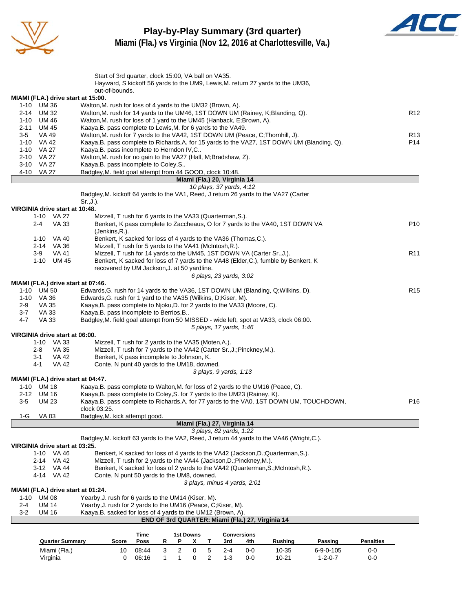

#### **Play-by-Play Summary (3rd quarter) Miami (Fla.) vs Virginia (Nov 12, 2016 at Charlottesville, Va.)**



|          |                            |                                              | Start of 3rd quarter, clock 15:00, VA ball on VA35.                                                                                                            |             |              |                  |   |                |                              |                              | Hayward, S kickoff 56 yards to the UM9, Lewis, M. return 27 yards to the UM36,      |                 |                  |                 |
|----------|----------------------------|----------------------------------------------|----------------------------------------------------------------------------------------------------------------------------------------------------------------|-------------|--------------|------------------|---|----------------|------------------------------|------------------------------|-------------------------------------------------------------------------------------|-----------------|------------------|-----------------|
|          |                            |                                              | out-of-bounds.                                                                                                                                                 |             |              |                  |   |                |                              |                              |                                                                                     |                 |                  |                 |
|          |                            |                                              | MIAMI (FLA.) drive start at 15:00.                                                                                                                             |             |              |                  |   |                |                              |                              |                                                                                     |                 |                  |                 |
|          | 1-10 UM 36<br>2-14 UM 32   |                                              | Walton, M. rush for loss of 4 yards to the UM32 (Brown, A).<br>Walton, M. rush for 14 yards to the UM46, 1ST DOWN UM (Rainey, K; Blanding, Q).                 |             |              |                  |   |                |                              |                              |                                                                                     |                 |                  | R <sub>12</sub> |
|          | 1-10 UM 46                 |                                              | Walton, M. rush for loss of 1 yard to the UM45 (Hanback, E; Brown, A).                                                                                         |             |              |                  |   |                |                              |                              |                                                                                     |                 |                  |                 |
|          | 2-11 UM 45                 |                                              | Kaaya, B. pass complete to Lewis, M. for 6 yards to the VA49.                                                                                                  |             |              |                  |   |                |                              |                              |                                                                                     |                 |                  |                 |
| $3-5$    | VA 49                      |                                              | Walton, M. rush for 7 yards to the VA42, 1ST DOWN UM (Peace, C; Thornhill, J).                                                                                 |             |              |                  |   |                |                              |                              |                                                                                     |                 |                  | R <sub>13</sub> |
|          | 1-10 VA 42                 |                                              | Kaaya, B. pass complete to Richards, A. for 15 yards to the VA27, 1ST DOWN UM (Blanding, Q).                                                                   |             |              |                  |   |                |                              |                              |                                                                                     |                 |                  | P <sub>14</sub> |
|          | 1-10 VA 27                 |                                              | Kaaya, B. pass incomplete to Herndon IV, C                                                                                                                     |             |              |                  |   |                |                              |                              |                                                                                     |                 |                  |                 |
|          | 2-10 VA 27                 |                                              | Walton, M. rush for no gain to the VA27 (Hall, M; Bradshaw, Z).                                                                                                |             |              |                  |   |                |                              |                              |                                                                                     |                 |                  |                 |
|          | 3-10 VA 27<br>4-10 VA 27   |                                              | Kaaya, B. pass incomplete to Coley, S<br>Badgley, M. field goal attempt from 44 GOOD, clock 10:48.                                                             |             |              |                  |   |                |                              |                              |                                                                                     |                 |                  |                 |
|          |                            |                                              |                                                                                                                                                                |             |              |                  |   |                | Miami (Fla.) 20, Virginia 14 |                              |                                                                                     |                 |                  |                 |
|          |                            |                                              |                                                                                                                                                                |             |              |                  |   |                | 10 plays, 37 yards, 4:12     |                              |                                                                                     |                 |                  |                 |
|          |                            |                                              | Badgley, M. kickoff 64 yards to the VA1, Reed, J return 26 yards to the VA27 (Carter                                                                           |             |              |                  |   |                |                              |                              |                                                                                     |                 |                  |                 |
|          |                            |                                              | $Sr.,J.$ ).                                                                                                                                                    |             |              |                  |   |                |                              |                              |                                                                                     |                 |                  |                 |
|          |                            | VIRGINIA drive start at 10:48.<br>1-10 VA 27 | Mizzell, T rush for 6 yards to the VA33 (Quarterman, S.).                                                                                                      |             |              |                  |   |                |                              |                              |                                                                                     |                 |                  |                 |
|          | 2-4                        | <b>VA 33</b>                                 |                                                                                                                                                                |             |              |                  |   |                |                              |                              | Benkert, K pass complete to Zaccheaus, O for 7 yards to the VA40, 1ST DOWN VA       |                 |                  | P <sub>10</sub> |
|          |                            |                                              | (Jenkins, R.).                                                                                                                                                 |             |              |                  |   |                |                              |                              |                                                                                     |                 |                  |                 |
|          |                            | 1-10 VA 40                                   | Benkert, K sacked for loss of 4 yards to the VA36 (Thomas, C.).                                                                                                |             |              |                  |   |                |                              |                              |                                                                                     |                 |                  |                 |
|          |                            | 2-14 VA 36                                   | Mizzell, T rush for 5 yards to the VA41 (McIntosh, R.).                                                                                                        |             |              |                  |   |                |                              |                              |                                                                                     |                 |                  |                 |
|          | $3-9$                      | <b>VA 41</b>                                 | Mizzell, T rush for 14 yards to the UM45, 1ST DOWN VA (Carter Sr., J.).                                                                                        |             |              |                  |   |                |                              |                              |                                                                                     |                 |                  | R <sub>11</sub> |
|          |                            | 1-10 UM 45                                   |                                                                                                                                                                |             |              |                  |   |                |                              |                              | Benkert, K sacked for loss of 7 yards to the VA48 (Elder, C.), fumble by Benkert, K |                 |                  |                 |
|          |                            |                                              | recovered by UM Jackson, J. at 50 yardline.                                                                                                                    |             |              |                  |   |                | 6 plays, 23 yards, 3:02      |                              |                                                                                     |                 |                  |                 |
|          |                            |                                              | MIAMI (FLA.) drive start at 07:46.                                                                                                                             |             |              |                  |   |                |                              |                              |                                                                                     |                 |                  |                 |
|          | 1-10 UM 50                 |                                              | Edwards, G. rush for 14 yards to the VA36, 1ST DOWN UM (Blanding, Q; Wilkins, D).                                                                              |             |              |                  |   |                |                              |                              |                                                                                     |                 |                  | R <sub>15</sub> |
|          | 1-10 VA 36                 |                                              | Edwards, G. rush for 1 yard to the VA35 (Wilkins, D; Kiser, M).                                                                                                |             |              |                  |   |                |                              |                              |                                                                                     |                 |                  |                 |
| $2 - 9$  | VA 35                      |                                              | Kaaya, B. pass complete to Njoku, D. for 2 yards to the VA33 (Moore, C).                                                                                       |             |              |                  |   |                |                              |                              |                                                                                     |                 |                  |                 |
| $3 - 7$  | VA 33                      |                                              | Kaaya, B. pass incomplete to Berrios, B                                                                                                                        |             |              |                  |   |                |                              |                              |                                                                                     |                 |                  |                 |
| $4 - 7$  | VA 33                      |                                              | Badgley, M. field goal attempt from 50 MISSED - wide left, spot at VA33, clock 06:00.                                                                          |             |              |                  |   |                |                              |                              |                                                                                     |                 |                  |                 |
|          |                            |                                              |                                                                                                                                                                |             |              |                  |   |                | 5 plays, 17 yards, 1:46      |                              |                                                                                     |                 |                  |                 |
|          |                            | VIRGINIA drive start at 06:00.<br>1-10 VA 33 | Mizzell, T rush for 2 yards to the VA35 (Moten, A.).                                                                                                           |             |              |                  |   |                |                              |                              |                                                                                     |                 |                  |                 |
|          | 2-8                        | VA 35                                        | Mizzell, T rush for 7 yards to the VA42 (Carter Sr., J.; Pinckney, M.).                                                                                        |             |              |                  |   |                |                              |                              |                                                                                     |                 |                  |                 |
|          | 3-1                        | VA 42                                        | Benkert, K pass incomplete to Johnson, K.                                                                                                                      |             |              |                  |   |                |                              |                              |                                                                                     |                 |                  |                 |
|          | 4-1                        | <b>VA 42</b>                                 | Conte, N punt 40 yards to the UM18, downed.                                                                                                                    |             |              |                  |   |                |                              |                              |                                                                                     |                 |                  |                 |
|          |                            |                                              |                                                                                                                                                                |             |              |                  |   |                | 3 plays, 9 yards, 1:13       |                              |                                                                                     |                 |                  |                 |
|          |                            |                                              | MIAMI (FLA.) drive start at 04:47.                                                                                                                             |             |              |                  |   |                |                              |                              |                                                                                     |                 |                  |                 |
|          | 1-10 UM 18                 |                                              | Kaaya, B. pass complete to Walton, M. for loss of 2 yards to the UM16 (Peace, C).<br>Kaaya, B. pass complete to Coley, S. for 7 yards to the UM23 (Rainey, K). |             |              |                  |   |                |                              |                              |                                                                                     |                 |                  |                 |
| $3-5$    | 2-12 UM 16<br><b>UM 23</b> |                                              | Kaaya, B. pass complete to Richards, A. for 77 yards to the VA0, 1ST DOWN UM, TOUCHDOWN,                                                                       |             |              |                  |   |                |                              |                              |                                                                                     |                 |                  | P <sub>16</sub> |
|          |                            |                                              | clock 03:25.                                                                                                                                                   |             |              |                  |   |                |                              |                              |                                                                                     |                 |                  |                 |
| 1-G      | VA 03                      |                                              | Badgley, M. kick attempt good.                                                                                                                                 |             |              |                  |   |                |                              |                              |                                                                                     |                 |                  |                 |
|          |                            |                                              |                                                                                                                                                                |             |              |                  |   |                | Miami (Fla.) 27, Virginia 14 |                              |                                                                                     |                 |                  |                 |
|          |                            |                                              |                                                                                                                                                                |             |              |                  |   |                | 3 plays, 82 yards, 1:22      |                              |                                                                                     |                 |                  |                 |
|          |                            |                                              | Badgley, M. kickoff 63 yards to the VA2, Reed, J return 44 yards to the VA46 (Wright, C.).                                                                     |             |              |                  |   |                |                              |                              |                                                                                     |                 |                  |                 |
|          |                            | VIRGINIA drive start at 03:25.               |                                                                                                                                                                |             |              |                  |   |                |                              |                              |                                                                                     |                 |                  |                 |
|          |                            | 1-10 VA 46<br>2-14 VA 42                     | Mizzell, T rush for 2 yards to the VA44 (Jackson, D.; Pinckney, M.).                                                                                           |             |              |                  |   |                |                              |                              | Benkert, K sacked for loss of 4 yards to the VA42 (Jackson, D.; Quarterman, S.).    |                 |                  |                 |
|          |                            | 3-12 VA 44                                   |                                                                                                                                                                |             |              |                  |   |                |                              |                              | Benkert, K sacked for loss of 2 yards to the VA42 (Quarterman, S.; McIntosh, R.).   |                 |                  |                 |
|          |                            | 4-14 VA 42                                   | Conte, N punt 50 yards to the UM8, downed.                                                                                                                     |             |              |                  |   |                |                              |                              |                                                                                     |                 |                  |                 |
|          |                            |                                              |                                                                                                                                                                |             |              |                  |   |                |                              | 3 plays, minus 4 yards, 2:01 |                                                                                     |                 |                  |                 |
|          |                            |                                              | MIAMI (FLA.) drive start at 01:24.                                                                                                                             |             |              |                  |   |                |                              |                              |                                                                                     |                 |                  |                 |
| $1 - 10$ | <b>UM 08</b>               |                                              | Yearby, J. rush for 6 yards to the UM14 (Kiser, M).                                                                                                            |             |              |                  |   |                |                              |                              |                                                                                     |                 |                  |                 |
| $2 - 4$  | <b>UM 14</b>               |                                              | Yearby, J. rush for 2 yards to the UM16 (Peace, C; Kiser, M).                                                                                                  |             |              |                  |   |                |                              |                              |                                                                                     |                 |                  |                 |
| $3 - 2$  | UM 16                      |                                              | Kaaya, B. sacked for loss of 4 yards to the UM12 (Brown, A).                                                                                                   |             |              |                  |   |                |                              |                              | END OF 3rd QUARTER: Miami (Fla.) 27, Virginia 14                                    |                 |                  |                 |
|          |                            |                                              |                                                                                                                                                                |             |              |                  |   |                |                              |                              |                                                                                     |                 |                  |                 |
|          |                            |                                              |                                                                                                                                                                | <b>Time</b> |              | <b>1st Downs</b> |   |                | <b>Conversions</b>           |                              |                                                                                     |                 |                  |                 |
|          |                            | <b>Quarter Summary</b>                       | <b>Score</b>                                                                                                                                                   | Poss        | R            | P                | x | т              | 3rd                          | 4th                          | <b>Rushing</b>                                                                      | Passing         | <b>Penalties</b> |                 |
|          |                            | Miami (Fla.)                                 | 10                                                                                                                                                             | 08:44       | 3            | 2                | 0 | 5              | 2-4                          | 0-0                          | 10-35                                                                               | 6-9-0-105       | $0-0$            |                 |
|          |                            | Virginia                                     | 0                                                                                                                                                              | 06:16       | $\mathbf{1}$ | $\mathbf{1}$     | 0 | $\overline{2}$ | $1 - 3$                      | 0-0                          | $10 - 21$                                                                           | $1 - 2 - 0 - 7$ | $0-0$            |                 |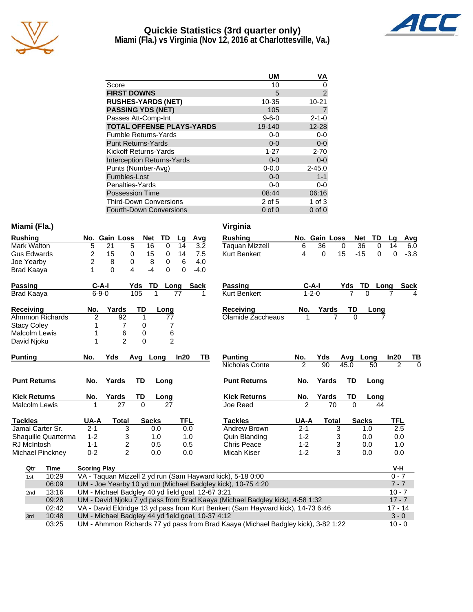

# **Quickie Statistics (3rd quarter only)**



**Miami (Fla.) vs Virginia (Nov 12, 2016 at Charlottesville, Va.)**

|                                   | <b>UM</b>   | VA             |
|-----------------------------------|-------------|----------------|
| Score                             | 10          | O              |
| <b>FIRST DOWNS</b>                | 5           | $\overline{2}$ |
| <b>RUSHES-YARDS (NET)</b>         | 10-35       | $10 - 21$      |
| <b>PASSING YDS (NET)</b>          | 105         |                |
| Passes Att-Comp-Int               | $9 - 6 - 0$ | $2 - 1 - 0$    |
| <b>TOTAL OFFENSE PLAYS-YARDS</b>  | 19-140      | $12 - 28$      |
| <b>Fumble Returns-Yards</b>       | $0-0$       | $0-0$          |
| <b>Punt Returns-Yards</b>         | $0 - 0$     | $0-0$          |
| Kickoff Returns-Yards             | $1 - 27$    | $2 - 70$       |
| <b>Interception Returns-Yards</b> | $0 - 0$     | $0-0$          |
| Punts (Number-Avg)                | $0 - 0.0$   | $2 - 45.0$     |
| Fumbles-Lost                      | $0 - 0$     | $1 - 1$        |
| Penalties-Yards                   | $0 - 0$     | $0-0$          |
| <b>Possession Time</b>            | 08:44       | 06:16          |
| <b>Third-Down Conversions</b>     | 2 of 5      | $1$ of $3$     |
| <b>Fourth-Down Conversions</b>    | $0$ of $0$  | $0$ of $0$     |

### **Miami (Fla.) Virginia**

| <b>Rushing</b>       |                     | No. Gain Loss                                     | <b>Net</b>     | <b>TD</b>       | Lg         | Avg    | <b>Rushing</b>                                                                 |                | No. Gain Loss |                | TD<br><b>Net</b>  | Lg             | Avg         |
|----------------------|---------------------|---------------------------------------------------|----------------|-----------------|------------|--------|--------------------------------------------------------------------------------|----------------|---------------|----------------|-------------------|----------------|-------------|
| Mark Walton          | 5                   | 21                                                | 5<br>16        | $\Omega$        | 14         | 3.2    | <b>Taquan Mizzell</b>                                                          | 6              | 36            | $\Omega$       | 36<br>$\Omega$    | 14             | 6.0         |
| <b>Gus Edwards</b>   | 2                   | 15                                                | 0<br>15        | 0               | 14         | 7.5    | Kurt Benkert                                                                   | 4              | $\Omega$      | 15             | $-15$<br>$\Omega$ | $\Omega$       | $-3.8$      |
| Joe Yearby           | $\overline{2}$      | 8                                                 | 8<br>0         | 0               | 6          | 4.0    |                                                                                |                |               |                |                   |                |             |
| <b>Brad Kaaya</b>    | 1                   | $\Omega$                                          | 4<br>$-4$      | $\Omega$        | $\Omega$   | $-4.0$ |                                                                                |                |               |                |                   |                |             |
| Passing              | $C-A-I$             |                                                   | TD<br>Yds      | Long            | Sack       |        | Passing                                                                        |                | $C-A-I$       | Yds            | TD                | Long           | <b>Sack</b> |
| <b>Brad Kaaya</b>    | $6 - 9 - 0$         |                                                   | 105            | 1               | 77         |        | <b>Kurt Benkert</b>                                                            |                | $1 - 2 - 0$   | $\overline{7}$ | $\Omega$          |                |             |
| <b>Receiving</b>     | No.                 | Yards                                             | TD             | Long            |            |        | <b>Receiving</b>                                                               | No.            | Yards         | TD             | Long              |                |             |
| Ahmmon Richards      | $\overline{2}$      | 92                                                | 1              | 77              |            |        | Olamide Zaccheaus                                                              |                | 7             | $\Omega$       |                   |                |             |
| <b>Stacy Coley</b>   |                     | 7                                                 | 0              | 7               |            |        |                                                                                |                |               |                |                   |                |             |
| <b>Malcolm Lewis</b> | 1                   | 6                                                 | 0              | 6               |            |        |                                                                                |                |               |                |                   |                |             |
| David Njoku          | 1                   | $\mathfrak{p}$                                    | $\overline{0}$ | $\overline{2}$  |            |        |                                                                                |                |               |                |                   |                |             |
| <b>Punting</b>       | No.                 | Yds                                               | Avg Long       |                 | In20       | ΤВ     | <b>Punting</b>                                                                 | No.            | Yds           | Avg            | Long              | In20           | ΤВ          |
|                      |                     |                                                   |                |                 |            |        | Nicholas Conte                                                                 | 2              | 90            | 45.0           | 50                | $\overline{2}$ | $\Omega$    |
| <b>Punt Returns</b>  | No.                 | Yards                                             | <b>TD</b>      | Long            |            |        | <b>Punt Returns</b>                                                            | No.            | Yards         | <b>TD</b>      | Long              |                |             |
| <b>Kick Returns</b>  | No.                 | Yards                                             | TD             | Long            |            |        | <b>Kick Returns</b>                                                            | No.            | Yards         | TD             | Long              |                |             |
| <b>Malcolm Lewis</b> |                     | $\overline{27}$                                   | $\overline{0}$ | $\overline{27}$ |            |        | Joe Reed                                                                       | $\overline{2}$ | 70            | $\Omega$       | 44                |                |             |
| <b>Tackles</b>       | UA-A                | Total                                             | <b>Sacks</b>   |                 | <b>TFL</b> |        | <b>Tackles</b>                                                                 | <b>UA-A</b>    | <b>Total</b>  |                | <b>Sacks</b>      | TFL            |             |
| Jamal Carter Sr.     | $2 - 1$             | 3                                                 |                | 0.0             | 0.0        |        | Andrew Brown                                                                   | $2 - 1$        |               | 3              | 1.0               | 2.5            |             |
| Shaquille Quarterma  | $1 - 2$             | 3                                                 |                | 1.0             | 1.0        |        | Quin Blanding                                                                  | $1 - 2$        |               | 3              | 0.0               | 0.0            |             |
| RJ McIntosh          | $1 - 1$             | $\overline{c}$                                    |                | 0.5             | 0.5        |        | Chris Peace                                                                    | $1 - 2$        |               | 3              | 0.0               | 1.0            |             |
| Michael Pinckney     | $0 - 2$             | $\overline{c}$                                    |                | 0.0             | 0.0        |        | Micah Kiser                                                                    | $1 - 2$        |               | 3              | 0.0               | 0.0            |             |
| Qtr<br>Time          | <b>Scoring Play</b> |                                                   |                |                 |            |        |                                                                                |                |               |                |                   | $V-H$          |             |
| 10:29<br>1st         |                     |                                                   |                |                 |            |        | VA - Taquan Mizzell 2 yd run (Sam Hayward kick), 5-18 0:00                     |                |               |                |                   | $0 - 7$        |             |
| 06:09                |                     |                                                   |                |                 |            |        | UM - Joe Yearby 10 yd run (Michael Badgley kick), 10-75 4:20                   |                |               |                |                   | $7 - 7$        |             |
| 13:16<br>2nd         |                     | UM - Michael Badgley 40 yd field goal, 12-67 3:21 |                |                 |            |        |                                                                                |                |               |                |                   | $10 - 7$       |             |
| 00.20                |                     |                                                   |                |                 |            |        | $11M$ , Dovid Nicky Zyd poes from Brad Keeve (Michael Bedgley kiek), 4,59,4:22 |                |               |                |                   | 177            |             |

| Taquan Mizzell      | 6              | 36    | 0    | 36    | 0    | 14   | 6.0    |
|---------------------|----------------|-------|------|-------|------|------|--------|
| <b>Kurt Benkert</b> | 4              | 0     | 15   | $-15$ | 0    | 0    | $-3.8$ |
| Passing             | C-A-I          |       | Yds  | TD    | Long |      | Sack   |
| <b>Kurt Benkert</b> | $1 - 2 - 0$    |       | 7    | 0     |      |      | 4      |
| Receiving           | No.            | Yards | TD   |       | Long |      |        |
| Olamide Zaccheaus   | 1              | 7     | 0    |       |      |      |        |
| <b>Punting</b>      | No.            | Yds   | Avg  | Long  |      | ln20 | ΤВ     |
| Nicholas Conte      | 2              | 90    | 45.0 | 50    |      | 2    | 0      |
| <b>Punt Returns</b> | No.            | Yards | TD   |       | Long |      |        |
| <b>Kick Returns</b> | No.            | Yards | TD   |       | Long |      |        |
| Joe Reed            | $\overline{2}$ | 70    | 0    |       | 44   |      |        |
| <b>Tackles</b>      | <b>UA-A</b>    | Total |      | Sacks |      | TFL  |        |
| Andrew Brown        | $2 - 1$        |       | 3    | 1.0   |      | 2.5  |        |
| Quin Blanding       | $1 - 2$        |       | 3    | 0.0   |      | 0.0  |        |
| Chris Peace         | $1 - 2$        |       | 3    | 0.0   |      | 1.0  |        |
|                     |                |       |      |       |      |      |        |

| Qtr | Time  | <b>Scoring Play</b>                                                               | V-H       |
|-----|-------|-----------------------------------------------------------------------------------|-----------|
| 1st | 10:29 | VA - Taquan Mizzell 2 yd run (Sam Hayward kick), 5-18 0:00                        | $0 - 7$   |
|     | 06:09 | UM - Joe Yearby 10 yd run (Michael Badgley kick), 10-75 4:20                      | $7 - 7$   |
| 2nd | 13:16 | UM - Michael Badgley 40 yd field goal, 12-67 3:21                                 | $10 - 7$  |
|     | 09:28 | UM - David Njoku 7 yd pass from Brad Kaaya (Michael Badgley kick), 4-58 1:32      | $17 - 7$  |
|     | 02:42 | VA - David Eldridge 13 yd pass from Kurt Benkert (Sam Hayward kick), 14-73 6:46   | $17 - 14$ |
| 3rd | 10:48 | UM - Michael Badgley 44 yd field goal, 10-37 4:12                                 | $3 - 0$   |
|     | 03:25 | UM - Ahmmon Richards 77 yd pass from Brad Kaaya (Michael Badgley kick), 3-82 1:22 | $10 - 0$  |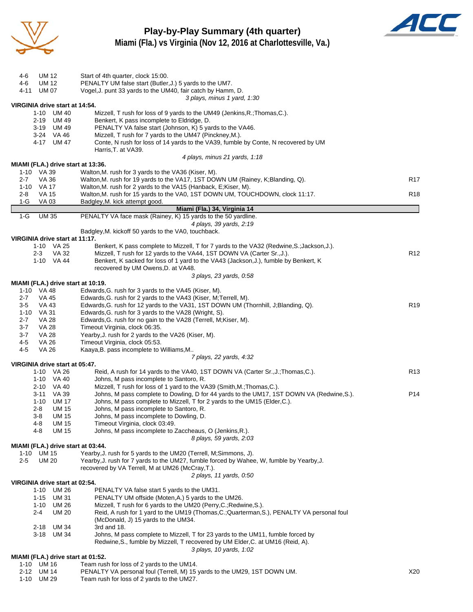

**Play-by-Play Summary (4th quarter)**



**Miami (Fla.) vs Virginia (Nov 12, 2016 at Charlottesville, Va.)**

| UM 12<br>4-6                       | Start of 4th quarter, clock 15:00.                                                         |                 |
|------------------------------------|--------------------------------------------------------------------------------------------|-----------------|
| 4-6<br>UM 12                       | PENALTY UM false start (Butler, J.) 5 yards to the UM7.                                    |                 |
| UM 07<br>4-11                      | Vogel, J. punt 33 yards to the UM40, fair catch by Hamm, D.                                |                 |
|                                    | 3 plays, minus 1 yard, 1:30                                                                |                 |
|                                    |                                                                                            |                 |
| VIRGINIA drive start at 14:54.     |                                                                                            |                 |
| 1-10 UM 40                         | Mizzell, T rush for loss of 9 yards to the UM49 (Jenkins, R.; Thomas, C.).                 |                 |
| 2-19 UM 49                         | Benkert, K pass incomplete to Eldridge, D.                                                 |                 |
| 3-19 UM 49                         | PENALTY VA false start (Johnson, K) 5 yards to the VA46.                                   |                 |
| 3-24 VA 46                         | Mizzell, T rush for 7 yards to the UM47 (Pinckney, M.).                                    |                 |
| 4-17 UM 47                         | Conte, N rush for loss of 14 yards to the VA39, fumble by Conte, N recovered by UM         |                 |
|                                    | Harris, T. at VA39.                                                                        |                 |
|                                    | 4 plays, minus 21 yards, 1:18                                                              |                 |
| MIAMI (FLA.) drive start at 13:36. |                                                                                            |                 |
| 1-10 VA 39                         | Walton, M. rush for 3 yards to the VA36 (Kiser, M).                                        |                 |
| VA 36<br>$2 - 7$                   | Walton, M. rush for 19 yards to the VA17, 1ST DOWN UM (Rainey, K; Blanding, Q).            | R <sub>17</sub> |
| 1-10<br>VA 17                      | Walton, M. rush for 2 yards to the VA15 (Hanback, E; Kiser, M).                            |                 |
| 2-8<br>VA 15                       | Walton, M. rush for 15 yards to the VA0, 1ST DOWN UM, TOUCHDOWN, clock 11:17.              | R <sub>18</sub> |
| $1-G$<br>VA 03                     | Badgley, M. kick attempt good.                                                             |                 |
|                                    | Miami (Fla.) 34, Virginia 14                                                               |                 |
| $1-G$<br><b>UM 35</b>              | PENALTY VA face mask (Rainey, K) 15 yards to the 50 yardline.                              |                 |
|                                    | 4 plays, 39 yards, 2:19                                                                    |                 |
|                                    | Badgley, M. kickoff 50 yards to the VA0, touchback.                                        |                 |
| VIRGINIA drive start at 11:17.     |                                                                                            |                 |
| 1-10 VA 25                         | Benkert, K pass complete to Mizzell, T for 7 yards to the VA32 (Redwine, S.; Jackson, J.). |                 |
| $2 - 3$<br>VA 32                   | Mizzell, T rush for 12 yards to the VA44, 1ST DOWN VA (Carter Sr., J.).                    | R <sub>12</sub> |
| 1-10 VA 44                         | Benkert, K sacked for loss of 1 yard to the VA43 (Jackson, J.), fumble by Benkert, K       |                 |
|                                    |                                                                                            |                 |
|                                    | recovered by UM Owens, D. at VA48.                                                         |                 |
|                                    | 3 plays, 23 yards, 0:58                                                                    |                 |
| MIAMI (FLA.) drive start at 10:19. |                                                                                            |                 |
| 1-10 VA 48                         | Edwards, G. rush for 3 yards to the VA45 (Kiser, M).                                       |                 |
| $2 - 7$<br>VA 45                   | Edwards, G. rush for 2 yards to the VA43 (Kiser, M; Terrell, M).                           |                 |
| $3-5$<br>VA 43                     | Edwards, G. rush for 12 yards to the VA31, 1ST DOWN UM (Thornhill, J; Blanding, Q).        | R <sub>19</sub> |
| VA 31<br>1-10                      | Edwards, G. rush for 3 yards to the VA28 (Wright, S).                                      |                 |
| $2 - 7$<br><b>VA 28</b>            | Edwards, G. rush for no gain to the VA28 (Terrell, M; Kiser, M).                           |                 |
| $3 - 7$<br><b>VA 28</b>            | Timeout Virginia, clock 06:35.                                                             |                 |
| <b>VA 28</b><br>$3 - 7$            | Yearby, J. rush for 2 yards to the VA26 (Kiser, M).                                        |                 |
| 4-5<br>VA 26                       | Timeout Virginia, clock 05:53.                                                             |                 |
| 4-5<br>VA 26                       | Kaaya, B. pass incomplete to Williams, M                                                   |                 |
|                                    | 7 plays, 22 yards, 4:32                                                                    |                 |
| VIRGINIA drive start at 05:47.     |                                                                                            |                 |
| 1-10 VA 26                         | Reid, A rush for 14 yards to the VA40, 1ST DOWN VA (Carter Sr., J.; Thomas, C.).           | R <sub>13</sub> |
| 1-10 VA 40                         | Johns, M pass incomplete to Santoro, R.                                                    |                 |
| 2-10 VA 40                         | Mizzell, T rush for loss of 1 yard to the VA39 (Smith, M.; Thomas, C.).                    |                 |
| 3-11 VA 39                         | Johns, M pass complete to Dowling, D for 44 yards to the UM17, 1ST DOWN VA (Redwine, S.).  | P <sub>14</sub> |
| 1-10 UM 17                         | Johns, M pass complete to Mizzell, T for 2 yards to the UM15 (Elder, C.).                  |                 |
| <b>UM 15</b><br>2-8                | Johns, M pass incomplete to Santoro, R.                                                    |                 |
| $3 - 8$<br><b>UM 15</b>            | Johns, M pass incomplete to Dowling, D.                                                    |                 |
| 4-8<br>UM 15                       | Timeout Virginia, clock 03:49.                                                             |                 |
| <b>UM 15</b><br>4-8                | Johns, M pass incomplete to Zaccheaus, O (Jenkins, R.).                                    |                 |
|                                    | 8 plays, 59 yards, 2:03                                                                    |                 |
| MIAMI (FLA.) drive start at 03:44. |                                                                                            |                 |
| 1-10 UM 15                         | Yearby, J. rush for 5 yards to the UM20 (Terrell, M;Simmons, J).                           |                 |
| $2 - 5$<br>UM 20                   | Yearby, J. rush for 7 yards to the UM27, fumble forced by Wahee, W, fumble by Yearby, J.   |                 |
|                                    | recovered by VA Terrell, M at UM26 (McCray, T.).                                           |                 |
|                                    |                                                                                            |                 |
| VIRGINIA drive start at 02:54.     | 2 plays, 11 yards, 0:50                                                                    |                 |
|                                    |                                                                                            |                 |
| 1-10 UM 26                         | PENALTY VA false start 5 yards to the UM31.                                                |                 |
| $1 - 15$<br>UM 31                  | PENALTY UM offside (Moten, A.) 5 yards to the UM26.                                        |                 |
| 1-10 UM 26                         | Mizzell, T rush for 6 yards to the UM20 (Perry, C.; Redwine, S.).                          |                 |
| <b>UM 20</b><br>2-4                | Reid, A rush for 1 yard to the UM19 (Thomas, C.; Quarterman, S.), PENALTY VA personal foul |                 |
|                                    | (McDonald, J) 15 yards to the UM34.                                                        |                 |
| 2-18 UM 34                         | 3rd and 18.                                                                                |                 |
| 3-18 UM 34                         | Johns, M pass complete to Mizzell, T for 23 yards to the UM11, fumble forced by            |                 |
|                                    | Redwine, S., fumble by Mizzell, T recovered by UM Elder, C. at UM16 (Reid, A).             |                 |
|                                    | 3 plays, 10 yards, 1:02                                                                    |                 |
| MIAMI (FLA.) drive start at 01:52. |                                                                                            |                 |
| 1-10 UM 16                         | Team rush for loss of 2 yards to the UM14.                                                 |                 |
| 2-12 UM 14                         | PENALTY VA personal foul (Terrell, M) 15 yards to the UM29, 1ST DOWN UM.                   | X20             |

1-10 UM 29 Team rush for loss of 2 yards to the UM27.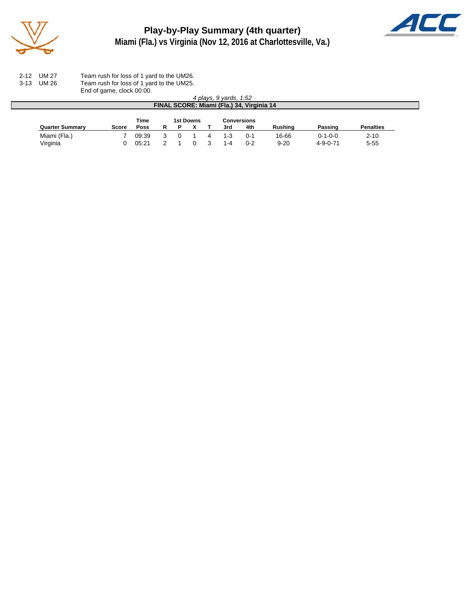

## **Play-by-Play Summary (4th quarter) Miami (Fla.) vs Virginia (Nov 12, 2016 at Charlottesville, Va.)**



| 2-12 UM 27 | Team rush for loss of 1 yard to the UM26. |
|------------|-------------------------------------------|
| 3-13 UM 26 | Team rush for loss of 1 yard to the UM25. |
|            | End of game, clock 00:00.                 |

|                        | Lilu VI yanit, VIVUN VV.VV. |       |   |   |           |                        |                                           |                |                  |                  |
|------------------------|-----------------------------|-------|---|---|-----------|------------------------|-------------------------------------------|----------------|------------------|------------------|
|                        |                             |       |   |   |           | 4 plays, 9 yards, 1:52 |                                           |                |                  |                  |
|                        |                             |       |   |   |           |                        | FINAL SCORE: Miami (Fla.) 34, Virginia 14 |                |                  |                  |
|                        |                             |       |   |   |           |                        |                                           |                |                  |                  |
|                        |                             | Time  |   |   | 1st Downs |                        | <b>Conversions</b>                        |                |                  |                  |
| <b>Quarter Summary</b> | Score                       | Poss  | R | P |           | 3rd                    | 4th                                       | <b>Rushing</b> | Passing          | <b>Penalties</b> |
| Miami (Fla.)           |                             | 09:39 |   |   |           | $1 - 3$                | $0 - 1$                                   | 16-66          | $0 - 1 - 0 - 0$  | $2 - 10$         |
| Virginia               |                             | 05:21 |   |   |           | 1-4                    | $0 - 2$                                   | $9 - 20$       | $4 - 9 - 0 - 71$ | $5 - 55$         |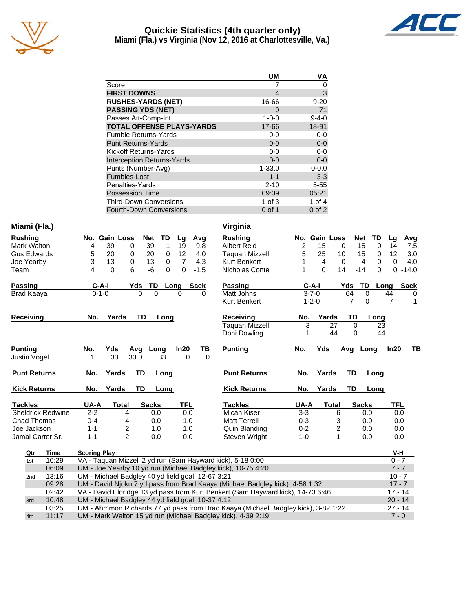

# **Quickie Statistics (4th quarter only)**



**Miami (Fla.) vs Virginia (Nov 12, 2016 at Charlottesville, Va.)**

|                                   | <b>UM</b>   | VA          |
|-----------------------------------|-------------|-------------|
| Score                             |             |             |
| <b>FIRST DOWNS</b>                | 4           | 3           |
| <b>RUSHES-YARDS (NET)</b>         | 16-66       | $9 - 20$    |
| <b>PASSING YDS (NET)</b>          | 0           | 71          |
| Passes Att-Comp-Int               | $1 - 0 - 0$ | $9 - 4 - 0$ |
| <b>TOTAL OFFENSE PLAYS-YARDS</b>  | 17-66       | 18-91       |
| <b>Fumble Returns-Yards</b>       | $0-0$       | $0 - 0$     |
| <b>Punt Returns-Yards</b>         | $0 - 0$     | $0-0$       |
| Kickoff Returns-Yards             | $0 - 0$     | $0-0$       |
| <b>Interception Returns-Yards</b> | $0 - 0$     | $0 - 0$     |
| Punts (Number-Avg)                | $1 - 33.0$  | $0 - 0.0$   |
| Fumbles-Lost                      | $1 - 1$     | $3-3$       |
| Penalties-Yards                   | $2 - 10$    | $5 - 55$    |
| <b>Possession Time</b>            | 09:39       | 05:21       |
| <b>Third-Down Conversions</b>     | 1 of $3$    | 1 of $4$    |
| <b>Fourth-Down Conversions</b>    | 0 of 1      | $0$ of $2$  |

#### **Miami (Fla.) Virginia**

| 39<br>$\overline{\mathbf{c}}$<br>15<br>39<br>19<br>15<br>Mark Walton<br>0<br>9.8<br><b>Albert Reid</b><br>$\Omega$<br>14<br>7.5<br>$\Omega$<br>4<br>5<br>25<br><b>Gus Edwards</b><br>20<br>12<br>15<br>12<br>5<br>20<br>0<br>0<br>4.0<br>Taguan Mizzell<br>10<br>3.0<br>0<br>3<br>13<br>0<br>13<br>$\overline{7}$<br>0<br>4.3<br><b>Kurt Benkert</b><br>4<br>$\mathbf 0$<br>4<br>$\Omega$<br>0<br>4.0<br>Joe Yearby<br>6<br>$\Omega$<br>14<br>$-6$<br>$\Omega$<br>$-14$<br>$\Omega$<br>$0 - 14.0$<br>4<br>$\Omega$<br>$\Omega$<br>$-1.5$<br>Nicholas Conte<br>Team<br>$C-A-I$<br><b>TD</b><br>$C-A-I$<br><b>TD</b><br><b>Passing</b><br>Yds<br><b>Sack</b><br>Passing<br>Yds<br><b>Sack</b><br>Long<br>Lona<br>$0 - 1 - 0$<br>Matt Johns<br>$3 - 7 - 0$<br>$\Omega$<br>64<br>$\Omega$<br>44<br>Brad Kaaya<br>0<br>$\Omega$<br>0<br>0<br><b>Kurt Benkert</b><br>7<br>7<br>$1 - 2 - 0$<br>$\Omega$<br>1<br><b>TD</b><br>Yards<br>TD<br><b>Receiving</b><br>Yards<br><b>Receiving</b><br>No.<br>No.<br>Long<br>Long<br>Taquan Mizzell<br>3<br>27<br>$\Omega$<br>23<br>44<br>44<br>Doni Dowling<br>1<br>$\Omega$<br>Yds<br>In20<br><b>Punting</b><br>Yds<br>In20<br>TВ<br><b>Punting</b><br>No.<br>$rac{TB}{0}$<br>Avg<br>Avg<br>Long<br>No.<br>Long<br>33<br>33.0<br>33<br>$\Omega$<br>Justin Vogel<br>1 |
|-------------------------------------------------------------------------------------------------------------------------------------------------------------------------------------------------------------------------------------------------------------------------------------------------------------------------------------------------------------------------------------------------------------------------------------------------------------------------------------------------------------------------------------------------------------------------------------------------------------------------------------------------------------------------------------------------------------------------------------------------------------------------------------------------------------------------------------------------------------------------------------------------------------------------------------------------------------------------------------------------------------------------------------------------------------------------------------------------------------------------------------------------------------------------------------------------------------------------------------------------------------------------------------------------------|
|                                                                                                                                                                                                                                                                                                                                                                                                                                                                                                                                                                                                                                                                                                                                                                                                                                                                                                                                                                                                                                                                                                                                                                                                                                                                                                       |
|                                                                                                                                                                                                                                                                                                                                                                                                                                                                                                                                                                                                                                                                                                                                                                                                                                                                                                                                                                                                                                                                                                                                                                                                                                                                                                       |
|                                                                                                                                                                                                                                                                                                                                                                                                                                                                                                                                                                                                                                                                                                                                                                                                                                                                                                                                                                                                                                                                                                                                                                                                                                                                                                       |
|                                                                                                                                                                                                                                                                                                                                                                                                                                                                                                                                                                                                                                                                                                                                                                                                                                                                                                                                                                                                                                                                                                                                                                                                                                                                                                       |
|                                                                                                                                                                                                                                                                                                                                                                                                                                                                                                                                                                                                                                                                                                                                                                                                                                                                                                                                                                                                                                                                                                                                                                                                                                                                                                       |
|                                                                                                                                                                                                                                                                                                                                                                                                                                                                                                                                                                                                                                                                                                                                                                                                                                                                                                                                                                                                                                                                                                                                                                                                                                                                                                       |
|                                                                                                                                                                                                                                                                                                                                                                                                                                                                                                                                                                                                                                                                                                                                                                                                                                                                                                                                                                                                                                                                                                                                                                                                                                                                                                       |
|                                                                                                                                                                                                                                                                                                                                                                                                                                                                                                                                                                                                                                                                                                                                                                                                                                                                                                                                                                                                                                                                                                                                                                                                                                                                                                       |
|                                                                                                                                                                                                                                                                                                                                                                                                                                                                                                                                                                                                                                                                                                                                                                                                                                                                                                                                                                                                                                                                                                                                                                                                                                                                                                       |
|                                                                                                                                                                                                                                                                                                                                                                                                                                                                                                                                                                                                                                                                                                                                                                                                                                                                                                                                                                                                                                                                                                                                                                                                                                                                                                       |
|                                                                                                                                                                                                                                                                                                                                                                                                                                                                                                                                                                                                                                                                                                                                                                                                                                                                                                                                                                                                                                                                                                                                                                                                                                                                                                       |
|                                                                                                                                                                                                                                                                                                                                                                                                                                                                                                                                                                                                                                                                                                                                                                                                                                                                                                                                                                                                                                                                                                                                                                                                                                                                                                       |
|                                                                                                                                                                                                                                                                                                                                                                                                                                                                                                                                                                                                                                                                                                                                                                                                                                                                                                                                                                                                                                                                                                                                                                                                                                                                                                       |
|                                                                                                                                                                                                                                                                                                                                                                                                                                                                                                                                                                                                                                                                                                                                                                                                                                                                                                                                                                                                                                                                                                                                                                                                                                                                                                       |
| TD<br>TD<br><b>Punt Returns</b><br>Yards<br><b>Punt Returns</b><br>Yards<br>No.<br>Long<br>No.<br>Long                                                                                                                                                                                                                                                                                                                                                                                                                                                                                                                                                                                                                                                                                                                                                                                                                                                                                                                                                                                                                                                                                                                                                                                                |
|                                                                                                                                                                                                                                                                                                                                                                                                                                                                                                                                                                                                                                                                                                                                                                                                                                                                                                                                                                                                                                                                                                                                                                                                                                                                                                       |
| Yards<br><b>TD</b><br><b>Kick Returns</b><br>Yards<br>TD<br><b>Kick Returns</b><br>No.<br>Long<br>No.<br>Long                                                                                                                                                                                                                                                                                                                                                                                                                                                                                                                                                                                                                                                                                                                                                                                                                                                                                                                                                                                                                                                                                                                                                                                         |
| <b>Tackles</b><br>UA-A<br><b>TFL</b><br>UA-A<br><b>Sacks</b><br>TFL<br><b>Total</b><br><b>Sacks</b><br><b>Tackles</b><br><b>Total</b>                                                                                                                                                                                                                                                                                                                                                                                                                                                                                                                                                                                                                                                                                                                                                                                                                                                                                                                                                                                                                                                                                                                                                                 |
| <b>Sheldrick Redwine</b><br>$2 - 2$<br>0.0<br>Micah Kiser<br>$3-3$<br>0.0<br>6<br>0.0<br>4<br>0.0                                                                                                                                                                                                                                                                                                                                                                                                                                                                                                                                                                                                                                                                                                                                                                                                                                                                                                                                                                                                                                                                                                                                                                                                     |
| $0 - 4$<br>$0 - 3$<br>Chad Thomas<br>0.0<br>1.0<br><b>Matt Terrell</b><br>3<br>0.0<br>4<br>0.0                                                                                                                                                                                                                                                                                                                                                                                                                                                                                                                                                                                                                                                                                                                                                                                                                                                                                                                                                                                                                                                                                                                                                                                                        |
| $\overline{\mathbf{c}}$<br>$\overline{\mathbf{c}}$<br>Joe Jackson<br>$1 - 1$<br>1.0<br>Quin Blanding<br>$0 - 2$<br>0.0<br>1.0<br>0.0                                                                                                                                                                                                                                                                                                                                                                                                                                                                                                                                                                                                                                                                                                                                                                                                                                                                                                                                                                                                                                                                                                                                                                  |
| $\overline{2}$<br>1<br>Jamal Carter Sr.<br>$1 - 1$<br>0.0<br>0.0<br>0.0<br>0.0<br>Steven Wright<br>$1 - 0$                                                                                                                                                                                                                                                                                                                                                                                                                                                                                                                                                                                                                                                                                                                                                                                                                                                                                                                                                                                                                                                                                                                                                                                            |
| <b>Time</b>                                                                                                                                                                                                                                                                                                                                                                                                                                                                                                                                                                                                                                                                                                                                                                                                                                                                                                                                                                                                                                                                                                                                                                                                                                                                                           |
| <b>Scoring Play</b><br>V-H<br>Qtr<br>VA - Taquan Mizzell 2 yd run (Sam Hayward kick), 5-18 0:00<br>10:29<br>$0 - 7$                                                                                                                                                                                                                                                                                                                                                                                                                                                                                                                                                                                                                                                                                                                                                                                                                                                                                                                                                                                                                                                                                                                                                                                   |
| 1st<br>$7 - 7$<br>UM - Joe Yearby 10 yd run (Michael Badgley kick), 10-75 4:20<br>06:09                                                                                                                                                                                                                                                                                                                                                                                                                                                                                                                                                                                                                                                                                                                                                                                                                                                                                                                                                                                                                                                                                                                                                                                                               |
| UM - Michael Badgley 40 yd field goal, 12-67 3:21<br>13:16<br>$10 - 7$<br>2nd                                                                                                                                                                                                                                                                                                                                                                                                                                                                                                                                                                                                                                                                                                                                                                                                                                                                                                                                                                                                                                                                                                                                                                                                                         |
| $17 - 7$<br>09:28<br>UM - David Njoku 7 yd pass from Brad Kaaya (Michael Badgley kick), 4-58 1:32                                                                                                                                                                                                                                                                                                                                                                                                                                                                                                                                                                                                                                                                                                                                                                                                                                                                                                                                                                                                                                                                                                                                                                                                     |

|     | <b>UD.UY</b> | ON - JOE TEATDY TO VOTUM (MICHAEL BAUGIEY KICK), TO-75 4.20                       | $\prime$ - $\prime$ |
|-----|--------------|-----------------------------------------------------------------------------------|---------------------|
| 2nd | 13:16        | UM - Michael Badgley 40 yd field goal, 12-67 3:21                                 | $10 - 7$            |
|     | 09:28        | UM - David Njoku 7 yd pass from Brad Kaaya (Michael Badgley kick), 4-58 1:32      | $17 - 7$            |
|     | 02:42        | VA - David Eldridge 13 yd pass from Kurt Benkert (Sam Hayward kick), 14-73 6:46   | $17 - 14$           |
| 3rd | 10:48        | UM - Michael Badgley 44 yd field goal, 10-37 4:12                                 | $20 - 14$           |
|     | 03:25        | UM - Ahmmon Richards 77 yd pass from Brad Kaaya (Michael Badgley kick), 3-82 1:22 | $27 - 14$           |
| 4th | 11:17        | UM - Mark Walton 15 yd run (Michael Badgley kick), 4-39 2:19                      | $7 - 0$             |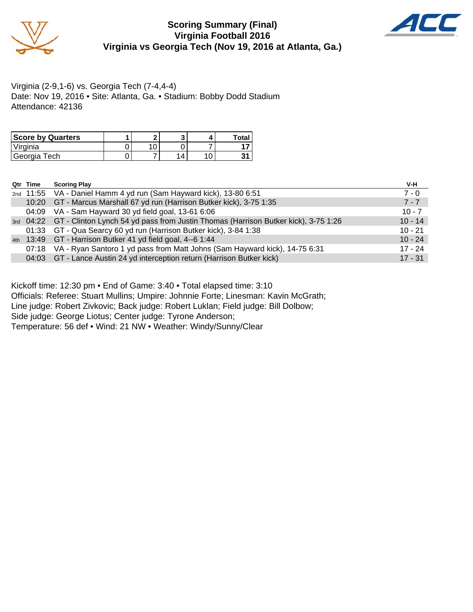

#### **Scoring Summary (Final) Virginia Football 2016 Virginia vs Georgia Tech (Nov 19, 2016 at Atlanta, Ga.)**



Virginia (2-9,1-6) vs. Georgia Tech (7-4,4-4) Date: Nov 19, 2016 • Site: Atlanta, Ga. • Stadium: Bobby Dodd Stadium Attendance: 42136

| <b>Score by Quarters</b> |  |  | Total |
|--------------------------|--|--|-------|
| 'Virginia                |  |  |       |
| Georgia Tech             |  |  | ັ     |

| Qtr Time | <b>Scoring Play</b>                                                                          | V-H       |
|----------|----------------------------------------------------------------------------------------------|-----------|
|          | 2nd 11:55 VA - Daniel Hamm 4 yd run (Sam Hayward kick), 13-80 6:51                           | $7 - 0$   |
|          | 10:20 GT - Marcus Marshall 67 yd run (Harrison Butker kick), 3-75 1:35                       | $7 - 7$   |
|          | 04:09 VA - Sam Hayward 30 yd field goal, 13-61 6:06                                          | $10 - 7$  |
|          | 3rd 04:22 GT - Clinton Lynch 54 yd pass from Justin Thomas (Harrison Butker kick), 3-75 1:26 | $10 - 14$ |
|          | 01:33 GT - Qua Searcy 60 yd run (Harrison Butker kick), 3-84 1:38                            | $10 - 21$ |
|          | 4th 13:49 GT - Harrison Butker 41 yd field goal, 4--6 1:44                                   | $10 - 24$ |
|          | 07:18 VA - Ryan Santoro 1 yd pass from Matt Johns (Sam Hayward kick), 14-75 6:31             | $17 - 24$ |
|          | 04:03 GT - Lance Austin 24 yd interception return (Harrison Butker kick)                     | $17 - 31$ |

Kickoff time: 12:30 pm • End of Game: 3:40 • Total elapsed time: 3:10

Officials: Referee: Stuart Mullins; Umpire: Johnnie Forte; Linesman: Kavin McGrath;

Line judge: Robert Zivkovic; Back judge: Robert Luklan; Field judge: Bill Dolbow;

Side judge: George Liotus; Center judge: Tyrone Anderson;

Temperature: 56 def • Wind: 21 NW • Weather: Windy/Sunny/Clear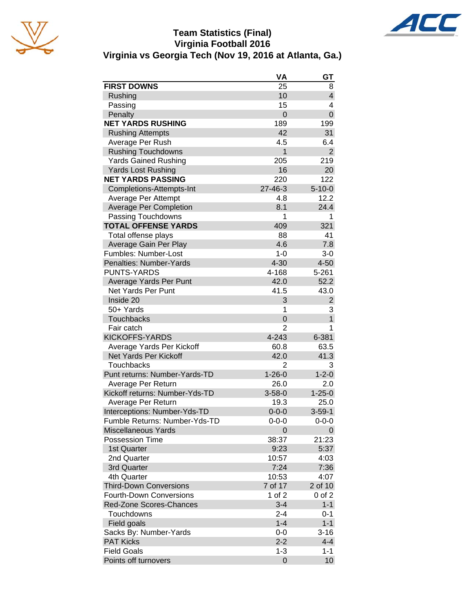

## **Team Statistics (Final) Virginia Football 2016 Virginia vs Georgia Tech (Nov 19, 2016 at Atlanta, Ga.)**



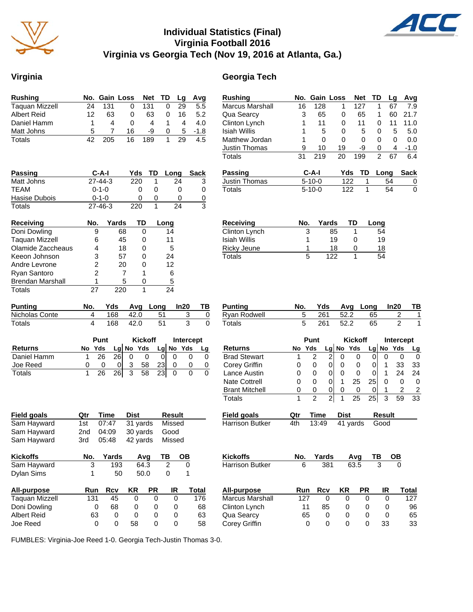

## **Individual Statistics (Final) Virginia Football 2016 Virginia vs Georgia Tech (Nov 19, 2016 at Atlanta, Ga.)**

#### **Virginia Georgia Tech**

| Rushing                            | No.                     | <b>Gain Loss</b> |             |                | <b>Net</b> | TD                      | Lg              | Avg                 |
|------------------------------------|-------------------------|------------------|-------------|----------------|------------|-------------------------|-----------------|---------------------|
| <b>Taquan Mizzell</b>              | $\overline{24}$         | 131              | 0           |                | 131        | 0                       | $\overline{29}$ | $5.5\,$             |
| <b>Albert Reid</b>                 | 12                      | 63               | 0           |                | 63         | 0                       | 16              | 5.2                 |
| Daniel Hamm                        | 1                       | 4                | 0           |                | 4          | 1                       | 4               | 4.0                 |
| Matt Johns                         | 5                       | 7                | 16          |                | -9         | 0                       | 5               | $-1.8$              |
| <b>Totals</b>                      | 42                      | 205              | 16          |                | 189        | 1                       | 29              | 4.5                 |
|                                    |                         |                  |             |                |            |                         |                 |                     |
|                                    |                         |                  |             |                |            |                         |                 |                     |
| Passing                            |                         | C-A-I            |             | Yds            | TD         | Long                    |                 | <b>Sack</b>         |
| Matt Johns                         |                         | 27-44-3          |             | 220            | 1          |                         | 24              | 3                   |
| TEAM                               |                         | $0 - 1 - 0$      |             | 0              | 0          |                         | 0               | 0                   |
| Hasise Dubois                      |                         | $0 - 1 - 0$      |             | 0              | 0          |                         | 0               | $\overline{0}$      |
| <b>Totals</b>                      |                         | 27-46-3          |             | 220            | 1          |                         | 24              | 3                   |
| <b>Receiving</b>                   | No.                     |                  | Yards       | TD             |            | Long                    |                 |                     |
| Doni Dowling                       | 9                       |                  | 68          | 0              |            | 14                      |                 |                     |
| <b>Taquan Mizzell</b>              | 6                       |                  | 45          | 0              |            | 11                      |                 |                     |
| Olamide Zaccheaus                  | 4                       |                  | 18          | 0              |            | 5                       |                 |                     |
| Keeon Johnson                      | 3                       |                  | 57          | 0              |            | 24                      |                 |                     |
| Andre Levrone                      | $\overline{c}$          |                  | 20          | 0              |            | 12                      |                 |                     |
| Ryan Santoro                       | $\overline{2}$          |                  | 7           | 1              |            | 6                       |                 |                     |
| <b>Brendan Marshall</b>            | 1                       |                  | 5           | 0              |            | 5                       |                 |                     |
| <b>Totals</b>                      | 27                      |                  | 220         | 1              |            | 24                      |                 |                     |
|                                    |                         |                  |             |                |            |                         |                 |                     |
| <b>Punting</b>                     | No.                     | Yds              |             | Avg            | Long       |                         | In20            | TВ                  |
| Nicholas Conte                     | 4                       | 168              |             | 42.0           | 51         |                         | 3               | $\overline{0}$      |
| <b>Totals</b>                      | $\overline{\mathbf{A}}$ | 168              |             | 42.0           | 51         |                         | 3               | 0                   |
|                                    |                         | Punt             |             | <b>Kickoff</b> |            |                         | Intercept       |                     |
| <b>Returns</b>                     | No                      | Yds              | $Lg$ No Yds |                |            |                         | Lg No Yds       | Lg                  |
| Daniel Hamm                        | 1                       | 26               | 26<br>0     | 0              | 0          | 0                       |                 | 0<br>0              |
| Joe Reed                           | 0                       | 0                | 3<br>0      | 58             | 23         | 0                       |                 | 0<br>$\overline{0}$ |
| Totals                             | 1                       | 26               | 3           | 58             |            | 0                       |                 | 0<br>0              |
|                                    |                         |                  | 26          |                | 23         |                         |                 |                     |
|                                    |                         |                  |             |                |            |                         |                 |                     |
|                                    |                         |                  |             |                |            |                         |                 |                     |
| <b>Field goals</b>                 | Qtr                     | Time             | Dist        |                |            | Result                  |                 |                     |
| Sam Hayward                        | 1st                     | 07:47            |             | 31 yards       |            | Missed                  |                 |                     |
| Sam Hayward                        | 2nd                     | 04:09            |             | 30 yards       |            | Good                    |                 |                     |
| Sam Hayward                        | 3rd                     | 05:48            |             | 42 yards       |            | Missed                  |                 |                     |
| <b>Kickoffs</b>                    | No.                     | Yards            |             | Avg            |            | ΤВ                      | OВ              |                     |
| Sam Hayward                        | 3                       |                  | 193         | 64.3           |            | $\overline{\mathbf{c}}$ | 0               |                     |
| Dylan Sims                         | 1                       |                  | 50          | 50.0           |            | 0                       | 1               |                     |
|                                    |                         |                  |             |                |            |                         |                 |                     |
| <b>All-purpose</b>                 | Run                     | Rcv              | KR          |                | PR         | IR                      |                 | Total               |
| <b>Taquan Mizzell</b>              | 131                     | 45               |             | 0              | 0          |                         | 0               | 176                 |
| Doni Dowling<br><b>Albert Reid</b> | 0                       | 68               |             | 0              | 0          |                         | 0               | 68                  |
|                                    | 63                      |                  | 0           | 0              | 0          |                         | 0               | 63                  |

| Rushing                | No. | Gain         | Loss | <b>Net</b> | TD | Lg   | Avg    |
|------------------------|-----|--------------|------|------------|----|------|--------|
| <b>Marcus Marshall</b> | 16  | 128          | 1    | 127        | 1  | 67   | 7.9    |
| Qua Searcy             | 3   | 65           | 0    | 65         | 1  | 60   | 21.7   |
| Clinton Lynch          | 1   | 11           | 0    | 11         | 0  | 11   | 11.0   |
| Isiah Willis           |     | 5            | 0    | 5          | 0  | 5    | 5.0    |
| Matthew Jordan         | 1   | 0            | 0    | 0          | 0  | 0    | 0.0    |
| <b>Justin Thomas</b>   | 9   | 10           | 19   | -9         | 0  | 4    | $-1.0$ |
| Totals                 | 31  | 219          | 20   | 199        | 2  | 67   | 6.4    |
| Passing                |     | C-A-I        |      | Yds<br>TD  |    | Long | Sack   |
| <b>Justin Thomas</b>   |     | $5 - 10 - 0$ |      | 122        |    | 54   | 0      |
| Totals                 |     | $5 - 10 - 0$ | 122  | 1          |    | 54   | 0      |
|                        |     |              |      |            |    |      |        |
|                        |     |              |      |            |    |      |        |

 $\boldsymbol{\mathcal{A}}$ 

| Receiving     | No. | Yards | TD           | Long |
|---------------|-----|-------|--------------|------|
| Clinton Lynch | 3   | 85    |              | 54   |
| Isiah Willis  |     | 19    | $\mathbf{O}$ | 19   |
| Ricky Jeune   | 1   | 18    | $\mathbf{O}$ | 18   |
| Totals        | 5   | 122   |              | 54   |

| Punting      | No. |       |      | Yds Avg Long In20 TB |  |
|--------------|-----|-------|------|----------------------|--|
| Ryan Rodwell |     |       |      | 261 52.2 65          |  |
| Totals       |     | - 261 | 52.2 | -65                  |  |

|                       |     | Punt           |       | <b>Kickoff</b> |          | <b>Intercept</b> |               |        |           |
|-----------------------|-----|----------------|-------|----------------|----------|------------------|---------------|--------|-----------|
| <b>Returns</b>        | No  | <b>Yds</b>     | Lg    |                | No Yds   | Lg               |               | No Yds | <u>Lg</u> |
| <b>Brad Stewart</b>   | 1   | 2              | 2     | 0              | 0        | 0                | 0             | 0      | 0         |
| Corey Griffin         | 0   | 0              | 0     | 0              | 0        | 0                | 1             | 33     | 33        |
| Lance Austin          | 0   | 0              | 0     | 0              | 0        | 0                | 1             | 24     | 24        |
| <b>Nate Cottrell</b>  | 0   | 0              | 0     | 1              | 25       | 25               | O             | O      | 0         |
| <b>Brant Mitchell</b> | 0   | 0              | 0     | 0              | 0        |                  | 1             | 2      | 2         |
| Totals                | 1   | $\overline{2}$ | 2     | 1              | 25       | 25               | 3             | 59     | 33        |
| Field goals           | Qtr | Time           |       | <b>Dist</b>    |          |                  | <b>Result</b> |        |           |
| Harrison Butker       | 4th | 13:49          |       |                | 41 yards |                  | Good          |        |           |
|                       |     |                |       |                |          |                  |               |        |           |
| Kickoffs              | No. |                | Yards |                | Avg      | TВ               |               | OВ     |           |
| Harrison Butker       |     | 6              | 381   |                | 63.5     |                  | 3             | 0      |           |
|                       |     |                |       |                |          |                  |               |        |           |
|                       |     |                |       |                |          |                  |               |        |           |

| All-purpose            | Run | Rcv | ΚR | <b>PR</b> | IR | Total |
|------------------------|-----|-----|----|-----------|----|-------|
| <b>Marcus Marshall</b> | 127 |     |    |           |    | 127   |
| Clinton Lynch          | 11  | 85  |    |           |    | 96    |
| Qua Searcy             | 65  |     | 0  |           |    | 65    |
| Corey Griffin          |     |     |    |           | 33 | 33    |

FUMBLES: Virginia-Joe Reed 1-0. Georgia Tech-Justin Thomas 3-0.

Albert Reid <br>  $\begin{array}{ccccccc}\n\text{Abert Reid} & & & 63 & 0 & 0 & 0 & 0 & 63 \\
\text{Ioe Reed} & & & 0 & 0 & 58 & 0 & 0 & 58\n\end{array}$ 

Joe Reed 0 0 58 0 0 58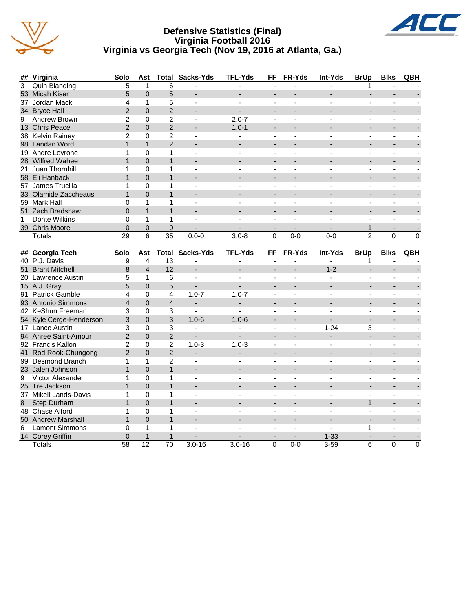





|   | 37 Jordan Mack       | 4              |          | 5              |                          |                |          |        |         |                |             |          |
|---|----------------------|----------------|----------|----------------|--------------------------|----------------|----------|--------|---------|----------------|-------------|----------|
|   | 34 Bryce Hall        |                | $\Omega$ | $\overline{c}$ |                          |                |          |        |         |                |             |          |
| 9 | Andrew Brown         | $\overline{c}$ | 0        | $\overline{2}$ |                          | $2.0 - 7$      |          |        |         |                |             |          |
|   | 13 Chris Peace       | $\overline{2}$ | 0        | $\overline{c}$ |                          | $1.0 - 1$      |          |        |         |                |             |          |
|   | 38 Kelvin Rainey     | 2              | 0        | 2              |                          |                |          |        |         |                |             |          |
|   | 98 Landan Word       |                |          | 2              |                          |                |          |        |         |                |             |          |
|   | 19 Andre Levrone     |                | 0        |                |                          |                |          |        |         |                |             |          |
|   | 28 Wilfred Wahee     |                | $\Omega$ |                |                          |                | ۰        |        |         | ٠              |             |          |
|   | 21 Juan Thornhill    |                | 0        |                |                          |                |          |        |         |                |             |          |
|   | 58 Eli Hanback       |                | 0        |                |                          |                |          |        |         |                |             |          |
|   | 57 James Trucilla    |                | 0        |                |                          |                |          |        |         |                |             |          |
|   | 33 Olamide Zaccheaus |                | 0        |                |                          |                |          |        |         |                |             |          |
|   | 59 Mark Hall         |                |          |                |                          |                |          |        |         |                |             |          |
|   | 51 Zach Bradshaw     | 0              |          |                |                          |                |          |        |         |                |             |          |
| 1 | Donte Wilkins        |                |          |                |                          |                |          |        |         |                |             |          |
|   | 39 Chris Moore       | 0              | 0        | 0              |                          |                |          |        |         |                |             |          |
|   | <b>Totals</b>        | 29             | 6        | 35             | $0.0 - 0$                | $3.0 - 8$      | $\Omega$ | $0-0$  | $0-0$   | $\overline{2}$ | 0           | $\Omega$ |
|   | ## Georgia Tech      | Solo           | Ast      |                | <b>Total Sacks-Yds</b>   | <b>TFL-Yds</b> | FF       | FR-Yds | Int-Yds | <b>BrUp</b>    | <b>Blks</b> | QBH      |
|   | 40 P.J. Davis        | 9              | 4        | 13             |                          |                |          |        |         |                |             |          |
|   | 51 Brant Mitchell    | 8              | 4        | 12             | $\overline{\phantom{a}}$ |                |          |        | $1 - 2$ |                |             |          |
|   | 20 Lawrence Austin   | 5              |          | 6              |                          |                |          |        |         |                |             |          |
|   | 15 A.J. Gray         | 5              | $\Omega$ | 5              |                          |                |          |        |         |                |             |          |
|   | 91 Patrick Gamble    | 4              | 0        | 4              | $1.0 - 7$                | $1.0 - 7$      |          |        |         |                |             |          |
|   | 93 Antonio Simmons   | 4              | $\Omega$ | 4              |                          |                |          |        |         |                |             |          |
|   | 42 KeShun Freeman    | 3              | 0        | 3              |                          |                |          |        |         |                |             |          |

|    | 93 Antonio Simmons      | 4             | 0        | 4             |            |            |   |     |          |   |  |
|----|-------------------------|---------------|----------|---------------|------------|------------|---|-----|----------|---|--|
|    | 42 KeShun Freeman       | 3             | 0        | 3             |            |            |   |     |          |   |  |
|    | 54 Kyle Cerge-Henderson | 3             | $\Omega$ | 3             | $1.0 - 6$  | $1.0 - 6$  |   |     |          |   |  |
|    | 17 Lance Austin         |               | 0        |               |            |            |   |     | $1 - 24$ | 3 |  |
|    | 94 Anree Saint-Amour    | 2             | $\Omega$ | 2             |            |            |   |     |          |   |  |
|    | 92 Francis Kallon       |               | 0        | 2             | $1.0 - 3$  | $1.0 - 3$  |   |     |          |   |  |
|    | 41 Rod Rook-Chungong    | $\mathcal{P}$ | 0        | $\mathcal{P}$ |            |            |   |     |          |   |  |
|    | 99 Desmond Branch       |               |          | 2             |            |            |   |     |          |   |  |
|    | 23 Jalen Johnson        |               |          |               |            |            |   |     |          |   |  |
|    | 9 Victor Alexander      |               |          |               |            |            |   |     |          |   |  |
|    | 25 Tre Jackson          |               | 0        |               |            |            |   |     |          |   |  |
|    | 37 Mikell Lands-Davis   |               | 0        |               |            |            |   |     |          |   |  |
|    | 8 Step Durham           |               | $\Omega$ |               |            |            |   |     |          |   |  |
|    | 48 Chase Alford         |               | O        |               |            |            |   |     |          |   |  |
|    | 50 Andrew Marshall      |               | 0        |               |            |            |   |     |          |   |  |
| 6. | <b>Lamont Simmons</b>   |               |          |               |            |            |   |     |          |   |  |
|    | 14 Corey Griffin        |               |          |               |            |            |   |     | $1 - 33$ |   |  |
|    | Totals                  | 58            | 12       | 70            | $3.0 - 16$ | $3.0 - 16$ | 0 | 0-0 | $3 - 59$ | 6 |  |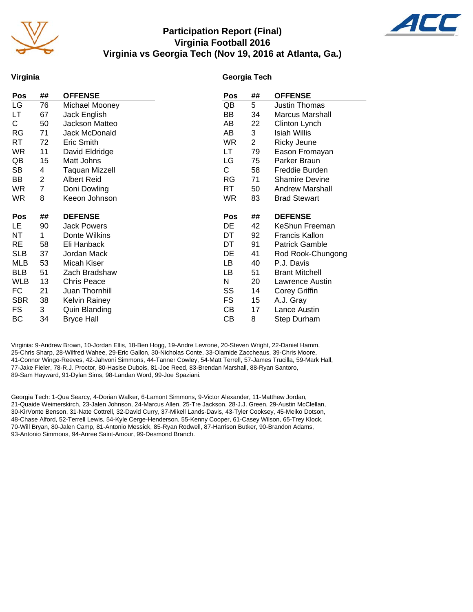

## **Participation Report (Final) Virginia Football 2016 Virginia vs Georgia Tech (Nov 19, 2016 at Atlanta, Ga.)**



#### **Virginia**

#### **Georgia Tech**

| Pos        | ##             | <b>OFFENSE</b>        | Pos | ##             | <b>OFFENSE</b>         |
|------------|----------------|-----------------------|-----|----------------|------------------------|
| LG         | 76             | Michael Mooney        | QB  | 5              | Justin Thomas          |
| LТ         | 67             | Jack English          | BB  | 34             | <b>Marcus Marshall</b> |
| С          | 50             | Jackson Matteo        | AВ  | 22             | Clinton Lynch          |
| RG         | 71             | Jack McDonald         | AB  | 3              | Isiah Willis           |
| RT         | 72             | Eric Smith            | WR  | $\overline{2}$ | Ricky Jeune            |
| <b>WR</b>  | 11             | David Eldridge        | LT. | 79             | Eason Fromayan         |
| QB         | 15             | Matt Johns            | LG  | 75             | Parker Braun           |
| SB         | 4              | <b>Taquan Mizzell</b> | С   | 58             | Freddie Burden         |
| BB         | $\overline{2}$ | <b>Albert Reid</b>    | RG  | 71             | <b>Shamire Devine</b>  |
| <b>WR</b>  | 7              | Doni Dowling          | RT  | 50             | <b>Andrew Marshall</b> |
| WR.        | 8              | Keeon Johnson         | WR  | 83             | <b>Brad Stewart</b>    |
|            |                |                       |     |                |                        |
|            |                |                       |     |                |                        |
| <u>Pos</u> | ##             | <b>DEFENSE</b>        | Pos | ##             | <b>DEFENSE</b>         |
| LE.        | 90             | <b>Jack Powers</b>    | DE  | 42             | KeShun Freeman         |
| ΝT         | 1              | Donte Wilkins         | DT  | 92             | Francis Kallon         |
| <b>RE</b>  | 58             | Eli Hanback           | DT  | 91             | <b>Patrick Gamble</b>  |
| <b>SLB</b> | 37             | Jordan Mack           | DE  | 41             | Rod Rook-Chungong      |
| <b>MLB</b> | 53             | Micah Kiser           | LВ  | 40             | P.J. Davis             |
| <b>BLB</b> | 51             | Zach Bradshaw         | LВ  | 51             | <b>Brant Mitchell</b>  |
| <b>WLB</b> | 13             | <b>Chris Peace</b>    | N   | 20             | Lawrence Austin        |
| FC         | 21             | Juan Thornhill        | SS  | 14             | Corey Griffin          |
| <b>SBR</b> | 38             | <b>Kelvin Rainey</b>  | FS. | 15             | A.J. Gray              |
| <b>FS</b>  | 3              | Quin Blanding         | CВ  | 17             | Lance Austin           |
| ВC         | 34             | <b>Bryce Hall</b>     | СB  | 8              | Step Durham            |

Virginia: 9-Andrew Brown, 10-Jordan Ellis, 18-Ben Hogg, 19-Andre Levrone, 20-Steven Wright, 22-Daniel Hamm, 25-Chris Sharp, 28-Wilfred Wahee, 29-Eric Gallon, 30-Nicholas Conte, 33-Olamide Zaccheaus, 39-Chris Moore, 41-Connor Wingo-Reeves, 42-Jahvoni Simmons, 44-Tanner Cowley, 54-Matt Terrell, 57-James Trucilla, 59-Mark Hall, 77-Jake Fieler, 78-R.J. Proctor, 80-Hasise Dubois, 81-Joe Reed, 83-Brendan Marshall, 88-Ryan Santoro, 89-Sam Hayward, 91-Dylan Sims, 98-Landan Word, 99-Joe Spaziani.

Georgia Tech: 1-Qua Searcy, 4-Dorian Walker, 6-Lamont Simmons, 9-Victor Alexander, 11-Matthew Jordan, 21-Quaide Weimerskirch, 23-Jalen Johnson, 24-Marcus Allen, 25-Tre Jackson, 28-J.J. Green, 29-Austin McClellan, 30-KirVonte Benson, 31-Nate Cottrell, 32-David Curry, 37-Mikell Lands-Davis, 43-Tyler Cooksey, 45-Meiko Dotson, 48-Chase Alford, 52-Terrell Lewis, 54-Kyle Cerge-Henderson, 55-Kenny Cooper, 61-Casey Wilson, 65-Trey Klock, 70-Will Bryan, 80-Jalen Camp, 81-Antonio Messick, 85-Ryan Rodwell, 87-Harrison Butker, 90-Brandon Adams, 93-Antonio Simmons, 94-Anree Saint-Amour, 99-Desmond Branch.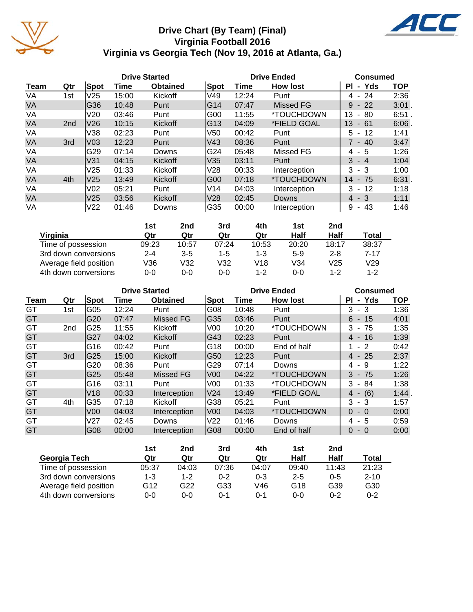

## **Drive Chart (By Team) (Final) Virginia Football 2016 Virginia vs Georgia Tech (Nov 19, 2016 at Atlanta, Ga.)**

ACC

|           |                 |                 |       | <b>Drive Started</b> |                 |       | <b>Drive Ended</b>       | <b>Consumed</b>            |            |  |
|-----------|-----------------|-----------------|-------|----------------------|-----------------|-------|--------------------------|----------------------------|------------|--|
| Team      | Qtr             | <b>Spot</b>     | Time  | <b>Obtained</b>      | <b>Spot</b>     | Time  | <b>How lost</b>          | <b>PI</b><br>- Yds         | <b>TOP</b> |  |
| VA        | 1st             | V25             | 15:00 | Kickoff              | V49             | 12:24 | Punt                     | $4 - 24$                   | 2:36       |  |
| <b>VA</b> |                 | G36             | 10:48 | Punt                 | IG14            | 07:47 | Missed FG                | $-22$<br>9                 | $3:01$ .   |  |
| VA        |                 | V20             | 03:46 | Punt                 | G <sub>00</sub> | 11:55 | <i><b>*TOUCHDOWN</b></i> | 13<br>80<br>$\blacksquare$ | $6:51$ .   |  |
| <b>VA</b> | 2 <sub>nd</sub> | V <sub>26</sub> | 10:15 | Kickoff              | IG13            | 04:09 | *FIELD GOAL              | 13<br>$-61$                | 6:06       |  |
| VA        |                 | V38             | 02:23 | Punt                 | V <sub>50</sub> | 00:42 | Punt                     | -12<br>5 -                 | 1:41       |  |
| <b>VA</b> | 3rd             | V <sub>03</sub> | 12:23 | Punt                 | V43             | 08:36 | Punt                     | $7 - 40$                   | 3:47       |  |
| VA        |                 | G29             | 07:14 | Downs                | G24             | 05:48 | Missed FG                | $4 - 5$                    | 1:26       |  |
| <b>VA</b> |                 | V31             | 04:15 | Kickoff              | V35             | 03:11 | Punt                     | $3 - 4$                    | 1:04       |  |
| VA        |                 | V <sub>25</sub> | 01:33 | Kickoff              | V28             | 00:33 | Interception             | $3 - 3$                    | 1:00       |  |
| <b>VA</b> | 4th             | V25             | 13:49 | Kickoff              | IG00            | 07:18 | <i><b>*TOUCHDOWN</b></i> | 14<br>$-75$                | 6:31.      |  |
| VA        |                 | V <sub>02</sub> | 05:21 | Punt                 | IV14            | 04:03 | Interception             | $3 - 12$                   | 1:18       |  |
| <b>VA</b> |                 | V <sub>25</sub> | 03:56 | Kickoff              | V28             | 02:45 | Downs                    | $4 - 3$                    | 1:11       |  |
| VA        |                 | V <sub>22</sub> | 01:46 | Downs                | G35             | 00:00 | Interception             | 43<br>9<br>$\sim$          | 1:46       |  |

|                        | 1st     | 2nd     | 3rd   | 4th     | 1st   | 2nd     |         |
|------------------------|---------|---------|-------|---------|-------|---------|---------|
| Virginia               | Qtr     | Qtr     | Qtr   | Qtr     | Half  | Half    | Total   |
| Time of possession     | 09:23   | 10:57   | 07:24 | 10:53   | 20:20 | 18:17   | 38:37   |
| 3rd down conversions   | $2 - 4$ | $3 - 5$ | 1-5   | 1-3     | $5-9$ | $2 - 8$ | 7-17    |
| Average field position | V36     | V32     | V32   | V18     | V34   | V25     | V29     |
| 4th down conversions   | 0-0     | 0-0     | 0-0   | $1 - 2$ | 0-0   | $1 - 2$ | $1 - 2$ |

|             |                 |                 | <b>Drive Started</b> |                  |                 |       | <b>Drive Ended</b>       | <b>Consumed</b> |            |  |
|-------------|-----------------|-----------------|----------------------|------------------|-----------------|-------|--------------------------|-----------------|------------|--|
| <b>Team</b> | Qtr             | <b>Spot</b>     | Time                 | <b>Obtained</b>  | Spot            | Time  | <b>How lost</b>          | - Yds<br>ΡI     | <b>TOP</b> |  |
| GT          | 1st             | G05             | 12:24                | Punt             | G08             | 10:48 | Punt                     | 3<br>- 3        | 1:36       |  |
| GT          |                 | G <sub>20</sub> | 07:47                | Missed FG        | G35             | 03:46 | Punt                     | $6 - 15$        | 4:01       |  |
| GT          | 2 <sub>nd</sub> | G25             | 11:55                | Kickoff          | V <sub>00</sub> | 10:20 | *TOUCHDOWN               | $3 - 75$        | 1:35       |  |
| GT          |                 | G27             | 04:02                | Kickoff          | G43             | 02:23 | Punt                     | $4 - 16$        | 1:39       |  |
| GT          |                 | G16             | 00:42                | Punt             | G18             | 00:00 | End of half              | $1 - 2$         | 0:42       |  |
| GT          | 3rd             | G25             | 15:00                | Kickoff          | G50             | 12:23 | Punt                     | $4 - 25$        | 2:37       |  |
| GT          |                 | G20             | 08:36                | Punt             | G29             | 07:14 | Downs                    | 4 - 9           | 1:22       |  |
| GT          |                 | G25             | 05:48                | <b>Missed FG</b> | IV00            | 04:22 | <i><b>*TOUCHDOWN</b></i> | $3 - 75$        | 1:26       |  |
| GT          |                 | G16             | 03:11                | Punt             | V <sub>00</sub> | 01:33 | <i><b>*TOUCHDOWN</b></i> | - 84<br>3       | 1:38       |  |
| GT          |                 | V18             | 00:33                | Interception     | V24             | 13:49 | *FIELD GOAL              | $4 - (6)$       | 1:44       |  |
| GT          | 4th             | G35             | 07:18                | Kickoff          | G38             | 05:21 | Punt                     | $3 - 3$         | 1:57       |  |
| GT          |                 | V <sub>00</sub> | 04:03                | Interception     | V <sub>00</sub> | 04:03 | *TOUCHDOWN               | $0 - 0$         | 0:00       |  |
| GT          |                 | V <sub>27</sub> | 02:45                | Downs            | V22             | 01:46 | Downs                    | $4 - 5$         | 0:59       |  |
| GT          |                 | G08             | 00:00                | Interception     | G08             | 00:00 | End of half              | $\Omega$<br>- 0 | 0:00       |  |

|                        | 1st   | 2nd     | 3rd     | 4th     | 1st     | 2nd     |          |
|------------------------|-------|---------|---------|---------|---------|---------|----------|
| Georgia Tech           | Qtr   | Qtr     | Qtr     | Qtr     | Half    | Half    | Total    |
| Time of possession     | 05:37 | 04:03   | 07:36   | 04:07   | 09:40   | 11:43   | 21:23    |
| 3rd down conversions   | 1-3   | $1 - 2$ | $0 - 2$ | $0 - 3$ | $2 - 5$ | $0 - 5$ | $2 - 10$ |
| Average field position | G12   | G22     | G33     | V46     | G18     | G39     | G30      |
| 4th down conversions   | 0-0   | 0-0     | $0 - 1$ | $0 - 1$ | 0-0     | $0 - 2$ | $0 - 2$  |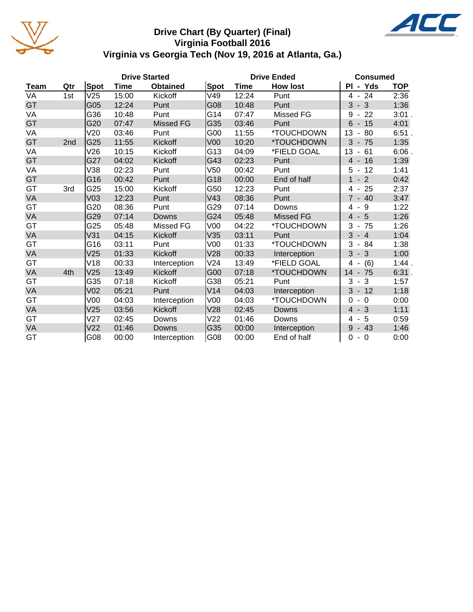

## **Drive Chart (By Quarter) (Final) Virginia Football 2016 Virginia vs Georgia Tech (Nov 19, 2016 at Atlanta, Ga.)**

|             |     |                 |       | <b>Drive Started</b> |                 | <b>Drive Ended</b> | <b>Consumed</b>          |                                      |            |
|-------------|-----|-----------------|-------|----------------------|-----------------|--------------------|--------------------------|--------------------------------------|------------|
| <b>Team</b> | Qtr | Spot            | Time  | <b>Obtained</b>      | Spot            | <b>Time</b>        | <b>How lost</b>          | PI - Yds                             | <b>TOP</b> |
| VA          | 1st | V25             | 15:00 | Kickoff              | V49             | 12:24              | Punt                     | $4 - 24$                             | 2:36       |
| GT          |     | G05             | 12:24 | Punt                 | G08             | 10:48              | Punt                     | $-3$<br>3                            | 1:36       |
| VA          |     | G36             | 10:48 | Punt                 | G14             | 07:47              | Missed FG                | 22<br>9<br>$\blacksquare$            | $3:01$ .   |
| GT          |     | G20             | 07:47 | <b>Missed FG</b>     | G35             | 03:46              | Punt                     | $6 - 15$                             | 4:01       |
| VA          |     | V20             | 03:46 | Punt                 | G00             | 11:55              | <i><b>*TOUCHDOWN</b></i> | 13<br>80<br>$\blacksquare$           | 6:51.      |
| GT          | 2nd | G25             | 11:55 | Kickoff              | V <sub>00</sub> | 10:20              | *TOUCHDOWN               | 3<br>$-75$                           | 1:35       |
| VA          |     | V26             | 10:15 | Kickoff              | G13             | 04:09              | *FIELD GOAL              | 13<br>61<br>$\overline{\phantom{a}}$ | $6:06$ .   |
| GT          |     | G27             | 04:02 | Kickoff              | G43             | 02:23              | Punt                     | $-16$<br>$\overline{4}$              | 1:39       |
| VA          |     | V38             | 02:23 | Punt                 | V50             | 00:42              | Punt                     | $-12$<br>5                           | 1:41       |
| GT          |     | G16             | 00:42 | Punt                 | G18             | 00:00              | End of half              | $-2$<br>$\mathbf{1}$                 | 0:42       |
| GT          | 3rd | G25             | 15:00 | Kickoff              | G50             | 12:23              | Punt                     | 25<br>4<br>$\blacksquare$            | 2:37       |
| VA          |     | V <sub>03</sub> | 12:23 | Punt                 | V43             | 08:36              | Punt                     | $\overline{7}$<br>$-40$              | 3:47       |
| GT          |     | G20             | 08:36 | Punt                 | G29             | 07:14              | Downs                    | 9<br>4                               | 1:22       |
| VA          |     | G29             | 07:14 | Downs                | G24             | 05:48              | <b>Missed FG</b>         | $-5$<br>$\overline{4}$               | 1:26       |
| GT          |     | G25             | 05:48 | Missed FG            | V <sub>00</sub> | 04:22              | *TOUCHDOWN               | 3<br>75<br>$\blacksquare$            | 1:26       |
| VA          |     | V31             | 04:15 | Kickoff              | V35             | 03:11              | Punt                     | 3<br>$-4$                            | 1:04       |
| GT          |     | G16             | 03:11 | Punt                 | V <sub>00</sub> | 01:33              | *TOUCHDOWN               | 3<br>$-84$                           | 1:38       |
| VA          |     | V25             | 01:33 | Kickoff              | V28             | 00:33              | Interception             | 3<br>$-3$                            | 1:00       |
| GT          |     | V18             | 00:33 | Interception         | V24             | 13:49              | *FIELD GOAL              | (6)<br>4                             | 1:44.      |
| VA          | 4th | V <sub>25</sub> | 13:49 | Kickoff              | G00             | 07:18              | *TOUCHDOWN               | 14<br>75<br>$\overline{\phantom{a}}$ | 6:31.      |
| GT          |     | G35             | 07:18 | Kickoff              | G38             | 05:21              | Punt                     | 3<br>3<br>$\blacksquare$             | 1:57       |
| VA          |     | V <sub>02</sub> | 05:21 | Punt                 | V14             | 04:03              | Interception             | 3<br>$-12$                           | 1:18       |
| GT          |     | V00             | 04:03 | Interception         | V00             | 04:03              | *TOUCHDOWN               | $\Omega$<br>$-0$                     | 0:00       |
| VA          |     | V25             | 03:56 | Kickoff              | V28             | 02:45              | <b>Downs</b>             | $4 - 3$                              | 1:11       |
| GT          |     | V27             | 02:45 | Downs                | V <sub>22</sub> | 01:46              | Downs                    | 5<br>4<br>$\blacksquare$             | 0:59       |
| VA          |     | V <sub>22</sub> | 01:46 | Downs                | G35             | 00:00              | Interception             | $-43$<br>9                           | 1:46       |
| GT          |     | G08             | 00:00 | Interception         | G08             | 00:00              | End of half              | 0<br>$-0$                            | 0:00       |

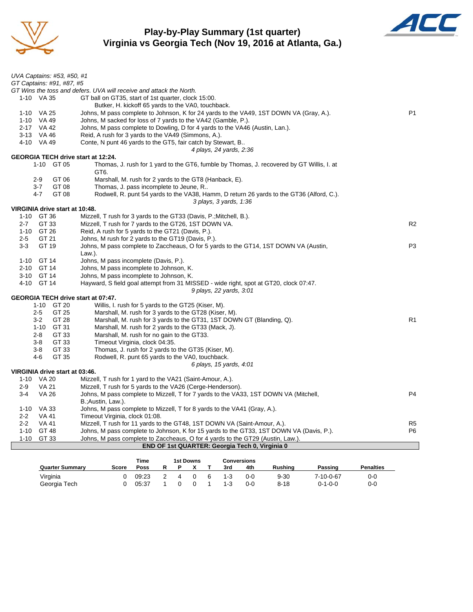

## **Play-by-Play Summary (1st quarter) Virginia vs Georgia Tech (Nov 19, 2016 at Atlanta, Ga.)**



|          | UVA Captains: #53, #50, #1<br>GT Captains: #91, #87, #5 |                                                                                                                    |                |
|----------|---------------------------------------------------------|--------------------------------------------------------------------------------------------------------------------|----------------|
|          |                                                         | GT Wins the toss and defers. UVA will receive and attack the North.                                                |                |
|          | 1-10 VA 35                                              | GT ball on GT35, start of 1st quarter, clock 15:00.                                                                |                |
|          |                                                         | Butker, H. kickoff 65 yards to the VA0, touchback.                                                                 |                |
|          | 1-10 VA 25                                              | Johns, M pass complete to Johnson, K for 24 yards to the VA49, 1ST DOWN VA (Gray, A.).                             | P <sub>1</sub> |
|          | 1-10 VA 49                                              | Johns, M sacked for loss of 7 yards to the VA42 (Gamble, P.).                                                      |                |
|          | 2-17 VA 42                                              | Johns, M pass complete to Dowling, D for 4 yards to the VA46 (Austin, Lan.).                                       |                |
|          | 3-13 VA 46                                              | Reid, A rush for 3 yards to the VA49 (Simmons, A.).                                                                |                |
|          | 4-10 VA 49                                              | Conte, N punt 46 yards to the GT5, fair catch by Stewart, B                                                        |                |
|          |                                                         | 4 plays, 24 yards, 2:36                                                                                            |                |
|          | <b>GEORGIA TECH drive start at 12:24.</b>               |                                                                                                                    |                |
|          | 1-10 GT 05                                              | Thomas, J. rush for 1 yard to the GT6, fumble by Thomas, J. recovered by GT Willis, I. at<br>GT6.                  |                |
|          | GT 06<br>$2 - 9$                                        | Marshall, M. rush for 2 yards to the GT8 (Hanback, E).                                                             |                |
|          | $3 - 7$<br>GT 08                                        | Thomas, J. pass incomplete to Jeune, R                                                                             |                |
|          | 4-7<br>GT 08                                            | Rodwell, R. punt 54 yards to the VA38, Hamm, D return 26 yards to the GT36 (Alford, C.).<br>3 plays, 3 yards, 1:36 |                |
|          | VIRGINIA drive start at 10:48.                          |                                                                                                                    |                |
|          | 1-10 GT 36                                              | Mizzell, T rush for 3 yards to the GT33 (Davis, P.; Mitchell, B.).                                                 |                |
| $2 - 7$  | GT 33                                                   | Mizzell, T rush for 7 yards to the GT26, 1ST DOWN VA.                                                              | R <sub>2</sub> |
|          | 1-10 GT 26                                              | Reid, A rush for 5 yards to the GT21 (Davis, P.).                                                                  |                |
| $2 - 5$  | GT 21                                                   | Johns, M rush for 2 yards to the GT19 (Davis, P.).                                                                 |                |
| $3-3$    | GT 19                                                   | Johns, M pass complete to Zaccheaus, O for 5 yards to the GT14, 1ST DOWN VA (Austin,                               | P <sub>3</sub> |
|          |                                                         | Law.).                                                                                                             |                |
| $1 - 10$ | GT 14                                                   | Johns, M pass incomplete (Davis, P.).                                                                              |                |
|          | 2-10 GT 14                                              | Johns, M pass incomplete to Johnson, K.                                                                            |                |
|          | 3-10 GT 14                                              | Johns, M pass incomplete to Johnson, K.                                                                            |                |
|          | 4-10 GT 14                                              | Hayward, S field goal attempt from 31 MISSED - wide right, spot at GT20, clock 07:47.                              |                |
|          |                                                         | 9 plays, 22 yards, 3:01                                                                                            |                |
|          | GEORGIA TECH drive start at 07:47.                      |                                                                                                                    |                |
|          | 1-10 GT 20                                              | Willis, I. rush for 5 yards to the GT25 (Kiser, M).                                                                |                |
|          | $2 - 5$<br>GT 25                                        | Marshall, M. rush for 3 yards to the GT28 (Kiser, M).                                                              |                |
|          | GT 28<br>$3 - 2$                                        | Marshall, M. rush for 3 yards to the GT31, 1ST DOWN GT (Blanding, Q).                                              | R <sub>1</sub> |
|          | GT 31<br>1-10                                           | Marshall, M. rush for 2 yards to the GT33 (Mack, J).                                                               |                |
|          | $2 - 8$<br>GT 33                                        | Marshall, M. rush for no gain to the GT33.                                                                         |                |
|          | GT 33<br>$3-8$                                          | Timeout Virginia, clock 04:35.                                                                                     |                |
|          | 3-8<br>GT 33                                            | Thomas, J. rush for 2 yards to the GT35 (Kiser, M).                                                                |                |
|          | 4-6<br>GT 35                                            |                                                                                                                    |                |
|          |                                                         | Rodwell, R. punt 65 yards to the VA0, touchback.                                                                   |                |
|          | VIRGINIA drive start at 03:46.                          | 6 plays, 15 yards, 4:01                                                                                            |                |
|          | 1-10 VA 20                                              | Mizzell, T rush for 1 yard to the VA21 (Saint-Amour, A.).                                                          |                |
| $2-9$    | <b>VA 21</b>                                            | Mizzell, T rush for 5 yards to the VA26 (Cerge-Henderson).                                                         |                |
| $3 - 4$  | <b>VA 26</b>                                            | Johns, M pass complete to Mizzell, T for 7 yards to the VA33, 1ST DOWN VA (Mitchell,                               | P <sub>4</sub> |
|          |                                                         | B.; Austin, Law.).                                                                                                 |                |
|          | 1-10 VA 33                                              | Johns, M pass complete to Mizzell, T for 8 yards to the VA41 (Gray, A.).                                           |                |
| $2 - 2$  | VA 41                                                   | Timeout Virginia, clock 01:08.                                                                                     |                |
| $2 - 2$  | <b>VA 41</b>                                            | Mizzell, T rush for 11 yards to the GT48, 1ST DOWN VA (Saint-Amour, A.).                                           | R5             |
|          | 1-10 GT 48                                              | Johns, M pass complete to Johnson, K for 15 yards to the GT33, 1ST DOWN VA (Davis, P.).                            | P <sub>6</sub> |
| $1 - 10$ | GT 33                                                   | Johns, M pass complete to Zaccheaus, O for 4 yards to the GT29 (Austin, Law.).                                     |                |
|          |                                                         | <b>END OF 1st QUARTER: Georgia Tech 0, Virginia 0</b>                                                              |                |
|          |                                                         |                                                                                                                    |                |

| Time<br>1st Downs      |       |       |   |  |  |  |         | Conversions |          |                 |                  |
|------------------------|-------|-------|---|--|--|--|---------|-------------|----------|-----------------|------------------|
| <b>Quarter Summary</b> | Score | Poss  | R |  |  |  | 3rd     | 4th         | Rushina  | Passing         | <b>Penalties</b> |
| Virginia               |       | 09:23 |   |  |  |  | 1-3     | 0-0         | $9 - 30$ | 7-10-0-67       | 0-0              |
| Georgia Tech           |       | 05:37 |   |  |  |  | $1 - 3$ | 0-0         | $8 - 18$ | $0 - 1 - 0 - 0$ | $0 - 0$          |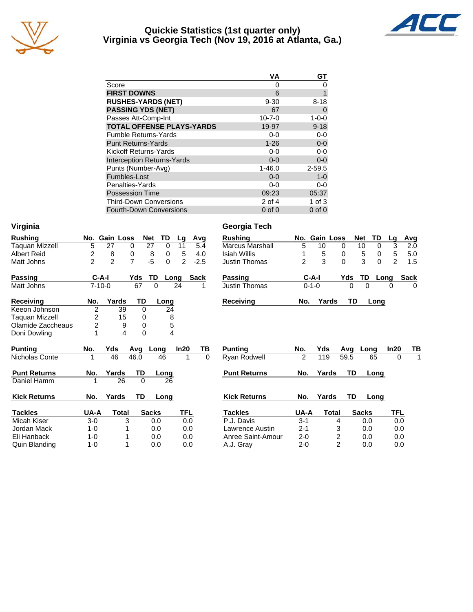

#### **Quickie Statistics (1st quarter only) Virginia vs Georgia Tech (Nov 19, 2016 at Atlanta, Ga.)**



|                                   | VA           | GТ          |
|-----------------------------------|--------------|-------------|
| Score                             | 0            | O           |
| <b>FIRST DOWNS</b>                | 6            | 1           |
| <b>RUSHES-YARDS (NET)</b>         | $9 - 30$     | $8 - 18$    |
| <b>PASSING YDS (NET)</b>          | 67           | 0           |
| Passes Att-Comp-Int               | $10 - 7 - 0$ | $1 - 0 - 0$ |
| <b>TOTAL OFFENSE PLAYS-YARDS</b>  | 19-97        | $9 - 18$    |
| <b>Fumble Returns-Yards</b>       | $0-0$        | $0-0$       |
| <b>Punt Returns-Yards</b>         | $1 - 26$     | $0-0$       |
| Kickoff Returns-Yards             | $0-0$        | $0 - 0$     |
| <b>Interception Returns-Yards</b> | $0 - 0$      | $0-0$       |
| Punts (Number-Avg)                | $1 - 46.0$   | $2 - 59.5$  |
| Fumbles-Lost                      | $0 - 0$      | $1 - 0$     |
| Penalties-Yards                   | $0-0$        | $0-0$       |
| <b>Possession Time</b>            | 09:23        | 05:37       |
| <b>Third-Down Conversions</b>     | 2 of 4       | 1 of $3$    |
| <b>Fourth-Down Conversions</b>    | $0$ of $0$   | $0$ of $0$  |

| <b>Rushing</b>      | No.            | <b>Gain Loss</b> |          | TD<br><b>Net</b> | Lg   | Avg         | <b>Rushing</b>         |                | No. Gain Loss |                | <b>Net</b> | TD                |
|---------------------|----------------|------------------|----------|------------------|------|-------------|------------------------|----------------|---------------|----------------|------------|-------------------|
| Taquan Mizzell      | 5              | 27               | 0        | 27<br>0          | 11   | 5.4         | <b>Marcus Marshall</b> | 5              | 10            | 0              |            | $\mathbf 0$<br>10 |
| <b>Albert Reid</b>  | 2              | 8                | 0        | 8<br>0           | 5    | 4.0         | <b>Isiah Willis</b>    |                | 5             | 0              |            | 5<br>0            |
| Matt Johns          | $\overline{2}$ | $\overline{2}$   | 7        | $-5$<br>0        | 2    | $-2.5$      | <b>Justin Thomas</b>   | $\overline{c}$ | 3             | $\Omega$       |            | 3<br>$\mathbf 0$  |
| <b>Passing</b>      | $C-A-I$        |                  | Yds      | TD               | Long | <b>Sack</b> | <b>Passing</b>         |                | C-A-I         |                | Yds        | TD<br>Lo          |
| Matt Johns          | $7 - 10 - 0$   |                  | 67       | 0                | 24   |             | <b>Justin Thomas</b>   |                | $0 - 1 - 0$   |                | 0          | 0                 |
| <b>Receiving</b>    | No.            | Yards            | TD       | Long             |      |             | <b>Receiving</b>       | No.            |               | Yards          | TD         | Long              |
| Keeon Johnson       | $\overline{2}$ | 39               | $\Omega$ | 24               |      |             |                        |                |               |                |            |                   |
| Taguan Mizzell      | 2              | 15               | 0        |                  | 8    |             |                        |                |               |                |            |                   |
| Olamide Zaccheaus   | $\overline{2}$ | 9                | 0        |                  | 5    |             |                        |                |               |                |            |                   |
| Doni Dowling        |                | 4                | $\Omega$ |                  | 4    |             |                        |                |               |                |            |                   |
| <b>Punting</b>      | No.            | Yds              | Avg      | Long             | ln20 | TВ          | <b>Punting</b>         | No.            | Yds           |                | Avg        | Long              |
| Nicholas Conte      | 1              | 46               | 46.0     | 46               |      | $\Omega$    | Ryan Rodwell           | $\overline{2}$ | 119           |                | 59.5       | 65                |
| <b>Punt Returns</b> | No.            | Yards            | TD       | Long             |      |             | <b>Punt Returns</b>    | No.            | Yards         |                | <b>TD</b>  | Long              |
| Daniel Hamm         |                | 26               | $\Omega$ | 26               |      |             |                        |                |               |                |            |                   |
| <b>Kick Returns</b> | No.            | Yards            | TD       | Long             |      |             | <b>Kick Returns</b>    | No.            | Yards         |                | TD         | <u>Long</u>       |
| <b>Tackles</b>      | UA-A           | Total            |          | <b>Sacks</b>     | TFL  |             | Tackles                | UA-A           |               | <b>Total</b>   |            | <b>Sacks</b>      |
| Micah Kiser         | $3-0$          |                  | 3        | 0.0              | 0.0  |             | P.J. Davis             | $3 - 1$        |               | 4              |            | 0.0               |
| Jordan Mack         | $1 - 0$        |                  |          | 0.0              | 0.0  |             | Lawrence Austin        | $2 - 1$        |               | 3              |            | 0.0               |
| Eli Hanback         | $1 - 0$        |                  |          | 0.0              | 0.0  |             | Anree Saint-Amour      | $2 - 0$        |               | 2              |            | 0.0               |
| Quin Blanding       | $1 - 0$        |                  |          | 0.0              | 0.0  |             | A.J. Grav              | $2 - 0$        |               | $\overline{2}$ |            | 0.0               |

## **Virginia Georgia Tech**

| <b>Rushing</b>         |               | No. Gain Loss |     | <b>Net</b> | TD   | La | Avg  |
|------------------------|---------------|---------------|-----|------------|------|----|------|
| <b>Marcus Marshall</b> | 5             | 10            | 0   | 10         | 0    | 3  | 2.0  |
| Isiah Willis           | 1             | 5             | 0   | 5          | 0    | 5  | 5.0  |
| <b>Justin Thomas</b>   | $\mathcal{P}$ | 3             | 0   | 3          | O    | 2  | 1.5  |
| <b>Passing</b>         |               | C-A-I         | Yds | - TD       | Long |    | Sack |
| Justin Thomas          |               | $0 - 1 - 0$   | O   | U          |      |    |      |
| <b>Receiving</b>       | No.           | Yards         |     | TD         | Lona |    |      |

| Punting             | No.     | Yds   | Avq  | Long         | In20 | ΤВ |
|---------------------|---------|-------|------|--------------|------|----|
| Ryan Rodwell        | 2       | 119   | 59.5 | 65           | Ω    | 1  |
| <b>Punt Returns</b> | No.     | Yards | TD   | Long         |      |    |
| <b>Kick Returns</b> | No.     | Yards | TD   | Long         |      |    |
| <b>Tackles</b>      | UA-A    | Total |      | <b>Sacks</b> | TFL  |    |
| P.J. Davis          | $3 - 1$ |       | 4    | 0.0          | 0.0  |    |
| Lawrence Austin     | $2 - 1$ |       | 3    | 0.0          | 0.0  |    |
| Anree Saint-Amour   | $2 - 0$ |       | 2    | 0.0          | 0.0  |    |
| A.J. Grav           | 2-0     |       | 2    | 0.0          | 0.0  |    |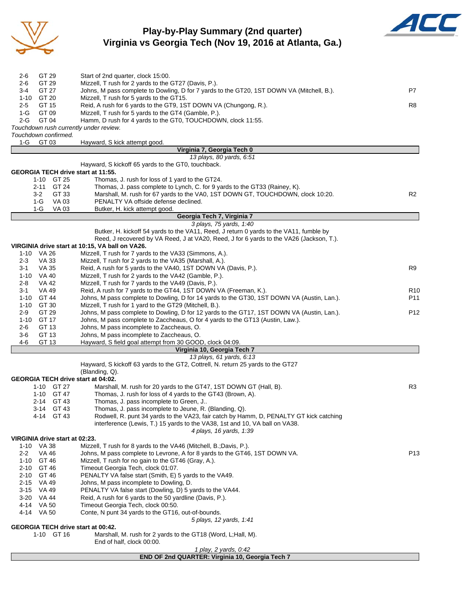

### **Play-by-Play Summary (2nd quarter) Virginia vs Georgia Tech (Nov 19, 2016 at Atlanta, Ga.)**



| GT 29<br>Mizzell, T rush for 2 yards to the GT27 (Davis, P.).<br>2-6<br>GT 27<br>Johns, M pass complete to Dowling, D for 7 yards to the GT20, 1ST DOWN VA (Mitchell, B.).<br>P7<br>3-4<br>$1 - 10$<br>GT 20<br>Mizzell, T rush for 5 yards to the GT15.<br>GT 15<br>Reid, A rush for 6 yards to the GT9, 1ST DOWN VA (Chungong, R.).<br>R8<br>$2 - 5$<br>$1-G$<br>GT 09<br>Mizzell, T rush for 5 yards to the GT4 (Gamble, P.).<br>$2 - G$<br>GT 04<br>Hamm, D rush for 4 yards to the GT0, TOUCHDOWN, clock 11:55.<br>Touchdown rush currently under review.<br>Touchdown confirmed.<br>1-G<br>GT 03<br>Hayward, S kick attempt good.<br>Virginia 7, Georgia Tech 0<br>13 plays, 80 yards, 6:51<br>Hayward, S kickoff 65 yards to the GT0, touchback.<br>GEORGIA TECH drive start at 11:55.<br>1-10 GT 25<br>Thomas, J. rush for loss of 1 yard to the GT24.<br>GT 24<br>2-11<br>Thomas, J. pass complete to Lynch, C. for 9 yards to the GT33 (Rainey, K).<br>Marshall, M. rush for 67 yards to the VA0, 1ST DOWN GT, TOUCHDOWN, clock 10:20.<br>3-2<br>GT 33<br>R2<br>VA 03<br>PENALTY VA offside defense declined.<br>1-G<br>$1-G$<br>Butker, H. kick attempt good.<br>VA 03<br>Georgia Tech 7, Virginia 7<br>3 plays, 75 yards, 1:40<br>Butker, H. kickoff 54 yards to the VA11, Reed, J return 0 yards to the VA11, fumble by<br>Reed, J recovered by VA Reed, J at VA20, Reed, J for 6 yards to the VA26 (Jackson, T.).<br>VIRGINIA drive start at 10:15, VA ball on VA26.<br>1-10 VA 26<br>Mizzell, T rush for 7 yards to the VA33 (Simmons, A.).<br>VA 33<br>Mizzell, T rush for 2 yards to the VA35 (Marshall, A.).<br>$2 - 3$<br>VA 35<br>R9<br>3-1<br>Reid, A rush for 5 yards to the VA40, 1ST DOWN VA (Davis, P.).<br>1-10 VA 40<br>Mizzell, T rush for 2 yards to the VA42 (Gamble, P.).<br>$2 - 8$<br>VA 42<br>Mizzell, T rush for 7 yards to the VA49 (Davis, P.).<br>Reid, A rush for 7 yards to the GT44, 1ST DOWN VA (Freeman, K.).<br>3-1<br>VA 49<br>R <sub>10</sub><br>GT 44<br>Johns, M pass complete to Dowling, D for 14 yards to the GT30, 1ST DOWN VA (Austin, Lan.).<br>P11<br>$1 - 10$<br>GT 30<br>Mizzell, T rush for 1 yard to the GT29 (Mitchell, B.).<br>1-10<br>GT 29<br>Johns, M pass complete to Dowling, D for 12 yards to the GT17, 1ST DOWN VA (Austin, Lan.).<br>P <sub>12</sub><br>$2-9$<br>$1 - 10$<br>GT 17<br>Johns, M pass complete to Zaccheaus, O for 4 yards to the GT13 (Austin, Law.).<br>Johns, M pass incomplete to Zaccheaus, O.<br>2-6<br>GT 13<br>GT 13<br>Johns, M pass incomplete to Zaccheaus, O.<br>3-6<br>$4 - 6$<br>GT 13<br>Hayward, S field goal attempt from 30 GOOD, clock 04:09.<br>Virginia 10, Georgia Tech 7<br>13 plays, 61 yards, 6:13<br>Hayward, S kickoff 63 yards to the GT2, Cottrell, N. return 25 yards to the GT27<br>(Blanding, Q).<br>GEORGIA TECH drive start at 04:02.<br>1-10 GT 27<br>Marshall, M. rush for 20 yards to the GT47, 1ST DOWN GT (Hall, B).<br>R3<br>1-10 GT 47<br>Thomas, J. rush for loss of 4 yards to the GT43 (Brown, A).<br>2-14 GT 43<br>Thomas, J. pass incomplete to Green, J<br>Thomas, J. pass incomplete to Jeune, R. (Blanding, Q).<br>3-14 GT 43<br>4-14 GT 43<br>Rodwell, R. punt 34 yards to the VA23, fair catch by Hamm, D, PENALTY GT kick catching<br>interference (Lewis, T.) 15 yards to the VA38, 1st and 10, VA ball on VA38.<br>4 plays, 16 yards, 1:39<br>VIRGINIA drive start at 02:23.<br>1-10 VA 38<br>Mizzell, T rush for 8 yards to the VA46 (Mitchell, B.;Davis, P.).<br>$2 - 2$<br>VA 46<br>Johns, M pass complete to Levrone, A for 8 yards to the GT46, 1ST DOWN VA.<br>P <sub>13</sub><br>Mizzell, T rush for no gain to the GT46 (Gray, A.).<br>1-10 GT 46<br>2-10 GT 46<br>Timeout Georgia Tech, clock 01:07.<br>PENALTY VA false start (Smith, E) 5 yards to the VA49.<br>2-10 GT 46<br>Johns, M pass incomplete to Dowling, D.<br>2-15<br>VA 49<br>3-15 VA 49<br>PENALTY VA false start (Dowling, D) 5 yards to the VA44.<br>Reid, A rush for 6 yards to the 50 yardline (Davis, P.).<br>3-20 VA 44<br>Timeout Georgia Tech, clock 00:50.<br>4-14 VA 50<br>4-14 VA 50<br>Conte, N punt 34 yards to the GT16, out-of-bounds.<br>5 plays, 12 yards, 1:41<br><b>GEORGIA TECH drive start at 00:42.</b><br>1-10 GT 16<br>Marshall, M. rush for 2 yards to the GT18 (Word, L; Hall, M).<br>End of half, clock 00:00.<br>1 play, 2 yards, 0:42<br>END OF 2nd QUARTER: Virginia 10, Georgia Tech 7 |              |                                    |  |
|-----------------------------------------------------------------------------------------------------------------------------------------------------------------------------------------------------------------------------------------------------------------------------------------------------------------------------------------------------------------------------------------------------------------------------------------------------------------------------------------------------------------------------------------------------------------------------------------------------------------------------------------------------------------------------------------------------------------------------------------------------------------------------------------------------------------------------------------------------------------------------------------------------------------------------------------------------------------------------------------------------------------------------------------------------------------------------------------------------------------------------------------------------------------------------------------------------------------------------------------------------------------------------------------------------------------------------------------------------------------------------------------------------------------------------------------------------------------------------------------------------------------------------------------------------------------------------------------------------------------------------------------------------------------------------------------------------------------------------------------------------------------------------------------------------------------------------------------------------------------------------------------------------------------------------------------------------------------------------------------------------------------------------------------------------------------------------------------------------------------------------------------------------------------------------------------------------------------------------------------------------------------------------------------------------------------------------------------------------------------------------------------------------------------------------------------------------------------------------------------------------------------------------------------------------------------------------------------------------------------------------------------------------------------------------------------------------------------------------------------------------------------------------------------------------------------------------------------------------------------------------------------------------------------------------------------------------------------------------------------------------------------------------------------------------------------------------------------------------------------------------------------------------------------------------------------------------------------------------------------------------------------------------------------------------------------------------------------------------------------------------------------------------------------------------------------------------------------------------------------------------------------------------------------------------------------------------------------------------------------------------------------------------------------------------------------------------------------------------------------------------------------------------------------------------------------------------------------------------------------------------------------------------------------------------------------------------------------------------------------------------------------------------------------------------------------------------------------------------------------------------------------------------------------------------------------------------------------------------------------------------------------------------------------------------------------------------------------------------------------------------------------------------------------------------------------|--------------|------------------------------------|--|
|                                                                                                                                                                                                                                                                                                                                                                                                                                                                                                                                                                                                                                                                                                                                                                                                                                                                                                                                                                                                                                                                                                                                                                                                                                                                                                                                                                                                                                                                                                                                                                                                                                                                                                                                                                                                                                                                                                                                                                                                                                                                                                                                                                                                                                                                                                                                                                                                                                                                                                                                                                                                                                                                                                                                                                                                                                                                                                                                                                                                                                                                                                                                                                                                                                                                                                                                                                                                                                                                                                                                                                                                                                                                                                                                                                                                                                                                                                                                                                                                                                                                                                                                                                                                                                                                                                                                                                                                                                         | GT 29<br>2-6 | Start of 2nd quarter, clock 15:00. |  |
|                                                                                                                                                                                                                                                                                                                                                                                                                                                                                                                                                                                                                                                                                                                                                                                                                                                                                                                                                                                                                                                                                                                                                                                                                                                                                                                                                                                                                                                                                                                                                                                                                                                                                                                                                                                                                                                                                                                                                                                                                                                                                                                                                                                                                                                                                                                                                                                                                                                                                                                                                                                                                                                                                                                                                                                                                                                                                                                                                                                                                                                                                                                                                                                                                                                                                                                                                                                                                                                                                                                                                                                                                                                                                                                                                                                                                                                                                                                                                                                                                                                                                                                                                                                                                                                                                                                                                                                                                                         |              |                                    |  |
|                                                                                                                                                                                                                                                                                                                                                                                                                                                                                                                                                                                                                                                                                                                                                                                                                                                                                                                                                                                                                                                                                                                                                                                                                                                                                                                                                                                                                                                                                                                                                                                                                                                                                                                                                                                                                                                                                                                                                                                                                                                                                                                                                                                                                                                                                                                                                                                                                                                                                                                                                                                                                                                                                                                                                                                                                                                                                                                                                                                                                                                                                                                                                                                                                                                                                                                                                                                                                                                                                                                                                                                                                                                                                                                                                                                                                                                                                                                                                                                                                                                                                                                                                                                                                                                                                                                                                                                                                                         |              |                                    |  |
|                                                                                                                                                                                                                                                                                                                                                                                                                                                                                                                                                                                                                                                                                                                                                                                                                                                                                                                                                                                                                                                                                                                                                                                                                                                                                                                                                                                                                                                                                                                                                                                                                                                                                                                                                                                                                                                                                                                                                                                                                                                                                                                                                                                                                                                                                                                                                                                                                                                                                                                                                                                                                                                                                                                                                                                                                                                                                                                                                                                                                                                                                                                                                                                                                                                                                                                                                                                                                                                                                                                                                                                                                                                                                                                                                                                                                                                                                                                                                                                                                                                                                                                                                                                                                                                                                                                                                                                                                                         |              |                                    |  |
|                                                                                                                                                                                                                                                                                                                                                                                                                                                                                                                                                                                                                                                                                                                                                                                                                                                                                                                                                                                                                                                                                                                                                                                                                                                                                                                                                                                                                                                                                                                                                                                                                                                                                                                                                                                                                                                                                                                                                                                                                                                                                                                                                                                                                                                                                                                                                                                                                                                                                                                                                                                                                                                                                                                                                                                                                                                                                                                                                                                                                                                                                                                                                                                                                                                                                                                                                                                                                                                                                                                                                                                                                                                                                                                                                                                                                                                                                                                                                                                                                                                                                                                                                                                                                                                                                                                                                                                                                                         |              |                                    |  |
|                                                                                                                                                                                                                                                                                                                                                                                                                                                                                                                                                                                                                                                                                                                                                                                                                                                                                                                                                                                                                                                                                                                                                                                                                                                                                                                                                                                                                                                                                                                                                                                                                                                                                                                                                                                                                                                                                                                                                                                                                                                                                                                                                                                                                                                                                                                                                                                                                                                                                                                                                                                                                                                                                                                                                                                                                                                                                                                                                                                                                                                                                                                                                                                                                                                                                                                                                                                                                                                                                                                                                                                                                                                                                                                                                                                                                                                                                                                                                                                                                                                                                                                                                                                                                                                                                                                                                                                                                                         |              |                                    |  |
|                                                                                                                                                                                                                                                                                                                                                                                                                                                                                                                                                                                                                                                                                                                                                                                                                                                                                                                                                                                                                                                                                                                                                                                                                                                                                                                                                                                                                                                                                                                                                                                                                                                                                                                                                                                                                                                                                                                                                                                                                                                                                                                                                                                                                                                                                                                                                                                                                                                                                                                                                                                                                                                                                                                                                                                                                                                                                                                                                                                                                                                                                                                                                                                                                                                                                                                                                                                                                                                                                                                                                                                                                                                                                                                                                                                                                                                                                                                                                                                                                                                                                                                                                                                                                                                                                                                                                                                                                                         |              |                                    |  |
|                                                                                                                                                                                                                                                                                                                                                                                                                                                                                                                                                                                                                                                                                                                                                                                                                                                                                                                                                                                                                                                                                                                                                                                                                                                                                                                                                                                                                                                                                                                                                                                                                                                                                                                                                                                                                                                                                                                                                                                                                                                                                                                                                                                                                                                                                                                                                                                                                                                                                                                                                                                                                                                                                                                                                                                                                                                                                                                                                                                                                                                                                                                                                                                                                                                                                                                                                                                                                                                                                                                                                                                                                                                                                                                                                                                                                                                                                                                                                                                                                                                                                                                                                                                                                                                                                                                                                                                                                                         |              |                                    |  |
|                                                                                                                                                                                                                                                                                                                                                                                                                                                                                                                                                                                                                                                                                                                                                                                                                                                                                                                                                                                                                                                                                                                                                                                                                                                                                                                                                                                                                                                                                                                                                                                                                                                                                                                                                                                                                                                                                                                                                                                                                                                                                                                                                                                                                                                                                                                                                                                                                                                                                                                                                                                                                                                                                                                                                                                                                                                                                                                                                                                                                                                                                                                                                                                                                                                                                                                                                                                                                                                                                                                                                                                                                                                                                                                                                                                                                                                                                                                                                                                                                                                                                                                                                                                                                                                                                                                                                                                                                                         |              |                                    |  |
|                                                                                                                                                                                                                                                                                                                                                                                                                                                                                                                                                                                                                                                                                                                                                                                                                                                                                                                                                                                                                                                                                                                                                                                                                                                                                                                                                                                                                                                                                                                                                                                                                                                                                                                                                                                                                                                                                                                                                                                                                                                                                                                                                                                                                                                                                                                                                                                                                                                                                                                                                                                                                                                                                                                                                                                                                                                                                                                                                                                                                                                                                                                                                                                                                                                                                                                                                                                                                                                                                                                                                                                                                                                                                                                                                                                                                                                                                                                                                                                                                                                                                                                                                                                                                                                                                                                                                                                                                                         |              |                                    |  |
|                                                                                                                                                                                                                                                                                                                                                                                                                                                                                                                                                                                                                                                                                                                                                                                                                                                                                                                                                                                                                                                                                                                                                                                                                                                                                                                                                                                                                                                                                                                                                                                                                                                                                                                                                                                                                                                                                                                                                                                                                                                                                                                                                                                                                                                                                                                                                                                                                                                                                                                                                                                                                                                                                                                                                                                                                                                                                                                                                                                                                                                                                                                                                                                                                                                                                                                                                                                                                                                                                                                                                                                                                                                                                                                                                                                                                                                                                                                                                                                                                                                                                                                                                                                                                                                                                                                                                                                                                                         |              |                                    |  |
|                                                                                                                                                                                                                                                                                                                                                                                                                                                                                                                                                                                                                                                                                                                                                                                                                                                                                                                                                                                                                                                                                                                                                                                                                                                                                                                                                                                                                                                                                                                                                                                                                                                                                                                                                                                                                                                                                                                                                                                                                                                                                                                                                                                                                                                                                                                                                                                                                                                                                                                                                                                                                                                                                                                                                                                                                                                                                                                                                                                                                                                                                                                                                                                                                                                                                                                                                                                                                                                                                                                                                                                                                                                                                                                                                                                                                                                                                                                                                                                                                                                                                                                                                                                                                                                                                                                                                                                                                                         |              |                                    |  |
|                                                                                                                                                                                                                                                                                                                                                                                                                                                                                                                                                                                                                                                                                                                                                                                                                                                                                                                                                                                                                                                                                                                                                                                                                                                                                                                                                                                                                                                                                                                                                                                                                                                                                                                                                                                                                                                                                                                                                                                                                                                                                                                                                                                                                                                                                                                                                                                                                                                                                                                                                                                                                                                                                                                                                                                                                                                                                                                                                                                                                                                                                                                                                                                                                                                                                                                                                                                                                                                                                                                                                                                                                                                                                                                                                                                                                                                                                                                                                                                                                                                                                                                                                                                                                                                                                                                                                                                                                                         |              |                                    |  |
|                                                                                                                                                                                                                                                                                                                                                                                                                                                                                                                                                                                                                                                                                                                                                                                                                                                                                                                                                                                                                                                                                                                                                                                                                                                                                                                                                                                                                                                                                                                                                                                                                                                                                                                                                                                                                                                                                                                                                                                                                                                                                                                                                                                                                                                                                                                                                                                                                                                                                                                                                                                                                                                                                                                                                                                                                                                                                                                                                                                                                                                                                                                                                                                                                                                                                                                                                                                                                                                                                                                                                                                                                                                                                                                                                                                                                                                                                                                                                                                                                                                                                                                                                                                                                                                                                                                                                                                                                                         |              |                                    |  |
|                                                                                                                                                                                                                                                                                                                                                                                                                                                                                                                                                                                                                                                                                                                                                                                                                                                                                                                                                                                                                                                                                                                                                                                                                                                                                                                                                                                                                                                                                                                                                                                                                                                                                                                                                                                                                                                                                                                                                                                                                                                                                                                                                                                                                                                                                                                                                                                                                                                                                                                                                                                                                                                                                                                                                                                                                                                                                                                                                                                                                                                                                                                                                                                                                                                                                                                                                                                                                                                                                                                                                                                                                                                                                                                                                                                                                                                                                                                                                                                                                                                                                                                                                                                                                                                                                                                                                                                                                                         |              |                                    |  |
|                                                                                                                                                                                                                                                                                                                                                                                                                                                                                                                                                                                                                                                                                                                                                                                                                                                                                                                                                                                                                                                                                                                                                                                                                                                                                                                                                                                                                                                                                                                                                                                                                                                                                                                                                                                                                                                                                                                                                                                                                                                                                                                                                                                                                                                                                                                                                                                                                                                                                                                                                                                                                                                                                                                                                                                                                                                                                                                                                                                                                                                                                                                                                                                                                                                                                                                                                                                                                                                                                                                                                                                                                                                                                                                                                                                                                                                                                                                                                                                                                                                                                                                                                                                                                                                                                                                                                                                                                                         |              |                                    |  |
|                                                                                                                                                                                                                                                                                                                                                                                                                                                                                                                                                                                                                                                                                                                                                                                                                                                                                                                                                                                                                                                                                                                                                                                                                                                                                                                                                                                                                                                                                                                                                                                                                                                                                                                                                                                                                                                                                                                                                                                                                                                                                                                                                                                                                                                                                                                                                                                                                                                                                                                                                                                                                                                                                                                                                                                                                                                                                                                                                                                                                                                                                                                                                                                                                                                                                                                                                                                                                                                                                                                                                                                                                                                                                                                                                                                                                                                                                                                                                                                                                                                                                                                                                                                                                                                                                                                                                                                                                                         |              |                                    |  |
|                                                                                                                                                                                                                                                                                                                                                                                                                                                                                                                                                                                                                                                                                                                                                                                                                                                                                                                                                                                                                                                                                                                                                                                                                                                                                                                                                                                                                                                                                                                                                                                                                                                                                                                                                                                                                                                                                                                                                                                                                                                                                                                                                                                                                                                                                                                                                                                                                                                                                                                                                                                                                                                                                                                                                                                                                                                                                                                                                                                                                                                                                                                                                                                                                                                                                                                                                                                                                                                                                                                                                                                                                                                                                                                                                                                                                                                                                                                                                                                                                                                                                                                                                                                                                                                                                                                                                                                                                                         |              |                                    |  |
|                                                                                                                                                                                                                                                                                                                                                                                                                                                                                                                                                                                                                                                                                                                                                                                                                                                                                                                                                                                                                                                                                                                                                                                                                                                                                                                                                                                                                                                                                                                                                                                                                                                                                                                                                                                                                                                                                                                                                                                                                                                                                                                                                                                                                                                                                                                                                                                                                                                                                                                                                                                                                                                                                                                                                                                                                                                                                                                                                                                                                                                                                                                                                                                                                                                                                                                                                                                                                                                                                                                                                                                                                                                                                                                                                                                                                                                                                                                                                                                                                                                                                                                                                                                                                                                                                                                                                                                                                                         |              |                                    |  |
|                                                                                                                                                                                                                                                                                                                                                                                                                                                                                                                                                                                                                                                                                                                                                                                                                                                                                                                                                                                                                                                                                                                                                                                                                                                                                                                                                                                                                                                                                                                                                                                                                                                                                                                                                                                                                                                                                                                                                                                                                                                                                                                                                                                                                                                                                                                                                                                                                                                                                                                                                                                                                                                                                                                                                                                                                                                                                                                                                                                                                                                                                                                                                                                                                                                                                                                                                                                                                                                                                                                                                                                                                                                                                                                                                                                                                                                                                                                                                                                                                                                                                                                                                                                                                                                                                                                                                                                                                                         |              |                                    |  |
|                                                                                                                                                                                                                                                                                                                                                                                                                                                                                                                                                                                                                                                                                                                                                                                                                                                                                                                                                                                                                                                                                                                                                                                                                                                                                                                                                                                                                                                                                                                                                                                                                                                                                                                                                                                                                                                                                                                                                                                                                                                                                                                                                                                                                                                                                                                                                                                                                                                                                                                                                                                                                                                                                                                                                                                                                                                                                                                                                                                                                                                                                                                                                                                                                                                                                                                                                                                                                                                                                                                                                                                                                                                                                                                                                                                                                                                                                                                                                                                                                                                                                                                                                                                                                                                                                                                                                                                                                                         |              |                                    |  |
|                                                                                                                                                                                                                                                                                                                                                                                                                                                                                                                                                                                                                                                                                                                                                                                                                                                                                                                                                                                                                                                                                                                                                                                                                                                                                                                                                                                                                                                                                                                                                                                                                                                                                                                                                                                                                                                                                                                                                                                                                                                                                                                                                                                                                                                                                                                                                                                                                                                                                                                                                                                                                                                                                                                                                                                                                                                                                                                                                                                                                                                                                                                                                                                                                                                                                                                                                                                                                                                                                                                                                                                                                                                                                                                                                                                                                                                                                                                                                                                                                                                                                                                                                                                                                                                                                                                                                                                                                                         |              |                                    |  |
|                                                                                                                                                                                                                                                                                                                                                                                                                                                                                                                                                                                                                                                                                                                                                                                                                                                                                                                                                                                                                                                                                                                                                                                                                                                                                                                                                                                                                                                                                                                                                                                                                                                                                                                                                                                                                                                                                                                                                                                                                                                                                                                                                                                                                                                                                                                                                                                                                                                                                                                                                                                                                                                                                                                                                                                                                                                                                                                                                                                                                                                                                                                                                                                                                                                                                                                                                                                                                                                                                                                                                                                                                                                                                                                                                                                                                                                                                                                                                                                                                                                                                                                                                                                                                                                                                                                                                                                                                                         |              |                                    |  |
|                                                                                                                                                                                                                                                                                                                                                                                                                                                                                                                                                                                                                                                                                                                                                                                                                                                                                                                                                                                                                                                                                                                                                                                                                                                                                                                                                                                                                                                                                                                                                                                                                                                                                                                                                                                                                                                                                                                                                                                                                                                                                                                                                                                                                                                                                                                                                                                                                                                                                                                                                                                                                                                                                                                                                                                                                                                                                                                                                                                                                                                                                                                                                                                                                                                                                                                                                                                                                                                                                                                                                                                                                                                                                                                                                                                                                                                                                                                                                                                                                                                                                                                                                                                                                                                                                                                                                                                                                                         |              |                                    |  |
|                                                                                                                                                                                                                                                                                                                                                                                                                                                                                                                                                                                                                                                                                                                                                                                                                                                                                                                                                                                                                                                                                                                                                                                                                                                                                                                                                                                                                                                                                                                                                                                                                                                                                                                                                                                                                                                                                                                                                                                                                                                                                                                                                                                                                                                                                                                                                                                                                                                                                                                                                                                                                                                                                                                                                                                                                                                                                                                                                                                                                                                                                                                                                                                                                                                                                                                                                                                                                                                                                                                                                                                                                                                                                                                                                                                                                                                                                                                                                                                                                                                                                                                                                                                                                                                                                                                                                                                                                                         |              |                                    |  |
|                                                                                                                                                                                                                                                                                                                                                                                                                                                                                                                                                                                                                                                                                                                                                                                                                                                                                                                                                                                                                                                                                                                                                                                                                                                                                                                                                                                                                                                                                                                                                                                                                                                                                                                                                                                                                                                                                                                                                                                                                                                                                                                                                                                                                                                                                                                                                                                                                                                                                                                                                                                                                                                                                                                                                                                                                                                                                                                                                                                                                                                                                                                                                                                                                                                                                                                                                                                                                                                                                                                                                                                                                                                                                                                                                                                                                                                                                                                                                                                                                                                                                                                                                                                                                                                                                                                                                                                                                                         |              |                                    |  |
|                                                                                                                                                                                                                                                                                                                                                                                                                                                                                                                                                                                                                                                                                                                                                                                                                                                                                                                                                                                                                                                                                                                                                                                                                                                                                                                                                                                                                                                                                                                                                                                                                                                                                                                                                                                                                                                                                                                                                                                                                                                                                                                                                                                                                                                                                                                                                                                                                                                                                                                                                                                                                                                                                                                                                                                                                                                                                                                                                                                                                                                                                                                                                                                                                                                                                                                                                                                                                                                                                                                                                                                                                                                                                                                                                                                                                                                                                                                                                                                                                                                                                                                                                                                                                                                                                                                                                                                                                                         |              |                                    |  |
|                                                                                                                                                                                                                                                                                                                                                                                                                                                                                                                                                                                                                                                                                                                                                                                                                                                                                                                                                                                                                                                                                                                                                                                                                                                                                                                                                                                                                                                                                                                                                                                                                                                                                                                                                                                                                                                                                                                                                                                                                                                                                                                                                                                                                                                                                                                                                                                                                                                                                                                                                                                                                                                                                                                                                                                                                                                                                                                                                                                                                                                                                                                                                                                                                                                                                                                                                                                                                                                                                                                                                                                                                                                                                                                                                                                                                                                                                                                                                                                                                                                                                                                                                                                                                                                                                                                                                                                                                                         |              |                                    |  |
|                                                                                                                                                                                                                                                                                                                                                                                                                                                                                                                                                                                                                                                                                                                                                                                                                                                                                                                                                                                                                                                                                                                                                                                                                                                                                                                                                                                                                                                                                                                                                                                                                                                                                                                                                                                                                                                                                                                                                                                                                                                                                                                                                                                                                                                                                                                                                                                                                                                                                                                                                                                                                                                                                                                                                                                                                                                                                                                                                                                                                                                                                                                                                                                                                                                                                                                                                                                                                                                                                                                                                                                                                                                                                                                                                                                                                                                                                                                                                                                                                                                                                                                                                                                                                                                                                                                                                                                                                                         |              |                                    |  |
|                                                                                                                                                                                                                                                                                                                                                                                                                                                                                                                                                                                                                                                                                                                                                                                                                                                                                                                                                                                                                                                                                                                                                                                                                                                                                                                                                                                                                                                                                                                                                                                                                                                                                                                                                                                                                                                                                                                                                                                                                                                                                                                                                                                                                                                                                                                                                                                                                                                                                                                                                                                                                                                                                                                                                                                                                                                                                                                                                                                                                                                                                                                                                                                                                                                                                                                                                                                                                                                                                                                                                                                                                                                                                                                                                                                                                                                                                                                                                                                                                                                                                                                                                                                                                                                                                                                                                                                                                                         |              |                                    |  |
|                                                                                                                                                                                                                                                                                                                                                                                                                                                                                                                                                                                                                                                                                                                                                                                                                                                                                                                                                                                                                                                                                                                                                                                                                                                                                                                                                                                                                                                                                                                                                                                                                                                                                                                                                                                                                                                                                                                                                                                                                                                                                                                                                                                                                                                                                                                                                                                                                                                                                                                                                                                                                                                                                                                                                                                                                                                                                                                                                                                                                                                                                                                                                                                                                                                                                                                                                                                                                                                                                                                                                                                                                                                                                                                                                                                                                                                                                                                                                                                                                                                                                                                                                                                                                                                                                                                                                                                                                                         |              |                                    |  |
|                                                                                                                                                                                                                                                                                                                                                                                                                                                                                                                                                                                                                                                                                                                                                                                                                                                                                                                                                                                                                                                                                                                                                                                                                                                                                                                                                                                                                                                                                                                                                                                                                                                                                                                                                                                                                                                                                                                                                                                                                                                                                                                                                                                                                                                                                                                                                                                                                                                                                                                                                                                                                                                                                                                                                                                                                                                                                                                                                                                                                                                                                                                                                                                                                                                                                                                                                                                                                                                                                                                                                                                                                                                                                                                                                                                                                                                                                                                                                                                                                                                                                                                                                                                                                                                                                                                                                                                                                                         |              |                                    |  |
|                                                                                                                                                                                                                                                                                                                                                                                                                                                                                                                                                                                                                                                                                                                                                                                                                                                                                                                                                                                                                                                                                                                                                                                                                                                                                                                                                                                                                                                                                                                                                                                                                                                                                                                                                                                                                                                                                                                                                                                                                                                                                                                                                                                                                                                                                                                                                                                                                                                                                                                                                                                                                                                                                                                                                                                                                                                                                                                                                                                                                                                                                                                                                                                                                                                                                                                                                                                                                                                                                                                                                                                                                                                                                                                                                                                                                                                                                                                                                                                                                                                                                                                                                                                                                                                                                                                                                                                                                                         |              |                                    |  |
|                                                                                                                                                                                                                                                                                                                                                                                                                                                                                                                                                                                                                                                                                                                                                                                                                                                                                                                                                                                                                                                                                                                                                                                                                                                                                                                                                                                                                                                                                                                                                                                                                                                                                                                                                                                                                                                                                                                                                                                                                                                                                                                                                                                                                                                                                                                                                                                                                                                                                                                                                                                                                                                                                                                                                                                                                                                                                                                                                                                                                                                                                                                                                                                                                                                                                                                                                                                                                                                                                                                                                                                                                                                                                                                                                                                                                                                                                                                                                                                                                                                                                                                                                                                                                                                                                                                                                                                                                                         |              |                                    |  |
|                                                                                                                                                                                                                                                                                                                                                                                                                                                                                                                                                                                                                                                                                                                                                                                                                                                                                                                                                                                                                                                                                                                                                                                                                                                                                                                                                                                                                                                                                                                                                                                                                                                                                                                                                                                                                                                                                                                                                                                                                                                                                                                                                                                                                                                                                                                                                                                                                                                                                                                                                                                                                                                                                                                                                                                                                                                                                                                                                                                                                                                                                                                                                                                                                                                                                                                                                                                                                                                                                                                                                                                                                                                                                                                                                                                                                                                                                                                                                                                                                                                                                                                                                                                                                                                                                                                                                                                                                                         |              |                                    |  |
|                                                                                                                                                                                                                                                                                                                                                                                                                                                                                                                                                                                                                                                                                                                                                                                                                                                                                                                                                                                                                                                                                                                                                                                                                                                                                                                                                                                                                                                                                                                                                                                                                                                                                                                                                                                                                                                                                                                                                                                                                                                                                                                                                                                                                                                                                                                                                                                                                                                                                                                                                                                                                                                                                                                                                                                                                                                                                                                                                                                                                                                                                                                                                                                                                                                                                                                                                                                                                                                                                                                                                                                                                                                                                                                                                                                                                                                                                                                                                                                                                                                                                                                                                                                                                                                                                                                                                                                                                                         |              |                                    |  |
|                                                                                                                                                                                                                                                                                                                                                                                                                                                                                                                                                                                                                                                                                                                                                                                                                                                                                                                                                                                                                                                                                                                                                                                                                                                                                                                                                                                                                                                                                                                                                                                                                                                                                                                                                                                                                                                                                                                                                                                                                                                                                                                                                                                                                                                                                                                                                                                                                                                                                                                                                                                                                                                                                                                                                                                                                                                                                                                                                                                                                                                                                                                                                                                                                                                                                                                                                                                                                                                                                                                                                                                                                                                                                                                                                                                                                                                                                                                                                                                                                                                                                                                                                                                                                                                                                                                                                                                                                                         |              |                                    |  |
|                                                                                                                                                                                                                                                                                                                                                                                                                                                                                                                                                                                                                                                                                                                                                                                                                                                                                                                                                                                                                                                                                                                                                                                                                                                                                                                                                                                                                                                                                                                                                                                                                                                                                                                                                                                                                                                                                                                                                                                                                                                                                                                                                                                                                                                                                                                                                                                                                                                                                                                                                                                                                                                                                                                                                                                                                                                                                                                                                                                                                                                                                                                                                                                                                                                                                                                                                                                                                                                                                                                                                                                                                                                                                                                                                                                                                                                                                                                                                                                                                                                                                                                                                                                                                                                                                                                                                                                                                                         |              |                                    |  |
|                                                                                                                                                                                                                                                                                                                                                                                                                                                                                                                                                                                                                                                                                                                                                                                                                                                                                                                                                                                                                                                                                                                                                                                                                                                                                                                                                                                                                                                                                                                                                                                                                                                                                                                                                                                                                                                                                                                                                                                                                                                                                                                                                                                                                                                                                                                                                                                                                                                                                                                                                                                                                                                                                                                                                                                                                                                                                                                                                                                                                                                                                                                                                                                                                                                                                                                                                                                                                                                                                                                                                                                                                                                                                                                                                                                                                                                                                                                                                                                                                                                                                                                                                                                                                                                                                                                                                                                                                                         |              |                                    |  |
|                                                                                                                                                                                                                                                                                                                                                                                                                                                                                                                                                                                                                                                                                                                                                                                                                                                                                                                                                                                                                                                                                                                                                                                                                                                                                                                                                                                                                                                                                                                                                                                                                                                                                                                                                                                                                                                                                                                                                                                                                                                                                                                                                                                                                                                                                                                                                                                                                                                                                                                                                                                                                                                                                                                                                                                                                                                                                                                                                                                                                                                                                                                                                                                                                                                                                                                                                                                                                                                                                                                                                                                                                                                                                                                                                                                                                                                                                                                                                                                                                                                                                                                                                                                                                                                                                                                                                                                                                                         |              |                                    |  |
|                                                                                                                                                                                                                                                                                                                                                                                                                                                                                                                                                                                                                                                                                                                                                                                                                                                                                                                                                                                                                                                                                                                                                                                                                                                                                                                                                                                                                                                                                                                                                                                                                                                                                                                                                                                                                                                                                                                                                                                                                                                                                                                                                                                                                                                                                                                                                                                                                                                                                                                                                                                                                                                                                                                                                                                                                                                                                                                                                                                                                                                                                                                                                                                                                                                                                                                                                                                                                                                                                                                                                                                                                                                                                                                                                                                                                                                                                                                                                                                                                                                                                                                                                                                                                                                                                                                                                                                                                                         |              |                                    |  |
|                                                                                                                                                                                                                                                                                                                                                                                                                                                                                                                                                                                                                                                                                                                                                                                                                                                                                                                                                                                                                                                                                                                                                                                                                                                                                                                                                                                                                                                                                                                                                                                                                                                                                                                                                                                                                                                                                                                                                                                                                                                                                                                                                                                                                                                                                                                                                                                                                                                                                                                                                                                                                                                                                                                                                                                                                                                                                                                                                                                                                                                                                                                                                                                                                                                                                                                                                                                                                                                                                                                                                                                                                                                                                                                                                                                                                                                                                                                                                                                                                                                                                                                                                                                                                                                                                                                                                                                                                                         |              |                                    |  |
|                                                                                                                                                                                                                                                                                                                                                                                                                                                                                                                                                                                                                                                                                                                                                                                                                                                                                                                                                                                                                                                                                                                                                                                                                                                                                                                                                                                                                                                                                                                                                                                                                                                                                                                                                                                                                                                                                                                                                                                                                                                                                                                                                                                                                                                                                                                                                                                                                                                                                                                                                                                                                                                                                                                                                                                                                                                                                                                                                                                                                                                                                                                                                                                                                                                                                                                                                                                                                                                                                                                                                                                                                                                                                                                                                                                                                                                                                                                                                                                                                                                                                                                                                                                                                                                                                                                                                                                                                                         |              |                                    |  |
|                                                                                                                                                                                                                                                                                                                                                                                                                                                                                                                                                                                                                                                                                                                                                                                                                                                                                                                                                                                                                                                                                                                                                                                                                                                                                                                                                                                                                                                                                                                                                                                                                                                                                                                                                                                                                                                                                                                                                                                                                                                                                                                                                                                                                                                                                                                                                                                                                                                                                                                                                                                                                                                                                                                                                                                                                                                                                                                                                                                                                                                                                                                                                                                                                                                                                                                                                                                                                                                                                                                                                                                                                                                                                                                                                                                                                                                                                                                                                                                                                                                                                                                                                                                                                                                                                                                                                                                                                                         |              |                                    |  |
|                                                                                                                                                                                                                                                                                                                                                                                                                                                                                                                                                                                                                                                                                                                                                                                                                                                                                                                                                                                                                                                                                                                                                                                                                                                                                                                                                                                                                                                                                                                                                                                                                                                                                                                                                                                                                                                                                                                                                                                                                                                                                                                                                                                                                                                                                                                                                                                                                                                                                                                                                                                                                                                                                                                                                                                                                                                                                                                                                                                                                                                                                                                                                                                                                                                                                                                                                                                                                                                                                                                                                                                                                                                                                                                                                                                                                                                                                                                                                                                                                                                                                                                                                                                                                                                                                                                                                                                                                                         |              |                                    |  |
|                                                                                                                                                                                                                                                                                                                                                                                                                                                                                                                                                                                                                                                                                                                                                                                                                                                                                                                                                                                                                                                                                                                                                                                                                                                                                                                                                                                                                                                                                                                                                                                                                                                                                                                                                                                                                                                                                                                                                                                                                                                                                                                                                                                                                                                                                                                                                                                                                                                                                                                                                                                                                                                                                                                                                                                                                                                                                                                                                                                                                                                                                                                                                                                                                                                                                                                                                                                                                                                                                                                                                                                                                                                                                                                                                                                                                                                                                                                                                                                                                                                                                                                                                                                                                                                                                                                                                                                                                                         |              |                                    |  |
|                                                                                                                                                                                                                                                                                                                                                                                                                                                                                                                                                                                                                                                                                                                                                                                                                                                                                                                                                                                                                                                                                                                                                                                                                                                                                                                                                                                                                                                                                                                                                                                                                                                                                                                                                                                                                                                                                                                                                                                                                                                                                                                                                                                                                                                                                                                                                                                                                                                                                                                                                                                                                                                                                                                                                                                                                                                                                                                                                                                                                                                                                                                                                                                                                                                                                                                                                                                                                                                                                                                                                                                                                                                                                                                                                                                                                                                                                                                                                                                                                                                                                                                                                                                                                                                                                                                                                                                                                                         |              |                                    |  |
|                                                                                                                                                                                                                                                                                                                                                                                                                                                                                                                                                                                                                                                                                                                                                                                                                                                                                                                                                                                                                                                                                                                                                                                                                                                                                                                                                                                                                                                                                                                                                                                                                                                                                                                                                                                                                                                                                                                                                                                                                                                                                                                                                                                                                                                                                                                                                                                                                                                                                                                                                                                                                                                                                                                                                                                                                                                                                                                                                                                                                                                                                                                                                                                                                                                                                                                                                                                                                                                                                                                                                                                                                                                                                                                                                                                                                                                                                                                                                                                                                                                                                                                                                                                                                                                                                                                                                                                                                                         |              |                                    |  |
|                                                                                                                                                                                                                                                                                                                                                                                                                                                                                                                                                                                                                                                                                                                                                                                                                                                                                                                                                                                                                                                                                                                                                                                                                                                                                                                                                                                                                                                                                                                                                                                                                                                                                                                                                                                                                                                                                                                                                                                                                                                                                                                                                                                                                                                                                                                                                                                                                                                                                                                                                                                                                                                                                                                                                                                                                                                                                                                                                                                                                                                                                                                                                                                                                                                                                                                                                                                                                                                                                                                                                                                                                                                                                                                                                                                                                                                                                                                                                                                                                                                                                                                                                                                                                                                                                                                                                                                                                                         |              |                                    |  |
|                                                                                                                                                                                                                                                                                                                                                                                                                                                                                                                                                                                                                                                                                                                                                                                                                                                                                                                                                                                                                                                                                                                                                                                                                                                                                                                                                                                                                                                                                                                                                                                                                                                                                                                                                                                                                                                                                                                                                                                                                                                                                                                                                                                                                                                                                                                                                                                                                                                                                                                                                                                                                                                                                                                                                                                                                                                                                                                                                                                                                                                                                                                                                                                                                                                                                                                                                                                                                                                                                                                                                                                                                                                                                                                                                                                                                                                                                                                                                                                                                                                                                                                                                                                                                                                                                                                                                                                                                                         |              |                                    |  |
|                                                                                                                                                                                                                                                                                                                                                                                                                                                                                                                                                                                                                                                                                                                                                                                                                                                                                                                                                                                                                                                                                                                                                                                                                                                                                                                                                                                                                                                                                                                                                                                                                                                                                                                                                                                                                                                                                                                                                                                                                                                                                                                                                                                                                                                                                                                                                                                                                                                                                                                                                                                                                                                                                                                                                                                                                                                                                                                                                                                                                                                                                                                                                                                                                                                                                                                                                                                                                                                                                                                                                                                                                                                                                                                                                                                                                                                                                                                                                                                                                                                                                                                                                                                                                                                                                                                                                                                                                                         |              |                                    |  |
|                                                                                                                                                                                                                                                                                                                                                                                                                                                                                                                                                                                                                                                                                                                                                                                                                                                                                                                                                                                                                                                                                                                                                                                                                                                                                                                                                                                                                                                                                                                                                                                                                                                                                                                                                                                                                                                                                                                                                                                                                                                                                                                                                                                                                                                                                                                                                                                                                                                                                                                                                                                                                                                                                                                                                                                                                                                                                                                                                                                                                                                                                                                                                                                                                                                                                                                                                                                                                                                                                                                                                                                                                                                                                                                                                                                                                                                                                                                                                                                                                                                                                                                                                                                                                                                                                                                                                                                                                                         |              |                                    |  |
|                                                                                                                                                                                                                                                                                                                                                                                                                                                                                                                                                                                                                                                                                                                                                                                                                                                                                                                                                                                                                                                                                                                                                                                                                                                                                                                                                                                                                                                                                                                                                                                                                                                                                                                                                                                                                                                                                                                                                                                                                                                                                                                                                                                                                                                                                                                                                                                                                                                                                                                                                                                                                                                                                                                                                                                                                                                                                                                                                                                                                                                                                                                                                                                                                                                                                                                                                                                                                                                                                                                                                                                                                                                                                                                                                                                                                                                                                                                                                                                                                                                                                                                                                                                                                                                                                                                                                                                                                                         |              |                                    |  |
|                                                                                                                                                                                                                                                                                                                                                                                                                                                                                                                                                                                                                                                                                                                                                                                                                                                                                                                                                                                                                                                                                                                                                                                                                                                                                                                                                                                                                                                                                                                                                                                                                                                                                                                                                                                                                                                                                                                                                                                                                                                                                                                                                                                                                                                                                                                                                                                                                                                                                                                                                                                                                                                                                                                                                                                                                                                                                                                                                                                                                                                                                                                                                                                                                                                                                                                                                                                                                                                                                                                                                                                                                                                                                                                                                                                                                                                                                                                                                                                                                                                                                                                                                                                                                                                                                                                                                                                                                                         |              |                                    |  |
|                                                                                                                                                                                                                                                                                                                                                                                                                                                                                                                                                                                                                                                                                                                                                                                                                                                                                                                                                                                                                                                                                                                                                                                                                                                                                                                                                                                                                                                                                                                                                                                                                                                                                                                                                                                                                                                                                                                                                                                                                                                                                                                                                                                                                                                                                                                                                                                                                                                                                                                                                                                                                                                                                                                                                                                                                                                                                                                                                                                                                                                                                                                                                                                                                                                                                                                                                                                                                                                                                                                                                                                                                                                                                                                                                                                                                                                                                                                                                                                                                                                                                                                                                                                                                                                                                                                                                                                                                                         |              |                                    |  |
|                                                                                                                                                                                                                                                                                                                                                                                                                                                                                                                                                                                                                                                                                                                                                                                                                                                                                                                                                                                                                                                                                                                                                                                                                                                                                                                                                                                                                                                                                                                                                                                                                                                                                                                                                                                                                                                                                                                                                                                                                                                                                                                                                                                                                                                                                                                                                                                                                                                                                                                                                                                                                                                                                                                                                                                                                                                                                                                                                                                                                                                                                                                                                                                                                                                                                                                                                                                                                                                                                                                                                                                                                                                                                                                                                                                                                                                                                                                                                                                                                                                                                                                                                                                                                                                                                                                                                                                                                                         |              |                                    |  |
|                                                                                                                                                                                                                                                                                                                                                                                                                                                                                                                                                                                                                                                                                                                                                                                                                                                                                                                                                                                                                                                                                                                                                                                                                                                                                                                                                                                                                                                                                                                                                                                                                                                                                                                                                                                                                                                                                                                                                                                                                                                                                                                                                                                                                                                                                                                                                                                                                                                                                                                                                                                                                                                                                                                                                                                                                                                                                                                                                                                                                                                                                                                                                                                                                                                                                                                                                                                                                                                                                                                                                                                                                                                                                                                                                                                                                                                                                                                                                                                                                                                                                                                                                                                                                                                                                                                                                                                                                                         |              |                                    |  |
|                                                                                                                                                                                                                                                                                                                                                                                                                                                                                                                                                                                                                                                                                                                                                                                                                                                                                                                                                                                                                                                                                                                                                                                                                                                                                                                                                                                                                                                                                                                                                                                                                                                                                                                                                                                                                                                                                                                                                                                                                                                                                                                                                                                                                                                                                                                                                                                                                                                                                                                                                                                                                                                                                                                                                                                                                                                                                                                                                                                                                                                                                                                                                                                                                                                                                                                                                                                                                                                                                                                                                                                                                                                                                                                                                                                                                                                                                                                                                                                                                                                                                                                                                                                                                                                                                                                                                                                                                                         |              |                                    |  |
|                                                                                                                                                                                                                                                                                                                                                                                                                                                                                                                                                                                                                                                                                                                                                                                                                                                                                                                                                                                                                                                                                                                                                                                                                                                                                                                                                                                                                                                                                                                                                                                                                                                                                                                                                                                                                                                                                                                                                                                                                                                                                                                                                                                                                                                                                                                                                                                                                                                                                                                                                                                                                                                                                                                                                                                                                                                                                                                                                                                                                                                                                                                                                                                                                                                                                                                                                                                                                                                                                                                                                                                                                                                                                                                                                                                                                                                                                                                                                                                                                                                                                                                                                                                                                                                                                                                                                                                                                                         |              |                                    |  |
|                                                                                                                                                                                                                                                                                                                                                                                                                                                                                                                                                                                                                                                                                                                                                                                                                                                                                                                                                                                                                                                                                                                                                                                                                                                                                                                                                                                                                                                                                                                                                                                                                                                                                                                                                                                                                                                                                                                                                                                                                                                                                                                                                                                                                                                                                                                                                                                                                                                                                                                                                                                                                                                                                                                                                                                                                                                                                                                                                                                                                                                                                                                                                                                                                                                                                                                                                                                                                                                                                                                                                                                                                                                                                                                                                                                                                                                                                                                                                                                                                                                                                                                                                                                                                                                                                                                                                                                                                                         |              |                                    |  |
|                                                                                                                                                                                                                                                                                                                                                                                                                                                                                                                                                                                                                                                                                                                                                                                                                                                                                                                                                                                                                                                                                                                                                                                                                                                                                                                                                                                                                                                                                                                                                                                                                                                                                                                                                                                                                                                                                                                                                                                                                                                                                                                                                                                                                                                                                                                                                                                                                                                                                                                                                                                                                                                                                                                                                                                                                                                                                                                                                                                                                                                                                                                                                                                                                                                                                                                                                                                                                                                                                                                                                                                                                                                                                                                                                                                                                                                                                                                                                                                                                                                                                                                                                                                                                                                                                                                                                                                                                                         |              |                                    |  |
|                                                                                                                                                                                                                                                                                                                                                                                                                                                                                                                                                                                                                                                                                                                                                                                                                                                                                                                                                                                                                                                                                                                                                                                                                                                                                                                                                                                                                                                                                                                                                                                                                                                                                                                                                                                                                                                                                                                                                                                                                                                                                                                                                                                                                                                                                                                                                                                                                                                                                                                                                                                                                                                                                                                                                                                                                                                                                                                                                                                                                                                                                                                                                                                                                                                                                                                                                                                                                                                                                                                                                                                                                                                                                                                                                                                                                                                                                                                                                                                                                                                                                                                                                                                                                                                                                                                                                                                                                                         |              |                                    |  |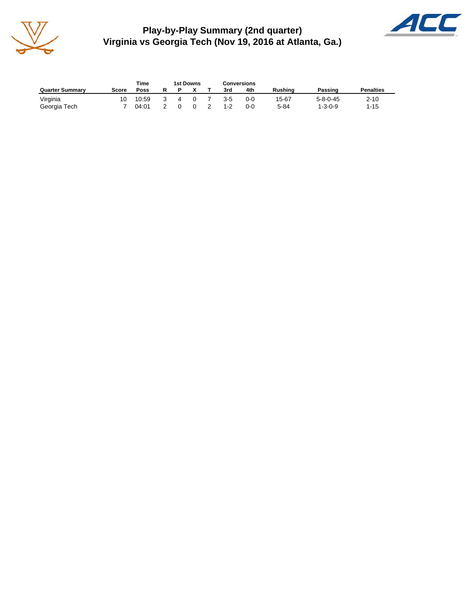

**Play-by-Play Summary (2nd quarter) Virginia vs Georgia Tech (Nov 19, 2016 at Atlanta, Ga.)**



|                        |       | Time  |   | 1st Downs | <b>Conversions</b> |         |          |                  |                  |
|------------------------|-------|-------|---|-----------|--------------------|---------|----------|------------------|------------------|
| <b>Quarter Summary</b> | Score | Poss  |   |           | 3rd                | 4th     | Rushina  | Passing          | <b>Penalties</b> |
| Virginia               | 10    | 10:59 | 4 | $\Omega$  | $3-5$              | $0 - 0$ | 15-67    | $5 - 8 - 0 - 45$ | $2 - 10$         |
| Georgia Tech           |       | 04:01 |   | $\Omega$  | $1 - 2$            | $0 - 0$ | $5 - 84$ | $1 - 3 - 0 - 9$  | $1 - 15$         |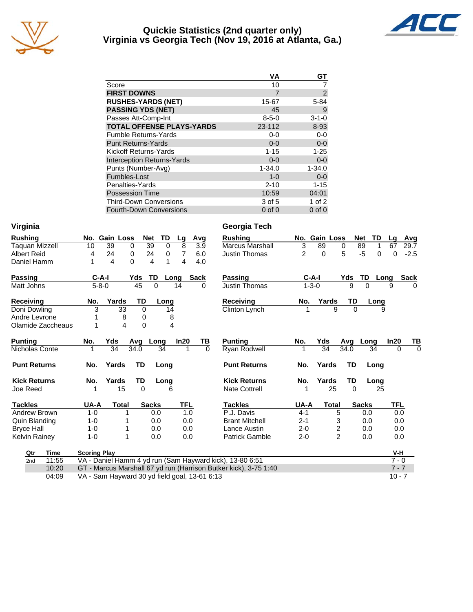

#### **Quickie Statistics (2nd quarter only) Virginia vs Georgia Tech (Nov 19, 2016 at Atlanta, Ga.)**



|                                   | VА          | GТ             |
|-----------------------------------|-------------|----------------|
| Score                             | 10          |                |
| <b>FIRST DOWNS</b>                | 7           | $\overline{2}$ |
| <b>RUSHES-YARDS (NET)</b>         | 15-67       | $5 - 84$       |
| <b>PASSING YDS (NET)</b>          | 45          | 9              |
| Passes Att-Comp-Int               | $8 - 5 - 0$ | $3 - 1 - 0$    |
| <b>TOTAL OFFENSE PLAYS-YARDS</b>  | 23-112      | 8-93           |
| <b>Fumble Returns-Yards</b>       | $0-0$       | $0 - 0$        |
| <b>Punt Returns-Yards</b>         | $0 - 0$     | $0-0$          |
| <b>Kickoff Returns-Yards</b>      | $1 - 15$    | $1 - 25$       |
| <b>Interception Returns-Yards</b> | $0 - 0$     | $0 - 0$        |
| Punts (Number-Avg)                | $1 - 34.0$  | $1 - 34.0$     |
| Fumbles-Lost                      | $1 - 0$     | $0-0$          |
| Penalties-Yards                   | $2 - 10$    | $1 - 15$       |
| <b>Possession Time</b>            | 10:59       | 04:01          |
| <b>Third-Down Conversions</b>     | 3 of 5      | $1$ of $2$     |
| <b>Fourth-Down Conversions</b>    | $0$ of $0$  | $0$ of $0$     |

**Virginia Georgia Tech**

|  |  |  | Virginia |
|--|--|--|----------|
|  |  |  |          |

| <b>Rushing</b>        |       |         | No. Gain Loss                                 |                         |             | Net          | TD          | Lg         |             | Avg      | <b>Rushing</b>                                                   |                | No. Gain Loss |                |          | <b>TD</b><br>Net | La         | Avg         |
|-----------------------|-------|---------|-----------------------------------------------|-------------------------|-------------|--------------|-------------|------------|-------------|----------|------------------------------------------------------------------|----------------|---------------|----------------|----------|------------------|------------|-------------|
| <b>Taquan Mizzell</b> |       | 10      | 39                                            |                         | 0           | 39           | $\mathbf 0$ | 8          |             | 3.9      | <b>Marcus Marshall</b>                                           | 3              | 89            | 0              |          | 89<br>1          | 67         | 29.7        |
| <b>Albert Reid</b>    |       | 4       | 24                                            |                         | 0           | 24           | 0           | 7          |             | 6.0      | <b>Justin Thomas</b>                                             | $\overline{2}$ | $\Omega$      |                | 5        | $-5$<br>0        | $\Omega$   | $-2.5$      |
| Daniel Hamm           |       | 1       | $\overline{\mathbf{4}}$                       |                         | 0           | 4            | 1           | 4          |             | 4.0      |                                                                  |                |               |                |          |                  |            |             |
| <b>Passing</b>        |       |         | $C-A-I$                                       |                         | Yds         | TD           | Long        |            | <b>Sack</b> |          | <b>Passing</b>                                                   |                | $C-A-I$       |                | Yds      | TD               | Long       | <b>Sack</b> |
| Matt Johns            |       |         | $5 - 8 - 0$                                   |                         | 45          | $\Omega$     |             | 14         |             | 0        | Justin Thomas                                                    |                | $1 - 3 - 0$   |                | 9        | $\Omega$         | 9          | $\Omega$    |
| <b>Receiving</b>      |       | No.     | Yards                                         |                         | TD          |              | Long        |            |             |          | <b>Receiving</b>                                                 | No.            | Yards         |                | TD       | Long             |            |             |
| Doni Dowling          |       | 3       |                                               | 33                      | 0           |              | 14          |            |             |          | Clinton Lynch                                                    |                |               | 9              | $\Omega$ | 9                |            |             |
| Andre Levrone         |       |         |                                               | 8                       | 0           |              | 8           |            |             |          |                                                                  |                |               |                |          |                  |            |             |
| Olamide Zaccheaus     |       | 1       |                                               | $\overline{\mathbf{4}}$ | $\mathbf 0$ |              | 4           |            |             |          |                                                                  |                |               |                |          |                  |            |             |
| <b>Punting</b>        |       | No.     | Yds                                           |                         | Avg         | Long         |             | In20       |             | TВ       | <b>Punting</b>                                                   | No.            | Yds           |                | Avg      | Long             | In20       | TВ          |
| Nicholas Conte        |       | 1       | 34                                            |                         | 34.0        |              | 34          | 1          |             | $\Omega$ | Ryan Rodwell                                                     | 1              | 34            |                | 34.0     | 34               | $\Omega$   | $\Omega$    |
| <b>Punt Returns</b>   |       | No.     | Yards                                         |                         | TD          |              | Long        |            |             |          | <b>Punt Returns</b>                                              | No.            | Yards         |                | TD       | Long             |            |             |
| <b>Kick Returns</b>   |       | No.     | Yards                                         |                         | TD          |              | Long        |            |             |          | <b>Kick Returns</b>                                              | No.            | Yards         |                | TD       | Long             |            |             |
| Joe Reed              |       |         |                                               | 15                      | $\Omega$    |              | 6           |            |             |          | <b>Nate Cottrell</b>                                             |                |               | 25             | $\Omega$ | 25               |            |             |
| <b>Tackles</b>        |       | UA-A    |                                               | <b>Total</b>            |             | <b>Sacks</b> |             | <b>TFL</b> |             |          | <b>Tackles</b>                                                   | UA-A           |               | <b>Total</b>   |          | <b>Sacks</b>     | <b>TFL</b> |             |
| Andrew Brown          |       | $1 - 0$ |                                               |                         |             | 0.0          |             | 1.0        |             |          | P.J. Davis                                                       | $4 - 1$        |               | 5              |          | 0.0              | 0.0        |             |
| Quin Blanding         |       | $1 - 0$ |                                               |                         |             | 0.0          |             | 0.0        |             |          | <b>Brant Mitchell</b>                                            | $2 - 1$        |               | 3              |          | 0.0              | 0.0        |             |
| <b>Bryce Hall</b>     |       | $1 - 0$ |                                               |                         |             | 0.0          |             | 0.0        |             |          | Lance Austin                                                     | $2 - 0$        |               | 2              |          | 0.0              | 0.0        |             |
| <b>Kelvin Rainey</b>  |       | $1 - 0$ |                                               |                         |             | 0.0          |             | 0.0        |             |          | <b>Patrick Gamble</b>                                            | $2 - 0$        |               | $\overline{2}$ |          | 0.0              | 0.0        |             |
| <b>Time</b><br>Qtr    |       |         | <b>Scoring Play</b>                           |                         |             |              |             |            |             |          |                                                                  |                |               |                |          |                  | V-H        |             |
| 2nd                   | 11:55 |         |                                               |                         |             |              |             |            |             |          | VA - Daniel Hamm 4 yd run (Sam Hayward kick), 13-80 6:51         |                |               |                |          |                  | $7 - 0$    |             |
|                       | 10:20 |         |                                               |                         |             |              |             |            |             |          | GT - Marcus Marshall 67 yd run (Harrison Butker kick), 3-75 1:40 |                |               |                |          |                  | $7 - 7$    |             |
|                       | 04:09 |         | VA - Sam Hayward 30 yd field goal, 13-61 6:13 |                         |             |              |             |            |             |          |                                                                  |                |               |                |          |                  | $10 - 7$   |             |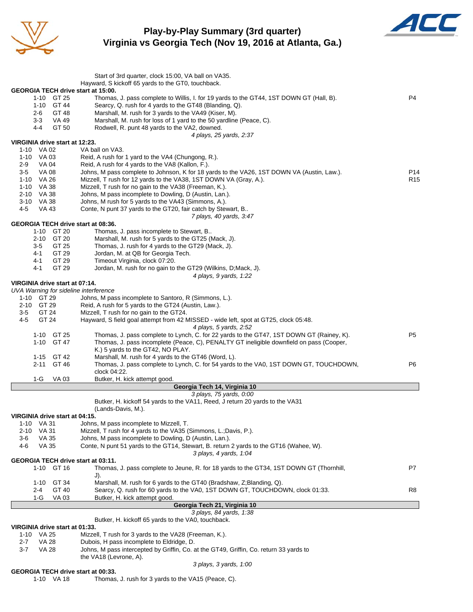

**Play-by-Play Summary (3rd quarter) Virginia vs Georgia Tech (Nov 19, 2016 at Atlanta, Ga.)**



|                                              | Start of 3rd quarter, clock 15:00, VA ball on VA35.                                                                                                                                 |                 |
|----------------------------------------------|-------------------------------------------------------------------------------------------------------------------------------------------------------------------------------------|-----------------|
|                                              | Hayward, S kickoff 65 yards to the GT0, touchback.                                                                                                                                  |                 |
| GEORGIA TECH drive start at 15:00.           |                                                                                                                                                                                     |                 |
| 1-10 GT 25                                   | Thomas, J. pass complete to Willis, I. for 19 yards to the GT44, 1ST DOWN GT (Hall, B).                                                                                             | P4              |
| 1-10 GT 44<br>2-6<br>GT 48                   | Searcy, Q. rush for 4 yards to the GT48 (Blanding, Q).<br>Marshall, M. rush for 3 yards to the VA49 (Kiser, M).                                                                     |                 |
| $3 - 3$<br>VA 49                             | Marshall, M. rush for loss of 1 yard to the 50 yardline (Peace, C).                                                                                                                 |                 |
| GT 50<br>4-4                                 | Rodwell, R. punt 48 yards to the VA2, downed.                                                                                                                                       |                 |
|                                              | 4 plays, 25 yards, 2:37                                                                                                                                                             |                 |
| VIRGINIA drive start at 12:23.<br>1-10 VA 02 | VA ball on VA3.                                                                                                                                                                     |                 |
| 1-10 VA 03                                   | Reid, A rush for 1 yard to the VA4 (Chungong, R.).                                                                                                                                  |                 |
| 2-9<br>VA 04                                 | Reid, A rush for 4 yards to the VA8 (Kallon, F.).                                                                                                                                   |                 |
| $3-5$<br><b>VA 08</b>                        | Johns, M pass complete to Johnson, K for 18 yards to the VA26, 1ST DOWN VA (Austin, Law.).                                                                                          | P <sub>14</sub> |
| 1-10 VA 26<br>1-10 VA 38                     | Mizzell, T rush for 12 yards to the VA38, 1ST DOWN VA (Gray, A.).<br>Mizzell, T rush for no gain to the VA38 (Freeman, K.).                                                         | R <sub>15</sub> |
| 2-10 VA 38                                   | Johns, M pass incomplete to Dowling, D (Austin, Lan.).                                                                                                                              |                 |
| 3-10 VA 38                                   | Johns, M rush for 5 yards to the VA43 (Simmons, A.).                                                                                                                                |                 |
| 4-5<br><b>VA 43</b>                          | Conte, N punt 37 yards to the GT20, fair catch by Stewart, B                                                                                                                        |                 |
| <b>GEORGIA TECH drive start at 08:36.</b>    | 7 plays, 40 yards, 3:47                                                                                                                                                             |                 |
| 1-10 GT 20                                   | Thomas, J. pass incomplete to Stewart, B                                                                                                                                            |                 |
| GT 20<br>2-10                                | Marshall, M. rush for 5 yards to the GT25 (Mack, J).                                                                                                                                |                 |
| GT 25<br>$3-5$                               | Thomas, J. rush for 4 yards to the GT29 (Mack, J).                                                                                                                                  |                 |
| GT 29<br>4-1                                 | Jordan, M. at QB for Georgia Tech.                                                                                                                                                  |                 |
| GT 29<br>4-1<br>$4 - 1$<br>GT 29             | Timeout Virginia, clock 07:20.<br>Jordan, M. rush for no gain to the GT29 (Wilkins, D;Mack, J).                                                                                     |                 |
|                                              | 4 plays, 9 yards, 1:22                                                                                                                                                              |                 |
| VIRGINIA drive start at 07:14.               |                                                                                                                                                                                     |                 |
| UVA Warning for sideline interference        |                                                                                                                                                                                     |                 |
| 1-10 GT 29<br>2-10 GT 29                     | Johns, M pass incomplete to Santoro, R (Simmons, L.).<br>Reid, A rush for 5 yards to the GT24 (Austin, Law.).                                                                       |                 |
| $3-5$<br>GT 24                               | Mizzell, T rush for no gain to the GT24.                                                                                                                                            |                 |
| GT 24<br>4-5                                 | Hayward, S field goal attempt from 42 MISSED - wide left, spot at GT25, clock 05:48.                                                                                                |                 |
|                                              | 4 plays, 5 yards, 2:52                                                                                                                                                              |                 |
| 1-10 GT 25<br>1-10 GT 47                     | Thomas, J. pass complete to Lynch, C. for 22 yards to the GT47, 1ST DOWN GT (Rainey, K).<br>Thomas, J. pass incomplete (Peace, C), PENALTY GT ineligible downfield on pass (Cooper, | P <sub>5</sub>  |
|                                              | K.) 5 yards to the GT42, NO PLAY.                                                                                                                                                   |                 |
| 1-15 GT 42                                   | Marshall, M. rush for 4 yards to the GT46 (Word, L).                                                                                                                                |                 |
| 2-11 GT 46                                   | Thomas, J. pass complete to Lynch, C. for 54 yards to the VA0, 1ST DOWN GT, TOUCHDOWN,                                                                                              | P6              |
|                                              | clock 04:22.                                                                                                                                                                        |                 |
| 1-G<br>VA 03                                 | Butker, H. kick attempt good.<br>Georgia Tech 14, Virginia 10                                                                                                                       |                 |
|                                              | 3 plays, 75 yards, 0:00                                                                                                                                                             |                 |
|                                              | Butker, H. kickoff 54 yards to the VA11, Reed, J return 20 yards to the VA31                                                                                                        |                 |
|                                              | (Lands-Davis, M.).                                                                                                                                                                  |                 |
| VIRGINIA drive start at 04:15.<br>1-10 VA 31 | Johns, M pass incomplete to Mizzell, T.                                                                                                                                             |                 |
| VA 31<br>2-10                                | Mizzell, T rush for 4 yards to the VA35 (Simmons, L.;Davis, P.).                                                                                                                    |                 |
| 3-6<br>VA 35                                 | Johns, M pass incomplete to Dowling, D (Austin, Lan.).                                                                                                                              |                 |
| VA 35<br>4-6                                 | Conte, N punt 51 yards to the GT14, Stewart, B. return 2 yards to the GT16 (Wahee, W).                                                                                              |                 |
| GEORGIA TECH drive start at 03:11.           | 3 plays, 4 yards, 1:04                                                                                                                                                              |                 |
| 1-10 GT 16                                   | Thomas, J. pass complete to Jeune, R. for 18 yards to the GT34, 1ST DOWN GT (Thornhill,                                                                                             | P7              |
|                                              | J).                                                                                                                                                                                 |                 |
| $1 - 10$<br>GT 34                            | Marshall, M. rush for 6 yards to the GT40 (Bradshaw, Z;Blanding, Q).                                                                                                                |                 |
| GT 40<br>2-4<br>1-G<br>VA 03                 | Searcy, Q. rush for 60 yards to the VA0, 1ST DOWN GT, TOUCHDOWN, clock 01:33.<br>Butker, H. kick attempt good.                                                                      | R8              |
|                                              | Georgia Tech 21, Virginia 10                                                                                                                                                        |                 |
|                                              | 3 plays, 84 yards, 1:38                                                                                                                                                             |                 |
|                                              | Butker, H. kickoff 65 yards to the VA0, touchback.                                                                                                                                  |                 |
| VIRGINIA drive start at 01:33.               |                                                                                                                                                                                     |                 |
| 1-10 VA 25<br><b>VA 28</b><br>$2 - 7$        | Mizzell, T rush for 3 yards to the VA28 (Freeman, K.).<br>Dubois, H pass incomplete to Eldridge, D.                                                                                 |                 |
| $3 - 7$<br>VA 28                             | Johns, M pass intercepted by Griffin, Co. at the GT49, Griffin, Co. return 33 yards to                                                                                              |                 |
|                                              | the VA18 (Levrone, A).                                                                                                                                                              |                 |
|                                              | 3 plays, 3 yards, 1:00                                                                                                                                                              |                 |

**GEORGIA TECH drive start at 00:33.**<br>1-10 VA 18 Thomas,

Thomas, J. rush for 3 yards to the VA15 (Peace, C).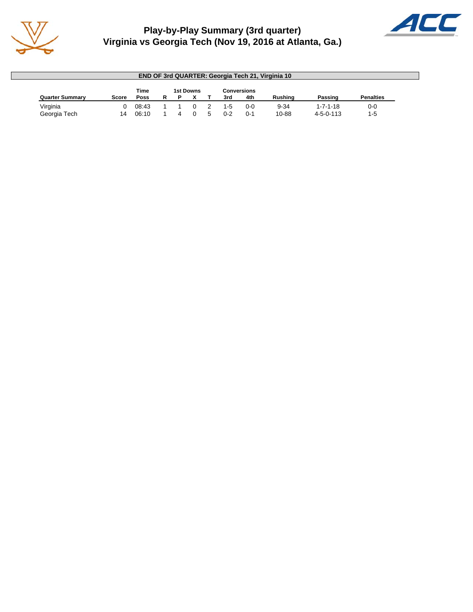

## **Play-by-Play Summary (3rd quarter) Virginia vs Georgia Tech (Nov 19, 2016 at Atlanta, Ga.)**



|                        |       |             |  |           |     |                    | <b>END OF 3rd QUARTER: Georgia Tech 21, Virginia 10</b> |                   |                  |
|------------------------|-------|-------------|--|-----------|-----|--------------------|---------------------------------------------------------|-------------------|------------------|
|                        |       | Time        |  | 1st Downs |     | <b>Conversions</b> |                                                         |                   |                  |
| <b>Quarter Summary</b> | Score | <b>Poss</b> |  |           | 3rd | 4th                | Rushina                                                 | Passing           | <b>Penalties</b> |
| Virginia               |       | 08:43       |  |           | 1-5 | $0 - 0$            | $9 - 34$                                                | $1 - 7 - 1 - 18$  | $0-0$            |
| Georgia Tech           | 14    | 06:10       |  |           | በ-2 | 0-1                | 10-88                                                   | $4 - 5 - 0 - 113$ | $1 - 5$          |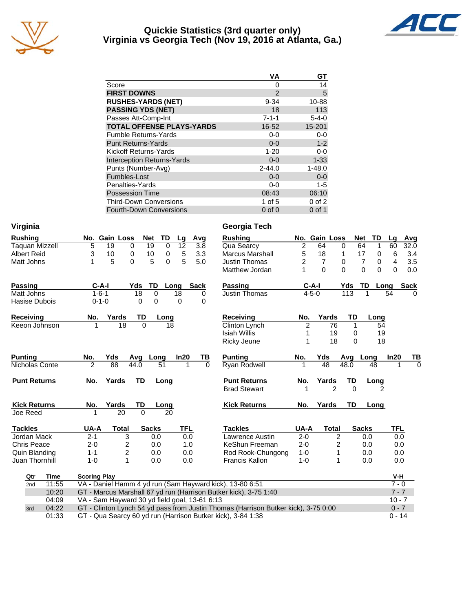

#### **Quickie Statistics (3rd quarter only) Virginia vs Georgia Tech (Nov 19, 2016 at Atlanta, Ga.)**



|                                   | VА          | GТ          |
|-----------------------------------|-------------|-------------|
| Score                             | 0           | 14          |
| <b>FIRST DOWNS</b>                | 2           | 5           |
| <b>RUSHES-YARDS (NET)</b>         | $9 - 34$    | 10-88       |
| <b>PASSING YDS (NET)</b>          | 18          | 113         |
| Passes Att-Comp-Int               | $7 - 1 - 1$ | $5 - 4 - 0$ |
| <b>TOTAL OFFENSE PLAYS-YARDS</b>  | 16-52       | 15-201      |
| <b>Fumble Returns-Yards</b>       | $0 - 0$     | $0-0$       |
| <b>Punt Returns-Yards</b>         | $0 - 0$     | $1 - 2$     |
| Kickoff Returns-Yards             | $1 - 20$    | $0-0$       |
| <b>Interception Returns-Yards</b> | $0 - 0$     | $1 - 33$    |
| Punts (Number-Avg)                | $2 - 44.0$  | $1 - 48.0$  |
| Fumbles-Lost                      | $0 - 0$     | $0 - 0$     |
| Penalties-Yards                   | $0-0$       | $1 - 5$     |
| <b>Possession Time</b>            | 08:43       | 06:10       |
| <b>Third-Down Conversions</b>     | 1 of $5$    | $0$ of $2$  |
| <b>Fourth-Down Conversions</b>    | $0$ of $0$  | $0$ of 1    |

| Virginia              |                                               |                                |                                |          | Georgia Tech                                                                                                                                      |                |                |             |                     |                     |             |
|-----------------------|-----------------------------------------------|--------------------------------|--------------------------------|----------|---------------------------------------------------------------------------------------------------------------------------------------------------|----------------|----------------|-------------|---------------------|---------------------|-------------|
| <b>Rushing</b>        | No. Gain Loss                                 | <b>Net</b>                     | TD<br>Lg                       | Avg      | <b>Rushing</b>                                                                                                                                    |                | No. Gain Loss  |             | <b>Net</b><br>TD    | Lq                  | Avg         |
| <b>Taquan Mizzell</b> | 5<br>19                                       | 0<br>19                        | $\overline{12}$<br>$\mathbf 0$ | 3.8      | Qua Searcy                                                                                                                                        | $\overline{2}$ | 64             | $\mathbf 0$ | 64<br>1             | 60                  | 32.0        |
| <b>Albert Reid</b>    | 3<br>10                                       | 0<br>10                        | 5<br>$\pmb{0}$                 | 3.3      | <b>Marcus Marshall</b>                                                                                                                            | 5              | 18             | 1           | 17<br>0             | 6                   | 3.4         |
| Matt Johns            | 5<br>1                                        | 0<br>5                         | 5<br>0                         | 5.0      | <b>Justin Thomas</b>                                                                                                                              | 2              | $\overline{7}$ | 0           | $\overline{7}$<br>0 | 4                   | 3.5         |
|                       |                                               |                                |                                |          | Matthew Jordan                                                                                                                                    |                | $\Omega$       | $\Omega$    | $\Omega$<br>0       | $\Omega$            | 0.0         |
| <b>Passing</b>        | $C-A-I$                                       | TD<br>Yds                      | Long                           | Sack     | Passing                                                                                                                                           |                | $C-A-I$        | Yds         | TD                  | Long                | <b>Sack</b> |
| Matt Johns            | $1 - 6 - 1$                                   | 18<br>$\Omega$                 | 18                             | 0        | Justin Thomas                                                                                                                                     |                | $4 - 5 - 0$    | 113         | 1                   | 54                  | 0           |
| Hasise Dubois         | $0 - 1 - 0$                                   | $\mathbf 0$<br>0               | $\mathbf 0$                    | 0        |                                                                                                                                                   |                |                |             |                     |                     |             |
| <b>Receiving</b>      | Yards<br>No.                                  | TD                             | Long                           |          | <b>Receiving</b>                                                                                                                                  | No.            | Yards          | TD          | Long                |                     |             |
| Keeon Johnson         | 18<br>1                                       | $\Omega$                       | 18                             |          | Clinton Lynch                                                                                                                                     | 2              | 76             | 1           | 54                  |                     |             |
|                       |                                               |                                |                                |          | <b>Isiah Willis</b>                                                                                                                               | 1              | 19             | 0           | 19                  |                     |             |
|                       |                                               |                                |                                |          | Ricky Jeune                                                                                                                                       | 1              | 18             | $\Omega$    | 18                  |                     |             |
| <b>Punting</b>        | No.<br>Yds                                    | Long<br>Avg                    | In20                           | ΤВ       | <b>Punting</b>                                                                                                                                    | No.            | Yds            | Avg         | Long                | In20                | ТВ          |
| Nicholas Conte        | 88<br>2                                       | 44.0                           | 51                             | $\Omega$ | Ryan Rodwell                                                                                                                                      |                | 48             | 48.0        | 48                  | 1                   | $\Omega$    |
| <b>Punt Returns</b>   | Yards<br>No.                                  | <b>TD</b>                      | Long                           |          | <b>Punt Returns</b>                                                                                                                               | No.            | Yards          | TD          | Long                |                     |             |
|                       |                                               |                                |                                |          | <b>Brad Stewart</b>                                                                                                                               |                | $\mathfrak{p}$ | $\Omega$    |                     |                     |             |
| <b>Kick Returns</b>   | Yards<br>No.                                  | TD                             | Long                           |          | <b>Kick Returns</b>                                                                                                                               | No.            | Yards          | <b>TD</b>   | Long                |                     |             |
| Joe Reed              | 20<br>1                                       | $\Omega$                       | 20                             |          |                                                                                                                                                   |                |                |             |                     |                     |             |
| <b>Tackles</b>        | UA-A<br><b>Total</b>                          | <b>Sacks</b>                   | <b>TFL</b>                     |          | <b>Tackles</b>                                                                                                                                    | UA-A           | <b>Total</b>   |             | <b>Sacks</b>        | <b>TFL</b>          |             |
| Jordan Mack           | $2 - 1$                                       | 3<br>0.0                       |                                | 0.0      | Lawrence Austin                                                                                                                                   | $2 - 0$        | $\overline{2}$ |             | 0.0                 | 0.0                 |             |
| <b>Chris Peace</b>    | $2 - 0$                                       | 2<br>0.0                       |                                | 1.0      | KeShun Freeman                                                                                                                                    | $2 - 0$        | 2              |             | 0.0                 | 0.0                 |             |
| Quin Blanding         | $1 - 1$                                       | $\overline{\mathbf{c}}$<br>0.0 |                                | 0.0      | Rod Rook-Chungong                                                                                                                                 | $1 - 0$        | 1              |             | 0.0                 | 0.0                 |             |
| Juan Thornhill        | $1 - 0$                                       | 1<br>0.0                       |                                | 0.0      | <b>Francis Kallon</b>                                                                                                                             | $1 - 0$        | 1              |             | 0.0                 | 0.0                 |             |
| Time<br>Qtr           | <b>Scoring Play</b>                           |                                |                                |          |                                                                                                                                                   |                |                |             |                     | V-H                 |             |
| 11:55<br>2nd          |                                               |                                |                                |          | VA - Daniel Hamm 4 yd run (Sam Hayward kick), 13-80 6:51                                                                                          |                |                |             |                     | $7 - 0$             |             |
| 10:20                 |                                               |                                |                                |          | GT - Marcus Marshall 67 yd run (Harrison Butker kick), 3-75 1:40                                                                                  |                |                |             |                     | $7 - 7$             |             |
| 04:09                 | VA - Sam Hayward 30 yd field goal, 13-61 6:13 |                                |                                |          |                                                                                                                                                   |                |                |             |                     | $10 - 7$            |             |
| 04:22<br>3rd          |                                               |                                |                                |          |                                                                                                                                                   |                |                |             |                     |                     |             |
| 01:33                 |                                               |                                |                                |          | GT - Clinton Lynch 54 yd pass from Justin Thomas (Harrison Butker kick), 3-75 0:00<br>GT - Qua Searcy 60 yd run (Harrison Butker kick), 3-84 1:38 |                |                |             |                     | $0 - 7$<br>$0 - 14$ |             |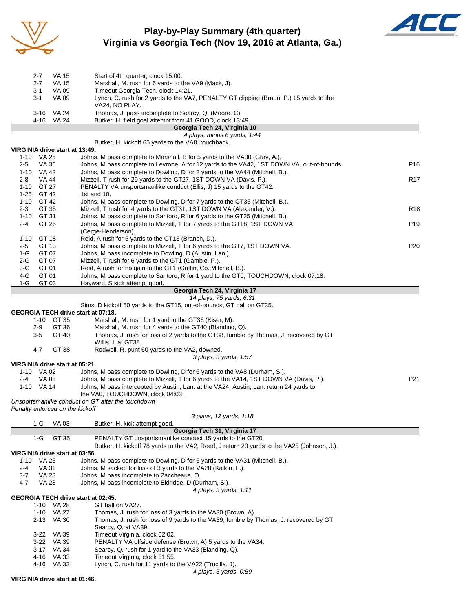

## **Play-by-Play Summary (4th quarter) Virginia vs Georgia Tech (Nov 19, 2016 at Atlanta, Ga.)**



|         |              | Georgia Tech 24, Virginia 10                                                           |
|---------|--------------|----------------------------------------------------------------------------------------|
| 4-16    | <b>VA 24</b> | Butker, H. field goal attempt from 41 GOOD, clock 13:49.                               |
| 3-16    | VA 24        | Thomas, J. pass incomplete to Searcy, Q. (Moore, C).                                   |
|         |              | VA24. NO PLAY.                                                                         |
| $3 - 1$ | VA 09        | Lynch, C. rush for 2 yards to the VA7, PENALTY GT clipping (Braun, P.) 15 yards to the |
| $3 - 1$ | VA 09        | Timeout Georgia Tech, clock 14:21.                                                     |
|         |              |                                                                                        |
| $2 - 7$ | VA 15        | Marshall, M. rush for 6 yards to the VA9 (Mack, J).                                    |
| $2 - 7$ | VA 15        | Start of 4th quarter, clock 15:00.                                                     |
|         |              |                                                                                        |

*4 plays, minus 6 yards, 1:44* Butker, H. kickoff 65 yards to the VA0, touchback. **VIRGINIA drive start at 13:49.** Johns, M pass complete to Marshall, B for 5 yards to the VA30 (Gray, A.). 2-5 VA 30 Johns, M pass complete to Levrone, A for 12 yards to the VA42, 1ST DOWN VA, out-of-bounds. P16 1-10 VA 42 Johns, M pass complete to Dowling, D for 2 yards to the VA44 (Mitchell, B.). 2-8 VA 44 Mizzell, T rush for 29 yards to the GT27, 1ST DOWN VA (Davis, P.). R17 1-10 GT 27 PENALTY VA unsportsmanlike conduct (Ellis, J) 15 yards to the GT42. 1-25 GT 42 1st and 10. 1-10 GT 42 Johns, M pass complete to Dowling, D for 7 yards to the GT35 (Mitchell, B.). 2-3 GT 35 Mizzell, T rush for 4 yards to the GT31, 1ST DOWN VA (Alexander, V.).<br>1-10 GT 31 Johns, M pass complete to Santoro, R for 6 yards to the GT25 (Mitchell, B.). 1-10 GT 31 Johns, M pass complete to Santoro, R for 6 yards to the GT25 (Mitchell, B.). 2-4 GT 25 Johns, M pass complete to Mizzell, T for 7 yards to the GT18, 1ST DOWN VA P19 (Cerge-Henderson). 1-10 GT 18 Reid, A rush for 5 yards to the GT13 (Branch, D.). 2-5 GT 13 Johns, M pass complete to Mizzell, T for 6 yards to the GT7, 1ST DOWN VA. P20 1-G GT 07 Johns, M pass incomplete to Dowling, D (Austin, Lan.). 2-G GT 07 Mizzell, T rush for 6 yards to the GT1 (Gamble, P.). 3-G GT 01 Reid, A rush for no gain to the GT1 (Griffin, Co.;Mitchell, B.). 4-G GT 01 Johns, M pass complete to Santoro, R for 1 yard to the GT0, TOUCHDOWN, clock 07:18. 1-G GT 03 Hayward, S kick attempt good.

#### **Georgia Tech 24, Virginia 17**

#### *14 plays, 75 yards, 6:31*

Sims, D kickoff 50 yards to the GT15, out-of-bounds, GT ball on GT35.

#### **GEORGIA TECH drive start at 07:18.**

| 1-10 GT 35 | Marshall, M. rush for 1 yard to the GT36 (Kiser, M). |
|------------|------------------------------------------------------|
|------------|------------------------------------------------------|

|  | 2-9 GT 36 | Marshall, M. rush for 4 yards to the GT40 (Blanding, Q). |  |  |
|--|-----------|----------------------------------------------------------|--|--|
|--|-----------|----------------------------------------------------------|--|--|

- 3-5 GT 40 Thomas, J. rush for loss of 2 yards to the GT38, fumble by Thomas, J. recovered by GT Willis, I. at GT38.
- 4-7 GT 38 Rodwell, R. punt 60 yards to the VA2, downed. *3 plays, 3 yards, 1:57*

**VIRGINIA drive start at 05:21.**

|     | 1-10 VA 02 | Johns, M pass complete to Dowling, D for 6 yards to the VA8 (Durham, S.).              |     |
|-----|------------|----------------------------------------------------------------------------------------|-----|
| 2-4 | VA 08      | Johns, M pass complete to Mizzell, T for 6 yards to the VA14, 1ST DOWN VA (Davis, P.). | P21 |
|     | 1-10 VA 14 | Johns, M pass intercepted by Austin, Lan. at the VA24, Austin, Lan. return 24 yards to |     |

the VA0, TOUCHDOWN, clock 04:03.

*Unsportsmanlike conduct on GT after the touchdown*

*Penalty enforced on the kickoff*

#### *3 plays, 12 yards, 1:18*

| 1-G                            | VA 03      | Butker, H. kick attempt good.                                                              |
|--------------------------------|------------|--------------------------------------------------------------------------------------------|
|                                |            | Georgia Tech 31, Virginia 17                                                               |
| $1-G$                          | GT 35      | PENALTY GT unsportsmanlike conduct 15 yards to the GT20.                                   |
|                                |            | Butker, H. kickoff 78 yards to the VA2, Reed, J return 23 yards to the VA25 (Johnson, J.). |
| VIRGINIA drive start at 03:56. |            |                                                                                            |
| VA 25<br>1-10                  |            | Johns, M pass complete to Dowling, D for 6 yards to the VA31 (Mitchell, B.).               |
| VA 31<br>2-4                   |            | Johns, M sacked for loss of 3 yards to the VA28 (Kallon, F.).                              |
| $3 - 7$                        | VA 28      | Johns, M pass incomplete to Zaccheaus, O.                                                  |
| $4 - 7$                        | VA 28      | Johns, M pass incomplete to Eldridge, D (Durham, S.).                                      |
|                                |            | 4 plays, 3 yards, 1:11                                                                     |
|                                |            | <b>GEORGIA TECH drive start at 02:45.</b>                                                  |
|                                | 1-10 VA 28 | GT ball on VA27.                                                                           |
| 1-10                           | VA 27      | Thomas, J. rush for loss of 3 yards to the VA30 (Brown, A).                                |
|                                | 2-13 VA 30 | Thomas, J. rush for loss of 9 yards to the VA39, fumble by Thomas, J. recovered by GT      |
|                                |            | Searcy, Q. at VA39.                                                                        |
|                                | 3-22 VA 39 | Timeout Virginia, clock 02:02.                                                             |
| $3-22$                         | VA 39      | PENALTY VA offside defense (Brown, A) 5 yards to the VA34.                                 |
| $3 - 17$                       | VA 34      | Searcy, Q. rush for 1 yard to the VA33 (Blanding, Q).                                      |
| 4-16                           | VA 33      | Timeout Virginia, clock 01:55.                                                             |
| 4-16                           | VA 33      | Lynch, C. rush for 11 yards to the VA22 (Trucilla, J).                                     |
|                                |            | 4 plays, 5 yards, 0:59                                                                     |
| MIDCINIA drive start at 01.46  |            |                                                                                            |

**VIRGINIA drive start at 01:46.**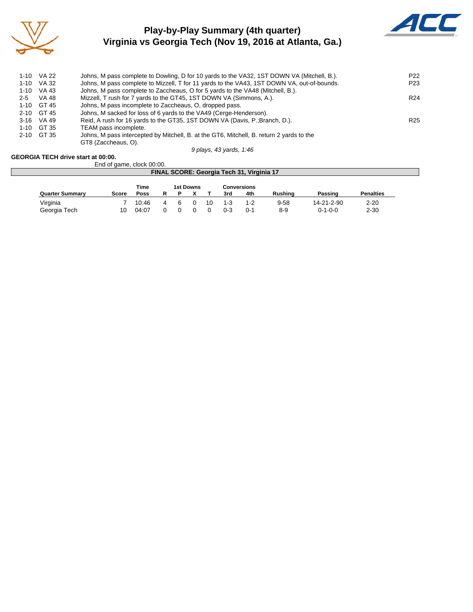

## **Play-by-Play Summary (4th quarter) Virginia vs Georgia Tech (Nov 19, 2016 at Atlanta, Ga.)**



|         | 1-10 VA 22   | Johns, M pass complete to Dowling, D for 10 yards to the VA32, 1ST DOWN VA (Mitchell, B.).                      | P <sub>22</sub> |
|---------|--------------|-----------------------------------------------------------------------------------------------------------------|-----------------|
|         | 1-10 VA 32   | Johns, M pass complete to Mizzell, T for 11 yards to the VA43, 1ST DOWN VA, out-of-bounds.                      | P <sub>23</sub> |
|         | 1-10 VA 43   | Johns, M pass complete to Zaccheaus, O for 5 yards to the VA48 (Mitchell, B.).                                  |                 |
| $2 - 5$ | VA 48        | Mizzell, T rush for 7 yards to the GT45, 1ST DOWN VA (Simmons, A.).                                             | R <sub>24</sub> |
|         | $1-10$ GT 45 | Johns, M pass incomplete to Zaccheaus, O, dropped pass.                                                         |                 |
|         | 2-10 GT 45   | Johns, M sacked for loss of 6 yards to the VA49 (Cerge-Henderson).                                              |                 |
|         | 3-16 VA 49   | Reid, A rush for 16 yards to the GT35, 1ST DOWN VA (Davis, P.; Branch, D.).                                     | R <sub>25</sub> |
|         | 1-10 GT 35   | TEAM pass incomplete.                                                                                           |                 |
|         | 2-10 GT 35   | Johns, M pass intercepted by Mitchell, B. at the GT6, Mitchell, B. return 2 vards to the<br>GT8 (Zaccheaus, O). |                 |
|         |              |                                                                                                                 |                 |

*9 plays, 43 yards, 1:46*

#### **GEORGIA TECH drive start at 00:00.**

|                        | End of game, clock 00:00. |             |   |          |                  |    |     |                                           |                |                 |                  |  |
|------------------------|---------------------------|-------------|---|----------|------------------|----|-----|-------------------------------------------|----------------|-----------------|------------------|--|
|                        |                           |             |   |          |                  |    |     | FINAL SCORE: Georgia Tech 31, Virginia 17 |                |                 |                  |  |
|                        |                           | <b>Time</b> |   | Р        | <b>1st Downs</b> |    |     | <b>Conversions</b><br>4th                 | <b>Rushing</b> |                 | <b>Penalties</b> |  |
| <b>Quarter Summary</b> | Score                     | <b>Poss</b> |   |          |                  |    | 3rd |                                           |                | Passing         |                  |  |
| Virginia               |                           | 10:46       | 4 | <b>6</b> |                  | 10 | 1-3 | $1 - 2$                                   | $9 - 58$       | 14-21-2-90      | $2 - 20$         |  |
| Georgia Tech           | 10                        | 04:07       |   |          |                  |    | 0-3 | $0 - 1$                                   | $8 - 9$        | $0 - 1 - 0 - 0$ | $2 - 30$         |  |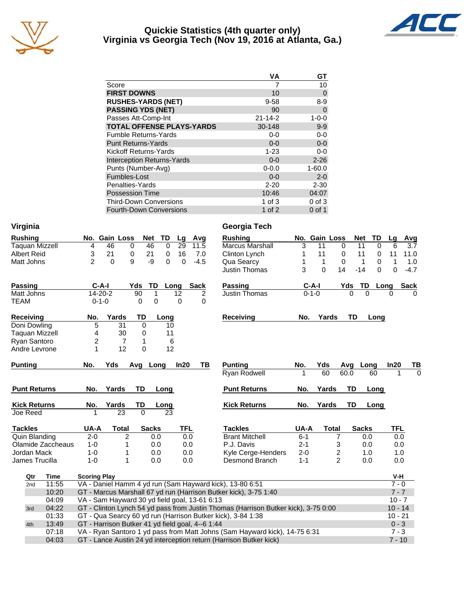

#### **Quickie Statistics (4th quarter only) Virginia vs Georgia Tech (Nov 19, 2016 at Atlanta, Ga.)**



|                                   | VA            | GТ             |
|-----------------------------------|---------------|----------------|
| Score                             |               | 10             |
| <b>FIRST DOWNS</b>                | 10            | $\overline{0}$ |
| <b>RUSHES-YARDS (NET)</b>         | $9 - 58$      | $8 - 9$        |
| <b>PASSING YDS (NET)</b>          | 90            | $\Omega$       |
| Passes Att-Comp-Int               | $21 - 14 - 2$ | $1 - 0 - 0$    |
| <b>TOTAL OFFENSE PLAYS-YARDS</b>  | 30-148        | $9-9$          |
| <b>Fumble Returns-Yards</b>       | $0-0$         | $0 - 0$        |
| <b>Punt Returns-Yards</b>         | $0 - 0$       | $0-0$          |
| <b>Kickoff Returns-Yards</b>      | $1 - 23$      | $0-0$          |
| <b>Interception Returns-Yards</b> | $0 - 0$       | $2 - 26$       |
| Punts (Number-Avg)                | $0 - 0.0$     | $1 - 60.0$     |
| Fumbles-Lost                      | $0 - 0$       | $2 - 0$        |
| Penalties-Yards                   | $2 - 20$      | $2 - 30$       |
| <b>Possession Time</b>            | 10:46         | 04:07          |
| <b>Third-Down Conversions</b>     | 1 of $3$      | $0$ of $3$     |
| <b>Fourth-Down Conversions</b>    | 1 of $2$      | $0$ of 1       |

| Virginia              |                   |                     |                                                  |              |          |          |             | Georgia Tech                                                                                                                                     |         |               |                |              |          |                     |             |
|-----------------------|-------------------|---------------------|--------------------------------------------------|--------------|----------|----------|-------------|--------------------------------------------------------------------------------------------------------------------------------------------------|---------|---------------|----------------|--------------|----------|---------------------|-------------|
| <b>Rushing</b>        |                   |                     | No. Gain Loss                                    | Net          | TD       | Lg       | Avg         | <b>Rushing</b>                                                                                                                                   |         | No. Gain Loss |                | <b>Net</b>   | TD       | Lg                  | Avg         |
| <b>Taquan Mizzell</b> |                   | 4                   | 46<br>$\mathbf 0$                                | 46           | $\Omega$ | 29       | 11.5        | <b>Marcus Marshall</b>                                                                                                                           | 3       | 11            | $\Omega$       | 11           | $\Omega$ | 6                   | 3.7         |
| <b>Albert Reid</b>    |                   | 3                   | 21<br>0                                          | 21           | 0        | 16       | 7.0         | Clinton Lynch                                                                                                                                    | 1       | 11            | 0              | 11           | 0        | 11                  | 11.0        |
| Matt Johns            |                   | $\overline{2}$      | 9<br>$\Omega$                                    | $-9$         | 0        | 0        | $-4.5$      | Qua Searcy                                                                                                                                       | 1       | $\mathbf 1$   | 0              |              | 1<br>0   | 1                   | 1.0         |
|                       |                   |                     |                                                  |              |          |          |             | Justin Thomas                                                                                                                                    | 3       | $\Omega$      | 14             | $-14$        | 0        | $\Omega$            | $-4.7$      |
| <b>Passing</b>        |                   | $C-A-I$             |                                                  | Yds<br>TD    | Long     |          | <b>Sack</b> | Passing                                                                                                                                          |         | $C-A-I$       |                | Yds          | TD       | Long                | <b>Sack</b> |
| Matt Johns            |                   | $14 - 20 - 2$       |                                                  | 90<br>1      |          | 12       | 2           | <b>Justin Thomas</b>                                                                                                                             |         | $0 - 1 - 0$   |                | O            | $\Omega$ | $\Omega$            | $\Omega$    |
| <b>TEAM</b>           |                   | $0 - 1 - 0$         |                                                  | 0<br>0       |          | $\Omega$ | 0           |                                                                                                                                                  |         |               |                |              |          |                     |             |
| <b>Receiving</b>      |                   | No.                 | Yards                                            | TD           | Long     |          |             | <b>Receiving</b>                                                                                                                                 | No.     | Yards         |                | TD           | Long     |                     |             |
| Doni Dowling          |                   | 5                   | 31                                               | $\Omega$     | 10       |          |             |                                                                                                                                                  |         |               |                |              |          |                     |             |
| Taquan Mizzell        |                   | 4                   | 30                                               | 0            | 11       |          |             |                                                                                                                                                  |         |               |                |              |          |                     |             |
| Ryan Santoro          |                   | $\overline{c}$      | $\overline{7}$                                   | 1            | 6        |          |             |                                                                                                                                                  |         |               |                |              |          |                     |             |
| Andre Levrone         |                   | 1                   | 12                                               | 0            | 12       |          |             |                                                                                                                                                  |         |               |                |              |          |                     |             |
| <b>Punting</b>        |                   | No.                 | Yds                                              | Avg Long     |          | In20     | ΤВ          | <b>Punting</b>                                                                                                                                   | No.     | Yds           |                | Avg          | Long     | In20                | <u>тв</u>   |
|                       |                   |                     |                                                  |              |          |          |             | Ryan Rodwell                                                                                                                                     | 1       | 60            |                | 60.0         | 60       | 1                   | $\Omega$    |
| <b>Punt Returns</b>   |                   | No.                 | Yards                                            | TD           | Long     |          |             | <b>Punt Returns</b>                                                                                                                              | No.     | Yards         |                | TD           | Long     |                     |             |
| <b>Kick Returns</b>   |                   | No.                 | Yards                                            | TD           | Long     |          |             | <b>Kick Returns</b>                                                                                                                              | No.     | Yards         |                | <b>TD</b>    | Long     |                     |             |
| Joe Reed              |                   |                     | 23                                               | $\Omega$     | 23       |          |             |                                                                                                                                                  |         |               |                |              |          |                     |             |
| <b>Tackles</b>        |                   | UA-A                | <b>Total</b>                                     | <b>Sacks</b> |          | TFL      |             | <b>Tackles</b>                                                                                                                                   | UA-A    |               | <b>Total</b>   | <b>Sacks</b> |          | <b>TFL</b>          |             |
| Quin Blanding         |                   | $2 - 0$             | 2                                                | 0.0          |          | 0.0      |             | <b>Brant Mitchell</b>                                                                                                                            | $6 - 1$ |               | 7              |              | 0.0      | 0.0                 |             |
|                       | Olamide Zaccheaus | $1 - 0$             | 1                                                | 0.0          |          | 0.0      |             | P.J. Davis                                                                                                                                       | $2 - 1$ |               | 3              |              | 0.0      | 0.0                 |             |
| Jordan Mack           |                   | $1 - 0$             | 1                                                | 0.0          |          | 0.0      |             | Kyle Cerge-Henders                                                                                                                               | $2 - 0$ |               | 2              |              | 1.0      | 1.0                 |             |
| James Trucilla        |                   | $1 - 0$             | 1                                                | 0.0          |          | 0.0      |             | Desmond Branch                                                                                                                                   | $1 - 1$ |               | $\overline{2}$ |              | 0.0      | 0.0                 |             |
| Qtr                   | <b>Time</b>       | <b>Scoring Play</b> |                                                  |              |          |          |             |                                                                                                                                                  |         |               |                |              |          | V-H                 |             |
| 2nd                   | 11:55             |                     |                                                  |              |          |          |             | VA - Daniel Hamm 4 yd run (Sam Hayward kick), 13-80 6:51                                                                                         |         |               |                |              |          | $7 - 0$             |             |
|                       | 10:20             |                     |                                                  |              |          |          |             | GT - Marcus Marshall 67 yd run (Harrison Butker kick), 3-75 1:40                                                                                 |         |               |                |              |          | $7 - 7$             |             |
|                       | 04:09             |                     | VA - Sam Hayward 30 yd field goal, 13-61 6:13    |              |          |          |             |                                                                                                                                                  |         |               |                |              |          | $10 - 7$            |             |
| 3rd                   | 04:22             |                     |                                                  |              |          |          |             | GT - Clinton Lynch 54 yd pass from Justin Thomas (Harrison Butker kick), 3-75 0:00                                                               |         |               |                |              |          | $10 - 14$           |             |
|                       | 01:33             |                     |                                                  |              |          |          |             | GT - Qua Searcy 60 yd run (Harrison Butker kick), 3-84 1:38                                                                                      |         |               |                |              |          | $10 - 21$           |             |
| 4th                   | 13:49             |                     | GT - Harrison Butker 41 yd field goal, 4--6 1:44 |              |          |          |             |                                                                                                                                                  |         |               |                |              |          | $0 - 3$             |             |
|                       |                   |                     |                                                  |              |          |          |             |                                                                                                                                                  |         |               |                |              |          |                     |             |
|                       | 07:18<br>04:03    |                     |                                                  |              |          |          |             | VA - Ryan Santoro 1 yd pass from Matt Johns (Sam Hayward kick), 14-75 6:31<br>GT - Lance Austin 24 yd interception return (Harrison Butker kick) |         |               |                |              |          | $7 - 3$<br>$7 - 10$ |             |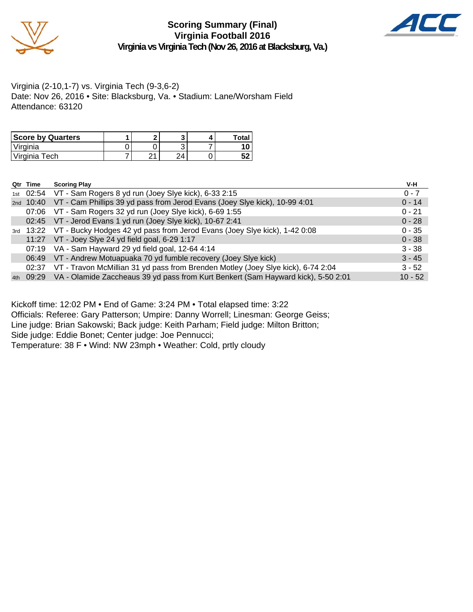

**Scoring Summary (Final) Virginia Football 2016 Virginia vs Virginia Tech (Nov 26, 2016 at Blacksburg, Va.)**



Virginia (2-10,1-7) vs. Virginia Tech (9-3,6-2) Date: Nov 26, 2016 • Site: Blacksburg, Va. • Stadium: Lane/Worsham Field Attendance: 63120

| <b>Score by Quarters</b> |      |                        | Total.   |
|--------------------------|------|------------------------|----------|
| 'Virginia                |      |                        |          |
| Virginia Tech            | ົາ 1 | $\boldsymbol{\Lambda}$ | -0<br>JZ |

|     | Qtr Time | <b>Scoring Play</b>                                                                     | V-H       |
|-----|----------|-----------------------------------------------------------------------------------------|-----------|
|     |          | 1st 02:54 VT - Sam Rogers 8 yd run (Joey Slye kick), 6-33 2:15                          | $0 - 7$   |
|     |          | 2nd 10:40 VT - Cam Phillips 39 yd pass from Jerod Evans (Joey Slye kick), 10-99 4:01    | $0 - 14$  |
|     |          | 07:06 VT - Sam Rogers 32 yd run (Joey Slye kick), 6-69 1:55                             | $0 - 21$  |
|     |          | 02:45 VT - Jerod Evans 1 yd run (Joey Slye kick), 10-67 2:41                            | $0 - 28$  |
|     |          | 3rd 13:22 VT - Bucky Hodges 42 yd pass from Jerod Evans (Joey Slye kick), 1-42 0:08     | $0 - 35$  |
|     |          | 11:27 VT - Joey Slye 24 yd field goal, 6-29 1:17                                        | $0 - 38$  |
|     |          | 07:19 VA - Sam Hayward 29 yd field goal, 12-64 4:14                                     | $3 - 38$  |
|     |          | 06:49 VT - Andrew Motuapuaka 70 yd fumble recovery (Joey Slye kick)                     | $3 - 45$  |
|     |          | 02:37 VT - Travon McMillian 31 yd pass from Brenden Motley (Joey Slye kick), 6-74 2:04  | $3 - 52$  |
| 4th |          | 09:29 VA - Olamide Zaccheaus 39 yd pass from Kurt Benkert (Sam Hayward kick), 5-50 2:01 | $10 - 52$ |

Kickoff time: 12:02 PM • End of Game: 3:24 PM • Total elapsed time: 3:22

Officials: Referee: Gary Patterson; Umpire: Danny Worrell; Linesman: George Geiss;

Line judge: Brian Sakowski; Back judge: Keith Parham; Field judge: Milton Britton;

Side judge: Eddie Bonet; Center judge: Joe Pennucci;

Temperature: 38 F • Wind: NW 23mph • Weather: Cold, prtly cloudy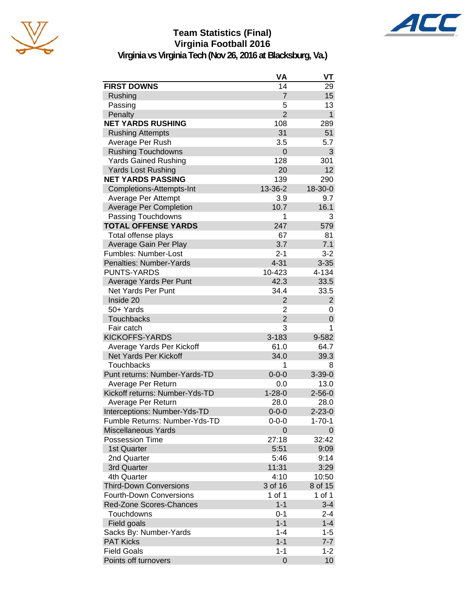





**Virginia vs Virginia Tech (Nov 26, 2016 at Blacksburg, Va.)**

|                                | VA             | VT               |
|--------------------------------|----------------|------------------|
| <b>FIRST DOWNS</b>             | 14             | 29               |
| Rushing                        | $\overline{7}$ | 15               |
| Passing                        | 5              | 13               |
| Penalty                        | $\overline{2}$ | $\mathbf{1}$     |
| <b>NET YARDS RUSHING</b>       | 108            | 289              |
| <b>Rushing Attempts</b>        | 31             | 51               |
| Average Per Rush               | 3.5            | 5.7              |
| <b>Rushing Touchdowns</b>      | 0              | 3                |
| <b>Yards Gained Rushing</b>    | 128            | 301              |
| <b>Yards Lost Rushing</b>      | 20             | 12               |
| <b>NET YARDS PASSING</b>       | 139            | 290              |
| Completions-Attempts-Int       | 13-36-2        | 18-30-0          |
| Average Per Attempt            | 3.9            | 9.7              |
| <b>Average Per Completion</b>  | 10.7           | 16.1             |
| Passing Touchdowns             | 1              | 3                |
| <b>TOTAL OFFENSE YARDS</b>     | 247            | 579              |
| Total offense plays            | 67             | 81               |
| Average Gain Per Play          | 3.7            | 7.1              |
| Fumbles: Number-Lost           | $2 - 1$        | $3 - 2$          |
| Penalties: Number-Yards        | $4 - 31$       | $3 - 35$         |
| <b>PUNTS-YARDS</b>             | 10-423         | 4-134            |
| Average Yards Per Punt         | 42.3           | 33.5             |
| Net Yards Per Punt             | 34.4           | 33.5             |
| Inside 20                      | $\overline{2}$ | $\overline{c}$   |
| 50+ Yards                      | $\overline{2}$ | 0                |
| <b>Touchbacks</b>              | $\overline{2}$ | $\boldsymbol{0}$ |
| Fair catch                     | 3              | 1                |
| <b>KICKOFFS-YARDS</b>          | 3-183          | 9-582            |
| Average Yards Per Kickoff      | 61.0           | 64.7             |
| <b>Net Yards Per Kickoff</b>   | 34.0           | 39.3             |
| <b>Touchbacks</b>              | 1              | 8                |
| Punt returns: Number-Yards-TD  | $0 - 0 - 0$    | $3 - 39 - 0$     |
| Average Per Return             | 0.0            | 13.0             |
| Kickoff returns: Number-Yds-TD | $1 - 28 - 0$   | $2 - 56 - 0$     |
| Average Per Return             | 28.0           | 28.0             |
| Interceptions: Number-Yds-TD   | $0 - 0 - 0$    | $2 - 23 - 0$     |
| Fumble Returns: Number-Yds-TD  | $0 - 0 - 0$    | $1 - 70 - 1$     |
| <b>Miscellaneous Yards</b>     | $\Omega$       | 0                |
| Possession Time                | 27:18          | 32:42            |
| 1st Quarter                    | 5:51           | 9:09             |
| 2nd Quarter                    | 5:46           | 9:14             |
| 3rd Quarter                    | 11:31          | 3:29             |
| 4th Quarter                    | 4:10           | 10:50            |
| <b>Third-Down Conversions</b>  | 3 of 16        | 8 of 15          |
| <b>Fourth-Down Conversions</b> | 1 of 1         | 1 of $1$         |
| Red-Zone Scores-Chances        | $1 - 1$        | $3 - 4$          |
| Touchdowns                     | $0 - 1$        | $2 - 4$          |
| Field goals                    | $1 - 1$        | $1 - 4$          |
| Sacks By: Number-Yards         | $1 - 4$        | $1 - 5$          |
| <b>PAT Kicks</b>               | $1 - 1$        | $7 - 7$          |
| <b>Field Goals</b>             | $1 - 1$        | $1 - 2$          |
| Points off turnovers           | 0              | 10               |

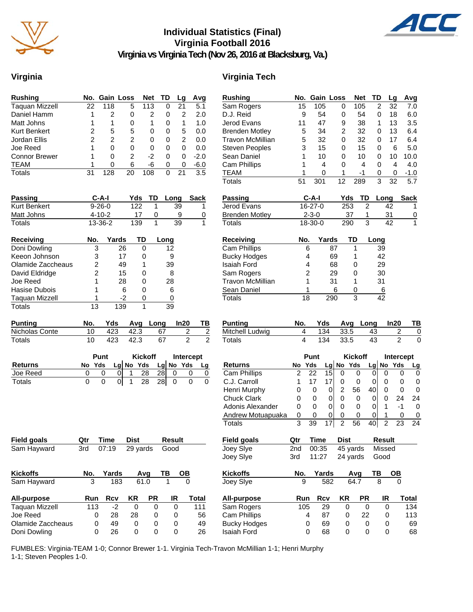

## **Individual Statistics (Final) Virginia Football 2016**



**Virginia vs Virginia Tech (Nov 26, 2016 at Blacksburg, Va.)**

#### **Virginia Virginia Tech**

| <b>Rushing</b>        |    | No. Gain Loss |    | Net | TD | Lq | Avq    |
|-----------------------|----|---------------|----|-----|----|----|--------|
| <b>Taquan Mizzell</b> | 22 | 118           | 5  | 113 | 0  | 21 | 5.1    |
| Daniel Hamm           |    | 2             | 0  | 2   | 0  | 2  | 2.0    |
| Matt Johns            |    | 1             | 0  | 1   | 0  | 1  | 1.0    |
| <b>Kurt Benkert</b>   | 2  | 5             | 5  | Ω   | 0  | 5  | 0.0    |
| Jordan Ellis          | 2  | 2             | 2  | 0   | 0  | 2  | 0.0    |
| Joe Reed              |    | 0             | 0  | 0   | O  | 0  | 0.0    |
| <b>Connor Brewer</b>  |    | 0             | 2  | -2  | 0  | 0  | $-2.0$ |
| <b>TEAM</b>           |    | 0             | 6  | -6  | 0  | 0  | $-6.0$ |
| Totals                | 31 | 128           | 20 | 108 | n  | 21 | 3.5    |

| <b>Passing</b> | C-A-I        | Yds | TD. | Lona | Sack |
|----------------|--------------|-----|-----|------|------|
| Kurt Benkert   | $9 - 26 - 0$ | 122 |     | 39   |      |
| Matt Johns     | $4 - 10 - 2$ |     |     |      |      |
| Totals         | 13-36-2      | 139 |     | 39   |      |

| <b>Receiving</b>      | No. | Yards | ТD | Long |
|-----------------------|-----|-------|----|------|
| Doni Dowling          | 3   | 26    | 0  | 12   |
| Keeon Johnson         | 3   | 17    | 0  | 9    |
| Olamide Zaccheaus     | 2   | 49    |    | 39   |
| David Eldridge        | 2   | 15    | 0  | 8    |
| Joe Reed              | 1   | 28    | 0  | 28   |
| Hasise Dubois         | 1   | 6     | 0  | 6    |
| <b>Taguan Mizzell</b> |     | -2    | Ω  |      |
| Totals                | 13  | 139   |    | 39   |

| <b>Punting</b> |     |     |      | Yds Avg Long In20 | TB. |
|----------------|-----|-----|------|-------------------|-----|
| Nicholas Conte | 10. | 423 | 42.3 | 67                |     |
| Totals         |     | 423 | 42.3 |                   |     |

|                | Punt |        |  |  | <b>Kickoff</b> |            | <b>Intercept</b> |             |    |
|----------------|------|--------|--|--|----------------|------------|------------------|-------------|----|
| <b>Returns</b> |      | No Yds |  |  | Lg $No$ Yds    |            |                  | Lg $No$ Yds | La |
| Joe Reed       |      |        |  |  | 28             | 28         |                  |             |    |
| Totals         |      |        |  |  | 28             | <b>281</b> |                  |             |    |

| <b>Field goals</b> | Qtr | Time  | Dist     |           | Result |       |
|--------------------|-----|-------|----------|-----------|--------|-------|
| Sam Hayward        | 3rd | 07:19 | 29 yards |           | Good   |       |
| <b>Kickoffs</b>    | No. | Yards |          | Avq       | ΤВ     | OВ    |
| Sam Hayward        | 3   | 183   |          | 61.0      | 1      | 0     |
| All-purpose        | Run | Rcv   | ΚR       | <b>PR</b> | IR     | Total |
| Taquan Mizzell     | 113 | $-2$  | 0        | 0         | 0      | 111   |
| Joe Reed           | 0   | 28    | 28       | 0         | 0      | 56    |
| Olamide Zaccheaus  | 0   | 49    | 0        | 0         | 0      | 49    |
| Doni Dowling       | 0   | 26    | 0        | 0         | 0      | 26    |

| <b>Rushing</b>                                                   | No.             | <b>Gain Loss</b> |            |                | <b>Net</b>     | TD                      |                | Lg                  | Avg         |
|------------------------------------------------------------------|-----------------|------------------|------------|----------------|----------------|-------------------------|----------------|---------------------|-------------|
| Sam Rogers                                                       | 15              | 105              |            | 0              | 105            |                         | 2              | 32                  | 7.0         |
| D.J. Reid                                                        | 9               | 54               |            | 0              | 54             | 0                       |                | 18                  | 6.0         |
| Jerod Evans                                                      | 11              | 47               |            | 9              | 38             |                         | 1              | 13                  | 3.5         |
| <b>Brenden Motley</b>                                            | 5               | 34               |            | $\overline{2}$ | 32             |                         | 0              | 13                  | 6.4         |
| <b>Travon McMillian</b>                                          | 5               | 32               |            | 0              | 32             | 0                       |                | 17                  | 6.4         |
| <b>Steven Peoples</b>                                            | 3               | 15               |            | 0              | 15             |                         | 0              | 6                   | 5.0         |
| Sean Daniel                                                      | 1               | 10               |            | 0              | 10             |                         | 0              | 10                  | 10.0        |
| <b>Cam Phillips</b>                                              | 1               |                  | 4          | 0              | 4              |                         | 0              | 4                   | 4.0         |
| <b>TEAM</b>                                                      | 1               |                  | 0          | 1              | $-1$           | 0                       |                | 0                   | $-1.0$      |
| <b>Totals</b>                                                    | $\overline{51}$ | 301              |            | 12             | 289            | $\overline{\mathbf{3}}$ |                | 32                  | 5.7         |
| <b>Passing</b>                                                   |                 | C-A-I            |            | Yds            | TD             |                         | Long           |                     | <b>Sack</b> |
| Jerod Evans                                                      |                 | 16-27-0          |            | 253            |                | $\overline{2}$          | 42             |                     | 1           |
| <b>Brenden Motley</b>                                            |                 | $2 - 3 - 0$      |            |                | 37             | 1                       | 31             |                     | 0           |
| <b>Totals</b>                                                    |                 | 18-30-0          |            | 290            |                | 3                       | 42             |                     | 1           |
| <b>Receiving</b>                                                 | No.             |                  | Yards      |                | TD             | Long                    |                |                     |             |
| Cam Phillips                                                     |                 | 6                | 87         |                | 1              |                         | 39             |                     |             |
| <b>Bucky Hodges</b>                                              |                 | 4                | 69         |                | 1              |                         | 42             |                     |             |
| <b>Isaiah Ford</b>                                               |                 | 4                | 68         |                | 0              |                         | 29             |                     |             |
| Sam Rogers                                                       |                 | $\overline{c}$   | 29         |                | 0              |                         | 30             |                     |             |
| <b>Travon McMillian</b>                                          |                 | 1                | 31         |                | 1              |                         | 31             |                     |             |
| Sean Daniel                                                      |                 | 1                |            | 6              | 0              |                         | 6              |                     |             |
| Totals                                                           |                 | 18               | 290        |                | 3              |                         | 42             |                     |             |
|                                                                  |                 |                  |            |                |                |                         |                |                     |             |
| <b>Punting</b>                                                   | No.             | Yds              |            | Avg            |                | Long                    |                | In20                | ΤВ          |
| Mitchell Ludwig                                                  | 4<br>4          |                  | 134<br>134 | 33.5           |                | 43                      |                | 2<br>$\overline{2}$ | 0           |
| <b>Totals</b>                                                    |                 |                  |            | 33.5           |                | 43                      |                |                     | 0           |
|                                                                  |                 | Punt             |            |                | <b>Kickoff</b> |                         |                | Intercept           |             |
| <b>Returns</b>                                                   | No              | Yds              | Lgl        | No             | Yds            | Lg No                   |                | Yds                 | <u>Lg</u>   |
| <b>Cam Phillips</b>                                              | $\overline{2}$  | 22               | 15         | 0              | 0              | 0                       | 0              | 0                   | 0           |
| C.J. Carroll                                                     | 1               | 17               | 17         | 0              | 0              | 0                       | 0              | 0                   | 0           |
| Henri Murphy                                                     | 0               | 0                | 0          | $\overline{2}$ | 56             | 40                      | 0              | 0                   | 0           |
| <b>Chuck Clark</b>                                               | 0               | 0                | 0          | 0              | 0              | 0                       | 0              | 24                  | 24          |
| Adonis Alexander                                                 | 0               | 0                | 0          | 0              | 0              | 0                       | 1              | -1                  | 0           |
| Andrew Motuapuaka                                                | 0               | 0                | 0          | 0              | 0              | 0                       | 1              | 0                   | 0           |
| Totals                                                           | 3               | 39               | 17         | $\overline{2}$ | 56             | 40                      | $\overline{2}$ | 23                  | 24          |
| <b>Field goals</b>                                               | Qtr             | Time             |            | <b>Dist</b>    |                |                         | Result         |                     |             |
| Joey Slye                                                        | 2nd             | 00:35            |            |                | 45 yards       |                         | Missed         |                     |             |
| Joey Slye                                                        | 3rd             | 11:27            |            |                | 24 yards       |                         | Good           |                     |             |
| <b>Kickoffs</b>                                                  | No.             |                  | Yards      |                | Avg            | TВ                      |                | ОВ                  |             |
| Joey Slye                                                        | 9               |                  | 582        |                | 64.7           |                         | 8              | 0                   |             |
|                                                                  |                 |                  |            |                |                |                         |                |                     |             |
|                                                                  | Run             |                  | <b>Rcv</b> | ΚR             | PR             |                         | IR             |                     | Total       |
|                                                                  | 105             |                  | 29         | 0              |                | 0                       | 0              |                     | 134         |
| All-purpose<br>Sam Rogers<br>Cam Phillips<br><b>Bucky Hodges</b> |                 | 4<br>0           | 87<br>69   | 0<br>0         | 22             | 0                       | 0<br>0         |                     | 113<br>69   |

Bucky Hodges 0 69 0 0 0 69<br>Isaiah Ford 0 68 0 0 0 68 Isaiah Ford 0 68 0 0 0 68

FUMBLES: Virginia-TEAM 1-0; Connor Brewer 1-1. Virginia Tech-Travon McMillian 1-1; Henri Murphy 1-1; Steven Peoples 1-0.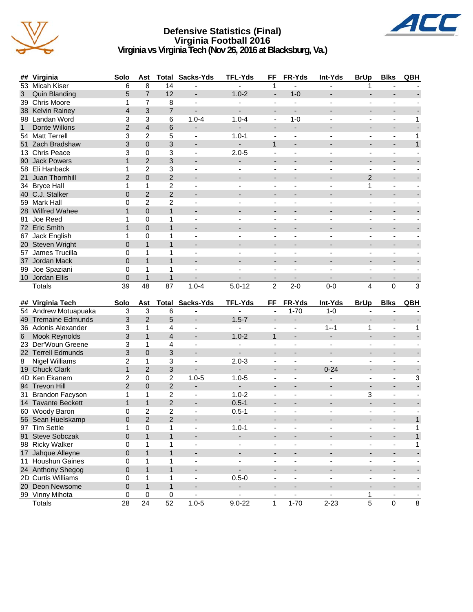

#### **Defensive Statistics (Final) Virginia Football 2016 Virginia vs Virginia Tech (Nov 26, 2016 at Blacksburg, Va.)**



| ##              | Virginia                  | Solo           | Ast                  |                      | <b>Total Sacks-Yds</b>   | <b>TFL-Yds</b>              | FF                             | FR-Yds                           | Int-Yds                  | <b>BrUp</b>                   | <b>Blks</b>                  | QBH          |
|-----------------|---------------------------|----------------|----------------------|----------------------|--------------------------|-----------------------------|--------------------------------|----------------------------------|--------------------------|-------------------------------|------------------------------|--------------|
| 53              | <b>Micah Kiser</b>        | 6              | 8                    | $\overline{14}$      |                          | $\overline{a}$              | 1                              | L.                               |                          | 1                             |                              |              |
| 3               | <b>Quin Blanding</b>      | 5              | $\overline{7}$       | 12                   | ÷                        | $1.0 - 2$                   | $\blacksquare$                 | $1 - 0$                          |                          |                               | $\overline{a}$               |              |
|                 | 39 Chris Moore            | 1              | 7                    | 8                    | $\blacksquare$           |                             | $\blacksquare$                 | $\overline{a}$                   |                          |                               | ä,                           |              |
|                 | 38 Kelvin Rainey          | $\overline{4}$ | 3                    | $\overline{7}$       | $\overline{\phantom{0}}$ | $\blacksquare$              | $\blacksquare$                 | $\overline{\phantom{a}}$         |                          | $\blacksquare$                | $\overline{\phantom{m}}$     |              |
|                 | 98 Landan Word            | 3              | $\mathbf{3}$         | 6                    | $1.0 - 4$                | $1.0 - 4$                   | $\blacksquare$                 | $1 - 0$                          |                          | $\overline{\phantom{a}}$      | ÷,                           | 1            |
| $\mathbf{1}$    | Donte Wilkins             | $\overline{2}$ | $\overline{4}$       | 6                    | $\overline{\phantom{0}}$ |                             | $\blacksquare$                 | $\overline{\phantom{a}}$         |                          | $\overline{a}$                | $\overline{\phantom{m}}$     |              |
|                 | 54 Matt Terrell           | 3              | $\overline{c}$       | 5                    | $\overline{\phantom{a}}$ | $1.0 - 1$                   | $\blacksquare$                 | $\blacksquare$                   | Ξ.                       | $\blacksquare$                | $\overline{\phantom{a}}$     | $\mathbf{1}$ |
| 51              | Zach Bradshaw             | 3              | $\mathbf{0}$         | 3                    | $\overline{\phantom{a}}$ |                             | $\mathbf{1}$                   |                                  |                          | $\overline{a}$                | $\overline{\phantom{0}}$     | $\mathbf{1}$ |
|                 | 13 Chris Peace            | 3              | $\pmb{0}$            | 3                    | $\overline{\phantom{a}}$ | $2.0 - 5$                   | $\overline{\phantom{a}}$       | $\blacksquare$                   | $\blacksquare$           | $\blacksquare$                | $\blacksquare$               |              |
|                 | 90 Jack Powers            | $\mathbf{1}$   | $\overline{2}$       | 3                    |                          |                             |                                |                                  |                          |                               |                              |              |
| 58              | Eli Hanback               | 1              | $\overline{c}$       | 3                    |                          |                             |                                |                                  |                          | ÷,                            |                              |              |
| 21              | Juan Thornhill            | $\overline{2}$ | $\mathbf 0$          | $\overline{2}$       | $\overline{\phantom{a}}$ |                             | $\overline{\phantom{a}}$       |                                  |                          | $\overline{2}$                | $\overline{\phantom{a}}$     |              |
|                 | 34 Bryce Hall             | 1              | 1                    | $\overline{c}$       | $\overline{\phantom{a}}$ |                             | $\blacksquare$                 |                                  |                          | 1                             | ä,                           |              |
|                 | 40 C.J. Stalker           | $\overline{0}$ | $\overline{2}$       | $\overline{2}$       | $\overline{a}$           |                             | $\overline{\phantom{a}}$       |                                  |                          | $\overline{\phantom{a}}$      | $\overline{\phantom{a}}$     |              |
|                 | 59 Mark Hall              | 0              | $\overline{c}$       | $\overline{c}$       | ä,                       |                             | $\blacksquare$                 |                                  |                          | $\overline{\phantom{a}}$      | $\qquad \qquad \blacksquare$ |              |
|                 | 28 Wilfred Wahee          | $\mathbf{1}$   | $\mathbf{0}$         | $\mathbf{1}$         | $\overline{\phantom{a}}$ |                             | $\overline{\phantom{a}}$       |                                  |                          | $\overline{\phantom{a}}$      | ÷,                           |              |
| 81              | Joe Reed                  | 1              | $\mathbf 0$          | 1                    | $\blacksquare$           | $\overline{\phantom{a}}$    | $\blacksquare$                 | $\blacksquare$                   | $\blacksquare$           | $\blacksquare$                | ä,                           |              |
|                 | 72 Eric Smith             | $\mathbf{1}$   | $\overline{0}$       | $\mathbf{1}$         | $\overline{\phantom{0}}$ |                             | $\overline{\phantom{a}}$       |                                  |                          | $\overline{a}$                | $\overline{\phantom{0}}$     |              |
|                 | 67 Jack English           | 1              | $\mathbf 0$          | $\mathbf{1}$         | $\blacksquare$           | $\sim$                      | $\overline{\phantom{a}}$       | $\sim$                           | ٠                        | $\blacksquare$                | ÷,                           |              |
|                 | 20 Steven Wright          | $\overline{0}$ | $\mathbf{1}$         | $\mathbf{1}$         |                          |                             |                                |                                  |                          |                               |                              |              |
|                 | 57 James Trucilla         | 0              | 1                    | $\mathbf{1}$         |                          |                             |                                |                                  |                          |                               |                              |              |
|                 | 37 Jordan Mack            | 0              | $\mathbf{1}$         | $\mathbf{1}$         | $\blacksquare$           |                             | $\overline{\phantom{a}}$       |                                  |                          |                               | $\overline{a}$               |              |
| 99              | Joe Spaziani              | 0              | 1                    | $\mathbf{1}$         |                          |                             | $\sim$                         |                                  |                          |                               | ÷,                           |              |
|                 | 10 Jordan Ellis           | $\overline{0}$ | $\mathbf{1}$         | $\mathbf{1}$         |                          |                             | $\blacksquare$                 | $\blacksquare$                   |                          | $\overline{\phantom{a}}$      | $\blacksquare$               |              |
|                 | <b>Totals</b>             | 39             | 48                   | 87                   | $1.0 - 4$                | $5.0 - 12$                  | $\overline{2}$                 | $2 - 0$                          | $0-0$                    | 4                             | $\mathbf 0$                  | 3            |
|                 |                           |                |                      |                      |                          |                             |                                |                                  |                          |                               |                              |              |
|                 |                           |                |                      |                      |                          |                             |                                |                                  |                          |                               |                              |              |
|                 |                           |                |                      |                      |                          |                             |                                |                                  |                          |                               |                              |              |
| ##              | <b>Virginia Tech</b>      | Solo           | Ast                  |                      | <b>Total Sacks-Yds</b>   | <b>TFL-Yds</b>              | FF<br>$\blacksquare$           | FR-Yds                           | Int-Yds                  | <b>BrUp</b>                   | <b>Blks</b>                  | QBH          |
| 54              | Andrew Motuapuaka         | 3              | 3                    | 6                    | $\overline{\phantom{a}}$ |                             | $\overline{\phantom{a}}$       | $1 - 70$<br>L,                   | $1 - 0$                  | $\overline{\phantom{a}}$      | $\overline{\phantom{a}}$     |              |
| 49              | <b>Tremaine Edmunds</b>   | 3              | $\overline{2}$       | 5                    | $\blacksquare$           | $1.5 - 7$                   |                                |                                  |                          |                               |                              |              |
|                 | 36 Adonis Alexander       | 3              | 1                    | 4                    | $\overline{\phantom{a}}$ |                             |                                |                                  | $1 - 1$                  | 1<br>$\overline{\phantom{a}}$ | ÷,<br>÷,                     | 1            |
| $6\phantom{1}6$ | <b>Mook Reynolds</b>      | 3              | $\mathbf{1}$         | $\overline{4}$       | $\blacksquare$           | $1.0 - 2$<br>$\blacksquare$ | $\mathbf{1}$<br>$\blacksquare$ | $\blacksquare$                   | Ξ.                       | $\blacksquare$                | ä,                           |              |
|                 | 23 Der'Woun Greene        | 3              | 1                    | 4                    | $\overline{\phantom{0}}$ |                             | $\overline{\phantom{a}}$       | $\overline{a}$                   |                          | $\overline{a}$                | $\overline{\phantom{0}}$     |              |
|                 | 22 Terrell Edmunds        | 3              | $\mathbf 0$          | 3                    |                          |                             |                                |                                  | $\blacksquare$           |                               |                              |              |
| 8               | <b>Nigel Williams</b>     | $\overline{2}$ | $\mathbf{1}$         | 3                    | $\blacksquare$           | $2.0 - 3$                   | $\blacksquare$                 | $\blacksquare$<br>$\blacksquare$ |                          | $\blacksquare$                | ä,                           |              |
|                 | 19 Chuck Clark            | $\mathbf{1}$   | $\overline{2}$       | 3                    | $\overline{\phantom{0}}$ |                             | $\overline{\phantom{a}}$       |                                  | $0 - 24$                 | $\overline{\phantom{a}}$      | ٠                            |              |
|                 | 4D Ken Ekanem             | 2              | $\mathbf 0$          | $\overline{c}$       | $1.0 - 5$                | $1.0 - 5$                   | $\blacksquare$                 |                                  | $\overline{\phantom{a}}$ |                               | ÷,                           | $\sqrt{3}$   |
|                 | 94 Trevon Hill            | $\overline{2}$ | $\mathbf{0}$         | $\overline{2}$       | $\overline{\phantom{a}}$ |                             | $\overline{\phantom{a}}$       | $\sim$                           |                          |                               | $\overline{\phantom{m}}$     |              |
|                 | 31 Brandon Facyson        | 1              | $\mathbf{1}$         | $\overline{c}$       | $\overline{\phantom{a}}$ | $1.0 - 2$                   | $\overline{\phantom{a}}$       |                                  |                          | 3                             | $\blacksquare$               |              |
|                 | 14 Tavante Beckett        | $\mathbf{1}$   | $\mathbf{1}$         | $\overline{c}$       | $\overline{a}$           | $0.5 - 1$                   | $\overline{a}$                 |                                  |                          | $\overline{a}$                | ÷,                           |              |
|                 | 60 Woody Baron            | 0              | $\overline{c}$       | $\overline{2}$       |                          | $0.5 - 1$                   | $\overline{\phantom{a}}$       |                                  |                          |                               | $\overline{\phantom{m}}$     |              |
|                 | 56 Sean Huelskamp         | $\pmb{0}$      | $\overline{c}$       | $\mathfrak{p}$       |                          |                             |                                |                                  |                          |                               |                              | $\mathbf{1}$ |
|                 | 97 Tim Settle             | 1              | 0                    | 1                    | $\overline{\phantom{a}}$ | $1.0 - 1$                   | $\overline{\phantom{a}}$       | $\blacksquare$                   |                          | $\overline{\phantom{a}}$      | $\overline{\phantom{a}}$     | 1            |
|                 | 91 Steve Sobczak          | 0              | $\mathbf{1}$         | $\mathbf{1}$         |                          |                             | $\overline{\phantom{0}}$       | $\blacksquare$                   |                          | $\overline{\phantom{a}}$      | $\overline{\phantom{0}}$     | $\mathbf{1}$ |
|                 | 98 Ricky Walker           | $\pmb{0}$      | $\mathbf{1}$         | 1                    | $\overline{\phantom{a}}$ | $\blacksquare$              | $\overline{\phantom{a}}$       | $\overline{\phantom{a}}$         | $\blacksquare$           | $\overline{\phantom{a}}$      | ÷,                           | $\mathbf{1}$ |
|                 | 17 Jahque Alleyne         | 0              | $\mathbf{1}$         | $\mathbf{1}$         | $\overline{\phantom{0}}$ |                             | $\overline{\phantom{a}}$       |                                  |                          | $\overline{\phantom{a}}$      | ٠                            |              |
|                 | 11 Houshun Gaines         | 0              | $\mathbf 1$          | 1                    | ٠                        |                             | $\blacksquare$                 |                                  |                          | ä,                            | $\blacksquare$               |              |
|                 | 24 Anthony Shegog         | 0              | $\mathbf{1}$         | $\mathbf{1}$         | $\overline{\phantom{0}}$ | $\overline{\phantom{a}}$    | $\overline{a}$                 |                                  | $\overline{\phantom{a}}$ |                               | $\overline{\phantom{0}}$     |              |
|                 | 2D Curtis Williams        | 0              | $\mathbf{1}$         | 1                    | $\overline{\phantom{a}}$ | $0.5 - 0$                   | $\overline{\phantom{a}}$       | $\blacksquare$                   | ۰.                       | $\blacksquare$                | $\qquad \qquad \blacksquare$ |              |
|                 | 20 Deon Newsome           | 0              | $\mathbf{1}$         | $\mathbf{1}$         | $\overline{\phantom{0}}$ | $\blacksquare$              | $\overline{\phantom{a}}$       | $\overline{\phantom{a}}$         | ٠                        | $\overline{\phantom{a}}$      | $\overline{\phantom{a}}$     |              |
|                 | 99 Vinny Mihota<br>Totals | 0<br>28        | 0<br>$\overline{24}$ | 0<br>$\overline{52}$ | -<br>$1.0 - 5$           | $9.0 - 22$                  | ٠<br>$\mathbf 1$               | $1 - 70$                         | $2 - 23$                 | 1<br>$\overline{5}$           | $\mathbf 0$                  | $\bf 8$      |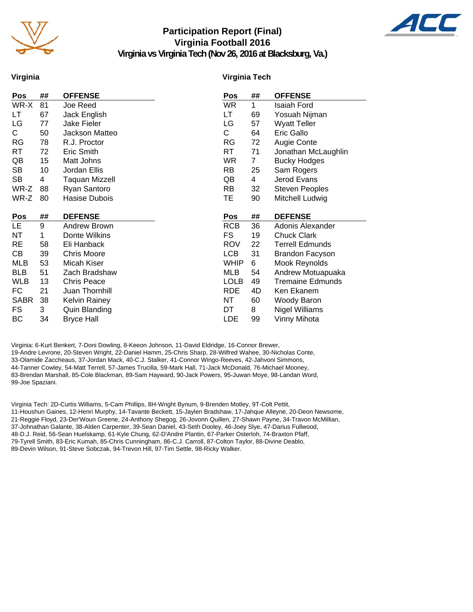

#### **Participation Report (Final) Virginia Football 2016 Virginia vs Virginia Tech (Nov 26, 2016 at Blacksburg, Va.)**



**Virginia**

#### **Virginia Tech**

| Pos         | ## | <b>OFFENSE</b>       | Pos         | ##             | <b>OFFENSE</b>          |
|-------------|----|----------------------|-------------|----------------|-------------------------|
| WR-X        | 81 | Joe Reed             | <b>WR</b>   | 1              | Isaiah Ford             |
| LT          | 67 | Jack English         | LT          | 69             | Yosuah Nijman           |
| LG          | 77 | Jake Fieler          | LG          | 57             | Wyatt Teller            |
| C           | 50 | Jackson Matteo       | C           | 64             | Eric Gallo              |
| <b>RG</b>   | 78 | R.J. Proctor         | <b>RG</b>   | 72             | Augie Conte             |
| RT          | 72 | Eric Smith           | <b>RT</b>   | 71             | Jonathan McLaughlin     |
| QB          | 15 | Matt Johns           | <b>WR</b>   | $\overline{7}$ | <b>Bucky Hodges</b>     |
| SB          | 10 | Jordan Ellis         | RB          | 25             | Sam Rogers              |
| SB          | 4  | Taquan Mizzell       | QB          | 4              | Jerod Evans             |
| WR-Z        | 88 | Ryan Santoro         | <b>RB</b>   | 32             | <b>Steven Peoples</b>   |
| WR-Z        | 80 | Hasise Dubois        | TE.         | 90             | Mitchell Ludwig         |
|             |    |                      |             |                |                         |
|             |    |                      |             |                |                         |
| Pos         | ## | <b>DEFENSE</b>       | Pos         | ##             | <b>DEFENSE</b>          |
| LE.         | 9  | <b>Andrew Brown</b>  | <b>RCB</b>  | 36             | Adonis Alexander        |
| NT          | 1  | Donte Wilkins        | <b>FS</b>   | 19             | <b>Chuck Clark</b>      |
| <b>RE</b>   | 58 | Eli Hanback          | <b>ROV</b>  | 22             | <b>Terrell Edmunds</b>  |
| CВ          | 39 | <b>Chris Moore</b>   | <b>LCB</b>  | 31             | <b>Brandon Facyson</b>  |
| <b>MLB</b>  | 53 | Micah Kiser          | <b>WHIP</b> | 6              | Mook Reynolds           |
| <b>BLB</b>  | 51 | Zach Bradshaw        | MLB         | 54             | Andrew Motuapuaka       |
| <b>WLB</b>  | 13 | <b>Chris Peace</b>   | <b>LOLB</b> | 49             | <b>Tremaine Edmunds</b> |
| FC.         | 21 | Juan Thornhill       | <b>RDE</b>  | 4D             | Ken Ekanem              |
| <b>SABR</b> | 38 | <b>Kelvin Rainey</b> | NT          | 60             | Woody Baron             |
| FS          | 3  | Quin Blanding        | DT          | 8              | <b>Nigel Williams</b>   |

Virginia: 6-Kurt Benkert, 7-Doni Dowling, 8-Keeon Johnson, 11-David Eldridge, 16-Connor Brewer, 19-Andre Levrone, 20-Steven Wright, 22-Daniel Hamm, 25-Chris Sharp, 28-Wilfred Wahee, 30-Nicholas Conte, 33-Olamide Zaccheaus, 37-Jordan Mack, 40-C.J. Stalker, 41-Connor Wingo-Reeves, 42-Jahvoni Simmons, 44-Tanner Cowley, 54-Matt Terrell, 57-James Trucilla, 59-Mark Hall, 71-Jack McDonald, 76-Michael Mooney, 83-Brendan Marshall, 85-Cole Blackman, 89-Sam Hayward, 90-Jack Powers, 95-Juwan Moye, 98-Landan Word, 99-Joe Spaziani.

Virginia Tech: 2D-Curtis Williams, 5-Cam Phillips, 8H-Wright Bynum, 9-Brenden Motley, 9T-Colt Pettit, 11-Houshun Gaines, 12-Henri Murphy, 14-Tavante Beckett, 15-Jaylen Bradshaw, 17-Jahque Alleyne, 20-Deon Newsome, 21-Reggie Floyd, 23-Der'Woun Greene, 24-Anthony Shegog, 26-Jovonn Quillen, 27-Shawn Payne, 34-Travon McMillian, 37-Johnathan Galante, 38-Alden Carpenter, 39-Sean Daniel, 43-Seth Dooley, 46-Joey Slye, 47-Darius Fullwood, 48-D.J. Reid, 56-Sean Huelskamp, 61-Kyle Chung, 62-D'Andre Plantin, 67-Parker Osterloh, 74-Braxton Pfaff, 79-Tyrell Smith, 83-Eric Kumah, 85-Chris Cunningham, 86-C.J. Carroll, 87-Colton Taylor, 88-Divine Deablo, 89-Devin Wilson, 91-Steve Sobczak, 94-Trevon Hill, 97-Tim Settle, 98-Ricky Walker.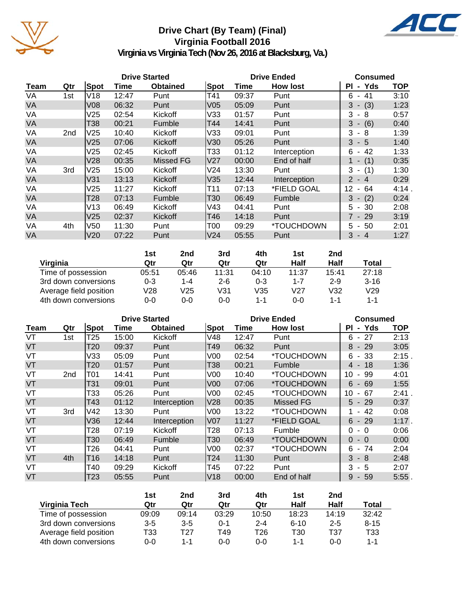

## **Drive Chart (By Team) (Final) Virginia Football 2016**



**Virginia vs Virginia Tech (Nov 26, 2016 at Blacksburg, Va.)**

|           |                 |                 |       | <b>Drive Started</b> |      |       | <b>Drive Ended</b> | <b>Consumed</b>            |            |  |
|-----------|-----------------|-----------------|-------|----------------------|------|-------|--------------------|----------------------------|------------|--|
| Team      | Qtr             | Spot            | Time  | <b>Obtained</b>      | Spot | Time  | <b>How lost</b>    | - Yds<br>ΡI                | <b>TOP</b> |  |
| VA        | 1st             | V18             | 12:47 | Punt                 | T41  | 09:37 | Punt               | $-41$<br>6                 | 3:10       |  |
| <b>VA</b> |                 | V <sub>08</sub> | 06:32 | Punt                 | V05  | 05:09 | Punt               | $-$ (3)<br>3               | 1:23       |  |
| VA        |                 | V <sub>25</sub> | 02:54 | Kickoff              | V33  | 01:57 | Punt               | 3<br>- 8                   | 0:57       |  |
| <b>VA</b> |                 | T38             | 00:21 | Fumble               | T44  | 14:41 | Punt               | 3<br>$-(6)$                | 0:40       |  |
| VA        | 2 <sub>nd</sub> | V <sub>25</sub> | 10:40 | Kickoff              | V33  | 09:01 | Punt               | 3<br>- 8                   | 1:39       |  |
| <b>VA</b> |                 | V <sub>25</sub> | 07:06 | Kickoff              | V30  | 05:26 | Punt               | $3 - 5$                    | 1:40       |  |
| VA        |                 | V25             | 02:45 | Kickoff              | T33  | 01:12 | Interception       | -42<br>6<br>$\sim$         | 1:33       |  |
| <b>VA</b> |                 | V28             | 00:35 | <b>Missed FG</b>     | V27  | 00:00 | End of half        | (1)<br>1 -                 | 0:35       |  |
| VA        | 3rd             | V <sub>25</sub> | 15:00 | Kickoff              | V24  | 13:30 | Punt               | (1)<br>$3 -$               | 1:30       |  |
| <b>VA</b> |                 | V31             | 13:13 | Kickoff              | V35  | 12:44 | Interception       | $\overline{2}$<br>$-4$     | 0:29       |  |
| VA        |                 | V <sub>25</sub> | 11:27 | Kickoff              | T11  | 07:13 | *FIELD GOAL        | 64<br>12<br>$\blacksquare$ | 4:14.      |  |
| <b>VA</b> |                 | T28             | 07:13 | Fumble               | T30  | 06:49 | Fumble             | $3 - (2)$                  | 0:24       |  |
| VA        |                 | V13             | 06:49 | Kickoff              | V43  | 04:41 | Punt               | $5 - 30$                   | 2:08       |  |
| <b>VA</b> |                 | V <sub>25</sub> | 02:37 | Kickoff              | T46  | 14:18 | Punt               | $7 - 29$                   | 3:19       |  |
| VA        | 4th             | V <sub>50</sub> | 11:30 | Punt                 | T00  | 09:29 | *TOUCHDOWN         | $5 - 50$                   | 2:01       |  |
| <b>VA</b> |                 | V <sub>20</sub> | 07:22 | Punt                 | V24  | 05:55 | Punt               | $3 - 4$                    | 1:27       |  |

|                        | 1st   | 2nd   | 3rd     | 4th   | 1st     | 2 <sub>nd</sub> |          |
|------------------------|-------|-------|---------|-------|---------|-----------------|----------|
| Virginia               | Qtr   | Qtr   | Qtr     | Qtr   | Half    | Half            | Total    |
| Time of possession     | 05:51 | 05:46 | 11:31   | 04:10 | 11:37   | 15:41           | 27:18    |
| 3rd down conversions   | 0-3   | 1-4   | $2 - 6$ | 0-3   | $1 - 7$ | $2 - 9$         | $3 - 16$ |
| Average field position | V28   | V25   | V31     | V35   | V27     | V32             | V29      |
| 4th down conversions   | 0-0   | 0-0   | 0-0     | 1-1   | $0 - 0$ | 1-1             | $1 - 1$  |

|      |                 |                 |       | <b>Drive Started</b> |                 |       | <b>Drive Ended</b>       | <b>Consumed</b>                      |            |
|------|-----------------|-----------------|-------|----------------------|-----------------|-------|--------------------------|--------------------------------------|------------|
| Team | Qtr             | Spot            | Time  | <b>Obtained</b>      | Spot            | Time  | <b>How lost</b>          | - Yds<br>ΡI                          | <b>TOP</b> |
| VT   | 1st             | T <sub>25</sub> | 15:00 | Kickoff              | V48             | 12:47 | Punt                     | 27<br>6<br>$\sim$                    | 2:13       |
| VT   |                 | T20             | 09:37 | Punt                 | T49             | 06:32 | Punt                     | - 29<br>8                            | 3:05       |
| VT   |                 | V33             | 05:09 | Punt                 | V <sub>00</sub> | 02:54 | <i><b>*TOUCHDOWN</b></i> | -33<br>6<br>$\overline{\phantom{a}}$ | 2:15.      |
| VT   |                 | T20             | 01:57 | Punt                 | T38             | 00:21 | Fumble                   | $4 - 18$                             | 1:36       |
| VT   | 2 <sub>nd</sub> | <b>T01</b>      | 14:41 | Punt                 | V <sub>00</sub> | 10:40 | *TOUCHDOWN               | 10<br>99<br>$\blacksquare$           | 4:01       |
| VT   |                 | T31             | 09:01 | Punt                 | V <sub>00</sub> | 07:06 | *TOUCHDOWN               | $6 -$<br>69                          | 1:55       |
| VT   |                 | T33             | 05:26 | Punt                 | V <sub>00</sub> | 02:45 | *TOUCHDOWN               | 10<br>67<br>$\blacksquare$           | 2:41.      |
| VT   |                 | T43             | 01:12 | Interception         | V <sub>28</sub> | 00:35 | Missed FG                | $5 - 29$                             | 0:37       |
| VT   | 3rd             | V42             | 13:30 | Punt                 | V <sub>00</sub> | 13:22 | *TOUCHDOWN               | 42<br>$\sim$                         | 0:08       |
| VT   |                 | V36             | 12:44 | Interception         | <b>V07</b>      | 11:27 | *FIELD GOAL              | $6 - 29$                             | $1:17$ .   |
| VT   |                 | T28             | 07:19 | Kickoff              | T <sub>28</sub> | 07:13 | Fumble                   | $\Omega$<br>- 0                      | 0:06       |
| VT   |                 | T30             | 06:49 | Fumble               | T <sub>30</sub> | 06:49 | <i><b>*TOUCHDOWN</b></i> | $0 - 0$                              | 0:00       |
| VT   |                 | T26             | 04:41 | Punt                 | V <sub>00</sub> | 02:37 | *TOUCHDOWN               | 6<br>74<br>$\overline{\phantom{a}}$  | 2:04       |
| VT   | 4th             | T <sub>16</sub> | 14:18 | Punt                 | T <sub>24</sub> | 11:30 | Punt                     | 3<br>- 8                             | 2:48       |
| VT   |                 | T40             | 09:29 | Kickoff              | T45             | 07:22 | Punt                     | 3<br>- 5                             | 2:07       |
| VT   |                 | T <sub>23</sub> | 05:55 | Punt                 | V18             | 00:00 | End of half              | 9<br>$-59$                           | 5:55       |

|                        | 1st     | 2nd     | 3rd   | 4th     | 1st      | 2nd     |          |
|------------------------|---------|---------|-------|---------|----------|---------|----------|
| Virginia Tech          | Qtr     | Qtr     | Qtr   | Qtr     | Half     | Half    | Total    |
| Time of possession     | 09:09   | 09:14   | 03:29 | 10:50   | 18:23    | 14:19   | 32:42    |
| 3rd down conversions   | $3 - 5$ | $3 - 5$ | 0-1   | $2 - 4$ | $6 - 10$ | $2 - 5$ | $8 - 15$ |
| Average field position | T33     | T27     | T49   | T26     | T30      | T37     | T33      |
| 4th down conversions   | 0-0     | 1-1     | 0-0   | $0 - 0$ | 1-1      | ი-ი     | $1 - 1$  |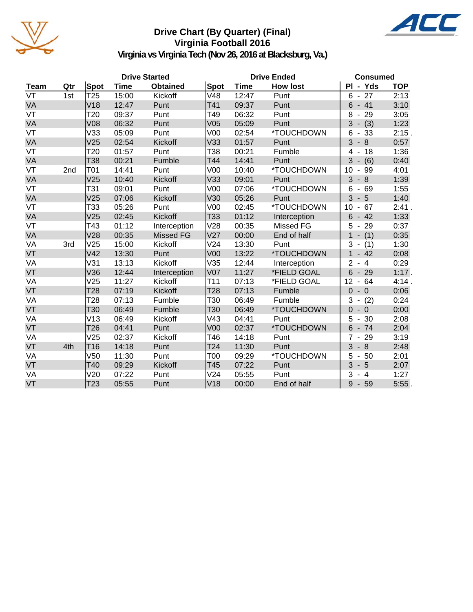

## **Drive Chart (By Quarter) (Final) Virginia Football 2016**



**Virginia vs Virginia Tech (Nov 26, 2016 at Blacksburg, Va.)**

|             |     |                 |             | <b>Drive Started</b> |                 |             | <b>Drive Ended</b> | <b>Consumed</b>                                 |            |  |
|-------------|-----|-----------------|-------------|----------------------|-----------------|-------------|--------------------|-------------------------------------------------|------------|--|
| <b>Team</b> | Qtr | <b>Spot</b>     | <b>Time</b> | <b>Obtained</b>      | Spot            | <b>Time</b> | <b>How lost</b>    | PI - Yds                                        | <b>TOP</b> |  |
| VT          | 1st | T <sub>25</sub> | 15:00       | Kickoff              | V48             | 12:47       | Punt               | 27<br>$6 -$                                     | 2:13       |  |
| VA          |     | V18             | 12:47       | Punt                 | T41             | 09:37       | Punt               | $-41$<br>6                                      | 3:10       |  |
| VT          |     | T <sub>20</sub> | 09:37       | Punt                 | T49             | 06:32       | Punt               | 29<br>8<br>$\blacksquare$                       | 3:05       |  |
| VA          |     | V <sub>08</sub> | 06:32       | Punt                 | V05             | 05:09       | Punt               | $3 - (3)$                                       | 1:23       |  |
| VT          |     | V33             | 05:09       | Punt                 | V <sub>00</sub> | 02:54       | *TOUCHDOWN         | 6<br>33<br>$\blacksquare$                       | 2:15.      |  |
| VA          |     | V <sub>25</sub> | 02:54       | Kickoff              | V33             | 01:57       | Punt               | $\overline{3}$<br>8<br>$\overline{\phantom{a}}$ | 0:57       |  |
| VT          |     | T <sub>20</sub> | 01:57       | Punt                 | T38             | 00:21       | Fumble             | 4<br>18                                         | 1:36       |  |
| VA          |     | T38             | 00:21       | Fumble               | T44             | 14:41       | Punt               | 3<br>(6)                                        | 0:40       |  |
| VT          | 2nd | T01             | 14:41       | Punt                 | V <sub>00</sub> | 10:40       | *TOUCHDOWN         | 99<br>10<br>$\blacksquare$                      | 4:01       |  |
| VA          |     | V <sub>25</sub> | 10:40       | Kickoff              | V33             | 09:01       | Punt               | 3<br>8                                          | 1:39       |  |
| VT          |     | T31             | 09:01       | Punt                 | V <sub>00</sub> | 07:06       | *TOUCHDOWN         | $-69$<br>6                                      | 1:55       |  |
| VA          |     | V <sub>25</sub> | 07:06       | Kickoff              | V30             | 05:26       | Punt               | 3<br>$-5$                                       | 1:40       |  |
| VT          |     | T33             | 05:26       | Punt                 | V <sub>00</sub> | 02:45       | *TOUCHDOWN         | 10<br>67<br>$\blacksquare$                      | 2:41.      |  |
| VA          |     | V25             | 02:45       | Kickoff              | T33             | 01:12       | Interception       | $6\phantom{1}6$<br>$-42$                        | 1:33       |  |
| VT          |     | T43             | 01:12       | Interception         | V28             | 00:35       | Missed FG          | 5<br>29<br>$\blacksquare$                       | 0:37       |  |
| VA          |     | V <sub>28</sub> | 00:35       | <b>Missed FG</b>     | V27             | 00:00       | End of half        | $\mathbf 1$<br>(1)<br>$\blacksquare$            | 0:35       |  |
| VA          | 3rd | V25             | 15:00       | Kickoff              | V <sub>24</sub> | 13:30       | Punt               | 3<br>(1)<br>$\overline{\phantom{a}}$            | 1:30       |  |
| VT          |     | V42             | 13:30       | Punt                 | V <sub>00</sub> | 13:22       | *TOUCHDOWN         | $\mathbf{1}$<br>42<br>$\blacksquare$            | 0:08       |  |
| VA          |     | V31             | 13:13       | Kickoff              | V35             | 12:44       | Interception       | $\overline{2}$<br>$-4$                          | 0:29       |  |
| VT          |     | V36             | 12:44       | Interception         | V <sub>07</sub> | 11:27       | *FIELD GOAL        | 6<br>29<br>$\overline{\phantom{a}}$             | 1:17.      |  |
| VA          |     | V25             | 11:27       | Kickoff              | T11             | 07:13       | *FIELD GOAL        | 12<br>$-64$                                     | 4:14.      |  |
| VT          |     | T <sub>28</sub> | 07:19       | Kickoff              | T <sub>28</sub> | 07:13       | Fumble             | $\overline{0}$<br>$-0$                          | 0:06       |  |
| VA          |     | T28             | 07:13       | Fumble               | T30             | 06:49       | Fumble             | (2)<br>3<br>$\overline{\phantom{a}}$            | 0:24       |  |
| VT          |     | T30             | 06:49       | Fumble               | T <sub>30</sub> | 06:49       | *TOUCHDOWN         | $\overline{0}$<br>$-0$                          | 0:00       |  |
| VA          |     | V13             | 06:49       | Kickoff              | V43             | 04:41       | Punt               | 5<br>30                                         | 2:08       |  |
| VT          |     | T <sub>26</sub> | 04:41       | Punt                 | V <sub>00</sub> | 02:37       | *TOUCHDOWN         | 6<br>$-74$                                      | 2:04       |  |
| VA          |     | V25             | 02:37       | Kickoff              | T46             | 14:18       | Punt               | $\overline{7}$<br>29<br>$\blacksquare$          | 3:19       |  |
| VT          | 4th | T <sub>16</sub> | 14:18       | Punt                 | T <sub>24</sub> | 11:30       | Punt               | $\overline{3}$<br>$-8$                          | 2:48       |  |
| VA          |     | V <sub>50</sub> | 11:30       | Punt                 | T00             | 09:29       | *TOUCHDOWN         | 5<br>50<br>$\overline{\phantom{a}}$             | 2:01       |  |
| VT          |     | T40             | 09:29       | Kickoff              | T45             | 07:22       | Punt               | 3<br>$-5$                                       | 2:07       |  |
| VA          |     | V <sub>20</sub> | 07:22       | Punt                 | V24             | 05:55       | Punt               | 3<br>$-4$                                       | 1:27       |  |
| VT          |     | T <sub>23</sub> | 05:55       | Punt                 | V18             | 00:00       | End of half        | 9<br>$-59$                                      | $5:55$ .   |  |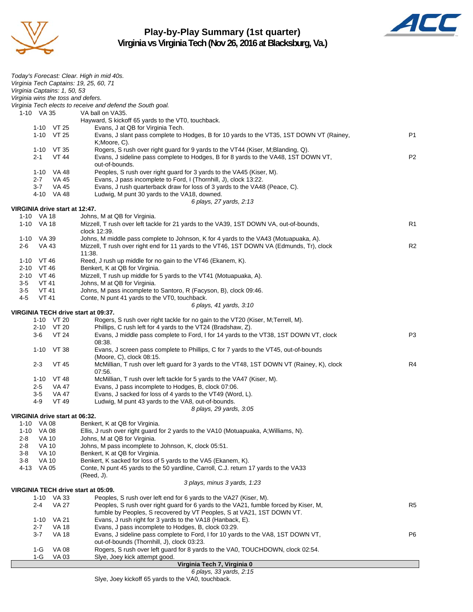

## **Play-by-Play Summary (1st quarter) Virginia vs Virginia Tech (Nov 26, 2016 at Blacksburg, Va.)**



| Today's Forecast: Clear. High in mid 40s.<br>Virginia Tech Captains: 19, 25, 60, 71<br>Virginia Captains: 1, 50, 53<br>Virginia wins the toss and defers.<br>Virginia Tech elects to receive and defend the South goal.<br>1-10 VA 35<br>VA ball on VA35.<br>Hayward, S kickoff 65 yards to the VT0, touchback.<br>1-10 VT 25<br>Evans, J at QB for Virginia Tech.<br>1-10 VT 25<br>P <sub>1</sub><br>Evans, J slant pass complete to Hodges, B for 10 yards to the VT35, 1ST DOWN VT (Rainey,<br>K;Moore, C).<br>Rogers, S rush over right guard for 9 yards to the VT44 (Kiser, M; Blanding, Q).<br>1-10 VT 35<br>Evans, J sideline pass complete to Hodges, B for 8 yards to the VA48, 1ST DOWN VT,<br>P <sub>2</sub><br>$2 - 1$<br>VT 44<br>out-of-bounds.<br>Peoples, S rush over right guard for 3 yards to the VA45 (Kiser, M).<br>1-10 VA 48<br>Evans, J pass incomplete to Ford, I (Thornhill, J), clock 13:22.<br>$2 - 7$<br>VA 45<br>Evans, J rush quarterback draw for loss of 3 yards to the VA48 (Peace, C).<br>$3 - 7$<br>VA 45<br>4-10 VA 48<br>Ludwig, M punt 30 yards to the VA18, downed.<br>6 plays, 27 yards, 2:13<br>VIRGINIA drive start at 12:47.<br>1-10 VA 18<br>Johns, M at QB for Virginia.<br>1-10 VA 18<br>R1<br>Mizzell, T rush over left tackle for 21 yards to the VA39, 1ST DOWN VA, out-of-bounds,<br>clock 12:39.<br>1-10 VA 39<br>Johns, M middle pass complete to Johnson, K for 4 yards to the VA43 (Motuapuaka, A).<br>VA 43<br>Mizzell, T rush over right end for 11 yards to the VT46, 1ST DOWN VA (Edmunds, Tr), clock<br>R <sub>2</sub><br>2-6<br>11:38.<br>$1-10$ VT 46<br>Reed, J rush up middle for no gain to the VT46 (Ekanem, K).<br>Benkert, K at QB for Virginia.<br>2-10 VT 46<br>2-10 VT 46<br>Mizzell, T rush up middle for 5 yards to the VT41 (Motuapuaka, A).<br>$3-5$<br><b>VT 41</b><br>Johns, M at QB for Virginia.<br>$3-5$<br>VT 41<br>Johns, M pass incomplete to Santoro, R (Facyson, B), clock 09:46.<br>4-5<br>VT 41<br>Conte, N punt 41 yards to the VT0, touchback.<br>6 plays, 41 yards, 3:10<br>VIRGINIA TECH drive start at 09:37.<br>1-10 VT 20<br>Rogers, S rush over right tackle for no gain to the VT20 (Kiser, M;Terrell, M).<br>Phillips, C rush left for 4 yards to the VT24 (Bradshaw, Z).<br>2-10 VT 20<br><b>VT 24</b><br>Evans, J middle pass complete to Ford, I for 14 yards to the VT38, 1ST DOWN VT, clock<br>P3<br>3-6<br>08:38.<br>$1 - 10$<br>VT 38<br>Evans, J screen pass complete to Phillips, C for 7 yards to the VT45, out-of-bounds<br>(Moore, C), clock 08:15.<br>$2 - 3$<br>McMillian, T rush over left guard for 3 yards to the VT48, 1ST DOWN VT (Rainey, K), clock<br>R4<br><b>VT 45</b><br>07:56.<br>McMillian, T rush over left tackle for 5 yards to the VA47 (Kiser, M).<br>1-10<br>VT 48<br>Evans, J pass incomplete to Hodges, B, clock 07:06.<br>$2 - 5$<br>VA 47<br>$3-5$<br>VA 47<br>Evans, J sacked for loss of 4 yards to the VT49 (Word, L).<br>$4 - 9$<br>Ludwig, M punt 43 yards to the VA8, out-of-bounds.<br>VT 49<br>8 plays, 29 yards, 3:05<br>VIRGINIA drive start at 06:32.<br><b>VA 08</b><br>$1 - 10$<br>Benkert, K at QB for Virginia.<br>$1 - 10$<br><b>VA 08</b><br>Ellis, J rush over right guard for 2 yards to the VA10 (Motuapuaka, A; Williams, N).<br>Johns, M at QB for Virginia.<br>2-8<br>VA 10<br>2-8<br>VA 10<br>Johns, M pass incomplete to Johnson, K, clock 05:51.<br><b>VA 10</b><br>Benkert, K at QB for Virginia.<br>3-8<br>$3 - 8$<br><b>VA 10</b><br>Benkert, K sacked for loss of 5 yards to the VA5 (Ekanem, K).<br>4-13<br>VA 05<br>Conte, N punt 45 yards to the 50 yardline, Carroll, C.J. return 17 yards to the VA33<br>(Reed, J).<br>3 plays, minus 3 yards, 1:23<br>VIRGINIA TECH drive start at 05:09.<br>1-10 VA 33<br>Peoples, S rush over left end for 6 yards to the VA27 (Kiser, M).<br><b>VA 27</b><br>Peoples, S rush over right guard for 6 yards to the VA21, fumble forced by Kiser, M,<br>R <sub>5</sub><br>2-4<br>fumble by Peoples, S recovered by VT Peoples, S at VA21, 1ST DOWN VT.<br>Evans, J rush right for 3 yards to the VA18 (Hanback, E).<br>$1 - 10$<br>VA 21<br><b>VA 18</b><br>Evans, J pass incomplete to Hodges, B, clock 03:29.<br>$2 - 7$<br>$3 - 7$<br><b>VA 18</b><br>Evans, J sideline pass complete to Ford, I for 10 yards to the VA8, 1ST DOWN VT,<br>P6<br>out-of-bounds (Thornhill, J), clock 03:23.<br><b>VA 08</b><br>Rogers, S rush over left guard for 8 yards to the VA0, TOUCHDOWN, clock 02:54.<br>$1-G$<br>$1-G$<br><b>VA 03</b><br>Slye, Joey kick attempt good.<br>Virginia Tech 7, Virginia 0 |  |  |
|-------------------------------------------------------------------------------------------------------------------------------------------------------------------------------------------------------------------------------------------------------------------------------------------------------------------------------------------------------------------------------------------------------------------------------------------------------------------------------------------------------------------------------------------------------------------------------------------------------------------------------------------------------------------------------------------------------------------------------------------------------------------------------------------------------------------------------------------------------------------------------------------------------------------------------------------------------------------------------------------------------------------------------------------------------------------------------------------------------------------------------------------------------------------------------------------------------------------------------------------------------------------------------------------------------------------------------------------------------------------------------------------------------------------------------------------------------------------------------------------------------------------------------------------------------------------------------------------------------------------------------------------------------------------------------------------------------------------------------------------------------------------------------------------------------------------------------------------------------------------------------------------------------------------------------------------------------------------------------------------------------------------------------------------------------------------------------------------------------------------------------------------------------------------------------------------------------------------------------------------------------------------------------------------------------------------------------------------------------------------------------------------------------------------------------------------------------------------------------------------------------------------------------------------------------------------------------------------------------------------------------------------------------------------------------------------------------------------------------------------------------------------------------------------------------------------------------------------------------------------------------------------------------------------------------------------------------------------------------------------------------------------------------------------------------------------------------------------------------------------------------------------------------------------------------------------------------------------------------------------------------------------------------------------------------------------------------------------------------------------------------------------------------------------------------------------------------------------------------------------------------------------------------------------------------------------------------------------------------------------------------------------------------------------------------------------------------------------------------------------------------------------------------------------------------------------------------------------------------------------------------------------------------------------------------------------------------------------------------------------------------------------------------------------------------------------------------------------------------------------------------------------------------------------------------------------------------------------------------------------------------------------------------------------------------------------------------------------------------------------------------------------------------------------------------------------------------------------------------------------------------------------------------------------------------------------------------------------------------------|--|--|
|                                                                                                                                                                                                                                                                                                                                                                                                                                                                                                                                                                                                                                                                                                                                                                                                                                                                                                                                                                                                                                                                                                                                                                                                                                                                                                                                                                                                                                                                                                                                                                                                                                                                                                                                                                                                                                                                                                                                                                                                                                                                                                                                                                                                                                                                                                                                                                                                                                                                                                                                                                                                                                                                                                                                                                                                                                                                                                                                                                                                                                                                                                                                                                                                                                                                                                                                                                                                                                                                                                                                                                                                                                                                                                                                                                                                                                                                                                                                                                                                                                                                                                                                                                                                                                                                                                                                                                                                                                                                                                                                                                                                             |  |  |
|                                                                                                                                                                                                                                                                                                                                                                                                                                                                                                                                                                                                                                                                                                                                                                                                                                                                                                                                                                                                                                                                                                                                                                                                                                                                                                                                                                                                                                                                                                                                                                                                                                                                                                                                                                                                                                                                                                                                                                                                                                                                                                                                                                                                                                                                                                                                                                                                                                                                                                                                                                                                                                                                                                                                                                                                                                                                                                                                                                                                                                                                                                                                                                                                                                                                                                                                                                                                                                                                                                                                                                                                                                                                                                                                                                                                                                                                                                                                                                                                                                                                                                                                                                                                                                                                                                                                                                                                                                                                                                                                                                                                             |  |  |
|                                                                                                                                                                                                                                                                                                                                                                                                                                                                                                                                                                                                                                                                                                                                                                                                                                                                                                                                                                                                                                                                                                                                                                                                                                                                                                                                                                                                                                                                                                                                                                                                                                                                                                                                                                                                                                                                                                                                                                                                                                                                                                                                                                                                                                                                                                                                                                                                                                                                                                                                                                                                                                                                                                                                                                                                                                                                                                                                                                                                                                                                                                                                                                                                                                                                                                                                                                                                                                                                                                                                                                                                                                                                                                                                                                                                                                                                                                                                                                                                                                                                                                                                                                                                                                                                                                                                                                                                                                                                                                                                                                                                             |  |  |
|                                                                                                                                                                                                                                                                                                                                                                                                                                                                                                                                                                                                                                                                                                                                                                                                                                                                                                                                                                                                                                                                                                                                                                                                                                                                                                                                                                                                                                                                                                                                                                                                                                                                                                                                                                                                                                                                                                                                                                                                                                                                                                                                                                                                                                                                                                                                                                                                                                                                                                                                                                                                                                                                                                                                                                                                                                                                                                                                                                                                                                                                                                                                                                                                                                                                                                                                                                                                                                                                                                                                                                                                                                                                                                                                                                                                                                                                                                                                                                                                                                                                                                                                                                                                                                                                                                                                                                                                                                                                                                                                                                                                             |  |  |
|                                                                                                                                                                                                                                                                                                                                                                                                                                                                                                                                                                                                                                                                                                                                                                                                                                                                                                                                                                                                                                                                                                                                                                                                                                                                                                                                                                                                                                                                                                                                                                                                                                                                                                                                                                                                                                                                                                                                                                                                                                                                                                                                                                                                                                                                                                                                                                                                                                                                                                                                                                                                                                                                                                                                                                                                                                                                                                                                                                                                                                                                                                                                                                                                                                                                                                                                                                                                                                                                                                                                                                                                                                                                                                                                                                                                                                                                                                                                                                                                                                                                                                                                                                                                                                                                                                                                                                                                                                                                                                                                                                                                             |  |  |
|                                                                                                                                                                                                                                                                                                                                                                                                                                                                                                                                                                                                                                                                                                                                                                                                                                                                                                                                                                                                                                                                                                                                                                                                                                                                                                                                                                                                                                                                                                                                                                                                                                                                                                                                                                                                                                                                                                                                                                                                                                                                                                                                                                                                                                                                                                                                                                                                                                                                                                                                                                                                                                                                                                                                                                                                                                                                                                                                                                                                                                                                                                                                                                                                                                                                                                                                                                                                                                                                                                                                                                                                                                                                                                                                                                                                                                                                                                                                                                                                                                                                                                                                                                                                                                                                                                                                                                                                                                                                                                                                                                                                             |  |  |
|                                                                                                                                                                                                                                                                                                                                                                                                                                                                                                                                                                                                                                                                                                                                                                                                                                                                                                                                                                                                                                                                                                                                                                                                                                                                                                                                                                                                                                                                                                                                                                                                                                                                                                                                                                                                                                                                                                                                                                                                                                                                                                                                                                                                                                                                                                                                                                                                                                                                                                                                                                                                                                                                                                                                                                                                                                                                                                                                                                                                                                                                                                                                                                                                                                                                                                                                                                                                                                                                                                                                                                                                                                                                                                                                                                                                                                                                                                                                                                                                                                                                                                                                                                                                                                                                                                                                                                                                                                                                                                                                                                                                             |  |  |
|                                                                                                                                                                                                                                                                                                                                                                                                                                                                                                                                                                                                                                                                                                                                                                                                                                                                                                                                                                                                                                                                                                                                                                                                                                                                                                                                                                                                                                                                                                                                                                                                                                                                                                                                                                                                                                                                                                                                                                                                                                                                                                                                                                                                                                                                                                                                                                                                                                                                                                                                                                                                                                                                                                                                                                                                                                                                                                                                                                                                                                                                                                                                                                                                                                                                                                                                                                                                                                                                                                                                                                                                                                                                                                                                                                                                                                                                                                                                                                                                                                                                                                                                                                                                                                                                                                                                                                                                                                                                                                                                                                                                             |  |  |
|                                                                                                                                                                                                                                                                                                                                                                                                                                                                                                                                                                                                                                                                                                                                                                                                                                                                                                                                                                                                                                                                                                                                                                                                                                                                                                                                                                                                                                                                                                                                                                                                                                                                                                                                                                                                                                                                                                                                                                                                                                                                                                                                                                                                                                                                                                                                                                                                                                                                                                                                                                                                                                                                                                                                                                                                                                                                                                                                                                                                                                                                                                                                                                                                                                                                                                                                                                                                                                                                                                                                                                                                                                                                                                                                                                                                                                                                                                                                                                                                                                                                                                                                                                                                                                                                                                                                                                                                                                                                                                                                                                                                             |  |  |
|                                                                                                                                                                                                                                                                                                                                                                                                                                                                                                                                                                                                                                                                                                                                                                                                                                                                                                                                                                                                                                                                                                                                                                                                                                                                                                                                                                                                                                                                                                                                                                                                                                                                                                                                                                                                                                                                                                                                                                                                                                                                                                                                                                                                                                                                                                                                                                                                                                                                                                                                                                                                                                                                                                                                                                                                                                                                                                                                                                                                                                                                                                                                                                                                                                                                                                                                                                                                                                                                                                                                                                                                                                                                                                                                                                                                                                                                                                                                                                                                                                                                                                                                                                                                                                                                                                                                                                                                                                                                                                                                                                                                             |  |  |
|                                                                                                                                                                                                                                                                                                                                                                                                                                                                                                                                                                                                                                                                                                                                                                                                                                                                                                                                                                                                                                                                                                                                                                                                                                                                                                                                                                                                                                                                                                                                                                                                                                                                                                                                                                                                                                                                                                                                                                                                                                                                                                                                                                                                                                                                                                                                                                                                                                                                                                                                                                                                                                                                                                                                                                                                                                                                                                                                                                                                                                                                                                                                                                                                                                                                                                                                                                                                                                                                                                                                                                                                                                                                                                                                                                                                                                                                                                                                                                                                                                                                                                                                                                                                                                                                                                                                                                                                                                                                                                                                                                                                             |  |  |
|                                                                                                                                                                                                                                                                                                                                                                                                                                                                                                                                                                                                                                                                                                                                                                                                                                                                                                                                                                                                                                                                                                                                                                                                                                                                                                                                                                                                                                                                                                                                                                                                                                                                                                                                                                                                                                                                                                                                                                                                                                                                                                                                                                                                                                                                                                                                                                                                                                                                                                                                                                                                                                                                                                                                                                                                                                                                                                                                                                                                                                                                                                                                                                                                                                                                                                                                                                                                                                                                                                                                                                                                                                                                                                                                                                                                                                                                                                                                                                                                                                                                                                                                                                                                                                                                                                                                                                                                                                                                                                                                                                                                             |  |  |
|                                                                                                                                                                                                                                                                                                                                                                                                                                                                                                                                                                                                                                                                                                                                                                                                                                                                                                                                                                                                                                                                                                                                                                                                                                                                                                                                                                                                                                                                                                                                                                                                                                                                                                                                                                                                                                                                                                                                                                                                                                                                                                                                                                                                                                                                                                                                                                                                                                                                                                                                                                                                                                                                                                                                                                                                                                                                                                                                                                                                                                                                                                                                                                                                                                                                                                                                                                                                                                                                                                                                                                                                                                                                                                                                                                                                                                                                                                                                                                                                                                                                                                                                                                                                                                                                                                                                                                                                                                                                                                                                                                                                             |  |  |
|                                                                                                                                                                                                                                                                                                                                                                                                                                                                                                                                                                                                                                                                                                                                                                                                                                                                                                                                                                                                                                                                                                                                                                                                                                                                                                                                                                                                                                                                                                                                                                                                                                                                                                                                                                                                                                                                                                                                                                                                                                                                                                                                                                                                                                                                                                                                                                                                                                                                                                                                                                                                                                                                                                                                                                                                                                                                                                                                                                                                                                                                                                                                                                                                                                                                                                                                                                                                                                                                                                                                                                                                                                                                                                                                                                                                                                                                                                                                                                                                                                                                                                                                                                                                                                                                                                                                                                                                                                                                                                                                                                                                             |  |  |
|                                                                                                                                                                                                                                                                                                                                                                                                                                                                                                                                                                                                                                                                                                                                                                                                                                                                                                                                                                                                                                                                                                                                                                                                                                                                                                                                                                                                                                                                                                                                                                                                                                                                                                                                                                                                                                                                                                                                                                                                                                                                                                                                                                                                                                                                                                                                                                                                                                                                                                                                                                                                                                                                                                                                                                                                                                                                                                                                                                                                                                                                                                                                                                                                                                                                                                                                                                                                                                                                                                                                                                                                                                                                                                                                                                                                                                                                                                                                                                                                                                                                                                                                                                                                                                                                                                                                                                                                                                                                                                                                                                                                             |  |  |
|                                                                                                                                                                                                                                                                                                                                                                                                                                                                                                                                                                                                                                                                                                                                                                                                                                                                                                                                                                                                                                                                                                                                                                                                                                                                                                                                                                                                                                                                                                                                                                                                                                                                                                                                                                                                                                                                                                                                                                                                                                                                                                                                                                                                                                                                                                                                                                                                                                                                                                                                                                                                                                                                                                                                                                                                                                                                                                                                                                                                                                                                                                                                                                                                                                                                                                                                                                                                                                                                                                                                                                                                                                                                                                                                                                                                                                                                                                                                                                                                                                                                                                                                                                                                                                                                                                                                                                                                                                                                                                                                                                                                             |  |  |
|                                                                                                                                                                                                                                                                                                                                                                                                                                                                                                                                                                                                                                                                                                                                                                                                                                                                                                                                                                                                                                                                                                                                                                                                                                                                                                                                                                                                                                                                                                                                                                                                                                                                                                                                                                                                                                                                                                                                                                                                                                                                                                                                                                                                                                                                                                                                                                                                                                                                                                                                                                                                                                                                                                                                                                                                                                                                                                                                                                                                                                                                                                                                                                                                                                                                                                                                                                                                                                                                                                                                                                                                                                                                                                                                                                                                                                                                                                                                                                                                                                                                                                                                                                                                                                                                                                                                                                                                                                                                                                                                                                                                             |  |  |
|                                                                                                                                                                                                                                                                                                                                                                                                                                                                                                                                                                                                                                                                                                                                                                                                                                                                                                                                                                                                                                                                                                                                                                                                                                                                                                                                                                                                                                                                                                                                                                                                                                                                                                                                                                                                                                                                                                                                                                                                                                                                                                                                                                                                                                                                                                                                                                                                                                                                                                                                                                                                                                                                                                                                                                                                                                                                                                                                                                                                                                                                                                                                                                                                                                                                                                                                                                                                                                                                                                                                                                                                                                                                                                                                                                                                                                                                                                                                                                                                                                                                                                                                                                                                                                                                                                                                                                                                                                                                                                                                                                                                             |  |  |
|                                                                                                                                                                                                                                                                                                                                                                                                                                                                                                                                                                                                                                                                                                                                                                                                                                                                                                                                                                                                                                                                                                                                                                                                                                                                                                                                                                                                                                                                                                                                                                                                                                                                                                                                                                                                                                                                                                                                                                                                                                                                                                                                                                                                                                                                                                                                                                                                                                                                                                                                                                                                                                                                                                                                                                                                                                                                                                                                                                                                                                                                                                                                                                                                                                                                                                                                                                                                                                                                                                                                                                                                                                                                                                                                                                                                                                                                                                                                                                                                                                                                                                                                                                                                                                                                                                                                                                                                                                                                                                                                                                                                             |  |  |
|                                                                                                                                                                                                                                                                                                                                                                                                                                                                                                                                                                                                                                                                                                                                                                                                                                                                                                                                                                                                                                                                                                                                                                                                                                                                                                                                                                                                                                                                                                                                                                                                                                                                                                                                                                                                                                                                                                                                                                                                                                                                                                                                                                                                                                                                                                                                                                                                                                                                                                                                                                                                                                                                                                                                                                                                                                                                                                                                                                                                                                                                                                                                                                                                                                                                                                                                                                                                                                                                                                                                                                                                                                                                                                                                                                                                                                                                                                                                                                                                                                                                                                                                                                                                                                                                                                                                                                                                                                                                                                                                                                                                             |  |  |
|                                                                                                                                                                                                                                                                                                                                                                                                                                                                                                                                                                                                                                                                                                                                                                                                                                                                                                                                                                                                                                                                                                                                                                                                                                                                                                                                                                                                                                                                                                                                                                                                                                                                                                                                                                                                                                                                                                                                                                                                                                                                                                                                                                                                                                                                                                                                                                                                                                                                                                                                                                                                                                                                                                                                                                                                                                                                                                                                                                                                                                                                                                                                                                                                                                                                                                                                                                                                                                                                                                                                                                                                                                                                                                                                                                                                                                                                                                                                                                                                                                                                                                                                                                                                                                                                                                                                                                                                                                                                                                                                                                                                             |  |  |
|                                                                                                                                                                                                                                                                                                                                                                                                                                                                                                                                                                                                                                                                                                                                                                                                                                                                                                                                                                                                                                                                                                                                                                                                                                                                                                                                                                                                                                                                                                                                                                                                                                                                                                                                                                                                                                                                                                                                                                                                                                                                                                                                                                                                                                                                                                                                                                                                                                                                                                                                                                                                                                                                                                                                                                                                                                                                                                                                                                                                                                                                                                                                                                                                                                                                                                                                                                                                                                                                                                                                                                                                                                                                                                                                                                                                                                                                                                                                                                                                                                                                                                                                                                                                                                                                                                                                                                                                                                                                                                                                                                                                             |  |  |
|                                                                                                                                                                                                                                                                                                                                                                                                                                                                                                                                                                                                                                                                                                                                                                                                                                                                                                                                                                                                                                                                                                                                                                                                                                                                                                                                                                                                                                                                                                                                                                                                                                                                                                                                                                                                                                                                                                                                                                                                                                                                                                                                                                                                                                                                                                                                                                                                                                                                                                                                                                                                                                                                                                                                                                                                                                                                                                                                                                                                                                                                                                                                                                                                                                                                                                                                                                                                                                                                                                                                                                                                                                                                                                                                                                                                                                                                                                                                                                                                                                                                                                                                                                                                                                                                                                                                                                                                                                                                                                                                                                                                             |  |  |
|                                                                                                                                                                                                                                                                                                                                                                                                                                                                                                                                                                                                                                                                                                                                                                                                                                                                                                                                                                                                                                                                                                                                                                                                                                                                                                                                                                                                                                                                                                                                                                                                                                                                                                                                                                                                                                                                                                                                                                                                                                                                                                                                                                                                                                                                                                                                                                                                                                                                                                                                                                                                                                                                                                                                                                                                                                                                                                                                                                                                                                                                                                                                                                                                                                                                                                                                                                                                                                                                                                                                                                                                                                                                                                                                                                                                                                                                                                                                                                                                                                                                                                                                                                                                                                                                                                                                                                                                                                                                                                                                                                                                             |  |  |
|                                                                                                                                                                                                                                                                                                                                                                                                                                                                                                                                                                                                                                                                                                                                                                                                                                                                                                                                                                                                                                                                                                                                                                                                                                                                                                                                                                                                                                                                                                                                                                                                                                                                                                                                                                                                                                                                                                                                                                                                                                                                                                                                                                                                                                                                                                                                                                                                                                                                                                                                                                                                                                                                                                                                                                                                                                                                                                                                                                                                                                                                                                                                                                                                                                                                                                                                                                                                                                                                                                                                                                                                                                                                                                                                                                                                                                                                                                                                                                                                                                                                                                                                                                                                                                                                                                                                                                                                                                                                                                                                                                                                             |  |  |
|                                                                                                                                                                                                                                                                                                                                                                                                                                                                                                                                                                                                                                                                                                                                                                                                                                                                                                                                                                                                                                                                                                                                                                                                                                                                                                                                                                                                                                                                                                                                                                                                                                                                                                                                                                                                                                                                                                                                                                                                                                                                                                                                                                                                                                                                                                                                                                                                                                                                                                                                                                                                                                                                                                                                                                                                                                                                                                                                                                                                                                                                                                                                                                                                                                                                                                                                                                                                                                                                                                                                                                                                                                                                                                                                                                                                                                                                                                                                                                                                                                                                                                                                                                                                                                                                                                                                                                                                                                                                                                                                                                                                             |  |  |
|                                                                                                                                                                                                                                                                                                                                                                                                                                                                                                                                                                                                                                                                                                                                                                                                                                                                                                                                                                                                                                                                                                                                                                                                                                                                                                                                                                                                                                                                                                                                                                                                                                                                                                                                                                                                                                                                                                                                                                                                                                                                                                                                                                                                                                                                                                                                                                                                                                                                                                                                                                                                                                                                                                                                                                                                                                                                                                                                                                                                                                                                                                                                                                                                                                                                                                                                                                                                                                                                                                                                                                                                                                                                                                                                                                                                                                                                                                                                                                                                                                                                                                                                                                                                                                                                                                                                                                                                                                                                                                                                                                                                             |  |  |
|                                                                                                                                                                                                                                                                                                                                                                                                                                                                                                                                                                                                                                                                                                                                                                                                                                                                                                                                                                                                                                                                                                                                                                                                                                                                                                                                                                                                                                                                                                                                                                                                                                                                                                                                                                                                                                                                                                                                                                                                                                                                                                                                                                                                                                                                                                                                                                                                                                                                                                                                                                                                                                                                                                                                                                                                                                                                                                                                                                                                                                                                                                                                                                                                                                                                                                                                                                                                                                                                                                                                                                                                                                                                                                                                                                                                                                                                                                                                                                                                                                                                                                                                                                                                                                                                                                                                                                                                                                                                                                                                                                                                             |  |  |
|                                                                                                                                                                                                                                                                                                                                                                                                                                                                                                                                                                                                                                                                                                                                                                                                                                                                                                                                                                                                                                                                                                                                                                                                                                                                                                                                                                                                                                                                                                                                                                                                                                                                                                                                                                                                                                                                                                                                                                                                                                                                                                                                                                                                                                                                                                                                                                                                                                                                                                                                                                                                                                                                                                                                                                                                                                                                                                                                                                                                                                                                                                                                                                                                                                                                                                                                                                                                                                                                                                                                                                                                                                                                                                                                                                                                                                                                                                                                                                                                                                                                                                                                                                                                                                                                                                                                                                                                                                                                                                                                                                                                             |  |  |
|                                                                                                                                                                                                                                                                                                                                                                                                                                                                                                                                                                                                                                                                                                                                                                                                                                                                                                                                                                                                                                                                                                                                                                                                                                                                                                                                                                                                                                                                                                                                                                                                                                                                                                                                                                                                                                                                                                                                                                                                                                                                                                                                                                                                                                                                                                                                                                                                                                                                                                                                                                                                                                                                                                                                                                                                                                                                                                                                                                                                                                                                                                                                                                                                                                                                                                                                                                                                                                                                                                                                                                                                                                                                                                                                                                                                                                                                                                                                                                                                                                                                                                                                                                                                                                                                                                                                                                                                                                                                                                                                                                                                             |  |  |
|                                                                                                                                                                                                                                                                                                                                                                                                                                                                                                                                                                                                                                                                                                                                                                                                                                                                                                                                                                                                                                                                                                                                                                                                                                                                                                                                                                                                                                                                                                                                                                                                                                                                                                                                                                                                                                                                                                                                                                                                                                                                                                                                                                                                                                                                                                                                                                                                                                                                                                                                                                                                                                                                                                                                                                                                                                                                                                                                                                                                                                                                                                                                                                                                                                                                                                                                                                                                                                                                                                                                                                                                                                                                                                                                                                                                                                                                                                                                                                                                                                                                                                                                                                                                                                                                                                                                                                                                                                                                                                                                                                                                             |  |  |
|                                                                                                                                                                                                                                                                                                                                                                                                                                                                                                                                                                                                                                                                                                                                                                                                                                                                                                                                                                                                                                                                                                                                                                                                                                                                                                                                                                                                                                                                                                                                                                                                                                                                                                                                                                                                                                                                                                                                                                                                                                                                                                                                                                                                                                                                                                                                                                                                                                                                                                                                                                                                                                                                                                                                                                                                                                                                                                                                                                                                                                                                                                                                                                                                                                                                                                                                                                                                                                                                                                                                                                                                                                                                                                                                                                                                                                                                                                                                                                                                                                                                                                                                                                                                                                                                                                                                                                                                                                                                                                                                                                                                             |  |  |
|                                                                                                                                                                                                                                                                                                                                                                                                                                                                                                                                                                                                                                                                                                                                                                                                                                                                                                                                                                                                                                                                                                                                                                                                                                                                                                                                                                                                                                                                                                                                                                                                                                                                                                                                                                                                                                                                                                                                                                                                                                                                                                                                                                                                                                                                                                                                                                                                                                                                                                                                                                                                                                                                                                                                                                                                                                                                                                                                                                                                                                                                                                                                                                                                                                                                                                                                                                                                                                                                                                                                                                                                                                                                                                                                                                                                                                                                                                                                                                                                                                                                                                                                                                                                                                                                                                                                                                                                                                                                                                                                                                                                             |  |  |
|                                                                                                                                                                                                                                                                                                                                                                                                                                                                                                                                                                                                                                                                                                                                                                                                                                                                                                                                                                                                                                                                                                                                                                                                                                                                                                                                                                                                                                                                                                                                                                                                                                                                                                                                                                                                                                                                                                                                                                                                                                                                                                                                                                                                                                                                                                                                                                                                                                                                                                                                                                                                                                                                                                                                                                                                                                                                                                                                                                                                                                                                                                                                                                                                                                                                                                                                                                                                                                                                                                                                                                                                                                                                                                                                                                                                                                                                                                                                                                                                                                                                                                                                                                                                                                                                                                                                                                                                                                                                                                                                                                                                             |  |  |
|                                                                                                                                                                                                                                                                                                                                                                                                                                                                                                                                                                                                                                                                                                                                                                                                                                                                                                                                                                                                                                                                                                                                                                                                                                                                                                                                                                                                                                                                                                                                                                                                                                                                                                                                                                                                                                                                                                                                                                                                                                                                                                                                                                                                                                                                                                                                                                                                                                                                                                                                                                                                                                                                                                                                                                                                                                                                                                                                                                                                                                                                                                                                                                                                                                                                                                                                                                                                                                                                                                                                                                                                                                                                                                                                                                                                                                                                                                                                                                                                                                                                                                                                                                                                                                                                                                                                                                                                                                                                                                                                                                                                             |  |  |
|                                                                                                                                                                                                                                                                                                                                                                                                                                                                                                                                                                                                                                                                                                                                                                                                                                                                                                                                                                                                                                                                                                                                                                                                                                                                                                                                                                                                                                                                                                                                                                                                                                                                                                                                                                                                                                                                                                                                                                                                                                                                                                                                                                                                                                                                                                                                                                                                                                                                                                                                                                                                                                                                                                                                                                                                                                                                                                                                                                                                                                                                                                                                                                                                                                                                                                                                                                                                                                                                                                                                                                                                                                                                                                                                                                                                                                                                                                                                                                                                                                                                                                                                                                                                                                                                                                                                                                                                                                                                                                                                                                                                             |  |  |
|                                                                                                                                                                                                                                                                                                                                                                                                                                                                                                                                                                                                                                                                                                                                                                                                                                                                                                                                                                                                                                                                                                                                                                                                                                                                                                                                                                                                                                                                                                                                                                                                                                                                                                                                                                                                                                                                                                                                                                                                                                                                                                                                                                                                                                                                                                                                                                                                                                                                                                                                                                                                                                                                                                                                                                                                                                                                                                                                                                                                                                                                                                                                                                                                                                                                                                                                                                                                                                                                                                                                                                                                                                                                                                                                                                                                                                                                                                                                                                                                                                                                                                                                                                                                                                                                                                                                                                                                                                                                                                                                                                                                             |  |  |
|                                                                                                                                                                                                                                                                                                                                                                                                                                                                                                                                                                                                                                                                                                                                                                                                                                                                                                                                                                                                                                                                                                                                                                                                                                                                                                                                                                                                                                                                                                                                                                                                                                                                                                                                                                                                                                                                                                                                                                                                                                                                                                                                                                                                                                                                                                                                                                                                                                                                                                                                                                                                                                                                                                                                                                                                                                                                                                                                                                                                                                                                                                                                                                                                                                                                                                                                                                                                                                                                                                                                                                                                                                                                                                                                                                                                                                                                                                                                                                                                                                                                                                                                                                                                                                                                                                                                                                                                                                                                                                                                                                                                             |  |  |
|                                                                                                                                                                                                                                                                                                                                                                                                                                                                                                                                                                                                                                                                                                                                                                                                                                                                                                                                                                                                                                                                                                                                                                                                                                                                                                                                                                                                                                                                                                                                                                                                                                                                                                                                                                                                                                                                                                                                                                                                                                                                                                                                                                                                                                                                                                                                                                                                                                                                                                                                                                                                                                                                                                                                                                                                                                                                                                                                                                                                                                                                                                                                                                                                                                                                                                                                                                                                                                                                                                                                                                                                                                                                                                                                                                                                                                                                                                                                                                                                                                                                                                                                                                                                                                                                                                                                                                                                                                                                                                                                                                                                             |  |  |
|                                                                                                                                                                                                                                                                                                                                                                                                                                                                                                                                                                                                                                                                                                                                                                                                                                                                                                                                                                                                                                                                                                                                                                                                                                                                                                                                                                                                                                                                                                                                                                                                                                                                                                                                                                                                                                                                                                                                                                                                                                                                                                                                                                                                                                                                                                                                                                                                                                                                                                                                                                                                                                                                                                                                                                                                                                                                                                                                                                                                                                                                                                                                                                                                                                                                                                                                                                                                                                                                                                                                                                                                                                                                                                                                                                                                                                                                                                                                                                                                                                                                                                                                                                                                                                                                                                                                                                                                                                                                                                                                                                                                             |  |  |
|                                                                                                                                                                                                                                                                                                                                                                                                                                                                                                                                                                                                                                                                                                                                                                                                                                                                                                                                                                                                                                                                                                                                                                                                                                                                                                                                                                                                                                                                                                                                                                                                                                                                                                                                                                                                                                                                                                                                                                                                                                                                                                                                                                                                                                                                                                                                                                                                                                                                                                                                                                                                                                                                                                                                                                                                                                                                                                                                                                                                                                                                                                                                                                                                                                                                                                                                                                                                                                                                                                                                                                                                                                                                                                                                                                                                                                                                                                                                                                                                                                                                                                                                                                                                                                                                                                                                                                                                                                                                                                                                                                                                             |  |  |
|                                                                                                                                                                                                                                                                                                                                                                                                                                                                                                                                                                                                                                                                                                                                                                                                                                                                                                                                                                                                                                                                                                                                                                                                                                                                                                                                                                                                                                                                                                                                                                                                                                                                                                                                                                                                                                                                                                                                                                                                                                                                                                                                                                                                                                                                                                                                                                                                                                                                                                                                                                                                                                                                                                                                                                                                                                                                                                                                                                                                                                                                                                                                                                                                                                                                                                                                                                                                                                                                                                                                                                                                                                                                                                                                                                                                                                                                                                                                                                                                                                                                                                                                                                                                                                                                                                                                                                                                                                                                                                                                                                                                             |  |  |
|                                                                                                                                                                                                                                                                                                                                                                                                                                                                                                                                                                                                                                                                                                                                                                                                                                                                                                                                                                                                                                                                                                                                                                                                                                                                                                                                                                                                                                                                                                                                                                                                                                                                                                                                                                                                                                                                                                                                                                                                                                                                                                                                                                                                                                                                                                                                                                                                                                                                                                                                                                                                                                                                                                                                                                                                                                                                                                                                                                                                                                                                                                                                                                                                                                                                                                                                                                                                                                                                                                                                                                                                                                                                                                                                                                                                                                                                                                                                                                                                                                                                                                                                                                                                                                                                                                                                                                                                                                                                                                                                                                                                             |  |  |
|                                                                                                                                                                                                                                                                                                                                                                                                                                                                                                                                                                                                                                                                                                                                                                                                                                                                                                                                                                                                                                                                                                                                                                                                                                                                                                                                                                                                                                                                                                                                                                                                                                                                                                                                                                                                                                                                                                                                                                                                                                                                                                                                                                                                                                                                                                                                                                                                                                                                                                                                                                                                                                                                                                                                                                                                                                                                                                                                                                                                                                                                                                                                                                                                                                                                                                                                                                                                                                                                                                                                                                                                                                                                                                                                                                                                                                                                                                                                                                                                                                                                                                                                                                                                                                                                                                                                                                                                                                                                                                                                                                                                             |  |  |
|                                                                                                                                                                                                                                                                                                                                                                                                                                                                                                                                                                                                                                                                                                                                                                                                                                                                                                                                                                                                                                                                                                                                                                                                                                                                                                                                                                                                                                                                                                                                                                                                                                                                                                                                                                                                                                                                                                                                                                                                                                                                                                                                                                                                                                                                                                                                                                                                                                                                                                                                                                                                                                                                                                                                                                                                                                                                                                                                                                                                                                                                                                                                                                                                                                                                                                                                                                                                                                                                                                                                                                                                                                                                                                                                                                                                                                                                                                                                                                                                                                                                                                                                                                                                                                                                                                                                                                                                                                                                                                                                                                                                             |  |  |
|                                                                                                                                                                                                                                                                                                                                                                                                                                                                                                                                                                                                                                                                                                                                                                                                                                                                                                                                                                                                                                                                                                                                                                                                                                                                                                                                                                                                                                                                                                                                                                                                                                                                                                                                                                                                                                                                                                                                                                                                                                                                                                                                                                                                                                                                                                                                                                                                                                                                                                                                                                                                                                                                                                                                                                                                                                                                                                                                                                                                                                                                                                                                                                                                                                                                                                                                                                                                                                                                                                                                                                                                                                                                                                                                                                                                                                                                                                                                                                                                                                                                                                                                                                                                                                                                                                                                                                                                                                                                                                                                                                                                             |  |  |
|                                                                                                                                                                                                                                                                                                                                                                                                                                                                                                                                                                                                                                                                                                                                                                                                                                                                                                                                                                                                                                                                                                                                                                                                                                                                                                                                                                                                                                                                                                                                                                                                                                                                                                                                                                                                                                                                                                                                                                                                                                                                                                                                                                                                                                                                                                                                                                                                                                                                                                                                                                                                                                                                                                                                                                                                                                                                                                                                                                                                                                                                                                                                                                                                                                                                                                                                                                                                                                                                                                                                                                                                                                                                                                                                                                                                                                                                                                                                                                                                                                                                                                                                                                                                                                                                                                                                                                                                                                                                                                                                                                                                             |  |  |
|                                                                                                                                                                                                                                                                                                                                                                                                                                                                                                                                                                                                                                                                                                                                                                                                                                                                                                                                                                                                                                                                                                                                                                                                                                                                                                                                                                                                                                                                                                                                                                                                                                                                                                                                                                                                                                                                                                                                                                                                                                                                                                                                                                                                                                                                                                                                                                                                                                                                                                                                                                                                                                                                                                                                                                                                                                                                                                                                                                                                                                                                                                                                                                                                                                                                                                                                                                                                                                                                                                                                                                                                                                                                                                                                                                                                                                                                                                                                                                                                                                                                                                                                                                                                                                                                                                                                                                                                                                                                                                                                                                                                             |  |  |
|                                                                                                                                                                                                                                                                                                                                                                                                                                                                                                                                                                                                                                                                                                                                                                                                                                                                                                                                                                                                                                                                                                                                                                                                                                                                                                                                                                                                                                                                                                                                                                                                                                                                                                                                                                                                                                                                                                                                                                                                                                                                                                                                                                                                                                                                                                                                                                                                                                                                                                                                                                                                                                                                                                                                                                                                                                                                                                                                                                                                                                                                                                                                                                                                                                                                                                                                                                                                                                                                                                                                                                                                                                                                                                                                                                                                                                                                                                                                                                                                                                                                                                                                                                                                                                                                                                                                                                                                                                                                                                                                                                                                             |  |  |
|                                                                                                                                                                                                                                                                                                                                                                                                                                                                                                                                                                                                                                                                                                                                                                                                                                                                                                                                                                                                                                                                                                                                                                                                                                                                                                                                                                                                                                                                                                                                                                                                                                                                                                                                                                                                                                                                                                                                                                                                                                                                                                                                                                                                                                                                                                                                                                                                                                                                                                                                                                                                                                                                                                                                                                                                                                                                                                                                                                                                                                                                                                                                                                                                                                                                                                                                                                                                                                                                                                                                                                                                                                                                                                                                                                                                                                                                                                                                                                                                                                                                                                                                                                                                                                                                                                                                                                                                                                                                                                                                                                                                             |  |  |

#### **Virginia Tech 7, Virginia 0**

*6 plays, 33 yards, 2:15*

Slye, Joey kickoff 65 yards to the VA0, touchback.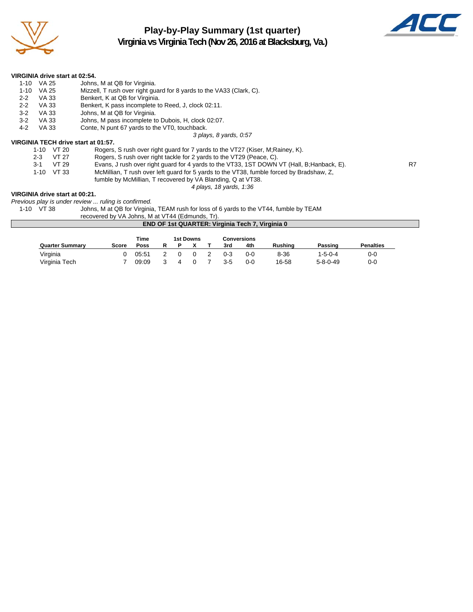

## **Play-by-Play Summary (1st quarter) Virginia vs Virginia Tech (Nov 26, 2016 at Blacksburg, Va.)**



|          | VIRGINIA drive start at 02:54. |                                                                               |
|----------|--------------------------------|-------------------------------------------------------------------------------|
| 1-10     | VA 25                          | Johns, M at QB for Virginia.                                                  |
| $1 - 10$ | VA 25                          | Mizzell, T rush over right guard for 8 yards to the VA33 (Clark, C).          |
| $2 - 2$  | VA 33                          | Benkert, K at QB for Virginia.                                                |
| $2 - 2$  | VA 33                          | Benkert, K pass incomplete to Reed, J, clock 02:11.                           |
| $3-2$    | VA 33                          | Johns, M at QB for Virginia.                                                  |
| $3-2$    | VA 33                          | Johns, M pass incomplete to Dubois, H, clock 02:07.                           |
| $4-2$    | VA 33                          | Conte, N punt 67 yards to the VT0, touchback.                                 |
|          |                                | 3 plays, 8 yards, 0:57                                                        |
|          |                                | VIRGINIA TECH drive start at 01:57.                                           |
|          | 1-10 VT 20                     | Rogers, Situato over right quard for 7 vards to the VT27 (Kiser, M Rainey, K. |

| 1-10 VT 20  | Rogers, S rush over right guard for 7 yards to the VT27 (Kiser, M;Rainey, K).              |    |
|-------------|--------------------------------------------------------------------------------------------|----|
| 2-3 VT 27   | Rogers, S rush over right tackle for 2 yards to the VT29 (Peace, C).                       |    |
| $3-1$ VT 29 | Evans, J rush over right guard for 4 yards to the VT33, 1ST DOWN VT (Hall, B; Hanback, E). | R7 |
| 1-10 VT 33  | McMillian, T rush over left quard for 5 yards to the VT38, fumble forced by Bradshaw, Z.   |    |
|             | fumble by McMillian, T recovered by VA Blanding, Q at VT38.                                |    |

#### *4 plays, 18 yards, 1:36*

#### **VIRGINIA drive start at 00:21.**

*Previous play is under review ... ruling is confirmed.*

Johns, M at QB for Virginia, TEAM rush for loss of 6 yards to the VT44, fumble by TEAM

recovered by VA Johns, M at VT44 (Edmunds, Tr). **END OF 1st QUARTER: Virginia Tech 7, Virginia 0**

|                        |              | Time  |   |            | 1st Downs |         | Conversions |          |                  |                  |
|------------------------|--------------|-------|---|------------|-----------|---------|-------------|----------|------------------|------------------|
| <b>Quarter Summary</b> | <b>Score</b> | Poss  | R |            |           | 3rd     | 4th         | Rushina  | Passing          | <b>Penalties</b> |
| Virginia               |              | 05:51 |   | $^{\circ}$ |           | $0 - 3$ | 0-0         | $8 - 36$ | 1-5-0-4          | 0-0              |
| Virginia Tech          |              | 09:09 |   |            |           | $3-5$   | $0 - 0$     | 16-58    | $5 - 8 - 0 - 49$ | 0-0              |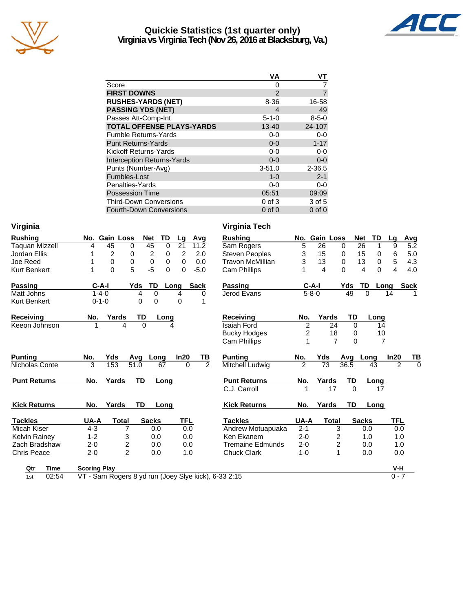

## **Quickie Statistics (1st quarter only) Virginia vs Virginia Tech (Nov 26, 2016 at Blacksburg, Va.)**



|                                   | ٧A            | VТ          |
|-----------------------------------|---------------|-------------|
| Score                             | 0             |             |
| <b>FIRST DOWNS</b>                | $\mathcal{P}$ |             |
| <b>RUSHES-YARDS (NET)</b>         | 8-36          | 16-58       |
| <b>PASSING YDS (NET)</b>          | 4             | 49          |
| Passes Att-Comp-Int               | $5 - 1 - 0$   | $8 - 5 - 0$ |
| <b>TOTAL OFFENSE PLAYS-YARDS</b>  | 13-40         | 24-107      |
| <b>Fumble Returns-Yards</b>       | $0 - 0$       | $0-0$       |
| <b>Punt Returns-Yards</b>         | $0 - 0$       | $1 - 17$    |
| Kickoff Returns-Yards             | $0-0$         | $0-0$       |
| <b>Interception Returns-Yards</b> | $0 - 0$       | $0-0$       |
| Punts (Number-Avg)                | $3 - 51.0$    | $2 - 36.5$  |
| Fumbles-Lost                      | $1 - 0$       | $2 - 1$     |
| Penalties-Yards                   | 0-0           | $0-0$       |
| <b>Possession Time</b>            | 05:51         | 09:09       |
| <b>Third-Down Conversions</b>     | $0$ of $3$    | 3 of 5      |
| Fourth-Down Conversions           | $0$ of $0$    | $0$ of $0$  |

| <b>Rushing</b>      |                     | No. Gain Loss  | <b>Net</b>       | TD<br>Lg         | Avg            | <b>Rushing</b>          |                | No. Gain Loss |                |          | <b>Net</b><br><b>TD</b> |
|---------------------|---------------------|----------------|------------------|------------------|----------------|-------------------------|----------------|---------------|----------------|----------|-------------------------|
| Taquan Mizzell      | 4                   | 45             | 45<br>$\Omega$   | 21<br>$\Omega$   | 11.2           | Sam Rogers              | 5              | 26            | $\Omega$       |          | 26<br>1                 |
| Jordan Ellis        |                     | 2              | 2<br>0           | 2<br>0           | 2.0            | <b>Steven Peoples</b>   | 3              | 15            | $\Omega$       |          | 15<br>$\mathbf 0$       |
| Joe Reed            |                     | 0              | $\mathbf 0$<br>0 | $\mathbf 0$<br>0 | 0.0            | <b>Travon McMillian</b> | 3              | 13            | $\Omega$       |          | $\mathbf 0$<br>13       |
| Kurt Benkert        |                     | $\mathbf{0}$   | 5<br>$-5$        | $\Omega$<br>0    | $-5.0$         | Cam Phillips            |                | 4             | $\Omega$       |          | $\Omega$<br>4           |
| <b>Passing</b>      |                     | $C-A-I$        | TD<br>Yds        | Long             | <b>Sack</b>    | <b>Passing</b>          |                | $C-A-I$       |                | Yds      | TD<br>Lo                |
| Matt Johns          |                     | $1 - 4 - 0$    | 0<br>4           | 4                | 0              | Jerod Evans             |                | $5 - 8 - 0$   |                | 49       | $\Omega$                |
| Kurt Benkert        |                     | $0 - 1 - 0$    | 0<br>$\Omega$    | 0                | 1              |                         |                |               |                |          |                         |
| <b>Receiving</b>    | No.                 | Yards          | TD               | Long             |                | <b>Receiving</b>        | No.            |               | Yards          | TD       | Lonc                    |
| Keeon Johnson       |                     | 4              | $\Omega$         | 4                |                | Isaiah Ford             | $\overline{2}$ |               | 24             | 0        | 14                      |
|                     |                     |                |                  |                  |                | <b>Bucky Hodges</b>     | $\overline{c}$ |               | 18             | 0        | 1 <sub>0</sub>          |
|                     |                     |                |                  |                  |                | <b>Cam Phillips</b>     | 1              |               | $\overline{7}$ | 0        |                         |
| <b>Punting</b>      | No.                 | Yds            | Avg Long         | In20             | TB             | <b>Punting</b>          | No.            | Yds           |                | Avg      | Long                    |
| Nicholas Conte      | 3                   | 153            | 51.0             | 67<br>$\Omega$   | $\overline{2}$ | Mitchell Ludwig         | $\overline{2}$ | 73            |                | 36.5     | 43                      |
| <b>Punt Returns</b> | No.                 | Yards          | <b>TD</b>        | Long             |                | <b>Punt Returns</b>     | No.            | Yards         |                | TD       | Long                    |
|                     |                     |                |                  |                  |                | C.J. Carroll            | 1              |               | 17             | $\Omega$ | 17                      |
| <b>Kick Returns</b> | No.                 | Yards          | <b>TD</b>        | Long             |                | <b>Kick Returns</b>     | No.            | Yards         |                | TD       | Long                    |
| <b>Tackles</b>      | UA-A                | <b>Total</b>   | <b>Sacks</b>     | <b>TFL</b>       |                | <b>Tackles</b>          | UA-A           |               | <b>Total</b>   |          | <b>Sacks</b>            |
| Micah Kiser         | $4 - 3$             | $\overline{7}$ | 0.0              | 0.0              |                | Andrew Motuapuaka       | $2 - 1$        |               | 3              |          | 0.0                     |
| Kelvin Rainey       | $1 - 2$             | 3              | 0.0              | 0.0              |                | Ken Ekanem              | $2 - 0$        |               | 2              |          | 1.0                     |
| Zach Bradshaw       | $2 - 0$             | 2              | 0.0              | 0.0              |                | <b>Tremaine Edmunds</b> | $2 - 0$        |               | 2              |          | 0.0                     |
| <b>Chris Peace</b>  | $2 - 0$             | $\overline{2}$ | 0.0              | 1.0              |                | <b>Chuck Clark</b>      | $1 - 0$        |               | 1              |          | 0.0                     |
| <b>Timo</b><br>∩÷r  | <b>Cooring Diav</b> |                |                  |                  |                |                         |                |               |                |          |                         |

1st 02:54 VT - Sam Rogers 8 yd run (Joey Slye kick), 6-33 2:15 0 - 7

**Virginia Virginia Tech**

| hina           |                     | No. Gain Loss       | TD<br>Net         | Lg                                | Avg            | <b>Rushing</b>          |                | No. Gain Loss   |                | Net             | TD<br>Lg         | Avg                        |
|----------------|---------------------|---------------------|-------------------|-----------------------------------|----------------|-------------------------|----------------|-----------------|----------------|-----------------|------------------|----------------------------|
| lan Mizzell    | 4                   | 45<br>0             | 45                | $\overline{0}$<br>$\overline{21}$ | 11.2           | Sam Rogers              | 5              | $\overline{26}$ | 0              | $\overline{26}$ | 1<br>9           | $\overline{5.2}$           |
| an Ellis       |                     | $\overline{2}$<br>0 | $\overline{2}$    | 2<br>0                            | 2.0            | <b>Steven Peoples</b>   | 3              | 15              | 0              | 15              | 6<br>0           | 5.0                        |
| Reed           |                     | 0<br>$\mathbf 0$    | 0                 | 0<br>0                            | 0.0            | <b>Travon McMillian</b> | 3              | 13              | 0              | 13              | 5<br>$\mathbf 0$ | 4.3                        |
| Benkert        |                     | 5<br>0              | $-5$              | $\Omega$<br>0                     | $-5.0$         | Cam Phillips            |                | 4               | $\Omega$       | 4               | 0<br>4           | 4.0                        |
| ing            | C-A-I               | Yds                 | TD                | Long                              | <b>Sack</b>    | <b>Passing</b>          |                | $C-A-I$         | Yds            | TD              | Long             | <b>Sack</b>                |
| Johns          | $1 - 4 - 0$         |                     | 4<br>$\Omega$     | 4                                 | 0              | Jerod Evans             |                | $5 - 8 - 0$     | 49             | 0               | 14               |                            |
| Benkert        | $0 - 1 - 0$         |                     | $\Omega$<br>0     | $\Omega$                          |                |                         |                |                 |                |                 |                  |                            |
| eiving         | No.                 | Yards               | TD<br>Long        |                                   |                | <b>Receiving</b>        | No.            | Yards           | TD             |                 | Long             |                            |
| n Johnson      |                     | 4                   | 0                 | 4                                 |                | Isaiah Ford             | $\overline{2}$ |                 | 24             | 0               | 14               |                            |
|                |                     |                     |                   |                                   |                | <b>Bucky Hodges</b>     | 2              |                 | 18             | 0               | 10               |                            |
|                |                     |                     |                   |                                   |                | Cam Phillips            |                |                 | $\overline{7}$ | $\Omega$        | $\overline{7}$   |                            |
| inq            | No.                 | Yds                 | Avg Long          | In20                              | TВ             | <b>Punting</b>          | No.            | Yds             | Avg            | Long            | In20             | <u>тв</u>                  |
| plas Conte     | 3                   | 153<br>51.0         | 67                | $\Omega$                          | $\overline{2}$ | Mitchell Ludwig         | $\overline{2}$ | $\overline{73}$ | 36.5           | 43              |                  | $\overline{2}$<br>$\Omega$ |
| : Returns      | No.                 | Yards               | TD<br>Long        |                                   |                | <b>Punt Returns</b>     | No.            | Yards           | <b>TD</b>      | Long            |                  |                            |
|                |                     |                     |                   |                                   |                | C.J. Carroll            |                | 17              | $\Omega$       |                 | 17               |                            |
| <b>Returns</b> | No.                 | Yards               | <b>TD</b><br>Long |                                   |                | <b>Kick Returns</b>     | No.            | Yards           | <b>TD</b>      | Long            |                  |                            |
| des            | UA-A                | <b>Total</b>        | <b>Sacks</b>      | <b>TFL</b>                        |                | <b>Tackles</b>          | UA-A           | <b>Total</b>    |                | <b>Sacks</b>    | <b>TFL</b>       |                            |
| h Kiser        | $4 - 3$             | 7                   | 0.0               | 0.0                               |                | Andrew Motuapuaka       | $2 - 1$        |                 | 3              | 0.0             |                  | 0.0                        |
| in Rainey      | $1 - 2$             | 3                   | 0.0               | 0.0                               |                | Ken Ekanem              | $2 - 0$        |                 | 2              | 1.0             |                  | 1.0                        |
| յ Bradshaw     | $2 - 0$             | 2                   | 0.0               | 0.0                               |                | <b>Tremaine Edmunds</b> | $2 - 0$        |                 | $\overline{c}$ | 0.0             |                  | 1.0                        |
| s Peace        | $2 - 0$             | $\overline{2}$      | 0.0               | 1.0                               |                | <b>Chuck Clark</b>      | $1 - 0$        |                 |                | 0.0             |                  | 0.0                        |
| Qtr<br>Time    | <b>Scoring Play</b> |                     |                   |                                   |                |                         |                |                 |                |                 | $V-H$            |                            |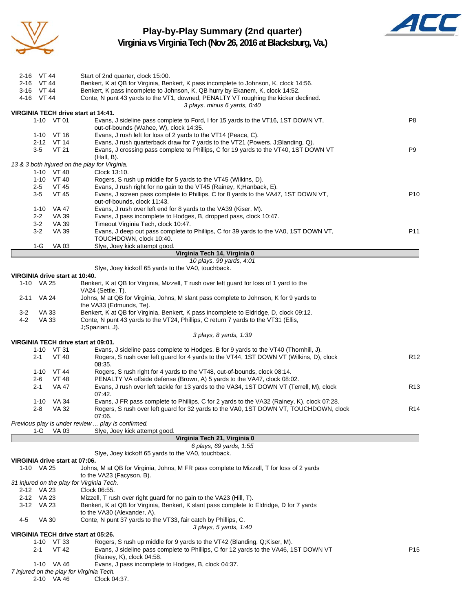

### **Play-by-Play Summary (2nd quarter) Virginia vs Virginia Tech (Nov 26, 2016 at Blacksburg, Va.)**



|         | 2-16 VT 44       |                                | Start of 2nd quarter, clock 15:00.                                                                                                                         |                 |
|---------|------------------|--------------------------------|------------------------------------------------------------------------------------------------------------------------------------------------------------|-----------------|
|         | 2-16 VT 44       |                                | Benkert, K at QB for Virginia, Benkert, K pass incomplete to Johnson, K, clock 14:56.                                                                      |                 |
|         | 3-16 VT 44       |                                | Benkert, K pass incomplete to Johnson, K, QB hurry by Ekanem, K, clock 14:52.                                                                              |                 |
|         | 4-16 VT 44       |                                | Conte, N punt 43 yards to the VT1, downed, PENALTY VT roughing the kicker declined.                                                                        |                 |
|         |                  |                                | 3 plays, minus 6 yards, 0:40<br>VIRGINIA TECH drive start at 14:41.                                                                                        |                 |
|         |                  | 1-10 VT 01                     | Evans, J sideline pass complete to Ford, I for 15 yards to the VT16, 1ST DOWN VT,                                                                          | P <sub>8</sub>  |
|         |                  |                                | out-of-bounds (Wahee, W), clock 14:35.                                                                                                                     |                 |
|         |                  | $1-10$ VT 16                   | Evans, J rush left for loss of 2 yards to the VT14 (Peace, C).                                                                                             |                 |
|         |                  | 2-12 VT 14                     | Evans, J rush quarterback draw for 7 yards to the VT21 (Powers, J;Blanding, Q).                                                                            |                 |
|         | $3-5$            | VT 21                          | Evans, J crossing pass complete to Phillips, C for 19 yards to the VT40, 1ST DOWN VT<br>(Hall, B).                                                         | P <sub>9</sub>  |
|         |                  |                                | 13 & 3 both injured on the play for Virginia.                                                                                                              |                 |
|         |                  | 1-10 VT 40                     | Clock 13:10.                                                                                                                                               |                 |
|         |                  | 1-10 VT 40                     | Rogers, S rush up middle for 5 yards to the VT45 (Wilkins, D).                                                                                             |                 |
|         | $2 - 5$<br>$3-5$ | VT 45<br><b>VT 45</b>          | Evans, J rush right for no gain to the VT45 (Rainey, K; Hanback, E).<br>Evans, J screen pass complete to Phillips, C for 8 yards to the VA47, 1ST DOWN VT, | P <sub>10</sub> |
|         |                  |                                | out-of-bounds, clock 11:43.                                                                                                                                |                 |
|         | $1 - 10$         | VA 47                          | Evans, J rush over left end for 8 yards to the VA39 (Kiser, M).                                                                                            |                 |
|         | $2 - 2$          | VA 39                          | Evans, J pass incomplete to Hodges, B, dropped pass, clock 10:47.                                                                                          |                 |
|         | $3 - 2$          | <b>VA 39</b>                   | Timeout Virginia Tech, clock 10:47.                                                                                                                        |                 |
|         | $3-2$            | VA 39                          | Evans, J deep out pass complete to Phillips, C for 39 yards to the VA0, 1ST DOWN VT,                                                                       | P11             |
|         | 1-G              | VA 03                          | TOUCHDOWN, clock 10:40.<br>Slye, Joey kick attempt good.                                                                                                   |                 |
|         |                  |                                | Virginia Tech 14, Virginia 0                                                                                                                               |                 |
|         |                  |                                | 10 plays, 99 yards, 4:01                                                                                                                                   |                 |
|         |                  |                                | Slye, Joey kickoff 65 yards to the VA0, touchback.                                                                                                         |                 |
|         | 1-10 VA 25       | VIRGINIA drive start at 10:40. |                                                                                                                                                            |                 |
|         |                  |                                | Benkert, K at QB for Virginia, Mizzell, T rush over left guard for loss of 1 yard to the<br>VA24 (Settle, T).                                              |                 |
|         | 2-11 VA 24       |                                | Johns, M at QB for Virginia, Johns, M slant pass complete to Johnson, K for 9 yards to                                                                     |                 |
| $3 - 2$ | VA 33            |                                | the VA33 (Edmunds, Te).<br>Benkert, K at QB for Virginia, Benkert, K pass incomplete to Eldridge, D, clock 09:12.                                          |                 |
| 4-2     | <b>VA 33</b>     |                                | Conte, N punt 43 yards to the VT24, Phillips, C return 7 yards to the VT31 (Ellis,                                                                         |                 |
|         |                  |                                | J;Spaziani, J).                                                                                                                                            |                 |
|         |                  |                                | 3 plays, 8 yards, 1:39                                                                                                                                     |                 |
|         |                  | $1-10$ VT 31                   | VIRGINIA TECH drive start at 09:01.<br>Evans, J sideline pass complete to Hodges, B for 9 yards to the VT40 (Thornhill, J).                                |                 |
|         | $2 - 1$          | VT 40                          | Rogers, S rush over left guard for 4 yards to the VT44, 1ST DOWN VT (Wilkins, D), clock                                                                    | R <sub>12</sub> |
|         |                  |                                | 08:35.                                                                                                                                                     |                 |
|         |                  | $1-10$ VT 44                   | Rogers, S rush right for 4 yards to the VT48, out-of-bounds, clock 08:14.                                                                                  |                 |
|         | 2-6              | VT 48                          | PENALTY VA offside defense (Brown, A) 5 yards to the VA47, clock 08:02.                                                                                    |                 |
|         | $2 - 1$          | VA 47                          | Evans, J rush over left tackle for 13 yards to the VA34, 1ST DOWN VT (Terrell, M), clock<br>07:42.                                                         | R <sub>13</sub> |
|         |                  | 1-10 VA 34                     | Evans, J FR pass complete to Phillips, C for 2 yards to the VA32 (Rainey, K), clock 07:28.                                                                 |                 |
|         | 2-8              | VA 32                          | Rogers, S rush over left quard for 32 yards to the VA0, 1ST DOWN VT, TOUCHDOWN, clock                                                                      | R <sub>14</sub> |
|         |                  |                                | 07:06.                                                                                                                                                     |                 |
|         |                  |                                | Previous play is under review  play is confirmed.                                                                                                          |                 |
|         | 1-G              | VA 03                          | Slye, Joey kick attempt good.                                                                                                                              |                 |
|         |                  |                                | Virginia Tech 21, Virginia 0<br>6 plays, 69 yards, 1:55                                                                                                    |                 |
|         |                  |                                | Siye, Joey kickoff 65 yards to the VA0, touchback.                                                                                                         |                 |
|         |                  | VIRGINIA drive start at 07:06. |                                                                                                                                                            |                 |
|         | 1-10 VA 25       |                                | Johns, M at QB for Virginia, Johns, M FR pass complete to Mizzell, T for loss of 2 yards                                                                   |                 |
|         |                  |                                | to the VA23 (Facyson, B).                                                                                                                                  |                 |
|         | 2-12 VA 23       |                                | 31 injured on the play for Virginia Tech.<br>Clock 06:55.                                                                                                  |                 |
|         | 2-12 VA 23       |                                | Mizzell, T rush over right guard for no gain to the VA23 (Hill, T).                                                                                        |                 |
|         | 3-12 VA 23       |                                | Benkert, K at QB for Virginia, Benkert, K slant pass complete to Eldridge, D for 7 yards                                                                   |                 |
|         |                  |                                | to the VA30 (Alexander, A).                                                                                                                                |                 |
| 4-5     | VA 30            |                                | Conte, N punt 37 yards to the VT33, fair catch by Phillips, C.                                                                                             |                 |
|         |                  |                                | 3 plays, 5 yards, 1:40<br>VIRGINIA TECH drive start at 05:26.                                                                                              |                 |
|         |                  | 1-10 VT 33                     | Rogers, S rush up middle for 9 yards to the VT42 (Blanding, Q;Kiser, M).                                                                                   |                 |
|         | $2 - 1$          | <b>VT 42</b>                   | Evans, J sideline pass complete to Phillips, C for 12 yards to the VA46, 1ST DOWN VT                                                                       | P <sub>15</sub> |
|         |                  |                                | (Rainey, K), clock 04:58.                                                                                                                                  |                 |
|         |                  | 1-10 VA 46                     | Evans, J pass incomplete to Hodges, B, clock 04:37.<br>7 injured on the play for Virginia Tech.                                                            |                 |
|         |                  | 2-10 VA 46                     | Clock 04:37.                                                                                                                                               |                 |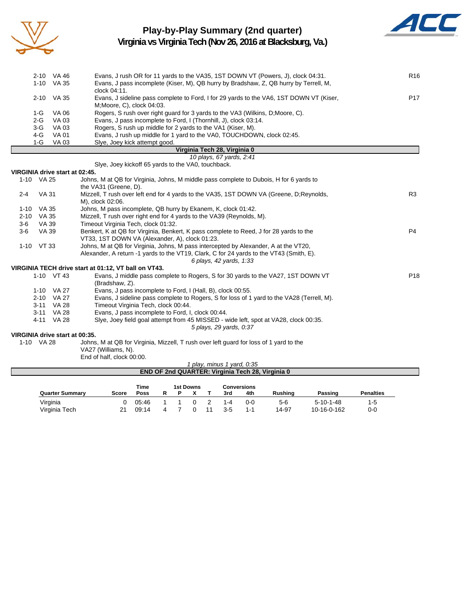

# **Play-by-Play Summary (2nd quarter)**



**Virginia vs Virginia Tech (Nov 26, 2016 at Blacksburg, Va.)**

|       | 2-10 VA 46 | Evans, J rush OR for 11 yards to the VA35, 1ST DOWN VT (Powers, J), clock 04:31.        | R <sub>16</sub> |
|-------|------------|-----------------------------------------------------------------------------------------|-----------------|
|       | 1-10 VA 35 | Evans, J pass incomplete (Kiser, M), QB hurry by Bradshaw, Z, QB hurry by Terrell, M,   |                 |
|       |            | clock 04:11.                                                                            |                 |
|       | 2-10 VA 35 | Evans, J sideline pass complete to Ford, I for 29 yards to the VA6, 1ST DOWN VT (Kiser, | P <sub>17</sub> |
|       |            | M; Moore, C), clock 04:03.                                                              |                 |
| 1-G   | VA 06      | Rogers, S rush over right guard for 3 yards to the VA3 (Wilkins, D; Moore, C).          |                 |
| $2-G$ | VA 03      | Evans, J pass incomplete to Ford, I (Thornhill, J), clock 03:14.                        |                 |
| 3-G   | VA 03      | Rogers, S rush up middle for 2 yards to the VA1 (Kiser, M).                             |                 |
| 4-G   | VA 01      | Evans, J rush up middle for 1 yard to the VA0, TOUCHDOWN, clock 02:45.                  |                 |
|       | 1-G VA 03  | Siye, Joey kick attempt good.                                                           |                 |
|       |            | Virginia Tech 28, Virginia 0                                                            |                 |
|       |            | 10 plays, 67 yards, 2:41                                                                |                 |

Slye, Joey kickoff 65 yards to the VA0, touchback.

#### **VIRGINIA drive start at 02:45.** 1-10 VA 25 Johns, M at QB for Virginia, Johns, M middle pass complete to Dubois, H for 6 yards to the VA31 (Greene, D). 2-4 VA 31 Mizzell, T rush over left end for 4 yards to the VA35, 1ST DOWN VA (Greene, D;Reynolds, R3 M), clock 02:06. 1-10 VA 35 Johns, M pass incomplete, QB hurry by Ekanem, K, clock 01:42. 2-10 VA 35 Mizzell, T rush over right end for 4 yards to the VA39 (Reynolds, M). 3-6 VA 39 Timeout Virginia Tech, clock 01:32. 3-6 VA 39 Benkert, K at QB for Virginia, Benkert, K pass complete to Reed, J for 28 yards to the P4 VT33, 1ST DOWN VA (Alexander, A), clock 01:23. 1-10 VT 33 Johns, M at QB for Virginia, Johns, M pass intercepted by Alexander, A at the VT20, Alexander, A return -1 yards to the VT19, Clark, C for 24 yards to the VT43 (Smith, E). *6 plays, 42 yards, 1:33* **VIRGINIA TECH drive start at 01:12, VT ball on VT43.** 1-10 VT 43 Evans, J middle pass complete to Rogers, S for 30 yards to the VA27, 1ST DOWN VT P18 (Bradshaw, Z). 1-10 VA 27 Evans, J pass incomplete to Ford, I (Hall, B), clock 00:55. 2-10 VA 27 Evans, J sideline pass complete to Rogers, S for loss of 1 yard to the VA28 (Terrell, M). 3-11 VA 28 Timeout Virginia Tech, clock 00:44. 3-11 VA 28 Evans, J pass incomplete to Ford, I, clock 00:44. 4-11 VA 28 Slye, Joey field goal attempt from 45 MISSED - wide left, spot at VA28, clock 00:35. *5 plays, 29 yards, 0:37* **VIRGINIA drive start at 00:35.** 1-10 VA 28 Johns, M at QB for Virginia, Mizzell, T rush over left guard for loss of 1 yard to the VA27 (Williams, N).

End of half, clock 00:00.

| .<br>I play, minus 1 yard, 0:35                         |       |             |  |  |  |  |     |     |                |         |                  |  |
|---------------------------------------------------------|-------|-------------|--|--|--|--|-----|-----|----------------|---------|------------------|--|
| <b>END OF 2nd QUARTER: Virginia Tech 28, Virginia 0</b> |       |             |  |  |  |  |     |     |                |         |                  |  |
|                                                         |       |             |  |  |  |  |     |     |                |         |                  |  |
| Time<br>1st Downs<br><b>Conversions</b>                 |       |             |  |  |  |  |     |     |                |         |                  |  |
| <b>Quarter Summary</b>                                  | Score | <b>Poss</b> |  |  |  |  | 3rd | 4th | <b>Rushing</b> | Passing | <b>Penalties</b> |  |

Virginia 0 05:46 1 1 0 2 1-4 0-0 5-6 5-10-1-48 1-5 Virginia Tech 21 09:14 4 7 0 11 3-5 1-1 14-97 10-16-0-162 0-0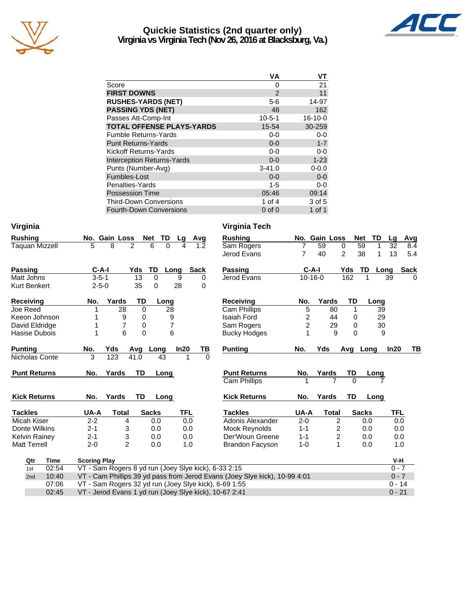

## **Quickie Statistics (2nd quarter only) Virginia vs Virginia Tech (Nov 26, 2016 at Blacksburg, Va.)**



|                                   | ٧A           | ۷T        |
|-----------------------------------|--------------|-----------|
| Score                             | 0            | 21        |
| <b>FIRST DOWNS</b>                | 2            | 11        |
| <b>RUSHES-YARDS (NET)</b>         | $5-6$        | 14-97     |
| <b>PASSING YDS (NET)</b>          | 48           | 162       |
| Passes Att-Comp-Int               | $10 - 5 - 1$ | $16-10-0$ |
| <b>TOTAL OFFENSE PLAYS-YARDS</b>  | 15-54        | 30-259    |
| <b>Fumble Returns-Yards</b>       | 0-0          | $0-0$     |
| <b>Punt Returns-Yards</b>         | $0 - 0$      | $1 - 7$   |
| Kickoff Returns-Yards             | $0-0$        | $0-0$     |
| <b>Interception Returns-Yards</b> | $0 - 0$      | $1 - 23$  |
| Punts (Number-Avg)                | $3 - 41.0$   | $0 - 0.0$ |
| Fumbles-Lost                      | $0 - 0$      | $0-0$     |
| Penalties-Yards                   | $1 - 5$      | $0-0$     |
| <b>Possession Time</b>            | 05:46        | 09:14     |
| <b>Third-Down Conversions</b>     | 1 of $4$     | 3 of 5    |
| <b>Fourth-Down Conversions</b>    | $0$ of $0$   | 1 of 1    |

| Virginia              |                                                                            |                     |                   |          |            |             | Virginia Tech                                          |                |                |                |                  |                     |          |
|-----------------------|----------------------------------------------------------------------------|---------------------|-------------------|----------|------------|-------------|--------------------------------------------------------|----------------|----------------|----------------|------------------|---------------------|----------|
| <b>Rushing</b>        | No. Gain Loss                                                              |                     | Net               | TD.      | Lg         | Avg         | <b>Rushing</b>                                         |                | No. Gain Loss  |                | TD<br><b>Net</b> | Avg<br>Lg           |          |
| <b>Taquan Mizzell</b> | 5                                                                          | $\overline{8}$<br>2 | $\overline{6}$    | $\Omega$ |            | 1.2         | Sam Rogers                                             | $\overline{7}$ | 59             | 0              | 59<br>1          | 32<br>8.4           |          |
|                       |                                                                            |                     |                   |          |            |             | Jerod Evans                                            | $\overline{7}$ | 40             | $\overline{c}$ | 38<br>1          | 13<br>5.4           |          |
| <b>Passing</b>        | $C-A-I$                                                                    |                     | Yds               | TD       | Long       | <b>Sack</b> | <b>Passing</b>                                         |                | $C-A-I$        | Yds            | <b>TD</b>        | <b>Sack</b><br>Long |          |
| Matt Johns            | $3 - 5 - 1$                                                                |                     | 13                | 0        | 9          | 0           | Jerod Evans                                            |                | $10 - 16 - 0$  | 162            |                  | 39                  | $\Omega$ |
| Kurt Benkert          | $2 - 5 - 0$                                                                |                     | 35                | $\Omega$ | 28         | $\Omega$    |                                                        |                |                |                |                  |                     |          |
| <b>Receiving</b>      | No.                                                                        | Yards               | TD                | Long     |            |             | <b>Receiving</b>                                       | No.            | Yards          | <b>TD</b>      | Long             |                     |          |
| Joe Reed              |                                                                            | 28                  | $\Omega$          | 28       |            |             | Cam Phillips                                           | 5              | 80             | $\mathbf{1}$   | 39               |                     |          |
| Keeon Johnson         |                                                                            | 9                   | 0                 | 9        |            |             | <b>Isaiah Ford</b>                                     | 2              | 44             | 0              | 29               |                     |          |
| David Eldridge        |                                                                            | $\overline{7}$      | 0                 | 7        |            |             | Sam Rogers                                             | 2              | 29             | 0              | 30               |                     |          |
| Hasise Dubois         | 1                                                                          | 6                   | $\mathbf 0$       | 6        |            |             | <b>Bucky Hodges</b>                                    | 1              | 9              | $\Omega$       | 9                |                     |          |
| <b>Punting</b>        | No.                                                                        | Yds                 | Avg               | Long     | In20       | TВ          | <b>Punting</b>                                         | No.            | Yds            | Avg            | Long             | In20                | TB       |
| Nicholas Conte        | 3                                                                          | 123                 | $\overline{4}1.0$ | 43       | 1          |             | $\Omega$                                               |                |                |                |                  |                     |          |
| <b>Punt Returns</b>   | No.                                                                        | Yards               | <b>TD</b>         | Long     |            |             | <b>Punt Returns</b>                                    | No.            | Yards          | TD             | <b>Long</b>      |                     |          |
|                       |                                                                            |                     |                   |          |            |             | <b>Cam Phillips</b>                                    |                |                | $\Omega$       |                  |                     |          |
| <b>Kick Returns</b>   | No.                                                                        | Yards               | TD                | Long     |            |             | <b>Kick Returns</b>                                    | No.            | Yards          | TD             | Long             |                     |          |
| <b>Tackles</b>        | UA-A                                                                       | <b>Total</b>        | <b>Sacks</b>      |          | <b>TFL</b> |             | <b>Tackles</b>                                         | UA-A           | <b>Total</b>   |                | <b>Sacks</b>     | TFL                 |          |
| Micah Kiser           | $2 - 2$                                                                    | 4                   |                   | 0.0      | 0.0        |             | Adonis Alexander                                       | $2 - 0$        | $\overline{2}$ |                | 0.0              | 0.0                 |          |
| Donte Wilkins         | $2 - 1$                                                                    | 3                   |                   | 0.0      | 0.0        |             | Mook Reynolds                                          | $1 - 1$        | 2              |                | 0.0              | 0.0                 |          |
| <b>Kelvin Rainey</b>  | $2 - 1$                                                                    | 3                   |                   | 0.0      | 0.0        |             | Der'Woun Greene                                        | $1 - 1$        | 2              |                | 0.0              | 0.0                 |          |
| <b>Matt Terrell</b>   | $2 - 0$                                                                    | $\overline{2}$      |                   | 0.0      | 1.0        |             | <b>Brandon Facyson</b>                                 | $1 - 0$        | $\mathbf{1}$   |                | 0.0              | 1.0                 |          |
| Qtr<br><b>Time</b>    | <b>Scoring Play</b>                                                        |                     |                   |          |            |             |                                                        |                |                |                |                  | $V-H$               |          |
| 02:54<br>1st          | VT - Sam Rogers 8 yd run (Joey Slye kick), 6-33 2:15                       |                     |                   |          |            |             |                                                        |                | $0 - 7$        |                |                  |                     |          |
| 10:40<br>2nd          | VT - Cam Phillips 39 yd pass from Jerod Evans (Joey Slye kick), 10-99 4:01 |                     |                   |          |            |             |                                                        |                | $0 - 7$        |                |                  |                     |          |
| 07:06                 | VT - Sam Rogers 32 yd run (Joey Slye kick), 6-69 1:55                      |                     |                   |          |            |             |                                                        |                | $0 - 14$       |                |                  |                     |          |
| 02:45                 |                                                                            |                     |                   |          |            |             | VT - Jerod Evans 1 yd run (Joey Slye kick), 10-67 2:41 |                |                |                |                  | $0 - 21$            |          |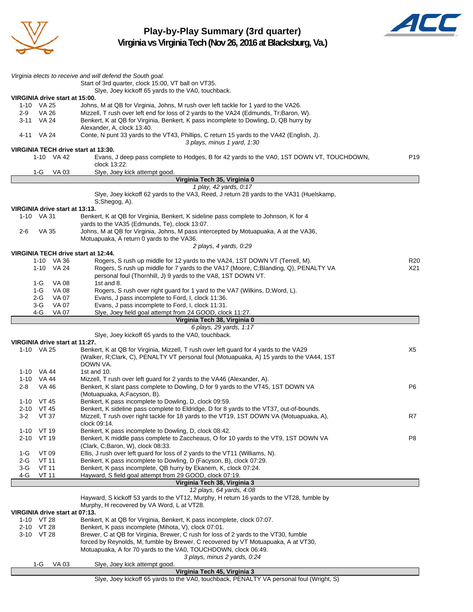

**Play-by-Play Summary (3rd quarter) Virginia vs Virginia Tech (Nov 26, 2016 at Blacksburg, Va.)**



*Virginia elects to receive and will defend the South goal.* Start of 3rd quarter, clock 15:00, VT ball on VT35. Slye, Joey kickoff 65 yards to the VA0, touchback. **VIRGINIA drive start at 15:00.** 1-10 VA 25 Johns, M at QB for Virginia, Johns, M rush over left tackle for 1 yard to the VA26. 2-9 VA 26 Mizzell, T rush over left end for loss of 2 yards to the VA24 (Edmunds, Tr;Baron, W). 3-11 VA 24 Benkert, K at QB for Virginia, Benkert, K pass incomplete to Dowling, D, QB hurry by Alexander, A, clock 13:40. 4-11 VA 24 Conte, N punt 33 yards to the VT43, Phillips, C return 15 yards to the VA42 (English, J). *3 plays, minus 1 yard, 1:30* **VIRGINIA TECH drive start at 13:30.** 1-10 VA 42 Evans, J deep pass complete to Hodges, B for 42 yards to the VA0, 1ST DOWN VT, TOUCHDOWN, P19 clock 13:22. 1-G VA 03 Slye, Joey kick attempt good **Virginia Tech 35, Virginia 0** *1 play, 42 yards, 0:17* Slye, Joey kickoff 62 yards to the VA3, Reed, J return 28 yards to the VA31 (Huelskamp, S;Shegog, A). **VIRGINIA drive start at 13:13.** Benkert, K at QB for Virginia, Benkert, K sideline pass complete to Johnson, K for 4 yards to the VA35 (Edmunds, Te), clock 13:07. 2-6 VA 35 Johns, M at QB for Virginia, Johns, M pass intercepted by Motuapuaka, A at the VA36, Motuapuaka, A return 0 yards to the VA36. *2 plays, 4 yards, 0:29* **VIRGINIA TECH drive start at 12:44.** 1-10 VA 36 Rogers, S rush up middle for 12 yards to the VA24, 1ST DOWN VT (Terrell, M). 1-10 VA 24 Rogers, S rush up middle for 7 yards to the VA17 (Moore, C;Blanding, Q), PENALTY VA X21 personal foul (Thornhill, J) 9 yards to the VA8, 1ST DOWN VT. 1-G VA 08 1st and 8. 1-G VA 08 Rogers, S rush over right guard for 1 yard to the VA7 (Wilkins, D;Word, L). 2-G VA 07 Evans, J pass incomplete to Ford, I, clock 11:36. 3-G VA 07 Evans, J pass incomplete to Ford, I, clock 11:31. 4-G VA 07 Slye, Joey field goal attempt from 24 GOOD, clock 11:27. **Virginia Tech 38, Virginia 0** *6 plays, 29 yards, 1:17* Slye, Joey kickoff 65 yards to the VA0, touchback. **VIRGINIA drive start at 11:27.** 1-10 VA 25 Benkert, K at QB for Virginia, Mizzell, T rush over left guard for 4 yards to the VA29 X5 (Walker, R;Clark, C), PENALTY VT personal foul (Motuapuaka, A) 15 yards to the VA44, 1ST DOWN VA. 1-10 VA 44 1st and 10. 1-10 VA 44 Mizzell, T rush over left guard for 2 yards to the VA46 (Alexander, A). 2-8 VA 46 Benkert, K slant pass complete to Dowling, D for 9 yards to the VT45, 1ST DOWN VA P6 (Motuapuaka, A;Facyson, B). 1-10 VT 45 Benkert, K pass incomplete to Dowling, D, clock 09:59. 2-10 VT 45 Benkert, K sideline pass complete to Eldridge, D for 8 yards to the VT37, out-of-bounds. 3-2 VT 37 Mizzell, T rush over right tackle for 18 yards to the VT19, 1ST DOWN VA (Motuapuaka, A), R7 clock 09:14. 1-10 VT 19 Benkert, K pass incomplete to Dowling, D, clock 08:42. 2-10 VT 19 Benkert, K middle pass complete to Zaccheaus, O for 10 yards to the VT9, 1ST DOWN VA P8 (Clark, C;Baron, W), clock 08:33. 1-G VT 09 Ellis, J rush over left guard for loss of 2 yards to the VT11 (Williams, N). 2-G VT 11 Benkert, K pass incomplete to Dowling, D (Facyson, B), clock 07:29.<br>2-G VT 11 Benkert. K pass incomplete. QB hurry by Ekanem. K. clock 07:24. 3-G VT 11 Benkert, K pass incomplete, QB hurry by Ekanem, K, clock 07:24. 4-G VT 11 Hayward, S field goal attempt from 29 GOOD, clock 07:19. **Virginia Tech 38, Virginia 3** *12 plays, 64 yards, 4:08* Hayward, S kickoff 53 yards to the VT12, Murphy, H return 16 yards to the VT28, fumble by Murphy, H recovered by VA Word, L at VT28. **VIRGINIA drive start at 07:13.** 1-10 VT 28 Benkert, K at QB for Virginia, Benkert, K pass incomplete, clock 07:07. 2-10 VT 28 Benkert, K pass incomplete (Mihota, V), clock 07:01. 3-10 VT 28 Brewer, C at QB for Virginia, Brewer, C rush for loss of 2 yards to the VT30, fumble forced by Reynolds, M, fumble by Brewer, C recovered by VT Motuapuaka, A at VT30, Motuapuaka, A for 70 yards to the VA0, TOUCHDOWN, clock 06:49. *3 plays, minus 2 yards, 0:24* 1-G VA 03 Slye, Joey kick attempt good. **Virginia Tech 45, Virginia 3** Slye, Joey kickoff 65 yards to the VA0, touchback, PENALTY VA personal foul (Wright, S)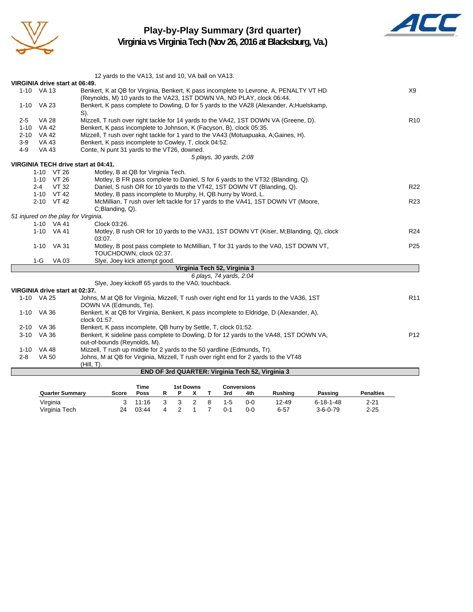

## **Play-by-Play Summary (3rd quarter)**

**Virginia vs Virginia Tech (Nov 26, 2016 at Blacksburg, Va.)**



|                                         | 12 yards to the VA13, 1st and 10, VA ball on VA13.                                                                                           |                 |
|-----------------------------------------|----------------------------------------------------------------------------------------------------------------------------------------------|-----------------|
| VIRGINIA drive start at 06:49.          |                                                                                                                                              |                 |
| 1-10 VA 13                              | Benkert, K at QB for Virginia, Benkert, K pass incomplete to Levrone, A, PENALTY VT HD                                                       | X9              |
|                                         | (Reynolds, M) 10 yards to the VA23, 1ST DOWN VA, NO PLAY, clock 06:44.                                                                       |                 |
| 1-10 VA 23                              | Benkert, K pass complete to Dowling, D for 5 yards to the VA28 (Alexander, A; Huelskamp,                                                     |                 |
|                                         | $S$ ).                                                                                                                                       |                 |
| <b>VA 28</b><br>$2 - 5$<br><b>VA 42</b> | Mizzell, T rush over right tackle for 14 yards to the VA42, 1ST DOWN VA (Greene, D).                                                         | R <sub>10</sub> |
| $1 - 10$<br>$2 - 10$<br><b>VA 42</b>    | Benkert, K pass incomplete to Johnson, K (Facyson, B), clock 05:35.                                                                          |                 |
| $3-9$<br><b>VA 43</b>                   | Mizzell, T rush over right tackle for 1 yard to the VA43 (Motuapuaka, A;Gaines, H).<br>Benkert, K pass incomplete to Cowley, T, clock 04:52. |                 |
| $4 - 9$<br><b>VA 43</b>                 | Conte, N punt 31 yards to the VT26, downed.                                                                                                  |                 |
|                                         | 5 plays, 30 yards, 2:08                                                                                                                      |                 |
| VIRGINIA TECH drive start at 04:41.     |                                                                                                                                              |                 |
| 1-10 VT 26                              | Motley, B at QB for Virginia Tech.                                                                                                           |                 |
| 1-10 VT 26                              | Motley, B FR pass complete to Daniel, S for 6 yards to the VT32 (Blanding, Q).                                                               |                 |
| VT 32<br>2-4                            | Daniel, S rush OR for 10 yards to the VT42, 1ST DOWN VT (Blanding, Q).                                                                       | R <sub>22</sub> |
| 1-10 VT 42                              | Motley, B pass incomplete to Murphy, H, QB hurry by Word, L.                                                                                 |                 |
| 2-10 VT 42                              | McMillian, T rush over left tackle for 17 yards to the VA41, 1ST DOWN VT (Moore,                                                             | R <sub>23</sub> |
|                                         | C;Blanding, Q).                                                                                                                              |                 |
| 51 injured on the play for Virginia.    |                                                                                                                                              |                 |
| 1-10 VA 41                              | Clock 03:26.                                                                                                                                 |                 |
| 1-10 VA 41                              | Motley, B rush OR for 10 yards to the VA31, 1ST DOWN VT (Kiser, M:Blanding, Q), clock<br>03:07.                                              | R <sub>24</sub> |
| 1-10 VA 31                              | Motley, B post pass complete to McMillian, T for 31 yards to the VA0, 1ST DOWN VT,<br>TOUCHDOWN, clock 02:37.                                | P <sub>25</sub> |
| $1-G$<br>VA 03                          | Slye, Joey kick attempt good.                                                                                                                |                 |
|                                         | Virginia Tech 52, Virginia 3                                                                                                                 |                 |
|                                         | 6 plays, 74 yards, 2:04                                                                                                                      |                 |
|                                         | Siye, Joey kickoff 65 yards to the VA0, touchback.                                                                                           |                 |
| VIRGINIA drive start at 02:37.          |                                                                                                                                              |                 |
| 1-10 VA 25                              | Johns, M at QB for Virginia, Mizzell, T rush over right end for 11 yards to the VA36, 1ST<br>DOWN VA (Edmunds, Te).                          | R <sub>11</sub> |
| 1-10 VA 36                              | Benkert, K at QB for Virginia, Benkert, K pass incomplete to Eldridge, D (Alexander, A),                                                     |                 |
|                                         | clock 01:57.                                                                                                                                 |                 |
| 2-10 VA 36                              | Benkert, K pass incomplete, QB hurry by Settle, T, clock 01:52.                                                                              |                 |
| 3-10 VA 36                              | Benkert, K sideline pass complete to Dowling, D for 12 yards to the VA48, 1ST DOWN VA,                                                       | P <sub>12</sub> |
|                                         | out-of-bounds (Reynolds, M).                                                                                                                 |                 |
| 1-10 VA 48                              | Mizzell, T rush up middle for 2 yards to the 50 yardline (Edmunds, Tr).                                                                      |                 |
| <b>VA 50</b><br>$2 - 8$                 | Johns, M at QB for Virginia, Mizzell, T rush over right end for 2 yards to the VT48<br>$(Hill, T)$ .                                         |                 |
|                                         | END OF 3rd QUARTER: Virginia Tech 52, Virginia 3                                                                                             |                 |
|                                         |                                                                                                                                              |                 |

|                        |       | Time  | 1st Downs |  |  | Conversions |         |         |                |                   |                  |
|------------------------|-------|-------|-----------|--|--|-------------|---------|---------|----------------|-------------------|------------------|
| <b>Quarter Summary</b> | Score | Poss  |           |  |  |             | 3rd     | 4th     | <b>Rushing</b> | Passing           | <b>Penalties</b> |
| Virginia               | 3     | 11:16 |           |  |  | -8          | 1-5     | $0 - 0$ | 12-49          | $6 - 18 - 1 - 48$ | 2-21             |
| Virginia Tech          | 24    | 03:44 | 4         |  |  |             | $0 - 1$ | 0-0     | $6 - 57$       | $3 - 6 - 0 - 79$  | $2 - 25$         |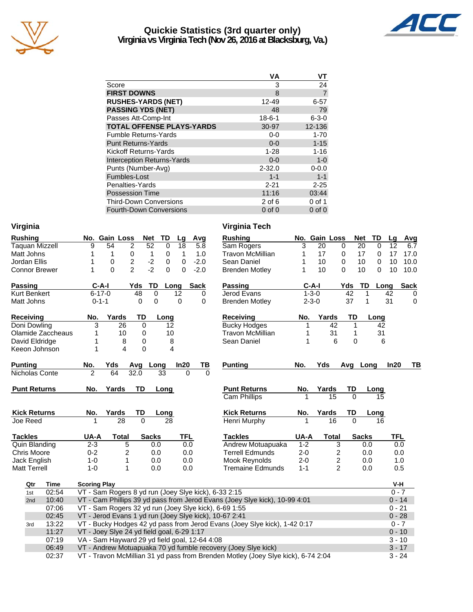

## **Quickie Statistics (3rd quarter only) Virginia vs Virginia Tech (Nov 26, 2016 at Blacksburg, Va.)**



|                                   | VA           | ۷T             |
|-----------------------------------|--------------|----------------|
| Score                             | 3            | 24             |
| <b>FIRST DOWNS</b>                | 8            | $\overline{7}$ |
| <b>RUSHES-YARDS (NET)</b>         | 12-49        | $6 - 57$       |
| <b>PASSING YDS (NET)</b>          | 48           | 79             |
| Passes Att-Comp-Int               | $18 - 6 - 1$ | $6 - 3 - 0$    |
| <b>TOTAL OFFENSE PLAYS-YARDS</b>  | 30-97        | 12-136         |
| <b>Fumble Returns-Yards</b>       | $0-0$        | $1 - 70$       |
| <b>Punt Returns-Yards</b>         | $0 - 0$      | $1 - 15$       |
| <b>Kickoff Returns-Yards</b>      | $1 - 28$     | $1 - 16$       |
| <b>Interception Returns-Yards</b> | $0 - 0$      | $1 - 0$        |
| Punts (Number-Avg)                | $2 - 32.0$   | $0 - 0.0$      |
| Fumbles-Lost                      | $1 - 1$      | $1 - 1$        |
| Penalties-Yards                   | $2 - 21$     | $2 - 25$       |
| <b>Possession Time</b>            | 11:16        | 03:44          |
| <b>Third-Down Conversions</b>     | $2$ of 6     | 0 of 1         |
| <b>Fourth-Down Conversions</b>    | $0$ of $0$   | $0$ of $0$     |

| <b>Rushing</b>        | No. Gain Loss<br><b>Net</b><br>Avg<br><b>Rushing</b><br><b>TD</b><br>Lg                            |         | No. Gain Loss | <b>Net</b>     | TD                | Lg<br>$\overline{\phantom{a}}$    |  |  |  |
|-----------------------|----------------------------------------------------------------------------------------------------|---------|---------------|----------------|-------------------|-----------------------------------|--|--|--|
| <b>Taquan Mizzell</b> | 9<br>$\overline{2}$<br>52<br>$\overline{5.8}$<br>54<br>$\mathbf 0$<br>18<br>Sam Rogers             | 3       | 20            | $\Omega$       | 20<br>$\mathbf 0$ | 12                                |  |  |  |
| Matt Johns            | 1<br>0<br>1.0<br><b>Travon McMillian</b><br>1<br>0<br>1<br>$\mathbf{1}$                            | 1       | 17            | 0              | 17<br>$\Omega$    | 17<br>$\overline{1}$              |  |  |  |
| Jordan Ellis          | $\sqrt{2}$<br>$-2$<br>1<br>0<br>$\mathbf 0$<br>$\mathbf 0$<br>$-2.0$<br>Sean Daniel                | 1       | 10            | $\mathbf 0$    | 10<br>$\mathbf 0$ | 10<br>-1                          |  |  |  |
| <b>Connor Brewer</b>  | $-2$<br>$\mathfrak{p}$<br>$\Omega$<br>$\Omega$<br>$\Omega$<br>$-2.0$<br>1<br><b>Brenden Motley</b> | 1       | 10            | $\Omega$       | 10<br>0           | 10 <sup>°</sup><br>$\overline{1}$ |  |  |  |
| <b>Passing</b>        | $C-A-I$<br>Yds<br>TD<br>Sack<br><b>Passing</b><br>Long                                             |         | $C-A-I$       | Yds            | TD                | S<br>Long                         |  |  |  |
| <b>Kurt Benkert</b>   | $6 - 17 - 0$<br>Jerod Evans<br>48<br>$\mathbf 0$<br>12<br>0                                        |         | $1 - 3 - 0$   | 42             | 1                 | 42                                |  |  |  |
| Matt Johns            | $\mathbf 0$<br>$0 - 1 - 1$<br>0<br>0<br>0<br><b>Brenden Motley</b>                                 |         | $2 - 3 - 0$   | 37             | 1                 | 31                                |  |  |  |
|                       |                                                                                                    |         |               |                |                   |                                   |  |  |  |
| <b>Receiving</b>      | No.<br>Yards<br>TD<br>Long<br><b>Receiving</b>                                                     | No.     | Yards         | TD             | Long              |                                   |  |  |  |
| Doni Dowling          | 26<br><b>Bucky Hodges</b><br>3<br>$\mathbf 0$<br>12                                                | 1       | 42            | 1              | 42                |                                   |  |  |  |
| Olamide Zaccheaus     | 10<br>0<br>10<br><b>Travon McMillian</b><br>1                                                      | 1       | 31            | 1              | 31                |                                   |  |  |  |
| David Eldridge        | 8<br>0<br>8<br>Sean Daniel<br>1                                                                    | 1       | 6             | 0              |                   | 6                                 |  |  |  |
| Keeon Johnson         | 1<br>$\Omega$<br>$\overline{\mathbf{4}}$<br>4                                                      |         |               |                |                   |                                   |  |  |  |
| <b>Punting</b>        | No.<br>In20<br><b>Punting</b><br>Yds<br>Avg Long<br>TВ                                             | No.     | Yds           | Avg Long       |                   | In20                              |  |  |  |
| Nicholas Conte        | $\overline{2}$<br>64<br>32.0<br>33<br>$\Omega$<br>$\Omega$                                         |         |               |                |                   |                                   |  |  |  |
|                       |                                                                                                    |         |               |                |                   |                                   |  |  |  |
| <b>Punt Returns</b>   | Yards<br><b>TD</b><br><b>Punt Returns</b><br>No.<br>Long                                           | No.     | Yards         | TD             | Long              |                                   |  |  |  |
|                       | <b>Cam Phillips</b>                                                                                |         | 15            | $\Omega$       | 15                |                                   |  |  |  |
| <b>Kick Returns</b>   | <b>Kick Returns</b><br>Yards<br>TD<br>No.<br>Long                                                  | No.     | Yards         | TD             | Long              |                                   |  |  |  |
| Joe Reed              | 28<br>$\Omega$<br><b>Henri Murphy</b><br>28                                                        |         | 16            | $\Omega$       | 16                |                                   |  |  |  |
|                       |                                                                                                    |         |               |                |                   |                                   |  |  |  |
| <b>Tackles</b>        | UA-A<br><b>Tackles</b><br><b>Total</b><br><b>Sacks</b><br>TFL                                      | UA-A    | <b>Total</b>  |                | <b>Sacks</b>      | <b>TFL</b>                        |  |  |  |
| <b>Quin Blanding</b>  | 0.0<br>$2 - 3$<br>5<br>Andrew Motuapuaka<br>0.0                                                    | $1 - 2$ |               | 3              | 0.0               | 0.0                               |  |  |  |
| <b>Chris Moore</b>    | $0 - 2$<br><b>Terrell Edmunds</b><br>0.0<br>0.0<br>2                                               | $2 - 0$ |               | 2              | 0.0               | 0.0                               |  |  |  |
| Jack English          | $1-0$<br>1<br>0.0<br>0.0<br>Mook Reynolds                                                          | $2 - 0$ |               | $\overline{c}$ | 0.0               | 1.0                               |  |  |  |
| <b>Matt Terrell</b>   | $1 - 0$<br>1<br>0.0<br>0.0<br><b>Tremaine Edmunds</b>                                              | $1 - 1$ |               | $\overline{2}$ | 0.0               | 0.5                               |  |  |  |
| Qtr<br><b>Time</b>    | <b>Scoring Play</b>                                                                                |         |               |                |                   | V-H                               |  |  |  |
| 02:54<br>1st          | VT - Sam Rogers 8 yd run (Joey Slye kick), 6-33 2:15                                               |         |               |                |                   | $0 - 7$                           |  |  |  |
| 10:40<br>2nd          | VT - Cam Phillips 39 yd pass from Jerod Evans (Joey Slye kick), 10-99 4:01<br>$0 - 14$             |         |               |                |                   |                                   |  |  |  |
| 07:06                 | $0 - 21$<br>VT - Sam Rogers 32 yd run (Joey Slye kick), 6-69 1:55                                  |         |               |                |                   |                                   |  |  |  |
| 02:45                 | VT - Jerod Evans 1 yd run (Joey Slye kick), 10-67 2:41<br>$0 - 28$                                 |         |               |                |                   |                                   |  |  |  |
| 13:22<br>3rd          | VT - Bucky Hodges 42 yd pass from Jerod Evans (Joey Slye kick), 1-42 0:17                          |         |               |                |                   | $0 - 7$                           |  |  |  |
| 11:27                 | VT - Joey Slye 24 yd field goal, 6-29 1:17<br>$0 - 10$                                             |         |               |                |                   |                                   |  |  |  |
| 07:19                 | VA - Sam Hayward 29 yd field goal, 12-64 4:08                                                      |         |               |                |                   | $3 - 10$                          |  |  |  |
| 06:49                 | VT - Andrew Motuapuaka 70 yd fumble recovery (Joey Slye kick)                                      |         |               |                |                   | $3 - 17$                          |  |  |  |
| 02:37                 | VT - Travon McMillian 31 yd pass from Brenden Motley (Joey Slye kick), 6-74 2:04                   |         |               |                |                   | $3 - 24$                          |  |  |  |
|                       |                                                                                                    |         |               |                |                   |                                   |  |  |  |

### **Virginia Virginia Tech**

| <b>Rushing</b>                      | No.                    | Gain Loss   |                                            |          | <b>Net</b>          | TD   | Lg         | Avg  |
|-------------------------------------|------------------------|-------------|--------------------------------------------|----------|---------------------|------|------------|------|
| Sam Rogers                          | 3                      | 20          |                                            | 0        | 20                  | 0    | 12         | 6.7  |
| Travon McMillian                    | 1                      | 17          |                                            | 0        | 17                  | 0    | 17         | 17.0 |
| Sean Daniel                         | 1                      | 10          |                                            | 0        | 10                  | 0    | 10         | 10.0 |
| <b>Brenden Motley</b>               | 1                      | 10          |                                            | $\Omega$ | 10                  | 0    | 10         | 10.0 |
| <b>Passing</b>                      |                        | $C-A-I$     |                                            | Yds      | TD                  | Long |            | Sack |
| Jerod Evans                         |                        | $1 - 3 - 0$ |                                            | 42       | 1                   |      | 42         | 0    |
| <b>Brenden Motley</b>               |                        | $2 - 3 - 0$ |                                            | 37       | 1                   |      | 31         | 0    |
| Receiving                           | No.                    |             | Yards                                      | TD       |                     | Long |            |      |
| <b>Bucky Hodges</b>                 | 1                      |             | 42                                         |          | 1                   | 42   |            |      |
| <b>Travon McMillian</b>             | 1                      |             | 31                                         |          | 1                   | 31   |            |      |
| Sean Daniel                         | 1                      |             | 6                                          |          | $\Omega$            | 6    |            |      |
|                                     |                        |             |                                            |          |                     |      |            |      |
| <b>Punting</b>                      | No.                    | Yds         |                                            | Avg      | Long                |      | ln20       | ΤВ   |
|                                     |                        |             |                                            |          |                     |      |            |      |
|                                     |                        |             |                                            |          |                     |      |            |      |
| <b>Punt Returns</b>                 | No.                    | Yards       |                                            | TD       |                     | Long |            |      |
| <b>Cam Phillips</b>                 |                        |             | 15                                         |          | $\Omega$            | 15   |            |      |
| <b>Kick Returns</b>                 | No.                    | Yards       |                                            | TD       |                     | Long |            |      |
| Henri Murphy                        | 1                      |             | 16                                         |          | 0                   | 16   |            |      |
|                                     |                        |             |                                            |          |                     |      |            |      |
| <b>Tackles</b><br>Andrew Motuapuaka | <b>UA-A</b><br>$1 - 2$ |             | <b>Total</b>                               |          | <b>Sacks</b><br>0.0 |      | TFL<br>0.0 |      |
| <b>Terrell Edmunds</b>              | $2 - 0$                |             | 3                                          |          |                     |      | 0.0        |      |
| Mook Reynolds                       | $2 - 0$                |             | $\begin{array}{c} 2 \\ 2 \\ 2 \end{array}$ |          | 0.0<br>0.0          |      | 1.0        |      |
| <b>Tremaine Edmunds</b>             | $1 - 1$                |             |                                            |          | 0.0                 |      | 0.5        |      |
|                                     |                        |             |                                            |          |                     |      |            |      |
|                                     |                        |             |                                            |          |                     |      | V-H        |      |
| 332:15                              |                        |             |                                            |          |                     |      | $0 - 7$    |      |
| าร (Joey Slye kick), 10-99 4:01     |                        |             |                                            |          |                     |      | $0 - 14$   |      |
| 3-69 1:55                           |                        |             |                                            |          |                     |      | $0 - 21$   |      |
| $-672:41$                           |                        |             |                                            |          |                     |      | $0 - 28$   |      |
| ans (Joey Slye kick), 1-42 0:17     |                        |             |                                            |          |                     |      | $0 - 7$    |      |
|                                     |                        |             |                                            |          |                     |      | $0 - 10$   |      |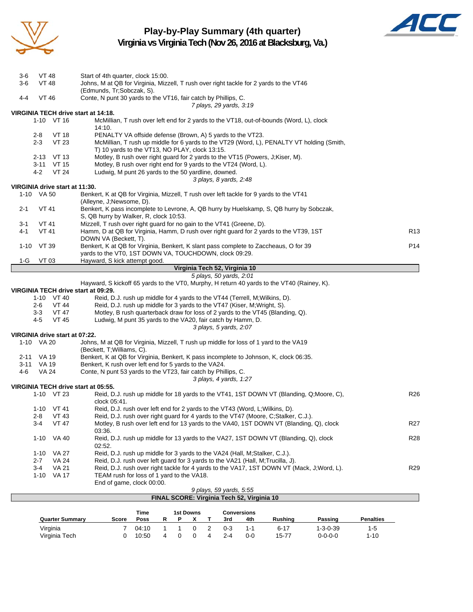

## **Play-by-Play Summary (4th quarter) Virginia vs Virginia Tech (Nov 26, 2016 at Blacksburg, Va.)**



|              |                       |                                | FINAL SCORE: Virginia Tech 52, Virginia 10                                                                                                                         |                 |
|--------------|-----------------------|--------------------------------|--------------------------------------------------------------------------------------------------------------------------------------------------------------------|-----------------|
|              |                       |                                | 9 plays, 59 yards, 5:55                                                                                                                                            |                 |
|              |                       |                                | End of game, clock 00:00.                                                                                                                                          |                 |
|              | $3 - 4$<br>$1 - 10$   | <b>VA 21</b><br>VA 17          | Reid, D.J. rush over right tackle for 4 yards to the VA17, 1ST DOWN VT (Mack, J;Word, L).<br>TEAM rush for loss of 1 yard to the VA18.                             | R <sub>29</sub> |
|              | 2-7                   | <b>VA 24</b>                   | Reid, D.J. rush over left guard for 3 yards to the VA21 (Hall, M; Trucilla, J).                                                                                    |                 |
|              | $1 - 10$              | VA 27                          | Reid, D.J. rush up middle for 3 yards to the VA24 (Hall, M; Stalker, C.J.).                                                                                        |                 |
|              | $1 - 10$              | VA 40                          | Reid, D.J. rush up middle for 13 yards to the VA27, 1ST DOWN VT (Blanding, Q), clock<br>02:52.                                                                     | <b>R28</b>      |
|              |                       |                                | 03:36.                                                                                                                                                             |                 |
|              | $3 - 4$               | <b>VT 47</b>                   | Motley, B rush over left end for 13 yards to the VA40, 1ST DOWN VT (Blanding, Q), clock                                                                            | R27             |
|              | $1 - 10$<br>2-8       | <b>VT 41</b><br>VT 43          | Reid, D.J. rush over left end for 2 yards to the VT43 (Word, L; Wilkins, D).<br>Reid, D.J. rush over right guard for 4 yards to the VT47 (Moore, C;Stalker, C.J.). |                 |
|              |                       | 1-10 VT 23                     | Reid, D.J. rush up middle for 18 yards to the VT41, 1ST DOWN VT (Blanding, Q;Moore, C),<br>clock 05:41.                                                            | R <sub>26</sub> |
|              |                       |                                | VIRGINIA TECH drive start at 05:55.                                                                                                                                |                 |
|              |                       |                                | 3 plays, 4 yards, 1:27                                                                                                                                             |                 |
| 4-6          | VA 24                 |                                | Conte, N punt 53 yards to the VT23, fair catch by Phillips, C.                                                                                                     |                 |
|              | 3-11 VA 19            |                                | Benkert, K rush over left end for 5 yards to the VA24.                                                                                                             |                 |
| 2-11         | VA 19                 |                                | (Beckett, T; Williams, C).<br>Benkert, K at QB for Virginia, Benkert, K pass incomplete to Johnson, K, clock 06:35.                                                |                 |
|              | 1-10 VA 20            |                                | Johns, M at QB for Virginia, Mizzell, T rush up middle for loss of 1 yard to the VA19                                                                              |                 |
|              |                       | VIRGINIA drive start at 07:22. |                                                                                                                                                                    |                 |
|              | 4-5                   | <b>VT 45</b>                   | Ludwig, M punt 35 yards to the VA20, fair catch by Hamm, D.<br>3 plays, 5 yards, 2:07                                                                              |                 |
|              | 3-3                   | VT 47                          | Motley, B rush quarterback draw for loss of 2 yards to the VT45 (Blanding, Q).                                                                                     |                 |
|              | 2-6                   | VT 44                          | Reid, D.J. rush up middle for 3 yards to the VT47 (Kiser, M; Wright, S).                                                                                           |                 |
|              |                       | 1-10 VT 40                     | Reid, D.J. rush up middle for 4 yards to the VT44 (Terrell, M; Wilkins, D).                                                                                        |                 |
|              |                       |                                | VIRGINIA TECH drive start at 09:29.                                                                                                                                |                 |
|              |                       |                                | Hayward, S kickoff 65 yards to the VT0, Murphy, H return 40 yards to the VT40 (Rainey, K).                                                                         |                 |
|              |                       |                                | Virginia Tech 52, Virginia 10<br>5 plays, 50 yards, 2:01                                                                                                           |                 |
| 1-G          | VT 03                 |                                | Hayward, S kick attempt good.                                                                                                                                      |                 |
|              |                       |                                | yards to the VT0, 1ST DOWN VA, TOUCHDOWN, clock 09:29.                                                                                                             |                 |
| 1-10         | VT 39                 |                                | Benkert, K at QB for Virginia, Benkert, K slant pass complete to Zaccheaus, O for 39                                                                               | P <sub>14</sub> |
|              |                       |                                | DOWN VA (Beckett, T).                                                                                                                                              |                 |
| 4-1          | <b>VT 41</b>          |                                | Hamm, D at QB for Virginia, Hamm, D rush over right guard for 2 yards to the VT39, 1ST                                                                             | R <sub>13</sub> |
| 3-1          | <b>VT 41</b>          |                                | S, QB hurry by Walker, R, clock 10:53.<br>Mizzell, T rush over right guard for no gain to the VT41 (Greene, D).                                                    |                 |
| $2 - 1$      | <b>VT 41</b>          |                                | Benkert, K pass incomplete to Levrone, A, QB hurry by Huelskamp, S, QB hurry by Sobczak,                                                                           |                 |
|              |                       |                                | (Alleyne, J;Newsome, D).                                                                                                                                           |                 |
|              | 1-10 VA 50            |                                | Benkert, K at QB for Virginia, Mizzell, T rush over left tackle for 9 yards to the VT41                                                                            |                 |
|              |                       | VIRGINIA drive start at 11:30. |                                                                                                                                                                    |                 |
|              |                       |                                | 3 plays, 8 yards, 2:48                                                                                                                                             |                 |
|              | 3-11<br>4-2           | VT 15<br><b>VT 24</b>          | Motley, B rush over right end for 9 yards to the VT24 (Word, L).<br>Ludwig, M punt 26 yards to the 50 yardline, downed.                                            |                 |
|              | 2-13                  | VT 13                          | Motley, B rush over right guard for 2 yards to the VT15 (Powers, J;Kiser, M).                                                                                      |                 |
|              |                       |                                | T) 10 yards to the VT13, NO PLAY, clock 13:15.                                                                                                                     |                 |
|              | $2 - 3$               | VT 23                          | McMillian, T rush up middle for 6 yards to the VT29 (Word, L), PENALTY VT holding (Smith,                                                                          |                 |
|              | $2 - 8$               | <b>VT 18</b>                   | PENALTY VA offside defense (Brown, A) 5 yards to the VT23.                                                                                                         |                 |
|              |                       |                                | 14:10.                                                                                                                                                             |                 |
|              |                       | 1-10 VT 16                     | VIRGINIA TECH drive start at 14:18.<br>McMillian, T rush over left end for 2 yards to the VT18, out-of-bounds (Word, L), clock                                     |                 |
|              |                       |                                | 7 plays, 29 yards, 3:19                                                                                                                                            |                 |
| $4 - 4$      | VT 46                 |                                | Conte, N punt 30 yards to the VT16, fair catch by Phillips, C.                                                                                                     |                 |
|              |                       |                                | (Edmunds, Tr;Sobczak, S).                                                                                                                                          |                 |
| 3-6<br>$3-6$ | VT 48<br><b>VT 48</b> |                                | Start of 4th quarter, clock 15:00.<br>Johns, M at QB for Virginia, Mizzell, T rush over right tackle for 2 yards to the VT46                                       |                 |
|              |                       |                                |                                                                                                                                                                    |                 |

Virginia 7 04:10 1 1 0 2 0-3 1-1 6-17 1-3-0-39 1-5 Virginia Tech 0 10:50 4 0 0 4 2-4 0-0 15-77 0-0-0-0 1-10